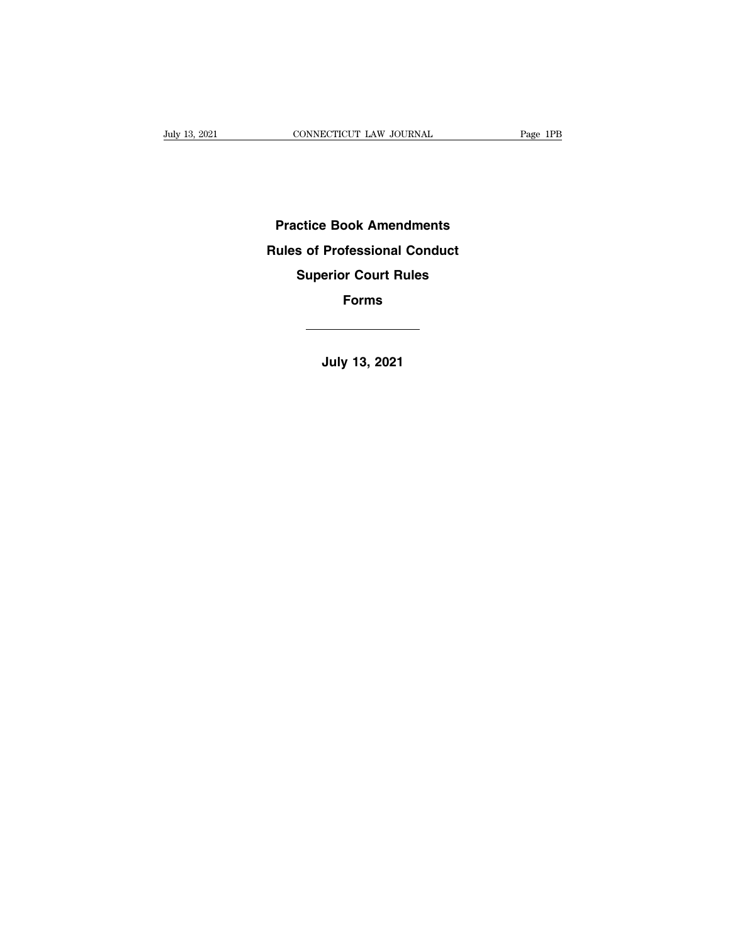**Practice Book Amendments Practice Book Amendments<br>Rules of Professional Conduct<br>Superior Court Rules Crice Book Amendments<br>Sof Professional Conduct<br>Superior Court Rules<br>Forms Forms** Superior Court Rules<br>
Forms<br>
<u>July 13, 2021</u>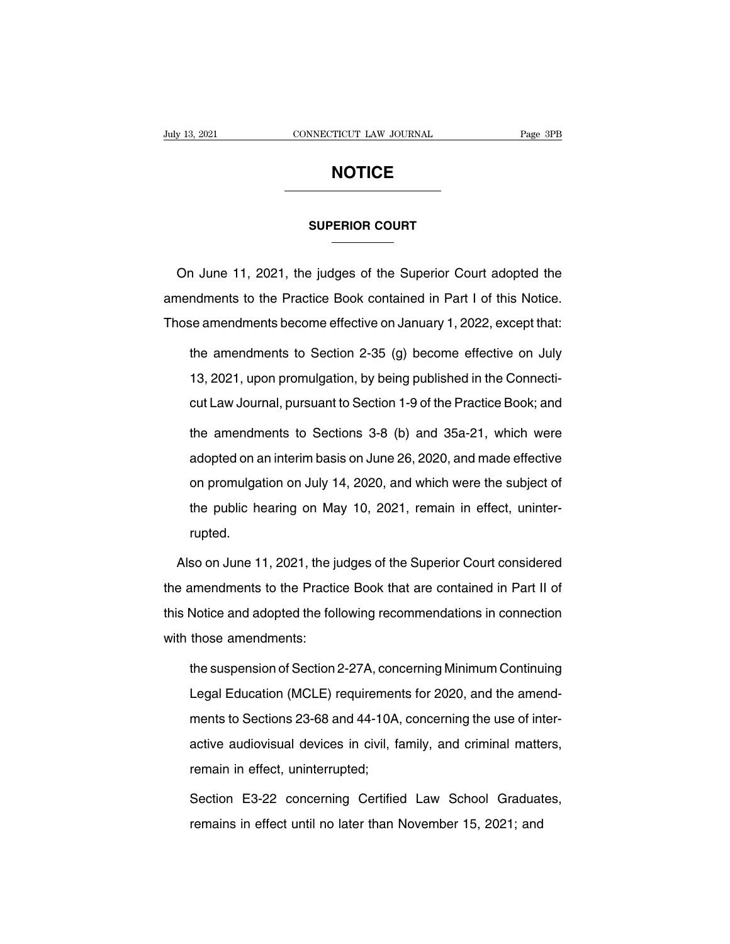### **NOTICE**

# **NOTICE**<br>SUPERIOR COURT

SUPERIOR COURT<br>
On June 11, 2021, the judges of the Superior Court adopted the<br>
nendments to the Practice Book contained in Part I of this Notice. **SUPERIOR COURT<br>
Condition 11, 2021, the judges of the Superior Court adopted the<br>
amendments to the Practice Book contained in Part I of this Notice.<br>
Those amendments become effective on January 1, 2022, except that:** On June 11, 2021, the judges of the Superior Court adopted the<br>amendments to the Practice Book contained in Part I of this Notice.<br>Those amendments become effective on January 1, 2022, except that:<br>the amendments to Sectio The amendments to the Practice Book contained in Part I of this Notice.<br>The amendments become effective on January 1, 2022, except that:<br>the amendments to Section 2-35 (g) become effective on July<br>13, 2021, upon promulgati amendments to the Practice Book contained in Part I of this Notice.<br>Those amendments become effective on January 1, 2022, except that:<br>the amendments to Section 2-35 (g) become effective on July<br>13, 2021, upon promulgation is a mendments become effective on January 1, 2022, except that:<br>the amendments to Section 2-35 (g) become effective on July<br>13, 2021, upon promulgation, by being published in the Connecti-<br>cut Law Journal, pursuant to Sec the amendments to Section 2-35 (g) become effective on July<br>13, 2021, upon promulgation, by being published in the Connecti-<br>cut Law Journal, pursuant to Section 1-9 of the Practice Book; and<br>the amendments to Sections 3-8 13, 2021, upon promulgation, by being published in the Connecticut Law Journal, pursuant to Section 1-9 of the Practice Book; and the amendments to Sections 3-8 (b) and 35a-21, which were adopted on an interim basis on Jun cut Law Journal, pursuant to Section 1-9 of the Practice Book; and<br>the amendments to Sections 3-8 (b) and 35a-21, which were<br>adopted on an interim basis on June 26, 2020, and made effective<br>on promulgation on July 14, 2020 the amendments to Sections 3-8 (b) and 35a-21, which were<br>adopted on an interim basis on June 26, 2020, and made effective<br>on promulgation on July 14, 2020, and which were the subject of<br>the public hearing on May 10, 2021, rupted. on promulgation on July 14, 2020, and which were the subject of<br>the public hearing on May 10, 2021, remain in effect, uninter-<br>rupted.<br>Also on June 11, 2021, the judges of the Superior Court considered<br>e amendments to the

the public hearing on May 10, 2021, remain in effect, uninter-<br>rupted.<br>Also on June 11, 2021, the judges of the Superior Court considered<br>the amendments to the Practice Book that are contained in Part II of<br>this Notice and rupted.<br>Also on June 11, 2021, the judges of the Superior Court considered<br>the amendments to the Practice Book that are contained in Part II of<br>this Notice and adopted the following recommendations in connection<br>with those Also on June 11, 2021, the jum<br>the amendments to the Practic<br>this Notice and adopted the foll<br>with those amendments:<br>the suspension of Section: amendments to the Practice Book that are contained in Part II of<br>Notice and adopted the following recommendations in connection<br>those amendments:<br>the suspension of Section 2-27A, concerning Minimum Continuing<br>Legal Educati

Notice and adopted the following recommendations in connection<br>those amendments:<br>the suspension of Section 2-27A, concerning Minimum Continuing<br>Legal Education (MCLE) requirements for 2020, and the amend-<br>ments to Sections those amendments:<br>the suspension of Section 2-27A, concerning Minimum Continuing<br>Legal Education (MCLE) requirements for 2020, and the amend-<br>ments to Sections 23-68 and 44-10A, concerning the use of inter-<br>active audiovis the suspension of Section 2-27A, concerning Minimum Continuing<br>Legal Education (MCLE) requirements for 2020, and the amend-<br>ments to Sections 23-68 and 44-10A, concerning the use of inter-<br>active audiovisual devices in civ remain in etc. Counterral and the stage is the sections 23-68 and 44-10A,<br>active audiovisual devices in civil, faction in effect, uninterrupted;<br>Section E3-22 concerning Certifies ments to Sections 23-68 and 44-10A, concerning the use of inter-<br>active audiovisual devices in civil, family, and criminal matters,<br>remain in effect, uninterrupted;<br>Section E3-22 concerning Certified Law School Graduates,<br> active audiovisual devices in civil, family, and criminal matte<br>remain in effect, uninterrupted;<br>Section E3-22 concerning Certified Law School Graduat<br>remains in effect until no later than November 15, 2021; and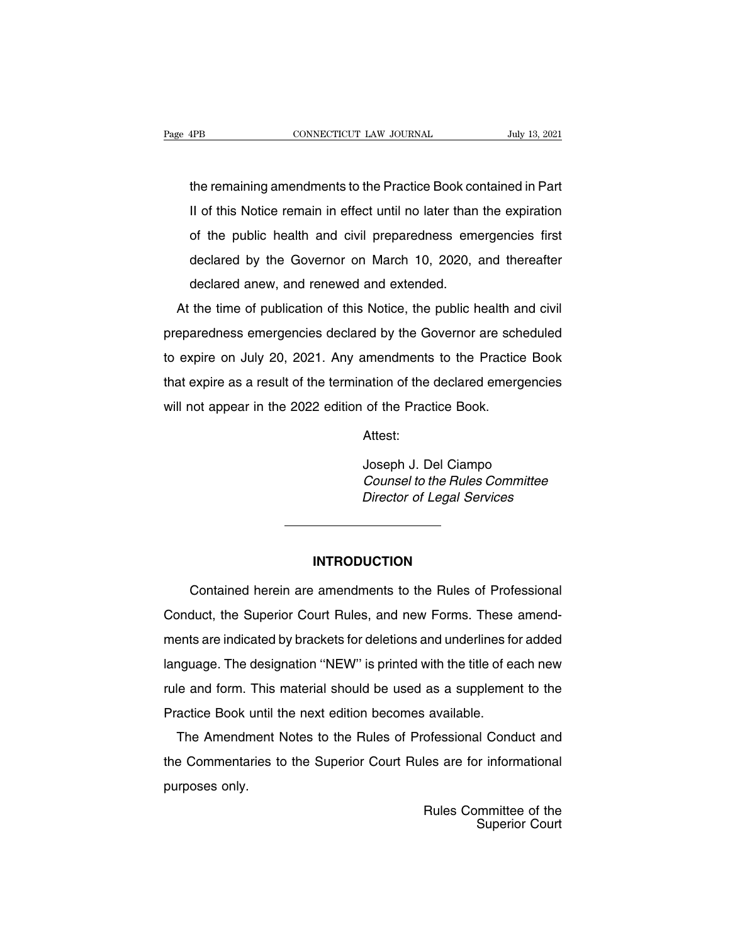THE CONNECTICUT LAW JOURNAL July 13, 2021<br>the remaining amendments to the Practice Book contained in Part<br>II of this Notice remain in effect until no later than the expiration II of this Notice remain in effect until no later than the expiration<br>In the public health and civil preparedness emergencies first<br>In the public health and civil preparedness emergencies first The remaining amendments to the Practice Book contained in Part<br>II of this Notice remain in effect until no later than the expiration<br>of the public health and civil preparedness emergencies first<br>declared by the Governor o the remaining amendments to the Practice Book contained in Part<br>II of this Notice remain in effect until no later than the expiration<br>of the public health and civil preparedness emergencies first<br>declared by the Governor o If of this Notice remain in effect until no later than<br>of the public health and civil preparedness emerged.<br>declared by the Governor on March 10, 2020, a<br>declared anew, and renewed and extended.<br>the time of publication of It of the public health and civil preparedness emergencies first<br>declared by the Governor on March 10, 2020, and thereafter<br>declared anew, and renewed and extended.<br>At the time of publication of this Notice, the public hea

or the public health and civil preparedness emergencies inst<br>declared by the Governor on March 10, 2020, and thereafter<br>declared anew, and renewed and extended.<br>At the time of publication of this Notice, the public health declared by the Governor on Match 10, 2020, and thereater<br>declared anew, and renewed and extended.<br>At the time of publication of this Notice, the public health and civil<br>preparedness emergencies declared by the Governor ar In that the time of publication of this Notice, the public health and civil<br>preparedness emergencies declared by the Governor are scheduled<br>to expire on July 20, 2021. Any amendments to the Practice Book<br>that expire as a r At the time of publication of this Notice, the public health at<br>preparedness emergencies declared by the Governor are sch<br>to expire on July 20, 2021. Any amendments to the Practice<br>that expire as a result of the terminatio nation of the declared emergencies<br>
of the Practice Book.<br>
Attest:<br>
Joseph J. Del Ciampo<br>
Counsel to the Rules Committee<br>
Director of Legal Services

Attest:

Example 16 The Rectation of the Practice Book.<br>
Attest:<br>
Joseph J. Del Ciampo<br>
Counsel to the Rules Committee<br>
Director of Legal Services of the Practice Book.<br>
Attest:<br>
Joseph J. Del Ciampo<br>
Counsel to the Rules Committee<br>
Director of Legal Services

### **INTRODUCTION**

Director of Legal Services<br>
INTRODUCTION<br>
Contained herein are amendments to the Rules of Professional<br>
duct, the Superior Court Rules, and new Forms. These amend-INTRODUCTION<br>Contained herein are amendments to the Rules of Professional<br>Conduct, the Superior Court Rules, and new Forms. These amend-<br>ments are indicated by brackets for deletions and underlines for added INTRODUCTION<br>Contained herein are amendments to the Rules of Professional<br>Conduct, the Superior Court Rules, and new Forms. These amend-<br>ments are indicated by brackets for deletions and underlines for added<br>language. The Contained herein are amendments to the Rules of Professional<br>Conduct, the Superior Court Rules, and new Forms. These amend-<br>ments are indicated by brackets for deletions and underlines for added<br>language. The designation " Contained Herent are americanents to the Figues of Froressional<br>Conduct, the Superior Court Rules, and new Forms. These amend-<br>ments are indicated by brackets for deletions and underlines for added<br>language. The designatio Conduct, the Superior Court Rules, and new Forms. These amend-<br>ments are indicated by brackets for deletions and underlines for added<br>language. The designation "NEW" is printed with the title of each new<br>rule and form. Thi Filis are indicated by blackets for defeitors and difdefilites for added<br>nguage. The designation "NEW" is printed with the title of each new<br>le and form. This material should be used as a supplement to the<br>actice Book unti

The Commentaries to the Superior Court Rules are for informational purposes only.<br>The Commentaries to the Superior Court Rules are for informational<br>purposes only. Practice Book until t<br>Practice Book until t<br>The Amendment I<br>the Commentaries to<br>purposes only. Rules Conduct and<br>Rules are for informational<br>Rules Committee of the<br>Superior Court ul Conduct and<br>or informational<br>ormmittee of the<br>Superior Court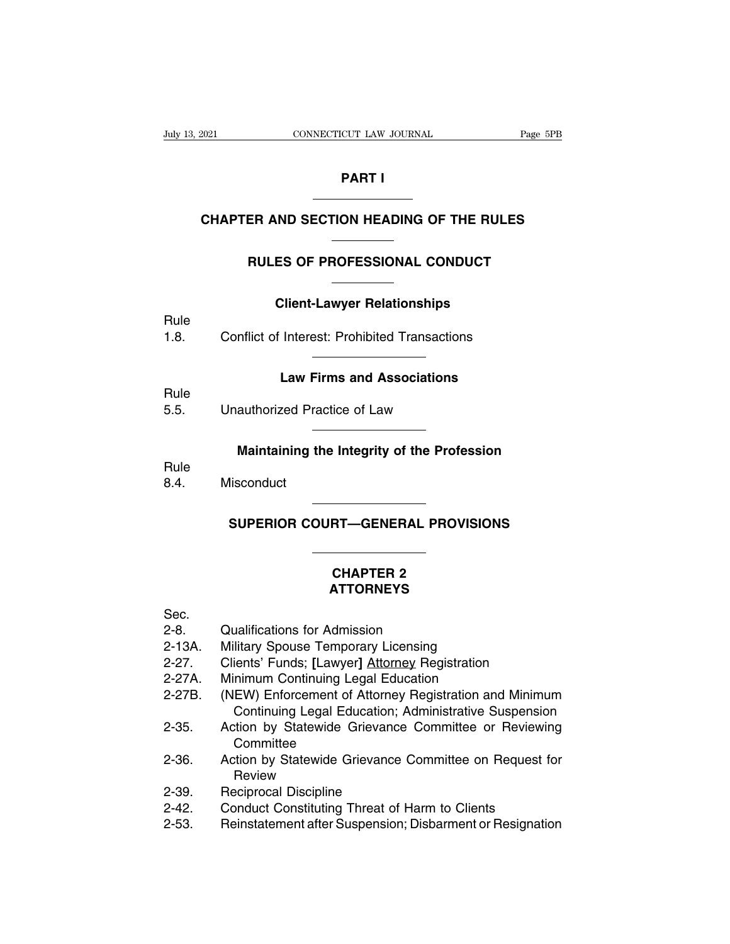## CONNECTICUT LAW JOURNAL Page 5PB<br> **PART I**<br>
CHAPTER AND SECTION HEADING OF THE RULES **PART I<br>
ER AND SECTION HEADING OF THE RULES<br>
RULES OF PROFESSIONAL CONDUCT<br>
RULES OF PROFESSIONAL CONDUCT COLIGAT CONDUCT CONDUCT CONDUCT CONDUCT**<br>Client-Lawyer Relationships<br>Financy: Probibited Transactions

Rule

RULES OF PROFESSIONAL CONDUCT<br>
Client-Lawyer Relationships<br>
1.8. Conflict of Interest: Prohibited Transactions **Lient-Lawyer Relationships<br>
Interest: Prohibited Transactions<br>
Law Firms and Associations**<br>
Fed Practice of Law Rule<br>
1.8. Conflict of Interest: Prohibited Transactions<br>
Law Firms and Associations<br>
Rule<br>
5.5. Unauthorized Practice of Law

Rule

Rule

# **Law Firms and Associations<br>
authorized Practice of Law<br>
Maintaining the Integrity of the Profession**<br>
sconduct

8.4. Misconduct

# Maintaining the Integrity of the Profession<br>Iisconduct<br>SUPERIOR COURT—GENERAL PROVISIONS

## **CHAPTER 2<br>CHAPTER 2<br>CHAPTER 2<br>ATTORNEYS ATTORNEYS**

- 
- **CHAPTER 2<br>
CHAPTER 2<br>
Sec.<br>
2-8. Qualifications for Admission<br>
2-13A. Military Spouse Temporary Licensing<br>
2-27 Clients' Funds: IL awver1 Attorney Begis**
- CHAPTER 2<br>
CHAPTER 2<br>
2-8. Qualifications for Admission<br>
2-13A. Military Spouse Temporary Licensing<br>
2-27. Clients' Funds; [Lawyer] Attorney Registration<br>
2-274 Minimum Continuing Legal Education **CHAPTER 2<br>
Sec.<br>
2-8. Qualifications for Admission<br>
2-13A. Military Spouse Temporary Licensing<br>
2-27. Clients' Funds; [Lawyer] Attorney Registration<br>
2-27A. Minimum Continuing Legal Education<br>
2-27B. (NEW) Enforcement of**
- 
- **ATTORNEYS**<br>
2-8. Qualifications for Admission<br>
2-13A. Military Spouse Temporary Licensing<br>
2-27. Clients' Funds; [Lawyer] Attorney Registration<br>
2-27A. Minimum Continuing Legal Education<br>
2-27B. (NEW) Enforcement of Attor Sec.<br>
2-8. Qualifications for Admission<br>
2-13A. Military Spouse Temporary Licensing<br>
2-27. Clients' Funds; [Lawyer] Attorney Registration<br>
2-27A. Minimum Continuing Legal Education<br>
2-27B. (NEW) Enforcement of Attorney Reg ualifications for Admission<br>
litary Spouse Temporary Licensing<br>
lients' Funds; [Lawyer] Attorney Registration<br>
nimum Continuing Legal Education<br>
EW) Enforcement of Attorney Registration and Minimum<br>
Continuing Legal Educat 2-35. Clients' Funds; [Lawyer] Attorney Registration<br>2-27. Clients' Funds; [Lawyer] Attorney Registration<br>2-27A. Minimum Continuing Legal Education<br>2-27B. (NEW) Enforcement of Attorney Registration and Minimum<br>Continuing L 2-27. Clients Furias, [Lawyer] Attorney Registration<br>2-27A. Minimum Continuing Legal Education<br>2-27B. (NEW) Enforcement of Attorney Registration and Minimum<br>Continuing Legal Education; Administrative Suspension<br>2-35. Actio
- **Committee** 2-27B. (WEW) Emoldement of Attorney<br>
Continuing Legal Education; A<br>
2-35. Action by Statewide Grievance<br>
Committee<br>
2-36. Action by Statewide Grievance<br>
Review<br>
2-39. Reciprocal Discipline<br>
2-42. Conduct Constituting Threa Continuing Legal Education, Administrative Suspension<br>2-35. Action by Statewide Grievance Committee or Reviewin<br>2-36. Action by Statewide Grievance Committee on Request for<br>Review<br>2-39. Reciprocal Discipline<br>2-42. Conduct
- Review 2-35. Action by Statewide Grievance Committee or Reviewing<br>
Committee<br>
2-36. Action by Statewide Grievance Committee on Request for<br>
Review<br>
2-39. Reciprocal Discipline<br>
2-42. Conduct Constituting Threat of Harm to Clients
- 
- 
-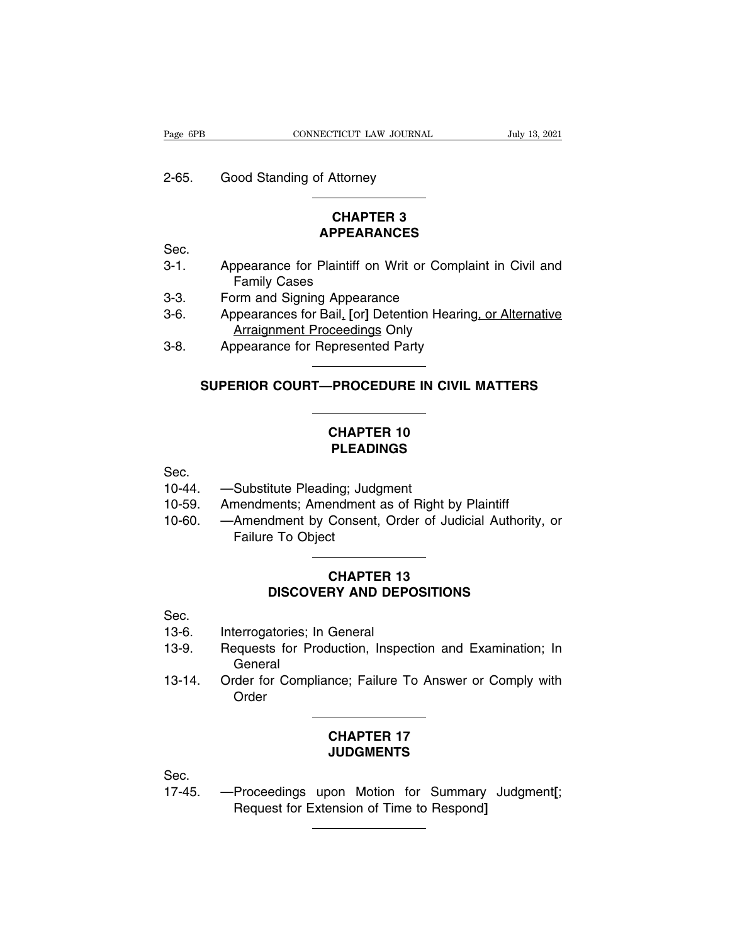# Page 6PB<br>
CONNECTICUT LAW JOURNAL<br>
2-65. Good Standing of Attorney

## TICUT LAW JOURNAL<br>Attorney<br>**CHAPTER 3<br>PPEARANCES APPEARANCES**

- Sec.
- 2-65. Good Standing of Attorney<br>
CHAPTER 3<br>
Sec.<br>
3-1. Appearance for Plaintiff on Writ or Complaint in Civil and<br>
Family Cases<br>
3-3<br>
Form and Signing Appearance CHAPT<br> **CHAPT**<br> **APPEAR**<br>
Prearance for Plaintiff of Family Cases<br>
Prearances for Bail Lorl **CHAPTER 3<br>
Sec.**<br>
3-1. Appearance for Plaintiff on Writ or Comp<br>
Family Cases<br>
3-3. Form and Signing Appearance<br>
3-6. Appearances for Bail, [or] Detention Hearin<br>
Arraignment Proceedings Only
- 
- **EXECUTE AS**<br>
Sec.<br>
3-1. Appearance for Plaintiff on Writ or Complaint in Civil and<br>
Family Cases<br>
3-3. Form and Signing Appearance<br>
3-6. Appearances for Bail, [or] Detention Hearing, or Alternative<br>
Arraignment Proceeding **APPEANANCES**<br>
Superarance for Plaintiff on Writ or Compla<br>
Family Cases<br>
Superarances for Bail, [or] Detention Hearing<br>
Arraignment Proceedings Only<br>
Superance for Represented Party 3-1. Appearance for Plaintiff on Writ or Complair<br>
Family Cases<br>
3-3. Form and Signing Appearance<br>
3-6. Appearances for Bail, [or] Detention Hearing,<br>
Arraignment Proceedings Only<br>
3-8. Appearance for Represented Party Form and Signing Appearance<br>
Appearances for Bail, [or] Detention Hearing, or Alternative<br>
Arraignment Proceedings Only<br>
Appearance for Represented Party<br>
SUPERIOR COURT—PROCEDURE IN CIVIL MATTERS
- 

## **Presented Party<br>
PROCEDURE IN CIVIL<br>
CHAPTER 10<br>
PLEADINGS PLEADINGS**

Sec.

- 
- CHAPTER 10<br>
CHAPTER 10<br>
PLEADINGS<br>
10-44. —Substitute Pleading; Judgment<br>
10-59. Amendments; Amendment as of Right<br>
10-60. —Amendment by Consent Order of
- CHAPTER 10<br>
PLEADINGS<br>
Sec.<br>
10-44. —Substitute Pleading; Judgment<br>
10-59. Amendments; Amendment as of Right by Plaintiff<br>
10-60. —Amendment by Consent, Order of Judicial Authority<br>
Failure To Object CHAPTER 10<br>
PLEADINGS<br>
10-44. —Substitute Pleading; Judgment<br>
10-59. Amendments; Amendment as of Right by Plaintiff<br>
10-60. —Amendment by Consent, Order of Judicial Authority, or<br>
Failure To Object **PLEA**<br>
Substitute Pleading; Ju<br>
nendments; Amendmer<br>
Amendment by Conser<br>
Failure To Object Frame Source III<br>Frame Source III<br>The Source III<br>Chapter of Judician<br>Chapter 13<br>RY AND DEPOSITIONS **PROMANGERY AMERICAS SET AMERY AND DEPOSITIONS**<br> **DISCOVERY AND DEPOSITIONS**

- Sec.
- 
- Failure To Object<br>
CHAPTER 1<br>
DISCOVERY AND DE<br>
Sec.<br>
13-6. Interrogatories; In General<br>
13-9. Requests for Production, Insp CHAPTER 13<br>
DISCOVERY AND DEPOSITIONS<br>
13-6. Interrogatories; In General<br>
13-9. Requests for Production, Inspection and Examination; In<br>
13-14 Order for Compliance: Failure To Answer or Comply with **General** DISCOVERY AND DEPOSITIONS<br>
13-6. Interrogatories; In General<br>
13-9. Requests for Production, Inspection and Examination; In<br>
General<br>
13-14. Order for Compliance; Failure To Answer or Comply with<br>
Order Requests for Production, Inspection and Examination; In<br>
General<br>
Order for Compliance; Failure To Answer or Comply with<br>
Order<br>
CHAPTER 17
- **Order**

### **JUDGMENTS**

Sec.

Order<br>
CHAPTER 17<br>
JUDGMENTS<br>
Sec.<br>
17-45. —Proceedings upon Motion for Summary Judgment[;<br>
Request for Extension of Time to Respond] **CHAPTER 17<br>
JUDGMENTS**<br>
Proceedings upon Motion for Summary<br>
Request for Extension of Time to Respond]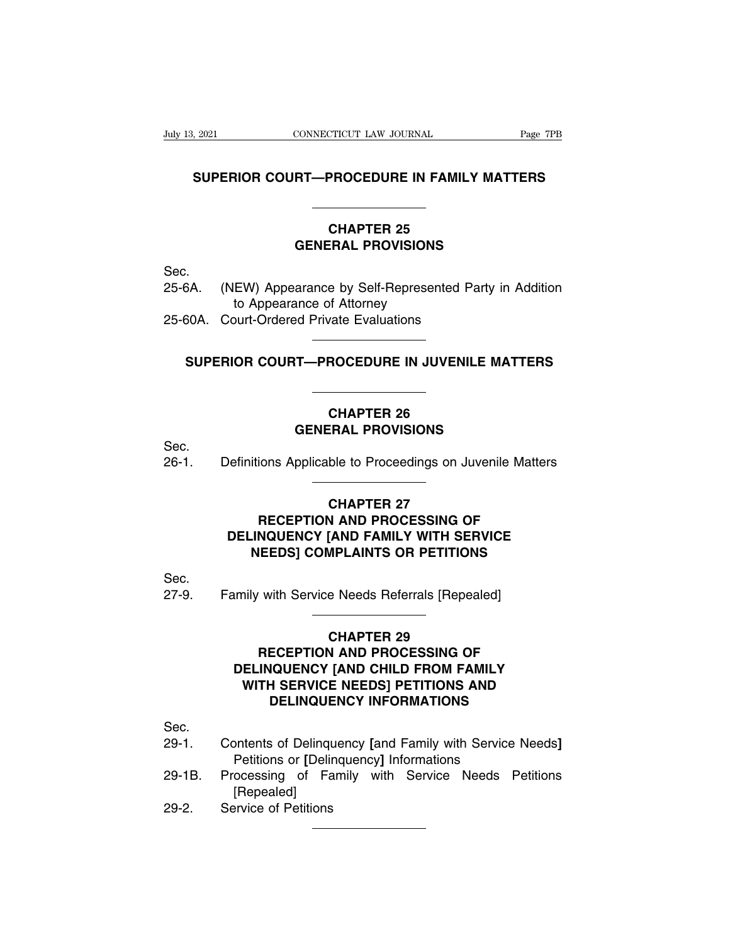# Fage 7PB<br>
SUPERIOR COURT—PROCEDURE IN FAMILY MATTERS

# **CHICUT LAW JOURNAL<br>PROCEDURE IN FAMILY<br>CHAPTER 25<br>CHAPTER 25<br>ERAL PROVISIONS GENERAL PROVISIONS**

Sec.

CHAPTER 25<br> **CHAPTER 25<br>
Sec.**<br>
25-6A. (NEW) Appearance by Self-Represented Party in Addition<br>
to Appearance of Attorney<br>
25-604 Court-Ordered Private Evaluations CHAPTER 25<br>
GENERAL PROVISIONS<br>
Sec.<br>
25-6A. (NEW) Appearance by Self-Represented Party in Addition<br>
to Appearance of Attorney<br>
25-60A. Court-Ordered Private Evaluations CHAPTER 25<br>
GENERAL PROVISIONS<br>
25-6A. (NEW) Appearance by Self-Represented Pa<br>
to Appearance of Attorney<br>
25-60A. Court-Ordered Private Evaluations SA. (NEW) Appearance by Self-Represented Party in Addition<br>to Appearance of Attorney<br>SOA. Court-Ordered Private Evaluations<br>SUPERIOR COURT—PROCEDURE IN JUVENILE MATTERS

# **CONTREMINATIONS**<br>
THE EVALUATION<br>
THE READ CONTREMINATIONS<br>
CHAPTER 26<br>
ERAL PROVISIONS T<br>
T-PROCEDURE IN JUVENILE MATT<br>
CHAPTER 26<br>
GENERAL PROVISIONS<br>
pplicable to Proceedings on Juvenile M

Sec.

CHAPTER 26<br>
CHAPTER 26<br>
26-1. Definitions Applicable to Proceedings on Juvenile Matters

### CHAPTER 26<br>ERAL PROVISIONS<br>ble to Proceedings on Ju<br>CHAPTER 27<br>V AND PROCESSING OI<br>LAND FAMIL Y WITH SER **GENERAL PROVISIONS<br>
ions Applicable to Proceedings on Juvenile Matters<br>
CHAPTER 27<br>
RECEPTION AND PROCESSING OF<br>
NQUENCY [AND FAMILY WITH SERVICE<br>
IFFDSI COMPLAINTS OR PETITIONS Definitions Applicable to Proceedings on Juvenile Matters<br>
CHAPTER 27<br>
RECEPTION AND PROCESSING OF<br>
DELINQUENCY [AND FAMILY WITH SERVICE<br>
NEEDS] COMPLAINTS OR PETITIONS** itions Applicable to Proceedings on Juvenile Matters<br> **CHAPTER 27<br>
RECEPTION AND PROCESSING OF<br>
INQUENCY [AND FAMILY WITH SERVICE<br>
NEEDS] COMPLAINTS OR PETITIONS** CHAPTER 27<br>
RECEPTION AND PROCESSING OF<br>
DELINQUENCY [AND FAMILY WITH SERVICE<br>
NEEDS] COMPLAINTS OR PETITIONS<br>
Sec.<br>
27-9. Family with Service Needs Referrals [Repealed]

Sec.

### **CHAPTER 29<br>
THE CHAPTER 29<br>
CHAPTER 29<br>
CHAPTER 29<br>
CHAPTER 29<br>
CHAPTER 29<br>
CHAPTER 29<br>
CAND CHILD FROM FALL** WITH SERVICE Needs Referrals [Repealed]<br> **RECEPTION AND PROCESSING OF<br>
RECEPTION AND PROCESSING OF<br>
<b>RECEPTION AND PROCESSING OF**<br> **RECEPTION AND PROCESSING OF**<br> **RECEPTION AND CHILD FROM FAMILY** Mily with Service Needs Referrals [Repealed]<br> **CHAPTER 29<br>
RECEPTION AND PROCESSING OF<br>
DELINQUENCY [AND CHILD FROM FAMILY<br>
WITH SERVICE NEEDS] PETITIONS AND<br>
DELINQUENCY INFORMATIONS** Nily with Service Needs Referrals [Repealed]<br> **CHAPTER 29<br>
RECEPTION AND PROCESSING OF<br>
ELINQUENCY [AND CHILD FROM FAMILY<br>
WITH SERVICE NEEDS] PETITIONS AND<br>
DELINQUENCY INFORMATIONS CHAPTER 29<br>ECEPTION AND PROCESSING OF<br>IQUENCY [AND CHILD FROM FAMILY<br>H SERVICE NEEDS] PETITIONS AND<br>DELINQUENCY INFORMATIONS** RECEPTION AND PROCESSING OF<br>
DELINQUENCY [AND CHILD FROM FAMILY<br>
WITH SERVICE NEEDS] PETITIONS AND<br>
DELINQUENCY INFORMATIONS<br>
Sec.<br>
29-1. Contents of Delinquency [and Family with Service Needs]<br>
Petitions or [Delinquency] **DELINQUENCY [AND CHILD FROM FAMILY<br>
WITH SERVICE NEEDS] PETITIONS AND<br>
DELINQUENCY INFORMATIONS<br>
Contents of Delinquency [and Family with Service Needs]<br>
Petitions or [Delinquency] Informations<br>
Processing of Family with**

- WITH SERVICE NEEDS] PETITIONS AND<br>
DELINQUENCY INFORMATIONS<br>
29-1. Contents of Delinquency [and Family with Service Needs]<br>
Petitions or [Delinquency] Informations<br>
29-1B. Processing of Family with Service Needs Petitions<br> Sec.<br>
29-1. Contents of Delinque<br>
Petitions or [Delin<br>
29-1B. Processing of Fa<br>
[Repealed]<br>
29-2. Service of Petitions
- [Repealed]
-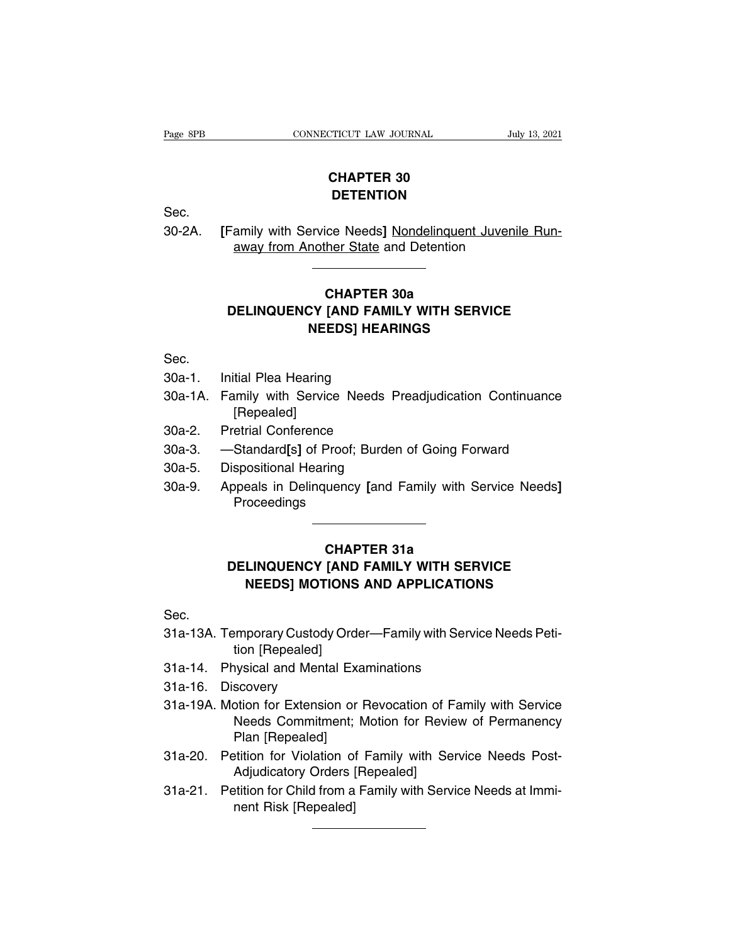## **CTICUT LAW JOURNAL**<br> **CHAPTER 30**<br> **DETENTION DETENTION**

Sec.

Fage 8PB<br>
30-2A. **[Family with Service Needs] Nondelinquent Juvenile Run-<br>
30-2A. <b>[Family with Service Needs] Nondelinquent Juvenile Run-**<br>
200-2A. **[Family with Service Needs] Nondelinquent Juvenile Run-CHAPTER 30<br>DETENTION**<br>amily with Service Needs] Nondelinquent Juvenile<br>away from Another State and Detention

### CHAPTER 30a<br> **CHAPTER 30a**<br> **CHAPTER 30a**<br> **CHAPTER 30a**<br> **CHAPTER 30a**<br> **CHAPTER 30a**<br> **CHAPTER 30a** Family with Service Needs] <u>Nondelinquent Juvenile Runaway from Another State</u> and Detention<br> **CHAPTER 30a**<br> **DELINQUENCY [AND FAMILY WITH SERVICE<br>
NEEDS] HEARINGS Example 12 Non-District Charge 12 Non-District Charge 12 Non-District Charge 2013**<br> **CHAPTER 30a**<br>
CHAPTER 30a<br>
CY [AND FAMILY WITH SERVICE<br>
NEEDS] HEARINGS CHAPTER 3<br>DELINQUENCY [AND FAMI<br>NEEDS] HEAR<br>Sec.<br>30a-1. Initial Plea Hearing<br>30a-1A. Family with Service Needs F

Sec.

- 
- DELINQUENCY [AND FAMILY WITH SERVICE<br>
NEEDS] HEARINGS<br>
30a-1. Initial Plea Hearing<br>
30a-1A. Family with Service Needs Preadjudication Continuance<br>
[Repealed]<br>
20a-2 Pretricl Conference [Repealed] Sec.<br>
30a-1. Initial Plea Hearing<br>
30a-1A. Family with Service Needs P<br>
[Repealed]<br>
30a-2. Pretrial Conference<br>
30a-3. —Standard[s] of Proof; Burder Sec.<br>
30a-1. Initial Plea Hearing<br>
30a-1A. Family with Service Needs Preadjudication Continuance<br>
[Repealed]<br>
30a-2. Pretrial Conference<br>
30a-3. —Standard[s] of Proof; Burden of Going Forward<br>
30a-5. Dispositional Hearing 30a-1. Initial Plea Hearing<br>
30a-1A. Family with Service Needs Pre<br>
[Repealed]<br>
30a-2. Pretrial Conference<br>
30a-3. —Standard[s] of Proof; Burden of<br>
30a-5. Dispositional Hearing<br>
30a-9. Appeals in Delinquency [and Fa
- 
- 
- 
- 30a-1A. Family with Service Needs Preadjudication Continuance<br>
[Repealed]<br>
30a-2. Pretrial Conference<br>
30a-3. —Standard[s] of Proof; Burden of Going Forward<br>
30a-5. Dispositional Hearing<br>
30a-9. Appeals in Delinquency [and **Proceedings**

### The Cost, Barach of Costing Port<br>
ring<br>
uency [and Family with S<br> **CHAPTER 31a**<br>
[AND FAMILY WITH SER **PERIMPERE SERVICE SERVICE SERVICE SERVICE SERVICE SERVICE SERVICE NEEDS] MOTIONS AND APPLICATIONS EXAMPLE AND THE SERVICE REEAST COCCORDING**<br>
CHAPTER 31a<br> **CHAPTER 31a**<br> **NEEDS] MOTIONS AND APPLICATIONS** CHAPTER 31a<br>DELINQUENCY [AND FAMILY WITH SERVICE<br>NEEDS] MOTIONS AND APPLICATIONS<br>Sec.<br>31a-13A. Temporary Custody Order—Family with Service Needs Peti-<br>tion [Repealed] **ELINQUENCY [ANDRELINQUENCY [ANDREDS]**<br> **NEEDS] MOTIONS**<br> **EREPEATE ENDREM**<br> **EREPEATE ENDREM**<br> **EREPEATE ENDREMATELY**<br> **EXPOSEDED:**

- NEEDS] MOTIONS AND APPLICATION<br>
Sec.<br>
31a-13A. Temporary Custody Order—Family with Service<br>
tion [Repealed]<br>
31a-14. Physical and Mental Examinations<br>
31a-16. Discovery
- 
- 31a-16. Discovery
- Sec.<br>
31a-13A. Temporary Custody Order—Family with Service Needs Peti-<br>
tion [Repealed]<br>
31a-14. Physical and Mental Examinations<br>
31a-16. Discovery<br>
31a-19A. Motion for Extension or Revocation of Family with Service<br>
Need Perperacy Custody Order—Family with Service Needs Petition [Repealed]<br>
Invisical and Mental Examinations<br>
Scovery<br>
Dion for Extension or Revocation of Family with Service<br>
Needs Commitment; Motion for Review of Permanency<br> tion [Repealed]<br>
31a-14. Physical and Mental Examinations<br>
31a-16. Discovery<br>
31a-19A. Motion for Extension or Revocation of Family with Service<br>
Needs Commitment; Motion for Review of Permanency<br>
Plan [Repealed]<br>
31a-20. 31a-14. Physical and Mental Examinations<br>31a-16. Discovery<br>31a-19A. Motion for Extension or Revocation of Family with Service<br>Needs Commitment; Motion for Review of Permanency<br>Plan [Repealed]<br>31a-20. Petition for Violation Scovery<br>
Scovery<br>
Dion for Extension or Revocation of I<br>
Needs Commitment; Motion for Revi<br>
Plan [Repealed]<br>
Hition for Violation of Family with Sen<br>
Adjudicatory Orders [Repealed]<br>
Hition for Child from a Family with Sen Needs Commitment;<br>Plan [Repealed]<br>stition for Violation of<br>Adjudicatory Orders |<br>stition for Child from a<br>nent Risk [Repealed]
- 
- 31a-21. Petition for Child from a Family with Service Needs at Immi-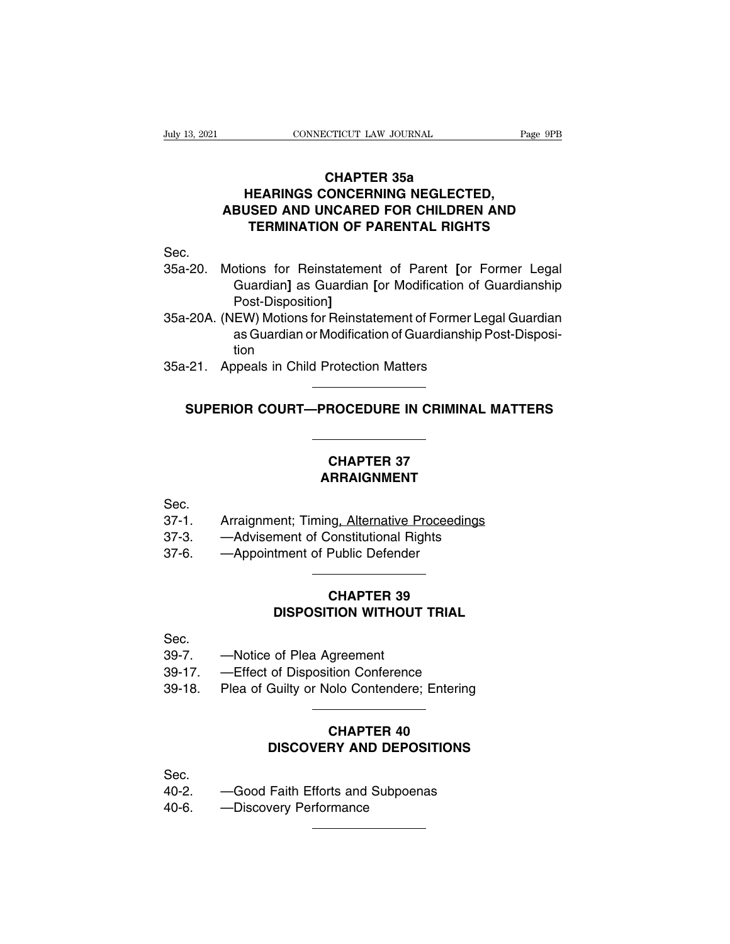### **CTICUT LAW JOURNAL<br>CHAPTER 35a<br>CONCERNING NEGLECTE**<br>NCARED FOR CHILDREN **EXAMPLE CONNECTICUT LAW JOURNAL**<br> **CHAPTER 35a<br>
HEARINGS CONCERNING NEGLECTED,<br>
JSED AND UNCARED FOR CHILDREN AND<br>
TERMINATION OF PARENTAL RIGHTS CONNECTICUT LAW JOURNAL** Page 9PB<br> **CHAPTER 35a**<br> **ABUSED AND UNCARED FOR CHILDREN AND<br>
TERMINATION OF PARENTAL RIGHTS TEARINGS CONCERNING NEGLECTED,<br>
TEARINGS CONCERNING NEGLECTED,<br>
SED AND UNCARED FOR CHILDREN AND<br>
TERMINATION OF PARENTAL RIGHTS** CHAPTER 35a<br>
HEARINGS CONCERNING NEGLECTED,<br>
ABUSED AND UNCARED FOR CHILDREN AND<br>
TERMINATION OF PARENTAL RIGHTS<br>
Sec.<br>
35a-20. Motions for Reinstatement of Parent [or Former Legal<br>
Guardian] as Guardian [or Modification o

Sec.

- **HEARINGS CONCERNING NEGLECTED,<br>
<b>BUSED AND UNCARED FOR CHILDREN AND<br>
<b>TERMINATION OF PARENTAL RIGHTS**<br>
potions for Reinstatement of Parent [or Former Legal<br>
Guardian] as Guardian [or Modification of Guardianship<br>
Post-Dis Post-Disposition**] TERMINATION OF PARENTAL RIGHTS<br>
Sec.<br>
35a-20. Motions for Reinstatement of Parent [or Former Legal<br>
Guardian] as Guardian [or Modification of Guardianship<br>
35a-20A. (NEW) Motions for Reinstatement of Former Legal Guardian** positions for Reinstatement of Parent [or Former Legal<br>Guardian] as Guardian [or Modification of Guardianship<br>Post-Disposition]<br>EW) Motions for Reinstatement of Former Legal Guardian<br>as Guardian or Modification of Guardian
- tion 35a-20. Motions for Reinstatement of Patent [of Patent<br>
Guardian] as Guardian [or Modification of Post-Disposition]<br>
35a-20A. (NEW) Motions for Reinstatement of Former Le<br>
as Guardian or Modification of Guardianship<br>
tion<br> -20A. (NEW) Motions for Reinstatement of Former Legal Guardian<br>
as Guardian or Modification of Guardianship Post-Disposi-<br>
tion<br>
-21. Appeals in Child Protection Matters<br> **SUPERIOR COURT—PROCEDURE IN CRIMINAL MATTERS**
- 

## **FOTECTION MATTERS<br>
ACCEDURE IN CRIMINA<br>
CHAPTER 37<br>
RRAIGNMENT ARRAIGNMENT**

Sec.

- CHAPTER 37<br>
CHAPTER 37<br>
Sec.<br>
37-1. Arraignment; Timing<u>, Alternative Proceedings</u><br>
37-3. Advisement of Constitutional Rights<br>
37-6. Appointment of Public Defender CHAPTER 37<br> **Sec.**<br>
37-1. Arraignment; Timing<u>, Alternative Proceedings</u><br>
37-3. —Advisement of Constitutional Rights<br>
37-6. —Appointment of Public Defender
- CHAPTER 37<br>
Sec.<br>
37-1. Arraignment; Timing<u>, Alternative Proceec</u><br>
37-3. —Advisement of Constitutional Rights<br>
37-6. —Appointment of Public Defender
- 

### **CHAPTER 39** ent; Timin<u>g, Alternative Proceedings</u><br>
ment of Constitutional Rights<br>
tment of Public Defender<br> **CHAPTER 39<br>
DISPOSITION WITHOUT TRIAL** CHAPTER 39<br>DISPOSITION WITHOUT<br>Sec. —Notice of Plea Agreement<br>39-7. —Effect of Disposition Conference CHAPTER 39<br>
DISPOSITION WITHOUT TRIAL<br>
39-7. —Notice of Plea Agreement<br>
39-17. —Effect of Disposition Conference<br>
39-18. Plea of Guilty or Nolo Contendere; Entering CHAPTER 39<br>
DISPOSITION WITHOUT TRIAL<br>
Sec.<br>
39-7. —Notice of Plea Agreement<br>
39-17. —Effect of Disposition Conference<br>
39-18. Plea of Guilty or Nolo Contendere; Entering

Sec.

- 
- 
- 

### greement<br>**Idion Conference**<br> **CHAPTER 40<br>
RY AND DEPOSITIONS Example 3 Assembly of Disposition Conference**<br> **Guilty or Nolo Contendere; Entering<br>
CHAPTER 40<br>
DISCOVERY AND DEPOSITIONS** CHAPTER 40<br>
DISCOVERY AND DEPOSITIONS<br>
Sec. —Good Faith Efforts and Subpoenas<br>
40-6. —Discovery Performance CHAPT<br>DISCOVERY ANI<br>Sec. ——Good Faith Efforts and<br>40-6. ——Discovery Performance

- 
-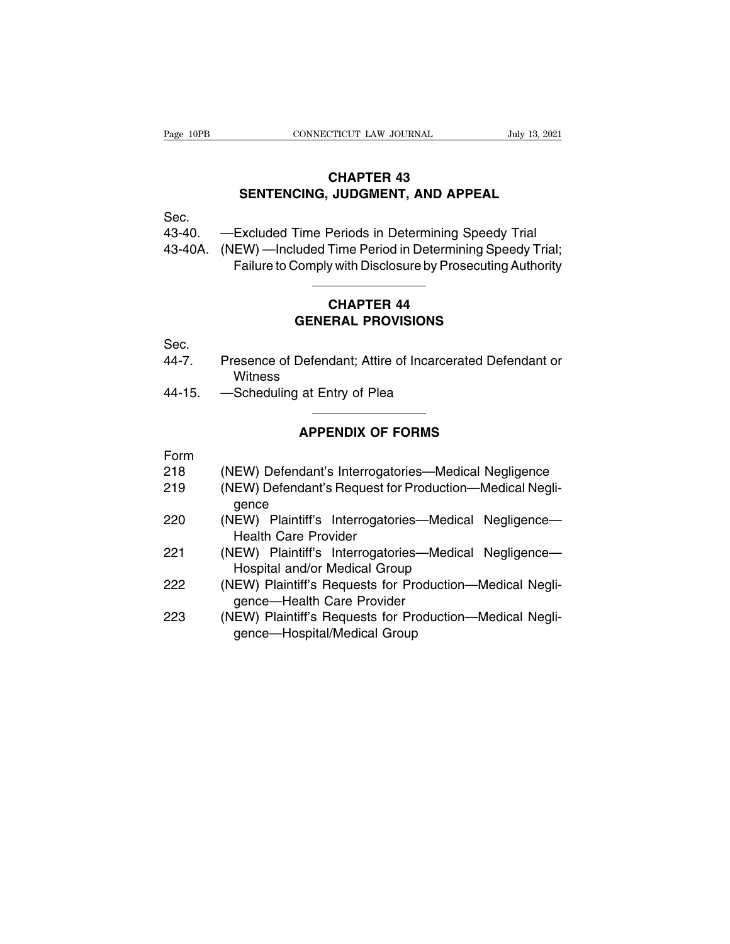Page 10PB CONNECTICUT LAW JOURNAL July 13, 2021

# **CTICUT LAW JOURNAL<br>CHAPTER 43<br>JUDGMENT, AND APPI SENTENCING, JUDGMENT, AND APPEAL** CHAPTER 43<br>
SENTENCING, JUDGMENT, AND APPEAL<br>
Excluded Time Periods in Determining Speedy Trial<br>
EW) —Included Time Period in Determining Speedy Trial;<br>
Failure to Comply with Disclosure by Prosecuting Authority

Sec.

CHAPTER 43<br>
SENTENCING, JUDGMENT, AND APPEAL<br>
Sec.<br>
43-40. — Excluded Time Periods in Determining Speedy Trial<br>
43-40A. (NEW) — Included Time Period in Determining Speedy Trial;<br>
Failure to Comply with Disclosure by Prosec CHAPTER 43<br>
SENTENCING, JUDGMENT, AND APPEAL<br>
43-40. — Excluded Time Periods in Determining Speedy Trial;<br>
43-40A. (NEW) — Included Time Period in Determining Speedy Trial;<br>
Failure to Comply with Disclosure by Prosecuting

# Periods in Determining Sp<br>Time Period in Determinin<br>y with Disclosure by Prose<br>**CHAPTER 44**<br>ERAL PROVISIONS Fime Periods in Determining Speedy Tr<br>
Luded Time Period in Determining Speed<br>
Comply with Disclosure by Prosecuting Au<br> **GENERAL PROVISIONS**

Sec.

- Fallure to Comply with Disclosure by Prosecuting Authority<br>
CHAPTER 44<br>
GENERAL PROVISIONS<br>
Sec.<br>
44-7. Presence of Defendant; Attire of Incarcerated Defendant or<br>
Witness<br>
44-15 Scheduling at Entry of Plea **Witness** CHAPTER 44<br>
GENERAL PROVISIONS<br>
Sec.<br>
44-7. Presence of Defendant; Attire of Incarcera<br>
Witness<br>
44-15. —Scheduling at Entry of Plea Defendant; Attire of Incarcerated Defer<br>at Entry of Plea<br>**APPENDIX OF FORMS**
- 

Form

- 
- Witness<br>
44-15. —Scheduling at Entry of Plea<br> **APPENDIX OF FORMS**<br>
Form<br>
218 (NEW) Defendant's Interrogatories—Medical Negligence<br>
219 (NEW) Defendant's Request for Production—Medical Negligence 219 (NEW) Defendant's Interrogatories—Medical Negligence<br>219 (NEW) Defendant's Interrogatories—Medical Negligence<br>219 (NEW) Defendant's Request for Production—Medical Negligence<br>220 (NEW) Plaintiffs Interrogatories—Medical gence **APPENDIX OF FORMS**<br>
218 (NEW) Defendant's Interrogatories—Medical Negligence<br>
219 (NEW) Defendant's Request for Production—Medical Negligence—<br>
220 (NEW) Plaintiff's Interrogatories—Medical Negligence—<br>
221 (NEW) Plaintif (NEW) Defendant's Interrogatories—Medical Negligence<br>
(NEW) Defendant's Request for Production—Medical Negli-<br>
gence<br>
(NEW) Plaintiff's Interrogatories—Medical Negligence—<br>
Health Care Provider<br>
(NEW) Plaintiff's Interroga Form<br>
218 (NEW) Defendant's Interrogatories—Medical Negligence<br>
220 (NEW) Plaintiff's Interrogatories—Medical Negligence—<br>
221 (NEW) Plaintiff's Interrogatories—Medical Negligence—<br>
221 (NEW) Plaintiff's Interrogatories—Me (NEW) Defendant's Request for Production—Medical Negli-<br>gence<br>(NEW) Plaintiff's Interrogatories—Medical Negligence—<br>Health Care Provider<br>(NEW) Plaintiff's Interrogatories—Medical Negligence—<br>Hospital and/or Medical Group<br>(
- (NEW) Detendant s Request for Production—Medical Negligence—<br>
220 (NEW) Plaintiff's Interrogatories—Medical Negligence—<br>
221 (NEW) Plaintiff's Interrogatories—Medical Negligence—<br>
222 (NEW) Plaintiff's Requests for Product (NEW) Plaintiff's Interrogatories—Medical Negligence—<br>
Health Care Provider<br>
(NEW) Plaintiff's Interrogatories—Medical Negligence—<br>
Hospital and/or Medical Group<br>
(NEW) Plaintiff's Requests for Production—Medical Negligenc
- 
- 
- 220 (NEW) Plaintiff's Interrogatories—Medical Negligence—<br>
Health Care Provider<br>
221 (NEW) Plaintiff's Interrogatories—Medical Negligence—<br>
222 (NEW) Plaintiff's Requests for Production—Medical Negligence—Health Care Provi Fealth Care Provider<br>
EW) Plaintiff's Interrogatories-<br>
Hospital and/or Medical Group<br>
EW) Plaintiff's Requests for Prover<br>
EW) Plaintiff's Requests for Prover<br>
gence—Hospital/Medical Group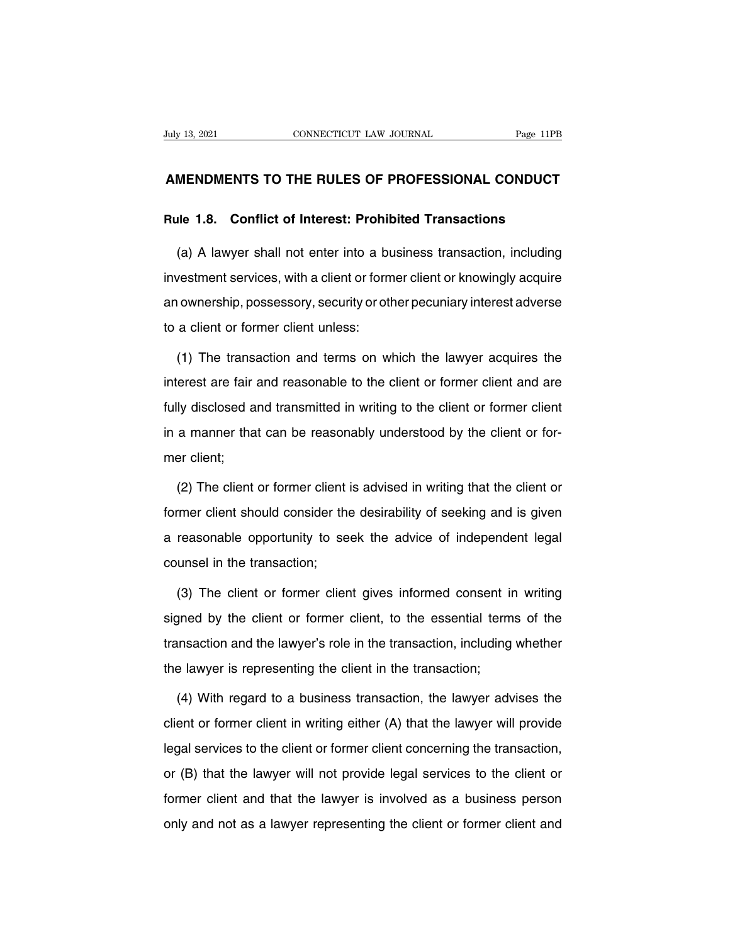# **AMENDMENTS TO THE RULES OF PROFESSIONAL CONDUCT Ruly 13, 2021** CONNECTICUT LAW JOURNAL Page 11PB<br> **AMENDMENTS TO THE RULES OF PROFESSIONAL CONDUCT**<br> **Rule 1.8. Conflict of Interest: Prohibited Transactions**<br>
(a) A lawyer shall not onter into a business transaction, inc

MENDMENTS TO THE RULES OF PROFESSIONAL CONDUCT<br>
Ile 1.8. Conflict of Interest: Prohibited Transactions<br>
(a) A lawyer shall not enter into a business transaction, including<br>
vestment services, with a client or former client Rule 1.8. Conflict of Interest: Prohibited Transactions<br>
(a) A lawyer shall not enter into a business transaction, including<br>
investment services, with a client or former client or knowingly acquire<br>
an ownership, possesso Rule 1.8. Conflict of Interest: Prohibited Transactions<br>
(a) A lawyer shall not enter into a business transaction, including<br>
investment services, with a client or former client or knowingly acquire<br>
an ownership, possesso (a) A lawyer shall not enter into a bum<br>investment services, with a client or form<br>an ownership, possessory, security or otl<br>to a client or former client unless:<br>(1) The transaction and terms on w vestment services, with a client or former client or knowingly acquire<br>
(1) The transaction and terms on which the lawyer acquires the<br>
erest are fair and reasonable to the client or former client and are

interest are fair and reasonsy, security or other pecuniary interest adverse<br>to a client or former client unless:<br>(1) The transaction and terms on which the lawyer acquires the<br>interest are fair and reasonable to the clien fully disclosed and transmitted in writing to the client or former client and are<br>fully disclosed and transmitted in writing to the client or former client<br>in a manner that can be reasonably understood by the client or for (1) The transaction and terms on which the lawyer acquires the interest are fair and reasonable to the client or former client and are fully disclosed and transmitted in writing to the client or former client in a manner t interest are fair<br>fully disclosed a<br>in a manner tha<br>mer client;<br>(2) The client (2) The client or former client or former client a manner that can be reasonably understood by the client or for-<br>er client;<br>(2) The client or former client is advised in writing that the client or<br>mer client should consid

in a manner that can be reasonably understood by the client or for-<br>mer client;<br>(2) The client or former client is advised in writing that the client or<br>former client should consider the desirability of seeking and is give mer client;<br>(2) The client or former client is advised in writing that the client or<br>former client should consider the desirability of seeking and is given<br>a reasonable opportunity to seek the advice of independent legal<br>c (2) The client or former client<br>former client should consider the<br>a reasonable opportunity to se<br>counsel in the transaction;<br>(3) The client or former clien mer client should consider the desirability of seeking and is given<br>reasonable opportunity to seek the advice of independent legal<br>unsel in the transaction;<br>(3) The client or former client gives informed consent in writing

is a reasonable opportunity to seek the advice of independent legal<br>counsel in the transaction;<br>(3) The client or former client gives informed consent in writing<br>signed by the client or former client, to the essential term counsel in the transaction;<br>
(3) The client or former client gives informed consent in writing<br>
signed by the client or former client, to the essential terms of the<br>
transaction and the lawyer's role in the transaction, in (3) The client or former client gives informed consent in signed by the client or former client, to the essential term transaction and the lawyer's role in the transaction, including the lawyer is representing the client i (4) y the client or former client, to the essential terms of the<br>
insaction and the lawyer's role in the transaction, including whether<br>
e lawyer is representing the client in the transaction;<br>
(4) With regard to a busines

transaction and the lawyer's role in the transaction, including whether<br>the lawyer is representing the client in the transaction;<br>(4) With regard to a business transaction, the lawyer advises the<br>client or former client in the lawyer is representing the client in the transaction;<br>
(4) With regard to a business transaction, the lawyer advises the<br>
client or former client in writing either (A) that the lawyer will provide<br>
legal services to th (4) With regard to a business transaction, the lawyer advises the client or former client in writing either (A) that the lawyer will provide legal services to the client or former client concerning the transaction, or (B) former client and that the lawyer is involved as a business person only and not as a lawyer representing the client or former client or former client concerning the transaction, or (B) that the lawyer will not provide lega legal services to the client or former client concerning the transaction, or (B) that the lawyer will not provide legal services to the client or former client and that the lawyer is involved as a business person only and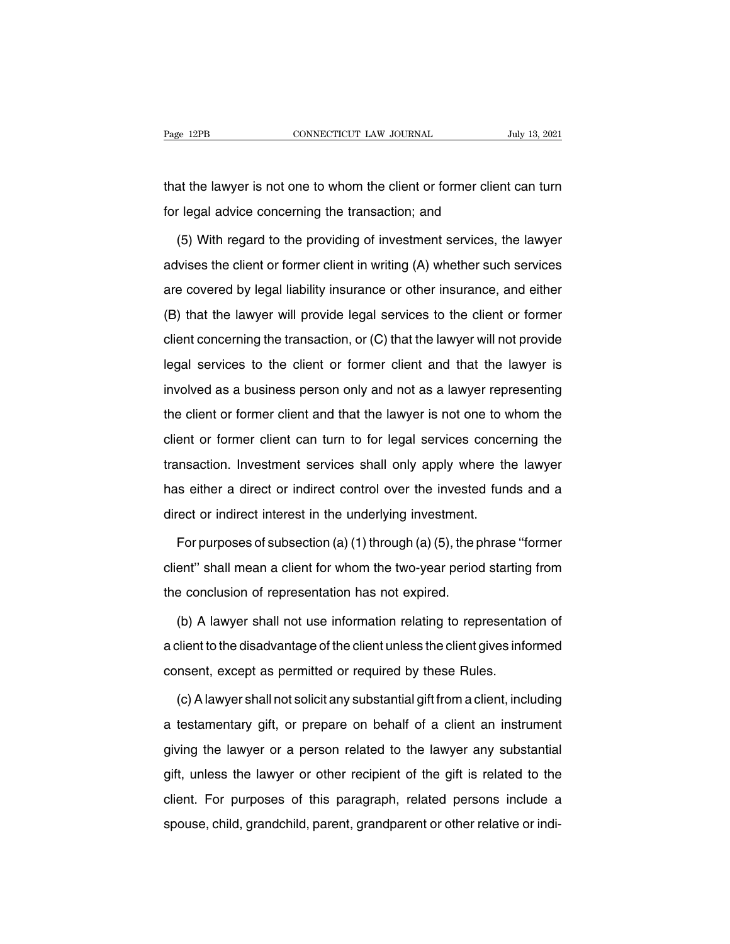The lawyer is not one to whom the client or former client can turn<br>that the lawyer is not one to whom the client or former client can turn<br>for legal advice concerning the transaction; and Fage 12PB CONNECTICUT LAW JOURNAL<br>that the lawyer is not one to whom the client or former clien<br>for legal advice concerning the transaction; and<br>(5) With regard to the providing of investment services, tl

(5) at the lawyer is not one to whom the client or former client can turn<br>
(5) With regard to the providing of investment services, the lawyer<br>
(5) With regard to the providing of investment services, the lawyer<br>
Vises the that the lawyer is not one to whom the client or former client can turn<br>for legal advice concerning the transaction; and<br>(5) With regard to the providing of investment services, the lawyer<br>advises the client or former clie for legal advice concerning the transaction; and<br>
(5) With regard to the providing of investment services, the lawyer<br>
advises the client or former client in writing (A) whether such services<br>
are covered by legal liabilit (5) With regard to the providing of investment services, the lawyer advises the client or former client in writing (A) whether such services are covered by legal liability insurance or other insurance, and either (B) that (c) What regard to the providing of investment services, the lawyer<br>advises the client or former client in writing (A) whether such services<br>are covered by legal liability insurance or other insurance, and either<br>(B) that are covered by legal liability insurance or other insurance, and either<br>(B) that the lawyer will provide legal services to the client or former<br>client concerning the transaction, or (C) that the lawyer will not provide<br>leg (B) that the lawyer will provide legal services to the client or former<br>client concerning the transaction, or (C) that the lawyer will not provide<br>legal services to the client or former client and that the lawyer is<br>invol dient concerning the transaction, or (C) that the lawyer will not provide<br>legal services to the client or former client and that the lawyer is<br>involved as a business person only and not as a lawyer representing<br>the client legal services to the client or former client and that the lawyer is<br>involved as a business person only and not as a lawyer representing<br>the client or former client and that the lawyer is not one to whom the<br>client or form involved as a business person only and not as a lawyer representing<br>the client or former client and that the lawyer is not one to whom the<br>client or former client can turn to for legal services concerning the<br>transaction. the client or former client and that the lawyer is not one to whom the client or former client can turn to for legal services concerning the transaction. Investment services shall only apply where the lawyer has either a d dient or former client can turn to for legal services conce<br>transaction. Investment services shall only apply where th<br>has either a direct or indirect control over the invested fund<br>direct or indirect interest in the under Insaction. Investment services shall only apply where the lawyer<br>Insection a direct or indirect control over the invested funds and a<br>rect or indirect interest in the underlying investment.<br>For purposes of subsection (a) (

has either a direct or indirect control over the invested funds and a<br>direct or indirect interest in the underlying investment.<br>For purposes of subsection (a) (1) through (a) (5), the phrase "former<br>client" shall mean a cl direct or indirect interest in the underlying investment.<br>For purposes of subsection (a) (1) through (a) (5), the p<br>client" shall mean a client for whom the two-year period<br>the conclusion of representation has not expired. For purposes of subsection (a) (1) through (a) (5), the phrase "former<br>ent" shall mean a client for whom the two-year period starting from<br>e conclusion of representation has not expired.<br>(b) A lawyer shall not use informat

client" shall mean a client for whom the two-year period starting from<br>the conclusion of representation has not expired.<br>(b) A lawyer shall not use information relating to representation of<br>a client to the disadvantage of the conclusion of representation has not expired.<br>
(b) A lawyer shall not use information relating to representat<br>
a client to the disadvantage of the client unless the client gives info<br>
consent, except as permitted or re (b) A lawyer shall not use information relating to representation of<br>client to the disadvantage of the client unless the client gives informed<br>nsent, except as permitted or required by these Rules.<br>(c) A lawyer shall not s

a client to the disadvantage of the client unless the client gives informed<br>consent, except as permitted or required by these Rules.<br>(c) A lawyer shall not solicit any substantial gift from a client, including<br>a testamenta consent, except as permitted or required by these Rules.<br>
(c) A lawyer shall not solicit any substantial gift from a client, including<br>
a testamentary gift, or prepare on behalf of a client an instrument<br>
giving the lawyer (c) A lawyer shall not solicit any substantial gift from a client, including<br>a testamentary gift, or prepare on behalf of a client an instrument<br>giving the lawyer or a person related to the lawyer any substantial<br>gift, unl (b) Alawyor bilaminot bolished in y cabolismic girl formationerit, including<br>a testamentary gift, or prepare on behalf of a client an instrument<br>giving the lawyer or a person related to the lawyer any substantial<br>gift, unl giving the lawyer or a person related to the lawyer any substantial<br>gift, unless the lawyer or other recipient of the gift is related to the<br>client. For purposes of this paragraph, related persons include a<br>spouse, child,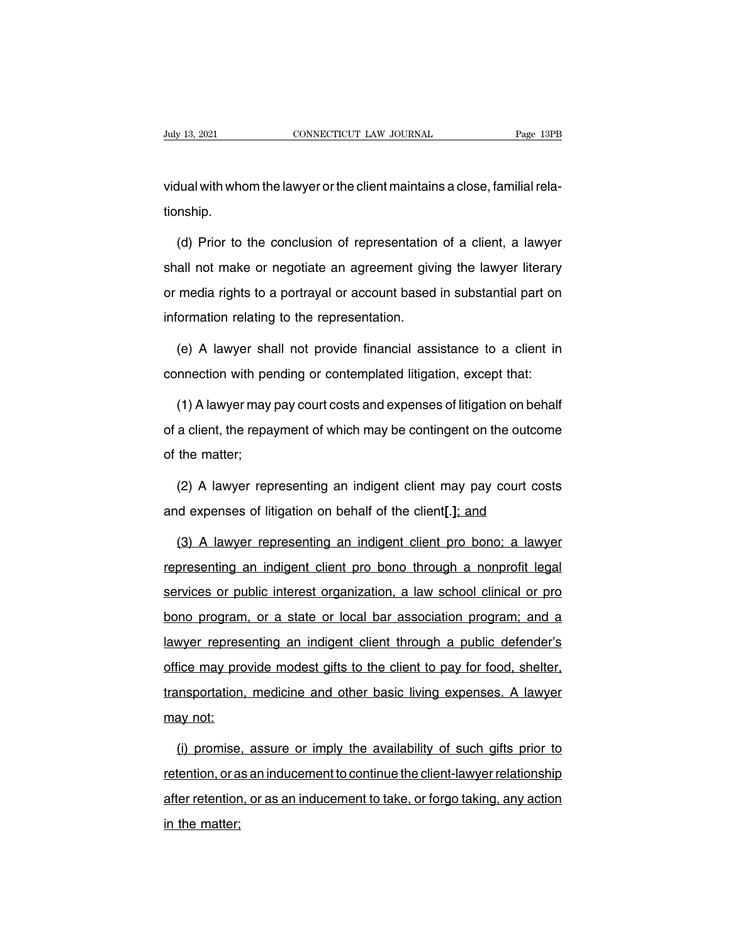Vuly 13, 2021<br>CONNECTICUT LAW JOURNAL Page 13PB<br>Vidual with whom the lawyer or the client maintains a close, familial rela-<br>tionship. tionship.

(d) Prior to the lawyer or the client maintains a close, familial rela-<br>nship.<br>(d) Prior to the conclusion of representation of a client, a lawyer<br>all not make or negotiate an agreement giving the lawyer literary idual with whom the lawyer or the client maintains a close, familial relationship.<br>
(d) Prior to the conclusion of representation of a client, a lawyer<br>
shall not make or negotiate an agreement giving the lawyer literary<br> tionship.<br>
(d) Prior to the conclusion of representation of a client, a lawyer<br>
shall not make or negotiate an agreement giving the lawyer literary<br>
or media rights to a portrayal or account based in substantial part on<br>
i (d) Prior to the conclusion of representation<br>shall not make or negotiate an agreement givi<br>or media rights to a portrayal or account based<br>information relating to the representation.<br>(e) A lawyer shall not provide financi (e) a lawyer interary<br>
media rights to a portrayal or account based in substantial part on<br>
iormation relating to the representation.<br>
(e) A lawyer shall not provide financial assistance to a client in<br>
innection with pend or media rights to a portrayal or account based in substantial part on<br>information relating to the representation.<br>(e) A lawyer shall not provide financial assistance to a client in<br>connection with pending or contemplated

(e) A lawyer shall not provide financial assistance to a client in<br>nection with pending or contemplated litigation, except that:<br>(1) A lawyer may pay court costs and expenses of litigation on behalf<br>a client, the repayment (e) A lawyer shall not provide financial assistance to a client in connection with pending or contemplated litigation, except that:<br>(1) A lawyer may pay court costs and expenses of litigation on behalf of a client, the rep connection with per<br>
(1) A lawyer may<br>
of a client, the repay<br>
of the matter;<br>
(2) A lawyer rep (1) A lawyer may pay court costs and expenses of litigation on behalf<br>a client, the repayment of which may be contingent on the outcome<br>the matter;<br>(2) A lawyer representing an indigent client may pay court costs<br>d expense of a client, the repayment of which may be contingent on the outcom<br>of the matter;<br>(2) A lawyer representing an indigent client may pay court cos<br>and expenses of litigation on behalf of the client[.]; and<br>(3) A lawyer repr

(2) A lawyer representing an indigent client may pay court costs<br>d expenses of litigation on behalf of the client[.]; and<br>(3) A lawyer representing an indigent client pro bono; a lawyer<br>presenting an indigent client pro bo (2) A lawyer representing an indigent client may pay court costs<br>and expenses of litigation on behalf of the client[.]; and<br>(3) A lawyer representing an indigent client pro bono; a lawyer<br>representing an indigent client pr and expenses of litigation on behalf of the client[.]; and<br>
(3) A lawyer representing an indigent client pro bono; a lawyer<br>
representing an indigent client pro bono through a nonprofit legal<br>
services or public interest o (3) A lawyer representing an indigent client pro bono; a lawyer<br>representing an indigent client pro bono through a nonprofit legal<br>services or public interest organization, a law school clinical or pro<br>bono program, or a s representing an indigent client pro bono through a nonprofit legal<br>services or public interest organization, a law school clinical or pro<br>bono program, or a state or local bar association program; and a<br>lawyer representing services or public interest organization, a law school clinical or pro<br>bono program, or a state or local bar association program; and a<br>lawyer representing an indigent client through a public defender's<br>office may provide bono program, or a state or local bar association program; and a lawyer representing an indigent client through a public defender's office may provide modest gifts to the client to pay for food, shelter, transportation, me Exchementational<br>Iawyer represe<br>office may pro<br>transportation,<br>may not:<br>(i) promise (ice may provide modest gifts to the client to pay for food, shelter, insportation, medicine and other basic living expenses. A lawyer ay not:<br>(i) promise, assure or imply the availability of such gifts prior to tention, o

transportation, medicine and other basic living expenses. A lawyer<br>may not:<br>(i) promise, assure or imply the availability of such gifts prior to<br>retention, or as an inducement to continue the client-lawyer relationship<br>aft may not:<br>
(i) promise, assure or imply the availability of such gifts prior to<br>
retention, or as an inducement to continue the client-lawyer relationship<br>
after retention, or as an inducement to take, or forgo taking, any (i) promise<br>retention, or a<br>after retentior<br>in the matter;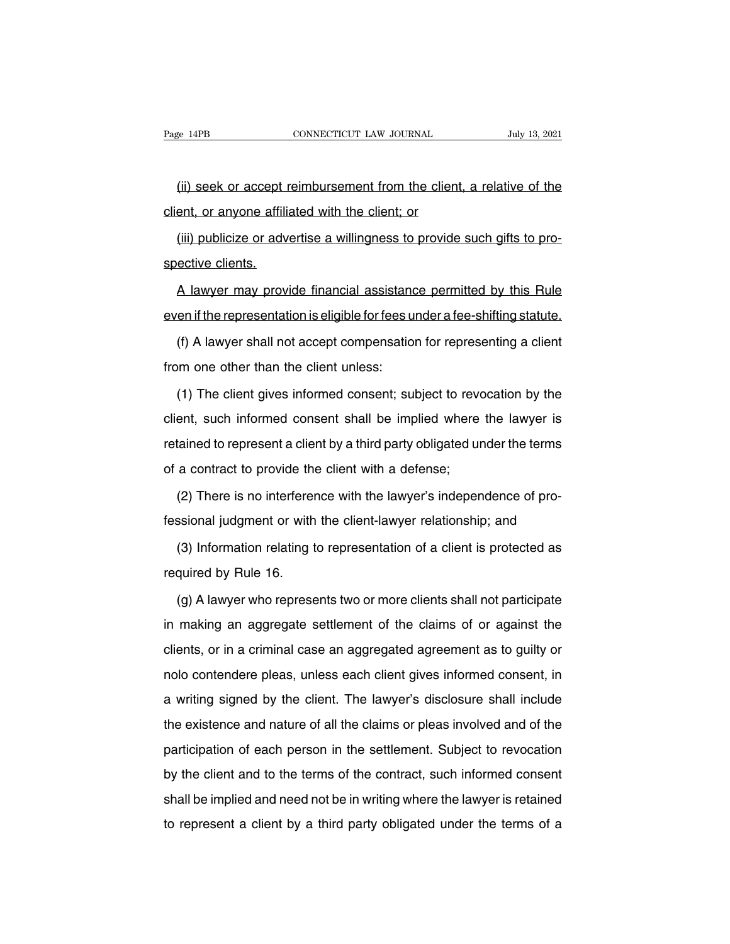(ii) seek or accept reimbursement from the client, a relative of the<br>ent, or anyone affiliated with the client; or Page 14PB connecticut LAW JOURNAL<br>(ii) seek or accept reimbursement from the client<br>client, or anyone affiliated with the client; or<br>(iii) publicize or advertise a willingness to provide (ii) seek or accept reimbursement from the client, a relative of the<br>ent, or anyone affiliated with the client; or<br>(iii) publicize or advertise a willingness to provide such gifts to pro-<br>ective clients. (ii) seek or accept r<br>client, or anyone affili.<br>(iii) publicize or adv<br>spective clients.<br>A lawyer may prov.

Framedial and the client; or<br>
A lawyer may provide financial assistance permitted by this Rule<br>
A lawyer may provide financial assistance permitted by this Rule<br>
The representation is eligible for fees under a fee-shifting (iii) publicize or advertise a willingness to provide such gifts to pro-<br>spective clients.<br>A lawyer may provide financial assistance permitted by this Rule<br>even if the representation is eligible for fees under a fee-shifti

ective clients.<br>
A lawyer may provide financial assistance permitted by this Rule<br>
en if the representation is eligible for fees under a fee-shifting statute.<br>
(f) A lawyer shall not accept compensation for representing a A lawyer may provide financial assistand<br>even if the representation is eligible for fees u<br>(f) A lawyer shall not accept compensatio<br>from one other than the client unless:<br>(1) The client gives informed consent; su

(f) A lawyer shall not accept compensation for representing a client<br>(f) A lawyer shall not accept compensation for representing a client<br>om one other than the client unless:<br>(1) The client gives informed consent; subject (f) A lawyer shall not accept compensation for representing a client<br>from one other than the client unless:<br>(1) The client gives informed consent; subject to revocation by the<br>client, such informed consent shall be implied from one other than the client unless:<br>
(1) The client gives informed consent; subject to revocation by the<br>
client, such informed consent shall be implied where the lawyer is<br>
retained to represent a client by a third par (1) The client gives informed consent; subject to revolution, such informed consent shall be implied where retained to represent a client by a third party obligated unof a contract to provide the client with a defense;<br>(2) (1) The client gives interference consent shall be implied where the lawyer is<br>tained to represent a client by a third party obligated under the terms<br>a contract to provide the client with a defense;<br>(2) There is no interf fractional increases the client by a third party obligated under the terms<br>of a contract to provide the client with a defense;<br>(2) There is no interference with the lawyer's independence of pro-<br>fessional judgment or with

a contract to provide the client with a defense;<br>(2) There is no interference with the lawyer's independence of pro-<br>ssional judgment or with the client-lawyer relationship; and<br>(3) Information relating to representation o (2) There is no interferer<br>fessional judgment or with<br>(3) Information relating t<br>required by Rule 16.<br>(g) A lawyer who represe

ssional judgment or with the client-lawyer relationship; and<br>(3) Information relating to representation of a client is protected as<br>quired by Rule 16.<br>(g) A lawyer who represents two or more clients shall not participate<br>m (3) Information relating to representation of a client is protected as<br>required by Rule 16.<br>(g) A lawyer who represents two or more clients shall not participate<br>in making an aggregate settlement of the claims of or agains required by Rule 16.<br>(g) A lawyer who represents two or more clients shall not participate<br>in making an aggregate settlement of the claims of or against the<br>clients, or in a criminal case an aggregated agreement as to guil (g) A lawyer who represents two or more clients shall not participate<br>in making an aggregate settlement of the claims of or against the<br>clients, or in a criminal case an aggregated agreement as to guilty or<br>nolo contendere in making an aggregate settlement of the claims of or against the clients, or in a criminal case an aggregated agreement as to guilty or nolo contendere pleas, unless each client gives informed consent, in a writing signe the maturity and aggregate councilient of the claims of of against the clients, or in a criminal case an aggregated agreement as to guilty or nolo contendere pleas, unless each client gives informed consent, in a writing s participation of each person in the settlement. Subject to revocation by the client of each person in the settlement. Subject to revocation by the client and to the terms of the contract, such informed consent by the client. The lawyer's disclosure shall include<br>the existence and nature of all the claims or pleas involved and of the<br>participation of each person in the settlement. Subject to revocation<br>by the client and to the te is the existence and nature of all the claims or pleas involved and of the participation of each person in the settlement. Subject to revocation by the client and to the terms of the contract, such informed consent shall b participation of each person in the settlement. Subject to revocation<br>by the client and to the terms of the contract, such informed consent<br>shall be implied and need not be in writing where the lawyer is retained<br>to repres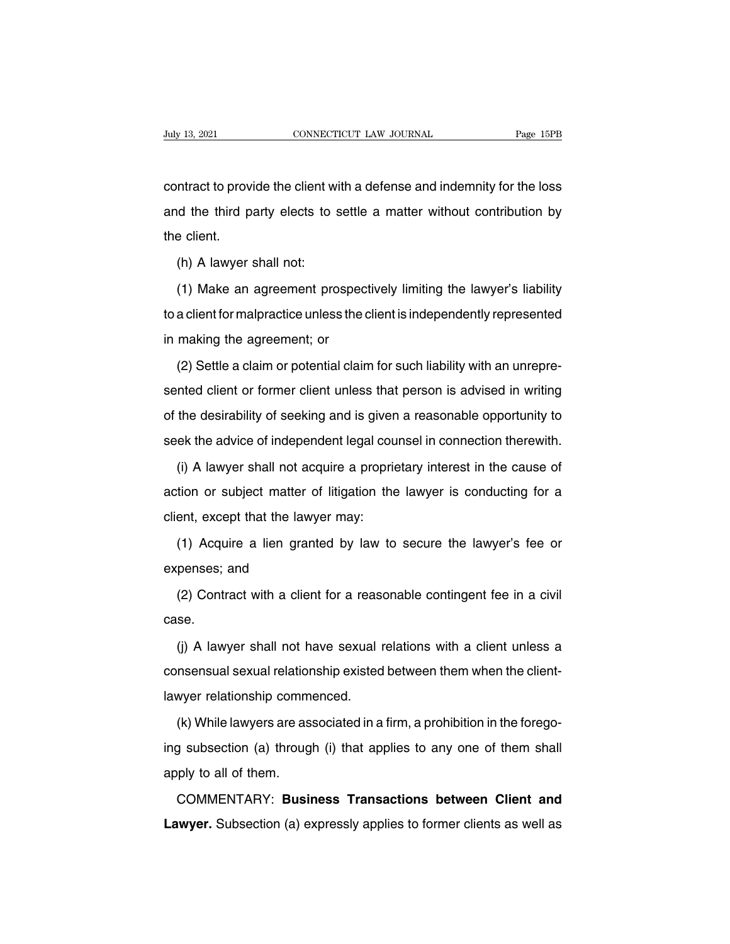CONNECTICUT LAW JOURNAL Page 15PB<br>
contract to provide the client with a defense and indemnity for the loss<br>
contract to provide the client with a defense and indemnity for the loss<br>
and the third party elects to settle a July 13, 2021 CONNECTICUT LAW JOURNAL Page 15PB<br>contract to provide the client with a defense and indemnity for the loss<br>and the third party elects to settle a matter without contribution by<br>the client. contract to proversion<br>and the third p<br>the client.<br>(h) A lawyer ntract to provide the client w<br>
d the third party elects to :<br>
e client.<br>
(h) A lawyer shall not:<br>
(1) Make an agreement pro (1) Make an agreement prospectively limiting the lawyer's liability<br>
(1) Make an agreement prospectively limiting the lawyer's liability<br>
(1) Make an agreement prospectively limiting the lawyer's liability<br>
a client for ma

the client.<br>
(h) A lawyer shall not:<br>
(1) Make an agreement prospectively limiting the lawyer's liability<br>
to a client for malpractice unless the client is independently represented<br>
in making the agreement; or (h) A lawyer shall not:<br>
(1) Make an agreement prospecto a client for malpractice unless the computer of making the agreement; or<br>
(2) Settle a claim or potential claim (1) Make an agreement prospectively limiting the lawyer's liability<br>a client for malpractice unless the client is independently represented<br>making the agreement; or<br>(2) Settle a claim or potential claim for such liability

to a client for malpractice unless the client is independently represented<br>in making the agreement; or<br>(2) Settle a claim or potential claim for such liability with an unrepre-<br>sented client or former client unless that pe in making the agreement; or<br>
(2) Settle a claim or potential claim for such liability with an unrepre-<br>
sented client or former client unless that person is advised in writing<br>
of the desirability of seeking and is given a (2) Settle a claim or potential claim for such liability with an unrepresented client or former client unless that person is advised in writing of the desirability of seeking and is given a reasonable opportunity to seek t (a) Court a claim of percentic claim of contracting) that an energy<br>inted client or former client unless that person is advised in writing<br>the desirability of seeking and is given a reasonable opportunity to<br>ek the advice

of the desirability of seeking and is given a reasonable opportunity to<br>seek the advice of independent legal counsel in connection therewith.<br>(i) A lawyer shall not acquire a proprietary interest in the cause of<br>action or seek the advice of independent legal cou<br>
(i) A lawyer shall not acquire a propria<br>
action or subject matter of litigation the<br>
client, except that the lawyer may:<br>
(1) Acquire a lien granted by law to (i) A lawyer shall not acquire a proprietary interest in the cause of<br>tion or subject matter of litigation the lawyer is conducting for a<br>ent, except that the lawyer may:<br>(1) Acquire a lien granted by law to secure the la experience action or subject matter of<br>action or subject matter of<br>client, except that the laws<br>(1) Acquire a lien gran<br>expenses; and<br>(2) Contract with a clien

ent, except that the lawyer may:<br>
(1) Acquire a lien granted by law to secure the lawyer's fee or<br>
penses; and<br>
(2) Contract with a client for a reasonable contingent fee in a civil<br>
se.

case.

penses; and<br>(2) Contract with a client for a reasonable contingent fee in a civil<br>se.<br>(j) A lawyer shall not have sexual relations with a client unless a<br>nsensual sexual relationship existed between them when the client-(2) Contract with a client for a reasonable contingent fee in a civil<br>case.<br>(i) A lawyer shall not have sexual relations with a client unless a<br>consensual sexual relationship existed between them when the client-<br>lawyer re (a) A lawyer shall not have sexual relationship consensual sexual relationship existed<br>lawyer relationship commenced.<br>(k) While lawyers are associated in a (j) A lawyer shall not have sexual relations with a client unless a<br>nsensual sexual relationship existed between them when the client-<br>wyer relationship commenced.<br>(k) While lawyers are associated in a firm, a prohibition

ing subsection (a) the matrix of the state of them when the client-<br>lawyer relationship commenced.<br>(k) While lawyers are associated in a firm, a prohibition in the forego-<br>ing subsection (a) through (i) that applies to any lawyer relationship comm<br>(k) While lawyers are as<br>ing subsection (a) throug<br>apply to all of them.<br>COMMENTARY: Busin (k) While lawyers are associated in a firm, a prohibition in the forego-<br>g subsection (a) through (i) that applies to any one of them shall<br>ply to all of them.<br>COMMENTARY: **Business Transactions between Client and**<br>wyer. S **Lawyer.** Subsection (a) through (i) that applies to any one of them shall apply to all of them.<br>
COMMENTARY: **Business Transactions between Client and Lawyer.** Subsection (a) expressly applies to former clients as well as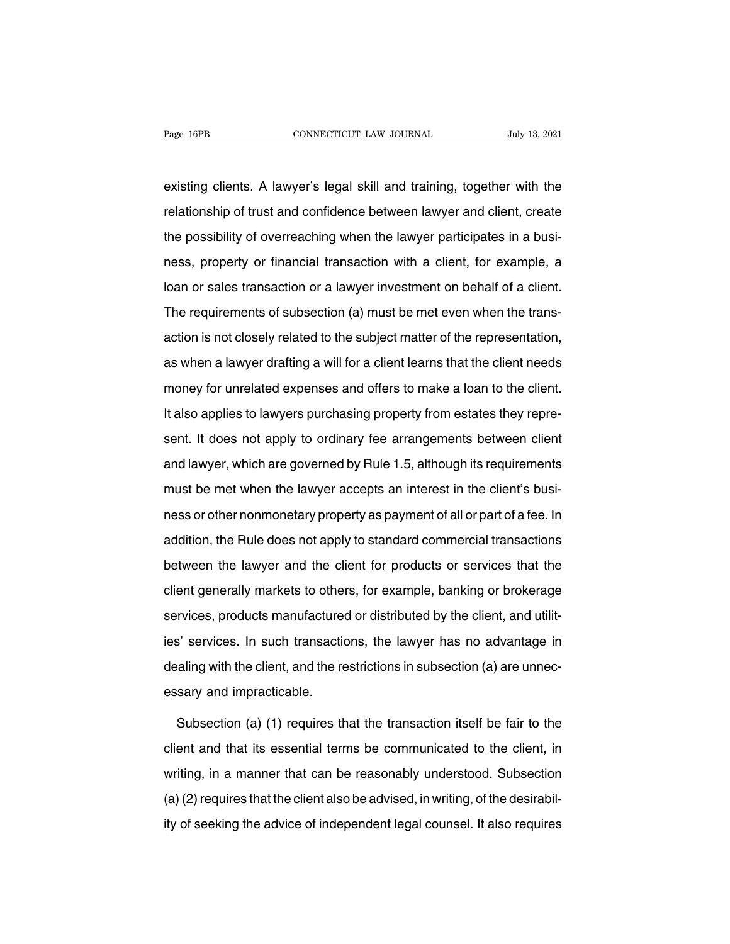Page 16PB CONNECTICUT LAW JOURNAL July 13, 2021<br>existing clients. A lawyer's legal skill and training, together with the<br>relationship of trust and confidence between lawyer and client, create relationship of trust and confidence between lawyer participates in a busi-<br>the possibility of overreaching when the lawyer participates in a busiexisting clients. A lawyer's legal skill and training, together with the<br>relationship of trust and confidence between lawyer and client, create<br>the possibility of overreaching when the lawyer participates in a busi-<br>ness, existing clients. A lawyer's legal skill and training, together with the relationship of trust and confidence between lawyer and client, create the possibility of overreaching when the lawyer participates in a business, pr relationship of trust and confidence between lawyer and client, create<br>the possibility of overreaching when the lawyer participates in a busi-<br>ness, property or financial transaction with a client, for example, a<br>loan or s The possibility of overreaching when the lawyer participates in a busi-<br>ness, property or financial transaction with a client, for example, a<br>loan or sales transaction or a lawyer investment on behalf of a client.<br>The requ action is not closely related to the subject matter of the representation or sales transaction or a lawyer investment on behalf of a client.<br>The requirements of subsection (a) must be met even when the transaction is not c loan or sales transaction or a lawyer investment on behalf of a client.<br>The requirements of subsection (a) must be met even when the trans-<br>action is not closely related to the subject matter of the representation,<br>as when The requirements of subsection (a) must be met even when the trans-<br>action is not closely related to the subject matter of the representation,<br>as when a lawyer drafting a will for a client learns that the client needs<br>mone It also applies to lawyers purchasing property from estates they represented.<br>It also applies to lawyers purchasing property from estates they repre-<br>sent. It does not apply to ordinary fee arrangements between client. as when a lawyer drafting a will for a client learns that the client needs<br>money for unrelated expenses and offers to make a loan to the client.<br>It also applies to lawyers purchasing property from estates they repre-<br>sent. are more a ranger arranged and offers to make a loan to the client.<br>It also applies to lawyers purchasing property from estates they repre-<br>sent. It does not apply to ordinary fee arrangements between client<br>and lawyer, wh It also applies to lawyers purchasing property from estates they represent. It does not apply to ordinary fee arrangements between client<br>and lawyer, which are governed by Rule 1.5, although its requirements<br>must be met wh ness or other nonmonetary property as payment of all or part of a fee. In addition, the Rule does not apply to standard commercial transactions and lawyer, which are governed by Rule 1.5, although its requirements<br>must be met when the lawyer accepts an interest in the client's busi-<br>ness or other nonmonetary property as payment of all or part of a fee. In<br>addition between the lawyer accepts an interest in the client's business or other nonmonetary property as payment of all or part of a fee. In addition, the Rule does not apply to standard commercial transactions between the lawyer mess or other nonmonetary property as payment of all or part of a fee. In addition, the Rule does not apply to standard commercial transactions between the lawyer and the client for products or services that the client gen services of entertrementally property as payment or all of particles in<br>addition, the Rule does not apply to standard commercial transactions<br>between the lawyer and the client for products or services that the<br>client gener between the lawyer and the client for products or services that the<br>client generally markets to others, for example, banking or brokerage<br>services, products manufactured or distributed by the client, and utilit-<br>ies' servi dent generally markets to others, for example, banking or brokerage<br>services, products manufactured or distributed by the client, and utilit-<br>ies' services. In such transactions, the lawyer has no advantage in<br>dealing with services, products manufacture<br>ies' services. In such transactic<br>dealing with the client, and the re<br>essary and impracticable.<br>Subsection (a) (1) requires the Solf is a services. In such transactions, the lawyer has no advantage in aling with the client, and the restrictions in subsection (a) are unnec-<br>sary and impracticable.<br>Subsection (a) (1) requires that the transaction its

dealing with the client, and the restrictions in subsection (a) are unnec-<br>essary and impracticable.<br>Subsection (a) (1) requires that the transaction itself be fair to the<br>client and that its essential terms be communicate essary and impracticable.<br>
Subsection (a) (1) requires that the transaction itself be fair to the<br>
client and that its essential terms be communicated to the client, in<br>
writing, in a manner that can be reasonably understo Subsection (a) (1) requires that the transaction itself be fair to the client and that its essential terms be communicated to the client, in writing, in a manner that can be reasonably understood. Subsection (a) (2) requir client and that its essential terms be communicated to the client, in writing, in a manner that can be reasonably understood. Subsection (a) (2) requires that the client also be advised, in writing, of the desirability of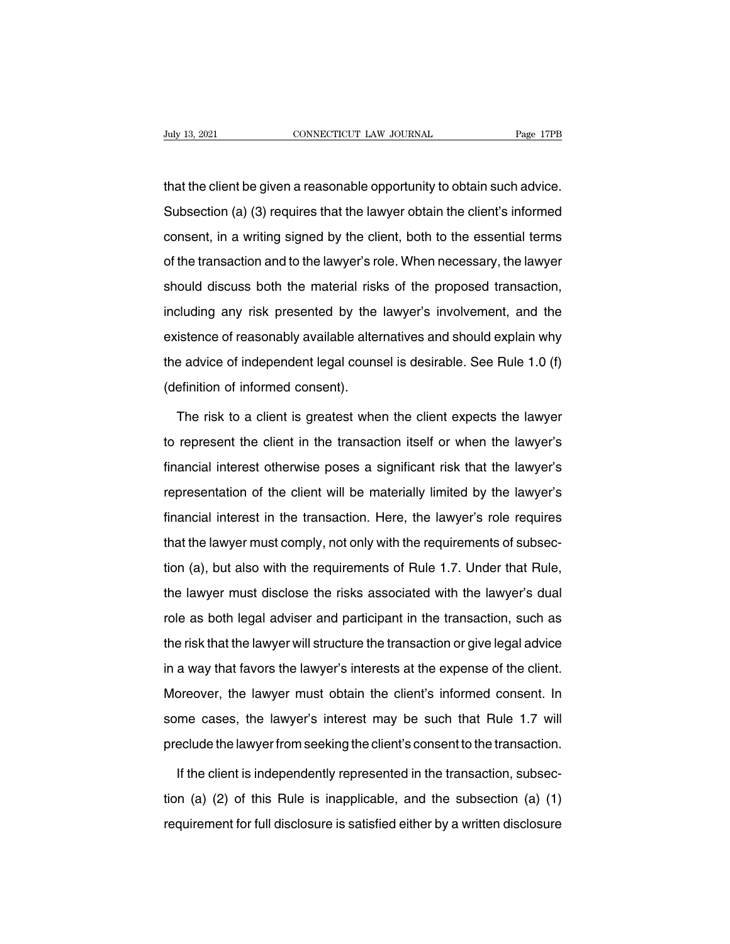Tuly 13, 2021<br>
<u>CONNECTICUT LAW JOURNAL Page 17PB</u><br>
that the client be given a reasonable opportunity to obtain such advice.<br>
Subsection (a) (3) requires that the lawyer obtain the client's informed Subsection (a) (3) requires that the client, both in such advice.<br>Subsection (a) (3) requires that the lawyer obtain the client's informed<br>consent, in a writing signed by the client, both to the essential terms that the client be given a reasonable opportunity to obtain such advice.<br>Subsection (a) (3) requires that the lawyer obtain the client's informed<br>consent, in a writing signed by the client, both to the essential terms<br>of t that the client be given a reasonable opportunity to obtain such advice.<br>Subsection (a) (3) requires that the lawyer obtain the client's informed<br>consent, in a writing signed by the client, both to the essential terms<br>of t should discuss both the material risks of the proposed transaction, including any risk presented by the lawyer's informed transaction, including any risk presented by the lawyer's involvement, and the figure and the materi consent, in a writing signed by the client, both to the essential terms<br>of the transaction and to the lawyer's role. When necessary, the lawyer<br>should discuss both the material risks of the proposed transaction,<br>including of the transaction and to the lawyer's role. When necessary, the lawyer<br>should discuss both the material risks of the proposed transaction,<br>including any risk presented by the lawyer's involvement, and the<br>existence of rea should discuss both the material risks of the proposed transaction,<br>including any risk presented by the lawyer's involvement, and the<br>existence of reasonably available alternatives and should explain why<br>the advice of inde including any risk presented by the<br>including any risk presented by the<br>the advice of independent legal couns<br>(definition of informed consent).<br>The risk to a client is greatest whe istence of reasonably available alternatives and should explain why<br>a advice of independent legal counsel is desirable. See Rule 1.0 (f)<br>efinition of informed consent).<br>The risk to a client is greatest when the client expe

the advice of independent legal counsel is desirable. See Rule 1.0 (f)<br>(definition of informed consent).<br>The risk to a client is greatest when the client expects the lawyer's<br>to represent the client in the transaction itse (definition of informed consent).<br>The risk to a client is greatest when the client expects the lawyer's<br>to represent the client in the transaction itself or when the lawyer's<br>financial interest otherwise poses a significan The risk to a client is greatest when the client expects the lawyer<br>to represent the client in the transaction itself or when the lawyer's<br>financial interest otherwise poses a significant risk that the lawyer's<br>representat financial interest otherwise poses a significant risk that the lawyer's financial interest otherwise poses a significant risk that the lawyer's representation of the client will be materially limited by the lawyer's financ to represent the client in the transaction itself or when the lawyer's financial interest otherwise poses a significant risk that the lawyer's representation of the client will be materially limited by the lawyer's financi that the rest of the client will be materially limited by the lawyer's<br>financial interest in the transaction. Here, the lawyer's role requires<br>that the lawyer must comply, not only with the requirements of subsec-<br>tion (a) tinancial interest in the transaction. Here, the lawyer's role requires<br>that the lawyer must comply, not only with the requirements of subsec-<br>tion (a), but also with the requirements of Rule 1.7. Under that Rule,<br>the lawy role as both legal adviser and participant in the transaction (a), but also with the requirements of Rule 1.7. Under that Rule, the lawyer must disclose the risks associated with the lawyer's dual role as both legal advise tion (a), but also with the requirements of Rule 1.7. Under that Rule,<br>the lawyer must disclose the risks associated with the lawyer's dual<br>role as both legal adviser and participant in the transaction, such as<br>the risk th itself (a), sat also that the requirements of that the lawyer's dual<br>the lawyer must disclose the risks associated with the lawyer's dual<br>role as both legal adviser and participant in the transaction, such as<br>the risk that mortanyer meet also<br>too it is also also also also the meet also be also have any of a dating<br>the risk that the lawyer will structure the transaction or give legal advice<br>in a way that favors the lawyer's interests at the e some as some togal datibor and pantelpaint in the transaction, seem as<br>the risk that the lawyer will structure the transaction or give legal advice<br>in a way that favors the lawyer's interests at the expense of the client.<br> in a way that favors the lawyer's interests at the expense of the client.<br>Moreover, the lawyer must obtain the client's informed consent. In<br>some cases, the lawyer's interest may be such that Rule 1.7 will<br>preclude the law Dreover, the lawyer must obtain the client's informed consent. In me cases, the lawyer's interest may be such that Rule 1.7 will eclude the lawyer from seeking the client's consent to the transaction.<br>If the client is inde

some cases, the lawyer's interest may be such that Rule 1.7 will<br>preclude the lawyer from seeking the client's consent to the transaction.<br>If the client is independently represented in the transaction, subsec-<br>tion (a) (2) preclude the lawyer from seeking the client's consent to the transaction.<br>If the client is independently represented in the transaction, subsection (a) (2) of this Rule is inapplicable, and the subsection (a) (1) requireme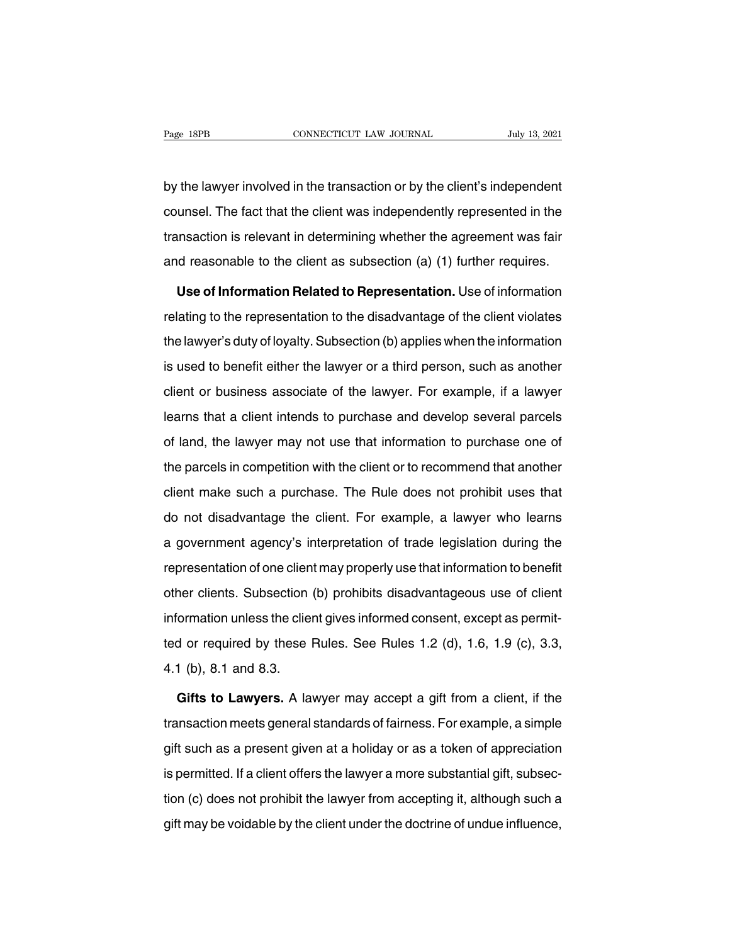Page 18PB<br>
connectricut LAW JOURNAL July 13, 2021<br>
by the lawyer involved in the transaction or by the client's independent<br>
counsel. The fact that the client was independently represented in the Page 18PB CONNECTICUT LAW JOURNAL July 13, 2021<br>by the lawyer involved in the transaction or by the client's independent<br>counsel. The fact that the client was independently represented in the<br>transaction is relevant in det by the lawyer involved in the transaction or by the client's independent<br>counsel. The fact that the client was independently represented in the<br>transaction is relevant in determining whether the agreement was fair<br>and reas by the lawyer involved in the transaction or by the client's independent<br>counsel. The fact that the client was independently represented in the<br>transaction is relevant in determining whether the agreement was fair<br>and reas unsel. The fact that the client was independently represented in the<br>unsaction is relevant in determining whether the agreement was fair<br>id reasonable to the client as subsection (a) (1) further requires.<br>**Use of Informati** 

transaction is relevant in determining whether the agreement was fair<br>and reasonable to the client as subsection (a) (1) further requires.<br>**Use of Information Related to Representation**. Use of information<br>relating to the and reasonable to the client as subsection (a) (1) further requires.<br> **Use of Information Related to Representation**. Use of information<br>
relating to the representation to the disadvantage of the client violates<br>
the lawye Use of Information Related to Representation. Use of information<br>relating to the representation to the disadvantage of the client violates<br>the lawyer's duty of loyalty. Subsection (b) applies when the information<br>is used t relating to the representation to the disadvantage of the client violates<br>the lawyer's duty of loyalty. Subsection (b) applies when the information<br>is used to benefit either the lawyer or a third person, such as another<br>cl the lawyer's duty of loyalty. Subsection (b) applies when the information<br>is used to benefit either the lawyer or a third person, such as another<br>client or business associate of the lawyer. For example, if a lawyer<br>learns is used to benefit either the lawyer or a third person, such as another client or business associate of the lawyer. For example, if a lawyer learns that a client intends to purchase and develop several parcels of land, the client or business associate of the lawyer. For example, if a lawyer<br>learns that a client intends to purchase and develop several parcels<br>of land, the lawyer may not use that information to purchase one of<br>the parcels in c client of such a client intends to purchase and develop several parcels<br>of land, the lawyer may not use that information to purchase one of<br>the parcels in competition with the client or to recommend that another<br>client mak do land, the lawyer may not use that information to purchase one of<br>the parcels in competition with the client or to recommend that another<br>client make such a purchase. The Rule does not prohibit uses that<br>do not disadvant at any the tarty interpretation with the client or to recommend that another<br>client make such a purchase. The Rule does not prohibit uses that<br>do not disadvantage the client. For example, a lawyer who learns<br>a government a reparation in componser may be contributed that allows.<br>Client make such a purchase. The Rule does not prohibit uses that<br>do not disadvantage the client. For example, a lawyer who learns<br>a government agency's interpretatio of the ratio disadvantage the client. For example, a lawyer who learns<br>a government agency's interpretation of trade legislation during the<br>representation of one client may properly use that information to benefit<br>other cl as not disast allage the client. The client property and larger this issues<br>a government agency's interpretation of trade legislation during the<br>representation of one client may properly use that information to benefit<br>oth the representation of one client may properly use that information to benefit<br>other clients. Subsection (b) prohibits disadvantageous use of client<br>information unless the client gives informed consent, except as permit-<br>te other clients. Subsection<br>information unless the cliented or required by these l<br>4.1 (b), 8.1 and 8.3.<br>Gifts to Lawvers. A la Formation unless the client gives informed consent, except as permit-<br>d or required by these Rules. See Rules 1.2 (d), 1.6, 1.9 (c), 3.3,<br>1 (b), 8.1 and 8.3.<br>**Gifts to Lawyers.** A lawyer may accept a gift from a client, if

ted or required by these Rules. See Rules 1.2 (d), 1.6, 1.9 (c), 3.3,<br>4.1 (b), 8.1 and 8.3.<br>**Gifts to Lawyers.** A lawyer may accept a gift from a client, if the<br>transaction meets general standards of fairness. For example, 4.1 (b), 8.1 and 8.3.<br> **Gifts to Lawyers.** A lawyer may accept a gift from a client, if the<br>
transaction meets general standards of fairness. For example, a simple<br>
gift such as a present given at a holiday or as a token o **Gifts to Lawyers.** A lawyer may accept a gift from a client, if the transaction meets general standards of fairness. For example, a simple gift such as a present given at a holiday or as a token of appreciation is permitt transaction meets general standards of fairness. For example, a simple<br>gift such as a present given at a holiday or as a token of appreciation<br>is permitted. If a client offers the lawyer a more substantial gift, subsec-<br>ti gift such as a present given at a holiday or as a token of appreciation<br>is permitted. If a client offers the lawyer a more substantial gift, subsec-<br>tion (c) does not prohibit the lawyer from accepting it, although such a<br>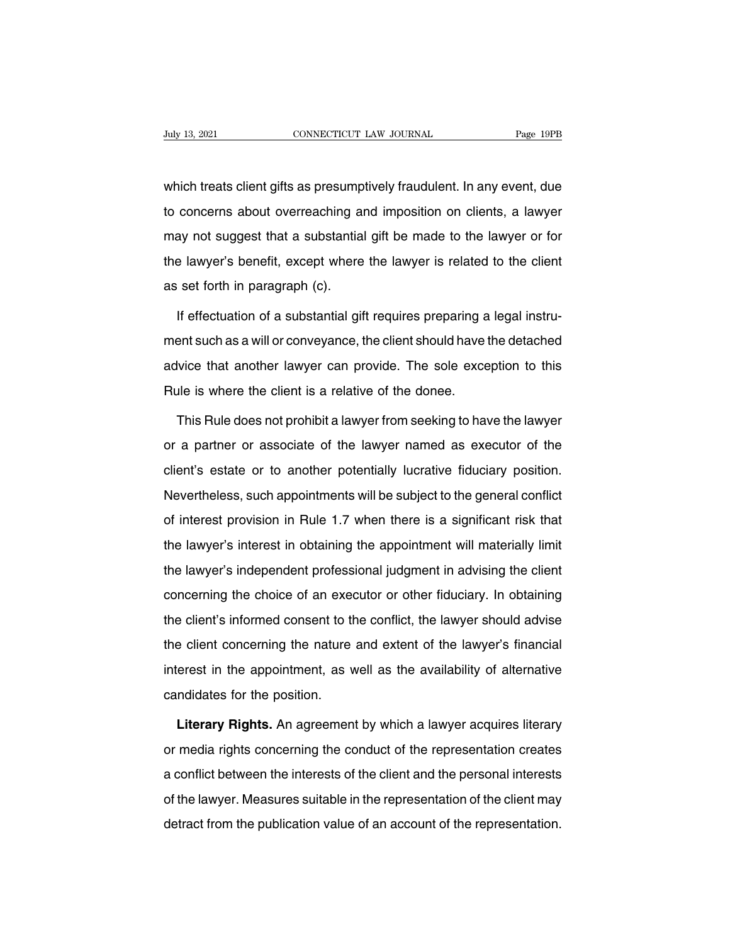Valy 13, 2021 CONNECTICUT LAW JOURNAL Page 19PB<br>which treats client gifts as presumptively fraudulent. In any event, due<br>to concerns about overreaching and imposition on clients, a lawyer The contract overreaching and imposition on clients, a lawyer may not suggest that a substantial gift be made to the lawyer or for which treats client gifts as presumptively fraudulent. In any event, due<br>to concerns about overreaching and imposition on clients, a lawyer<br>may not suggest that a substantial gift be made to the lawyer or for<br>the lawyer's which treats client gifts as presumptively fraudulent. In any event, due<br>to concerns about overreaching and imposition on clients, a lawyer<br>may not suggest that a substantial gift be made to the lawyer or for<br>the lawyer's mion roads short give as presamp<br>to concerns about overreaching a<br>may not suggest that a substantia<br>the lawyer's benefit, except where<br>as set forth in paragraph (c).<br>If effectuation of a substantial gif If effectuation of a substantial gift be made to the lawyer or for<br>I awyer's benefit, except where the lawyer is related to the client<br>If effectuation of a substantial gift requires preparing a legal instru-<br>If effectuatio

the lawyer's benefit, except where the lawyer is related to the client<br>as set forth in paragraph (c).<br>If effectuation of a substantial gift requires preparing a legal instru-<br>ment such as a will or conveyance, the client s as set forth in paragraph (c).<br>If effectuation of a substantial gift requires preparing a legal instru-<br>ment such as a will or conveyance, the client should have the detached<br>advice that another lawyer can provide. The sol If effectuation of a substantial gift requires preparing a<br>ment such as a will or conveyance, the client should have<br>advice that another lawyer can provide. The sole exce<br>Rule is where the client is a relative of the donee ent such as a will or conveyance, the client should have the detached<br>Vice that another lawyer can provide. The sole exception to this<br>Jule is where the client is a relative of the donee.<br>This Rule does not prohibit a lawy

advice that another lawyer can provide. The sole exception to this<br>Rule is where the client is a relative of the donee.<br>This Rule does not prohibit a lawyer from seeking to have the lawyer<br>or a partner or associate of the Rule is where the client is a relative of the donee.<br>This Rule does not prohibit a lawyer from seeking to have the lawyer<br>or a partner or associate of the lawyer named as executor of the<br>client's estate or to another poten This Rule does not prohibit a lawyer from seeking to have the lawyer<br>or a partner or associate of the lawyer named as executor of the<br>client's estate or to another potentially lucrative fiduciary position.<br>Nevertheless, su of a partner or associate of the lawyer named as executor of the client's estate or to another potentially lucrative fiduciary position.<br>Nevertheless, such appointments will be subject to the general conflict of interest p of a partner or associate or the lawyer hanned as oxesated or the client's estate or to another potentially lucrative fiduciary position.<br>Nevertheless, such appointments will be subject to the general conflict<br>of interest Nevertheless, such appointments will be subject to the general conflict<br>of interest provision in Rule 1.7 when there is a significant risk that<br>the lawyer's interest in obtaining the appointment will materially limit<br>the l of interest provision in Rule 1.7 when there is a significant risk that<br>the lawyer's interest in obtaining the appointment will materially limit<br>the lawyer's independent professional judgment in advising the client<br>concern the lawyer's interest in obtaining the appointment will materially limit<br>the lawyer's independent professional judgment in advising the client<br>concerning the choice of an executor or other fiduciary. In obtaining<br>the clien the lawyer's independent professional judgment in advising the client<br>concerning the choice of an executor or other fiduciary. In obtaining<br>the client's informed consent to the conflict, the lawyer should advise<br>the client concerning the choice of an executor or other fiduciary. In obtaining<br>the client's informed consent to the conflict, the lawyer should advise<br>the client concerning the nature and extent of the lawyer's financial<br>interest i the client's informed consent to the client's informed consent to the client concerning the nature<br>interest in the appointment, as v<br>candidates for the position.<br>Literary Rights. An agreemen Example in the appointment, as well as the availability of alternative<br>rest in the appointment, as well as the availability of alternative<br>ndidates for the position.<br>**Literary Rights.** An agreement by which a lawyer acquir

interest in the appointment, as well as the availability of alternative<br>candidates for the position.<br>Literary Rights. An agreement by which a lawyer acquires literary<br>or media rights concerning the conduct of the represent candidates for the position.<br>
Literary Rights. An agreement by which a lawyer acquires literary<br>
or media rights concerning the conduct of the representation creates<br>
a conflict between the interests of the client and the Literary Rights. An agreement by which a lawyer acquires literary<br>or media rights concerning the conduct of the representation creates<br>a conflict between the interests of the client and the personal interests<br>of the lawyer and the representation creates<br>or media rights concerning the conduct of the representation creates<br>a conflict between the interests of the client and the personal interests<br>of the lawyer. Measures suitable in the represen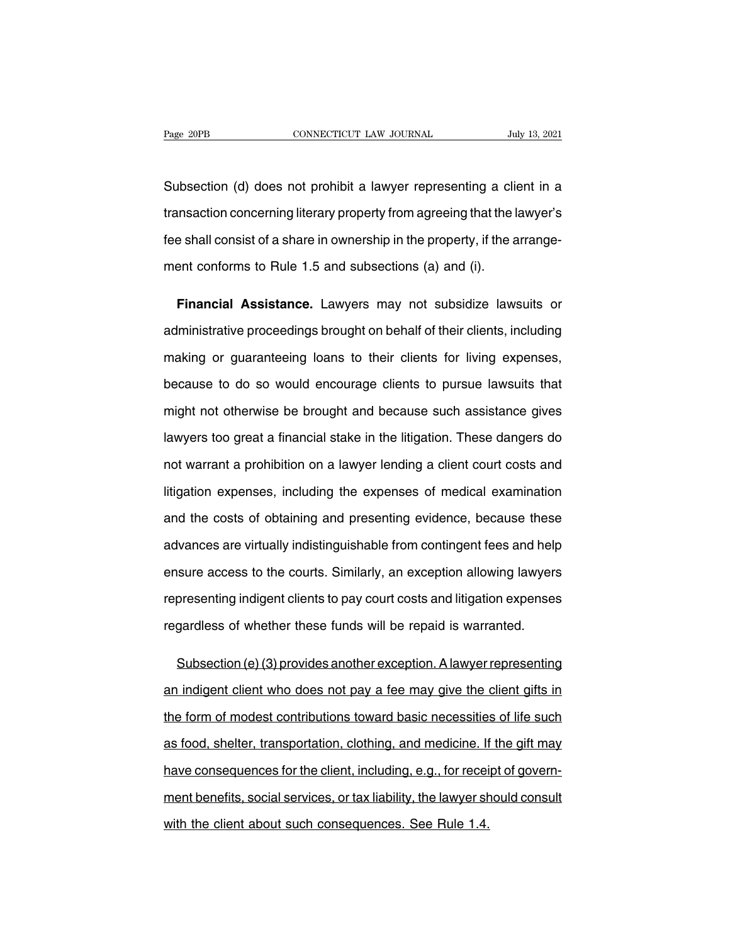Fage 20PB CONNECTICUT LAW JOURNAL July 13, 2021<br>Subsection (d) does not prohibit a lawyer representing a client in a<br>transaction concerning literary property from agreeing that the lawyer's The Page 20PB<br>
Subsection (d) does not prohibit a lawyer representing a client in a<br>
transaction concerning literary property from agreeing that the lawyer's<br>
fee shall consist of a share in ownership in the property, if t Subsection (d) does not prohibit a lawyer representing a client in a<br>transaction concerning literary property from agreeing that the lawyer's<br>fee shall consist of a share in ownership in the property, if the arrange-<br>ment Subsection (d) does not prohibit a lawyer representing a climit<br>transaction concerning literary property from agreeing that the l<br>fee shall consist of a share in ownership in the property, if the a<br>ment conforms to Rule 1. Insaction concerning literary property from agreeing that the lawyer's<br>
Financial Consist of a share in ownership in the property, if the arrange-<br>
Interactions to Rule 1.5 and subsections (a) and (i).<br>
Financial Assistanc

fee shall consist of a share in ownership in the property, if the arrangement conforms to Rule 1.5 and subsections (a) and (i).<br> **Financial Assistance.** Lawyers may not subsidize lawsuits or administrative proceedings brou ment conforms to Rule 1.5 and subsections (a) and (i).<br> **Financial Assistance.** Lawyers may not subsidize lawsuits or<br>
administrative proceedings brought on behalf of their clients, including<br>
making or guaranteeing loans Financial Assistance. Lawyers may not subsidize lawsuits or administrative proceedings brought on behalf of their clients, including making or guaranteeing loans to their clients for living expenses, because to do so would administrative proceedings brought on behalf of their clients, including<br>making or guaranteeing loans to their clients for living expenses,<br>because to do so would encourage clients to pursue lawsuits that<br>might not otherwi making or guaranteeing loans to their clients for living expenses,<br>because to do so would encourage clients to pursue lawsuits that<br>might not otherwise be brought and because such assistance gives<br>lawyers too great a finan because to do so would encourage clients to pursue lawsuits that<br>might not otherwise be brought and because such assistance gives<br>lawyers too great a financial stake in the litigation. These dangers do<br>not warrant a prohib might not otherwise be brought and because such assistance gives<br>lawyers too great a financial stake in the litigation. These dangers do<br>not warrant a prohibition on a lawyer lending a client court costs and<br>litigation exp lawyers too great a financial stake in the litigation. These dangers do<br>not warrant a prohibition on a lawyer lending a client court costs and<br>litigation expenses, including the expenses of medical examination<br>and the cost not warrant a prohibition on a lawyer lending a client court costs and<br>litigation expenses, including the expenses of medical examination<br>and the costs of obtaining and presenting evidence, because these<br>advances are virtu litigation expenses, including the expenses of medical examination<br>and the costs of obtaining and presenting evidence, because these<br>advances are virtually indistinguishable from contingent fees and help<br>ensure access to t and the costs of obtaining and presenting evidence, because these<br>advances are virtually indistinguishable from contingent fees and help<br>ensure access to the courts. Similarly, an exception allowing lawyers<br>representing in advances are virtually indistinguishable from contingent fees and help<br>ensure access to the courts. Similarly, an exception allowing lawyers<br>representing indigent clients to pay court costs and litigation expenses<br>regardle sure access to the courts. Similarly, an exception allowing lawyers<br>presenting indigent clients to pay court costs and litigation expenses<br>gardless of whether these funds will be repaid is warranted.<br>Subsection (e) (3) pro

representing indigent clients to pay court costs and litigation expenses<br>regardless of whether these funds will be repaid is warranted.<br>Subsection (e) (3) provides another exception. A lawyer representing<br>an indigent clien regardless of whether these funds will be repaid is warranted.<br>
Subsection (e) (3) provides another exception. A lawyer representing<br>
an indigent client who does not pay a fee may give the client gifts in<br>
the form of mode Subsection (e) (3) provides another exception. A lawyer representing<br>an indigent client who does not pay a fee may give the client gifts in<br>the form of modest contributions toward basic necessities of life such<br>as food, sh an indigent client who does not pay a fee may give the client gifts in<br>the form of modest contributions toward basic necessities of life such<br>as food, shelter, transportation, clothing, and medicine. If the gift may<br>have c the form of modest contributions toward basic necessities of life such<br>as food, shelter, transportation, clothing, and medicine. If the gift may<br>have consequences for the client, including, e.g., for receipt of govern-<br>men as food, shelter, transportation, clothing, and medicine. If<br>have consequences for the client, including, e.g., for recei<br>ment benefits, social services, or tax liability, the lawyer sh<br>with the client about such consequen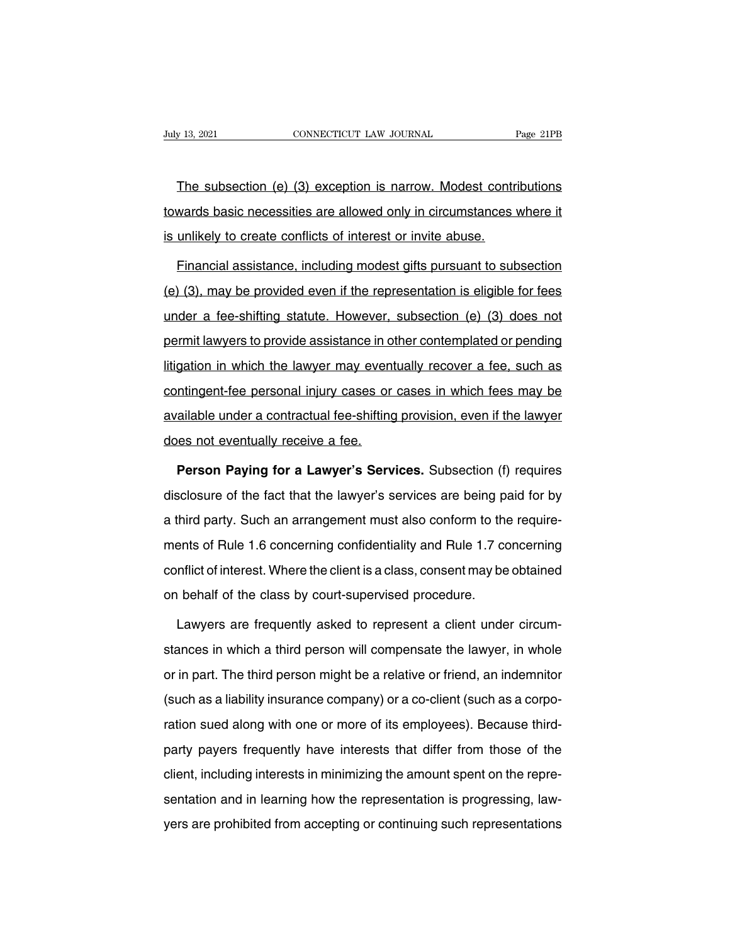metally 13, 2021<br>The subsection (e) (3) exception is narrow. Modest contributions<br>wards basic necessities are allowed only in circumstances where it The subsection (e) (3) exception is narrow. Modest contributions<br>towards basic necessities are allowed only in circumstances where it<br>is unlikely to create conflicts of interest or invite abuse. The subsection (e) (3) exception is narrow. Modest contr<br>towards basic necessities are allowed only in circumstances is<br>is unlikely to create conflicts of interest or invite abuse.<br>Financial assistance, including modest gi The subsection (e) (3) exception is narrow. Modest contributions<br>wards basic necessities are allowed only in circumstances where it<br>unlikely to create conflicts of interest or invite abuse.<br>Financial assistance, including

(the representies are allowed only in circumstances where it<br>
is unlikely to create conflicts of interest or invite abuse.<br>
Financial assistance, including modest gifts pursuant to subsection<br>
(e) (3), may be provided even is unlikely to create conflicts of interest or invite abuse.<br>Financial assistance, including modest gifts pursuant to subsection<br>(e) (3), may be provided even if the representation is eligible for fees<br>under a fee-shifting Financial assistance, including modest gifts pursuant to subsection<br>(e) (3), may be provided even if the representation is eligible for fees<br>under a fee-shifting statute. However, subsection (e) (3) does not<br>permit lawyers (e) (3), may be provided even if the representation is eligible for fees<br>under a fee-shifting statute. However, subsection (e) (3) does not<br>permit lawyers to provide assistance in other contemplated or pending<br>litigation i ander a fee-shifting statute. However, subsection (e) (3) does not<br>permit lawyers to provide assistance in other contemplated or pending<br>litigation in which the lawyer may eventually recover a fee, such as<br>contingent-fee p permit lawyers to provide assistance in other contemplated or pending<br>litigation in which the lawyer may eventually recover a fee, such as<br>contingent-fee personal injury cases or cases in which fees may be<br>available under Itigation in which the lawyer may eventually example in the lawyer may eventual<br>contingent-fee personal injury cases or<br>available under a contractual fee-shifting<br>does not eventually receive a fee.<br>Person Paving for a Lawy Intingent-fee personal injury cases or cases in which fees may be<br>ailable under a contractual fee-shifting provision, even if the lawyer<br>les not eventually receive a fee.<br>**Person Paying for a Lawyer's Services.** Subsection

available under a contractual fee-shifting provision, even if the lawyer<br>does not eventually receive a fee.<br>**Person Paying for a Lawyer's Services**. Subsection (f) requires<br>disclosure of the fact that the lawyer's services does not eventually receive a fee.<br> **Person Paying for a Lawyer's Services.** Subsection (f) requires<br>
disclosure of the fact that the lawyer's services are being paid for by<br>
a third party. Such an arrangement must also co **Person Paying for a Lawyer's Services.** Subsection (f) requires disclosure of the fact that the lawyer's services are being paid for by a third party. Such an arrangement must also conform to the requirements of Rule 1.6 disclosure of the fact that the lawyer's services. Cabobotion (i) required<br>disclosure of the fact that the lawyer's services are being paid for by<br>a third party. Such an arrangement must also conform to the require-<br>ments a third party. Such an arrangement must also conform to the<br>ments of Rule 1.6 concerning confidentiality and Rule 1.7 co<br>conflict of interest. Where the client is a class, consent may be<br>on behalf of the class by court-sup ents of Rule 1.6 concerning confidentiality and Rule 1.7 concerning<br>nflict of interest. Where the client is a class, consent may be obtained<br>behalf of the class by court-supervised procedure.<br>Lawyers are frequently asked t

conflict of interest. Where the client is a class, consent may be obtained<br>on behalf of the class by court-supervised procedure.<br>Lawyers are frequently asked to represent a client under circum-<br>stances in which a third per on behalf of the class by court-supervised procedure.<br>Lawyers are frequently asked to represent a client under circum-<br>stances in which a third person will compensate the lawyer, in whole<br>or in part. The third person might Lawyers are frequently asked to represent a client under circum-<br>stances in which a third person will compensate the lawyer, in whole<br>or in part. The third person might be a relative or friend, an indemnitor<br>(such as a lia Eamyord are nequently about to represent a enert ander enerth.<br>stances in which a third person will compensate the lawyer, in whole<br>or in part. The third person might be a relative or friend, an indemnitor<br>(such as a liabi party payers frequently have interests that differ from those of the divided as a liability insurance company) or a co-client (such as a corporation sued along with one or more of its employees). Because third-<br>party payer client, including insurance company) or a co-client (such as a corporation sued along with one or more of its employees). Because third-<br>party payers frequently have interests that differ from those of the client, includin ration sued along with one or more of its employees). Because third-<br>party payers frequently have interests that differ from those of the<br>client, including interests in minimizing the amount spent on the repre-<br>sentation a party payers frequently have interests that differ from those of the client, including interests in minimizing the amount spent on the representation and in learning how the representation is progressing, law-<br>yers are pro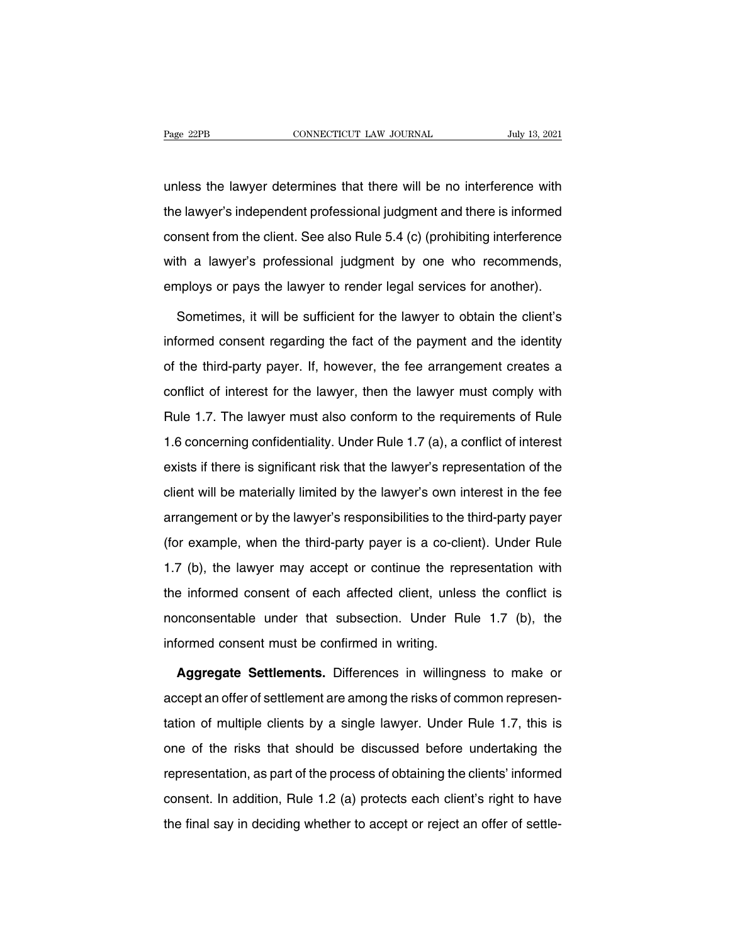Page 22PB<br>
unless the lawyer determines that there will be no interference with<br>
the lawyer's independent professional judgment and there is informed The lawyer determines that there will be no interference with<br>the lawyer's independent professional judgment and there is informed<br>consent from the client. See also Rule 5.4 (c) (prohibiting interference unless the lawyer determines that there will be no interference with<br>the lawyer's independent professional judgment and there is informed<br>consent from the client. See also Rule 5.4 (c) (prohibiting interference<br>with a lawy unless the lawyer determines that there will be no interference with<br>the lawyer's independent professional judgment and there is informed<br>consent from the client. See also Rule 5.4 (c) (prohibiting interference<br>with a lawy the lawyer's independent professional judgment and there is informed<br>consent from the client. See also Rule 5.4 (c) (prohibiting interference<br>with a lawyer's professional judgment by one who recommends,<br>employs or pays the msent from the client. See also Rule 5.4 (c) (prohibiting interference<br>th a lawyer's professional judgment by one who recommends,<br>nploys or pays the lawyer to render legal services for another).<br>Sometimes, it will be suffi

with a lawyer's professional judgment by one who recommends,<br>employs or pays the lawyer to render legal services for another).<br>Sometimes, it will be sufficient for the lawyer to obtain the client's<br>informed consent regardi employs or pays the lawyer to render legal services for another).<br>Sometimes, it will be sufficient for the lawyer to obtain the client's<br>informed consent regarding the fact of the payment and the identity<br>of the third-part Sometimes, it will be sufficient for the lawyer to obtain the client's<br>informed consent regarding the fact of the payment and the identity<br>of the third-party payer. If, however, the fee arrangement creates a<br>conflict of in informed consent regarding the fact of the payment and the identity<br>of the third-party payer. If, however, the fee arrangement creates a<br>conflict of interest for the lawyer, then the lawyer must comply with<br>Rule 1.7. The l 1.6 concerning context regarding the fact of the payment and the faction,<br>of the third-party payer. If, however, then the lawyer must comply with<br>Rule 1.7. The lawyer must also conform to the requirements of Rule<br>1.6 conce exists if therest for the lawyer, then the lawyer must comply with<br>Rule 1.7. The lawyer must also conform to the requirements of Rule<br>1.6 concerning confidentiality. Under Rule 1.7 (a), a conflict of interest<br>exists if the Edition will be materially conform to the requirements of Rule 1.7. The lawyer must also conform to the requirements of Rule 1.6 concerning confidentiality. Under Rule 1.7 (a), a conflict of interest exists if there is sig 1.6 concerning confidentiality. Under Rule 1.7 (a), a conflict of interest<br>exists if there is significant risk that the lawyer's representation of the<br>client will be materially limited by the lawyer's own interest in the f exists if there is significant risk that the lawyer's representation of the client will be materially limited by the lawyer's own interest in the fee arrangement or by the lawyer's responsibilities to the third-party payer be a materially limited by the lawyer's own interest in the fee<br>arrangement or by the lawyer's responsibilities to the third-party payer<br>(for example, when the third-party payer is a co-client). Under Rule<br>1.7 (b), the law arrangement or by the lawyer's responsibilities to the third-party payer<br>(for example, when the third-party payer is a co-client). Under Rule<br>1.7 (b), the lawyer may accept or continue the representation with<br>the informed driangement of by the langue of dependenties to the time party payer<br>(for example, when the third-party payer is a co-client). Under Rule<br>1.7 (b), the lawyer may accept or continue the representation with<br>the informed cons 1.7 (b), the lawyer may accept or continue the replate informed consent of each affected client, unles nonconsentable under that subsection. Under Ru informed consent must be confirmed in writing.<br>Agareaate Settlements. Di Extember of each affected client, unless the conflict is<br>inconsentable under that subsection. Under Rule 1.7 (b), the<br>formed consent must be confirmed in writing.<br>**Aggregate Settlements.** Differences in willingness to make

nonconsentable under that subsection. Under Rule 1.7 (b), the<br>informed consent must be confirmed in writing.<br>**Aggregate Settlements.** Differences in willingness to make or<br>accept an offer of settlement are among the risks informed consent must be confirmed in writing.<br> **Aggregate Settlements.** Differences in willingness to make or<br>
accept an offer of settlement are among the risks of common represen-<br>
tation of multiple clients by a single Aggregate Settlements. Differences in willingness to make or<br>accept an offer of settlement are among the risks of common represen-<br>tation of multiple clients by a single lawyer. Under Rule 1.7, this is<br>one of the risks tha representation of multiple clients by a single lawyer. Under Rule 1.7, this is<br>one of the risks that should be discussed before undertaking the<br>representation, as part of the process of obtaining the clients' informed<br>cons tation of multiple clients by a single lawyer. Under Rule 1.7, this is<br>one of the risks that should be discussed before undertaking the<br>representation, as part of the process of obtaining the clients' informed<br>consent. In the final say in deciding whether to accept or reject an offer of settle-<br>the final say in deciding whether to accept or reject an offer of settle-<br>the final say in deciding whether to accept or reject an offer of settle-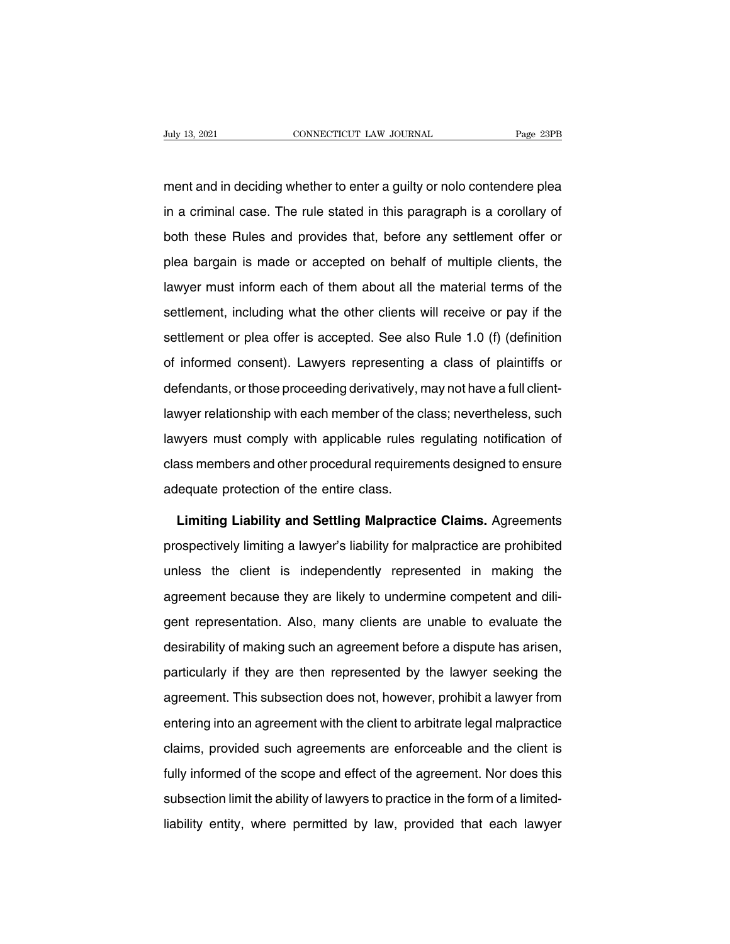Fage 23PB<br>ment and in deciding whether to enter a guilty or nolo contendere plea<br>in a criminal case. The rule stated in this paragraph is a corollary of Indy 13, 2021 CONNECTICUT LAW JOURNAL Page 23PB<br>
ment and in deciding whether to enter a guilty or nolo contendere plea<br>
in a criminal case. The rule stated in this paragraph is a corollary of<br>
both these Rules and provide ment and in deciding whether to enter a guilty or nolo contendere plea<br>in a criminal case. The rule stated in this paragraph is a corollary of<br>both these Rules and provides that, before any settlement offer or<br>plea bargain ment and in deciding whether to enter a guilty or nolo contendere plea<br>in a criminal case. The rule stated in this paragraph is a corollary of<br>both these Rules and provides that, before any settlement offer or<br>plea bargain In a criminal case. The rule stated in this paragraph is a corollary of<br>both these Rules and provides that, before any settlement offer or<br>plea bargain is made or accepted on behalf of multiple clients, the<br>lawyer must inf settlement including what the other clients will receive or plea bargain is made or accepted on behalf of multiple clients, the lawyer must inform each of them about all the material terms of the settlement, including what plea bargain is made or accepted on behalf of multiple clients, the<br>lawyer must inform each of them about all the material terms of the<br>settlement, including what the other clients will receive or pay if the<br>settlement or plea bargain is made or accepted on behalf of multiple clients, the lawyer must inform each of them about all the material terms of the settlement, including what the other clients will receive or pay if the settlement or defendants, or those proceeding derivatively, may not have a full client-<br>lawyer metric or plea offer is accepted. See also Rule 1.0 (f) (definition<br>of informed consent). Lawyers representing a class of plaintiffs or<br>defen settlement or plea offer is accepted. See also Rule 1.0 (f) (definition<br>of informed consent). Lawyers representing a class of plaintiffs or<br>defendants, or those proceeding derivatively, may not have a full client-<br>lawyer r of informed consent). Lawyers representing a class of plaintiffs or<br>defendants, or those proceeding derivatively, may not have a full client-<br>lawyer relationship with each member of the class; nevertheless, such<br>lawyers mu defendants, or those proceeding derivatively, may not have a full client-<br>lawyer relationship with each member of the class; nevertheless, such<br>lawyers must comply with applicable rules regulating notification of<br>class mem lawyer relationship with each member of the class; nevertheless, such<br>lawyers must comply with applicable rules regulating notification of<br>class members and other procedural requirements designed to ensure<br>adequate protect wyers must comply with applicable rules regulating notification of<br>ass members and other procedural requirements designed to ensure<br>lequate protection of the entire class.<br>**Limiting Liability and Settling Malpractice Claim** 

class members and other procedural requirements designed to ensure<br>adequate protection of the entire class.<br>**Limiting Liability and Settling Malpractice Claims.** Agreements<br>prospectively limiting a lawyer's liability for m adequate protection of the entire class.<br>
Limiting Liability and Settling Malpractice Claims. Agreements<br>
prospectively limiting a lawyer's liability for malpractice are prohibited<br>
unless the client is independently repre **Limiting Liability and Settling Malpractice Claims.** Agreements prospectively limiting a lawyer's liability for malpractice are prohibited unless the client is independently represented in making the agreement because the gentle represented in making the discreenest represented unless the client is independently represented in making the agreement because they are likely to undermine competent and diligent representation. Also, many clients greep survey mining a ranger making to mapprassive are premative.<br>unless the client is independently represented in making the<br>agreement because they are likely to undermine competent and dili-<br>gent representation. Also, m agreement because they are likely to undermine competent and diligent representation. Also, many clients are unable to evaluate the desirability of making such an agreement before a dispute has arisen, particularly if they agreement seculies are, y are musty to antienming compount and all gent representation. Also, many clients are unable to evaluate the desirability of making such an agreement before a dispute has arisen, particularly if th desirability of making such an agreement before a dispute has arisen,<br>particularly if they are then represented by the lawyer seeking the<br>agreement. This subsection does not, however, prohibit a lawyer from<br>entering into a particularly if they are then represented by the lawyer seeking the<br>agreement. This subsection does not, however, prohibit a lawyer from<br>entering into an agreement with the client to arbitrate legal malpractice<br>claims, pro fully informed of the scope and effect of the agreement. Nor does this subsection does not, however, prohibit a lawyer from<br>entering into an agreement with the client to arbitrate legal malpractice<br>claims, provided such ag subsection limit the ability the client to arbitrate legal malpractice<br>claims, provided such agreements are enforceable and the client is<br>fully informed of the scope and effect of the agreement. Nor does this<br>subsection li claims, provided such agreements are enforceable and the client is<br>fully informed of the scope and effect of the agreement. Nor does this<br>subsection limit the ability of lawyers to practice in the form of a limited-<br>liabil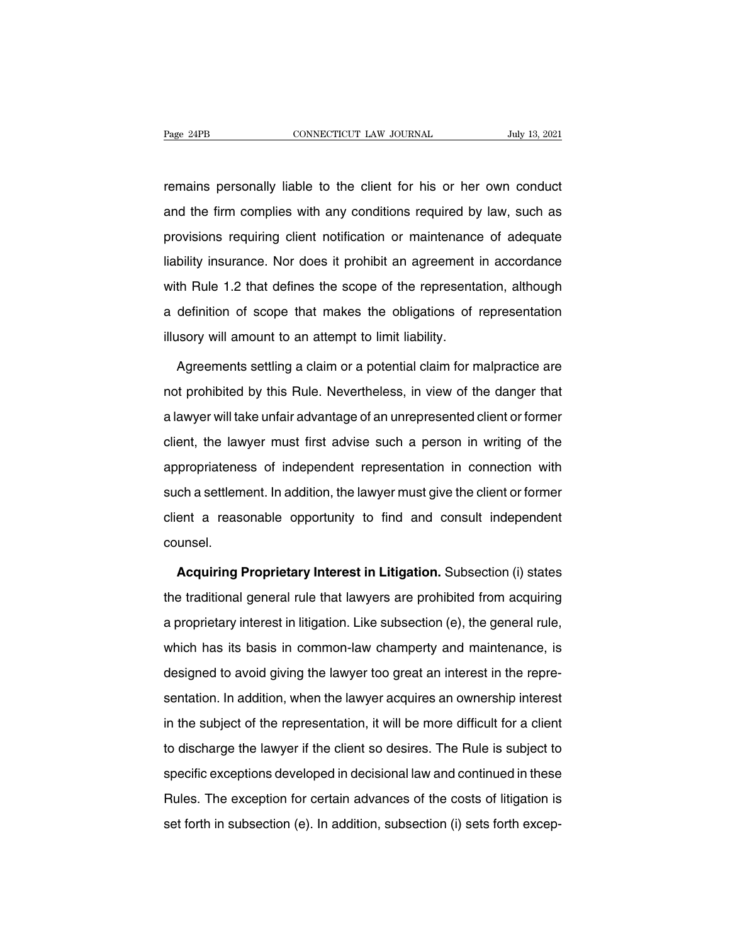Page 24PB<br>
connecticut LAW JOURNAL July 13, 2021<br>
remains personally liable to the client for his or her own conduct<br>
and the firm complies with any conditions required by law, such as Page 24PB CONNECTICUT LAW JOURNAL July 13, 2021<br>
remains personally liable to the client for his or her own conduct<br>
and the firm complies with any conditions required by law, such as<br>
provisions requiring client notificat remains personally liable to the client for his or her own conduct<br>and the firm complies with any conditions required by law, such as<br>provisions requiring client notification or maintenance of adequate<br>liability insurance. remains personally liable to the client for his or her own conduct<br>and the firm complies with any conditions required by law, such as<br>provisions requiring client notification or maintenance of adequate<br>liability insurance. and the firm complies with any conditions required by law, such as<br>provisions requiring client notification or maintenance of adequate<br>liability insurance. Nor does it prohibit an agreement in accordance<br>with Rule 1.2 that provisions requiring client notification or maintenance of adequate<br>liability insurance. Nor does it prohibit an agreement in accordance<br>with Rule 1.2 that defines the scope of the representation, although<br>a definition of provisions requiring client notification or maintenance of adequate<br>liability insurance. Nor does it prohibit an agreement in accordance<br>with Rule 1.2 that defines the scope of the representation, although<br>a definition of th Rule 1.2 that defines the scope of the representation, although<br>definition of scope that makes the obligations of representation<br>usory will amount to an attempt to limit liability.<br>Agreements settling a claim or a poten

a definition of scope that makes the obligations of representation<br>illusory will amount to an attempt to limit liability.<br>Agreements settling a claim or a potential claim for malpractice are<br>not prohibited by this Rule. Ne illusory will amount to an attempt to limit liability.<br>Agreements settling a claim or a potential claim for malpractice are<br>not prohibited by this Rule. Nevertheless, in view of the danger that<br>a lawyer will take unfair ad Agreements settling a claim or a potential claim for malpractice are<br>not prohibited by this Rule. Nevertheless, in view of the danger that<br>a lawyer will take unfair advantage of an unrepresented client or former<br>client, th righted by this Rule. Nevertheless, in view of the danger that<br>a lawyer will take unfair advantage of an unrepresented client or former<br>client, the lawyer must first advise such a person in writing of the<br>appropriateness o such promatical by the Hater Horchholose, in their of the darigor that<br>a lawyer will take unfair advantage of an unrepresented client or former<br>client, the lawyer must first advise such a person in writing of the<br>appropria client, the lawyer must first advise such a person in writing of the appropriateness of independent representation in connection with such a settlement. In addition, the lawyer must give the client or former client a reaso counsel. **Acquiring Proprietary Interest in Litigation.** Subsection (i) states a traditional general rule that lawyers are prohibited from acquiring Proprietary Interest in Litigation. Subsection (i) states a traditional general ru

client a reasonable opportunity to find and consult independent<br>counsel.<br>**Acquiring Proprietary Interest in Litigation.** Subsection (i) states<br>the traditional general rule that lawyers are prohibited from acquiring<br>a propr counsel.<br> **Acquiring Proprietary Interest in Litigation.** Subsection (i) states<br>
the traditional general rule that lawyers are prohibited from acquiring<br>
a proprietary interest in litigation. Like subsection (e), the gener Acquiring Proprietary Interest in Litigation. Subsection (i) states<br>the traditional general rule that lawyers are prohibited from acquiring<br>a proprietary interest in litigation. Like subsection (e), the general rule,<br>which designed to avoid giving the lawyers are prohibited from acquiring<br>designed to avoid giving the lawyer too great an interest in the repre-<br>sentation. In addition, when the lawyer acquires an ownership interest a proprietary interest in litigation. Like subsection (e), the general rule,<br>which has its basis in common-law champerty and maintenance, is<br>designed to avoid giving the lawyer too great an interest in the repre-<br>sentation which has its basis in common-law champerty and maintenance, is designed to avoid giving the lawyer too great an interest in the representation. In addition, when the lawyer acquires an ownership interest in the subject o the lawyer too great an interest in the representation. In addition, when the lawyer acquires an ownership interest<br>in the subject of the representation, it will be more difficult for a client<br>to discharge the lawyer if th sentation. In addition, when the lawyer acquires an ownership interest<br>in the subject of the representation, it will be more difficult for a client<br>to discharge the lawyer if the client so desires. The Rule is subject to<br>s In the subject of the representation, it will be more difficult for a client<br>to discharge the lawyer if the client so desires. The Rule is subject to<br>specific exceptions developed in decisional law and continued in these<br>R set forth in subsection (e). In addition, subsection (i) sets forth excep-<br>set forth in subsection (e). In addition, subsection (i) sets forth excep-<br>set forth in subsection (e). In addition, subsection (i) sets forth exce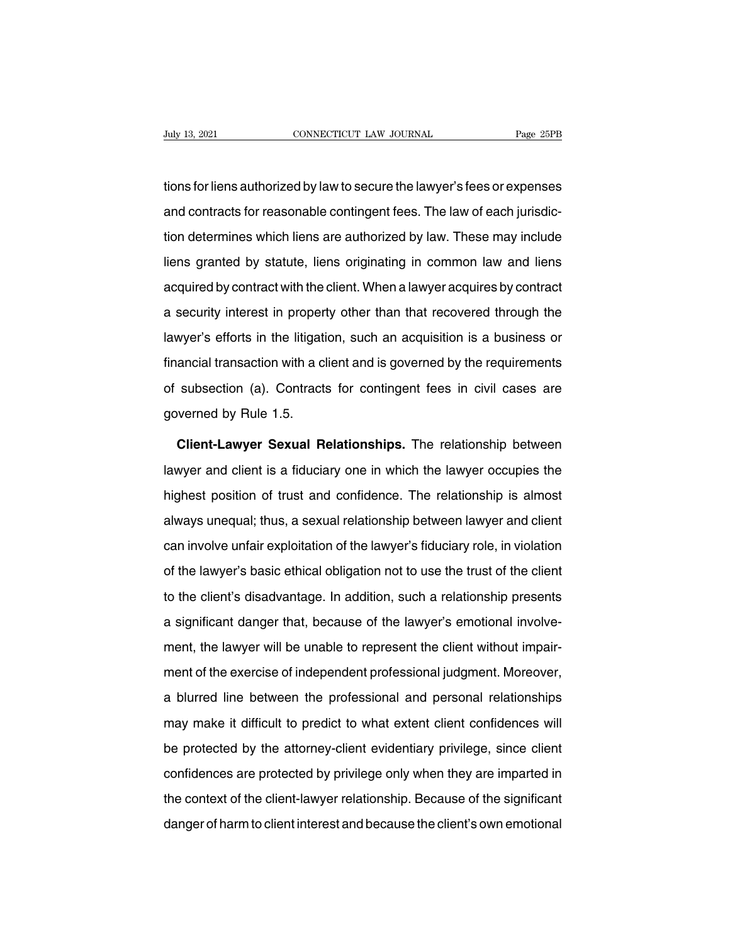The US of Page 25PB<br>tions for liens authorized by law to secure the lawyer's fees or expenses<br>and contracts for reasonable contingent fees. The law of each jurisdic-July 13, 2021 CONNECTICUT LAW JOURNAL Page 25PB<br>tions for liens authorized by law to secure the lawyer's fees or expenses<br>and contracts for reasonable contingent fees. The law of each jurisdic-<br>tion determines which liens tions for liens authorized by law to secure the lawyer's fees or expenses<br>and contracts for reasonable contingent fees. The law of each jurisdic-<br>tion determines which liens are authorized by law. These may include<br>liens g tions for liens authorized by law to secure the lawyer's fees or expenses<br>and contracts for reasonable contingent fees. The law of each jurisdic-<br>tion determines which liens are authorized by law. These may include<br>liens g and contracts for reasonable contingent fees. The law of each jurisdiction determines which liens are authorized by law. These may include liens granted by statute, liens originating in common law and liens acquired by con and determines which liens are authorized by law. These may include<br>liens granted by statute, liens originating in common law and liens<br>acquired by contract with the client. When a lawyer acquires by contract<br>a security in liens granted by statute, liens originating in common law and liens<br>acquired by contract with the client. When a lawyer acquires by contract<br>a security interest in property other than that recovered through the<br>lawyer's ef financial transaction with the client. When a lawyer acquires by contract<br>a security interest in property other than that recovered through the<br>lawyer's efforts in the litigation, such an acquisition is a business or<br>finan a security interest in property other than that recovered through the<br>lawyer's efforts in the litigation, such an acquisition is a business or<br>financial transaction with a client and is governed by the requirements<br>of subs a sessing interest in proper<br>lawyer's efforts in the litigati<br>financial transaction with a close<br>of subsection (a). Contract:<br>governed by Rule 1.5.<br>Client-Lawyer Sexual R ancial transaction with a client and is governed by the requirements<br>subsection (a). Contracts for contingent fees in civil cases are<br>verned by Rule 1.5.<br>**Client-Lawyer Sexual Relationships.** The relationship between<br>wyer

of subsection (a). Contracts for contingent fees in civil cases are<br>governed by Rule 1.5.<br>**Client-Lawyer Sexual Relationships.** The relationship between<br>lawyer and client is a fiduciary one in which the lawyer occupies the governed by Rule 1.5.<br> **Client-Lawyer Sexual Relationships.** The relationship between<br>
lawyer and client is a fiduciary one in which the lawyer occupies the<br>
highest position of trust and confidence. The relationship is al **Client-Lawyer Sexual Relationships.** The relationship between lawyer and client is a fiduciary one in which the lawyer occupies the highest position of trust and confidence. The relationship is almost always unequal; thus lawyer and client is a fiduciary one in which the lawyer occupies the<br>highest position of trust and confidence. The relationship is almost<br>always unequal; thus, a sexual relationship between lawyer and client<br>can involve u of the lawyer's distributed in the lawyer and confidence. The relationship is almost always unequal; thus, a sexual relationship between lawyer and client can involve unfair exploitation of the lawyer's fiduciary role, in always unequal; thus, a sexual relationship between lawyer and client<br>can involve unfair exploitation of the lawyer's fiduciary role, in violation<br>of the lawyer's basic ethical obligation not to use the trust of the client an involve unfair exploitation of the lawyer's fiduciary role, in violation<br>of the lawyer's basic ethical obligation not to use the trust of the client<br>to the client's disadvantage. In addition, such a relationship present of the lawyer's basic ethical obligation not to use the trust of the client<br>to the client's disadvantage. In addition, such a relationship presents<br>a significant danger that, because of the lawyer's emotional involve-<br>ment ment of the client's disadvantage. In addition, such a relationship presents<br>a significant danger that, because of the lawyer's emotional involve-<br>ment, the lawyer will be unable to represent the client without impair-<br>men a significant danger that, because of the lawyer's emotional involve-<br>ment, the lawyer will be unable to represent the client without impair-<br>ment of the exercise of independent professional judgment. Moreover,<br>a blurred l ment, the lawyer will be unable to represent the client without impair-<br>ment of the exercise of independent professional judgment. Moreover,<br>a blurred line between the professional and personal relationships<br>may make it di be the exercise of independent professional judgment. Moreover,<br>a blurred line between the professional and personal relationships<br>may make it difficult to predict to what extent client confidences will<br>be protected by the confidences are professional and personal relationships<br>may make it difficult to predict to what extent client confidences will<br>be protected by the attorney-client evidentiary privilege, since client<br>confidences are protec the context and protection. The protection contributions and protection of the protected by the attorney-client evidentiary privilege, since client confidences are protected by privilege only when they are imparted in the deeprotected by the attorney-client evidentiary privilege, since client<br>confidences are protected by privilege only when they are imparted in<br>the context of the client-lawyer relationship. Because of the significant<br>danger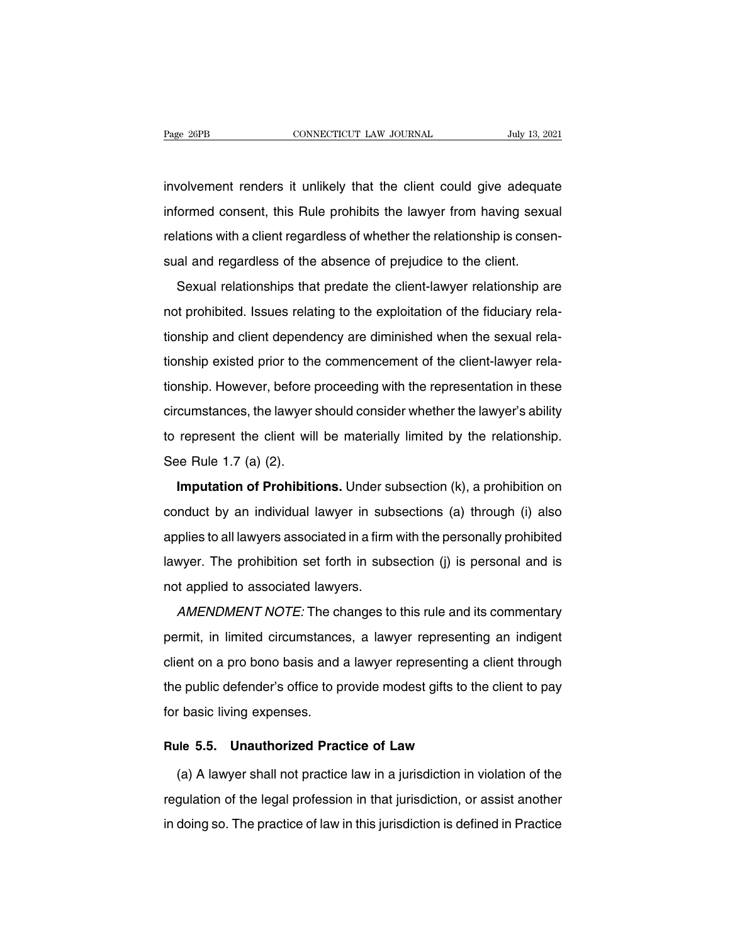Fage 26PB<br>involvement renders it unlikely that the client could give adequate<br>informed consent, this Rule prohibits the lawyer from having sexual Fage 26PB CONNECTICUT LAW JOURNAL July 13, 2021<br>involvement renders it unlikely that the client could give adequate<br>informed consent, this Rule prohibits the lawyer from having sexual<br>relations with a client regardless of involvement renders it unlikely that the client could give adequate<br>informed consent, this Rule prohibits the lawyer from having sexual<br>relations with a client regardless of whether the relationship is consen-<br>sual and reg involvement renders it unlikely that the client could give adequations informed consent, this Rule prohibits the lawyer from having sexual relations with a client regardless of whether the relationship is conserval and reg Sexual relations it animally that the client edda give dudquate<br>iormed consent, this Rule prohibits the lawyer from having sexual<br>ations with a client regardless of whether the relationship is consen-<br>al and regardless of

not prohibited. It is that prohibite the relationship is consensual and regardless of the absence of prejudice to the client.<br>Sexual relationships that predate the client-lawyer relationship are not prohibited. Issues rela tionship with a client regardless of whence are fortalisticity is sensor.<br>Sexual relationships that predate the client-lawyer relationship are<br>not prohibited. Issues relating to the exploitation of the fiduciary rela-<br>tion Sexual relationships that predate the client-lawyer relationship are<br>not prohibited. Issues relating to the exploitation of the fiduciary rela-<br>tionship and client dependency are diminished when the sexual rela-<br>tionship e tionship and client dependency are diminished when the sexual relationship and client dependency are diminished when the sexual relationship existed prior to the commencement of the client-lawyer relationship. However, bef rior promined. Isoaco Totaling to the exploration of the haddedly Total<br>tionship and client dependency are diminished when the sexual rela-<br>tionship. However, before proceeding with the representation in these<br>circumstance tionship existed prior to the commencement of the client-lawyer relationship. However, before proceeding with the representation in these circumstances, the lawyer should consider whether the lawyer's ability to represent Explorationship Skisted phot to the<br>tionship. However, before protonship. However, before protons<br>to represent the client will<br>See Rule 1.7 (a) (2).<br>Imputation of Prohibities **IMPUT TERNATE:** TERNATE: TERNATE: TERNATE: TERNATE: TERNATE: TERNATE: TERNATE: TERNATE: TERNATE: TERNATE: TERNATE: TERNATE: TERNATE: TERNATE: TERNATE: TERNATE: TERNATE: TERNATE: Under subsection (k), a prohibition on modu

chourseance and the client will be materially limited by the relationship.<br>See Rule 1.7 (a) (2).<br>**Imputation of Prohibitions.** Under subsection (k), a prohibition on<br>conduct by an individual lawyer in subsections (a) throu See Rule 1.7 (a) (2).<br> **Imputation of Prohibitions.** Under subsection (k), a prohibition on<br>
conduct by an individual lawyer in subsections (a) through (i) also<br>
applies to all lawyers associated in a firm with the person **Imputation of Prohibitions.** Under subsection (k), a prohibition on conduct by an individual lawyer in subsections (a) through (i) also applies to all lawyers associated in a firm with the personally prohibited lawyer. T mipatation of Frombitions. Shaor of<br>conduct by an individual lawyer in sub<br>applies to all lawyers associated in a firm<br>lawyer. The prohibition set forth in subs<br>not applied to associated lawyers.<br>AMENDMENT NOTE: The change Madet by an inanviadal lawyer in eduction (a) anough (i) dies<br>plies to all lawyers associated in a firm with the personally prohibited<br>wyer. The prohibition set forth in subsection (j) is personal and is<br>t applied to assoc

lawyer. The prohibition set forth in subsection (j) is personal and is<br>not applied to associated lawyers.<br>AMENDMENT NOTE: The changes to this rule and its commentary<br>permit, in limited circumstances, a lawyer representing anyor. The prohibition oct form in discussion, (j) to personal dita to<br>not applied to associated lawyers.<br>AMENDMENT NOTE: The changes to this rule and its commentary<br>permit, in limited circumstances, a lawyer representing AMENDMENT NOTE: The changes to this rule and its commentary<br>permit, in limited circumstances, a lawyer representing an indigent<br>client on a pro bono basis and a lawyer representing a client through<br>the public defender's of For the relationships the set of the public defender's office to p<br>for basic living expenses.<br>This F.E. Host begins the public form Example I all a lawyer representing a client<br>
the public defender's office to provide modest gifts to the client<br>
for basic living expenses.<br> **Rule 5.5. Unauthorized Practice of Law**<br>
(a) A lawyer shall not practice law in (a) A lawyer shall not practice law in a jurisdiction in violation of the pulation of the legal profession in that jurisdiction, or assist another

Frault 1000 for basic living expenses.<br> **Rule 5.5. Unauthorized Practice of Law**<br>
(a) A lawyer shall not practice law in a jurisdiction in violation of the<br>
regulation of the legal profession in that jurisdiction, or assis **in doing 5.5. Unauthorized Practice of Law**<br>
(a) A lawyer shall not practice law in a jurisdiction in violation of the<br>
regulation of the legal profession in that jurisdiction, or assist another<br>
in doing so. The practice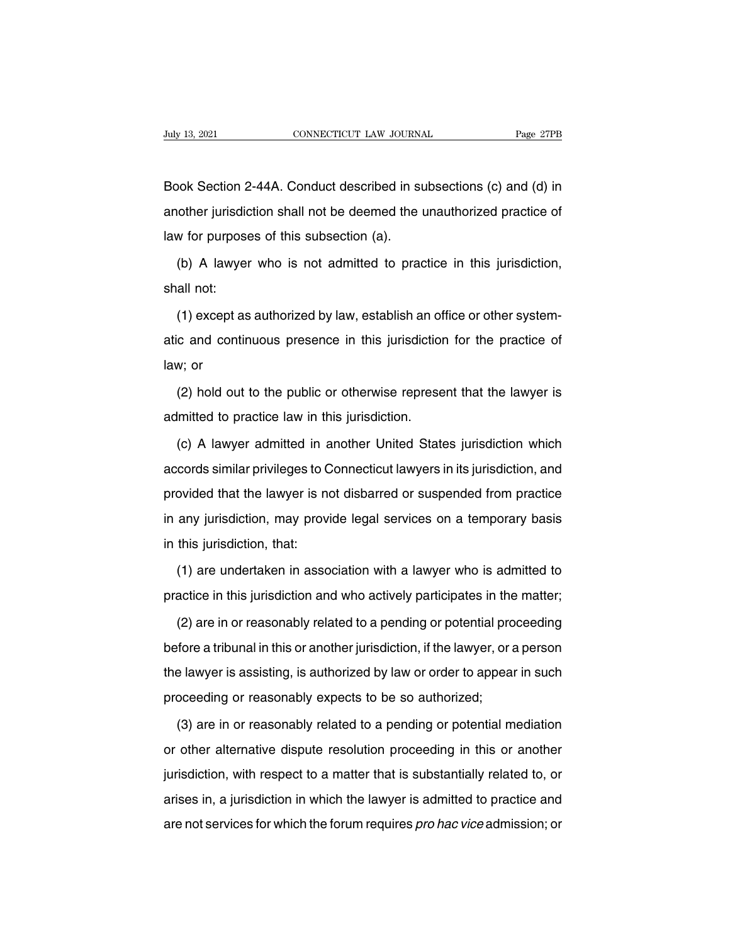Book Section 2-44A. Conduct described in subsections (c) and (d) in<br>another jurisdiction shall not be deemed the unauthorized practice of and July 13, 2021<br>
another jurisdiction shall not be deemed the unauthorized practice of<br>
danother jurisdiction shall not be deemed the unauthorized practice of<br>
daw for purposes of this subsection (a). Book Section 2-44A. Conduct described in suanother jurisdiction shall not be deemed the reader of this subsection (a).<br>Law for purposes of this subsection (a).<br>(b) A lawyer who is not admitted to praction Note Section 2-44A. Conduct described in subsections (c) and (d) in<br>nother jurisdiction shall not be deemed the unauthorized practice of<br>w for purposes of this subsection (a).<br>(b) A lawyer who is not admitted to practice i another jurisdid<br>law for purpose<br>(b) A lawyer<br>shall not:<br>(1) except as

w for purposes of this subsection (a).<br>
(b) A lawyer who is not admitted to practice in this jurisdiction,<br>
all not:<br>
(1) except as authorized by law, establish an office or other system-<br>
c and continuous presence in this (b) A lawyer who is not admitted to practice in this jurisdiction, shall not:<br>
(1) except as authorized by law, establish an office or other systematic and continuous presence in this jurisdiction for the practice of law; shall not:<br>(1) except a<br>atic and cont<br>law; or<br>(2) hold out (1) except as authorized by law, establish an office or other system-<br>c and continuous presence in this jurisdiction for the practice of<br>w; or<br>(2) hold out to the public or otherwise represent that the lawyer is<br>lmitted t atic and continuous presence in this jurisdiction<br>law; or<br>(2) hold out to the public or otherwise represe<br>admitted to practice law in this jurisdiction.<br>(c) A lawyer admitted in another United State

w; or<br>(2) hold out to the public or otherwise represent that the lawyer is<br>lmitted to practice law in this jurisdiction.<br>(c) A lawyer admitted in another United States jurisdiction which<br>cords similar privileges to Connect (2) hold out to the public or otherwise represent that the lawyer is<br>admitted to practice law in this jurisdiction.<br>(c) A lawyer admitted in another United States jurisdiction which<br>accords similar privileges to Connecticu admitted to practice law in this jurisdiction.<br>
(c) A lawyer admitted in another United States jurisdiction which<br>
accords similar privileges to Connecticut lawyers in its jurisdiction, and<br>
provided that the lawyer is not (c) A lawyer admitted in another United States jurisdiction which<br>accords similar privileges to Connecticut lawyers in its jurisdiction, and<br>provided that the lawyer is not disbarred or suspended from practice<br>in any juris  $\frac{1}{2}$  accords similar privileges to C<br>provided that the lawyer is not<br>in any jurisdiction, may provi<br>in this jurisdiction, that:<br>(1) are undertaken in asso (a) bovided that the lawyer is not disbarred or suspended from practice<br>any jurisdiction, may provide legal services on a temporary basis<br>this jurisdiction, that:<br>(1) are undertaken in association with a lawyer who is admi in any jurisdiction, may provide legal services on a temporary basis<br>in this jurisdiction, that:<br>(1) are undertaken in association with a lawyer who is admitted to<br>practice in this jurisdiction and who actively participate

(1) are undertaken in association with a lawyer who is admitted to<br>actice in this jurisdiction and who actively participates in the matter;<br>(2) are in or reasonably related to a pending or potential proceeding<br>fore a tribu (1) are undertaken in association with a lawyer who is admitted to practice in this jurisdiction and who actively participates in the matter;<br>(2) are in or reasonably related to a pending or potential proceeding before a practice in this jurisdiction and who actively participates in the matter;<br>(2) are in or reasonably related to a pending or potential proceeding<br>before a tribunal in this or another jurisdiction, if the lawyer, or a person (2) are in or reasonably related to a pending or potential pro<br>before a tribunal in this or another jurisdiction, if the lawyer, or a<br>the lawyer is assisting, is authorized by law or order to appear<br>proceeding or reasonabl (3) are in this or another jurisdiction, if the lawyer, or a person<br>a lawyer is assisting, is authorized by law or order to appear in such<br>oceeding or reasonably expects to be so authorized;<br>(3) are in or reasonably relate

the lawyer is assisting, is authorized by law or order to appear in such<br>proceeding or reasonably expects to be so authorized;<br>(3) are in or reasonably related to a pending or potential mediation<br>or other alternative dispu proceeding or reasonably expects to be so authorized;<br>(3) are in or reasonably related to a pending or potential mediation<br>or other alternative dispute resolution proceeding in this or another<br>jurisdiction, with respect to (3) are in or reasonably related to a pending or potential mediation<br>or other alternative dispute resolution proceeding in this or another<br>jurisdiction, with respect to a matter that is substantially related to, or<br>arises are in or reasonably related to a polloming or petermal mediation<br>or other alternative dispute resolution proceeding in this or another<br>jurisdiction, with respect to a matter that is substantially related to, or<br>arises in,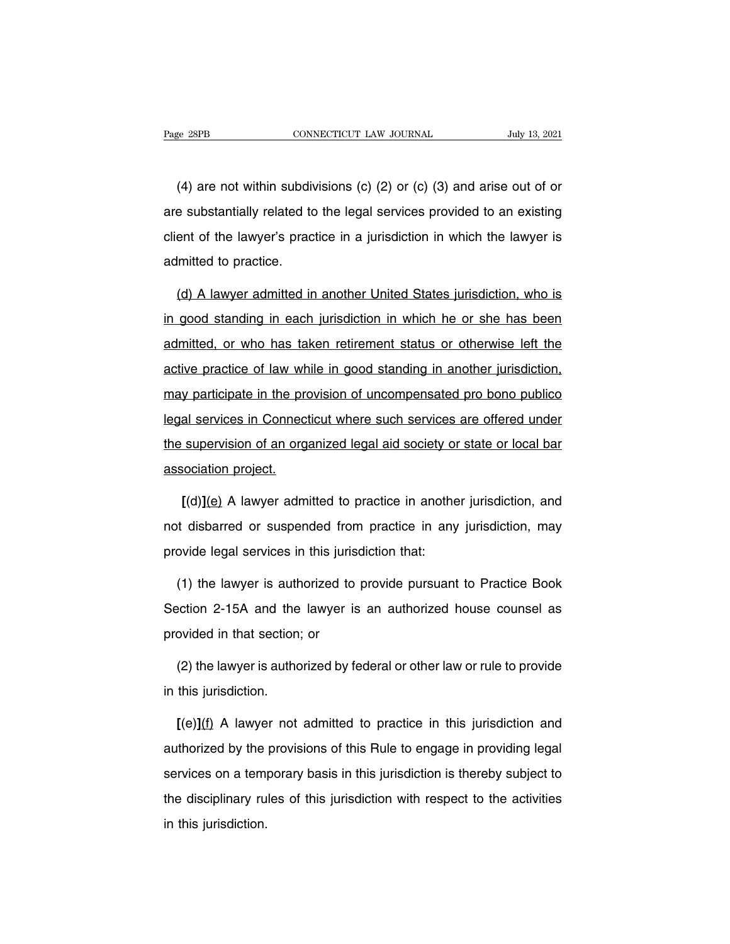EXTERT CONNECTICUT LAW JOURNAL THAY JOURNAL THAY 13, 2021<br>
(4) are not within subdivisions (c) (2) or (c) (3) and arise out of or<br>
(a) services provided to an existing Page 28PB CONNECTICUT LAW JOURNAL July 13, 2021<br>
(4) are not within subdivisions (c) (2) or (c) (3) and arise out of or<br>
are substantially related to the legal services provided to an existing<br>
client of the lawyer's pract (4) are not within subdivisions (c) (2) or (c) (3) and arise out of or<br>are substantially related to the legal services provided to an existing<br>client of the lawyer's practice in a jurisdiction in which the lawyer is<br>admitt (4) are not within subdivare substantially related to<br>client of the lawyer's practice.<br>admitted to practice. (e) substantially related to the legal services provided to an existing<br>
ent of the lawyer's practice in a jurisdiction in which the lawyer is<br>
(d) A lawyer admitted in another United States jurisdiction, who is<br>
good stan

client of the lawyer's practice in a jurisdiction in which the lawyer is<br>admitted to practice.<br>(d) A lawyer admitted in another United States jurisdiction, who is<br>in good standing in each jurisdiction in which he or she ha admitted to practice.<br>
(d) A lawyer admitted in another United States jurisdiction, who is<br>
in good standing in each jurisdiction in which he or she has been<br>
admitted, or who has taken retirement status or otherwise left (d) A lawyer admitted in another United States jurisdiction, who is<br>in good standing in each jurisdiction in which he or she has been<br>admitted, or who has taken retirement status or otherwise left the<br>active practice of la in good standing in each jurisdiction in which he or she has been<br>admitted, or who has taken retirement status or otherwise left the<br>active practice of law while in good standing in another jurisdiction,<br>may participate in admitted, or who has taken retirement status or otherwise left the active practice of law while in good standing in another jurisdiction, may participate in the provision of uncompensated pro bono publico legal services in active practice of law while in good standing in another jurisdiction,<br>may participate in the provision of uncompensated pro bono publico<br>legal services in Connecticut where such services are offered under<br>the supervision may participate in the product in the product the supervision of an org<br>the supervision of an org<br>association project. al services in Connecticut where such services are offered under<br>
supervision of an organized legal aid society or state or local bar<br>
sociation project.<br>
[(d)](e) A lawyer admitted to practice in another jurisdiction, and

the supervision of an organized legal aid society or state or local bar<br>association project.<br>[(d)](e) A lawyer admitted to practice in another jurisdiction, and<br>not disbarred or suspended from practice in any jurisdiction, association project.<br>
[(d)](e) A lawyer admitted to practice in anothe<br>
not disbarred or suspended from practice in any<br>
provide legal services in this jurisdiction that:<br>
(1) the lawyer is authorized to provide pursuant  $[(d)](e)$  A lawyer admitted to practice in another jurisdiction, and<br>t disbarred or suspended from practice in any jurisdiction, may<br>ovide legal services in this jurisdiction that:<br>(1) the lawyer is authorized to provide p

not disbarred or suspended from practice in any jurisdiction, may<br>provide legal services in this jurisdiction that:<br>(1) the lawyer is authorized to provide pursuant to Practice Book<br>Section 2-15A and the lawyer is an autho provide legal services in this juris<br>
(1) the lawyer is authorized to<br>
Section 2-15A and the lawyer is<br>
provided in that section; or<br>
(2) the lawyer is authorized by for (1) the lawyer is authorized to provide pursuant to Practice Book<br>ection 2-15A and the lawyer is an authorized house counsel as<br>ovided in that section; or<br>(2) the lawyer is authorized by federal or other law or rule to pro Section 2-15A and the<br>provided in that section<br>(2) the lawyer is author<br>in this jurisdiction.<br> $F(e)I(f)$  A lawyer not

**[(e)](f)** A lawyer is authorized by federal or other law or rule to provide<br>this jurisdiction.<br>**[(e)](f)** A lawyer not admitted to practice in this jurisdiction and<br>thorized by the provisions of this Rule to engage in pro (2) the lawyer is authorized by federal or other law or rule to provide<br>in this jurisdiction.<br> $[(e)](f)$  A lawyer not admitted to practice in this jurisdiction and<br>authorized by the provisions of this Rule to engage in prov in this jurisdiction.<br>
[(e)](f) A lawyer not admitted to practice in this jurisdiction and<br>
authorized by the provisions of this Rule to engage in providing legal<br>
services on a temporary basis in this jurisdiction is ther  $[(e)](f)$  A lawyer not admitted to practice in this jurisdiction and authorized by the provisions of this Rule to engage in providing legal services on a temporary basis in this jurisdiction is thereby subject to the disci authorized by the<br>services on a tem<br>the disciplinary ru<br>in this jurisdiction.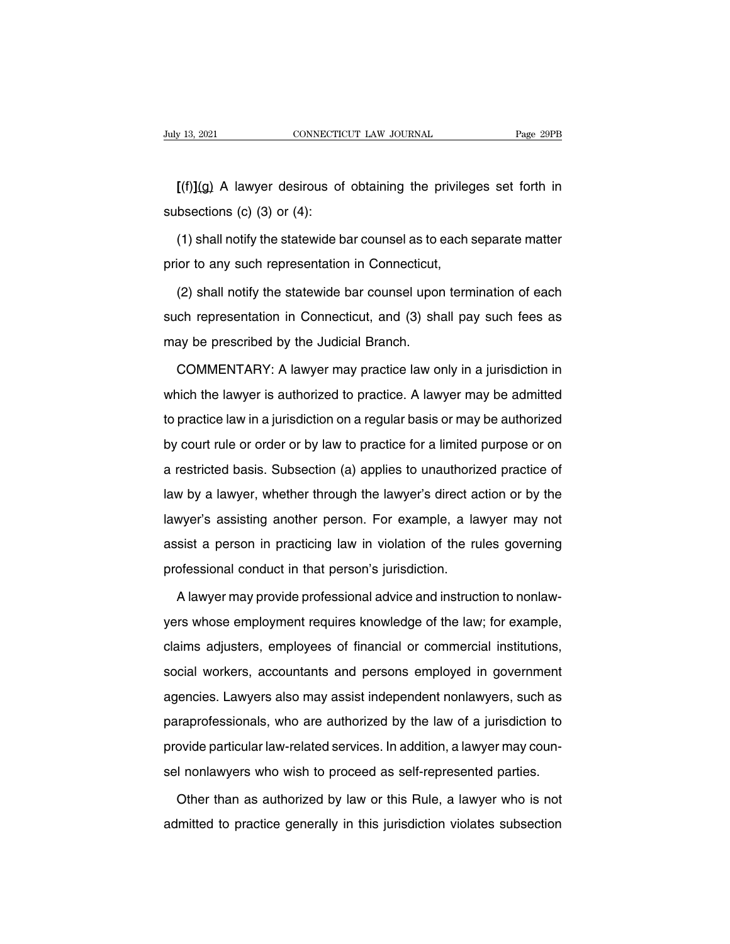**EXECUTE:** CONNECTICUT LAW JOURNAL Page 29PB<br> **[(f)](g)** A lawyer desirous of obtaining the privileges set forth in bsections (c) (3) or (4): July 13, 2021 CONNECTION<br>
(f)](g) A lawyer desirous of<br>
subsections (c) (3) or (4):<br>
(1) shall notify the statewide b

 $[(f)](g)$  A lawyer desirous of obtaining the privileges set forth in<br>bsections (c) (3) or (4):<br>(1) shall notify the statewide bar counsel as to each separate matter<br>ior to any such representation in Connecticut,  $[(f)](g)$  A lawyer desirous of obtaining the privileg<br>subsections (c) (3) or (4):<br>(1) shall notify the statewide bar counsel as to each s<br>prior to any such representation in Connecticut,<br>(2) shall notify the statewide bar

bsections (c) (3) or (4):<br>
(1) shall notify the statewide bar counsel as to each separate matter<br>
ior to any such representation in Connecticut,<br>
(2) shall notify the statewide bar counsel upon termination of each<br>
ch repr (1) shall notify the statewide bar counsel as to each separate matter<br>prior to any such representation in Connecticut,<br>(2) shall notify the statewide bar counsel upon termination of each<br>such representation in Connecticut, prior to any such representation in Connecticut,<br>
(2) shall notify the statewide bar counsel upor<br>
such representation in Connecticut, and (3) sha<br>
may be prescribed by the Judicial Branch.<br>
COMMENTARY: A lawyer may practi (2) shall notify the statewide bar counsel upon termination of each<br>ch representation in Connecticut, and (3) shall pay such fees as<br>ay be prescribed by the Judicial Branch.<br>COMMENTARY: A lawyer may practice law only in a

such representation in Connecticut, and (3) shall pay such fees as<br>may be prescribed by the Judicial Branch.<br>COMMENTARY: A lawyer may practice law only in a jurisdiction in<br>which the lawyer is authorized to practice. A law The prescribed by the Judicial Branch.<br>
COMMENTARY: A lawyer may practice law only in a jurisdiction in<br>
which the lawyer is authorized to practice. A lawyer may be admitted<br>
to practice law in a jurisdiction on a regular COMMENTARY: A lawyer may practice law only in a jurisdiction in<br>which the lawyer is authorized to practice. A lawyer may be admitted<br>to practice law in a jurisdiction on a regular basis or may be authorized<br>by court rule o which the lawyer is authorized to practice. A lawyer may be admitted to practice law in a jurisdiction on a regular basis or may be authorized by court rule or order or by law to practice for a limited purpose or on a rest It is a lawyer is diamonized to practice. A lawyer may be diamonized to practice law in a jurisdiction on a regular basis or may be authorized by court rule or order or by law to practice for a limited purpose or on a rest law to practice taw in a januarolism on a regaral bacto or may be datitenzed<br>by court rule or order or by law to practice for a limited purpose or on<br>a restricted basis. Subsection (a) applies to unauthorized practice of<br>l by count rate of clubs of by law to placified of a illumited parpose of off<br>a restricted basis. Subsection (a) applies to unauthorized practice of<br>law by a lawyer, whether through the lawyer's direct action or by the<br>lawye a restricted statist. Sabsocial (a) apprice to andattrictized<br>law by a lawyer, whether through the lawyer's direct at<br>lawyer's assisting another person. For example, a la<br>assist a person in practicing law in violation of t A lawyer's assisting another person. For example, a lawyer may not<br>sist a person in practicing law in violation of the rules governing<br>ofessional conduct in that person's jurisdiction.<br>A lawyer may provide professional adv

assist a person in practicing law in violation of the rules governing<br>professional conduct in that person's jurisdiction.<br>A lawyer may provide professional advice and instruction to nonlaw-<br>yers whose employment requires k professional conduct in that person's jurisdiction.<br>A lawyer may provide professional advice and instruction to nonlaw-<br>yers whose employment requires knowledge of the law; for example,<br>claims adjusters, employees of finan A lawyer may provide professional advice and instruction to nonlaw-<br>yers whose employment requires knowledge of the law; for example,<br>claims adjusters, employees of financial or commercial institutions,<br>social workers, acc That were employment requires knowledge of the law; for example,<br>claims adjusters, employees of financial or commercial institutions,<br>social workers, accountants and persons employed in government<br>agencies. Lawyers also ma paraprofessionals, who are authorized by the law, or chample, claims adjusters, employees of financial or commercial institutions, social workers, accountants and persons employed in government agencies. Lawyers also may a provide particular law-related services. In addition, a lawyers, such as<br>paraprofessionals, who are authorized by the law of a jurisdiction to<br>provide particular law-related services. In addition, a lawyer may coun-<br>sel no sel nonlargy a method, association and persons omployed in government<br>agencies. Lawyers also may assist independent nonlawyers, such as<br>paraprofessionals, who are authorized by the law of a jurisdiction to<br>provide particul raprofessionals, who are authorized by the law of a jurisdiction to<br>ovide particular law-related services. In addition, a lawyer may coun-<br>I nonlawyers who wish to proceed as self-represented parties.<br>Other than as authori provide particular law-related services. In addition, a lawyer may counsel nonlawyers who wish to proceed as self-represented parties.<br>Other than as authorized by law or this Rule, a lawyer who is not admitted to practice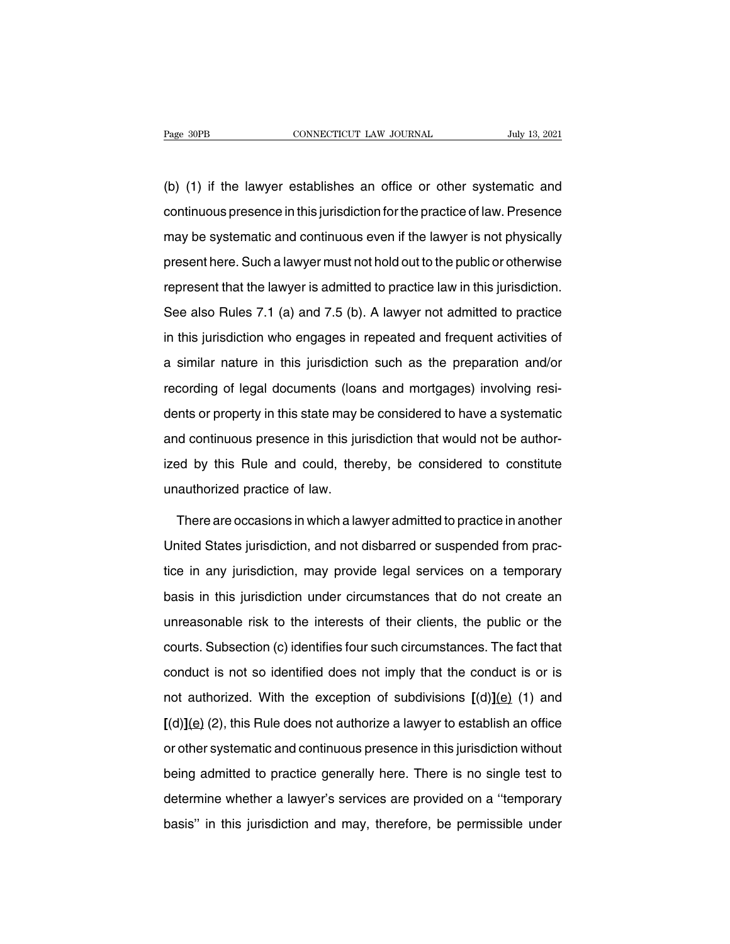Example 30PB<br>(b) (1) if the lawyer establishes an office or other systematic and<br>continuous presence in this jurisdiction for the practice of law. Presence Page 30PB CONNECTICUT LAW JOURNAL July 13, 2021<br>(b) (1) if the lawyer establishes an office or other systematic and<br>continuous presence in this jurisdiction for the practice of law. Presence<br>may be systematic and continuou (b) (1) if the lawyer establishes an office or other systematic and continuous presence in this jurisdiction for the practice of law. Presence may be systematic and continuous even if the lawyer is not physically present h (b) (1) if the lawyer establishes an office or other systematic and<br>continuous presence in this jurisdiction for the practice of law. Presence<br>may be systematic and continuous even if the lawyer is not physically<br>present h continuous presence in this jurisdiction for the practice of law. Presence<br>may be systematic and continuous even if the lawyer is not physically<br>present here. Such a lawyer must not hold out to the public or otherwise<br>rep may be systematic and continuous even if the lawyer is not physically<br>present here. Such a lawyer must not hold out to the public or otherwise<br>represent that the lawyer is admitted to practice law in this jurisdiction.<br>See in the lawyer must not hold out to the public or otherwise<br>represent that the lawyer is admitted to practice law in this jurisdiction.<br>See also Rules 7.1 (a) and 7.5 (b). A lawyer not admitted to practice<br>in this jurisdict represent that the lawyer is admitted to practice law in this jurisdiction.<br>See also Rules 7.1 (a) and 7.5 (b). A lawyer not admitted to practice<br>in this jurisdiction who engages in repeated and frequent activities of<br>a si See also Rules 7.1 (a) and 7.5 (b). A lawyer not admitted to practice<br>in this jurisdiction who engages in repeated and frequent activities of<br>a similar nature in this jurisdiction such as the preparation and/or<br>recording o in this jurisdiction who engages in repeated and frequent activities of<br>a similar nature in this jurisdiction such as the preparation and/or<br>recording of legal documents (loans and mortgages) involving resi-<br>dents or prope and similar nature in this jurisdiction such as the preparation and/or recording of legal documents (loans and mortgages) involving residents or property in this state may be considered to have a systematic and continuous recording of legal documents (loans and mortgages) involving residents or property in this state may be considered to have a systematic and continuous presence in this jurisdiction that would not be authorized by this Rule dents or property in this state may b<br>and continuous presence in this jure<br>ized by this Rule and could, there<br>unauthorized practice of law.<br>There are occasions in which a law In the author-<br>There are occasions in this jurisdiction that would not be author-<br>authorized practice of law.<br>There are occasions in which a lawyer admitted to practice in another<br>ited States jurisdiction, and not disbarre

ized by this Rule and could, thereby, be considered to constitute<br>unauthorized practice of law.<br>There are occasions in which a lawyer admitted to practice in another<br>United States jurisdiction, and not disbarred or suspend unauthorized practice of law.<br>There are occasions in which a lawyer admitted to practice in another<br>United States jurisdiction, and not disbarred or suspended from prac-<br>tice in any jurisdiction, may provide legal services There are occasions in which a lawyer admitted to practice in another<br>United States jurisdiction, and not disbarred or suspended from prac-<br>tice in any jurisdiction, may provide legal services on a temporary<br>basis in this United States jurisdiction, and not disbarred or suspended from practice in any jurisdiction, may provide legal services on a temporary basis in this jurisdiction under circumstances that do not create an unreasonable risk courts. Subsection, may provide legal services on a temporary<br>basis in this jurisdiction under circumstances that do not create an<br>unreasonable risk to the interests of their clients, the public or the<br>courts. Subsection ( basis in this jurisdiction under circumstances that do not create an<br>unreasonable risk to the interests of their clients, the public or the<br>courts. Subsection (c) identifies four such circumstances. The fact that<br>conduct i not all properties in the public or the courts. Subsection (c) identifies four such circumstances. The fact that conduct is not so identified does not imply that the conduct is or is not authorized. With the exception of courts. Subsection (c) identifies four such circumstances. The fact that conduct is not so identified does not imply that the conduct is or is not authorized. With the exception of subdivisions  $[(d)](e)$  (1) and  $[(d)](e)$  ( conduct is not so identified does not imply that the conduct is or is<br>not authorized. With the exception of subdivisions  $[(d)](e)$  (1) and<br> $[(d)](e)$  (2), this Rule does not authorize a lawyer to establish an office<br>or other being admitted. With the exception of subdivisions  $[(d)](e)$  (1) and  $[(d)](e)$  (2), this Rule does not authorize a lawyer to establish an office or other systematic and continuous presence in this jurisdiction without being  $[(d)](e)$  (2), this Rule does not authorize a lawyer to establish an office<br>or other systematic and continuous presence in this jurisdiction without<br>being admitted to practice generally here. There is no single test to<br>det  $[(d)](e)$  (2), this Rule does not authorize a lawyer to establish an office<br>or other systematic and continuous presence in this jurisdiction without<br>being admitted to practice generally here. There is no single test to<br>det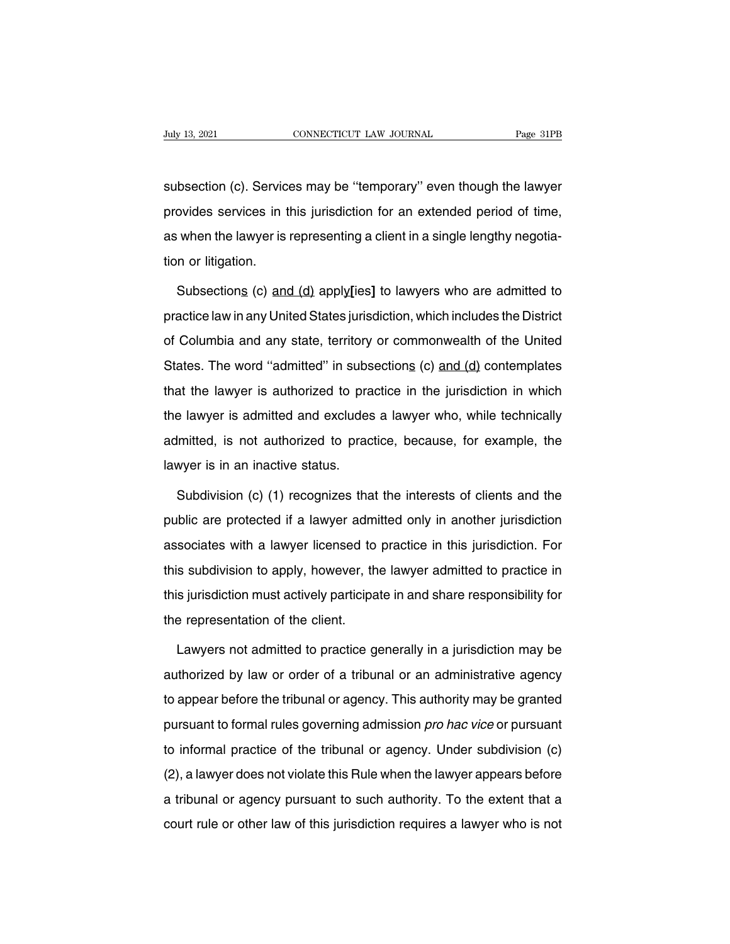Suly 13, 2021 CONNECTICUT LAW JOURNAL Page 31PB<br>subsection (c). Services may be "temporary" even though the lawyer<br>provides services in this jurisdiction for an extended period of time, buly 13, 2021 CONNECTICUT LAW JOURNAL Page 31PB<br>subsection (c). Services may be "temporary" even though the lawyer<br>provides services in this jurisdiction for an extended period of time,<br>as when the lawyer is representing a subsection (c). Services may be "temporary" even though the lawyer<br>provides services in this jurisdiction for an extended period of time,<br>as when the lawyer is representing a client in a single lengthy negotia-<br>tion or lit subsection (c). Servic<br>provides services in t<br>as when the lawyer is<br>tion or litigation.<br>Subsections (c) and ovides services in this jurisdiction for an extended period of time,<br>when the lawyer is representing a client in a single lengthy negotia-<br>n or litigation.<br>Subsections (c) <u>and (d)</u> apply[ies] to lawyers who are admitted t

as when the lawyer is representing a client in a single lengthy negotiation or litigation.<br>
Subsections (c) and (d) apply[ies] to lawyers who are admitted to<br>
practice law in any United States jurisdiction, which includes tion or litigation.<br>
Subsections (c) and (d) apply[ies] to lawyers who are admitted to<br>
practice law in any United States jurisdiction, which includes the District<br>
of Columbia and any state, territory or commonwealth of t Subsections (c) and (d) apply[ies] to lawyers who are admitted to<br>practice law in any United States jurisdiction, which includes the District<br>of Columbia and any state, territory or commonwealth of the United<br>States. The w practice law in any United States jurisdiction, which includes the District<br>of Columbia and any state, territory or commonwealth of the United<br>States. The word "admitted" in subsections (c) and (d) contemplates<br>that the la of Columbia and any state, territory or commonwealth of the United<br>States. The word "admitted" in subsections (c) and (d) contemplates<br>that the lawyer is authorized to practice in the jurisdiction in which<br>the lawyer is ad States. The word "admitted" in subsections (c) and (d) contemplates<br>that the lawyer is authorized to practice in the jurisdiction in which<br>the lawyer is admitted and excludes a lawyer who, while technically<br>admitted, is no that the lawyer is authorized to pra<br>the lawyer is admitted and excludes<br>admitted, is not authorized to practive status.<br>Subdivision (c) (1) recognizes that Subdivision (c) (1) recognizes that the interests of clients and the policial protection (c) (1) recognizes that the interests of clients and the bilic are protected if a lawyer admitted only in another jurisdiction

admitted, is not authorized to practice, because, for example, the<br>lawyer is in an inactive status.<br>Subdivision (c) (1) recognizes that the interests of clients and the<br>public are protected if a lawyer admitted only in ano lawyer is in an inactive status.<br>
Subdivision (c) (1) recognizes that the interests of clients and the<br>
public are protected if a lawyer admitted only in another jurisdiction<br>
associates with a lawyer licensed to practice Subdivision (c) (1) recognizes that the interests of clients and the public are protected if a lawyer admitted only in another jurisdiction associates with a lawyer licensed to practice in this jurisdiction. For this subdi public are protected if a lawyer admitted only in another jurisdiction associates with a lawyer licensed to practice in this jurisdiction. For this subdivision to apply, however, the lawyer admitted to practice in this jur public are protected if a lawyer admitted only in another jurisdiction<br>associates with a lawyer licensed to practice in this jurisdiction. For<br>this subdivision to apply, however, the lawyer admitted to practice in<br>this jur Solutivation to apply, however, the lawyer admitted to practice in<br>
Solutisdiction must actively participate in and share responsibility for<br>
Prepresentation of the client.<br>
Lawyers not admitted to practice generally in a

this jurisdiction must actively participate in and share responsibility for<br>the representation of the client.<br>Lawyers not admitted to practice generally in a jurisdiction may be<br>authorized by law or order of a tribunal or the representation of the client.<br>
Lawyers not admitted to practice generally in a jurisdiction may be<br>
authorized by law or order of a tribunal or an administrative agency<br>
to appear before the tribunal or agency. This au Lawyers not admitted to practice generally in a jurisdiction may be authorized by law or order of a tribunal or an administrative agency to appear before the tribunal or agency. This authority may be granted pursuant to fo Eautycio not damined to practice generally in a jandalellel may be<br>authorized by law or order of a tribunal or an administrative agency<br>to appear before the tribunal or agency. This authority may be granted<br>pursuant to for to appear before the tribunal or agency. This authority may be granted<br>pursuant to formal rules governing admission *pro hac vice* or pursuant<br>to informal practice of the tribunal or agency. Under subdivision (c)<br>(2), a la pursuant to formal rules governing admission *pro hac vice* or pursuant<br>to informal practice of the tribunal or agency. Under subdivision (c)<br>(2), a lawyer does not violate this Rule when the lawyer appears before<br>a tribun to informal practice of the tribunal or agency. Under subdivision (c)<br>(2), a lawyer does not violate this Rule when the lawyer appears before<br>a tribunal or agency pursuant to such authority. To the extent that a<br>court rule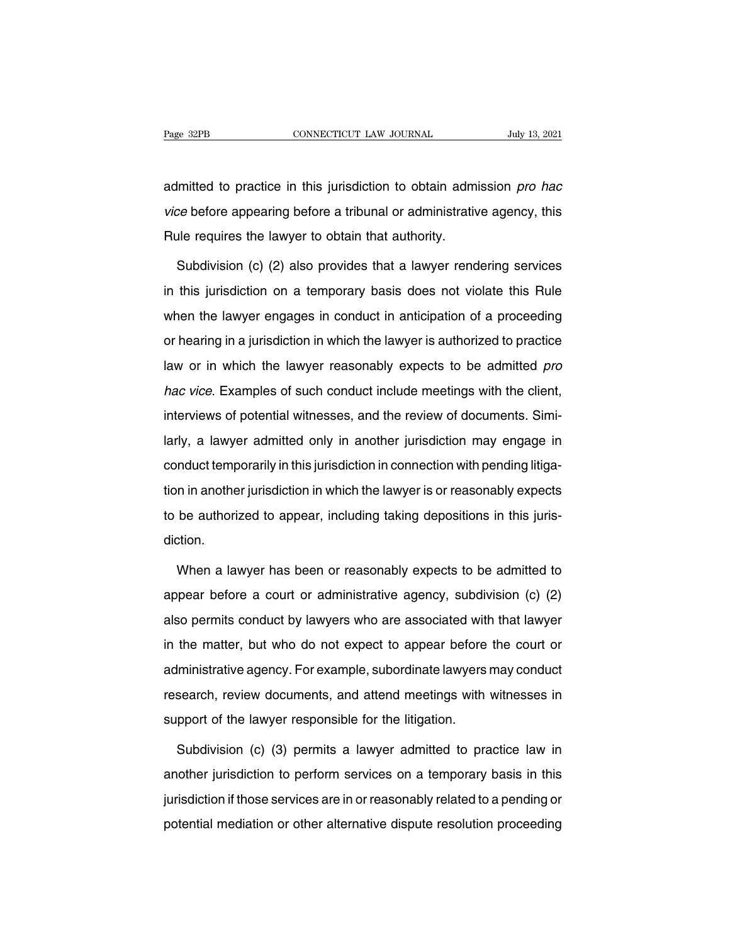Page 32PB<br>
cONNECTICUT LAW JOURNAL<br>
admitted to practice in this jurisdiction to obtain admission *pro hac*<br>
vice before appearing before a tribunal or administrative agency, this vice 32PB<br>
vice before appearing before a tribunal or administrative agency, this<br>
vice before appearing before a tribunal or administrative agency, this<br>
Rule requires the lawyer to obtain that authority. admitted to practice in this jurisdiction to obtain adm<br>vice before appearing before a tribunal or administrativ<br>Rule requires the lawyer to obtain that authority.<br>Subdivision (c) (2) also provides that a lawyer rend Imitted to practice in this jurisdiction to obtain admission *pro hac*<br>ce before appearing before a tribunal or administrative agency, this<br>alle requires the lawyer to obtain that authority.<br>Subdivision (c) (2) also provid

vice before appearing before a tribunal or administrative agency, this<br>Rule requires the lawyer to obtain that authority.<br>Subdivision (c) (2) also provides that a lawyer rendering services<br>in this jurisdiction on a tempora Rule requires the lawyer to obtain that authority.<br>Subdivision (c) (2) also provides that a lawyer rendering services<br>in this jurisdiction on a temporary basis does not violate this Rule<br>when the lawyer engages in conduct Subdivision (c) (2) also provides that a lawyer rendering services<br>in this jurisdiction on a temporary basis does not violate this Rule<br>when the lawyer engages in conduct in anticipation of a proceeding<br>or hearing in a jur In this jurisdiction on a temporary basis does not violate this Rule<br>when the lawyer engages in conduct in anticipation of a proceeding<br>or hearing in a jurisdiction in which the lawyer is authorized to practice<br>law or in when the lawyer engages in conduct in anticipation of a proceeding<br>or hearing in a jurisdiction in which the lawyer is authorized to practice<br>law or in which the lawyer reasonably expects to be admitted *pro*<br>hac vice. Exa or hearing in a jurisdiction in which the lawyer is authorized to practice<br>law or in which the lawyer reasonably expects to be admitted *pro*<br>hac vice. Examples of such conduct include meetings with the client,<br>interviews law or in which the lawyer reasonably expects to be admitted *pro*<br>hac vice. Examples of such conduct include meetings with the client,<br>interviews of potential witnesses, and the review of documents. Simi-<br>larly, a lawyer and of in which the lawyer reasonably expects to be damited pro<br>hac vice. Examples of such conduct include meetings with the client,<br>interviews of potential witnesses, and the review of documents. Simi-<br>larly, a lawyer adm The view Examples of sach schaact instate meanige with the client,<br>interviews of potential witnesses, and the review of documents. Simi-<br>larly, a lawyer admitted only in another jurisdiction may engage in<br>conduct temporari the formulation of potential with bestect, and the fortew of decembents. Shintlerly, a lawyer admitted only in another jurisdiction may engage in conduct temporarily in this jurisdiction in connection with pending litigati diction. In in another jurisdiction in which the lawyer is or reasonably expects<br>be authorized to appear, including taking depositions in this juris-<br>tion.<br>When a lawyer has been or reasonably expects to be admitted to<br>pear before

to be authorized to appear, including taking depositions in this juris-<br>diction.<br>When a lawyer has been or reasonably expects to be admitted to<br>appear before a court or administrative agency, subdivision (c) (2)<br>also permi diction.<br>When a lawyer has been or reasonably expects to be admitted to<br>appear before a court or administrative agency, subdivision (c) (2)<br>also permits conduct by lawyers who are associated with that lawyer<br>in the matter, When a lawyer has been or reasonably expects to be admitted to<br>appear before a court or administrative agency, subdivision (c) (2)<br>also permits conduct by lawyers who are associated with that lawyer<br>in the matter, but who a hanger had been or readenably expects to be damined to appear before a court or administrative agency, subdivision (c) (2) also permits conduct by lawyers who are associated with that lawyer in the matter, but who do not also permits conduct by lawyers who are associated with that lawyer<br>in the matter, but who do not expect to appear before the court or<br>administrative agency. For example, subordinate lawyers may conduct<br>research, review d in the matter, but who do not expect to appear before<br>administrative agency. For example, subordinate lawyers<br>research, review documents, and attend meetings with<br>support of the lawyer responsible for the litigation.<br>Subdi Iministrative agency. For example, subordinate lawyers may conduct<br>search, review documents, and attend meetings with witnesses in<br>pport of the lawyer responsible for the litigation.<br>Subdivision (c) (3) permits a lawyer ad

research, review documents, and attend meetings with witnesses in<br>support of the lawyer responsible for the litigation.<br>Subdivision (c) (3) permits a lawyer admitted to practice law in<br>another jurisdiction to perform servi support of the lawyer responsible for the litigation.<br>Subdivision (c) (3) permits a lawyer admitted to practice law in<br>another jurisdiction to perform services on a temporary basis in this<br>jurisdiction if those services ar Subdivision (c) (3) permits a lawyer admitted to practice law in another jurisdiction to perform services on a temporary basis in this jurisdiction if those services are in or reasonably related to a pending or potential m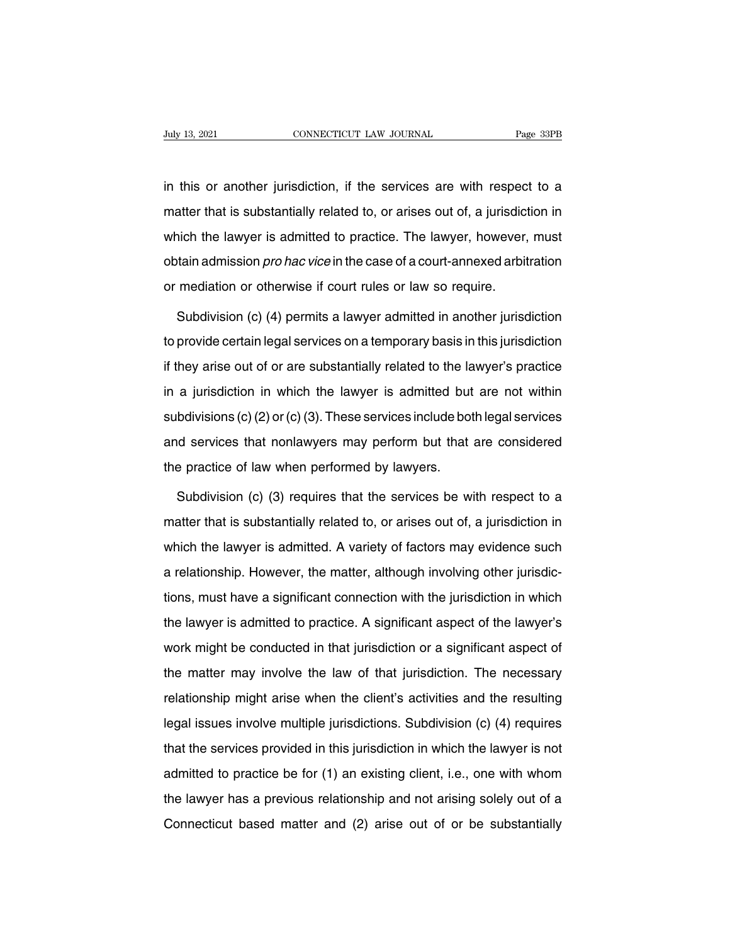In this or another jurisdiction, if the services are with respect to a matter that is substantially related to, or arises out of, a jurisdiction in July 13, 2021 CONNECTICUT LAW JOURNAL Page 33PB<br>in this or another jurisdiction, if the services are with respect to a<br>matter that is substantially related to, or arises out of, a jurisdiction in<br>which the lawyer is admitt in this or another jurisdiction, if the services are with respect to a matter that is substantially related to, or arises out of, a jurisdiction in which the lawyer is admitted to practice. The lawyer, however, must obtain in this or another jurisdiction, if the services are with respect to a<br>matter that is substantially related to, or arises out of, a jurisdiction in<br>which the lawyer is admitted to practice. The lawyer, however, must<br>obtain in this or another jurisdiction, if the services are with respect to a<br>matter that is substantially related to, or arises out of, a jurisdiction in<br>which the lawyer is admitted to practice. The lawyer, however, must<br>obtain ich the lawyer is admitted to practice. The lawyer, however, must<br>tain admission *pro hac vice* in the case of a court-annexed arbitration<br>mediation or otherwise if court rules or law so require.<br>Subdivision (c) (4) permit

obtain admission *pro hac vice* in the case of a court-annexed arbitration<br>or mediation or otherwise if court rules or law so require.<br>Subdivision (c) (4) permits a lawyer admitted in another jurisdiction<br>to provide certai if they arise or law so require.<br>Subdivision (c) (4) permits a lawyer admitted in another jurisdiction<br>to provide certain legal services on a temporary basis in this jurisdiction<br>if they arise out of or are substantially r Subdivision (c) (4) permits a lawyer admitted in another jurisdiction<br>to provide certain legal services on a temporary basis in this jurisdiction<br>if they arise out of or are substantially related to the lawyer's practice<br>i to provide certain legal services on a temporary basis in this jurisdiction<br>if they arise out of or are substantially related to the lawyer's practice<br>in a jurisdiction in which the lawyer is admitted but are not within<br>s if they arise out of or are substantially related to the lawyer's practice<br>in a jurisdiction in which the lawyer is admitted but are not within<br>subdivisions (c) (2) or (c) (3). These services include both legal services<br>an In a jurisdiction in which the lawyer is admitted but<br>subdivisions (c) (2) or (c) (3). These services include bot<br>and services that nonlawyers may perform but that<br>the practice of law when performed by lawyers.<br>Subdivisio bdivisions (c) (2) or (c) (3). These services include both legal services<br>d services that nonlawyers may perform but that are considered<br>e practice of law when performed by lawyers.<br>Subdivision (c) (3) requires that the se

and services that nonlawyers may perform but that are considered<br>the practice of law when performed by lawyers.<br>Subdivision (c) (3) requires that the services be with respect to a<br>matter that is substantially related to, o the practice of law when performed by lawyers.<br>
Subdivision (c) (3) requires that the services be with respect to a<br>
matter that is substantially related to, or arises out of, a jurisdiction in<br>
which the lawyer is admitte Subdivision (c) (3) requires that the services be with respect to a<br>matter that is substantially related to, or arises out of, a jurisdiction in<br>which the lawyer is admitted. A variety of factors may evidence such<br>a relati matter that is substantially related to, or arises out of, a jurisdiction in<br>which the lawyer is admitted. A variety of factors may evidence such<br>a relationship. However, the matter, although involving other jurisdic-<br>tion matter that is sassidentially fistable to, or alless out of, a jambable. If it<br>which the lawyer is admitted. A variety of factors may evidence such<br>a relationship. However, the matter, although involving other jurisdic-<br>ti a relationship. However, the matter, although involving other jurisdictions, must have a significant connection with the jurisdiction in which the lawyer is admitted to practice. A significant aspect of the lawyer's work m tions, must have a significant connection with the jurisdiction in which<br>the lawyer is admitted to practice. A significant aspect of the lawyer's<br>work might be conducted in that jurisdiction or a significant aspect of<br>the relationship might arise when the client's activities are defined as a significant aspect of the lawyer's work might be conducted in that jurisdiction or a significant aspect of the matter may involve the law of that juris legal issues involve the law of that jurisdiction or a significant aspect of the matter may involve the law of that jurisdiction. The necessary relationship might arise when the client's activities and the resulting legal the matter may involve the law of that jurisdiction. The necessary<br>relationship might arise when the client's activities and the resulting<br>legal issues involve multiple jurisdictions. Subdivision (c) (4) requires<br>that the relationship might arise when the client's activities and the resulting<br>legal issues involve multiple jurisdictions. Subdivision (c) (4) requires<br>that the services provided in this jurisdiction in which the lawyer is not<br>a teleptical issues involve multiple jurisdictions. Subdivision (c) (4) requires<br>that the services provided in this jurisdiction in which the lawyer is not<br>admitted to practice be for (1) an existing client, i.e., one with w that the services provided in this jurisdiction in which the lawyer is not admitted to practice be for (1) an existing client, i.e., one with whom the lawyer has a previous relationship and not arising solely out of a Con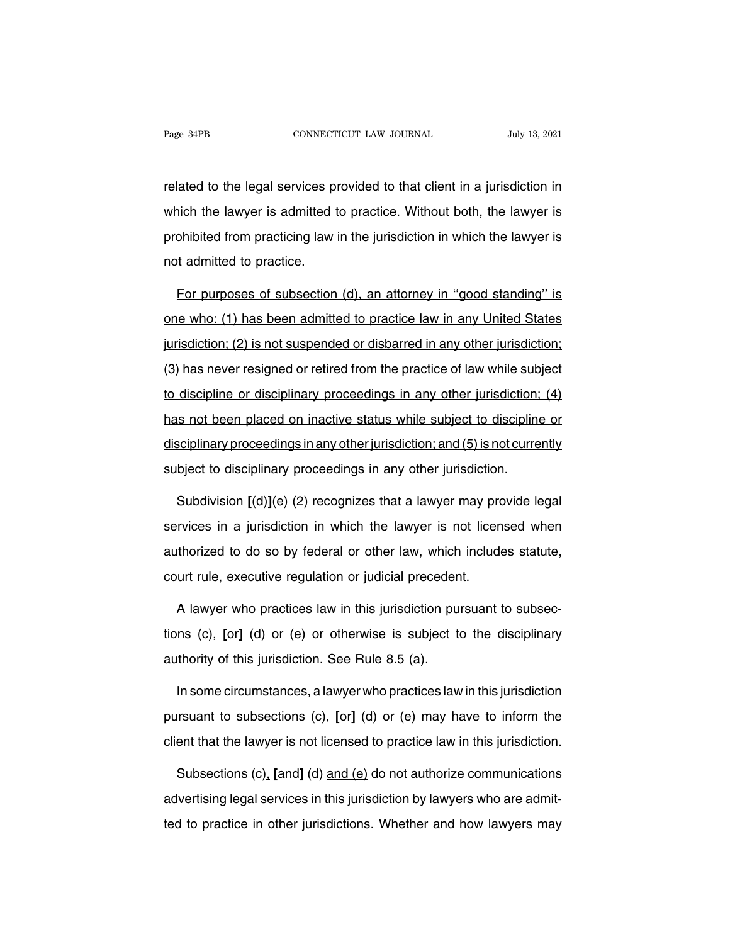related to the legal services provided to that client in a jurisdiction in<br>which the lawyer is admitted to practice. Without both, the lawyer is Page 34PB CONNECTICUT LAW JOURNAL July 13, 2021<br>
related to the legal services provided to that client in a jurisdiction in<br>
which the lawyer is admitted to practice. Without both, the lawyer is<br>
prohibited from practicing related to the legal services provided to that client in a jurisdiction in which the lawyer is admitted to practice. Without both, the lawyer is prohibited from practicing law in the jurisdiction in which the lawyer is not related to the legal services provided to the lawyer is admitted to probabilities and probabilities and the motion of admitted to practice. ich the lawyer is admitted to practice. Without both, the lawyer is<br>ohibited from practicing law in the jurisdiction in which the lawyer is<br>it admitted to practice.<br>For purposes of subsection (d), an attorney in "good stan

prohibited from practicing law in the jurisdiction in which the lawyer is<br>not admitted to practice.<br>For purposes of subsection (d), an attorney in "good standing" is<br>one who: (1) has been admitted to practice law in any Un independent mot admitted to practice.<br>For purposes of subsection (d), an attorney in "good standing" is<br>one who: (1) has been admitted to practice law in any United States<br>jurisdiction; (2) is not suspended or disbarred in For purposes of subsection (d), an attorney in "good standing" is<br>one who: (1) has been admitted to practice law in any United States<br>jurisdiction; (2) is not suspended or disbarred in any other jurisdiction;<br>(3) has never one who: (1) has been admitted to practice law in any United States<br>jurisdiction; (2) is not suspended or disbarred in any other jurisdiction;<br>(3) has never resigned or retired from the practice of law while subject<br>to dis jurisdiction; (2) is not suspended or disbarred in any other jurisdiction;<br>(3) has never resigned or retired from the practice of law while subject<br>to discipline or disciplinary proceedings in any other jurisdiction; (4)<br>h (3) has never resigned or retired from the practice of law while subject<br>to discipline or disciplinary proceedings in any other jurisdiction; (4)<br>has not been placed on inactive status while subject to discipline or<br>disci (3) has never resigned or retired from the practice of law while subject<br>to discipline or disciplinary proceedings in any other jurisdiction; (4)<br>has not been placed on inactive status while subject to discipline or<br>disci It is not been placed on inactive status while subject to discipline or<br>
sciplinary proceedings in any other jurisdiction; and (5) is not currently<br>
bject to disciplinary proceedings in any other jurisdiction.<br>
Subdivision

disciplinary proceedings in any other jurisdiction; and (5) is not currently<br>subject to disciplinary proceedings in any other jurisdiction.<br>Subdivision [(d)](e) (2) recognizes that a lawyer may provide legal<br>services in a subject to disciplinary proceedings in any other jurisdiction.<br>Subdivision [(d)](e) (2) recognizes that a lawyer may provide legal<br>services in a jurisdiction in which the lawyer is not licensed when<br>authorized to do so by Subdivision  $[(d)](e)$  (2) recognizes that a lawyer may proservices in a jurisdiction in which the lawyer is not licen authorized to do so by federal or other law, which include court rule, executive regulation or judicial rvices in a jurisdiction in which the lawyer is not licensed when<br>thorized to do so by federal or other law, which includes statute,<br>urt rule, executive regulation or judicial precedent.<br>A lawyer who practices law in this

authorized to do so by federal or other law, which includes statute,<br>
court rule, executive regulation or judicial precedent.<br>
A lawyer who practices law in this jurisdiction pursuant to subsec-<br>
tions (c), [or] (d) <u>or (e</u> court rule, executive regulation or judicial preceden<br>A lawyer who practices law in this jurisdiction pu<br>tions (c), [or] (d) <u>or (e)</u> or otherwise is subject to<br>authority of this jurisdiction. See Rule 8.5 (a).<br>In some cir A lawyer who practices law in this jurisdiction pursuant to subsec-<br>ns (c), [or] (d) <u>or (e</u>) or otherwise is subject to the disciplinary<br>thority of this jurisdiction. See Rule 8.5 (a).<br>In some circumstances, a lawyer who

ions (c), [or] (d) <u>or (e)</u> or otherwise is subject to the disciplinary<br>authority of this jurisdiction. See Rule 8.5 (a).<br>In some circumstances, a lawyer who practices law in this jurisdiction<br>pursuant to subsections (c), authority of this jurisdiction. See Rule 8.5 (a).<br>In some circumstances, a lawyer who practices law in this jurisdiction<br>pursuant to subsections (c), [or] (d) <u>or (e)</u> may have to inform the<br>client that the lawyer is not In some circumstances, a lawyer who practices law in this jurisdiction<br>
rsuant to subsections (c), [or] (d) <u>or (e</u>) may have to inform the<br>
ent that the lawyer is not licensed to practice law in this jurisdiction.<br>
Subsec

pursuant to subsections (c). [or] (d) <u>or (e)</u> may have to inform the client that the lawyer is not licensed to practice law in this jurisdiction.<br>Subsections (c), [and] (d) and (e) do not authorize communications advertis client that the lawyer is not licensed to practice law in this jurisdiction.<br>Subsections (c), [and] (d) and (e) do not authorize communications<br>advertising legal services in this jurisdiction by lawyers who are admit-<br>ted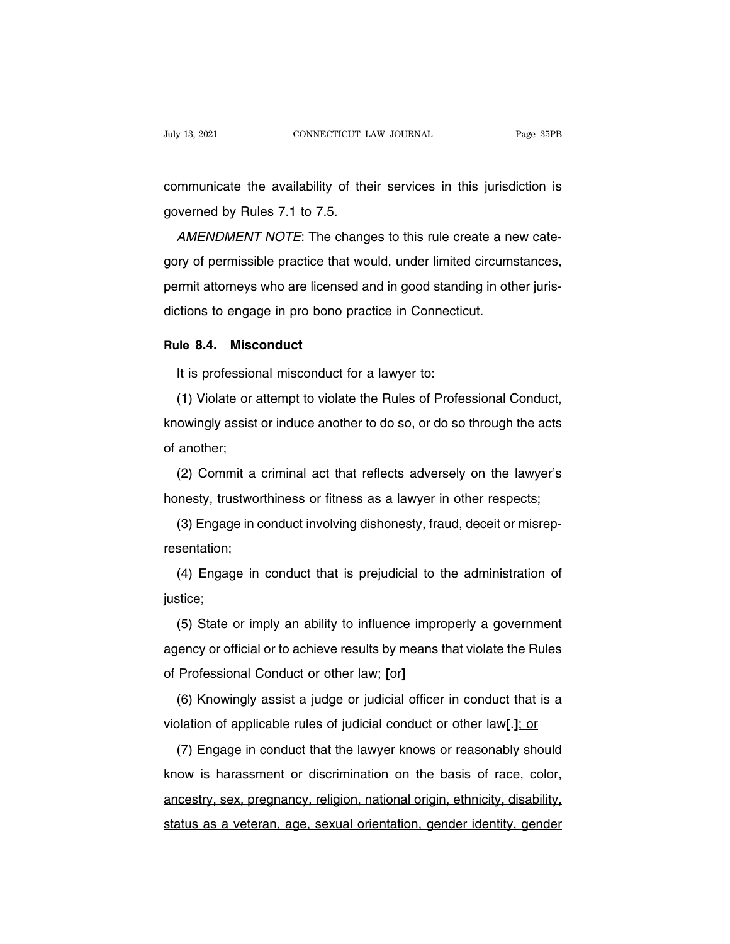Figure 2021<br>
CONNECTICUT LAW JOURNAL Page 35PB<br>
COMMUNICATE TO CONNECTICUT LAW JOURNAL Page 35PB<br>
COMMUNICATE CONNECTICUT LAW JOURNAL<br>
CONTRACTED PAGE 35PB<br>
COMMUNICATE PAGE 35PB<br>
CONNECTICUT LAW JOURNAL<br>
IPAGE 35PB<br>
COMMU July 13, 2021<br>
connectricute the availability of the<br>
governed by Rules 7.1 to 7.5.<br> *AMENDMENT NOTE*: The chang

mmunicate the availability of their services in this jurisdiction is<br>verned by Rules 7.1 to 7.5.<br>AMENDMENT NOTE: The changes to this rule create a new cate-<br>ry of permissible practice that would, under limited circumstance communicate the availability of their services in this jurisdiction is<br>governed by Rules 7.1 to 7.5.<br>AMENDMENT NOTE: The changes to this rule create a new cate-<br>gory of permissible practice that would, under limited circum governed by Rules 7.1 to 7.5.<br>AMENDMENT NOTE: The changes to this rule create a new category of permissible practice that would, under limited circumstances,<br>permit attorneys who are licensed and in good standing in other AMENDMENT NOTE: The changes to this rule create a ne<br>gory of permissible practice that would, under limited circums<br>permit attorneys who are licensed and in good standing in oth<br>dictions to engage in pro bono practice in C gory of permissible practice that<br>permit attorneys who are licens<br>dictions to engage in pro bono<br>**Rule 8.4. Misconduct**<br>It is professional misconduct It is professional misconduct for a lawyer to:<br>It is professional misconduct<br>It is professional misconduct for a lawyer to:<br>(1) Violate or attempt to violate the Rules of Profes

(1) Violate or attempt to violate the Rules of Professional Conduct<br>(1) Violate or attempt to violate the Rules of Professional Conduct,<br>(1) Violate or attempt to violate the Rules of Professional Conduct,<br>owingly assist o Rule 8.4. Misconduct<br>
It is professional misconduct for a lawyer to:<br>
(1) Violate or attempt to violate the Rules of Professional Conduct,<br>
knowingly assist or induce another to do so, or do so through the acts<br>
of another It is profession<br>
(1) Violate or a<br>
knowingly assist<br>
of another;<br>
(2) Commit a (1) Violate or attempt to violate the Rules of Professional Conduct,<br>owingly assist or induce another to do so, or do so through the acts<br>another;<br>(2) Commit a criminal act that reflects adversely on the lawyer's<br>mesty, tr knowingly assist or induce another to do so, or do so through the acts<br>of another;<br>(2) Commit a criminal act that reflects adversely on the lawyer's<br>honesty, trustworthiness or fitness as a lawyer in other respects;<br>(3) En

Sungry decist of mades another to de set, or de set in cagnitate details<br>another;<br>(2) Commit a criminal act that reflects adversely on the lawyer's<br>nesty, trustworthiness or fitness as a lawyer in other respects;<br>(3) Engag

resentation;

(2) Commit a chimital actual tensors actorsely on the langue is<br>nesty, trustworthiness or fitness as a lawyer in other respects;<br>(3) Engage in conduct involving dishonesty, fraud, deceit or misrep-<br>sentation;<br>(4) Engage in justice;

(5) Engage in conduct that is prejudicial to the administration of<br>stice;<br>(5) State or imply an ability to influence improperly a government<br>ency or official or to achieve results by means that violate the Rules (4) Engage in conduct that is prejudicial to the administration of<br>justice;<br>(5) State or imply an ability to influence improperly a government<br>agency or official or to achieve results by means that violate the Rules<br>of Pro (1) Engage in conduct that is projectional to the<br>justice;<br>(5) State or imply an ability to influence impro<br>agency or official or to achieve results by means t<br>of Professional Conduct or other law; [or]<br>(6) Knowingly assis (5) State or imply an ability to influence improperly a government<br>ency or official or to achieve results by means that violate the Rules<br>Professional Conduct or other law; [or]<br>(6) Knowingly assist a judge or judicial of violation of applicable rules of judicial conduct or other law; [or]<br>(6) Knowingly assist a judge or judicial officer in conduct that is a violation of applicable rules of judicial conduct or other law[.]; or<br>(7) Engage in

Professional Conduct or other law; [or]<br>(6) Knowingly assist a judge or judicial officer in conduct that is a<br>blation of applicable rules of judicial conduct or other law[.]; or<br>(7) Engage in conduct that the lawyer knows (6) Knowingly assist a judge or judicial officer in conduct that is a violation of applicable rules of judicial conduct or other law[.]; or (7) Engage in conduct that the lawyer knows or reasonably should know is harassmen (b) thermigry decist a jadge of judicial conduct in conduct that is a<br>violation of applicable rules of judicial conduct or other law[.]; or<br>(7) Engage in conduct that the lawyer knows or reasonably should<br>know is harassmen (7) Engage in conduct that the lawyer knows or reasonably should<br>know is harassment or discrimination on the basis of race, color,<br>ancestry, sex, pregnancy, religion, national origin, ethnicity, disability,<br>status as a vet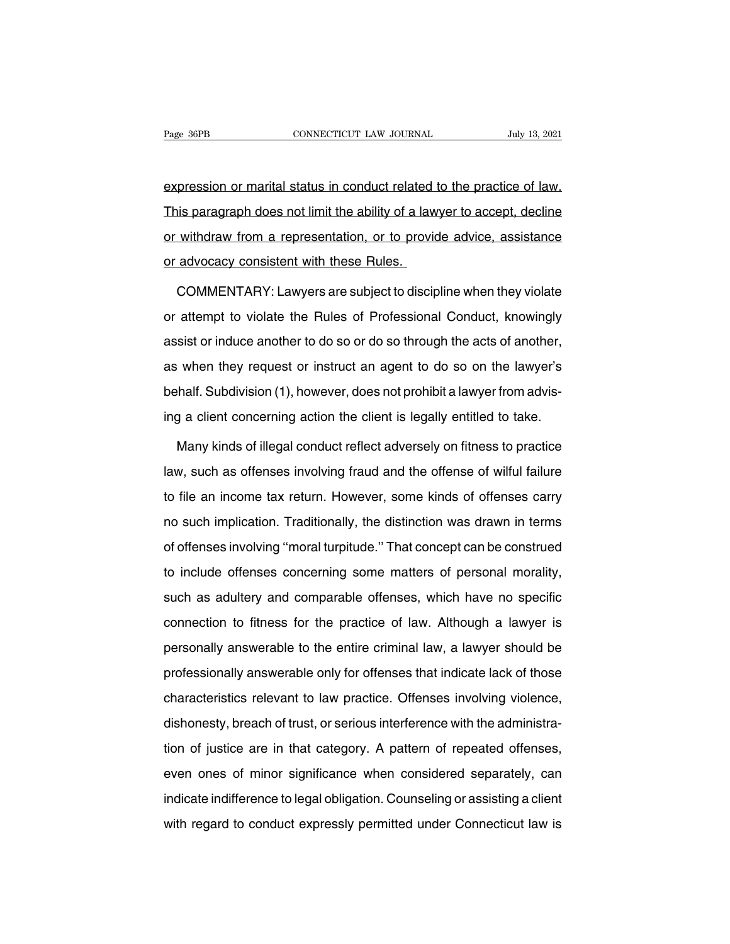Page 36PB<br>
connecticut LAW JOURNAL<br>
expression or marital status in conduct related to the practice of law.<br>
This paragraph does not limit the ability of a lawyer to accept, decline The Page 36PB<br>
This paragraph does not limit the ability of a lawyer to accept, decline<br>
This paragraph does not limit the ability of a lawyer to accept, decline<br>
or withdraw from a representation, or to provide advice, as expression or marital status in conduct related to the practice of law.<br>This paragraph does not limit the ability of a lawyer to accept, decline<br>or withdraw from a representation, or to provide advice, assistance<br>or advoca expression or marital status in conduct related<br>This paragraph does not limit the ability of a law<br>or withdraw from a representation, or to provie<br>or advocacy consistent with these Rules.<br>COMMENTARY: Lawvers are subiect to is paragraph does not limit the ability of a lawyer to accept, decline<br>withdraw from a representation, or to provide advice, assistance<br>advocacy consistent with these Rules.<br>COMMENTARY: Lawyers are subject to discipline wh

or withdraw from a representation, or to provide advice, assistance<br>or advocacy consistent with these Rules.<br>COMMENTARY: Lawyers are subject to discipline when they violate<br>or attempt to violate the Rules of Professional C or advocacy consistent with these Rules.<br>COMMENTARY: Lawyers are subject to discipline when they violate<br>or attempt to violate the Rules of Professional Conduct, knowingly<br>assist or induce another to do so or do so through COMMENTARY: Lawyers are subject to discipline when they violate<br>or attempt to violate the Rules of Professional Conduct, knowingly<br>assist or induce another to do so or do so through the acts of another,<br>as when they reques behalf. Subdivision (1), however, does not prohibit a lawyer from advis-<br>the acts of another, as when they request or instruct an agent to do so on the lawyer's<br>behalf. Subdivision (1), however, does not prohibit a lawyer In a client concerning action the client is legally entitled to take.<br>
Many kinds of illegal conduct reflect adversely on fitness to practice<br>
Many kinds of illegal conduct reflect adversely on fitness to practice when they request or instruct an agent to do so on the lawyer's<br>half. Subdivision (1), however, does not prohibit a lawyer from advis-<br>g a client concerning action the client is legally entitled to take.<br>Many kinds of ille

behalf. Subdivision (1), however, does not prohibit a lawyer from advis-<br>ing a client concerning action the client is legally entitled to take.<br>Many kinds of illegal conduct reflect adversely on fitness to practice<br>law, su ing a client concerning action the client is legally entitled to take.<br>Many kinds of illegal conduct reflect adversely on fitness to practice<br>law, such as offenses involving fraud and the offense of wilful failure<br>to file Many kinds of illegal conduct reflect adversely on fitness to practice<br>law, such as offenses involving fraud and the offense of wilful failure<br>to file an income tax return. However, some kinds of offenses carry<br>no such imp have, such as offenses involving fraud and the offense of wilful failure<br>to file an income tax return. However, some kinds of offenses carry<br>no such implication. Traditionally, the distinction was drawn in terms<br>of offense to file an income tax return. However, some kinds of offenses carry<br>no such implication. Traditionally, the distinction was drawn in terms<br>of offenses involving "moral turpitude." That concept can be construed<br>to include o so the arrithdentic tax retain restricts, done having or onclleded and provide offenses involving "moral turpitude." That concept can be construed to include offenses concerning some matters of personal morality, such as a construction to fitness involving "moral turpitude." That concept can be construed<br>to include offenses concerning some matters of personal morality,<br>such as adultery and comparable offenses, which have no specific<br>connecti personally answerable offenses that sensept can be concluded<br>sto include offenses concerning some matters of personal morality,<br>such as adultery and comparable offenses, which have no specific<br>connection to fitness for the professionally and comparable offenses, which have no specific<br>connection to fitness for the practice of law. Although a lawyer is<br>personally answerable to the entire criminal law, a lawyer should be<br>professionally answera connection to fitness for the practice of law. Although a lawyer is<br>personally answerable to the entire criminal law, a lawyer should be<br>professionally answerable only for offenses that indicate lack of those<br>characteristi dishonestic terminest of the practice of tame minibagit a tanger to<br>personally answerable only for offenses that indicate lack of those<br>characteristics relevant to law practice. Offenses involving violence,<br>dishonesty, bre professionally answerable only for offenses that indicate lack of those<br>characteristics relevant to law practice. Offenses involving violence,<br>dishonesty, breach of trust, or serious interference with the administra-<br>tion characteristics relevant to law practice. Offenses involving violence,<br>dishonesty, breach of trust, or serious interference with the administra-<br>tion of justice are in that category. A pattern of repeated offenses,<br>even on dishonesty, breach of trust, or serious interference with the administration of justice are in that category. A pattern of repeated offenses, even ones of minor significance when considered separately, can indicate indiffe dishable, prederive these, or conduct memorial that the definitions of justice are in that category. A pattern of repeated offenses, even ones of minor significance when considered separately, can indicate indifference to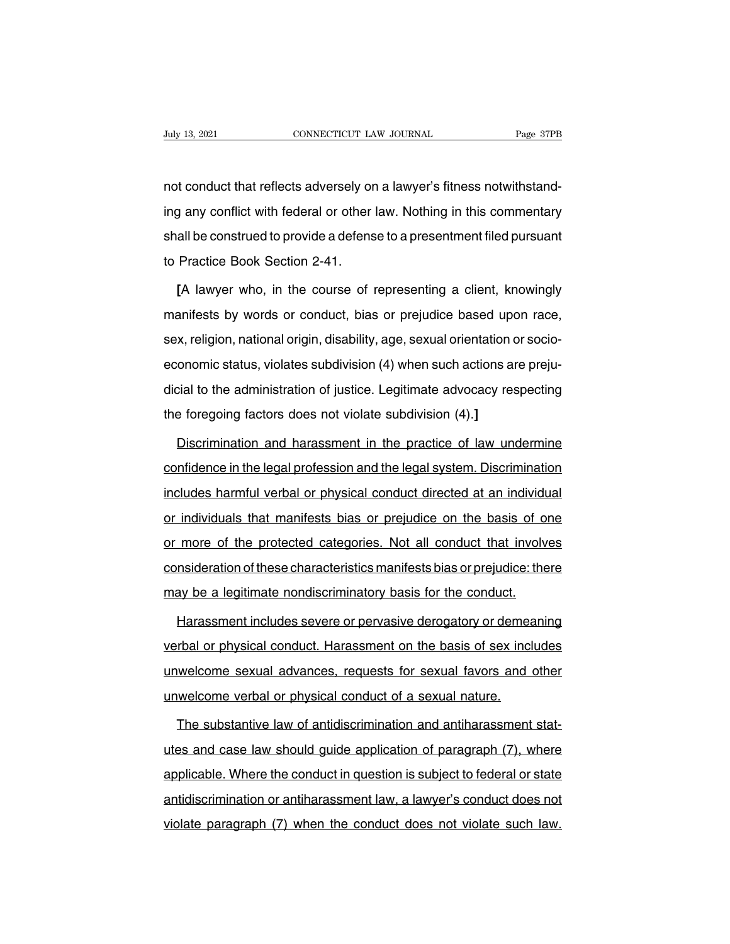Fuly 13, 2021<br>CONNECTICUT LAW JOURNAL Page 37PB<br>not conduct that reflects adversely on a lawyer's fitness notwithstand-<br>ing any conflict with federal or other law. Nothing in this commentary In any conflict with federal or other law. Nothing in this commentary<br>shall be construed to provide a defense to a presentment filed pursuant<br>diagramy conflict with federal or other law. Nothing in this commentary<br>shall be not conduct that reflects adversely on a lawyer's fitness notwithstand-<br>ing any conflict with federal or other law. Nothing in this commentary<br>shall be construed to provide a defense to a presentment filed pursuant<br>to Prac not conduct that reflects adversely or<br>ing any conflict with federal or other<br>shall be construed to provide a defens<br>to Practice Book Section 2-41.<br>[A lawyer who, in the course of g any conflict with federal or other law. Nothing in this commentary<br>all be construed to provide a defense to a presentment filed pursuant<br>Practice Book Section 2-41.<br>[A lawyer who, in the course of representing a client,

shall be construed to provide a defense to a presentment filed pursuant<br>to Practice Book Section 2-41.<br>[A lawyer who, in the course of representing a client, knowingly<br>manifests by words or conduct, bias or prejudice based to Practice Book Section 2-41.<br>
[A lawyer who, in the course of representing a client, knowingly<br>
manifests by words or conduct, bias or prejudice based upon race,<br>
sex, religion, national origin, disability, age, sexual o [A lawyer who, in the course of representing a client, knowingly<br>manifests by words or conduct, bias or prejudice based upon race,<br>sex, religion, national origin, disability, age, sexual orientation or socio-<br>economic stat prinary of mic, in the course of fepresenting a electric intermingly<br>manifests by words or conduct, bias or prejudice based upon race,<br>sex, religion, national origin, disability, age, sexual orientation or socio-<br>economic thannede by werds of corradet, blacked projection decorradion conducts subdivision (4) when such actions and dicial to the administration of justice. Legitimate advocacy rest the foregoing factors does not violate subdivis onomic status, violates subdivision (4) when such actions are preju-<br>cial to the administration of justice. Legitimate advocacy respecting<br>e foregoing factors does not violate subdivision (4).]<br>Discrimination and harassmen

dicial to the administration of justice. Legitimate advocacy respecting<br>the foregoing factors does not violate subdivision (4).]<br>Discrimination and harassment in the practice of law undermine<br>confidence in the legal profes the foregoing factors does not violate subdivision (4).]<br>Discrimination and harassment in the practice of law undermine<br>confidence in the legal profession and the legal system. Discrimination<br>includes harmful verbal or phy Discrimination and harassment in the practice of law undermine<br>confidence in the legal profession and the legal system. Discrimination<br>includes harmful verbal or physical conduct directed at an individual<br>or individuals th confidence in the legal profession and the legal system. Discrimination<br>includes harmful verbal or physical conduct directed at an individual<br>or individuals that manifests bias or prejudice on the basis of one<br>or more of t includes harmful verbal or physical conduct directed at an individual<br>or individuals that manifests bias or prejudice on the basis of one<br>or more of the protected categories. Not all conduct that involves<br>consideration of includes harmful verbal or physical conduct directed at an individual<br>or individuals that manifests bias or prejudice on the basis of one<br>or more of the protected categories. Not all conduct that involves<br>consideration of more of the protected categories. Not all conduct that involves<br>nsideration of these characteristics manifests bias or prejudice: there<br>ay be a legitimate nondiscriminatory basis for the conduct.<br>Harassment includes severe

consideration of these characteristics manifests bias or prejudice: there<br>may be a legitimate nondiscriminatory basis for the conduct.<br>Harassment includes severe or pervasive derogatory or demeaning<br>verbal or physical cond may be a legitimate nondiscriminatory basis for the conduct.<br>Harassment includes severe or pervasive derogatory or demeaning<br>verbal or physical conduct. Harassment on the basis of sex includes<br>unwelcome sexual advances, re Harassment includes severe or pervasive derogatory or demeasure ball or physical conduct. Harassment on the basis of sex inclusivelcome sexual advances, requests for sexual favors and unwelcome verbal or physical conduct o The substantiant on the basis of sex includes<br>invelcome sexual advances, requests for sexual favors and other<br>invelcome verbal or physical conduct of a sexual nature.<br>The substantive law of antidiscrimination and antiharas

unwelcome sexual advances, requests for sexual favors and other<br>unwelcome verbal or physical conduct of a sexual nature.<br>The substantive law of antidiscrimination and antiharassment stat-<br>utes and case law should guide app unwelcome verbal or physical conduct of a sexual nature.<br>The substantive law of antidiscrimination and antiharassment stat-<br>utes and case law should guide application of paragraph (7), where<br>applicable. Where the conduct i The substantive law of antidiscrimination and antiharassment stat-<br>utes and case law should guide application of paragraph (7), where<br>applicable. Where the conduct in question is subject to federal or state<br>antidiscriminat ince cabolism of a million million and animalization of the conducts and case law should guide application of paragraph (7), where applicable. Where the conduct in question is subject to federal or state antidiscrimination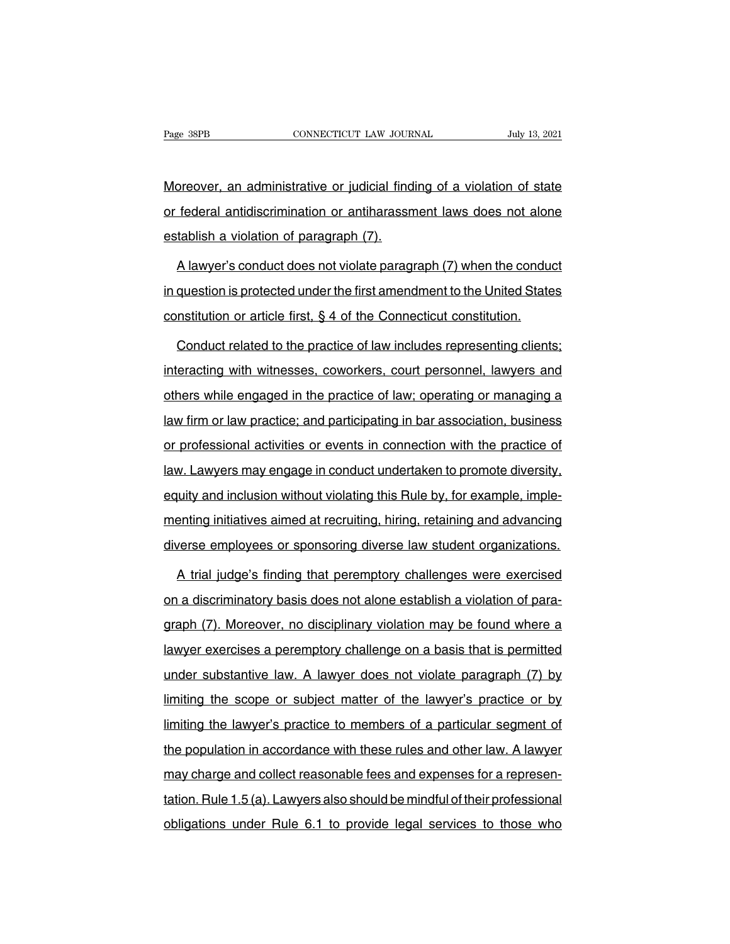Page 38PB<br>
CONNECTICUT LAW JOURNAL<br>
Moreover, an administrative or judicial finding of a violation of state<br>
or federal antidiscrimination or antiharassment laws does not alone Page 38PB CONNECTICUT LAW JOURNAL July 13, 2021<br>Moreover, an administrative or judicial finding of a violation of state<br>or federal antidiscrimination or antiharassment laws does not alone<br>establish a violation of paragraph Moreover, an administrative or judicial find<br>or federal antidiscrimination or antiharassm<br>establish a violation of paragraph (7).<br>A lawver's conduct does not violate paragraph Dreover, an administrative or judicial finding of a violation of state<br>federal antidiscrimination or antiharassment laws does not alone<br>tablish a violation of paragraph (7).<br>A lawyer's conduct does not violate paragraph (7

in federal antidiscrimination or antiharassment laws does not alone<br>establish a violation of paragraph (7).<br>A lawyer's conduct does not violate paragraph (7) when the conduct<br>in question is protected under the first amendm establish a violation of paragraph (7).<br>A lawyer's conduct does not violate paragraph (7) when the conduction is protected under the first amendment to the United State<br>constitution or article first, § 4 of the Connecticut A lawyer's conduct does not violate paragraph (7) when the conduct<br>question is protected under the first amendment to the United States<br>nstitution or article first, § 4 of the Connecticut constitution.<br>Conduct related to t

in question is protected under the first amendment to the United States<br>constitution or article first, § 4 of the Connecticut constitution.<br>Conduct related to the practice of law includes representing clients;<br>interacting constitution or article first, § 4 of the Connecticut constitution.<br>Conduct related to the practice of law includes representing clients;<br>interacting with witnesses, coworkers, court personnel, lawyers and<br>others while eng Conduct related to the practice of law includes representing clients;<br>interacting with witnesses, coworkers, court personnel, lawyers and<br>others while engaged in the practice of law; operating or managing a<br>law firm or law interacting with witnesses, coworkers, court personnel, lawyers and<br>others while engaged in the practice of law; operating or managing a<br>law firm or law practice; and participating in bar association, business<br>or professio Intertacting with with toology, conducted, odding percentricity, tanyone and<br>others while engaged in the practice of law; operating or managing a<br>law firm or law practice; and participating in bar association, business<br>or others while engaged in the practice of law; operating or managing a law firm or law practice; and participating in bar association, business or professional activities or events in connection with the practice of law. Law or professional activities or events in connection with the practice of<br>law. Lawyers may engage in conduct undertaken to promote diversity,<br>equity and inclusion without violating this Rule by, for example, imple-<br>menting i diverse may engage in conduct undertaken to promote diversity,<br>law. Lawyers may engage in conduct undertaken to promote diversity,<br>equity and inclusion without violating this Rule by, for example, imple-<br>menting initiative uity and inclusion without violating this Rule by, for example, imple-<br>enting initiatives aimed at recruiting, hiring, retaining and advancing<br>verse employees or sponsoring diverse law student organizations.<br>A trial judge'

menting initiatives aimed at recruiting, hiring, retaining and advancing<br>diverse employees or sponsoring diverse law student organizations.<br>A trial judge's finding that peremptory challenges were exercised<br>on a discriminat diverse employees or sponsoring diverse law student organizations.<br>A trial judge's finding that peremptory challenges were exercised<br>on a discriminatory basis does not alone establish a violation of para-<br>graph (7). Moreov A trial judge's finding that peremptory challenges were exercised<br>on a discriminatory basis does not alone establish a violation of para-<br>graph (7). Moreover, no disciplinary violation may be found where a<br>lawyer exercises on a discriminatory basis does not alone establish a violation of para-<br>graph (7). Moreover, no disciplinary violation may be found where a<br>lawyer exercises a peremptory challenge on a basis that is permitted<br>under substan graph (7). Moreover, no disciplinary violation may be found where a<br>lawyer exercises a peremptory challenge on a basis that is permitted<br>under substantive law. A lawyer does not violate paragraph (7) by<br>limiting the scope lawyer exercises a peremptory challenge on a basis that is permitted<br>under substantive law. A lawyer does not violate paragraph (7) by<br>limiting the scope or subject matter of the lawyer's practice or by<br>limiting the lawyer under substantive law. A lawyer does not violate paragraph (7) by<br>limiting the scope or subject matter of the lawyer's practice or by<br>limiting the lawyer's practice to members of a particular segment of<br>the population in a imiting the scope or subject matter of the lawyer's practice or by<br>limiting the lawyer's practice to members of a particular segment of<br>the population in accordance with these rules and other law. A lawyer<br>may charge and c timiting the lawyer's practice to members of a particular segment of<br>the population in accordance with these rules and other law. A lawyer<br>may charge and collect reasonable fees and expenses for a represen-<br>tation. Rule 1. the population in accordance with these rules and other law. A lawyer<br>may charge and collect reasonable fees and expenses for a represen-<br>tation. Rule 1.5 (a). Lawyers also should be mindful of their professional<br>obligatio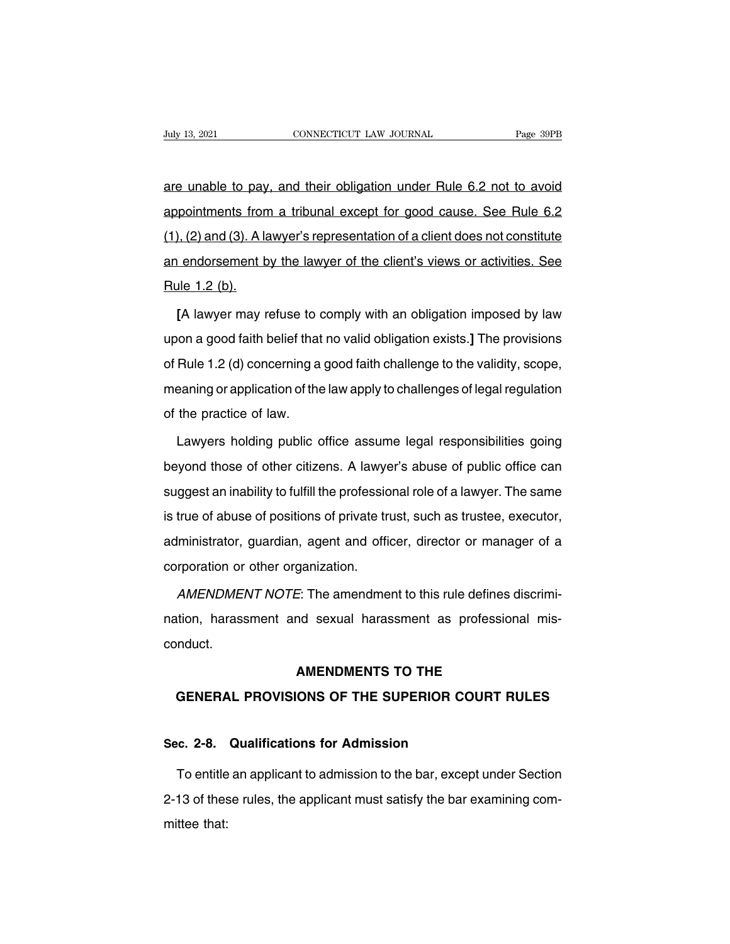Fax 3021 CONNECTICUT LAW JOURNAL Page 39PB<br>are unable to pay, and their obligation under Rule 6.2 not to avoid<br>appointments from a tribunal except for good cause. See Rule 6.2 July 13, 2021 CONNECTICUT LAW JOURNAL Page 39PB<br>are unable to pay, and their obligation under Rule 6.2 not to avoid<br>appointments from a tribunal except for good cause. See Rule 6.2<br>(1), (2) and (3). A lawyer's representati are unable to pay, and their obligation under Rule 6.2 not to avoid<br>appointments from a tribunal except for good cause. See Rule 6.2<br>(1), (2) and (3). A lawyer's representation of a client does not constitute<br>an endorsemen are unable to pay, and their obligation under Rule 6.2 not to avoid<br>appointments from a tribunal except for good cause. See Rule 6.2<br>(1), (2) and (3). A lawyer's representation of a client does not constitute<br>an endorsemen are analysis to pay<br>appointments from<br>(1), (2) and (3). A la<br>an endorsement b<br>Rule 1.2 (b).<br>[A lawyer may r **[And A lawyer's representation of a client does not constitute**<br> **Example 1.2 (b).**<br> **[A lawyer may refuse to comply with an obligation imposed by law**<br> **[A lawyer may refuse to comply with an obligation imposed by law**<br>

upon a good faith belief that no valid obligation imposed by law<br>upon a good faith belief that no valid obligation exists.] The provisions<br>of Rule 1.2 (d) concerning a good faith challenge to the validity, scope, Rule 1.2 (b).<br>
[A lawyer may refuse to comply with an obligation imposed by law<br>
upon a good faith belief that no valid obligation exists.] The provisions<br>
of Rule 1.2 (d) concerning a good faith challenge to the validity, [A lawyer may refuse to comply with an obligation imposed by law<br>upon a good faith belief that no valid obligation exists.] The provisions<br>of Rule 1.2 (d) concerning a good faith challenge to the validity, scope,<br>meaning o priative may relate to the upon a good faith belief that<br>of Rule 1.2 (d) concerning a<br>meaning or application of the<br>of the practice of law.<br>Lawyers holding public c Rule 1.2 (d) concerning a good faith challenge to the validity, scope,<br>eaning or application of the law apply to challenges of legal regulation<br>the practice of law.<br>Lawyers holding public office assume legal responsibiliti

meaning or application of the law apply to challenges of legal regulation<br>of the practice of law.<br>Lawyers holding public office assume legal responsibilities going<br>beyond those of other citizens. A lawyer's abuse of public suggest an inability to fulfill the professional responsibilities going<br>in those of other citizens. A lawyer's abuse of public office can<br>suggest an inability to fulfill the professional role of a lawyer. The same<br>is true Lawyers holding public office assume legal responsibilities going<br>beyond those of other citizens. A lawyer's abuse of public office can<br>suggest an inability to fulfill the professional role of a lawyer. The same<br>is true of Lawyord motaling plants ontoo addamic regain responsibilities going<br>beyond those of other citizens. A lawyer's abuse of public office can<br>suggest an inability to fulfill the professional role of a lawyer. The same<br>is true beyond those of other citizens. A lawyer's abuse of public office can<br>suggest an inability to fulfill the professional role of a lawyer. The same<br>is true of abuse of positions of private trust, such as trustee, executor,<br>a True of abuse of positions of private trust, such as trustee, executor,<br>
Iministrator, guardian, agent and officer, director or manager of a<br>
rporation or other organization.<br>
AMENDMENT NOTE: The amendment to this rule def

nation, guardian, agent and officer, director or manager of a<br>corporation or other organization.<br>AMENDMENT NOTE: The amendment to this rule defines discrimi-<br>nation, harassment and sexual harassment as professional mis-<br>co conduct. **E: The amendment to this rule defines d<br>nd sexual harassment as professional<br><b>AMENDMENTS TO THE<br>ONS OF THE SUPERIOR COURT RL** Manassment and sexual harassment as professional mis-<br>AMENDINENTS TO THE<br>GENERAL PROVISIONS OF THE SUPERIOR COURT RULES

# **AMENDMENTS TO THE<br>GENERAL PROVISIONS OF THE SUPERIOR COL<br>Sec. 2-8. Qualifications for Admission<br>To entitle an applicant to admission to the bar-except**

GENERAL PROVISIONS OF THE SUPERIOR COURT RULES<br>c. 2-8. Qualifications for Admission<br>To entitle an applicant to admission to the bar, except under Section<br>13 of these rules, the applicant must satisfy the bar examining com-Sec. 2-8. Qualifications for Admission<br>To entitle an applicant to admission to the bar, except under Section<br>2-13 of these rules, the applicant must satisfy the bar examining com-<br>mittee that: Sec. 2-8.<br>To entitle<br>2-13 of thes<br>mittee that: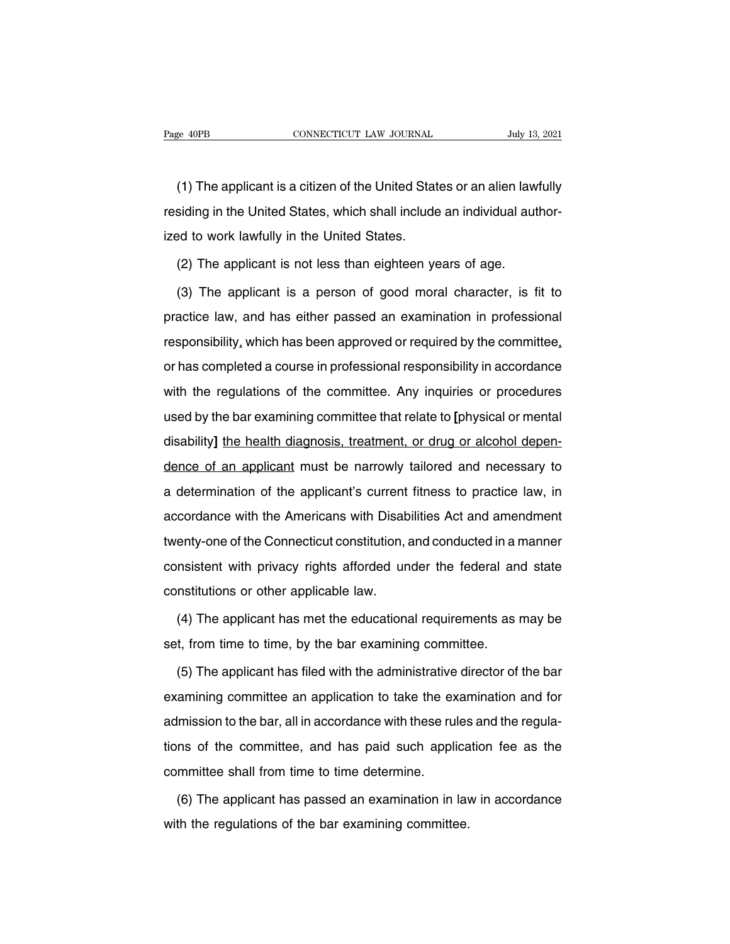EXEMBERT AND THE MINITED CONNECTICUT LAW JOURNAL THE MINITED JULY 13, 2021<br>
(1) The applicant is a citizen of the United States or an alien lawfully<br>
Siding in the United States, which shall include an individual author-Page 40PB CONNECTICUT LAW JOURNAL July 13, 2021<br>
(1) The applicant is a citizen of the United States or an alien lawfully<br>
residing in the United States, which shall include an individual author-<br>
ized to work lawfully in (1) The applicant is a citizen of the United States<br>residing in the United States, which shall include<br>ized to work lawfully in the United States.<br>(2) The applicant is not less than eighteen ye (1) The applicant is a citizen of the United States or an alien law<br>siding in the United States, which shall include an individual aut<br>ed to work lawfully in the United States.<br>(2) The applicant is not less than eighteen y iding in the United States, which shall include an individual author-<br>
19 to work lawfully in the United States.<br>
(2) The applicant is not less than eighteen years of age.<br>
(3) The applicant is a person of good moral chara

ized to work lawfully in the United States.<br>
(2) The applicant is not less than eighteen years of age.<br>
(3) The applicant is a person of good moral character, is fit to<br>
practice law, and has either passed an examination i (2) The applicant is not less than eighteen years of age.<br>
(3) The applicant is a person of good moral character, is fit to<br>
practice law, and has either passed an examination in professional<br>
responsibility, which has be (3) The applicant is a person of good moral character, is fit to practice law, and has either passed an examination in professional responsibility, which has been approved or required by the committee, or has completed a (c) the applicant is a person of good motal character, is in the practice law, and has either passed an examination in professional responsibility, which has been approved or required by the committee, or has completed a c processional responsibility, which has been approved or required by the committee, or has completed a course in professional responsibility in accordance with the regulations of the committee. Any inquiries or procedures u disability<sub>1</sub> which has seen approved of required by the committed;<br>or has completed a course in professional responsibility in accordance<br>with the regulations of the committee. Any inquiries or procedures<br>used by the bar with the regulations of the committee. Any inquiries or procedures<br>used by the bar examining committee that relate to [physical or mental<br>disability] the health diagnosis, treatment, or drug or alcohol depen-<br>dence of an a a determination of the sommittee that relate to [physical or mental<br>disability] the health diagnosis, treatment, or drug or alcohol depen-<br>dence of an applicant must be narrowly tailored and necessary to<br>a determination of disability] the health diagnosis, treatment, or drug or alcohol dependence of an applicant must be narrowly tailored and necessary to a determination of the applicant's current fitness to practice law, in accordance with t dence of an applicant must be narrowly tailored and necessary to<br>a determination of the applicant's current fitness to practice law, in<br>accordance with the Americans with Disabilities Act and amendment<br>twenty-one of the Co a determination of the applicant's current fitness to practice law, in<br>accordance with the Americans with Disabilities Act and amendment<br>twenty-one of the Connecticut constitution, and conducted in a manner<br>consistent with accordance with the Americans with Disabtwenty-one of the Connecticut constitution, aconsistent with privacy rights afforded unconstitutions or other applicable law.<br>(4) The applicant has met the educations enty-one of the Connecticut constitution, and conducted in a manner<br>nsistent with privacy rights afforded under the federal and state<br>nstitutions or other applicable law.<br>(4) The applicant has met the educational requireme consistent with privacy rights afforded under the federal an constitutions or other applicable law.<br>
(4) The applicant has met the educational requirements as reader, from time to time, by the bar examining committee.<br>
(5)

matitutions or other applicable law.<br>
(4) The applicant has met the educational requirements as may be<br>
t, from time to time, by the bar examining committee.<br>
(5) The applicant has filed with the administrative director of (4) The applicant has met the educational requirements as may be set, from time to time, by the bar examining committee.<br>
(5) The applicant has filed with the administrative director of the bar examining committee an appl set, from time to time, by the bar examining committee.<br>
(5) The applicant has filed with the administrative director of the bar<br>
examining committee an application to take the examination and for<br>
admission to the bar, al (5) The applicant has filed with the administrative director of the bar examining committee an application to take the examination and for admission to the bar, all in accordance with these rules and the regulations of the examining committee an application to take the examining committee an application to take the exaministicative<br>admission to the bar, all in accordance with these rultions of the committee, and has paid such appli<br>committee Imission to the bar, all in accordance with these rules and the regula-<br>ns of the committee, and has paid such application fee as the<br>mmittee shall from time to time determine.<br>(6) The applicant has passed an examination i tions of the committee, and has paid such applica<br>committee shall from time to time determine.<br>(6) The applicant has passed an examination in law<br>with the regulations of the bar examining committee.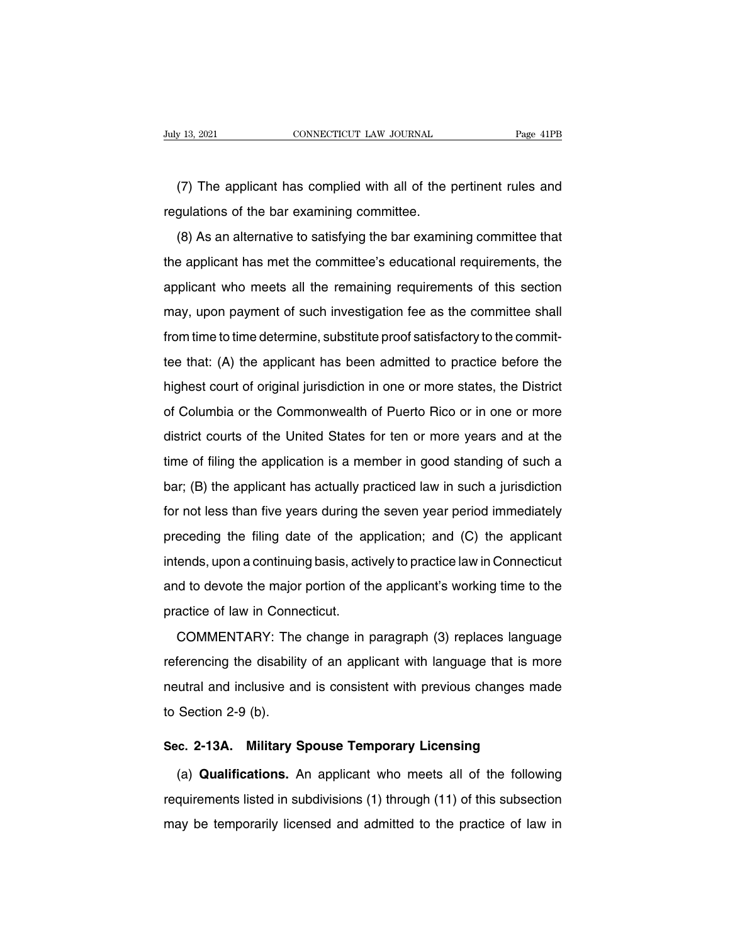(7) The applicant has complied with all of the pertinent rules and<br>gulations of the bar examining committee. Figure 13, 2021<br>
Figure 2011 CONNECTICUT LAW JOURNAL<br>
(7) The applicant has complied with all of the pregulations of the bar examining committee.<br>
(8) As an alternative to satisfying the bar examined

(7) The applicant has complied with all of the pertinent rules and<br>gulations of the bar examining committee.<br>(8) As an alternative to satisfying the bar examining committee that<br>e applicant has met the committee's educatio (7) The applicant has complied with all of the pertinent rules and<br>regulations of the bar examining committee.<br>(8) As an alternative to satisfying the bar examining committee that<br>the applicant has met the committee's edu regulations of the bar examining committee.<br>
(8) As an alternative to satisfying the bar examining committee that<br>
the applicant has met the committee's educational requirements, the<br>
applicant who meets all the remaining (8) As an alternative to satisfying the bar examining committee that<br>the applicant has met the committee's educational requirements, the<br>applicant who meets all the remaining requirements of this section<br>may, upon payment (8) As an alternative to satisfying the bar examining committee that<br>the applicant has met the committee's educational requirements, the<br>applicant who meets all the remaining requirements of this section<br>may, upon payment applicant has met the committee c cateational requirements, the applicant who meets all the remaining requirements of this section may, upon payment of such investigation fee as the committee shall from time to time determ may, upon payment of such investigation fee as the committee shall<br>from time to time determine, substitute proof satisfactory to the commit-<br>tee that: (A) the applicant has been admitted to practice before the<br>highest cour of Columbia or the Commonwealth of Puerto Rico or in one or more<br>districted that: (A) the applicant has been admitted to practice before the<br>highest court of original jurisdiction in one or more states, the District<br>of Col district court of original jurisdiction in one or more states, the District<br>of Columbia or the Commonwealth of Puerto Rico or in one or more<br>district courts of the United States for ten or more years and at the<br>time of fil tighest court of original jurisdiction in one or more states, the District<br>of Columbia or the Commonwealth of Puerto Rico or in one or more<br>district courts of the United States for ten or more years and at the<br>time of fili bar; (B) the applicant has actually practiced law in such a jurisdictic courts of the United States for ten or more years and at the time of filing the application is a member in good standing of such a bar; (B) the applic district courts of the United States for ten or more years and at the<br>time of filing the application is a member in good standing of such a<br>bar; (B) the applicant has actually practiced law in such a jurisdiction<br>for not l time of filing the application is a member in good standing of such a<br>bar; (B) the applicant has actually practiced law in such a jurisdiction<br>for not less than five years during the seven year period immediately<br>preceding bar; (B) the applicant has actually practiced law in such a jurisdiction<br>for not less than five years during the seven year period immediately<br>preceding the filing date of the application; and (C) the applicant<br>intends, up for not less than five years during the seven year period immediately<br>preceding the filing date of the application; and (C) the applicant<br>intends, upon a continuing basis, actively to practice law in Connecticut<br>and to de preceding the filing date of the ap<br>intends, upon a continuing basis, acti<br>and to devote the major portion of the<br>practice of law in Connecticut.<br>COMMENTARY: The change in p ends, upon a continuing basis, actively to practice law in Connecticut<br>d to devote the major portion of the applicant's working time to the<br>actice of law in Connecticut.<br>COMMENTARY: The change in paragraph (3) replaces lan

referencial to devote the major portion of the applicant's working time to the<br>practice of law in Connecticut.<br>COMMENTARY: The change in paragraph (3) replaces language<br>referencing the disability of an applicant with langu practice of law in Connecticut.<br>COMMENTARY: The change in paragraph (3) replaces language<br>referencing the disability of an applicant with language that is more<br>neutral and inclusive and is consistent with previous changes COMMENTARY: The<br>referencing the disability<br>neutral and inclusive and<br>to Section 2-9 (b). referencing the disability of an applicant with language that is more<br>
neutral and inclusive and is consistent with previous changes mac<br>
to Section 2-9 (b).<br> **Sec. 2-13A. Military Spouse Temporary Licensing**<br>
(a) **Qualifi** Futral and inclusive and is consistent with previous changes made<br>Section 2-9 (b).<br>**c. 2-13A. Military Spouse Temporary Licensing**<br>(a) **Qualifications.** An applicant who meets all of the following<br>quirements listed in subd

to Section 2-9 (b).<br> **Sec. 2-13A. Military Spouse Temporary Licensing**<br>
(a) **Qualifications.** An applicant who meets all of the following<br>
requirements listed in subdivisions (1) through (11) of this subsection<br>
may be tem Sec. 2-13A. Military Spouse Temporary Licensing<br>(a) Qualifications. An applicant who meets all of the following<br>requirements listed in subdivisions (1) through (11) of this subsection<br>may be temporarily licensed and admitt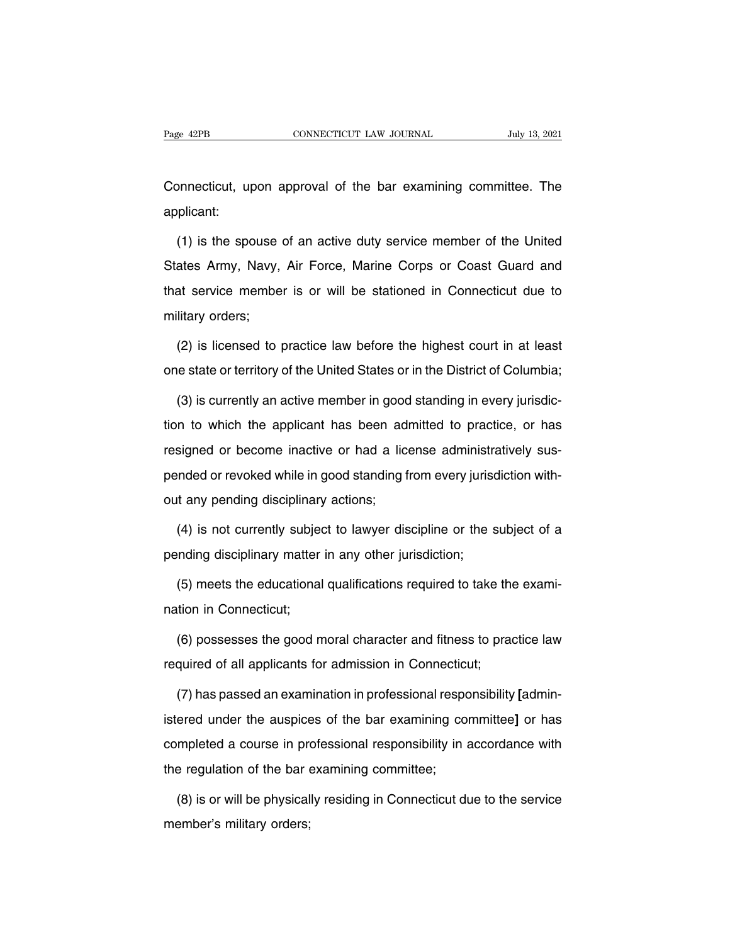Page 42PB CONNECTICUT LAW JOURNAL July 13, 2021<br>Connecticut, upon approval of the bar examining committee. The<br>applicant: applicant:

onnecticut, upon approval of the bar examining committee. The<br>plicant:<br>(1) is the spouse of an active duty service member of the United<br>ates Army, Navy, Air Force, Marine Corps or Coast Guard and Connecticut, upon approval of the bar examining committee. The<br>applicant:<br>(1) is the spouse of an active duty service member of the United<br>States Army, Navy, Air Force, Marine Corps or Coast Guard and<br>that service member i applicant:<br>
(1) is the spouse of an active duty service member of the United<br>
States Army, Navy, Air Force, Marine Corps or Coast Guard and<br>
that service member is or will be stationed in Connecticut due to<br>
military order (1) is the spouse<br>States Army, Navy,<br>that service membe<br>military orders;<br>(2) is licensed to ates Army, Navy, Air Force, Marine Corps or Coast Guard and<br>at service member is or will be stationed in Connecticut due to<br>litary orders;<br>(2) is licensed to practice law before the highest court in at least<br>le state or te that service member is or will be stationed in Connecticut due to<br>military orders;<br>(2) is licensed to practice law before the highest court in at least<br>one state or territory of the United States or in the District of Colu

(2) is licensed to practice law before the highest court in at least<br>is state or territory of the United States or in the District of Columbia;<br>(3) is currently an active member in good standing in every jurisdic-<br>in to wh (2) is licensed to practice law before the highest court in at least<br>one state or territory of the United States or in the District of Columbia;<br>(3) is currently an active member in good standing in every jurisdic-<br>tion to one state or territory of the United States or in the District of Columbia;<br>(3) is currently an active member in good standing in every jurisdic-<br>tion to which the applicant has been admitted to practice, or has<br>resigned o (3) is currently an active member in good standing in every jurisdiction to which the applicant has been admitted to practice, or has resigned or become inactive or had a license administratively suspended or revoked while (c) is surrently an astive member in geservior to which the applicant has been ad resigned or become inactive or had a lice pended or revoked while in good standing f out any pending disciplinary actions;<br>(4) is not curren (4) is not currently subject to lawyer discipline or the subject of a<br>thing disciplinary actions;<br>(4) is not currently subject to lawyer discipline or the subject of a<br>noting disciplinary matter in any other jurisdiction; pended or revoked while in good standing from every jurisd<br>out any pending disciplinary actions;<br>(4) is not currently subject to lawyer discipline or the s<br>pending disciplinary matter in any other jurisdiction;<br>(5) meets t

out any pending disciplinary actions;<br>
(4) is not currently subject to lawyer discipline or the subject of a<br>
pending disciplinary matter in any other jurisdiction;<br>
(5) meets the educational qualifications required to tak

(4) is not currently subjed<br>pending disciplinary matter<br>(5) meets the educational<br>nation in Connecticut;<br>(6) possesses the good m Frankingtheright in a may other jurisdiction;<br>(5) meets the educational qualifications required to take the exami-<br>tion in Connecticut;<br>(6) possesses the good moral character and fitness to practice law<br>quired of all appli (5) meets the educational qualifications required to take the<br>nation in Connecticut;<br>(6) possesses the good moral character and fitness to prace<br>required of all applicants for admission in Connecticut;<br>(7) has passed an ex

(6) possesses the good moral character and fitness to practice law<br>quired of all applicants for admission in Connecticut;<br>(7) has passed an examination in professional responsibility [admin-<br>ered under the auspices of the ister (6) possesses the good moral character and fitness to practice law<br>required of all applicants for admission in Connecticut;<br>(7) has passed an examination in professional responsibility [admin-<br>istered under the auspi required of all applicants for admission in Connecticut;<br>
(7) has passed an examination in professional responsibility [admin-<br>
istered under the auspices of the bar examining committee] or has<br>
completed a course in profe (7) has passed an examination in professional respose<br>istered under the auspices of the bar examining completed a course in professional responsibility in a<br>the regulation of the bar examining committee;<br>(8) is or will be ered under the auspices of the bar examining committee] or has<br>mpleted a course in professional responsibility in accordance with<br>e regulation of the bar examining committee;<br>(8) is or will be physically residing in Connec completed a course in professional responsibility in accordance with<br>the regulation of the bar examining committee;<br>(8) is or will be physically residing in Connecticut due to the service<br>member's military orders;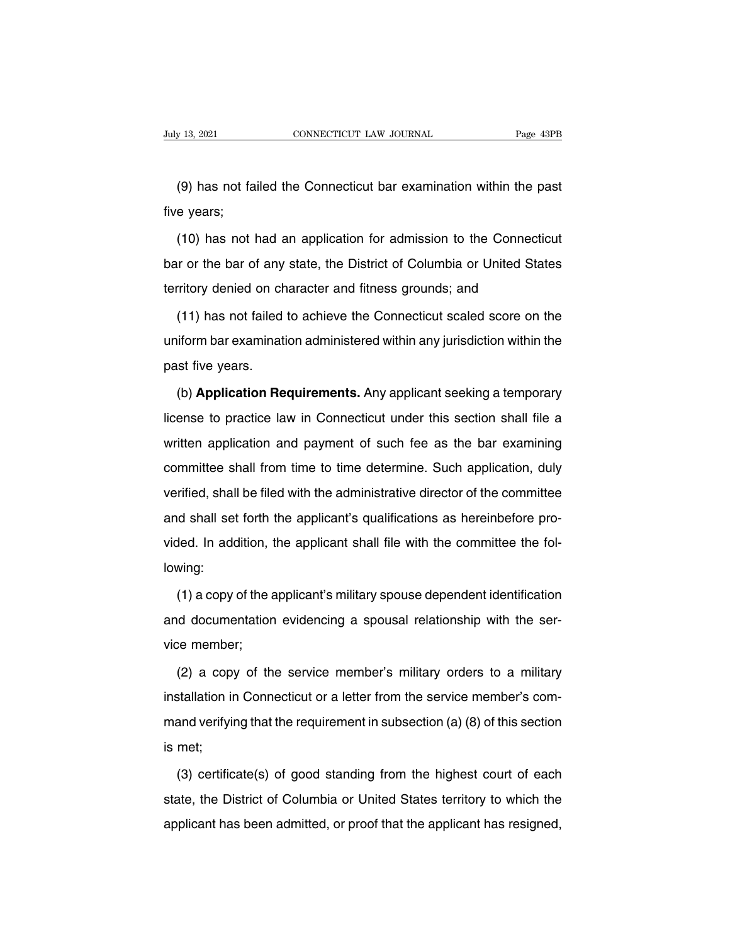(9) has not failed the Connecticut bar examination within the past<br>
e years; July 13, 2021<br>
(9) has not fa<br>
five years;<br>
(10) has not l

(9) has not failed the Connecticut bar examination within the past<br>e years;<br>(10) has not had an application for admission to the Connecticut<br>ir or the bar of any state, the District of Columbia or United States (9) has not failed the Connecticut bar examination within the past<br>five years;<br>(10) has not had an application for admission to the Connecticut<br>bar or the bar of any state, the District of Columbia or United States<br>territo five years;<br>
(10) has not had an application for admission to the Connecti<br>
bar or the bar of any state, the District of Columbia or United Sta<br>
territory denied on character and fitness grounds; and<br>
(11) has not failed t (10) has not had an application for admission to the Connecticut<br>ir or the bar of any state, the District of Columbia or United States<br>rritory denied on character and fitness grounds; and<br>(11) has not failed to achieve the

bar or the bar of any state, the District of Columbia or United States<br>territory denied on character and fitness grounds; and<br>(11) has not failed to achieve the Connecticut scaled score on the<br>uniform bar examination admin bar or the bar of any state, the District of Columbia or United States<br>territory denied on character and fitness grounds; and<br>(11) has not failed to achieve the Connecticut scaled score on the<br>uniform bar examination admin (11) has not failed to achieve the Connecticut scaled score on the iform bar examination administered within any jurisdiction within the st five years.<br>(b) **Application Requirements.** Any applicant seeking a temporary ense

uniform bar examination administered within any jurisdiction within the<br>past five years.<br>(b) **Application Requirements.** Any applicant seeking a temporary<br>license to practice law in Connecticut under this section shall fil past five years.<br>
(b) **Application Requirements.** Any applicant seeking a temporary<br>
license to practice law in Connecticut under this section shall file a<br>
written application and payment of such fee as the bar examining<br> (b) **Application Requirements.** Any applicant seeking a temporary license to practice law in Connecticut under this section shall file a written application and payment of such fee as the bar examining committee shall from (b) Application riequirements: Any applicant seculing a temporary<br>license to practice law in Connecticut under this section shall file a<br>written application and payment of such fee as the bar examining<br>committee shall from and shall set forth the applicant shall file with the assume the section of the avamining<br>committee shall from time to time determine. Such application, duly<br>verified, shall be filed with the administrative director of the which application and paymont of sach foc as the safe skamming<br>committee shall from time to time determine. Such application, duly<br>verified, shall be filed with the administrative director of the committee<br>and shall set fo lowing: In a copy of the applicant's qualifications as hereinbefore pro-<br>
ded. In addition, the applicant shall file with the committee the fol-<br>
wing:<br>
(1) a copy of the applicant's military spouse dependent identification<br>
d doc

vided. In addition, the applicant shall file with the committee the fol-<br>lowing:<br>(1) a copy of the applicant's military spouse dependent identification<br>and documentation evidencing a spousal relationship with the ser-<br>vice vice member;<br>
(1) a copy of the a<br>
and documentation<br>
vice member;<br>
(2) a copy of the (1) a copy of the applicant's military spouse dependent identification<br>d documentation evidencing a spousal relationship with the ser-<br>ce member;<br>(2) a copy of the service member's military orders to a military<br>stallation

and documentation evidencing a spousal relationship with the service member;<br>
(2) a copy of the service member's military orders to a military<br>
installation in Connecticut or a letter from the service member's com-<br>
mand v vice member;<br>(2) a copy of the service member's military orders to a military<br>installation in Connecticut or a letter from the service member's com-<br>mand verifying that the requirement in subsection (a) (8) of this section (2) a copy<br>installation in<br>mand verifyin<br>is met;<br>(3) certific (3) certificate (s) of good standing from the service member's com-<br>and verifying that the requirement in subsection (a) (8) of this section<br>met;<br>(3) certificate(s) of good standing from the highest court of each<br>ate, the

mand verifying that the requirement in subsection (a) (8) of this section<br>is met;<br>(3) certificate(s) of good standing from the highest court of each<br>state, the District of Columbia or United States territory to which the<br>a is met;<br>
(3) certificate(s) of good standing from the highest court of each<br>
state, the District of Columbia or United States territory to which the<br>
applicant has been admitted, or proof that the applicant has resigned,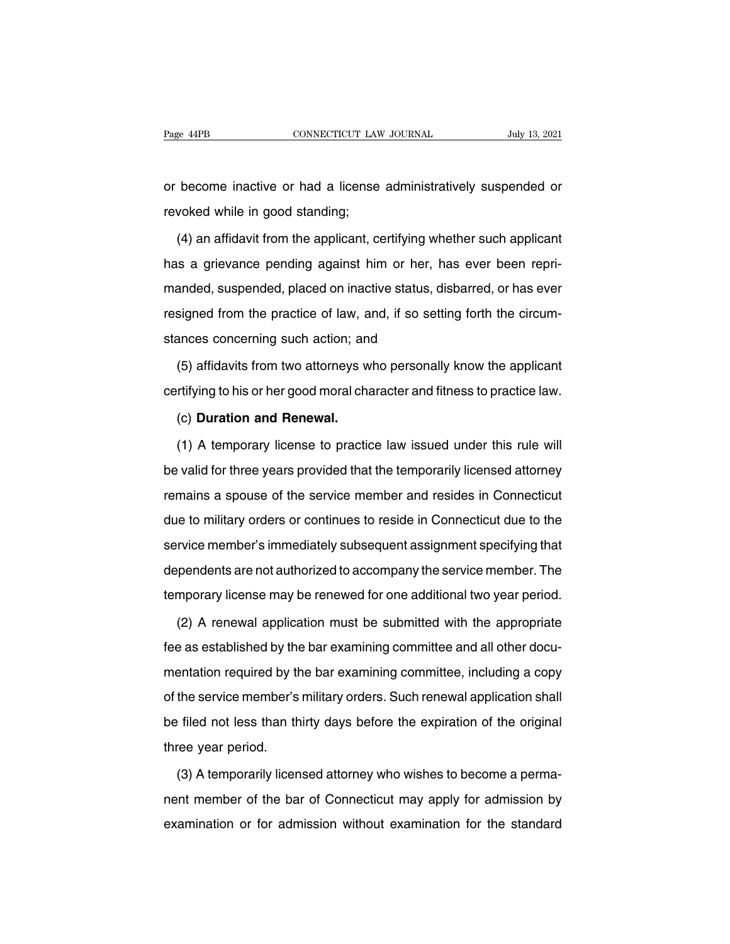Page 44PB<br>
cONNECTICUT LAW JOURNAL<br>
July 13, 2021<br>
or become inactive or had a license administratively suspended or<br>
revoked while in good standing; Page 44PB<br>
or become inactive or had a license<br>
revoked while in good standing;<br>
(4) an affidavit from the applicant, co

become inactive or had a license administratively suspended or<br>voked while in good standing;<br>(4) an affidavit from the applicant, certifying whether such applicant<br>is a grievance pending against him or her, has ever been r or become inactive or had a license administratively suspended or<br>revoked while in good standing;<br>(4) an affidavit from the applicant, certifying whether such applicant<br>has a grievance pending against him or her, has ever revoked while in good standing;<br>
(4) an affidavit from the applicant, certifying whether such applicant<br>
has a grievance pending against him or her, has ever been repri-<br>
manded, suspended, placed on inactive status, disba (4) an affidavit from the applicant, certifying whether such applicant<br>has a grievance pending against him or her, has ever been repri-<br>manded, suspended, placed on inactive status, disbarred, or has ever<br>resigned from the (1) an amaark non-ais applicant, solarying with<br>has a grievance pending against him or her, h<br>manded, suspended, placed on inactive status, d<br>resigned from the practice of law, and, if so sett<br>stances concerning such actio anded, suspended, placed on inactive status, disbarred, or has ever<br>signed from the practice of law, and, if so setting forth the circum-<br>ances concerning such action; and<br>(5) affidavits from two attorneys who personally k resigned from the practice of law, and, if so setting forth the circum-<br>stances concerning such action; and<br>(5) affidavits from two attorneys who personally know the applicant<br>certifying to his or her good moral character

stances concerning such action; and<br>
(5) affidavits from two attorneys who personally know the applicant<br>
certifying to his or her good moral character and fitness to practice law.<br>
(c) **Duration and Renewal.**<br>
(1) A tempo

(5) affidavits from two attorneys who personally know the applicant<br>rtifying to his or her good moral character and fitness to practice law.<br>(c) Duration and Renewal.<br>(1) A temporary license to practice law issued under th certifying to his or her good moral character and fitness to practice law.<br>
(c) **Duration and Renewal.**<br>
(1) A temporary license to practice law issued under this rule will<br>
be valid for three years provided that the tempo (c) Duration and Renewal.<br>
(1) A temporary license to practice law issued under this rule will<br>
be valid for three years provided that the temporarily licensed attorney<br>
remains a spouse of the service member and resides i (1) A temporary license to practice law issued under this rule will<br>be valid for three years provided that the temporarily licensed attorney<br>remains a spouse of the service member and resides in Connecticut<br>due to military (1) A temporary nooned to practice law ideoded and the fallowing<br>be valid for three years provided that the temporarily licensed attorney<br>remains a spouse of the service member and resides in Connecticut<br>due to military or dependents are not authorized that the temperality incensed diterity<br>due to military orders or continues to reside in Connecticut due to the<br>service member's immediately subsequent assignment specifying that<br>dependents are temants a spease of the service member and restates in connecticut<br>due to military orders or continues to reside in Connecticut due to the<br>service member's immediately subsequent assignment specifying that<br>dependents are n rvice member's immediately subsequent assignment specifying that<br>pendents are not authorized to accompany the service member. The<br>mporary license may be renewed for one additional two year period.<br>(2) A renewal application

dependents are not authorized to accompany the service member. The<br>temporary license may be renewed for one additional two year period.<br>(2) A renewal application must be submitted with the appropriate<br>fee as established by temporary license may be renewed for one additional two year period.<br>
(2) A renewal application must be submitted with the appropriate<br>
fee as established by the bar examining committee and all other docu-<br>
mentation requi (2) A renewal application must be submitted with the appropriate<br>fee as established by the bar examining committee and all other docu-<br>mentation required by the bar examining committee, including a copy<br>of the service memb fee as established by the bar examining committee and all other documentation required by the bar examining committee, including a copy of the service member's military orders. Such renewal application shall be filed not mentation required by the<br>mentation required by the<br>be filed not less than the<br>three year period.<br>(3) A temporarily licen (1) the service member's military orders. Such renewal application shall<br>
(3) A temporarily licensed attorney who wishes to become a perma-<br>
(3) A temporarily licensed attorney who wishes to become a perma-<br>
int member of

be filed not less than thirty days before the expiration of the original<br>three year period.<br>(3) A temporarily licensed attorney who wishes to become a perma-<br>nent member of the bar of Connecticut may apply for admission by three year period.<br>
(3) A temporarily licensed attorney who wishes to become a perma-<br>
nent member of the bar of Connecticut may apply for admission by<br>
examination or for admission without examination for the standard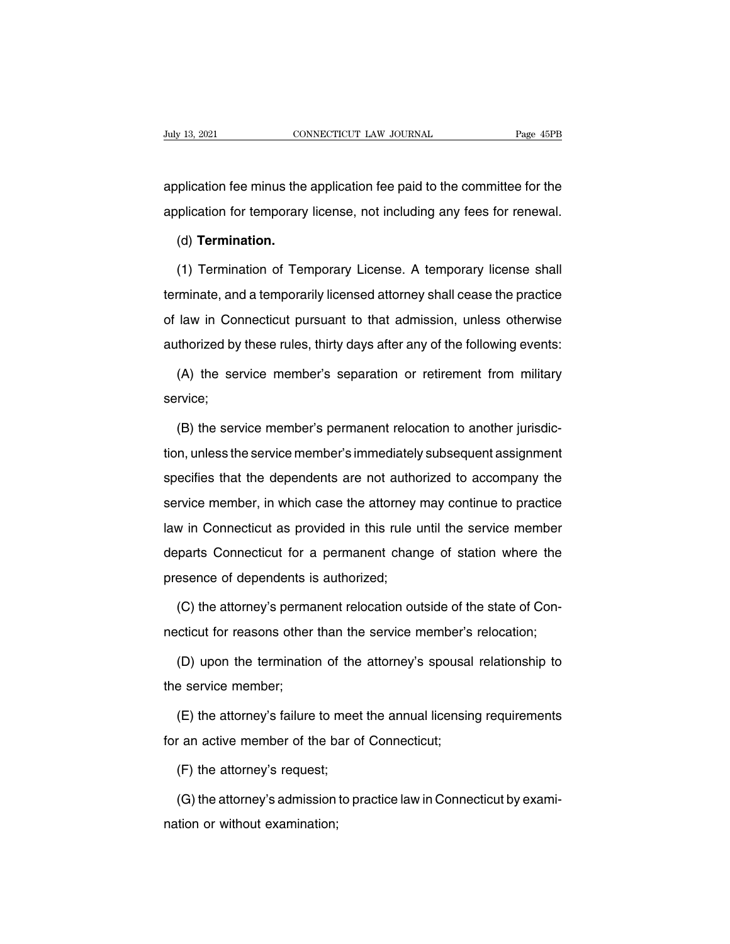Figure 3. 2021<br>
application fee minus the application fee paid to the committee for the<br>
application for temporary license, not including any fees for renewal. July 13, 2021 CONNECTICUT LAW JOURNAL Page 45PB<br>application fee minus the application fee paid to the committee for the<br>application for temporary license, not including any fees for renewal.<br>(d) **Termination.** 

(d) **Termination.**

plication fee minus the application fee paid to the committee for the<br>plication for temporary license, not including any fees for renewal.<br>(d) **Termination.**<br>(1) Termination of Temporary License. A temporary license shall<br> termination for temporary license, not including any fees for renewal.<br>
(d) **Termination.**<br>
(1) Termination of Temporary License. A temporary license shall terminate, and a temporarily licensed attorney shall cease the pra (d) Termination.<br>
(1) Termination of Temporary License. A temporary license shall<br>
terminate, and a temporarily licensed attorney shall cease the practice<br>
of law in Connecticut pursuant to that admission, unless otherwise (1) Termination of Temporary License. A temporary license shall<br>terminate, and a temporarily licensed attorney shall cease the practice<br>of law in Connecticut pursuant to that admission, unless otherwise<br>authorized by these minate, and a temporarily licensed attorney shall cease the practice<br>law in Connecticut pursuant to that admission, unless otherwise<br>thorized by these rules, thirty days after any of the following events:<br>(A) the service m

service;

(A) the service member's separation or retirement from military<br>(A) the service member's separation or retirement from military<br>rvice;<br>(B) the service member's permanent relocation to another jurisdic-<br>n, unless the servic (A) the service member's separation or retirement from military<br>service;<br>(B) the service member's permanent relocation to another jurisdic-<br>tion, unless the service member's immediately subsequent assignment<br>specifies that service;<br>
(B) the service member's permanent relocation to another jurisdic-<br>
tion, unless the service member's immediately subsequent assignment<br>
specifies that the dependents are not authorized to accompany the<br>
service (B) the service member's permanent relocation to another jurisdiction, unless the service member's immediately subsequent assignment specifies that the dependents are not authorized to accompany the service member, in whic (D) the service member's immediately subsequent assignment<br>specifies that the dependents are not authorized to accompany the<br>service member, in which case the attorney may continue to practice<br>law in Connecticut as provide specifies that the dependents are not authorized to accompany the<br>service member, in which case the attorney may continue to practice<br>law in Connecticut as provided in this rule until the service member<br>departs Connecticut service member, in which case the attorney<br>law in Connecticut as provided in this rule u<br>departs Connecticut for a permanent chang<br>presence of dependents is authorized;<br>(C) the attorney's permanent relocation ou w in Connecticut as provided in this rule until the service member<br>parts Connecticut for a permanent change of station where the<br>esence of dependents is authorized;<br>(C) the attorney's permanent relocation outside of the st departs Connecticut for a permanent change of station where the<br>presence of dependents is authorized;<br>(C) the attorney's permanent relocation outside of the state of Con-<br>necticut for reasons other than the service member'

esence of dependents is authorized;<br>(C) the attorney's permanent relocation outside of the state of Con-<br>cticut for reasons other than the service member's relocation;<br>(D) upon the termination of the attorney's spousal rel (C) the attorney's perma<br>necticut for reasons other<br>(D) upon the termination<br>the service member;<br>(E) the attorney's failure Fracticut for reasons other than the service member's relocation;<br>(D) upon the termination of the attorney's spousal relationship to<br>e service member;<br>(E) the attorney's failure to meet the annual licensing requirements<br>fr (D) upon the termination of the attorney's spousal<br>the service member;<br>(E) the attorney's failure to meet the annual licensin<br>for an active member of the bar of Connecticut;<br>(F) the attorney's request:

e service member;<br>(E) the attorney's failure to meet<br>r an active member of the bar o<br>(F) the attorney's request;<br>(G) the attorney's admission to p (E) the attorney's failure to meet the annual licensing requirements<br>
in an active member of the bar of Connecticut;<br>
(F) the attorney's request;<br>
(G) the attorney's admission to practice law in Connecticut by exami-<br>
tion

for an active member of the b.<br>(F) the attorney's request;<br>(G) the attorney's admission<br>nation or without examination;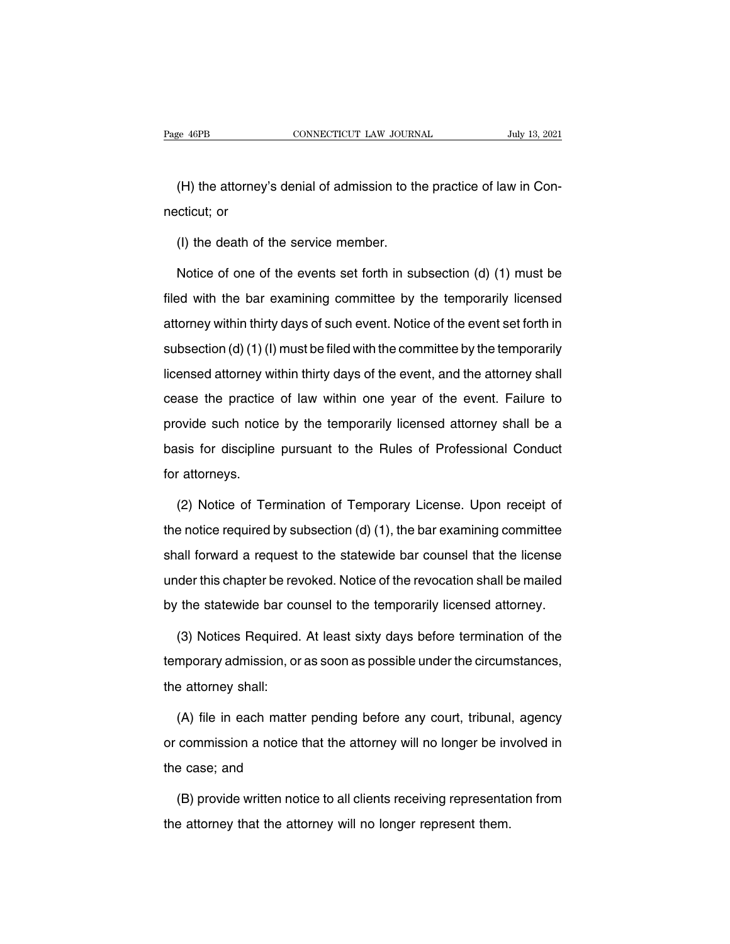(e 46PB<br>
CONNECTICUT LAW JOURNAL<br>
(H) the attorney's denial of admission to the practice of law in Con-<br>
cticut; or Page 46PB<br>
(H) the attorney<br>
necticut; or<br>
(I) the death of (H) the attorney's denial of admission to the<br>cticut; or<br>(I) the death of the service member.<br>Notice of one of the events set forth in su

(H) the attorney's denial of admission to the practice of law in Con-<br>cticut; or<br>(I) the death of the service member.<br>Notice of one of the events set forth in subsection (d) (1) must be<br>ed with the bar examining committee Filed with the bar examining committee by the temporarily licensed<br>attorney within thirty days of such event. Notice of the event set forth in (I) the death of the service member.<br>
Notice of one of the events set forth in subsection (d) (1) must be<br>
filed with the bar examining committee by the temporarily licensed<br>
attorney within thirty days of such event. Not Notice of one of the events set forth in subsection (d) (1) must be filed with the bar examining committee by the temporarily licensed attorney within thirty days of such event. Notice of the event set forth in subsection filed with the bar examining committee by the temporarily licensed<br>attorney within thirty days of such event. Notice of the event set forth in<br>subsection (d) (1) (l) must be filed with the committee by the temporarily<br>lic attorney within thirty days of such event. Notice of the event set forth in<br>subsection (d) (1) (l) must be filed with the committee by the temporarily<br>licensed attorney within thirty days of the event, and the attorney sha subsection (d) (1) (l) must be filed with the committee by the temporarily<br>licensed attorney within thirty days of the event, and the attorney shall<br>cease the practice of law within one year of the event. Failure to<br>provid basis for discipline pursuant to the Rules of Professional Conduction attorney shall cease the practice of law within one year of the event. Failure to provide such notice by the temporarily licensed attorney shall be a ba reshed alterney with<br>cease the practice<br>provide such notic<br>basis for discipline<br>for attorneys.<br>(2) Notice of Tel ovide such notice by the temporarily licensed attorney shall be a<br>sis for discipline pursuant to the Rules of Professional Conduct<br>r attorneys.<br>(2) Notice of Termination of Temporary License. Upon receipt of<br>e notice requi

basis for discipline pursuant to the Rules of Professional Conduct<br>for attorneys.<br>(2) Notice of Termination of Temporary License. Upon receipt of<br>the notice required by subsection (d) (1), the bar examining committee<br>shall for attorneys.<br>
(2) Notice of Termination of Temporary License. Upon receipt of<br>
the notice required by subsection (d) (1), the bar examining committee<br>
shall forward a request to the statewide bar counsel that the license (2) Notice of Termination of Temporary License. Upon receipt of<br>the notice required by subsection (d)  $(1)$ , the bar examining committee<br>shall forward a request to the statewide bar counsel that the license<br>under this cha the notice required by subsection (d) (1), the bar examining committee<br>shall forward a request to the statewide bar counsel that the license<br>under this chapter be revoked. Notice of the revocation shall be mailed<br>by the s all forward a request to the statewide bar counsel that the license<br>der this chapter be revoked. Notice of the revocation shall be mailed<br>the statewide bar counsel to the temporarily licensed attorney.<br>(3) Notices Required

under this chapter be revoked. Notice of the revocation shall be mailed<br>by the statewide bar counsel to the temporarily licensed attorney.<br>(3) Notices Required. At least sixty days before termination of the<br>temporary admis by the statewide bar counsel to the temporarily licensed attorney.<br>
(3) Notices Required. At least sixty days before termination of the<br>
temporary admission, or as soon as possible under the circumstances,<br>
the attorney sh (3) Notices Required. At least sixty days before termination of the<br>mporary admission, or as soon as possible under the circumstances,<br>e attorney shall:<br>(A) file in each matter pending before any court, tribunal, agency<br>co

temporary admission, or as soon as possible under the circumstances,<br>the attorney shall:<br>(A) file in each matter pending before any court, tribunal, agency<br>or commission a notice that the attorney will no longer be involve the attorney shall:<br>
(A) file in each matter<br>
or commission a notice th<br>
the case; and<br>
(B) provide written notic (A) file in each matter pending before any court, tribunal, agency<br>commission a notice that the attorney will no longer be involved in<br>e case; and<br>(B) provide written notice to all clients receiving representation from<br>e a or commission a notice that the attorney will no longer be invertien case; and<br>the case; and<br>(B) provide written notice to all clients receiving representa<br>the attorney that the attorney will no longer represent them.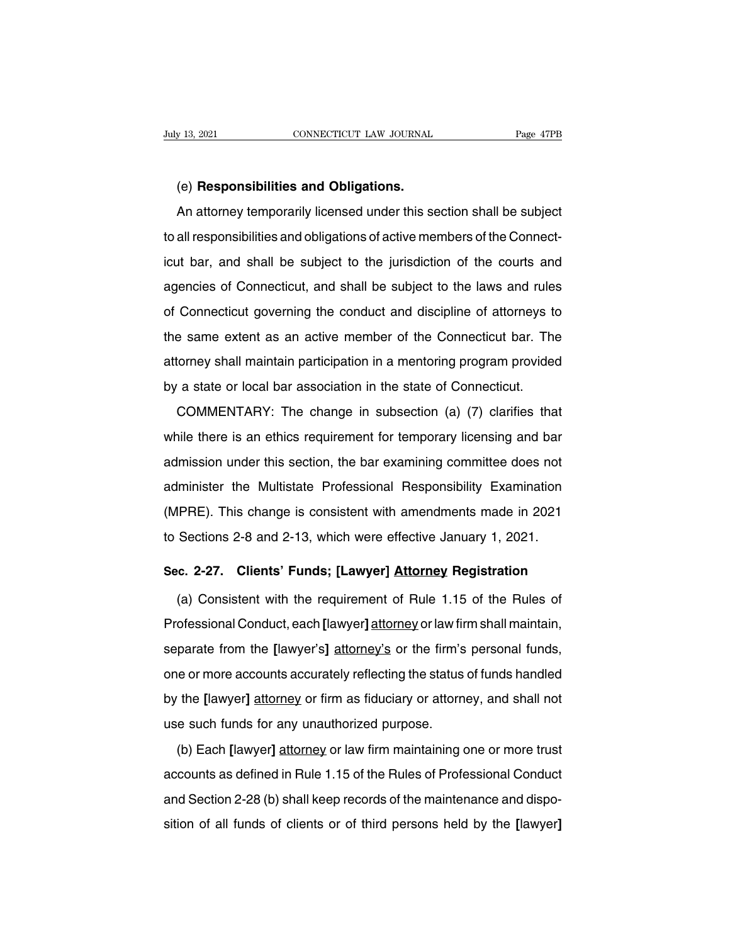(e) **Responsibilities and Obligations.** An attorney temporarily licensed under this section shall be subject<br>all responsibilities and Obligations.<br>An attorney temporarily licensed under this section shall be subject<br>all responsibilities and obligations of active (e) **Responsibilities and Obligations.**<br>An attorney temporarily licensed under this section shall be subject<br>to all responsibilities and obligations of active members of the Connect-<br>icut bar, and shall be subject to the j (e) **Responsibilities and Obligations.**<br>An attorney temporarily licensed under this section shall be subject<br>to all responsibilities and obligations of active members of the Connect-<br>icut bar, and shall be subject to the j (c) incependentices and obligations.<br>An attorney temporarily licensed under this section shall be subject<br>to all responsibilities and obligations of active members of the Connect-<br>icut bar, and shall be subject to the juri It all responsibilities and obligations of active members of the Connecticut bar, and shall be subject to the jurisdiction of the courts and agencies of Connecticut, and shall be subject to the laws and rules of Connecticu to an responsionated and disiglations of detailed the courts and<br>icut bar, and shall be subject to the jurisdiction of the courts and<br>agencies of Connecticut, and shall be subject to the laws and rules<br>of Connecticut gover agencies of Connecticut, and shall be subject to the laws and rules<br>of Connecticut governing the conduct and discipline of attorneys to<br>the same extent as an active member of the Connecticut bar. The<br>attorney shall maintai by a state or local bar association in the state of Connecticut governing the conduct and discipline of attorneys the same extent as an active member of the Connecticut bar. The attorney shall maintain participation in a m Example is a same extent as an active member of the Connecticut bar. The corney shall maintain participation in a mentoring program provided a state or local bar association in the state of Connecticut.<br>COMMENTARY: The cha

attorney shall maintain participation in a mentoring program provided<br>by a state or local bar association in the state of Connecticut.<br>COMMENTARY: The change in subsection (a) (7) clarifies that<br>while there is an ethics re ationity shall maintain participation in a momonig program provided<br>by a state or local bar association in the state of Connecticut.<br>COMMENTARY: The change in subsection (a) (7) clarifies that<br>while there is an ethics requ by a state of focal safe association in the state of confidencial.<br>COMMENTARY: The change in subsection (a) (7) clarifies that<br>while there is an ethics requirement for temporary licensing and bar<br>admission under this secti while there is an ethics requirement for temporary licensing and bar admission under this section, the bar examining committee does not administer the Multistate Professional Responsibility Examination (MPRE). This change admission under this section, the bar examining committee does not<br>administer the Multistate Professional Responsibility Examination<br>(MPRE). This change is consistent with amendments made in 2021<br>to Sections 2-8 and 2-13, administer the Multistate Professional Responsibility Examination (MPRE). This change is consistent with amendments made in 2021<br>to Sections 2-8 and 2-13, which were effective January 1, 2021.<br>**Sec. 2-27. Clients' Funds; [** IPRE). This change is consistent with amendments made in 2021<br>Sections 2-8 and 2-13, which were effective January 1, 2021.<br>c. 2-27. Clients' Funds; [Lawyer] Attorney Registration<br>(a) Consistent with the requirement of Rule

to Sections 2-8 and 2-13, which were effective January 1, 2021.<br> **Sec. 2-27. Clients' Funds; [Lawyer] Attorney Registration**<br>
(a) Consistent with the requirement of Rule 1.15 of the Rules of<br>
Professional Conduct, each [la Sec. 2-27. Clients' Funds; [Lawyer] Attorney Registration<br>(a) Consistent with the requirement of Rule 1.15 of the Rules of<br>Professional Conduct, each [lawyer] <u>attorney</u> or law firm shall maintain,<br>separate from the [lawye (a) Consistent with the requirement of Rule 1.15 of the Rules of<br>Professional Conduct, each [lawyer] attorney or law firm shall maintain,<br>separate from the [lawyer's] attorney's or the firm's personal funds,<br>one or more ac Professional Conduct, each [lawyer] attorney or law firm shall maintain, separate from the [lawyer's] attorney's or the firm's personal funds, one or more accounts accurately reflecting the status of funds handled by the [ separate from the [lawyer's] attorney's or the firm's<br>separate from the [lawyer's] attorney's or the firm's<br>one or more accounts accurately reflecting the status<br>by the [lawyer] attorney or firm as fiduciary or attorn<br>use (b) Each **Each** *Campon* of **Example** or and similar percental ranks,<br>
i.e or more accounts accurately reflecting the status of funds handled<br>
the [lawyer] attorney or firm as fiduciary or attorney, and shall not<br>
e such f

by the [lawyer] attorney or firm as fiduciary or attorney, and shall not<br>use such funds for any unauthorized purpose.<br>(b) Each [lawyer] attorney or law firm maintaining one or more trust<br>accounts as defined in Rule 1.15 of and Section 2-28 (b) shall keep records of the maintenance and disposition of all funds of clients or of third persons held by the [lawyer] attempt and Section 2-28 (b) shall keep records of the maintenance and disposition (b) Each [lawyer] attorney or law firm maintaining one or more trust<br>accounts as defined in Rule 1.15 of the Rules of Professional Conduct<br>and Section 2-28 (b) shall keep records of the maintenance and dispo-<br>sition of all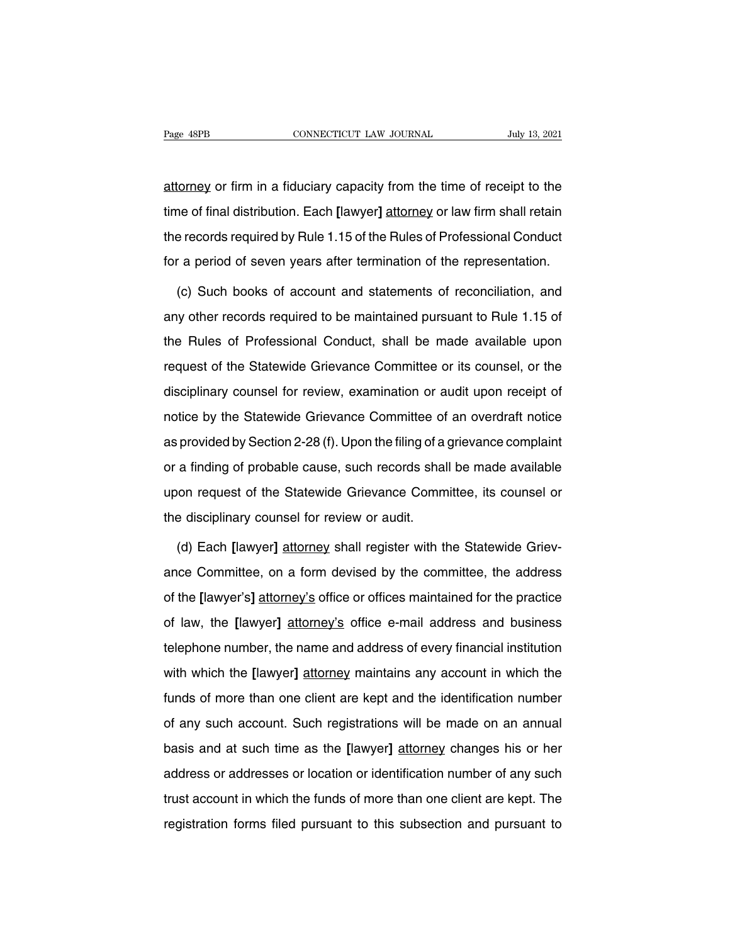Page 48PB<br> **EXECUTE CONNECTICUT LAW JOURNAL**<br> **EXECUTE:** The Solution of the time of receipt to the<br>
time of final distribution. Each [lawyer] attorney or law firm shall retain The of time of final distribution. Each **[**lawyer**]** attorney or firm in a fiduciary capacity from the time of receipt to the time of final distribution. Each **[**lawyer**]** attorney or law firm shall retain the records requ attorney or firm in a fiduciary capacity from the time of receipt to the<br>time of final distribution. Each [lawyer] attorney or law firm shall retain<br>the records required by Rule 1.15 of the Rules of Professional Conduct<br>fo attorney or firm in a fiduciary capacity from the time of receipt to the<br>time of final distribution. Each [lawyer] attorney or law firm shall retain<br>the records required by Rule 1.15 of the Rules of Professional Conduct<br>fo The of final distribution. Each [lawyer] <u>attorney</u> or law firm shall retain<br>
in erecords required by Rule 1.15 of the Rules of Professional Conduct<br>
in a period of seven years after termination of the representation.<br>
(c)

the records required by Rule 1.15 of the Rules of Professional Conduct<br>for a period of seven years after termination of the representation.<br>(c) Such books of account and statements of reconciliation, and<br>any other records for a period of seven years after termination of the representation.<br>
(c) Such books of account and statements of reconciliation, and<br>
any other records required to be maintained pursuant to Rule 1.15 of<br>
the Rules of Prof (c) Such books of account and statements of reconciliation, and<br>any other records required to be maintained pursuant to Rule 1.15 of<br>the Rules of Professional Conduct, shall be made available upon<br>request of the Statewide (e) dustriplies of associate and statements of reconsiderity, and<br>any other records required to be maintained pursuant to Rule 1.15 of<br>the Rules of Professional Conduct, shall be made available upon<br>request of the Statewid any embrificents required to be maintained pareadint to ridio 1:16 of<br>the Rules of Professional Conduct, shall be made available upon<br>request of the Statewide Grievance Committee or its counsel, or the<br>disciplinary counsel request of the Statewide Grievance Committee or its counsel, or the disciplinary counsel for review, examination or audit upon receipt of notice by the Statewide Grievance Committee of an overdraft notice as provided by Se disciplinary counsel for review, examination or audit upon receipt of<br>notice by the Statewide Grievance Committee of an overdraft notice<br>as provided by Section 2-28 (f). Upon the filing of a grievance complaint<br>or a findin upon request of the Statewide Grievance Committee of an overdraft notice<br>as provided by Section 2-28 (f). Upon the filing of a grievance complaint<br>or a finding of probable cause, such records shall be made available<br>upon r the discrimate difference committed or<br>as provided by Section 2-28 (f). Upon the filing of a<br>or a finding of probable cause, such records shal<br>upon request of the Statewide Grievance Comm<br>the disciplinary counsel for revie (a) a finding of probable cause, such records shall be made available<br>
on request of the Statewide Grievance Committee, its counsel or<br>
e disciplinary counsel for review or audit.<br>
(d) Each [lawyer] attorney shall register

upon request of the Statewide Grievance Committee, its counsel or<br>the disciplinary counsel for review or audit.<br>(d) Each [lawyer] attorney shall register with the Statewide Griev-<br>ance Committee, on a form devised by the c the disciplinary counsel for review or audit.<br>
(d) Each [lawyer] attorney shall register with the Statewide Griev-<br>
ance Committee, on a form devised by the committee, the address<br>
of the [lawyer's] attorney's office or of (d) Each [lawyer] attorney shall register with the Statewide Grievance Committee, on a form devised by the committee, the address of the [lawyer's] attorney's office or offices maintained for the practice of law, the [lawy ance Committee, on a form devised by the committee, the address<br>of the [lawyer's] attorney's office or offices maintained for the practice<br>of law, the [lawyer] attorney's office e-mail address and business<br>telephone number of the [lawyer's] attorney's office or offices maintained for the practice<br>of law, the [lawyer] attorney's office e-mail address and business<br>telephone number, the name and address of every financial institution<br>with which of law, the [lawyer] attorney's office e-mail address and business<br>telephone number, the name and address of every financial institution<br>with which the [lawyer] attorney maintains any account in which the<br>funds of more tha of any and pathyor<sub>J</sub> <u>attempt a</u> onted of main dealibed and securiose telephone number, the name and address of every financial institution with which the [lawyer] <u>attemey</u> maintains any account in which the funds of mor basis and the [lawyer] attorney maintains any account in which the funds of more than one client are kept and the identification number of any such account. Such registrations will be made on an annual basis and at such ti funds of more than one client are kept and the identification number<br>of any such account. Such registrations will be made on an annual<br>basis and at such time as the [lawyer] attorney changes his or her<br>address or addresses of any such account. Such registrations will be made on an annual<br>basis and at such time as the [lawyer] attorney changes his or her<br>address or addresses or location or identification number of any such<br>trust account in wh basis and at such time as the [lawyer] attorney changes his or her address or addresses or location or identification number of any such trust account in which the funds of more than one client are kept. The registration f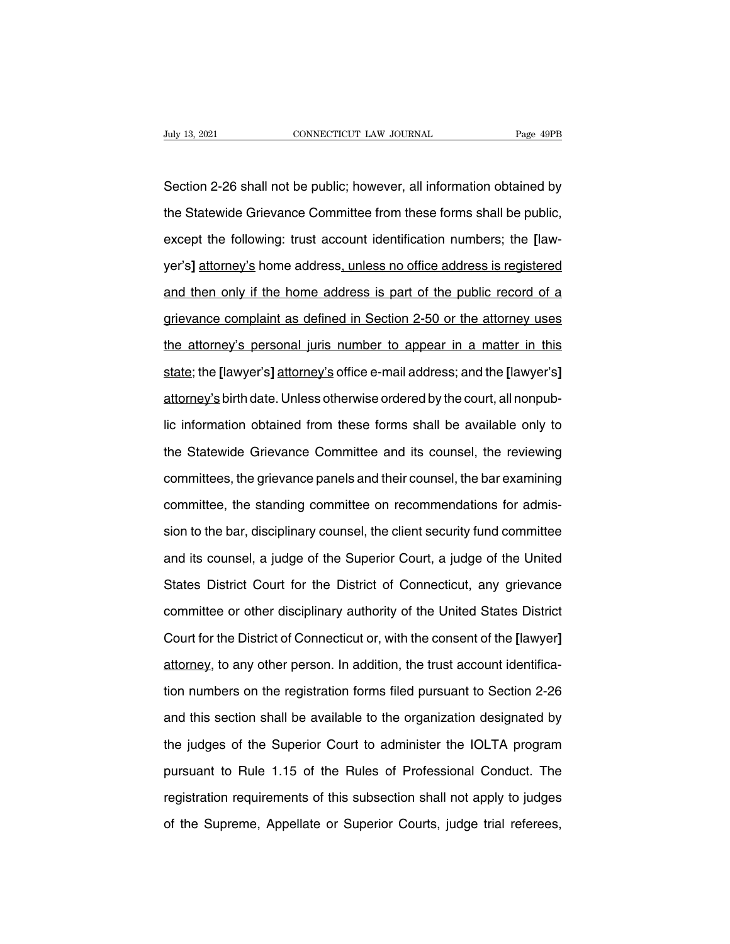Suly 13, 2021 CONNECTICUT LAW JOURNAL Page 49PB<br>Section 2-26 shall not be public; however, all information obtained by<br>the Statewide Grievance Committee from these forms shall be public, The Statewide Grievance Committee from these forms shall be public,<br>Section 2-26 shall not be public; however, all information obtained by<br>the Statewide Grievance Committee from these forms shall be public,<br>except the foll Section 2-26 shall not be public; however, all information obtained by<br>the Statewide Grievance Committee from these forms shall be public,<br>except the following: trust account identification numbers; the **[**law-<br>yer's] atto Section 2-26 shall not be public; however, all information obtained by<br>the Statewide Grievance Committee from these forms shall be public,<br>except the following: trust account identification numbers; the [law-<br>yer's] attorn the Statewide Grievance Committee from these forms shall be public,<br>except the following: trust account identification numbers; the [law-<br>yer's] attorney's home address, unless no office address is registered<br>and then only except the following: trust account identification numbers; the [law-<br>yer's] attorney's home address, unless no office address is registered<br>and then only if the home address is part of the public record of a<br>grievance com yer's] <u>attorney's</u> home address<u>, unless no office address is registered</u><br>and then only if the home address is part of the public record of a<br>grievance complaint as defined in Section 2-50 or the attorney uses<br>the attorne and then only if the home address is part of the public record of a<br>grievance complaint as defined in Section 2-50 or the attorney uses<br>the attorney's personal juris number to appear in a matter in this<br>state; the [lawyer' grievance complaint as defined in Section 2-50 or the attorney uses<br>the attorney's personal juris number to appear in a matter in this<br>state; the [lawyer's] attorney's office e-mail address; and the [lawyer's]<br>attorney's b the attorney's personal juris number to appear in a matter in this<br>state; the [lawyer's] attorney's office e-mail address; and the [lawyer's]<br>attorney's birth date. Unless otherwise ordered by the court, all nonpub-<br>lic in state; the [lawyer's] <u>attorney's</u> office e-mail address; and the [lawyer's]<br>attorney's birth date. Unless otherwise ordered by the court, all nonpub-<br>lic information obtained from these forms shall be available only to<br>th attorney's birth date. Unless otherwise ordered by the court, all nonpub-<br>lic information obtained from these forms shall be available only to<br>the Statewide Grievance Committee and its counsel, the reviewing<br>committees, th lic information obtained from these forms shall be available only to<br>the Statewide Grievance Committee and its counsel, the reviewing<br>committees, the grievance panels and their counsel, the bar examining<br>committee, the sta the Statewide Grievance Committee and its counsel, the reviewing<br>committees, the grievance panels and their counsel, the bar examining<br>committee, the standing committee on recommendations for admis-<br>sion to the bar, discip committees, the grievance panels and their counsel, the bar examining<br>committee, the standing committee on recommendations for admis-<br>sion to the bar, disciplinary counsel, the client security fund committee<br>and its counse committee, the standing committee on recommendations for admission to the bar, disciplinary counsel, the client security fund committee<br>and its counsel, a judge of the Superior Court, a judge of the United<br>States District sion to the bar, disciplinary counsel, the client security fund committee<br>and its counsel, a judge of the Superior Court, a judge of the United<br>States District Court for the District of Connecticut, any grievance<br>committee and its counsel, a judge of the Superior Court, a judge of the United<br>States District Court for the District of Connecticut, any grievance<br>committee or other disciplinary authority of the United States District<br>Court for t States District Court for the District of Connecticut, any grievance<br>committee or other disciplinary authority of the United States District<br>Court for the District of Connecticut or, with the consent of the [lawyer]<br>attorn committee or other disciplinary authority of the United States District<br>Court for the District of Connecticut or, with the consent of the [lawyer]<br>attorney, to any other person. In addition, the trust account identifica-<br>t Court for the District of Connecticut or, with the consent of the [lawyer]<br>attorney, to any other person. In addition, the trust account identifica-<br>tion numbers on the registration forms filed pursuant to Section 2-26<br>and attorney, to any other person. In addition, the trust account identification numbers on the registration forms filed pursuant to Section 2-26 and this section shall be available to the organization designated by the judges tion numbers on the registration forms filed pursuant to Section 2-26<br>and this section shall be available to the organization designated by<br>the judges of the Superior Court to administer the IOLTA program<br>pursuant to Rule and this section shall be available to the organization designated by<br>the judges of the Superior Court to administer the IOLTA program<br>pursuant to Rule 1.15 of the Rules of Professional Conduct. The<br>registration requiremen the judges of the Superior Court to administer the IOLTA program<br>pursuant to Rule 1.15 of the Rules of Professional Conduct. The<br>registration requirements of this subsection shall not apply to judges<br>of the Supreme, Appell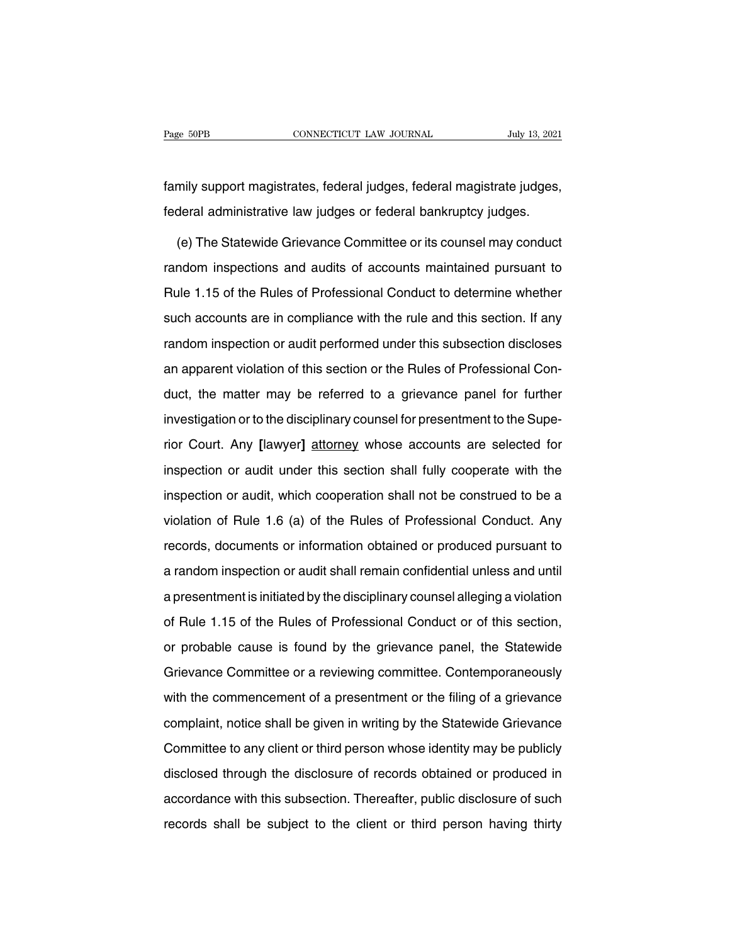Fage 50PB<br>CONNECTICUT LAW JOURNAL July 13, 2021<br>Family support magistrates, federal judges, federal magistrate judges,<br>federal administrative law judges or federal bankruptcy judges. Fage 50PB<br>
Family support magistrates, federal judges, federal magistrate judges,<br>
federal administrative law judges or federal bankruptcy judges.<br>
(e) The Statewide Grievance Committee or its counsel may conduct

mily support magistrates, federal judges, federal magistrate judges,<br>deral administrative law judges or federal bankruptcy judges.<br>(e) The Statewide Grievance Committee or its counsel may conduct<br>ndom inspections and audit family support magistrates, federal judges, federal magistrate judges,<br>federal administrative law judges or federal bankruptcy judges.<br>(e) The Statewide Grievance Committee or its counsel may conduct<br>random inspections and Federal administrative law judges or federal bankruptcy judges.<br>
(e) The Statewide Grievance Committee or its counsel may conduct<br>
random inspections and audits of accounts maintained pursuant to<br>
Rule 1.15 of the Rules of (e) The Statewide Grievance Committee or its counsel may conduct<br>random inspections and audits of accounts maintained pursuant to<br>Rule 1.15 of the Rules of Professional Conduct to determine whether<br>such accounts are in com random inspections and audits of accounts maintained pursuant to<br>Rule 1.15 of the Rules of Professional Conduct to determine whether<br>such accounts are in compliance with the rule and this section. If any<br>random inspection random impediant and datate or assessing maintained paredam to<br>Rule 1.15 of the Rules of Professional Conduct to determine whether<br>such accounts are in compliance with the rule and this section. If any<br>random inspection or Exact the entity of the matter of the matter of a grieval contained such accounts are in compliance with the rule and this section. If any random inspection or audit performed under this subsection discloses an apparent vi such accounts are in compliance with the rule and this section. If any random inspection or audit performed under this subsection discloses an apparent violation of this section or the Rules of Professional Conduct, the ma random impediate the data, performed ander the data conception attenuate any apparent violation of this section or the Rules of Professional Conduct, the matter may be referred to a grievance panel for further investigatio duct, the matter may be referred to a grievance panel for further<br>investigation or to the disciplinary counsel for presentment to the Supe-<br>rior Court. Any [lawyer] attorney whose accounts are selected for<br>inspection or au investigation or to the disciplinary counsel for presentment to the Superior Court. Any [lawyer] attorney whose accounts are selected for inspection or audit under this section shall fully cooperate with the inspection or rior Court. Any [lawyer] attorney whose accounts are selected for<br>inspection or audit under this section shall fully cooperate with the<br>inspection or audit, which cooperation shall not be construed to be a<br>violation of Rul inspection or audit under this section shall fully cooperate with the<br>inspection or audit, which cooperation shall not be construed to be a<br>violation of Rule 1.6 (a) of the Rules of Professional Conduct. Any<br>records, docum inspection or audit, which cooperation shall not be construed to be a<br>violation of Rule 1.6 (a) of the Rules of Professional Conduct. Any<br>records, documents or information obtained or produced pursuant to<br>a random inspecti violation of Rule 1.6 (a) of the Rules of Professional Conduct. Any<br>records, documents or information obtained or produced pursuant to<br>a random inspection or audit shall remain confidential unless and until<br>a presentment i records, documents or information obtained or produced pursuant to<br>a random inspection or audit shall remain confidential unless and until<br>a presentment is initiated by the disciplinary counsel alleging a violation<br>of Rule a random inspection or audit shall remain confidential unless and until<br>a presentment is initiated by the disciplinary counsel alleging a violation<br>of Rule 1.15 of the Rules of Professional Conduct or of this section,<br>or p a random inspection of data chain committee international direction.<br>
Supersentment is initiated by the disciplinary counsel alleging a violation<br>
or Probable cause is found by the grievance panel, the Statewide<br>
Grievance of Rule 1.15 of the Rules of Professional Conduct or of this section,<br>or probable cause is found by the grievance panel, the Statewide<br>Grievance Committee or a reviewing committee. Contemporaneously<br>with the commencement o complaint, notice shall be given in writing by the Statewide<br>Grievance Committee or a reviewing committee. Contemporaneously<br>with the commencement of a presentment or the filing of a grievance<br>complaint, notice shall be gi Grievance Committee or a reviewing committee. Contemporaneously<br>with the commencement of a presentment or the filing of a grievance<br>complaint, notice shall be given in writing by the Statewide Grievance<br>Committee to any cl mistance comminities of a presentment or the filing of a grievance<br>complaint, notice shall be given in writing by the Statewide Grievance<br>Committee to any client or third person whose identity may be publicly<br>disclosed thr complaint, notice shall be given in writing by the Statewide Grievance<br>Committee to any client or third person whose identity may be publicly<br>disclosed through the disclosure of records obtained or produced in<br>accordance w Committee to any client or third person whose identity may be publicly disclosed through the disclosure of records obtained or produced in accordance with this subsection. Thereafter, public disclosure of such records shal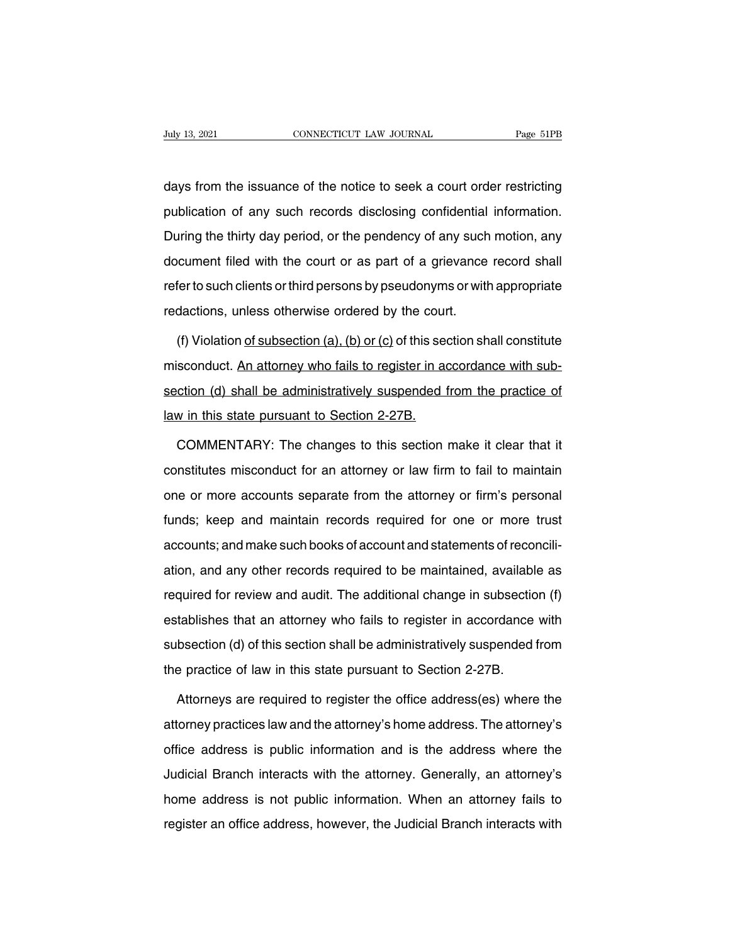days from the issuance of the notice to seek a court order restricting<br>publication of any such records disclosing confidential information. Duly 13, 2021 CONNECTICUT LAW JOURNAL Page 51PB<br>
days from the issuance of the notice to seek a court order restricting<br>
publication of any such records disclosing confidential information.<br>
During the thirty day period, o days from the issuance of the notice to seek a court order restricting<br>publication of any such records disclosing confidential information.<br>During the thirty day period, or the pendency of any such motion, any<br>document fil days from the issuance of the notice to seek a court order restricting<br>publication of any such records disclosing confidential information.<br>During the thirty day period, or the pendency of any such motion, any<br>document fil publication of any such records disclosing confidential information.<br>During the thirty day period, or the pendency of any such motion, any<br>document filed with the court or as part of a grievance record shall<br>refer to such During the thirty day period, or the pendency of any such<br>document filed with the court or as part of a grievance<br>refer to such clients or third persons by pseudonyms or with<br>redactions, unless otherwise ordered by the cou (f) violation of subsection (a), (b) or (c) of this section shall constitute sconduct. An attorney who fails to register in accordance with sub-

refer to such clients or third persons by pseudonyms or with appropriate<br>redactions, unless otherwise ordered by the court.<br>(f) Violation <u>of subsection (a), (b) or (c)</u> of this section shall constitute<br>misconduct. An atto redactions, unless otherwise ordered by the court.<br>
(f) Violation <u>of subsection (a), (b) or (c</u>) of this section shall constitute<br>
misconduct. <u>An attorney who fails to register in accordance with sub-</u><br>
section (d) shall (f) Violation <u>of subsection (a), (b) or (c</u>) of this see misconduct. An attorney who fails to register in a<br>section (d) shall be administratively suspended for law in this state pursuant to Section 2-27B.<br>COMMENTARY: The sconduct. An attorney who fails to register in accordance with sub-<br>ction (d) shall be administratively suspended from the practice of<br>w in this state pursuant to Section 2-27B.<br>COMMENTARY: The changes to this section make

section (d) shall be administratively suspended from the practice of<br>law in this state pursuant to Section 2-27B.<br>COMMENTARY: The changes to this section make it clear that it<br>constitutes misconduct for an attorney or law law in this state pursuant to Section 2-27B.<br>COMMENTARY: The changes to this section make it clear that it<br>constitutes misconduct for an attorney or law firm to fail to maintain<br>one or more accounts separate from the attor COMMENTARY: The changes to this section make it clear that it constitutes misconduct for an attorney or law firm to fail to maintain one or more accounts separate from the attorney or firm's personal funds; keep and mainta constitutes misconduct for an attorney or law firm to fail to maintain<br>one or more accounts separate from the attorney or firm's personal<br>funds; keep and maintain records required for one or more trust<br>accounts; and make s ation, and maintain records required for one or more trust<br>accounts; and maintain records required for one or more trust<br>accounts; and make such books of account and statements of reconcili-<br>ation, and any other records re funds; keep and maintain records required for one or more trust<br>accounts; and make such books of account and statements of reconcili-<br>ation, and any other records required to be maintained, available as<br>required for review accounts; and make such books of account and statements of reconcili-<br>ation, and any other records required to be maintained, available as<br>required for review and audit. The additional change in subsection (f)<br>establishes ation, and any other records required to be maintained, available as<br>required for review and audit. The additional change in subsection (f)<br>establishes that an attorney who fails to register in accordance with<br>subsection ( the practice of law in this state pursuant to Section 2-27B.<br>Attorneys are required for review and audit. The additional change in subsectice<br>establishes that an attorney who fails to register in accordance<br>subsection (d) tablishes that an attorney who fails to register in accordance with<br>bsection (d) of this section shall be administratively suspended from<br>e practice of law in this state pursuant to Section 2-27B.<br>Attorneys are required to

subsection (d) of this section shall be administratively suspended from<br>the practice of law in this state pursuant to Section 2-27B.<br>Attorneys are required to register the office address(es) where the<br>attorney practices la the practice of law in this state pursuant to Section 2-27B.<br>Attorneys are required to register the office address (es) where the<br>attorney practices law and the attorney's home address. The attorney's<br>office address is pub Attorneys are required to register the office address(es) where the<br>attorney practices law and the attorney's home address. The attorney's<br>office address is public information and is the address where the<br>Judicial Branch i Attorney practices law and the attorney's home address. The attorney's<br>office address is public information and is the address where the<br>Judicial Branch interacts with the attorney. Generally, an attorney's<br>home address is office address is public information and is the address where the<br>Judicial Branch interacts with the attorney. Generally, an attorney's<br>home address is not public information. When an attorney fails to<br>register an office a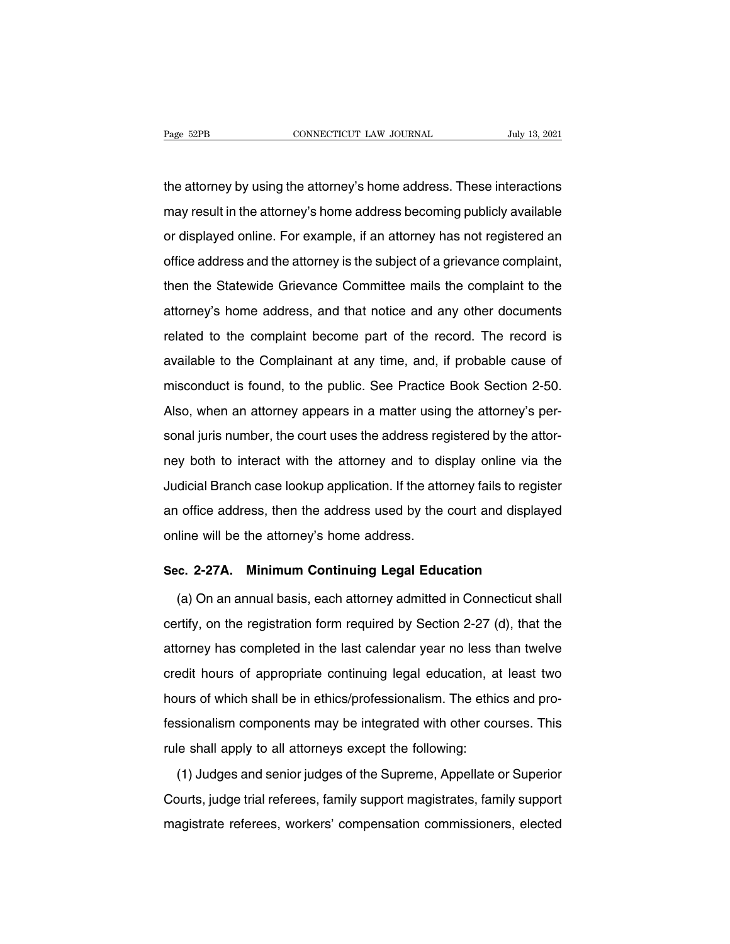The Equal the attorney by using the attorney's home address. These interactions<br>the attorney by using the attorney's home address. These interactions<br>may result in the attorney's home address becoming publicly available Page 52PB CONNECTICUT LAW JOURNAL July 13, 2021<br>the attorney by using the attorney's home address. These interactions<br>may result in the attorney's home address becoming publicly available<br>or displayed online. For example, the attorney by using the attorney's home address. These interactions<br>may result in the attorney's home address becoming publicly available<br>or displayed online. For example, if an attorney has not registered an<br>office addr the attorney by using the attorney's home address. These interactions<br>may result in the attorney's home address becoming publicly available<br>or displayed online. For example, if an attorney has not registered an<br>office addr the attorney by doing the diterity of first dialoge. These interdedness<br>may result in the attorney's home address becoming publicly available<br>or displayed online. For example, if an attorney has not registered an<br>office ad atternative and the attorney's home address seconting pasticly available<br>or displayed online. For example, if an attorney has not registered an<br>office address and the attorney is the subject of a grievance complaint,<br>then of displayed entire. It of example, it and alterney has not registered and<br>office address and the attorney is the subject of a grievance complaint,<br>then the Statewide Grievance Committee mails the complaint to the<br>attorney available to the Complainant at any time, and, if probable cause of misconduct is found, to the public. See Practice Book Section 2-50. attorney's home address, and that notice and any other documents<br>related to the complaint become part of the record. The record is<br>available to the Complainant at any time, and, if probable cause of<br>misconduct is found, to related to the complaint become part of the record. The record is<br>available to the Complainant at any time, and, if probable cause of<br>misconduct is found, to the public. See Practice Book Section 2-50.<br>Also, when an attorn solated to the complaint become part of the focord. The focord is<br>available to the Complainant at any time, and, if probable cause of<br>misconduct is found, to the public. See Practice Book Section 2-50.<br>Also, when an attorn misconduct is found, to the public. See Practice Book Section 2-50.<br>Also, when an attorney appears in a matter using the attorney's per-<br>sonal juris number, the court uses the address registered by the attor-<br>ney both to i Also, when an attorney appears in a matter using the attorney's personal juris number, the court uses the address registered by the attorney both to interact with the attorney and to display online via the Judicial Branch and juris number, the court uses the address registered by the attor-<br>hey both to interact with the attorney and to display online via the<br>Judicial Branch case lookup application. If the attorney fails to register<br>an offic oonlarjano nambor, the edunt accounted address region<br>In a Judicial Branch case lookup application. If the atto<br>an office address, then the address used by the<br>online will be the attorney's home address. Uudicial Branch case lookup application. If the attorney fails to registe<br>an office address, then the address used by the court and displaye<br>online will be the attorney's home address.<br>**Sec. 2-27A. Minimum Continuing Legal** office address, then the address used by the court and displayed<br>line will be the attorney's home address.<br>c. 2-27A. Minimum Continuing Legal Education<br>(a) On an annual basis, each attorney admitted in Connecticut shall<br>rt

online will be the attorney's home address.<br> **Sec. 2-27A.** Minimum Continuing Legal Education<br>
(a) On an annual basis, each attorney admitted in Connecticut shall<br>
certify, on the registration form required by Section 2-27 Sec. 2-27A. Minimum Continuing Legal Education<br>
(a) On an annual basis, each attorney admitted in Connecticut shall<br>
certify, on the registration form required by Section 2-27 (d), that the<br>
attorney has completed in the l (a) On an annual basis, each attorney admitted in Connecticut shall<br>certify, on the registration form required by Section 2-27 (d), that the<br>attorney has completed in the last calendar year no less than twelve<br>credit hours (a) off an annual basis, sash alternty admitted in connectiout shall<br>certify, on the registration form required by Section 2-27 (d), that the<br>attorney has completed in the last calendar year no less than twelve<br>credit hour fessionalism completed in the last calendar year no less than twelve<br>credit hours of appropriate continuing legal education, at least two<br>hours of which shall be in ethics/professionalism. The ethics and pro-<br>fessionalism example sompleted in the fast calcridati year insided the following credit hours of which shall be in ethics/professionalism. The ethic<br>fessionalism components may be integrated with other controller shall apply to all att Figure 3. Substitute of the Superiorist of the Superiorist of which shall be in ethics/professionalism. The ethics and prossionalism components may be integrated with other courses. This le shall apply to all attorneys exc

These of this from our called proceeds above. The same called professionalism components may be integrated with other courses. This rule shall apply to all attorneys except the following:<br>(1) Judges and senior judges of th magistrate referees, workers' compensation commissioners, elected<br>magistrate referees, workers' compensation commissioners, elected<br>magistrate referees, workers' compensation commissioners, elected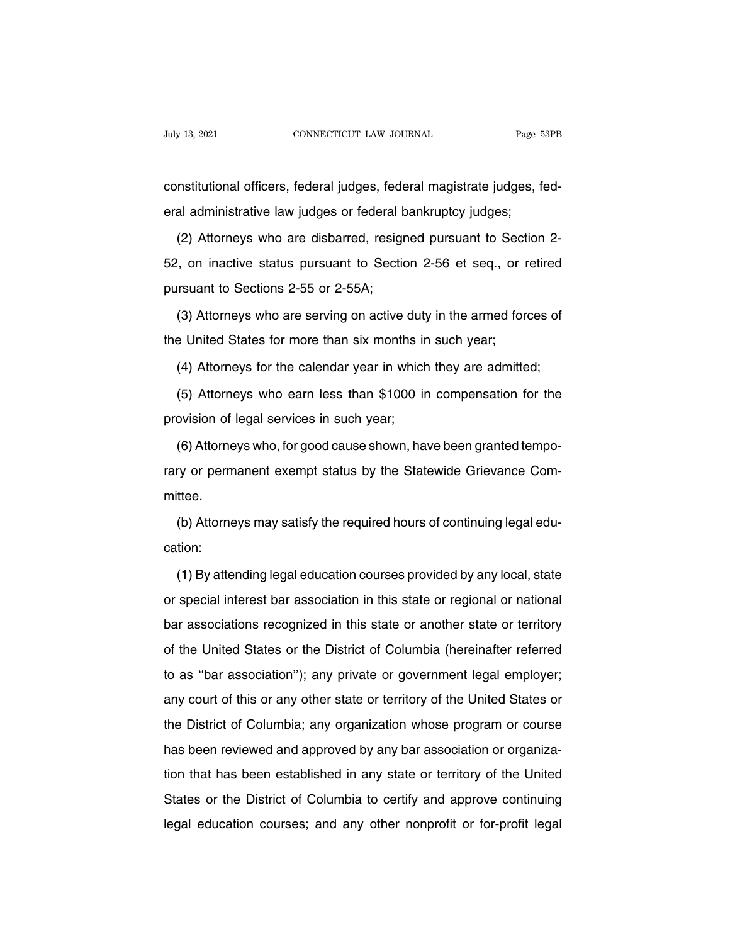Fuly 13, 2021<br>CONNECTICUT LAW JOURNAL Page 53PB<br>Constitutional officers, federal judges, federal magistrate judges, fed-<br>Fral administrative law judges or federal bankruptcy judges; eral administrative law judges, federal magistrate judges, for<br>eral administrative law judges or federal bankruptcy judges;<br>(2) Attorneys who are disbarred, resigned pursuant to Section

nstitutional officers, federal judges, federal magistrate judges, fed-<br>al administrative law judges or federal bankruptcy judges;<br>(2) Attorneys who are disbarred, resigned pursuant to Section 2-<br>, on inactive status pursua constitutional officers, federal judges, federal magistrate judges, federal administrative law judges or federal bankruptcy judges;<br>(2) Attorneys who are disbarred, resigned pursuant to Section 2-52, on inactive status pur eral administrative law judges or federal b<br>
(2) Attorneys who are disbarred, resign<br>
52, on inactive status pursuant to Sectio<br>
pursuant to Sections 2-55 or 2-55A;<br>
(3) Attorneys who are serving on active (2) Attorneys who are disbarred, resigned pursuant to Section 2-<br>  $\alpha$ , on inactive status pursuant to Section 2-56 et seq., or retired<br>
in the armed forces of<br>
(3) Attorneys who are serving on active duty in the armed fo 52, on inactive status pursuant to Section 2-56 et seq., or r<br>pursuant to Sections 2-55 or 2-55A;<br>(3) Attorneys who are serving on active duty in the armed for<br>the United States for more than six months in such year;<br>(4)

Income 15 and the Cections 2-55 or 2-55A;<br>
(3) Attorneys who are serving on active duty in the armed forces of<br>
16 United States for more than six months in such year;<br>
(4) Attorneys for the calendar year in which they are (3) Attorneys who are serving on active duty in the armed forces of<br>
e United States for more than six months in such year;<br>
(4) Attorneys for the calendar year in which they are admitted;<br>
(5) Attorneys who earn less than

the United States for more than six months in<br>
(4) Attorneys for the calendar year in which<br>
(5) Attorneys who earn less than \$1000 in<br>
provision of legal services in such year;<br>
(6) Attorneys who, for good cause shown, ha

(4) Attorneys for the calendar year in which they are admitted;<br>(5) Attorneys who earn less than \$1000 in compensation for the<br>ovision of legal services in such year;<br>(6) Attorneys who, for good cause shown, have been gran (5) Attorneys who earn less than \$1000 in compensation for the provision of legal services in such year;<br>(6) Attorneys who, for good cause shown, have been granted tempo-<br>rary or permanent exempt status by the Statewide Gr mittee. (6) Attorneys who, for good cause shown, have been granted tempo-<br>ry or permanent exempt status by the Statewide Grievance Com-<br>ttee.<br>(b) Attorneys may satisfy the required hours of continuing legal edu-<br>tion:

cation:

(b) Attorneys may satisfy the required hours of continuing legal edu-<br>tion:<br>(1) By attending legal education courses provided by any local, state<br>special interest bar association in this state or regional or national (b) Attorneys may satisfy the required hours of continuing legal edu-<br>cation:<br>(1) By attending legal education courses provided by any local, state<br>or special interest bar association in this state or regional or national<br> cation:<br>
(1) By attending legal education courses provided by any local, state<br>
or special interest bar association in this state or regional or national<br>
bar associations recognized in this state or another state or terri (1) By attending legal education courses provided by any local, state<br>or special interest bar association in this state or regional or national<br>bar associations recognized in this state or another state or territory<br>of the They alternary legal education coulded provided by any local, etable or special interest bar association in this state or regional or national bar associations recognized in this state or another state or territory of the bar associations recognized in this state or another state or territory<br>of the United States or the District of Columbia (hereinafter referred<br>to as "bar association"); any private or government legal employer;<br>any court o but descellations recognized in this state of different clate of termsty<br>of the United States or the District of Columbia (hereinafter referred<br>to as "bar association"); any private or government legal employer;<br>any court of the United States or the District of Columbia (hereinafter referred<br>to as "bar association"); any private or government legal employer;<br>any court of this or any other state or territory of the United States or<br>the Distr that has been reviewed and approved by any state or territory of the United States or<br>the District of Columbia; any organization whose program or course<br>has been reviewed and approved by any bar association or organiza-<br>ti The District of Columbia; any organization whose program or course<br>has been reviewed and approved by any bar association or organiza-<br>tion that has been established in any state or territory of the United<br>States or the Dis also been reviewed and approved by any bar association or organization that has been established in any state or territory of the United States or the District of Columbia to certify and approve continuing legal education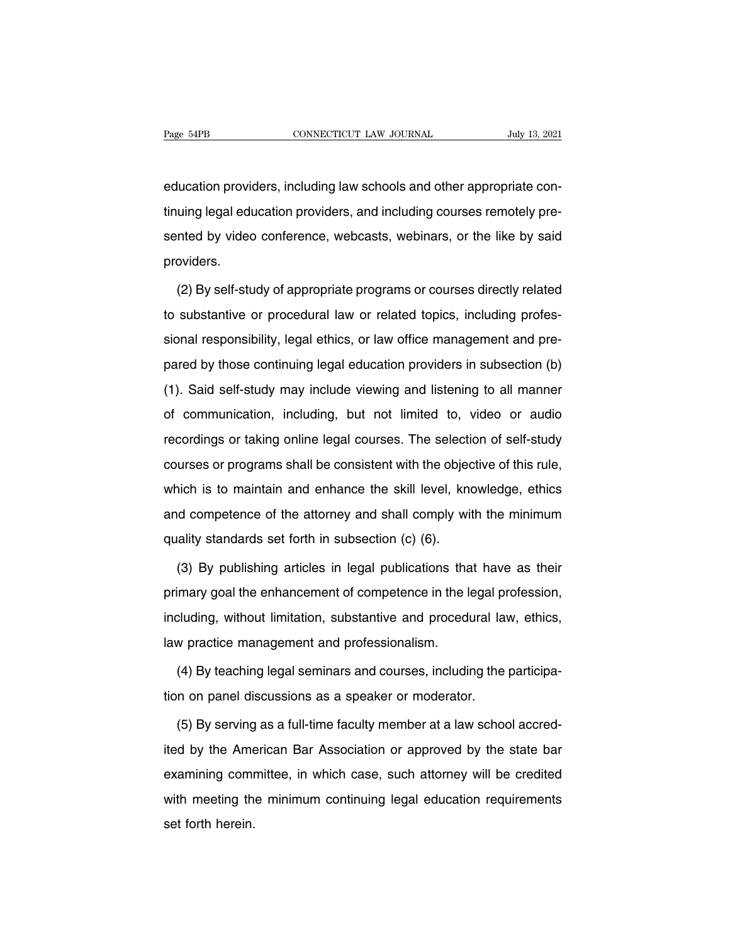Page 54PB<br>
CONNECTICUT LAW JOURNAL<br>
education providers, including law schools and other appropriate con-<br>
tinuing legal education providers, and including courses remotely pre-Trage 54PB<br>
connectricut LAW JOURNAL July 13, 2021<br>
education providers, including law schools and other appropriate con-<br>
tinuing legal education providers, and including courses remotely pre-<br>
sented by video conference, education providers, including law schools and other appropriate continuing legal education providers, and including courses remotely presented by video conference, webcasts, webinars, or the like by said providers. providers. uing legal education providers, and including courses remotely pre-<br>
inted by video conference, webcasts, webinars, or the like by said<br>
oviders.<br>
(2) By self-study of appropriate programs or courses directly related<br>
subs

sented by video conference, webcasts, webinars, or the like by said<br>providers.<br>(2) By self-study of appropriate programs or courses directly related<br>to substantive or procedural law or related topics, including profes-<br>sio providers.<br>
(2) By self-study of appropriate programs or courses directly related<br>
to substantive or procedural law or related topics, including profes-<br>
sional responsibility, legal ethics, or law office management and pr (2) By self-study of appropriate programs or courses directly related<br>to substantive or procedural law or related topics, including profes-<br>sional responsibility, legal ethics, or law office management and pre-<br>pared by th (2) By self-study of appropriate programs of scalesce allesting profes-<br>to substantive or procedural law or related topics, including profes-<br>sional responsibility, legal ethics, or law office management and pre-<br>pared by sional responsibility, legal ethics, or law office management and pre-<br>pared by those continuing legal education providers in subsection (b)<br>(1). Said self-study may include viewing and listening to all manner<br>of communica pared by those continuing legal education providers in subsection (b)<br>(1). Said self-study may include viewing and listening to all manner<br>of communication, including, but not limited to, video or audio<br>recordings or takin (1). Said self-study may include viewing and listening to all manner<br>of communication, including, but not limited to, video or audio<br>recordings or taking online legal courses. The selection of self-study<br>courses or program of communication, including, but not limited to, video or audio<br>recordings or taking online legal courses. The selection of self-study<br>courses or programs shall be consistent with the objective of this rule,<br>which is to ma recordings or taking online legal courses. The selection of self-study<br>courses or programs shall be consistent with the objective of this rule,<br>which is to maintain and enhance the skill level, knowledge, ethics<br>and compet coordings of taking orninc logal coarces. The colocial<br>courses or programs shall be consistent with the object<br>which is to maintain and enhance the skill level, know<br>and competence of the attorney and shall comply with<br>qua ich is to maintain and enhance the skill level, knowledge, ethics<br>id competence of the attorney and shall comply with the minimum<br>ality standards set forth in subsection (c) (6).<br>(3) By publishing articles in legal publica

and competence of the attorney and shall comply with the minimum<br>quality standards set forth in subsection (c) (6).<br>(3) By publishing articles in legal publications that have as their<br>primary goal the enhancement of compet quality standards set forth in subsection (c) (6).<br>
(3) By publishing articles in legal publications that have as their<br>
primary goal the enhancement of competence in the legal profession,<br>
including, without limitation, s (3) By publishing articles in legal publications the<br>primary goal the enhancement of competence in the later including, without limitation, substantive and procedu<br>law practice management and professionalism.<br>(4) By teachi (1) By teaching internal of competence in the legal profession,<br>cluding, without limitation, substantive and procedural law, ethics,<br>w practice management and professionalism.<br>(4) By teaching legal seminars and courses, in including, without limitation, substantive and procedural laver<br>law practice management and professionalism.<br>(4) By teaching legal seminars and courses, including the<br>tion on panel discussions as a speaker or moderator.<br>(5

w practice management and professionalism.<br>
(4) By teaching legal seminars and courses, including the participa-<br>
n on panel discussions as a speaker or moderator.<br>
(5) By serving as a full-time faculty member at a law sch (4) By teaching legal seminars and courses, including the participation on panel discussions as a speaker or moderator.<br>
(5) By serving as a full-time faculty member at a law school accred-<br>
ited by the American Bar Associ tion on panel discussions as a speaker or moderator.<br>
(5) By serving as a full-time faculty member at a law school accred-<br>
ited by the American Bar Association or approved by the state bar<br>
examining committee, in which c (5) By serving as a full-time faculty member at a law school accredited by the American Bar Association or approved by the state bar examining committee, in which case, such attorney will be credited with meeting the minim  $(0, 2)$  set  $\omega$  in the direction of the American with meeting the set forth herein.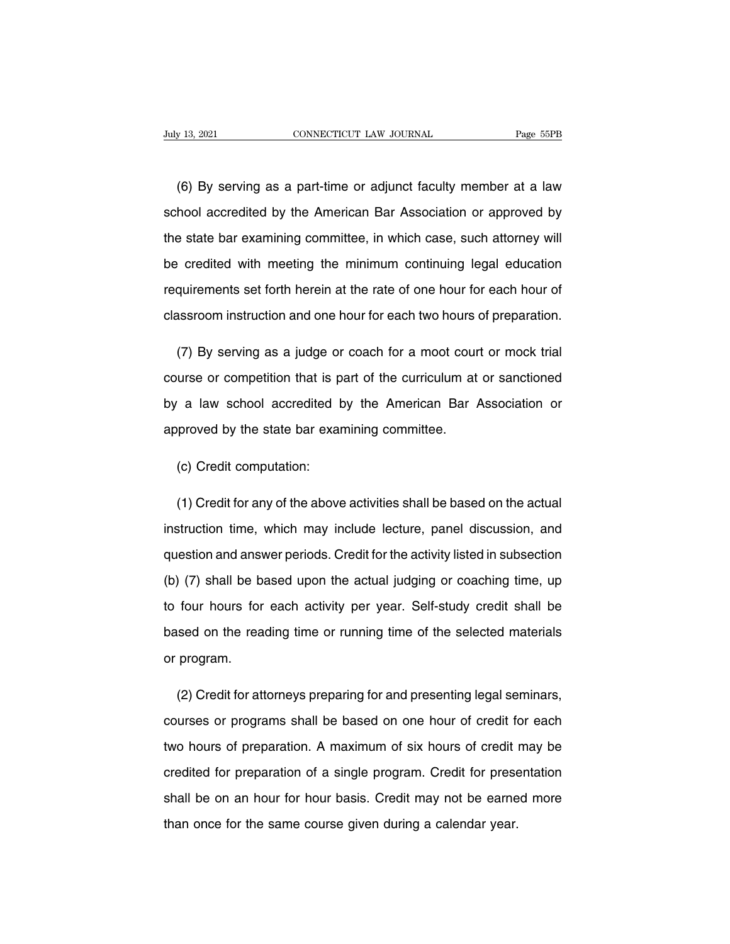EXEC IS CONNECTICUT LAW JOURNAL THAT THAT THE SERVING SERVING A part-time or adjunct faculty member at a law<br>
The accredited by the American Bar Association or approved by Suly 13, 2021 CONNECTICUT LAW JOURNAL Page 55PB<br>
(6) By serving as a part-time or adjunct faculty member at a law<br>
school accredited by the American Bar Association or approved by<br>
the state bar examining committee, in whi (6) By serving as a part-time or adjunct faculty member at a law<br>school accredited by the American Bar Association or approved by<br>the state bar examining committee, in which case, such attorney will<br>be credited with meetin (6) By serving as a part-time or adjunct faculty member at a law<br>school accredited by the American Bar Association or approved by<br>the state bar examining committee, in which case, such attorney will<br>be credited with meetin school accredited by the American Bar Association or approved by<br>the state bar examining committee, in which case, such attorney will<br>be credited with meeting the minimum continuing legal education<br>requirements set forth h the state bar examining committee, in which case, such attorney will<br>be credited with meeting the minimum continuing legal education<br>requirements set forth herein at the rate of one hour for each hour of<br>classroom instruct For credited with meeting the minimum continuing legal education<br>quirements set forth herein at the rate of one hour for each hour of<br>assroom instruction and one hour for each two hours of preparation.<br>(7) By serving as a

requirements set forth herein at the rate of one hour for each hour of<br>classroom instruction and one hour for each two hours of preparation.<br>(7) By serving as a judge or coach for a moot court or mock trial<br>course or compe classroom instruction and one hour for each two hours of preparation.<br>
(7) By serving as a judge or coach for a moot court or mock trial<br>
course or competition that is part of the curriculum at or sanctioned<br>
by a law scho (7) By serving as a judge or coach for a moot cour<br>course or competition that is part of the curriculum at<br>by a law school accredited by the American Bar A<br>approved by the state bar examining committee. Figure or competition that is p<br>
(a) law school accredited by<br>
proved by the state bar exam<br>
(c) Credit computation:

(c) Credit computation:<br>(c) Credit computation:<br>(d) Credit for any of the above activities shall be based on the actual<br>struction time, which may include lecture, panel discussion, and instruction time, which may include lecture, panel discussion, and<br>differentiation time, which may include lecture, panel discussion, and<br>differentian and answer periods. Credit for the activity listed in subsection (c) Credit computation:<br>
(1) Credit for any of the above activities shall be based on the actual<br>
instruction time, which may include lecture, panel discussion, and<br>
question and answer periods. Credit for the activity lis (1) Credit for any of the above activities shall be based on the actual<br>instruction time, which may include lecture, panel discussion, and<br>question and answer periods. Credit for the activity listed in subsection<br>(b) (7) s instruction time, which may include lecture, panel discussion, and<br>question and answer periods. Credit for the activity listed in subsection<br>(b) (7) shall be based upon the actual judging or coaching time, up<br>to four hours question and answer periods. Credit for the activity listed in subsection<br>(b) (7) shall be based upon the actual judging or coaching time, up<br>to four hours for each activity per year. Self-study credit shall be<br>based on th (b) (7) shall be b.<br>to four hours for<br>based on the rea<br>or program. four hours for each activity per year. Self-study credit shall be<br>sed on the reading time or running time of the selected materials<br>program.<br>(2) Credit for attorneys preparing for and presenting legal seminars,<br>urses or pr

based on the reading time or running time of the selected materials<br>or program.<br>(2) Credit for attorneys preparing for and presenting legal seminars,<br>courses or programs shall be based on one hour of credit for each<br>two ho or program.<br>
(2) Credit for attorneys preparing for and presenting legal seminars,<br>
courses or programs shall be based on one hour of credit for each<br>
two hours of preparation. A maximum of six hours of credit may be<br>
cred (2) Credit for attorneys preparing for and presenting legal seminars,<br>courses or programs shall be based on one hour of credit for each<br>two hours of preparation. A maximum of six hours of credit may be<br>credited for prepara courses or programs shall be based on one hour of credit for each<br>two hours of preparation. A maximum of six hours of credit may be<br>credited for preparation of a single program. Credit for presentation<br>shall be on an hour two hours of preparation. A maximum of six hours of credit may be credited for preparation of a single program. Credit for presentation shall be on an hour for hour basis. Credit may not be earned more than once for the sa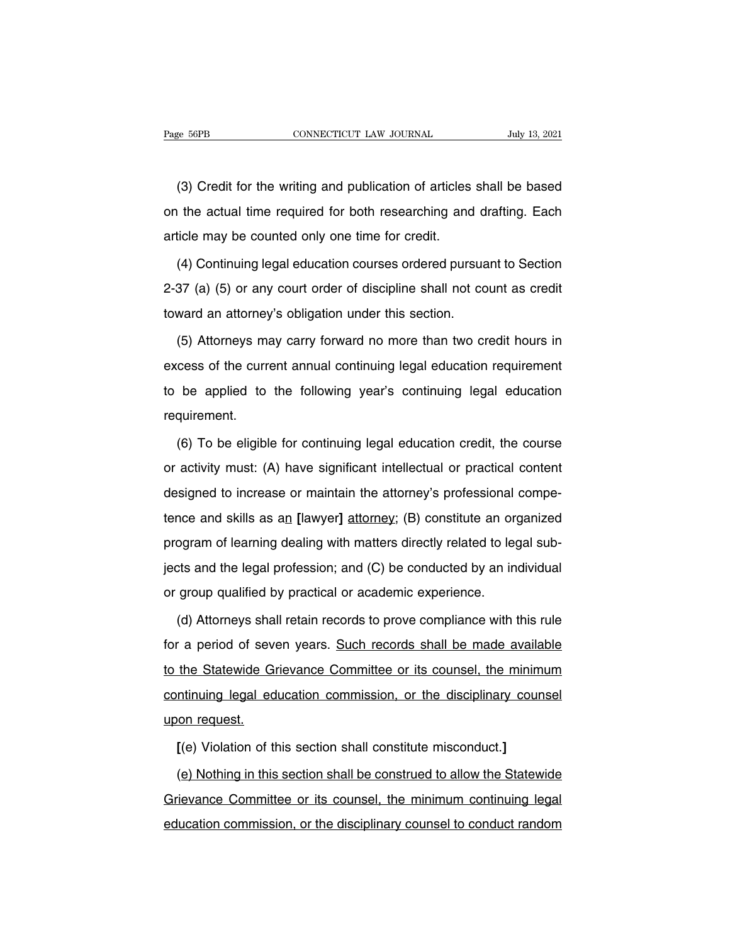CONNECTICUT LAW JOURNAL July 13, 2021<br>(3) Credit for the writing and publication of articles shall be based<br>the actual time required for both researching and drafting. Each Page 56PB CONNECTICUT LAW JOURNAL July 13, 2021<br>
(3) Credit for the writing and publication of articles shall be based<br>
on the actual time required for both researching and drafting. Each<br>
article may be counted only one t (3) Credit for the writing and publication of articles<br>on the actual time required for both researching and<br>article may be counted only one time for credit.<br>(4) Continuing legal education courses ordered purs (3) Credit for the writing and publication of articles shall be based<br>
the actual time required for both researching and drafting. Each<br>
ticle may be counted only one time for credit.<br>
(4) Continuing legal education cours

on the actual time required for both researching and drafting. Each<br>article may be counted only one time for credit.<br>(4) Continuing legal education courses ordered pursuant to Section<br>2-37 (a) (5) or any court order of dis article may be counted only one time for credit.<br>
(4) Continuing legal education courses ordered pursua<br>
2-37 (a) (5) or any court order of discipline shall not co<br>
toward an attorney's obligation under this section.<br>
(5) (4) Continuing legal education courses ordered pursuant to Section<br>37 (a) (5) or any court order of discipline shall not count as credit<br>ward an attorney's obligation under this section.<br>(5) Attorneys may carry forward no

2-37 (a) (5) or any court order of discipline shall not count as credit<br>toward an attorney's obligation under this section.<br>(5) Attorneys may carry forward no more than two credit hours in<br>excess of the current annual cont toward an attorney's obligation under this section.<br>
(5) Attorneys may carry forward no more than two credit hours in<br>
excess of the current annual continuing legal education requirement<br>
to be applied to the following yea requirement. (explored to the current annual continuing legal education requirement<br>be applied to the following year's continuing legal education<br>quirement.<br>(6) To be eligible for continuing legal education credit, the course<br>activity

to be applied to the following year's continuing legal education<br>requirement.<br>(6) To be eligible for continuing legal education credit, the course<br>or activity must: (A) have significant intellectual or practical content<br>de requirement.<br>
(6) To be eligible for continuing legal education credit, the course<br>
or activity must: (A) have significant intellectual or practical content<br>
designed to increase or maintain the attorney's professional com (6) To be eligible for continuing legal education credit, the course<br>or activity must: (A) have significant intellectual or practical content<br>designed to increase or maintain the attorney's professional compe-<br>tence and sk program of learning dealing in the learning of the state of example or activity must: (A) have significant intellectual or practical content designed to increase or maintain the attorney's professional competence and skill designed to increase or maintain the attorney's professional competence and skills as an [lawyer] attorney; (B) constitute an organized program of learning dealing with matters directly related to legal subjects and the le designed to increase of maintain the ditemby o protectional<br>tence and skills as an [lawyer] attorney; (B) constitute an org<br>program of learning dealing with matters directly related to leg<br>jects and the legal profession; a ogram of learning dealing with matters directly related to legal sub-<br>ts and the legal profession; and (C) be conducted by an individual<br>group qualified by practical or academic experience.<br>(d) Attorneys shall retain recor

jects and the legal profession; and (C) be conducted by an individual<br>or group qualified by practical or academic experience.<br>(d) Attorneys shall retain records to prove compliance with this rule<br>for a period of seven year or group qualified by practical or academic experience.<br>
(d) Attorneys shall retain records to prove compliance with this rule<br>
for a period of seven years. Such records shall be made available<br>
to the Statewide Grievance (d) Attorneys shall retain records to prove compliance with this rule<br>for a period of seven years. Such records shall be made available<br>to the Statewide Grievance Committee or its counsel, the minimum<br>continuing legal educ (d) Michicyc chart<br>for a period of severto the Statewide Gift<br>continuing legal ed<br>upon request.<br>[(e) Violation of the The Statewide Grievance Committee or its counsel, the minimum<br>
Intinuing legal education commission, or the disciplinary coun<br>
I(e) Violation of this section shall constitute misconduct.]<br>
(e) Nothing in this section shall mtinuing legal education commission, or the disciplinary counsel<br>on request.<br>(e) Violation of this section shall constitute misconduct.]<br>(e) Nothing in this section shall be construed to allow the Statewide<br>rievance Commit

quance request.<br>
(e) Violation of this section shall constitute misconduct.]<br>
(e) Nothing in this section shall be construed to allow the Statewide<br>
Grievance Committee or its counsel, the minimum continuing legal<br>
educati [(e) Violation of this section shall constitute misconduct.]<br>
(e) Nothing in this section shall be construed to allow the Statewide<br>
Grievance Committee or its counsel, the minimum continuing legal<br>
education commission, o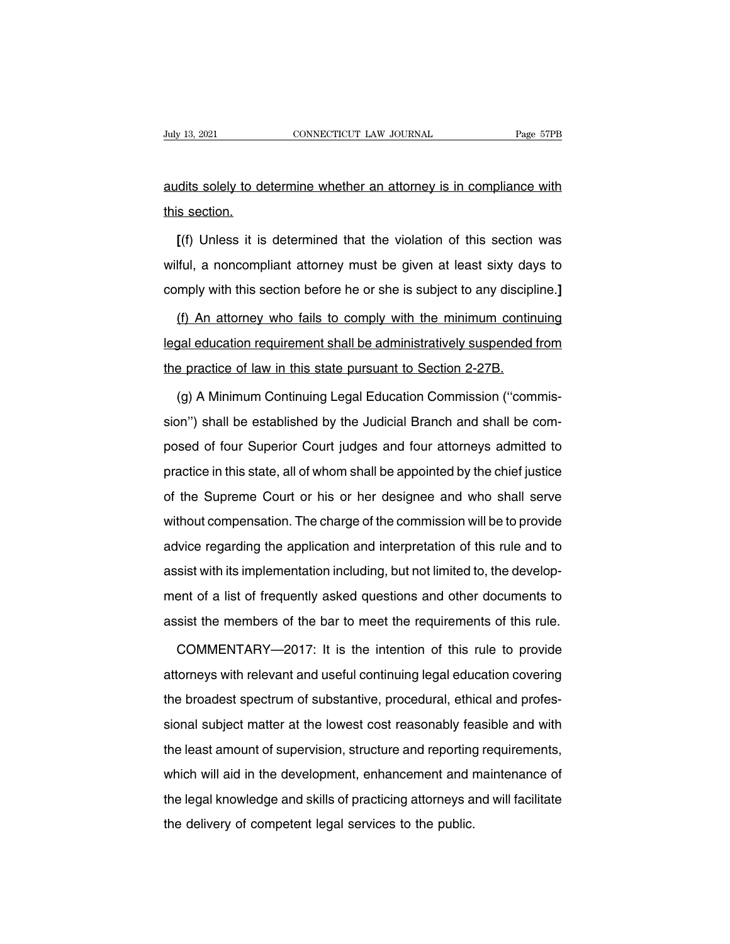July 13, 2021 CONNECTICUT LAW JOURNAL Page 57PB<br>audits solely to determine whether an attorney is in compliance with<br>this section. July 13, 2021<br>**audits solely to denot**<br>this section.<br>**[**(f) Unless it is

**follow in the interpolant of the section of this section.**<br> **[(f)** Unless it is determined that the violation of this section was<br> **[ful, a noncompliant attorney must be given at least sixty days to** audits solely to determine whether an attorney is in compliance with<br>this section.<br>[(f) Unless it is determined that the violation of this section was<br>wilful, a noncompliant attorney must be given at least sixty days to<br>co this section.<br>
[(f) Unless it is determined that the violation of this section was<br>
wilful, a noncompliant attorney must be given at least sixty days to<br>
comply with this section before he or she is subject to any discipli [(f) Unless it is determined that the violation of this section was<br>Iful, a noncompliant attorney must be given at least sixty days to<br>mply with this section before he or she is subject to any discipline.]<br>(f) An attorney

wilful, a noncompliant attorney must be given at least sixty days to<br>comply with this section before he or she is subject to any discipline.]<br>(f) An attorney who fails to comply with the minimum continuing<br>legal education comply with this section before he or she is subject to any discipl<br>
(f) An attorney who fails to comply with the minimum contin<br>
legal education requirement shall be administratively suspended<br>
the practice of law in this (f) An attorney who fails to comply with the minimum continuing<br>gal education requirement shall be administratively suspended from<br>e practice of law in this state pursuant to Section 2-27B.<br>(g) A Minimum Continuing Legal E

legal education requirement shall be administratively suspended from<br>the practice of law in this state pursuant to Section 2-27B.<br>(g) A Minimum Continuing Legal Education Commission ("commis-<br>sion") shall be established by the practice of law in this state pursuant to Section 2-27B.<br>
(g) A Minimum Continuing Legal Education Commission ("commis-<br>
sion") shall be established by the Judicial Branch and shall be com-<br>
posed of four Superior Cour (g) A Minimum Continuing Legal Education Commission ("commission") shall be established by the Judicial Branch and shall be composed of four Superior Court judges and four attorneys admitted to practice in this state, all sion") shall be established by the Judicial Branch and shall be com-<br>posed of four Superior Court judges and four attorneys admitted to<br>practice in this state, all of whom shall be appointed by the chief justice<br>of the Su posed of four Superior Court judges and four attorneys admitted to<br>practice in this state, all of whom shall be appointed by the chief justice<br>of the Supreme Court or his or her designee and who shall serve<br>without compens practice in this state, all of whom shall be appointed by the chief justice<br>of the Supreme Court or his or her designee and who shall serve<br>without compensation. The charge of the commission will be to provide<br>advice regar assist with its sixte, an or whom shall be appointed by the official server of the Supreme Court or his or her designee and who shall server without compensation. The charge of the commission will be to provide advice rega without compensation. The charge of the commission will be to provide<br>advice regarding the application and interpretation of this rule and to<br>assist with its implementation including, but not limited to, the develop-<br>ment advice regarding the application and interpretation of this rule and to<br>assist with its implementation including, but not limited to, the develop-<br>ment of a list of frequently asked questions and other documents to<br>assist sist with its implementation including, but not limited to, the developent of a list of frequently asked questions and other documents to sist the members of the bar to meet the requirements of this rule.<br>COMMENTARY—2017:

ment of a list of frequently asked questions and other documents to<br>assist the members of the bar to meet the requirements of this rule.<br>COMMENTARY—2017: It is the intention of this rule to provide<br>attorneys with relevant ment of a list of frequently asked questions and other documents to<br>assist the members of the bar to meet the requirements of this rule.<br>COMMENTARY—2017: It is the intention of this rule to provide<br>attorneys with relevant COMMENTARY—2017: It is the intention of this rule to provide<br>attorneys with relevant and useful continuing legal education covering<br>the broadest spectrum of substantive, procedural, ethical and profes-<br>sional subject matte EXAMPLE AND THE READ INTERTATION THE READ TRIST AND READ ART ATTOM ATTOM Attorneys with relevant and useful continuing legal education covering the broadest spectrum of substantive, procedural, ethical and professional sub the broadest spectrum of substantive, procedural, ethical and professional subject matter at the lowest cost reasonably feasible and with the least amount of supervision, structure and reporting requirements, which will ai the broadcet opectraff of substantive, procedural, stringar and protectional subject matter at the lowest cost reasonably feasible and with the least amount of supervision, structure and reporting requirements, which will the least amount of supervision, structure and reporting<br>which will aid in the development, enhancement and r<br>the legal knowledge and skills of practicing attorneys a<br>the delivery of competent legal services to the public.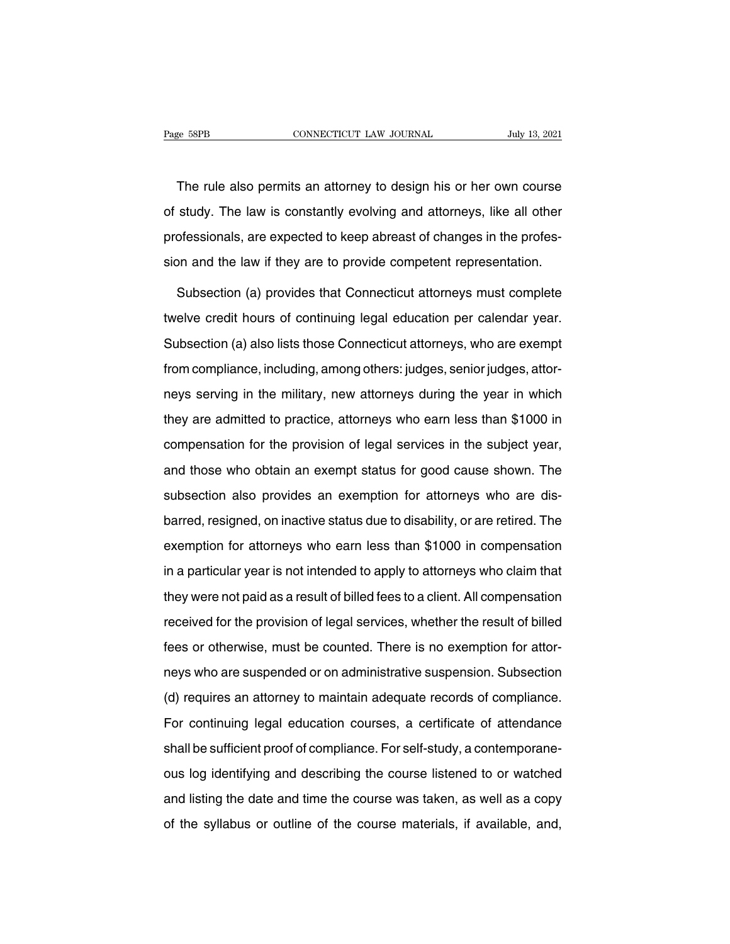The rule also permits an attorney to design his or her own course<br>study. The law is constantly evolving and attorneys, like all other Page 58PB CONNECTICUT LAW JOURNAL July 13, 2021<br>The rule also permits an attorney to design his or her own course<br>of study. The law is constantly evolving and attorneys, like all other<br>professionals, are expected to keep a The rule also permits an attorney to design his or her own course<br>of study. The law is constantly evolving and attorneys, like all other<br>professionals, are expected to keep abreast of changes in the profes-<br>sion and the la The rule also permits an attorney to design his or her own course<br>of study. The law is constantly evolving and attorneys, like all other<br>professionals, are expected to keep abreast of changes in the profes-<br>sion and the la study. The law is constantly evolving and attorneys, like all other<br>ofessionals, are expected to keep abreast of changes in the profes-<br>on and the law if they are to provide competent representation.<br>Subsection (a) provide

professionals, are expected to keep abreast of changes in the profession and the law if they are to provide competent representation.<br>Subsection (a) provides that Connecticut attorneys must complete twelve credit hours of sion and the law if they are to provide competent representation.<br>Subsection (a) provides that Connecticut attorneys must complete<br>twelve credit hours of continuing legal education per calendar year.<br>Subsection (a) also li Subsection (a) provides that Connecticut attorneys must complete<br>twelve credit hours of continuing legal education per calendar year.<br>Subsection (a) also lists those Connecticut attorneys, who are exempt<br>from compliance, i twelve credit hours of continuing legal education per calendar year.<br>Subsection (a) also lists those Connecticut attorneys, who are exempt<br>from compliance, including, among others: judges, senior judges, attor-<br>neys servin Subsection (a) also lists those Connecticut attorneys, who are exempt<br>from compliance, including, among others: judges, senior judges, attor-<br>neys serving in the military, new attorneys during the year in which<br>they are ad from compliance, including, among others: judges, senior judges, attor-<br>neys serving in the military, new attorneys during the year in which<br>they are admitted to practice, attorneys who earn less than \$1000 in<br>compensation mere emplanties, including, antengenties, pages, enter, jury, and they are admitted to practice, attorneys who earn less than \$1000 in compensation for the provision of legal services in the subject year, and those who obt neys serving in the military, new attorneys during the year in which<br>they are admitted to practice, attorneys who earn less than \$1000 in<br>compensation for the provision of legal services in the subject year,<br>and those who barred, on inaction of legal services in the subject year,<br>and those who obtain an exempt status for good cause shown. The<br>subsection also provides an exemption for attorneys who are dis-<br>barred, resigned, on inactive stat exemption for any premeter energy extracts in the subject join,<br>and those who obtain an exempt status for good cause shown. The<br>subsection also provides an exemption for attorneys who are dis-<br>barred, resigned, on inactive subsection also provides an exemption for attorneys who are dis-<br>barred, resigned, on inactive status due to disability, or are retired. The<br>exemption for attorneys who earn less than \$1000 in compensation<br>in a particular barred, resigned, on inactive status due to disability, or are retired. The<br>exemption for attorneys who earn less than \$1000 in compensation<br>in a particular year is not intended to apply to attorneys who claim that<br>they we exemption for attorneys who earn less than \$1000 in compensation<br>in a particular year is not intended to apply to attorneys who claim that<br>they were not paid as a result of billed fees to a client. All compensation<br>receive from premise. The call these many of the components in a particular year is not intended to apply to attorneys who claim that<br>they were not paid as a result of billed fees to a client. All compensation<br>received for the pro they were not paid as a result of billed fees to a client. All compensation<br>received for the provision of legal services, whether the result of billed<br>fees or otherwise, must be counted. There is no exemption for attor-<br>ne The matter and account of an attorney in a complement of billed<br>fees or otherwise, must be counted. There is no exemption for attor-<br>neys who are suspended or on administrative suspension. Subsection<br>(d) requires an attorn For content and processes are there is no exemption for attor-<br>neys who are suspended or on administrative suspension. Subsection<br>(d) requires an attorney to maintain adequate records of compliance.<br>For continuing legal ed shall be sufficient proof of compliance. For self-study, a contemporane-<br>out log different proof of compliance.<br>For continuing legal education courses, a certificate of attendance<br>shall be sufficient proof of compliance. F (d) requires an attorney to maintain adequate records of compliance.<br>For continuing legal education courses, a certificate of attendance<br>shall be sufficient proof of compliance. For self-study, a contemporane-<br>ous log iden For continuing legal education courses, a certificate of attendance<br>shall be sufficient proof of compliance. For self-study, a contemporane-<br>ous log identifying and describing the course listened to or watched<br>and listing of the sufficient proof of compliance. For self-study, a contemporane-<br>ous log identifying and describing the course listened to or watched<br>and listing the date and time the course was taken, as well as a copy<br>of the sylla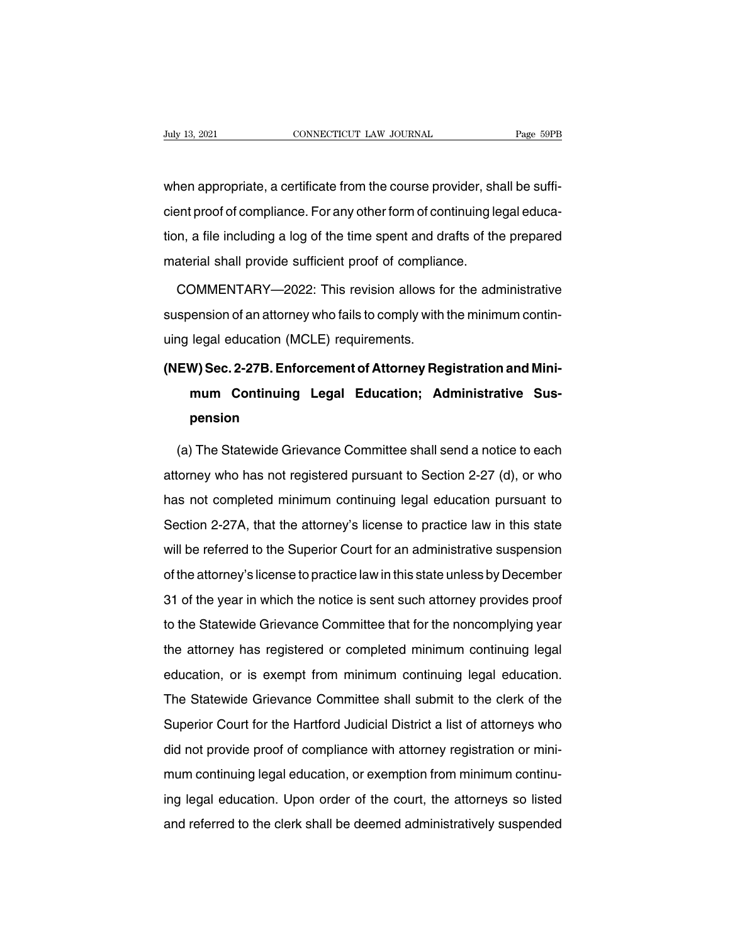Vuly 13, 2021<br>CONNECTICUT LAW JOURNAL Page 59PB<br>When appropriate, a certificate from the course provider, shall be suffi-<br>Cient proof of compliance. For any other form of continuing legal educa-CONNECTICUT LAW JOURNAL Page 59PB<br>when appropriate, a certificate from the course provider, shall be suffi-<br>cient proof of compliance. For any other form of continuing legal educa-<br>tion, a file including a log of the time when appropriate, a certificate from the course provider, shall be suffi-<br>cient proof of compliance. For any other form of continuing legal educa-<br>tion, a file including a log of the time spent and drafts of the prepared<br>m when appropriate, a certificate from the course provider, shall proof of compliance. For any other form of continuing lead<br>tion, a file including a log of the time spent and drafts of the<br>material shall provide sufficient ent proof of compliance. For any other form of continuing legal educa-<br>n, a file including a log of the time spent and drafts of the prepared<br>aterial shall provide sufficient proof of compliance.<br>COMMENTARY—2022: This revi

tion, a file including a log of the time spent and drafts of the prepared<br>material shall provide sufficient proof of compliance.<br>COMMENTARY—2022: This revision allows for the administrative<br>suspension of an attorney who fa material shall provide sufficient proof of compliar<br>COMMENTARY—2022: This revision allows for<br>suspension of an attorney who fails to comply with<br>uing legal education (MCLE) requirements.<br>(NEW) Sec. 2-27B. Enforcement of At COMMENTARY—2022: This revision allows for the administrative<br>suspension of an attorney who fails to comply with the minimum contin-<br>uing legal education (MCLE) requirements.<br>**(NEW) Sec. 2-27B. Enforcement of Attorney Regis** 

## ension of an attorney who fails to comply with the minimum contin-<br>
legal education (MCLE) requirements.<br> **W) Sec. 2-27B. Enforcement of Attorney Registration and Mini-<br>
mum Continuing Legal Education; Administrative Sus-<br> pension** EW) Sec. 2-27B. Enforcement of Attorney Registration and Mini-<br>mum Continuing Legal Education; Administrative Sus-<br>pension<br>(a) The Statewide Grievance Committee shall send a notice to each<br>torney who has not registered pur

mum Continuing Legal Education; Administrative Sus-<br>pension<br>(a) The Statewide Grievance Committee shall send a notice to each<br>attorney who has not registered pursuant to Section 2-27 (d), or who<br>has not completed minimum c pension<br>
(a) The Statewide Grievance Committee shall send a notice to each<br>
attorney who has not registered pursuant to Section 2-27 (d), or who<br>
has not completed minimum continuing legal education pursuant to<br>
Section 2-(a) The Statewide Grievance Committee shall send a notice to each<br>attorney who has not registered pursuant to Section 2-27 (d), or who<br>has not completed minimum continuing legal education pursuant to<br>Section 2-27A, that th (a) the statemas shotanes sommitted shall bend a holds to start<br>attorney who has not registered pursuant to Section 2-27 (d), or who<br>has not completed minimum continuing legal education pursuant to<br>Section 2-27A, that the has not completed minimum continuing legal education pursuant to<br>Section 2-27A, that the attorney's license to practice law in this state<br>will be referred to the Superior Court for an administrative suspension<br>of the atto Section 2-27A, that the attorney's license to practice law in this state<br>Section 2-27A, that the attorney's license to practice law in this state<br>will be referred to the Superior Court for an administrative suspension<br>of t obtation E ETA, that the attempt y shocked to practice taw in this state<br>will be referred to the Superior Court for an administrative suspension<br>of the attorney's license to practice law in this state unless by December<br>31 of the attorney's license to practice law in this state unless by December<br>31 of the year in which the notice is sent such attorney provides proof<br>to the Statewide Grievance Committee that for the noncomplying year<br>the att education, or is exempt from minimum continuing legal education, or is exempt from minimum continuing legal education.<br>The Statewide Grievance Committee that for the noncomplying year the attorney has registered or complet The Statewide Grievance Committee that for the noncomplying year<br>the attorney has registered or completed minimum continuing legal<br>education, or is exempt from minimum continuing legal education.<br>The Statewide Grievance Co The attorney has registered or completed minimum continuing legal<br>education, or is exempt from minimum continuing legal education.<br>The Statewide Grievance Committee shall submit to the clerk of the<br>Superior Court for the H the attorney has registered or completed minimum continuing legal<br>education, or is exempt from minimum continuing legal education.<br>The Statewide Grievance Committee shall submit to the clerk of the<br>Superior Court for the H The Statewide Grievance Committee shall submit to the clerk of the Superior Court for the Hartford Judicial District a list of attorneys who did not provide proof of compliance with attorney registration or minimum continu Superior Court for the Hartford Judicial District a list of attorneys who<br>did not provide proof of compliance with attorney registration or mini-<br>mum continuing legal education, or exemption from minimum continu-<br>ing legal did not provide proof of compliance with attorney registration or mini-<br>and referred to the clerk shall be deemed administratively suspended<br>and referred to the clerk shall be deemed administratively suspended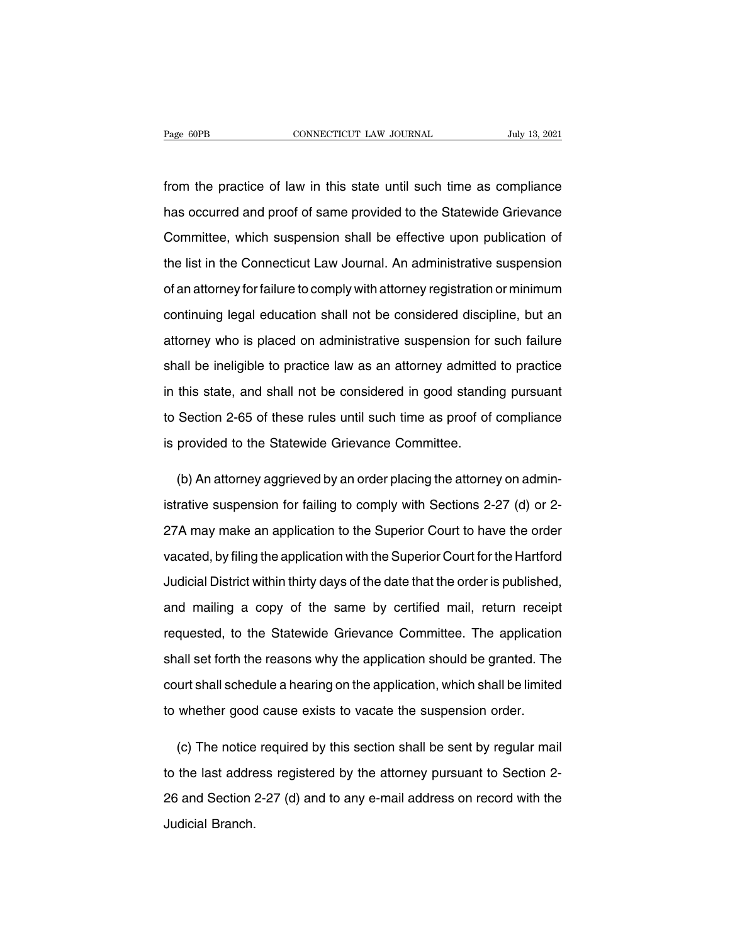Fage 60PB<br>
CONNECTICUT LAW JOURNAL<br>
from the practice of law in this state until such time as compliance<br>
has occurred and proof of same provided to the Statewide Grievance has occurred and proof of same provided to the Statewide Grievance<br>Committee, which suspension shall be effective upon publication of from the practice of law in this state until such time as compliance<br>has occurred and proof of same provided to the Statewide Grievance<br>Committee, which suspension shall be effective upon publication of<br>the list in the Con from the practice of law in this state until such time as compliance<br>has occurred and proof of same provided to the Statewide Grievance<br>Committee, which suspension shall be effective upon publication of<br>the list in the Con has occurred and proof of same provided to the Statewide Grievance<br>Committee, which suspension shall be effective upon publication of<br>the list in the Connecticut Law Journal. An administrative suspension<br>of an attorney for Committee, which suspension shall be effective upon publication of<br>the list in the Connecticut Law Journal. An administrative suspension<br>of an attorney for failure to comply with attorney registration or minimum<br>continuing the list in the Connecticut Law Journal. An administrative suspension<br>of an attorney for failure to comply with attorney registration or minimum<br>continuing legal education shall not be considered discipline, but an<br>attorne of an attorney for failure to comply with attorney registration or minimum<br>continuing legal education shall not be considered discipline, but an<br>attorney who is placed on administrative suspension for such failure<br>shall be continuing legal education shall not be considered discipline, but an<br>attorney who is placed on administrative suspension for such failure<br>shall be ineligible to practice law as an attorney admitted to practice<br>in this sta attorney who is placed on administrative suspension for such failure<br>shall be ineligible to practice law as an attorney admitted to practice<br>in this state, and shall not be considered in good standing pursuant<br>to Section 2 attorney who is placed on administrative suspension for such failure<br>shall be ineligible to practice law as an attorney admitted to practice<br>in this state, and shall not be considered in good standing pursuant<br>to Section 2

istrative suspension for failing to comply with Sections 2-27 (d) or 2to Section 2-65 of these rules until such time as proof of compliance<br>is provided to the Statewide Grievance Committee.<br>(b) An attorney aggrieved by an order placing the attorney on admin-<br>istrative suspension for failing is provided to the Statewide Grievance Committee.<br>
(b) An attorney aggrieved by an order placing the attorney on administrative suspension for failing to comply with Sections 2-27 (d) or 2-<br>
27A may make an application to (b) An attorney aggrieved by an order placing the attorney on administrative suspension for failing to comply with Sections 2-27 (d) or 2-<br>27A may make an application to the Superior Court to have the order<br>vacated, by fil Interactive suspension for failing to comply with Sections 2-27 (d) or 2-<br>27A may make an application to the Superior Court to have the order<br>vacated, by filing the application with the Superior Court for the Hartford<br>Judi 27A may make an application to the Superior Court to have the order<br>vacated, by filing the application with the Superior Court for the Hartford<br>Judicial District within thirty days of the date that the order is published,<br> vacated, by filing the application with the Superior Court for the Hartford<br>Judicial District within thirty days of the date that the order is published,<br>and mailing a copy of the same by certified mail, return receipt<br>req Judicial District within thirty days of the date that the order is published,<br>and mailing a copy of the same by certified mail, return receipt<br>requested, to the Statewide Grievance Committee. The application<br>shall set fort and mailing a copy of the same by certified mail, return receipt<br>requested, to the Statewide Grievance Committee. The application<br>shall set forth the reasons why the application should be granted. The<br>court shall schedule The application<br>shall set forth the reasons why the application should be granted. The<br>court shall schedule a hearing on the application, which shall be limited<br>to whether good cause exists to vacate the suspension order. all set forth the reasons why the application should be granted. The<br>urt shall schedule a hearing on the application, which shall be limited<br>whether good cause exists to vacate the suspension order.<br>(c) The notice required

to whether good cause exists to vacate the suspension order.<br>
(c) The notice required by this section shall be sent by regular mail<br>
to the last address registered by the attorney pursuant to Section 2-<br>
26 and Section 2-2 to whether good cause exists to vacate the suspension order.<br>
(c) The notice required by this section shall be sent by regular mail<br>
to the last address registered by the attorney pursuant to Section 2-<br>
26 and Section 2-2 (c) The notice<br>to the last addre<br>26 and Section :<br>Judicial Branch.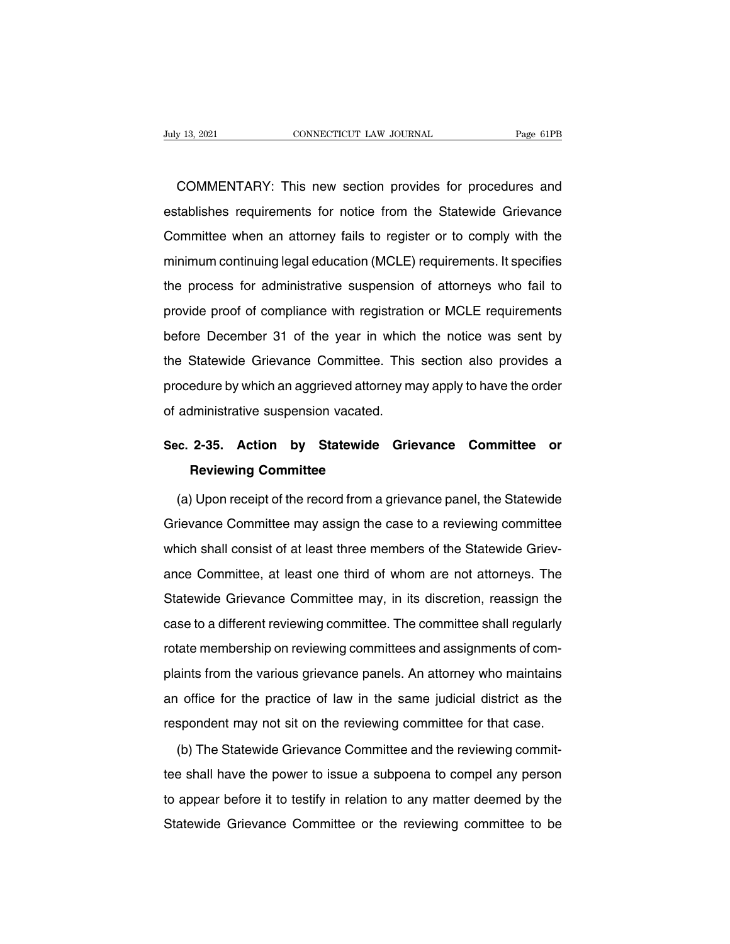EXECUTE THE CONNECTICUT CONNECTICUT LAW JOURNAL Trage 61PB<br>COMMENTARY: This new section provides for procedures and<br>tablishes requirements for notice from the Statewide Grievance Fage 61PB<br>COMMENTARY: This new section provides for procedures and<br>establishes requirements for notice from the Statewide Grievance<br>Committee when an attorney fails to register or to comply with the COMMENTARY: This new section provides for procedures and<br>establishes requirements for notice from the Statewide Grievance<br>Committee when an attorney fails to register or to comply with the<br>minimum continuing legal educatio COMMENTARY: This new section provides for procedures and<br>establishes requirements for notice from the Statewide Grievance<br>Committee when an attorney fails to register or to comply with the<br>minimum continuing legal educatio Examples for administrative for a Statewide Grievance<br>Committee when an attorney fails to register or to comply with the<br>minimum continuing legal education (MCLE) requirements. It specifies<br>the process for administrative s Committee when an attorney fails to register or to comply with the minimum continuing legal education (MCLE) requirements. It specifies the process for administrative suspension of attorneys who fail to provide proof of co before means and alternative suspension of the sempty with the minimum continuing legal education (MCLE) requirements. It specifies the process for administrative suspension of attorneys who fail to provide proof of compli the process for administrative suspension of attorneys who fail to<br>provide proof of compliance with registration or MCLE requirements<br>before December 31 of the year in which the notice was sent by<br>the Statewide Grievance C provide proof of compliance with registration or MCLE requirements<br>before December 31 of the year in which the notice was sent by<br>the Statewide Grievance Committee. This section also provides a<br>procedure by which an aggrie before December 31 of the year in which<br>the Statewide Grievance Committee. This<br>procedure by which an aggrieved attorney m<br>of administrative suspension vacated. Ithe Statewide Grievance Committee. This section also provides a<br>procedure by which an aggrieved attorney may apply to have the order<br>of administrative suspension vacated.<br>Sec. 2-35. Action by Statewide Grievance Committee ED Exteed attorns during the an aggrieved attorns durinist<br> **Reviewing Committee<br>
Reviewing Committee**<br>
Reviewing Committee<br>
Reviewing Committee

(a) Upon receipt of the record from a grievance Committee or<br>
(a) Upon receipt of the record from a grievance panel, the Statewide<br>
(a) Upon receipt of the record from a grievance panel, the Statewide<br>
rievance Committee m Sec. 2-35. Action by Statewide Grievance Committee or<br>Reviewing Committee<br>(a) Upon receipt of the record from a grievance panel, the Statewide<br>Grievance Committee may assign the case to a reviewing committee<br>which shall co Reviewing Committee<br>
(a) Upon receipt of the record from a grievance panel, the Statewide<br>
Grievance Committee may assign the case to a reviewing committee<br>
which shall consist of at least three members of the Statewide Gr (a) Upon receipt of the record from a grievance panel, the Statewide<br>Grievance Committee may assign the case to a reviewing committee<br>which shall consist of at least three members of the Statewide Griev-<br>ance Committee, at Grievance Committee may assign the case to a reviewing committee<br>which shall consist of at least three members of the Statewide Griev-<br>ance Committee, at least one third of whom are not attorneys. The<br>Statewide Grievance C which shall consist of at least three members of the Statewide Grievance Committee, at least one third of whom are not attorneys. The Statewide Grievance Committee may, in its discretion, reassign the case to a different r which shall consist of at least three members of the Statewide Grievance Committee, at least one third of whom are not attorneys. The Statewide Grievance Committee may, in its discretion, reassign the case to a different r Statewide Grievance Committee may, in its discretion, reassign the<br>case to a different reviewing committee. The committee shall regularly<br>rotate membership on reviewing committees and assignments of com-<br>plaints from the v case to a different reviewing committee. The committee shall regularly<br>rotate membership on reviewing committees and assignments of com-<br>plaints from the various grievance panels. An attorney who maintains<br>an office for th rotate membership on reviewing committees and assignments of com-<br>plaints from the various grievance panels. An attorney who maintains<br>an office for the practice of law in the same judicial district as the<br>respondent may n (b) The Statewide Grievance panels. An attorney who maintains<br>(b) office for the practice of law in the same judicial district as the<br>spondent may not sit on the reviewing committee for that case.<br>(b) The Statewide Grievan

an office for the practice of law in the same judicial district as the<br>respondent may not sit on the reviewing committee for that case.<br>(b) The Statewide Grievance Committee and the reviewing commit-<br>tee shall have the pow the state with presence of tark in the came jackset testify its three prespondent may not sit on the reviewing committee for that case.<br>(b) The Statewide Grievance Committee and the reviewing committee shall have the power (b) The Statewide Grievance Committee and the reviewing commit-<br>tee shall have the power to issue a subpoena to compel any person<br>to appear before it to testify in relation to any matter deemed by the<br>Statewide Grievance C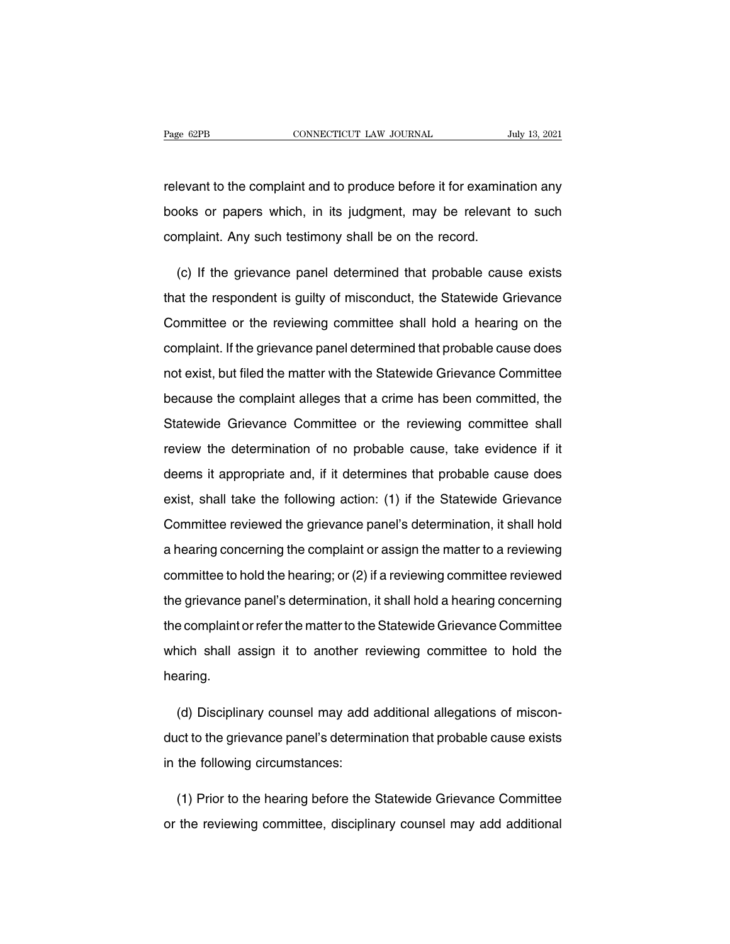Page 62PB<br>
cONNECTICUT LAW JOURNAL July 13, 2021<br>
relevant to the complaint and to produce before it for examination any<br>
books or papers which, in its judgment, may be relevant to such Page 62PB CONNECTICUT LAW JOURNAL July 13, 2021<br>
relevant to the complaint and to produce before it for examination any<br>
books or papers which, in its judgment, may be relevant to such<br>
complaint. Any such testimony shall relevant to the complaint and to produce before it for examination.<br>
books or papers which, in its judgment, may be relevant<br>
complaint. Any such testimony shall be on the record. (evant to the complaint and to produce before it for examination any<br>oks or papers which, in its judgment, may be relevant to such<br>mplaint. Any such testimony shall be on the record.<br>(c) If the grievance panel determined t

that the respondent is guilty of misconduct, the Statewide Grievance Committee or the respondent is guilty of misconduct, the Statewide Grievance Committee or the reviewing committee shall hold a hearing on the complaint. Any such testimony shall be on the record.<br>
(c) If the grievance panel determined that probable cause exists<br>
that the respondent is guilty of misconduct, the Statewide Grievance<br>
Committee or the reviewing comm (c) If the grievance panel determined that probable cause exists<br>that the respondent is guilty of misconduct, the Statewide Grievance<br>Committee or the reviewing committee shall hold a hearing on the<br>complaint. If the griev (c) it and griduated patient determined that probable cause once<br>that the respondent is guilty of misconduct, the Statewide Grievance<br>Committee or the reviewing committee shall hold a hearing on the<br>complaint. If the griev Committee or the reviewing committee shall hold a hearing on the<br>complaint. If the grievance panel determined that probable cause does<br>not exist, but filed the matter with the Statewide Grievance Committee<br>because the comp complaint. If the grievance panel determined that probable cause does<br>not exist, but filed the matter with the Statewide Grievance Committee<br>because the complaint alleges that a crime has been committed, the<br>Statewide Grie review that is the determined and pressure cause accent and pressure cause accent<br>not exist, but filed the matter with the Statewide Grievance Committee<br>because the complaint alleges that a crime has been committed, the<br>St deems it appropriate and, if it determines that probable cause is committed, the Statewide Grievance Committee or the reviewing committee shall review the determination of no probable cause, take evidence if it deems it ap Statewide Grievance Committee or the reviewing committee shall<br>review the determination of no probable cause, take evidence if it<br>deems it appropriate and, if it determines that probable cause does<br>exist, shall take the fo review the determination of no probable cause, take evidence if it<br>deems it appropriate and, if it determines that probable cause does<br>exist, shall take the following action: (1) if the Statewide Grievance<br>Committee review deems it appropriate and, if it determines that probable cause does<br>exist, shall take the following action: (1) if the Statewide Grievance<br>Committee reviewed the grievance panel's determination, it shall hold<br>a hearing con exist, shall take the following action: (1) if the Statewide Grievance<br>Committee reviewed the grievance panel's determination, it shall hold<br>a hearing concerning the complaint or assign the matter to a reviewing<br>committee Committee reviewed the grievance panel's determination, it shall hold<br>a hearing concerning the complaint or assign the matter to a reviewing<br>committee to hold the hearing; or (2) if a reviewing committee reviewed<br>the griev a hearing concerning the complaint or assign the matter to a reviewing<br>committee to hold the hearing; or (2) if a reviewing committee reviewed<br>the grievance panel's determination, it shall hold a hearing concerning<br>the com committee to hold the hearing; or (2) if a reviewing committee reviewed<br>the grievance panel's determination, it shall hold a hearing concerning<br>the complaint or refer the matter to the Statewide Grievance Committee<br>which s hearing. Exemplaint or refer the matter to the Statewide Grievance Committee<br>
ich shall assign it to another reviewing committee to hold the<br>
icaring.<br>
(d) Disciplinary counsel may add additional allegations of miscon-<br>
ct to the g

which shall assign it to another reviewing committee to hold the<br>hearing.<br>(d) Disciplinary counsel may add additional allegations of miscon-<br>duct to the grievance panel's determination that probable cause exists<br>in the fol hearing.<br>
(d) Disciplinary counsel may add a<br>
duct to the grievance panel's determin<br>
in the following circumstances:<br>
(d) B in the theory of the state of (d) Disciplinary counsel may add additional allegations of miscon-<br>
ct to the grievance panel's determination that probable cause exists<br>
the following circumstances:<br>
(1) Prior to the hearing before the Statewide Grievanc duct to the grievance panel's determination that probable cause exists<br>in the following circumstances:<br>(1) Prior to the hearing before the Statewide Grievance Committee<br>or the reviewing committee, disciplinary counsel may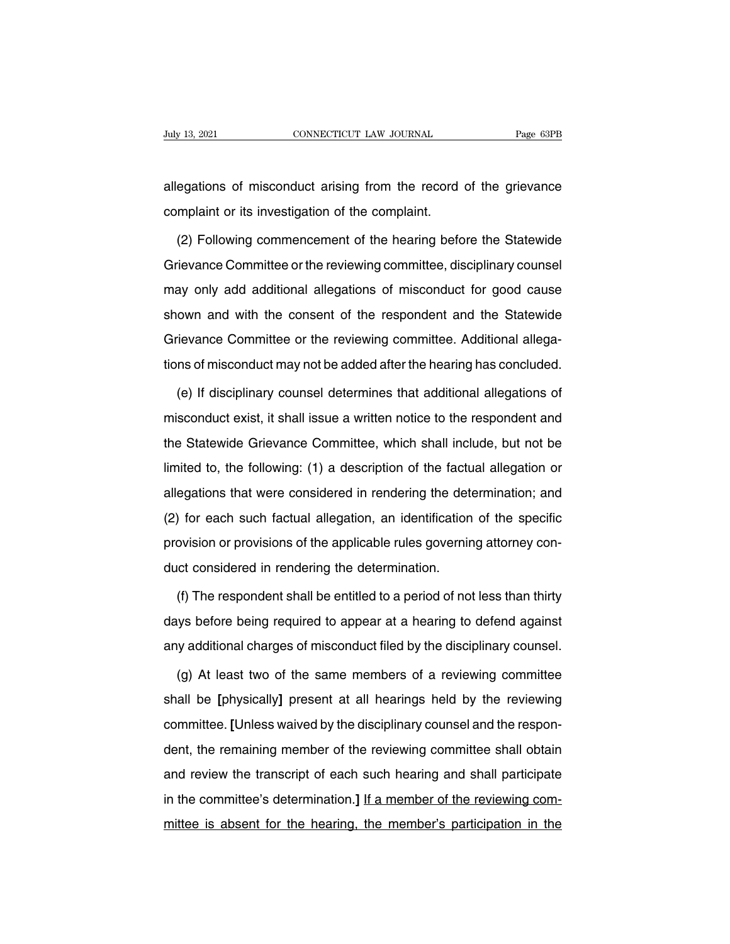Figure 3.2021<br>
allegations of misconduct arising from the record of the grievance<br>
complaint or its investigation of the complaint. CONNECTICUT LAW JOURNAL<br>
allegations of misconduct arising from the record<br>
complaint or its investigation of the complaint.<br>
(2) Following commencement of the hearing befo

egations of misconduct arising from the record of the grievance<br>mplaint or its investigation of the complaint.<br>(2) Following commencement of the hearing before the Statewide<br>rievance Committee or the reviewing committee, d allegations of misconduct arising from the record of the grievance<br>complaint or its investigation of the complaint.<br>(2) Following commencement of the hearing before the Statewide<br>Grievance Committee or the reviewing commit complaint or its investigation of the complaint.<br>
(2) Following commencement of the hearing before the Statewide<br>
Grievance Committee or the reviewing committee, disciplinary counsel<br>
may only add additional allegations of (2) Following commencement of the hearing before the Statewide<br>Grievance Committee or the reviewing committee, disciplinary counsel<br>may only add additional allegations of misconduct for good cause<br>shown and with the consen Grievance Committee or the reviewing committee, disciplinary counsel<br>may only add additional allegations of misconduct for good cause<br>shown and with the consent of the respondent and the Statewide<br>Grievance Committee or th the varios committed of the reviewing committed, disciplinary coaliser<br>thay only add additional allegations of misconduct for good cause<br>shown and with the consent of the respondent and the Statewide<br>Grievance Committee or (e) If disciplinary counsel determines that additional allegations of misconduct may not be added after the hearing has concluded.<br>(e) If disciplinary counsel determines that additional allegations of sconduct exist, it sh

Grievance Committee or the reviewing committee. Additional allegations of misconduct may not be added after the hearing has concluded.<br>
(e) If disciplinary counsel determines that additional allegations of misconduct exist tions of misconduct may not be added after the hearing has concluded.<br>
(e) If disciplinary counsel determines that additional allegations of<br>
misconduct exist, it shall issue a written notice to the respondent and<br>
the Sta (e) If disciplinary counsel determines that additional allegations of misconduct exist, it shall issue a written notice to the respondent and the Statewide Grievance Committee, which shall include, but not be limited to, t (c) it disciplinaty coalised actorratives that detailed and angulation of<br>misconduct exist, it shall issue a written notice to the respondent and<br>the Statewide Grievance Committee, which shall include, but not be<br>limited t the Statewide Grievance Committee, which shall include, but not be<br>limited to, the following: (1) a description of the factual allegation or<br>allegations that were considered in rendering the determination; and<br>(2) for each limited to, the following: (1) a description of the factual allegation or allegations that were considered in rendering the determination; and (2) for each such factual allegation, an identification of the specific provisi allegations that were considered in rendering the determinations that were considered in rendering the determination<br>provision or provisions of the applicable rules governing<br>duct considered in rendering the determination. (f) for each such factual allegation, an identification of the specific<br>ovision or provisions of the applicable rules governing attorney con-<br>act considered in rendering the determination.<br>(f) The respondent shall be entit

provision or provisions of the applicable rules governing attorney con-<br>duct considered in rendering the determination.<br>(f) The respondent shall be entitled to a period of not less than thirty<br>days before being required to duct considered in rendering the determination.<br>
(f) The respondent shall be entitled to a period of not less than thirty<br>
days before being required to appear at a hearing to defend against<br>
any additional charges of misc (f) The respondent shall be entitled to a period of not less than thirty<br>ys before being required to appear at a hearing to defend against<br>y additional charges of misconduct filed by the disciplinary counsel.<br>(g) At least

days before being required to appear at a hearing to defend against<br>any additional charges of misconduct filed by the disciplinary counsel.<br>(g) At least two of the same members of a reviewing committee<br>shall be [physically any additional charges of misconduct filed by the disciplinary counsel.<br>
(g) At least two of the same members of a reviewing committee<br>
shall be [physically] present at all hearings held by the reviewing<br>
committee. [Unles (g) At least two of the same members of a reviewing committee shall be [physically] present at all hearings held by the reviewing committee. [Unless waived by the disciplinary counsel and the respondent, the remaining memb shall be [physically] present at all hearings held by the reviewing<br>committee. [Unless waived by the disciplinary counsel and the respon-<br>dent, the remaining member of the reviewing committee shall obtain<br>and review the t committee. [Unless waived by the disciplinary counsel and the respondent, the remaining member of the reviewing committee shall obtain and review the transcript of each such hearing and shall participate in the committee's dent, the remaining member of the reviewing committee shall obtain<br>and review the transcript of each such hearing and shall participate<br>in the committee's determination.] If a member of the reviewing com-<br>mittee is absent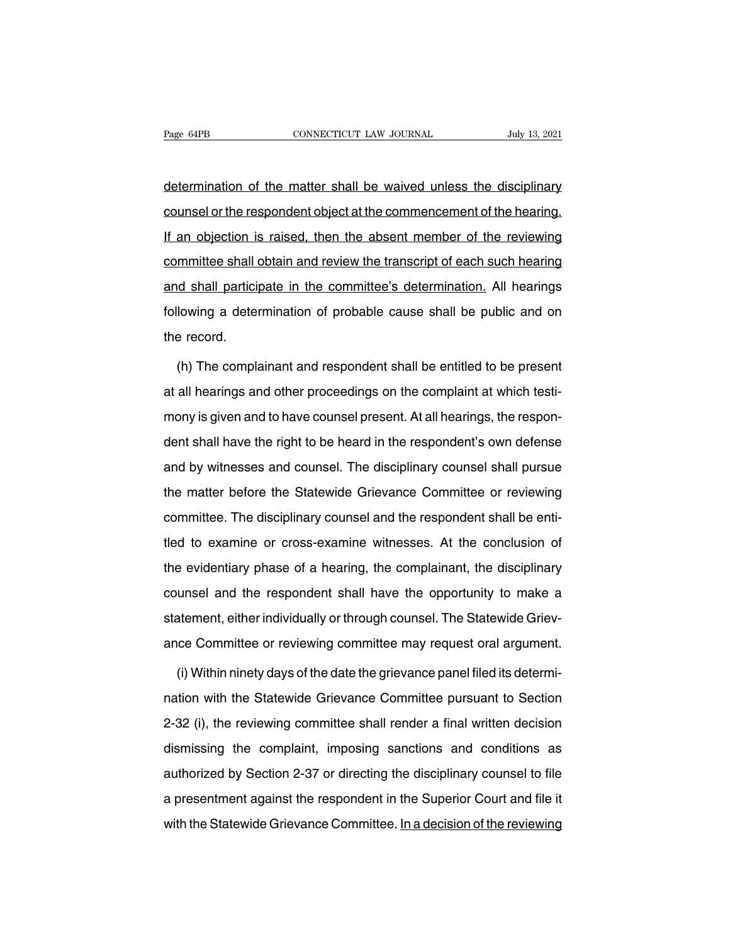Page 64PB<br>
CONNECTICUT LAW JOURNAL<br>
determination of the matter shall be waived unless the disciplinary<br>
counsel or the respondent object at the commencement of the hearing. Page 64PB CONNECTICUT LAW JOURNAL July 13, 2021<br>
determination of the matter shall be waived unless the disciplinary<br>
counsel or the respondent object at the commencement of the hearing.<br>
If an objection is raised, then th determination of the matter shall be waived unless the disciplinary<br>counsel or the respondent object at the commencement of the hearing.<br>If an objection is raised, then the absent member of the reviewing<br>committee shall ob determination of the matter shall be waived unless the disciplinary<br>counsel or the respondent object at the commencement of the hearing.<br>If an objection is raised, then the absent member of the reviewing<br>committee shall ob counsel or the respondent object at the commencement of the hearing.<br>If an objection is raised, then the absent member of the reviewing<br>committee shall obtain and review the transcript of each such hearing<br>and shall partic If an objection is raised, then the absent member of the reviewing<br>committee shall obtain and review the transcript of each such hearing<br>and shall participate in the committee's determination. All hearings<br>following a dete If an objection is raised, then the absent member of the reviewing<br>committee shall obtain and review the transcript of each such hearing<br>and shall participate in the committee's determination. All hearings<br>following a dete (d shall participate in the committee's determination. All hearings<br>lowing a determination of probable cause shall be public and on<br>e record.<br>(h) The complainant and respondent shall be entitled to be present<br>all hearings

following a determination of probable cause shall be public and on<br>the record.<br>(h) The complainant and respondent shall be entitled to be present<br>at all hearings and other proceedings on the complaint at which testi-<br>mony the record.<br>
(h) The complainant and respondent shall be entitled to be present<br>
at all hearings and other proceedings on the complaint at which testi-<br>
mony is given and to have counsel present. At all hearings, the respo (h) The complainant and respondent shall be entitled to be present<br>at all hearings and other proceedings on the complaint at which testi-<br>mony is given and to have counsel present. At all hearings, the respon-<br>dent shall h and by witnesses and other proceedings on the complaint at which testi-<br>mony is given and to have counsel present. At all hearings, the respon-<br>dent shall have the right to be heard in the respondent's own defense<br>and by w at all healings and enter preceedings on the complaint at milion tech<br>mony is given and to have counsel present. At all hearings, the respon-<br>dent shall have the right to be heard in the respondent's own defense<br>and by wit dent shall have the right to be heard in the respondent's own defense<br>and by witnesses and counsel. The disciplinary counsel shall pursue<br>the matter before the Statewide Grievance Committee or reviewing<br>committee. The disc and by witnesses and counsel. The disciplinary counsel shall pursue<br>the matter before the Statewide Grievance Committee or reviewing<br>committee. The disciplinary counsel and the respondent shall be enti-<br>tled to examine or the matter before the Statewide Grievance Committee or reviewing<br>committee. The disciplinary counsel and the respondent shall be enti-<br>tled to examine or cross-examine witnesses. At the conclusion of<br>the evidentiary phase committee. The disciplinary counsel and the respondent shall be entitled to examine or cross-examine witnesses. At the conclusion of the evidentiary phase of a hearing, the complainant, the disciplinary counsel and the res statement and the conclusion of the evidentiary phase of a hearing, the complainant, the disciplinary counsel and the respondent shall have the opportunity to make a statement, either individually or through counsel. The S ance to examine or erece examine inhibected via the complained or orientation of<br>the evidentiary phase of a hearing, the complainant, the disciplinary<br>counsel and the respondent shall have the opportunity to make a<br>stateme unsel and the respondent shall have the opportunity to make a<br>atement, either individually or through counsel. The Statewide Griev-<br>ice Committee or reviewing committee may request oral argument.<br>(i) Within ninety days of

statement, either individually or through counsel. The Statewide Grievance Committee or reviewing committee may request oral argument.<br>
(i) Within ninety days of the date the grievance panel filed its determination with th ance Committee or reviewing committee may request oral argument.<br>
(i) Within ninety days of the date the grievance panel filed its determi-<br>
nation with the Statewide Grievance Committee pursuant to Section<br>
2-32 (i), the (i) Within ninety days of the date the grievance panel filed its determination with the Statewide Grievance Committee pursuant to Section 2-32 (i), the reviewing committee shall render a final written decision dismissing t a presentment against the respondent in the Superior Count and tie it<br>applicantly provided by the reviewing committee shall render a final written decision<br>dismissing the complaint, imposing sanctions and conditions as<br>aut 2-32 (i), the reviewing committee shall render a final written decision<br>dismissing the complaint, imposing sanctions and conditions as<br>authorized by Section 2-37 or directing the disciplinary counsel to file<br>a presentment dismissing the complaint, imposing sanctions and conditions as<br>authorized by Section 2-37 or directing the disciplinary counsel to file<br>a presentment against the respondent in the Superior Court and file it<br>with the State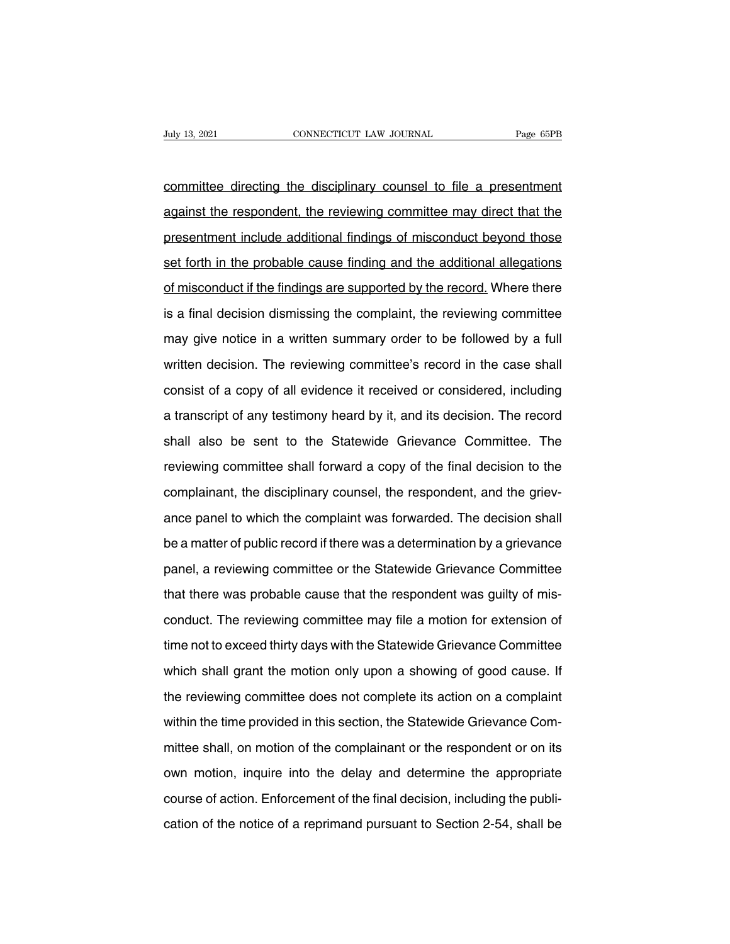Fuly 13, 2021<br>CONNECTICUT LAW JOURNAL Page 65PB<br>Committee directing the disciplinary counsel to file a presentment<br>against the respondent, the reviewing committee may direct that the Fage 65PB<br>
and the respondent of the disciplinary counsel to file a presentment<br>
against the respondent, the reviewing committee may direct that the<br>
presentment include additional findings of misconduct beyond those committee directing the disciplinary counsel to file a presentment<br>against the respondent, the reviewing committee may direct that the<br>presentment include additional findings of misconduct beyond those<br>set forth in the pro committee directing the disciplinary counsel to file a presentment<br>against the respondent, the reviewing committee may direct that the<br>presentment include additional findings of misconduct beyond those<br>set forth in the pro against the respondent, the reviewing committee may direct that the<br>presentment include additional findings of misconduct beyond those<br>set forth in the probable cause finding and the additional allegations<br>of misconduct if is a final decision dismissing the complaint, the reviewing dependence set forth in the probable cause finding and the additional allegations of misconduct if the findings are supported by the record. Where there is a fina extract forth in the probable cause finding and the additional allegations<br>of misconduct if the findings are supported by the record. Where there<br>is a final decision dismissing the complaint, the reviewing committee<br>may gi of misconduct if the findings are supported by the record. Where there<br>is a final decision dismissing the complaint, the reviewing committee<br>may give notice in a written summary order to be followed by a full<br>written decis is a final decision dismissing the complaint, the reviewing committee<br>may give notice in a written summary order to be followed by a full<br>written decision. The reviewing committee's record in the case shall<br>consist of a co may give notice in a written summary order to be followed by a full written decision. The reviewing committee's record in the case shall consist of a copy of all evidence it received or considered, including a transcript o written decision. The reviewing committee's record in the case shall<br>consist of a copy of all evidence it received or considered, including<br>a transcript of any testimony heard by it, and its decision. The record<br>shall also consist of a copy of all evidence it received or considered, including<br>a transcript of any testimony heard by it, and its decision. The record<br>shall also be sent to the Statewide Grievance Committee. The<br>reviewing committe a transcript of any testimony heard by it, and its decision. The record shall also be sent to the Statewide Grievance Committee. The reviewing committee shall forward a copy of the final decision to the complainant, the di shall also be sent to the Statewide Grievance Committee. The reviewing committee shall forward a copy of the final decision to the complainant, the disciplinary counsel, the respondent, and the grievance panel to which the reviewing committee shall forward a copy of the final decision to the<br>complainant, the disciplinary counsel, the respondent, and the griev-<br>ance panel to which the complaint was forwarded. The decision shall<br>be a matter of complainant, the disciplinary counsel, the respondent, and the grievance panel to which the complaint was forwarded. The decision shall be a matter of public record if there was a determination by a grievance panel, a revi ance panel to which the complaint was forwarded. The decision shall<br>be a matter of public record if there was a determination by a grievance<br>panel, a reviewing committee or the Statewide Grievance Committee<br>that there was be a matter of public record if there was a determination by a grievance<br>panel, a reviewing committee or the Statewide Grievance Committee<br>that there was probable cause that the respondent was guilty of mis-<br>conduct. The r panel, a reviewing committee or the Statewide Grievance Committee<br>that there was probable cause that the respondent was guilty of mis-<br>conduct. The reviewing committee may file a motion for extension of<br>time not to exceed that there was probable cause that the respondent was guilty of mis-<br>conduct. The reviewing committee may file a motion for extension of<br>time not to exceed thirty days with the Statewide Grievance Committee<br>which shall gra conduct. The reviewing committee may file a motion for extension of<br>time not to exceed thirty days with the Statewide Grievance Committee<br>which shall grant the motion only upon a showing of good cause. If<br>the reviewing com time not to exceed thirty days with the Statewide Grievance Committee<br>which shall grant the motion only upon a showing of good cause. If<br>the reviewing committee does not complete its action on a complaint<br>within the time p which shall grant the motion only upon a showing of good cause. If<br>the reviewing committee does not complete its action on a complaint<br>within the time provided in this section, the Statewide Grievance Com-<br>mittee shall, on the reviewing committee does not complete its action on a complaint<br>within the time provided in this section, the Statewide Grievance Com-<br>mittee shall, on motion of the complainant or the respondent or on its<br>own motion, within the time provided in this section, the Statewide Grievance Com-<br>mittee shall, on motion of the complainant or the respondent or on its<br>own motion, inquire into the delay and determine the appropriate<br>course of actio mittee shall, on motion of the complainant or the respondent or on its<br>own motion, inquire into the delay and determine the appropriate<br>course of action. Enforcement of the final decision, including the publi-<br>cation of th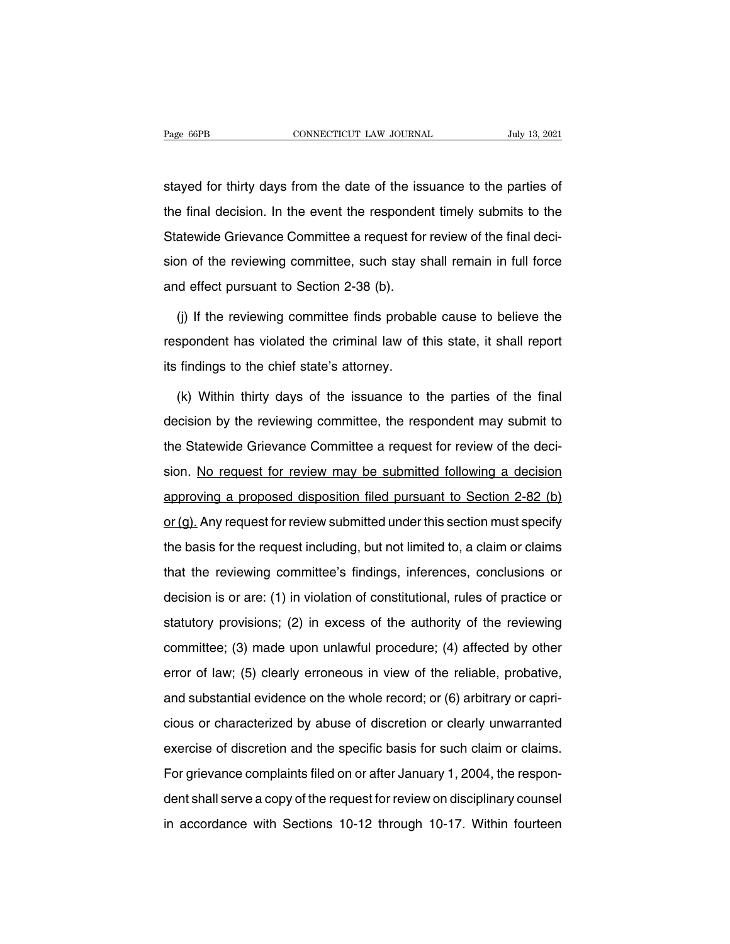Page 66PB<br>
stayed for thirty days from the date of the issuance to the parties of<br>
the final decision. In the event the respondent timely submits to the The final decision. In the event the respondent timely submits to the Statewide Grievance Committee a request for review of the final decision. stayed for thirty days from the date of the issuance to the parties of<br>the final decision. In the event the respondent timely submits to the<br>Statewide Grievance Committee a request for review of the final deci-<br>sion of the stayed for thirty days from the date of the issuance to the parties of<br>the final decision. In the event the respondent timely submits to the<br>Statewide Grievance Committee a request for review of the final deci-<br>sion of the the final decision. In the event the responder<br>Statewide Grievance Committee a request for<br>sion of the reviewing committee, such stay s<br>and effect pursuant to Section 2-38 (b).<br>(i) If the reviewing committee finds probab Example a request for review of the final deci-<br>
on of the reviewing committee, such stay shall remain in full force<br>
deffect pursuant to Section 2-38 (b).<br>
(j) If the reviewing committee finds probable cause to believe th

is sion of the reviewing committee, such stay shall remain in full force<br>and effect pursuant to Section 2-38 (b).<br>(i) If the reviewing committee finds probable cause to believe the<br>respondent has violated the criminal law and effect pursuant to Section 2-38 (b).<br>
(j) If the reviewing committee finds probab<br>
respondent has violated the criminal law of t<br>
its findings to the chief state's attorney.<br>
(k) Within thirty days of the issuance to (j) If the reviewing committee finds probable cause to believe the spondent has violated the criminal law of this state, it shall report findings to the chief state's attorney.<br>
(k) Within thirty days of the issuance to t

respondent has violated the criminal law of this state, it shall report<br>its findings to the chief state's attorney.<br>(k) Within thirty days of the issuance to the parties of the final<br>decision by the reviewing committee, th its findings to the chief state's attorney.<br>
(k) Within thirty days of the issuance to the parties of the final<br>
decision by the reviewing committee, the respondent may submit to<br>
the Statewide Grievance Committee a reques (k) Within thirty days of the issuance to the parties of the final<br>decision by the reviewing committee, the respondent may submit to<br>the Statewide Grievance Committee a request for review of the deci-<br>sion. No request for decision by the reviewing committee, the respondent may submit to<br>the Statewide Grievance Committee a request for review of the deci-<br>sion. No request for review may be submitted following a decision<br>approving a proposed the Statewide Grievance Committee a request for review of the decision. No request for review may be submitted following a decision approving a proposed disposition filed pursuant to Section 2-82 (b) or (g). Any request fo the basis for the request for the review may be submitted following a decision<br>approving a proposed disposition filed pursuant to Section 2-82 (b)<br>or (g). Any request for review submitted under this section must specify<br>th approving a proposed disposition filed pursuant to Section 2-82 (b)<br>or (g). Any request for review submitted under this section must specify<br>the basis for the request including, but not limited to, a claim or claims<br>that t or (g). Any request for review submitted under this section must specify<br>the basis for the request including, but not limited to, a claim or claims<br>that the reviewing committee's findings, inferences, conclusions or<br>decis stature is the request including, but not limited to, a claim or claims<br>that the reviewing committee's findings, inferences, conclusions or<br>decision is or are: (1) in violation of constitutional, rules of practice or<br>statu that the reviewing committee's findings, inferences, conclusions or decision is or are: (1) in violation of constitutional, rules of practice or statutory provisions; (2) in excess of the authority of the reviewing committ decision is or are: (1) in violation of constitutional, rules of practice or statutory provisions; (2) in excess of the authority of the reviewing committee; (3) made upon unlawful procedure; (4) affected by other error of abut the state of the authority of the reviewing<br>statutory provisions; (2) in excess of the authority of the reviewing<br>committee; (3) made upon unlawful procedure; (4) affected by other<br>error of law; (5) clearly erroneous committee; (3) made upon unlawful procedure; (4) affected by other<br>error of law; (5) clearly erroneous in view of the reliable, probative,<br>and substantial evidence on the whole record; or (6) arbitrary or capri-<br>cious or error of law; (5) clearly erroneous in view of the reliable, probative,<br>and substantial evidence on the whole record; or (6) arbitrary or capri-<br>cious or characterized by abuse of discretion or clearly unwarranted<br>exercise From Britan, (B) Situally Sinchcoast in them or the rentality, presenting<br>and substantial evidence on the whole record; or (6) arbitrary or capri-<br>cious or characterized by abuse of discretion or clearly unwarranted<br>exerci dive sessioning shall serves of the three fiscals, or (c) distinctly of eapth<br>cious or characterized by abuse of discretion or clearly unwarranted<br>exercise of discretion and the specific basis for such claim or claims.<br>For exercise of discretion and the specific basis for such claim or claims.<br>For grievance complaints filed on or after January 1, 2004, the respon-<br>dent shall serve a copy of the request for review on disciplinary counsel<br>in a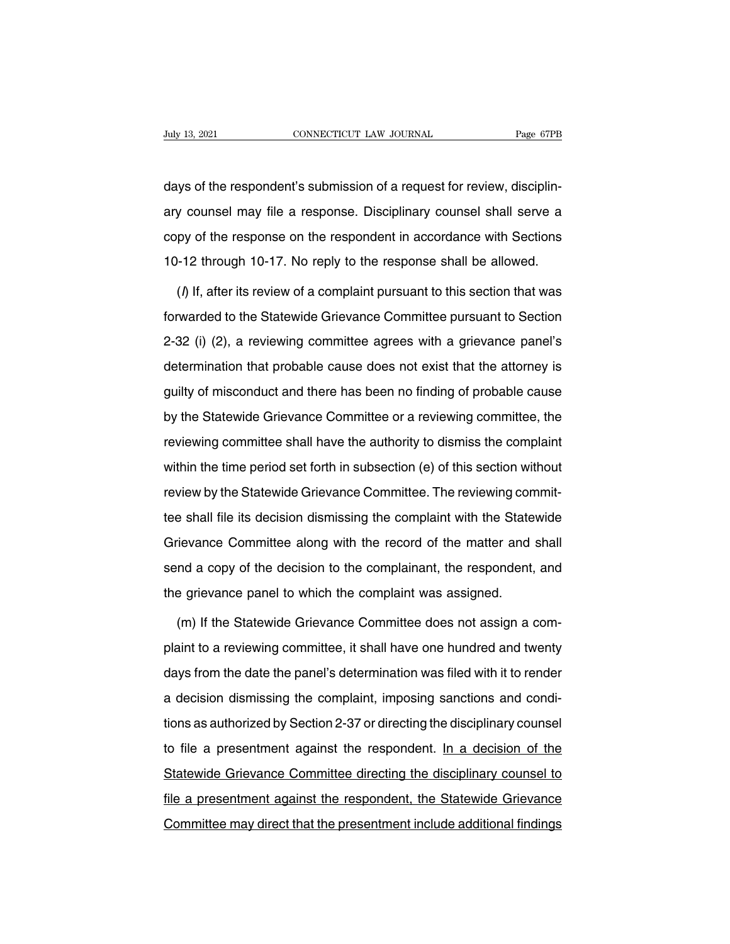Day 13, 2021<br>
<u>CONNECTICUT LAW JOURNAL Page 67PB</u><br>
days of the respondent's submission of a request for review, disciplin-<br>
ary counsel may file a response. Disciplinary counsel shall serve a Fage 67PB<br>days of the respondent's submission of a request for review, disciplin-<br>ary counsel may file a response. Disciplinary counsel shall serve a<br>copy of the response on the respondent in accordance with Sections days of the respondent's submission of a request for review, disciplin-<br>ary counsel may file a response. Disciplinary counsel shall serve a<br>copy of the response on the respondent in accordance with Sections<br>10-12 through 1 days of the respondent's submission of a request for review, disciplinary counsel may file a response. Disciplinary counsel shall serve a copy of the response on the respondent in accordance with Sections 10-12 through 10-(V) y counsel may file a response. Disciplinary counsel shall serve a<br>
py of the response on the respondent in accordance with Sections<br>
12 through 10-17. No reply to the response shall be allowed.<br>
(*I*) If, after its rev

copy of the response on the respondent in accordance with Sections<br>10-12 through 10-17. No reply to the response shall be allowed.<br>(*l*) If, after its review of a complaint pursuant to this section that was<br>forwarded to th 10-12 through 10-17. No reply to the response shall be allowed.<br>
(*i*) If, after its review of a complaint pursuant to this section that was<br>
forwarded to the Statewide Grievance Committee pursuant to Section<br>
2-32 (i) (2) (*l*) If, after its review of a complaint pursuant to this section that was<br>forwarded to the Statewide Grievance Committee pursuant to Section<br>2-32 (i) (2), a reviewing committee agrees with a grievance panel's<br>determinati (i) ii, and he forlow of a complaint particular to this coolect that the<br>forwarded to the Statewide Grievance Committee pursuant to Section<br>2-32 (i) (2), a reviewing committee agrees with a grievance panel's<br>determination 2-32 (i) (2), a reviewing committee agrees with a grievance panel's<br>determination that probable cause does not exist that the attorney is<br>guilty of misconduct and there has been no finding of probable cause<br>by the Statewid determination that probable cause does not exist that the attorney is guilty of misconduct and there has been no finding of probable cause by the Statewide Grievance Committee or a reviewing committee, the reviewing commi guilty of misconduct and there has been no finding of probable cause<br>by the Statewide Grievance Committee or a reviewing committee, the<br>reviewing committee shall have the authority to dismiss the complaint<br>within the time by the Statewide Grievance Committee or a reviewing committee, the reviewing committee shall have the authority to dismiss the complaint within the time period set forth in subsection (e) of this section without review by the shall have the authority to dismiss the complaint<br>within the time period set forth in subsection (e) of this section without<br>review by the Statewide Grievance Committee. The reviewing commit-<br>tee shall file its decisio within the time period set forth in subsection (e) of this section without<br>review by the Statewide Grievance Committee. The reviewing commit-<br>tee shall file its decision dismissing the complaint with the Statewide<br>Grievanc send a copy of the decision dismissing the complaint with the Statewide<br>Grievance Committee along with the record of the matter and shall<br>send a copy of the decision to the complainant, the respondent, and<br>the grievance pa tee shall file its decision dismissing the complaint with the State<br>Grievance Committee along with the record of the matter and<br>send a copy of the decision to the complainant, the respondent,<br>the grievance panel to which t rievance Committee along with the record of the matter and shall<br>nd a copy of the decision to the complainant, the respondent, and<br>e grievance panel to which the complaint was assigned.<br>(m) If the Statewide Grievance Commi

send a copy of the decision to the complainant, the respondent, and<br>the grievance panel to which the complaint was assigned.<br>(m) If the Statewide Grievance Committee does not assign a com-<br>plaint to a reviewing committee, the grievance panel to which the complaint was assigned.<br>
(m) If the Statewide Grievance Committee does not assign a com-<br>
plaint to a reviewing committee, it shall have one hundred and twenty<br>
days from the date the panel (m) If the Statewide Grievance Committee does not assign a com-<br>plaint to a reviewing committee, it shall have one hundred and twenty<br>days from the date the panel's determination was filed with it to render<br>a decision dism plaint to a reviewing committee, it shall have one hundred and twenty<br>days from the date the panel's determination was filed with it to render<br>a decision dismissing the complaint, imposing sanctions and condi-<br>tions as aut days from the date the panel's determination was filed with it to render<br>a decision dismissing the complaint, imposing sanctions and condi-<br>tions as authorized by Section 2-37 or directing the disciplinary counsel<br>to file a decision dismissing the complaint, imposing sanctions and conditions as authorized by Section 2-37 or directing the disciplinary counsel<br>to file a presentment against the respondent. In a decision of the<br>Statewide Grieva research and the state with the respondent and series the state of the state<br>tions as authorized by Section 2-37 or directing the disciplinary counsel<br>to file a presentment against the respondent, the Statewide Grievance<br>f to file a presentment against the respondent. In a decision of the<br>Statewide Grievance Committee directing the disciplinary counsel to<br>file a presentment against the respondent, the Statewide Grievance<br>Committee may direct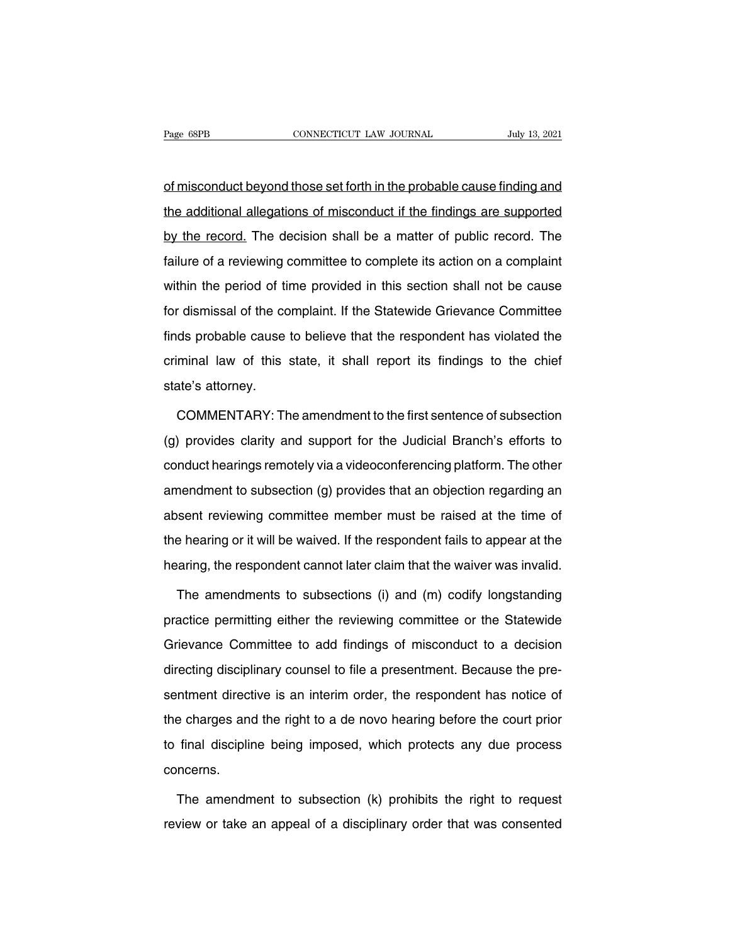Page 68PB<br>
connecticut LAW JOURNAL<br>
of misconduct beyond those set forth in the probable cause finding and<br>
the additional allegations of misconduct if the findings are supported Fage 68PB CONNECTICUT LAW JOURNAL July 13, 2021<br>of misconduct beyond those set forth in the probable cause finding and<br>the additional allegations of misconduct if the findings are supported<br>by the record. The decision shal of misconduct beyond those set forth in the probable cause finding and<br>the additional allegations of misconduct if the findings are supported<br>by the record. The decision shall be a matter of public record. The<br>failure of a of misconduct beyond those set forth in the probable cause finding and<br>the additional allegations of misconduct if the findings are supported<br>by the record. The decision shall be a matter of public record. The<br>failure of a the additional allegations of misconduct if the findings are supported<br>by the record. The decision shall be a matter of public record. The<br>failure of a reviewing committee to complete its action on a complaint<br>within the p by the record. The decision shall be a matter of public record. The failure of a reviewing committee to complete its action on a complaint within the period of time provided in this section shall not be cause for dismissal failure of a reviewing committee to complete its action on a complaint<br>within the period of time provided in this section shall not be cause<br>for dismissal of the complaint. If the Statewide Grievance Committee<br>finds probab within the period of time provided in this section shall not be cause<br>for dismissal of the complaint. If the Statewide Grievance Committee<br>finds probable cause to believe that the respondent has violated the<br>criminal law o which the period of the<br>for dismissal of the co<br>finds probable cause<br>criminal law of this<br>state's attorney.<br>COMMENTARY: Th ds probable cause to believe that the respondent has violated the<br>minal law of this state, it shall report its findings to the chief<br>ate's attorney.<br>COMMENTARY: The amendment to the first sentence of subsection<br>provides cl

criminal law of this state, it shall report its findings to the chief<br>state's attorney.<br>COMMENTARY: The amendment to the first sentence of subsection<br>(g) provides clarity and support for the Judicial Branch's efforts to<br>co state's attorney.<br>COMMENTARY: The amendment to the first sentence of subsection<br>(g) provides clarity and support for the Judicial Branch's efforts to<br>conduct hearings remotely via a videoconferencing platform. The other<br>am COMMENTARY: The amendment to the first sentence of subsection<br>(g) provides clarity and support for the Judicial Branch's efforts to<br>conduct hearings remotely via a videoconferencing platform. The other<br>amendment to subsect (g) provides clarity and support for the Judicial Branch's efforts to conduct hearings remotely via a videoconferencing platform. The other amendment to subsection (g) provides that an objection regarding an absent reviewi the conduct hearings remotely via a videoconferencing platform. The other<br>amendment to subsection (g) provides that an objection regarding an<br>absent reviewing committee member must be raised at the time of<br>the hearing or i amendment to subsection (g) provides that an objection regarding an<br>absent reviewing committee member must be raised at the time of<br>the hearing or it will be waived. If the respondent fails to appear at the<br>hearing, the re Sent reviewing committee member must be raised at the time of<br>a hearing or it will be waived. If the respondent fails to appear at the<br>aring, the respondent cannot later claim that the waiver was invalid.<br>The amendments to

the hearing or it will be waived. If the respondent fails to appear at the<br>hearing, the respondent cannot later claim that the waiver was invalid.<br>The amendments to subsections (i) and (m) codify longstanding<br>practice perm hearing, the respondent cannot later claim that the waiver was invalid.<br>The amendments to subsections (i) and (m) codify longstanding<br>practice permitting either the reviewing committee or the Statewide<br>Grievance Committee The amendments to subsections (i) and (m) codify longstanding<br>practice permitting either the reviewing committee or the Statewide<br>Grievance Committee to add findings of misconduct to a decision<br>directing disciplinary couns sentment directing either the reviewing committee or the Statewide<br>Grievance Committee to add findings of misconduct to a decision<br>directing disciplinary counsel to file a presentment. Because the pre-<br>sentment directive i Grievance Committee to add findings of misconduct to a decision<br>directing disciplinary counsel to file a presentment. Because the pre-<br>sentment directive is an interim order, the respondent has notice of<br>the charges and th directing disciplinary counsel to file a presentment. Because the pre-<br>sentment directive is an interim order, the respondent has notice of<br>the charges and the right to a de novo hearing before the court prior<br>to final dis concerns. e charges and the right to a de novo hearing before the court prior<br>final discipline being imposed, which protects any due process<br>ncerns.<br>The amendment to subsection (k) prohibits the right to request<br>view or take an appe to final discipline being imposed, which protects any due process<br>concerns.<br>The amendment to subsection (k) prohibits the right to request<br>review or take an appeal of a disciplinary order that was consented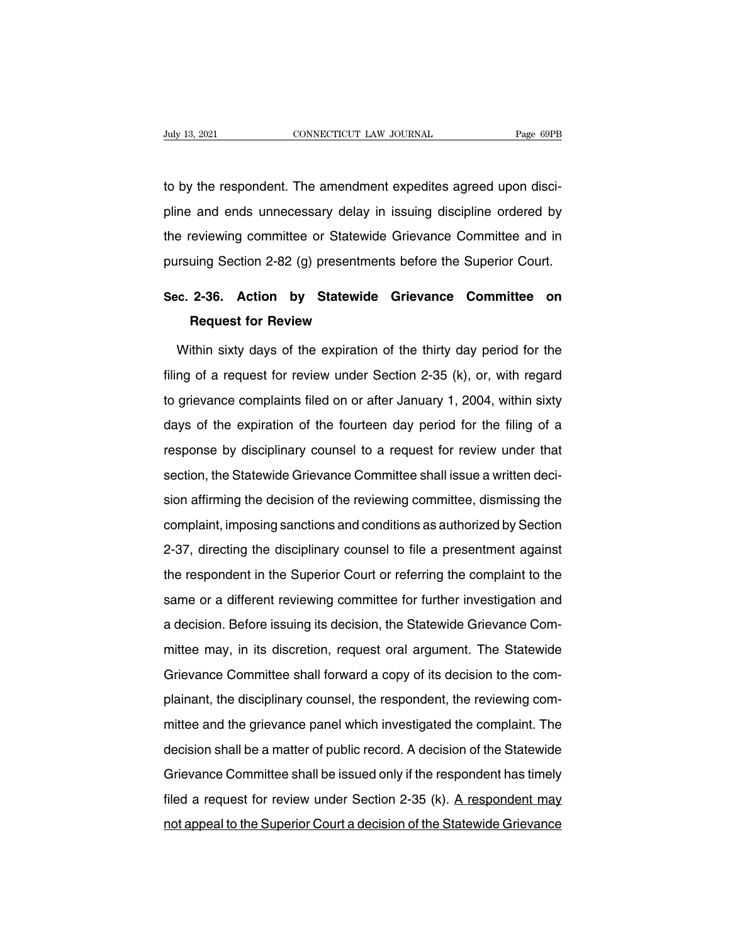Tuly 13, 2021<br>CONNECTICUT LAW JOURNAL Page 69PB<br>to by the respondent. The amendment expedites agreed upon disci-<br>pline and ends unnecessary delay in issuing discipline ordered by but the respondent. The amendment expedites agreed upon discipline and ends unnecessary delay in issuing discipline ordered by the reviewing committee or Statewide Grievance Committee and in to by the respondent. The amendment expedites agreed upon disci-<br>pline and ends unnecessary delay in issuing discipline ordered by<br>the reviewing committee or Statewide Grievance Committee and in<br>pursuing Section 2-82 (g) p to by the respondent. The amendment expedites agreed upon disci-<br>pline and ends unnecessary delay in issuing discipline ordered by<br>the reviewing committee or Statewide Grievance Committee and in<br>pursuing Section 2-82 (g) p pline and ends unnecessary delay in issuing discipline ordered by<br>the reviewing committee or Statewide Grievance Committee and in<br>pursuing Section 2-82 (g) presentments before the Superior Court.<br>Sec. 2-36. Action by State reviewing committee or Statewide Greating Section 2-82 (g) presentments k<br>**2-36. Action by Statewide Greations Action by Statewide Greation Request for Review**<br>ithin sixty days of the expiration of the

Irsuing Section 2-82 (g) presentments before the Superior Court.<br> **c. 2-36.** Action by Statewide Grievance Committee on<br>
Request for Review<br>
Within sixty days of the expiration of the thirty day period for the<br>
Ing of a re Sec. 2-36. Action by Statewide Grievance Committee on<br>Request for Review<br>Within sixty days of the expiration of the thirty day period for the<br>filing of a request for review under Section 2-35 (k), or, with regard<br>to grieva Request for Review<br>Within sixty days of the expiration of the thirty day period for the<br>filing of a request for review under Section 2-35 (k), or, with regard<br>to grievance complaints filed on or after January 1, 2004, with Within sixty days of the expiration of the thirty day period for the filing of a request for review under Section 2-35 (k), or, with regard to grievance complaints filed on or after January 1, 2004, within sixty days of th response by disciplinary counsel to a request for review under Section 2-35 (k), or, with regard<br>to grievance complaints filed on or after January 1, 2004, within sixty<br>days of the expiration of the fourteen day period for section, the expiration of the fourteen day period for the filing of a response by disciplinary counsel to a request for review under that section, the Statewide Grievance Committee shall issue a written decision affirmin days of the expiration of the fourteen day period for the filing of a<br>response by disciplinary counsel to a request for review under that<br>section, the Statewide Grievance Committee shall issue a written deci-<br>sion affirmin explorer the exploration of the fourteent day period for the limity of a<br>response by disciplinary counsel to a request for review under that<br>section, the Statewide Grievance Committee shall issue a written deci-<br>sion affir Exercise by disciplinary counsel to a request for forcew ander that<br>section, the Statewide Grievance Committee shall issue a written deci-<br>sion affirming the decision of the reviewing committee, dismissing the<br>complaint, i sion affirming the decision of the reviewing committee, dismissing the<br>complaint, imposing sanctions and conditions as authorized by Section<br>2-37, directing the disciplinary counsel to file a presentment against<br>the respon slori aminimity are decision of the fortecting committee, distributed by Section<br>2-37, directing the disciplinary counsel to file a presentment against<br>the respondent in the Superior Court or referring the complaint to the 2-37, directing the disciplinary counsel to file a presentment against<br>the respondent in the Superior Court or referring the complaint to the<br>same or a different reviewing committee for further investigation and<br>a decision Let or, an soling the disciplinary counterful of the a precedition to the same or a different reviewing committee for further investigation and a decision. Before issuing its decision, the Statewide Grievance Committee may and cooperation and same or a different reviewing committee for further investigation and a decision. Before issuing its decision, the Statewide Grievance Committee may, in its discretion, request oral argument. The Statew a decision. Before issuing its decision, the Statewide Grievance Com-<br>mittee may, in its discretion, request oral argument. The Statewide<br>Grievance Committee shall forward a copy of its decision to the com-<br>plainant, the d mittee may, in its discretion, request oral argument. The Statewide<br>Grievance Committee shall forward a copy of its decision to the com-<br>plainant, the disciplinary counsel, the respondent, the reviewing com-<br>mittee and the Grievance Committee shall forward a copy of its decision to the com-<br>plainant, the disciplinary counsel, the respondent, the reviewing com-<br>mittee and the grievance panel which investigated the complaint. The<br>decision shal plainant, the disciplinary counsel, the respondent, the reviewing com-<br>plainant, the disciplinary counsel, the respondent, the reviewing com-<br>mittee and the grievance panel which investigated the complaint. The<br>decision sh plantant, the disciplinary economic, the respondent, the reviewing com-<br>mittee and the grievance panel which investigated the complaint. The<br>decision shall be a matter of public record. A decision of the Statewide<br>Grievanc nnities and the ghovance panel which investigated the scriptaint. The<br>decision shall be a matter of public record. A decision of the Statewide<br>Grievance Committee shall be issued only if the respondent has timely<br>filed a r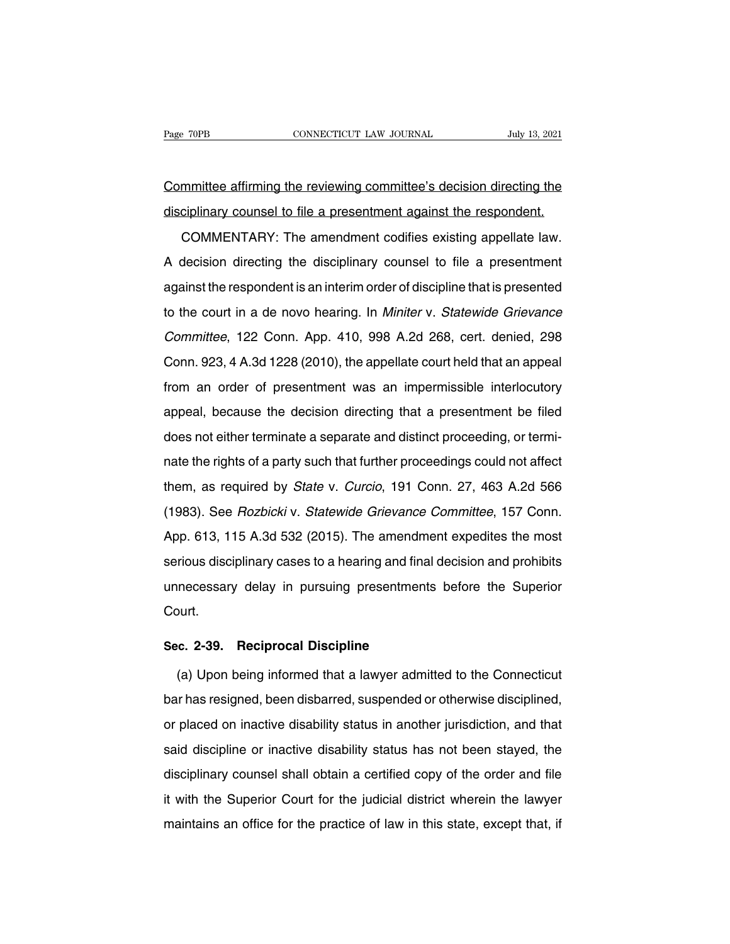Page 70PB CONNECTICUT LAW JOURNAL July 13, 2021<br>Committee affirming the reviewing committee's decision directing the<br>disciplinary counsel to file a presentment against the respondent. Page 70PB CONNECTICUT LAW JOURNAL July 13, 2021<br>Committee affirming the reviewing committee's decision directing the<br>disciplinary counsel to file a presentment against the respondent.<br>COMMENTARY: The amendment codifies exi

mmittee affirming the reviewing committee's decision directing the<br>ciplinary counsel to file a presentment against the respondent.<br>COMMENTARY: The amendment codifies existing appellate law.<br>decision directing the disciplin Committee affirming the reviewing committee's decision directing the<br>disciplinary counsel to file a presentment against the respondent.<br>COMMENTARY: The amendment codifies existing appellate law.<br>A decision directing the di disciplinary counsel to file a presentment against the respondent.<br>COMMENTARY: The amendment codifies existing appellate law.<br>A decision directing the disciplinary counsel to file a presentment<br>against the respondent is an COMMENTARY: The amendment codifies existing appellate law.<br>A decision directing the disciplinary counsel to file a presentment<br>against the respondent is an interim order of discipline that is presented<br>to the court in a de Example 122 Conn. A decision directing the disciplinary counsel to file a presentment<br>against the respondent is an interim order of discipline that is presented<br>to the court in a de novo hearing. In *Miniter v. Statewide G* Ex decision directing the disciplinary counser to the a present<br>against the respondent is an interim order of discipline that is presented<br>to the court in a de novo hearing. In *Miniter v. Statewide Grievance*<br>Committee, 1 to the court in a de novo hearing. In *Miniter* v. *Statewide Grievance Committee*, 122 Conn. App. 410, 998 A.2d 268, cert. denied, 298 Conn. 923, 4 A.3d 1228 (2010), the appellate court held that an appeal from an order o Committee, 122 Conn. App. 410, 998 A.2d 268, cert. denied, 298<br>Conn. 923, 4 A.3d 1228 (2010), the appellate court held that an appeal<br>from an order of presentment was an impermissible interlocutory<br>appeal, because the deci Conn. 923, 4 A.3d 1228 (2010), the appellate court held that an appeal<br>from an order of presentment was an impermissible interlocutory<br>appeal, because the decision directing that a presentment be filed<br>does not either term From an order of presentment was an impermissible interlocutory<br>appeal, because the decision directing that a presentment be filed<br>does not either terminate a separate and distinct proceeding, or termi-<br>nate the rights of appeal, because the decision directing that a presentment be filed<br>does not either terminate a separate and distinct proceeding, or termi-<br>nate the rights of a party such that further proceedings could not affect<br>them, as does not either terminate a separate and distinct proceeding, or terminate the rights of a party such that further proceedings could not affect them, as required by *State v. Curcio*, 191 Conn. 27, 463 A.2d 566 (1983). See about onte their terminate a separate and distinct precedurity, or term<br>nate the rights of a party such that further proceedings could not affect<br>them, as required by *State* v. *Curcio*, 191 Conn. 27, 463 A.2d 566<br>(1983). serious discription of a party subminariantly proceedings seals increased them, as required by *State v. Curcio*, 191 Conn. 27, 463 A.2d 566 (1983). See *Rozbicki v. Statewide Grievance Committee*, 157 Conn. App. 613, 115 (1983). See *Rozbicki* v. *Statewide Grievance Committee*, 157 Conn.<br>App. 613, 115 A.3d 532 (2015). The amendment expedites the most<br>serious disciplinary cases to a hearing and final decision and prohibits<br>unnecessary dela Court. **Serious disciplinary cases to a hearing and final<br>
unnecessary delay in pursuing presentments<br>
Court.<br>
<b>Sec. 2-39. Reciprocal Discipline**<br>
(a) Upon being informed that a lawyer admiti necessary delay in pursuing presentments before the Superior<br>
ourt.<br>
c. 2-39. Reciprocal Discipline<br>
(a) Upon being informed that a lawyer admitted to the Connecticut<br>
r has resigned, been disbarred, suspended or otherwise

Court.<br>Sec. 2-39. Reciprocal Discipline<br>(a) Upon being informed that a lawyer admitted to the Connecticut<br>bar has resigned, been disbarred, suspended or otherwise disciplined,<br>or placed on inactive disability status in ano Sec. 2-39. Reciprocal Discipline<br>
(a) Upon being informed that a lawyer admitted to the Connecticut<br>
bar has resigned, been disbarred, suspended or otherwise disciplined,<br>
or placed on inactive disability status in another (a) Upon being informed that a lawyer admitted to the Connecticut<br>bar has resigned, been disbarred, suspended or otherwise disciplined,<br>or placed on inactive disability status in another jurisdiction, and that<br>said discipl (a) open being infermed that a lawyer damited to the confidenced<br>bar has resigned, been disbarred, suspended or otherwise disciplined,<br>or placed on inactive disability status in another jurisdiction, and that<br>said discipli France Congride, been disability status in another jurisdiction, and that<br>said discipline or inactive disability status has not been stayed, the<br>disciplinary counsel shall obtain a certified copy of the order and file<br>it w or placed on macility states in another jameable. That said discipline or inactive disability status has not been stayed, the disciplinary counsel shall obtain a certified copy of the order and file it with the Superior Co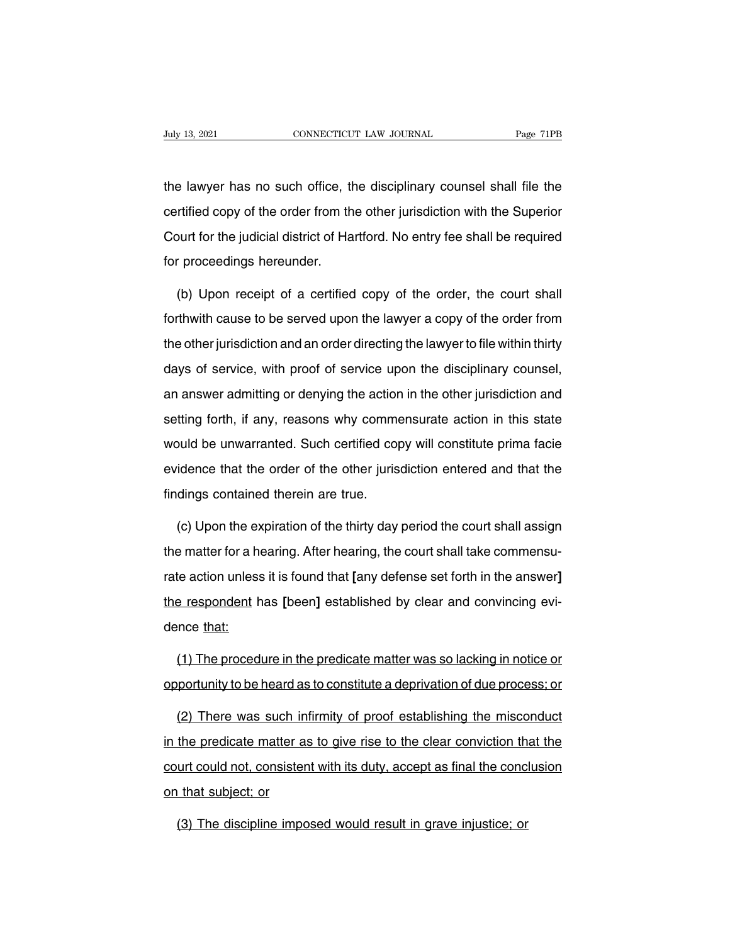The lawyer has no such office, the disciplinary counsel shall file the<br>the lawyer has no such office, the disciplinary counsel shall file the<br>certified copy of the order from the other jurisdiction with the Superior CONNECTICUT LAW JOURNAL Page 71PB<br>the lawyer has no such office, the disciplinary counsel shall file the<br>certified copy of the order from the other jurisdiction with the Superior<br>Court for the judicial district of Hartford The lawyer has no such office, the disciplinary counsel shall file the certified copy of the order from the other jurisdiction with the Superior Court for the judicial district of Hartford. No entry fee shall be required f the lawyer has no such office, the certified copy of the order from the Court for the judicial district of Handren content of a certified rtified copy of the order from the other jurisdiction with the Superior<br>burt for the judicial district of Hartford. No entry fee shall be required<br>r proceedings hereunder.<br>(b) Upon receipt of a certified copy of the order,

For the judicial district of Hartford. No entry fee shall be required<br>for proceedings hereunder.<br>(b) Upon receipt of a certified copy of the order, the court shall<br>forthwith cause to be served upon the lawyer a copy of the the other jurisdiction and an order directing the directionary of the court shall<br>forthwith cause to be served upon the lawyer a copy of the order from<br>the other jurisdiction and an order directing the lawyer to file withi (b) Upon receipt of a certified copy of the order, the court shall forthwith cause to be served upon the lawyer a copy of the order from the other jurisdiction and an order directing the lawyer to file within thirty days o forthwith cause to be served upon the lawyer a copy of the order from<br>the other jurisdiction and an order directing the lawyer to file within thirty<br>days of service, with proof of service upon the disciplinary counsel,<br>an shammin saass to see served apon and any or a septy or and state herm.<br>the other jurisdiction and an order directing the lawyer to file within thirty<br>days of service, with proof of service upon the disciplinary counsel,<br>an days of service, with proof of service upon the disciplinary counsel,<br>an answer admitting or denying the action in the other jurisdiction and<br>setting forth, if any, reasons why commensurate action in this state<br>would be un existed an answer admitting or denying the action in the other jurisdiction and setting forth, if any, reasons why commensurate action in this state would be unwarranted. Such certified copy will constitute prima facie evi an answer admitting or denying the action in the other jurisdiction and<br>setting forth, if any, reasons why commensurate action in this state<br>would be unwarranted. Such certified copy will constitute prima facie<br>evidence th buld be unwarranted. Such certified copy will constitute prima facie<br>idence that the order of the other jurisdiction entered and that the<br>dings contained therein are true.<br>(c) Upon the expiration of the thirty day period t

evidence that the order of the other jurisdiction entered and that the<br>findings contained therein are true.<br>(c) Upon the expiration of the thirty day period the court shall assign<br>the matter for a hearing. After hearing, t findings contained therein are true.<br>
(c) Upon the expiration of the thirty day period the court shall assign<br>
the matter for a hearing. After hearing, the court shall take commensu-<br>
rate action unless it is found that [a (c) Upon the expiration of the thirty day period the court shall assign<br>the matter for a hearing. After hearing, the court shall take commensu-<br>rate action unless it is found that [any defense set forth in the answer]<br>the the matter for a here<br>the matter for a here<br>the respondent here<br>dence that: te action unless it is found that [any defense set forth in the answer]<br>
<u>e respondent</u> has [been] established by clear and convincing evi-<br>
ince <u>that:</u><br>
(1) The procedure in the predicate matter was so lacking in notice the respondent has [been] established by clear and convincing evi-<br>dence <u>that:</u><br>(1) The procedure in the predicate matter was so lacking in notice or<br>opportunity to be heard as to constitute a deprivation of due process;

(1) The procedure in the predicate matter was so lacking in notice or<br>portunity to be heard as to constitute a deprivation of due process; or<br>(2) There was such infirmity of proof establishing the misconduct<br>the predicate (1) The procedure in the predicate matter was so lacking in notice or<br>opportunity to be heard as to constitute a deprivation of due process; or<br>(2) There was such infirmity of proof establishing the misconduct<br>in the predi opportunity to be heard as to constitute a deprivation of due process; or<br>(2) There was such infirmity of proof establishing the misconduct<br>in the predicate matter as to give rise to the clear conviction that the<br>court cou (2) There was such in<br>in the predicate matter as<br>court could not, consister<br>on that subject; or<br>(3) The discipline impo the predicate matter as to give rise to the clear conviction the<br>urt could not, consistent with its duty, accept as final the conce<br>that subject; or<br>(3) The discipline imposed would result in grave injustice; or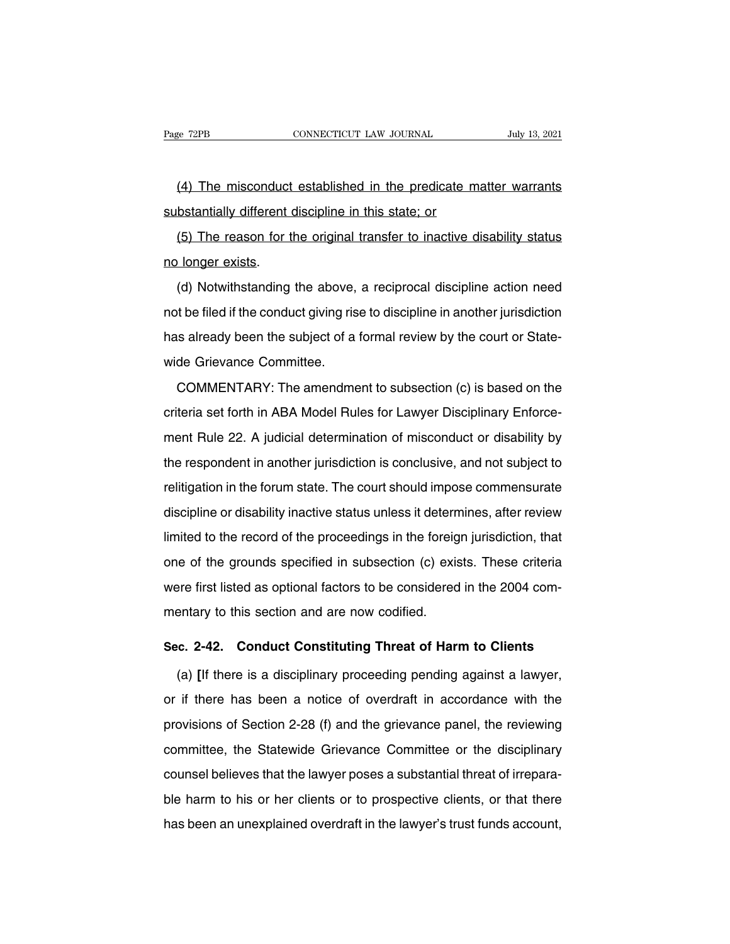ERET THE MISCON CONNECTICUT LAW JOURNAL THE MISCON July 13, 2021<br>(4) The misconduct established in the predicate matter warrants<br>bstantially different discipline in this state; or Page 72PB<br>
CONNECTICUT LAW JOURNAL<br>
(4) The misconduct established in the predicate m<br>
substantially different discipline in this state; or<br>
(5) The reason for the original transfer to inactive of

(4) The misconduct established in the predicate matter warrants<br>bstantially different discipline in this state; or<br>(5) The reason for the original transfer to inactive disability status<br>longer exists. (4) The misconduct<br>substantially different<br>(5) The reason for t<br>no longer exists.<br>(d) Notwithstanding

(d) The reason for the original transfer to inactive disability status<br>(d) The reason for the original transfer to inactive disability status<br>(d) Notwithstanding the above, a reciprocal discipline action need<br>t be filed if (5) The reason for the original transfer to inactive disability status<br>no longer exists.<br>(d) Notwithstanding the above, a reciprocal discipline action need<br>not be filed if the conduct giving rise to discipline in another j has already been the subject of a formal review by the court or State-<br>has already been the subject of a formal review by the court or State--<br>wide Grievance Committee. (d) Notwithstanding the above,<br>not be filed if the conduct giving ris<br>has already been the subject of a<br>wide Grievance Committee.<br>COMMENTARY: The amendme It be filed if the conduct giving rise to discipline in another jurisdiction<br>is already been the subject of a formal review by the court or State-<br>de Grievance Committee.<br>COMMENTARY: The amendment to subsection (c) is base not be filed if the conduct giving rise to discipline in another jurisdiction<br>has already been the subject of a formal review by the court or State-<br>wide Grievance Committee.<br>COMMENTARY: The amendment to subsection (c) is

ment and an easy seem the easy of a formal feature by the educt of etate<br>wide Grievance Committee.<br>COMMENTARY: The amendment to subsection (c) is based on the<br>criteria set forth in ABA Model Rules for Lawyer Disciplinary E COMMENTARY: The amendment to subsection (c) is based on the<br>criteria set forth in ABA Model Rules for Lawyer Disciplinary Enforce-<br>ment Rule 22. A judicial determination of misconduct or disability by<br>the respondent in ano criteria set forth in ABA Model Rules for Lawyer Disciplinary Enforce-<br>ment Rule 22. A judicial determination of misconduct or disability by<br>the respondent in another jurisdiction is conclusive, and not subject to<br>relitiga discipline or disability in another jurisdiction of misconduct or disability by<br>the respondent in another jurisdiction is conclusive, and not subject to<br>relitigation in the forum state. The court should impose commensurate If the respondent in another jurisdiction is conclusive, and not subject to relitigation in the forum state. The court should impose commensurate discipline or disability inactive status unless it determines, after review relitigation in the forum state. The court should impose commensurate<br>discipline or disability inactive status unless it determines, after review<br>limited to the record of the proceedings in the foreign jurisdiction, that<br>o discipline or disability inactive status unless it determines, after review<br>limited to the record of the proceedings in the foreign jurisdiction, that<br>one of the grounds specified in subsection (c) exists. These criteria<br>w limited to the record of the proceedings in the foreigneed of the grounds specified in subsection (c) existence of the grounds specified in subsection (c) existence first listed as optional factors to be considered mentary one of the grounds specified in subsection (c) exists. These criteria<br>were first listed as optional factors to be considered in the 2004 com-<br>mentary to this section and are now codified.<br>**Sec. 2-42. Conduct Constituting T** ere first listed as optional factors to be considered in the 2004 com-<br>
entary to this section and are now codified.<br> **c. 2-42. Conduct Constituting Threat of Harm to Clients**<br>
(a) [If there is a disciplinary proceeding pe

mentary to this section and are now codified.<br>
Sec. 2-42. Conduct Constituting Threat of Harm to Clients<br>
(a) [If there is a disciplinary proceeding pending against a lawyer,<br>
or if there has been a notice of overdraft in Sec. 2-42. Conduct Constituting Threat of Harm to Clients<br>(a) [If there is a disciplinary proceeding pending against a lawyer,<br>or if there has been a notice of overdraft in accordance with the<br>provisions of Section 2-28 (f (a) [If there is a disciplinary proceeding pending against a lawyer,<br>or if there has been a notice of overdraft in accordance with the<br>provisions of Section 2-28 (f) and the grievance panel, the reviewing<br>committee, the St (a) In these is a shot-plinary proceeding pertaing against a lawyer,<br>or if there has been a notice of overdraft in accordance with the<br>provisions of Section 2-28 (f) and the grievance panel, the reviewing<br>committee, the St ble harm to his order a holder of overalant in accordance with the provisions of Section 2-28 (f) and the grievance panel, the reviewing committee, the Statewide Grievance Committee or the disciplinary counsel believes tha provisions of economizing to the synemic particle, the reviewing<br>committee, the Statewide Grievance Committee or the disciplinary<br>counsel believes that the lawyer poses a substantial threat of irrepara-<br>ble harm to his or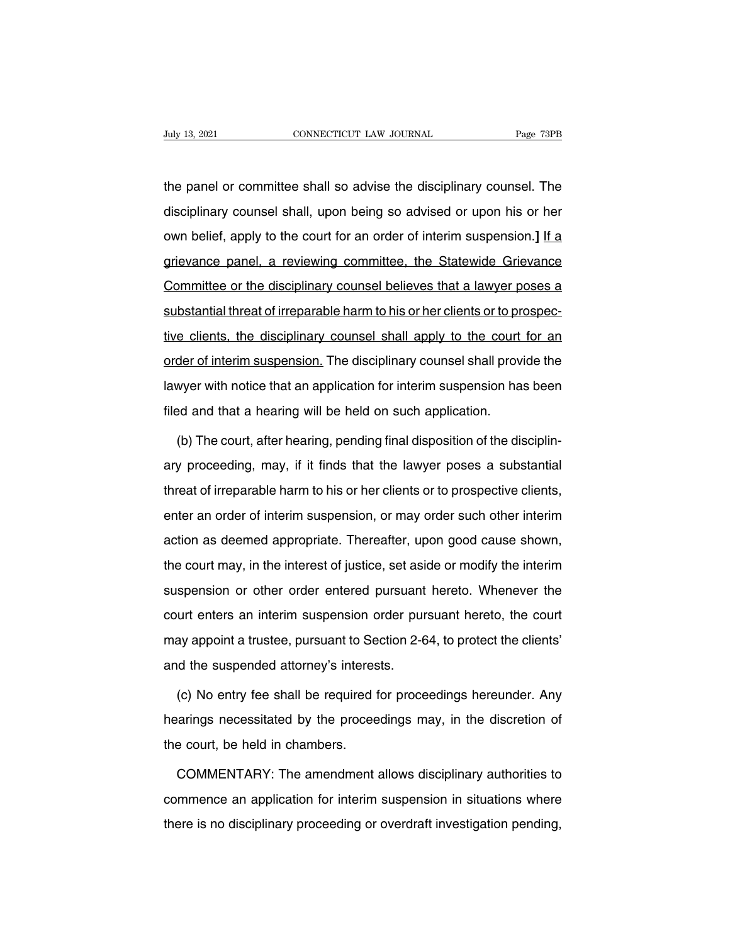The panel or committee shall so advise the disciplinary counsel. The<br>disciplinary counsel shall, upon being so advised or upon his or her July 13, 2021 CONNECTICUT LAW JOURNAL Page 73PB<br>the panel or committee shall so advise the disciplinary counsel. The<br>disciplinary counsel shall, upon being so advised or upon his or her<br>own belief, apply to the court for a the panel or committee shall so advise the disciplinary counsel. The disciplinary counsel shall, upon being so advised or upon his or her own belief, apply to the court for an order of interim suspension.] If a grievance p the panel or committee shall so advise the disciplinary counsel. The<br>disciplinary counsel shall, upon being so advised or upon his or her<br>own belief, apply to the court for an order of interim suspension.] If a<br>grievance p disciplinary counsel shall, upon being so advised or upon his or her<br>own belief, apply to the court for an order of interim suspension.] If a<br>grievance panel, a reviewing committee, the Statewide Grievance<br>Committee or the substantial threat of irreparable harm to his or her clients. If a grievance panel, a reviewing committee, the Statewide Grievance Committee or the disciplinary counsel believes that a lawyer poses a substantial threat of grievance panel, a reviewing committee, the Statewide Grievance<br>Committee or the disciplinary counsel believes that a lawyer poses a<br>substantial threat of irreparable harm to his or her clients or to prospec-<br>tive clients, Committee or the disciplinary counsel believes that a lawyer poses a<br>substantial threat of irreparable harm to his or her clients or to prospec-<br>tive clients, the disciplinary counsel shall apply to the court for an<br>order substantial threat of irreparable harm to his or her clients or to prospec-<br>tive clients, the disciplinary counsel shall apply to the court for an<br>order of interim suspension. The disciplinary counsel shall provide the<br>law Five clients, the disciplinary counsel shall apply to the court<br>order of interim suspension. The disciplinary counsel shall prov<br>lawyer with notice that an application for interim suspension ha<br>filed and that a hearing wil der of interim suspension. The disciplinary counsel shall provide the<br>wyer with notice that an application for interim suspension has been<br>ed and that a hearing will be held on such application.<br>(b) The court, after hearin

lawyer with notice that an application for interim suspension has been<br>filed and that a hearing will be held on such application.<br>(b) The court, after hearing, pending final disposition of the disciplin-<br>ary proceeding, ma filed and that a hearing will be held on such application.<br>
(b) The court, after hearing, pending final disposition of the disciplin-<br>
ary proceeding, may, if it finds that the lawyer poses a substantial<br>
threat of irrepar (b) The court, after hearing, pending final disposition of the disciplin-<br>ary proceeding, may, if it finds that the lawyer poses a substantial<br>threat of irreparable harm to his or her clients or to prospective clients,<br>ent (b) The seart, and Healing, periaing intit displementer the disciplint<br>ary proceeding, may, if it finds that the lawyer poses a substantial<br>threat of irreparable harm to his or her clients or to prospective clients,<br>enter threat of irreparable harm to his or her clients or to prospective clients,<br>enter an order of interim suspension, or may order such other interim<br>action as deemed appropriate. Thereafter, upon good cause shown,<br>the court m suspension as deemed appropriate. Thereafter, upon good cause shown,<br>the court may, in the interest of justice, set aside or modify the interim<br>suspension or other order entered pursuant hereto. Whenever the<br>court enters a action as deemed appropriate. Thereafter, upon good cause shown,<br>the court may, in the interest of justice, set aside or modify the interim<br>suspension or other order entered pursuant hereto. Whenever the<br>court enters an in may appropriate. Thereafter, appir good dated chown, the court may, in the interest of justice, set aside or modify the interim suspension or other order entered pursuant hereto. Whenever the court enters an interim suspen and the suspension or other order entered pursuant<br>court enters an interim suspension order pur<br>may appoint a trustee, pursuant to Section 2-6<br>and the suspended attorney's interests.<br>(c) No entry fee shall be required for urt enters an interim suspension order pursuant hereto, the court<br>ay appoint a trustee, pursuant to Section 2-64, to protect the clients'<br>d the suspended attorney's interests.<br>(c) No entry fee shall be required for proceed

may appoint a trustee, pursuant to Section 2-64, to protect the clients'<br>and the suspended attorney's interests.<br>(c) No entry fee shall be required for proceedings hereunder. Any<br>hearings necessitated by the proceedings ma and the suspended attorney's interes<br>
(c) No entry fee shall be required f<br>
hearings necessitated by the procee<br>
the court, be held in chambers.<br>
COMMENTARY: The amendment (c) No entry fee shall be required for proceedings hereunder. Any<br>arings necessitated by the proceedings may, in the discretion of<br>e court, be held in chambers.<br>COMMENTARY: The amendment allows disciplinary authorities to<br>

hearings necessitated by the proceedings may, in the discretion of<br>the court, be held in chambers.<br>COMMENTARY: The amendment allows disciplinary authorities to<br>commence an application for interim suspension in situations w the court, be held in chambers.<br>
COMMENTARY: The amendment allows disciplinary authorities to<br>
commence an application for interim suspension in situations where<br>
there is no disciplinary proceeding or overdraft investigat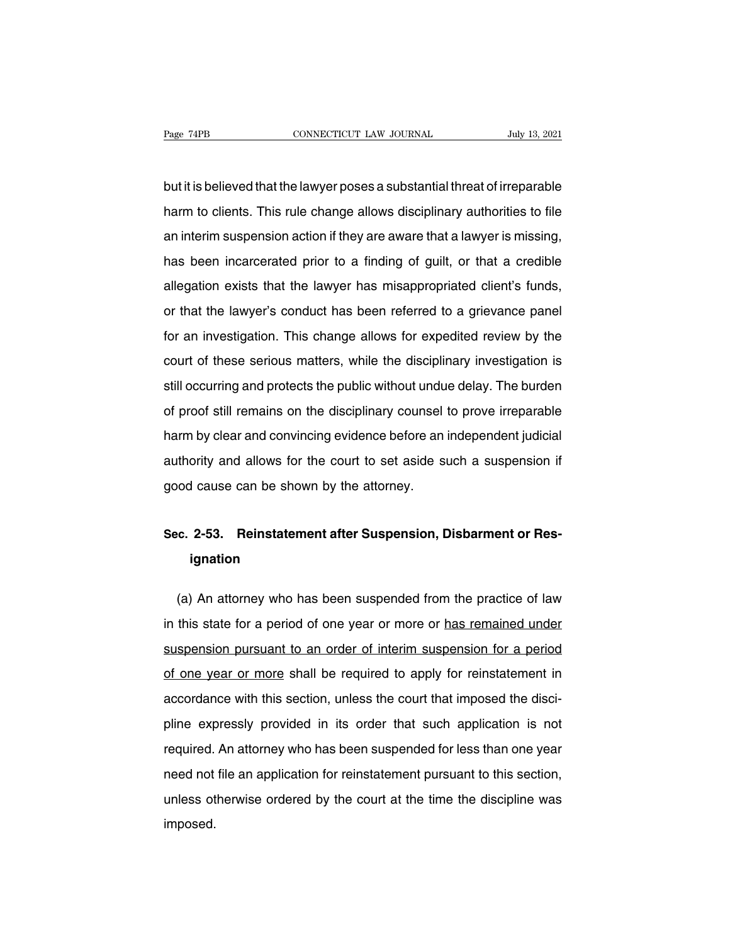Page 74PB<br>
connectricut LAW JOURNAL<br>
but it is believed that the lawyer poses a substantial threat of irreparable<br>
harm to clients. This rule change allows disciplinary authorities to file Page 74PB CONNECTICUT LAW JOURNAL July 13, 2021<br>but it is believed that the lawyer poses a substantial threat of irreparable<br>harm to clients. This rule change allows disciplinary authorities to file<br>an interim suspension a but it is believed that the lawyer poses a substantial threat of irreparable<br>harm to clients. This rule change allows disciplinary authorities to file<br>an interim suspension action if they are aware that a lawyer is missing but it is believed that the lawyer poses a substantial threat of irreparable<br>harm to clients. This rule change allows disciplinary authorities to file<br>an interim suspension action if they are aware that a lawyer is missing Bath is beheved that the lawyer pesses a substantial threat erropantise<br>harm to clients. This rule change allows disciplinary authorities to file<br>an interim suspension action if they are aware that a lawyer is missing,<br>has an interim suspension action if they are aware that a lawyer is missing,<br>has been incarcerated prior to a finding of guilt, or that a credible<br>allegation exists that the lawyer has misappropriated client's funds,<br>or that t an interm easpertated prior to a finding of guilt, or that a credible<br>allegation exists that the lawyer has misappropriated client's funds,<br>or that the lawyer's conduct has been referred to a grievance panel<br>for an investi allegation exists that the lawyer has misappropriated client's funds,<br>or that the lawyer's conduct has been referred to a grievance panel<br>for an investigation. This change allows for expedited review by the<br>court of these of that the lawyer's conduct has been referred to a grievance panel<br>for an investigation. This change allows for expedited review by the<br>court of these serious matters, while the disciplinary investigation is<br>still occurri for an investigation. This change allows for expedited review by the<br>court of these serious matters, while the disciplinary investigation is<br>still occurring and protects the public without undue delay. The burden<br>of proof For an investigation. This sharige allows for expedited force by the court of these serious matters, while the disciplinary investigation is still occurring and protects the public without undue delay. The burden of proof abili occurring and protects the public without undue delay. The burden<br>of proof still remains on the disciplinary counsel to prove irreparable<br>harm by clear and convincing evidence before an independent judicial<br>authority but becausing and protocol the plashe without dried<br>of proof still remains on the disciplinary counsel<br>harm by clear and convincing evidence before an<br>authority and allows for the court to set aside s<br>good cause can be sho Fram by clear and convincing evidence before an independent judicial<br>authority and allows for the court to set aside such a suspension if<br>good cause can be shown by the attorney.<br>Sec. 2-53. Reinstatement after Suspension,

### **ignation**

(a) An attorney who has been suspension, Disbarment or Resignation<br>(a) An attorney who has been suspended from the practice of law<br>this state for a period of one year or more or has remained under Sec. 2-53. Reinstatement after Suspension, Disbarment or Resignation<br>
(a) An attorney who has been suspended from the practice of law<br>
in this state for a period of one year or more or has remained under<br>
suspension pursua ignation<br>(a) An attorney who has been suspended from the practice of law<br>in this state for a period of one year or more or has remained under<br>suspension pursuant to an order of interim suspension for a period<br>of one year o (a) An attorney who has been suspended from the practice of law<br>in this state for a period of one year or more or has remained under<br>suspension pursuant to an order of interim suspension for a period<br>of one year or more sh in this state for a period of one year or more or has remained under<br>suspension pursuant to an order of interim suspension for a period<br>of one year or more shall be required to apply for reinstatement in<br>accordance with th suspension pursuant to an order of interim suspension for a period<br>of one year or more shall be required to apply for reinstatement in<br>accordance with this section, unless the court that imposed the disci-<br>pline expressly of one year or more shall be required to apply for reinstatement in accordance with this section, unless the court that imposed the discipline expressly provided in its order that such application is not required. An attor accordance with this section, unless the court that imposed the disci-<br>pline expressly provided in its order that such application is not<br>required. An attorney who has been suspended for less than one year<br>need not file an pline expressly provided in its order that such application is not required. An attorney who has been suspended for less than one year need not file an application for reinstatement pursuant to this section, unless otherwi imposed.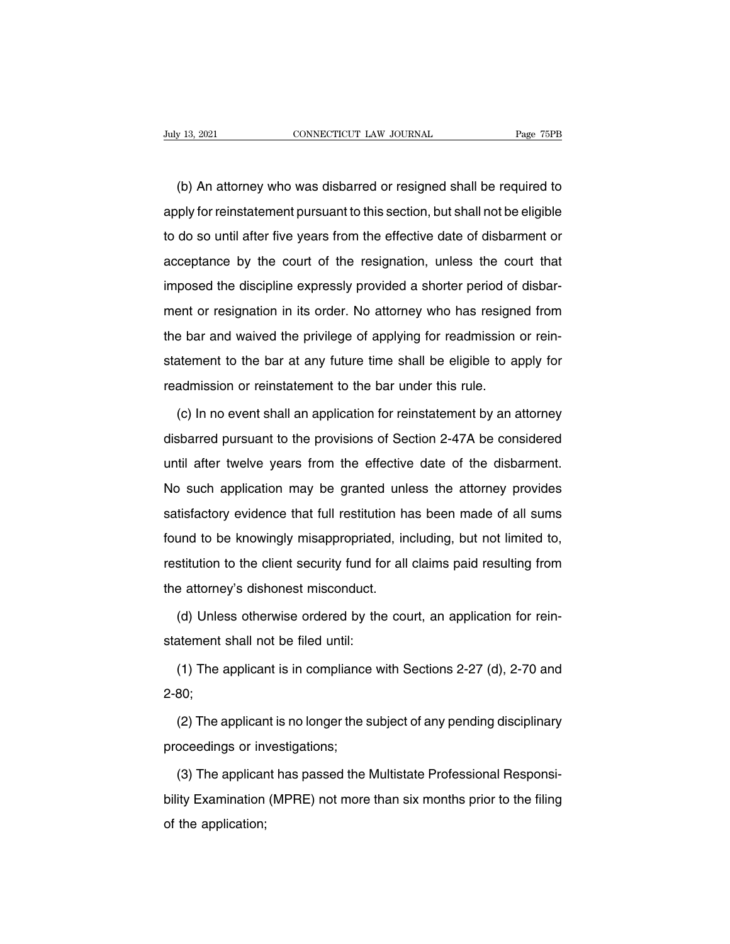(b) An attorney who was disbarred or resigned shall be required to<br>ply for reinstatement pursuant to this section, but shall not be eligible Fage 75PB<br>
(b) An attorney who was disbarred or resigned shall be required to<br>
apply for reinstatement pursuant to this section, but shall not be eligible<br>
to do so until after five years from the effective date of disbarm (b) An attorney who was disbarred or resigned shall be required to apply for reinstatement pursuant to this section, but shall not be eligible to do so until after five years from the effective date of disbarment or accept (b) An attorney who was disbarred or resigned shall be required to apply for reinstatement pursuant to this section, but shall not be eligible to do so until after five years from the effective date of disbarment or accept (b) An alternty who was dissurred of resigned shall be required to apply for reinstatement pursuant to this section, but shall not be eligible to do so until after five years from the effective date of disbarment or accept to do so until after five years from the effective date of disbarment or<br>acceptance by the court of the resignation, unless the court that<br>imposed the discipline expressly provided a shorter period of disbar-<br>ment or resig to do so drink diter interpretion interesting the court of acceptance by the court of the resignation, unless the court that<br>imposed the discipline expressly provided a shorter period of disbar-<br>ment or resignation in its imposed the discipline expressly provided a shorter period of disbar-<br>ment or resignation in its order. No attorney who has resigned from<br>the bar and waived the privilege of applying for readmission or rein-<br>statement to t readmission is discipling expressive provided a shorter period of<br>ment or resignation in its order. No attorney who has resigne<br>the bar and waived the privilege of applying for readmission<br>statement to the bar under this r Exercise bar and waived the privilege of applying for readmission or rein-<br>atement to the bar at any future time shall be eligible to apply for<br>admission or reinstatement to the bar under this rule.<br>(c) In no event shall a

statement to the bar at any future time shall be eligible to apply for<br>readmission or reinstatement to the bar under this rule.<br>(c) In no event shall an application for reinstatement by an attorney<br>disbarred pursuant to th readmission or reinstatement to the bar under this rule.<br>
(c) In no event shall an application for reinstatement by an attorney<br>
disbarred pursuant to the provisions of Section 2-47A be considered<br>
until after twelve years (c) In no event shall an application for reinstatement by an attorney<br>disbarred pursuant to the provisions of Section 2-47A be considered<br>until after twelve years from the effective date of the disbarment.<br>No such applicat disbarred pursuant to the provisions of Section 2-47A be considered<br>until after twelve years from the effective date of the disbarment.<br>No such application may be granted unless the attorney provides<br>satisfactory evidence If the sensual to the provisions of decision 2 177 be considered<br>until after twelve years from the effective date of the disbarment.<br>No such application may be granted unless the attorney provides<br>satisfactory evidence tha No such application may be granted unless the attorney provides<br>satisfactory evidence that full restitution has been made of all sums<br>found to be knowingly misappropriated, including, but not limited to,<br>restitution to the the attendance that full restitution has satisfactory evidence that full restitution has found to be knowingly misappropriated, in restitution to the client security fund for all the attorney's dishonest misconduct.<br>(d) Un In the knowingly misappropriated, including, but not limited to, stitution to the client security fund for all claims paid resulting from a attorney's dishonest misconduct.<br>(d) Unless otherwise ordered by the court, an app restitution to the client security fund for<br>the attorney's dishonest misconduct.<br>(d) Unless otherwise ordered by the<br>statement shall not be filed until:<br>(1) The applicant is in compliance w

e attorney's dishonest misconduct.<br>(d) Unless otherwise ordered by the court, an application for rein-<br>atement shall not be filed until:<br>(1) The applicant is in compliance with Sections 2-27 (d), 2-70 and<br>80; 2-80; tement shall not be filed until:<br>(1) The applicant is in compliance with Sections 2-27 (d), 2-70 and<br>80;<br>(2) The applicant is no longer the subject of any pending disciplinary<br>oceedings or investigations; (1) The applicant is in compliance<br>2-80;<br>(2) The applicant is no longer the s<br>proceedings or investigations;<br>(3) The applicant has passed the

(2) The applicant is no longer the subject of any pending disciplinary<br>proceedings or investigations;<br>(3) The applicant has passed the Multistate Professional Responsi-<br>bility Examination (MPRE) not more than six months pr

(2) The applicant is no longer the subject of any pending disciplinary<br>proceedings or investigations;<br>(3) The applicant has passed the Multistate Professional Responsi-<br>bility Examination (MPRE) not more than six months pr proceedings or in<br>
(3) The applicar<br>
bility Examination<br>
of the application;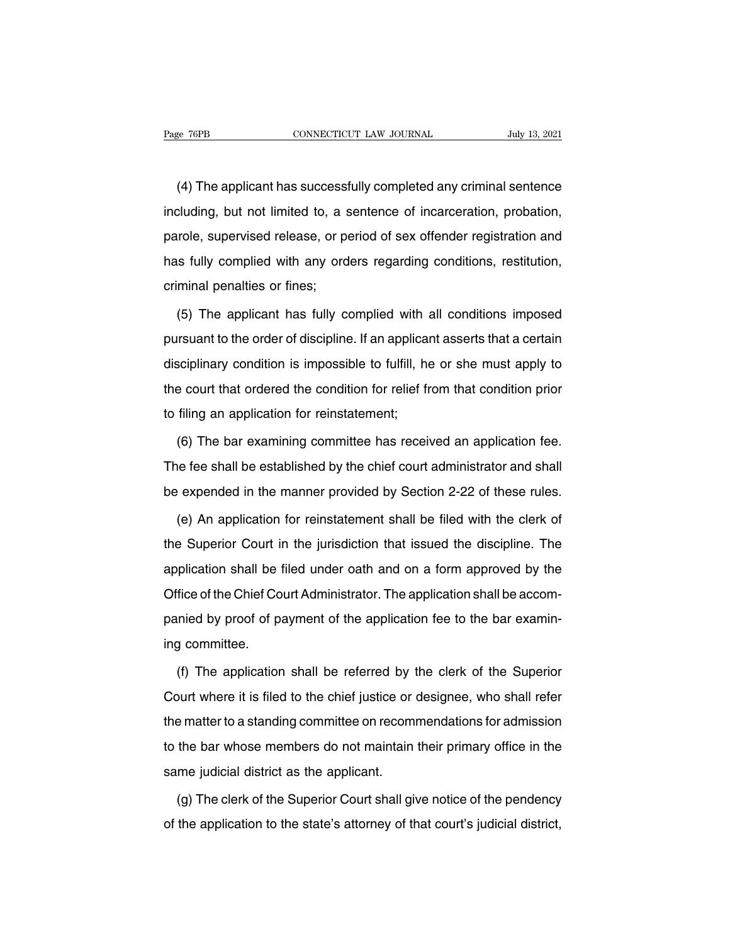EXTEP THE CONNECTICUT LAW JOURNAL July 13, 2021<br>(4) The applicant has successfully completed any criminal sentence<br>cluding, but not limited to, a sentence of incarceration, probation, Fage 76PB CONNECTICUT LAW JOURNAL July 13, 2021<br>
(4) The applicant has successfully completed any criminal sentence<br>
including, but not limited to, a sentence of incarceration, probation,<br>
parole, supervised release, or pe (4) The applicant has successfully completed any criminal sentence<br>including, but not limited to, a sentence of incarceration, probation,<br>parole, supervised release, or period of sex offender registration and<br>has fully com (4) The applicant has successfully completed any criminal sentence<br>including, but not limited to, a sentence of incarceration, probation,<br>parole, supervised release, or period of sex offender registration and<br>has fully com (1) The applicant has sassessed<br>including, but not limited to, a s<br>parole, supervised release, or p<br>has fully complied with any ord<br>criminal penalties or fines;<br>(5) The applicant has fully c (5) The applicant has fully complied with any orders regarding conditions, restitution,<br>
minal penalties or fines;<br>
(5) The applicant has fully complied with all conditions imposed<br>
risuant to the order of discipline. If a

pursuant to the order of discipline. If an applicant asserts that a certain<br>disciplinary condition is impossible to fulfill, he or she must apply to<br>disciplinary condition is impossible to fulfill, he or she must apply to criminal penalties or fines;<br>
(5) The applicant has fully complied with all conditions imposed<br>
pursuant to the order of discipline. If an applicant asserts that a certain<br>
disciplinary condition is impossible to fulfill, (5) The applicant has fully complied with all conditions imposed<br>pursuant to the order of discipline. If an applicant asserts that a certain<br>disciplinary condition is impossible to fulfill, he or she must apply to<br>the cour pursuant to the order of discipline. If an application<br>disciplinary condition is impossible to fulfill, he<br>the court that ordered the condition for relief fr<br>to filing an application for reinstatement;<br>(6) The bar examinin sciplinary condition is impossible to fulfill, he or she must apply to<br>e court that ordered the condition for relief from that condition prior<br>filing an application for reinstatement;<br>(6) The bar examining committee has re

The court that ordered the condition for relief from that condition prior<br>to filing an application for reinstatement;<br>(6) The bar examining committee has received an application fee.<br>The fee shall be established by the chi to filing an application for reinstatement;<br>
(6) The bar examining committee has received an application fee.<br>
The fee shall be established by the chief court administrator and shall<br>
be expended in the manner provided by (6) The bar examining committee has received an application fee.<br>
ie fee shall be established by the chief court administrator and shall<br>
iexpended in the manner provided by Section 2-22 of these rules.<br>
(e) An applicatio

The fee shall be established by the chief court administrator and shall<br>be expended in the manner provided by Section 2-22 of these rules.<br>(e) An application for reinstatement shall be filed with the clerk of<br>the Superior be expended in the manner provided by Section 2-22 of these rules.<br>
(e) An application for reinstatement shall be filed with the clerk of<br>
the Superior Court in the jurisdiction that issued the discipline. The<br>
application (e) An application for reinstatement shall be filed with the clerk of<br>the Superior Court in the jurisdiction that issued the discipline. The<br>application shall be filed under oath and on a form approved by the<br>Office of the the Superior Court in the jurisdiction that issued the discipline. The application shall be filed under oath and on a form approved by the Office of the Chief Court Administrator. The application shall be accompanied by pr application shall be<br>
office of the Chief Co<br>
panied by proof of p<br>
ing committee.<br>
(f) The application Trice of the Chief Court Administrator. The application shall be accom-<br>
initial by proof of payment of the application fee to the bar examin-<br>
grommittee.<br>
(f) The application shall be referred by the clerk of the Superio

panied by proof of payment of the application fee to the bar examin-<br>ing committee.<br>(f) The application shall be referred by the clerk of the Superior<br>Court where it is filed to the chief justice or designee, who shall ref the matter of the application shall be referred by the clerk of the Superior<br>Court where it is filed to the chief justice or designee, who shall refer<br>the matter to a standing committee on recommendations for admission<br>to (f) The application shall be referred by the clerk of the Superior<br>Court where it is filed to the chief justice or designee, who shall refer<br>the matter to a standing committee on recommendations for admission<br>to the bar wh (i) the application shall be referred by<br>Court where it is filed to the chief justice or<br>the matter to a standing committee on recom<br>to the bar whose members do not maintain<br>same judicial district as the applicant.<br>(g) The e matter to a standing committee on recommendations for admission<br>the bar whose members do not maintain their primary office in the<br>me judicial district as the applicant.<br>(g) The clerk of the Superior Court shall give noti to the bar whose members do not maintain their primary office in the<br>same judicial district as the applicant.<br>(g) The clerk of the Superior Court shall give notice of the pendency<br>of the application to the state's attorney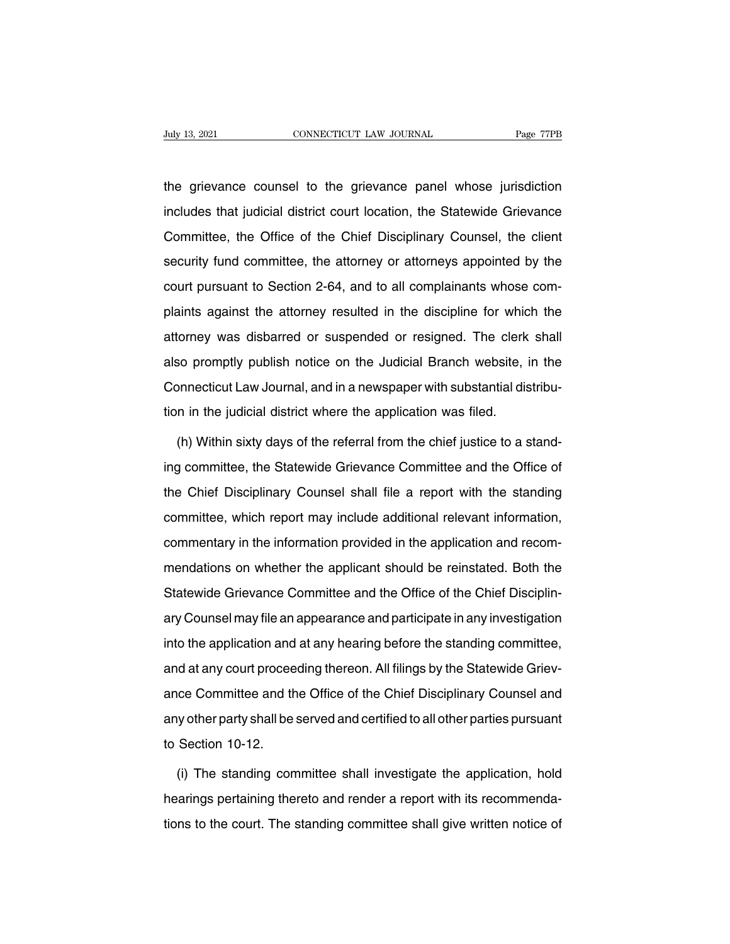Tuly 13, 2021 CONNECTICUT LAW JOURNAL Page 77PB<br>the grievance counsel to the grievance panel whose jurisdiction<br>includes that judicial district court location, the Statewide Grievance Incluy 13, 2021 CONNECTICUT LAW JOURNAL Page 77PB<br>the grievance counsel to the grievance panel whose jurisdiction<br>includes that judicial district court location, the Statewide Grievance<br>Committee, the Office of the Chief D The grievance counsel to the grievance panel whose jurisdiction<br>includes that judicial district court location, the Statewide Grievance<br>Committee, the Office of the Chief Disciplinary Counsel, the client<br>security fund comm the grievance counsel to the grievance panel whose jurisdiction<br>includes that judicial district court location, the Statewide Grievance<br>Committee, the Office of the Chief Disciplinary Counsel, the client<br>security fund comm the grievance counsel to the grievance panel whose jurisdiction<br>includes that judicial district court location, the Statewide Grievance<br>Committee, the Office of the Chief Disciplinary Counsel, the client<br>security fund comm Committee, the Office of the Chief Disciplinary Counsel, the client<br>security fund committee, the attorney or attorneys appointed by the<br>court pursuant to Section 2-64, and to all complainants whose com-<br>plaints against the security fund committee, the attorney or attorneys appointed by the court pursuant to Section 2-64, and to all complainants whose complaints against the attorney resulted in the discipline for which the attorney was disbar court pursuant to Section 2-64, and to all complainants whose complaints against the attorney resulted in the discipline for which the attorney was disbarred or suspended or resigned. The clerk shall also promptly publish plaints against the attorney resulted in the discipline for which the attorney was disbarred or suspended or resigned. The clerk shall also promptly publish notice on the Judicial Branch website, in the Connecticut Law Jou planne against the attorney resalted in the also promptly was disbarred or suspended or resigned. The clerk<br>also promptly publish notice on the Judicial Branch website, if<br>Connecticut Law Journal, and in a newspaper with s (a) so promptly publish notice on the Judicial Branch website, in the<br>pnnecticut Law Journal, and in a newspaper with substantial distribu-<br>n in the judicial district where the application was filed.<br>(h) Within sixty days

Connecticut Law Journal, and in a newspaper with substantial distribution in the judicial district where the application was filed.<br>
(h) Within sixty days of the referral from the chief justice to a stand-<br>
ing committee, tion in the judicial district where the application was filed.<br>
(h) Within sixty days of the referral from the chief justice to a stand-<br>
ing committee, the Statewide Grievance Committee and the Office of<br>
the Chief Discip (h) Within sixty days of the referral from the chief justice to a stand-<br>ing committee, the Statewide Grievance Committee and the Office of<br>the Chief Disciplinary Counsel shall file a report with the standing<br>committee, wh (ii) the information contained in the since jacket is a state ing committee, the Statewide Grievance Committee and the Office of the Chief Disciplinary Counsel shall file a report with the standing committee, which report mendations on whether the applicant should be reinstated. Both the standing<br>committee, which report may include additional relevant information,<br>commentary in the information provided in the application and recom-<br>mendatio Statewide, which report may include additional relevant information,<br>commentary in the information provided in the application and recom-<br>mendations on whether the applicant should be reinstated. Both the<br>Statewide Grievan commentary in the information provided in the application and recom-<br>mendations on whether the applicant should be reinstated. Both the<br>Statewide Grievance Committee and the Office of the Chief Disciplin-<br>ary Counsel may f in the internation previose in the application and recent<br>mendations on whether the applicant should be reinstated. Both the<br>Statewide Grievance Committee and the Office of the Chief Disciplin-<br>ary Counsel may file an appe Statewide Grievance Committee and the Office of the Chief Disciplinary Counsel may file an appearance and participate in any investigation<br>into the application and at any hearing before the standing committee,<br>and at any c ance Committee Committee and participate in any investigation<br>into the application and at any hearing before the standing committee,<br>and at any court proceeding thereon. All filings by the Statewide Griev-<br>ance Committee a any occurrently the anticipped and participate then, throstigation<br>into the application and at any hearing before the standing committee,<br>and at any court proceeding thereon. All filings by the Statewide Griev-<br>ance Commit and at any court procee<br>ance Committee and the<br>any other party shall be<br>to Section 10-12.<br>(i) The standing con (i) The standing committee shall investigate the application, hold<br>
ii) The standing committee shall investigate the application, hold<br>
iii) The standing committee shall investigate the application, hold<br>
arings pertaining

any other party shall be served and certified to all other parties pursuant<br>to Section 10-12.<br>(i) The standing committee shall investigate the application, hold<br>hearings pertaining thereto and render a report with its reco to Section 10-12.<br>
(i) The standing committee shall investigate the application, hold<br>
hearings pertaining thereto and render a report with its recommenda-<br>
tions to the court. The standing committee shall give written not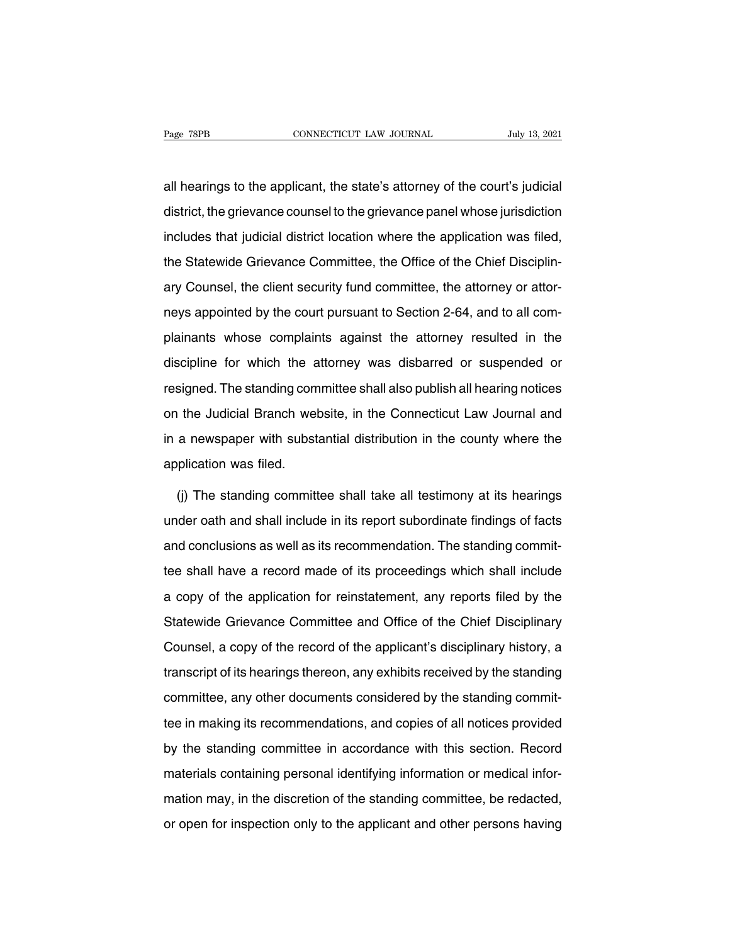Page 78PB<br>
CONNECTICUT LAW JOURNAL<br>
all hearings to the applicant, the state's attorney of the court's judicial<br>
district, the grievance counsel to the grievance panel whose jurisdiction Page 78PB CONNECTICUT LAW JOURNAL July 13, 2021<br>all hearings to the applicant, the state's attorney of the court's judicial<br>district, the grievance counsel to the grievance panel whose jurisdiction<br>includes that judicial d all hearings to the applicant, the state's attorney of the court's judicial<br>district, the grievance counsel to the grievance panel whose jurisdiction<br>includes that judicial district location where the application was filed all hearings to the applicant, the state's attorney of the court's judicial<br>district, the grievance counsel to the grievance panel whose jurisdiction<br>includes that judicial district location where the application was filed ary nearnings to the applicatity, the etable seturities of the securities jackies.<br>
district, the grievance counsel to the grievance panel whose jurisdiction<br>
includes that judicial district location where the application includes that judicial district location where the application was filed,<br>the Statewide Grievance Committee, the Office of the Chief Disciplin-<br>ary Counsel, the client security fund committee, the attorney or attor-<br>neys a the Statewide Grievance Committee, the Office of the Chief Disciplinary Counsel, the client security fund committee, the attorney or attorneys appointed by the court pursuant to Section 2-64, and to all complainants whose ary Counsel, the client security fund committee, the attorney or attor-<br>neys appointed by the court pursuant to Section 2-64, and to all com-<br>plainants whose complaints against the attorney resulted in the<br>discipline for w resigned by the court pursuant to Section 2-64, and to all complainants whose complaints against the attorney resulted in the discipline for which the attorney was disbarred or suspended or resigned. The standing committee plainants whose complaints against the attorney resulted in the discipline for which the attorney was disbarred or suspended or resigned. The standing committee shall also publish all hearing notices on the Judicial Branch discipline for which the attorney was disbarred or suspended or resigned. The standing committee shall also publish all hearing notices on the Judicial Branch website, in the Connecticut Law Journal and in a newspaper with discipline for which the attorney was disbarred or suspended or resigned. The standing committee shall also publish all hearing notices on the Judicial Branch website, in the Connecticut Law Journal and in a newspaper with (i) the Judicial Branch website, in the Connecticut Law Journal and<br>a newspaper with substantial distribution in the county where the<br>plication was filed.<br>(i) The standing committee shall take all testimony at its hearings

in a newspaper with substantial distribution in the county where the<br>application was filed.<br>(j) The standing committee shall take all testimony at its hearings<br>under oath and shall include in its report subordinate finding application was filed.<br>
(j) The standing committee shall take all testimony at its hearings<br>
under oath and shall include in its report subordinate findings of facts<br>
and conclusions as well as its recommendation. The stan (j) The standing committee shall take all testimony at its hearings<br>under oath and shall include in its report subordinate findings of facts<br>and conclusions as well as its recommendation. The standing commit-<br>tee shall hav and conclusions as well as its report subordinate findings of facts<br>and conclusions as well as its recommendation. The standing commit-<br>tee shall have a record made of its proceedings which shall include<br>a copy of the appl and conclusions as well as its recommendation. The standing commit-<br>tee shall have a record made of its proceedings which shall include<br>a copy of the application for reinstatement, any reports filed by the<br>Statewide Grieva The shall have a record made of its proceedings which shall include<br>a copy of the application for reinstatement, any reports filed by the<br>Statewide Grievance Committee and Office of the Chief Disciplinary<br>Counsel, a copy o the state wide a receive make of the proceduring three chain mediate<br>a copy of the application for reinstatement, any reports filed by the<br>Statewide Grievance Committee and Office of the Chief Disciplinary<br>Counsel, a copy complete the chief pisciplinary<br>Statewide Grievance Committee and Office of the Chief Disciplinary<br>Counsel, a copy of the record of the applicant's disciplinary history, a<br>transcript of its hearings thereon, any exhibits r Counsel, a copy of the record of the applicant's disciplinary history, a<br>transcript of its hearings thereon, any exhibits received by the standing<br>committee, any other documents considered by the standing commit-<br>tee in ma by the standing committee, any other documents considered by the standing committee, any other documents considered by the standing commit-<br>tee in making its recommendations, and copies of all notices provided<br>by the stand matteripreticalling interest, any oriented by the standing commit-<br>committee in making its recommendations, and copies of all notices provided<br>by the standing committee in accordance with this section. Record<br>materials con tee in making its recommendations, and copies of all notices provided<br>by the standing committee in accordance with this section. Record<br>materials containing personal identifying information or medical infor-<br>mation may, in by the standing committee in accordance with this section. Record<br>materials containing personal identifying information or medical infor-<br>mation may, in the discretion of the standing committee, be redacted,<br>or open for in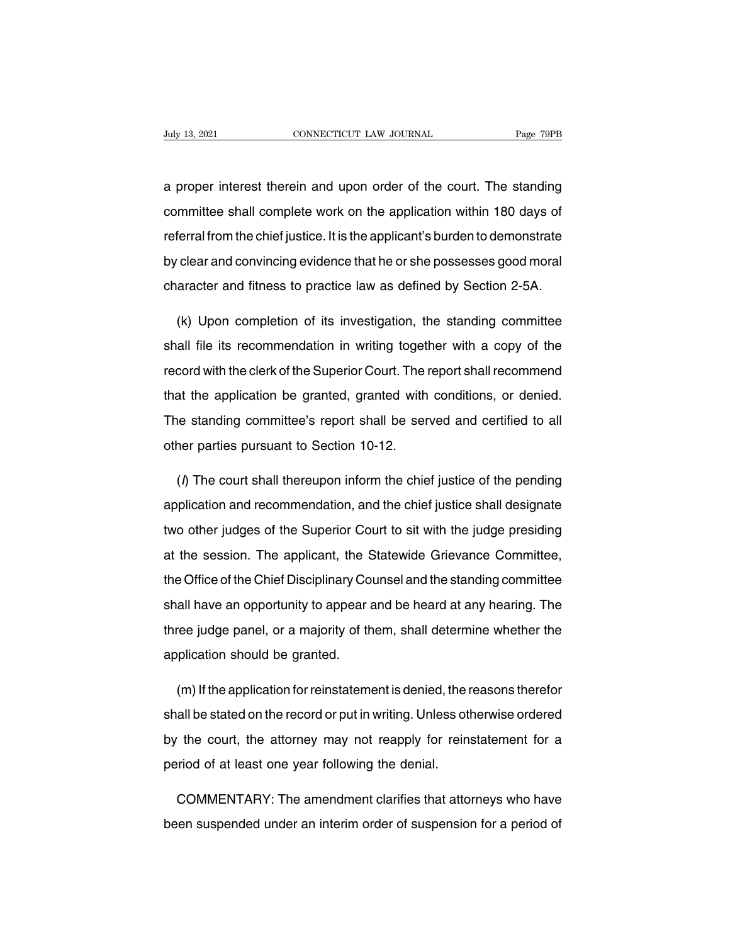A proper interest therein and upon order of the court. The standing<br>
deproper interest therein and upon order of the court. The standing<br>
dependence to the application within 180 days of CONNECTICUT LAW JOURNAL Page 79PB<br>a proper interest therein and upon order of the court. The standing<br>committee shall complete work on the application within 180 days of<br>referral from the chief justice. It is the applicant a proper interest therein and upon order of the court. The standing<br>committee shall complete work on the application within 180 days of<br>referral from the chief justice. It is the applicant's burden to demonstrate<br>by clear a proper interest therein and upon order of the court. The standing<br>committee shall complete work on the application within 180 days of<br>referral from the chief justice. It is the applicant's burden to demonstrate<br>by clear committee shall complete work on the application within 180 days of<br>referral from the chief justice. It is the applicant's burden to demonstrate<br>by clear and convincing evidence that he or she possesses good moral<br>characte (ferral from the chief justice. It is the applicant's burden to demonstrate<br>clear and convincing evidence that he or she possesses good moral<br>aracter and fitness to practice law as defined by Section 2-5A.<br>(k) Upon complet

by clear and convincing evidence that he or she possesses good moral<br>character and fitness to practice law as defined by Section 2-5A.<br>(k) Upon completion of its investigation, the standing committee<br>shall file its recomme character and fitness to practice law as defined by Section 2-5A.<br>
(k) Upon completion of its investigation, the standing committee<br>
shall file its recommendation in writing together with a copy of the<br>
record with the cle (k) Upon completion of its investigation, the standing committee shall file its recommendation in writing together with a copy of the record with the clerk of the Superior Court. The report shall recommend that the applica The standing commendation in writing together with a copy of the record with the clerk of the Superior Court. The report shall recommend that the application be granted, granted with conditions, or denied. The standing com onal life to Tocommondation in whiling togets<br>record with the clerk of the Superior Court. The if<br>that the application be granted, granted with<br>The standing committee's report shall be ser<br>other parties pursuant to Section (I) at the application be granted, granted with conditions, or denied.<br>
International committee's report shall be served and certified to all<br>
The rourt shall thereupon inform the chief justice of the pending<br>
plication an

The standing committee's report shall be served and certified to all<br>other parties pursuant to Section 10-12.<br>(*l*) The court shall thereupon inform the chief justice of the pending<br>application and recommendation, and the other parties pursuant to Section 10-12.<br>
(*l*) The court shall thereupon inform the chief justice of the pending<br>
application and recommendation, and the chief justice shall designate<br>
two other judges of the Superior Cou (*l*) The court shall thereupon inform the chief justice of the pending application and recommendation, and the chief justice shall designate two other judges of the Superior Court to sit with the judge presiding at the se (i) the ceart shall increased information and the chief justice shall designate<br>application and recommendation, and the chief justice shall designate<br>two other judges of the Superior Court to sit with the judge presiding<br>a shall have an opportunity to appear and be heard at any hearing. The session. The applicant, the Statewide Grievance Committee, the Office of the Chief Disciplinary Counsel and the standing committee shall have an opportun at the session. The applicant, the Statewide Grievance Committee,<br>the Office of the Chief Disciplinary Counsel and the standing committee<br>shall have an opportunity to appear and be heard at any hearing. The<br>three judge pan the Office of the Chief Disciplinary Co<br>shall have an opportunity to appear a<br>three judge panel, or a majority of the<br>application should be granted. all have an opportunity to appear and be heard at any hearing. The<br>ree judge panel, or a majority of them, shall determine whether the<br>plication should be granted.<br>(m) If the application for reinstatement is denied, the re

three judge panel, or a majority of them, shall determine whether the<br>application should be granted.<br>(m) If the application for reinstatement is denied, the reasons therefor<br>shall be stated on the record or put in writing. application should be granted.<br>
(m) If the application for reinstatement is denied, the reasons therefor<br>
shall be stated on the record or put in writing. Unless otherwise ordered<br>
by the court, the attorney may not reappl (m) If the application for reinstatement is denied, the r<br>shall be stated on the record or put in writing. Unless otl<br>by the court, the attorney may not reapply for reina<br>period of at least one year following the denial. all be stated on the record or put in writing. Unless otherwise ordered<br>
the court, the attorney may not reapply for reinstatement for a<br>
riod of at least one year following the denial.<br>
COMMENTARY: The amendment clarifies by the court, the attorney may not reapply for reinstatement for a<br>period of at least one year following the denial.<br>COMMENTARY: The amendment clarifies that attorneys who have<br>been suspended under an interim order of susp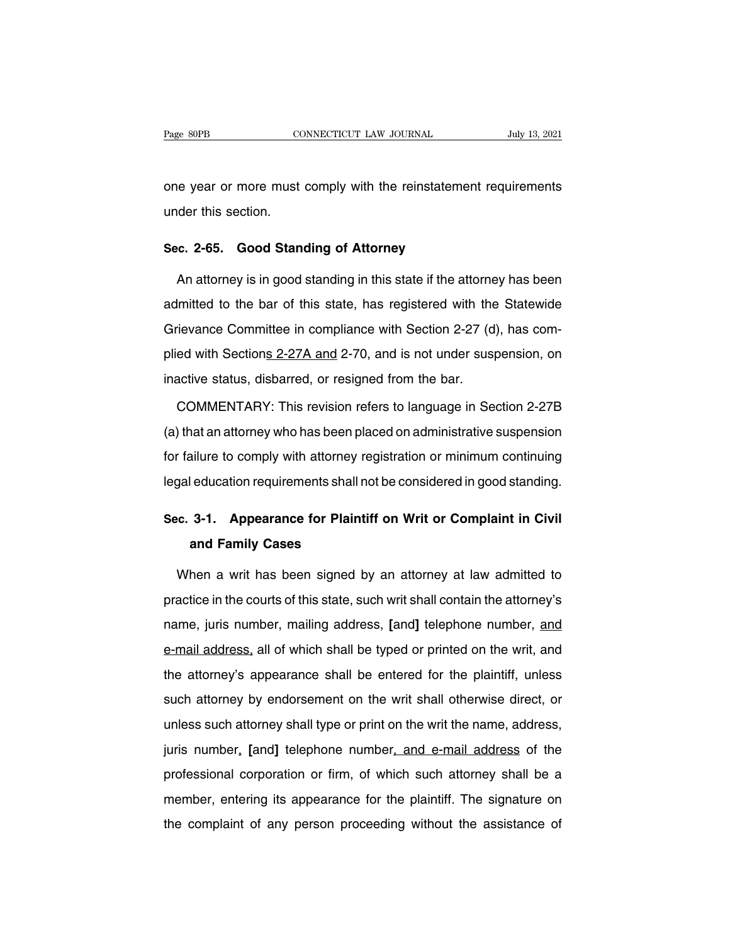Page 80PB CONNECTICUT LAW JOURNAL July 13, 2021<br>
one year or more must comply with the reinstatement requirements<br>
under this section. Page 80PB CC<br>
one year or more must<br>
under this section. one year or more must comply with the reinstatemer<br>under this section.<br>**Sec. 2-65. Good Standing of Attorney**<br>An attorney is in good standing in this state if the att

ie year or more must comply with the reinstatement requirements<br>der this section.<br>c. 2-65. Good Standing of Attorney<br>An attorney is in good standing in this state if the attorney has been<br>lmitted to the bar of this state, under this section.<br>
Sec. 2-65. Good Standing of Attorney<br>
An attorney is in good standing in this state if the attorney has been<br>
admitted to the bar of this state, has registered with the Statewide<br>
Grievance Committee i Sec. 2-65. Good Standing of Attorney<br>An attorney is in good standing in this state if the attorney has been<br>admitted to the bar of this state, has registered with the Statewide<br>Grievance Committee in compliance with Sectio An attorney is in good standing in this state if the attorney has been<br>admitted to the bar of this state, has registered with the Statewide<br>Grievance Committee in compliance with Section 2-27 (d), has com-<br>plied with Secti An allerting in the state in the allertic<br>admitted to the bar of this state, has registered with the<br>Grievance Committee in compliance with Section 2-27 (d<br>plied with Sections 2-27A and 2-70, and is not under susp<br>inactive rievance Committee in compliance with Section 2-27 (d), has com-<br>ed with Sections 2-27A and 2-70, and is not under suspension, on<br>active status, disbarred, or resigned from the bar.<br>COMMENTARY: This revision refers to lang

plied with Sections 2-27A and 2-70, and is not under suspension, on<br>inactive status, disbarred, or resigned from the bar.<br>COMMENTARY: This revision refers to language in Section 2-27B<br>(a) that an attorney who has been plac inactive status, disbarred, or resigned from the bar.<br>
COMMENTARY: This revision refers to language in Section 2-27B<br>
(a) that an attorney who has been placed on administrative suspension<br>
for failure to comply with attorn COMMENTARY: This revision refers to language in Section 2-27B<br>(a) that an attorney who has been placed on administrative suspension<br>for failure to comply with attorney registration or minimum continuing<br>legal education req (a) that an attorney who has been placed on administrative suspension<br>for failure to comply with attorney registration or minimum continuing<br>legal education requirements shall not be considered in good standing.<br>Sec. 3-1. Figure to comply with attorney represents shall not<br>**and Family Cases**<br>**And Family Cases**<br>**Represents** a writ has been signed b

gal education requirements shall not be considered in good standing.<br> **Example:**<br> **Example:**<br> **Example: Appearance for Plaintiff on Writ or Complaint in Civil<br>
and Family Cases<br>
When a writ has been signed by an attorney a** Sec. 3-1. Appearance for Plaintiff on Writ or Complaint in Civil<br>and Family Cases<br>When a writ has been signed by an attorney at law admitted to<br>practice in the courts of this state, such writ shall contain the attorney's<br>n and Family Cases<br>When a writ has been signed by an attorney at law admitted to<br>practice in the courts of this state, such writ shall contain the attorney's<br>name, juris number, mailing address, [and] telephone number, and<br>e When a writ has been signed by an attorney at law admitted to<br>practice in the courts of this state, such writ shall contain the attorney's<br>name, juris number, mailing address, [and] telephone number, and<br>e-mail address, al practice in the courts of this state, such writ shall contain the attorney's<br>name, juris number, mailing address, [and] telephone number, and<br>e-mail address, all of which shall be typed or printed on the writ, and<br>the atto practice in the ceans of this clate, such this shall contain the attorney c<br>name, juris number, mailing address, [and] telephone number, and<br>e-mail address, all of which shall be typed or printed on the writ, and<br>the attor e-mail address, all of which shall be typed or printed on the writ, and<br>the attorney's appearance shall be entered for the plaintiff, unless<br>such attorney by endorsement on the writ shall otherwise direct, or<br>unless such a In the attorney's appearance shall be entered for the plaintiff, unless<br>such attorney by endorsement on the writ shall otherwise direct, or<br>unless such attorney shall type or print on the writ the name, address,<br>juris numb such attorney by endorsement on the writ shall otherwise direct, or<br>unless such attorney shall type or print on the writ the name, address,<br>juris number, [and] telephone number, and e-mail address of the<br>professional corpo unless such attorney shall type or print on the writ the name, address,<br>juris number, [and] telephone number, and e-mail address of the<br>professional corporation or firm, of which such attorney shall be a<br>member, entering i the complaint of any person proceeding without the assistance of the complaint of any person proceeding without the assistance of the complaint of any person proceeding without the assistance of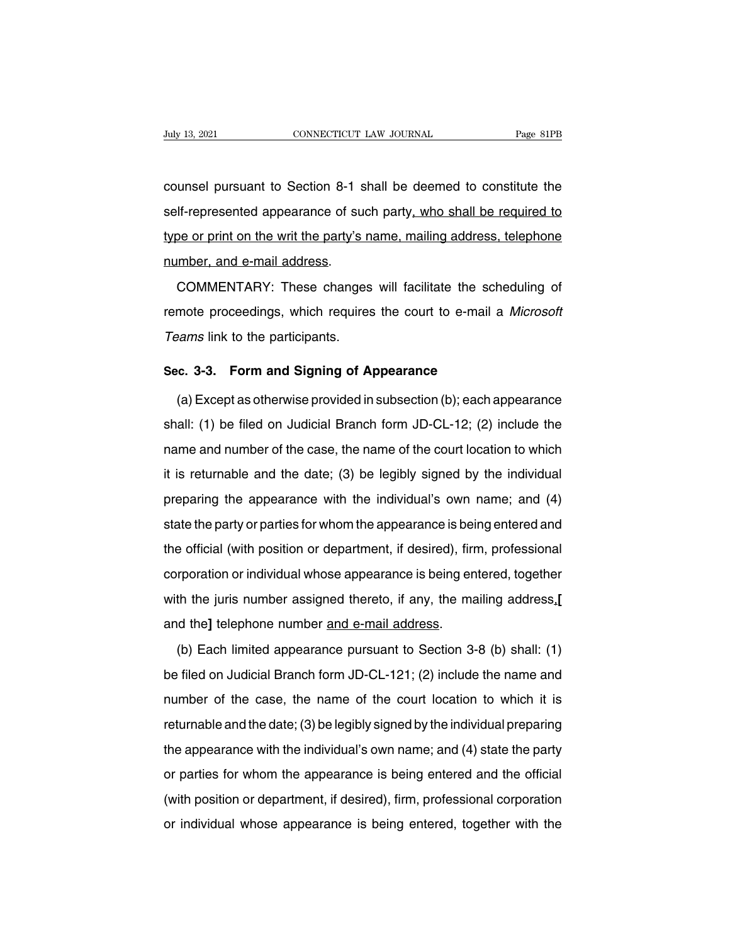CONNECTICUT LAW JOURNAL Page 81PB<br>
counsel pursuant to Section 8-1 shall be deemed to constitute the<br>
Self-represented appearance of such party, who shall be required to Suly 13, 2021 CONNECTICUT LAW JOURNAL Page SIPB<br>
self-represented appearance of such party, who shall be required to<br>
self-represented appearance of such party, who shall be required to<br>
type or print on the writ the party counsel pursuant to Section 8-1 shall be deemed to constitute the<br>self-represented appearance of such party, who shall be required to<br>type or print on the writ the party's name, mailing address, telephone<br>number, and e-mai counsel pursuant to Section 8-1 s<br>self-represented appearance of su<br>type or print on the writ the party's<br>number, and e-mail address.<br>COMMENTARY: These change If-represented appearance of such party, who shall be required to<br>be or print on the writ the party's name, mailing address, telephone<br>imber, and e-mail address.<br>COMMENTARY: These changes will facilitate the scheduling of<br>

represented appearance of each party<u><sub>1</sub> mistorian so required to</u><br>type or print on the writ the party's name, mailing address, telephone<br>number, and e-mail address.<br>COMMENTARY: These changes will facilitate the scheduling The parties of the parties of the parties of the parties.<br>Teams link to the participants.<br>Teams link to the participants. COMMENTARY: These changes will facilitate the sch<br>remote proceedings, which requires the court to e-mail a<br>Teams link to the participants.<br>Sec. 3-3. Form and Signing of Appearance<br>(a) Except as otherwise provided in subsec mote proceedings, which requires the court to e-mail a *Microsoft*<br>
eams link to the participants.<br> **c. 3-3. Form and Signing of Appearance**<br>
(a) Except as otherwise provided in subsection (b); each appearance<br>
all: (1) be

Teams link to the participants.<br>
Sec. 3-3. Form and Signing of Appearance<br>
(a) Except as otherwise provided in subsection (b); each appearance<br>
shall: (1) be filed on Judicial Branch form JD-CL-12; (2) include the<br>
name an Sec. 3-3. Form and Signing of Appearance<br>
(a) Except as otherwise provided in subsection (b); each appearance<br>
shall: (1) be filed on Judicial Branch form JD-CL-12; (2) include the<br>
name and number of the case, the name of (a) Except as otherwise provided in subsection (b); each appearance shall: (1) be filed on Judicial Branch form JD-CL-12; (2) include the name and number of the case, the name of the court location to which it is returnab (a) Except as chief wee provided in subsection (b), each appearance shall: (1) be filed on Judicial Branch form JD-CL-12; (2) include the name and number of the case, the name of the court location to which it is returnab shall. (1) be lied off dational branch form object 12, (2) include the parties for whom the case, the name of the court location to which it is returnable and the date; (3) be legibly signed by the individual preparing th the official (with position or department, if desired), firm, professional corporation or individual whose appearance is being entered and the official (with position or department, if desired), firm, professional corporat preparing the appearance with the individual's own name; and (4)<br>state the party or parties for whom the appearance is being entered and<br>the official (with position or department, if desired), firm, professional<br>corporatio propulsing the appearance with the individual commutation, and (1) state the party or parties for whom the appearance is being entered and the official (with position or department, if desired), firm, professional corporat the official (with position or department, if desired), firm<br>the official (with position or department, if desired), firm<br>corporation or individual whose appearance is being en<br>with the juris number assigned thereto, if an rporation or individual whose appearance is being entered, together<br>th the juris number assigned thereto, if any, the mailing address.[<br>d the] telephone number and e-mail address.<br>(b) Each limited appearance pursuant to Se

be filed on Judicial Branch form JD-CL-121; (2) include the name and<br>helphone number and e-mail address.<br>(b) Each limited appearance pursuant to Section 3-8 (b) shall: (1)<br>be filed on Judicial Branch form JD-CL-121; (2) in and the] telephone number and e-mail address.<br>
(b) Each limited appearance pursuant to Section 3-8 (b) shall: (1)<br>
be filed on Judicial Branch form JD-CL-121; (2) include the name and<br>
number of the case, the name of the (b) Each limited appearance pursuant to Section 3-8 (b) shall: (1)<br>be filed on Judicial Branch form JD-CL-121; (2) include the name and<br>number of the case, the name of the court location to which it is<br>returnable and the the filed on Judicial Branch form JD-CL-121; (2) include the name and<br>number of the case, the name of the court location to which it is<br>returnable and the date; (3) be legibly signed by the individual preparing<br>the appear number of the case, the name of the court location to which it is<br>returnable and the date; (3) be legibly signed by the individual preparing<br>the appearance with the individual's own name; and (4) state the party<br>or partie raturable and the date; (3) be legibly signed by the individual preparing<br>the appearance with the individual's own name; and (4) state the party<br>or parties for whom the appearance is being entered and the official<br>(with po ordinatio and the date, (e) be legibly eighbors the individual propaining<br>the appearance with the individual's own name; and (4) state the party<br>or parties for whom the appearance is being entered and the official<br>(with po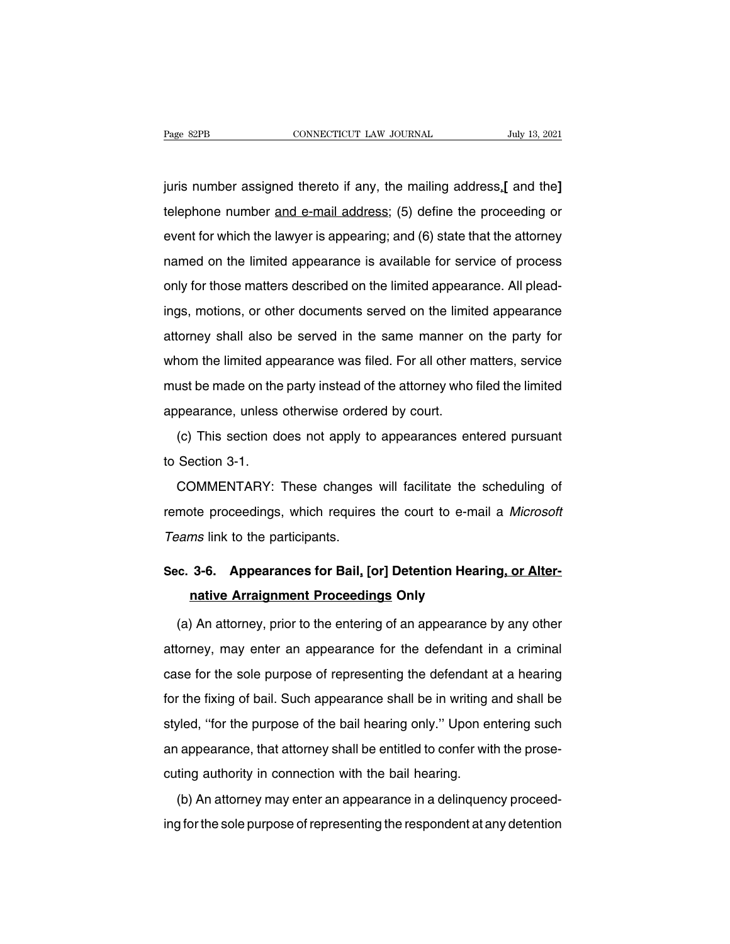Fage 82PB CONNECTICUT LAW JOURNAL July 13, 2021<br>juris number assigned thereto if any, the mailing address,**[** and the]<br>telephone number <u>and e-mail address</u>; (5) define the proceeding or Fage 82PB CONNECTICUT LAW JOURNAL July 13, 2021<br>juris number assigned thereto if any, the mailing address. [ and the]<br>telephone number and e-mail address; (5) define the proceeding or<br>event for which the lawyer is appearin juris number assigned thereto if any, the mailing address,[ and the]<br>telephone number and e-mail address; (5) define the proceeding or<br>event for which the lawyer is appearing; and (6) state that the attorney<br>named on the l juris number assigned thereto if any, the mailing address,[ and the]<br>telephone number <u>and e-mail address</u>; (5) define the proceeding or<br>event for which the lawyer is appearing; and (6) state that the attorney<br>named on the delephone number and e-mail address; (5) define the proceeding or<br>event for which the lawyer is appearing; and (6) state that the attorney<br>named on the limited appearance is available for service of process<br>only for those inguistant of multiple in the proceeding of<br>event for which the lawyer is appearing; and (6) state that the attorney<br>named on the limited appearance is available for service of process<br>only for those matters described on t atterney manned on the limited appearance is available for service of process<br>only for those matters described on the limited appearance. All plead-<br>ings, motions, or other documents served on the limited appearance<br>attorn only for those matters described on the limited appearance. All pleadings, motions, or other documents served on the limited appearance<br>attorney shall also be served in the same manner on the party for<br>whom the limited app ings, motions, or other documents served on the limited appearance<br>attorney shall also be served in the same manner on the party for<br>whom the limited appearance was filed. For all other matters, service<br>must be made on the attorney shall also be served in the same manner of whom the limited appearance was filed. For all other net must be made on the party instead of the attorney who appearance, unless otherwise ordered by court.<br>(c) This sec (c) This section does not apply to appearances entered pursuant Section 3-1. mish the limited approvement the interaction the<br>appearance, unless<br>(c) This section do<br>to Section 3-1.<br>COMMENTARY:

pearance, unless otherwise ordered by court.<br>(c) This section does not apply to appearances entered pursuant<br>Section 3-1.<br>COMMENTARY: These changes will facilitate the scheduling of<br>mote proceedings, which requires the cou representatives, ansee enterined endeted by education<br>(c) This section does not apply to appearances entered pursuant<br>to Section 3-1.<br>COMMENTARY: These changes will facilitate the scheduling of<br>remote proceedings, which re The Section 3-1.<br>These changes<br>remote proceedings, which requires<br>Teams link to the participants. COMMENTARY: These changes will facilitate the scheduling of<br>
remote proceedings, which requires the court to e-mail a *Microsoft*<br>
Teams link to the participants.<br>
Sec. 3-6. Appearances for Bail, [or] Detention Hearing, or be proceedings, which requires the court to e-mail<br> *ns* link to the participants.<br> **3-6.** Appearances for Bail, [or] Detention Hearin<br>
native Arraignment Proceedings Only<br>
An attorney, prior to the entering of an appearan

Frameson link to the participants.<br>
(c. 3-6. Appearances for Bail, [or] Detention Hearing, or Alter-<br>
native Arraignment Proceedings Only<br>
(a) An attorney, prior to the entering of an appearance by any other<br>
torney, may e Sec. 3-6. Appearances for Bail, [or] Detention Hearing, or Alter-<br>native Arraignment Proceedings Only<br>(a) An attorney, prior to the entering of an appearance by any other<br>attorney, may enter an appearance for the defendant native Arraignment Proceedings Only<br>
(a) An attorney, prior to the entering of an appearance by any other<br>
attorney, may enter an appearance for the defendant in a criminal<br>
case for the sole purpose of representing the de (a) An attorney, prior to the entering of an appearance by any other<br>attorney, may enter an appearance for the defendant in a criminal<br>case for the sole purpose of representing the defendant at a hearing<br>for the fixing of attorney, may enter an appearance for the defendant in a criminal<br>case for the sole purpose of representing the defendant at a hearing<br>for the fixing of bail. Such appearance shall be in writing and shall be<br>styled, "for t and any official and appearance for the detendant in a chinnel case for the sole purpose of representing the defendant at a hearing for the fixing of bail. Such appearance shall be in writing and shall be styled, "for the for the fixing of bail. Such appearance shall be in writing a<br>styled, "for the purpose of the bail hearing only." Upon er<br>an appearance, that attorney shall be entitled to confer wit<br>cuting authority in connection with the (b) An attorney may enter an appearance in a delinquency proceed-<br>in appearance, that attorney shall be entitled to confer with the proseting authority in connection with the bail hearing.<br>(b) An attorney may enter an appe an appearance, that attorney shall be entitled to confer with the prose-<br>cuting authority in connection with the bail hearing.<br>(b) An attorney may enter an appearance in a delinquency proceed-<br>ing for the sole purpose of r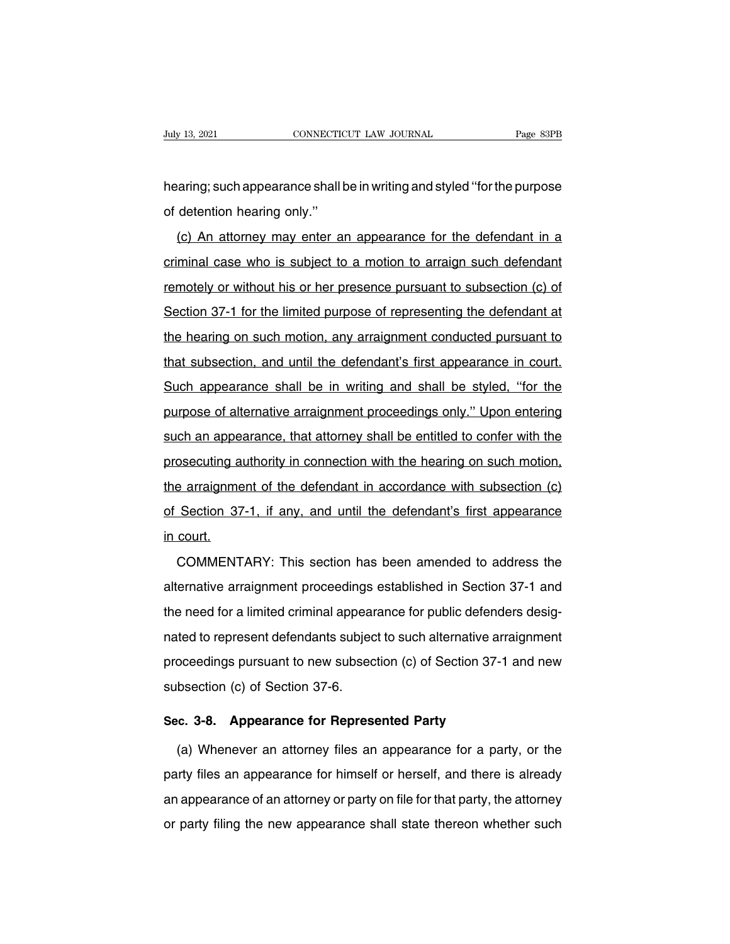Figure 13, 2021<br>hearing; such appearance shall be in writing and styled ''for the purpose<br>of detention hearing only.'' July 13, 2021<br>
hearing; such appearance shall lof detention hearing only."<br>
(c) An attorney may enter a

(a) arring; such appearance shall be in writing and styled "for the purpose<br>detention hearing only."<br>(c) An attorney may enter an appearance for the defendant in a<br>minal case who is subject to a motion to arraign such defe hearing; such appearance shall be in writing and styled "for the purpose<br>of detention hearing only."<br>(c) An attorney may enter an appearance for the defendant in a<br>criminal case who is subject to a motion to arraign such d redung, each appearance or unitally and explode for the parpect<br>of detention hearing only."<br>(c) An attorney may enter an appearance for the defendant in a<br>criminal case who is subject to a motion to arraign such defendant<br> (c) An attorney may enter an appearance for the defendant in a criminal case who is subject to a motion to arraign such defendant remotely or without his or her presence pursuant to subsection (c) of Section 37-1 for the l the discreption of the discreption of the discrete pursuant of the discrete pursuant remotely or without his or her presence pursuant to subsection (c) of Section 37-1 for the limited purpose of representing the defendant termotely or without his or her presence pursuant to subsection (c) of Section 37-1 for the limited purpose of representing the defendant at the hearing on such motion, any arraignment conducted pursuant to that subsection Section 37-1 for the limited purpose of representing the defendant at<br>the hearing on such motion, any arraignment conducted pursuant to<br>that subsection, and until the defendant's first appearance in court.<br>Such appearance the hearing on such motion, any arraignment conducted pursuant to<br>that subsection, and until the defendant's first appearance in court.<br>Such appearance shall be in writing and shall be styled, "for the<br>purpose of alternati that subsection, and until the defendant's first appearance in court.<br>Such appearance shall be in writing and shall be styled, "for the<br>purpose of alternative arraignment proceedings only." Upon entering<br>such an appearance such appearance shall be in writing and shall be styled, "for the purpose of alternative arraignment proceedings only." Upon entering such an appearance, that attorney shall be entitled to confer with the prosecuting autho purpose of alternative arraignment proceedings only." Upon entering<br>such an appearance, that attorney shall be entitled to confer with the<br>prosecuting authority in connection with the hearing on such motion,<br>the arraignmen such an appearance, that attorney shall be entitled to confer with the prosecuting authority in connection with the hearing on such motion, the arraignment of the defendant in accordance with subsection (c) of Section 37-1 such an appearance, that attorney shall be entitled to confer with the<br>prosecuting authority in connection with the hearing on such motion,<br>the arraignment of the defendant in accordance with subsection (c)<br>of Section 37-1 e arraignment of the defendant in accordance with subsection (c)<br>Section 37-1, if any, and until the defendant's first appearance<br>court.<br>COMMENTARY: This section has been amended to address the<br>ernative arraignment proceed

alternative arraignment of the defendant's first appearance<br>in court.<br>COMMENTARY: This section has been amended to address the<br>alternative arraignment proceedings established in Section 37-1 and<br>the need for a limited crim the need for a limited criminal appearance for public defenders designated to represent defendants subject to such alternative arraignment proceedings established in Section 37-1 and the need for a limited criminal appeara COMMENTARY: This section has been amended to address the<br>alternative arraignment proceedings established in Section 37-1 and<br>the need for a limited criminal appearance for public defenders desig-<br>nated to represent defenda alternative arraignment proceedings established in Section 37-1 and<br>the need for a limited criminal appearance for public defenders desig-<br>nated to represent defendants subject to such alternative arraignment<br>proceedings p subsection (c) of Section 37-6.<br>Subsection (c) of Section 37-6.<br>Subsection (c) of Section 37-6. rated to represent defendants subject to such alternative arrancy proceedings pursuant to new subsection (c) of Section 37-1<br>
subsection (c) of Section 37-6.<br> **Sec. 3-8. Appearance for Represented Party**<br>
(a) Whenever an a oceedings pursuant to new subsection (c) of Section 37-1 and new<br>bsection (c) of Section 37-6.<br>c. 3-8. Appearance for Represented Party<br>(a) Whenever an attorney files an appearance for a party, or the<br>rity files an appeara

subsection (c) of Section 37-6.<br> **Sec. 3-8.** Appearance for Represented Party<br>
(a) Whenever an attorney files an appearance for a party, or the<br>
party files an appearance for himself or herself, and there is already<br>
an ap Sec. 3-8. Appearance for Represented Party<br>
(a) Whenever an attorney files an appearance for a party, or the<br>
party files an appearance for himself or herself, and there is already<br>
an appearance of an attorney or party on (a) Whenever an attorney files an appearance for a party, or the party files an appearance for himself or herself, and there is already an appearance of an attorney or party on file for that party, the attorney or party fi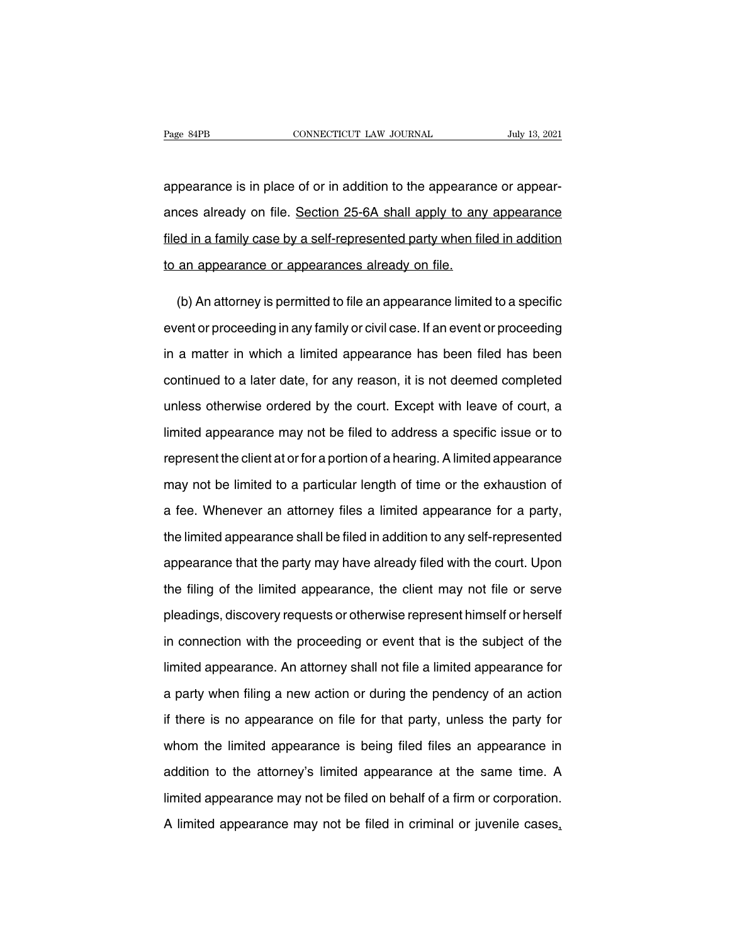Page 84PB<br>
CONNECTICUT LAW JOURNAL<br>
appearance is in place of or in addition to the appearance or appear-<br>
ances already on file. Section 25-6A shall apply to any appearance Page 84PB CONNECTICUT LAW JOURNAL July 13, 2021<br>appearance is in place of or in addition to the appearance or appear-<br>ances already on file. Section 25-6A shall apply to any appearance<br>filed in a family case by a self-repr appearance is in place of or in addition to the appearance or appearance<br>ances already on file. Section 25-6A shall apply to any appearance<br>filed in a family case by a self-represented party when filed in addition<br>to an ap appearance is in place of or in addition to the appearance<br>ances already on file. Section 25-6A shall apply to any<br>filed in a family case by a self-represented party when fil-<br>to an appearance or appearances already on fil (ces already on file. <u>Section 25-6A shall apply to any appearance</u><br>ed in a family case by a self-represented party when filed in addition<br>an appearance or appearances already on file.<br>(b) An attorney is permitted to file

filed in a family case by a self-represented party when filed in addition<br>to an appearance or appearances already on file.<br>(b) An attorney is permitted to file an appearance limited to a specific<br>event or proceeding in any in a matter in which a limited to file an appearance limited to a specific<br>event or proceeding in any family or civil case. If an event or proceeding<br>in a matter in which a limited appearance has been filed has been<br>contin (b) An attorney is permitted to file an appearance limited to a specific<br>event or proceeding in any family or civil case. If an event or proceeding<br>in a matter in which a limited appearance has been filed has been<br>continue event or proceeding in any family or civil case. If an event or proceeding<br>in a matter in which a limited appearance has been filed has been<br>continued to a later date, for any reason, it is not deemed completed<br>unless othe in a matter in which a limited appearance has been filed has been<br>continued to a later date, for any reason, it is not deemed completed<br>unless otherwise ordered by the court. Except with leave of court, a<br>limited appearanc continued to a later date, for any reason, it is not deemed completed<br>unless otherwise ordered by the court. Except with leave of court, a<br>limited appearance may not be filed to address a specific issue or to<br>represent the unless otherwise ordered by the court. Except with leave of court, a<br>limited appearance may not be filed to address a specific issue or to<br>represent the client at or for a portion of a hearing. A limited appearance<br>may not limited appearance may not be filed to address a specific issue or to<br>represent the client at or for a portion of a hearing. A limited appearance<br>may not be limited to a particular length of time or the exhaustion of<br>a fee represent the client at or for a portion of a hearing. A limited appearance<br>may not be limited to a particular length of time or the exhaustion of<br>a fee. Whenever an attorney files a limited appearance for a party,<br>the lim may not be limited to a particular length of time or the exhaustion of<br>a fee. Whenever an attorney files a limited appearance for a party,<br>the limited appearance shall be filed in addition to any self-represented<br>appearanc a fee. Whenever an attorney files a limited appearance for a party,<br>the limited appearance shall be filed in addition to any self-represented<br>appearance that the party may have already filed with the court. Upon<br>the filing the limited appearance shall be filed in addition to any self-represented<br>appearance that the party may have already filed with the court. Upon<br>the filing of the limited appearance, the client may not file or serve<br>pleadin appearance that the party may have already filed with the court. Upon<br>the filing of the limited appearance, the client may not file or serve<br>pleadings, discovery requests or otherwise represent himself or herself<br>in connec the filing of the limited appearance, the client may not file or serve<br>pleadings, discovery requests or otherwise represent himself or herself<br>in connection with the proceeding or event that is the subject of the<br>limited a pleadings, discovery requests or otherwise represent himself or herself<br>in connection with the proceeding or event that is the subject of the<br>limited appearance. An attorney shall not file a limited appearance for<br>a party in connection with the proceeding or event that is the subject of the limited appearance. An attorney shall not file a limited appearance for a party when filing a new action or during the pendency of an action if there is limited appearance. An attorney shall not file a limited appearance for<br>a party when filing a new action or during the pendency of an action<br>if there is no appearance on file for that party, unless the party for<br>whom the l a party when filing a new action or during the pendency of an action<br>if there is no appearance on file for that party, unless the party for<br>whom the limited appearance is being filed files an appearance in<br>addition to the if there is no appearance on file for that party, unless the party for<br>whom the limited appearance is being filed files an appearance in<br>addition to the attorney's limited appearance at the same time. A<br>limited appearance whom the limited appearance is being filed files an appearance in<br>addition to the attorney's limited appearance at the same time. A<br>limited appearance may not be filed on behalf of a firm or corporation.<br>A limited appearan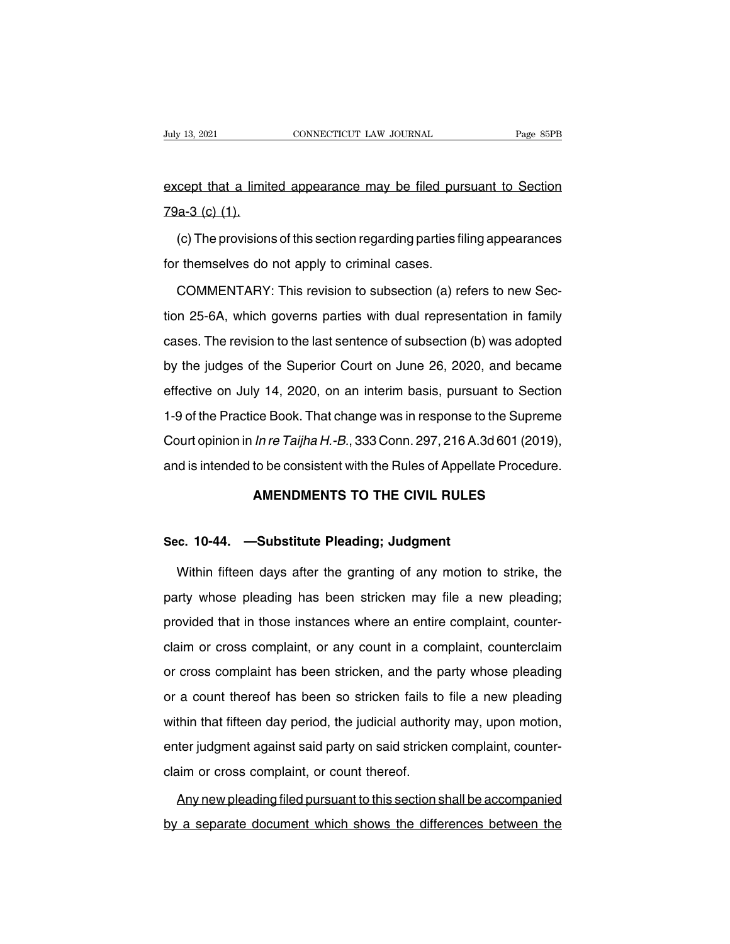Finding 13, 2021<br>
except that a limited appearance may be filed pursuant to Section<br>
1994-3 (c) (1). <u>July 13, 2021</u><br>
<u>except that a limite</u><br>
<u>79a-3 (c) (1).</u><br>
(c) The provisions

(c) Computed that a limited appearance may be filed pursuant to Section<br>
(c) The provisions of this section regarding parties filing appearances<br>
Themselves do not apply to criminal cases. except that a limited appearance may be filed pure<br>
79a-3 (c) (1).<br>
(c) The provisions of this section regarding parties fil<br>
for themselves do not apply to criminal cases.<br>
COMMENTARY: This revision to subsection (a) re

(c) (1).<br>(c) The provisions of this section regarding parties filing appearances<br>r themselves do not apply to criminal cases.<br>COMMENTARY: This revision to subsection (a) refers to new Sec-<br>n 25-6A, which governs parties wi (c) The provisions of this section regarding parties filing appearances<br>for themselves do not apply to criminal cases.<br>COMMENTARY: This revision to subsection (a) refers to new Sec-<br>tion 25-6A, which governs parties with d for themselves do not apply to criminal cases.<br>COMMENTARY: This revision to subsection (a) refers to new Sec-<br>tion 25-6A, which governs parties with dual representation in family<br>cases. The revision to the last sentence of COMMENTARY: This revision to subsection (a) refers to new Section 25-6A, which governs parties with dual representation in family cases. The revision to the last sentence of subsection (b) was adopted by the judges of the ECOMMENTATITY THE FONDOM TO SUBSSOCION (U) TORD TO THEW SCOTT (U) TORD TO THE MORE TO THE TO ASSESS. The revision to the last sentence of subsection (b) was adopted by the judges of the Superior Court on June 26, 2020, and cases. The revision to the last sentence of subsection (b) was adopted<br>by the judges of the Superior Court on June 26, 2020, and became<br>effective on July 14, 2020, on an interim basis, pursuant to Section<br>1-9 of the Pract by the judges of the Superior Court on June 26, 2020, and became<br>effective on July 14, 2020, on an interim basis, pursuant to Section<br>1-9 of the Practice Book. That change was in response to the Supreme<br>Court opinion in *I* and is intended to be consistent with the Rules of Appellate Procedure.<br>And is intended to be consistent with the Rules of Appellate Procedure.<br>AMENDMENTS TO THE CIVIL RULES ce Book. That change was in response to the Supreme<br>
In re Taijha H.-B., 333 Conn. 297, 216 A.3d 601 (2019),<br>
to be consistent with the Rules of Appellate Procedure.<br> **AMENDMENTS TO THE CIVIL RULES Example Playmer III 24, 300 Schmitters, 200 Mergedian**<br> **AMENDMENTS TO THE CIVIL RULES**<br> **Sec. 10-44. —Substitute Pleading; Judgment**<br>
Within fifteen days after the granting of any motion t

AMENDMENTS TO THE CIVIL RULES<br>c. 10-44. —Substitute Pleading; Judgment<br>Within fifteen days after the granting of any motion to strike, the<br>rity whose pleading has been stricken may file a new pleading; Sec. 10-44. —Substitute Pleading; Judgment<br>Within fifteen days after the granting of any motion to strike, the<br>party whose pleading has been stricken may file a new pleading;<br>provided that in those instances where an entir Sec. 10-44. —Substitute Pleading; Judgment<br>Within fifteen days after the granting of any motion to strike, the<br>party whose pleading has been stricken may file a new pleading;<br>provided that in those instances where an entir Within fifteen days after the granting of any motion to strike, the<br>party whose pleading has been stricken may file a new pleading;<br>provided that in those instances where an entire complaint, counter-<br>claim or cross compla party whose pleading has been stricken may file a new pleading;<br>provided that in those instances where an entire complaint, counter-<br>claim or cross complaint, or any count in a complaint, counterclaim<br>or cross complaint ha provided that in those instances where an entire complaint, counter-<br>claim or cross complaint, or any count in a complaint, counterclaim<br>or cross complaint has been stricken, and the party whose pleading<br>or a count thereof elaim or cross complaint, or any count in a complaint, counterclaim<br>or cross complaint has been stricken, and the party whose pleading<br>or a count thereof has been so stricken fails to file a new pleading<br>within that fiftee end or cross complaint, or any obtain in a complaint, counterclaint<br>or cross complaint has been so stricken fails to file a new pleading<br>within that fifteen day period, the judicial authority may, upon motion,<br>enter judgme or a count thereof has been so stricken fails to<br>within that fifteen day period, the judicial authorit<br>enter judgment against said party on said stricker<br>claim or cross complaint, or count thereof.<br>Any new pleading filed p Any new pleading filed pursuant to this section shall be accompanied<br>Any new pleading filed pursuant to this section shall be accompanied<br>Any new pleading filed pursuant to this section shall be accompanied<br>Any new pleadin enter judgment against said party on said stricken complaint, counter-<br>claim or cross complaint, or count thereof.<br>Any new pleading filed pursuant to this section shall be accompanied<br>by a separate document which shows the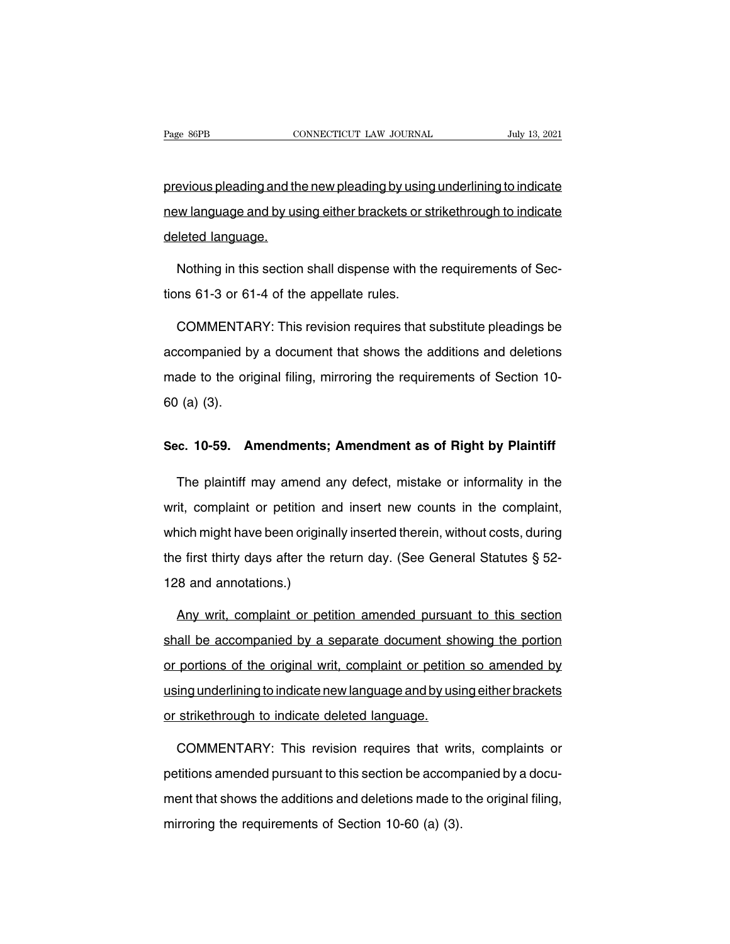Page 86PB<br>
connectricut LAW JOURNAL July 13, 2021<br>
previous pleading and the new pleading by using underlining to indicate<br>
new language and by using either brackets or strikethrough to indicate Page 86PB CONNECTICUT LAW JOURNAL July 13, 2021<br>previous pleading and the new pleading by using underlining to indicate<br>new language and by using either brackets or strikethrough to indicate<br>deleted language. previous pleading and the<br>new language and by us<br>deleted language.<br>Nothing in this section previous pleading and the new pleading by using underlining to indicate<br>new language and by using either brackets or strikethrough to indicate<br>deleted language.<br>Nothing in this section shall dispense with the requirements new language and by using either brackets or st<br>deleted language.<br>Nothing in this section shall dispense with the<br>tions 61-3 or 61-4 of the appellate rules.<br>COMMENTARY: This revision requires that s

explored language.<br>Nothing in this section shall dispense with the requirements of Sec-<br>ns 61-3 or 61-4 of the appellate rules.<br>COMMENTARY: This revision requires that substitute pleadings be<br>companied by a document that s Nothing in this section shall dispense with the requirements of Sections 61-3 or 61-4 of the appellate rules.<br>COMMENTARY: This revision requires that substitute pleadings be<br>accompanied by a document that shows the additio tions 61-3 or 61-4 of the appellate rules.<br>COMMENTARY: This revision requires that substitute pleadings be<br>accompanied by a document that shows the additions and deletions<br>made to the original filing, mirroring the require COMMENTAI<br>accompanied by<br>made to the orig<br>60 (a) (3). accompanied by a document that shows the additions and deletions<br>
made to the original filing, mirroring the requirements of Section 10-<br>
60 (a) (3).<br>
Sec. 10-59. Amendments; Amendment as of Right by Plaintiff

of (a) (3).<br> **C. 10-59. Amendments; Amendment as of Right by Plaintiff**<br>
The plaintiff may amend any defect, mistake or informality in the<br>
it, complaint or petition and insert new counts in the complaint, Sec. 10-59. Amendments; Amendment as of Right by Plaintiff<br>The plaintiff may amend any defect, mistake or informality in the<br>writ, complaint or petition and insert new counts in the complaint,<br>which might have been origina Sec. 10-59. Amendments; Amendment as of Right by Plaintiff<br>The plaintiff may amend any defect, mistake or informality in the<br>writ, complaint or petition and insert new counts in the complaint,<br>which might have been origina The plaintiff may amend any defect, mistake or informality in the writ, complaint or petition and insert new counts in the complaint, which might have been originally inserted therein, without costs, during the first thirt writ, complaint or petition and<br>which might have been original<br>the first thirty days after the<br>128 and annotations.) ich might have been originally inserted therein, without costs, during<br>
a first thirty days after the return day. (See General Statutes § 52-<br>
18 and annotations.)<br>
Any writ, complaint or petition amended pursuant to this

shall be accompanied by a separate document showing the portion<br>shall be accompanied by a separate document showing the portion<br>or portions of the original writ, complaint or petition so amended by 128 and annotations.)<br>Any writ, complaint or petition amended pursuant to this section<br>shall be accompanied by a separate document showing the portion<br>or portions of the original writ, complaint or petition so amended by<br>u Any writ, complaint or petition amended pursuant to this section<br>shall be accompanied by a separate document showing the portion<br>or portions of the original writ, complaint or petition so amended by<br>using underlining to in shall be accompanied by a separate document shor portions of the original writ, complaint or petition<br>using underlining to indicate new language and by usi<br>or strikethrough to indicate deleted language.<br>COMMENTARY: This re portions of the original writ, complaint or petition so amended by<br>ing underlining to indicate new language and by using either brackets<br>strikethrough to indicate deleted language.<br>COMMENTARY: This revision requires that w

using underlining to indicate new language and by using either brackets<br>or strikethrough to indicate deleted language.<br>COMMENTARY: This revision requires that writs, complaints or<br>petitions amended pursuant to this section or strikethrough to indicate deleted language.<br>COMMENTARY: This revision requires that writs, complaints or<br>petitions amended pursuant to this section be accompanied by a docu-<br>ment that shows the additions and deletions m COMMENTARY: This revision requires that writer-<br>petitions amended pursuant to this section be accomponent that shows the additions and deletions made to<br>mirroring the requirements of Section 10-60 (a) (3).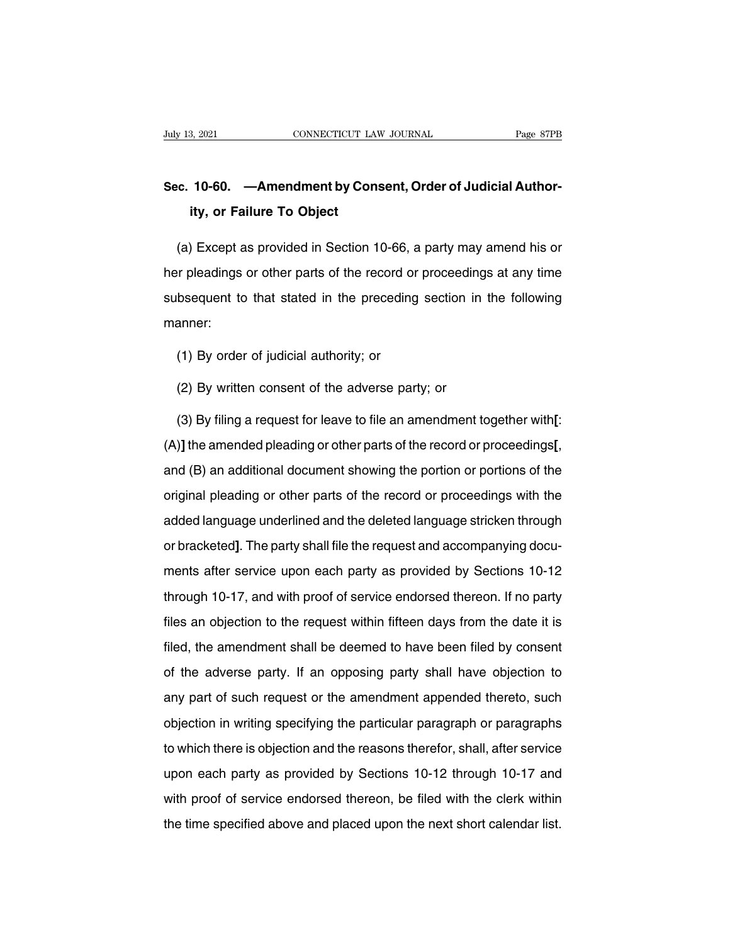### **Suly 13, 2021** CONNECTICUT LAW JOURNAL Page 87PB<br> **Sec. 10-60.** —Amendment by Consent, Order of Judicial Author-<br>
ity, or Failure To Object **is, 2021** CONNECTICUT LAT<br> **10-60.** — **Amendment by Con**<br> **ity, or Failure To Object**

o. 10-60. — Amendment by Consent, Order of Judicial Author-<br>ity, or Failure To Object<br>(a) Except as provided in Section 10-66, a party may amend his or<br>or pleadings or other parts of the record or proceedings at any time Sec. 10-60. — Amendment by Consent, Order of Judicial Author-<br>ity, or Failure To Object<br>(a) Except as provided in Section 10-66, a party may amend his or<br>her pleadings or other parts of the record or proceedings at any tim ity, or Failure To Object<br>
(a) Except as provided in Section 10-66, a party may amend his or<br>
her pleadings or other parts of the record or proceedings at any time<br>
subsequent to that stated in the preceding section in the manner: (1) By order of its authority; or<br>
(1) By order of judicial authority; or<br>
(2) By written consent of the adverse part bsequent to that stated in the preceding section in<br>anner:<br>(1) By order of judicial authority; or<br>(2) By written consent of the adverse party; or<br>(3) By filing a request for leave to file an amendment to

(1) By order of judicial authority; or<br>(2) By written consent of the adverse party; or<br>(3) By filing a request for leave to file an amendment together with[:<br>)] the amended pleading or other parts of the record or proceedi (1) By order of judicial authority; or<br>
(2) By written consent of the adverse party; or<br>
(3) By filing a request for leave to file an amendment together with[:<br>
(A)] the amended pleading or other parts of the record or pro (3) By filing a request for leave to file an amendment together with[:<br>(A)] the amended pleading or other parts of the record or proceedings[,<br>and (B) an additional document showing the portion or portions of the<br>original (A)] the amended pleading or other parts of the record or proceedings[, and (B) an additional document showing the portion or portions of the original pleading or other parts of the record or proceedings with the added la or bracketed]. The party shall file the request and accompanying docu-<br>ments after shall file the record or proceedings with the<br>added language underlined and the deleted language stricken through<br>or bracketed]. The party eria (b) an diamonal document shorting the periodic or perform of the<br>original pleading or other parts of the record or proceedings with the<br>added language underlined and the deleted language stricken through<br>or bracketed] added language underlined and the deleted language stricken through<br>or bracketed]. The party shall file the request and accompanying docu-<br>ments after service upon each party as provided by Sections 10-12<br>through 10-17, an files an objection to the request and accompanying documents after service upon each party as provided by Sections 10-12<br>through 10-17, and with proof of service endorsed thereon. If no party<br>files an objection to the requ filed, the amendment shall be deemed to have been filed by consent<br>files an objection to the request within fifteen days from the date it is<br>filed, the amendment shall be deemed to have been filed by consent<br>of the adverse through 10-17, and with proof of service endorsed thereon. If no party<br>files an objection to the request within fifteen days from the date it is<br>filed, the amendment shall be deemed to have been filed by consent<br>of the adv files an objection to the request within fifteen days from the date it is<br>filed, the amendment shall be deemed to have been filed by consent<br>of the adverse party. If an opposing party shall have objection to<br>any part of su filed, the amendment shall be deemed to have been filed by consent<br>of the adverse party. If an opposing party shall have objection to<br>any part of such request or the amendment appended thereto, such<br>objection in writing sp to the adverse party. If an opposing party shall have objection to<br>any part of such request or the amendment appended thereto, such<br>objection in writing specifying the particular paragraph or paragraphs<br>to which there is o any part of such request or the amendment appended thereto, such<br>objection in writing specifying the particular paragraph or paragraphs<br>to which there is objection and the reasons therefor, shall, after service<br>upon each p objection in writing specifying the particular paragraph or paragraphs<br>to which there is objection and the reasons therefor, shall, after service<br>upon each party as provided by Sections 10-12 through 10-17 and<br>with proof o to which there is objection and the reasons therefor, shall, after service<br>upon each party as provided by Sections 10-12 through 10-17 and<br>with proof of service endorsed thereon, be filed with the clerk within<br>the time spe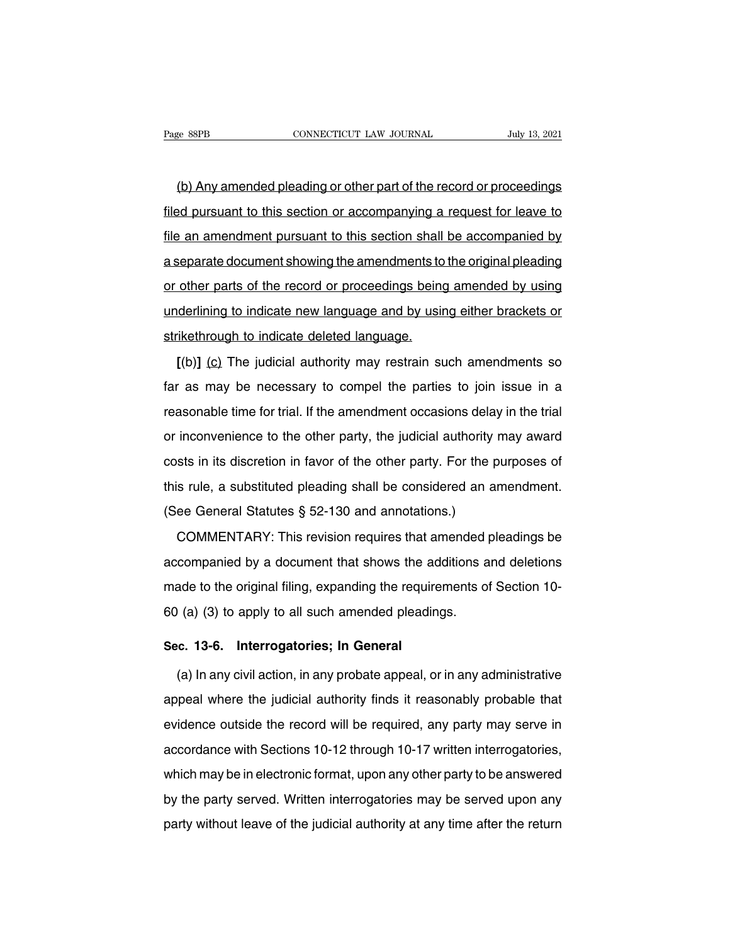EXEMBERT CONNECTICUT LAW JOURNAL THAT THE MANUS SERVIES THE MANUS CONNECTICUT LAW JOURNAL THAT THAT OF THE MANUS CONNECTION OF ACCOMPANYING A request for leave to the part of the record or proceedings and pursuant to this Fage 88PB CONNECTICUT LAW JOURNAL July 13, 2021<br>(b) Any amended pleading or other part of the record or proceedings<br>filed pursuant to this section or accompanying a request for leave to<br>file an amendment pursuant to this s (b) Any amended pleading or other part of the record or proceedings<br>filed pursuant to this section or accompanying a request for leave to<br>file an amendment pursuant to this section shall be accompanied by<br>a separate docume (b) Any amended pleading or other part of the record or proceedings<br>filed pursuant to this section or accompanying a request for leave to<br>file an amendment pursuant to this section shall be accompanied by<br>a separate docume filed pursuant to this section or accompanying a request for leave to<br>file an amendment pursuant to this section shall be accompanied by<br>a separate document showing the amendments to the original pleading<br>or other parts of file an amendment pursuant to this section shall be accompanied by<br>a separate document showing the amendments to the original pleading<br>or other parts of the record or proceedings being amended by using<br>underlining to indic a separate document showing the amendments to<br>a separate document showing the amendments to<br>or other parts of the record or proceedings being<br>underlining to indicate new language and by usin<br>strikethrough to indicate delet other parts of the record or proceedings being amended by using<br>derlining to indicate new language and by using either brackets or<br>ikethrough to indicate deleted language.<br>[(b)] (c) The judicial authority may restrain such

in the particle of the recession of proceedings song amonics by doing<br>underlining to indicate new language and by using either brackets or<br>strikethrough to indicate deleted language.<br>[(b)] (c) The judicial authority may re strikethrough to indicate deleted language.<br>Strikethrough to indicate deleted language.<br>I(b)] (c) The judicial authority may restrain such amendments so<br>far as may be necessary to compel the parties to join issue in a<br>reas  $\lbrack (b) \rbrack$  (c) The judicial authority may restrain such amendments so far as may be necessary to compel the parties to join issue in a reasonable time for trial. If the amendment occasions delay in the trial or inconve far as may be necessary to compel the parties to join issue in a reasonable time for trial. If the amendment occasions delay in the trial or inconvenience to the other party, the judicial authority may award costs in its the fact that is research the sumper the parties to join focus in a<br>reasonable time for trial. If the amendment occasions delay in the trial<br>or inconvenience to the other party, the judicial authority may award<br>costs in it or inconvenience to the other party, the judicial authority<br>costs in its discretion in favor of the other party. For the p<br>this rule, a substituted pleading shall be considered an a<br>(See General Statutes § 52-130 and annot State in the state of the state party, the justice realisting may are as<br>sts in its discretion in favor of the other party. For the purposes of<br>s rule, a substituted pleading shall be considered an amendment.<br>ee General St

this rule, a substituted pleading shall be considered an amendment.<br>(See General Statutes § 52-130 and annotations.)<br>COMMENTARY: This revision requires that amended pleadings be<br>accompanied by a document that shows the add Since the original Statutes  $\S$  52-130 and annotations.)<br>COMMENTARY: This revision requires that amended pleadings be<br>accompanied by a document that shows the additions and deletions<br>made to the original filing, expanding COMMENTARY: This revision requires that amended accompanied by a document that shows the additions a<br>made to the original filing, expanding the requirements of<br>60 (a) (3) to apply to all such amended pleadings. accompanied by a document that shows the a<br>made to the original filing, expanding the requir<br>60 (a) (3) to apply to all such amended pleadin<br>**Sec. 13-6. Interrogatories; In General**<br>(a) In any civil action, in any probate ade to the original filing, expanding the requirements of Section 10-<br>
(a) (3) to apply to all such amended pleadings.<br> **c. 13-6. Interrogatories; In General**<br>
(a) In any civil action, in any probate appeal, or in any admi

60 (a) (3) to apply to all such amended pleadings.<br> **Sec. 13-6.** Interrogatories; In General<br>
(a) In any civil action, in any probate appeal, or in any administrative<br>
appeal where the judicial authority finds it reasonabl Sec. 13-6. Interrogatories; In General<br>
(a) In any civil action, in any probate appeal, or in any administrative<br>
appeal where the judicial authority finds it reasonably probable that<br>
evidence outside the record will be r (a) In any civil action, in any probate appeal, or in any administrative<br>appeal where the judicial authority finds it reasonably probable that<br>evidence outside the record will be required, any party may serve in<br>accordance appeal where the judicial authority finds it reasonably probable that<br>evidence outside the record will be required, any party may serve in<br>accordance with Sections 10-12 through 10-17 written interrogatories,<br>which may be evidence outside the record will be required, any party may serve in<br>accordance with Sections 10-12 through 10-17 written interrogatories,<br>which may be in electronic format, upon any other party to be answered<br>by the party party may be vertical automorphic order of the intervals accordance with Sections 10-12 through 10-17 written interrogatories, which may be in electronic format, upon any other party to be answered by the party served. Wri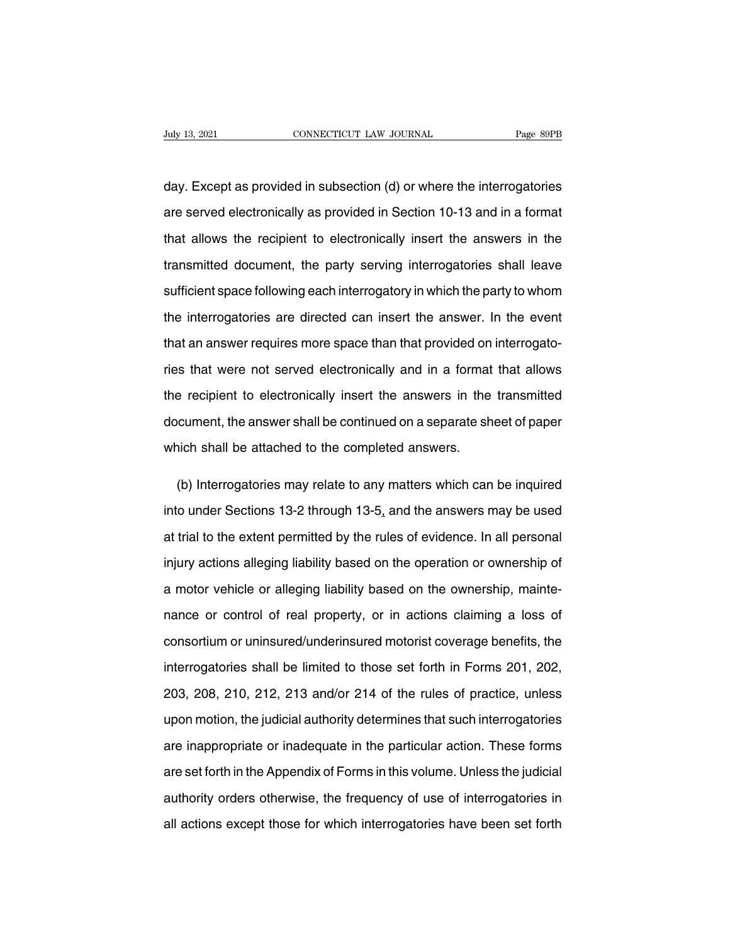day. Except as provided in subsection (d) or where the interrogatories<br>are served electronically as provided in Section 10-13 and in a format July 13, 2021 CONNECTICUT LAW JOURNAL Page 89PB<br>day. Except as provided in subsection (d) or where the interrogatories<br>are served electronically as provided in Section 10-13 and in a format<br>that allows the recipient to ele day. Except as provided in subsection (d) or where the interrogatories<br>are served electronically as provided in Section 10-13 and in a format<br>that allows the recipient to electronically insert the answers in the<br>transmitte day. Except as provided in subsection (d) or where the interrogatories<br>are served electronically as provided in Section 10-13 and in a format<br>that allows the recipient to electronically insert the answers in the<br>transmitte are served electronically as provided in Section 10-13 and in a format<br>that allows the recipient to electronically insert the answers in the<br>transmitted document, the party serving interrogatories shall leave<br>sufficient sp that allows the recipient to electronically insert the answers in the transmitted document, the party serving interrogatories shall leave sufficient space following each interrogatory in which the party to whom the interro transmitted document, the party serving interrogatories shall leave<br>sufficient space following each interrogatory in which the party to whom<br>the interrogatories are directed can insert the answer. In the event<br>that an answ sufficient space following each interrogatory in which the party to whom<br>the interrogatories are directed can insert the answer. In the event<br>that an answer requires more space than that provided on interrogato-<br>ries that the interrogatories are directed can insert the answer. In the event<br>that an answer requires more space than that provided on interrogato-<br>ries that were not served electronically and in a format that allows<br>the recipient that an answer requires more space than that provided on interrogatories that were not served electronically and in a format that allows<br>the recipient to electronically insert the answers in the transmitted<br>document, the a ries that were not served electronically and in a format<br>the recipient to electronically insert the answers in the<br>document, the answer shall be continued on a separate sh<br>which shall be attached to the completed answers. Exercipient to electronically insert the answers in the transmitted<br>
cument, the answer shall be continued on a separate sheet of paper<br>
ich shall be attached to the completed answers.<br>
(b) Interrogatories may relate to an

document, the answer shall be continued on a separate sheet of paper<br>which shall be attached to the completed answers.<br>(b) Interrogatories may relate to any matters which can be inquired<br>into under Sections 13-2 through 13 which shall be attached to the completed answers.<br>
(b) Interrogatories may relate to any matters which can be inquired<br>
into under Sections 13-2 through 13-5, and the answers may be used<br>
at trial to the extent permitted b (b) Interrogatories may relate to any matters which can be inquired<br>into under Sections 13-2 through 13-5, and the answers may be used<br>at trial to the extent permitted by the rules of evidence. In all personal<br>injury actio into under Sections 13-2 through 13-5, and the answers may be used<br>at trial to the extent permitted by the rules of evidence. In all personal<br>injury actions alleging liability based on the operation or ownership of<br>a moto at trial to the extent permitted by the rules of evidence. In all personal<br>injury actions alleging liability based on the operation or ownership of<br>a motor vehicle or alleging liability based on the ownership, mainte-<br>nanc injury actions alleging liability based on the operation or ownership of<br>a motor vehicle or alleging liability based on the ownership, mainte-<br>nance or control of real property, or in actions claiming a loss of<br>consortium a motor vehicle or alleging liability based on the ownership, mainte-<br>nance or control of real property, or in actions claiming a loss of<br>consortium or uninsured/underinsured motorist coverage benefits, the<br>interrogatories mance or control of real property, or in actions claiming a loss of<br>consortium or uninsured/underinsured motorist coverage benefits, the<br>interrogatories shall be limited to those set forth in Forms 201, 202,<br>203, 208, 210, consortium or uninsured/underinsured motorist coverage benefits, the<br>interrogatories shall be limited to those set forth in Forms 201, 202,<br>203, 208, 210, 212, 213 and/or 214 of the rules of practice, unless<br>upon motion, t interrogatories shall be limited to those set forth in Forms 201, 202,<br>203, 208, 210, 212, 213 and/or 214 of the rules of practice, unless<br>upon motion, the judicial authority determines that such interrogatories<br>are inappr 203, 208, 210, 212, 213 and/or 214 of the rules of practice, unless<br>upon motion, the judicial authority determines that such interrogatories<br>are inappropriate or inadequate in the particular action. These forms<br>are set for upon motion, the judicial authority determines that such interrogatories<br>are inappropriate or inadequate in the particular action. These forms<br>are set forth in the Appendix of Forms in this volume. Unless the judicial<br>auth are inappropriate or inadequate in the particular action. These forms<br>are set forth in the Appendix of Forms in this volume. Unless the judicial<br>authority orders otherwise, the frequency of use of interrogatories in<br>all ac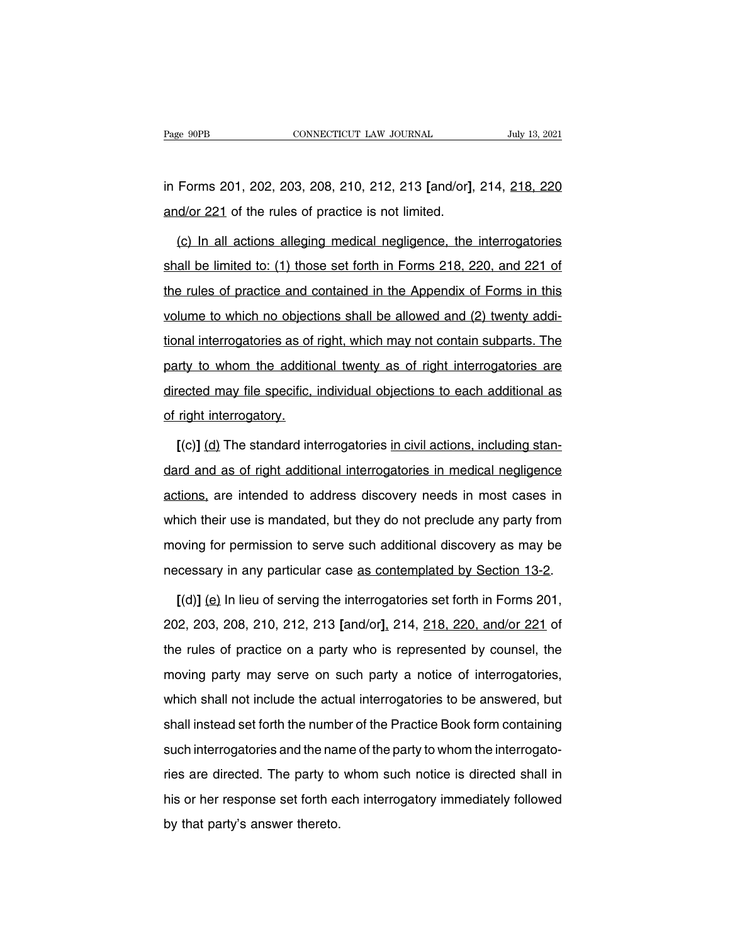in Forms 201, 202, 203, 208, 210, 212, 213 **[**and/or**]**, 214, 218, 220 Page 90PB<br>in Forms 201, 202, 203, 208, 210, 212, 213 [and/or],<br>and/or 221 of the rules of practice is not limited.<br>(c) In all actions alleging medical negligence, the

Forms 201, 202, 203, 208, 210, 212, 213 [and/or], 214, 218, 220<br>(d/or 221 of the rules of practice is not limited.<br>(c) In all actions alleging medical negligence, the interrogatories<br>all be limited to: (1) those set forth in Forms 201, 202, 203, 208, 210, 212, 213 [and/or], 214, <u>218, 220</u><br>and/or 221 of the rules of practice is not limited.<br>(c) In all actions alleging medical negligence, the interrogatories<br>shall be limited to: (1) those se and/or 221 of the rules of practice is not limited.<br>
(c) In all actions alleging medical negligence, the interrogatories<br>
shall be limited to: (1) those set forth in Forms 218, 220, and 221 of<br>
the rules of practice and co (c) In all actions alleging medical negligence, the interrogatories<br>shall be limited to: (1) those set forth in Forms 218, 220, and 221 of<br>the rules of practice and contained in the Appendix of Forms in this<br>volume to whic the limited to: (1) those set forth in Forms 218, 220, and 221 of<br>the rules of practice and contained in the Appendix of Forms in this<br>volume to which no objections shall be allowed and (2) twenty addi-<br>tional interrogator the rules of practice and contained in the Appendix of Forms in this<br>volume to which no objections shall be allowed and (2) twenty addi-<br>tional interrogatories as of right, which may not contain subparts. The<br>party to whom volume to which no objections shall be allowed and (2) twenty additional interrogatories as of right, which may not contain subparts. The party to whom the additional twenty as of right interrogatories are directed may fil volume to which he expects<br>tional interrogatories as of<br>party to whom the additio<br>directed may file specific, if<br>of right interrogatory. party to whom the additional twenty as of right interrogatories are<br>directed may file specific, individual objections to each additional as<br>of right interrogatory.<br>[(c)] (d) The standard interrogatories in civil actions, i

directed may file specific, individual objections to each additional as<br>of right interrogatory.<br>
[(c)] (d) The standard interrogatories in civil actions, including stan-<br>
dard and as of right additional interrogatories in of right interrogatory.<br>
[(c)] (d) The standard interrogatories in civil actions, including stan-<br>
dard and as of right additional interrogatories in medical negligence<br>
actions, are intended to address discovery needs in [(c)] (d) The standard interrogatories in civil actions, including stan-<br>dard and as of right additional interrogatories in medical negligence<br>actions, are intended to address discovery needs in most cases in<br>which their u dard and as of right additional interrogatories in medical negligence<br>actions, are intended to address discovery needs in most cases in<br>which their use is mandated, but they do not preclude any party from<br>moving for permis actions, are intended to address discovery needs in most cases in<br>which their use is mandated, but they do not preclude any party from<br>moving for permission to serve such additional discovery as may be<br>necessary in any par ich their use is mandated, but they do not preclude any party from<br>
poving for permission to serve such additional discovery as may be<br> **[**(d)] (e) In lieu of serving the interrogatories set forth in Forms 201,<br>
2, 203, 20

moving for permission to serve such additional discovery as may be<br>necessary in any particular case <u>as contemplated by Section 13-2</u>.<br>[(d)] <u>(e</u>) In lieu of serving the interrogatories set forth in Forms 201,<br>202, 203, 20 necessary in any particular case as contemplated by Section 13-2.<br>
[(d)] (e) In lieu of serving the interrogatories set forth in Forms 201,<br>
202, 203, 208, 210, 212, 213 [and/or], 214, 218, 220, and/or 221 of<br>
the rules of [(d)] (e) In lieu of serving the interrogatories set forth in Forms 201, 202, 203, 208, 210, 212, 213 [and/or], 214, 218, 220, and/or 221 of the rules of practice on a party who is represented by counsel, the moving party 202, 203, 208, 210, 212, 213 [and/or], 214, 218, 220, and/or 221 of<br>the rules of practice on a party who is represented by counsel, the<br>moving party may serve on such party a notice of interrogatories,<br>which shall not inc shall instead set forth the number of the party to whom the interrogatories,<br>such shall not include the actual interrogatories to be answered, but<br>shall instead set forth the number of the Practice Book form containing<br>su the rules of practice on a party who is represented by counsel, the moving party may serve on such party a notice of interrogatories, which shall not include the actual interrogatories to be answered, but shall instead set ries are directed in the actual interrogatories to be answered, but<br>shall instead set forth the number of the Practice Book form containing<br>such interrogatories and the name of the party to whom the interrogato-<br>ries are d shall instead set forth the number of the Practice Book form containing<br>such interrogatories and the name of the party to whom the interrogato-<br>ries are directed. The party to whom such notice is directed shall in<br>his or h such interrogatories and the nar<br>ries are directed. The party to<br>his or her response set forth ea<br>by that party's answer thereto.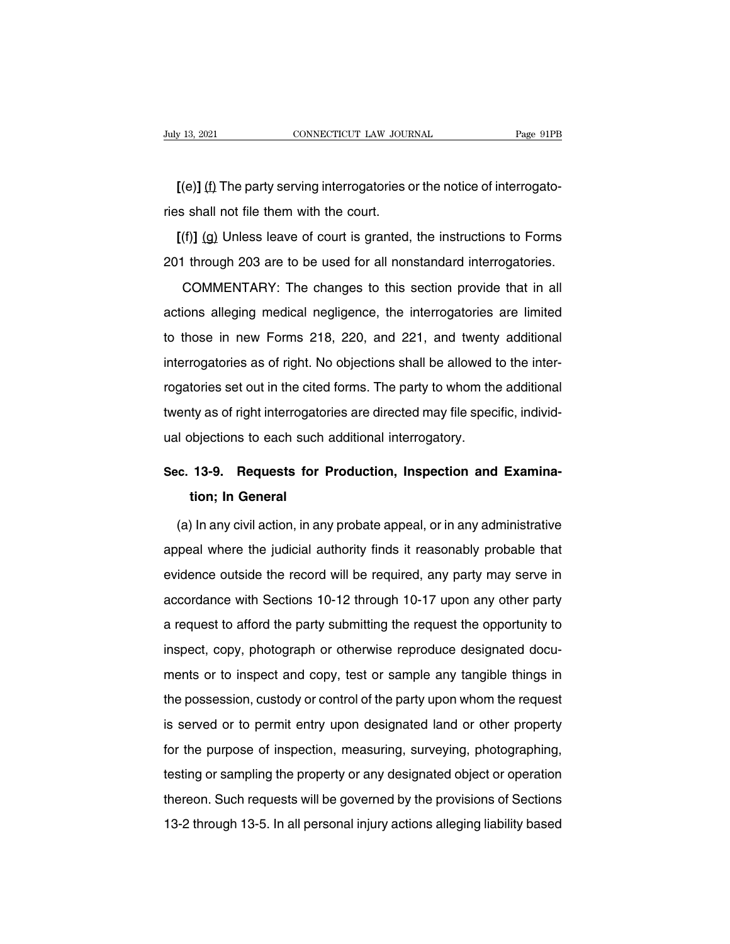**EXECUTE OF A FALL CONNECTICUT LAW JOURNAL Page 91PB**<br> **[(e)]** (f) The party serving interrogatories or the notice of interrogato-<br>
is shall not file them with the court. Figure 3. EV CONNECTICUT LAW JOUR<br>
(e) CONNECTICUT LAW JOUR<br>
(f) I(f) The party serving interrogatories c<br>
ries shall not file them with the court.<br>
[(f) I(g) Unless leave of court is granted,

[(e)] (f) The party serving interrogatories or the notice of interrogato-<br>is shall not file them with the court.<br>[(f)] (g) Unless leave of court is granted, the instructions to Forms<br>1 through 203 are to be used for all no  $[(e)]$  (f) The party serving interrogatories or the notice of interrogatories shall not file them with the court.<br>  $[(f)]$  (g) Unless leave of court is granted, the instructions to Forms<br>
201 through 203 are to be used for a Shall not file them with the court.<br>
(f)] (g) Unless leave of court is granted, the instructions to Forms<br>
I through 203 are to be used for all nonstandard interrogatories.<br>
COMMENTARY: The changes to this section provide

[(f)] (g) Unless leave of court is granted, the instructions to Forms<br>201 through 203 are to be used for all nonstandard interrogatories.<br>COMMENTARY: The changes to this section provide that in all<br>actions alleging medica 201 through 203 are to be used for all nonstandard interrogatories.<br>COMMENTARY: The changes to this section provide that in all<br>actions alleging medical negligence, the interrogatories are limited<br>to those in new Forms 218 COMMENTARY: The changes to this section provide that in all<br>actions alleging medical negligence, the interrogatories are limited<br>to those in new Forms 218, 220, and 221, and twenty additional<br>interrogatories as of right. N actions alleging medical negligence, the interrogatories are limited<br>to those in new Forms 218, 220, and 221, and twenty additional<br>interrogatories as of right. No objections shall be allowed to the inter-<br>rogatories set o to those in new Forms 218, 220, and 221, and twenty additional<br>interrogatories as of right. No objections shall be allowed to the inter-<br>rogatories set out in the cited forms. The party to whom the additional<br>twenty as of interrogatories as of right. No objections shall be allowed trogatories set out in the cited forms. The party to whom the twenty as of right interrogatories are directed may file specual objections to each such additional rogatories set out in the cited forms. The party to whom the additional<br>twenty as of right interrogatories are directed may file specific, individ-<br>ual objections to each such additional interrogatory.<br>**Sec. 13-9. Requests ty as of right interrogat<br>bbjections to each such<br><b>13-9. Requests for<br>tion; In General**<br>In any civil action, in a

(a) In any civil action, in any probate appeal, or in any administrative<br>(a) In any civil action, in any probate appeal, or in any administrative<br>peal where the judicial authority finds it reasonably probable that Sec. 13-9. Requests for Production, Inspection and Examina-<br>tion; In General<br>(a) In any civil action, in any probate appeal, or in any administrative<br>appeal where the judicial authority finds it reasonably probable that<br>ev tion; In General<br>
(a) In any civil action, in any probate appeal, or in any administrative<br>
appeal where the judicial authority finds it reasonably probable that<br>
evidence outside the record will be required, any party may (a) In any civil action, in any probate appeal, or in any administrative<br>appeal where the judicial authority finds it reasonably probable that<br>evidence outside the record will be required, any party may serve in<br>accordance appeal where the judicial authority finds it reasonably probable that<br>evidence outside the record will be required, any party may serve in<br>accordance with Sections 10-12 through 10-17 upon any other party<br>a request to affo appeal where the judicial authority finds it reasonably probable that<br>evidence outside the record will be required, any party may serve in<br>accordance with Sections 10-12 through 10-17 upon any other party<br>a request to affo exidence satistic and record will be required, any party may serve in<br>accordance with Sections 10-12 through 10-17 upon any other party<br>a request to afford the party submitting the request the opportunity to<br>inspect, copy, a request to afford the party submitting the request the opportunity to<br>inspect, copy, photograph or otherwise reproduce designated docu-<br>ments or to inspect and copy, test or sample any tangible things in<br>the possession, inspect, copy, photograph or otherwise reproduce designated docu-<br>ments or to inspect and copy, test or sample any tangible things in<br>the possession, custody or control of the party upon whom the request<br>is served or to pe mappost, sopy, photographical submiseded approacts assignated assaments or to inspect and copy, test or sample any tangible things in the possession, custody or control of the party upon whom the request is served or to pe the possession, custody or control of the party upon whom the request<br>is served or to permit entry upon designated land or other property<br>for the purpose of inspection, measuring, surveying, photographing,<br>testing or sampl the possession, sastedy or sentror and pairly apon when the request<br>is served or to permit entry upon designated land or other property<br>for the purpose of inspection, measuring, surveying, photographing,<br>testing or samplin 13-3 through 13-5. In all personal injury actions alleging liability based<br>13-2 through 13-5. In all personal injury actions alleging liability based<br>13-2 through 13-5. In all personal injury actions alleging liability bas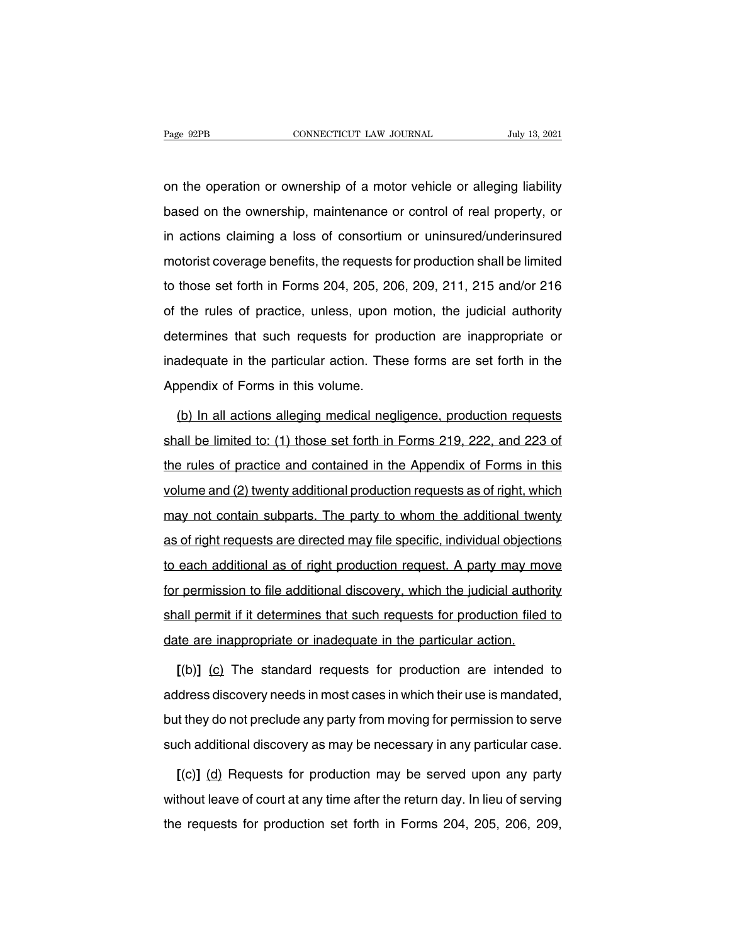Page 92PB<br>
cONNECTICUT LAW JOURNAL<br>
on the operation or ownership of a motor vehicle or alleging liability<br>
based on the ownership, maintenance or control of real property, or Page 92PB<br>
cONNECTICUT LAW JOURNAL<br>
on the operation or ownership of a motor vehicle or alleging liability<br>
based on the ownership, maintenance or control of real property, or<br>
in actions claiming a loss of consortium or u in the operation or ownership of a motor vehicle or alleging liability<br>based on the ownership, maintenance or control of real property, or<br>in actions claiming a loss of consortium or uninsured/underinsured<br>motorist coverag on the operation or ownership of a motor vehicle or alleging liability<br>based on the ownership, maintenance or control of real property, or<br>in actions claiming a loss of consortium or uninsured/underinsured<br>motorist coverag based on the ownership, maintenance or control of real property, or<br>in actions claiming a loss of consortium or uninsured/underinsured<br>motorist coverage benefits, the requests for production shall be limited<br>to those set f based on the emistering, maintenance of control of foar property, of<br>in actions claiming a loss of consortium or uninsured/underinsured<br>motorist coverage benefits, the requests for production shall be limited<br>to those set m determines diaming a feed of consolidant of dimisdred and<br>determined to those set forth in Forms 204, 205, 206, 209, 211, 215 and/or 216<br>of the rules of practice, unless, upon motion, the judicial authority<br>determines th for those set forth in Forms 204, 205, 206, 209, 211, 215 and/or 216<br>of the rules of practice, unless, upon motion, the judicial authority<br>determines that such requests for production are inappropriate or<br>inadequate in the of the rules of practice, unless, upon r<br>determines that such requests for prod<br>inadequate in the particular action. The<br>Appendix of Forms in this volume.<br>(b) In all actions alleging medical neg termines that such requests for production are inappropriate or<br>adequate in the particular action. These forms are set forth in the<br>ppendix of Forms in this volume.<br>(b) In all actions alleging medical negligence, productio

inadequate in the particular action. These forms are set forth in the<br>Appendix of Forms in this volume.<br>(b) In all actions alleging medical negligence, production requests<br>shall be limited to: (1) those set forth in Forms Appendix of Forms in this volume.<br>
(b) In all actions alleging medical negligence, production requests<br>
shall be limited to: (1) those set forth in Forms 219, 222, and 223 of<br>
the rules of practice and contained in the App (b) In all actions alleging medical negligence, production requests<br>shall be limited to: (1) those set forth in Forms 219, 222, and 223 of<br>the rules of practice and contained in the Appendix of Forms in this<br>volume and (2) shall be limited to: (1) those set forth in Forms 219, 222, and 223 of<br>the rules of practice and contained in the Appendix of Forms in this<br>volume and (2) twenty additional production requests as of right, which<br>may not co the rules of practice and contained in the Appendix of Forms in this<br>volume and (2) twenty additional production requests as of right, which<br>may not contain subparts. The party to whom the additional twenty<br>as of right req volume and (2) twenty additional production requests as of right, which<br>may not contain subparts. The party to whom the additional twenty<br>as of right requests are directed may file specific, individual objections<br>to each a may not contain subparts. The party to whom the additional twenty<br>as of right requests are directed may file specific, individual objections<br>to each additional as of right production request. A party may move<br>for permissi as of right requests are directed may file specific, individual objections<br>to each additional as of right production request. A party may move<br>for permission to file additional discovery, which the judicial authority<br>shall date are ingin requests are allocated ling into optently, included to each additional as of right production request. A party may mo<br>for permission to file additional discovery, which the judicial author<br>shall permit if it **Example 10** (permission to file additional discovery, which the judicial authority<br>all permit if it determines that such requests for production filed to<br>te are inappropriate or inadequate in the particular action.<br>[(b)]

shall permit if it determines that such requests for production filed to<br>date are inappropriate or inadequate in the particular action.<br>[(b)] (c) The standard requests for production are intended to<br>address discovery needs date are inappropriate or inadequate in the particular action.<br>
[(b)] (c) The standard requests for production are intended to<br>
address discovery needs in most cases in which their use is mandated,<br>
but they do not preclud  $[(b)]$  (c) The standard requests for production are intended to<br>address discovery needs in most cases in which their use is mandated,<br>but they do not preclude any party from moving for permission to serve<br>such additional d Idress discovery needs in most cases in which their use is mandated,<br>
It they do not preclude any party from moving for permission to serve<br>
ch additional discovery as may be necessary in any particular case.<br>
[(c)] (d) Re

but they do not preclude any party from moving for permission to serve<br>such additional discovery as may be necessary in any particular case.<br>[(c)] (d) Requests for production may be served upon any party<br>without leave of c such additional discovery as may be necessary in any particular case.<br>
[(c)] (d) Requests for production may be served upon any party<br>
without leave of court at any time after the return day. In lieu of serving<br>
the reques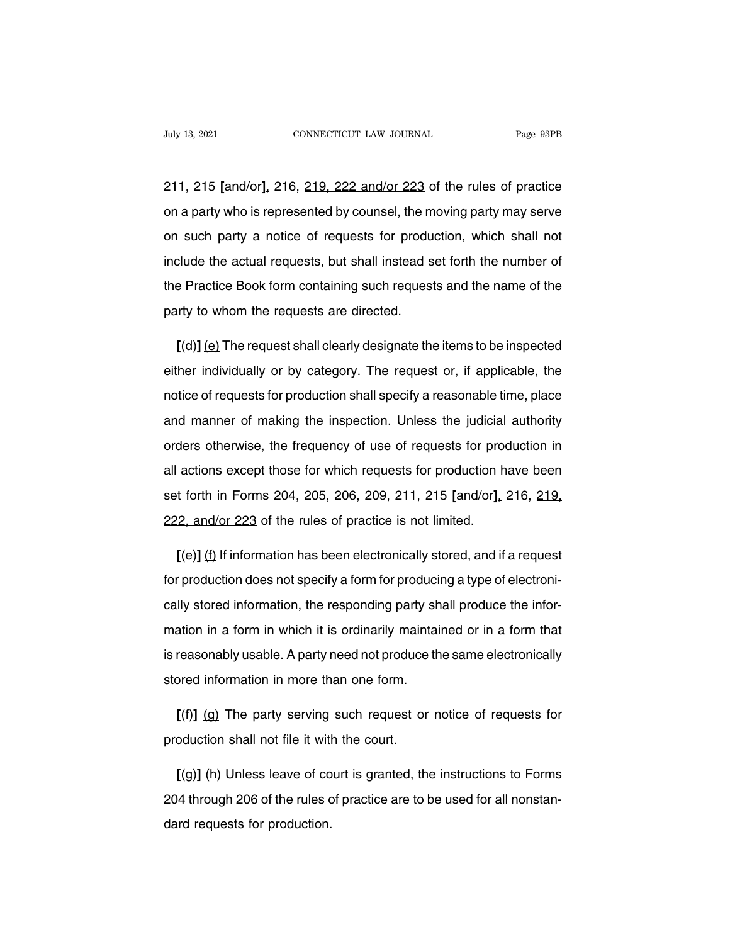211, 215 **[**and/or**]**, 216, 219, 222 and/or 223 of the rules of practice July 13, 2021 CONNECTICUT LAW JOURNAL Page 93PB<br>211, 215 [and/or], 216, 219, 222 and/or 223 of the rules of practice<br>on a party who is represented by counsel, the moving party may serve<br>on such party a notice of requests f 211, 215 [and/or], 216, 219, 222 and/or 223 of the rules of practice<br>on a party who is represented by counsel, the moving party may serve<br>on such party a notice of requests for production, which shall not<br>include the actua 211, 215 [and/or], 216, <u>219, 222 and/or 223</u> of the rules of practice<br>on a party who is represented by counsel, the moving party may serve<br>on such party a notice of requests for production, which shall not<br>include the act on a party who is represented by counsel, the moving party may serve<br>on such party a notice of requests for production, which shall not<br>include the actual requests, but shall instead set forth the number of<br>the Practice B on a party who is represented by economy, the river<br>on such party a notice of requests for produ<br>include the actual requests, but shall instead s<br>the Practice Book form containing such request<br>party to whom the requests ar Example the actual requests, but shall instead set forth the number of<br> **Example 18 Practice Book form containing such requests and the name of the**<br> **[(d)]** (e) The request shall clearly designate the items to be inspecte

the Practice Book form containing such requests and the name of the<br>party to whom the requests are directed.<br>
[(d)] <u>(e)</u> The request shall clearly designate the items to be inspected<br>
either individually or by category. T party to whom the requests are directed.<br>
[(d)] (e) The request shall clearly designate the items to be inspected<br>
either individually or by category. The request or, if applicable, the<br>
notice of requests for production s [(d)] (e) The request shall clearly designate the items to be inspected<br>either individually or by category. The request or, if applicable, the<br>notice of requests for production shall specify a reasonable time, place<br>and ma either individually or by category. The request or, if applicable, the notice of requests for production shall specify a reasonable time, place and manner of making the inspection. Unless the judicial authority orders oth all actions in the improduction shall specify a reasonable time, place<br>and manner of making the inspection. Unless the judicial authority<br>orders otherwise, the frequency of use of requests for production in<br>all actions exc set for the inspection. Unless the judicial authority<br>and manner of making the inspection. Unless the judicial authority<br>orders otherwise, the frequency of use of requests for production in<br>all actions except those for whi orders otherwise, the frequency of use of requests for production h<br>all actions except those for which requests for production h<br>set forth in Forms 204, 205, 206, 209, 211, 215 [and/or],<br>222, and/or 223 of the rules of pra actions except those for which requests for production have been<br>
t forth in Forms 204, 205, 206, 209, 211, 215 [and/or], 216, 219,<br>
<u>[(e)] (f)</u> If information has been electronically stored, and if a request<br>
production d

set forth in Forms 204, 205, 206, 209, 211, 215 [and/or], 216, 219, 222, and/or 223 of the rules of practice is not limited.<br>
[(e)] (f) If information has been electronically stored, and if a request for production does no 222, and/or 223 of the rules of practice is not limited.<br>
[(e)] (f) If information has been electronically stored, and if a request<br>
for production does not specify a form for producing a type of electroni-<br>
cally stored i  $[(e)]$  (f) If information has been electronically stored, and if a request<br>for production does not specify a form for producing a type of electroni-<br>cally stored information, the responding party shall produce the infor-<br>m for production does not specify a form for producing a type of electronically stored information, the responding party shall produce the information in a form in which it is ordinarily maintained or in a form that is reas store product about the product cally stored information, the responding party shift mation in a form in which it is ordinarily maintain is reasonably usable. A party need not produce the stored information in more than o **Example 10** a form in which it is ordinarily maintained or in a form that<br>reasonably usable. A party need not produce the same electronically<br>pred information in more than one form.<br>**[(f)]** (g) The party serving such requ is reasonably usable. A party need not produce<br>stored information in more than one form.<br> $[(f)] (g)$  The party serving such request or<br>production shall not file it with the court.

ored information in more than one form.<br> **[**(f)] <u>(g)</u> The party serving such request or notice of requests for<br>
oduction shall not file it with the court.<br> **[**(g)] <u>(h)</u> Unless leave of court is granted, the instructions  $[(f)] (g)$  The party serving such request or notice of requests for<br>production shall not file it with the court.<br> $[(g)] (h)$  Unless leave of court is granted, the instructions to Forms<br>204 through 206 of the rules of practice production shall not file it with<br>
[(g)] (h) Unless leave of co<br>
204 through 206 of the rules condered requests for production.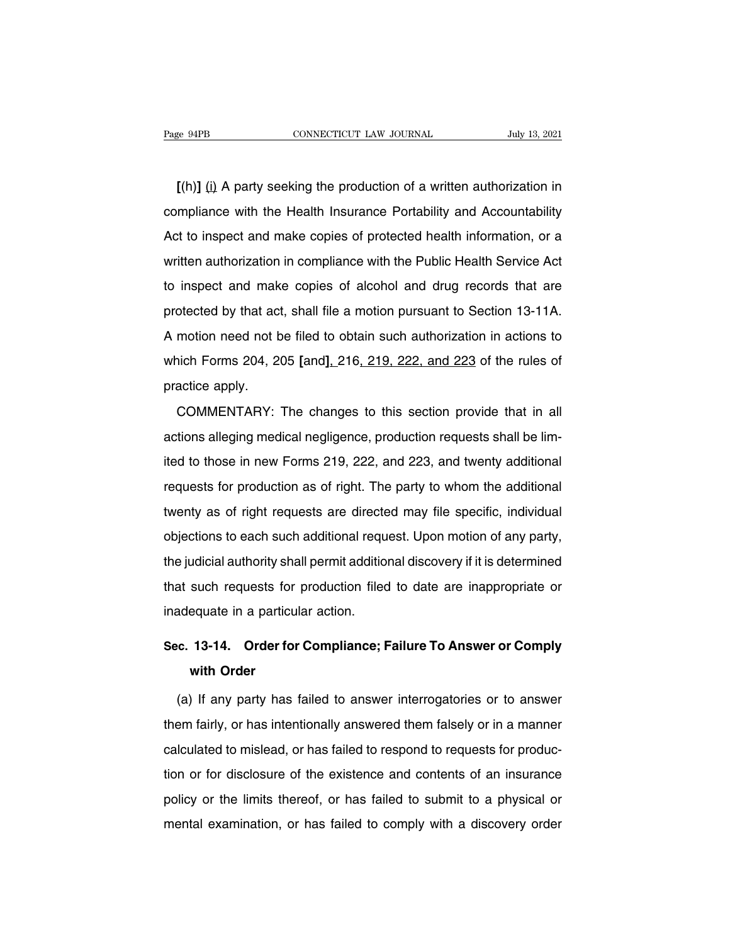**EXECUTE:** THE CONNECTICUT LAW JOURNAL THE JULY 13, 2021<br> **[(h)]** (i) A party seeking the production of a written authorization in<br>
mpliance with the Health Insurance Portability and Accountability Page 94PB CONNECTICUT LAW JOURNAL July 13, 2021<br>
[(h)] (i) A party seeking the production of a written authorization in<br>
compliance with the Health Insurance Portability and Accountability<br>
Act to inspect and make copies o I(h)] (i) A party seeking the production of a written authorization in<br>compliance with the Health Insurance Portability and Accountability<br>Act to inspect and make copies of protected health information, or a<br>written author [(h)] (i) A party seeking the production of a written authorization in compliance with the Health Insurance Portability and Accountability Act to inspect and make copies of protected health information, or a written author compliance with the Health Insurance Portability and Accountability<br>Act to inspect and make copies of protected health information, or a<br>written authorization in compliance with the Public Health Service Act<br>to inspect an Bomphanes with the Fisalin meandnes Fortashily and Messantiashily<br>Act to inspect and make copies of protected health information, or a<br>written authorization in compliance with the Public Health Service Act<br>to inspect and m written authorization in compliance with the Public Health Service Act<br>to inspect and make copies of alcohol and drug records that are<br>protected by that act, shall file a motion pursuant to Section 13-11A.<br>A motion need no which dationzation in compilance with the Fabile Health Corvice Act<br>to inspect and make copies of alcohol and drug records that are<br>protected by that act, shall file a motion pursuant to Section 13-11A.<br>A motion need not b protected by that act<br>A motion need not b<br>which Forms 204, 2<br>practice apply.<br>COMMENTARY: ortected by that det, brian life a method. particular to becaust to this motion need not be filed to obtain such authorization in actions to<br>hich Forms 204, 205 [and], 216, 219, 222, and 223 of the rules of<br>actice apply.<br>C

which Forms 204, 205 [and], 216, 219, 222, and 223 of the rules of practice apply.<br>COMMENTARY: The changes to this section provide that in all actions alleging medical negligence, production requests shall be lim-<br>ited to practice apply.<br>
COMMENTARY: The changes to this section provide that in all<br>
actions alleging medical negligence, production requests shall be lim-<br>
ited to those in new Forms 219, 222, and 223, and twenty additional<br>
req COMMENTARY: The changes to this section provide that in all<br>actions alleging medical negligence, production requests shall be lim-<br>ited to those in new Forms 219, 222, and 223, and twenty additional<br>requests for production actions alleging medical negligence, production requests shall be limited to those in new Forms 219, 222, and 223, and twenty additional requests for production as of right. The party to whom the additional twenty as of ri ited to those in new Forms 219, 222, and 223, and twenty additional<br>requests for production as of right. The party to whom the additional<br>twenty as of right requests are directed may file specific, individual<br>objections to the judicial authority shall permit additional requests for production as of right. The party to whom the additional twenty as of right requests are directed may file specific, individual objections to each such additional twenty as of right requests are directed may file specific, individual<br>objections to each such additional request. Upon motion of any party,<br>the judicial authority shall permit additional discovery if it is determined<br>that twenty as of right requests are directed may file specific, individual<br>objections to each such additional request. Upon motion of any party,<br>the judicial authority shall permit additional discovery if it is determined<br>that Intert judicial authority shall permit additional discovery if it is determined<br>
that such requests for production filed to date are inappropriate or<br>
inadequate in a particular action.<br> **Sec. 13-14. Order for Compliance;** such requests for<br>
equate in a particul<br> **13-14. Order for**<br> **with Order**<br>
I fany party has f

Frankian and particular action.<br>
Frankian Compliance: Failure To Answer or Comply<br>
with Order<br>
(a) If any party has failed to answer interrogatories or to answer<br>
Frankian and party has failed to answer interrogatories or Sec. 13-14. Order for Compliance; Failure To Answer or Comply<br>with Order<br>(a) If any party has failed to answer interrogatories or to answer<br>them fairly, or has intentionally answered them falsely or in a manner<br>calculated with Order<br>(a) If any party has failed to answer interrogatories or to answer<br>them fairly, or has intentionally answered them falsely or in a manner<br>calculated to mislead, or has failed to respond to requests for produc-<br>t (a) If any party has failed to answer interrogatories or to answer<br>them fairly, or has intentionally answered them falsely or in a manner<br>calculated to mislead, or has failed to respond to requests for produc-<br>tion or for (a) if any party has idea to answer interregatence of to answer<br>them fairly, or has intentionally answered them falsely or in a manner<br>calculated to mislead, or has failed to respond to requests for produc-<br>tion or for dis examinatiny, or has intermedially answered them randely or the manner calculated to mislead, or has failed to respond to requests for production or for disclosure of the existence and contents of an insurance policy or the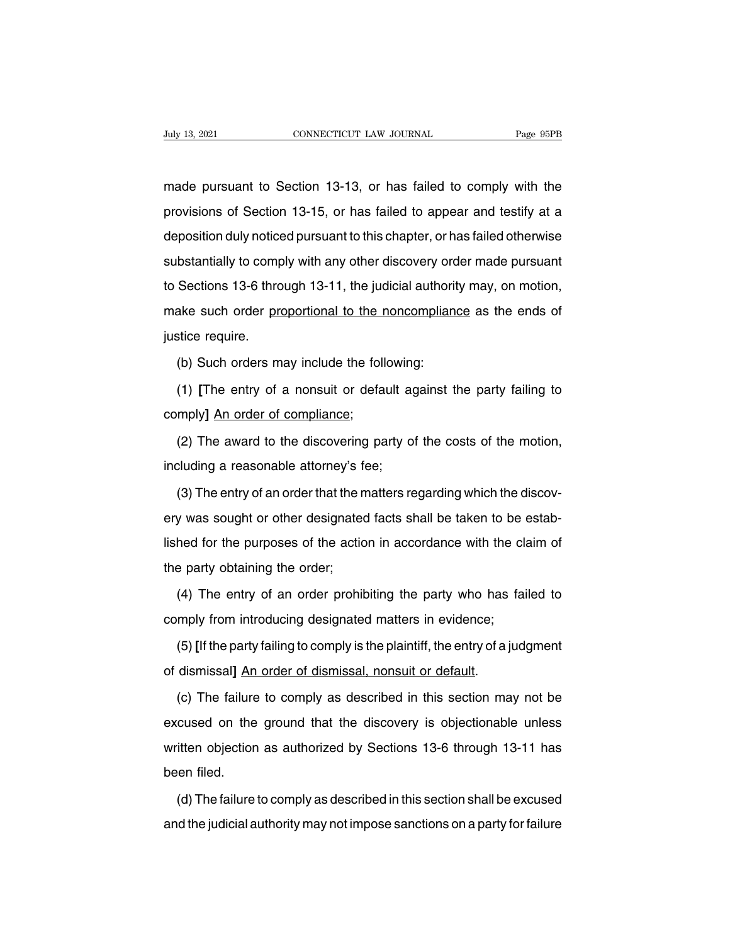Figure 13, 2021<br>
made pursuant to Section 13-13, or has failed to comply with the<br>
provisions of Section 13-15, or has failed to appear and testify at a buly 13, 2021 CONNECTICUT LAW JOURNAL Page 95PB<br>made pursuant to Section 13-13, or has failed to comply with the<br>provisions of Section 13-15, or has failed to appear and testify at a<br>deposition duly noticed pursuant to thi made pursuant to Section 13-13, or has failed to comply with the<br>provisions of Section 13-15, or has failed to appear and testify at a<br>deposition duly noticed pursuant to this chapter, or has failed otherwise<br>substantially made pursuant to Section 13-13, or has failed to comply with the<br>provisions of Section 13-15, or has failed to appear and testify at a<br>deposition duly noticed pursuant to this chapter, or has failed otherwise<br>substantially provisions of Section 13-15, or has failed to appear and testify at a<br>deposition duly noticed pursuant to this chapter, or has failed otherwise<br>substantially to comply with any other discovery order made pursuant<br>to Sectio deposition duly noticed pursuant to this chapter, or has failed otherwise<br>substantially to comply with any other discovery order made pursuant<br>to Sections 13-6 through 13-11, the judicial authority may, on motion,<br>make suc substantially to compto<br>substantially to compto<br>to Sections 13-6 thromake such order projections.<br>justice require.<br>(b) Such orders m Sections 13-6 through 13-11, the judicial authority<br>ake such order proportional to the noncomplian<br>stice require.<br>(b) Such orders may include the following:<br>(1) [The entry of a nonsuit or default against t ake such order <u>proportional to the noncompliance</u> as the ends of<br>stice require.<br>(b) Such orders may include the following:<br>(1) [The entry of a nonsuit or default against the party failing to<br>mply] <u>An order of compliance</u>

justice require.<br>
(b) Such orders may include the foll<br>
(1) [The entry of a nonsuit or defa<br>
comply] <u>An order of compliance;</u><br>
(2) The award to the discovering pa

(b) Such orders may include the following:<br>
(1) [The entry of a nonsuit or default against the party failing to<br>
mply] <u>An order of compliance</u>;<br>
(2) The award to the discovering party of the costs of the motion,<br>
cluding (1) [The entry of a nonsuit or default as<br>comply] An order of compliance;<br>(2) The award to the discovering party of<br>including a reasonable attorney's fee;<br>(3) The entry of an order that the matters re (2) The award to the discovering party of the costs of the motion,<br>including a reasonable attorney's fee;<br>(3) The entry of an order that the matters regarding which the discov-<br>ery was sought or other designated facts shal

(2) The award to the discovering party of the costs of the motion,<br>including a reasonable attorney's fee;<br>(3) The entry of an order that the matters regarding which the discov-<br>ery was sought or other designated facts shal including a reasonable attorney's fee;<br>(3) The entry of an order that the matters regarding which the discov-<br>ery was sought or other designated facts shall be taken to be estab-<br>lished for the purposes of the action in ac (3) The entry of an order that the n<br>ery was sought or other designated<br>lished for the purposes of the actic<br>the party obtaining the order;<br>(4) The entry of an order prohit (4) The entry of other designated facts shall be taken to be estab-<br>hed for the purposes of the action in accordance with the claim of<br>e party obtaining the order;<br>(4) The entry of an order prohibiting the party who has fa lished for the purposes of the action in accordance with the class<br>the party obtaining the order;<br>(4) The entry of an order prohibiting the party who has fail<br>comply from introducing designated matters in evidence;<br>(5) [If

e party obtaining the order;<br>(4) The entry of an order prohibiting the party who has failed to<br>mply from introducing designated matters in evidence;<br>(5) [If the party failing to comply is the plaintiff, the entry of a judg (4) The entry of an order prohibiting the party who has comply from introducing designated matters in evidence;<br>
(5) [If the party failing to comply is the plaintiff, the entry of a j<br>
of dismissal] <u>An order of dismissal,</u>

mply from introducing designated matters in evidence;<br>(5) [If the party failing to comply is the plaintiff, the entry of a judgment<br>dismissal] An order of dismissal, nonsuit or default.<br>(c) The failure to comply as describ (5) [If the party failing to comply is the plaintiff, the entry of a judgment<br>of dismissal] An order of dismissal, nonsuit or default.<br>(c) The failure to comply as described in this section may not be<br>excused on the ground of dismissal] An order of dismissal, nonsuit or default.<br>
(c) The failure to comply as described in this section may not be<br>
excused on the ground that the discovery is objectionable unless<br>
written objection as authorized (c) The failure<br>excused on the<br>written objection<br>been filed.<br>(d) The failure (e) the failure to comply as described in this sectionable unless<br>itten objection as authorized by Sections 13-6 through 13-11 has<br>en filed.<br>(d) The failure to comply as described in this section shall be excused<br>of the ju and the judicial authority may not impose sanctions on a party for failure<br>and the judicial authority may not impose sanctions on a party for failure<br>and the judicial authority may not impose sanctions on a party for failu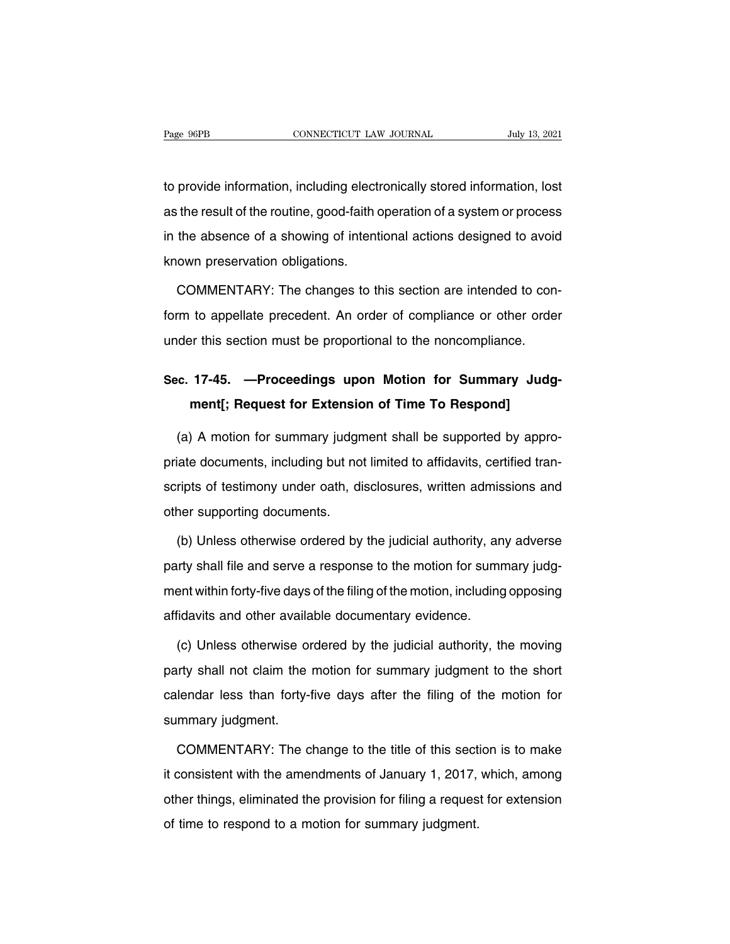The provide information, including electronically stored information, lost<br>to provide information, including electronically stored information, lost<br>as the result of the routine, good-faith operation of a system or process Fage 96PB CONNECTICUT LAW JOURNAL July 13, 2021<br>to provide information, including electronically stored information, lost<br>as the result of the routine, good-faith operation of a system or process<br>in the absence of a showin in the provide information, including electronically stored information, lost<br>as the result of the routine, good-faith operation of a system or process<br>in the absence of a showing of intentional actions designed to avoid<br>k to provide information, including electron<br>as the result of the routine, good-faith of<br>in the absence of a showing of intent<br>known preservation obligations.<br>COMMENTARY: The changes to the the result of the routine, good-faith operation of a system or process<br>the absence of a showing of intentional actions designed to avoid<br>own preservation obligations.<br>COMMENTARY: The changes to this section are intended to

in the absence of a showing of intentional actions designed to avoid<br>known preservation obligations.<br>COMMENTARY: The changes to this section are intended to con-<br>form to appellate precedent. An order of compliance or other known preservation obligations.<br>
COMMENTARY: The changes to this section are intended to conform to appellate precedent. An order of compliance or other orde<br>
under this section must be proportional to the noncompliance. COMMENTARY: The changes to this section are intended to conform to appellate precedent. An order of compliance or other order under this section must be proportional to the noncompliance.<br>Sec. 17-45. —Proceedings upon Moti to appellate precedent. An order of compliance or other order this section must be proportional to the noncompliance.<br> **17-45.** —**Proceedings upon Motion for Summary Judement**[; **Request for Extension of Time To Respond]**<br>

(a) A motion for summary judgment shall be supported by appro-<br>(a) A motion for summary judgment shall be supported by appro-<br>(a) A motion for summary judgment shall be supported by appro-<br>late documents, including but not Sec. 17-45. —Proceedings upon Motion for Summary Judg-<br>ment[; Request for Extension of Time To Respond]<br>(a) A motion for summary judgment shall be supported by appro-<br>priate documents, including but not limited to affidavi ment[; Request for Extension of Time To Respond]<br>(a) A motion for summary judgment shall be supported by appro-<br>priate documents, including but not limited to affidavits, certified tran-<br>scripts of testimony under oath, di (a) A motion for summary judgn<br>priate documents, including but no<br>scripts of testimony under oath, di<br>other supporting documents.<br>(b) Unless otherwise ordered by (a) iate documents, including but not limited to affidavits, certified tran-<br>ripts of testimony under oath, disclosures, written admissions and<br>ner supporting documents.<br>(b) Unless otherwise ordered by the judicial authori

scripts of testimony under oath, disclosures, written admissions and<br>other supporting documents.<br>(b) Unless otherwise ordered by the judicial authority, any adverse<br>party shall file and serve a response to the motion for s other supporting documents.<br>
(b) Unless otherwise ordered by the judicial authority, any adverse<br>
party shall file and serve a response to the motion for summary judg-<br>
ment within forty-five days of the filing of the moti (b) Unless otherwise ordered by the judicial authority, an<br>party shall file and serve a response to the motion for summ<br>ment within forty-five days of the filing of the motion, including<br>affidavits and other available docu (c) unless otherwise ordered by the filing of the motion for summary judgent within forty-five days of the filing of the motion, including opposing<br>idavits and other available documentary evidence.<br>(c) Unless otherwise ord

ment within forty-five days of the filing of the motion, including opposing<br>affidavits and other available documentary evidence.<br>(c) Unless otherwise ordered by the judicial authority, the moving<br>party shall not claim the affidavits and other available documentary evidence.<br>
(c) Unless otherwise ordered by the judicial authority, the moving<br>
party shall not claim the motion for summary judgment to the short<br>
calendar less than forty-five da (c) Unless otherwise of<br>party shall not claim the<br>calendar less than forty-<br>summary judgment.<br>COMMENTARY: The c In the motion of the motion of the short<br>
Iendar less than forty-five days after the filing of the motion for<br>
Iendar less than forty-five days after the filing of the motion for<br>
COMMENTARY: The change to the title of thi

calendar less than forty-five days after the filing of the motion for<br>summary judgment.<br>COMMENTARY: The change to the title of this section is to make<br>it consistent with the amendments of January 1, 2017, which, among<br>othe summary judgment.<br>COMMENTARY: The change to the title of this section is to make<br>it consistent with the amendments of January 1, 2017, which, among<br>other things, eliminated the provision for filing a request for extension<br> COMMENTARY: The change to the title of this sect<br>it consistent with the amendments of January 1, 2017,<br>other things, eliminated the provision for filing a reques<br>of time to respond to a motion for summary judgment.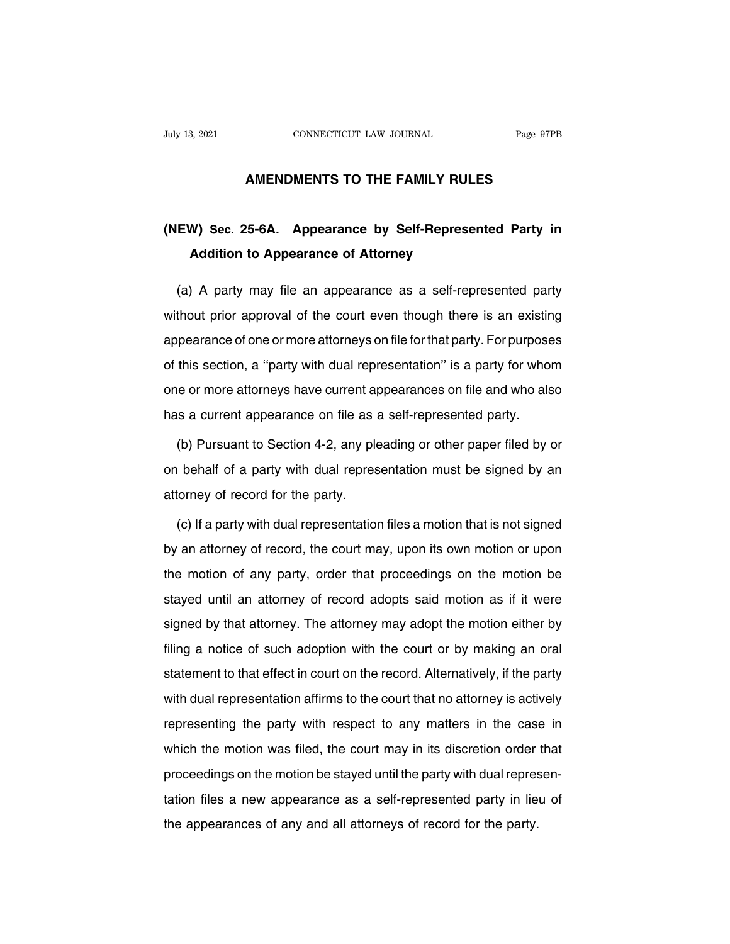# **CONNECTICUT LAW JOURNAL** Page 97PB<br> **AMENDMENTS TO THE FAMILY RULES**

### The Family 13, 2021<br> **EXECUTE ANTIST AND AMENDMENTS TO THE FAMILY RULES<br>
(NEW) Sec. 25-6A. Appearance by Self-Represented Party in<br>
Addition to Appearance of Attorney AMENDMENTS TO THE FAMILY RULI**<br>
W) Sec. 25-6A. Appearance by Self-Represer<br>
Addition to Appearance of Attorney

EW) Sec. 25-6A. Appearance by Self-Represented Party in<br>Addition to Appearance of Attorney<br>(a) A party may file an appearance as a self-represented party<br>thout prior approval of the court even though there is an existing (NEW) Sec. 25-6A. Appearance by Self-Represented Party in<br>Addition to Appearance of Attorney<br>(a) A party may file an appearance as a self-represented party<br>without prior approval of the court even though there is an existi Addition to Appearance of Attorney<br>
(a) A party may file an appearance as a self-represented party<br>
without prior approval of the court even though there is an existing<br>
appearance of one or more attorneys on file for that (a) A party may file an appearance as a self-represented party<br>without prior approval of the court even though there is an existing<br>appearance of one or more attorneys on file for that party. For purposes<br>of this section, without prior approval of the court even though there is an existing appearance of one or more attorneys on file for that party. For purposes of this section, a "party with dual representation" is a party for whom one or without prior approval of the court even though there is an existing<br>appearance of one or more attorneys on file for that party. For purposes<br>of this section, a "party with dual representation" is a party for whom<br>one or m this section, a "party with dual representation" is a party for whom<br>e or more attorneys have current appearances on file and who also<br>s a current appearance on file as a self-represented party.<br>(b) Pursuant to Section 4-2

one or more attorneys have current appearances on file and who also<br>has a current appearance on file as a self-represented party.<br>(b) Pursuant to Section 4-2, any pleading or other paper filed by or<br>on behalf of a party wi has a current appearance on file as a<br>
(b) Pursuant to Section 4-2, any plan<br>
on behalf of a party with dual repres<br>
attorney of record for the party.<br>
(c) If a party with dual representation (b) Pursuant to Section 4-2, any pleading or other paper filed by or<br>
behalf of a party with dual representation must be signed by an<br>
torney of record for the party.<br>
(c) If a party with dual representation files a motion

behalf of a party with dual representation must be signed by an attorney of record for the party.<br>
(c) If a party with dual representation files a motion that is not signed<br>
by an attorney of record, the court may, upon it attorney of record for the party.<br>
(c) If a party with dual representation files a motion that is not signed<br>
by an attorney of record, the court may, upon its own motion or upon<br>
the motion of any party, order that procee (c) If a party with dual representation files a motion that is not signed<br>by an attorney of record, the court may, upon its own motion or upon<br>the motion of any party, order that proceedings on the motion be<br>stayed until a by an attorney of record, the court may, upon its own motion or upon<br>the motion of any party, order that proceedings on the motion be<br>stayed until an attorney of record adopts said motion as if it were<br>signed by that attor filing a notion of any party, order that proceedings on the motion be stayed until an attorney of record adopts said motion as if it were signed by that attorney. The attorney may adopt the motion either by filing a notice stayed until an attorney of record adopts said motion as if it were<br>signed by that attorney. The attorney may adopt the motion either by<br>filing a notice of such adoption with the court or by making an oral<br>statement to tha signed by that attorney. The attorney may adopt the motion either by<br>filing a notice of such adoption with the court or by making an oral<br>statement to that effect in court on the record. Alternatively, if the party<br>with du filing a notice of such adoption with the court or by making an oral<br>statement to that effect in court on the record. Alternatively, if the party<br>with dual representation affirms to the court that no attorney is actively<br>r statement to that effect in court on the record. Alternatively, if the party<br>with dual representation affirms to the court that no attorney is actively<br>representing the party with respect to any matters in the case in<br>whic proceeding the party with respect to any matters in the case in which dual representation affirms to the court that no attorney is actively representing the party with respect to any matters in the case in which the motion that its discrept and the party with respect to any matters in the case in which the motion was filed, the court may in its discretion order that proceedings on the motion be stayed until the party with dual representation which the motion was filed, the court may in its discretion order<br>proceedings on the motion be stayed until the party with dual repres<br>tation files a new appearance as a self-represented party in lie<br>the appearances of any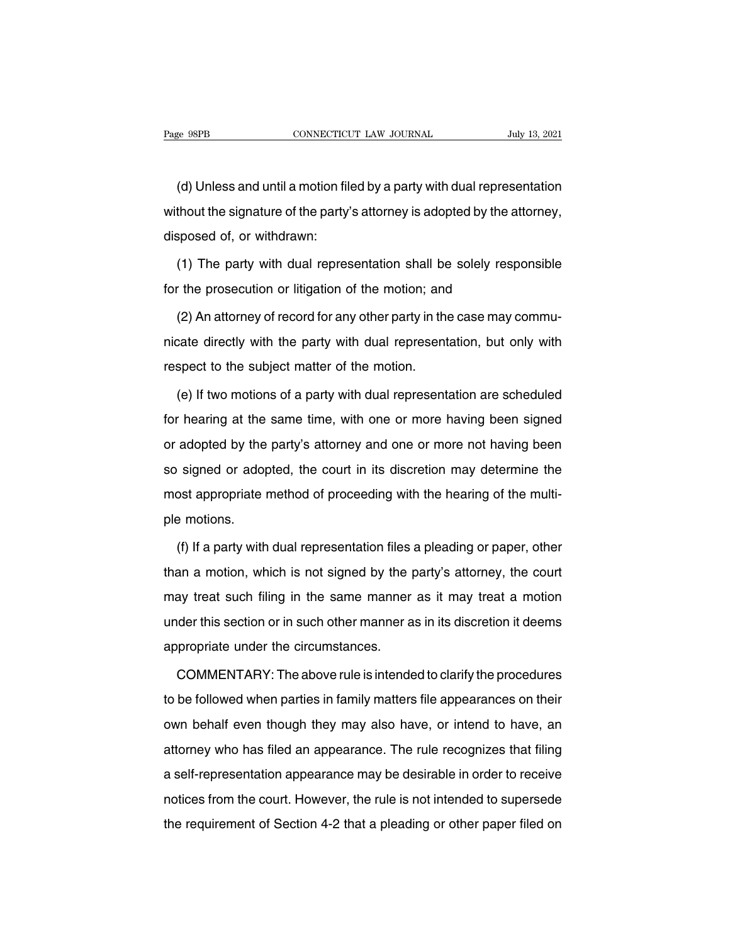EXEMBERT CONNECTICUT LAW JOURNAL THAT THE SERVIES And until a motion filed by a party with dual representation<br>
(d) Unless and until a motion filed by a party with dual representation<br>
thout the signature of the party's at Page 98PB CONNECTICUT LAW JOURNAL July 13, 2021<br>
(d) Unless and until a motion filed by a party with dual representation<br>
without the signature of the party's attorney is adopted by the attorney,<br>
disposed of, or withdrawn (d) Unless and until a motion fil<br>without the signature of the party<br>disposed of, or withdrawn:<br>(1) The party with dual repres (d) Unless and until a motion filed by a party with dual representation<br>thout the signature of the party's attorney is adopted by the attorney,<br>sposed of, or withdrawn:<br>(1) The party with dual representation shall be solel without the signature of the party's attorney is adopted by the a<br>disposed of, or withdrawn:<br>(1) The party with dual representation shall be solely resp<br>for the prosecution or litigation of the motion; and<br>(2) An attorney

sposed of, or withdrawn:<br>
(1) The party with dual representation shall be solely responsible<br>
r the prosecution or litigation of the motion; and<br>
(2) An attorney of record for any other party in the case may commu-<br>
cate d (1) The party with dual representation shall be solely responsible<br>for the prosecution or litigation of the motion; and<br>(2) An attorney of record for any other party in the case may commu-<br>nicate directly with the party wi for the prosecution or litigation of the motion; and<br>
(2) An attorney of record for any other party in the<br>
nicate directly with the party with dual represent<br>
respect to the subject matter of the motion.<br>
(e) If two motio (2) An attorney of record for any other party in the case may commu-<br>cate directly with the party with dual representation, but only with<br>spect to the subject matter of the motion.<br>(e) If two motions of a party with dual r

for hearing at the same time, with dual representation, but only with<br>respect to the subject matter of the motion.<br>(e) If two motions of a party with dual representation are scheduled<br>for hearing at the same time, with one respect to the subject matter of the motion.<br>
(e) If two motions of a party with dual representation are scheduled<br>
for hearing at the same time, with one or more having been signed<br>
or adopted by the party's attorney and (e) If two motions of a party with dual representation are scheduled<br>for hearing at the same time, with one or more having been signed<br>or adopted by the party's attorney and one or more not having been<br>so signed or adopted (e) If two motions of a party with dual representation are scheduled for hearing at the same time, with one or more having been signed or adopted by the party's attorney and one or more not having been so signed or adopted or noaning at the<br>or adopted by the<br>so signed or adop<br>most appropriate i<br>ple motions.<br>(f) If a party with (f) If a party with dual representation files a pleading or paper, other<br>and a motions.<br>At if a party with dual representation files a pleading or paper, other<br>an a motion, which is not signed by the party's attorney, the

most appropriate method of proceeding with the hearing of the multi-<br>ple motions.<br>(f) If a party with dual representation files a pleading or paper, other<br>than a motion, which is not signed by the party's attorney, the cou ple motions.<br>
(f) If a party with dual representation files a pleading or paper, other<br>
than a motion, which is not signed by the party's attorney, the court<br>
may treat such filing in the same manner as it may treat a moti (f) If a party with dual representation files a pleading or paper, other<br>than a motion, which is not signed by the party's attorney, the court<br>may treat such filing in the same manner as it may treat a motion<br>under this se (i) if a party with data representation lifed<br>than a motion, which is not signed by the p<br>may treat such filing in the same manner a<br>under this section or in such other manner a<br>appropriate under the circumstances.<br>COMMENT ay treat such filing in the same manner as it may treat a motion<br>der this section or in such other manner as in its discretion it deems<br>propriate under the circumstances.<br>COMMENTARY: The above rule is intended to clarify t

under this section or in such other manner as in its discretion it deems<br>appropriate under the circumstances.<br>COMMENTARY: The above rule is intended to clarify the procedures<br>to be followed when parties in family matters f appropriate under the circumstances.<br>
COMMENTARY: The above rule is intended to clarify the procedures<br>
to be followed when parties in family matters file appearances on their<br>
own behalf even though they may also have, or COMMENTARY: The above rule is intended to clarify the procedures<br>to be followed when parties in family matters file appearances on their<br>own behalf even though they may also have, or intend to have, an<br>attorney who has fil be followed when parties in family matters file appearances on their<br>own behalf even though they may also have, or intend to have, an<br>attorney who has filed an appearance. The rule recognizes that filing<br>a self-representat notice for the court. However, the rule recognizes on the and attorney who has filed an appearance. The rule recognizes that filing a self-representation appearance may be desirable in order to receive notices from the cou attorney who has filed an appearance. The rule recognizes that filing<br>a self-representation appearance may be desirable in order to receive<br>notices from the court. However, the rule is not intended to supersede<br>the require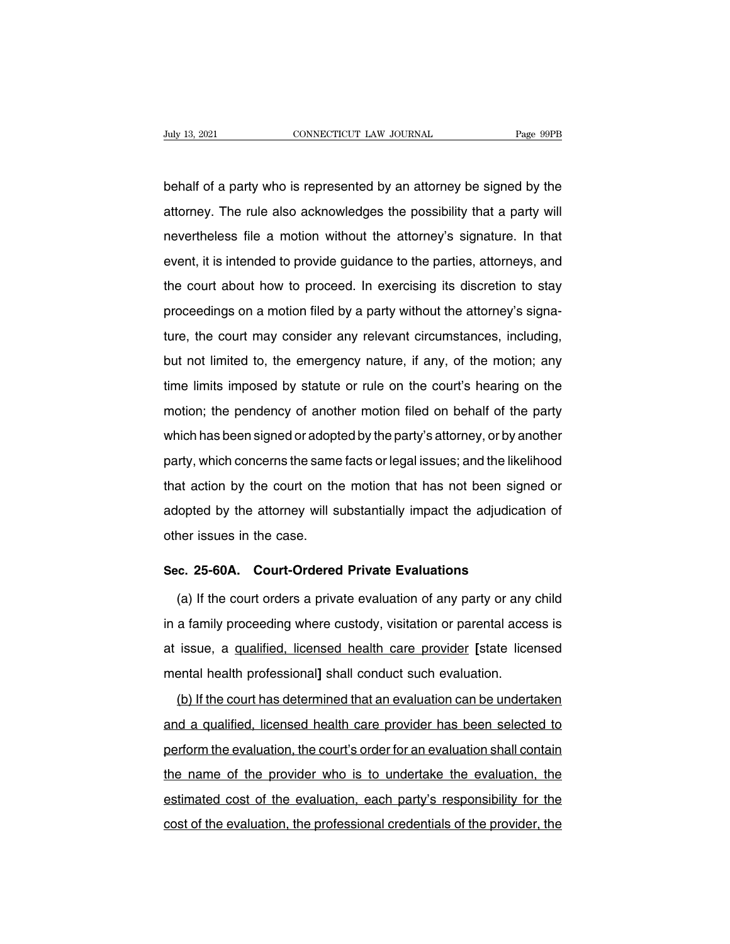behalf of a party who is represented by an attorney be signed by the<br>attorney. The rule also acknowledges the possibility that a party will July 13, 2021 CONNECTICUT LAW JOURNAL Page 99PB<br>behalf of a party who is represented by an attorney be signed by the<br>attorney. The rule also acknowledges the possibility that a party will<br>nevertheless file a motion without behalf of a party who is represented by an attorney be signed by the<br>attorney. The rule also acknowledges the possibility that a party will<br>nevertheless file a motion without the attorney's signature. In that<br>event, it is behalf of a party who is represented by an attorney be signed by the<br>attorney. The rule also acknowledges the possibility that a party will<br>nevertheless file a motion without the attorney's signature. In that<br>event, it is attorney. The rule also acknowledges the possibility that a party will<br>nevertheless file a motion without the attorney's signature. In that<br>event, it is intended to provide guidance to the parties, attorneys, and<br>the court mevertheless file a motion without the attorney's signature. In that event, it is intended to provide guidance to the parties, attorneys, and the court about how to proceed. In exercising its discretion to stay proceedings the court is intended to provide guidance to the parties, attorneys, and the court about how to proceed. In exercising its discretion to stay proceedings on a motion filed by a party without the attorney's signature, the c but not about how to proceed. In exercising its discretion to stay<br>proceedings on a motion filed by a party without the attorney's signa-<br>ture, the court may consider any relevant circumstances, including,<br>but not limited proceedings on a motion filed by a party without the attorney's signature, the court may consider any relevant circumstances, including, but not limited to, the emergency nature, if any, of the motion; any time limits impo proceedings on a motion mea by a party without the attentity is eignaritive, the court may consider any relevant circumstances, including, but not limited to, the emergency nature, if any, of the motion; any time limits im and, the bean thay beheads any felovant disamisatiose, instantig,<br>but not limited to, the emergency nature, if any, of the motion; any<br>time limits imposed by statute or rule on the court's hearing on the<br>motion; the penden but hot limited to, the sinorgoncy hatace, if any, or the motion, any<br>time limits imposed by statute or rule on the court's hearing on the<br>motion; the pendency of another motion filed on behalf of the party<br>which has been motion; the pendency of another motion filed on behalf of the party<br>which has been signed or adopted by the party's attorney, or by another<br>party, which concerns the same facts or legal issues; and the likelihood<br>that acti menon, the pendenty of dhellel measuring of the ball of the party<br>which has been signed or adopted by the party's attorney, or by another<br>party, which concerns the same facts or legal issues; and the likelihood<br>that action party, which concerns the same<br>that action by the court on the<br>adopted by the attorney will s<br>other issues in the case. that action by the court on the motion that has not been signe<br>adopted by the attorney will substantially impact the adjudication<br>other issues in the case.<br>**Sec. 25-60A.** Court-Ordered Private Evaluations<br>(a) If the court (b) Iopted by the attorney will substantially impact the adjudication of<br>
ner issues in the case.<br> **c. 25-60A.** Court-Ordered Private Evaluations<br>
(a) If the court orders a private evaluation of any party or any child<br>
a f

other issues in the case.<br> **Sec. 25-60A.** Court-Ordered Private Evaluations<br>
(a) If the court orders a private evaluation of any party or any child<br>
in a family proceeding where custody, visitation or parental access is<br>
a Sec. 25-60A. Court-Ordered Private Evaluations<br>(a) If the court orders a private evaluation of any party or any child<br>in a family proceeding where custody, visitation or parental access is<br>at issue, a <u>qualified, licensed </u> (a) If the court orders a private evaluation of any party or any<br>in a family proceeding where custody, visitation or parental acce<br>at issue, a <u>qualified, licensed health care provider</u> [state lice<br>mental health profession (a) If the court state a private statement of any party of any simular<br>a family proceeding where custody, visitation or parental access is<br>issue, a qualified, licensed health care provider [state licensed<br>ental health prof

at issue, a <u>qualified, licensed health care provider</u> [state licensed<br>mental health professional] shall conduct such evaluation.<br>(b) If the court has determined that an evaluation can be undertaken<br>and a qualified, licens perform the evaluation, the court's order for an evaluation.<br>
(b) If the court has determined that an evaluation can be undertaken<br>
and a qualified, licensed health care provider has been selected to<br>
perform the evaluatio (b) If the court has determined that an evaluation can be undertaken<br>and a qualified, licensed health care provider has been selected to<br>perform the evaluation, the court's order for an evaluation shall contain<br>the name of and a qualified, licensed health care provider has been selected to<br>perform the evaluation, the court's order for an evaluation shall contain<br>the name of the provider who is to undertake the evaluation, the<br>estimated cost perform the evaluation, the court's order for an evaluation shall contain<br>the name of the provider who is to undertake the evaluation, the<br>estimated cost of the evaluation, each party's responsibility for the<br>cost of the e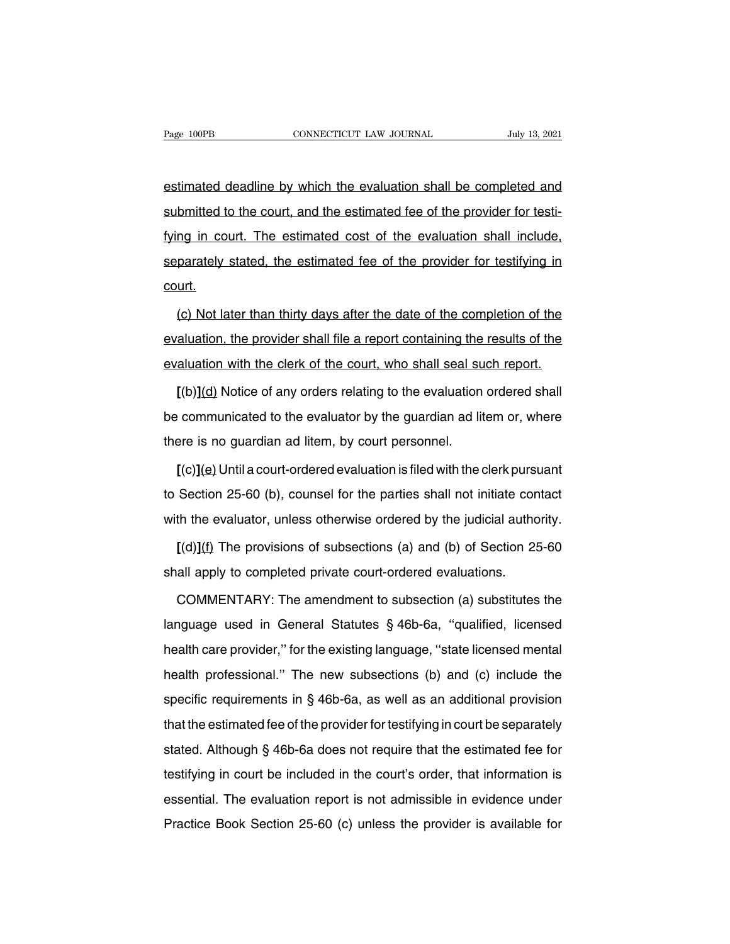Page 100PB<br>
estimated deadline by which the evaluation shall be completed and<br>
submitted to the court, and the estimated fee of the provider for testi-Fage 100PB CONNECTICUT LAW JOURNAL July 13, 2021<br>estimated deadline by which the evaluation shall be completed and<br>submitted to the court, and the estimated fee of the provider for testi-<br>fying in court. The estimated cost estimated deadline by which the evaluation shall be completed and<br>submitted to the court, and the estimated fee of the provider for testi-<br>fying in court. The estimated cost of the evaluation shall include,<br>separately stat estimated deadline by which the evaluation shall be completed and<br>submitted to the court, and the estimated fee of the provider for testi-<br>fying in court. The estimated cost of the evaluation shall include,<br>separately stat court. (e) noticely stated, the estimated cost of the evaluation shall include,<br>parately stated, the estimated fee of the provider for testifying in<br>urt.<br>(c) Not later than thirty days after the date of the completion of the<br>alua

separately stated, the estimated fee of the provider for testifying in<br>court.<br>(c) Not later than thirty days after the date of the completion of the<br>evaluation, the provider shall file a report containing the results of th court.<br>
(c) Not later than thirty days after the date of the completion of the<br>
evaluation, the provider shall file a report containing the results of the<br>
evaluation with the clerk of the court, who shall seal such report (c) Not later than thirty days after the date of the completion of the aluation, the provider shall file a report containing the results of the aluation with the clerk of the court, who shall seal such report.<br>[(b)](d) Not

be containing the results of the<br>evaluation with the clerk of the court, who shall seal such report.<br>
[(b)](d) Notice of any orders relating to the evaluation ordered shall<br>
be communicated to the evaluator by the guardian evaluation with the clerk of the court, who shall seal su<br>
[(b)](d) Notice of any orders relating to the evaluation<br>
be communicated to the evaluator by the guardian ad lit<br>
there is no guardian ad litem, by court personne  $[(b)](d)$  Notice of any orders relating to the evaluation ordered shall<br>  $\cdot$  communicated to the evaluator by the guardian ad litem or, where<br>  $\cdot$  are is no guardian ad litem, by court personnel.<br>  $[(c)](e)$  Until a court-

to such the evaluator by the guardian ad litem or, where<br>there is no guardian ad litem, by court personnel.<br>
[(c)](e) Until a court-ordered evaluation is filed with the clerk pursuant<br>
to Section 25-60 (b), counsel for the there is no guardian ad litem, by court personnel.<br>  $[(c)](e)$  Until a court-ordered evaluation is filed with the clerk pursuant<br>
to Section 25-60 (b), counsel for the parties shall not initiate contact<br>
with the evaluator, [(c)](e) Until a court-ordered evaluation is filed with the clerk pursuant<br>Section 25-60 (b), counsel for the parties shall not initiate contact<br>th the evaluator, unless otherwise ordered by the judicial authority.<br>[(d)](f is Section 25-60 (b), counsel for the parties shall not initiate con<br>with the evaluator, unless otherwise ordered by the judicial author<br>[(d)](f) The provisions of subsections (a) and (b) of Section 29<br>shall apply to compl

th the evaluator, unless otherwise ordered by the judicial authority.<br>
[(d)](f) The provisions of subsections (a) and (b) of Section 25-60<br>
all apply to completed private court-ordered evaluations.<br>
COMMENTARY: The amendme [(d)](f) The provisions of subsections (a) and (b) of Section 25-60<br>shall apply to completed private court-ordered evaluations.<br>COMMENTARY: The amendment to subsection (a) substitutes the<br>language used in General Statutes shall apply to completed private court-ordered evaluations.<br>COMMENTARY: The amendment to subsection (a) substitutes the<br>language used in General Statutes § 46b-6a, "qualified, licensed<br>health care provider," for the existi COMMENTARY: The amendment to subsection (a) substitutes the<br>language used in General Statutes § 46b-6a, "qualified, licensed<br>health care provider," for the existing language, "state licensed mental<br>health professional." T Sommer Fright Fig. 1 in dimension to subsection (a) substituted the language used in General Statutes § 46b-6a, "qualified, licensed health care provider," for the existing language, "state licensed mental health professi the estimate fee of the existing language, "state licensed mental<br>health professional." The new subsections (b) and (c) include the<br>specific requirements in § 46b-6a, as well as an additional provision<br>that the estimated stated. Although § 46b-6a, as well as an additional provision<br>that the estimated fee of the provider for testifying in court be separately<br>stated. Although § 46b-6a does not require that the estimated fee for<br>testifying in specific requirements in § 46b-6a, as well as an additional provision<br>that the estimated fee of the provider for testifying in court be separately<br>stated. Although § 46b-6a does not require that the estimated fee for<br>test that the estimated fee of the provider for testifying in court be separately<br>stated. Although  $\S$  46b-6a does not require that the estimated fee for<br>testifying in court be included in the court's order, that information i stated. Although § 46b-6a does not require that the estimated fee for testifying in court be included in the court's order, that information is essential. The evaluation report is not admissible in evidence under Practice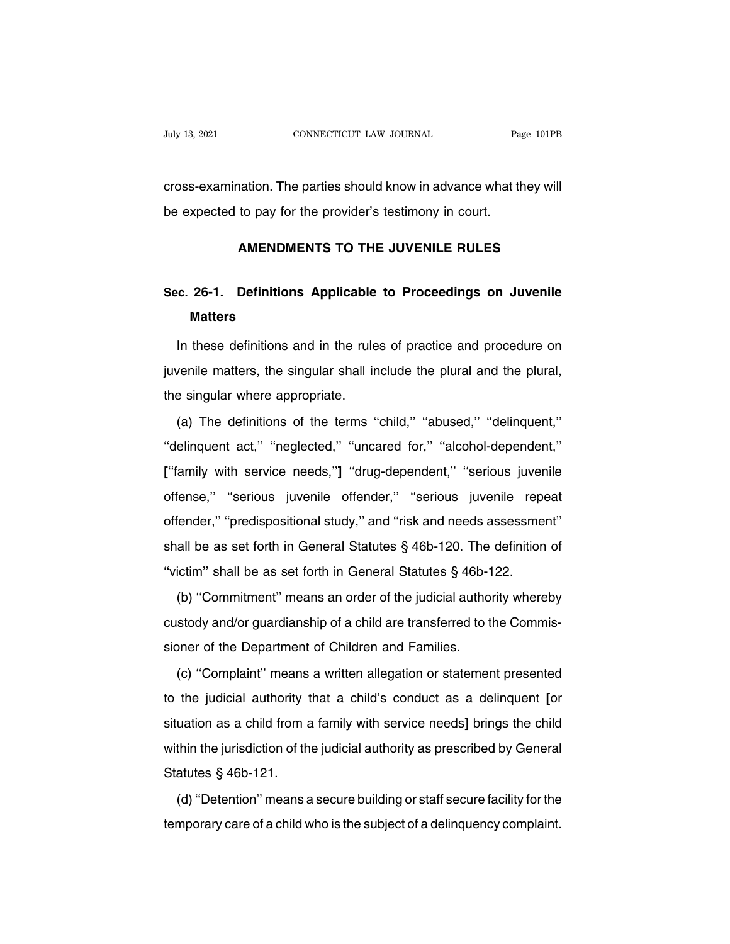CONNECTICUT LAW JOURNAL Page 101PB<br>Cross-examination. The parties should know in advance what they will<br>be expected to pay for the provider's testimony in court. be expected to pay for the provider's testimony in court.<br>
Surface what the expected to pay for the provider's testimony in court. AMENDMENTS TO THE JUVENILE RULES

### be expected to pay for the provider's testimony in court.<br>**AMENDMENTS TO THE JUVENILE RULES**<br>Sec. 26-1. Definitions Applicable to Proceedings on Juvenile<br>Matters **Matters**

EXAMENDINENTS TO THE JOVENIEE ROEES<br>
In these definitions and in the rules of practice and procedure on<br>
Venile matters, the singular shall include the plural and the plural, Sec. 26-1. Definitions Applicable to Proceedings on Juvenile<br>Matters<br>In these definitions and in the rules of practice and procedure on<br>juvenile matters, the singular shall include the plural and the plural,<br>the singular w Matters<br>In these definitions and in the rule<br>juvenile matters, the singular shall in<br>the singular where appropriate.<br>(a) The definitions of the terms " In these definitions and in the rules of practice and procedure on<br>venile matters, the singular shall include the plural and the plural,<br>e singular where appropriate.<br>(a) The definitions of the terms "child," "abused," "de

In these deminions and in the rates or practice and procedure on<br>
juvenile matters, the singular shall include the plural and the plural,<br>
the singular where appropriate.<br>
(a) The definitions of the terms "child," "abused, If the singular where appropriate.<br>
(a) The definitions of the terms "child," "abused," "delinquent,"<br>
"delinquent act," "neglected," "uncared for," "alcohol-dependent,"<br>
["family with service needs,"] "drug-dependent," "s (a) The definitions of the terms "child," "abused," "delinquent,"<br>"delinquent act," "neglected," "uncared for," "alcohol-dependent,"<br>["family with service needs,"] "drug-dependent," "serious juvenile<br>offense," "serious juv "delinquent act," "neglected," "uncared for," "alcobol-dependent,"<br>["family with service needs,"] "drug-dependent," "serious juvenile<br>offense," "serious juvenile offender," "serious juvenile repeat<br>offender," "predispositi If the asset forth in General Statutes § 46b-120. The definition of "victim" shall be as set forth in General Statutes § 46b-120. The definition of "victim" shall be as set forth in General Statutes § 46b-120. The definiti offense," "serious juvenile offender," "serious juvenile rependenter," "serious juvenile rependenter," "predispositional study," and "risk and needs assessme shall be as set forth in General Statutes  $\S$  46b-120. The defi (b) "entries" yarding shortlast, "Sondas yarding" repoder<br>
(b) the definition of<br>
ictim" shall be as set forth in General Statutes § 46b-120. The definition of<br>
ictim" shall be as set forth in General Statutes § 46b-122.<br>

shall be as set forth in General Statutes  $\S$  46b-120. The definition of "victim" shall be as set forth in General Statutes  $\S$  46b-122.<br>(b) "Commitment" means an order of the judicial authority whereby custody and/or gua "victim" shall be as set forth in General Statutes  $\S$  46b-1<br>
(b) "Commitment" means an order of the judicial author<br>
custody and/or guardianship of a child are transferred to the<br>
sioner of the Department of Children and (b) "Commitment" means an order of the judicial authority whereby<br>stody and/or guardianship of a child are transferred to the Commis-<br>oner of the Department of Children and Families.<br>(c) "Complaint" means a written allegat

to the Department of a child are transferred to the Commissioner of the Department of Children and Families.<br>
(c) "Complaint" means a written allegation or statement presented<br>
to the judicial authority that a child's cond sioner of the Department of Children and Families.<br>
(c) "Complaint" means a written allegation or statement presented<br>
to the judicial authority that a child's conduct as a delinquent [or<br>
situation as a child from a famil (c) "Complaint" means a written allegation or statement presented<br>to the judicial authority that a child's conduct as a delinquent [or<br>situation as a child from a family with service needs] brings the child<br>within the juri to the judicial authority to the judicial authority to situation as a child from a<br>within the jurisdiction of the Statutes  $\S$  46b-121.<br>(d) "Detention" means a (d) the junion as a child from a family with service needs] brings the child<br>thin the jurisdiction of the judicial authority as prescribed by General<br>atutes § 46b-121.<br>(d) "Detention" means a secure building or staff secur of a child who is the subject of a delinquency complaint.<br>
Statutes § 46b-121.<br>
(d) "Detention" means a secure building or staff secure facility for the temporary care of a child who is the subject of a delinquency complai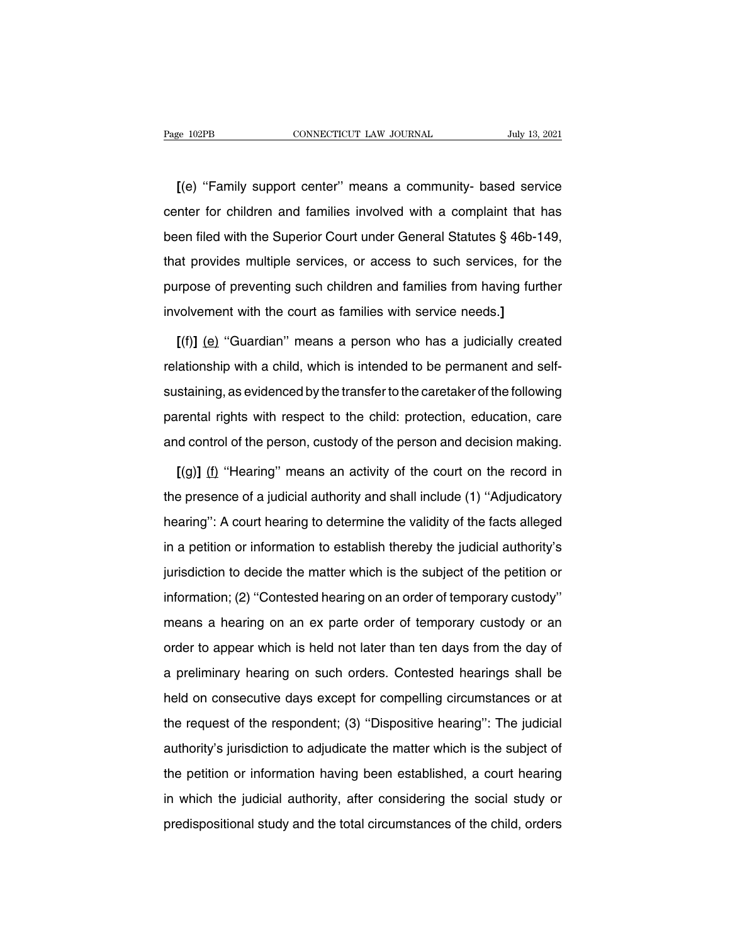**[**(e) ''Family support center'' means a community- based service Page 102PB CONNECTICUT LAW JOURNAL July 13, 2021<br>
[(e) "Family support center" means a community- based service<br>
center for children and families involved with a complaint that has<br>
been filed with the Superior Court under I(e) "Family support center" means a community- based service<br>center for children and families involved with a complaint that has<br>been filed with the Superior Court under General Statutes § 46b-149,<br>that provides multiple [(e) "Family support center" means a community- based service<br>center for children and families involved with a complaint that has<br>been filed with the Superior Court under General Statutes § 46b-149,<br>that provides multiple purpose of preventing such children and families involved with a complaint that has<br>been filed with the Superior Court under General Statutes § 46b-149,<br>that provides multiple services, or access to such services, for the<br> center for children and families involved with a complaint that has<br>been filed with the Superior Court under General Statutes § 46b-149,<br>that provides multiple services, or access to such services, for the<br>purpose of preve at provides multiple services, or access to such services, for the prose of preventing such children and families from having further volvement with the court as families with service needs.]<br>[(f)] (e) "Guardian" means a p

relationship with a child, which is intended to be permanent and self-<br>sustaining, as evidenced by the transfer to the caretaker of the following involvement with the court as families with service needs.]<br>
[(f)] (e) "Guardian" means a person who has a judicially created<br>
relationship with a child, which is intended to be permanent and self-<br>
sustaining, as evidence  $[(f)]$  (e) "Guardian" means a person who has a judicially created relationship with a child, which is intended to be permanent and self-<br>sustaining, as evidenced by the transfer to the caretaker of the following<br>parental r relationship with a child, which is intended to be permanent and self-<br>sustaining, as evidenced by the transfer to the caretaker of the following<br>parental rights with respect to the child: protection, education, care<br>and staining, as evidenced by the transfer to the caretaker of the following<br>rental rights with respect to the child: protection, education, care<br>d control of the person, custody of the person and decision making.<br>[(g)] (f) "H

parental rights with respect to the child: protection, education, care<br>and control of the person, custody of the person and decision making.<br>[(g)] (f) "Hearing" means an activity of the court on the record in<br>the presence and control of the person, custody of the person and decision making.<br>
[(g)] (f) "Hearing" means an activity of the court on the record in<br>
the presence of a judicial authority and shall include (1) "Adjudicatory<br>
hearing"  $I(g)$ ] (f) "Hearing" means an activity of the court on the record in the presence of a judicial authority and shall include (1) "Adjudicatory hearing": A court hearing to determine the validity of the facts alleged in a p The presence of a judicial authority and shall include (1) "Adjudicatory<br>hearing": A court hearing to determine the validity of the facts alleged<br>in a petition or information to establish thereby the judicial authority's<br> ine precense or a jacketar addition; and shall instate  $(1)$  ''regadiedate';<br>hearing": A court hearing to determine the validity of the facts alleged<br>in a petition or information to establish thereby the judicial authorit meaning in technicaling to determine the rainary or the ladde anegod<br>in a petition or information to establish thereby the judicial authority's<br>jurisdiction to decide the matter which is the subject of the petition or<br>info in a pollion of information to decide the matter which is the subject of the petition or<br>information; (2) "Contested hearing on an order of temporary custody"<br>means a hearing on an ex parte order of temporary custody or an information; (2) "Contested hearing on an order of temporary custody"<br>means a hearing on an ex parte order of temporary custody or an<br>order to appear which is held not later than ten days from the day of<br>a preliminary hear means a hearing on an ex parte order of temporary custody or an order to appear which is held not later than ten days from the day of a preliminary hearing on such orders. Contested hearings shall be held on consecutive da the request of the respondent; (3) "Dispositive hearing": The judicial authority's jurisdiction to adjudicate the matter which is the subject of the request of the respondent; (3) "Dispositive hearing": The judicial author a preliminary hearing on such orders. Contested hearings shall be<br>held on consecutive days except for compelling circumstances or at<br>the request of the respondent; (3) "Dispositive hearing": The judicial<br>authority's jurisd the promininary freaming off science of science the freamings small set<br>held on consecutive days except for compelling circumstances or at<br>the request of the respondent; (3) "Dispositive hearing": The judicial<br>authority's in the request of the respondent; (3) "Dispositive hearing": The judicial authority's jurisdiction to adjudicate the matter which is the subject of the petition or information having been established, a court hearing in wh authority's jurisdiction to adjudicate the matter which is the subject of<br>the petition or information having been established, a court hearing<br>in which the judicial authority, after considering the social study or<br>predispo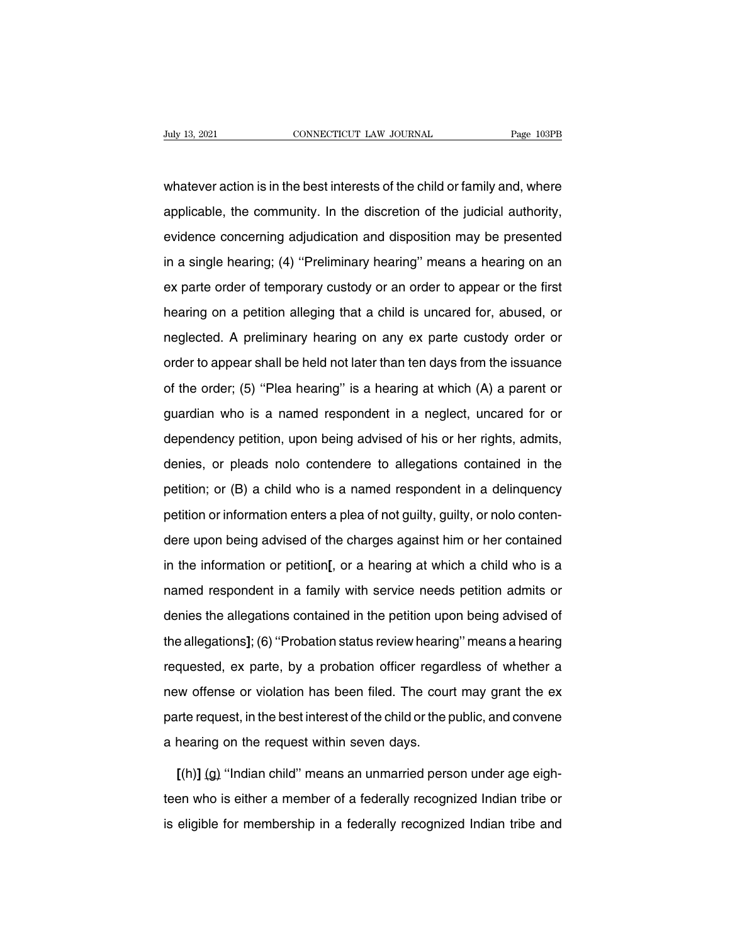Valy 13, 2021 CONNECTICUT LAW JOURNAL Page 103PB<br>whatever action is in the best interests of the child or family and, where<br>applicable, the community. In the discretion of the judicial authority, July 13, 2021 CONNECTICUT LAW JOURNAL Page 103PB<br>whatever action is in the best interests of the child or family and, where<br>applicable, the community. In the discretion of the judicial authority,<br>evidence concerning adjudi whatever action is in the best interests of the child or family and, where<br>applicable, the community. In the discretion of the judicial authority,<br>evidence concerning adjudication and disposition may be presented<br>in a sing whatever action is in the best interests of the child or family and, where<br>applicable, the community. In the discretion of the judicial authority,<br>evidence concerning adjudication and disposition may be presented<br>in a sing explicable, the community. In the discretion of the judicial authority, evidence concerning adjudication and disposition may be presented in a single hearing; (4) "Preliminary hearing" means a hearing on an ex parte order evidence concerning adjudication and disposition may be presented<br>in a single hearing; (4) "Preliminary hearing" means a hearing on an<br>ex parte order of temporary custody or an order to appear or the first<br>hearing on a pet in a single hearing; (4) "Preliminary hearing" means a hearing on an<br>ex parte order of temporary custody or an order to appear or the first<br>hearing on a petition alleging that a child is uncared for, abused, or<br>neglected. ex parte order of temporary custody or an order to appear or the first<br>hearing on a petition alleging that a child is uncared for, abused, or<br>neglected. A preliminary hearing on any ex parte custody order or<br>order to appea bearing on a petition alleging that a child is uncared for, abused, or neglected. A preliminary hearing on any ex parte custody order or order to appear shall be held not later than ten days from the issuance of the order; neglected. A preliminary hearing on any ex parte custody order or<br>order to appear shall be held not later than ten days from the issuance<br>of the order; (5) "Plea hearing" is a hearing at which (A) a parent or<br>guardian who dependency petition, upon being advised of his or her rights, admits, denies, or pleads noto contendere to allegations contained in the ender; (5) "Plea hearing" is a hearing at which (A) a parent or guardian who is a name of the order; (5) "Plea hearing" is a hearing at which (A) a parent or<br>guardian who is a named respondent in a neglect, uncared for or<br>dependency petition, upon being advised of his or her rights, admits,<br>denies, or pleads per and strate, (c) if the including the alternating at minimal (i.) a particle is guardian who is a named respondent in a neglect, uncared for or dependency petition, upon being advised of his or her rights, admits, denie guardian who is a named respondent in a neglect, uncared for or dependency petition, upon being advised of his or her rights, admits, denies, or pleads nolo contendere to allegations contained in the petition; or (B) a chi denies, or pleads nolo contendere to allegations contained in the<br>petition; or (B) a child who is a named respondent in a delinquency<br>petition or information enters a plea of not guilty, guilty, or nolo conten-<br>dere upon b petition; or (B) a child who is a named respondent in a delinquency<br>petition or information enters a plea of not guilty, guilty, or nolo conten-<br>dere upon being advised of the charges against him or her contained<br>in the in petition or information enters a plea of not guilty, guilty, or nolo conten-<br>dere upon being advised of the charges against him or her contained<br>in the information or petition[, or a hearing at which a child who is a<br>named dere upon being advised of the charges against him or her contained<br>in the information or petition[, or a hearing at which a child who is a<br>named respondent in a family with service needs petition admits or<br>denies the alle in the information or petition[, or a hearing at which a child who is a<br>named respondent in a family with service needs petition admits or<br>denies the allegations contained in the petition upon being advised of<br>the allegati requested, ex parte, by a probation officer regardless of whether a principle in<br>the allegations contained in the petition upon being advised of<br>the allegations]; (6) "Probation status review hearing" means a hearing<br>reque nance responsement at a tanny that service freeds peaker danks of<br>denies the allegations]; (6) "Probation status review hearing" means a hearing<br>requested, ex parte, by a probation officer regardless of whether a<br>new offen parted are an upgan one of the allegations]; (6) "Probation status review hearing" means a hearing requested, ex parte, by a probation officer regardless of whether a new offense or violation has been filed. The court may requested, ex parte, by a probation officer regard<br>new offense or violation has been filed. The cour<br>parte request, in the best interest of the child or the p<br>a hearing on the request within seven days.<br> $I(h)I(r)$  "Indian ch <sup>1</sup> w offense or violation has been filed. The court may grant the exerte request, in the best interest of the child or the public, and convene hearing on the request within seven days.<br> **[**(h)] (g) "Indian child" means an

parte request, in the best interest of the child or the public, and convene<br>a hearing on the request within seven days.<br>[(h)] (g) "Indian child" means an unmarried person under age eigh-<br>teen who is either a member of a fe is eligible for membership in a federally recognized Indian tribe and<br>is eligible for membership in a federally recognized Indian tribe or<br>is eligible for membership in a federally recognized Indian tribe and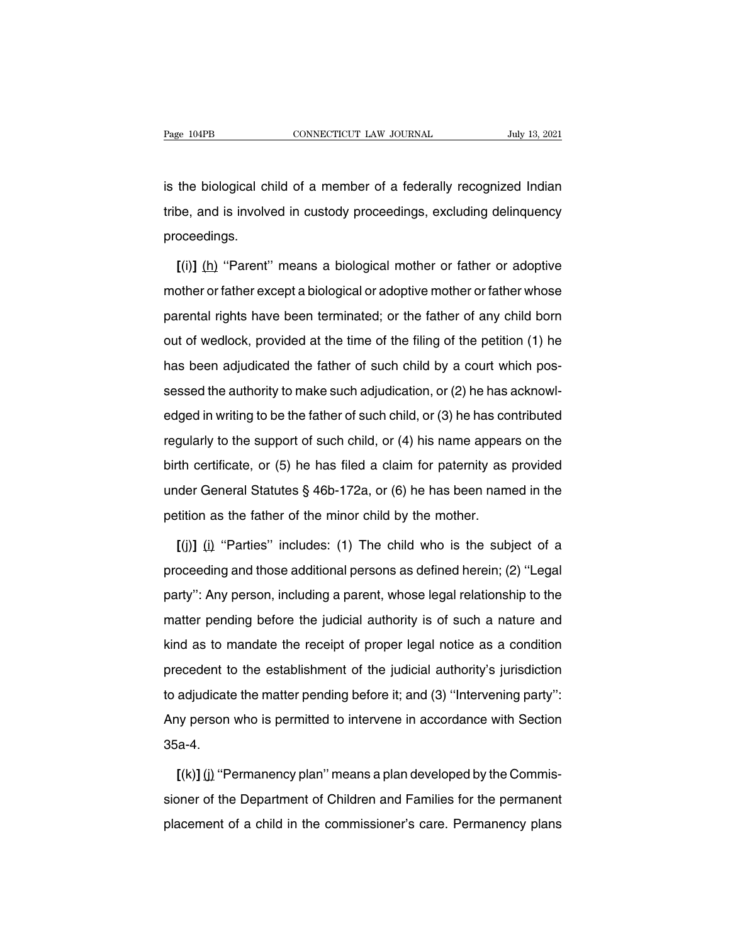Fage 104PB<br>is the biological child of a member of a federally recognized Indian<br>tribe, and is involved in custody proceedings, excluding delinquency Fage 104PB CONNECTICUT LAW JOURNAL July 13, 2021<br>is the biological child of a member of a federally recognized Indian<br>tribe, and is involved in custody proceedings, excluding delinquency<br>proceedings. proceedings. the biological child of a member of a federally recognized Indian<br>
be, and is involved in custody proceedings, excluding delinquency<br>
oceedings.<br> **[(i)]** (h) "Parent" means a biological mother or father or adoptive<br>
other

tribe, and is involved in custody proceedings, excluding delinquency<br>proceedings.<br>[(i)] (h) "Parent" means a biological mother or father or adoptive<br>mother or father except a biological or adoptive mother or father whose<br>p proceedings.<br>
[(i)] (h) "Parent" means a biological mother or father or adoptive<br>
mother or father except a biological or adoptive mother or father whose<br>
parental rights have been terminated; or the father of any child bo  $\lbrack$  (i)] (h) "Parent" means a biological mother or father or adoptive<br>mother or father except a biological or adoptive mother or father whose<br>parental rights have been terminated; or the father of any child born<br>out of mother or father except a biological or adoptive mother or father whose<br>parental rights have been terminated; or the father of any child born<br>out of wedlock, provided at the time of the filing of the petition (1) he<br>has b sessed the authority to make such a subsequence is the father of any child born<br>out of wedlock, provided at the time of the filing of the petition (1) he<br>has been adjudicated the father of such child by a court which pos-<br> parontal rights have been terminated, or the father of any officient of wedlock, provided at the time of the filing of the petition (1) he has been adjudicated the father of such child by a court which possessed the author based the authority to make such adjudication, or (2) he has acknowledged in writing to be the father of such adjudication, or (2) he has acknowledged in writing to be the father of such child, or (3) he has contributed re birth certificate and hall of the such adjudication, or (2) he has acknowledged in writing to be the father of such child, or (3) he has contributed regularly to the support of such child, or (4) his name appears on the b edged in writing to be the father of such child, or (3) he has contributed regularly to the support of such child, or (4) his name appears on the birth certificate, or (5) he has filed a claim for paternity as provided un between the support of such child, or (4) his name appear birth certificate, or (5) he has filed a claim for paternity as under General Statutes § 46b-172a, or (6) he has been nam petition as the father of the minor child **formulative 19.1** (5) he has filed a claim for paternity as provided<br>der General Statutes § 46b-172a, or (6) he has been named in the<br>tition as the father of the minor child by the mother.<br> $[(j)]$  (i) "Parties" includes: (

under General Statutes § 46b-172a, or (6) he has been named in the<br>petition as the father of the minor child by the mother.<br> $[(j)]$  (i) "Parties" includes: (1) The child who is the subject of a<br>proceeding and those addition petition as the father of the minor child by the mother.<br>
[(i)] (i) "Parties" includes: (1) The child who is the subject of a<br>
proceeding and those additional persons as defined herein; (2) "Legal<br>
party": Any person, incl  $I(j)$ ] (i) "Parties" includes: (1) The child who is the subject of a proceeding and those additional persons as defined herein; (2) "Legal party": Any person, including a parent, whose legal relationship to the matter pen proceeding and those additional persons as defined herein; (2) "Legal<br>party": Any person, including a parent, whose legal relationship to the<br>matter pending before the judicial authority is of such a nature and<br>kind as to precedent to the establishment of the judicial authority's jurisdiction and kind as to mandate the receipt of proper legal notice as a condition precedent to the establishment of the judicial authority's jurisdiction to a party": Any person, including a parent, whose legal relationship to the<br>matter pending before the judicial authority is of such a nature and<br>kind as to mandate the receipt of proper legal notice as a condition<br>precedent to Kind as to mandate the receipt of proper legal notice as a condition<br>precedent to the establishment of the judicial authority's jurisdiction<br>to adjudicate the matter pending before it; and (3) "Intervening party":<br>Any pers 35a-4. adjudicate the matter pending before it; and (3) "Intervening party":<br>
iy person who is permitted to intervene in accordance with Section<br>
ia-4.<br>
[(k)] (j) "Permanency plan" means a plan developed by the Commis-<br>
pher of t

Any person who is permitted to intervene in accordance with Section<br>35a-4.<br>
[(k)] (j) "Permanency plan" means a plan developed by the Commis-<br>
sioner of the Department of Children and Families for the permanent<br>
placement 35a-4.<br>
[(k)] (j) "Permanency plan" means a plan developed by the Commis-<br>
sioner of the Department of Children and Families for the permanent<br>
placement of a child in the commissioner's care. Permanency plans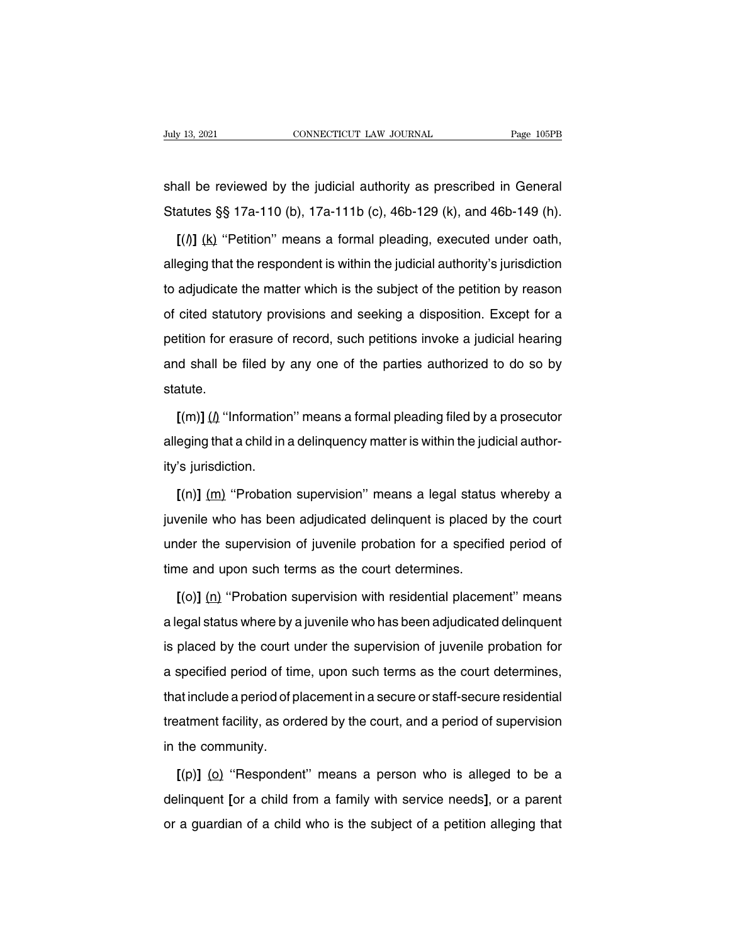Suly 13, 2021<br>Shall be reviewed by the judicial authority as prescribed in General<br>Statutes §§ 17a-110 (b), 17a-111b (c), 46b-129 (k), and 46b-149 (h). Suly 13, 2021 CONNECTICUT LAW JOURNAL Page 105PB<br>
Shall be reviewed by the judicial authority as prescribed in General<br>
Statutes §§ 17a-110 (b), 17a-111b (c), 46b-129 (k), and 46b-149 (h).<br>
[(*i*)] (k) "Petition" means a f

all be reviewed by the judicial authority as prescribed in General<br>atutes §§ 17a-110 (b), 17a-111b (c), 46b-129 (k), and 46b-149 (h).<br>[(*l*)] (<u>k</u>) "Petition" means a formal pleading, executed under oath,<br>eging that the re shall be reviewed by the judicial authority as prescribed in General<br>Statutes §§ 17a-110 (b), 17a-111b (c), 46b-129 (k), and 46b-149 (h).<br>[(*l*)] (k) "Petition" means a formal pleading, executed under oath,<br>alleging that t Statutes §§ 17a-110 (b), 17a-111b (c), 46b-129 (k), and 46b-149 (h).<br>  $[(*h*)]$  (k) "Petition" means a formal pleading, executed under oath,<br>
alleging that the respondent is within the judicial authority's jurisdiction<br>  $[(*h*)]$  ( $(k)$  "Petition" means a formal pleading, executed under oath, alleging that the respondent is within the judicial authority's jurisdiction to adjudicate the matter which is the subject of the petition by reas petition for erasure of record, such petition invoke a judicial authority's jurisdiction<br>to adjudicate the matter which is the subject of the petition by reason<br>of cited statutory provisions and seeking a disposition. Exce and shall and subported the matter which is the subject of the petition by reason<br>of cited statutory provisions and seeking a disposition. Except for a<br>petition for erasure of record, such petitions invoke a judicial heari statute. Fittion for erasure of record, such petitions invoke a judicial hearing<br>id shall be filed by any one of the parties authorized to do so by<br>atute.<br> $[(m)] (\hat{\mu}$  "Information" means a formal pleading filed by a prosecutor<br>egin

and shall be filed by any one of the parties authorized to do so by statute.<br>  $[(m)] (\hat{\mu}$  "Information" means a formal pleading filed by a prosecutor alleging that a child in a delinquency matter is within the judicial aut statute.<br>
[(m)] ( $\Lambda$  "Information<br>
alleging that a child in<br>
ity's jurisdiction.<br>
[(n)] <u>(m)</u> "Probation  $\left[\frac{m}{\mu}\right]$  ( $\mu$  "Information" means a formal pleading filed by a prosecutor<br>eging that a child in a delinquency matter is within the judicial author-<br>'s jurisdiction.<br> $\left[\frac{m}{\mu}\right]$  (m) (m) "Probation supervision" me

alleging that a child in a delinquency matter is within the judicial author-<br>ity's jurisdiction.<br>[(n)] (m) "Probation supervision" means a legal status whereby a<br>juvenile who has been adjudicated delinquent is placed by th ity's jurisdiction.<br>  $[(n)]$  (m) "Probation supervision" means a legal status whereby a<br>
juvenile who has been adjudicated delinquent is placed by the court<br>
under the supervision of juvenile probation for a specified perio  $[(n)]$  (m) "Probation supervision" means a legal status<br>juvenile who has been adjudicated delinquent is placed k<br>under the supervision of juvenile probation for a specifie<br>time and upon such terms as the court determines.<br> Figure 1. The vertile who has been adjudicated delinquent is placed by the court<br>der the supervision of juvenile probation for a specified period of<br>ne and upon such terms as the court determines.<br>[(o)] (n) "Probation supe

under the supervision of juvenile probation for a specified period of<br>time and upon such terms as the court determines.<br>[(o)] (n) "Probation supervision with residential placement" means<br>a legal status where by a juvenile ime and upon such terms as the court determines.<br>
[(o)] (n) "Probation supervision with residential placement" means<br>
a legal status where by a juvenile who has been adjudicated delinquent<br>
is placed by the court under the  $[(o)] (n)$  "Probation supervision with residential placement" means<br>a legal status where by a juvenile who has been adjudicated delinquent<br>is placed by the court under the supervision of juvenile probation for<br>a specified p a legal status where by a juvenile who has been adjudicated delinquent<br>is placed by the court under the supervision of juvenile probation for<br>a specified period of time, upon such terms as the court determines,<br>that inclu is placed by the court under the supervision of juvenile probation for<br>a specified period of time, upon such terms as the court determines,<br>that include a period of placement in a secure or staff-secure residential<br>treatme is plassed by the search<br>a specified period of tim<br>that include a period of p<br>treatment facility, as ord<br>in the community.<br> $[(p)]$  (o) "Responder **Example 3** at include a period of placement in a secure or staff-secure residential<br>
eatment facility, as ordered by the court, and a period of supervision<br>
the community.<br> **[(p)]** (**o**) "Respondent" means a person who is

treatment facility, as ordered by the court, and a period of supervision<br>in the community.<br>
[(p)] (o) "Respondent" means a person who is alleged to be a<br>
delinquent [or a child from a family with service needs], or a paren in the community.<br>  $[(p)] (Q)$  "Respondent" means a person who is alleged to be a delinquent [or a child from a family with service needs], or a parent or a guardian of a child who is the subject of a petition alleging that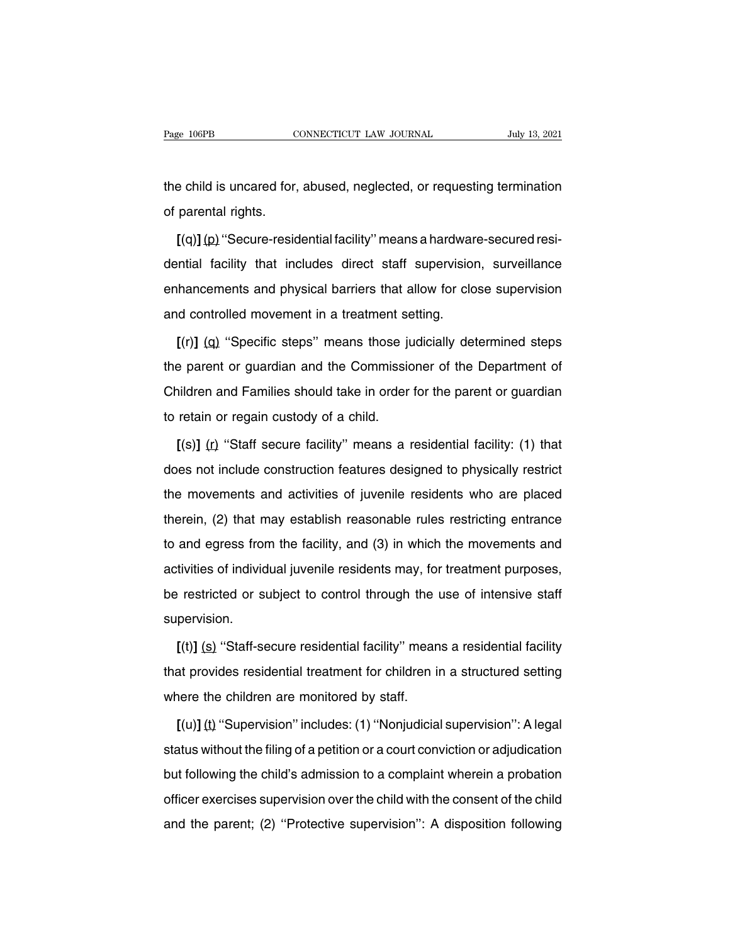The connecticut and solutions of parental rights.<br>The child is uncared for, abused, neglected, or requesting termination<br>of parental rights. Page 106PB<br>the child is uncared for,<br>of parental rights.<br> $[(q)] (p)$  "Secure-resic

**Example 2 child is uncared for, abused, neglected, or requesting termination parental rights.<br>
<b>[(q)]**(p) "Secure-residential facility" means a hardware-secured resi-<br>
intial facility that includes direct staff supervisio the child is uncared for, abused, neglected, or requesting termination<br>of parental rights.<br>[(q)] (p) "Secure-residential facility" means a hardware-secured resi-<br>dential facility that includes direct staff supervision, sur of parental rights.<br>
[(q)] (p) "Secure-residential facility" means a hardware-secured resi-<br>
dential facility that includes direct staff supervision, surveillance<br>
enhancements and physical barriers that allow for close su  $[(q)] (p)$  "Secure-residential facility" means a hardwardential facility that includes direct staff supervision<br>enhancements and physical barriers that allow for clo<br>and controlled movement in a treatment setting.<br> $[(r)] (q)$  **[**(r)**]** (q) ''Specific steps'' means those judicially determined steps

enhancements and physical barriers that allow for close supervision<br>and controlled movement in a treatment setting.<br>
[(r)] (q) "Specific steps" means those judicially determined steps<br>
the parent or guardian and the Commis and controlled movement in a treatment setting.<br>
[(r)] (q) "Specific steps" means those judicially determined steps<br>
the parent or guardian and the Commissioner of the Department of<br>
Children and Families should take in or and controlled movement in a treatment setting.<br>  $[(r)] (q)$  "Specific steps" means those judicially determined steps<br>
the parent or guardian and the Commissioner of the Department of<br>
Children and Families should take in or **EXECUTE:**<br> **Example 18 parent or guardian and the Commissioner of the Department of<br>
ildren and Families should take in order for the parent or guardian<br>
retain or regain custody of a child.<br>
<b>[(s)]** <u>(r)</u> "Staff secure f

Children and Families should take in order for the parent or guardian<br>to retain or regain custody of a child.<br>[(s)] (r) "Staff secure facility" means a residential facility: (1) that<br>does not include construction features to retain or regain custody of a child.<br>
[(s)] (r) "Staff secure facility" means a residential facility: (1) that<br>
does not include construction features designed to physically restrict<br>
the movements and activities of juv  $[(s)]$  ( $\uparrow$ ) "Staff secure facility" means a residential facility: (1) that does not include construction features designed to physically restrict the movements and activities of juvenile residents who are placed therein does not include construction features designed to physically restrict<br>the movements and activities of juvenile residents who are placed<br>therein, (2) that may establish reasonable rules restricting entrance<br>to and egress activities of individual individual individual purposes were placed therein, (2) that may establish reasonable rules restricting entrance to and egress from the facility, and (3) in which the movements and activities of in therein, (2) that may establish reasonable rules restricting entrance<br>to and egress from the facility, and (3) in which the movements and<br>activities of individual juvenile residents may, for treatment purposes,<br>be restrict supervision. **Exercise of individual juvenile residents may, for treatment purposes,<br>
<b>Exercited or subject to control through the use of intensive staff<br>
<b>pervision.**<br> **[(t)]** (s) "Staff-secure residential facility" means a residentia

that provides residential facility<br>
that provides residential facility'' means a residential facility<br>
that provides residential treatment for children in a structured setting<br>
where the children are monitored by staff. supervision.<br>
[(t)] (s) "Staff-secure residential facility" mean<br>
that provides residential treatment for children in<br>
where the children are monitored by staff.<br>
[(u)] <u>(t)</u> "Supervision" includes: (1) "Nonjudicia **[(t)]** (s) "Staff-secure residential facility" means a residential facility<br>at provides residential treatment for children in a structured setting<br>nere the children are monitored by staff.<br>**[**(u)] <u>(t)</u> "Supervision" incl

that provides residential treatment for children in a structured setting<br>where the children are monitored by staff.<br> $[(u)] (t)$  "Supervision" includes: (1) "Nonjudicial supervision": A legal<br>status without the filing of a pe where the children are monitored by staff.<br>
[(u)] (t) "Supervision" includes: (1) "Nonjudicial supervision": A legal<br>
status without the filing of a petition or a court conviction or adjudication<br>
but following the child's  $[(u)]$  (t) "Supervision" includes: (1) "Nonjudicial supervision": A legal status without the filing of a petition or a court conviction or adjudication but following the child's admission to a complaint wherein a probation Example in the parent increase. (1) Nonjaalolal supervision Tringal status without the filing of a petition or a court conviction or adjudication but following the child's admission to a complaint wherein a probation offi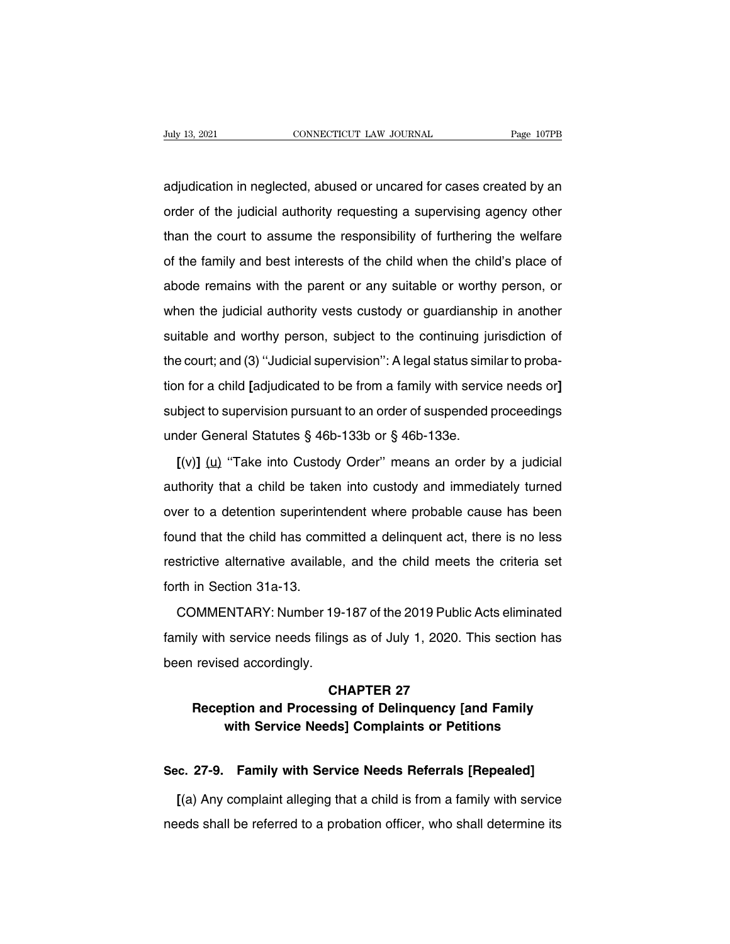Finds and the judication in neglected, abused or uncared for cases created by an order of the judicial authority requesting a supervising agency other July 13, 2021 CONNECTICUT LAW JOURNAL Page 107PB<br>adjudication in neglected, abused or uncared for cases created by an<br>order of the judicial authority requesting a supervising agency other<br>than the court to assume the respo adjudication in neglected, abused or uncared for cases created by an<br>order of the judicial authority requesting a supervising agency other<br>than the court to assume the responsibility of furthering the welfare<br>of the family adjudication in neglected, abused or uncared for cases created by an<br>order of the judicial authority requesting a supervising agency other<br>than the court to assume the responsibility of furthering the welfare<br>of the family adjudication in his glocked, abdood of different or edece of classes by an<br>order of the judicial authority requesting a supervising agency other<br>than the court to assume the responsibility of furthering the welfare<br>of the than the court to assume the responsibility of furthering the welfare<br>of the family and best interests of the child when the child's place of<br>abode remains with the parent or any suitable or worthy person, or<br>when the judi of the family and best interests of the child when the child's place of abode remains with the parent or any suitable or worthy person, or when the judicial authority vests custody or guardianship in another suitable and w abode remains with the parent or any suitable or worthy person, or when the judicial authority vests custody or guardianship in another suitable and worthy person, subject to the continuing jurisdiction of the court; and ( when the judicial authority vests custody or guardianship in another<br>suitable and worthy person, subject to the continuing jurisdiction of<br>the court; and (3) "Judicial supervision": A legal status similar to proba-<br>tion fo suitable and worthy person, subject to the continuing jurisdiction of<br>the court; and (3) "Judicial supervision": A legal status similar to proba-<br>tion for a child [adjudicated to be from a family with service needs or]<br>sub the court; and (3) "Judicial supervision": A legal status simition for a child [adjudicated to be from a family with service subject to supervision pursuant to an order of suspended punder General Statutes § 46b-133b or § If for a child [adjudicated to be from a family with service needs or]<br>bject to supervision pursuant to an order of suspended proceedings<br>der General Statutes § 46b-133b or § 46b-133e.<br> $[(v)] (u)$  "Take into Custody Order" m

abiliect to supervision pursuant to an order of suspended proceedings<br>under General Statutes § 46b-133b or § 46b-133e.<br>[(v)] (u) "Take into Custody Order" means an order by a judicial<br>authority that a child be taken into c under General Statutes § 46b-133b or § 46b-133e.<br>  $[(v)] (u)$  "Take into Custody Order" means an order by a judicial<br>
authority that a child be taken into custody and immediately turned<br>
over to a detention superintendent wh  $[(v)]$  ( $(u)$  "Take into Custody Order" means an order by a judicial authority that a child be taken into custody and immediately turned over to a detention superintendent where probable cause has been found that the child authority that a child be taken into custody and immediately turned<br>over to a detention superintendent where probable cause has been<br>found that the child has committed a delinquent act, there is no less<br>restrictive alterna Example, that a stillar sollar<br>found that the child has come<br>restrictive alternative available<br>forth in Section 31a-13.<br>COMMENTARY: Number 1 Internative and the child has committed a delinquent act, there is no less<br>strictive alternative available, and the child meets the criteria set<br>th in Section 31a-13.<br>COMMENTARY: Number 19-187 of the 2019 Public Acts elimi

family with service needs filings as of July 1, 2020. This section has been revised accordingly. been entertance acanonics,<br>forth in Section 31a-13.<br>COMMENTARY: Number 19-<br>family with service needs filings<br>been revised accordingly. **19-187 of the 2019 Public J<br>ngs as of July 1, 2020. The<br><b>CHAPTER 27**<br>ssing of Delinquency [ar DIMMENTARY: Number 19-187 of the 2019 Public Acts eliminated<br>y with service needs filings as of July 1, 2020. This section has<br>revised accordingly.<br>**CHAPTER 27**<br>**Reception and Processing of Delinquency [and Family**<br>with Se

## **were seeds fillings as of July 1, 2020. This section has ed accordingly.**<br> **CHAPTER 27**<br> **ption and Processing of Delinquency [and Family with Service Needs] Complaints or Petitions CHAPTER 27<br>
Reception and Processing of Delinquency [and Family<br>
with Service Needs] Complaints or Petitions<br>
Sec. 27-9. Family with Service Needs Referrals [Repealed]<br>
[(a) Any complaint alleging that a child is from a f**

**Reception and Processing of Delinquency [and Family<br>with Service Needs] Complaints or Petitions<br>c. 27-9. Family with Service Needs Referrals [Repealed]<br>[(a) Any complaint alleging that a child is from a family with servic** with service Needs Complaints of Femions<br>Sec. 27-9. Family with Service Needs Referrals [Repealed]<br>[(a) Any complaint alleging that a child is from a family with service<br>needs shall be referred to a probation officer, who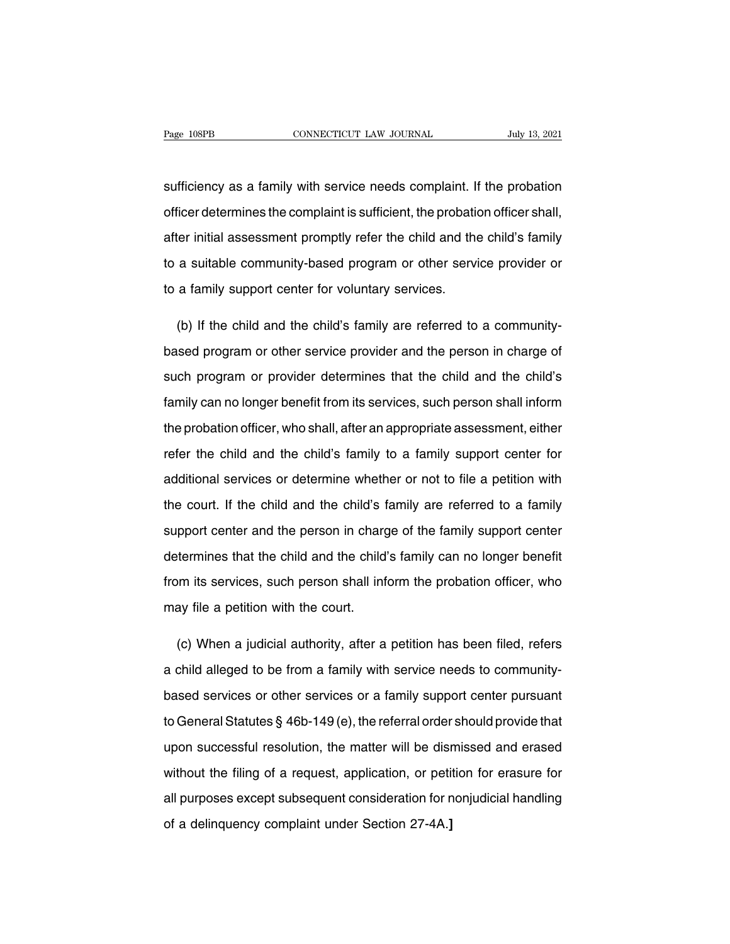Fage 108PB<br>
Sufficiency as a family with service needs complaint. If the probation<br>
Sufficiency as a family with service needs complaint. If the probation<br>
officer determines the complaint is sufficient, the probation offi Page 108PB CONNECTICUT LAW JOURNAL July 13, 2021<br>sufficiency as a family with service needs complaint. If the probation<br>officer determines the complaint is sufficient, the probation officer shall,<br>after initial assessment sufficiency as a family with service needs complaint. If the probation<br>officer determines the complaint is sufficient, the probation officer shall,<br>after initial assessment promptly refer the child and the child's family<br>t sufficiency as a family with service needs complaint. If the probation officer determines the complaint is sufficient, the probation officer shall, after initial assessment promptly refer the child and the child's family t officer determines the complaint is sufficient, the probation<br>after initial assessment promptly refer the child and the<br>to a suitable community-based program or other services. ter initial assessment promptly refer the child and the child's family<br>a suitable community-based program or other service provider or<br>a family support center for voluntary services.<br>(b) If the child and the child's family

to a suitable community-based program or other service provider or<br>to a family support center for voluntary services.<br>(b) If the child and the child's family are referred to a community-<br>based program or other service prov such program or enter for voluntary services.<br>
(b) If the child and the child's family are referred to a community-<br>
based program or other service provider and the person in charge of<br>
such program or provider determines (b) If the child and the child's family are referred to a community-<br>based program or other service provider and the person in charge of<br>such program or provider determines that the child and the child's<br>family can no long based program or other service provider and the person in charge of<br>such program or provider determines that the child and the child's<br>family can no longer benefit from its services, such person shall inform<br>the probation such program or provider determines that the child and the child's<br>family can no longer benefit from its services, such person shall inform<br>the probation officer, who shall, after an appropriate assessment, either<br>refer th family can no longer benefit from its services, such person shall inform<br>the probation officer, who shall, after an appropriate assessment, either<br>refer the child and the child's family to a family support center for<br>addit the probation officer, who shall, after an appropriate assessment, either<br>refer the child and the child's family to a family support center for<br>additional services or determine whether or not to file a petition with<br>the co refer the child and the child's family to a family support center for additional services or determine whether or not to file a petition with the court. If the child and the child's family are referred to a family support additional services or determine whether or not to file a petition with<br>the court. If the child and the child's family are referred to a family<br>support center and the person in charge of the family support center<br>determine the court. If the child and the child's family are referred to a family support center and the person in charge of the family support center determines that the child and the child's family can no longer benefit from its s support center and the person in charged<br>determines that the child and the child<br>from its services, such person shall inf<br>may file a petition with the court. termines that the child and the child's family can no longer benefit<br>tiom its services, such person shall inform the probation officer, who<br>ay file a petition with the court.<br>(c) When a judicial authority, after a petition

from its services, such person shall inform the probation officer, who<br>may file a petition with the court.<br>(c) When a judicial authority, after a petition has been filed, refers<br>a child alleged to be from a family with ser may file a petition with the court.<br>
(c) When a judicial authority, after a petition has been filed, refers<br>
a child alleged to be from a family with service needs to community-<br>
based services or other services or a famil (c) When a judicial authority, after a petition has been filed, refers<br>a child alleged to be from a family with service needs to community-<br>based services or other services or a family support center pursuant<br>to General S a child alleged to be from a family with service needs to community-<br>based services or other services or a family support center pursuant<br>to General Statutes § 46b-149 (e), the referral order should provide that<br>upon succe based services or other services or a family support center pursuant<br>to General Statutes § 46b-149 (e), the referral order should provide that<br>upon successful resolution, the matter will be dismissed and erased<br>without the to General Statutes § 46b-149 (e), the referral order should provide that<br>upon successful resolution, the matter will be dismissed and erased<br>without the filing of a request, application, or petition for erasure for<br>all pu upon successful resolution, the matter will be disr<br>without the filing of a request, application, or peti<br>all purposes except subsequent consideration for r<br>of a delinquency complaint under Section 27-4A.]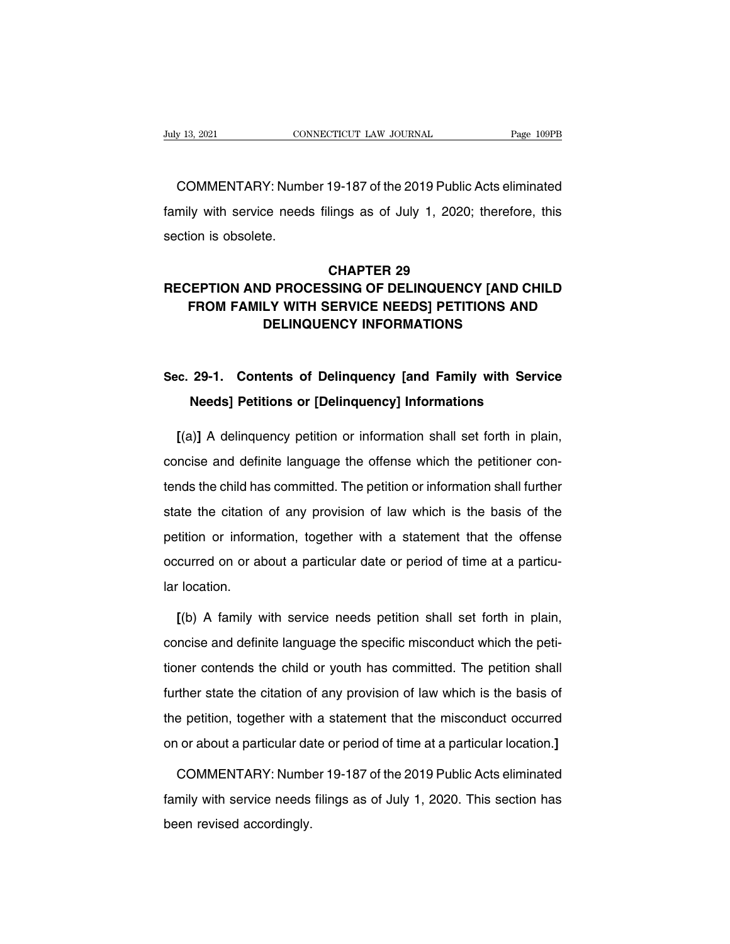EXEC 2021<br>COMMENTARY: Number 19-187 of the 2019 Public Acts eliminated<br>Mily with service needs filings as of July 1, 2020; therefore, this Family 13, 2021 COMMECTICUT LAW JOURNAL Page 109PB<br>COMMENTARY: Number 19-187 of the 2019 Public Acts eliminated<br>family with service needs filings as of July 1, 2020; therefore, this<br>section is obsolete. COMMENTARY: Numb<br>family with service need<br>section is obsolete. 19-187 of the 2019 Public<br>Lings as of July 1, 2020;<br>**CHAPTER 29<br>SING OF DELINQUENC** 

## **Family with service needs filings as of July 1, 2020; therefore, this<br>
section is obsolete.<br>
CHAPTER 29<br>
RECEPTION AND PROCESSING OF DELINQUENCY [AND CHILD<br>
FROM FAMILY WITH SERVICE NEEDS] PETITIONS AND<br>
DELINQUENCY INFOR** Iy with service needs filings as of July 1, 2020; therefore, this<br>ion is obsolete.<br>**CHAPTER 29**<br>CEPTION AND PROCESSING OF DELINQUENCY [AND CHILD<br>FROM FAMILY WITH SERVICE NEEDS] PETITIONS AND<br>DELINQUENCY INFORMATIONS **CHAPTER 29<br>D PROCESSING OF DELINQUENCY [AND CH<br>LY WITH SERVICE NEEDS] PETITIONS AND<br>DELINQUENCY INFORMATIONS** RECEPTION AND PROCESSING OF DELINQUENCY [AND CHILD<br>FROM FAMILY WITH SERVICE NEEDS] PETITIONS AND<br>DELINQUENCY INFORMATIONS<br>Sec. 29-1. Contents of Delinquency [and Family with Service<br>Needs] Petitions or [Delinquency] Inform

# FROM FAMILY WITH SERVICE NEEDS] PETITIONS AND<br>DELINQUENCY INFORMATIONS<br>29-1. Contents of Delinquency [and Family with Service<br>Needs] Petitions or [Delinquency] Informations

**EXECT 29-1. Contents of Delinquency [and Family with Service<br>Needs] Petitions or [Delinquency] Informations<br>[(a)] A delinquency petition or information shall set forth in plain,<br>ncise and definite language the offense whi** Sec. 29-1. Contents of Delinquency [and Family with Service<br>Needs] Petitions or [Delinquency] Informations<br>[(a)] A delinquency petition or information shall set forth in plain,<br>concise and definite language the offense whi Needs] Petitions or [Delinquency] Informations<br>
[(a)] A delinquency petition or information shall set forth in plain,<br>
concise and definite language the offense which the petitioner con-<br>
tends the child has committed. The [(a)] A delinquency petition or information shall set forth in plain,<br>concise and definite language the offense which the petitioner con-<br>tends the child has committed. The petition or information shall further<br>state the c concise and definite language the offense which the petitioner con-<br>tends the child has committed. The petition or information shall further<br>state the citation of any provision of law which is the basis of the<br>petition or befinded and definite tanguage the eneries which the petition or information shall further<br>state the citation of any provision of law which is the basis of the<br>petition or information, together with a statement that the of state the citation<br>petition or inform<br>occurred on or al<br>lar location.<br>I(b) A family v fittion or information, together with a statement that the offense<br>curred on or about a particular date or period of time at a particu-<br>location.<br>(b) A family with service needs petition shall set forth in plain,<br>ncise and

occurred on or about a particular date or period of time at a particu-<br>lar location.<br>[(b) A family with service needs petition shall set forth in plain,<br>concise and definite language the specific misconduct which the petilar location.<br>
[(b) A family with service needs petition shall set forth in plain,<br>
concise and definite language the specific misconduct which the peti-<br>
tioner contends the child or youth has committed. The petition shal [(b) A family with service needs petition shall set forth in plain, concise and definite language the specific misconduct which the petitioner contends the child or youth has committed. The petition shall further state the concise and definite language the specific misconduct which the petitioner contends the child or youth has committed. The petition shall further state the citation of any provision of law which is the basis of the petitio tioner contends the child or youth has committed. The petition shall<br>further state the citation of any provision of law which is the basis of<br>the petition, together with a statement that the misconduct occurred<br>on or about rther state the citation of any provision of law which is the basis of<br>e petition, together with a statement that the misconduct occurred<br>or about a particular date or period of time at a particular location.]<br>COMMENTARY:

the petition, together with a statement that the misconduct occurred<br>on or about a particular date or period of time at a particular location.]<br>COMMENTARY: Number 19-187 of the 2019 Public Acts eliminated<br>family with servi on or about a particular da<br>COMMENTARY: Numb<br>family with service needs<br>been revised accordingly.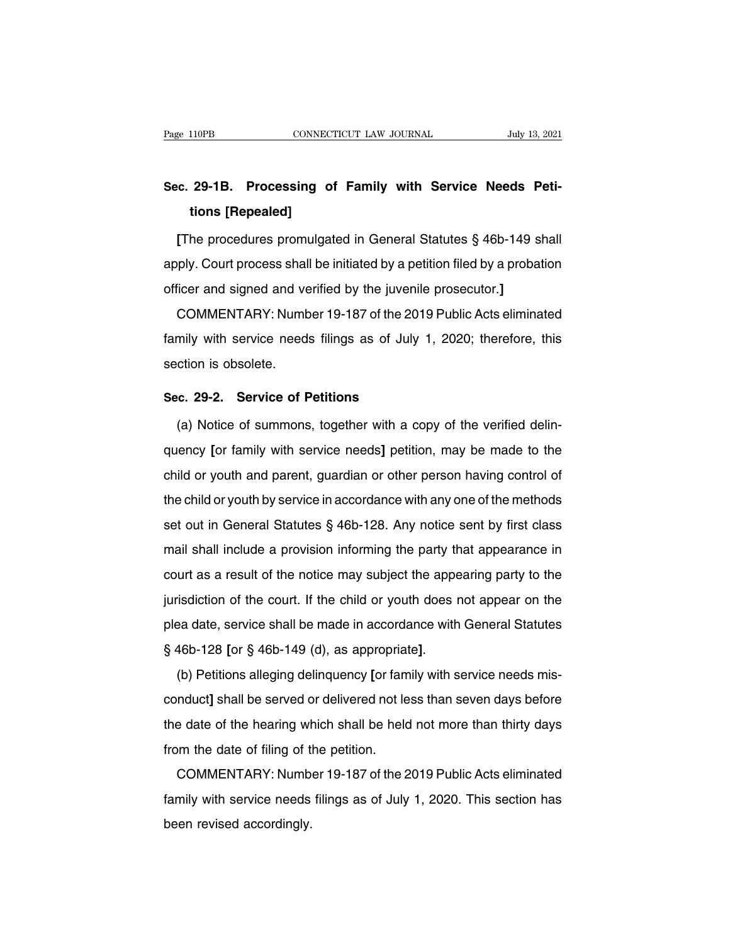## Page 110PB CONNECTICUT LAW JOURNAL July 13, 2021<br> **Sec. 29-1B. Processing of Family with Service Needs Peti-**<br> **Since Sec. 29-1B. Processing of Family with Service Needs Petithe CONNEC CONNEC**<br> **29-1B.** Processing of<br> **tions [Repealed]**<br>
the procedures promulga

**Example: 29-1B. Processing of Family with Service Needs Petitions [Repealed]<br>[The procedures promulgated in General Statutes § 46b-149 shall<br>ply. Court process shall be initiated by a petition filed by a probation** Sec. 29-1B. Processing of Family with Service Needs Petitions [Repealed]<br>
[The procedures promulgated in General Statutes § 46b-149 shall<br>
apply. Court process shall be initiated by a petition filed by a probation<br>
officer tions [Repealed]<br>
[The procedures promulgated in General Statutes § 46b-149 slapply. Court process shall be initiated by a petition filed by a probat<br>
officer and signed and verified by the juvenile prosecutor.]<br>
COMMENTAR [The procedures promulgated in General Statutes  $\S$  46b-149 shall<br>ply. Court process shall be initiated by a petition filed by a probation<br>ficer and signed and verified by the juvenile prosecutor.]<br>COMMENTARY: Number 19-1

apply. Court process shall be initiated by a petition filed by a probation officer and signed and verified by the juvenile prosecutor.]<br>COMMENTARY: Number 19-187 of the 2019 Public Acts eliminated family with service needs officer and signed and ve<br>COMMENTARY: Numb<br>family with service need<br>section is obsolete. **COMMENTARY: Number 19-187 of the 201**<br>
family with service needs filings as of July<br>
section is obsolete.<br> **Sec. 29-2. Service of Petitions**<br>
(a) Notice of summons, together with a co family with service needs filings as of July 1, 2020; therefore, this<br>section is obsolete.<br>Sec. 29-2. Service of Petitions<br>(a) Notice of summons, together with a copy of the verified delin-<br>quency [or family with service n

sec. 29-2. Service of Petitions<br>
(a) Notice of summons, together with a copy of the verified delin-<br>
quency [or family with service needs] petition, may be made to the<br>
child or youth and parent, guardian or other person h Sec. 29-2. Service of Petitions<br>(a) Notice of summons, together with a copy of the verified delin-<br>quency [or family with service needs] petition, may be made to the<br>child or youth and parent, guardian or other person havi (a) Notice of summons, together with a copy of the verified delin-<br>quency [or family with service needs] petition, may be made to the<br>child or youth and parent, guardian or other person having control of<br>the child or yout quency [or family with service needs] petition, may be made to the child or youth and parent, guardian or other person having control of the child or youth by service in accordance with any one of the methods set out in G end of the child or youth and parent, guardian or other person having control of the child or youth by service in accordance with any one of the methods set out in General Statutes § 46b-128. Any notice sent by first class the child or youth by service in accordance with any one of the methods<br>set out in General Statutes § 46b-128. Any notice sent by first class<br>mail shall include a provision informing the party that appearance in<br>court as a set out in General Statutes § 46b-128. Any notice sent by first class<br>mail shall include a provision informing the party that appearance in<br>court as a result of the notice may subject the appearing party to the<br>jurisdictio mail shall include a provision informing the party that appearance in court as a result of the notice may subject the appearing party to the jurisdiction of the court. If the child or youth does not appear on the plea dat Fraction of the notice may subject the appearing party to the jurisdiction of the court. If the child or youth does not appear on the plea date, service shall be made in accordance with General Statutes § 46b-128 [or § 46b

plea date, service shall be made in accordance with General Statutes<br>§ 46b-128 [or § 46b-149 (d), as appropriate].<br>(b) Petitions alleging delinquency [or family with service needs mis-<br>conduct] shall be served or delivered  $\S$  46b-128 [or  $\S$  46b-149 (d), as appropriate].<br>(b) Petitions alleging delinquency [or family with service needs mis-<br>conduct] shall be served or delivered not less than seven days before<br>the date of the hearing which s (b) Petitions alleging delinquency [or fametion-orduct] shall be served or delivered not let<br>the date of the hearing which shall be held<br>from the date of filing of the petition.<br>COMMENTARY: Number 19-187 of the 2 (b) I statished analysting demiquency [or harmly with service hiseads hite<br>nduct] shall be served or delivered not less than seven days before<br>e date of the hearing which shall be held not more than thirty days<br>om the date

from the date of the hearing which shall be held not more than thirty days<br>from the date of filing of the petition.<br>COMMENTARY: Number 19-187 of the 2019 Public Acts eliminated<br>family with service needs filings as of July the date of the healing with<br>from the date of filing of the<br>COMMENTARY: Numb<br>family with service needs<br>been revised accordingly.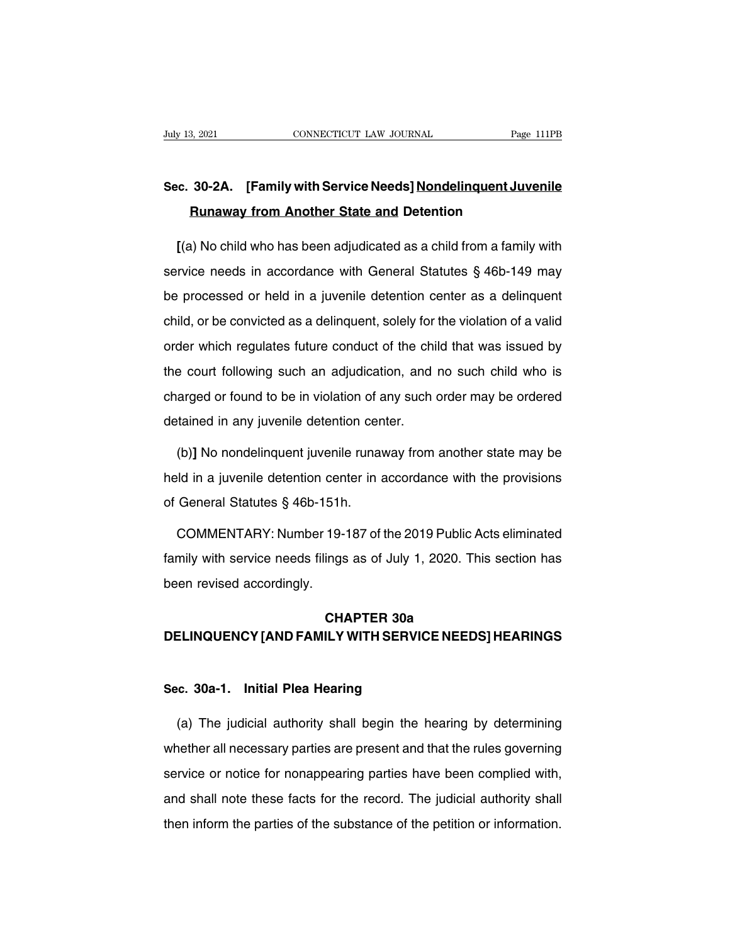## **Sec. 30-2A. [Family with Service Needs] Nondelinquent Juvenile Runaway from Another State and Detention<br>
Another State and Detention<br>
<b>Runaway from Another State and Detention**

**Example 10 [Family with Service Needs] <u>Nondelinquent Juvenile</u><br>
<b>Runaway from Another State and Detention**<br> **[(a) No child who has been adjudicated as a child from a family with rvice needs in accordance with General S** Sec. 30-2A. [Family with Service Needs] Nondelinquent Juvenile<br>Runaway from Another State and Detention<br>[(a) No child who has been adjudicated as a child from a family with<br>service needs in accordance with General Statutes **Runaway from Another State and Detention**<br>
[(a) No child who has been adjudicated as a child from a family with<br>
service needs in accordance with General Statutes § 46b-149 may<br>
be processed or held in a juvenile detentio  $[(a)$  No child who has been adjudicated as a child from a family with<br>service needs in accordance with General Statutes § 46b-149 may<br>be processed or held in a juvenile detention center as a delinquent<br>child, or be convic service needs in accordance with General Statutes  $\S$  46b-149 may<br>be processed or held in a juvenile detention center as a delinquent<br>child, or be convicted as a delinquent, solely for the violation of a valid<br>order which be processed or held in a juvenile detention center as a delinquent<br>child, or be convicted as a delinquent, solely for the violation of a valid<br>order which regulates future conduct of the child that was issued by<br>the court child, or be convicted as a delinquent, solely for the violation of a valid<br>order which regulates future conduct of the child that was issued by<br>the court following such an adjudication, and no such child who is<br>charged or order which regulates future conduct of the chi<br>the court following such an adjudication, and<br>charged or found to be in violation of any such<br>detained in any juvenile detention center.<br>(b)] No nondelinguent iuvenile runawa (b)<sup>1</sup> No nondelinquent juvenile runaway from another state may be ordered tained in any juvenile detention center.<br>
(b)<sup>1</sup> No nondelinquent juvenile runaway from another state may be ordered tained in any juvenile detenti

charged or found to be in violation of any such order may be ordered<br>detained in any juvenile detention center.<br>(b)] No nondelinquent juvenile runaway from another state may be<br>held in a juvenile detention center in accord detained in any juvenile detention cen<br>
(b)] No nondelinquent juvenile runal<br>
held in a juvenile detention center in a<br>
of General Statutes § 46b-151h.<br>
COMMENTARY: Number 19-187 of (b)] No nondelinquent juvenile runaway from another state may be<br>Id in a juvenile detention center in accordance with the provisions<br>General Statutes § 46b-151h.<br>COMMENTARY: Number 19-187 of the 2019 Public Acts eliminated

held in a juvenile detention center in accordance with the provisions<br>of General Statutes § 46b-151h.<br>COMMENTARY: Number 19-187 of the 2019 Public Acts eliminated<br>family with service needs filings as of July 1, 2020. This of General Statutes § 46b-151h<br>COMMENTARY: Number 19-<br>family with service needs filings<br>been revised accordingly. 19-187 of the 2019 Public *F*<br>ings as of July 1, 2020. Th<br>**CHAPTER 30a**<br>ILY WITH SERVICE NEED: **EXECUTE: 19 YOU DELINQUENCY [AND FAMILY WITH SERVICE NEEDS] HEARINGS<br>DELINQUENCY [AND FAMILY WITH SERVICE NEEDS] HEARINGS** 

# **CHAPTER 30a<br>DELINQUENCY [AND FAMILY WITH SERVICE**<br>Sec. 30a-1. Initial Plea Hearing

ELINQUENCY [AND FAMILY WITH SERVICE NEEDS] HEARINGS<br>c. 30a-1. Initial Plea Hearing<br>(a) The judicial authority shall begin the hearing by determining<br>nether all necessary parties are present and that the rules governing Sec. 30a-1. Initial Plea Hearing<br>
(a) The judicial authority shall begin the hearing by determining<br>
whether all necessary parties are present and that the rules governing<br>
service or notice for nonappearing parties have b Sec. 30a-1. Initial Plea Hearing<br>
(a) The judicial authority shall begin the hearing by determining<br>
whether all necessary parties are present and that the rules governing<br>
service or notice for nonappearing parties have b (a) The judicial authority shall begin the hearing by determining<br>whether all necessary parties are present and that the rules governing<br>service or notice for nonappearing parties have been complied with,<br>and shall note th whether all necessary parties are present and that the rules governing<br>service or notice for nonappearing parties have been complied with,<br>and shall note these facts for the record. The judicial authority shall<br>then inform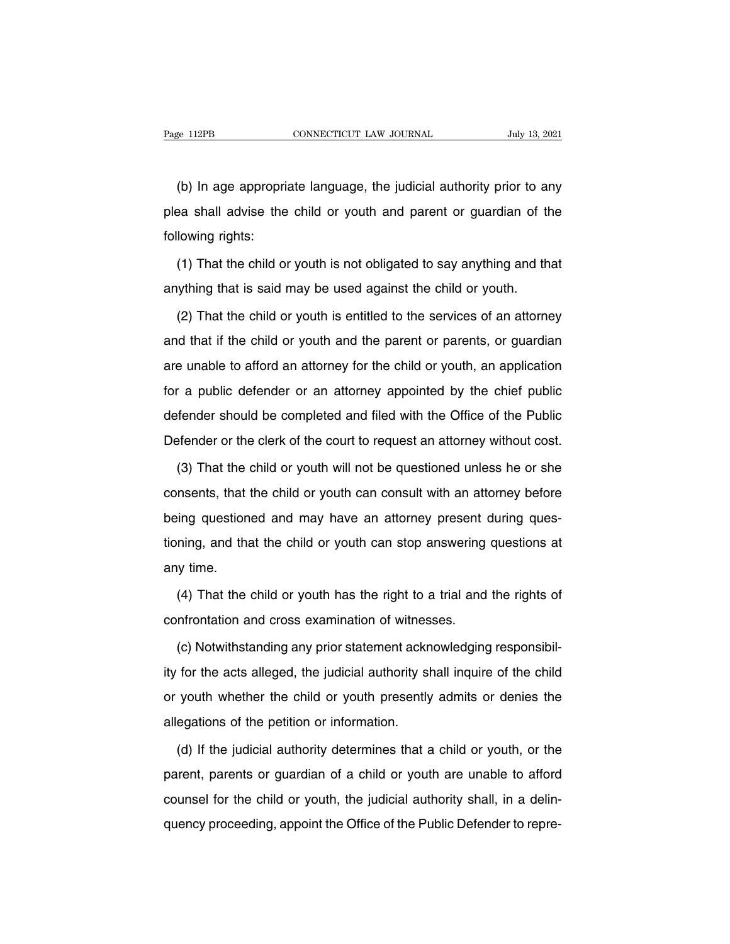EXEMBERT AND CONNECTICUT LAW JOURNAL THAT THAT THAT AND THAT THAT And the state of the state of the state of the state of the state and parent of guardian of the state and parent of guardian of the state of the state of th Page 112PB CONNECTICUT LAW JOURNAL July 13, 2021<br>
(b) In age appropriate language, the judicial authority prior to any<br>
plea shall advise the child or youth and parent or guardian of the<br>
following rights: (b) In age appropriplea shall advise the<br>following rights:<br>(1) That the child o (b) In age appropriate language, the judicial authority prior to any<br>be shall advise the child or youth and parent or guardian of the<br>lowing rights:<br>(1) That the child or youth is not obligated to say anything and that<br>lyt plea shall advise the child or youth and parent or guardian of the following rights:<br>
(1) That the child or youth is not obligated to say anything and the anything that is said may be used against the child or youth.<br>
(2)

(1) That the child or youth is not obligated to say anything and that<br>ything that is said may be used against the child or youth.<br>(2) That the child or youth is entitled to the services of an attorney<br>d that if the child o (1) That the child or youth is not obligated to say anything and that<br>anything that is said may be used against the child or youth.<br>(2) That the child or youth is entitled to the services of an attorney<br>and that if the chi anything that is said may be used against the child or youth.<br>(2) That the child or youth is entitled to the services of an attorney<br>and that if the child or youth and the parent or parents, or guardian<br>are unable to affor (2) That the child or youth is entitled to the services of an attorney<br>and that if the child or youth and the parent or parents, or guardian<br>are unable to afford an attorney for the child or youth, an application<br>for a pub (L) That the shift of youth is shifted to the services of an attently<br>and that if the child or youth and the parent or parents, or guardian<br>are unable to afford an attorney for the child or youth, an application<br>for a publ and that it the sind of youth and the parent or parents, or guardant<br>are unable to afford an attorney for the child or youth, an application<br>for a public defender or an attorney appointed by the chief public<br>defender shoul (3) That the child or youth will not be questioned by the chief public<br>fender should be completed and filed with the Office of the Public<br>sfender or the clerk of the court to request an attorney without cost.<br>(3) That the

defender should be completed and filed with the Office of the Public<br>Defender or the clerk of the court to request an attorney without cost.<br>(3) That the child or youth will not be questioned unless he or she<br>consents, tha Defender or the clerk of the court to request an attorney without cost.<br>
(3) That the child or youth will not be questioned unless he or she<br>
consents, that the child or youth can consult with an attorney before<br>
being que (3) That the child or youth will not be questioned unless he or she consents, that the child or youth can consult with an attorney before being questioned and may have an attorney present during questioning, and that the c consents, that<br>being question<br>tioning, and than<br>any time.<br>(4) That the (4) That the child or youth can stop answering questions at<br>ty time.<br>(4) That the child or youth has the right to a trial and the rights of<br>infrontation and cross examination of witnesses. confrontation and that the child or youth can stop answering<br>any time.<br>(4) That the child or youth has the right to a trial and<br>confrontation and cross examination of witnesses.<br>(c) Notwithstanding any prior statement ackn

(4) That the child or youth has the right to a trial and the rights of<br>nfrontation and cross examination of witnesses.<br>(c) Notwithstanding any prior statement acknowledging responsibil-<br>for the acts alleged, the judicial a (4) That the child or youth has the right to a trial and the rights of<br>confrontation and cross examination of witnesses.<br>(c) Notwithstanding any prior statement acknowledging responsibil-<br>ity for the acts alleged, the judi confrontation and cross examination of witnesses.<br>
(c) Notwithstanding any prior statement acknowledging responsibil-<br>
ity for the acts alleged, the judicial authority shall inquire of the child<br>
or youth whether the child (c) Notwithstanding any prior statement acknaty for the acts alleged, the judicial authority show youth whether the child or youth presently allegations of the petition or information.<br>(d) If the judicial authority determi for the acts alleged, the judicial authority shall inquire of the child<br>youth whether the child or youth presently admits or denies the<br>egations of the petition or information.<br>(d) If the judicial authority determines that

parent, whether the child or youth presently admits or denies the allegations of the petition or information.<br>
(d) If the judicial authority determines that a child or youth, or the parent, parents or guardian of a child o allegations of the petition or information.<br>
(d) If the judicial authority determines that a child or youth, or the<br>
parent, parents or guardian of a child or youth are unable to afford<br>
counsel for the child or youth, the (d) If the judicial authority determines that a child or youth, or the parent, parents or guardian of a child or youth are unable to afford counsel for the child or youth, the judicial authority shall, in a delin-<br>quency p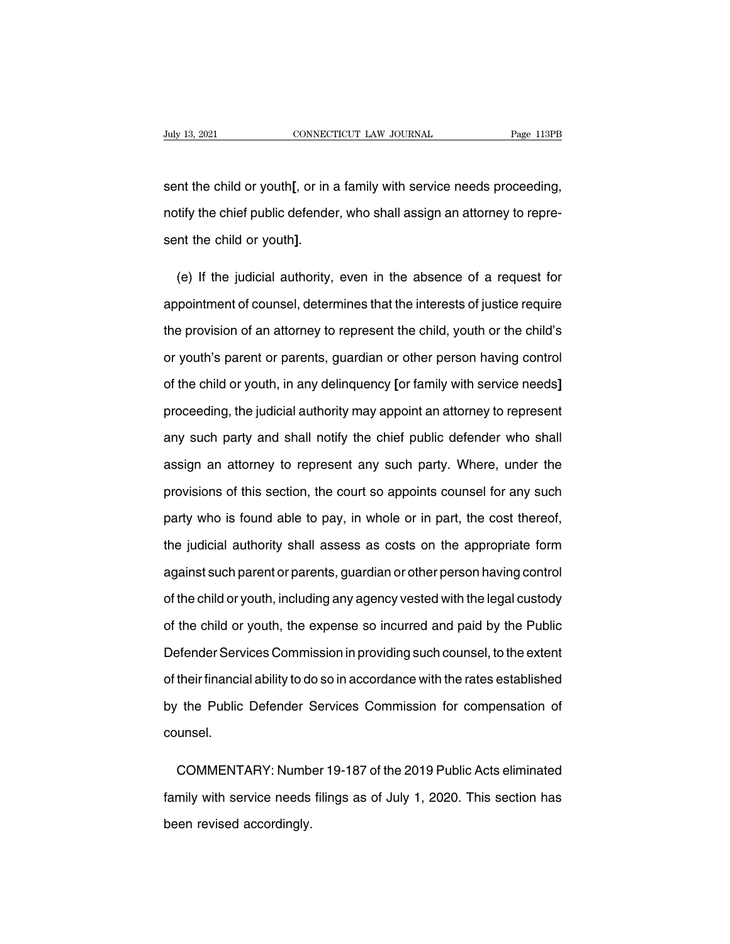Fuly 13, 2021<br>
Sent the child or youth[, or in a family with service needs proceeding,<br>
The child or youth[, or in a family with service needs proceeding,<br>
notify the chief public defender, who shall assign an attorney to July 13, 2021 CONNECTICUT LAW JOURNAL Page 113PB<br>
Sent the child or youth[, or in a family with service needs proceeding,<br>
notify the chief public defender, who shall assign an attorney to repre-<br>
sent the child or youth]. sent the child or youth[, or in a<br>notify the chief public defende<br>sent the child or youth]. mt the child or youth[, or in a family with service needs proceeding,<br>tify the chief public defender, who shall assign an attorney to repre-<br>nt the child or youth].<br>(e) If the judicial authority, even in the absence of a r

notify the chief public defender, who shall assign an attorney to represent the child or youth].<br>
(e) If the judicial authority, even in the absence of a request for<br>
appointment of counsel, determines that the interests o sent the child or youth].<br>
(e) If the judicial authority, even in the absence of a request for<br>
appointment of counsel, determines that the interests of justice require<br>
the provision of an attorney to represent the child, (e) If the judicial authority, even in the absence of a request for appointment of counsel, determines that the interests of justice require the provision of an attorney to represent the child, youth or the child's or yout appointment of counsel, determines that the interests of justice require<br>the provision of an attorney to represent the child, youth or the child's<br>or youth's parent or parents, guardian or other person having control<br>of th the provision of an attorney to represent the child, youth or the child's<br>or youth's parent or parents, guardian or other person having control<br>of the child or youth, in any delinquency [or family with service needs]<br>proce or youth's parent or parents, guardian or other person having control<br>of the child or youth, in any delinquency [or family with service needs]<br>proceeding, the judicial authority may appoint an attorney to represent<br>any suc of the child or youth, in any delinquency [or family with service needs]<br>proceeding, the judicial authority may appoint an attorney to represent<br>any such party and shall notify the chief public defender who shall<br>assign an proceeding, the judicial authority may appoint an attorney to represent<br>any such party and shall notify the chief public defender who shall<br>assign an attorney to represent any such party. Where, under the<br>provisions of thi any such party and shall notify the chief public defender who shall<br>assign an attorney to represent any such party. Where, under the<br>provisions of this section, the court so appoints counsel for any such<br>party who is found assign an attorney to represent any such party. Where, under the<br>provisions of this section, the court so appoints counsel for any such<br>party who is found able to pay, in whole or in part, the cost thereof,<br>the judicial au provisions of this section, the court so appoints counsel for any such<br>party who is found able to pay, in whole or in part, the cost thereof,<br>the judicial authority shall assess as costs on the appropriate form<br>against suc party who is found able to pay, in whole or in part, the cost thereof,<br>the judicial authority shall assess as costs on the appropriate form<br>against such parent or parents, guardian or other person having control<br>of the chi the judicial authority shall assess as costs on the appropriate form<br>against such parent or parents, guardian or other person having control<br>of the child or youth, including any agency vested with the legal custody<br>of the against such parent or parents, guardian or other person having control<br>of the child or youth, including any agency vested with the legal custody<br>of the child or youth, the expense so incurred and paid by the Public<br>Defend of the child or youth, including any agency vested with the legal custody<br>of the child or youth, the expense so incurred and paid by the Public<br>Defender Services Commission in providing such counsel, to the extent<br>of their of the child or youth, the expense so incurred and paid by the Public<br>Defender Services Commission in providing such counsel, to the extent<br>of their financial ability to do so in accordance with the rates established<br>by th counsel. their financial ability to do so in accordance with the rates established<br>
the Public Defender Services Commission for compensation of<br>
unsel.<br>
COMMENTARY: Number 19-187 of the 2019 Public Acts eliminated<br>
mily with servic

by the Public Defender Services Commission for compensation of<br>counsel.<br>COMMENTARY: Number 19-187 of the 2019 Public Acts eliminated<br>family with service needs filings as of July 1, 2020. This section has<br>been revised accor counsel.<br>COMMENTARY: Numb<br>family with service needs<br>been revised accordingly.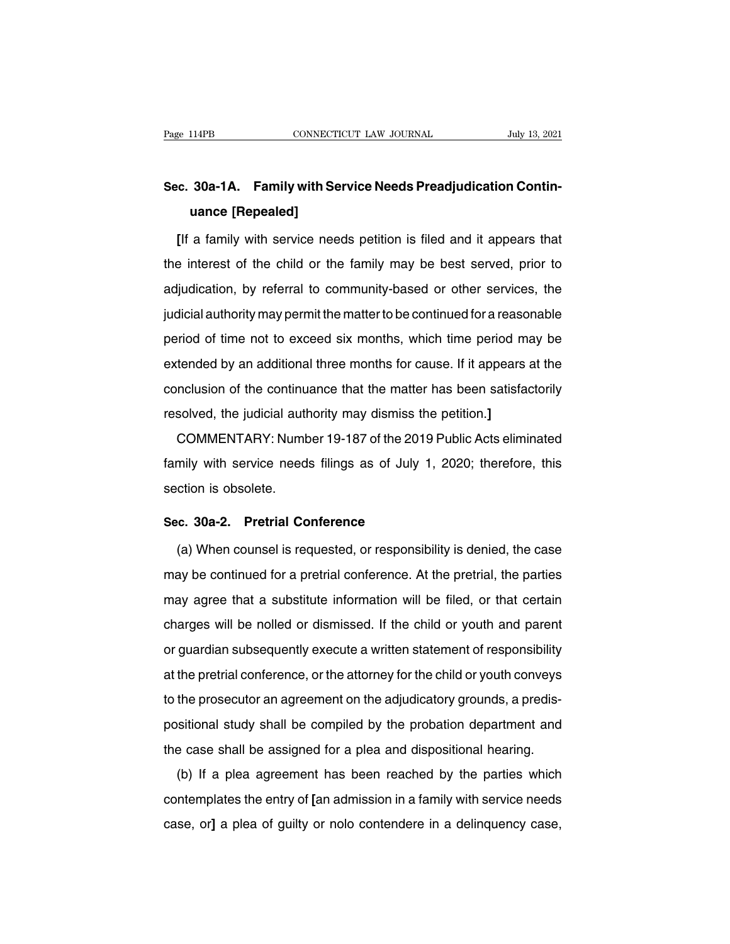## Page 114PB<br> **Sec. 30a-1A.** Family with Service Needs Preadjudication Contin-<br> **Sec. 30a-1A.** Family with Service Needs Preadjudication Contin-<br>
uance [Repealed] <u>114PB</u> CONNECT<br> **30a-1A.** Family with Se<br> **uance [Repealed]**<br>
a family with service nee

**EXECT:** 30a-1A. Family with Service Needs Preadjudication Continuance [Repealed]<br>[If a family with service needs petition is filed and it appears that<br>a interest of the child or the family may be best served, prior to Sec. 30a-1A. Family with Service Needs Preadjudication Contin-<br>uance [Repealed]<br>[If a family with service needs petition is filed and it appears that<br>the interest of the child or the family may be best served, prior to<br>adj uance [Repealed]<br>
[If a family with service needs petition is filed and it appears that<br>
the interest of the child or the family may be best served, prior to<br>
adjudication, by referral to community-based or other services, [If a family with service needs petition is filed and it appears that<br>the interest of the child or the family may be best served, prior to<br>adjudication, by referral to community-based or other services, the<br>judicial author the interest of the child or the family may be best served, prior to adjudication, by referral to community-based or other services, the judicial authority may permit the matter to be continued for a reasonable period of t adjudication, by referral to community-based or other services, the<br>judicial authority may permit the matter to be continued for a reasonable<br>period of time not to exceed six months, which time period may be<br>extended by an indicial authority may permit the matter to be continued for a reasonable<br>period of time not to exceed six months, which time period may be<br>extended by an additional three months for cause. If it appears at the<br>conclusion period of time not to exceed six months, which time period mandered by an additional three months for cause. If it appears aconclusion of the continuance that the matter has been satisfact resolved, the judicial authority tended by an additional three months for cause. If it appears at the<br>nclusion of the continuance that the matter has been satisfactorily<br>solved, the judicial authority may dismiss the petition.]<br>COMMENTARY: Number 19-187 o

conclusion of the continuance that the matter has been satisfactorily<br>resolved, the judicial authority may dismiss the petition.]<br>COMMENTARY: Number 19-187 of the 2019 Public Acts eliminated<br>family with service needs filin resolved, the judicial auth<br>COMMENTARY: Numb<br>family with service need<br>section is obsolete. **COMMENTARY: Number 19-187 of the 2019**<br>
family with service needs filings as of July 1<br>
section is obsolete.<br> **Sec. 30a-2. Pretrial Conference**<br>
(a) When counsel is requested, or responsible mily with service needs filings as of July 1, 2020; therefore, this<br>
ction is obsolete.<br>
c. 30a-2. Pretrial Conference<br>
(a) When counsel is requested, or responsibility is denied, the case<br>
ay be continued for a pretrial c

section is obsolete.<br>
Sec. 30a-2. Pretrial Conference<br>
(a) When counsel is requested, or responsibility is denied, the case<br>
may be continued for a pretrial conference. At the pretrial, the parties<br>
may agree that a substi Sec. 30a-2. Pretrial Conference<br>
(a) When counsel is requested, or responsibility is denied, the case<br>
may be continued for a pretrial conference. At the pretrial, the parties<br>
may agree that a substitute information will (a) When counsel is requested, or responsibility is denied, the case<br>may be continued for a pretrial conference. At the pretrial, the parties<br>may agree that a substitute information will be filed, or that certain<br>charges w (a) Which scales to requested, or responsibility to defined, the sace<br>may be continued for a pretrial conference. At the pretrial, the parties<br>may agree that a substitute information will be filed, or that certain<br>charges may agree that a substitute information will be filed, or that certain<br>charges will be nolled or dismissed. If the child or youth and parent<br>or guardian subsequently execute a written statement of responsibility<br>at the pre the prosecutor and alternation will be med, or that behand charges will be nolled or dismissed. If the child or youth and parent or guardian subsequently execute a written statement of responsibility at the pretrial confer or guardian subsequently execute a written statement of responsibility<br>at the pretrial conference, or the attorney for the child or youth conveys<br>to the prosecutor an agreement on the adjudicatory grounds, a predis-<br>positi or gadidian dispoducing probable a which biatement or responsibility<br>at the pretrial conference, or the attorney for the child or youth conveys<br>to the prosecutor an agreement on the adjudicatory grounds, a predis-<br>position the prosecutor an agreement on the adjudicatory grounds, a predis-<br>sitional study shall be compiled by the probation department and<br>e case shall be assigned for a plea and dispositional hearing.<br>(b) If a plea agreement has

positional study shall be compiled by the probation department and<br>the case shall be assigned for a plea and dispositional hearing.<br>(b) If a plea agreement has been reached by the parties which<br>contemplates the entry of [a positional stady shall be dompled by the probation department and<br>the case shall be assigned for a plea and dispositional hearing.<br>(b) If a plea agreement has been reached by the parties which<br>contemplates the entry of [an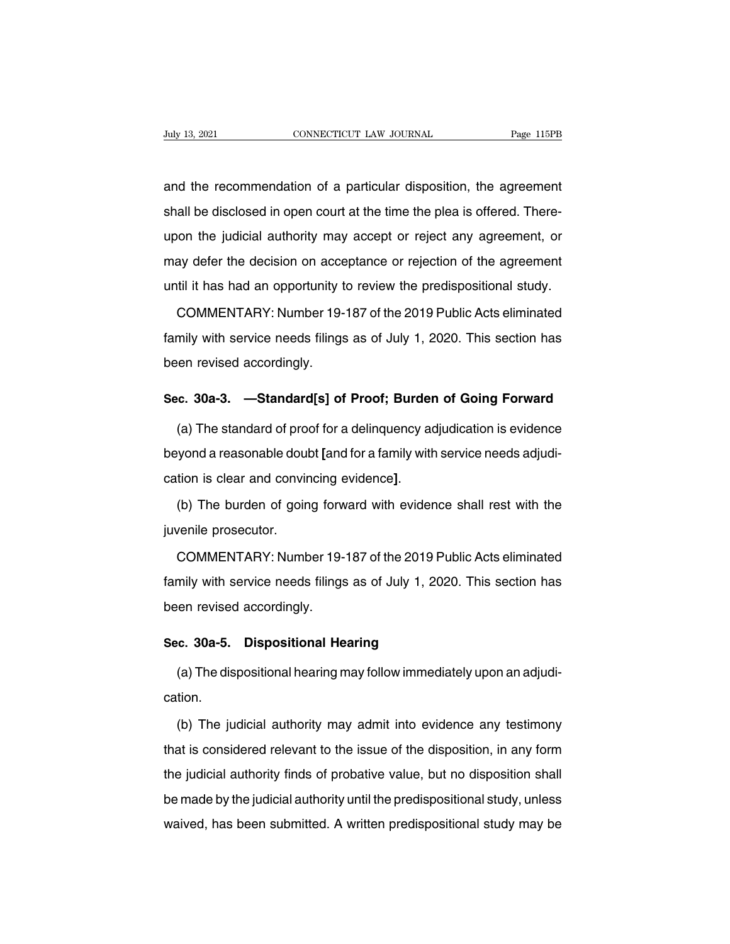Fuly 13, 2021<br>
and the recommendation of a particular disposition, the agreement<br>
shall be disclosed in open court at the time the plea is offered. There-Suly 13, 2021 CONNECTICUT LAW JOURNAL Page 115PB<br>and the recommendation of a particular disposition, the agreement<br>shall be disclosed in open court at the time the plea is offered. There-<br>upon the judicial authority may ac and the recommendation of a particular disposition, the agreement<br>shall be disclosed in open court at the time the plea is offered. There-<br>upon the judicial authority may accept or reject any agreement, or<br>may defer the de and the recommendation of a particular disposition, the agreement<br>shall be disclosed in open court at the time the plea is offered. There-<br>upon the judicial authority may accept or reject any agreement, or<br>may defer the de shall be disclosed in open court at the time the plea is offered. There-<br>upon the judicial authority may accept or reject any agreement, or<br>may defer the decision on acceptance or rejection of the agreement<br>until it has ha on the judicial authority may accept or reject any agreement, or<br>ay defer the decision on acceptance or rejection of the agreement<br>til it has had an opportunity to review the predispositional study.<br>COMMENTARY: Number 19-1

family with service needs filings as of July 1, 2020. This section has been revised accordingly. been the according to the district of the set of the set of the conditional conditional family with service needs filings been revised accordingly. COMMENTARY: Number 19-187 of the 2019 Public Acts eliminated<br>family with service needs filings as of July 1, 2020. This section has<br>been revised accordingly.<br>**Sec. 30a-3.** —**Standard[s] of Proof; Burden of Going Forward**<br>(

mily with service needs filings as of July 1, 2020. This section has<br>en revised accordingly.<br>c. 30a-3. —Standard[s] of Proof; Burden of Going Forward<br>(a) The standard of proof for a delinquency adjudication is evidence<br>yon been revised accordingly.<br> **Sec. 30a-3.** —**Standard[s] of Proof; Burden of Going Forward**<br>
(a) The standard of proof for a delinquency adjudication is evidence<br>
beyond a reasonable doubt [and for a family with service need Sec. 30a-3. —Standard[s] of Proof; Burden of Going Forward<br>
(a) The standard of proof for a delinquency adjudication is evidence<br>
beyond a reasonable doubt [and for a family with service needs adjudi-<br>
cation is clear and beyond a reasonable doul<br>cation is clear and convir<br>(b) The burden of goin<br>juvenile prosecutor.<br>COMMENTARY: Numb

Train is clear and convincing evidence].<br>
(b) The burden of going forward with evidence shall rest with the<br>
venile prosecutor.<br>
COMMENTARY: Number 19-187 of the 2019 Public Acts eliminated<br>
mily with service needs filings (b) The burden of going forward with evidence shall rest with the<br>juvenile prosecutor.<br>COMMENTARY: Number 19-187 of the 2019 Public Acts eliminated<br>family with service needs filings as of July 1, 2020. This section has<br>bee juvenile prosecutor.<br>
COMMENTARY: Number 19-<br>
family with service needs filings<br>
been revised accordingly. **COMMENTARY: Number 19-187 of the 2019 Pu**<br>family with service needs filings as of July 1, 202<br>been revised accordingly.<br>**Sec. 30a-5. Dispositional Hearing**<br>(a) The dispositional hearing may follow immedia mily with service needs filings as of July 1, 2020. This section has<br>en revised accordingly.<br>c. 30a-5. Dispositional Hearing<br>(a) The dispositional hearing may follow immediately upon an adjudi-<br>tion.

cation.

ince. **30a-5.** Dispositional Hearing<br>
(a) The dispositional hearing may follow immediately upon an adjudition.<br>
(b) The judicial authority may admit into evidence any testimony<br>
at is considered relevant to the issue of th (a) The dispositional hearing may follow immediately upon an adjudication.<br>
(b) The judicial authority may admit into evidence any testimony<br>
that is considered relevant to the issue of the disposition, in any form<br>
the ju the judicial authority finds of probative value, but no disposition, in any form<br>that is considered relevant to the issue of the disposition, in any form<br>the judicial authority finds of probative value, but no disposition (b) The judicial authority may admit into evidence any testimony<br>that is considered relevant to the issue of the disposition, in any form<br>the judicial authority finds of probative value, but no disposition shall<br>be made by (b) The jadiotal datitomy may damk like ovidence any technoly<br>that is considered relevant to the issue of the disposition, in any form<br>the judicial authority finds of probative value, but no disposition shall<br>be made by th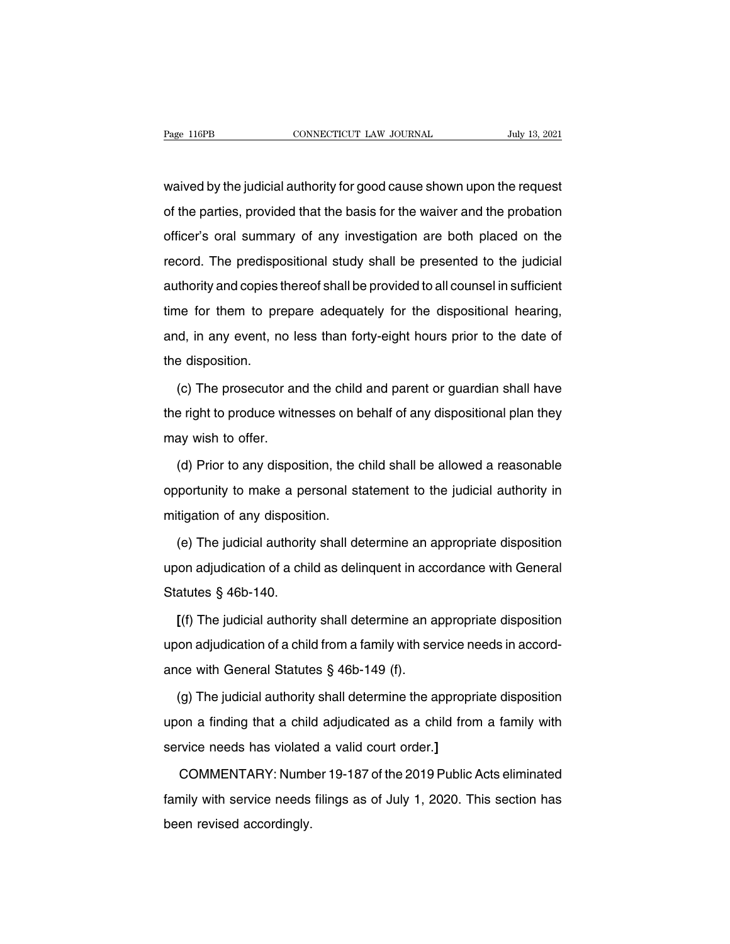waived by the judicial authority for good cause shown upon the request Page 116PB CONNECTICUT LAW JOURNAL July 13, 2021<br>waived by the judicial authority for good cause shown upon the request<br>of the parties, provided that the basis for the waiver and the probation<br>officer's oral summary of any waived by the judicial authority for good cause shown upon the request<br>of the parties, provided that the basis for the waiver and the probation<br>officer's oral summary of any investigation are both placed on the<br>record. The waived by the judicial authority for good cause shown upon the request<br>of the parties, provided that the basis for the waiver and the probation<br>officer's oral summary of any investigation are both placed on the<br>record. The ally and patholar durintly for good dated chomma port and request<br>of the parties, provided that the basis for the waiver and the probation<br>officer's oral summary of any investigation are both placed on the<br>record. The pred of the partice, provided that the saste for the warver and the presention<br>officer's oral summary of any investigation are both placed on the<br>record. The predispositional study shall be presented to the judicial<br>authority a and, in any event, no less than forty-eight hours prior to the judicial authority and copies thereof shall be provided to all counsel in sufficient time for them to prepare adequately for the dispositional hearing, and, in Froatekeept<br>authority and copies t<br>time for them to pre<br>and, in any event, no<br>the disposition.<br>(c) The prosecutor (c) The prosecutor and the child and parent or guardian shall have enight to produce witnesses on behalf of any dispositional plan they

and, in any event, no less than forty-eight hours prior to the date of<br>the disposition.<br>(c) The prosecutor and the child and parent or guardian shall have<br>the right to produce witnesses on behalf of any dispositional plan and, in any event, no less than forty-eight hours prior to the date of<br>the disposition.<br>(c) The prosecutor and the child and parent or guardian shall have<br>the right to produce witnesses on behalf of any dispositional plan (c) The prosecutor and the child and parent or guardian shall have<br>e right to produce witnesses on behalf of any dispositional plan they<br>ay wish to offer.<br>(d) Prior to any disposition, the child shall be allowed a reasonab

the right to produce witnesses on behalf of any dispositional plan they<br>may wish to offer.<br>(d) Prior to any disposition, the child shall be allowed a reasonable<br>opportunity to make a personal statement to the judicial auth may wish to offer.<br>
(d) Prior to any disposition, the copportunity to make a personal st<br>
mitigation of any disposition.<br>
(e) The judicial authority shall de (d) Prior to any disposition, the child shall be allowed a reasonable<br>portunity to make a personal statement to the judicial authority in<br>tigation of any disposition.<br>(e) The judicial authority shall determine an appropria

opportunity to make a personal statement to the judicial authority in<br>mitigation of any disposition.<br>(e) The judicial authority shall determine an appropriate disposition<br>upon adjudication of a child as delinquent in accor mitigation of any dispositi<br>
(e) The judicial authority<br>
upon adjudication of a chi<br>
Statutes § 46b-140.<br>
[(f) The judicial authority (e) The judicial authority shall determine an appropriate disposition<br>on adjudication of a child as delinquent in accordance with General<br>atutes § 46b-140.<br>[(f) The judicial authority shall determine an appropriate disposi

upon adjudication of a child as delinquent in accordance with General<br>Statutes § 46b-140.<br>[(f) The judicial authority shall determine an appropriate disposition<br>upon adjudication of a child from a family with service needs Statutes § 46b-140.<br>
[(f) The judicial authority shall determine an a<br>
upon adjudication of a child from a family with ser<br>
ance with General Statutes § 46b-149 (f).<br>
(g) The judicial authority shall determine the a [(f) The judicial authority shall determine an appropriate disposition<br>on adjudication of a child from a family with service needs in accord-<br>ce with General Statutes § 46b-149 (f).<br>(g) The judicial authority shall determ

upon adjudication of a child from a family with service needs in accord-<br>ance with General Statutes § 46b-149 (f).<br>(g) The judicial authority shall determine the appropriate disposition<br>upon a finding that a child adjudica ance with General Statutes § 46b-149 (f).<br>
(g) The judicial authority shall determine the appropri<br>
upon a finding that a child adjudicated as a child fron<br>
service needs has violated a valid court order.]<br>
COMMENTARY: Num (g) The judicial authority shall determine the appropriate disposition<br>on a finding that a child adjudicated as a child from a family with<br>rvice needs has violated a valid court order.]<br>COMMENTARY: Number 19-187 of the 201

family with<br>service needs has violated a valid court order.]<br>COMMENTARY: Number 19-187 of the 2019 Public Acts eliminated<br>family with service needs filings as of July 1, 2020. This section has<br>been revised accordingly. service needs has violate<br>COMMENTARY: Numb<br>family with service needs<br>been revised accordingly.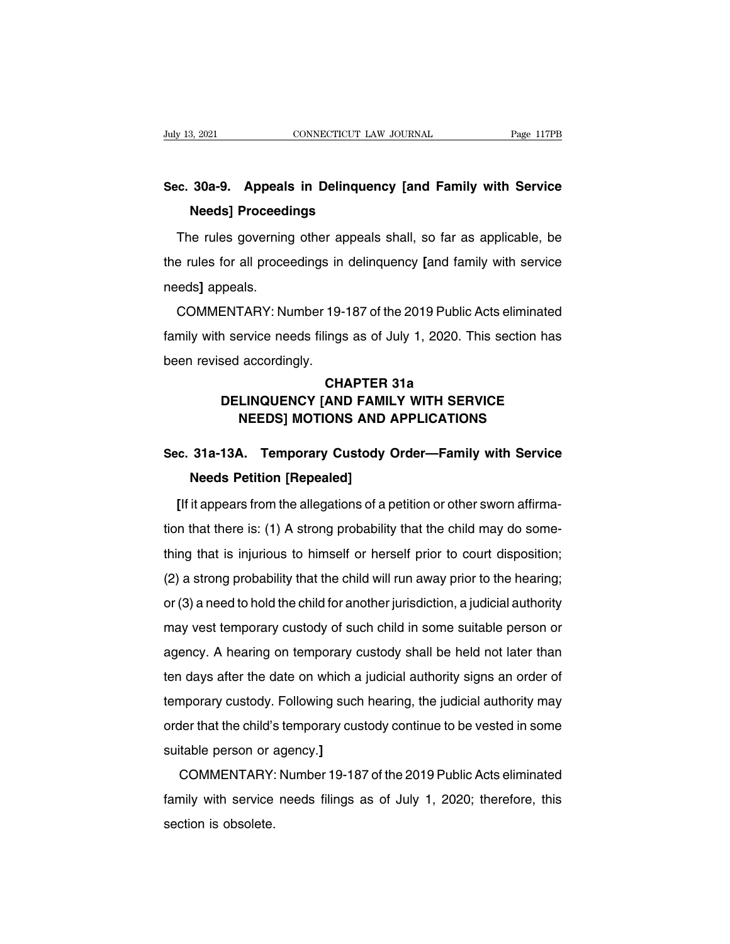## **Sec. 30a-9. Appeals in Delinquency [and Family with Service EXECUS** 3, 2021<br> **Needs] Proceedings<br>
Needs] Proceedings<br>
Needs] Proceedings<br>
Nee rules governing other appeals**

e. 30a-9. Appeals in Delinquency [and Family with Service<br>Needs] Proceedings<br>The rules governing other appeals shall, so far as applicable, be<br>a rules for all proceedings in delinquency [and family with service Sec. 30a-9. Appeals in Delinquency [and Family with Service<br>Needs] Proceedings<br>The rules governing other appeals shall, so far as applicable, be<br>the rules for all proceedings in delinquency [and family with service<br>needs] needs**]** appeals. The rules governing other appeals shall, so far as applicable, be<br>e rules for all proceedings in delinquency [and family with service<br>eds] appeals.<br>COMMENTARY: Number 19-187 of the 2019 Public Acts eliminated<br>mily with ser

Fire faces governing onter appears share, so far as applicable, be<br>the rules for all proceedings in delinquency [and family with service<br>needs] appeals.<br>COMMENTARY: Number 19-187 of the 2019 Public Acts eliminated<br>family w the rules for all proceedings in<br>needs] appeals.<br>COMMENTARY: Number 19-<br>family with service needs filings<br>been revised accordingly. **19-187 of the 2019 Public A**<br>
ings as of July 1, 2020. Th<br> **CHAPTER 31a**<br>
AND FAMILY WITH SERN ENTARY: Number 19-187 of the 2019 Public Acts eliminated<br>
n service needs filings as of July 1, 2020. This section has<br>
sed accordingly.<br> **CHAPTER 31a<br>
DELINQUENCY [AND FAMILY WITH SERVICE<br>
NEEDS] MOTIONS AND APPLICATIONS** Provice needs filings as of July 1, 2020. This section has<br>
accordingly.<br> **CHAPTER 31a<br>
LINQUENCY [AND FAMILY WITH SERVICE<br>
NEEDS] MOTIONS AND APPLICATIONS** 

# **CHAPTER<br>DELINQUENCY [AND FAMII**<br>NEEDS] MOTIONS AND<br>31a-13A. Temporary Custody<br>Needs Petition [Repealed]<br>it appears from the allegations of a p

# been revised accordingly.<br> **SELINQUENCY [AND FAMILY WITH SERVICE<br>
NEEDS] MOTIONS AND APPLICATIONS<br>
Sec. 31a-13A. Temporary Custody Order—Family with Service<br>
Needs Petition [Repealed]**

**MEEDS] MOTIONS AND APPLICATIONS**<br> **EXECT:** 31a-13A. Temporary Custody Order—Family with Service<br>
Needs Petition [Repealed]<br>
[If it appears from the allegations of a petition or other sworn affirma-<br>
In that there is: (1) Sec. 31a-13A. Temporary Custody Order—Family with Service<br>Needs Petition [Repealed]<br>[If it appears from the allegations of a petition or other sworn affirma-<br>tion that there is: (1) A strong probability that the child may Needs Petition [Repealed]<br>
[If it appears from the allegations of a petition or other sworn affirma-<br>
tion that there is: (1) A strong probability that the child may do some-<br>
thing that is injurious to himself or herself [If it appears from the allegations of a petition or other sworn affirmation that there is: (1) A strong probability that the child may do something that is injurious to himself or herself prior to court disposition;<br>(2) a In trappears nont the anegations of a petition of other sworriannina-<br>tion that there is: (1) A strong probability that the child may do some-<br>thing that is injurious to himself or herself prior to court disposition;<br>(2) a thing that there is. (1) A shorty probability that the child may do some-<br>thing that is injurious to himself or herself prior to court disposition;<br>(2) a strong probability that the child will run away prior to the hearin (2) a strong probability that the child will run away prior to the hearing;<br>or (3) a need to hold the child for another jurisdiction, a judicial authority<br>may vest temporary custody of such child in some suitable person or ( $\geq$ ) a shorty probability that the critic will full away prior to the hearing, or (3) a need to hold the child for another jurisdiction, a judicial authority may vest temporary custody of such child in some suitable pe or (5) a need to nota the child for another jurisdiction, a judicial authority<br>may vest temporary custody of such child in some suitable person or<br>agency. A hearing on temporary custody shall be held not later than<br>ten day rial vest temporary custody or such child in some suitable person or<br>agency. A hearing on temporary custody shall be held not later than<br>ten days after the date on which a judicial authority signs an order of<br>temporary cus agency. A hearing on temporary c<br>ten days after the date on which a<br>temporary custody. Following such<br>order that the child's temporary cus<br>suitable person or agency.]<br>COMMENTARY: Number 19-18 ruays after the date on which a judicial authority sights an order of<br>mporary custody. Following such hearing, the judicial authority may<br>ler that the child's temporary custody continue to be vested in some<br>itable person o

family distributed in some suitable person or agency.]<br>suitable person or agency.]<br>COMMENTARY: Number 19-187 of the 2019 Public Acts eliminated<br>family with service needs filings as of July 1, 2020; therefore, this<br>section order that the child's temporary custody continue to be vested in some<br>suitable person or agency.]<br>COMMENTARY: Number 19-187 of the 2019 Public Acts eliminated<br>family with service needs filings as of July 1, 2020; therefor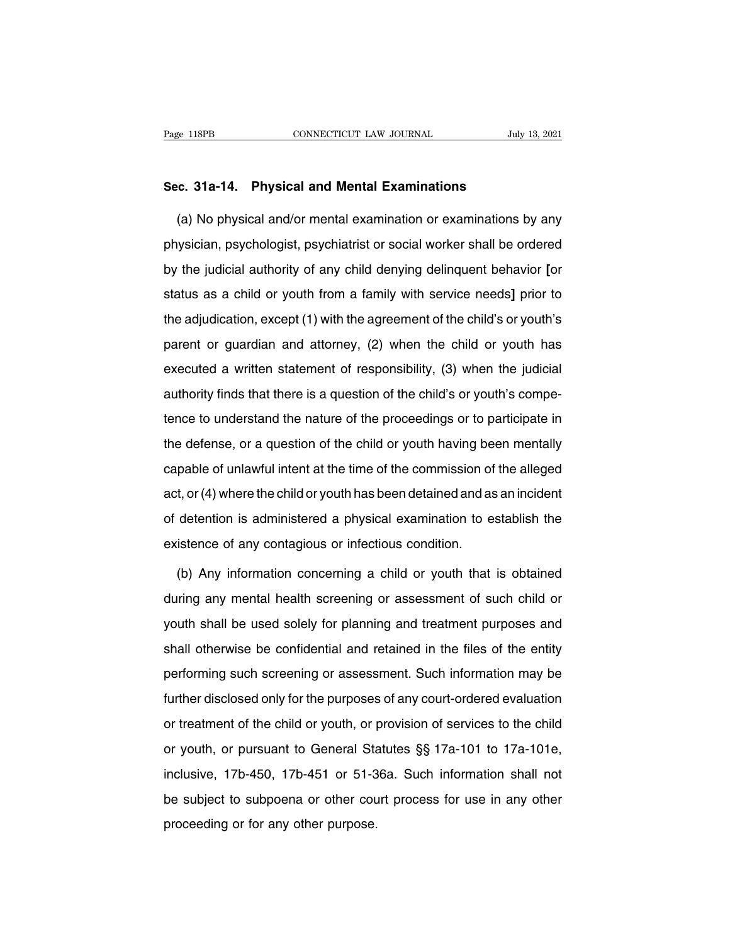# Page 118PB<br> **Sec. 31a-14. Physical and Mental Examinations**<br> **Sec. 31a-14. Physical and Mental Examinations**

(a) No physical and Mental Examinations<br>
(a) No physical and/or mental examination or examinations by any<br>
(a) No physical and/or mental examination or examinations by any<br>
ysician, psychologist, psychiatrist or social wor Sec. 31a-14. Physical and Mental Examinations<br>(a) No physical and/or mental examination or examinations by any<br>physician, psychologist, psychiatrist or social worker shall be ordered<br>by the judicial authority of any child Sec. 31a-14. Physical and Mental Examinations<br>(a) No physical and/or mental examination or examinations by any<br>physician, psychologist, psychiatrist or social worker shall be ordered<br>by the judicial authority of any child (a) No physical and/or mental examination or examinations by any<br>physician, psychologist, psychiatrist or social worker shall be ordered<br>by the judicial authority of any child denying delinquent behavior [or<br>status as a ch physician, psychologist, psychiatrist or social worker shall be ordered<br>by the judicial authority of any child denying delinquent behavior [or<br>status as a child or youth from a family with service needs] prior to<br>the adjud priyololari, poyonologici, poyonialist or occidi worker oriali be ordered<br>by the judicial authority of any child denying delinquent behavior [or<br>status as a child or youth from a family with service needs] prior to<br>the adj executed a written statement of responsibility, (3) when the judicial authority finds active a status as a child or youth from a family with service needs] prior to the adjudication, except (1) with the agreement of the ch status as a child or youth from a family with service needs] prior to<br>the adjudication, except (1) with the agreement of the child's or youth's<br>parent or guardian and attorney, (2) when the child or youth has<br>executed a wr parent or guardian and attorney, (2) when the child or youth has<br>executed a written statement of responsibility, (3) when the judicial<br>authority finds that there is a question of the child's or youth's compe-<br>tence to unde executed a written statement of responsibility, (3) when the judicial authority finds that there is a question of the child's or youth's competence to understand the nature of the proceedings or to participate in the defe at a which is a question of the child's or youth's competence to understand the nature of the proceedings or to participate in the defense, or a question of the child or youth having been mentally capable of unlawful inten rence to understand the nature of the proceedings or to participate in the defense, or a question of the child or youth having been mentally capable of unlawful intent at the time of the commission of the alleged act, or ( the defense, or a question of the child or youth having been mentally<br>capable of unlawful intent at the time of the commission of the alleged<br>act, or (4) where the child or youth has been detained and as an incident<br>of det existence, or a question of the similar or years having be<br>capable of unlawful intent at the time of the commission of<br>act, or (4) where the child or youth has been detained and as<br>of detention is administered a physical e (b) there the child or youth has been detained and as an incident<br>detention is administered a physical examination to establish the<br>istence of any contagious or infectious condition.<br>(b) Any information concerning a child

of detention is administered a physical examination to establish the<br>existence of any contagious or infectious condition.<br>(b) Any information concerning a child or youth that is obtained<br>during any mental health screening existence of any contagious or infectious condition.<br>
(b) Any information concerning a child or youth that is obtained<br>
during any mental health screening or assessment of such child or<br>
youth shall be used solely for plan (b) Any information concerning a child or youth that is obtained<br>during any mental health screening or assessment of such child or<br>youth shall be used solely for planning and treatment purposes and<br>shall otherwise be confi during any mential health screening or assessment of such child or<br>youth shall be used solely for planning and treatment purposes and<br>shall otherwise be confidential and retained in the files of the entity<br>performing such Further disclosed only for planning and treatment purposes and<br>shall otherwise be confidential and retained in the files of the entity<br>performing such screening or assessment. Such information may be<br>further disclosed only shall otherwise be confidential and retained in the files of the entity<br>performing such screening or assessment. Such information may be<br>further disclosed only for the purposes of any court-ordered evaluation<br>or treatment performing such screening or assessment. Such information may be<br>further disclosed only for the purposes of any court-ordered evaluation<br>or treatment of the child or youth, or provision of services to the child<br>or youth, o further disclosed only for the purposes of any court-ordered evaluation<br>or treatment of the child or youth, or provision of services to the child<br>or youth, or pursuant to General Statutes §§ 17a-101 to 17a-101e,<br>inclusive, be subsected the child or youth, or provision of services to the child<br>or youth, or pursuant to General Statutes §§ 17a-101 to 17a-101e,<br>inclusive, 17b-450, 17b-451 or 51-36a. Such information shall not<br>be subject to subpo provided the state of the state of year, the purpose or youth, or pursuant to General State inclusive, 17b-450, 17b-451 or 51-3<br>be subject to subpoena or other couproceeding or for any other purpose.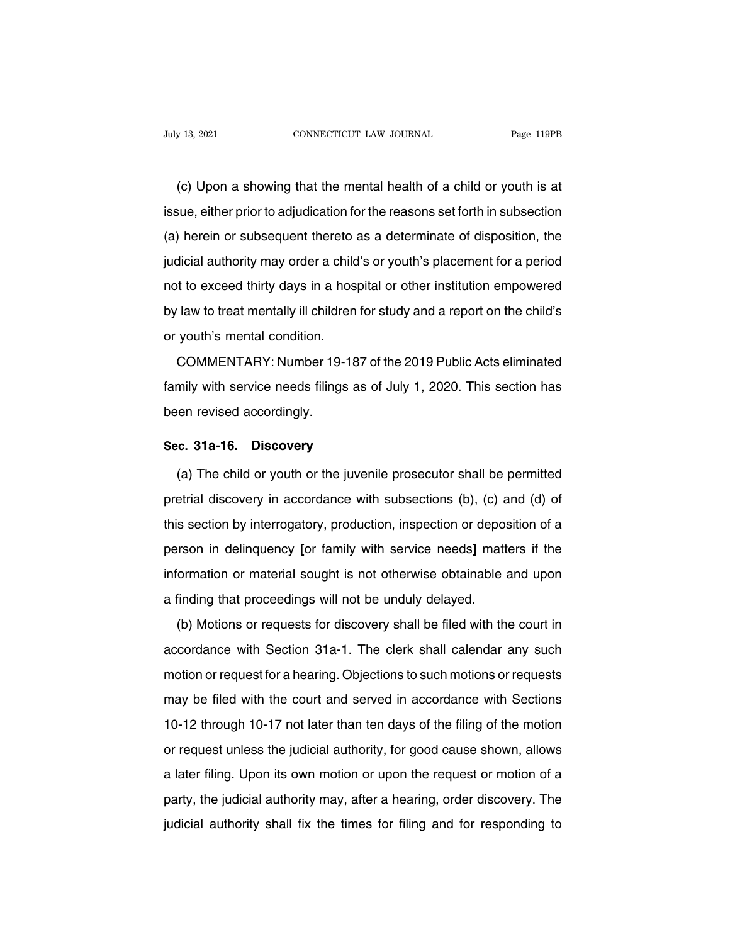(c) Upon a showing that the mental health of a child or youth is at<br>the either prior to adjudication for the reasons set forth in subsection In the reasons of torther prior to adjudication for the reasons set forth in subsection<br>
(a) herein or subsequent thereto as a determinate of disposition, the (c) Upon a showing that the mental health of a child or youth is at<br>issue, either prior to adjudication for the reasons set forth in subsection<br>(a) herein or subsequent thereto as a determinate of disposition, the<br>judicial (c) Upon a showing that the mental health of a child or youth is at<br>issue, either prior to adjudication for the reasons set forth in subsection<br>(a) herein or subsequent thereto as a determinate of disposition, the<br>judicial (c) open a showing that the montal focular or a shind or youth is at<br>issue, either prior to adjudication for the reasons set forth in subsection<br>(a) herein or subsequent thereto as a determinate of disposition, the<br>judicia (a) herein or subsequent thereto as a determinate of disposition, the judicial authority may order a child's or youth's placement for a period not to exceed thirty days in a hospital or other institution empowered by law t judicial authority may order a child<br>judicial authority may order a child<br>hot to exceed thirty days in a hos<br>by law to treat mentally ill children<br>or youth's mental condition.<br>COMMENTARY: Number 19-18 Islamical datinonly may state it child on type placement for a period of the exceed thirty days in a hospital or other institution empowered law to treat mentally ill children for study and a report on the child's youth's

family with service analysis in a helphanic service included to the child's<br>or youth's mental condition.<br>COMMENTARY: Number 19-187 of the 2019 Public Acts eliminated<br>family with service needs filings as of July 1, 2020. Th begins to their increasing in crime.<br>
or youth's mental condition.<br>
COMMENTARY: Number 19-<br>
family with service needs filings<br>
been revised accordingly. **COMMENTARY: Number 19-187 of**<br>family with service needs filings as of<br>been revised accordingly.<br>**Sec. 31a-16. Discovery**<br>(a) The child or youth or the juvenity mily with service needs filings as of July 1, 2020. This section has<br>
en revised accordingly.<br>
c. 31a-16. Discovery<br>
(a) The child or youth or the juvenile prosecutor shall be permitted<br>
etrial discovery in accordance with

been revised accordingly.<br> **Sec. 31a-16.** Discovery<br>
(a) The child or youth or the juvenile prosecutor shall be permitted<br>
pretrial discovery in accordance with subsections (b), (c) and (d) of<br>
this section by interrogator Sec. 31a-16. Discovery<br>
(a) The child or youth or the juvenile prosecutor shall be permitted<br>
pretrial discovery in accordance with subsections (b), (c) and (d) of<br>
this section by interrogatory, production, inspection or (a) The child or youth or the juvenile prosecutor shall be permitted pretrial discovery in accordance with subsections (b), (c) and (d) of this section by interrogatory, production, inspection or deposition of a person in pretrial discovery in accordance with subsections (b), (c) and (d) of<br>this section by interrogatory, production, inspection or deposition of a<br>person in delinquency [or family with service needs] matters if the<br>information promal discovery in decordance with discocional (c), (c) definition by interrogatory, production, inspection or depositions or delinquency [or family with service needs] matter information or material sought is not otherwi Frison in delinquency [or family with service needs] matters if the<br>formation or material sought is not otherwise obtainable and upon<br>finding that proceedings will not be unduly delayed.<br>(b) Motions or requests for discove

information or material sought is not otherwise obtainable and upon<br>a finding that proceedings will not be unduly delayed.<br>(b) Motions or requests for discovery shall be filed with the court in<br>accordance with Section 31aa finding that proceedings will not be unduly delayed.<br>
(b) Motions or requests for discovery shall be filed with the court in<br>
accordance with Section 31a-1. The clerk shall calendar any such<br>
motion or request for a hear many and preceduings minimetics and speak years) and the court in<br>accordance with Section 31a-1. The clerk shall calendar any such<br>motion or request for a hearing. Objections to such motions or requests<br>may be filed with t accordance with Section 31a-1. The clerk shall calendar any such<br>motion or request for a hearing. Objections to such motions or requests<br>may be filed with the court and served in accordance with Sections<br>10-12 through 10-1 motion or request for a hearing. Objections to such motions or requests<br>may be filed with the court and served in accordance with Sections<br>10-12 through 10-17 not later than ten days of the filing of the motion<br>or request motion or request for a healthg. Objection to education or requested may be filed with the court and served in accordance with Sections 10-12 through 10-17 not later than ten days of the filing of the motion or request unl party, the judicial authority may, after a hearing of the motion or request unless the judicial authority, for good cause shown, allows a later filing. Upon its own motion or upon the request or motion of a party, the judi For the times and the timest and fort days of the limity of the instant<br>or request unless the judicial authority, for good cause shown, allows<br>a later filing. Upon its own motion or upon the request or motion of a<br>party, t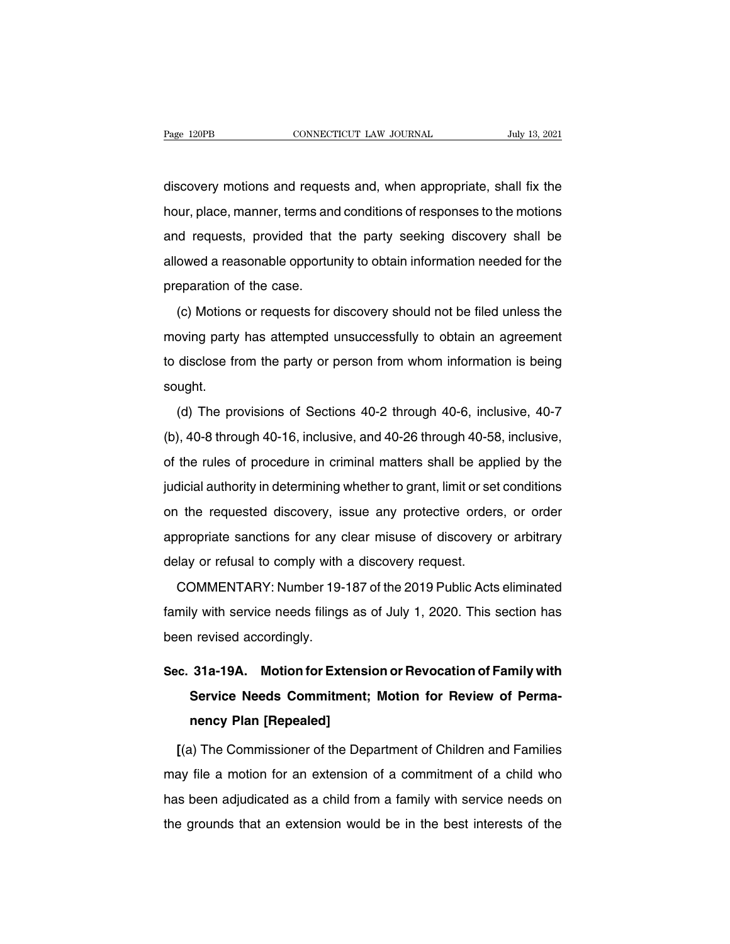Page 120PB<br>
CONNECTICUT LAW JOURNAL<br>
discovery motions and requests and, when appropriate, shall fix the<br>
hour, place, manner, terms and conditions of responses to the motions hour, place, manner, terms and conditions of responses to the motions<br>and requests and when appropriate, shall fix the<br>hour, place, manner, terms and conditions of responses to the motions<br>and requests, provided that the p discovery motions and requests and, when appropriate, shall fix the<br>hour, place, manner, terms and conditions of responses to the motions<br>and requests, provided that the party seeking discovery shall be<br>allowed a reasonabl discovery motions and requests and, when appropriate, shall fix the<br>hour, place, manner, terms and conditions of responses to the motions<br>and requests, provided that the party seeking discovery shall be<br>allowed a reasonabl motory motons and request<br>hour, place, manner, terms and<br>and requests, provided that<br>allowed a reasonable opporture<br>preparation of the case.<br>(c) Motions or requests for o (c) Motions or requests for discovery should not be filed unless the<br>paration of the case.<br>(c) Motions or requests for discovery should not be filed unless the<br>poving party has attempted unsuccessfully to obtain an agreeme

and requeste, previded that the party economy diseased y shall be<br>allowed a reasonable opportunity to obtain information needed for the<br>preparation of the case.<br>(c) Motions or requests for discovery should not be filed unl preparation of the case.<br>
(c) Motions or requests for discovery should not be filed unless the<br>
moving party has attempted unsuccessfully to obtain an agreement<br>
to disclose from the party or person from whom information i sought. (d) The provisions of Sections 40-2 through 40-58, inclusive, 40-7<br>(d) The provisions of Sections 40-2 through 40-6, inclusive, 40-7<br>(d) The provisions of Sections 40-2 through 40-6, inclusive, 40-7<br>(d) 40-8 through 40-16, moving party has attempted unsuccessfully to obtain an agreement<br>to disclose from the party or person from whom information is being<br>sought.<br>(d) The provisions of Sections 40-2 through 40-6, inclusive, 40-7<br>(b), 40-8 throu

sought.<br>
(d) The provisions of Sections 40-2 through 40-6, inclusive, 40-7<br>
(b), 40-8 through 40-16, inclusive, and 40-26 through 40-58, inclusive,<br>
of the rules of procedure in criminal matters shall be applied by the<br>
ju (d) The provisions of Sections 40-2 through 40-6, inclusive, 40-7<br>(b), 40-8 through 40-16, inclusive, and 40-26 through 40-58, inclusive,<br>of the rules of procedure in criminal matters shall be applied by the<br>judicial autho (b), 40-8 through 40-16, inclusive, and 40-26 through 40-58, inclusive, is  $\ell$ <br>of the rules of procedure in criminal matters shall be applied by the<br>judicial authority in determining whether to grant, limit or set condit (b), to b throught to the, includively, and the Lo throught to bot, includively, of the rules of procedure in criminal matters shall be applied by the judicial authority in determining whether to grant, limit or set condit judicial authority in determining whether to grant, limit or set conditions<br>on the requested discovery, issue any protective orders, or order<br>appropriate sanctions for any clear misuse of discovery or arbitrary<br>delay or re The requested discovery, issue any protective orders, or order<br>propriate sanctions for any clear misuse of discovery or arbitrary<br>lay or refusal to comply with a discovery request.<br>COMMENTARY: Number 19-187 of the 2019 Pub

appropriate sanctions for any clear misuse of discovery or arbitrary<br>delay or refusal to comply with a discovery request.<br>COMMENTARY: Number 19-187 of the 2019 Public Acts eliminated<br>family with service needs filings as of delay or refusal to comply with<br>COMMENTARY: Number 19-<br>family with service needs filings<br>been revised accordingly. COMMENTARY: Number 19-187 of the 2019 Public Acts eliminated<br>family with service needs filings as of July 1, 2020. This section has<br>been revised accordingly.<br>**Sec. 31a-19A.** Motion for Extension or Revocation of Family wit

## Iy with service needs filings as of July 1, 2020. This section has<br> **Service Accordingly.**<br> **Service Needs Commitment; Motion for Review of Perma-<br>
<b>Service Needs Commitment; Motion for Review of Perma-**<br> **nency Plan [Repe nevised accordingly.<br>
<b>31a-19A.** Motion for Extensi<br>
Service Needs Commitment;<br>
nency Plan [Repealed]<br>
a) The Commissioner of the Der **EXECT: 31a-19A.** Motion for Extension or Revocation of Family with<br>Service Needs Commitment; Motion for Review of Perma-<br>nency Plan [Repealed]<br>[(a) The Commissioner of the Department of Children and Families<br>ay file a mot

Service Needs Commitment; Motion for Review of Perma-<br>nency Plan [Repealed]<br>[(a) The Commissioner of the Department of Children and Families<br>may file a motion for an extension of a commitment of a child who<br>has been adjudi has been adjudicated as a child from a families may file a motion for an extension of a commitment of a child who<br>has been adjudicated as a child from a family with service needs on<br>the grounds that an extension would be i [(a) The Commissioner of the Department of Children and Families<br>may file a motion for an extension of a commitment of a child who<br>has been adjudicated as a child from a family with service needs on<br>the grounds that an ext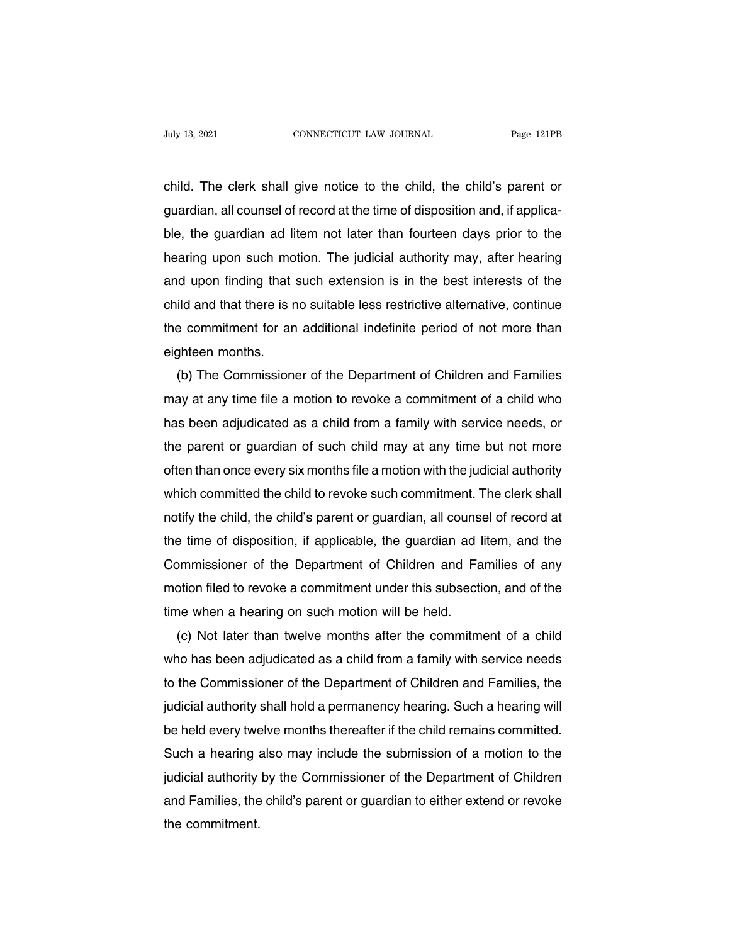CONNECTICUT LAW JOURNAL Page 121PB<br>child. The clerk shall give notice to the child, the child's parent or<br>guardian, all counsel of record at the time of disposition and, if applica-Fuly 13, 2021 CONNECTICUT LAW JOURNAL Page 121PB<br>
child. The clerk shall give notice to the child, the child's parent or<br>
guardian, all counsel of record at the time of disposition and, if applica-<br>
ble, the guardian ad li ble, the guardian ad litem not later than fourteen days prior to the guardian, all counsel of record at the time of disposition and, if applicable, the guardian ad litem not later than fourteen days prior to the hearing up child. The clerk shall give notice to the child, the child's parent or<br>guardian, all counsel of record at the time of disposition and, if applica-<br>ble, the guardian ad litem not later than fourteen days prior to the<br>hearin child. The clerk shall give notice to the child, the child's parent or<br>guardian, all counsel of record at the time of disposition and, if applica-<br>ble, the guardian ad litem not later than fourteen days prior to the<br>hearin guardian, all counsel of record at the time of disposition and, if applica-<br>ble, the guardian ad litem not later than fourteen days prior to the<br>hearing upon such motion. The judicial authority may, after hearing<br>and upon ble, the guardian ad litem not later than fourteen days prior to the<br>hearing upon such motion. The judicial authority may, after hearing<br>and upon finding that such extension is in the best interests of the<br>child and that t hearing upon such mo<br>and upon finding that :<br>child and that there is n<br>the commitment for an<br>eighteen months.<br>(b) The Commission (d upon finding that such extension is in the best interests of the<br>ild and that there is no suitable less restrictive alternative, continue<br>e commitment for an additional indefinite period of not more than<br>ghteen months.<br>

child and that there is no suitable less restrictive alternative, continue<br>the commitment for an additional indefinite period of not more than<br>eighteen months.<br>(b) The Commissioner of the Department of Children and Familie the commitment for an additional indefinite period of not more than<br>eighteen months.<br>(b) The Commissioner of the Department of Children and Families<br>may at any time file a motion to revoke a commitment of a child who<br>has b eighteen months.<br>
(b) The Commissioner of the Department of Children and Families<br>
may at any time file a motion to revoke a commitment of a child who<br>
has been adjudicated as a child from a family with service needs, or<br> (b) The Commissioner of the Department of Children and Families<br>may at any time file a motion to revoke a commitment of a child who<br>has been adjudicated as a child from a family with service needs, or<br>the parent or guardia may at any time file a motion to revoke a commitment of a child who<br>has been adjudicated as a child from a family with service needs, or<br>the parent or guardian of such child may at any time but not more<br>often than once eve has been adjudicated as a child from a family with service needs, or<br>the parent or guardian of such child may at any time but not more<br>often than once every six months file a motion with the judicial authority<br>which commit the parent or guardian of such child may at any time but not more<br>often than once every six months file a motion with the judicial authority<br>which committed the child to revoke such commitment. The clerk shall<br>notify the c often than once every six months file a motion with the judicial authority<br>which committed the child to revoke such commitment. The clerk shall<br>notify the child, the child's parent or guardian, all counsel of record at<br>the which committed the child to revoke such commitment. The clerk shall<br>notify the child, the child's parent or guardian, all counsel of record at<br>the time of disposition, if applicable, the guardian ad litem, and the<br>Commiss notify the child, the child's parent or guardian, all counse<br>the time of disposition, if applicable, the guardian ad li<br>Commissioner of the Department of Children and Fa<br>motion filed to revoke a commitment under this subse e time of disposition, if applicable, the guardian ad litem, and the<br>pmmissioner of the Department of Children and Families of any<br>otion filed to revoke a commitment under this subsection, and of the<br>ne when a hearing on s

Commissioner of the Department of Children and Families of any<br>motion filed to revoke a commitment under this subsection, and of the<br>time when a hearing on such motion will be held.<br>(c) Not later than twelve months after t motion filed to revoke a commitment under this subsection, and of the<br>time when a hearing on such motion will be held.<br>(c) Not later than twelve months after the commitment of a child<br>who has been adjudicated as a child fr time when a hearing on such motion will be held.<br>
(c) Not later than twelve months after the commitment of a child<br>
who has been adjudicated as a child from a family with service needs<br>
to the Commissioner of the Departmen (c) Not later than twelve months atter the commitment of a child<br>who has been adjudicated as a child from a family with service needs<br>to the Commissioner of the Department of Children and Families, the<br>judicial authority s who has been adjudicated as a child from a family with service needs<br>to the Commissioner of the Department of Children and Families, the<br>judicial authority shall hold a permanency hearing. Such a hearing will<br>be held every to the Commissioner of the Department of Children and Families, the<br>judicial authority shall hold a permanency hearing. Such a hearing will<br>be held every twelve months thereafter if the child remains committed.<br>Such a hear judicial authority shall hold a permanency hearing. Such a hearing will<br>be held every twelve months thereafter if the child remains committed.<br>Such a hearing also may include the submission of a motion to the<br>judicial auth be held every twe<br>Such a hearing a<br>judicial authority<br>and Families, the<br>the commitment.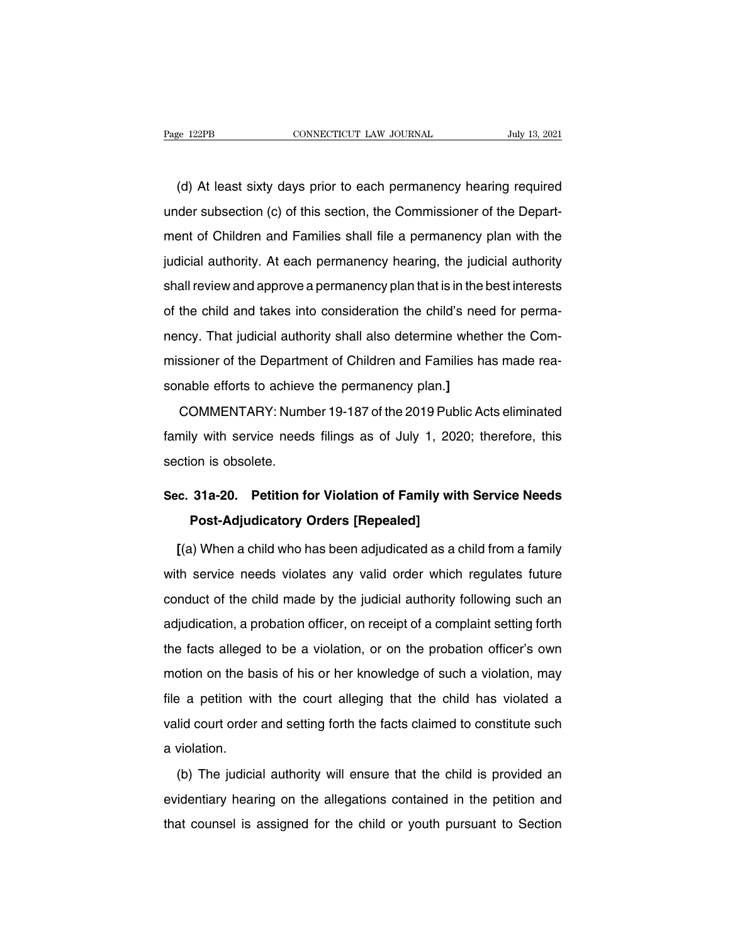EXEM CONNECTICUT LAW JOURNAL July 13, 2021<br>(d) At least sixty days prior to each permanency hearing required<br>der subsection (c) of this section, the Commissioner of the Depart-Page 122PB CONNECTICUT LAW JOURNAL July 13, 2021<br>
(d) At least sixty days prior to each permanency hearing required<br>
under subsection (c) of this section, the Commissioner of the Depart-<br>
ment of Children and Families shal (d) At least sixty days prior to each permanency hearing required<br>under subsection (c) of this section, the Commissioner of the Depart-<br>ment of Children and Families shall file a permanency plan with the<br>judicial authority (d) At least sixty days prior to each permanency hearing required<br>under subsection (c) of this section, the Commissioner of the Depart-<br>ment of Children and Families shall file a permanency plan with the<br>judicial authority (a) At isast sixty days phot to start permanency hearing required<br>under subsection (c) of this section, the Commissioner of the Depart-<br>ment of Children and Families shall file a permanency plan with the<br>judicial authority of the children and Families shall file a permanency plan with the judicial authority. At each permanency hearing, the judicial authority shall review and approve a permanency plan that is in the best interests of the chil inent of official authority. At each permanency hearing, the judicial authority<br>shall review and approve a permanency plan that is in the best interests<br>of the child and takes into consideration the child's need for permashall review and approve a permanency plan that is in the best interests<br>of the child and takes into consideration the child's need for perma-<br>nency. That judicial authority shall also determine whether the Com-<br>missioner of the child and takes into consideration the child's nee<br>nency. That judicial authority shall also determine wheth<br>missioner of the Department of Children and Families ha<br>sonable efforts to achieve the permanency plan.]<br>C Interestina and takes the conditionation the child incode to point.<br>
Incy. That judicial authority shall also determine whether the Com-<br>
sioner of the Department of Children and Families has made rea-<br>
nable efforts to ac

family with service needs filings as of July 1, 2020; therefore, this section is obsolete. sonable efforts to achieve<br>COMMENTARY: Numl<br>family with service need<br>section is obsolete. COMMENTARY: Number 19-187 of the 2019 Public Acts eliminated<br>family with service needs filings as of July 1, 2020; therefore, this<br>section is obsolete.<br>**Sec. 31a-20.** Petition for Violation of Family with Service Needs<br>Pos **Post-Adjudicatory Orders Elimps as of July 1, 202**<br> **Post-Adjudicatory Orders [Repealed]**<br> **Post-Adjudicatory Orders [Repealed]**<br> **Post-Adjudicatory Orders [Repealed]**<br> **A)** When a child who has been adjudicated as a

ction is obsolete.<br> **[(a) When a child who has been adjudicated as a child from a family**<br> **[(a) When a child who has been adjudicated as a child from a family**<br> **th service needs violates any valid order which regulates f** Sec. 31a-20. Petition for Violation of Family with Service Needs<br>Post-Adjudicatory Orders [Repealed]<br>[(a) When a child who has been adjudicated as a child from a family<br>with service needs violates any valid order which reg **Post-Adjudicatory Orders [Repealed]**<br>
[(a) When a child who has been adjudicated as a child from a family<br>
with service needs violates any valid order which regulates future<br>
conduct of the child made by the judicial auth [(a) When a child who has been adjudicated as a child from a family<br>with service needs violates any valid order which regulates future<br>conduct of the child made by the judicial authority following such an<br>adjudication, a p It is alleged to be a violation, or on the probation officer's own<br>motion on the basis of his or her knowledge of such a violation, approximately<br>the facts alleged to be a violation, or on the probation officer's own<br>motio man service needs visitate any valid stach which regalates ratate<br>conduct of the child made by the judicial authority following such an<br>adjudication, a probation officer, on receipt of a complaint setting forth<br>the facts a adjudication, a probation officer, on receipt of a complaint setting forth<br>the facts alleged to be a violation, or on the probation officer's own<br>motion on the basis of his or her knowledge of such a violation, may<br>file a displantion, a probation officer, or ricocipt or a complaint court grid the facts alleged to be a violation, or on the probation officer's own<br>motion on the basis of his or her knowledge of such a violation, may<br>file a pet and and and good<br>motion on the batile a petition with<br>valid court order<br>a violation.<br>(b) The judicial (b) The judicial authority will ensure that the child has violated a<br>(b) The judicial authority will ensure that the child is provided an<br>identiary hearing on the allegations contained in the petition and

evident order and setting forth the facts claimed to constitute such<br>a violation.<br>(b) The judicial authority will ensure that the child is provided an<br>evidentiary hearing on the allegations contained in the petition and<br>th tand counsel and county form the facts claims to conclude dark<br>a violation.<br>(b) The judicial authority will ensure that the child is provided an<br>evidentiary hearing on the allegations contained in the petition and<br>that cou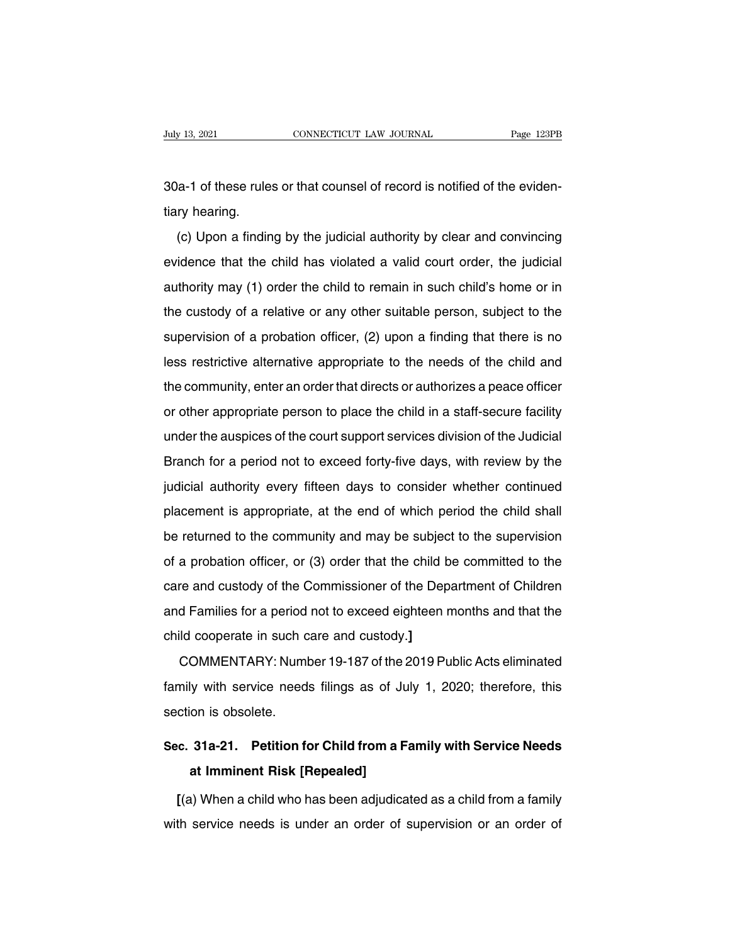30a-1 of these rules or that counsel of record is notified of the evidentiary hearing. July 13, 2021<br>30a-1 of these rule<br>tiary hearing.<br>(c) Upon a findin

(c) Upon a finding by the judicial authority by clear and convincing<br>idence that the child has violated a valid court order, the judicial 90a-1 of these rules or that counsel of record is notified of the evidentiary hearing.<br>
(c) Upon a finding by the judicial authority by clear and convincing<br>
evidence that the child has violated a valid court order, the ju tiary hearing.<br>
(c) Upon a finding by the judicial authority by clear and convincing<br>
evidence that the child has violated a valid court order, the judicial<br>
authority may (1) order the child to remain in such child's home the custody of a relative or any other suitable person, subject to the supervision of a probation officer, (2) upon a finding that there is no (b) open a mraing by the judiotal datitomy by electrical and convincing<br>evidence that the child has violated a valid court order, the judicial<br>authority may (1) order the child to remain in such child's home or in<br>the cust authority may (1) order the child to remain in such child's home or in<br>the custody of a relative or any other suitable person, subject to the<br>supervision of a probation officer, (2) upon a finding that there is no<br>less res the custody of a relative or any other suitable person, subject to the supervision of a probation officer, (2) upon a finding that there is no less restrictive alternative appropriate to the needs of the child and the comm supervision of a probation officer, (2) upon a finding that there is no<br>less restrictive alternative appropriate to the needs of the child and<br>the community, enter an order that directs or authorizes a peace officer<br>or oth Less restrictive alternative appropriate to the needs of the child and the community, enter an order that directs or authorizes a peace officer or other appropriate person to place the child in a staff-secure facility und the community, enter an order that directs or authorizes a peace officer<br>or other appropriate person to place the child in a staff-secure facility<br>under the auspices of the court support services division of the Judicial<br>B or other appropriate person to place the child in a staff-secure facility<br>under the auspices of the court support services division of the Judicial<br>Branch for a period not to exceed forty-five days, with review by the<br>judi placement is appropriate, at the end of which period the shall be returned blacked forty-five days, with review by the judicial authority every fifteen days to consider whether continued placement is appropriate, at the en Branch for a period not to exceed forty-five days, with review by the<br>judicial authority every fifteen days to consider whether continued<br>placement is appropriate, at the end of which period the child shall<br>be returned to placement is appropriate, at the end of which period the child shall<br>placement is appropriate, at the end of which period the child shall<br>be returned to the community and may be subject to the supervision<br>of a probation of placement is appropriate, at the end of which period the child shall<br>be returned to the community and may be subject to the supervision<br>of a probation officer, or (3) order that the child be committed to the<br>care and custo be returned to the community and may be subject to the supervision<br>of a probation officer, or (3) order that the child be committed to the<br>care and custody of the Commissioner of the Department of Children<br>and Families for child contained to the commany and may be cabled<br>of a probation officer, or (3) order that the child b<br>care and custody of the Commissioner of the Dep<br>and Families for a period not to exceed eighteen r<br>child cooperate in s re and custody of the Commissioner of the Department of Children<br>d Families for a period not to exceed eighteen months and that the<br>lid cooperate in such care and custody.]<br>COMMENTARY: Number 19-187 of the 2019 Public Acts

and Families for a period not to exceed eighteen months and that the<br>child cooperate in such care and custody.]<br>COMMENTARY: Number 19-187 of the 2019 Public Acts eliminated<br>family with service needs filings as of July 1, 2 child cooperate in such c<br>COMMENTARY: Numl<br>family with service need<br>section is obsolete. COMMENTARY: Number 19-187 of the 2019 Public Acts eliminated<br>family with service needs filings as of July 1, 2020; therefore, this<br>section is obsolete.<br>**Sec. 31a-21.** Petition for Child from a Family with Service Needs<br>at Iy with service needs filings as of Ju<br>
on is obsolete.<br> **31a-21.** Petition for Child from a F<br>
at Imminent Risk [Repealed]<br> **a)** When a child who has been adjudical

**Example: 19 Section 19 Section for Child from a Family with Service Needs<br>
at Imminent Risk [Repealed]<br>
[(a) When a child who has been adjudicated as a child from a family<br>
th service needs is under an order of supervisio** Sec. 31a-21. Petition for Child from a Family with Service Needs<br>at Imminent Risk [Repealed]<br>[(a) When a child who has been adjudicated as a child from a family<br>with service needs is under an order of supervision or an ord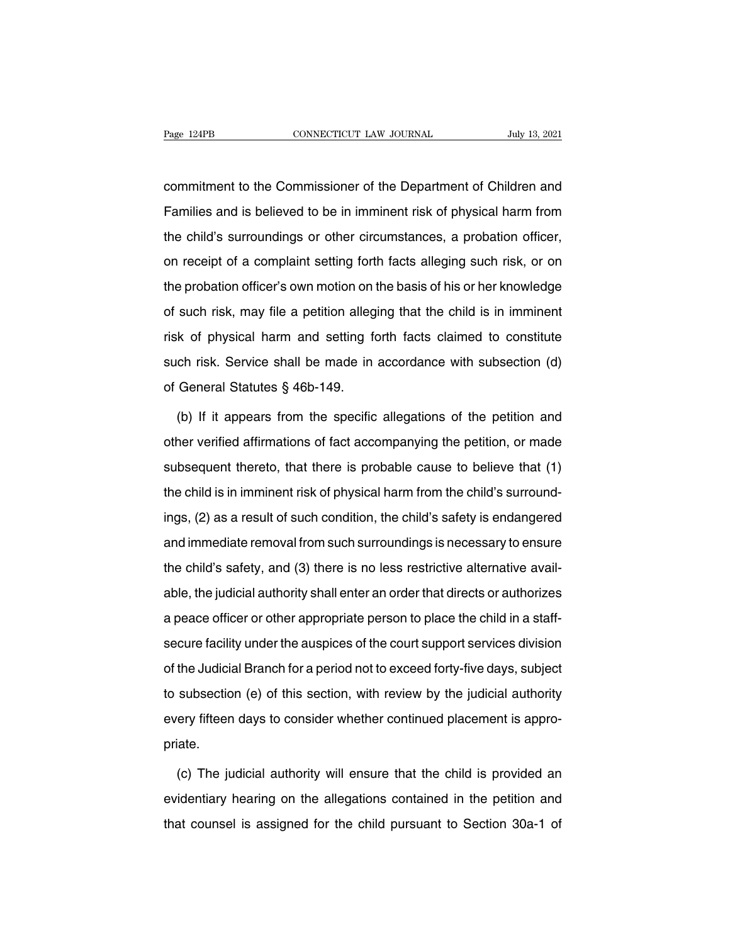Page 124PB CONNECTICUT LAW JOURNAL July 13, 2021<br>
commitment to the Commissioner of the Department of Children and<br>
Families and is believed to be in imminent risk of physical harm from Fage 124PB CONNECTICUT LAW JOURNAL July 13, 2021<br>
commitment to the Commissioner of the Department of Children and<br>
Families and is believed to be in imminent risk of physical harm from<br>
the child's surroundings or other c commitment to the Commissioner of the Department of Children and<br>Families and is believed to be in imminent risk of physical harm from<br>the child's surroundings or other circumstances, a probation officer,<br>on receipt of a c commitment to the Commissioner of the Department of Children and<br>Families and is believed to be in imminent risk of physical harm from<br>the child's surroundings or other circumstances, a probation officer,<br>on receipt of a c Families and is believed to be in imminent risk of physical harm from<br>the child's surroundings or other circumstances, a probation officer,<br>on receipt of a complaint setting forth facts alleging such risk, or on<br>the probat The child's surroundings or other circumstances, a probation officer, on receipt of a complaint setting forth facts alleging such risk, or on the probation officer's own motion on the basis of his or her knowledge of such are since surrounaings of surround meaningtheses, a prosention misel, on receipt of a complaint setting forth facts alleging such risk, or on the probation officer's own motion on the basis of his or her knowledge of such shall be probation officer's own motion on the basis of his or her knowledge<br>of such risk, may file a petition alleging that the child is in imminent<br>risk of physical harm and setting forth facts claimed to constitute<br>such of such risk, may file a petition alleg<br>risk of physical harm and setting for<br>such risk. Service shall be made in<br>of General Statutes § 46b-149.<br>(b) If it appears from the specific (b) If it appears from the specific allegations of the petition of matched specific allegations of the petition and the verified affirmations of fact accompanying the petition, or made

such risk. Service shall be made in accordance with subsection (d)<br>of General Statutes § 46b-149.<br>(b) If it appears from the specific allegations of the petition and<br>other verified affirmations of fact accompanying the pet of General Statutes § 46b-149.<br>
(b) If it appears from the specific allegations of the petition and<br>
other verified affirmations of fact accompanying the petition, or made<br>
subsequent thereto, that there is probable cause (b) If it appears from the specific allegations of the petition and other verified affirmations of fact accompanying the petition, or made subsequent thereto, that there is probable cause to believe that (1) the child is i (b) in a appear of such an experiment and other verified affirmations of fact accompanying the petition, or made<br>subsequent thereto, that there is probable cause to believe that (1)<br>the child is in imminent risk of physica subsequent thereto, that there is probable cause to believe that (1)<br>the child is in imminent risk of physical harm from the child's surround-<br>ings, (2) as a result of such condition, the child's safety is endangered<br>and i the child is in imminent risk of physical harm from the child's surround-<br>ings, (2) as a result of such condition, the child's safety is endangered<br>and immediate removal from such surroundings is necessary to ensure<br>the ch able, the judicial authority shall enter an order that directs or authorized and immediate removal from such surroundings is necessary to ensure<br>the child's safety, and (3) there is no less restrictive alternative avail-<br>a and immediate removal from such surroundings is necessary to ensure<br>the child's safety, and (3) there is no less restrictive alternative avail-<br>able, the judicial authority shall enter an order that directs or authorizes<br> she ministrate remotal increasing<br>the child's safety, and (3) there is no less restrictive alternative avail-<br>able, the judicial authority shall enter an order that directs or authorizes<br>a peace officer or other appropriat able, the judicial authority shall enter an order that directs or authorizes<br>a peace officer or other appropriate person to place the child in a staff-<br>secure facility under the auspices of the court support services divis a peace officer or other appropriate person to place the child in a staff-<br>secure facility under the auspices of the court support services division<br>of the Judicial Branch for a period not to exceed forty-five days, subjec a peace officer or other appropriate person to place the child in a staff-<br>secure facility under the auspices of the court support services division<br>of the Judicial Branch for a period not to exceed forty-five days, subjec priate. subsection (e) of this section, with review by the judicial authority<br>ery fifteen days to consider whether continued placement is appro-<br>iate.<br>(c) The judicial authority will ensure that the child is provided an<br>identiary

every fifteen days to consider whether continued placement is appro-<br>priate.<br>(c) The judicial authority will ensure that the child is provided an<br>evidentiary hearing on the allegations contained in the petition and<br>that co priate.<br>
(c) The judicial authority will ensure that the child is provided an<br>
evidentiary hearing on the allegations contained in the petition and<br>
that counsel is assigned for the child pursuant to Section 30a-1 of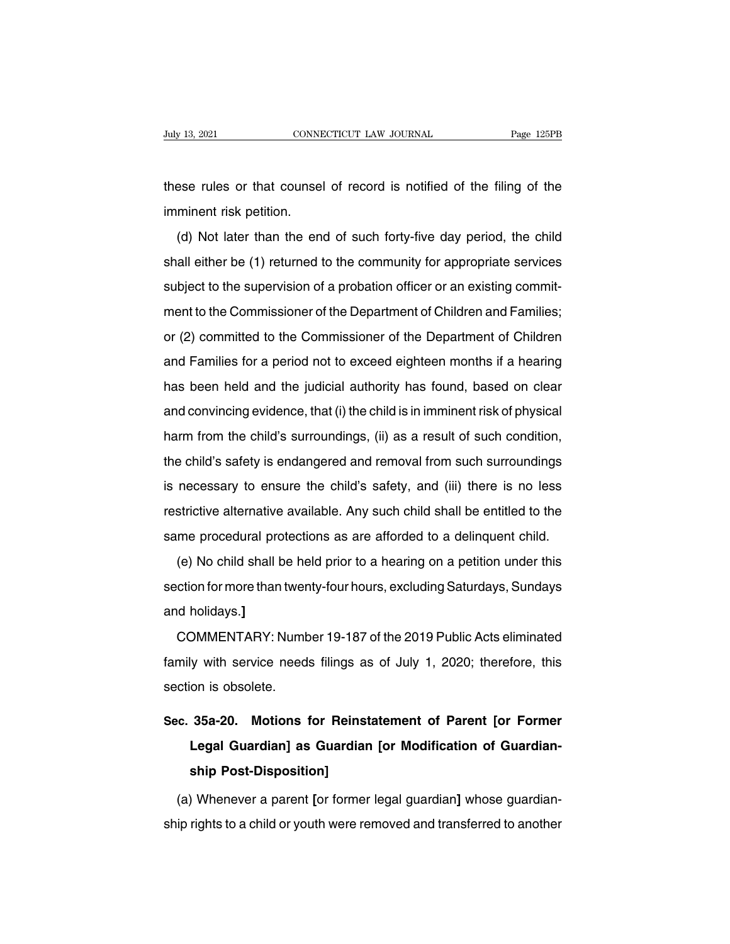These rules or that counsel of record is notified of the filing of the imminent risk petition. July 13, 2021 CONNE<br>these rules or that counsel<br>imminent risk petition.<br>(d) Not later than the en

(d) Not later than the end of such forty-five day period, the child<br>all either be (1) returned to the community for appropriate services these rules or that counsel of record is notified of the filing of the<br>imminent risk petition.<br>(d) Not later than the end of such forty-five day period, the child<br>shall either be (1) returned to the community for appropria these rules or that counsel of record is notified of the filing of the<br>imminent risk petition.<br>(d) Not later than the end of such forty-five day period, the child<br>shall either be (1) returned to the community for appropria (d) Not later than the end of such forty-five day period, the child<br>shall either be (1) returned to the community for appropriate services<br>subject to the supervision of a probation officer or an existing commit-<br>ment to th (a) foot later than the ond of eddenticity live day period, the officer<br>subject to the supervision of a probation officer or an existing commit-<br>ment to the Commissioner of the Department of Children and Families;<br>or (2) c subject to the supervision of a probation officer or an existing commit-<br>ment to the Commissioner of the Department of Children and Families;<br>or (2) committed to the Commissioner of the Department of Children<br>and Families ment to the Commissioner of the Department of Children and Families;<br>or (2) committed to the Commissioner of the Department of Children<br>and Families for a period not to exceed eighteen months if a hearing<br>has been held and and Families for a period not to exceed eighteen months if a hearing<br>and Families for a period not to exceed eighteen months if a hearing<br>has been held and the judicial authority has found, based on clear<br>and convincing ev and Families for a period not to exceed eighteen months if a hearing<br>has been held and the judicial authority has found, based on clear<br>and convincing evidence, that (i) the child is in imminent risk of physical<br>harm from the child's safety is endangered and removal from such a heating<br>thas been held and the judicial authority has found, based on clear<br>and convincing evidence, that (i) the child is in imminent risk of physical<br>harm from the ind the gradient during intervalses in the and convincing evidence, that (i) the child is in imminent risk of physical<br>harm from the child's surroundings, (ii) as a result of such condition,<br>the child's safety is endangere restrictive alternative available. Any such child shall be entitled to the child's safety is endangered and removal from such surroundings<br>is necessary to ensure the child's safety, and (iii) there is no less<br>restrictive a same procedural protections as are afforded to a delinquent child.<br>The child's safety is endangered and removal from such surroundings<br>is necessary to ensure the child's safety, and (iii) there is no less<br>restrictive alter necessary to ensure the child's safety, and (iii) there is no less<br>strictive alternative available. Any such child shall be entitled to the<br>me procedural protections as are afforded to a delinquent child.<br>(e) No child shal

section for more than twenty-four hours, excluding Saturdays, Sundays and holidays.] same procedural pro<br>
(e) No child shall b<br>
section for more than<br>
and holidays.**]**<br>
COMMENTARY: N (e) No child shall be held prior to a hearing on a petition under this<br>ction for more than twenty-four hours, excluding Saturdays, Sundays<br>d holidays.]<br>COMMENTARY: Number 19-187 of the 2019 Public Acts eliminated<br>mily with

family with service needs filings as of July 1, 2020; therefore, this section is obsolete. and holidays.]<br>COMMENTARY: Numb<br>family with service need<br>section is obsolete. COMMENTARY: Number 19-187 of the 2019 Public Acts eliminated<br>family with service needs filings as of July 1, 2020; therefore, this<br>section is obsolete.<br>**Sec. 35a-20. Motions for Reinstatement of Parent [or Former**<br>**Legal G** 

## Iy with service needs filings as of July 1, 2020; therefore, this<br>
on is obsolete.<br> **35a-20. Motions for Reinstatement of Parent [or Former<br>
Legal Guardian] as Guardian [or Modification of Guardian-<br>
ship Post-Disposition]** on is obsolete.<br>**35a-20. Motions for Reins<br>Legal Guardian] as Guardian<br><b>ship Post-Disposition]**<br>) Whenever a parent [or former (a) 85a-20. Motions for Reinstatement of Parent [or Former<br>Legal Guardian] as Guardian [or Modification of Guardian-<br>ship Post-Disposition]<br>(a) Whenever a parent [or former legal guardian] whose guardian-<br>ip rights to a ch Legal Guardian] as Guardian [or Modification of Guardian-<br>ship Post-Disposition]<br>(a) Whenever a parent [or former legal guardian] whose guardian-<br>ship rights to a child or youth were removed and transferred to another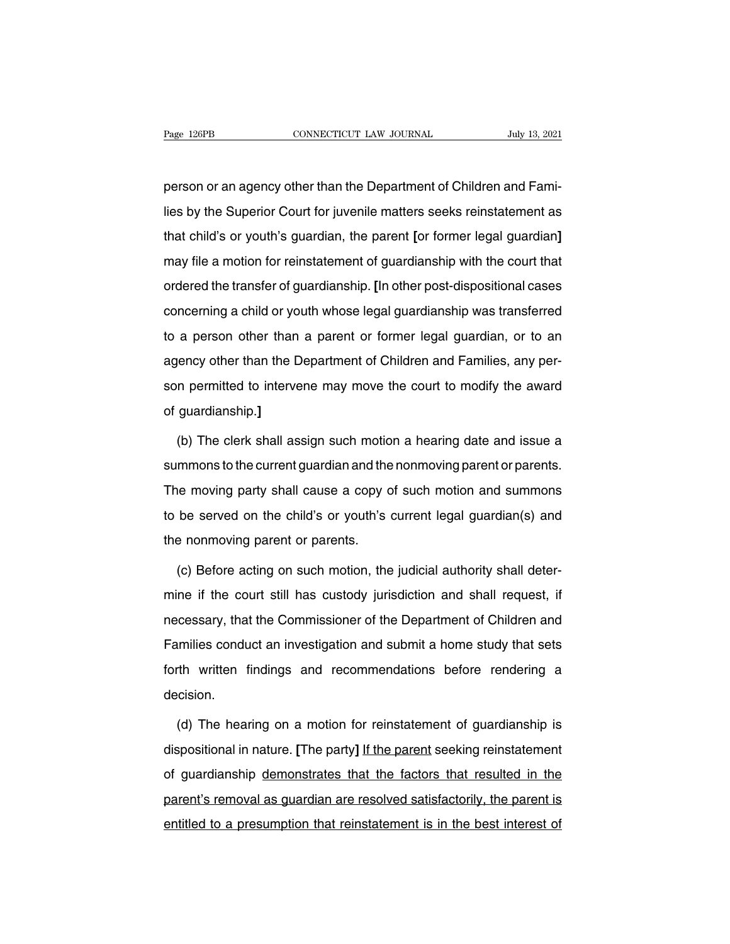Page 126PB<br>
person or an agency other than the Department of Children and Fami-<br>
lies by the Superior Court for juvenile matters seeks reinstatement as Page 126PB CONNECTICUT LAW JOURNAL July 13, 2021<br>person or an agency other than the Department of Children and Fami-<br>lies by the Superior Court for juvenile matters seeks reinstatement as<br>that child's or youth's guardian, person or an agency other than the Department of Children and Families by the Superior Court for juvenile matters seeks reinstatement as<br>that child's or youth's guardian, the parent [or former legal guardian]<br>may file a mo person or an agency other than the Department of Children and Fami-<br>lies by the Superior Court for juvenile matters seeks reinstatement as<br>that child's or youth's guardian, the parent [or former legal guardian]<br>may file a porcert of an agency officient and the bepartment of official cases<br>lies by the Superior Court for juvenile matters seeks reinstatement as<br>that child's or youth's guardian, the parent [or former legal guardian]<br>may file a that child's or youth's guardian, the parent [or former legal guardian]<br>may file a motion for reinstatement of guardianship with the court that<br>ordered the transfer of guardianship. [In other post-dispositional cases<br>conce that shild o'll youth's guardian, the parent [or former legal guardian]<br>may file a motion for reinstatement of guardianship with the court that<br>ordered the transfer of guardianship. [In other post-dispositional cases<br>conce and ordered the transfer of guardianship. [In other post-dispositional cases concerning a child or youth whose legal guardianship was transferred to a person other than a parent or former legal guardian, or to an agency ot solation are intributed to intervent may move the court in the award of guardianship was transferred<br>to a person other than a parent or former legal guardian, or to an<br>agency other than the Department of Children and Famil to a person other than<br>agency other than the D<br>son permitted to interve<br>of guardianship.]<br>(b) The clerk shall as (ency other than the Department of Children and Families, any per-<br>n permitted to intervene may move the court to modify the award<br>guardianship.]<br>(b) The clerk shall assign such motion a hearing date and issue a<br>mmons to t

son permitted to intervene may move the court to modify the award<br>of guardianship.]<br>(b) The clerk shall assign such motion a hearing date and issue a<br>summons to the current guardian and the nonmoving parent or parents.<br>The of guardianship.]<br>
(b) The clerk shall assign such motion a hearing date and issue a<br>
summons to the current guardian and the nonmoving parent or parents.<br>
The moving party shall cause a copy of such motion and summons<br>
to (b) The clerk shall assign such motion a hearing date and issue a<br>summons to the current guardian and the nonmoving parent or parents.<br>The moving party shall cause a copy of such motion and summons<br>to be served on the chil (b) The block shall dooly) book moles<br>summons to the current guardian and the<br>The moving party shall cause a copy of<br>to be served on the child's or youth's<br>the nonmoving parent or parents.<br>(c) Before acting on such motion, The moving party shall cause a copy of such motion and summons<br>to be served on the child's or youth's current legal guardian(s) and<br>the nonmoving parent or parents.<br>(c) Before acting on such motion, the judicial authority

to be served on the child's or youth's current legal guardian(s) and<br>the nonmoving parent or parents.<br>(c) Before acting on such motion, the judicial authority shall deter-<br>mine if the court still has custody jurisdiction a the nonmoving parent or parents.<br>
(c) Before acting on such motion, the judicial authority shall deter-<br>
mine if the court still has custody jurisdiction and shall request, if<br>
necessary, that the Commissioner of the Depar (c) Before acting on such motion, the judicial authority shall deter-<br>mine if the court still has custody jurisdiction and shall request, if<br>necessary, that the Commissioner of the Department of Children and<br>Families condu (b) Botore dollary off doctrinioner, the judicial dutionity often dote.<br>
mine if the court still has custody jurisdiction and shall request, if<br>
necessary, that the Commissioner of the Department of Children and<br>
Families decision. milies conduct an investigation and submit a home study that sets<br>
(th written findings and recommendations before rendering a<br>
ccision.<br>
(d) The hearing on a motion for reinstatement of guardianship is<br>
spositional in nat

forth written findings and recommendations before rendering a decision.<br>
(d) The hearing on a motion for reinstatement of guardianship is<br>
dispositional in nature. [The party] <u>If the parent</u> seeking reinstatement<br>
of guar decision.<br>
(d) The hearing on a motion for reinstatement of guardianship is<br>
dispositional in nature. [The party] <u>If the parent</u> seeking reinstatement<br>
of guardianship demonstrates that the factors that resulted in the<br>
p (d) The hearing on a motion for reinstatement of guardianship is<br>dispositional in nature. [The party] If the parent seeking reinstatement<br>of guardianship demonstrates that the factors that resulted in the<br>parent's removal dispositional in nature. [The party] If the parent seeking reinstatement<br>of guardianship demonstrates that the factors that resulted in the<br>parent's removal as guardian are resolved satisfactorily, the parent is<br>entitled t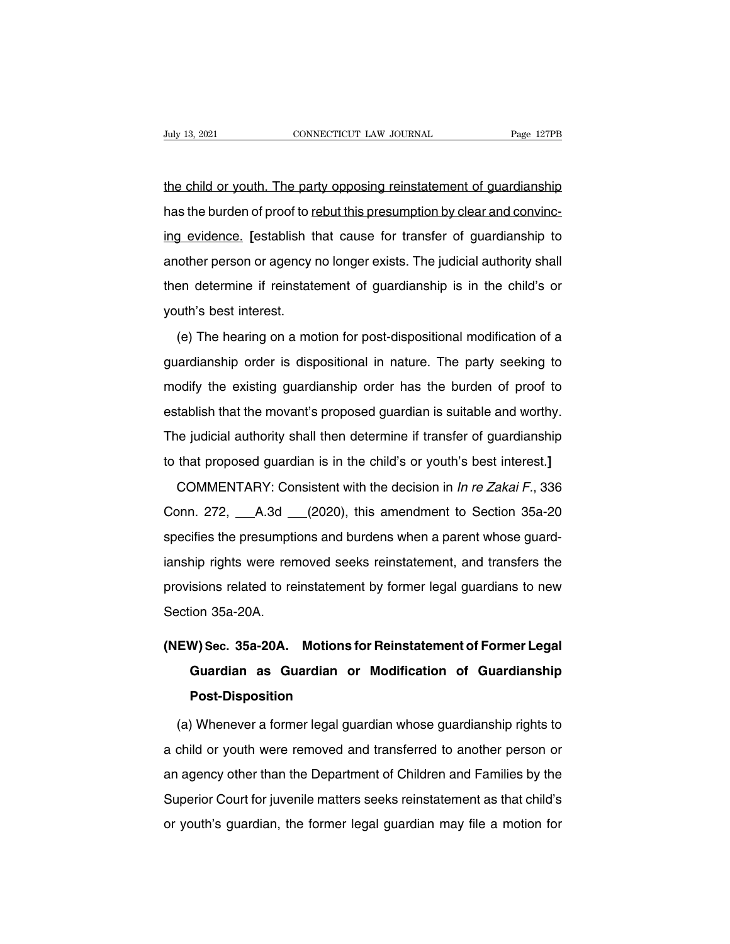Tuly 13, 2021<br>the child or youth. The party opposing reinstatement of guardianship<br>has the burden of proof to <u>rebut this presumption by clear and convinc-</u> July 13, 2021 CONNECTICUT LAW JOURNAL Page 127PB<br>the child or youth. The party opposing reinstatement of guardianship<br>has the burden of proof to <u>rebut this presumption by clear and convinc-</u><br>ing evidence. [establish that the child or youth. The party opposing reinstatement of guardianship<br>has the burden of proof to <u>rebut this presumption by clear and convinc-</u><br>ing evidence. [establish that cause for transfer of guardianship to<br>another per the child or youth. The party opposing reinstatement of guardianship<br>has the burden of proof to <u>rebut this presumption by clear and convinc-</u><br>ing evidence. [establish that cause for transfer of guardianship to<br>another per the different of proof to rebut this presumption by clear and convinc-<br>ing evidence. [establish that cause for transfer of guardianship to<br>another person or agency no longer exists. The judicial authority shall<br>then determ ing evidence. [establish tlanother person or agency r<br>then determine if reinstate<br>youth's best interest.<br>(e) The hearing on a mo (between the budded of the hearing on the problem preson or agency no longer exists. The judicial authority shall<br>en determine if reinstatement of guardianship is in the child's or<br>uth's best interest.<br>(e) The hearing on a

guidation porcent of agency its length childs. The jadioan datability shall then determine if reinstatement of guardianship is in the child's or youth's best interest.<br>
(e) The hearing on a motion for post-dispositional mo montalism and the existing and a motion for post-dispositional modification of a<br>guardianship order is dispositional in nature. The party seeking to<br>modify the existing guardianship order has the burden of proof to<br>establi (e) The hearing on a motion for post-dispositional modification of a guardianship order is dispositional in nature. The party seeking to modify the existing guardianship order has the burden of proof to establish that the guardianship order is dispositional in nature. The party seeking to<br>modify the existing guardianship order has the burden of proof to<br>establish that the movant's proposed guardian is suitable and worthy.<br>The judicial autho modify the existing guardianship order has the burden of proof to establish that the movant's proposed guardian is suitable and worthy.<br>The judicial authority shall then determine if transfer of guardianship to that propos tablish that the movant's proposed guardian is suitable and worthy.<br>
He judicial authority shall then determine if transfer of guardianship<br>
that proposed guardian is in the child's or youth's best interest.]<br>
COMMENTARY:

The judicial authority shall then determine if transfer of guardianship<br>to that proposed guardian is in the child's or youth's best interest.]<br>COMMENTARY: Consistent with the decision in  $In re Zakai F., 336$ <br>Conn. 272, \_\_\_A.3d \_ The judicial authority shall then determine if transfer of guardianship<br>to that proposed guardian is in the child's or youth's best interest.]<br>COMMENTARY: Consistent with the decision in *In re Zakai F.*, 336<br>Conn. 272, \_\_ commentative in the similar or youth seek interest.]<br>COMMENTARY: Consistent with the decision in In re Zakai F., 336<br>Conn. 272, A.3d (2020), this amendment to Section 35a-20<br>specifies the presumptions and burdens when a pa Commertivity: Consistent with the decision in *intro-Zakarth*; 300<br>Conn. 272, \_\_\_A.3d \_\_\_(2020), this amendment to Section 35a-20<br>specifies the presumptions and burdens when a parent whose guard-<br>ianship rights were remove Section 272, 2004 2<br>specifies the presumption<br>provisions related to re<br>Section 35a-20A. Example 1 ianship rights were removed seeks reinstatement, and transfers the<br>provisions related to reinstatement by former legal guardians to new<br>Section 35a-20A.<br>**(NEW) Sec. 35a-20A.** Motions for Reinstatement of Former L

## isions related to reinstatement by former legal guardians to new<br>ion 35a-20A.<br>W) Sec. 35a-20A. Motions for Reinstatement of Former Legal<br>Guardian as Guardian or Modification of Guardianship<br>Post-Disposition **Post-Disposition** EW) Sec. 35a-20A. Motions for Reinstatement of Former Legal<br>Guardian as Guardian or Modification of Guardianship<br>Post-Disposition<br>(a) Whenever a former legal guardian whose guardianship rights to<br>child or youth were remove

Guardian as Guardian or Modification of Guardianship<br>Post-Disposition<br>(a) Whenever a former legal guardian whose guardianship rights to<br>a child or youth were removed and transferred to another person or<br>an agency other tha Post-Disposition<br>
(a) Whenever a former legal guardian whose guardianship rights to<br>
a child or youth were removed and transferred to another person or<br>
an agency other than the Department of Children and Families by the<br> (a) Whenever a former legal guardian whose guardianship rights to<br>a child or youth were removed and transferred to another person or<br>an agency other than the Department of Children and Families by the<br>Superior Court for ju a child or youth were removed and transferred to another person or<br>an agency other than the Department of Children and Families by the<br>Superior Court for juvenile matters seeks reinstatement as that child's<br>or youth's guar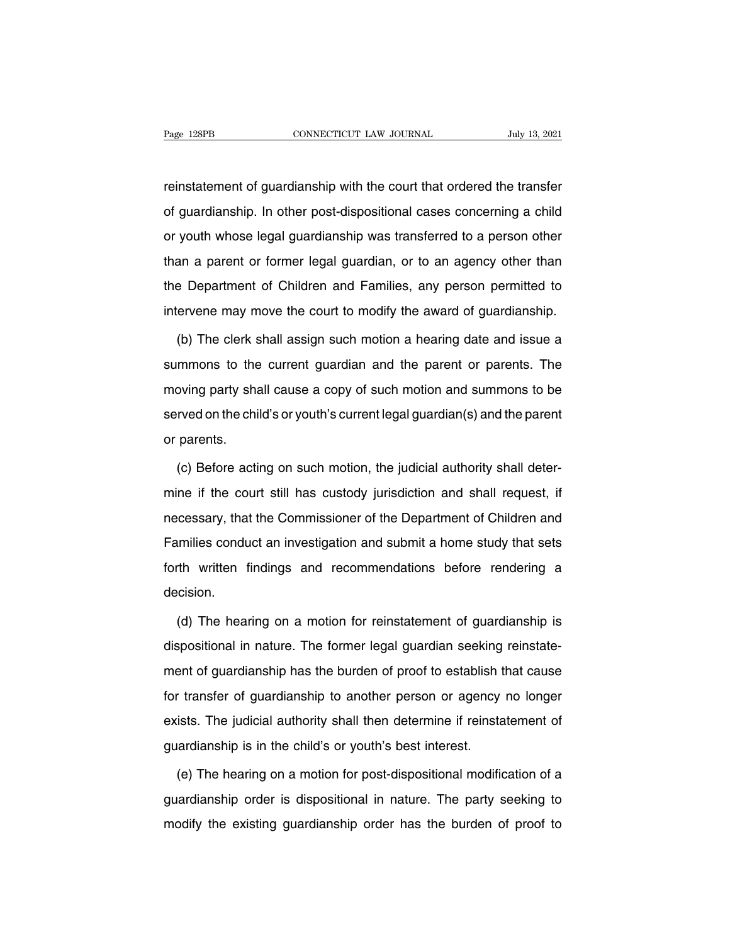Page 128PB<br>
connectricut LAW JOURNAL July 13, 2021<br>
reinstatement of guardianship with the court that ordered the transfer<br>
of guardianship. In other post-dispositional cases concerning a child Page 128PB CONNECTICUT LAW JOURNAL July 13, 2021<br>
reinstatement of guardianship with the court that ordered the transfer<br>
of guardianship. In other post-dispositional cases concerning a child<br>
or youth whose legal guardian reinstatement of guardianship with the court that ordered the transfer<br>of guardianship. In other post-dispositional cases concerning a child<br>or youth whose legal guardianship was transferred to a person other<br>than a parent reinstatement of guardianship with the court that ordered the transfer<br>of guardianship. In other post-dispositional cases concerning a child<br>or youth whose legal guardianship was transferred to a person other<br>than a parent of guardianship. In other post-dispositional cases concerning a child<br>or youth whose legal guardianship was transferred to a person other<br>than a parent or former legal guardian, or to an agency other than<br>the Department of or youth whose legal guardianship was transferred to a person other<br>than a parent or former legal guardian, or to an agency other than<br>the Department of Children and Families, any person permitted to<br>intervene may move the (b) The clerk shall assign such motion a hearing date and issue a moons to the current guardian and the parent or parents. The moons to the current guardian and the parent or parents. The

the Department of Children and Families, any person permitted to<br>intervene may move the court to modify the award of guardianship.<br>(b) The clerk shall assign such motion a hearing date and issue a<br>summons to the current gu intervene may move the court to modify the award of guardianship.<br>
(b) The clerk shall assign such motion a hearing date and issue a<br>
summons to the current guardian and the parent or parents. The<br>
moving party shall cause (b) The clerk shall assign such motion a hearing date and issue a summons to the current guardian and the parent or parents. The moving party shall cause a copy of such motion and summons to be served on the child's or you summons to the<br>summons to the<br>served on the chi<br>or parents.<br>(c) Before acti before party shall cause a copy of such motion and summons to be<br>troed on the child's or youth's current legal guardian(s) and the parent<br>parents.<br>(c) Before acting on such motion, the judicial authority shall deter-<br>ne if

served on the child's or youth's current legal guardian(s) and the parent<br>or parents.<br>(c) Before acting on such motion, the judicial authority shall deter-<br>mine if the court still has custody jurisdiction and shall request or parents.<br>
(c) Before acting on such motion, the judicial authority shall deter-<br>
mine if the court still has custody jurisdiction and shall request, if<br>
necessary, that the Commissioner of the Department of Children and (c) Before acting on such motion, the judicial authority shall deter-<br>mine if the court still has custody jurisdiction and shall request, if<br>necessary, that the Commissioner of the Department of Children and<br>Families condu (b) Botore dollary off doesn motion, the judicial dutionty often doesn<br>mine if the court still has custody jurisdiction and shall request, if<br>necessary, that the Commissioner of the Department of Children and<br>Families cond decision. (millies conduct an investigation and submit a home study that sets<br>
(d) The hearing on a motion for reinstatement of guardianship is<br>
spositional in nature. The former legal guardian seeking reinstate-

forth written findings and recommendations before rendering a decision.<br>
(d) The hearing on a motion for reinstatement of guardianship is<br>
dispositional in nature. The former legal guardian seeking reinstate-<br>
ment of guar decision.<br>
(d) The hearing on a motion for reinstatement of guardianship is<br>
dispositional in nature. The former legal guardian seeking reinstate-<br>
ment of guardianship has the burden of proof to establish that cause<br>
for (d) The hearing on a motion for reinstatement of guardianship is<br>dispositional in nature. The former legal guardian seeking reinstate-<br>ment of guardianship has the burden of proof to establish that cause<br>for transfer of gu dispositional in nature. The former legal guardian seeking reinstate-<br>ment of guardianship has the burden of proof to establish that cause<br>for transfer of guardianship to another person or agency no longer<br>exists. The judi dispositional in nature. The former legal guardian seeking reinstatement of guardianship has the burden of proof to establish that cause<br>for transfer of guardianship to another person or agency no longer<br>exists. The judici The framation of guardianship to another person or agency no longer<br>ists. The judicial authority shall then determine if reinstatement of<br>ardianship is in the child's or youth's best interest.<br>(e) The hearing on a motion f

exists. The judicial authority shall then determine if reinstatement of<br>guardianship is in the child's or youth's best interest.<br>(e) The hearing on a motion for post-dispositional modification of a<br>guardianship order is di guardianship is in the child's or youth's best interest.<br>
(e) The hearing on a motion for post-dispositional modification of a<br>
guardianship order is dispositional in nature. The party seeking to<br>
modify the existing guard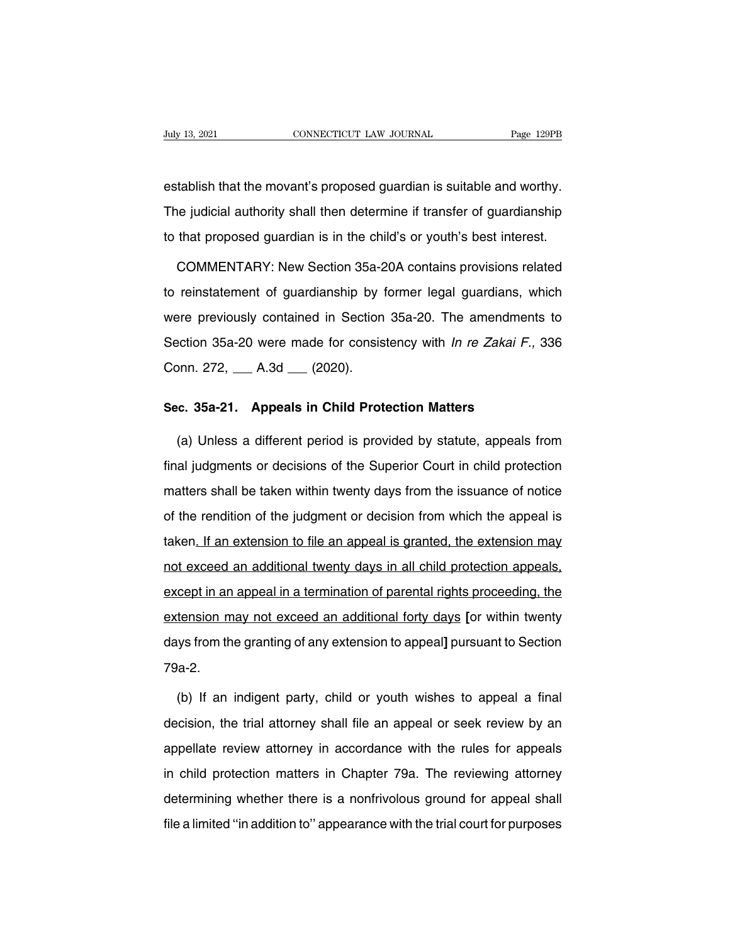Fuly 13, 2021<br>
Establish that the movant's proposed guardian is suitable and worthy.<br>
The judicial authority shall then determine if transfer of guardianship The judicial authority shall then determine if transfer of guardianship<br>to that proposed guardian is suitable and worthy.<br>The judicial authority shall then determine if transfer of guardianship<br>to that proposed guardian is establish that the movant's proposed guardian is suitable and worthy.<br>The judicial authority shall then determine if transfer of guardianship<br>to that proposed guardian is in the child's or youth's best interest.<br>COMMENTARY tablish that the movant's proposed guardian is suitable and worthy.<br>
He judicial authority shall then determine if transfer of guardianship<br>
that proposed guardian is in the child's or youth's best interest.<br>
COMMENTARY: N

The judicial authority shall then determine if transfer of guardianship<br>to that proposed guardian is in the child's or youth's best interest.<br>COMMENTARY: New Section 35a-20A contains provisions related<br>to reinstatement of to that proposed guardian is in the child's or youth's best interest.<br>COMMENTARY: New Section 35a-20A contains provisions related<br>to reinstatement of guardianship by former legal guardians, which<br>were previously contained COMMENTARY: New Section 35a-20A contains provisions related<br>to reinstatement of guardianship by former legal guardians, which<br>were previously contained in Section 35a-20. The amendments to<br>Section 35a-20 were made for cons Comment of guardianship by the reinstatement of guardianship by the previously contained in Section<br>Section 35a-20 were made for consis<br>Conn. 272, A.3d (2020). were previously contained in Section 35a-20. The amendments<br>
Section 35a-20 were made for consistency with *ln re Zakai F.,*<br>
Conn. 272, \_\_\_ A.3d \_\_\_ (2020).<br> **Sec. 35a-21. Appeals in Child Protection Matters**<br>
(a) Upless

onn. 272, \_\_\_ A.3d \_\_\_ (2020).<br>
C. 35a-21. Appeals in Child Protection Matters<br>
(a) Unless a different period is provided by statute, appeals from<br>
al judgments or decisions of the Superior Court in child protection Sec. 35a-21. Appeals in Child Protection Matters<br>
(a) Unless a different period is provided by statute, appeals from<br>
final judgments or decisions of the Superior Court in child protection<br>
matters shall be taken within tw Sec. 35a-21. Appeals in Child Protection Matters<br>
(a) Unless a different period is provided by statute, appeals from<br>
final judgments or decisions of the Superior Court in child protection<br>
matters shall be taken within tw (a) Unless a different period is provided by statute, appeals from<br>final judgments or decisions of the Superior Court in child protection<br>matters shall be taken within twenty days from the issuance of notice<br>of the renditi final judgments or decisions of the Superior Court in child protection<br>matters shall be taken within twenty days from the issuance of notice<br>of the rendition of the judgment or decision from which the appeal is<br>taken. If a mation gagnome of accessing of the cappener coalt in shina pretection.<br>
matters shall be taken within twenty days from the issuance of notice<br>
of the rendition of the judgment or decision from which the appeal is<br>
taken. I except in an appeal in a termination of parental rights proceeding is taken. If an extension to file an appeal is granted, the extension may not exceed an additional twenty days in all child protection appeals, except in a rand fortuit of the yeegment of accession many interface appeal is<br>taken<u>. If an extension to file an appeal is granted, the extension may<br>not exceed an additional twenty days in all child protection appeals,<br>except in an </u> not exceed an additional twenty days in all child protection appeals, except in an appeal in a termination of parental rights proceeding, the extension may not exceed an additional forty days [or within twenty days from th 79a-2. tension may not exceed an additional forty days [or within twenty<br>ys from the granting of any extension to appeal] pursuant to Section<br>a-2.<br>(b) If an indigent party, child or youth wishes to appeal a final<br>icision, the tri

days from the granting of any extension to appeal] pursuant to Section<br>79a-2.<br>(b) If an indigent party, child or youth wishes to appeal a final<br>decision, the trial attorney shall file an appeal or seek review by an<br>appella Text 79a-2.<br>
(b) If an indigent party, child or youth wishes to appeal a final<br>
decision, the trial attorney shall file an appeal or seek review by an<br>
appellate review attorney in accordance with the rules for appeals<br>
in (b) If an indigent party, child or youth wishes to appeal a final<br>decision, the trial attorney shall file an appeal or seek review by an<br>appellate review attorney in accordance with the rules for appeals<br>in child protectio decision, the trial attorney shall file an appeal or seek review by an appellate review attorney in accordance with the rules for appeals in child protection matters in Chapter 79a. The reviewing attorney determining whet appellate review attorney in accordance with the rules for appeals<br>in child protection matters in Chapter 79a. The reviewing attorney<br>determining whether there is a nonfrivolous ground for appeal shall<br>file a limited "in a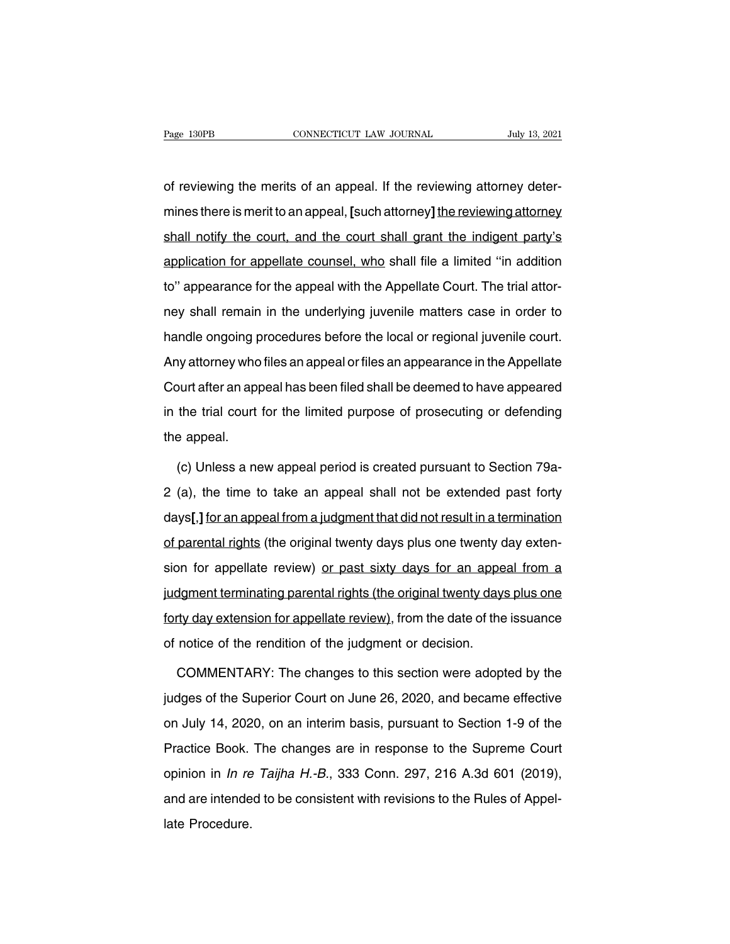Page 130PB<br>CONNECTICUT LAW JOURNAL July 13, 2021<br>of reviewing the merits of an appeal. If the reviewing attorney deter-<br>mines there is merit to an appeal, [such attorney] <u>the reviewing attorney</u> make 130PB<br>
mines there is merits of an appeal. If the reviewing attorney deter-<br>
mines there is merit to an appeal, [such attorney] <u>the reviewing attorney</u><br>
shall notify the court, and the court shall grant the indigent of reviewing the merits of an appeal. If the reviewing attorney deter-<br>mines there is merit to an appeal, [such attorney] the reviewing attorney<br>shall notify the court, and the court shall grant the indigent party's<br>applic of reviewing the merits of an appeal. If the reviewing attorney deter-<br>mines there is merit to an appeal, [such attorney] the reviewing attorney<br>shall notify the court, and the court shall grant the indigent party's<br>applic of reviewing the merits of an appeal. If the reviewing attorney deter-<br>mines there is merit to an appeal, [such attorney] the reviewing attorney<br>shall notify the court, and the court shall grant the indigent party's<br>applic shall notify the court, and the court shall grant the indigent party's<br>application for appellate counsel, who shall file a limited "in addition<br>to" appearance for the appeal with the Appellate Court. The trial attor-<br>ney s application for appellate counsel, who shall file a limited "in addition<br>to" appearance for the appeal with the Appellate Court. The trial attor-<br>ney shall remain in the underlying juvenile matters case in order to<br>handle Any appearance for the appeal with the Appellate Court. The trial attor-<br>hey shall remain in the underlying juvenile matters case in order to<br>handle ongoing procedures before the local or regional juvenile court.<br>Any attor Evaluation of the underlying juvenile matters case in order to<br>handle ongoing procedures before the local or regional juvenile court.<br>Any attorney who files an appeal or files an appearance in the Appellate<br>Court after an in the trial court in the distortion of the local or regional juvenile court.<br>Any attorney who files an appeal or files an appearance in the Appellate<br>Court after an appeal has been filed shall be deemed to have appeared<br>i Any attorney who<br>Court after an app<br>in the trial court<br>the appeal.<br>(c) Unless a ne ourt after an appeal has been filed shall be deemed to have appeared<br>the trial court for the limited purpose of prosecuting or defending<br>a appeal.<br>(c) Unless a new appeal period is created pursuant to Section 79a-<br>(a), the

in the trial court for the limited purpose of prosecuting or defending<br>the appeal.<br>(c) Unless a new appeal period is created pursuant to Section 79a-<br>2 (a), the time to take an appeal shall not be extended past forty<br>days[ the appeal.<br>
(c) Unless a new appeal period is created pursuant to Section 79a-<br>
2 (a), the time to take an appeal shall not be extended past forty<br>
days[,] for an appeal from a judgment that did not result in a terminatio (c) Unless a new appeal period is created pursuant to Section 79a-2 (a), the time to take an appeal shall not be extended past forty days[,] for an appeal from a judgment that did not result in a termination of parental ri 2 (a), the time to take an appeal shall not be extended past forty<br>days[,] for an appeal from a judgment that did not result in a termination<br>of parental rights (the original twenty days plus one twenty day exten-<br>sion for days[,] for an appeal from a judgment that did not result in a termination<br>of parental rights (the original twenty days plus one twenty day exten-<br>sion for appellate review) or past sixty days for an appeal from a<br>judgmen of parental rights (the original twenty days plus one twenty day extension for appellate review) or past sixty days for an appeal from a judgment terminating parental rights (the original twenty days plus one forty day ext of paramal rights (the engine menty days for an apperion for appellate review) or past sixty days for an apperiudgment terminating parental rights (the original twenty days forty day extension for appellate review), from t dgment terminating parental rights (the original twenty days plus one<br>ty day extension for appellate review), from the date of the issuance<br>notice of the rendition of the judgment or decision.<br>COMMENTARY: The changes to th

forty day extension for appellate review), from the date of the issuance<br>of notice of the rendition of the judgment or decision.<br>COMMENTARY: The changes to this section were adopted by the<br>judges of the Superior Court on J of notice of the rendition of the judgment or decision.<br>COMMENTARY: The changes to this section were adopted by the<br>judges of the Superior Court on June 26, 2020, and became effective<br>on July 14, 2020, on an interim basis, COMMENTARY: The changes to this section were adopted by the<br>judges of the Superior Court on June 26, 2020, and became effective<br>on July 14, 2020, on an interim basis, pursuant to Section 1-9 of the<br>Practice Book. The chang judges of the Superior Court on June 26, 2020, and became effective<br>on July 14, 2020, on an interim basis, pursuant to Section 1-9 of the<br>Practice Book. The changes are in response to the Supreme Court<br>opinion in *In re Ta* and are intended to be consistent with revisions to the Rules of Appel-<br>and are intended to be consistent with revisions to the Supreme Court<br>applicion in *In re Taijha H.-B.*, 333 Conn. 297, 216 A.3d 601 (2019),<br>and are i Practice Book.<br>
opinion in *In re*<br>
and are intende<br>
late Procedure.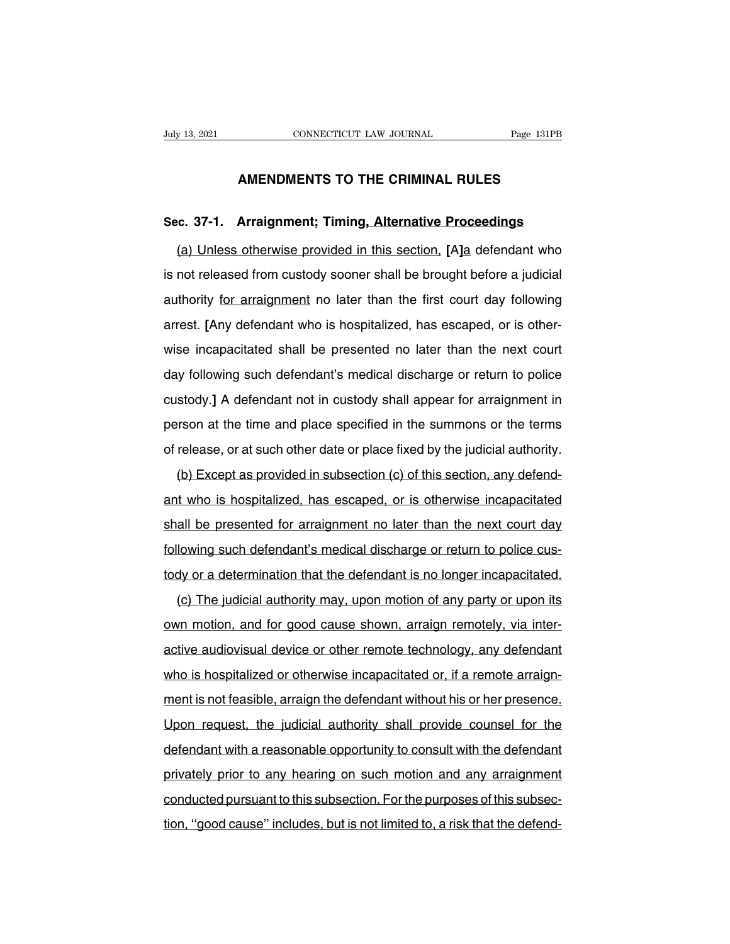# **CONNECTICUT LAW JOURNAL** Page 131PB<br> **AMENDMENTS TO THE CRIMINAL RULES**

**Suly 13, 2021** CONNECTICUT LAW JOURNAL Page 131PB<br> **AMENDMENTS TO THE CRIMINAL RULES**<br> **Sec. 37-1. Arraignment; Timing, Alternative Proceedings**<br>
(a) Unless otherwise provided in this section, [A]a defendant who AMENDMENTS TO THE CRIMINAL RULES<br>
(a) Unless otherwise provided in this section, [A]a defendant who<br>
(a) Unless otherwise provided in this section, [A]a defendant who<br>
not released from custody sooner shall be brought befo AMENDMENTS TO THE CRIMINAL RULES<br>Sec. 37-1. Arraignment; Timing, Alternative Proceedings<br>(a) Unless otherwise provided in this section, [A]a defendant who<br>is not released from custody sooner shall be brought before a judic Sec. 37-1. Arraignment; Timing<u>, Alternative Proceedings</u><br>(a) Unless otherwise provided in this section. [A]a defendant who<br>is not released from custody sooner shall be brought before a judicial<br>authority for arraignment n (a) Unless otherwise provided in this section, [A]a defendant who<br>is not released from custody sooner shall be brought before a judicial<br>authority <u>for arraignment</u> no later than the first court day following<br>arrest. [Any is not released from custody sooner shall be brought before a judicial<br>authority <u>for arraignment</u> no later than the first court day following<br>arrest. [Any defendant who is hospitalized, has escaped, or is other-<br>wise inca authority for arraignment no later than the first court day following<br>arrest. [Any defendant who is hospitalized, has escaped, or is other-<br>wise incapacitated shall be presented no later than the next court<br>day following s arrest. [Any defendant who is hospitalized, has escaped, or is other-<br>wise incapacitated shall be presented no later than the next court<br>day following such defendant's medical discharge or return to police<br>custody.] A defe wise incapacitated shall be presented no later than the next court<br>day following such defendant's medical discharge or return to police<br>custody.] A defendant not in custody shall appear for arraignment in<br>person at the tim day following such defendant's medical discharge or return to police<br>custody.] A defendant not in custody shall appear for arraignment in<br>person at the time and place specified in the summons or the terms<br>of release, or at stody.] A defendant not in custody shall appear for arraignment in<br>stody.] A defendant not in custody shall appear for arraignment in<br>rson at the time and place specified in the summons or the terms<br>release, or at such oth

person at the time and place specified in the summons or the terms<br>of release, or at such other date or place fixed by the judicial authority.<br>(b) Except as provided in subsection (c) of this section, any defend-<br>ant who i of release, or at such other date or place fixed by the judicial authority.<br>(b) Except as provided in subsection (c) of this section, any defend-<br>ant who is hospitalized, has escaped, or is otherwise incapacitated<br>shall be following such defendant in subsection (c) of this section, any defend-<br>ant who is hospitalized, has escaped, or is otherwise incapacitated<br>shall be presented for arraignment no later than the next court day<br>following such ant who is hospitalized, has escaped, or is otherwise incapacitated<br>shall be presented for arraignment no later than the next court day<br>following such defendant's medical discharge or return to police cus-<br>tody or a determ all be presented for arraignment no later than the next court day<br>lowing such defendant's medical discharge or return to police cus-<br>dy or a determination that the defendant is no longer incapacitated.<br>(c) The judicial aut

following such defendant's medical discharge or return to police cus-<br>tody or a determination that the defendant is no longer incapacitated.<br>(c) The judicial authority may, upon motion of any party or upon its<br>own motion, tody or a determination that the defendant is no longer incapacitated.<br>
(c) The judicial authority may, upon motion of any party or upon its<br>
own motion, and for good cause shown, arraign remotely, via inter-<br>
active audio (c) The judicial authority may, upon motion of any party or upon its<br>own motion, and for good cause shown, arraign remotely, via inter-<br>active audiovisual device or other remote technology, any defendant<br>who is hospitalize own motion, and for good cause shown, arraign remotely, via inter-<br>active audiovisual device or other remote technology, any defendant<br>who is hospitalized or otherwise incapacitated or, if a remote arraign-<br>ment is not fea active audiovisual device or other remote technology, any defendant<br>who is hospitalized or otherwise incapacitated or, if a remote arraign-<br>ment is not feasible, arraign the defendant without his or her presence.<br>Upon requ who is hospitalized or otherwise incapacitated or, if a remote arraign-<br>ment is not feasible, arraign the defendant without his or her presence.<br>Upon request, the judicial authority shall provide counsel for the<br>defendant ment is not feasible, arraign the defendant without his or her presence.<br>Upon request, the judicial authority shall provide counsel for the<br>defendant with a reasonable opportunity to consult with the defendant<br>privately pr conduct to the judicial authority shall provide counsel for the defendant with a reasonable opportunity to consult with the defendant privately prior to any hearing on such motion and any arraignment conducted pursuant to defendant with a reasonable opportunity to consult with the defendant<br>privately prior to any hearing on such motion and any arraignment<br>conducted pursuant to this subsection. For the purposes of this subsec-<br>tion, "good ca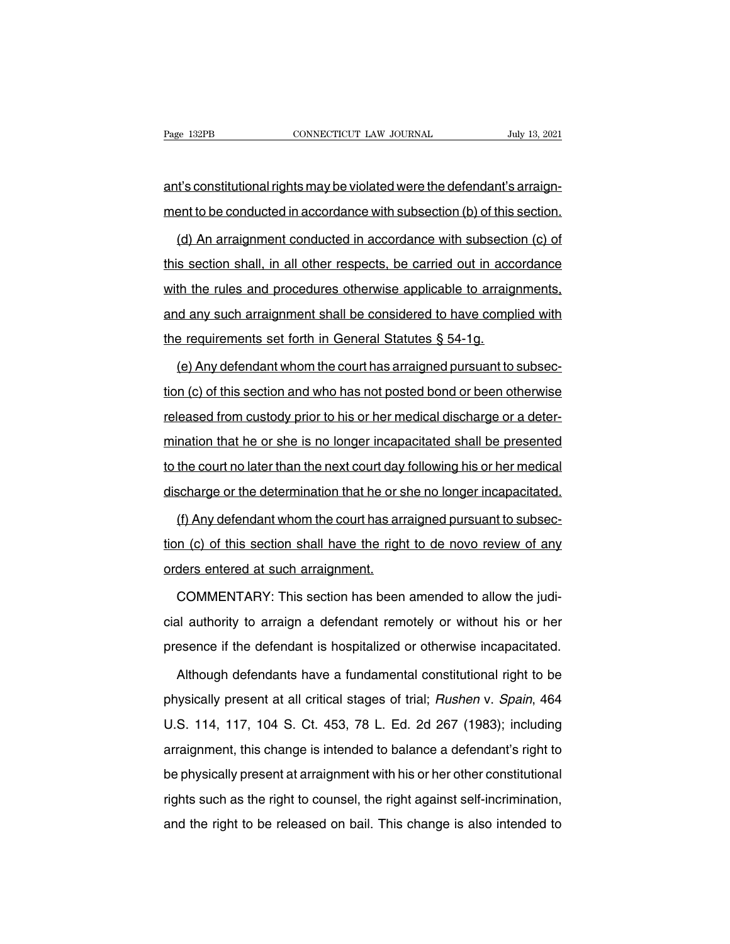Page 132PB<br>
CONNECTICUT LAW JOURNAL<br>
ant's constitutional rights may be violated were the defendant's arraign-<br>
ment to be conducted in accordance with subsection (b) of this section. Page 132PB connectricut LAW JOURNAL July 13, 2021<br>ant's constitutional rights may be violated were the defendant's arraign-<br>ment to be conducted in accordance with subsection (b) of this section.<br>(d) An arraignment conduct

(d) the constitutional rights may be violated were the defendant's arraignent to be conducted in accordance with subsection (b) of this section.<br>(d) An arraignment conducted in accordance with subsection (c) of s section s ant's constitutional rights may be violated were the defendant's arraignment to be conducted in accordance with subsection (b) of this section.<br>(d) An arraignment conducted in accordance with subsection (c) of this section ment to be conducted in accordance with subsection (b) of this section.<br>
(d) An arraignment conducted in accordance with subsection (c) of<br>
this section shall, in all other respects, be carried out in accordance<br>
with the (d) An arraignment conducted in accordance with subsection (c) of<br>this section shall, in all other respects, be carried out in accordance<br>with the rules and procedures otherwise applicable to arraignments,<br>and any such ar this section shall, in all other respects, be carried out in according this section shall, in all other respects, be carried out in according with the rules and procedures otherwise applicable to arraiging and any such arr th the rules and procedures otherwise applicable to arraignments,<br>
d any such arraignment shall be considered to have complied with<br>
e requirements set forth in General Statutes § 54-1g.<br>
(e) Any defendant whom the court h

and any such arraignment shall be considered to have complied with<br>the requirements set forth in General Statutes § 54-1g.<br>(e) Any defendant whom the court has arraigned pursuant to subsec-<br>tion (c) of this section and who the requirements set forth in General Statutes § 54-1g.<br>
(e) Any defendant whom the court has arraigned pursuant to subsec-<br>
tion (c) of this section and who has not posted bond or been otherwise<br>
released from custody pri (e) Any defendant whom the court has arraigned pursuant to subsection (c) of this section and who has not posted bond or been otherwise released from custody prior to his or her medical discharge or a determination that he tion (c) of this section and who has not posted bond or been otherwise<br>released from custody prior to his or her medical discharge or a deter-<br>mination that he or she is no longer incapacitated shall be presented<br>to the co released from custody prior to his or her medical discharge or a deter-<br>mination that he or she is no longer incapacitated shall be presented<br>to the court no later than the next court day following his or her medical<br>disch mation that he or she is no longer incapacitated shall be presented<br>the court no later than the next court day following his or her medical<br>scharge or the determination that he or she no longer incapacitated.<br>(f) Any defen

to the court no later than the next court day following his or her medical<br>discharge or the determination that he or she no longer incapacitated.<br>(f) Any defendant whom the court has arraigned pursuant to subsec-<br>tion (c) discharge or the determination that he or s<br>
(f) Any defendant whom the court has arr<br>
tion (c) of this section shall have the righ<br>
orders entered at such arraignment.<br>
COMMENTARY: This section has been (f) Any defendant whom the court has arraigned pursuant to subsec-<br>n (c) of this section shall have the right to de novo review of any<br>ders entered at such arraignment.<br>COMMENTARY: This section has been amended to allow th

cion (c) of this section shall have the right to de novo review of any<br>orders entered at such arraignment.<br>COMMENTARY: This section has been amended to allow the judi-<br>cial authority to arraign a defendant remotely or with presence if the defendant is hospitalized or otherwise incapacitated.<br>Although defendant is hospitalized or otherwise incapacitated.<br>Although defendants have a fundamental constitutional right to be COMMENTARY: This section has been amended to allow the judi-<br>all authority to arraign a defendant remotely or without his or her<br>esence if the defendant is hospitalized or otherwise incapacitated.<br>Although defendants have

cial authority to arraign a defendant remotely or without his or her<br>presence if the defendant is hospitalized or otherwise incapacitated.<br>Although defendants have a fundamental constitutional right to be<br>physically presen presence if the defendant is hospitalized or otherwise incapacitated.<br>Although defendants have a fundamental constitutional right to be<br>physically present at all critical stages of trial; *Rushen* v. *Spain*, 464<br>U.S. 114, Although defendants have a fundamental constitutional right to be<br>physically present at all critical stages of trial; *Rushen* v. *Spain*, 464<br>U.S. 114, 117, 104 S. Ct. 453, 78 L. Ed. 2d 267 (1983); including<br>arraignment, physically present at all critical stages of trial; *Rushen* v. *Spain*, 464<br>U.S. 114, 117, 104 S. Ct. 453, 78 L. Ed. 2d 267 (1983); including<br>arraignment, this change is intended to balance a defendant's right to<br>be physi priyereally present at all entiest etages of that, *Hashert V. Opami*, 191<br>U.S. 114, 117, 104 S. Ct. 453, 78 L. Ed. 2d 267 (1983); including<br>arraignment, this change is intended to balance a defendant's right to<br>be physica arraignment, this change is intended to balance a defendant's right to be physically present at arraignment with his or her other constitutional rights such as the right to counsel, the right against self-incrimination, a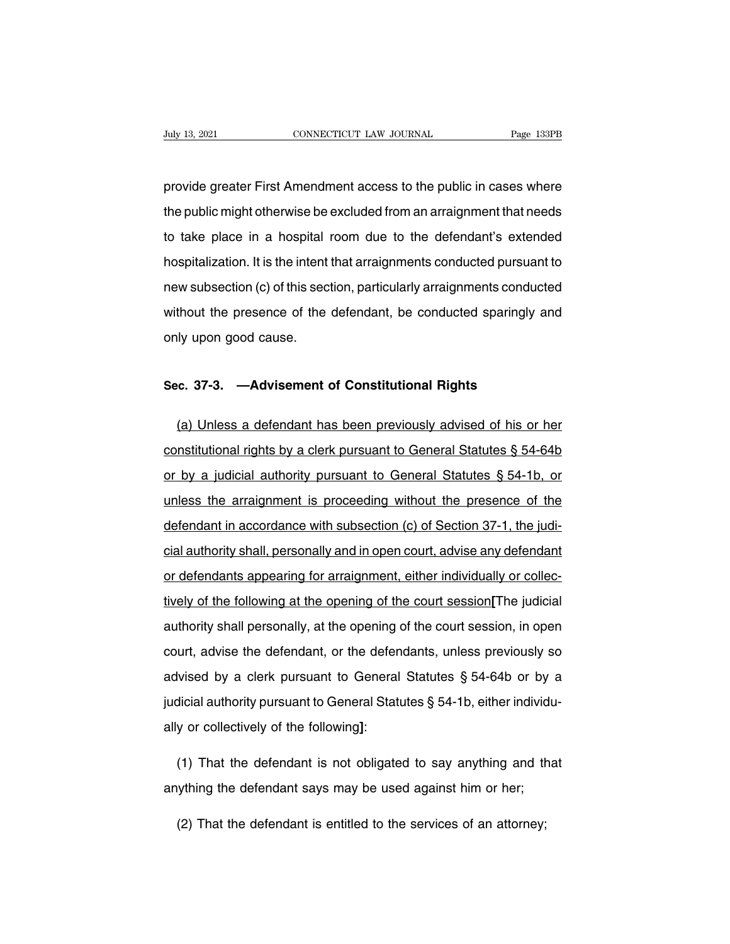Puly 13, 2021<br>
provide greater First Amendment access to the public in cases where<br>
the public might otherwise be excluded from an arraignment that needs The public might otherwise be excluded from an arraignment that needs<br>to take place in a hospital room due to the defendant's extended<br>to take place in a hospital room due to the defendant's extended provide greater First Amendment access to the public in cases where<br>the public might otherwise be excluded from an arraignment that needs<br>to take place in a hospital room due to the defendant's extended<br>hospitalization. It provide greater First Amendment access to the public in cases where<br>the public might otherwise be excluded from an arraignment that needs<br>to take place in a hospital room due to the defendant's extended<br>hospitalization. It the public might otherwise be excluded from an arraignment that needs<br>to take place in a hospital room due to the defendant's extended<br>hospitalization. It is the intent that arraignments conducted pursuant to<br>new subsectio to take place in a hospital room due to the defendant's extended<br>hospitalization. It is the intent that arraignments conducted pursuant to<br>new subsection (c) of this section, particularly arraignments conducted<br>without the to take place in a hospital room due to the defendant's extended<br>hospitalization. It is the intent that arraignments conducted pursuant to<br>new subsection (c) of this section, particularly arraignments conducted<br>without the without the presence of the defendant, be conducted sparingly and<br>without the presence of the defendant, be conducted sparingly and<br>only upon good cause.<br>Sec. 37-3. —Advisement of Constitutional Rights

(b) upon good cause.<br>
(c. 37-3. — Advisement of Constitutional Rights<br>
(a) Unless a defendant has been previously advised of his or her<br>
nstitutional rights by a clerk pursuant to General Statutes § 54-64b Sec. 37-3. —Advisement of Constitutional Rights<br>
(a) Unless a defendant has been previously advised of his or her<br>
constitutional rights by a clerk pursuant to General Statutes § 54-64b<br>
or by a judicial authority pursuant Sec. 37-3. — Advisement of Constitutional Rights<br>
(a) Unless a defendant has been previously advised of his or her<br>
constitutional rights by a clerk pursuant to General Statutes § 54-64b<br>
or by a judicial authority pursuan (a) Unless a defendant has been previously advised of his or her constitutional rights by a clerk pursuant to General Statutes § 54-64b or by a judicial authority pursuant to General Statutes § 54-1b, or unless the arraig constitutional rights by a clerk pursuant to General Statutes § 54-64b<br>or by a judicial authority pursuant to General Statutes § 54-1b, or<br>unless the arraignment is proceeding without the presence of the<br>defendant in accor or by a judicial authority pursuant to General Statutes § 54-1b, or<br>unless the arraignment is proceeding without the presence of the<br>defendant in accordance with subsection (c) of Section 37-1, the judi-<br>cial authority sha or by a judicial authority pursuant to General Statutes § 54-1b, or unless the arraignment is proceeding without the presence of the defendant in accordance with subsection (c) of Section 37-1, the judicial authority shal defendant in accordance with subsection (c) of Section 37-1, the judi-<br>cial authority shall, personally and in open court, advise any defendant<br>or defendants appearing for arraignment, either individually or collec-<br>tively cial authority shall, personally and in open court, advise any defendant<br>or defendants appearing for arraignment, either individually or collec-<br>tively of the following at the opening of the court session[The judicial<br>auth or defendants appearing for arraignment, either individually or collectively of the following at the opening of the court session[The judicial authority shall personally, at the opening of the court session, in open court, and tively of the following at the opening of the court session [The judicial<br>authority shall personally, at the opening of the court session, in open<br>court, advise the defendant, or the defendants, unless previously so<br>ad authority shall personally, at the opening of the court session, in open<br>court, advise the defendant, or the defendants, unless previously so<br>advised by a clerk pursuant to General Statutes § 54-64b or by a<br>judicial author ally or collectively a clerk pursuant to General<br>judicial authority pursuant to General<br>judicial authority pursuant to General Stat<br>ally or collectively of the following]: Fivised by a clerk pursuant to General Statutes § 54-64b or by a<br>dicial authority pursuant to General Statutes § 54-1b, either individu-<br>y or collectively of the following]:<br>(1) That the defendant is not obligated to say judicial authority pursuant to General Statutes § 54-1b, either individually or collectively of the following]:<br>(1) That the defendant is not obligated to say anything and that anything the defendant says may be used agai

(1) That the defendant is not obligated to say anything and the services of an attorney;<br>(2) That the defendant is entitled to the services of an attorney;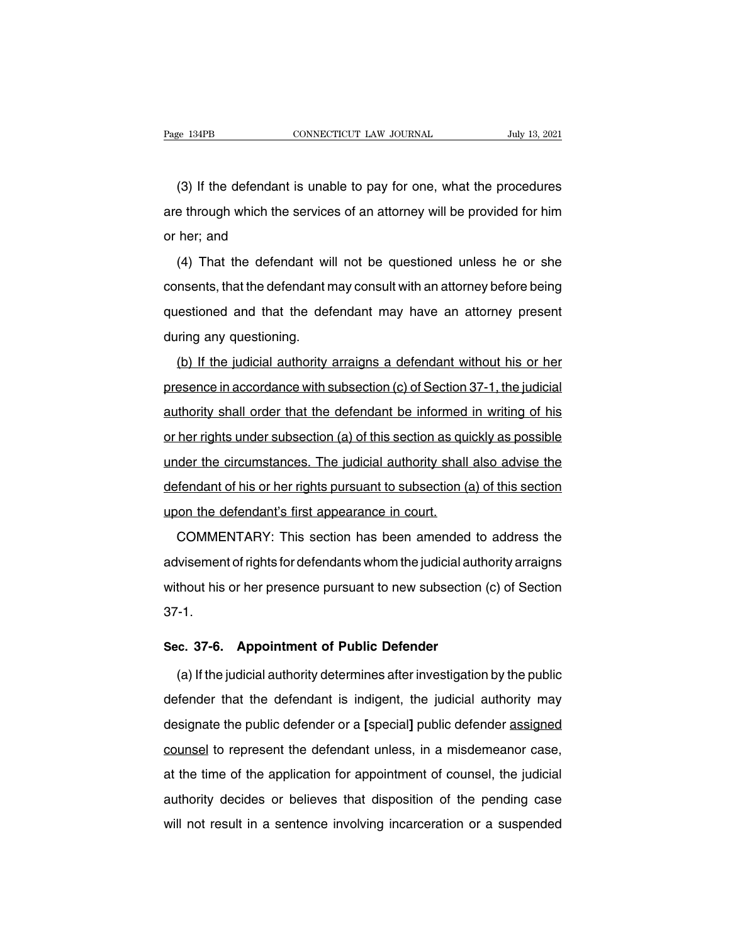EVENTIFY THE CONNECTICUT CONNECTICUT LAW JOURNAL THE JULY 13, 2021<br>(3) If the defendant is unable to pay for one, what the procedures<br>through which the services of an attorney will be provided for him Page 134PB CONNECTICUT LAW JOURNAL July 13, 2021<br>
(3) If the defendant is unable to pay for one, what the procedures<br>
are through which the services of an attorney will be provided for him<br>
or her; and (3) If the defendant<br>are through which the<br>or her; and<br>(4) That the defend (3) If the defendant is unable to pay for one, what the procedures<br>e through which the services of an attorney will be provided for him<br>her; and<br>(4) That the defendant will not be questioned unless he or she<br>nsents, that t

(c) it and acconstraint to sintable to pay for one), what the procedured<br>are through which the services of an attorney will be provided for him<br>or her; and<br>(4) That the defendant will not be questioned unless he or she<br>con diverting and that the defendant will not be questioned unless he or she<br>consents, that the defendant may consult with an attorney before being<br>questioned and that the defendant may have an attorney present<br>during any ques (4) That the defendant wi<br>consents, that the defendant n<br>questioned and that the def<br>during any questioning.<br>(b) If the judicial authority (i) That the defendant million be questioned anises the or she<br>insents, that the defendant may consult with an attorney before being<br>ring any questioning.<br>(b) If the judicial authority arraigns a defendant without his or h

presence in accordance with subsection (c) of Section 37-1, the judicial authority shall order that the defendant be informed in writing of his authority shall order that the defendant be informed in writing of his during any questioning.<br>
(b) If the judicial authority arraigns a defendant without his or her<br>
presence in accordance with subsection (c) of Section 37-1, the judicial<br>
authority shall order that the defendant be informed (b) If the judicial authority arraigns a defendant without his or her<br>presence in accordance with subsection (c) of Section 37-1, the judicial<br>authority shall order that the defendant be informed in writing of his<br>or her r presence in accordance with subsection (c) of Section 37-1, the judicial<br>authority shall order that the defendant be informed in writing of his<br>or her rights under subsection (a) of this section as quickly as possible<br>unde authority shall order that the defendant be informed in writing of his<br>or her rights under subsection (a) of this section as quickly as possible<br>under the circumstances. The judicial authority shall also advise the<br>defenda or her rights under subsection (a) of this section as qualitority shall<br>under the circumstances. The judicial authority shall<br>defendant of his or her rights pursuant to subsection (a<br>upon the defendant's first appearance i The rights and to absolut the yet all authority shall also advise the fendant of his or her rights pursuant to subsection (a) of this section<br>on the defendant's first appearance in court.<br>COMMENTARY: This section has been

defendant of his or her rights pursuant to subsection (a) of this section<br>upon the defendant's first appearance in court.<br>COMMENTARY: This section has been amended to address the<br>advisement of rights for defendants whom th upon the defendant's first appearance in court.<br>COMMENTARY: This section has been amended to address the<br>advisement of rights for defendants whom the judicial authority arraigns<br>without his or her presence pursuant to new 37-1. advisement of rights for defendants whom the judicial authority arraigns<br>without his or her presence pursuant to new subsection (c) of Section<br>37-1.<br>**Sec. 37-6.** Appointment of Public Defender<br>(a) If the judicial authority (c) of Section<br>
1.<br>
1.<br> **c. 37-6.** Appointment of Public Defender<br>
(a) If the judicial authority determines after investigation by the public<br>
fender that the defendant is indigent, the judicial authority may

37-1.<br>Sec. 37-6. Appointment of Public Defender<br>(a) If the judicial authority determines after investigation by the public<br>defender that the defendant is indigent, the judicial authority may<br>designate the public defender o Sec. 37-6. Appointment of Public Defender<br>
(a) If the judicial authority determines after investigation by the public<br>
defender that the defendant is indigent, the judicial authority may<br>
designate the public defender or a (a) If the judicial authority determines after investigation by the public<br>defender that the defendant is indigent, the judicial authority may<br>designate the public defender or a [special] public defender assigned<br>counsel t defender that the defendant is indigent, the judicial authority may<br>designate the public defender or a [special] public defender assigned<br>counsel to represent the defendant unless, in a misdemeanor case,<br>at the time of the designate the public defender or a [special] public defender assigned<br>counsel to represent the defendant unless, in a misdemeanor case,<br>at the time of the application for appointment of counsel, the judicial<br>authority deci counsel to represent the defendant unless, in a misdemeanor case, at the time of the application for appointment of counsel, the judicial authority decides or believes that disposition of the pending case will not result i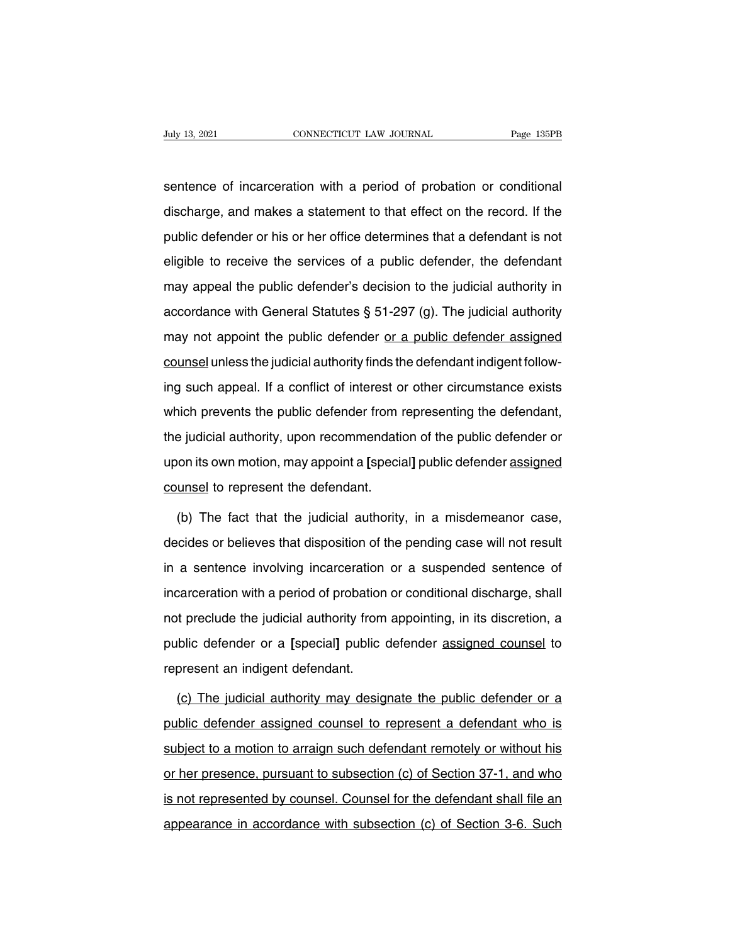Suly 13, 2021<br>
sentence of incarceration with a period of probation or conditional<br>
discharge, and makes a statement to that effect on the record. If the July 13, 2021 CONNECTICUT LAW JOURNAL Page 135PB<br>sentence of incarceration with a period of probation or conditional<br>discharge, and makes a statement to that effect on the record. If the<br>public defender or his or her offic sentence of incarceration with a period of probation or conditional<br>discharge, and makes a statement to that effect on the record. If the<br>public defender or his or her office determines that a defendant is not<br>eligible to sentence of incarceration with a period of probation or conditional<br>discharge, and makes a statement to that effect on the record. If the<br>public defender or his or her office determines that a defendant is not<br>eligible to discharge, and makes a statement to that effect on the record. If the public defender or his or her office determines that a defendant is not eligible to receive the services of a public defender, the defendant may appeal public defender or his or her office determines that a defendant is not<br>eligible to receive the services of a public defender, the defendant<br>may appeal the public defender's decision to the judicial authority in<br>accordanc eligible to receive the services of a public defender, the defendant<br>may appeal the public defender's decision to the judicial authority in<br>accordance with General Statutes § 51-297 (g). The judicial authority<br>may not appo engiale to receive the corrices of a pasite actoriacity the defendant<br>may appeal the public defender's decision to the judicial authority in<br>accordance with General Statutes § 51-297 (g). The judicial authority<br>may not app accordance with General Statutes  $\S$  51-297 (g). The judicial authority<br>may not appoint the public defender or a public defender assigned<br>counsel unless the judicial authority finds the defendant indigent follow-<br>ing such may not appoint the public defender or a public defender assigned<br>counsel unless the judicial authority finds the defendant indigent follow-<br>ing such appeal. If a conflict of interest or other circumstance exists<br>which pre the judicial authority finds the defendant indigent follow-<br>ting such appeal. If a conflict of interest or other circumstance exists<br>which prevents the public defender from representing the defendant,<br>the judicial authorit ing such appeal. If a conflict of interest or other circumstance exists<br>which prevents the public defender from representing the defendant,<br>the judicial authority, upon recommendation of the public defender or<br>upon its own my such appear. It a semilor of interest of<br>which prevents the public defender from r<br>the judicial authority, upon recommendation<br>upon its own motion, may appoint a [special<br>counsel to represent the defendant.<br>(b) The fact e judicial authority, upon recommendation of the public defender or<br>on its own motion, may appoint a [special] public defender <u>assigned</u><br>unsel to represent the defendant.<br>(b) The fact that the judicial authority, in a mis

decides or motion, may appoint a [special] public defender assigned<br>counsel to represent the defendant.<br>(b) The fact that the judicial authority, in a misdemeanor case,<br>decides or believes that disposition of the pending c in a sentence involving incarceration or a suspended sentence of<br>incarceration of the pending case will not result<br>in a sentence involving incarceration or a suspended sentence of<br>incarceration with a period of probation o (b) The fact that the judicial authority, in a misdemeanor case, decides or believes that disposition of the pending case will not result in a sentence involving incarceration or a suspended sentence of incarceration with decides or believes that disposition of the pending case will not result<br>in a sentence involving incarceration or a suspended sentence of<br>incarceration with a period of probation or conditional discharge, shall<br>not preclud in a sentence involving incarceration or a suspended sentence of<br>incarceration with a period of probation or conditional discharge, shall<br>not preclude the judicial authority from appointing, in its discretion, a<br>public def incarceration with a period of probation<br>incarceration with a period of probation<br>not preclude the judicial authority from<br>public defender or a [special] public<br>represent an indigent defendant.<br>(c) The judicial authority m t preclude the judicial authority from appointing, in its discretion, a<br>blic defender or a [special] public defender <u>assigned counsel</u> to<br>present an indigent defendant.<br>(c) The judicial authority may designate the public

public defender or a [special] public defender <u>assigned counsel</u> to<br>represent an indigent defendant.<br>(c) The judicial authority may designate the public defender or a<br>public defender assigned counsel to represent a defend represent an indigent defendant.<br>
(c) The judicial authority may designate the public defender or a<br>
public defender assigned counsel to represent a defendant who is<br>
subject to a motion to arraign such defendant remotely (c) The judicial authority may designate the public defender or a<br>public defender assigned counsel to represent a defendant who is<br>subject to a motion to arraign such defendant remotely or without his<br>or her presence, purs public defender assigned counsel to represent a defendant who is<br>subject to a motion to arraign such defendant remotely or without his<br>or her presence, pursuant to subsection (c) of Section 37-1, and who<br>is not represented subject to a motion to arraign such defendant remotely or without his<br>subject to a motion to arraign such defendant remotely or without his<br>or her presence, pursuant to subsection (c) of Section 37-1, and who<br>is not repres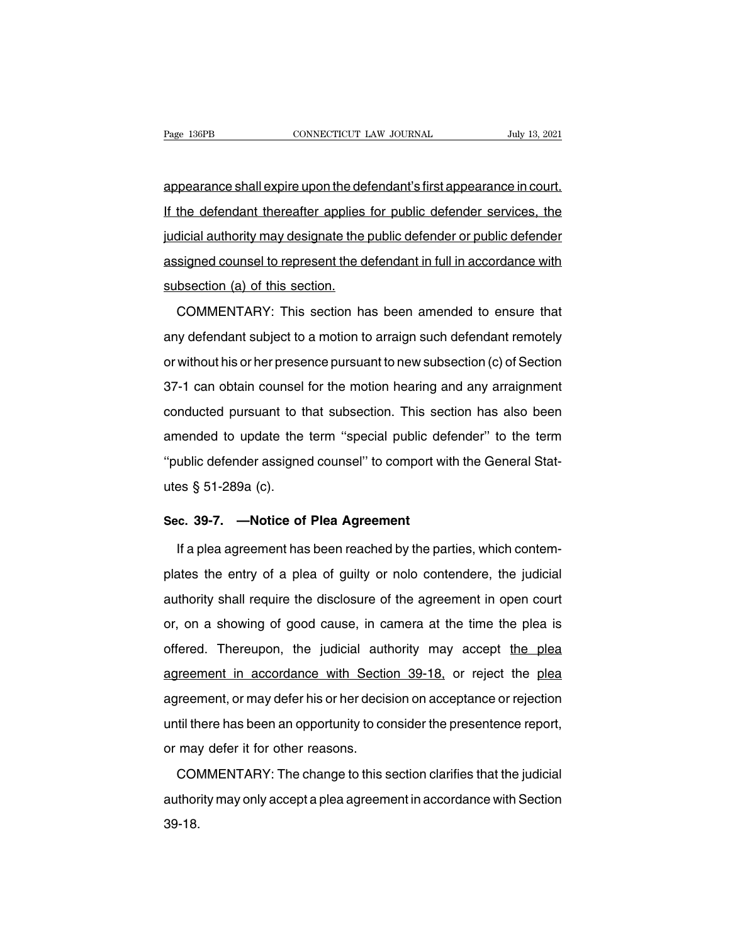appearance shall expire upon the defendant's first appearance in court. Page 136PB CONNECTICUT LAW JOURNAL July 13, 2021<br>
appearance shall expire upon the defendant's first appearance in court.<br>
If the defendant thereafter applies for public defender services, the<br>
judicial authority may desig appearance shall expire upon the defendant's first appearance in court.<br>If the defendant thereafter applies for public defender services, the<br>judicial authority may designate the public defender or public defender<br>assigned appearance shall expire upon the defendant's first appearance in court.<br>If the defendant thereafter applies for public defender services, the<br>judicial authority may designate the public defender or public defender<br>assigned If the defendant thereafter applies<br>judicial authority may designate the<br>assigned counsel to represent the d<br>subsection (a) of this section.<br>COMMENTARY: This section ha Micial authority may designate the public defender or public defender<br>signed counsel to represent the defendant in full in accordance with<br>bsection (a) of this section.<br>COMMENTARY: This section has been amended to ensure t

assigned counsel to represent the defendant in full in accordance with<br>subsection (a) of this section.<br>COMMENTARY: This section has been amended to ensure that<br>any defendant subject to a motion to arraign such defendant re subsection (a) of this section.<br>COMMENTARY: This section has been amended to ensure that<br>any defendant subject to a motion to arraign such defendant remotely<br>or without his or her presence pursuant to new subsection (c) of COMMENTARY: This section has been amended to ensure that<br>any defendant subject to a motion to arraign such defendant remotely<br>or without his or her presence pursuant to new subsection (c) of Section<br>37-1 can obtain counse commentative interesting and any defendant subject to a motion to arraign such defendant remotely<br>or without his or her presence pursuant to new subsection (c) of Section<br>37-1 can obtain counsel for the motion hearing and amy definite takeon to amalon to analyhized definite interesting<br>or without his or her presence pursuant to new subsection (c) of Section<br>37-1 can obtain counsel for the motion hearing and any arraignment<br>conducted pursuan 37-1 can obtain counsel for the motion hearing and any arraignment<br>conducted pursuant to that subsection. This section has also been<br>amended to update the term "special public defender" to the term<br>"public defender assigne conducted pursuant to the<br>conducted pursuant to the<br>"public defender assigne<br>utes § 51-289a (c). amended to update the term "special public determ"<br>
"public defender assigned counsel" to comport wites § 51-289a (c).<br> **Sec. 39-7. —Notice of Plea Agreement**<br>
If a plea agreement has been reached by the pai ublic defender assigned counsel" to comport with the General States § 51-289a (c).<br> **Exact States States:**<br>
If a plea agreement has been reached by the parties, which contem-<br>
If a plea agreement has been reached by the pa

utes § 51-289a (c).<br> **Sec. 39-7.** — **Notice of Plea Agreement**<br>
If a plea agreement has been reached by the parties, which contem-<br>
plates the entry of a plea of guilty or nolo contendere, the judicial<br>
authority shall req Sec. 39-7. —Notice of Plea Agreement<br>If a plea agreement has been reached by the parties, which contem-<br>plates the entry of a plea of guilty or nolo contendere, the judicial<br>authority shall require the disclosure of the ag If a plea agreement has been reached by the parties, which contem-<br>plates the entry of a plea of guilty or nolo contendere, the judicial<br>authority shall require the disclosure of the agreement in open court<br>or, on a showin plates the entry of a plea of guilty or nolo contendere, the judicial authority shall require the disclosure of the agreement in open court or, on a showing of good cause, in camera at the time the plea is offered. Thereup authority shall require the disclosure of the agreement in open court<br>or, on a showing of good cause, in camera at the time the plea is<br>offered. Thereupon, the judicial authority may accept the plea<br>agreement in accordance or, on a showing of good cause, in camera at the time the plea is<br>offered. Thereupon, the judicial authority may accept the plea<br>agreement in accordance with Section 39-18, or reject the plea<br>agreement, or may defer his or or, on a showing or good salace, in sample at the time the plea leftered. Thereupon, the judicial authority may accept the plea agreement in accordance with Section 39-18, or reject the plea agreement, or may defer his or oriotal: Thoroupon, the Judicial data<br>agreement in accordance with Sectio<br>agreement, or may defer his or her decis<br>until there has been an opportunity to co<br>or may defer it for other reasons.<br>COMMENTARY: The change to this The content in accordance with section on acceptance or rejection<br>til there has been an opportunity to consider the presentence report,<br>may defer it for other reasons.<br>COMMENTARY: The change to this section clarifies that

agreement, or may defer interest and consider the presentence report,<br>or may defer it for other reasons.<br>COMMENTARY: The change to this section clarifies that the judicial<br>authority may only accept a plea agreement in acco 39-18.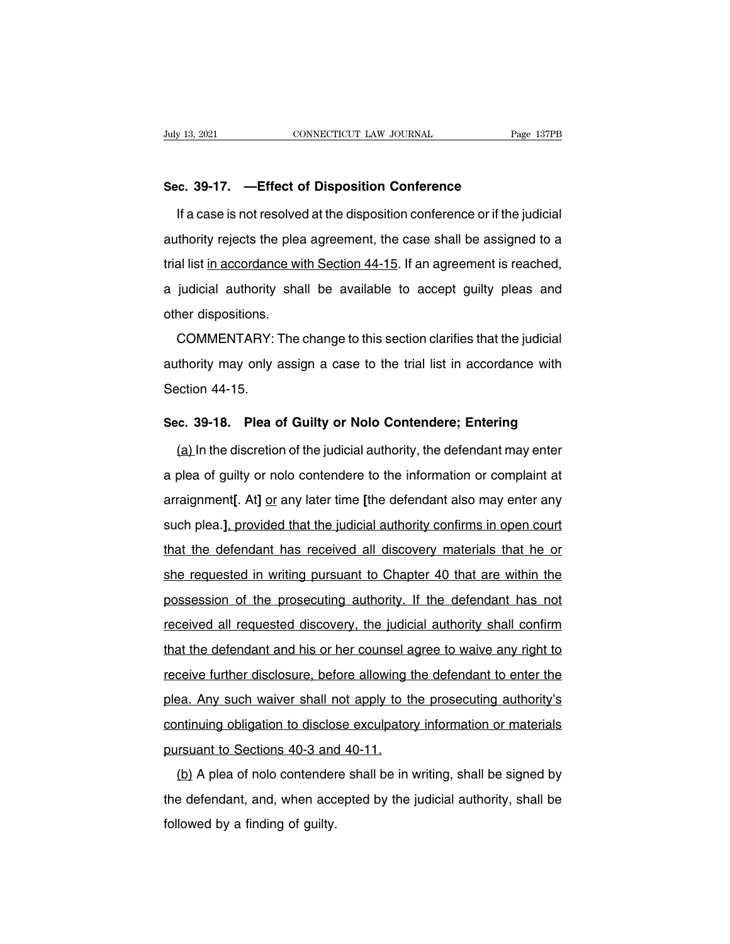**Sec. 39-17. —Effect of Disposition Conference** IF a case is not resolved at the disposition conference<br>If a case is not resolved at the disposition conference or if the judicial<br>If a case is not resolved at the disposition conference or if the judicial<br>Ithority rejects Sec. 39-17. —Effect of Disposition Conference<br>If a case is not resolved at the disposition conference or if the judicial<br>authority rejects the plea agreement, the case shall be assigned to a<br>trial list <u>in accordance with </u> Sec. 39-17. —Effect of Disposition Conference<br>If a case is not resolved at the disposition conference or if the judicial<br>authority rejects the plea agreement, the case shall be assigned to a<br>trial list <u>in accordance with </u> If a case is not resolved at the disposition conference or if the judicial authority rejects the plea agreement, the case shall be assigned to a trial list <u>in accordance with Section 44-15</u>. If an agreement is reached, a It is a sase is not reserve<br>authority rejects the plear<br>trial list in accordance wi<br>a judicial authority sha<br>other dispositions.<br>COMMENTARY: The al list in accordance with Section 44-15. If an agreement is reached,<br>judicial authority shall be available to accept guilty pleas and<br>ner dispositions.<br>COMMENTARY: The change to this section clarifies that the judicial<br>th

a judicial authority shall be available to accept guilty pleas and<br>other dispositions.<br>COMMENTARY: The change to this section clarifies that the judicial<br>authority may only assign a case to the trial list in accordance wit other dispositions.<br>COMMENTARY: 1<br>authority may only a<br>Section 44-15. COMMENTARY: The change to this section clarifies that the judicial<br>authority may only assign a case to the trial list in accordance with<br>Section 44-15.<br>**Sec. 39-18. Plea of Guilty or Nolo Contendere; Entering**<br>(a) In the d (a) In the discretion 44-15.<br>
(a) In the discretion of the judicial authority, the defendant may enter<br>
(a) In the discretion of the judicial authority, the defendant may enter<br>
plea of guilty or nolo contendere to the inf

Sec. 39-18. Plea of Guilty or Nolo Contendere; Entering<br>
(a) In the discretion of the judicial authority, the defendant may enter<br>
a plea of guilty or nolo contendere to the information or complaint at<br>
arraignment[. At] <u></u> Sec. 39-18. Plea of Guilty or Nolo Contendere; Entering<br>(a) In the discretion of the judicial authority, the defendant may enter<br>a plea of guilty or nolo contendere to the information or complaint at<br>arraignment[. At] <u>or</u> (a) In the discretion of the judicial authority, the defendant may enter<br>a plea of guilty or nolo contendere to the information or complaint at<br>arraignment[. At] <u>or</u> any later time [the defendant also may enter any<br>such p a plea of guilty or nolo contendere to the information or complaint at<br>arraignment[. At] or any later time [the defendant also may enter any<br>such plea.], provided that the judicial authority confirms in open court<br>that the a plea or gality of hold contendere to the information of complaint at<br>arraignment[. At] <u>or</u> any later time [the defendant also may enter any<br>such plea.], provided that the judicial authority confirms in open court<br>that t analymiont<sub>t</sub>. All <u>of</u> any later the the defendant dies may shier any<br>such plea.], provided that the judicial authority confirms in open court<br>that the defendant has received all discovery materials that he or<br>she request that the defendant has received all discovery materials that he or<br>she requested in writing pursuant to Chapter 40 that are within the<br>possession of the prosecuting authority. If the defendant has not<br>received all requeste that the defendant had footived all discovery indicated that his or<br>she requested in writing pursuant to Chapter 40 that are within the<br>possession of the prosecuting authority. If the defendant has not<br>received all request possession of the prosecuting authority. If the defendant has not<br>received all requested discovery, the judicial authority shall confirm<br>that the defendant and his or her counsel agree to waive any right to<br>receive further possession of any prosecuting authority. It are determined into the received all requested discovery, the judicial authority shall confirm that the defendant and his or her counsel agree to waive any right to receive furth that the defendant and his or her counsel agree to waive any right to receive further disclosure, before allowing the defendant to enter the plea. Any such waiver shall not apply to the prosecuting authority's continuing o receive further disclosure, before allowing t<br>plea. Any such waiver shall not apply to the<br>continuing obligation to disclose exculpator<br>pursuant to Sections 40-3 and 40-11.<br>(b) A plea of nolo contendere shall be in v ea. Any such waiver shall not apply to the prosecuting authority's<br>ntinuing obligation to disclose exculpatory information or materials<br>in writing, shall be signed by<br>(b) A plea of nolo contendere shall be in writing, shal

continuing obligation to disclose exculpatory information or materials<br>pursuant to Sections 40-3 and 40-11.<br>(b) A plea of nolo contendere shall be in writing, shall be signed by<br>the defendant, and, when accepted by the jud bursuant to Sections 40-3 and<br>pursuant to Sections 40-3 and<br>the defendant, and, when acc<br>followed by a finding of guilty.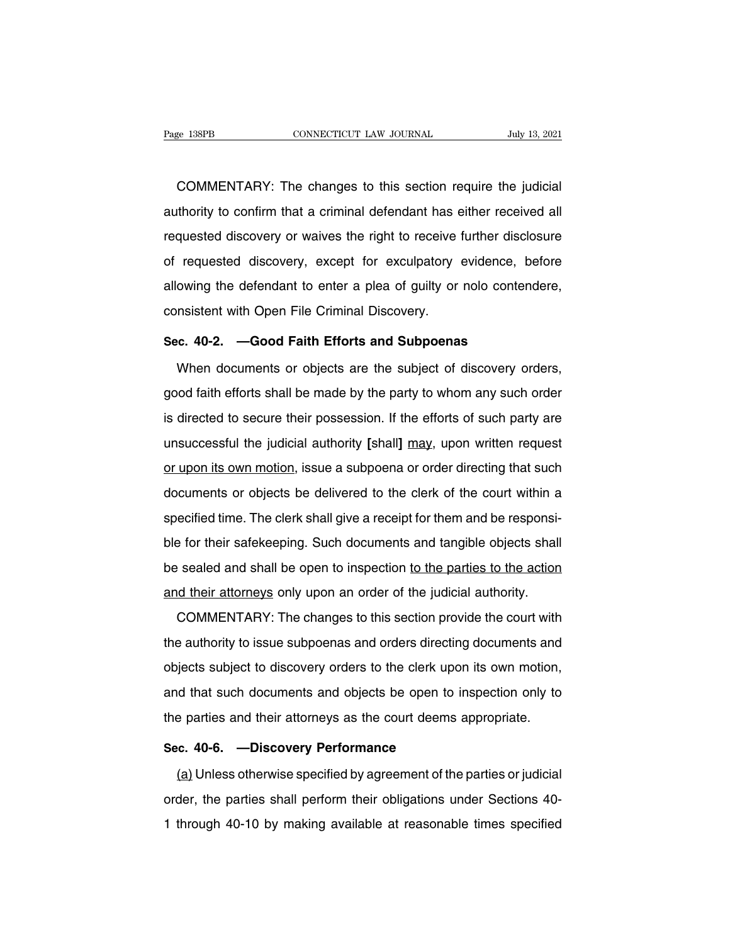EXECTE AND CONSECTICUT LAW JOURNAL THAY JULY 13, 2021<br>COMMENTARY: The changes to this section require the judicial<br>thority to confirm that a criminal defendant has either received all Page 138PB CONNECTICUT LAW JOURNAL July 13, 2021<br>COMMENTARY: The changes to this section require the judicial<br>authority to confirm that a criminal defendant has either received all<br>requested discovery or waives the right t COMMENTARY: The changes to this section require the judicial<br>authority to confirm that a criminal defendant has either received all<br>requested discovery or waives the right to receive further disclosure<br>of requested discove COMMENTARY: The changes to this section require the judicial<br>authority to confirm that a criminal defendant has either received all<br>requested discovery or waives the right to receive further disclosure<br>of requested discove authority to confirm that a criminal defendant has either received all requested discovery or waives the right to receive further disclosure of requested discovery, except for exculpatory evidence, before allowing the defe requested discovery or waives the right to receive<br>of requested discovery, except for exculpatory<br>allowing the defendant to enter a plea of guilty or<br>consistent with Open File Criminal Discovery.<br>Sec. 40-2. —Good Faith Eff of requested discovery, except for exculpatory evidence, beallowing the defendant to enter a plea of guilty or nolo contenenconsistent with Open File Criminal Discovery.<br>**Sec. 40-2.** —**Good Faith Efforts and Subpoenas**<br>Whe owing the defendant to enter a plea of guilty or nolo contendere,<br>nsistent with Open File Criminal Discovery.<br>c. 40-2. —Good Faith Efforts and Subpoenas<br>When documents or objects are the subject of discovery orders,<br>od fai

consistent with Open File Criminal Discovery.<br> **Sec. 40-2.** —**Good Faith Efforts and Subpoenas**<br>
When documents or objects are the subject of discovery orders,<br>
good faith efforts shall be made by the party to whom any suc Sec. 40-2. —Good Faith Efforts and Subpoenas<br>When documents or objects are the subject of discovery orders,<br>good faith efforts shall be made by the party to whom any such order<br>is directed to secure their possession. If th When documents or objects are the subject of discovery orders,<br>good faith efforts shall be made by the party to whom any such order<br>is directed to secure their possession. If the efforts of such party are<br>unsuccessful the about the subport of discovery states,<br>good faith efforts shall be made by the party to whom any such order<br>is directed to secure their possession. If the efforts of such party are<br>unsuccessful the judicial authority [shal is directed to secure their possession. If the efforts of such party are<br>unsuccessful the judicial authority [shall] may, upon written request<br>or upon its own motion, issue a subpoena or order directing that such<br>documents specified time. The intertion procession. The clerk of sachi party are unsuccessful the judicial authority [shall] may, upon written request or upon its own motion, issue a subpoena or order directing that such documents o ble for their safekeeping. Such documents and tangible objects be delivered to the clerk of the court within a<br>specified time. The clerk shall give a receipt for them and be responsi-<br>ble for their safekeeping. Such docume be determined and shall give a subposed of shall discussed documents or objects be delivered to the clerk of the court within a specified time. The clerk shall give a receipt for them and be responsible for their safekeepi specified time. The clerk shall give a receipt for them and be responsi-<br>ble for their safekeeping. Such documents and tangible objects shall<br>be sealed and shall be open to inspection to the parties to the action<br>and their Example a for their safekeeping. Such documents and tangible objects shall<br>is sealed and shall be open to inspection to the parties to the action<br>in their attorneys only upon an order of the judicial authority.<br>COMMENTARY:

the sealed and shall be open to inspection to the parties to the action<br>and their attorneys only upon an order of the judicial authority.<br>COMMENTARY: The changes to this section provide the court with<br>the authority to issu and their attorneys only upon an order of the judicial authority.<br>COMMENTARY: The changes to this section provide the court with<br>the authority to issue subpoenas and orders directing documents and<br>objects subject to discov COMMENTARY: The changes to this section provide the court with<br>the authority to issue subpoenas and orders directing documents and<br>objects subject to discovery orders to the clerk upon its own motion,<br>and that such documen COMMENTARY: The changes to this section provide the court with<br>the authority to issue subpoenas and orders directing documents and<br>objects subject to discovery orders to the clerk upon its own motion,<br>and that such documen bijects subject to discovery orders to the clerk upon its own motion,<br>and that such documents and objects be open to inspection only to<br>the parties and their attorneys as the court deems appropriate.<br>**Sec. 40-6.** —**Discove** (d that such documents and objects be open to inspection only to<br>
e parties and their attorneys as the court deems appropriate.<br>
(a) Unless otherwise specified by agreement of the parties or judicial<br>
der, the parties shal

the parties and their attorneys as the court deems appropriate.<br> **Sec. 40-6.** — Discovery Performance<br>
(a) Unless otherwise specified by agreement of the parties or judicial<br>
order, the parties shall perform their obligati Sec. 40-6. — Discovery Performance<br>
(a) Unless otherwise specified by agreement of the parties or judicial<br>
order, the parties shall perform their obligations under Sections 40-<br>
1 through 40-10 by making available at reas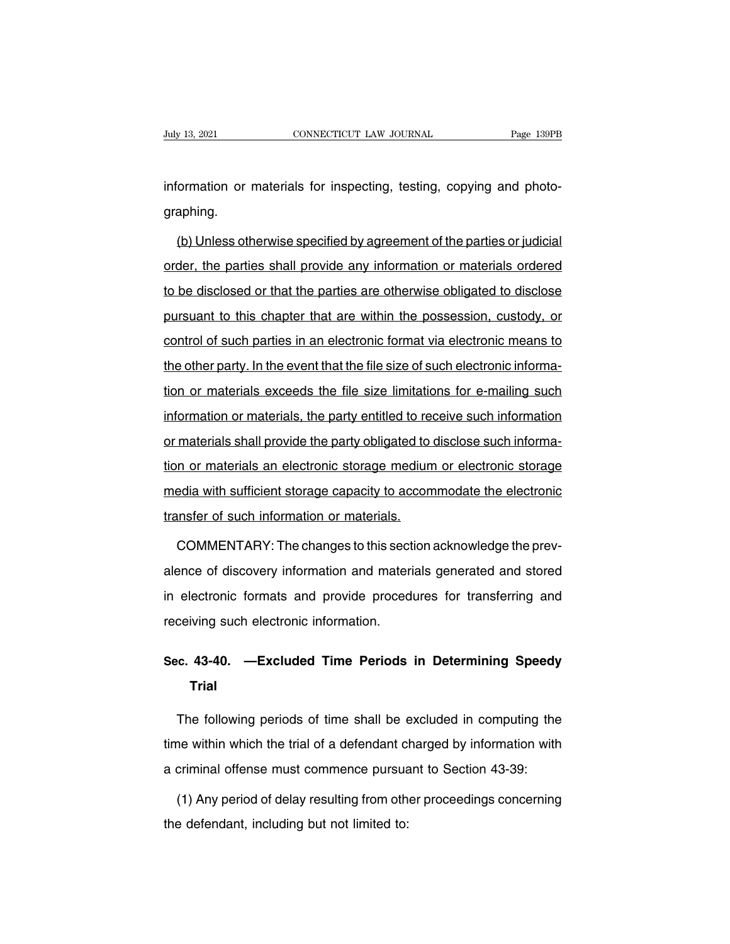Iuly 13, 2021<br>Information or materials for inspecting, testing, copying and photo-<br>Information or materials for inspecting, testing, copying and photo-<br>Internation graphing.

(b) Unless otherwise specified by agreement of the parties or judicial<br>(b) Unless otherwise specified by agreement of the parties or judicial<br>der, the parties shall provide any information or materials ordered information or materials for inspecting, testing, copying and photo-<br>graphing.<br>(b) Unless otherwise specified by agreement of the parties or judicial<br>order, the parties shall provide any information or materials ordered<br>to graphing.<br>(b) Unless otherwise specified by agreement of the parties or judicial<br>order, the parties shall provide any information or materials ordered<br>to be disclosed or that the parties are otherwise obligated to disclose (b) Unless otherwise specified by agreement of the parties or judicial<br>order, the parties shall provide any information or materials ordered<br>to be disclosed or that the parties are otherwise obligated to disclose<br>pursuant order, the parties shall provide any information or materials ordered<br>to be disclosed or that the parties are otherwise obligated to disclose<br>pursuant to this chapter that are within the possession, custody, or<br>control of order, the parties shall provide any information or materials ordered<br>to be disclosed or that the parties are otherwise obligated to disclose<br>pursuant to this chapter that are within the possession, custody, or<br>control of pursuant to this chapter that are within the possession, custody, or<br>control of such parties in an electronic format via electronic means to<br>the other party. In the event that the file size of such electronic informa-<br>tion control of such parties in an electronic format via electronic means to<br>the other party. In the event that the file size of such electronic informa-<br>tion or materials exceeds the file size limitations for e-mailing such<br>in orther of search particle in an electronic formation at the other party. In the event that the file size of such electronic informa-<br>tion or materials exceeds the file size limitations for e-mailing such<br>information or mat tion or materials exceeds the file size limitations for e-mailing such<br>information or materials, the party entitled to receive such information<br>or materials shall provide the party obligated to disclose such informa-<br>tion information or materials, the party entitled to receive such information<br>or materials shall provide the party obligated to disclose such informa-<br>tion or materials an electronic storage medium or electronic storage<br>media w or materials shall provide the party obligated to<br>tion or materials an electronic storage medium<br>media with sufficient storage capacity to accom<br>transfer of such information or materials.<br>COMMENTARY: The changes to this se In or materials an electronic storage medium or electronic storage<br>
Edia with sufficient storage capacity to accommodate the electronic<br>
Inster of such information or materials.<br>
COMMENTARY: The changes to this section ack

media with sufficient storage capacity to accommodate the electronic<br>transfer of such information or materials.<br>COMMENTARY: The changes to this section acknowledge the prev-<br>alence of discovery information and materials ge transfer of such information or materials.<br>COMMENTARY: The changes to this section acknowledge the prev-<br>alence of discovery information and materials generated and stored<br>in electronic formats and provide procedures for t COMMENTARY: The changes to this sect<br>alence of discovery information and materi<br>in electronic formats and provide proced<br>receiving such electronic information. Frankleright and the materials generated and stored<br>
in electronic formats and provide procedures for transferring and<br>
receiving such electronic information.<br> **Sec. 43-40. —Excluded Time Periods in Determining Speedy<br>
Tri** 

## **Trial**

Trial<br>The following periods of time Periods in Determining Speedy<br>Trial<br>The following periods of time shall be excluded in computing the<br>ne within which the trial of a defendant charged by information with Sec. 43-40. —Excluded Time Periods in Determining Speedy<br>Trial<br>The following periods of time shall be excluded in computing the<br>time within which the trial of a defendant charged by information with<br>a criminal offense must Trial<br>The following periods of time shall be excluded in computing the<br>time within which the trial of a defendant charged by information with<br>a criminal offense must commence pursuant to Section 43-39:<br>(1) Any period of de The following periods of time shall be excluded in computing the<br>ne within which the trial of a defendant charged by information with<br>criminal offense must commence pursuant to Section 43-39:<br>(1) Any period of delay result time within which the trial of a defendant clase criminal offense must commence pursus<br>(1) Any period of delay resulting from oth<br>the defendant, including but not limited to: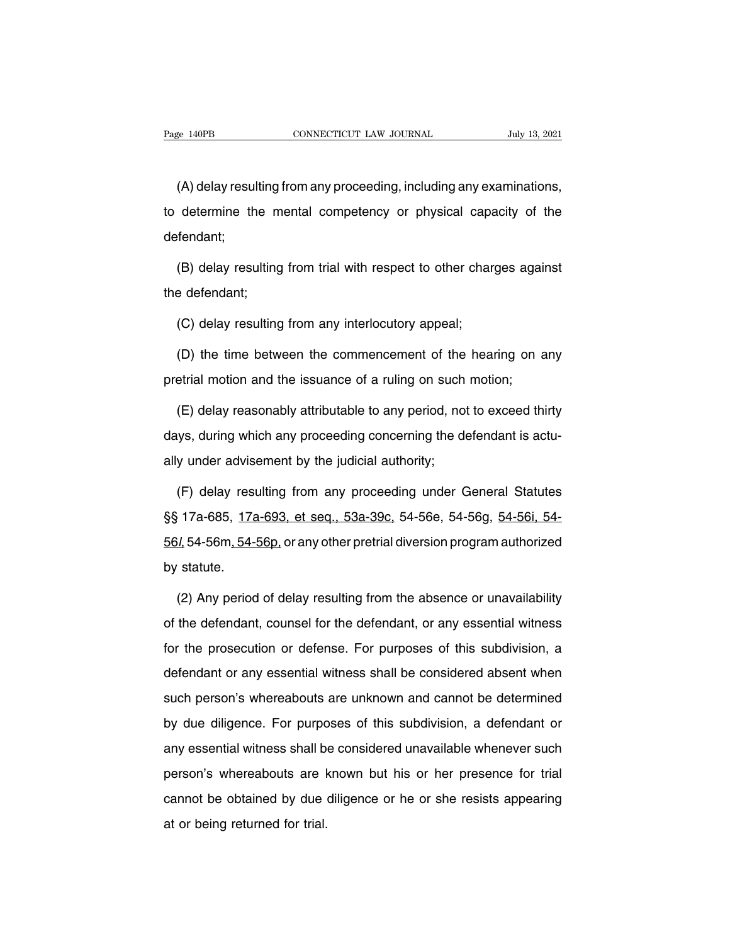EXEMBERT CONNECTICUT LAW JOURNAL THAY JOURNAL THAY 13, 2021<br>
(A) delay resulting from any proceeding, including any examinations,<br>
determine the mental competency or physical capacity of the Fage 140PB CONNECTICUT LAW JOURNAL July 13, 2021<br>
(A) delay resulting from any proceeding, including any examinations,<br>
to determine the mental competency or physical capacity of the<br>
defendant; defendant; (A) delay resulting from any proceeding, including any examinations,<br>determine the mental competency or physical capacity of the<br>fendant;<br>(B) delay resulting from trial with respect to other charges against<br>e defendant; to determine the m<br>defendant;<br>(B) delay resulting<br>the defendant;<br>(C) delay resulting

Fendant;<br>
(B) delay resulting from trial with respect to other changer defendant;<br>
(C) delay resulting from any interlocutory appeal;<br>
(D) the time between the commencement of the heal (B) delay resulting from trial with respect to other charges against<br>e defendant;<br>(C) delay resulting from any interlocutory appeal;<br>(D) the time between the commencement of the hearing on any<br>etrial motion and the issuanc

the defendant;<br>
(C) delay resulting from any interlocutory appeal;<br>
(D) the time between the commencement of the hearing on a<br>
pretrial motion and the issuance of a ruling on such motion;<br>
(F) delay reasonably attributable

(C) delay resulting from any interlocutory appeal;<br>(D) the time between the commencement of the hearing on any<br>etrial motion and the issuance of a ruling on such motion;<br>(E) delay reasonably attributable to any period, not (D) the time between the commencement of the hearing on any pretrial motion and the issuance of a ruling on such motion;<br>(E) delay reasonably attributable to any period, not to exceed thirty days, during which any proceedi pretrial motion and the issuance of a ruling on such<br>
(E) delay reasonably attributable to any period, not<br>
days, during which any proceeding concerning the de<br>
ally under advisement by the judicial authority;<br>
(F) delay r (E) delay reasonably attributable to any period, not to exceed thirty<br>ys, during which any proceeding concerning the defendant is actu-<br>y under advisement by the judicial authority;<br>(F) delay resulting from any proceeding

days, during which any proceeding concerning the defendant is actually under advisement by the judicial authority;<br>(F) delay resulting from any proceeding under General Statutes<br>§§ 17a-685, <u>17a-693, et seq., 53a-39c,</u> 54ally under advisement by the judicial authority;<br>
(F) delay resulting from any proceeding under General Statutes<br>
§§ 17a-685, <u>17a-693, et seq., 53a-39c</u>, 54-56e, 54-56g, <u>54-56i, 54-<br>
56/,</u> 54-56m, 54-56p, or any other pr (F) delay rest)<br> $\S$ § 17a-685, 17a<br>56*l*, 54-56m, 54-by statute. (17a-685, 17a-693, et seq., 53a-39c, 54-56e, 54-56g, 54-56i, 54-<br>
1,54-56m, 54-56p, or any other pretrial diversion program authorized<br>
statute.<br>
(2) Any period of delay resulting from the absence or unavailability<br>
the de

56/, 54-56m, 54-56p, or any other pretrial diversion program authorized<br>by statute.<br>(2) Any period of delay resulting from the absence or unavailability<br>of the defendant, counsel for the defendant, or any essential witness by statute.<br>(2) Any period of delay resulting from the absence or unavailability<br>of the defendant, counsel for the defendant, or any essential witness<br>for the prosecution or defense. For purposes of this subdivision, a<br>def (2) Any period of delay resulting from the absence or unavailability<br>of the defendant, counsel for the defendant, or any essential witness<br>for the prosecution or defense. For purposes of this subdivision, a<br>defendant or an of the defendant, counsel for the defendant, or any essential witness<br>for the prosecution or defense. For purposes of this subdivision, a<br>defendant or any essential witness shall be considered absent when<br>such person's whe by the prosecution or defense. For purposes of this subdivision, a defendant or any essential witness shall be considered absent when such person's whereabouts are unknown and cannot be determined by due diligence. For pur any essential witness shall be considered absent when<br>such person's whereabouts are unknown and cannot be determined<br>by due diligence. For purposes of this subdivision, a defendant or<br>any essential witness shall be conside such person's whereabouts are unknown and cannot be determined<br>by due diligence. For purposes of this subdivision, a defendant or<br>any essential witness shall be considered unavailable whenever such<br>person's whereabouts are by due diligence. For purposes of this subdivision, a defendant or<br>any essential witness shall be considered unavailable whenever such<br>person's whereabouts are known but his or her presence for trial<br>cannot be obtained by by due dingencer for parps<br>any essential witness shall b<br>person's whereabouts are l<br>cannot be obtained by due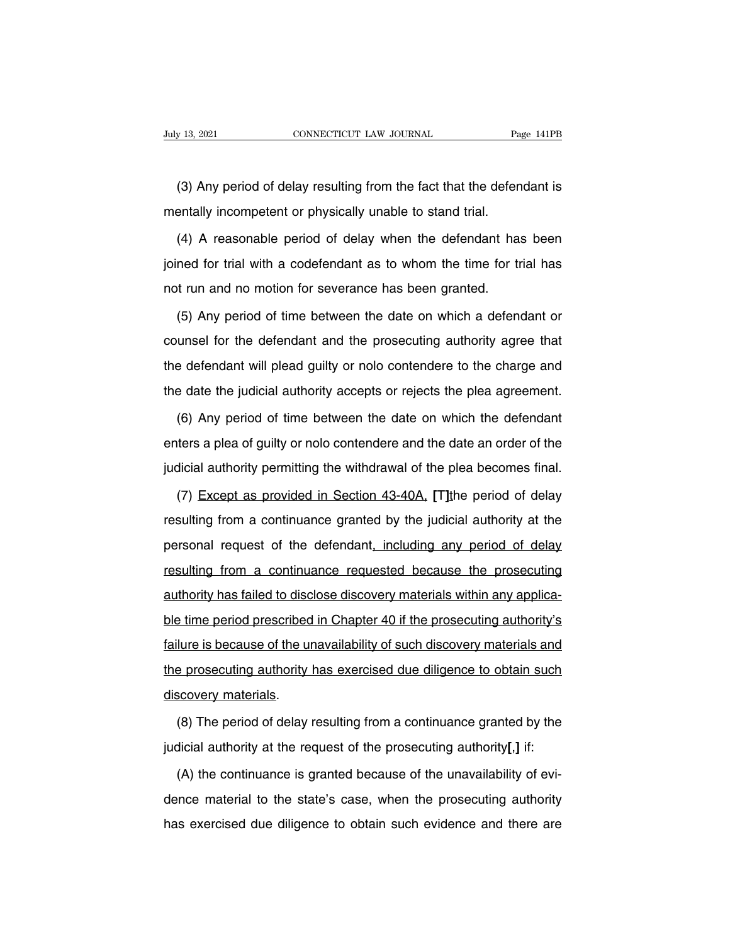(3) Any period of delay resulting from the fact that the defendant is<br>entally incompetent or physically unable to stand trial. Daly 13, 2021 CONNECTICUT LAW JOURNAL Pa<br>
(3) Any period of delay resulting from the fact that the defendentally incompetent or physically unable to stand trial.<br>
(4) A reasonable period of delay when the defendant has

(3) Any period of delay resulting from the fact that the defendant is<br>entally incompetent or physically unable to stand trial.<br>(4) A reasonable period of delay when the defendant has been<br>ned for trial with a codefendant a (3) Any period of delay resulting from the fact that the defendant is<br>mentally incompetent or physically unable to stand trial.<br>(4) A reasonable period of delay when the defendant has been<br>joined for trial with a codefenda mentally incompetent or physically unable to stand trial.<br>
(4) A reasonable period of delay when the defendant has<br>
joined for trial with a codefendant as to whom the time for tr<br>
not run and no motion for severance has be (4) A reasonable period of delay when the defendant has been<br>ned for trial with a codefendant as to whom the time for trial has<br>it run and no motion for severance has been granted.<br>(5) Any period of time between the date o

joined for trial with a codefendant as to whom the time for trial has<br>not run and no motion for severance has been granted.<br>(5) Any period of time between the date on which a defendant or<br>counsel for the defendant and the the defendant of the defendant and the prosecuting authority agree that<br>the defendant will plead guilty or nolo contendere to the charge and<br>the date the judicial authority accepts or rejects the plea agreement. (5) Any period of time between the date on which a defendant or counsel for the defendant and the prosecuting authority agree that the defendant will plead guilty or nolo contendere to the charge and the date the judicial (explicit) The unsel for the defendant and the prosecuting authority agree that<br>a defendant will plead guilty or nolo contendere to the charge and<br>a date the judicial authority accepts or rejects the plea agreement.<br>(6) An

the defendant will plead guilty or nolo contendere to the charge and<br>the date the judicial authority accepts or rejects the plea agreement.<br>(6) Any period of time between the date on which the defendant<br>enters a plea of gu the date the judicial authority accepts or rejects the plea agreement.<br>
(6) Any period of time between the date on which the defendant<br>
enters a plea of guilty or nolo contendere and the date an order of the<br>
judicial auth (6) Any period of time between the date on which the defendant<br>ters a plea of guilty or nolo contendere and the date an order of the<br>dicial authority permitting the withdrawal of the plea becomes final.<br>(7) Except as provi

enters a plea of guilty or nolo contendere and the date an order of the<br>judicial authority permitting the withdrawal of the plea becomes final.<br>(7) Except as provided in Section 43-40A, [T]the period of delay<br>resulting fro judicial authority permitting the withdrawal of the plea becomes final.<br>
(7) Except as provided in Section 43-40A, [T]the period of delay<br>
resulting from a continuance granted by the judicial authority at the<br>
personal req (7) Except as provided in Section 43-40A, [T] the period of delay resulting from a continuance granted by the judicial authority at the personal request of the defendant, including any period of delay resulting from a con resulting from a continuance granted by the judicial authority at the personal request of the defendant, including any period of delay resulting from a continuance requested because the prosecuting authority has failed to bersonal request of the defendant, including any period of delay<br>resulting from a continuance requested because the prosecuting<br>authority has failed to disclose discovery materials within any applica-<br>ble time period presc resulting from a continuance requested because the prosecuting<br>authority has failed to disclose discovery materials within any applica-<br>ble time period prescribed in Chapter 40 if the prosecuting authority's<br>failure is bec authority has failed to disclose discovery materials within any applica-<br>ble time period prescribed in Chapter 40 if the prosecuting authority's<br>failure is because of the unavailability of such discovery materials and<br>the ble time period prescribed<br>failure is because of the un<br>the prosecuting authority<br>discovery materials.<br>(8) The period of delay Figure is because of the unavailability of such discovery materials and<br>a prosecuting authority has exercised due diligence to obtain such<br>scovery materials.<br>(8) The period of delay resulting from a continuance granted by The prosecuting authority has exercised due diligence to obtain such<br>discovery materials.<br>(8) The period of delay resulting from a continuance granted by the<br>judicial authority at the request of the prosecuting authority[,

scovery materials.<br>(8) The period of delay resulting from a continuance granted by the<br>dicial authority at the request of the prosecuting authority[,] if:<br>(A) the continuance is granted because of the unavailability of evi (8) The period of delay resulting from a continuance granted by the judicial authority at the request of the prosecuting authority[,] if:<br>(A) the continuance is granted because of the unavailability of evidence material t judicial authority at the request of the prosecuting authority[,] if:<br>(A) the continuance is granted because of the unavailability of evi-<br>dence material to the state's case, when the prosecuting authority<br>has exercised du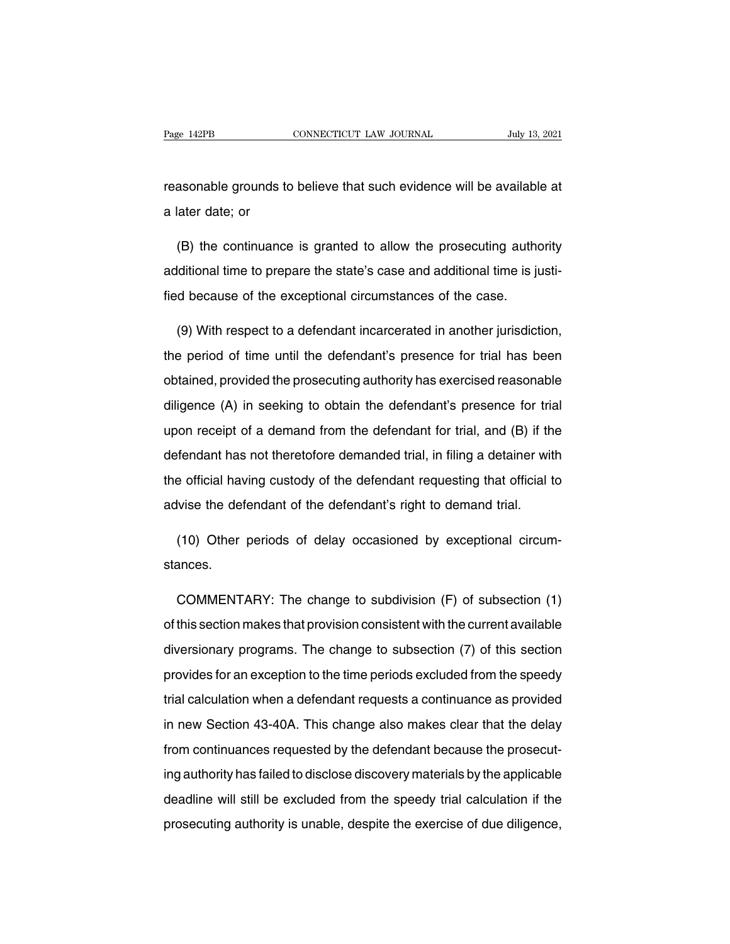reasonable grounds to believe that such evidence will be available at<br>a later date; or Page 142PB<br>reasonable grounds to<br>a later date; or

(B) asonable grounds to believe that such evidence will be available at<br>ater date; or<br>(B) the continuance is granted to allow the prosecuting authority<br>ditional time to prepare the state's case and additional time is justi reasonable grounds to believe that such evidence will be available at<br>a later date; or<br>(B) the continuance is granted to allow the prosecuting authority<br>additional time to prepare the state's case and additional time is ju fied because of the exceptional circumstances of the case.<br>
(a) With recreating a differential circumstances of the case.<br>
(a) With recreating a diferent incorporated in another invigibit (B) the continuance is granted to allow the prosecuting authority<br>ditional time to prepare the state's case and additional time is justi-<br>d because of the exceptional circumstances of the case.<br>(9) With respect to a defend

additional time to prepare the state's case and additional time is justi-<br>fied because of the exceptional circumstances of the case.<br>(9) With respect to a defendant incarcerated in another jurisdiction,<br>the period of time fied because of the exceptional circumstances of the case.<br>
(9) With respect to a defendant incarcerated in another jurisdiction,<br>
the period of time until the defendant's presence for trial has been<br>
obtained, provided th (9) With respect to a defendant incarcerated in another jurisdiction,<br>the period of time until the defendant's presence for trial has been<br>obtained, provided the prosecuting authority has exercised reasonable<br>diligence (A) (b) With reception of a detendant included in another jancalcular,<br>the period of time until the defendant's presence for trial has been<br>obtained, provided the prosecuting authority has exercised reasonable<br>diligence (A) in obtained, provided the prosecuting authority has exercised reasonable<br>diligence (A) in seeking to obtain the defendant's presence for trial<br>upon receipt of a demand from the defendant for trial, and (B) if the<br>defendant ha diligence (A) in seeking to obtain the defendant's presence for trial<br>upon receipt of a demand from the defendant for trial, and (B) if the<br>defendant has not theretofore demanded trial, in filing a detainer with<br>the offici ally and process (x) in section of the defendant to trial, and (B) if the defendant has not theretofore demanded trial, in filing a detainer with the official having custody of the defendant requesting that official the de fendant has not theretofore demanded trial, in filing a detainer with<br>e official having custody of the defendant requesting that official to<br>lvise the defendant of the defendant's right to demand trial.<br>(10) Other periods

stances.

ivise the defendant of the defendant's right to demand trial.<br>(10) Other periods of delay occasioned by exceptional circum-<br>ances.<br>COMMENTARY: The change to subdivision (F) of subsection (1)<br>this section makes that provisi (10) Other periods of delay occasioned by exceptional circum-<br>stances.<br>COMMENTARY: The change to subdivision (F) of subsection (1)<br>of this section makes that provision consistent with the current available<br>diversionary pro stances.<br>COMMENTARY: The change to subdivision (F) of subsection (1)<br>of this section makes that provision consistent with the current available<br>diversionary programs. The change to subsection (7) of this section<br>provides f COMMENTARY: The change to subdivision (F) of subsection (1)<br>of this section makes that provision consistent with the current available<br>diversionary programs. The change to subsection (7) of this section<br>provides for an exc of this section makes that provision consistent with the current available<br>diversionary programs. The change to subsection (7) of this section<br>provides for an exception to the time periods excluded from the speedy<br>trial ca diversionary programs. The change to subsection (7) of this section<br>provides for an exception to the time periods excluded from the speedy<br>trial calculation when a defendant requests a continuance as provided<br>in new Sectio diversionary programs. The change to subsection (7) of this section<br>provides for an exception to the time periods excluded from the speedy<br>trial calculation when a defendant requests a continuance as provided<br>in new Sectio From collection when a defendant requests a continuance as provided<br>in new Section 43-40A. This change also makes clear that the delay<br>from continuances requested by the defendant because the prosecut-<br>ing authority has fa in new Section 43-40A. This change also makes clear that the delay<br>from continuances requested by the defendant because the prosecut-<br>ing authority has failed to disclose discovery materials by the applicable<br>deadline will from continuances requested by the defendant because the prosecut-<br>ing authority has failed to disclose discovery materials by the applicable<br>deadline will still be excluded from the speedy trial calculation if the<br>prosecu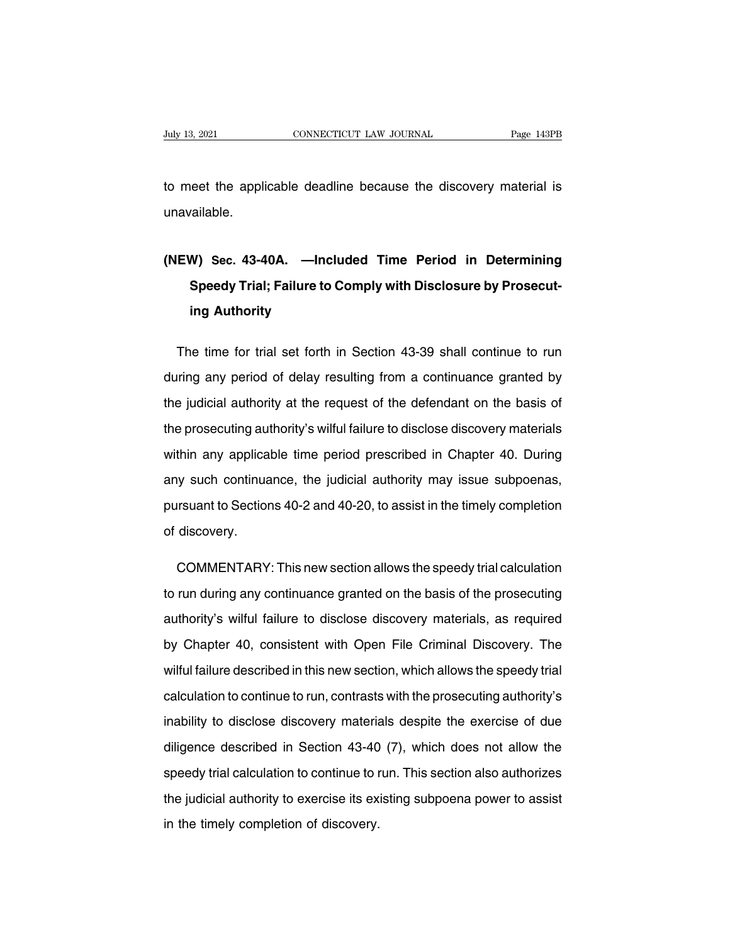Tuly 13, 2021 CONNECTICUT LAW JOURNAL Page 143PB<br>to meet the applicable deadline because the discovery material is<br>unavailable. unavailable.

## **(NEW) Sec. 43-40A. —Included Time Period in Determining** railable.<br>
W) Sec. 43-40A. —Included Time Period in Determining<br>
Speedy Trial; Failure to Comply with Disclosure by Prosecut-<br>
ing Authority **indicts:**<br>M) Sec. 43-40A. —Incl<br>Speedy Trial; Failure to (<br>ing Authority EW) Sec. 43-40A. —Included Time Period in Determining<br>Speedy Trial; Failure to Comply with Disclosure by Prosecut-<br>ing Authority<br>The time for trial set forth in Section 43-39 shall continue to run<br>ring any period of delay

Speedy Trial; Failure to Comply with Disclosure by Prosecut-<br>ing Authority<br>The time for trial set forth in Section 43-39 shall continue to run<br>during any period of delay resulting from a continuance granted by<br>the judicial ing Authority<br>The time for trial set forth in Section 43-39 shall continue to run<br>during any period of delay resulting from a continuance granted by<br>the judicial authority at the request of the defendant on the basis of<br>th The time for trial set forth in Section 43-39 shall continue to run<br>during any period of delay resulting from a continuance granted by<br>the judicial authority at the request of the defendant on the basis of<br>the prosecuting during any period of delay resulting from a continuance granted by<br>the judicial authority at the request of the defendant on the basis of<br>the prosecuting authority's wilful failure to disclose discovery materials<br>within an the judicial authority at the request of the defendant on the basis of<br>the prosecuting authority's wilful failure to disclose discovery materials<br>within any applicable time period prescribed in Chapter 40. During<br>any such the prosecuting authority's wilful failure to disclose discovery materials<br>within any applicable time period prescribed in Chapter 40. During<br>any such continuance, the judicial authority may issue subpoenas,<br>pursuant to Se within any applica<br>any such continua<br>pursuant to Section<br>of discovery. is such continuance, the judicial authority may issue subpoenas,<br>
in the timely completion<br>
discovery.<br>
COMMENTARY: This new section allows the speedy trial calculation<br>
run during any continuance granted on the basis of t

pursuant to Sections 40-2 and 40-20, to assist in the timely completion<br>of discovery.<br>COMMENTARY: This new section allows the speedy trial calculation<br>to run during any continuance granted on the basis of the prosecuting<br>a of discovery.<br>
COMMENTARY: This new section allows the speedy trial calculation<br>
to run during any continuance granted on the basis of the prosecuting<br>
authority's wilful failure to disclose discovery materials, as require COMMENTARY: This new section allows the speedy trial calculation<br>to run during any continuance granted on the basis of the prosecuting<br>authority's wilful failure to disclose discovery materials, as required<br>by Chapter 40, to run during any continuance granted on the basis of the prosecuting<br>authority's wilful failure to disclose discovery materials, as required<br>by Chapter 40, consistent with Open File Criminal Discovery. The<br>wilful failure authority's wilful failure to disclose discovery materials, as required<br>by Chapter 40, consistent with Open File Criminal Discovery. The<br>wilful failure described in this new section, which allows the speedy trial<br>calculati by Chapter 40, consistent with Open File Criminal Discovery. The wilful failure described in this new section, which allows the speedy trial calculation to continue to run, contrasts with the prosecuting authority's inabil wilful failure described in this new section, which allows the speedy trial<br>calculation to continue to run, contrasts with the prosecuting authority's<br>inability to disclose discovery materials despite the exercise of due<br>d calculation to continue to run, contrasts with the prosecuting authority's<br>inability to disclose discovery materials despite the exercise of due<br>diligence described in Section 43-40 (7), which does not allow the<br>speedy tri inability to disclose discovery materials despite the exercise of due<br>diligence described in Section 43-40 (7), which does not allow the<br>speedy trial calculation to continue to run. This section also authorizes<br>the judicia inability to disclose discovery materials despite the exercise of due<br>diligence described in Section 43-40 (7), which does not allow the<br>speedy trial calculation to continue to run. This section also authorizes<br>the judicia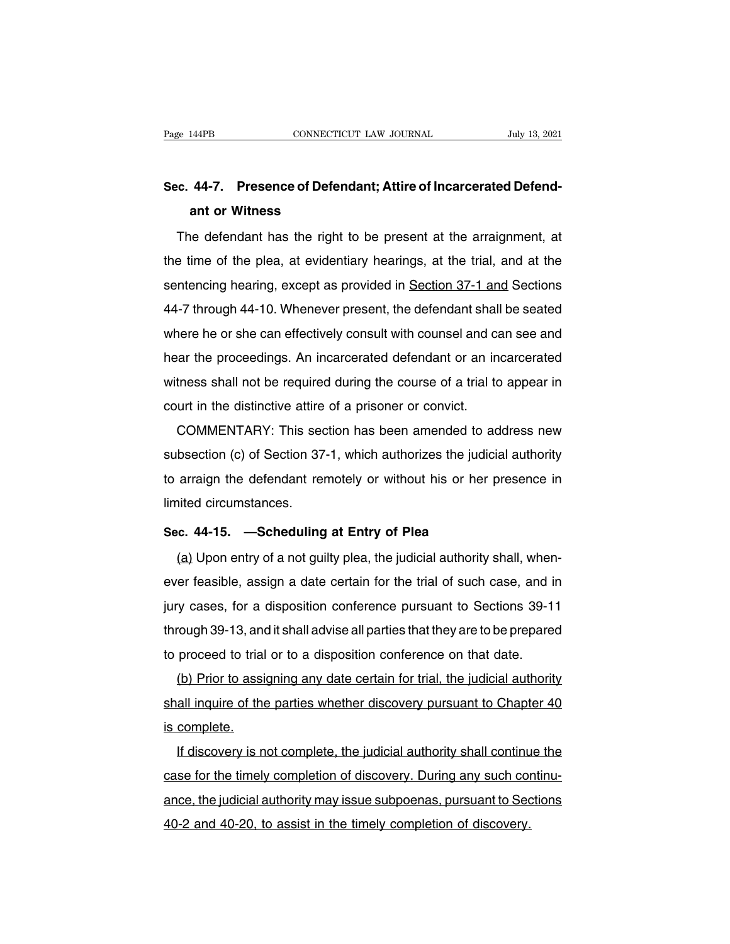## Page 144PB CONNECTICUT LAW JOURNAL July 13, 2021<br> **Sec. 44-7. Presence of Defendant; Attire of Incarcerated Defend-**<br> **ant or Witness EXECUTE:**<br> **ant or Witness**<br> **ant or Witness**<br> **ant or Witness**<br> **ant or Witness**

The defendant or Witness<br>The defendant has the right to be present at the arraignment, at<br>the defendant has the right to be present at the arraignment, at<br>the of the plea, at evidentiary hearings, at the trial, and at the Sec. 44-7. Presence of Defendant; Attire of Incarcerated Defend-<br>ant or Witness<br>The defendant has the right to be present at the arraignment, at<br>the time of the plea, at evidentiary hearings, at the trial, and at the<br>sente ant or Witness<br>ant or Witness<br>The defendant has the right to be present at the arraignment, at<br>the time of the plea, at evidentiary hearings, at the trial, and at the<br>sentencing hearing, except as provided in Section 37-1 The defendant has the right to be present at the arraignment, at<br>the time of the plea, at evidentiary hearings, at the trial, and at the<br>sentencing hearing, except as provided in Section 37-1 and Sections<br>44-7 through 44-1 The defendant has the right to be present at the arrangmment, at<br>the time of the plea, at evidentiary hearings, at the trial, and at the<br>sentencing hearing, except as provided in <u>Section 37-1 and</u> Sections<br>44-7 through 44 the time of the plea, at evidentiary nearings, at the that, and at the<br>sentencing hearing, except as provided in Section 37-1 and Sections<br>44-7 through 44-10. Whenever present, the defendant shall be seated<br>where he or she sentencing nearing, except as provided in Section 37-1 and Sections<br>44-7 through 44-10. Whenever present, the defendant shall be seated<br>where he or she can effectively consult with counsel and can see and<br>hear the proceedi 44-7 through 44-10. Whenever present, the detendant share<br>where he or she can effectively consult with counsel and ca<br>hear the proceedings. An incarcerated defendant or an in<br>witness shall not be required during the course Fiere rie or she can enectively consult with counser and can see and<br>ar the proceedings. An incarcerated defendant or an incarcerated<br>thess shall not be required during the course of a trial to appear in<br>urt in the distinc

near the proceedings. An incarcenated detendant of an incarcenated<br>witness shall not be required during the course of a trial to appear in<br>court in the distinctive attire of a prisoner or convict.<br>COMMENTARY: This section withess shall not be required during the course of a that to appear in<br>court in the distinctive attire of a prisoner or convict.<br>COMMENTARY: This section has been amended to address new<br>subsection (c) of Section 37-1, whic COMMENTARY: This sec<br>subsection (c) of Section 37<br>to arraign the defendant rel<br>limited circumstances.<br>Sec. 44-15. —Scheduling **Subsection (c) of Section 37-1, which authorizes the judic<br>to arraign the defendant remotely or without his or her plimited circumstances.<br><b>Sec. 44-15. —Scheduling at Entry of Plea**<br>(a) Upon entry of a not guilty plea, th arraign the defendant remotely or without his or her presence in<br>ited circumstances.<br>c. 44-15. —Scheduling at Entry of Plea<br>(a) Upon entry of a not guilty plea, the judicial authority shall, when-<br>er feasible, assign a dat

limited circumstances.<br>
Sec. 44-15. —Scheduling at Entry of Plea<br>
(a) Upon entry of a not guilty plea, the judicial authority shall, when-<br>
ever feasible, assign a date certain for the trial of such case, and in<br>
jury case Sec. 44-15. —Scheduling at Entry of Plea<br>
(a) Upon entry of a not guilty plea, the judicial authority shall, when-<br>
ever feasible, assign a date certain for the trial of such case, and in<br>
jury cases, for a disposition con (a) Upon entry of a not guilty plea, the judicial authority shall, when-<br>ever feasible, assign a date certain for the trial of such case, and in<br>jury cases, for a disposition conference pursuant to Sections 39-11<br>through 3 (a) opon entry or a not guitty piea, the judicial authority shall, when<br>ever feasible, assign a date certain for the trial of such case, and i<br>jury cases, for a disposition conference pursuant to Sections 39-1<br>through 39-1 er reasible, assign a date certain for the that of such case, and in<br>y cases, for a disposition conference pursuant to Sections 39-11<br>rough 39-13, and it shall advise all parties that they are to be prepared<br>proceed to tri

flury cases, for a disposition conference pursuant to Sections 39-11<br>through 39-13, and it shall advise all parties that they are to be prepared<br>to proceed to trial or to a disposition conference on that date.<br>(b) Prior to infought 39-13, and<br>to proceed to trial<br>(b) Prior to assi<br>shall inquire of the<br>is complete.<br>If discovery is n proceed to that or to a disposition conference on that date.<br>
(b) Prior to assigning any date certain for trial, the judicial authority<br>
all inquire of the parties whether discovery pursuant to Chapter 40<br>
complete.<br>
If di

(b) Prior to assigning any date certain for that, the judicial authority<br>shall inquire of the parties whether discovery pursuant to Chapter 40<br>is complete.<br>If discovery is not complete, the judicial authority shall continu shall iniquite of the parties whether discovery pursuant to Chapter 40<br>is complete.<br>If discovery is not complete, the judicial authority shall continue the<br>case for the timely completion of discovery. During any such conti If discovery is not complete, the judicial authority shall continu<br>case for the timely completion of discovery. During any such cor<br>ance, the judicial authority may issue subpoenas, pursuant to Sec<br>40-2 and 40-20, to assis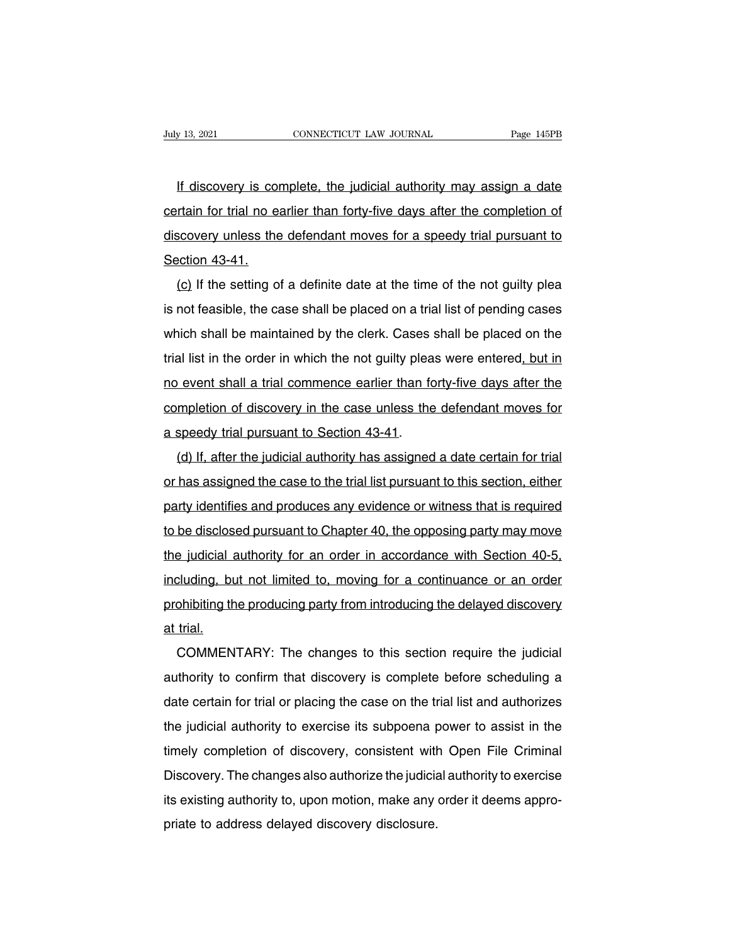If discovery is complete, the judicial authority may assign a date<br>If discovery is complete, the judicial authority may assign a date<br>If discovery is complete, the judicial authority may assign a date<br>If discovery is compl CONNECTICUT LAW JOURNAL Page 145PB<br>
If discovery is complete, the judicial authority may assign a date<br>
Certain for trial no earlier than forty-five days after the completion of<br>
discovery unless the defendant moves for a If discovery is complete, the judicial authority may assign a date<br>certain for trial no earlier than forty-five days after the completion of<br>discovery unless the defendant moves for a speedy trial pursuant to<br>Section 43-41 If discovery is com<br>
discovery unless the<br>
discovery unless the<br>
Section 43-41.<br>
(c) If the setting of The setting of a definite date at the time of the not guilty and the settem of scovery unless the defendant moves for a speedy trial pursuant to ection 43-41.<br>(c) If the setting of a definite date at the time of the not gu

discovery unless the defendant moves for a speedy trial pursuant to<br>Section 43-41.<br>(c) If the setting of a definite date at the time of the not guilty plea<br>is not feasible, the case shall be placed on a trial list of pendi Section 43-41.<br>
(c) If the setting of a definite date at the time of the not guilty plea<br>
is not feasible, the case shall be placed on a trial list of pending cases<br>
which shall be maintained by the clerk. Cases shall be p (c) If the setting of a definite date at the time of the not guilty plea<br>is not feasible, the case shall be placed on a trial list of pending cases<br>which shall be maintained by the clerk. Cases shall be placed on the<br>tria is not feasible, the case shall be placed on a trial list of pending cases<br>which shall be maintained by the clerk. Cases shall be placed on the<br>trial list in the order in which the not guilty pleas were entered, but in<br>no is not reasible, the case shall be placed on a that list of periolity cases<br>which shall be maintained by the clerk. Cases shall be placed on the<br>trial list in the order in which the not guilty pleas were entered, but in<br>no a speedy trial pursuant to Section 43-41.<br>
a speedy trial pursuant to Section 43-41.<br>
(d) If, after the judicial authority has assigned (d) If, after the judicial authority has assigned a date certain for trial<br>has assigned the judicial authority has assigned a date certain for trial<br>has assigned the case to the trial list pursuant to this section, either

or the completion of discovery in the case unless the defendant moves for<br>a speedy trial pursuant to Section 43-41.<br>(d) If, after the judicial authority has assigned a date certain for trial<br>or has assigned the case to the a speedy trial pursuant to Section 43-41.<br>
(d) If, after the judicial authority has assigned a date certain for trial<br>
or has assigned the case to the trial list pursuant to this section, either<br>
party identifies and produ (d) If, after the judicial authority has assigned a date certain for trial<br>or has assigned the case to the trial list pursuant to this section, either<br>party identifies and produces any evidence or witness that is required<br> the judicial authority files assigned a date detail for that<br>or has assigned the case to the trial list pursuant to this section, either<br>party identifies and produces any evidence or witness that is required<br>to be disclose but nas assigned the case to the that its pursuant to this section, entref<br>party identifies and produces any evidence or witness that is required<br>to be disclosed pursuant to Chapter 40, the opposing party may move<br>the judi party identifies and produces any evidence or whitess that is required<br>to be disclosed pursuant to Chapter 40, the opposing party may move<br>the judicial authority for an order in accordance with Section 40-5,<br>including, but to be disclosed<br>the judicial a<br>including, bu<br>prohibiting the at trial. E judicial additionty for air order in accordance with section 40-5.<br>Cluding, but not limited to, moving for a continuance or an order<br>ohibiting the producing party from introducing the delayed discovery<br>trial.<br>COMMENTARY:

prohibiting the producing party from introducing the delayed discovery<br>at trial.<br>COMMENTARY: The changes to this section require the judicial<br>authority to confirm that discovery is complete before scheduling a<br>date certain at trial.<br>at trial.<br>COMMENTARY: The changes to this section require the judicial<br>authority to confirm that discovery is complete before scheduling a<br>date certain for trial or placing the case on the trial list and authoriz COMMENTARY: The changes to this section require the judicial<br>authority to confirm that discovery is complete before scheduling a<br>date certain for trial or placing the case on the trial list and authorizes<br>the judicial auth EUNIMENTANT. The changes to this section require the judicial<br>authority to confirm that discovery is complete before scheduling a<br>date certain for trial or placing the case on the trial list and authorizes<br>the judicial aut authority to commit that discovery is complete before scheduling a<br>date certain for trial or placing the case on the trial list and authorizes<br>the judicial authority to exercise its subpoena power to assist in the<br>timely c date certain for that of placing the case on the that list and authorizes<br>the judicial authority to exercise its subpoena power to assist in the<br>timely completion of discovery, consistent with Open File Criminal<br>Discovery. timely completion of discovery, consistent with<br>Discovery. The changes also authorize the judicial<br>its existing authority to, upon motion, make any<br>priate to address delayed discovery disclosure.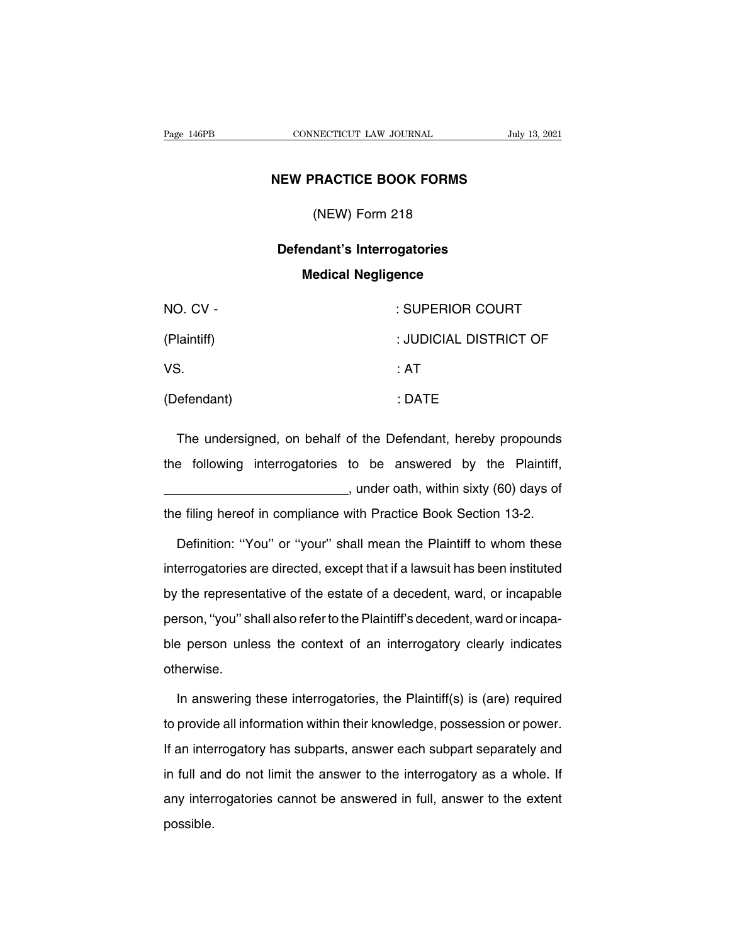# **CONNECTICUT LAW JOURNAL** July 13, 2<br> **NEW PRACTICE BOOK FORMS** NECTICUT LAW JOURNAL<br>
PRACTICE BOOK FORMS<br>
(NEW) Form 218<br>
dant's Interrections

# **IEW PRACTICE BOOK FORMS<br>(NEW) Form 218<br>Defendant's Interrogatories<br>Medical Negligence PRACTICE BOOK FORMS**<br>(NEW) Form 218<br>**endant's Interrogatories**<br>Medical Negligence

| $(NEVV)$ Form 218                                              |                        |  |
|----------------------------------------------------------------|------------------------|--|
| Defendant's Interrogatories<br><b>Medical Negligence</b>       |                        |  |
| NO. CV -                                                       | : SUPERIOR COURT       |  |
| (Plaintiff)                                                    | : JUDICIAL DISTRICT OF |  |
| VS.                                                            | : AT                   |  |
| (Defendant)                                                    | : DATE                 |  |
| The undersigned, on behalf of the Defendant, hereby propounds  |                        |  |
| the following interrogatories to be answered by the Plaintiff, |                        |  |

The undersigned, on behalf of the Defendant, hereby propounds<br>the following interrogatories to be answered by the Plaintiff,<br>the following interrogatories to be answered by the Plaintiff, : DATE<br>
of the Defendant, hereby propounds<br>
to be answered by the Plaintiff,<br>
, under oath, within sixty (60) days of<br>
with Practice Book Section 13-2. the filing hereof in compliance with Practice Book Section 13-2. of following interrogatories to be answered by the Plaintiff,<br>  $\ldots$  under oath, within sixty (60) days of<br>
persiting hereof in compliance with Practice Book Section 13-2.<br>
Definition: "You" or "your" shall mean the Plaint

interrogatories are directed, except that if a lawsuit has been instituted<br>by the representative of the estate of a decedent, ward, or incapable<br>by the representative of the estate of a decedent, ward, or incapable the filing hereof in compliance with Practice Book Section 13-2.<br>Definition: "You" or "your" shall mean the Plaintiff to whom these<br>interrogatories are directed, except that if a lawsuit has been instituted<br>by the represen Definition: "You" or "your" shall mean the Plaintiff to whom these<br>interrogatories are directed, except that if a lawsuit has been instituted<br>by the representative of the estate of a decedent, ward, or incapable<br>person, "y ble person and also refer to the Plainting of an instituted<br>by the representative of the estate of a decedent, ward, or incapable<br>person, "you" shall also refer to the Plaintiff's decedent, ward or incapa-<br>ble person unles otherwise. In answering these interrogatories, the Plaintiff's decedent, ward or incapa-<br>In answering these interrogatories, the Plaintiff(s) is (are) required<br>provide all information within their knowledge, possession or power.

ble person unless the context of an interrogatory clearly indicates<br>otherwise.<br>In answering these interrogatories, the Plaintiff(s) is (are) required<br>to provide all information within their knowledge, possession or power.<br> otherwise.<br>
In answering these interrogatories, the Plaintiff(s) is (are) required<br>
to provide all information within their knowledge, possession or power.<br>
If an interrogatory has subparts, answer each subpart separately In answering these interrogatories, the Plaintiff(s) is (are) required<br>to provide all information within their knowledge, possession or power.<br>If an interrogatory has subparts, answer each subpart separately and<br>in full an any interrogatories interrogatories, the Framming reduction of power.<br>If an interrogatory has subparts, answer each subpart separately and<br>in full and do not limit the answer to the interrogatory as a whole. If<br>any interro possible.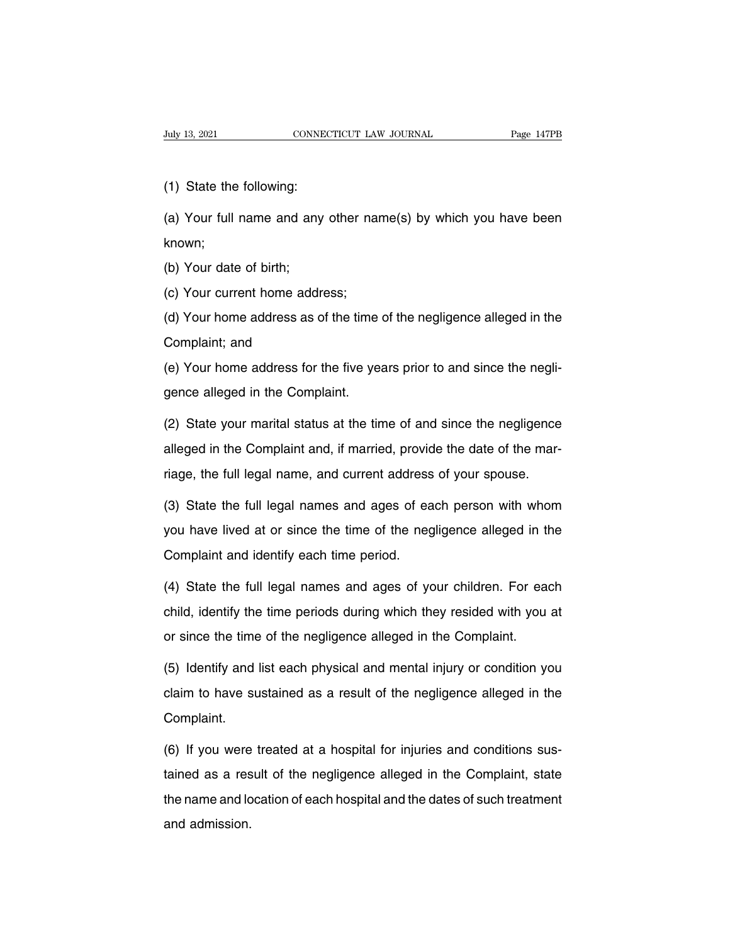July 13, 2021<br>
(1) State the following:<br>
(a) Your full name and any

Undy 13, 2021 CONNECTICUT LAW JOURNAL Page 147PB<br>
(1) State the following:<br>
(a) Your full name and any other name(s) by which you have been<br>
known; known; (1) State the following:<br>(a) Your full name and any<br>known;<br>(b) Your date of birth;<br>(c) Your current home addr (a) Your full name and any other nais<br>known;<br>(b) Your date of birth;<br>(c) Your current home address;<br>(d) Your home address as of the time

(a) Your date of birth;<br>
(b) Your date of birth;<br>
(c) Your current home address;<br>
(d) Your home address as of the time of the negligence alleged in the<br>
Complaint; and (b) Your date of birth;<br>(c) Your current home add<br>(d) Your home address as<br>Complaint; and<br>(e) Your home address for (c) Your current home address;<br>(d) Your home address as of the time of the negligence alleged in the<br>Complaint; and<br>(e) Your home address for the five years prior to and since the negli-<br>gence alleged in the Complaint. (d) Your home address as of the time<br>Complaint; and<br>(e) Your home address for the five year<br>gence alleged in the Complaint.<br>(2) State your marital status at the time

(e) Your home address for the five years prior to and since the negligence alleged in the Complaint.<br>(2) State your marital status at the time of and since the negligence alleged in the Complaint and, if married, provide t (e) Your home address for the five years prior to and since the negli-<br>gence alleged in the Complaint.<br>(2) State your marital status at the time of and since the negligence<br>alleged in the Complaint and, if married, provide required alleged in the Complaint.<br>
(2) State your marital status at the time of and since the negligence<br>
alleged in the Complaint and, if married, provide the date of the mar-<br>
riage, the full legal name, and current add (2) State your marital status at the time of and since the negligence<br>alleged in the Complaint and, if married, provide the date of the mar-<br>riage, the full legal name, and current address of your spouse.<br>(3) State the ful

alleged in the Complaint and, if married, provide the date of the mar-<br>riage, the full legal name, and current address of your spouse.<br>(3) State the full legal names and ages of each person with whom<br>you have lived at or s riage, the full legal name, and current address of your spouse.<br>
(3) State the full legal names and ages of each person with whom<br>
you have lived at or since the time of the negligence alleged in the<br>
Complaint and identif (3) State the full legal names and ages of each person with whom<br>you have lived at or since the time of the negligence alleged in the<br>Complaint and identify each time period.<br>(4) State the full legal names and ages of your

you have lived at or since the time of the negligence alleged in the<br>Complaint and identify each time period.<br>(4) State the full legal names and ages of your children. For each<br>child, identify the time periods during which Complaint and identify each time period.<br>
(4) State the full legal names and ages of your children. For eachild, identify the time periods during which they resided with you<br>
or since the time of the negligence alleged in (4) State the full legal names and ages of your children. For each child, identify the time periods during which they resided with you at or since the time of the negligence alleged in the Complaint.<br>(5) Identify and list

child, identify the time periods during which they resided with you at<br>or since the time of the negligence alleged in the Complaint.<br>(5) Identify and list each physical and mental injury or condition you<br>claim to have sust Complaint. (5) Identify and list each physical and mental injury or condition you claim to have sustained as a result of the negligence alleged in the Complaint.<br>(6) If you were treated at a hospital for injuries and conditions susta

claim to have sustained as a result of the negligence alleged in the<br>Complaint.<br>(6) If you were treated at a hospital for injuries and conditions sus-<br>tained as a result of the negligence alleged in the Complaint, state<br>th Complaint.<br>(6) If you were treated at a hospital for injuries and conditions sus-<br>tained as a result of the negligence alleged in the Complaint, state<br>the name and location of each hospital and the dates of such treatment<br> (6) If you were<br>tained as a res<br>the name and lc<br>and admission.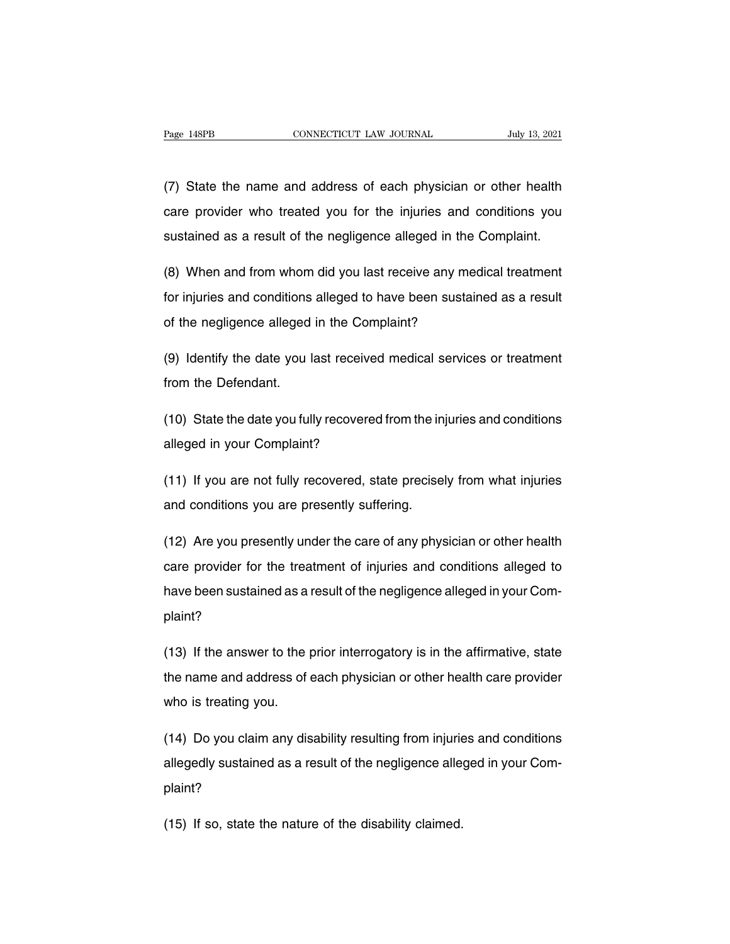Page 148PB CONNECTICUT LAW JOURNAL July 13, 2021<br>
(7) State the name and address of each physician or other health<br>
care provider who treated you for the injuries and conditions you Page 148PB CONNECTICUT LAW JOURNAL July 13, 2021<br>(7) State the name and address of each physician or other health<br>care provider who treated you for the injuries and conditions you<br>sustained as a result of the negligence al (7) State the name and address of each physician or other health<br>care provider who treated you for the injuries and conditions you<br>sustained as a result of the negligence alleged in the Complaint. (7) State the name and address of each physician or other health<br>care provider who treated you for the injuries and conditions you<br>sustained as a result of the negligence alleged in the Complaint.<br>(8) When and from whom di

care provider who treated you for the injuries and conditions you<br>sustained as a result of the negligence alleged in the Complaint.<br>(8) When and from whom did you last receive any medical treatment<br>for injuries and conditi sustained as a result of the negligence alleged in the C<br>(8) When and from whom did you last receive any med<br>for injuries and conditions alleged to have been sustain<br>of the negligence alleged in the Complaint? (8) When and from whom did you last receive any medical treatment<br>for injuries and conditions alleged to have been sustained as a result<br>of the negligence alleged in the Complaint?<br>(9) Identify the date you last received m for injuries and conditions<br>of the negligence alleged<br>(9) Identify the date you I<br>from the Defendant.

(9) Identify the date you last received medical services or treatment<br>from the Defendant.<br>(10) State the date you fully recovered from the injuries and conditions<br>alleged in your Complaint? (9) Identify the date you last received<br>from the Defendant.<br>(10) State the date you fully recovered<br>alleged in your Complaint?

(10) State the date you fully recovered from the injuries and conditions<br>alleged in your Complaint?<br>(11) If you are not fully recovered, state precisely from what injuries<br>and conditions you are presently suffering. (10) State the date you fully recovered from the in<br>alleged in your Complaint?<br>(11) If you are not fully recovered, state precise<br>and conditions you are presently suffering.

(11) If you are not fully recovered, state precisely from what injuries<br>and conditions you are presently suffering.<br>(12) Are you presently under the care of any physician or other health<br>care provider for the treatment of (11) If you are not fully recovered, state precisely from what injuries<br>and conditions you are presently suffering.<br>(12) Are you presently under the care of any physician or other health<br>care provider for the treatment of and conditions you are presently suffering.<br>(12) Are you presently under the care of any physician or other health<br>care provider for the treatment of injuries and conditions alleged to<br>have been sustained as a result of th plaint? care provider for the treatment of injuries and conditions alleged to<br>have been sustained as a result of the negligence alleged in your Com-<br>plaint?<br>(13) If the answer to the prior interrogatory is in the affirmative, stat

the negligence alleged in your Complaint?<br>(13) If the answer to the prior interrogatory is in the affirmative, state<br>the name and address of each physician or other health care provider<br>who is treating you. plaint?<br>(13) If the answer to the<br>the name and address of<br>who is treating you. (13) If the answer to the prior interrogatory is in the affirmative, state<br>the name and address of each physician or other health care provider<br>who is treating you.<br>(14) Do you claim any disability resulting from injuries

the name and address of each physician or other health care provider<br>who is treating you.<br>(14) Do you claim any disability resulting from injuries and conditions<br>allegedly sustained as a result of the negligence alleged in plaint? (14) Do you claim any disability resulting from injurie<br>allegedly sustained as a result of the negligence alle<br>plaint?<br>(15) If so, state the nature of the disability claimed.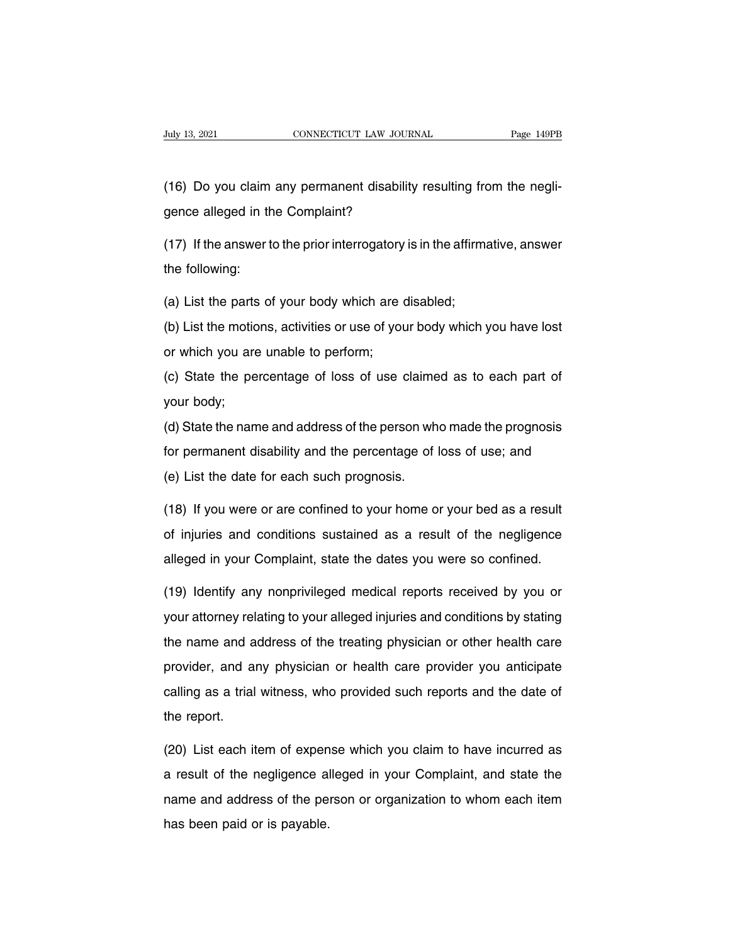Valy 13, 2021<br>
CONNECTICUT LAW JOURNAL<br>
(16) Do you claim any permanent disability resulting from the negli-<br>
gence alleged in the Complaint? July 13, 2021 CONNECTICUT LAW JOURN<br>
(16) Do you claim any permanent disability<br>
gence alleged in the Complaint?<br>
(17) If the answer to the prior interroratory is (16) Do you claim any permanent disability resulting from the negligence alleged in the Complaint?<br>(17) If the answer to the prior interrogatory is in the affirmative, answer<br>the following: (16) Do you claim<br>gence alleged in the following:<br>the following:<br>(a) List the parts of

gence alleged in the Complaint?<br>(17) If the answer to the prior interrogatory is in the affirmathe following:<br>(a) List the parts of your body which are disabled;<br>(b) List the motions, activities or use of your body which

(17) If the answer to the prior interrogatory is in the affirmative, answer<br>the following:<br>(a) List the parts of your body which are disabled;<br>(b) List the motions, activities or use of your body which you have lost<br>or whi the following:<br>
(a) List the parts of your body which are (b)<br>
(b) List the motions, activities or use of you<br>
or which you are unable to perform;<br>
(c) State the percentage of loss of use of (a) List the parts of your body which are disabled;<br>(b) List the motions, activities or use of your body which you have lost<br>or which you are unable to perform;<br>(c) State the percentage of loss of use claimed as to each pa (a) List the part<br>(b) List the motic<br>(c) State the pe<br>your body;<br>(d) State the nam

(c) Elect the metal-net, detawated of deed of your body which you have flotted for which you are unable to perform;<br>(c) State the percentage of loss of use claimed as to each part of<br>your body;<br>(d) State the name and addre for which you are dilable to perform,<br>(c) State the percentage of loss of use claimed as to each part of<br>your body;<br>(d) State the name and address of the person who made the prognosis<br>for permanent disability and the perce (c) State the percentage of loss of use claimed as to each part of<br>your body;<br>(d) State the name and address of the person who made the prognosis<br>for permanent disability and the percentage of loss of use; and<br>(e) List the (d) State the name and address of the person who made the prognosis<br>for permanent disability and the percentage of loss of use; and<br>(e) List the date for each such prognosis.<br>(18) If you were or are confined to your home o

for permanent disability and the percentage of loss of use; and<br>
(e) List the date for each such prognosis.<br>
(18) If you were or are confined to your home or your bed as a result<br>
of injuries and conditions sustained as a (e) List the date for each such prognosis.<br>
(18) If you were or are confined to your home or your bed as a result<br>
of injuries and conditions sustained as a result of the negligence<br>
alleged in your Complaint, state the da (18) If you were or are confined to your home or your bed as a result<br>of injuries and conditions sustained as a result of the negligence<br>alleged in your Complaint, state the dates you were so confined.<br>(19) Identify any no

of injuries and conditions sustained as a result of the negligence<br>alleged in your Complaint, state the dates you were so confined.<br>(19) Identify any nonprivileged medical reports received by you or<br>your attorney relating alleged in your Complaint, state the dates you were so confined.<br>
(19) Identify any nonprivileged medical reports received by you or<br>
your attorney relating to your alleged injuries and conditions by stating<br>
the name and (19) Identify any nonprivileged medical reports received by you or<br>your attorney relating to your alleged injuries and conditions by stating<br>the name and address of the treating physician or other health care<br>provider, and your attorney relating to your alleged injuries and conditions by stating<br>the name and address of the treating physician or other health care<br>provider, and any physician or health care provider you anticipate<br>calling as a the name and a<br>provider, and a<br>calling as a trial<br>the report. provider, and any physician or health care provider you anticipate<br>calling as a trial witness, who provided such reports and the date of<br>the report.<br>(20) List each item of expense which you claim to have incurred as<br>a resu

calling as a trial witness, who provided such reports and the date of<br>the report.<br>(20) List each item of expense which you claim to have incurred as<br>a result of the negligence alleged in your Complaint, and state the<br>name the report.<br>(20) List each item of expense which you claim to have incurred as<br>a result of the negligence alleged in your Complaint, and state the<br>name and address of the person or organization to whom each item<br>has been p (20) List each item of expen<br>a result of the negligence al<br>name and address of the pe<br>has been paid or is payable.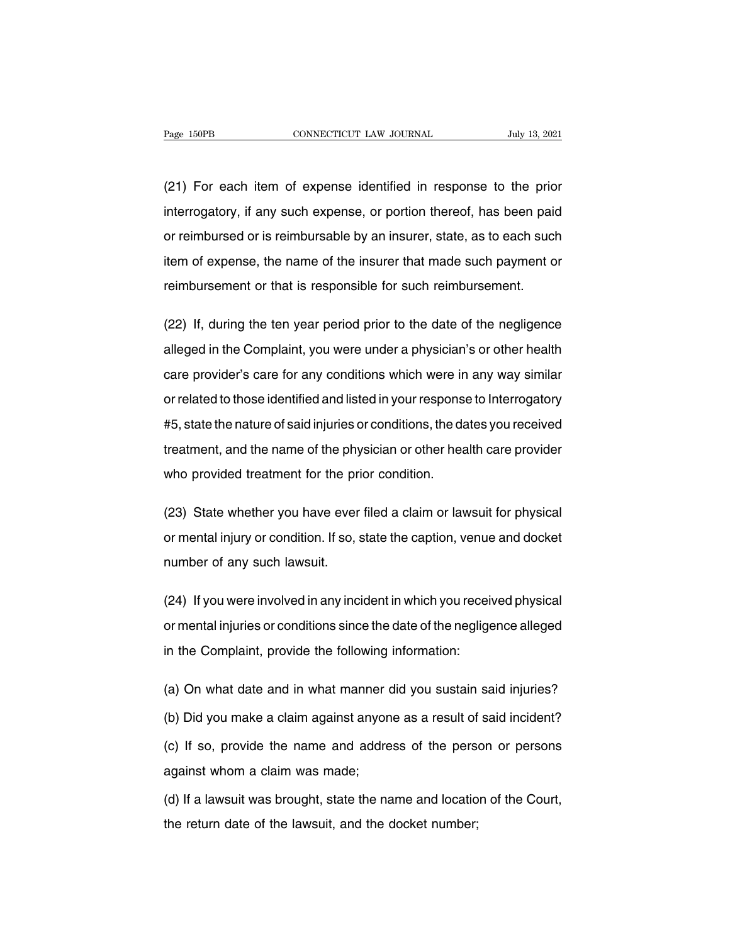Page 150PB CONNECTICUT LAW JOURNAL July 13, 2021<br>(21) For each item of expense identified in response to the prior<br>interrogatory, if any such expense, or portion thereof, has been paid Fage 150PB CONNECTICUT LAW JOURNAL July 13, 2021<br>(21) For each item of expense identified in response to the prior<br>interrogatory, if any such expense, or portion thereof, has been paid<br>or reimbursed or is reimbursable by a (21) For each item of expense identified in response to the prior<br>interrogatory, if any such expense, or portion thereof, has been paid<br>or reimbursed or is reimbursable by an insurer, state, as to each such<br>item of expense (21) For each item of expense identified in response to the prior<br>interrogatory, if any such expense, or portion thereof, has been paid<br>or reimbursed or is reimbursable by an insurer, state, as to each such<br>item of expense interrogatory, if any such expense, or portion thereof, has been paid or reimbursed or is reimbursable by an insurer, state, as to each such item of expense, the name of the insurer that made such payment or reimbursement or reimbursed or is reimbursable by an insurer, state, as to each such<br>item of expense, the name of the insurer that made such payment or<br>reimbursement or that is responsible for such reimbursement.<br>(22) If, during the ten

item of expense, the name of the insurer that made such payment or<br>reimbursement or that is responsible for such reimbursement.<br>(22) If, during the ten year period prior to the date of the negligence<br>alleged in the Complai reimbursement or that is responsible for such reimbursement.<br>(22) If, during the ten year period prior to the date of the negligence<br>alleged in the Complaint, you were under a physician's or other health<br>care provider's ca (22) If, during the ten year period prior to the date of the negligence<br>alleged in the Complaint, you were under a physician's or other health<br>care provider's care for any conditions which were in any way similar<br>or relate alleged in the Complaint, you were under a physician's or other health<br>care provider's care for any conditions which were in any way similar<br>or related to those identified and listed in your response to Interrogatory<br>#5, and the name of the physical and the name of the physical reader health care provider's care for any conditions which were in any way similar or related to those identified and listed in your response to Interrogatory #5, bare provider 5 date for any domains in which were in<br>or related to those identified and listed in your response<br>#5, state the nature of said injuries or conditions, the da<br>treatment, and the name of the physician or other #5, state the nature of said injuries or conditions, the dates you received<br>treatment, and the name of the physician or other health care provider<br>who provided treatment for the prior condition.<br>(23) State whether you have

treatment, and the name of the physician or other health care provider<br>who provided treatment for the prior condition.<br>(23) State whether you have ever filed a claim or lawsuit for physical<br>or mental injury or condition. I who provided treatment for the pri<br>(23) State whether you have ever<br>or mental injury or condition. If so, s<br>number of any such lawsuit. (23) State whether you have ever filed a claim or lawsuit for physical<br>or mental injury or condition. If so, state the caption, venue and docket<br>number of any such lawsuit.<br>(24) If you were involved in any incident in whic

or mental injury or condition. If so, state the caption, venue and docket<br>number of any such lawsuit.<br>(24) If you were involved in any incident in which you received physical<br>or mental injuries or conditions since the date mumber of any such lawsuit.<br>
(24) If you were involved in any incident in which you receiv<br>
or mental injuries or conditions since the date of the neglige<br>
in the Complaint, provide the following information: (24) If you were involved in any incident in which you received physical<br>or mental injuries or conditions since the date of the negligence alleged<br>in the Complaint, provide the following information:<br>(a) On what date and i

or mental injuries or conditions since the date of the negligence alleged<br>in the Complaint, provide the following information:<br>(a) On what date and in what manner did you sustain said injuries?<br>(b) Did you make a claim aga (a) On what date and in what manner did you sustain said injuries?<br>(b) Did you make a claim against anyone as a result of said incident?<br>(c) If so, provide the name and address of the person or persons<br>against whom a claim (a) On what date and in what manner of<br>(b) Did you make a claim against anyon<br>(c) If so, provide the name and addre<br>against whom a claim was made;<br>(d) If a lawsuit was brought, state the na (b) Did you make a claim against anyone as a result of said incident?<br>(c) If so, provide the name and address of the person or persons<br>against whom a claim was made;<br>(d) If a lawsuit was brought, state the name and locatio (c) If so, provide the name and address of the person<br>against whom a claim was made;<br>(d) If a lawsuit was brought, state the name and locatio<br>the return date of the lawsuit, and the docket number;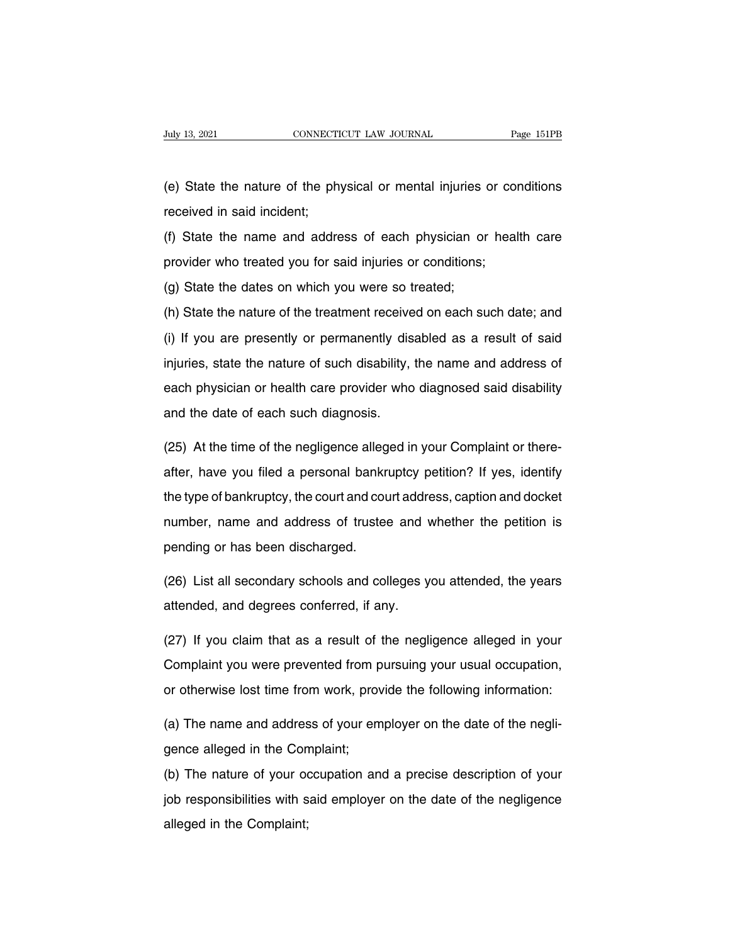Valy 13, 2021 CONNECTICUT LAW JOURNAL Page 151PB<br>
(e) State the nature of the physical or mental injuries or conditions<br>
received in said incident; July 13, 2021<br>
(e) State the nature of the phy<br>
received in said incident;<br>
(f) State the name and addre

(e) State the nature of the physical or mental injuries or conditions<br>received in said incident;<br>(f) State the name and address of each physician or health care<br>provider who treated you for said injuries or conditions; (e) State the nature of the physical or mental injuries or condine received in said incident;<br>(f) State the name and address of each physician or heal<br>provider who treated you for said injuries or conditions;<br>(g) State the (e) State the nature of the physical or mental injuries or conditions<br>received in said incident;<br>(f) State the name and address of each physician or health care<br>provider who treated you for said injuries or conditions;<br>(g)

(f) State the name and address of each physician or health care<br>provider who treated you for said injuries or conditions;<br>(g) State the dates on which you were so treated;<br>(h) State the nature of the treatment received on (i) State the hanne and dediced of said priysis. The meaning calculation<br>provider who treated you for said injuries or conditions;<br>(g) State the dates on which you were so treated;<br>(h) State the nature of the treatment rec (g) State the dates on which you were so treated;<br>(h) State the nature of the treatment received on each such date; and<br>(i) If you are presently or permanently disabled as a result of said<br>injuries, state the nature of suc (h) State the nature of the treatment received on each such date; and<br>(i) If you are presently or permanently disabled as a result of said<br>injuries, state the nature of such disability, the name and address of<br>each physici (i) If you are presently or permanently dis<br>injuries, state the nature of such disability,<br>each physician or health care provider who<br>and the date of each such diagnosis. injuries, state the nature of such disability, the name and address of<br>each physician or health care provider who diagnosed said disability<br>and the date of each such diagnosis.<br>(25) At the time of the negligence alleged in

each physician or health care provider who diagnosed said disability<br>and the date of each such diagnosis.<br>(25) At the time of the negligence alleged in your Complaint or there-<br>after, have you filed a personal bankruptcy p and the date of each such diagnosis.<br>(25) At the time of the negligence alleged in your Complaint or there-<br>after, have you filed a personal bankruptcy petition? If yes, identify<br>the type of bankruptcy, the court and court (25) At the time of the negligence alleged in your Complaint or there-<br>after, have you filed a personal bankruptcy petition? If yes, identify<br>the type of bankruptcy, the court and court address, caption and docket<br>number, after, have you filed a personal bankrite type of bankruptcy, the court and countumber, name and address of trustee pending or has been discharged. the type of bankruptcy, the court and court address, caption and docket<br>number, name and address of trustee and whether the petition is<br>pending or has been discharged.<br>(26) List all secondary schools and colleges you atten mumber, name and address of trustee and v<br>pending or has been discharged.<br>(26) List all secondary schools and colleges y<br>attended, and degrees conferred, if any.<br>(27) If you glaim that as a reault of the neal

pending or has been discharged.<br>(26) List all secondary schools and colleges you attended, the years<br>attended, and degrees conferred, if any.<br>(27) If you claim that as a result of the negligence alleged in your<br>Complaint y (26) List all secondary schools and colleges you attended, the years<br>attended, and degrees conferred, if any.<br>(27) If you claim that as a result of the negligence alleged in your<br>Complaint you were prevented from pursuing attended, and degrees conferred, if any.<br>
(27) If you claim that as a result of the negligence alleged in your<br>
Complaint you were prevented from pursuing your usual occupation,<br>
or otherwise lost time from work, provide t (27) If you claim that as a result of the negligence alleged in your<br>Complaint you were prevented from pursuing your usual occupation,<br>or otherwise lost time from work, provide the following information:<br>(a) The name and a Complaint you were prevented from p<br>or otherwise lost time from work, prov<br>(a) The name and address of your em<br>gence alleged in the Complaint;<br>(b) The nature of your occupation an

or otherwise lost time from work, provide the following information:<br>
(a) The name and address of your employer on the date of the negli-<br>
gence alleged in the Complaint;<br>
(b) The nature of your occupation and a precise de (a) The name and address of your employer on the date of the negligence alleged in the Complaint;<br>(b) The nature of your occupation and a precise description of your<br>job responsibilities with said employer on the date of t gence alleged in the Con<br>(b) The nature of your or<br>job responsibilities with s<br>alleged in the Complaint;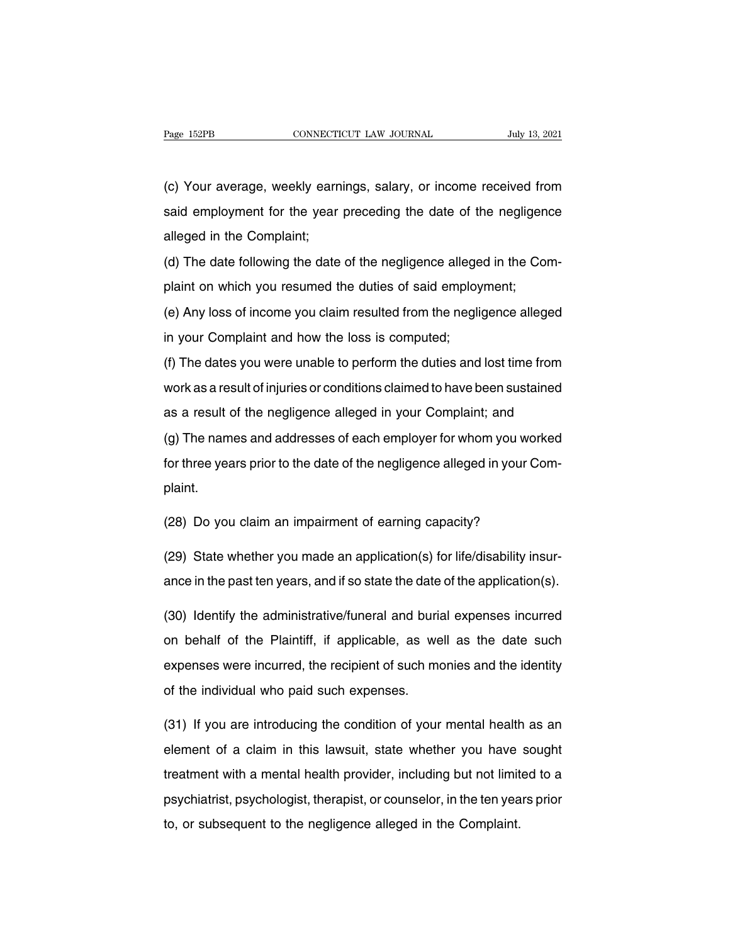Page 152PB CONNECTICUT LAW JOURNAL July 13, 2021<br>(c) Your average, weekly earnings, salary, or income received from<br>said employment for the year preceding the date of the negligence Fage 152PB CONNECTICUT LAW JOURNAL July 13, 2021<br>(c) Your average, weekly earnings, salary, or income received from<br>said employment for the year preceding the date of the negligence<br>alleged in the Complaint; (c) Your average, weekly earn<br>said employment for the year<br>alleged in the Complaint;<br>(d) The date following the date (c) Your average, weekly earnings, salary, or income received from<br>said employment for the year preceding the date of the negligence<br>alleged in the Complaint;<br>(d) The date following the date of the negligence alleged in th plant are all employment for the year preceding the date of the negligen-<br>said employment for the year preceding the date of the negligen-<br>alleged in the Complaint;<br>(d) The date following the date of the negligence alleged

alleged in the Complaint;<br>(d) The date following the date of the negligence alleged in the Com-<br>plaint on which you resumed the duties of said employment;<br>(e) Any loss of income you claim resulted from the negligence alleg In the Complaint,<br>
(d) The date following the date of the negligence allege<br>
plaint on which you resumed the duties of said employ<br>
(e) Any loss of income you claim resulted from the neglig<br>
in your Complaint and how the l

(e) The date tending are date of the higalgence alleged in the Complaint on which you resumed the duties of said employment;<br>(e) Any loss of income you claim resulted from the negligence alleged<br>in your Complaint and how t (e) Any loss of income you claim resulted from the negligence alleged<br>in your Complaint and how the loss is computed;<br>(f) The dates you were unable to perform the duties and lost time from<br>work as a result of injuries or c (c) Any idea of modify you diam recented from the negagenee alleged<br>in your Complaint and how the loss is computed;<br>(f) The dates you were unable to perform the duties and lost time from<br>work as a result of injuries or con (f) The dates you were unable to perform the duties and lost time from<br>work as a result of injuries or conditions claimed to have been sustained<br>as a result of the negligence alleged in your Complaint; and<br>(g) The names an

for the dates year three and set perform the dates and feet three ferms<br>work as a result of the negligence alleged in your Complaint; and<br>(g) The names and addresses of each employer for whom you worked<br>for three years pri plaint. (g) The names and addresses of each employer for whom you work<br>for three years prior to the date of the negligence alleged in your Co<br>plaint.<br>(28) Do you claim an impairment of earning capacity?<br>(29) State whether you mode

for three years prior to the date of the negligence alleged in your Com-<br>plaint.<br>(28) Do you claim an impairment of earning capacity?<br>(29) State whether you made an application(s) for life/disability insur-<br>ance in the pas plaint.<br>(28) Do you claim an impairment of earning capacity?<br>(29) State whether you made an application(s) for life/disability insur-<br>ance in the past ten years, and if so state the date of the application(s).<br>(20) Identif

(28) Do you claim an impairment of earning capacity?<br>(29) State whether you made an application(s) for life/disability insur-<br>ance in the past ten years, and if so state the date of the application(s).<br>(30) Identify the ad (29) State whether you made an application(s) for life/disability insur-<br>ance in the past ten years, and if so state the date of the application(s).<br>(30) Identify the administrative/funeral and burial expenses incurred<br>on ance in the past ten years, and if so state the date of the application(s).<br>(30) Identify the administrative/funeral and burial expenses incurred<br>on behalf of the Plaintiff, if applicable, as well as the date such<br>expenses (30) Identify the administrative/funeral and burion behalf of the Plaintiff, if applicable, as we expenses were incurred, the recipient of such most the individual who paid such expenses. (31) on behalf of the Plaintiff, if applicable, as well as the date such<br>expenses were incurred, the recipient of such monies and the identity<br>of the individual who paid such expenses.<br>(31) If you are introducing the condi

expenses were incurred, the recipient of such monies and the identity<br>of the individual who paid such expenses.<br>(31) If you are introducing the condition of your mental health as an<br>element of a claim in this lawsuit, stat of the individual who paid such expenses.<br>
(31) If you are introducing the condition of your mental health as an<br>
element of a claim in this lawsuit, state whether you have sought<br>
treatment with a mental health provider, (31) If you are introducing the condition of your mental health as an element of a claim in this lawsuit, state whether you have sought treatment with a mental health provider, including but not limited to a psychiatrist, to, the you are introducing the condition of your mortal heath<br>element of a claim in this lawsuit, state whether you have<br>treatment with a mental health provider, including but not limit<br>psychiatrist, psychologist, therapi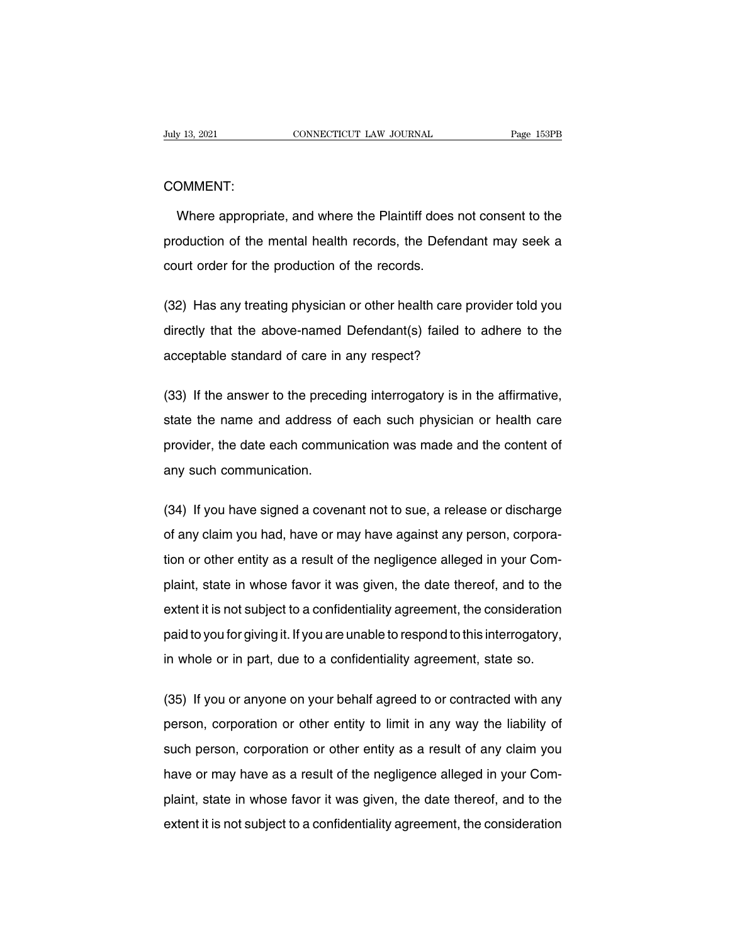### COMMENT:

Where appropriate, and where the Plaintiff does not consent to the<br>DMMENT:<br>Where appropriate, and where the Plaintiff does not consent to the<br>oduction of the mental health records, the Defendant may seek a COMMENT:<br>Where appropriate, and where the Plaintiff does not consent to the<br>production of the mental health records, the Defendant may seek a<br>court order for the production of the records. COMMENT:<br>Where appropriate, and where the Plaintiff does<br>production of the mental health records, the Defer<br>court order for the production of the records. Where appropriate, and where the Plaintiff does not consent to the<br>production of the mental health records, the Defendant may seek a<br>court order for the production of the records.<br>(32) Has any treating physician or other h

production of the mental health records, the Defendant may seek a<br>court order for the production of the records.<br>(32) Has any treating physician or other health care provider told you<br>directly that the above-named Defendan court order for the production of the records.<br>(32) Has any treating physician or other health care prodirectly that the above-named Defendant(s) failed to a<br>acceptable standard of care in any respect? (32) Has any treating physician or other health care provider told you<br>directly that the above-named Defendant(s) failed to adhere to the<br>acceptable standard of care in any respect?<br>(33) If the answer to the preceding inte

directly that the above-named Defendant(s) failed to adhere to the<br>acceptable standard of care in any respect?<br>(33) If the answer to the preceding interrogatory is in the affirmative,<br>state the name and address of each suc acceptable standard of care in any respect?<br>(33) If the answer to the preceding interrogatory is in the affirmative,<br>state the name and address of each such physician or health care<br>provider, the date each communication wa (33) If the answer to the preced<br>state the name and address of<br>provider, the date each commu<br>any such communication. state the name and address of each such physician or health care<br>provider, the date each communication was made and the content of<br>any such communication.<br>(34) If you have signed a covenant not to sue, a release or dischar

provider, the date each communication was made and the content of<br>any such communication.<br>(34) If you have signed a covenant not to sue, a release or discharge<br>of any claim you had, have or may have against any person, cor any such communication.<br>(34) If you have signed a covenant not to sue, a release or discharge<br>of any claim you had, have or may have against any person, corpora-<br>tion or other entity as a result of the negligence alleged i (34) If you have signed a covenant not to sue, a release or discharge<br>of any claim you had, have or may have against any person, corpora-<br>tion or other entity as a result of the negligence alleged in your Com-<br>plaint, stat external intervals and the subject of any person, corporation or other entity as a result of the negligence alleged in your Complaint, state in whose favor it was given, the date thereof, and to the extent it is not subjec be any stam you had, have of hay have against any person, support<br>tion or other entity as a result of the negligence alleged in your Com-<br>plaint, state in whose favor it was given, the date thereof, and to the<br>extent it is if the state in whose favor it was given, the date thereof, and to the extent it is not subject to a confidentiality agreement, the consideration paid to you for giving it. If you are unable to respond to this interrogator extent it is not subject to a confidentiality agreement, the consideration<br>paid to you for giving it. If you are unable to respond to this interrogatory,<br>in whole or in part, due to a confidentiality agreement, state so.<br>(

paid to you for giving it. If you are unable to respond to this interrogatory,<br>in whole or in part, due to a confidentiality agreement, state so.<br>(35) If you or anyone on your behalf agreed to or contracted with any<br>person in whole or in part, due to a confidentiality agreement, state so.<br>(35) If you or anyone on your behalf agreed to or contracted with any<br>person, corporation or other entity to limit in any way the liability of<br>such person, (35) If you or anyone on your behalf agreed to or contracted with any<br>person, corporation or other entity to limit in any way the liability of<br>such person, corporation or other entity as a result of any claim you<br>have or m person, corporation or other entity to limit in any way the liability of<br>such person, corporation or other entity as a result of any claim you<br>have or may have as a result of the negligence alleged in your Com-<br>plaint, sta extent it is not subject to a confidentiality agreement, the consideration<br>extent it is not subject to a confidentiality agreement, the consideration<br>extent it is not subject to a confidentiality agreement, the considerati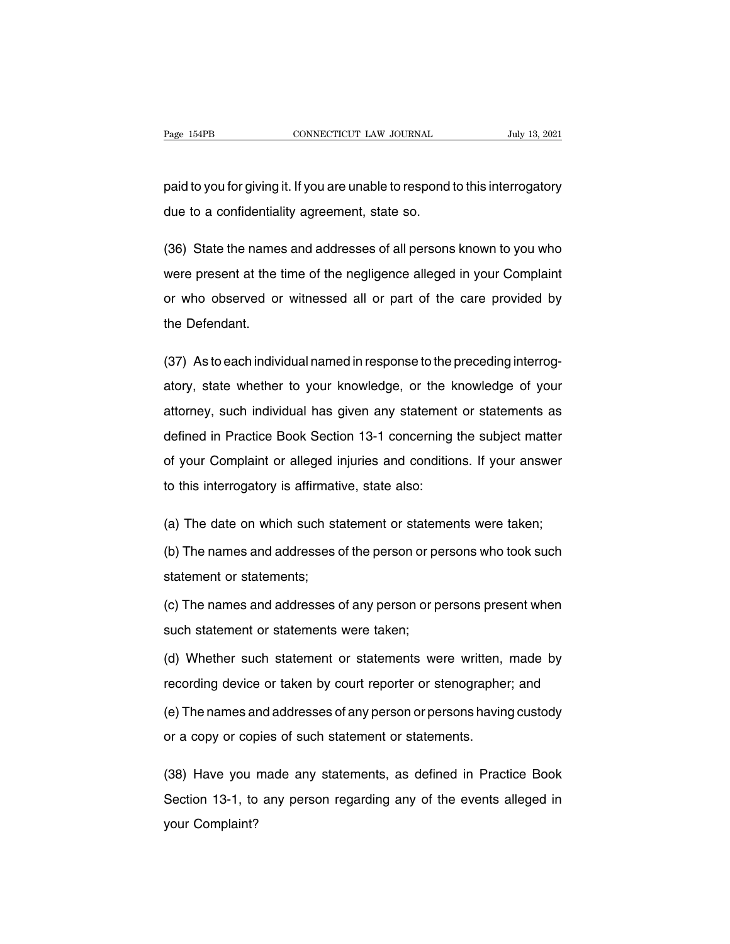Page 154PB CONNECTICUT LAW JOURNAL July 13, 2021<br>paid to you for giving it. If you are unable to respond to this interrogatory<br>due to a confidentiality agreement, state so. Page 154PB CONNECTICUT LAW JOURNAL<br>paid to you for giving it. If you are unable to respond<br>due to a confidentiality agreement, state so.

paid to you for giving it. If you are unable to respond to this interrogatory<br>due to a confidentiality agreement, state so.<br>(36) State the names and addresses of all persons known to you who<br>were present at the time of the paid to you for giving it. If you are unable to respond to this interrogatory<br>due to a confidentiality agreement, state so.<br>(36) State the names and addresses of all persons known to you who<br>were present at the time of the due to a confidentiality agreement, state so.<br>(36) State the names and addresses of all persons known to you who<br>were present at the time of the negligence alleged in your Complaint<br>or who observed or witnessed all or part (36) State the name:<br>were present at the tor who observed or<br>the Defendant. were present at the time of the negligence alleged in your Complaint<br>or who observed or witnessed all or part of the care provided by<br>the Defendant.<br>(37) As to each individual named in response to the preceding interrog-<br>a

or who observed or witnessed all or part of the care provided by<br>the Defendant.<br>(37) As to each individual named in response to the preceding interrog-<br>atory, state whether to your knowledge, or the knowledge of your<br>attor the Defendant.<br>
(37) As to each individual named in response to the preceding interrog-<br>
atory, state whether to your knowledge, or the knowledge of your<br>
attorney, such individual has given any statement or statements as<br> (37) As to each individual named in response to the preceding interrog-<br>atory, state whether to your knowledge, or the knowledge of your<br>attorney, such individual has given any statement or statements as<br>defined in Practic atory, state whether to your knowledge, or the knowledge of your attorney, such individual has given any statement or statements as defined in Practice Book Section 13-1 concerning the subject matter of your Complaint or a attorney, such individual has given any statement<br>defined in Practice Book Section 13-1 concerning<br>of your Complaint or alleged injuries and condition<br>to this interrogatory is affirmative, state also: defined in Practice Book Section 13-1 concerning the subject matter<br>of your Complaint or alleged injuries and conditions. If your answer<br>to this interrogatory is affirmative, state also:<br>(a) The date on which such statemen of your Complaint or alleged injuries and conditions. If your answer<br>to this interrogatory is affirmative, state also:<br>(a) The date on which such statement or statements were taken;<br>(b) The names and addresses of the perso

to this interrogatory is affirmati<br>(a) The date on which such statement<br>(b) The names and addresses of<br>statement or statements;<br>(c) The names and addresses of (a) The date on which such statement or statements were taken;<br>(b) The names and addresses of the person or persons who took such<br>statement or statements;<br>(c) The names and addresses of any person or persons present when<br>s (b) The names and addresses of the person or pe<br>statement or statements;<br>(c) The names and addresses of any person or p<br>such statement or statements were taken;<br>(d) Whether such statement or statements we

statement or statements;<br>(c) The names and addresses of any person or persons present when<br>such statement or statements were taken;<br>(d) Whether such statement or statements were written, made by<br>recording device or taken b (c) The names and addresses of any person or persons present when<br>such statement or statements were taken;<br>(d) Whether such statement or statements were written, made by<br>recording device or taken by court reporter or steno such statement or statements were taken;<br>(d) Whether such statement or statements were written, made by<br>recording device or taken by court reporter or stenographer; and<br>(e) The names and addresses of any person or persons (d) Whether such statement or statements were written,<br>recording device or taken by court reporter or stenographe<br>(e) The names and addresses of any person or persons havin<br>or a copy or copies of such statement or statemen

recording device or taken by court reporter or stenographer; and<br>(e) The names and addresses of any person or persons having custody<br>or a copy or copies of such statement or statements.<br>(38) Have you made any statements, a (e) The names and addresses of any person or persons having custody<br>or a copy or copies of such statement or statements.<br>(38) Have you made any statements, as defined in Practice Book<br>Section 13-1, to any person regarding or a copy or cop<br>(38) Have you r<br>Section 13-1, to<br>your Complaint?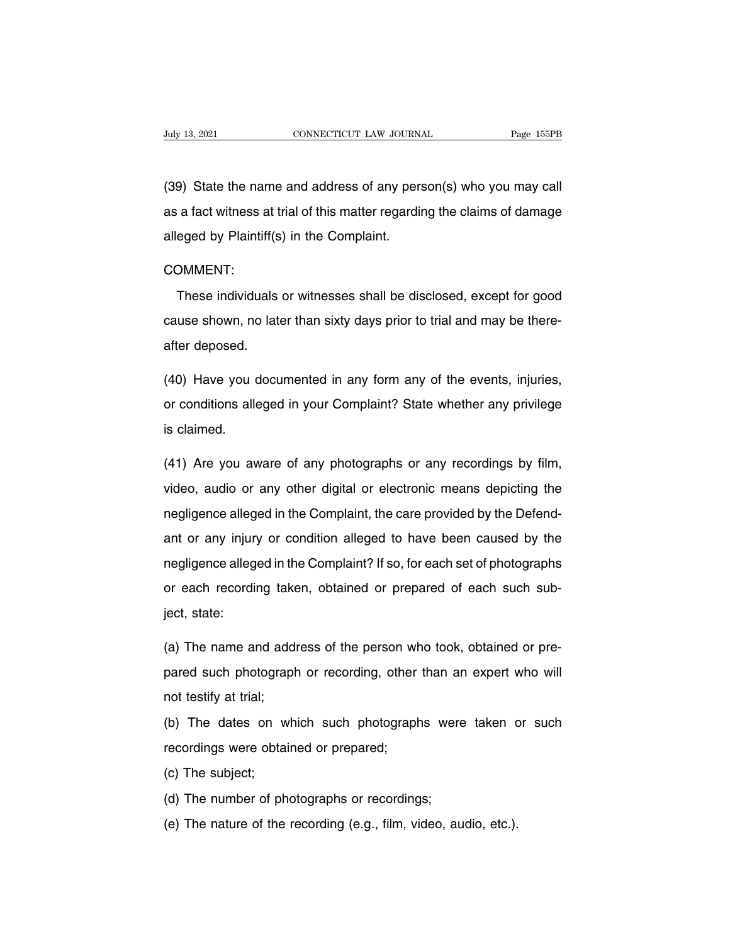Valy 13, 2021<br>
CONNECTICUT LAW JOURNAL<br>
(39) State the name and address of any person(s) who you may call<br>
as a fact witness at trial of this matter regarding the claims of damage For Fage 155PB connecticut the source of this matter regarding the claims of damage alleged by Plaintiff(s) in the Complaint. (39) State the name and address of any person as a fact witness at trial of this matter regardial<br>alleged by Plaintiff(s) in the Complaint. is a fact witness at trial of this matter regarding the claims of damage<br>eged by Plaintiff(s) in the Complaint.<br>DMMENT:<br>These individuals or witnesses shall be disclosed, except for good<br>use shown, no later than sixty days

### COMMENT:

alleged by Plaintiff(s) in the Complaint.<br>COMMENT:<br>These individuals or witnesses shall be disclosed, except for good<br>cause shown, no later than sixty days prior to trial and may be there-<br>after deposed. COMMENT:<br>These individuals<br>cause shown, no late<br>after deposed. These individuals or witnesses shall be disclosed, except for good<br>cause shown, no later than sixty days prior to trial and may be there-<br>after deposed.<br>(40) Have you documented in any form any of the events, injuries,<br>or

cause shown, no later than sixty days prior to trial and may be there-<br>after deposed.<br>(40) Have you documented in any form any of the events, injuries,<br>or conditions alleged in your Complaint? State whether any privilege<br>i after deposed.<br>(40) Have you dor conditions alle<br>is claimed.<br>(41) Are you au (40) Have you documented in any form any of the events, injuries,<br>or conditions alleged in your Complaint? State whether any privilege<br>is claimed.<br>(41) Are you aware of any photographs or any recordings by film,<br>video, aud

or conditions alleged in your Complaint? State whether any privilege<br>is claimed.<br>(41) Are you aware of any photographs or any recordings by film,<br>video, audio or any other digital or electronic means depicting the<br>negligen is claimed.<br>(41) Are you aware of any photographs or any recordings by film,<br>video, audio or any other digital or electronic means depicting the<br>negligence alleged in the Complaint, the care provided by the Defend-<br>ant or (41) Are you aware of any photographs or any recordings by film,<br>video, audio or any other digital or electronic means depicting the<br>negligence alleged in the Complaint, the care provided by the Defend-<br>ant or any injury o video, audio or any other digital or electronic means depicting the<br>negligence alleged in the Complaint, the care provided by the Defend-<br>ant or any injury or condition alleged to have been caused by the<br>negligence alleged or each recording the Complaint, the care provided by the Defend-<br>ant or any injury or condition alleged to have been caused by the<br>negligence alleged in the Complaint? If so, for each set of photographs<br>or each recording magingonos anograficantes<br>ant or any injur<br>negligence alleg<br>or each recordi<br>ject, state: megligence alleged in the Complaint? If so, for each set of photographs<br>or each recording taken, obtained or prepared of each such sub-<br>ject, state:<br>(a) The name and address of the person who took, obtained or pre-<br>pared s

or each recording taken, obtained or prepared of each such sub-<br>ject, state:<br>(a) The name and address of the person who took, obtained or pre-<br>pared such photograph or recording, other than an expert who will<br>not testify a iect, state:<br>(a) The name and addi<br>pared such photograph<br>not testify at trial;<br>(b) The dates on wh (a) The name and address of the person who took, obtained or pre-<br>pared such photograph or recording, other than an expert who will<br>not testify at trial;<br>(b) The dates on which such photographs were taken or such<br>recording pared such photograph or recording, other<br>not testify at trial;<br>(b) The dates on which such photograph<br>recordings were obtained or prepared;<br>(c) The subject;

(b) The dates on w<br>recordings were obta<br>(c) The subject;<br>(d) The number of ph (b) The dates on which such photographs were<br>recordings were obtained or prepared;<br>(c) The subject;<br>(d) The number of photographs or recordings;<br>(e) The nature of the recording (e.g., film, video, au (e) The subject;<br>(c) The subject;<br>(d) The number of photographs or recordings;<br>(e) The nature of the recording (e.g., film, video, audio, etc.).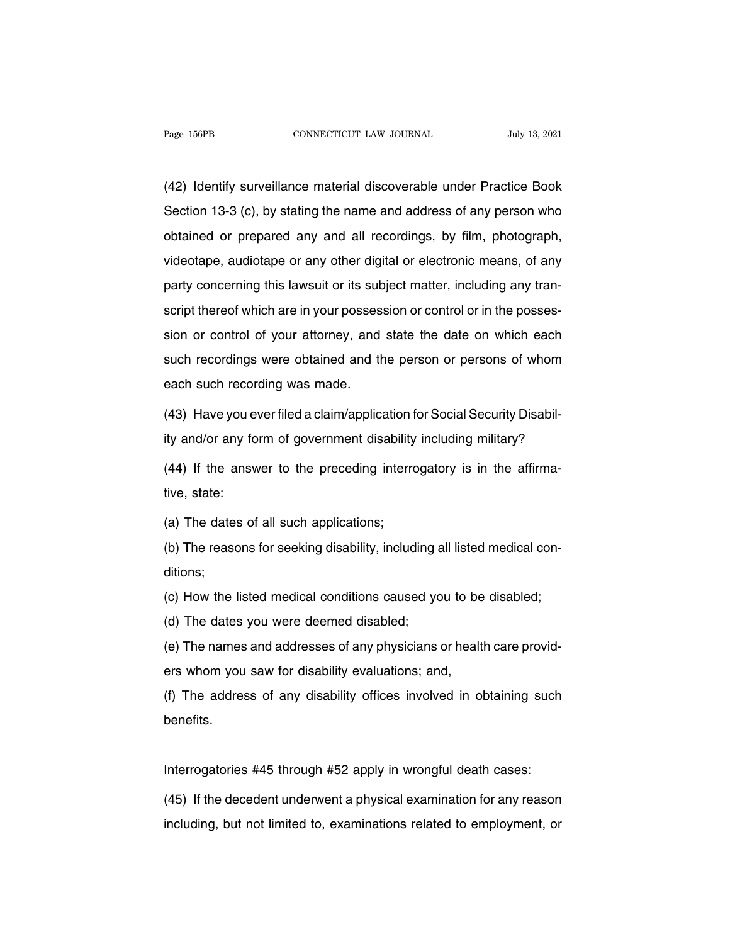Page 156PB CONNECTICUT LAW JOURNAL July 13, 2021<br>(42) Identify surveillance material discoverable under Practice Book<br>Section 13-3 (c), by stating the name and address of any person who Fage 156PB CONNECTICUT LAW JOURNAL July 13, 2021<br>
(42) Identify surveillance material discoverable under Practice Book<br>
Section 13-3 (c), by stating the name and address of any person who<br>
obtained or prepared any and all (42) Identify surveillance material discoverable under Practice Book<br>Section 13-3 (c), by stating the name and address of any person who<br>obtained or prepared any and all recordings, by film, photograph,<br>videotape, audiotap (42) Identify surveillance material discoverable under Practice Book<br>Section 13-3 (c), by stating the name and address of any person who<br>obtained or prepared any and all recordings, by film, photograph,<br>videotape, audiotap Section 13-3 (c), by stating the name and address of any person who obtained or prepared any and all recordings, by film, photograph, videotape, audiotape or any other digital or electronic means, of any party concerning t bection 15-5 (c), by stating the hame and address or any person who<br>obtained or prepared any and all recordings, by film, photograph,<br>videotape, audiotape or any other digital or electronic means, of any<br>party concerning t sion or prepared any and an recordings, by him, photograph,<br>videotape, audiotape or any other digital or electronic means, of any<br>party concerning this lawsuit or its subject matter, including any tran-<br>script thereof whic videotape, addiotape or any other digital or electronic means, or any<br>party concerning this lawsuit or its subject matter, including any tran-<br>script thereof which are in your possession or control or in the posses-<br>sion o early concerning ans aassart of its statiect, metalitier, including any trans-<br>script thereof which are in your possession or control or in the posses-<br>sion or control of your attorney, and state the date on which each<br>suc such recordings were obtained and the person or persons of whom<br>each such recording was made.<br>(43) Have you ever filed a claim/application for Social Security Disabil-<br>ity and/or any form of government disability including

each such recording was made.<br>
(43) Have you ever filed a claim/application for Social Security Disabil-<br>
ity and/or any form of government disability including military?<br>
(44) If the answer to the preceding interrogatory (43) Have you e<br>ity and/or any fo<br>(44) If the ansv<br>tive, state:<br>(a) The dates of

ity and/or any form of government disability<br>(44) If the answer to the preceding interro<br>tive, state:<br>(a) The dates of all such applications;<br>(b) The reasons for seeking disability, includ (44) If the answer to the preceding interrogatory is in the affirmative, state:<br>(a) The dates of all such applications;<br>(b) The reasons for seeking disability, including all listed medical con-<br>ditions;

ditions; (a) The dates of all such applications;<br>(b) The reasons for seeking disability, including all listed medical conditions;<br>(c) How the listed medical conditions caused you to be disabled;<br>(d) The dates you were deemed disabl (d) The reasons for seeking disability, including a<br>ditions;<br>(c) How the listed medical conditions caused yc<br>(d) The dates you were deemed disabled;<br>(e) The names and addresses of any physicians

(b) The reasons for seeking disability, including an ilsted medical con-<br>ditions;<br>(c) How the listed medical conditions caused you to be disabled;<br>(d) The dates you were deemed disabled;<br>(e) The names and addresses of any (c) How the listed medical conditions caused you to be<br>(d) The dates you were deemed disabled;<br>(e) The names and addresses of any physicians or healt<br>ers whom you saw for disability evaluations; and,<br>(f) The address of any (c) The dates you were deemed disabled;<br>(e) The names and addresses of any physicians or health care provid-<br>ers whom you saw for disability evaluations; and,<br>(f) The address of any disability offices involved in obtaining

benefits. Interrogatories #45 through #52 apply in wrongful death cases:<br>Interrogatories #45 through #52 apply in wrongful death cases:<br>(45) If the decedent underwent a physical examination for any reason

Under the decedent independent apply in wrongful death cases:<br>
(45) If the decedent underwent a physical examination for any reason<br>
including, but not limited to, examinations related to employment, or Interrogatories #45 through #52 apply in wrongful death cases:<br>(45) If the decedent underwent a physical examination for any reason<br>including, but not limited to, examinations related to employment, or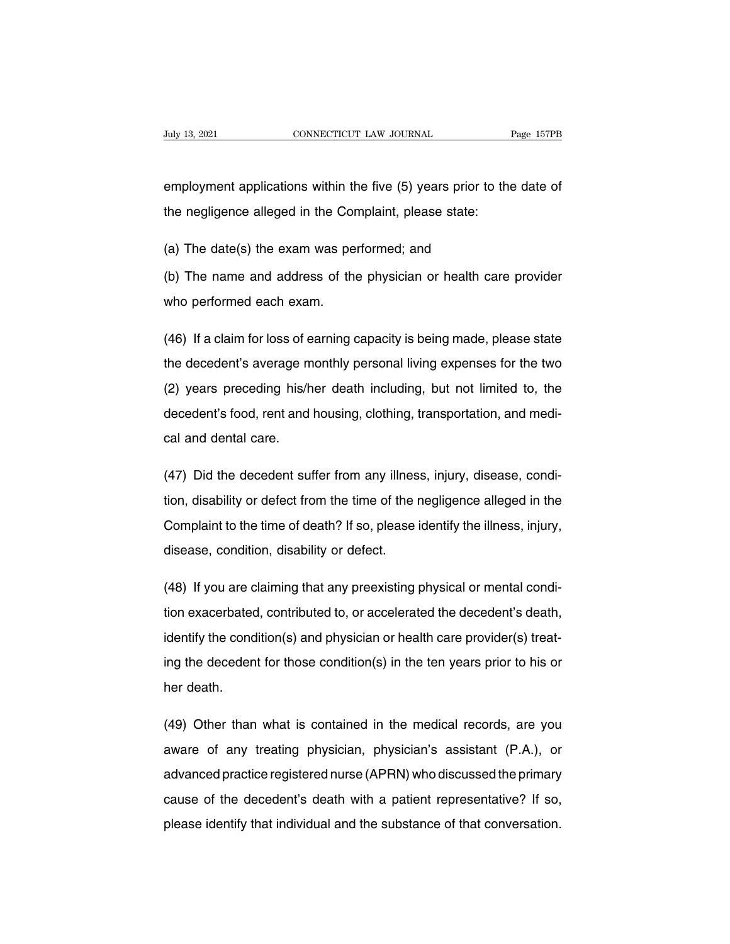Fuly 13, 2021<br>
Employment applications within the five (5) years prior to the date of<br>
the negligence alleged in the Complaint, please state: July 13, 2021 CONNECTICUT LAW JOURNAL<br>
employment applications within the five (5) years prior to the<br>
the negligence alleged in the Complaint, please state: employment applications within the five (5) years prior to<br>the negligence alleged in the Complaint, please state:<br>(a) The date(s) the exam was performed; and<br>(b) The name and address of the physician or health ca

employment applications within the five (5) years prior to the date of<br>the negligence alleged in the Complaint, please state:<br>(a) The date(s) the exam was performed; and<br>(b) The name and address of the physician or health the negligence alleged in the Cor<br>
(a) The date(s) the exam was pe<br>
(b) The name and address of the<br>
who performed each exam.

(a) The date(s) the exam was performed; and<br>(b) The name and address of the physician or health care provider<br>who performed each exam.<br>(46) If a claim for loss of earning capacity is being made, please state<br>the decedent's (b) The name and address of the physician or health care provider<br>who performed each exam.<br>(46) If a claim for loss of earning capacity is being made, please state<br>the decedent's average monthly personal living expenses fo who performed each exam.<br>(46) If a claim for loss of earning capacity is being made, please state<br>the decedent's average monthly personal living expenses for the two<br>(2) years preceding his/her death including, but not lim (46) If a claim for loss of earning capacity is being made, please state<br>the decedent's average monthly personal living expenses for the two<br>(2) years preceding his/her death including, but not limited to, the<br>decedent's f the decedent's average m<br>(2) years preceding his/h<br>decedent's food, rent and<br>cal and dental care. (2) years preceding his/her death including, but not limited to, the decedent's food, rent and housing, clothing, transportation, and medical and dental care.<br>(47) Did the decedent suffer from any illness, injury, disease,

decedent's food, rent and housing, clothing, transportation, and medical and dental care.<br>
(47) Did the decedent suffer from any illness, injury, disease, condition, disability or defect from the time of the negligence all cal and dental care.<br>(47) Did the decedent suffer from any illness, injury, disease, condition, disability or defect from the time of the negligence alleged in the<br>Complaint to the time of death? If so, please identify the (47) Did the decedent suffer from any illnes<br>tion, disability or defect from the time of the incomplaint to the time of death? If so, please<br>disease, condition, disability or defect. tion, disability or defect from the time of the negligence alleged in the<br>Complaint to the time of death? If so, please identify the illness, injury,<br>disease, condition, disability or defect.<br>(48) If you are claiming that

Complaint to the time of death? If so, please identify the illness, injury,<br>disease, condition, disability or defect.<br>(48) If you are claiming that any preexisting physical or mental condi-<br>tion exacerbated, contributed to disease, condition, disability or defect.<br>(48) If you are claiming that any preexisting physical or mental condition<br>exacerbated, contributed to, or accelerated the decedent's death,<br>identify the condition(s) and physician (48) If you are claiming that any preexisting physical or mental condition exacerbated, contributed to, or accelerated the decedent's death, identify the condition(s) and physician or health care provider(s) treating the d  $h$  is the year of the condition exacerbated<br>identify the conditing the decedent<br>her death. identify the condition(s) and physician or health care provider(s) treat-<br>ing the decedent for those condition(s) in the ten years prior to his or<br>her death.<br>(49) Other than what is contained in the medical records, are yo

ing the decedent for those condition(s) in the ten years prior to his or<br>her death.<br>(49) Other than what is contained in the medical records, are you<br>aware of any treating physician, physician's assistant (P.A.), or<br>advanc her death.<br>(49) Other than what is contained in the medical records, are you<br>aware of any treating physician, physician's assistant (P.A.), or<br>advanced practice registered nurse (APRN) who discussed the primary<br>cause of th (49) Other than what is contained in the medical records, are you<br>aware of any treating physician, physician's assistant (P.A.), or<br>advanced practice registered nurse (APRN) who discussed the primary<br>cause of the decedent' aware of any treating physician, physician's assistant (P.A.), or advanced practice registered nurse (APRN) who discussed the primary cause of the decedent's death with a patient representative? If so, please identify that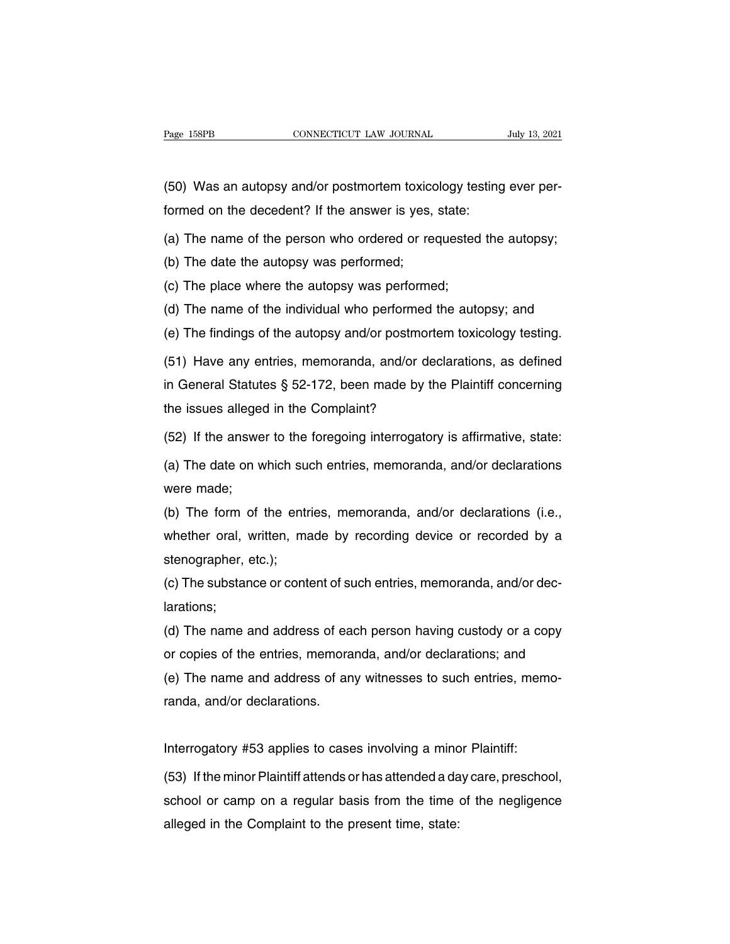Page 158PB<br>
CONNECTICUT LAW JOURNAL<br>
(50) Was an autopsy and/or postmortem toxicology testing ever per-<br>
formed on the decedent? If the answer is yes, state: Fage 158PB<br>CONNECTICUT LAW JOURNAL<br>(50) Was an autopsy and/or postmortem toxicology testing<br>formed on the decedent? If the answer is yes, state:<br>(a) The name of the person who ordered or requested the (50) Was an autopsy and/or postmortem toxicology testing ever per-<br>formed on the decedent? If the answer is yes, state:<br>(a) The name of the person who ordered or requested the autopsy;<br>(b) The date the autopsy was performe (50) Was an autopsy and/or postmortem toxico<br>formed on the decedent? If the answer is yes,<br>(a) The name of the person who ordered or ree<br>(b) The date the autopsy was performed;<br>(c) The place where the autopsy was performe (co) Was an adopsy and/or positionent toxicology text<br>formed on the decedent? If the answer is yes, state:<br>(a) The name of the person who ordered or requested<br>(b) The date the autopsy was performed;<br>(c) The place where the

(a) The name of the person who ordered or requested the autopsy;<br>(b) The date the autopsy was performed;<br>(c) The place where the autopsy was performed;<br>(d) The name of the individual who performed the autopsy; and<br>(e) The

(a) The name of the person who ordered or requested the autopsy;<br>
(b) The date the autopsy was performed;<br>
(c) The place where the autopsy was performed;<br>
(d) The name of the individual who performed the autopsy; and<br>
(e)

(c) The place where the autopsy was performed;<br>
(d) The name of the individual who performed the autopsy; and<br>
(e) The findings of the autopsy and/or postmortem toxicology testing.<br>
(51) Have any entries, memoranda, and/o (d) The name of the individual who performed the autopsy; and<br>(e) The findings of the autopsy and/or postmortem toxicology testing.<br>(51) Have any entries, memoranda, and/or declarations, as defined<br>in General Statutes § 52 (e) The findings of the autopsy and/or postmorte<br>
(51) Have any entries, memoranda, and/or dec<br>
in General Statutes  $\S$  52-172, been made by the<br>
the issues alleged in the Complaint?<br>
(52) If the answer to the foregoing i (51) Have any entries, memoranda, and/or declarations, as defined<br>in General Statutes § 52-172, been made by the Plaintiff concerning<br>the issues alleged in the Complaint?<br>(52) If the answer to the foregoing interrogatory in General Statutes § 52-172, been made by the Plaintiff concerning<br>the issues alleged in the Complaint?<br>(52) If the answer to the foregoing interrogatory is affirmative, state:<br>(a) The date on which such entries, memoran

the issues alleged<br>(52) If the answe<br>(a) The date on w<br>were made;<br>(b) The form of

(52) If the answer to the foregoing interrogatory is affirmative, state:<br>
(a) The date on which such entries, memoranda, and/or declarations<br>
were made;<br>
(b) The form of the entries, memoranda, and/or declarations (i.e.,<br> (a) The date on which such entries, memoranda, and/or declarations<br>were made;<br>(b) The form of the entries, memoranda, and/or declarations (i.e.,<br>whether oral, written, made by recording device or recorded by a<br>stenographer (a) The date on which sum<br>were made;<br>(b) The form of the entr<br>whether oral, written, ma<br>stenographer, etc.);<br>(c) The substance or conte were made;<br>(b) The form of the entries, memoranda, and/or declarations (i.e.,<br>whether oral, written, made by recording device or recorded by a<br>stenographer, etc.);<br>(c) The substance or content of such entries, memoranda, a

larations;

whether oral, written, made by recording device or recorded by a<br>stenographer, etc.);<br>(c) The substance or content of such entries, memoranda, and/or dec-<br>larations;<br>(d) The name and address of each person having custody o stenograpner, etc.);<br>(c) The substance or content of such entries, memoranda, and/or dec-<br>larations;<br>(d) The name and address of each person having custody or a copy<br>or copies of the entries, memoranda, and/or declarations (c) The substance or content of such entries, memoranda, and/or dec-<br>larations;<br>(d) The name and address of each person having custody or a copy<br>or copies of the entries, memoranda, and/or declarations; and<br>(e) The name an larations;<br>(d) The name and address of ea<br>or copies of the entries, memora<br>(e) The name and address of an<br>randa, and/or declarations. or copies of the entries, memoranda, and/or declarations; and<br>
(e) The name and address of any witnesses to such entries, mem<br>
randa, and/or declarations.<br>
Interrogatory #53 applies to cases involving a minor Plaintiff:<br>
(

(e) The name and address or any winesses to such entries, memo-<br>randa, and/or declarations.<br>Interrogatory #53 applies to cases involving a minor Plaintiff:<br>(53) If the minor Plaintiff attends or has attended a day care, pr Interrogatory #53 applies to cases involving a minor Plaintiff:<br>(53) If the minor Plaintiff attends or has attended a day care, preschool,<br>school or camp on a regular basis from the time of the negligence<br>alleged in the Co Interrogatory #53 applies to cases involving a mind<br>(53) If the minor Plaintiff attends or has attended a da<br>school or camp on a regular basis from the time<br>alleged in the Complaint to the present time, state: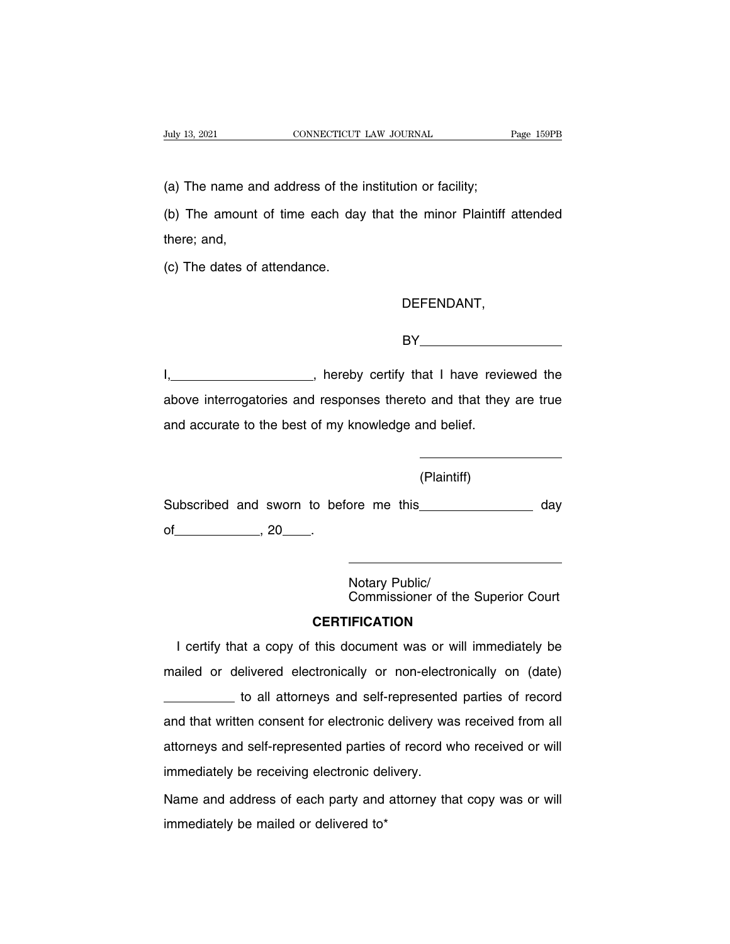University 13, 2021<br>(a) The name and address of the institution or facility;<br>(b) The amount of time each day that the minor Plaintiff Figure 13, 2021<br>(a) The name and address of the institution or facility;<br>(b) The amount of time each day that the minor Plaintiff attended<br>there; and, (a) The name ar<br>(b) The amount<br>there; and,<br>(c) The dates of (a) The name and address of the<br>(b) The amount of time each day<br>there; and,<br>(c) The dates of attendance.

DEFENDANT,

BY **Experiment Structure (EQS)** 

I, , hereby certify that I have reviewed the BY<br>BY<br>BY<br>BY<br>Reference interrogatories and responses thereto and that they are true<br>and accurate to the best of my knowledge and belief. BY<br>
1, hereby certify that I have revised<br>
above interrogatories and responses thereto and that they<br>
and accurate to the best of my knowledge and belief.

(Plaintiff)

Subscribed and sworn to before me this day Subscribed and sworn to before the same state of the set of the set of the set of the set of the set of the set of the set of the set of the set of the set of the set of the set of the set of the set of the set of the set ore me this\_\_\_\_\_\_<br>Notary Public/<br>Commissioner of th Commissioner of the Superior Court

### **CERTIFICATION**

Notary Public/<br>
Commissioner of the Superior Court<br> **CERTIFICATION**<br>
I certify that a copy of this document was or will immediately be<br>
ailed or delivered electronically or non-electronically on (date) Motary Public/<br>
Commissioner of the Superior Court<br>
CERTIFICATION<br>
I certify that a copy of this document was or will immediately be<br>
mailed or delivered electronically or non-electronically on (date)<br>
to all attorneys and **CERTIFICATION**<br>to a copy of this document was or will immediately be<br>elivered electronically or non-electronically on (date)<br>to all attorneys and self-represented parties of record<br>en consent for electronic delivery was r I certify that a copy of this document was or will immediately be<br>mailed or delivered electronically or non-electronically on (date)<br>to all attorneys and self-represented parties of record<br>and that written consent for elec rectary that a copy of this document was of will immisculately be<br>mailed or delivered electronically or non-electronically on (date)<br>to all attorneys and self-represented parties of record and that written consent for elec mailed or delivered electronically or non-electronically on (date)<br>
\_\_\_\_\_\_\_\_\_\_ to all attorneys and self-represented parties of record<br>
and that written consent for electronic delivery was received from all<br>
attorneys and and that written consent for electronic delivery was received from all<br>attorneys and self-represented parties of record who received or will<br>immediately be receiving electronic delivery.<br>Name and address of each party and attorneys and self-represented parties of record who received or will<br>immediately be receiving electronic delivery.<br>Name and address of each party and attorney that copy was or will<br>immediately be mailed or delivered to\*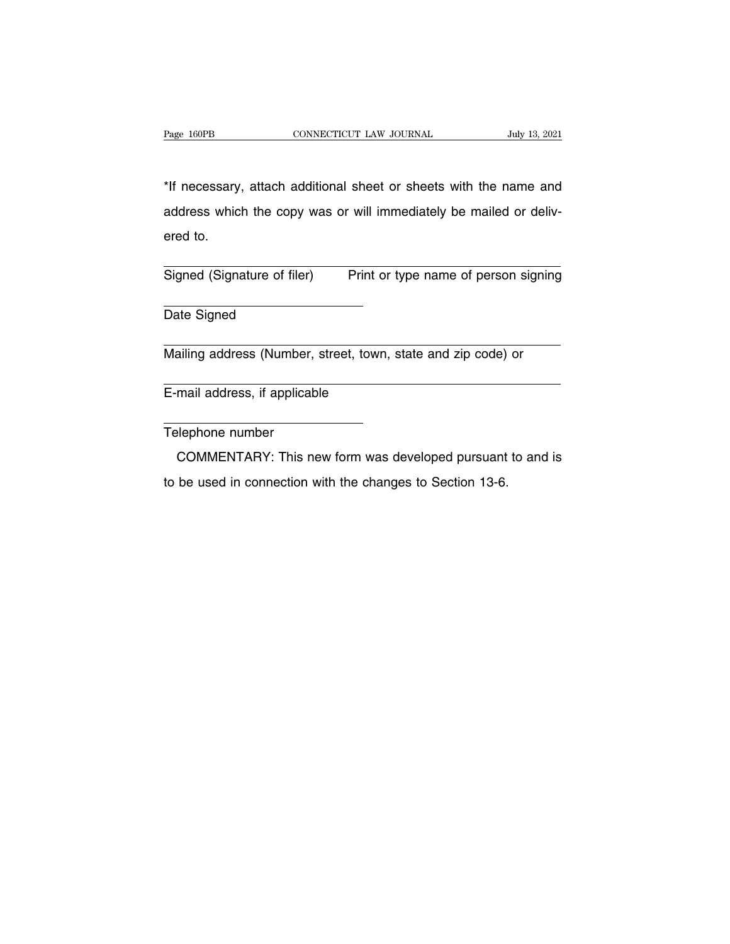Page 160PB<br>
<sup>\*</sup>If necessary, attach additional sheet or sheets with the name and<br>
address which the copy was or will immediately be mailed or deliv-Page 160PB CONNECTICUT LAW JOURNAL July 13, 2021<br>
\*If necessary, attach additional sheet or sheets with the name and<br>
address which the copy was or will immediately be mailed or deliv-<br>
ered to. \*If necessary<br>
address whic<br>
ered to. \*If necessary, attach additional sheet or sheets with the name and<br>address which the copy was or will immediately be mailed or deliv-<br>ered to.<br>Signed (Signature of filer) Print or type name of person signing address which the copy was or will immediately be mailed or delivered to.<br>
Signed (Signature of filer) Print or type name of person signing<br>
Date Signed

Signed (Signature of filer) Print or type name of person signing<br>
Date Signed<br>
Mailing address (Number, street, town, state and zip code) or

Mailing address (Number, street, town, state and zip code) or<br>
E-mail address, if applicable<br>
Telephone number

E-mail address, if applicable

mail address, if applicable<br>
elephone number<br>
COMMENTARY: This new form was developed pursuant to and is<br>
be used in connection with the changes to Section 13-6. COMMENTARY: This new form was developed pursuant to and is to be used in connection with the changes to Section 13-6.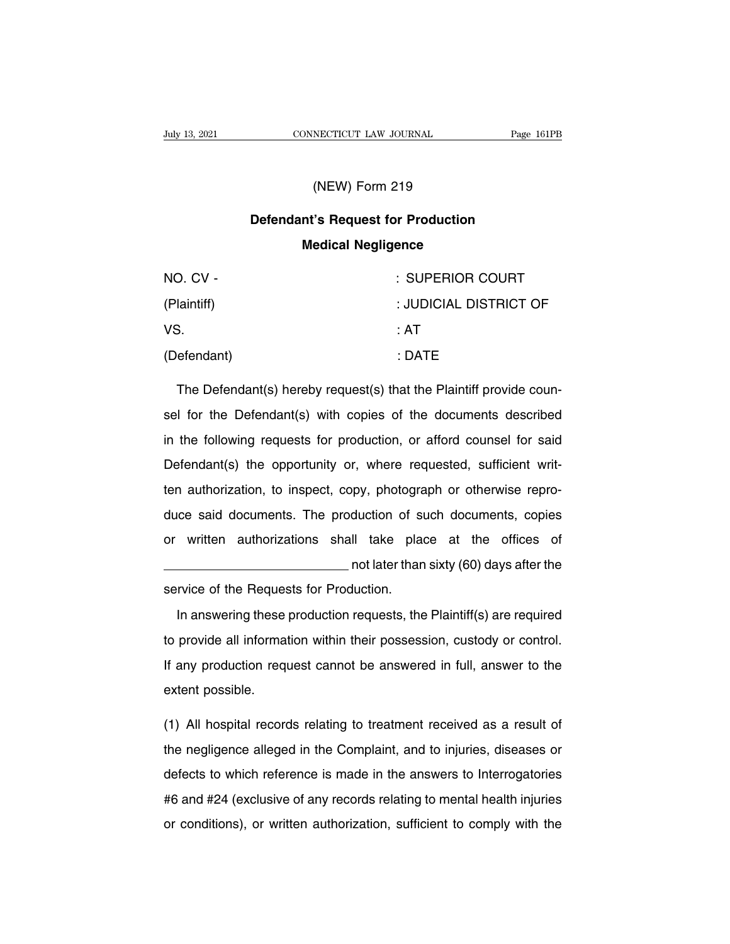# **CONNECTICUT LAW JOURNAL** Page 161<br>
(NEW) Form 219<br> **Defendant's Request for Production<br>
Medical Negligence MEW) Form 219<br>
Medical Negligence<br>
Medical Negligence<br>
Medical Negligence**

| (NEW) Form 219                                                      |                        |  |
|---------------------------------------------------------------------|------------------------|--|
| <b>Defendant's Request for Production</b>                           |                        |  |
| <b>Medical Negligence</b>                                           |                        |  |
| NO. CV -                                                            | : SUPERIOR COURT       |  |
| (Plaintiff)                                                         | : JUDICIAL DISTRICT OF |  |
| VS.                                                                 | : AT                   |  |
| (Defendant)                                                         | : DATE                 |  |
| The Defendant(s) hereby request(s) that the Plaintiff provide coun- |                        |  |
| sel for the Defendant(s) with copies of the documents described     |                        |  |

vs.<br>
Sel for the Defendant (s) hereby request (s) that the Plaintiff provide coun-<br>
Sel for the Defendant (s) with copies of the documents described<br>
in the following requests for production, or afford counsel for said (Defendant) : DATE<br>The Defendant(s) hereby request(s) that the Plaintiff provide coun-<br>sel for the Defendant(s) with copies of the documents described<br>in the following requests for production, or afford counsel for said<br>De The Defendant(s) hereby request(s) that the Plaintiff provide counsel for the Defendant(s) with copies of the documents described<br>in the following requests for production, or afford counsel for said<br>Defendant(s) the opport the befendant(s) with copies of the documents described<br>in the following requests for production, or afford counsel for said<br>Defendant(s) the opportunity or, where requested, sufficient writ-<br>ten authorization, to inspect, in the following requests for production, or afford counsel for said<br>Defendant(s) the opportunity or, where requested, sufficient writ-<br>ten authorization, to inspect, copy, photograph or otherwise repro-<br>duce said document Defendant(s) the opportunity or, where requested, sufficient writ-<br>ten authorization, to inspect, copy, photograph or otherwise repro-<br>duce said documents. The production of such documents, copies<br>or written authorizations not later than sixty (60) days after the duction.<br>
Here than sixty (60) days after the duction. service said documents. The production of strate authorizations shall take plate<br>or written authorizations shall take plate<br>not later than<br>service of the Requests for Production.<br>In answering these production requests, the In answering these production requests, the Plaintiff(s) are required<br>provide all information within their possession, custody or control.

In answering these production.<br>In answering these production requests, the Plaintiff(s) are required<br>to provide all information within their possession, custody or control.<br>If any production request cannot be answered in f If any production requests for Production.<br>In answering these production requests, the Plaintiff(s) are required<br>to provide all information within their possession, custody or control.<br>If any production request cannot be a In answering these<br>to provide all informa<br>If any production requestent possible. to provide all information within their possession, custody or control.<br>If any production request cannot be answered in full, answer to the<br>extent possible.<br>(1) All hospital records relating to treatment received as a resu

If any production request cannot be answered in full, answer to the<br>extent possible.<br>(1) All hospital records relating to treatment received as a result of<br>the negligence alleged in the Complaint, and to injuries, diseases extent possible.<br>
(1) All hospital records relating to treatment received as a result of<br>
the negligence alleged in the Complaint, and to injuries, diseases or<br>
defects to which reference is made in the answers to Interrog (1) All hospital records relating to treatment received as a result of<br>the negligence alleged in the Complaint, and to injuries, diseases or<br>defects to which reference is made in the answers to Interrogatories<br>#6 and #24 ( the negligence alleged in the Complaint, and to injuries, diseases or defects to which reference is made in the answers to Interrogatories #6 and #24 (exclusive of any records relating to mental health injuries or conditio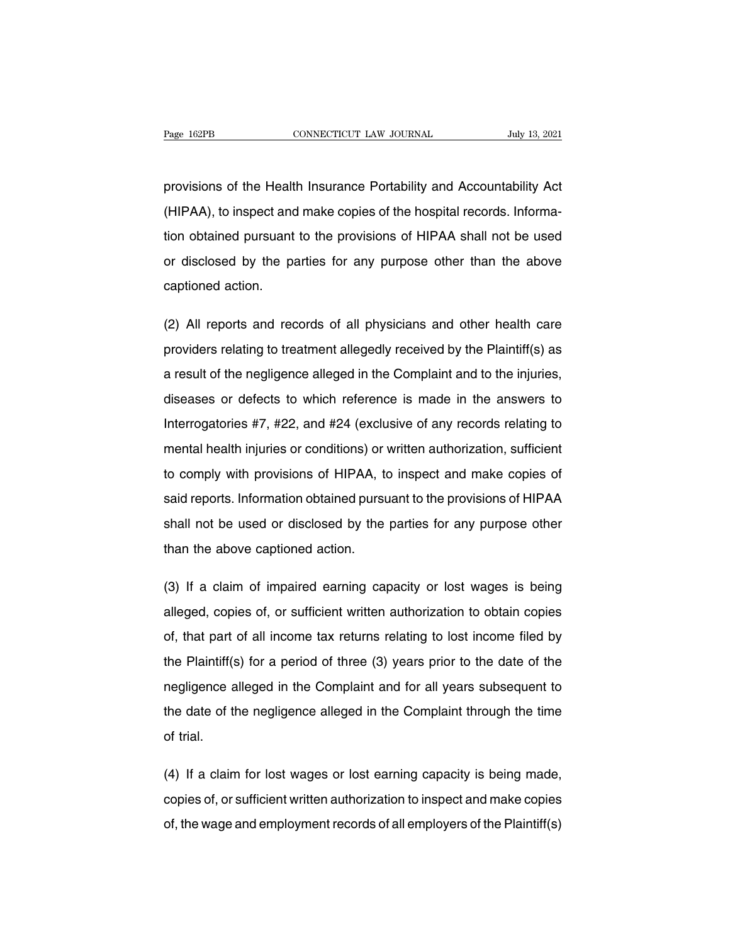Page 162PB CONNECTICUT LAW JOURNAL July 13, 2021<br>provisions of the Health Insurance Portability and Accountability Act<br>(HIPAA), to inspect and make copies of the hospital records. Informa-(Fage 162PB CONNECTICUT LAW JOURNAL July 13, 2021<br>provisions of the Health Insurance Portability and Accountability Act<br>(HIPAA), to inspect and make copies of the hospital records. Informa-<br>tion obtained pursuant to the pr provisions of the Health Insurance Portability and Accountability Act<br>(HIPAA), to inspect and make copies of the hospital records. Informa-<br>tion obtained pursuant to the provisions of HIPAA shall not be used<br>or disclosed b provisions of the Health Insurance Portability and Accountability Act<br>(HIPAA), to inspect and make copies of the hospital records. Informa-<br>tion obtained pursuant to the provisions of HIPAA shall not be used<br>or disclosed b (HIPAA), to inspect and<br>tion obtained pursuant<br>or disclosed by the pa<br>captioned action. tion obtained pursuant to the provisions of HIPAA shall not be used<br>or disclosed by the parties for any purpose other than the above<br>captioned action.<br>(2) All reports and records of all physicians and other health care<br>pro

or disclosed by the parties for any purpose other than the above<br>captioned action.<br>(2) All reports and records of all physicians and other health care<br>providers relating to treatment allegedly received by the Plaintiff(s) captioned action.<br>(2) All reports and records of all physicians and other health care<br>providers relating to treatment allegedly received by the Plaintiff(s) as<br>a result of the negligence alleged in the Complaint and to the (2) All reports and records of all physicians and other health care<br>providers relating to treatment allegedly received by the Plaintiff(s) as<br>a result of the negligence alleged in the Complaint and to the injuries,<br>disease providers relating to treatment allegedly received by the Plaintiff(s) as<br>a result of the negligence alleged in the Complaint and to the injuries,<br>diseases or defects to which reference is made in the answers to<br>Interroga mental of the negligence alleged in the Complaint and to the injuries, diseases or defects to which reference is made in the answers to Interrogatories #7, #22, and #24 (exclusive of any records relating to mental health i diseases or defects to which reference is made in the answers to<br>Interrogatories #7, #22, and #24 (exclusive of any records relating to<br>mental health injuries or conditions) or written authorization, sufficient<br>to comply w Interrogatories #7, #22, and #24 (exclusive of any records relating to<br>mental health injuries or conditions) or written authorization, sufficient<br>to comply with provisions of HIPAA, to inspect and make copies of<br>said repor mental health injuries or conditions) or written authorization, sufficient<br>to comply with provisions of HIPAA, to inspect and make copies of<br>said reports. Information obtained pursuant to the provisions of HIPAA<br>shall not mental health injuries or conditions) or written authorization, sufficient<br>to comply with provisions of HIPAA, to inspect and make copies of<br>said reports. Information obtained pursuant to the provisions of HIPAA<br>shall not said reports. Information obtained pursuant to the provisions of HIPAA<br>shall not be used or disclosed by the parties for any purpose other<br>than the above captioned action.<br>(3) If a claim of impaired earning capacity or los

shall not be used or disclosed by the parties for any purpose other<br>than the above captioned action.<br>(3) If a claim of impaired earning capacity or lost wages is being<br>alleged, copies of, or sufficient written authorizatio than the above captioned action.<br>
(3) If a claim of impaired earning capacity or lost wages is being<br>
alleged, copies of, or sufficient written authorization to obtain copies<br>
of, that part of all income tax returns relati (3) If a claim of impaired earning capacity or lost wages is being<br>alleged, copies of, or sufficient written authorization to obtain copies<br>of, that part of all income tax returns relating to lost income filed by<br>the Plain (c) in a staint of impaired saming explainty of foot wages is boing<br>alleged, copies of, or sufficient written authorization to obtain copies<br>of, that part of all income tax returns relating to lost income filed by<br>the Plai of, that part of all income tax returns relating to lost income filed by<br>the Plaintiff(s) for a period of three (3) years prior to the date of the<br>negligence alleged in the Complaint and for all years subsequent to<br>the dat of, that part of all income tax returns relating to lost income filed by<br>the Plaintiff(s) for a period of three (3) years prior to the date of the<br>negligence alleged in the Complaint and for all years subsequent to<br>the dat megligence alleged in the Complaint and for all years subsequent to<br>the date of the negligence alleged in the Complaint through the time<br>of trial.<br>(4) If a claim for lost wages or lost earning capacity is being made,<br>copie

the date of the negligence alleged in the Complaint through the time<br>of trial.<br>(4) If a claim for lost wages or lost earning capacity is being made,<br>copies of, or sufficient written authorization to inspect and make copies of trial.<br>(4) If a claim for lost wages or lost earning capacity is being made,<br>copies of, or sufficient written authorization to inspect and make copies<br>of, the wage and employment records of all employers of the Plaintif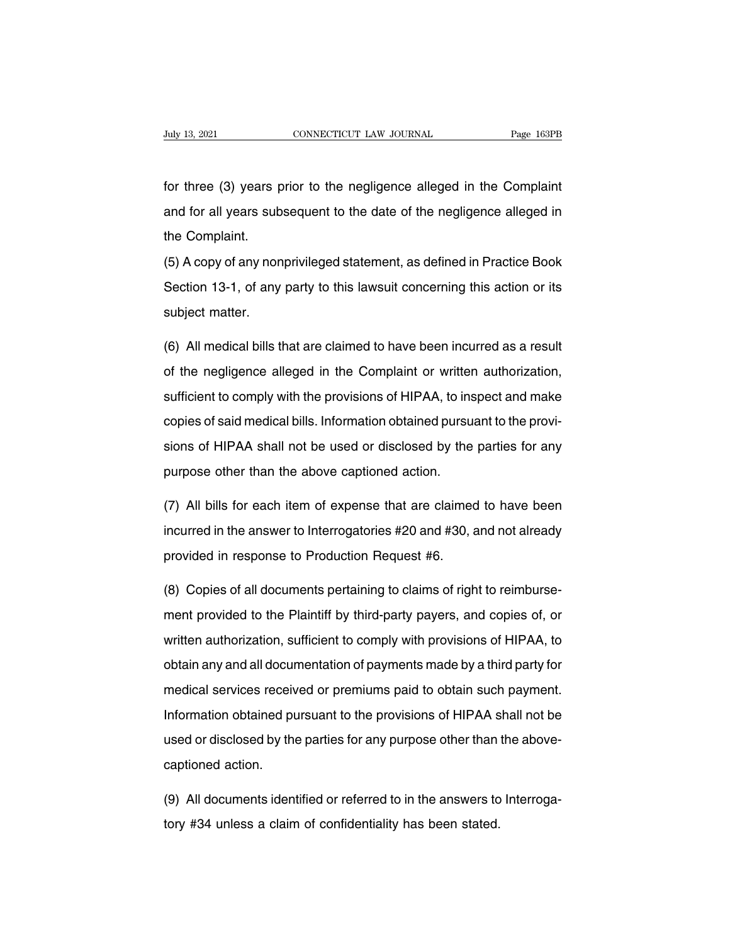Fuly 13, 2021<br>For three (3) years prior to the negligence alleged in the Complaint<br>and for all years subsequent to the date of the negligence alleged in July 13, 2021 CONNECTICUT LAW JOURNAL Page 163PB<br>for three (3) years prior to the negligence alleged in the Complaint<br>and for all years subsequent to the date of the negligence alleged in<br>the Complaint. for three (3) years pand for all years subset<br>and for all years subset<br>the Complaint.<br>(5) A copy of any nor for three (3) years prior to the negligence alleged in the Complaint<br>and for all years subsequent to the date of the negligence alleged in<br>the Complaint.<br>(5) A copy of any nonprivileged statement, as defined in Practice Bo

Section 13-1, of any party to this lawsuit concerning this action or its<br>subject matter.<br>Section 13-1, of any party to this lawsuit concerning this action or its<br>subject matter. the Complaint.<br>(5) A copy of any non<br>Section 13-1, of any<br>subject matter. (5) A copy of any nonprivileged statement, as defined in Practice Book<br>Section 13-1, of any party to this lawsuit concerning this action or its<br>subject matter.<br>(6) All medical bills that are claimed to have been incurred a

Section 13-1, of any party to this lawsuit concerning this action or its<br>subject matter.<br>(6) All medical bills that are claimed to have been incurred as a result<br>of the negligence alleged in the Complaint or written author subject matter.<br>(6) All medical bills that are claimed to have been incurred as a result<br>of the negligence alleged in the Complaint or written authorization,<br>sufficient to comply with the provisions of HIPAA, to inspect an (6) All medical bills that are claimed to have been incurred as a result<br>of the negligence alleged in the Complaint or written authorization,<br>sufficient to comply with the provisions of HIPAA, to inspect and make<br>copies of of the negligence alleged in the Complaint or written authorization,<br>sufficient to comply with the provisions of HIPAA, to inspect and make<br>copies of said medical bills. Information obtained pursuant to the provi-<br>sions of sufficient to comply with the provisions of HIPAA, to insequence of said medical bills. Information obtained pursu<br>sions of HIPAA shall not be used or disclosed by the<br>purpose other than the above captioned action. copies of said medical bills. Information obtained pursuant to the provisions of HIPAA shall not be used or disclosed by the parties for any<br>purpose other than the above captioned action.<br>(7) All bills for each item of exp

sions of HIPAA shall not be used or disclosed by the parties for any<br>purpose other than the above captioned action.<br>(7) All bills for each item of expense that are claimed to have been<br>incurred in the answer to Interrogato purpose other than the above captioned action.<br>
(7) All bills for each item of expense that are claimed<br>
incurred in the answer to Interrogatories #20 and #30, a<br>
provided in response to Production Request #6.<br>
(9) Conjec (7) All bills for each item of expense that are claimed to have been<br>incurred in the answer to Interrogatories #20 and #30, and not already<br>provided in response to Production Request #6.<br>(8) Copies of all documents pertain

incurred in the answer to Interrogatories #20 and #30, and not already<br>provided in response to Production Request #6.<br>(8) Copies of all documents pertaining to claims of right to reimburse-<br>ment provided to the Plaintiff b provided in response to Production Request #6.<br>(8) Copies of all documents pertaining to claims of right to reimbursement provided to the Plaintiff by third-party payers, and copies of, or<br>written authorization, sufficient (8) Copies of all documents pertaining to claims of right to reimburse-<br>ment provided to the Plaintiff by third-party payers, and copies of, or<br>written authorization, sufficient to comply with provisions of HIPAA, to<br>obtai (e) explose of all documenting to stall be right to relindered<br>ment provided to the Plaintiff by third-party payers, and copies of, or<br>written authorization, sufficient to comply with provisions of HIPAA, to<br>obtain any and Information provided to the Flamin by time party payore, and sopice of, or<br>written authorization, sufficient to comply with provisions of HIPAA, to<br>obtain any and all documentation of payments made by a third party for<br>med which durionzation, samolont to comply with provisions of thirty to, to<br>obtain any and all documentation of payments made by a third party for<br>medical services received or premiums paid to obtain such payment.<br>Information medical services received<br>Information obtained pused or disclosed by the<br>captioned action. Information obtained pursuant to the provisions of HIPAA shall not be<br>used or disclosed by the parties for any purpose other than the above-<br>captioned action.<br>(9) All documents identified or referred to in the answers to I used or disclosed by the parties for any purpose other than<br>captioned action.<br>(9) All documents identified or referred to in the answers to<br>tory #34 unless a claim of confidentiality has been stated.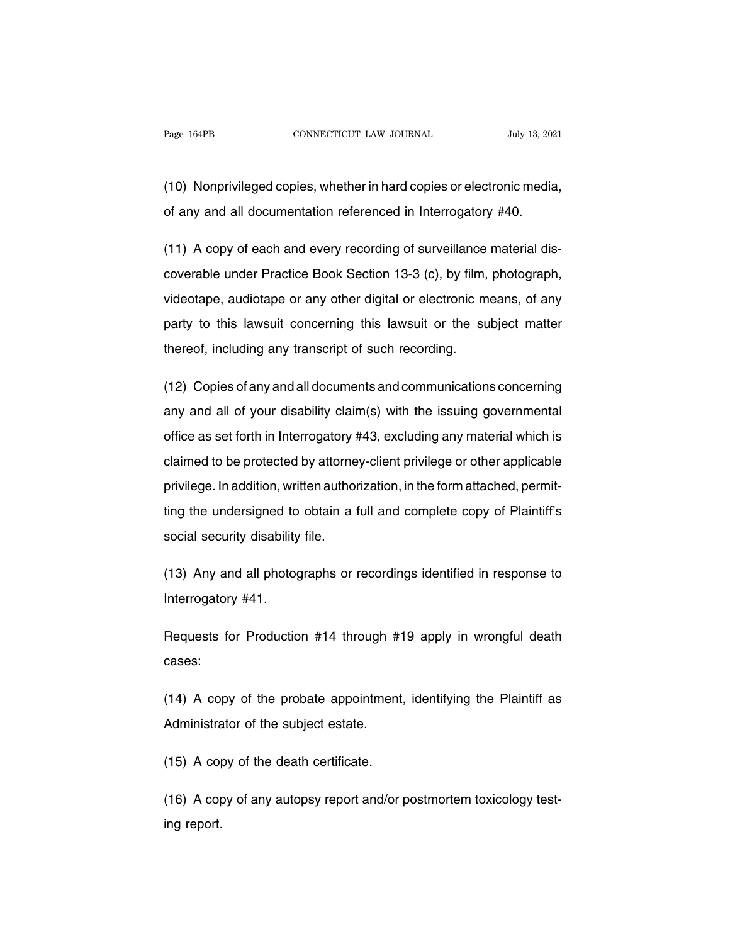Page 164PB CONNECTICUT LAW JOURNAL July 13, 2021<br>(10) Nonprivileged copies, whether in hard copies or electronic media,<br>of any and all documentation referenced in Interrogatory #40. Page 164PB CONNECTICUT LAW JOURNAL July 13, 202<br>
(10) Nonprivileged copies, whether in hard copies or electronic media<br>
of any and all documentation referenced in Interrogatory #40. (10) Nonprivileged copies, whether in hard copies or electronic media,<br>of any and all documentation referenced in Interrogatory #40.<br>(11) A copy of each and every recording of surveillance material dis-

(10) Nonprivileged copies, whether in hard copies or electronic media,<br>of any and all documentation referenced in Interrogatory #40.<br>(11) A copy of each and every recording of surveillance material dis-<br>coverable under Pra of any and all documentation referenced in Interrogatory #40.<br>
(11) A copy of each and every recording of surveillance material dis-<br>
coverable under Practice Book Section 13-3 (c), by film, photograph,<br>
videotape, audiota (11) A copy of each and every recording of surveillance material dis-<br>coverable under Practice Book Section 13-3 (c), by film, photograph,<br>videotape, audiotape or any other digital or electronic means, of any<br>party to this coverable under Practice Book Section 13-3 (c), by film, photograph,<br>videotape, audiotape or any other digital or electronic means, of any<br>party to this lawsuit concerning this lawsuit or the subject matter<br>thereof, includ videotape, audiotape or any other digital or electronic means, of any<br>party to this lawsuit concerning this lawsuit or the subject matter<br>thereof, including any transcript of such recording.<br>(12) Copies of any and all docu

party to this lawsuit concerning this lawsuit or the subject matter<br>thereof, including any transcript of such recording.<br>(12) Copies of any and all documents and communications concerning<br>any and all of your disability cla thereof, including any transcript of such recording.<br>
(12) Copies of any and all documents and communications concerning<br>
any and all of your disability claim(s) with the issuing governmental<br>
office as set forth in Interr (12) Copies of any and all documents and communications concerning<br>any and all of your disability claim(s) with the issuing governmental<br>office as set forth in Interrogatory #43, excluding any material which is<br>claimed to any and all of your disability claim(s) with the issuing governmental<br>office as set forth in Interrogatory #43, excluding any material which is<br>claimed to be protected by attorney-client privilege or other applicable<br>privi office as set forth in Interrogatory #43, excluding any material which is<br>claimed to be protected by attorney-client privilege or other applicable<br>privilege. In addition, written authorization, in the form attached, permit since as section in interregately and<br>claimed to be protected by attorne<br>privilege. In addition, written author<br>ting the undersigned to obtain a f<br>social security disability file. privilege. In addition, written authorization, in the form attached, permitting the undersigned to obtain a full and complete copy of Plaintiff's<br>social security disability file.<br>(13) Any and all photographs or recordings Interval the undersigned to<br>
Intervalse security disability<br>
Interrogatory #41.

(13) Any and all photographs or recordings identified in response to<br>Interrogatory #41.<br>Requests for Production #14 through #19 apply in wrongful death<br>cases: cases: Requests for Production #14 through #<br>cases:<br>(14) A copy of the probate appointment<br>Administrator of the subject estate.

Requests for Production #14 through #19 apply in wrongful death<br>cases:<br>(14) A copy of the probate appointment, identifying the Plaintiff as<br>Administrator of the subject estate. (14) A copy of the probate appointment,<br>Administrator of the subject estate.<br>(15) A copy of the death certificate.

Administrator of the subject estate.<br>
(15) A copy of the death certificate.<br>
(16) A copy of any autopsy report and/or postmortem toxicology test-<br>
ing report. (15) A cop<br>(16) A cop<br>ing report.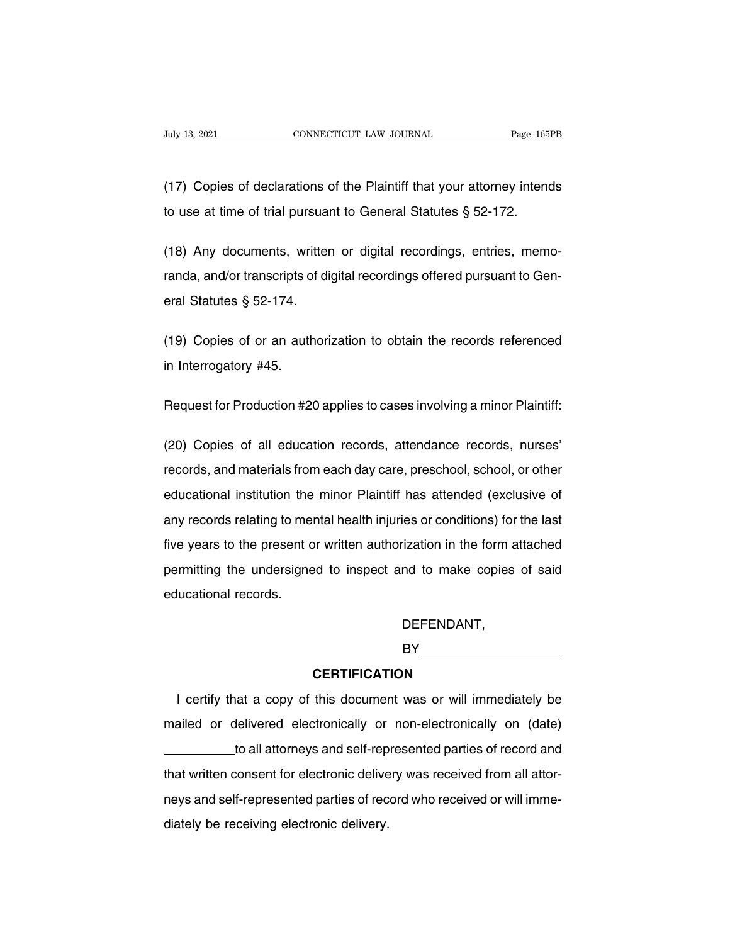Undy 13, 2021 CONNECTICUT LAW JOURNAL Page 165PB<br>
(17) Copies of declarations of the Plaintiff that your attorney intends<br>
to use at time of trial pursuant to General Statutes § 52-172. The Use at time of trial pursuant to General Statutes § 52-172.<br>The use at time of trial pursuant to General Statutes § 52-172.

(17) Copies of declarations of the Plaintiff that your attorney intends<br>to use at time of trial pursuant to General Statutes § 52-172.<br>(18) Any documents, written or digital recordings, entries, memo-<br>randa, and/or transc (17) Copies of declarations of the Plaintiff that your attorney intends<br>to use at time of trial pursuant to General Statutes § 52-172.<br>(18) Any documents, written or digital recordings, entries, memo-<br>randa, and/or transc to use at time of trial pursua<br>(18) Any documents, writter<br>randa, and/or transcripts of di<br>eral Statutes § 52-174. (18) Any documents, written or digital recordings, entries, memo-<br>randa, and/or transcripts of digital recordings offered pursuant to Gen-<br>eral Statutes § 52-174.<br>(19) Copies of or an authorization to obtain the records r randa, and/or transcripts o<br>eral Statutes § 52-174.<br>(19) Copies of or an auth<br>in Interrogatory #45.

(19) Copies of or an authorization to obtain the records referenced<br>in Interrogatory #45.<br>Request for Production #20 applies to cases involving a minor Plaintiff:

in Interrogatory #45.<br>
Request for Production #20 applies to cases involving a minor Plaintiff:<br>
(20) Copies of all education records, attendance records, nurses'<br>
records, and materials from each day care, preschool, scho Request for Production #20 applies to cases involving a minor Plaintiff:<br>(20) Copies of all education records, attendance records, nurses'<br>records, and materials from each day care, preschool, school, or other<br>educational Request for Production #20 applies to cases involving a minor Plaintiff:<br>(20) Copies of all education records, attendance records, nurses'<br>records, and materials from each day care, preschool, school, or other<br>educational (20) Copies of all education records, attendance records, nurses'<br>records, and materials from each day care, preschool, school, or other<br>educational institution the minor Plaintiff has attended (exclusive of<br>any records re five years of an education issent of any calculation is essentially interested and materials from each day care, preschool, school, or other educational institution the minor Plaintiff has attended (exclusive of any record permitting the undersigned to inspect and to make copies of said<br>educational institution the minor Plaintiff has attended (exclusive of<br>any records relating to mental health injuries or conditions) for the last<br>five years educational institution the minor Plaintiff has attended (exclusive of any records relating to mental health injuries or conditions) for the last five years to the present or written authorization in the form attached perm

DEFENDANT,

BY **BY** 

### **CERTIFICATION**

DEFENDANT,<br>
BY<br> **CERTIFICATION**<br>
I certify that a copy of this document was or will immediately be<br>
ailed or delivered electronically or non-electronically on (date) ELLENDANT,<br>
BY<br>
CERTIFICATION<br>
I certify that a copy of this document was or will immediately be<br>
mailed or delivered electronically or non-electronically on (date)<br>
to all attorneys and self-represented parties of record **CERTIFICATION**<br>at a copy of this document was or will immediately be<br>delivered electronically or non-electronically on (date)<br>to all attorneys and self-represented parties of record and<br>consent for electronic delivery was I certify that a copy of this document was or will immediately be<br>mailed or delivered electronically or non-electronically on (date)<br>to all attorneys and self-represented parties of record and<br>that written consent for elec next a copy of this document was of this immediately be mailed or delivered electronically or non-electronically on (date)<br>to all attorneys and self-represented parties of record and<br>that written consent for electronic del to all attorneys and self-rep<br>that written consent for electronic delivery and self-represented parties of rec<br>diately be receiving electronic delivery.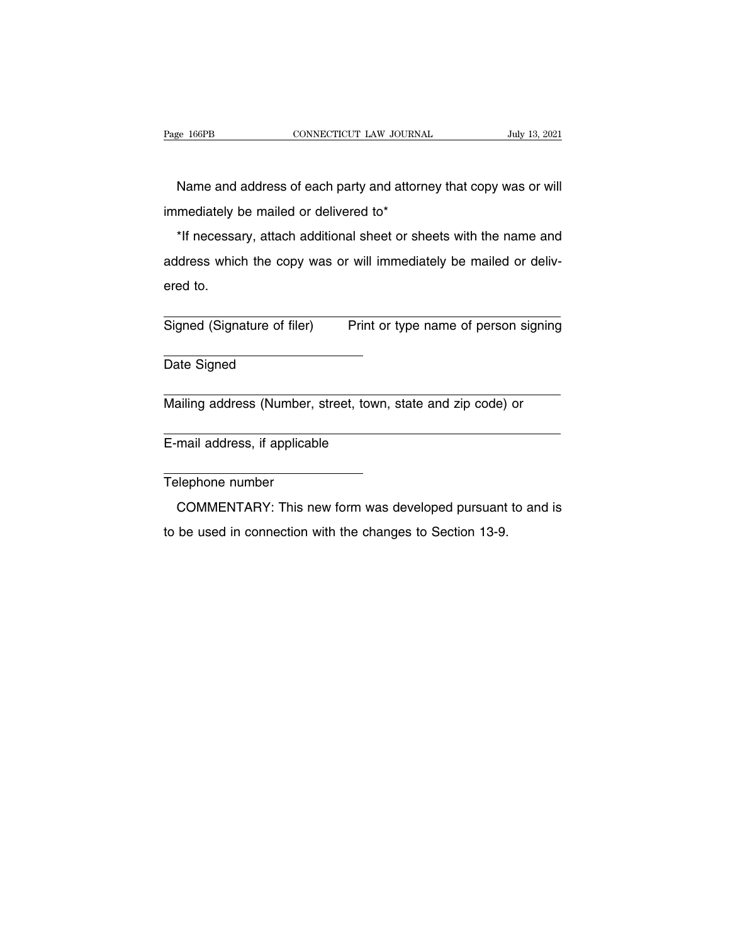e 166PB<br>
CONNECTICUT LAW JOURNAL<br>
Name and address of each party and attorney that copy was or will<br>
mediately be mailed or delivered to\* Page 166PB CONNECTICUT LAW JOURNAL<br>Name and address of each party and attorne<br>immediately be mailed or delivered to\*<br>\*If necessary, attach additional sheet or shee immediately be mailed or delivered to\*

Name and address of each party and attorney that copy was or will<br>mediately be mailed or delivered to\*<br>\*If necessary, attach additional sheet or sheets with the name and<br>dress which the copy was or will immediately be mail Name and address of each party and attorney that copy was or will<br>immediately be mailed or delivered to\*<br>\*If necessary, attach additional sheet or sheets with the name and<br>address which the copy was or will immediately be \*If necessary, attach additional sheet or sheets with the name and<br>address which the copy was or will immediately be mailed or deliv-<br>ered to.<br>Signed (Signature of filer) Print or type name of person signing

Signed (Signature of filer)<br>Date Signed Signed (Signature of filer) Print or type name of person signing<br>
Date Signed<br>
Mailing address (Number, street, town, state and zip code) or

Date Signed<br>
Mailing address (Number, street, town,<br>
E-mail address, if applicable

Mailing address (Number,<br>E-mail address, if applical<br>Telephone number<br>COMMENTARY: This n mail address, if applicable<br>
elephone number<br>
COMMENTARY: This new form was developed pursuant to and is<br>
be used in connection with the changes to Section 13-9. E-mail address, if applicable<br>
Telephone number<br>
COMMENTARY: This new form was developed pursuant to and is<br>
to be used in connection with the changes to Section 13-9.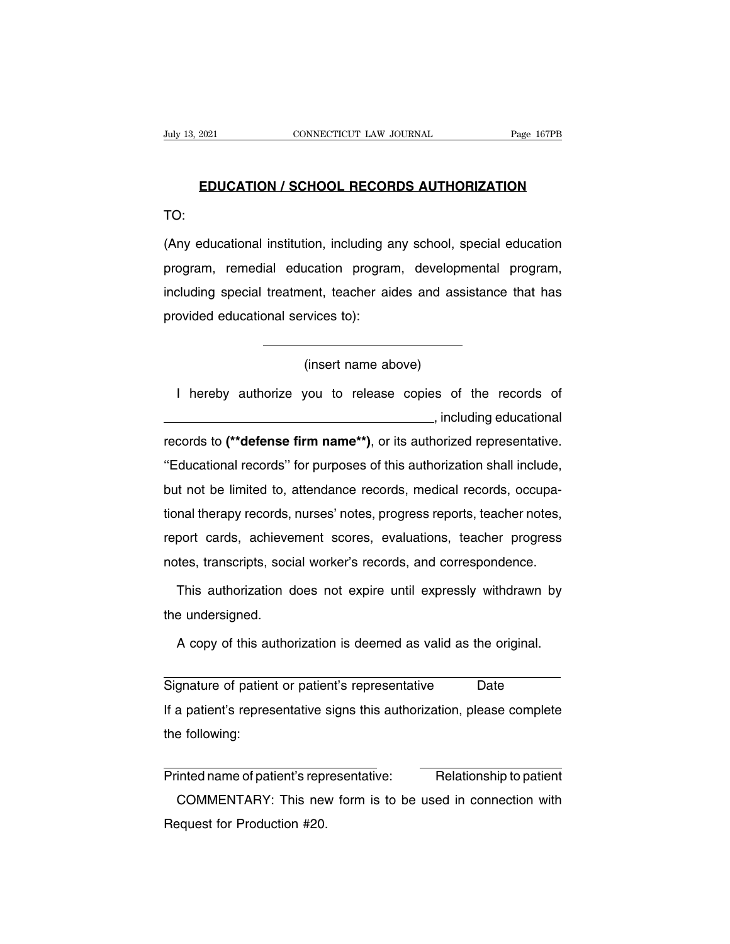# **EDUCATION / SCHOOL RECORDS AUTHORIZATION**

TO:

EDUCATION / SCHOOL RECORDS AUTHORIZATION<br>TO:<br>(Any educational institution, including any school, special education<br>program, remedial education program, developmental program, EDUCATION / SCHOOL RECORDS AUTHORIZATION<br>TO:<br>(Any educational institution, including any school, special education<br>program, remedial education program, developmental program,<br>including special treatment, teacher aides and TO:<br>(Any educational institution, including any school, special education<br>program, remedial education program, developmental program,<br>including special treatment, teacher aides and assistance that has<br>provided educational (Any educational institution, including any school, special education<br>program, remedial education program, developmental program,<br>including special treatment, teacher aides and assistance that has<br>provided educational serv (insert name above)<br>
until teacher aides and ass<br>
prices to its and ass<br>
(insert name above)<br>
you to release copies of

(insert name above)<br>I hereby authorize you to release copies of the records of<br>including educational, , including educational (insert name above)<br>
I hereby authorize you to release copies of the records of<br>
..., including educational<br>
records to (\*\*defense firm name\*\*), or its authorized representative.<br>
"Educational records" for purposes of this ''Educational records'' for purposes of this authorization shall include, records to (\*\***defense firm name\*\*)**, or its authorized representative.<br>
"Educational records" for purposes of this authorization shall include,<br>
but not be limited to, attendance records, medical records, occupa-<br>
tional therapy records to (\*\*defense firm name\*\*), or its authorized representative.<br>
"Educational records" for purposes of this authorization shall include,<br>
but not be limited to, attendance records, medical records, occupa-<br>
t records to (""**defense firm name**""), or its authorized representative.<br>"Educational records" for purposes of this authorization shall include,<br>but not be limited to, attendance records, medical records, occupa-<br>tional the Educational records for purposes of this authorization shall include,<br>but not be limited to, attendance records, medical records, occupa-<br>tional therapy records, nurses' notes, progress reports, teacher notes,<br>report cards The text with the set in the set in the set in the set in the set in the set in the spire and therapy records, nurses' notes, progress reports, teacher progress<br>port cards, achievement scores, evaluations, teacher progress report cards, achieve<br>report cards, achieve<br>notes, transcripts, soci<br>This authorization c<br>the undersigned.<br>A copy of this autho

tes, transcripts, social worker's records, and correspondence.<br>This authorization does not expire until expressly withdrawn by<br>e undersigned.<br>A copy of this authorization is deemed as valid as the original.

This authorization does not expire until expressly withdrawn by<br>the undersigned.<br>A copy of this authorization is deemed as valid as the original.<br>Signature of patient or patient's representative Date<br>If a patient's represe Ine undersigned.<br>
A copy of this authorization is deemed as valid as the original.<br>
Signature of patient or patient's representative<br>
If a patient's representative signs this authorization, please complete<br>
the following: A copy of this au<br>Signature of patien<br>If a patient's repres<br>the following: Signature of patient or patient's representative Date<br>
If a patient's representative signs this authorization, please complete<br>
the following:<br>
Printed name of patient's representative: Relationship to patient<br>
COMMENTARY:

a patient's representative signs this authorization, please complete<br>
inted name of patient's representative:<br>
COMMENTARY: This new form is to be used in connection with<br>
request for Production #20. the following:<br>Printed name of patient's repr<br>COMMENTARY: This nev<br>Request for Production #20.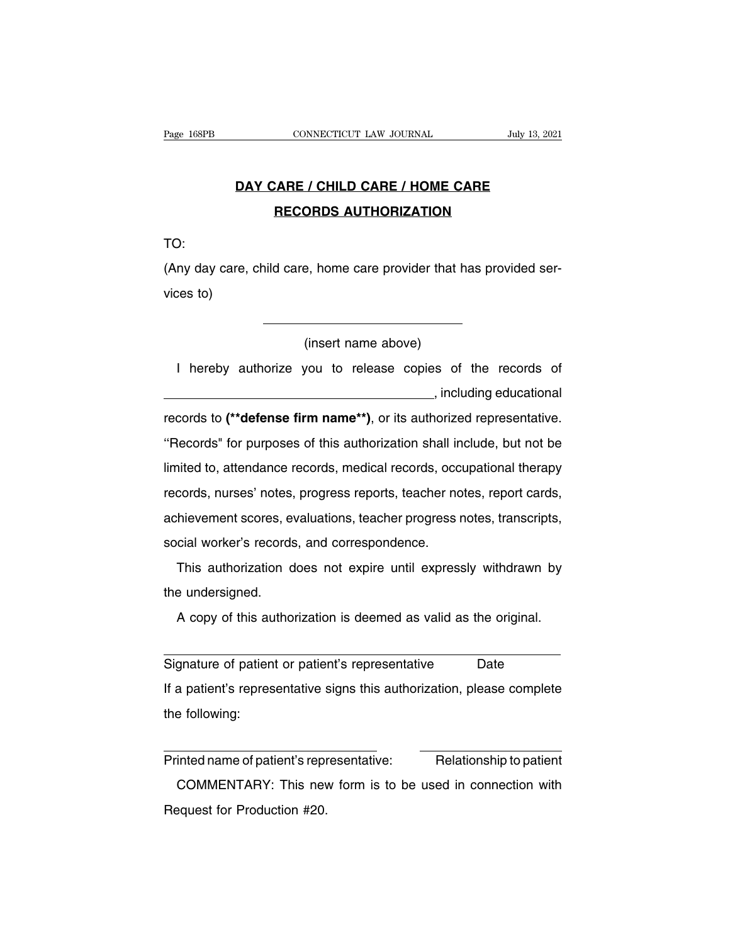# **CONNECTICUT LAW JOURNAL** July 13, 2021<br>
DAY CARE / CHILD CARE / HOME CARE<br>
RECORDS AUTHORIZATION **CONNECTICUT LAW JOURNAL** July 13<br> **RECORDS AUTHORIZATION**

TO:

**DAY CARE / CHILD CARE / HOME CARE**<br> **RECORDS AUTHORIZATION**<br>
(Any day care, child care, home care provider that has provided services to) TO:<br>(Any day care,<br>vices to) e, home care provider that<br>(insert name above)<br>you to release copies of

I hereby authorize you to release copies of the records of ordex the records of<br>
discribed in the selectional<br>
prized representative. (insert name above)<br>
I hereby authorize you to release copies of the records of<br>
..., including educational<br>
records to (\*\*defense firm name\*\*), or its authorized representative.<br>
"Records" for purposes of this authorizati I hereby authorize you to release copies of the records of<br>
, including educational<br>
records to (\*\*defense firm name\*\*), or its authorized representative.<br>
"Records" for purposes of this authorization shall include, but no Indical you to heliade replied of the hedded of<br>Including educational<br>records to (\*\*defense firm name\*\*), or its authorized representative.<br>"Records" for purposes of this authorization shall include, but not be<br>limited to, records to (\*\*defense firm name\*\*), or its authorized representative.<br>
"Records" for purposes of this authorization shall include, but not be<br>
limited to, attendance records, medical records, occupational therapy<br>
records, records to (**actence in manne** ), or its datitionzed representative.<br>
"Records" for purposes of this authorization shall include, but not be<br>
limited to, attendance records, medical records, occupational therapy<br>
records, Imited to, attendance records, medical records, occ<br>records, nurses' notes, progress reports, teacher no<br>achievement scores, evaluations, teacher progress r<br>social worker's records, and correspondence.<br>This authorization d rords, nurses' notes, progress reports, teacher notes, report cards,<br>hievement scores, evaluations, teacher progress notes, transcripts,<br>cial worker's records, and correspondence.<br>This authorization does not expire until e Exercise, narece herees,<br>achievement scores, e<br>social worker's records<br>This authorization c<br>the undersigned.<br>A copy of this autho

A copy of this authorization is deemed as valid as the original.<br>A copy of this authorization is deemed as valid as the original. This authorization does not expire until expressiy withdrawn by<br>the undersigned.<br>A copy of this authorization is deemed as valid as the original.<br>Signature of patient or patient's representative Date<br>If a patient's represe

If a patient's representative signs this authorization, please complete the following:<br>
The patient's representative signs this authorization, please complete the following: A copy of this authorization is deemed as valid as the original.<br>
Signature of patient or patient's representative Date<br>
If a patient's representative signs this authorization, please complete<br>
the following: Signature of patient or patient s representative<br>
If a patient's representative signs this authorization, please complete<br>
the following:<br>
Printed name of patient's representative:<br>
COMMENTARY: This new form is to be used

a patient's representative signs this authorization, please complete<br>
e following:<br>
inted name of patient's representative:<br>
COMMENTARY: This new form is to be used in connection with<br>
equest for Production #20. Printed name of patient's representative: Relationship to patient<br>COMMENTARY: This new form is to be used in connection with<br>Request for Production #20.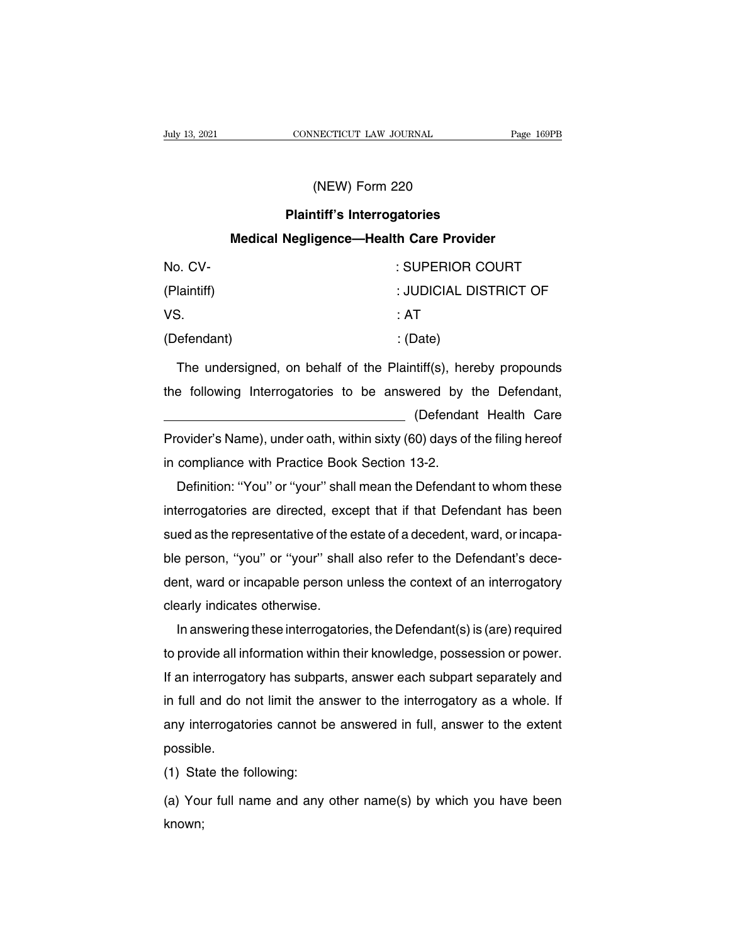### NECTICUT LAW JOURNAL<br>(NEW) Form 220<br>**tiff's Interrogatories PROINTE CONNECTICUT LAW JOURNAL**<br>
(NEW) Form 220<br> **Plaintiff's Interrogatories<br>
Negligence—Health Care Provider MEW) Form 220<br>
Plaintiff's Interrogatories<br>
Medical Negligence—Health Care Provider<br>
BUPERIOR COURT**

| (NEW) Form 220                                                   |                        |  |
|------------------------------------------------------------------|------------------------|--|
| <b>Plaintiff's Interrogatories</b>                               |                        |  |
| <b>Medical Negligence-Health Care Provider</b>                   |                        |  |
| No. CV-                                                          | : SUPERIOR COURT       |  |
| (Plaintiff)                                                      | : JUDICIAL DISTRICT OF |  |
| VS.                                                              | : AT                   |  |
| (Defendant)                                                      | : (Date)               |  |
| The undersigned, on behalf of the Plaintiff(s), hereby propounds |                        |  |
| the following Interrogatories to be answered by the Defendant,   |                        |  |

the following Interrogatories to be answered by the Defendant,<br>
The undersigned, on behalf of the Plaintiff(s), hereby propounds<br>
the following Interrogatories to be answered by the Defendant,<br>
(Defendant Health Care )<br>
(Date)<br>
(Defendant Health Care<br>
(Defendant Health Care<br>
(O) days of the filing hereof The undersigned, on behalf of the Plaintiff(s), hereby propounds<br>the following Interrogatories to be answered by the Defendant,<br>
(Defendant Health Care<br>
Provider's Name), under oath, within sixty (60) days of the filing he The undersigned, on behalf of the Plaintiff(s), hereby propounds<br>the following Interrogatories to be answered by the Defendant,<br>(Defendant Health Care<br>Provider's Name), under oath, within sixty (60) days of the filing here Prollowing Interrogatories to be answered by the Defendant,<br>
Consider's Name), under oath, within sixty (60) days of the filing hereof<br>
compliance with Practice Book Section 13-2.<br>
Definition: "You" or "your" shall mean th

IDetendant Health Care<br>
Provider's Name), under oath, within sixty (60) days of the filing hereof<br>
in compliance with Practice Book Section 13-2.<br>
Definition: "You" or "your" shall mean the Defendant to whom these<br>
interro Provider's Name), under oath, within sixty (60) days of the filling nereof<br>in compliance with Practice Book Section 13-2.<br>Definition: "You" or "your" shall mean the Defendant to whom these<br>interrogatories are directed, exc In compliance with Practice Book Section 13-2.<br>Definition: "You" or "your" shall mean the Defendant to whom these<br>interrogatories are directed, except that if that Defendant has been<br>sued as the representative of the estat Definition: "You" or "your" shall mean the Defendant to whom these<br>interrogatories are directed, except that if that Defendant has been<br>sued as the representative of the estate of a decedent, ward, or incapa-<br>ble person, " interrogatories are directed, exce<br>sued as the representative of the  $\epsilon$ <br>ble person, "you" or "your" shall<br>dent, ward or incapable person u<br>clearly indicates otherwise.<br>In answering these interrogatori ed as the representative of the estate of a decedent, ward, or incapa-<br>
a person, "you" or "your" shall also refer to the Defendant's dece-<br>
ent, ward or incapable person unless the context of an interrogatory<br>
arly indica

ble person, "you" or "your" shall also refer to the Defendant's dece-<br>dent, ward or incapable person unless the context of an interrogatory<br>clearly indicates otherwise.<br>In answering these interrogatories, the Defendant(s) dent, ward or incapable person unless the context or an interrogatory<br>clearly indicates otherwise.<br>In answering these interrogatories, the Defendant(s) is (are) required<br>to provide all information within their knowledge, p clearly indicates otherwise.<br>In answering these interrogatories, the Defendant(s) is (are) required<br>to provide all information within their knowledge, possession or power.<br>If an interrogatory has subparts, answer each subp In answering these interrogatories, the Detendant(s) is (are) required<br>to provide all information within their knowledge, possession or power.<br>If an interrogatory has subparts, answer each subpart separately and<br>in full an possible. It an interrogatory nas subpa<br>in full and do not limit the ar<br>any interrogatories cannot be<br>possible.<br>(1) State the following:<br>(a) Your full name and any (a) Your full name and any other name(s) by which you have been<br>known;<br>(a) Your full name and any other name(s) by which you have been<br>known;

known;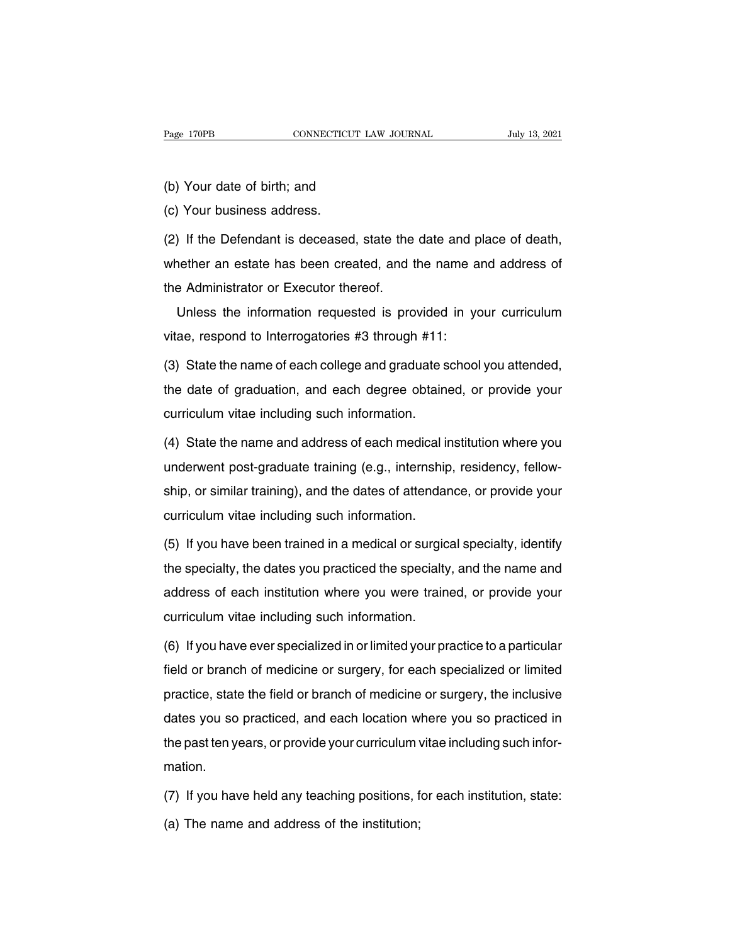Page 170PB<br>
CONNECTICUT LAV<br>
(b) Your date of birth; and<br>
(c) Your business address. Page 170PB<br>
(b) Your date of birth; and<br>
(c) Your business address.<br>
(2) If the Defendant is deceased

(b) Your date of birth; and<br>(c) Your business address.<br>(2) If the Defendant is deceased, state the date and place of death,<br>whether an estate has been created, and the name and address of (b) Your date of birth; and<br>
(c) Your business address.<br>
(2) If the Defendant is deceased, state the date and place of death,<br>
whether an estate has been created, and the name and address of<br>
the Administrator or Executor (c) Your business address.<br>(2) If the Defendant is deceased, state the<br>whether an estate has been created, and t<br>the Administrator or Executor thereof.<br>Unless the information requested is pro If the Defendant is deceased, state the date and place of death,<br>nether an estate has been created, and the name and address of<br>a Administrator or Executor thereof.<br>Unless the information requested is provided in your curr whether an estate has been created, and the name a<br>the Administrator or Executor thereof.<br>Unless the information requested is provided in yo<br>vitae, respond to Interrogatories #3 through #11:<br>(3) State the name of each col

(3) State the name of each college and graduate school you attended,<br>the daministrator or Executor thereof.<br>vitae, respond to Interrogatories #3 through #11:<br>(3) State the name of each college and graduate school you atten Unless the information requested is provided in your curriculum<br>vitae, respond to Interrogatories #3 through #11:<br>(3) State the name of each college and graduate school you attended,<br>the date of graduation, and each degree vitae, respond to Interrogatories #3 through #11:<br>(3) State the name of each college and graduate s<br>the date of graduation, and each degree obtain-<br>curriculum vitae including such information.<br>(4) State the name and addres (3) State the name of each college and graduate school you attended,<br>the date of graduation, and each degree obtained, or provide your<br>curriculum vitae including such information.<br>(4) State the name and address of each med

underwent post-graduation, and each degree obtained, or provide your<br>curriculum vitae including such information.<br>(4) State the name and address of each medical institution where you<br>underwent post-graduate training (e.g., ship, or similar training such information.<br>
(4) State the name and address of each medical institution where you<br>
underwent post-graduate training (e.g., internship, residency, fellow-<br>
ship, or similar training), and the (4) State the name and address of each medical in<br>underwent post-graduate training (e.g., internship<br>ship, or similar training), and the dates of attendar<br>curriculum vitae including such information.<br>(5) If you have been t (5) The train and address of such medical medical medical specialty and<br>ship, or similar training), and the dates of attendance, or provide your<br>curriculum vitae including such information.<br>(5) If you have been trained in

ship, or similar training), and the dates of attendance, or provide your<br>curriculum vitae including such information.<br>(5) If you have been trained in a medical or surgical specialty, identify<br>the specialty, the dates you p curriculum vitae including such information.<br>(5) If you have been trained in a medical or surgical specialty, identify<br>the specialty, the dates you practiced the specialty, and the name and<br>address of each institution wher (5) If you have been trained in a medical or surgic<br>the specialty, the dates you practiced the specialty<br>address of each institution where you were train<br>curriculum vitae including such information.<br>(6) If you have ever sp (e) If you have ever special in or limited were specialty, and the name and<br>address of each institution where you were trained, or provide your<br>curriculum vitae including such information.<br>(6) If you have ever specialized

field or branch of medicine or surgery, for each specialized or limited practice, state the field or branch of medicine or surgery, for each specialized or limited practice, state the field or branch of medicine or surgery practiculum vitae including such information.<br>
(6) If you have ever specialized in or limited your practice to a particular<br>
field or branch of medicine or surgery, for each specialized or limited<br>
practice, state the fiel (6) If you have ever specialized in or limited your practice to a particular<br>field or branch of medicine or surgery, for each specialized or limited<br>practice, state the field or branch of medicine or surgery, the inclusive (6) If you have ever specialized in or limited your practice to a particular<br>field or branch of medicine or surgery, for each specialized or limited<br>practice, state the field or branch of medicine or surgery, the inclusive mation. (2) If you have held any teaching positions, for each institution, state:<br>(7) If you have held any teaching positions, for each institution, state:<br>(3) The name and address of the institution; the past ten years, or provide your curriculum w<br>mation.<br>(7) If you have held any teaching positions, f<br>(a) The name and address of the institution;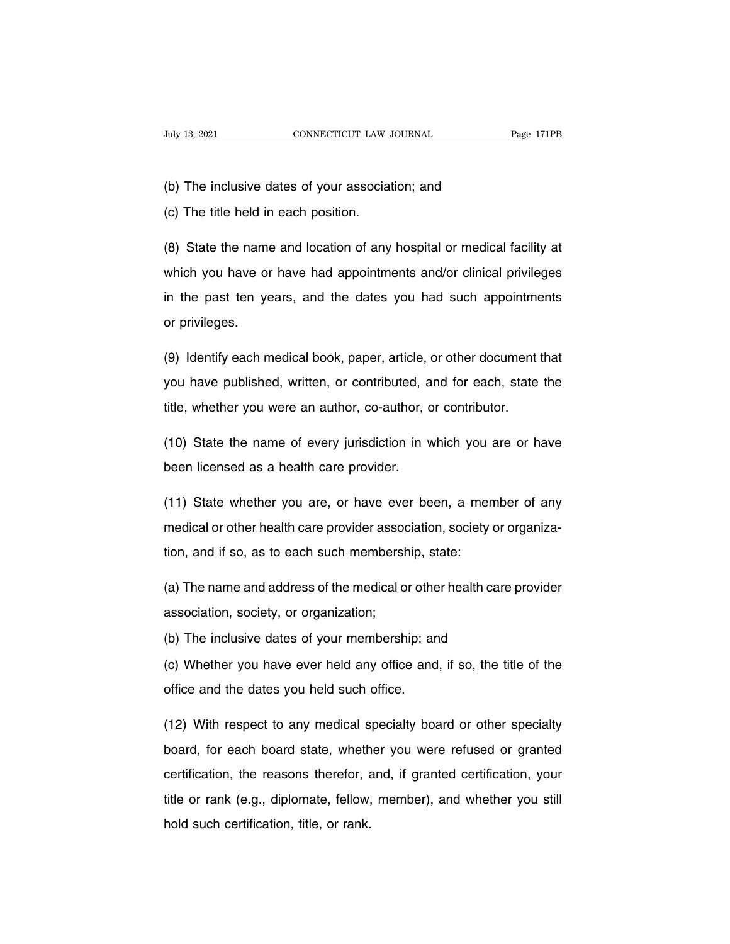(b) The inclusive dates of your association; and<br>
(b) The inclusive dates of your association; and<br>
(c) The title held in each position. July 13, 2021 CONNECTICUT LAW.<br>
(b) The inclusive dates of your association.<br>
(c) The title held in each position.

(b) The inclusive dates of your association; and<br>(c) The title held in each position.<br>(8) State the name and location of any hospital or medical facility at<br>which you have or have had appointments and/or clinical privilege (b) The inclusive dates of your association; and<br>
(c) The title held in each position.<br>
(8) State the name and location of any hospital or medical facility at<br>
which you have or have had appointments and/or clinical privil (c) The title held in each position.<br>
(8) State the name and location of any hospital or medical facility at<br>
which you have or have had appointments and/or clinical privileges<br>
in the past ten years, and the dates you had (8) State the name<br>which you have or<br>in the past ten ye<br>or privileges. which you have or have had appointments and/or clinical privileges<br>in the past ten years, and the dates you had such appointments<br>or privileges.<br>(9) Identify each medical book, paper, article, or other document that<br>you ha

in the past ten years, and the dates you had such appointments<br>or privileges.<br>(9) Identify each medical book, paper, article, or other document that<br>you have published, written, or contributed, and for each, state the<br>titl therefore privileges.<br>
(9) Identify each medical book, paper, article, or other document to<br>
you have published, written, or contributed, and for each, state<br>
title, whether you were an author, co-author, or contributor.<br> (9) Identify each medical book, paper, article, or other document that<br>you have published, written, or contributed, and for each, state the<br>title, whether you were an author, co-author, or contributor.<br>(10) State the name been licensed as a health care provider.<br>
State the name of every jurisdiction in v<br>
been licensed as a health care provider.<br>
(11) State whather you are as house aver he

title, whether you were an author, co-author, or contributor.<br>
(10) State the name of every jurisdiction in which you are or have<br>
been licensed as a health care provider.<br>
(11) State whether you are, or have ever been, a (10) State the name of every jurisdiction in which you are or have<br>been licensed as a health care provider.<br>(11) State whether you are, or have ever been, a member of any<br>medical or other health care provider association, the internal data a health care provider.<br>
(11) State whether you are, or have ever been, a men<br>
medical or other health care provider association, society<br>
tion, and if so, as to each such membership, state:<br>
(a) The name (11) State whether you are, or have ever been, a member of any<br>medical or other health care provider association, society or organiza-<br>tion, and if so, as to each such membership, state:<br>(a) The name and address of the med medical or other health care provider assoction, and if so, as to each such membersh<br>(a) The name and address of the medical of<br>association, society, or organization;<br>(b) The inclusive dates of your membersh

tion, and if so, as to each such membership, state:<br>
(a) The name and address of the medical or other health care<br>
association, society, or organization;<br>
(b) The inclusive dates of your membership; and<br>
(c) Whether you ha (a) The name and address of the medical or other health care provider<br>association, society, or organization;<br>(b) The inclusive dates of your membership; and<br>(c) Whether you have ever held any office and, if so, the title o

association, society, or organization;<br>
(b) The inclusive dates of your membership; ar<br>
(c) Whether you have ever held any office and<br>
office and the dates you held such office.

(b) The inclusive dates of your membership; and<br>
(c) Whether you have ever held any office and, if so, the title of the<br>
office and the dates you held such office.<br>
(12) With respect to any medical specialty board or other (c) Whether you have ever held any office and, if so, the title of the<br>office and the dates you held such office.<br>(12) With respect to any medical specialty board or other specialty<br>board, for each board state, whether you office and the dates you held such office.<br>
(12) With respect to any medical specialty board or other specialty<br>
board, for each board state, whether you were refused or granted<br>
certification, the reasons therefor, and, i (12) With respect to any medical specialty board or other specialty<br>board, for each board state, whether you were refused or granted<br>certification, the reasons therefor, and, if granted certification, your<br>title or rank (e board, for each board state, wheth<br>certification, the reasons therefor, a<br>title or rank (e.g., diplomate, fellow,<br>hold such certification, title, or rank.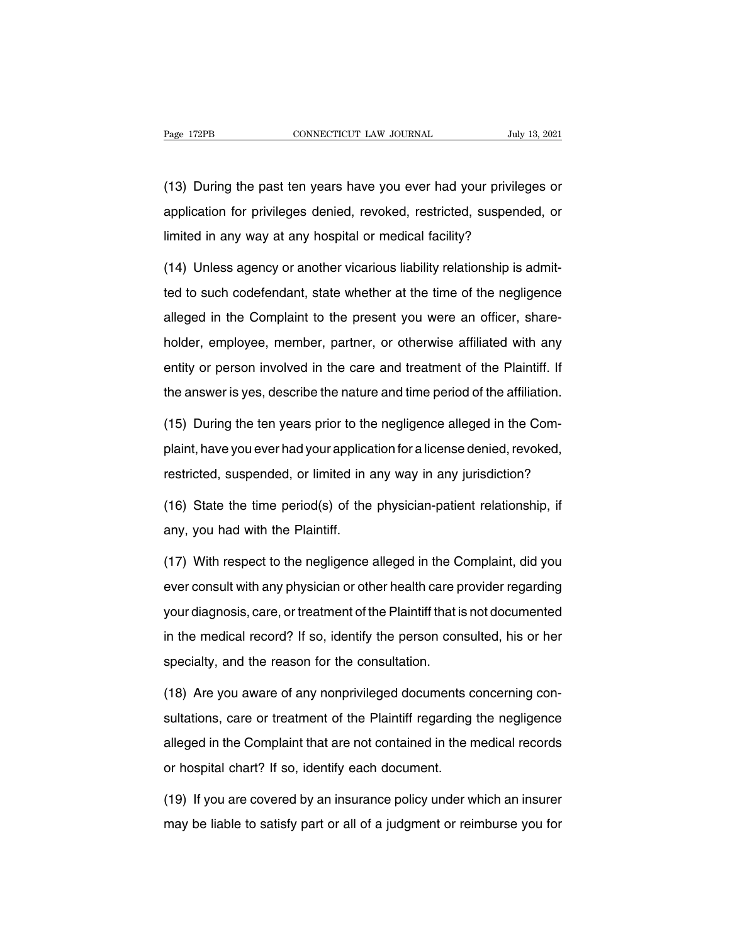Page 172PB CONNECTICUT LAW JOURNAL July 13, 2021<br>(13) During the past ten years have you ever had your privileges or<br>application for privileges denied, revoked, restricted, suspended, or Page 172PB CONNECTICUT LAW JOURNAL July 13, 2021<br>
(13) During the past ten years have you ever had your privileges or<br>
application for privileges denied, revoked, restricted, suspended, or<br>
limited in any way at any hospit (13) During the past ten years have you ever had your privilege<br>application for privileges denied, revoked, restricted, suspended<br>imited in any way at any hospital or medical facility?<br>(14) Unless agency or another vicario (13) During the past ten years have you ever had your privileges or<br>application for privileges denied, revoked, restricted, suspended, or<br>limited in any way at any hospital or medical facility?<br>(14) Unless agency or anothe

application for privileges denied, revoked, restricted, suspended, or<br>limited in any way at any hospital or medical facility?<br>(14) Unless agency or another vicarious liability relationship is admit-<br>ted to such codefendant limited in any way at any hospital or medical facility?<br>(14) Unless agency or another vicarious liability relationship is admit-<br>ted to such codefendant, state whether at the time of the negligence<br>alleged in the Complaint (14) Unless agency or another vicarious liability relationship is admit-<br>ted to such codefendant, state whether at the time of the negligence<br>alleged in the Complaint to the present you were an officer, share-<br>holder, empl entity is an entity is about the megligence alleged in the Complaint to the present you were an officer, share-<br>holder, employee, member, partner, or otherwise affiliated with any entity or person involved in the care and alleged in the Complaint to the present you were an officer, share-<br>holder, employee, member, partner, or otherwise affiliated with any<br>entity or person involved in the care and treatment of the Plaintiff. If<br>the answer is holder, employee, member, partner, or otherwise affiliated with any<br>entity or person involved in the care and treatment of the Plaintiff. If<br>the answer is yes, describe the nature and time period of the affiliation.<br>(15) D

entity or person involved in the care and treatment of the Plaintiff. If<br>the answer is yes, describe the nature and time period of the affiliation.<br>(15) During the ten years prior to the negligence alleged in the Com-<br>plai the answer is yes, describe the nature and time period of the affiliation.<br>
(15) During the ten years prior to the negligence alleged in the Com-<br>
plaint, have you ever had your application for a license denied, revoked,<br> (15) During the ten years prior to the negligence alleged in the Complaint, have you ever had your application for a license denied, revoked, restricted, suspended, or limited in any way in any jurisdiction?<br>(16) State the plaint, have you ever had your applica<br>restricted, suspended, or limited in a<br>(16) State the time period(s) of the<br>any, you had with the Plaintiff.<br>(17) With respect to the pedigence.

restricted, suspended, or limited in any way in any jurisdiction?<br>
(16) State the time period(s) of the physician-patient relationship, if<br>
any, you had with the Plaintiff.<br>
(17) With respect to the negligence alleged in t (16) State the time period(s) of the physician-patient relationship, if<br>any, you had with the Plaintiff.<br>(17) With respect to the negligence alleged in the Complaint, did you<br>ever consult with any physician or other health any, you had with the Plaintiff.<br>(17) With respect to the negligence alleged in the Complaint, did you<br>ever consult with any physician or other health care provider regarding<br>your diagnosis, care, or treatment of the Plain (17) With respect to the negligence alleged in the Complaint, did you<br>ever consult with any physician or other health care provider regarding<br>your diagnosis, care, or treatment of the Plaintiff that is not documented<br>in th specialt with any physician or other health care p<br>your diagnosis, care, or treatment of the Plaintiff that is<br>in the medical record? If so, identify the person con<br>specialty, and the reason for the consultation.<br>(18). Are your diagnosis, care, or treatment of the Plaintiff that is not documented<br>in the medical record? If so, identify the person consulted, his or her<br>specialty, and the reason for the consultation.<br>(18) Are you aware of any n

in the medical record? If so, identify the person consulted, his or her<br>specialty, and the reason for the consultation.<br>(18) Are you aware of any nonprivileged documents concerning con-<br>sultations, care or treatment of the specialty, and the reason for the consultation.<br>
(18) Are you aware of any nonprivileged documents concerning con-<br>
sultations, care or treatment of the Plaintiff regarding the negligence<br>
alleged in the Complaint that are (18) Are you aware of any nonprivileged documents c<br>sultations, care or treatment of the Plaintiff regarding<br>alleged in the Complaint that are not contained in the r<br>or hospital chart? If so, identify each document.<br>(19) I sultations, care or treatment of the Plaintiff regarding the negligence<br>alleged in the Complaint that are not contained in the medical records<br>or hospital chart? If so, identify each document.<br>(19) If you are covered by an alleged in the Complaint that are not contained in the medical records<br>or hospital chart? If so, identify each document.<br>(19) If you are covered by an insurance policy under which an insurer<br>may be liable to satisfy part o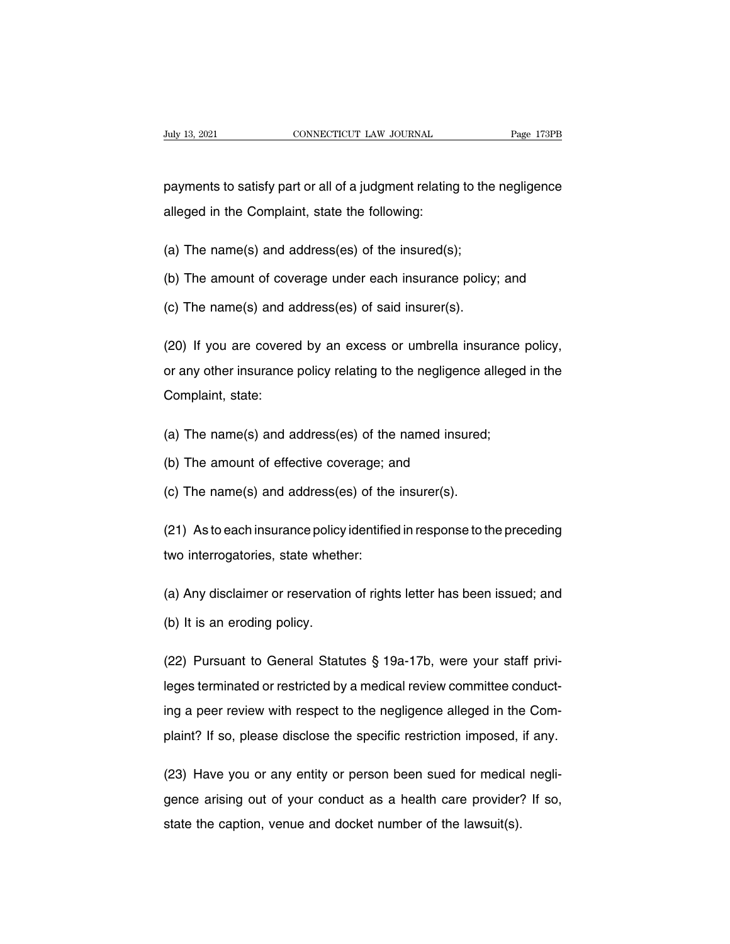payments to satisfy part or all of a judgment relating to the negligence<br>alleged in the Complaint, state the following: July 13, 2021 CONNECTICUT LAW JOURNAL<br>payments to satisfy part or all of a judgment relating<br>alleged in the Complaint, state the following: (a) payments to satisfy part or all of a judgment relating to the<br>alleged in the Complaint, state the following:<br>(a) The name(s) and address(es) of the insured(s);<br>(b) The amount of coverage under each insurance policy payments to satisfy part or all of a judgment relating to the negligence<br>alleged in the Complaint, state the following:<br>(a) The name(s) and address(es) of the insurance policy; and<br>(c) The name(s) and address(es) of said i

alleged in the Complaint, state the following:<br>
(a) The name(s) and address(es) of the insured(s);<br>
(b) The amount of coverage under each insurance policy<br>
(c) The name(s) and address(es) of said insurer(s).

(a) The name(s) and address(es) of the insured(s);<br>(b) The amount of coverage under each insurance policy; and<br>(c) The name(s) and address(es) of said insurer(s).<br>(20) If you are covered by an excess or umbrella insurance (b) The amount of coverage under each insurance policy; and<br>(c) The name(s) and address(es) of said insurer(s).<br>(20) If you are covered by an excess or umbrella insurance policy,<br>or any other insurance policy relating to t (c) The name(s) and a<br>(20) If you are covere<br>or any other insurance<br>Complaint, state: (20) If you are covered by an excess or umbrella insurance<br>or any other insurance policy relating to the negligence alleged<br>Complaint, state:<br>(a) The name(s) and address(es) of the named insured;<br>(b) The amount of effectiv or any other insurance policy relating to the negligence<br>Complaint, state:<br>(a) The name(s) and address(es) of the named insure<br>(b) The amount of effective coverage; and<br>(c) The name(s) and address(es) of the insurer(s).

Compiant, state:<br>(a) The name(s) and address(es) of the named insured;<br>(b) The amount of effective coverage; and<br>(c) The name(s) and address(es) of the insurer(s).

(a) The name(s) and address(es) or the named insured;<br>(b) The amount of effective coverage; and<br>(c) The name(s) and address(es) of the insurer(s).<br>(21) As to each insurance policy identified in response to the preceding<br>tw (b) The amount of effective coverage; and<br>
(c) The name(s) and address(es) of the insurer(s).<br>
(21) As to each insurance policy identified in response to the preceding<br>
two interrogatories, state whether:<br>
(a) Any disclaim (21) As to each insurance policy identified in response to the preceding<br>two interrogatories, state whether:<br>(a) Any disclaimer or reservation of rights letter has been issued; and<br>(b) It is an eroding policy. (21) As to each insurance policy<br>two interrogatories, state wheth<br>(a) Any disclaimer or reservatio<br>(b) It is an eroding policy.

(a) Any disclaimer or reservation of rights letter has been issued; and<br>(b) It is an eroding policy.<br>(22) Pursuant to General Statutes § 19a-17b, were your staff privi-<br>leges terminated or restricted by a medical review co (a) Any disclaimer or reservation of rights letter has been issued; and<br>(b) It is an eroding policy.<br>(22) Pursuant to General Statutes § 19a-17b, were your staff privi-<br>leges terminated or restricted by a medical review co (b) It is an eroding policy.<br>
(22) Pursuant to General Statutes § 19a-17b, were your staff privi-<br>
leges terminated or restricted by a medical review committee conduct-<br>
ing a peer review with respect to the negligence al (22) Pursuant to General Statutes § 19a-17b, were your staff privi-<br>leges terminated or restricted by a medical review committee conduct-<br>ing a peer review with respect to the negligence alleged in the Com-<br>plaint? If so, leges terminated or restricted by a medical review committee conduct-<br>ing a peer review with respect to the negligence alleged in the Com-<br>plaint? If so, please disclose the specific restriction imposed, if any.<br>(23) Have

ing a peer review with respect to the negligence alleged in the Complaint? If so, please disclose the specific restriction imposed, if any.<br>(23) Have you or any entity or person been sued for medical negligence arising out plaint? If so, please disclose the specific restriction imposed,<br>(23) Have you or any entity or person been sued for medica<br>gence arising out of your conduct as a health care provider'<br>state the caption, venue and docket n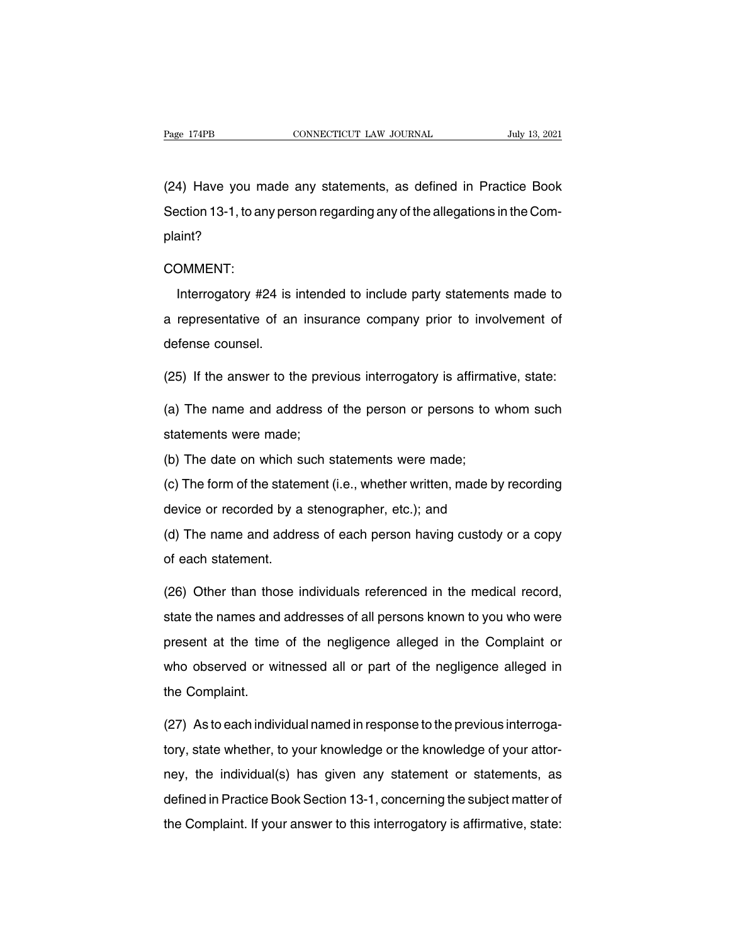Page 174PB CONNECTICUT LAW JOURNAL July 13, 2021<br>(24) Have you made any statements, as defined in Practice Book<br>Section 13-1, to any person regarding any of the allegations in the Com-Page 174PB CONNECTICUT LAW JOURNAL July 13, 2021<br>(24) Have you made any statements, as defined in Practice Book<br>Section 13-1, to any person regarding any of the allegations in the Com-<br>plaint? plaint? Interior 13-1, to any person regarding any of the allegations in the Com-<br>
Interrogatory #24 is intended to include party statements made to<br>
representative of an insurance company prior to involvement of

### COMMENT:

plaint?<br>COMMENT:<br>Interrogatory #24 is intended to include party statements made to<br>a representative of an insurance company prior to involvement of<br>defense counsel. COMMENT:<br>Interrogatory #24 is<br>a representative of ar<br>defense counsel.<br>(25) If the answer to the Interrogatory #24 is intended to include party statements made to<br>a representative of an insurance company prior to involvement of<br>defense counsel.<br>(25) If the answer to the previous interrogatory is affirmative, state:<br>(2 is a representative of an insurance company prior to involvement of<br>defense counsel.<br>(25) If the answer to the previous interrogatory is affirmative, state:<br>(a) The name and address of the person or persons to whom such<br>st

defense counsel.<br>(25) If the answer to the prev<br>(a) The name and address o<br>statements were made;<br>(b) The date on which such s (25) If the answer to the previous interrogatory is affirmat<br>
(a) The name and address of the person or persons to v<br>
statements were made;<br>
(b) The date on which such statements were made;<br>
(c) The form of the statement (

(a) The name and address of the person or persons to whom such<br>statements were made;<br>(b) The date on which such statements were made;<br>(c) The form of the statement (i.e., whether written, made by recording<br>device or record (a) The hame and dedices or the person or persons to wike<br>statements were made;<br>(b) The date on which such statements were made;<br>(c) The form of the statement (i.e., whether written, made by r<br>device or recorded by a steno (b) The date on which such statements were made;<br>(c) The form of the statement (i.e., whether written, made by recording<br>device or recorded by a stenographer, etc.); and<br>(d) The name and address of each person having custo (c) The form of the statement of the statement.<br>
(d) The name and addre of each statement.<br>  $(26)$  Other than those in

device or recorded by a stenographer, etc.); and<br>(d) The name and address of each person having custody or a copy<br>of each statement.<br>(26) Other than those individuals referenced in the medical record,<br>state the names and a (d) The name and address of each person having custody or a copy<br>of each statement.<br>(26) Other than those individuals referenced in the medical record,<br>state the names and addresses of all persons known to you who were<br>pre of each statement.<br>(26) Other than those individuals referenced in the medical record,<br>state the names and addresses of all persons known to you who were<br>present at the time of the negligence alleged in the Complaint or<br>wh (26) Other than those individuals referenced in the medical record,<br>state the names and addresses of all persons known to you who were<br>present at the time of the negligence alleged in the Complaint or<br>who observed or witne state the names and<br>present at the time<br>who observed or withe Complaint. present at the time of the negligence alleged in the Complaint or<br>who observed or witnessed all or part of the negligence alleged in<br>the Complaint.<br>(27) As to each individual named in response to the previous interroga-<br>to

who observed or witnessed all or part of the negligence alleged in<br>the Complaint.<br>(27) As to each individual named in response to the previous interroga-<br>tory, state whether, to your knowledge or the knowledge of your atto the Complaint.<br>(27) As to each individual named in response to the previous interroga-<br>tory, state whether, to your knowledge or the knowledge of your attor-<br>ney, the individual(s) has given any statement or statements, as (27) As to each individual named in response to the previous interrogatory, state whether, to your knowledge or the knowledge of your attorney, the individual(s) has given any statement or statements, as defined in Practic tory, state whether, to your knowledge or the knowledge of your attor-<br>ney, the individual(s) has given any statement or statements, as<br>defined in Practice Book Section 13-1, concerning the subject matter of<br>the Complaint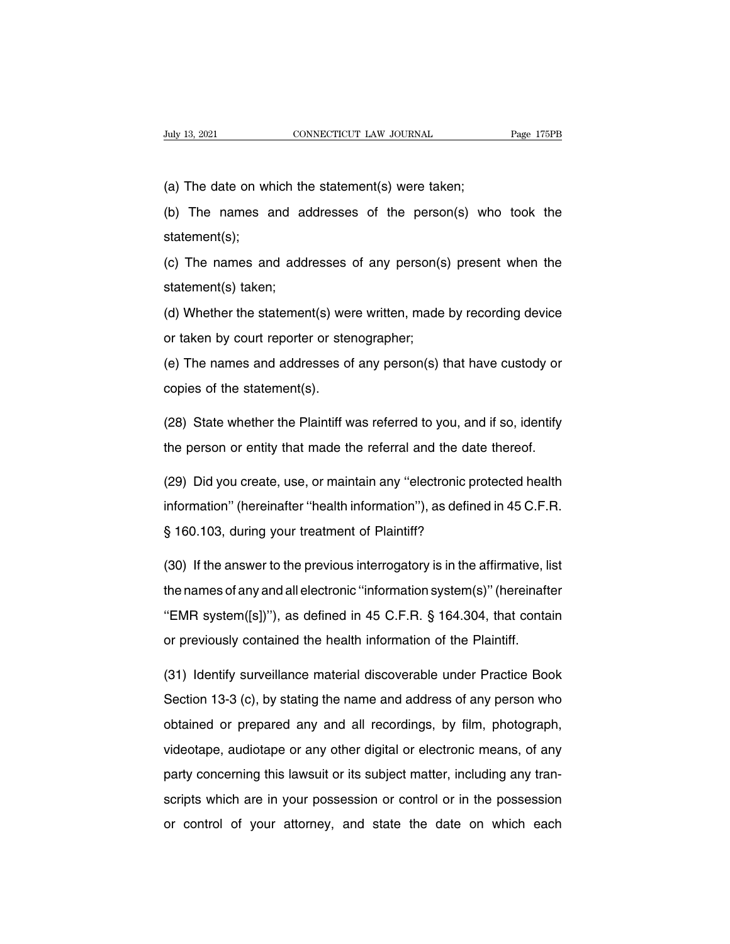Vuly 13, 2021<br>
CONNECTICUT LAW JOURNAL<br>
(a) The date on which the statement(s) were taken;<br>
(b) The names and addresses of the person(s) who Undy 13, 2021 CONNECTICUT LAW JOURNAL Page 175PB<br>
(a) The date on which the statement(s) were taken;<br>
(b) The names and addresses of the person(s) who took the statement(s); statement(s);

(a) The date on which the statement(s) were taken;<br>(b) The names and addresses of the person(s) who took the<br>statement(s);<br>(c) The names and addresses of any person(s) present when the<br>statement(s) taken; (b) The names and add statement(s);<br>(c) The names and add statement(s) taken;<br>(d) Whether the statement

(d) Whether the statement of the statement of the statement (s);<br>(c) The names and addresses of any person(s) present when the<br>statement (s) taken;<br>(d) Whether the statement (s) were written, made by recording device<br>or ta (c) The names and addresses of any person(s<br>statement(s) taken;<br>(d) Whether the statement(s) were written, made<br>or taken by court reporter or stenographer;<br>(e) The names and addresses of any person(s) t (e) The names and addresses of any person(e) present mish are<br>(d) Whether the statement(s) were written, made by recording device<br>or taken by court reporter or stenographer;<br>(e) The names and addresses of any person(s) tha (d) Whether the statement(s) we<br>or taken by court reporter or stel<br>(e) The names and addresses of<br>copies of the statement(s).

or taken by court reporter or stenographer;<br>
(e) The names and addresses of any person(s) that have custody or<br>
copies of the statement(s).<br>
(28) State whether the Plaintiff was referred to you, and if so, identify<br>
the pe (e) The names and addresses of any person(s) that have custody or<br>copies of the statement(s).<br>(28) State whether the Plaintiff was referred to you, and if so, identify<br>the person or entity that made the referral and the da

copies of the statement(s).<br>(28) State whether the Plaintiff was referred to you, and if so, identify<br>the person or entity that made the referral and the date thereof.<br>(29) Did you create, use, or maintain any "electronic information'' (28) State whether the Plaintiff was referred to you, and if so, identify<br>the person or entity that made the referral and the date thereof.<br>(29) Did you create, use, or maintain any "electronic protected heal the person or entity that made the referral and the date<br>(29) Did you create, use, or maintain any "electronic prot<br>information" (hereinafter "health information"), as defined<br>§ 160.103, during your treatment of Plaintiff? (29) Did you create, use, or maintain any "electronic protected health<br>information" (hereinafter "health information"), as defined in 45 C.F.R.<br>§ 160.103, during your treatment of Plaintiff?<br>(30) If the answer to the previ

information" (hereinafter "health information"), as defined in 45 C.F.R.<br>§ 160.103, during your treatment of Plaintiff?<br>(30) If the answer to the previous interrogatory is in the affirmative, list<br>the names of any and all § 160.103, during your treatment of Plaintiff?<br>(30) If the answer to the previous interrogatory is in the affirmative, list<br>the names of any and all electronic "information system(s)" (hereinafter<br>"EMR system([s])"), as de (30) If the answer to the previous interrogatory is in the affirmative, list<br>the names of any and all electronic "information system(s)" (hereinafter<br>"EMR system([s])"), as defined in 45 C.F.R. § 164.304, that contain<br>or the names of any and all electronic "information system(s)" (hereinafter<br>"EMR system([s])"), as defined in 45 C.F.R. § 164.304, that contain<br>or previously contained the health information of the Plaintiff.<br>(31) Identify su

"EMR system([s])"), as defined in 45 C.F.R. § 164.304, that contain<br>or previously contained the health information of the Plaintiff.<br>(31) Identify surveillance material discoverable under Practice Book<br>Section 13-3 (c), by or previously contained the health information of the Plaintiff.<br>(31) Identify surveillance material discoverable under Practice Book<br>Section 13-3 (c), by stating the name and address of any person who<br>obtained or prepared (31) Identify surveillance material discoverable under Practice Book<br>Section 13-3 (c), by stating the name and address of any person who<br>obtained or prepared any and all recordings, by film, photograph,<br>videotape, audiotap Section 13-3 (c), by stating the name and address of any person who obtained or prepared any and all recordings, by film, photograph, videotape, audiotape or any other digital or electronic means, of any party concerning t betained or prepared any and all recordings, by film, photograph,<br>videotape, audiotape or any other digital or electronic means, of any<br>party concerning this lawsuit or its subject matter, including any tran-<br>scripts which obtained of proputed any and an recording of by him, photograph, videotape, audiotape or any other digital or electronic means, of any party concerning this lawsuit or its subject matter, including any transcripts which ar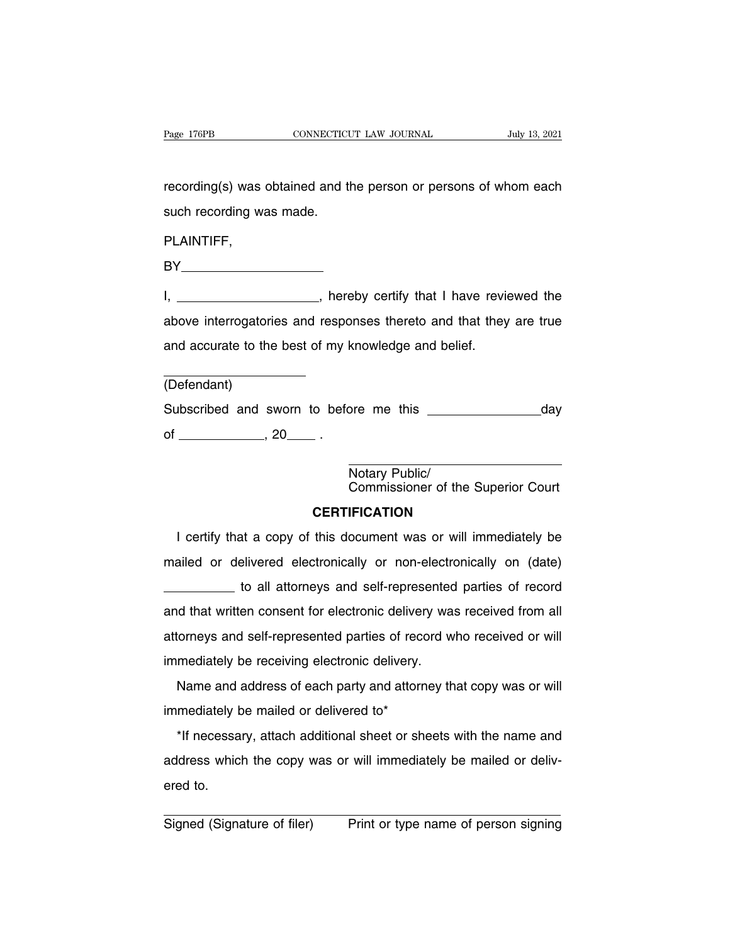Page 176PB CONNECTICUT LAW JOURNAL July 13, 2021<br>recording(s) was obtained and the person or persons of whom each<br>such recording was made. Page 176PB CONNECTICUT LAW JOURNAL July 13, 2021<br>recording (s) was obtained and the person or persons of whom each<br>such recording was made.

PLAINTIFF,

**BY\_\_\_\_\_\_\_\_\_\_\_\_\_\_\_\_\_\_\_\_\_\_\_\_\_\_\_** 

such recording was made.<br>
PLAINTIFF,<br>
BY\_\_\_\_\_\_\_\_\_\_\_\_\_\_\_\_\_, hereby certify that I have reviewed the<br>
above interrogatories and responses thereto and that they are true PLAINTIFF,<br>BY<br>I, \_\_\_\_\_\_\_\_\_\_\_\_\_\_, hereby certify that I have reviewed the<br>above interrogatories and responses thereto and that they are true<br>and accurate to the best of my knowledge and belief. I, \_\_\_\_\_\_\_\_\_\_\_\_\_\_\_, hereby certify that I have reviewed the above interrogatories and responses thereto and that they are true and accurate to the best of my knowledge and belief. Subscribed and sworn to before me this day

(Defendant)

of , 20 . ore me this<br>Notary Public/<br>Commissioner of th Commissioner of the Superior Court

### **CERTIFICATION**

Vertify that a copy of this document was or will immediately be<br>
ided or delivered electronically or non-electronically on (date) Motary Public/<br>
Commissioner of the Superior Court<br>
CERTIFICATION<br>
I certify that a copy of this document was or will immediately be<br>
mailed or delivered electronically or non-electronically on (date)<br>
to all attorneys and **CERTIFICATION**<br>to all attorneys and self-represented parties of record<br>en consent for electronical delivery was received from all I certify that a copy of this document was or will immediately be<br>mailed or delivered electronically or non-electronically on (date)<br>\_\_\_\_\_\_\_\_\_\_\_\_\_\_ to all attorneys and self-represented parties of record<br>and that written c recting that a copy of this document was of will immitediately be<br>mailed or delivered electronically or non-electronically on (date)<br>to all attorneys and self-represented parties of record from all<br>attorneys and self-repre mailed or delivered electronically or non-electronically on (date)<br>
\_\_\_\_\_\_\_\_\_ to all attorneys and self-represented parties of record<br>
and that written consent for electronic delivery was received from all<br>
attorneys and s If that written consent for electronic delivery was received from all<br>d that written consent for electronic delivery was received or will<br>mediately be receiving electronic delivery.<br>Name and address of each party and attor alled that which consent for electronic delivery<br>attorneys and self-represented parties of recor<br>immediately be receiving electronic delivery.<br>Name and address of each party and attorne<br>immediately be mailed or delivered t

of necessary be receiving electronic delivery.<br>
Name and address of each party and attorney that copy was or will<br>
mediately be mailed or delivered to\*<br>
\*If necessary, attach additional sheet or sheets with the name and<br>
d Mame and address of each party and attorney that copy was or will<br>immediately be mailed or delivered to\*<br>\*If necessary, attach additional sheet or sheets with the name and<br>address which the copy was or will immediately be immediately t<br>
\*If necessa<br>
address whic<br>
ered to. \*If necessary, attach additional sheet or sheets with the name and<br>address which the copy was or will immediately be mailed or deliv-<br>ered to.<br>Signed (Signature of filer) Print or type name of person signing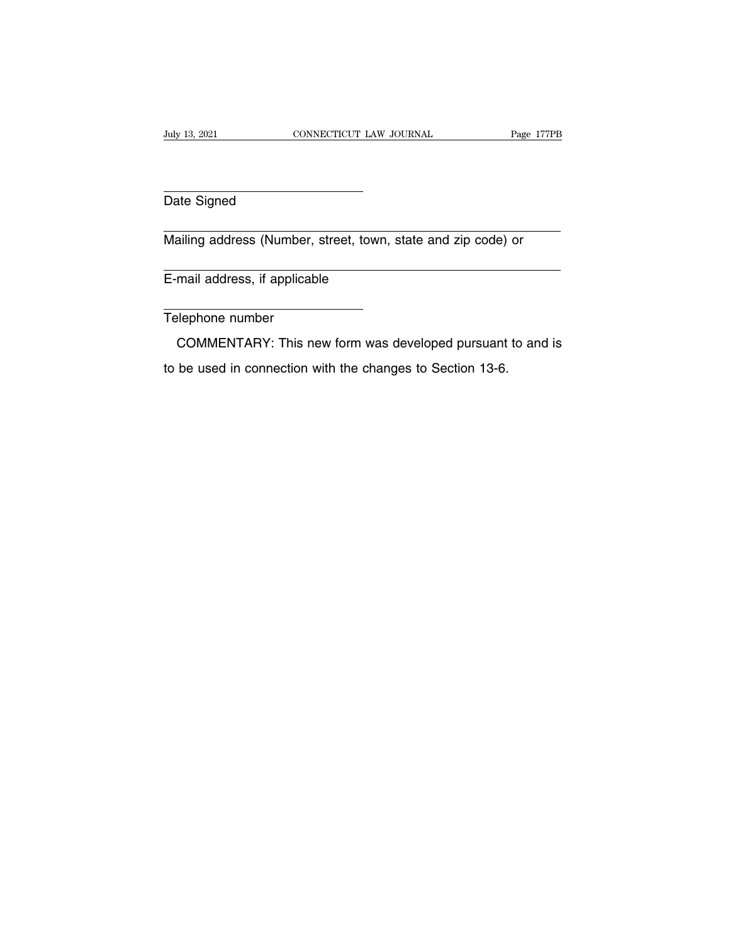July 13, 2021<br>
Contact Signed<br>
Contact Signed

Date Signed<br>Mailing address (Number, street, town, state and zip code) or Date Signed<br>
Mailing address (Number, street, town,<br>
E-mail address, if applicable

Mailing address (Number,<br>E-mail address, if applical<br>Telephone number<br>COMMENTARY: This n E-mail address, if applicable<br>
Telephone number<br>
COMMENTARY: This new form was developed pursuant to and is to be used in connection with the changes to Section 13-6.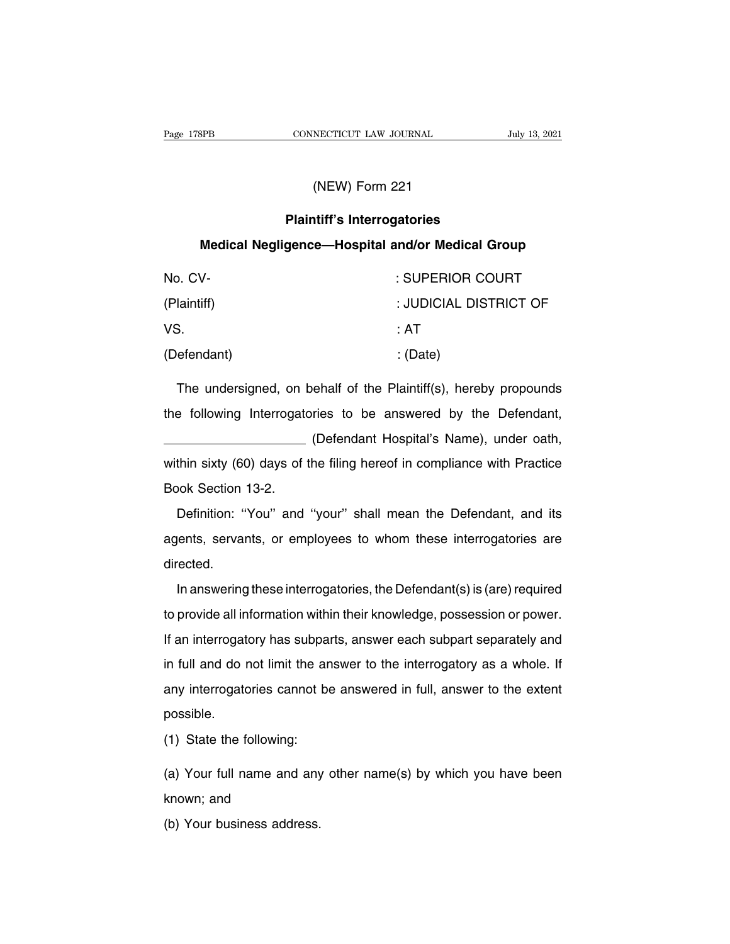# **PRONTE CONNECTICUT LAW JOURNAL<br>
(NEW) Form 221<br>
<b>Plaintiff's Interrogatories<br>
gence—Hospital and/or Medical Gro MEW) Form 221<br>
Plaintiff's Interrogatories<br>
Medical Negligence—Hospital and/or Medical Group**

| (NEW) Form 221                                                   |                        |  |
|------------------------------------------------------------------|------------------------|--|
| <b>Plaintiff's Interrogatories</b>                               |                        |  |
| Medical Negligence—Hospital and/or Medical Group                 |                        |  |
| No. CV-                                                          | : SUPERIOR COURT       |  |
| (Plaintiff)                                                      | : JUDICIAL DISTRICT OF |  |
| VS.                                                              | : AT                   |  |
| (Defendant)                                                      | : (Date)               |  |
| The undersigned, on behalf of the Plaintiff(s), hereby propounds |                        |  |
| the following Interrogatories to be answered by the Defendant,   |                        |  |

VS. : AT<br>
(Defendant) : (Date)<br>
The undersigned, on behalf of the Plaintiff(s), hereby propounds<br>
the following Interrogatories to be answered by the Defendant,<br>
(Defendant Hospital's Name), under oath, (Date)<br>
(Date)<br>
(ehalf of the Plaintiff(s), hereby propounds<br>
ries to be answered by the Defendant,<br>
(Defendant Hospital's Name), under oath,<br>
he filing hereof in compliance with Practice The undersigned, on behalf of the Plaintiff(s), hereby propounds<br>the following Interrogatories to be answered by the Defendant,<br>(Defendant Hospital's Name), under oath,<br>within sixty (60) days of the filing hereof in compli The undersigned, on behalf of the Plaintiff(s), hereby propounds<br>the following Interrogatories to be answered by the Defendant,<br>(Defendant Hospital's Name), under oath,<br>within sixty (60) days of the filing hereof in compli Defendant Hospital's Name), under oath,<br>
thin sixty (60) days of the filing hereof in compliance with Practice<br>
bok Section 13-2.<br>
Definition: "You" and "your" shall mean the Defendant, and its<br>
ents, servants, or employee

within sixty (60) days of the filing hereof in compliance with Practice<br>Book Section 13-2.<br>Definition: "You" and "your" shall mean the Defendant, and its<br>agents, servants, or employees to whom these interrogatories are<br>dir directed. Definition: "You" and "your" shall mean the Defendant, and its<br>lents, servants, or employees to whom these interrogatories are<br>rected.<br>In answering these interrogatories, the Defendant(s) is (are) required<br>provide all info

Examples and your onal mean are beforeand, and he agents, servants, or employees to whom these interrogatories are directed.<br>In answering these interrogatories, the Defendant(s) is (are) required to provide all information directed.<br>In answering these interrogatories, the Defendant(s) is (are) required<br>to provide all information within their knowledge, possession or power.<br>If an interrogatory has subparts, answer each subpart separately and<br> In answering these interrogatories, the Defendant(s) is (are) required<br>to provide all information within their knowledge, possession or power.<br>If an interrogatory has subparts, answer each subpart separately and<br>in full an any interrogatories, and botchading by any required<br>to provide all information within their knowledge, possession or power.<br>If an interrogatory has subparts, answer each subpart separately and<br>in full and do not limit the possible. (a) State the following:<br>
(a) State the following:<br>
(b) State the following:<br>
(c)  $\frac{1}{2}$  State the following: (a) Your full name and any other name (s) by which you have been<br>
thown; and<br>
thown; and

(1) State the following:<br>
(a) Your full name and any other name(s) by which you have been<br>
known; and<br>
(b) Your business address. (1) State the following:<br>(a) Your full name and any<br>known; and<br>(b) Your business address.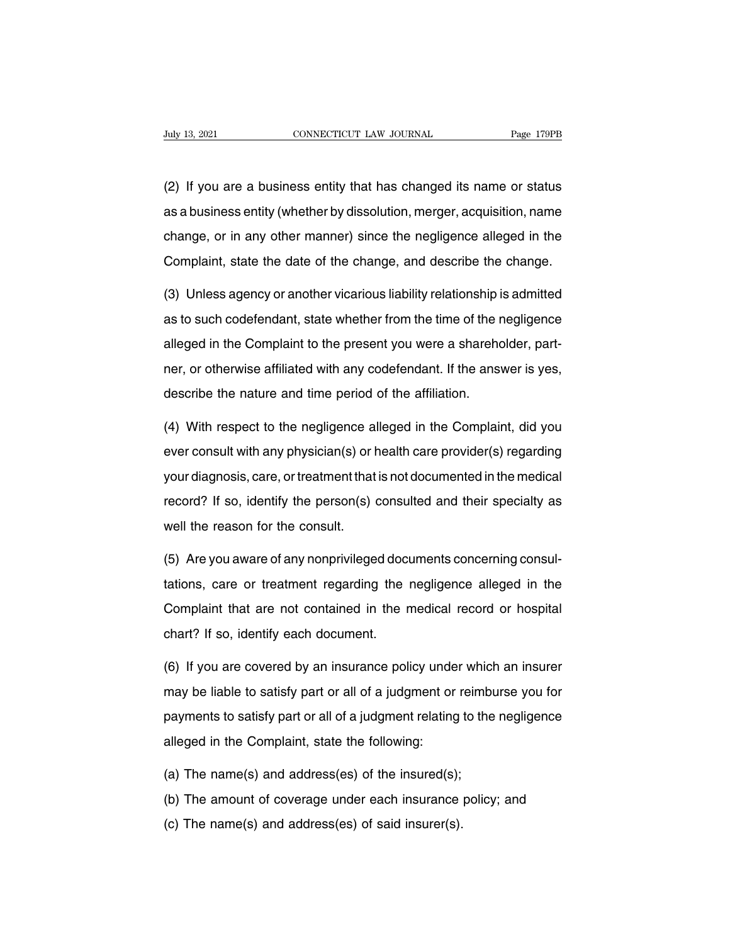Valy 13, 2021 CONNECTICUT LAW JOURNAL Page 179PB<br>(2) If you are a business entity that has changed its name or status<br>as a business entity (whether by dissolution, merger, acquisition, name Figure 2021 CONNECTICUT LAW JOURNAL Page 179PB<br>(2) If you are a business entity that has changed its name or status<br>as a business entity (whether by dissolution, merger, acquisition, name<br>change, or in any other manner) si (2) If you are a business entity that has changed its name or status<br>as a business entity (whether by dissolution, merger, acquisition, name<br>change, or in any other manner) since the negligence alleged in the<br>Complaint, st (2) If you are a business entity that has changed its name or status<br>as a business entity (whether by dissolution, merger, acquisition, name<br>change, or in any other manner) since the negligence alleged in the<br>Complaint, st as a business entity (whether by dissolution, merger, acquisition, name<br>change, or in any other manner) since the negligence alleged in the<br>Complaint, state the date of the change, and describe the change.<br>(3) Unless agenc

change, or in any other manner) since the negligence alleged in the<br>Complaint, state the date of the change, and describe the change.<br>(3) Unless agency or another vicarious liability relationship is admitted<br>as to such cod Complaint, state the date of the change, and describe the change.<br>
(3) Unless agency or another vicarious liability relationship is admitted<br>
as to such codefendant, state whether from the time of the negligence<br>
alleged i (3) Unless agency or another vicarious liability relationship is admitted<br>as to such codefendant, state whether from the time of the negligence<br>alleged in the Complaint to the present you were a shareholder, part-<br>ner, or (c) onloads agailay of another vicanous hashing relationship is<br>as to such codefendant, state whether from the time of the r<br>alleged in the Complaint to the present you were a shareho<br>ner, or otherwise affiliated with any alleged in the Complaint to the present you were a shareholder, part-<br>ner, or otherwise affiliated with any codefendant. If the answer is yes,<br>describe the nature and time period of the affiliation.<br>(4) With respect to the

ner, or otherwise affiliated with any codefendant. If the answer is yes,<br>describe the nature and time period of the affiliation.<br>(4) With respect to the negligence alleged in the Complaint, did you<br>ever consult with any ph describe the nature and time period of the affiliation.<br>
(4) With respect to the negligence alleged in the Complaint, did you<br>
ever consult with any physician(s) or health care provider(s) regarding<br>
your diagnosis, care, (4) With respect to the negligence alleged in the Complaint, did you<br>ever consult with any physician(s) or health care provider(s) regarding<br>your diagnosis, care, or treatment that is not documented in the medical<br>record? (4) With respect to the negligence alleged in the Complaint, did you ever consult with any physician(s) or health care provider(s) regarding your diagnosis, care, or treatment that is not documented in the medical record? (5) your diagnosis, care, or treatment that is not documented in the medical<br>record? If so, identify the person(s) consulted and their specialty as<br>well the reason for the consult.<br>(5) Are you aware of any nonprivileged do

the record? If so, identify the person(s) consulted and their specialty as<br>well the reason for the consult.<br>(5) Are you aware of any nonprivileged documents concerning consul-<br>tations, care or treatment regarding the negli well the reason for the consult.<br>
(5) Are you aware of any nonprivileged documents concerning consul-<br>
tations, care or treatment regarding the negligence alleged in the<br>
Complaint that are not contained in the medical rec tations, care or treatment regarding the negligence alleged in the<br>Complaint that are not contained in the medical record or hospital<br>chart? If so, identify each document.<br>(6) If you are covered by an insurance policy unde tations, care or treatment regarding the negligence alleged in the<br>Complaint that are not contained in the medical record or hospital<br>chart? If so, identify each document.<br>(6) If you are covered by an insurance policy unde

Complaint that are not contained in the medical record or hospital<br>chart? If so, identify each document.<br>(6) If you are covered by an insurance policy under which an insurer<br>may be liable to satisfy part or all of a judgme chart? If so, identify each document.<br>(6) If you are covered by an insurance policy under which an insurer<br>may be liable to satisfy part or all of a judgment or reimburse you for<br>payments to satisfy part or all of a judgme (6) If you are covered by an insurance policy unde<br>may be liable to satisfy part or all of a judgment or<br>payments to satisfy part or all of a judgment relating<br>alleged in the Complaint, state the following:<br>(a) The name(s may be liable to satisfy part or all of a judgment or reimbre<br>payments to satisfy part or all of a judgment relating to the<br>alleged in the Complaint, state the following:<br>(a) The name(s) and address(es) of the insured(s);<br> payments to satisfy part or all of a judgment relating to the negligence<br>alleged in the Complaint, state the following:<br>(a) The name(s) and address(es) of the insurance policy; and<br>(c) The name(s) and address(es) of said i alleged in the Complaint, state the following:<br>(a) The name(s) and address(es) of the insured(s);<br>(b) The amount of coverage under each insurance<br>(c) The name(s) and address(es) of said insurer(s).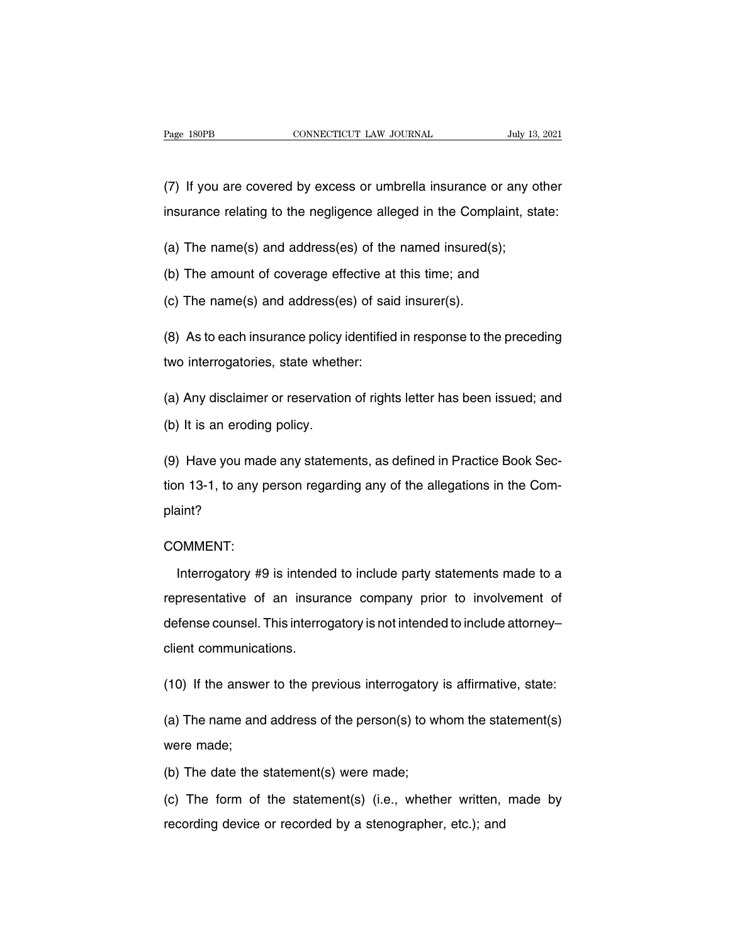Page 180PB CONNECTICUT LAW JOURNAL July 13, 2021<br>
(7) If you are covered by excess or umbrella insurance or any other<br>
insurance relating to the negligence alleged in the Complaint, state: Fage 180PB CONNECTICUT LAW JOURNAL July 13, 2021<br>
(7) If you are covered by excess or umbrella insurance or any other<br>
insurance relating to the negligence alleged in the Complaint, state:<br>
(a) The neare (a) and address (a (7) If you are covered by excess or umbrella insurance or any official insurance relating to the negligence alleged in the Complaint, streament (a) The name(s) and address(es) of the named insured(s);<br>(b) The amount of cov (7) If you are covered by excess or umbrella insurance or any other<br>insurance relating to the negligence alleged in the Complaint, sta<br>(a) The name(s) and address(es) of the named insured(s);<br>(b) The amount of coverage ef insurance relating to the negligence alleged in the Compl<br>
(a) The name(s) and address(es) of the named insured(s<br>
(b) The amount of coverage effective at this time; and<br>
(c) The name(s) and address(es) of said insurer(s).

(a) The name(s) and address(es) of the named insured(s);<br>(b) The amount of coverage effective at this time; and<br>(c) The name(s) and address(es) of said insurer(s).<br>(8) As to each insurance policy identified in response to (b) The amount of coverage effective at this time; and<br>
(c) The name(s) and address(es) of said insurer(s).<br>
(8) As to each insurance policy identified in response to the preceding<br>
two interrogatories, state whether:<br>
(a)

(c) The name(s) and address(es) or said insurer(s).<br>
(8) As to each insurance policy identified in response to the preceding<br>
two interrogatories, state whether:<br>
(a) Any disclaimer or reservation of rights letter has been (8) As to each insurance policy<br>two interrogatories, state wheth<br>(a) Any disclaimer or reservation<br>(b) It is an eroding policy. (a) Any disclaimer or reservation of rights letter has been issued; and<br>(b) It is an eroding policy.<br>(9) Have you made any statements, as defined in Practice Book Sec-<br>tion 13-1, to any person regarding any of the allegati

(a) Any disclaimer or reservation of rights letter has been issued; and<br>(b) It is an eroding policy.<br>(9) Have you made any statements, as defined in Practice Book Section 13-1, to any person regarding any of the allegation plaint? n 13-1, to any person regarding any of the allegations in the Com-<br>
int?<br>
DMMENT:<br>
Interrogatory #9 is intended to include party statements made to a<br>
presentative of an insurance company prior to involvement of

### COMMENT:

plaint?<br>COMMENT:<br>Interrogatory #9 is intended to include party statements made to a<br>representative of an insurance company prior to involvement of<br>defense counsel. This interrogatory is not intended to include attorney– COMMENT:<br>Interrogatory #9 is intended to include party statements made to a<br>representative of an insurance company prior to involvement of<br>defense counsel. This interrogatory is not intended to include attorney–<br>client com Interrogatory #9 is intender<br>representative of an insura<br>defense counsel. This interrog<br>client communications. representative of an insurance company prior to involvement of<br>defense counsel. This interrogatory is not intended to include attorney-<br>client communications.<br>(10) If the answer to the previous interrogatory is affirmative

(10) If the answer to the previous interrogatory is affirmative, state:<br>(10) If the answer to the previous interrogatory is affirmative, state:<br>(a) The name and address of the person(s) to whom the statement(s)<br>were made; chent communica<br>(10) If the answe<br>(a) The name and<br>were made;<br>(b) The date the s (10) If the answer to the previous interrogatory<br>
(a) The name and address of the person(s) to wh<br>
were made;<br>
(b) The date the statement(s) were made;<br>
(c) The form of the statement(s) (i.e., wheth

(a) The name and address of the person(s) to whom the statement(s)<br>were made;<br>(b) The date the statement(s) were made;<br>(c) The form of the statement(s) (i.e., whether written, made by<br>recording device or recorded by a sten were made;<br>(b) The date the statement(s) were made;<br>(c) The form of the statement(s) (i.e., whether written,<br>recording device or recorded by a stenographer, etc.); and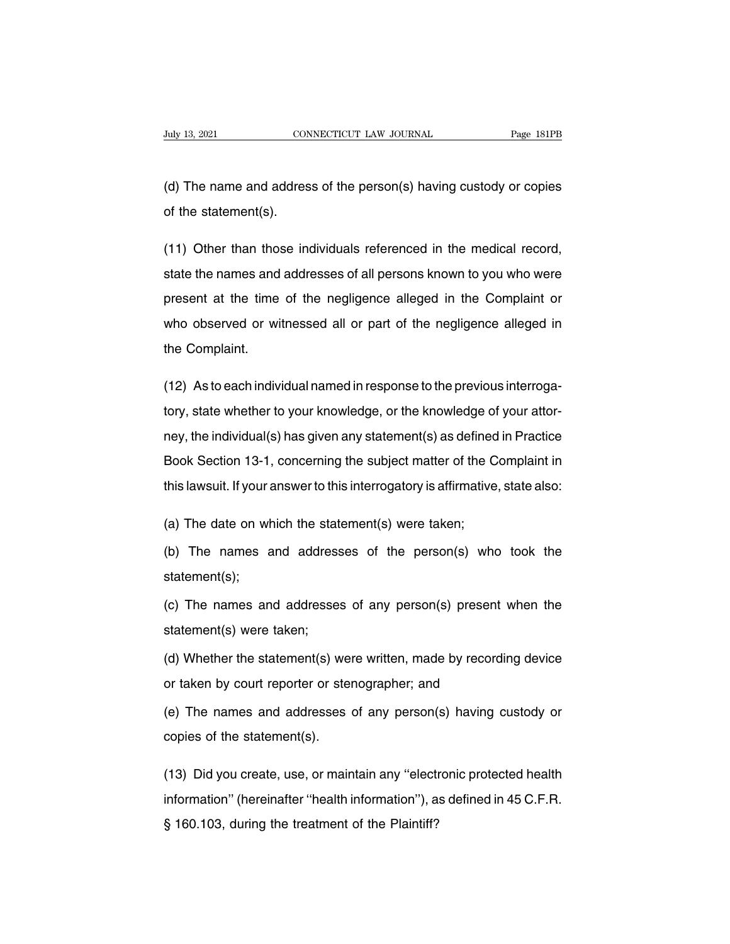Undy 13, 2021 CONNECTICUT LAW JOURNAL Page 181PB<br>(d) The name and address of the person(s) having custody or copies<br>of the statement(s). July 13, 2021 CON<br>
(d) The name and addres<br>
of the statement(s).

(d) The name and address of the person(s) having custody or copies<br>of the statement(s).<br>(11) Other than those individuals referenced in the medical record,<br>state the names and addresses of all persons known to you who were (d) The name and address of the person(s) having custody or copies<br>of the statement(s).<br>(11) Other than those individuals referenced in the medical record,<br>state the names and addresses of all persons known to you who were of the statement(s).<br>
(11) Other than those individuals referenced in the medical record,<br>
state the names and addresses of all persons known to you who were<br>
present at the time of the negligence alleged in the Complaint (11) Other than those individuals referenced in the medical record,<br>state the names and addresses of all persons known to you who were<br>present at the time of the negligence alleged in the Complaint or<br>who observed or witne state the names and<br>present at the time<br>who observed or withe Complaint. present at the time of the negligence alleged in the Complaint or<br>who observed or witnessed all or part of the negligence alleged in<br>the Complaint.<br>(12) As to each individual named in response to the previous interroga-<br>to

who observed or witnessed all or part of the negligence alleged in<br>the Complaint.<br>(12) As to each individual named in response to the previous interroga-<br>tory, state whether to your knowledge, or the knowledge of your atto the Complaint.<br>
(12) As to each individual named in response to the previous interroga-<br>
tory, state whether to your knowledge, or the knowledge of your attor-<br>
ney, the individual(s) has given any statement(s) as defined (12) As to each individual named in response to the previous interrogatory, state whether to your knowledge, or the knowledge of your attorney, the individual(s) has given any statement(s) as defined in Practice Book Secti tory, state whether to your knowledge, or the knowledge of your attor-<br>ney, the individual(s) has given any statement(s) as defined in Practice<br>Book Section 13-1, concerning the subject matter of the Complaint in<br>this laws mey, the individual(s) has given any statement(s) as defined<br>Book Section 13-1, concerning the subject matter of the C<br>this lawsuit. If your answer to this interrogatory is affirmative<br>(a) The date on which the statement(s Book Section 13-1, concerning the subject matter of the Complaint in<br>this lawsuit. If your answer to this interrogatory is affirmative, state also:<br>(a) The date on which the statement(s) were taken;<br>(b) The names and addre

statement(s);

(a) The date on which the statement(s) were taken;<br>(b) The names and addresses of the person(s) who took the<br>statement(s);<br>(c) The names and addresses of any person(s) present when the<br>statement(s) were taken; (b) The names and address<br>statement(s);<br>(c) The names and addresses<br>statement(s) were taken;<br>(d) Whether the statement(s) w statement(s);<br>(c) The names and addresses of any person(s) present when the<br>statement(s) were taken;<br>(d) Whether the statement(s) were written, made by recording device<br>or taken by court reporter or stenographer; and (c) The names and addresses of any person(s) present<br>statement(s) were taken;<br>(d) Whether the statement(s) were written, made by recordi<br>or taken by court reporter or stenographer; and<br>(e) The names and addresses of any pe

(d) Whether the statement(s) we<br>or taken by court reporter or stel<br>(e) The names and addresses<br>copies of the statement(s).

statement(s) were taken;<br>(d) Whether the statement(s) were written, made by recording device<br>or taken by court reporter or stenographer; and<br>(e) The names and addresses of any person(s) having custody or<br>copies of the stat

or taken by court reporter or stenographer; and<br>
(e) The names and addresses of any person(s) having custody or<br>
copies of the statement(s).<br>
(13) Did you create, use, or maintain any "electronic protected health<br>
informat information'' (hereinafter ''health information''), as defined in 45 C.F.R.<br>
S 160.103, during the treatment of the Plaintiff? copies of the statement(s).<br>
(13) Did you create, use, or maintain any "electron<br>
information" (hereinafter "health information"), as<br>
§ 160.103, during the treatment of the Plaintiff?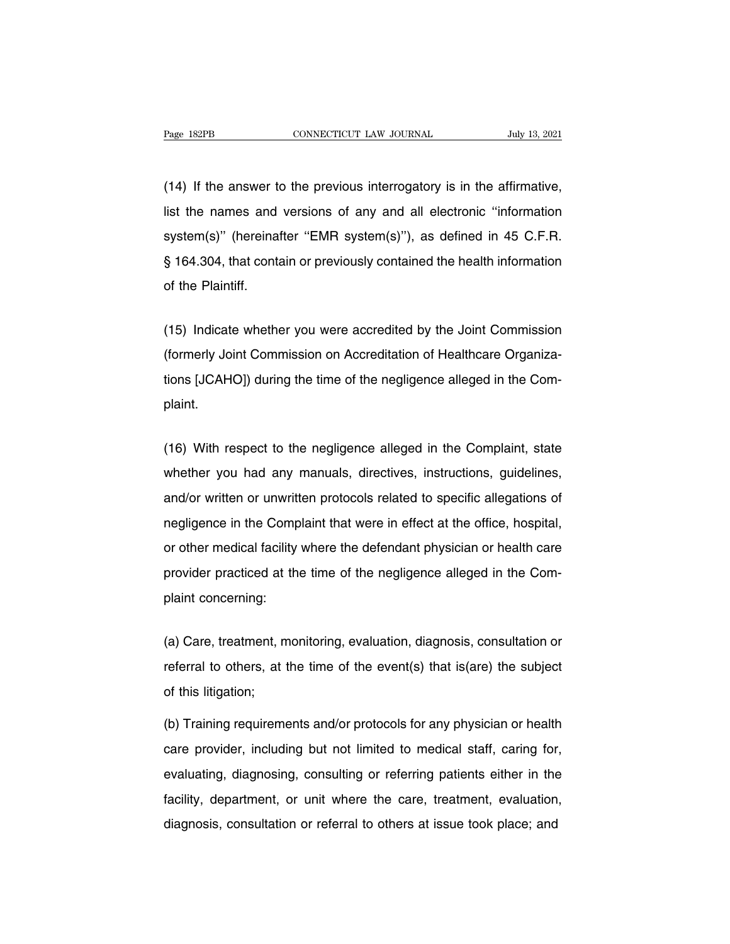Page 182PB CONNECTICUT LAW JOURNAL July 13, 2021<br>(14) If the answer to the previous interrogatory is in the affirmative,<br>list the names and versions of any and all electronic "information Page 182PB CONNECTICUT LAW JOURNAL July 13, 2021<br>
(14) If the answer to the previous interrogatory is in the affirmative,<br>
list the names and versions of any and all electronic "information<br>
system(s)" (hereinafter "EMR sy (14) If the answer to the previous interrogatory is in the affirmative,<br>list the names and versions of any and all electronic "information<br>system(s)" (hereinafter "EMR system(s)"), as defined in 45 C.F.R.<br>§ 164.304, that c (14) If the answer to the previous interrogatory is in the affirmative,<br>list the names and versions of any and all electronic "information<br>system(s)" (hereinafter "EMR system(s)"), as defined in 45 C.F.R.<br>§ 164.304, that c list the names and<br>system(s)" (hereina<br>§ 164.304, that conta<br>of the Plaintiff. system(s)" (hereinatter "EMR system(s)"), as defined in 45 C.F.R.<br>§ 164.304, that contain or previously contained the health information<br>of the Plaintiff.<br>(15) Indicate whether you were accredited by the Joint Commission<br>(

§ 164.304, that contain or previously contained the health information<br>of the Plaintiff.<br>(15) Indicate whether you were accredited by the Joint Commission<br>(formerly Joint Commission on Accreditation of Healthcare Organizaof the Plaintiff.<br>(15) Indicate whether you were accredited by the Joint Commission<br>(formerly Joint Commission on Accreditation of Healthcare Organiza-<br>tions [JCAHO]) during the time of the negligence alleged in the Com-<br>p plaint. (formerly Joint Commission on Accreditation of Healthcare Organizations [JCAHO]) during the time of the negligence alleged in the Complaint.<br>plaint.<br>(16) With respect to the negligence alleged in the Complaint, state wheth

tions [JCAHO]) during the time of the negligence alleged in the Com-<br>plaint.<br>(16) With respect to the negligence alleged in the Complaint, state<br>whether you had any manuals, directives, instructions, guidelines,<br>and/or wri plaint.<br>(16) With respect to the negligence alleged in the Complaint, state<br>whether you had any manuals, directives, instructions, guidelines,<br>and/or written or unwritten protocols related to specific allegations of<br>neglig (16) With respect to the negligence alleged in the Complaint, state<br>whether you had any manuals, directives, instructions, guidelines,<br>and/or written or unwritten protocols related to specific allegations of<br>negligence in whether you had any manuals, directives, instructions, guidelines,<br>and/or written or unwritten protocols related to specific allegations of<br>negligence in the Complaint that were in effect at the office, hospital,<br>or other whether you had any manuals, directives, instructions, guidelines, and/or written or unwritten protocols related to specific allegations of negligence in the Complaint that were in effect at the office, hospital, or other and/or which or animated<br>negligence in the Comp<br>or other medical facility<br>provider practiced at th<br>plaint concerning: or other medical facility where the defendant physician or health care<br>provider practiced at the time of the negligence alleged in the Com-<br>plaint concerning:<br>(a) Care, treatment, monitoring, evaluation, diagnosis, consult

provider practiced at the time of the negligence alleged in the Com-<br>plaint concerning:<br>(a) Care, treatment, monitoring, evaluation, diagnosis, consultation or<br>referral to others, at the time of the event(s) that is(are) t plaint concerning:<br>(a) Care, treatment, m<br>referral to others, at t<br>of this litigation;<br>(b) Training requireme (a) Care, treatment, monitoring, evaluation, diagnosis, consultation or<br>referral to others, at the time of the event(s) that is(are) the subject<br>of this litigation;<br>(b) Training requirements and/or protocols for any physic

referral to others, at the time of the event(s) that is(are) the subject<br>of this litigation;<br>(b) Training requirements and/or protocols for any physician or health<br>care provider, including but not limited to medical staff, of this litigation;<br>(b) Training requirements and/or protocols for any physician or health<br>care provider, including but not limited to medical staff, caring for,<br>evaluating, diagnosing, consulting or referring patients eit (b) Training requirements and/or protocols for any physician or health<br>care provider, including but not limited to medical staff, caring for,<br>evaluating, diagnosing, consulting or referring patients either in the<br>facility, (e) Training requirements and/or protocols for any physician or healt<br>care provider, including but not limited to medical staff, caring for<br>evaluating, diagnosing, consulting or referring patients either in the<br>facility, d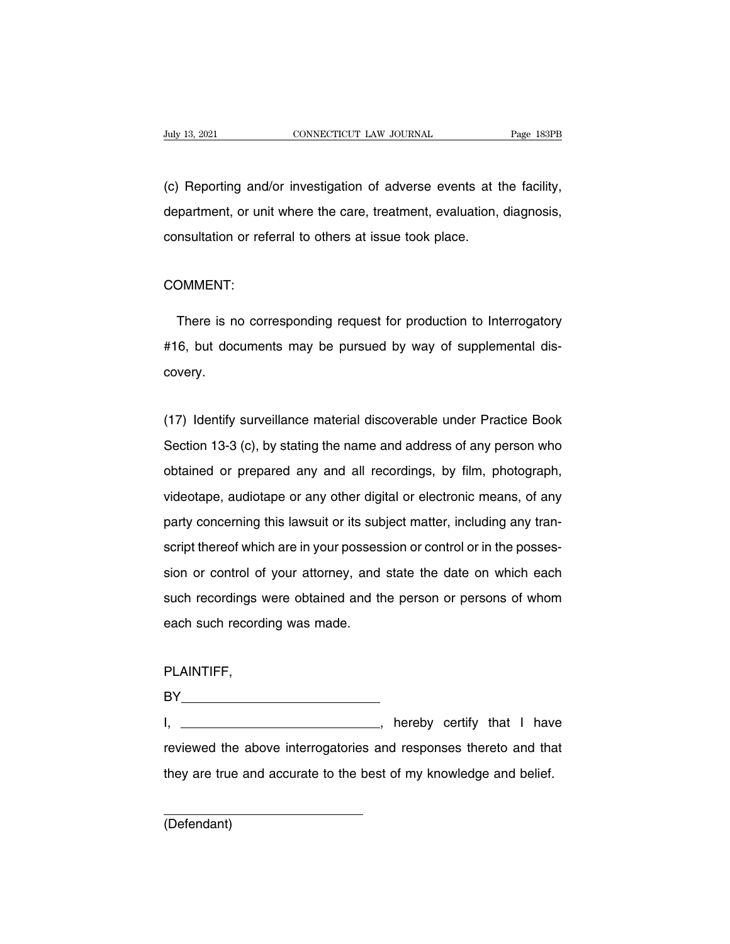Vuly 13, 2021<br>
CONNECTICUT LAW JOURNAL<br>
(c) Reporting and/or investigation of adverse events at the facility,<br>
department, or unit where the care, treatment, evaluation, diagnosis, July 13, 2021 CONNECTICUT LAW JOURNAL Page 183PB<br>
(c) Reporting and/or investigation of adverse events at the facility,<br>
department, or unit where the care, treatment, evaluation, diagnosis,<br>
consultation or referral to ot (c) Reporting and/or investigation of adverse events at t<br>department, or unit where the care, treatment, evaluation,<br>consultation or referral to others at issue took place.

## COMMENT:

nsultation or referral to others at issue took place.<br>
DMMENT:<br>
There is no corresponding request for production to Interrogatory<br>
6, but documents may be pursued by way of supplemental dis-There is no corresponding request for production to Interrogatory<br>#16, but documents may be pursued by way of supplemental discovery. Friete is no corresponding request for production to interrogatory<br>
#16, but documents may be pursued by way of supplemental dis-<br>
covery.<br>
(17) Identify surveillance material discoverable under Practice Book<br>
Section 13-3

Section 13-3 (c), by stating the name and address of any person who<br>obtained or prepared any and all recordings, by film, photograph, covery.<br>(17) Identify surveillance material discoverable under Practice Book<br>Section 13-3 (c), by stating the name and address of any person who<br>obtained or prepared any and all recordings, by film, photograph,<br>videotape, (17) Identify surveillance material discoverable under Practice Book<br>Section 13-3 (c), by stating the name and address of any person who<br>obtained or prepared any and all recordings, by film, photograph,<br>videotape, audiotap Section 13-3 (c), by stating the name and address of any person who obtained or prepared any and all recordings, by film, photograph, videotape, audiotape or any other digital or electronic means, of any party concerning t obtained or prepared any and all recordings, by film, photograph, videotape, audiotape or any other digital or electronic means, of any party concerning this lawsuit or its subject matter, including any transcript thereof videotape, audiotape or any other digital or electronic means, of any<br>party concerning this lawsuit or its subject matter, including any tran-<br>script thereof which are in your possession or control or in the posses-<br>sion o party concerning this lawsuit or its subject matter, including any transcript thereof which are in your possession or control or in the possession or control of your attorney, and state the date on which each such recordin early determing the finder of the different state<br>script thereof which are in your posses<br>sion or control of your attorney, and<br>such recordings were obtained and th<br>each such recording was made.

## PLAINTIFF,

BY PLAINTIFF,<br>BY \_\_\_\_\_\_\_\_\_\_\_\_\_\_\_\_\_\_\_\_\_\_\_\_\_\_\_\_\_, hereby certify that I have<br>reviewed the above interrogatories and responses thereto and that PLAINTIFF,<br>BY\_\_\_\_\_\_\_\_\_\_\_\_\_\_\_\_\_\_\_\_\_\_\_\_\_\_\_\_\_\_, hereby certify that I have<br>reviewed the above interrogatories and responses thereto and that<br>they are true and accurate to the best of my knowledge and belief. BY<br>I, \_\_\_\_\_\_\_\_\_\_\_\_\_\_\_\_\_\_\_\_\_\_\_\_\_\_\_, hereby certify that I have<br>reviewed the above interrogatories and responses thereto and that<br>they are true and accurate to the best of my knowledge and belief.

(Defendant)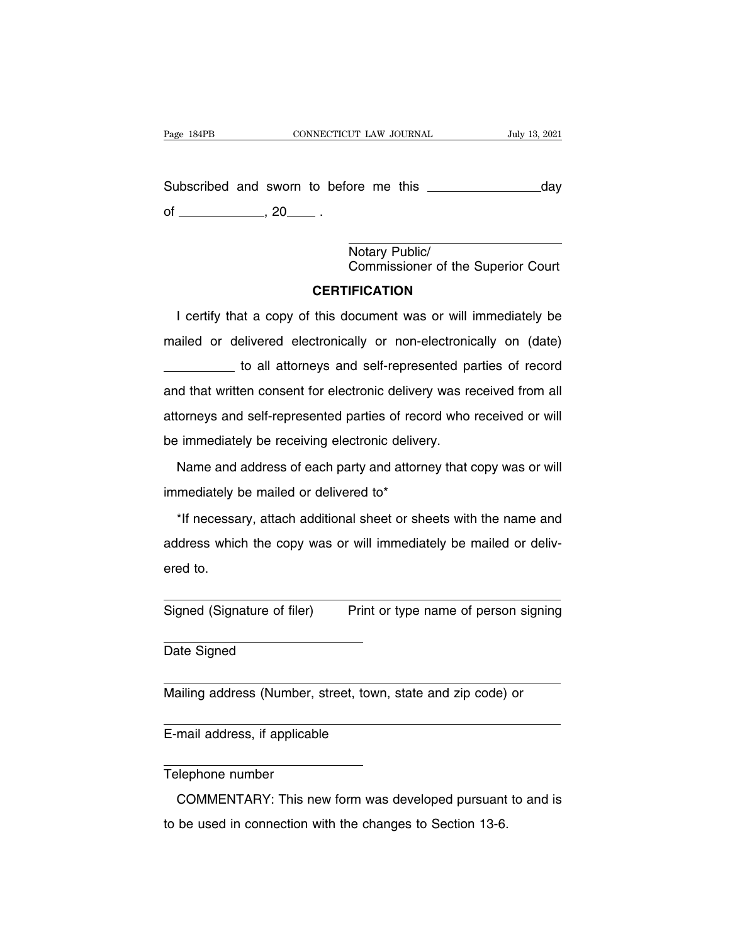Subscribed and sworn to before me this day Page 184PB CONNECTICUT<br>
Subscribed and sworn to before the connection of the connection of the connection of the connection of the connection of the connection of the connection of the connection of the connection of the c ore me this<br>Notary Public/<br>Commissioner of th Commissioner of the Superior Court

## **CERTIFICATION**

Vertify that a copy of this document was or will immediately be<br>
ERTIFICATION<br>
I certify that a copy of this document was or will immediately be<br>
Riled or delivered electronically or non-electronically on (date) Motary Public/<br>Commissioner of the Superior Court<br>CERTIFICATION<br>I certify that a copy of this document was or will immediately be<br>mailed or delivered electronically or non-electronically on (date)<br>to all attorneys and self **CERTIFICATION**<br>to a copy of this document was or will immediately be<br>elivered electronically or non-electronically on (date)<br>to all attorneys and self-represented parties of record<br>en consent for electronic delivery was r I certify that a copy of this document was or will immediately be<br>mailed or delivered electronically or non-electronically on (date)<br>to all attorneys and self-represented parties of record<br>and that written consent for elec rectary that a copy of this document was of will immisculately be<br>mailed or delivered electronically or non-electronically on (date)<br>to all attorneys and self-represented parties of record and that written consent for elec be all attorneys and self-represented pand that written consent for electronic delivery was reattorneys and self-represented parties of record who be immediately be receiving electronic delivery.<br>Name and address of each p In that written consent for electronic delivery was received from all<br>torneys and self-represented parties of record who received or will<br>immediately be receiving electronic delivery.<br>Name and address of each party and att after that there center the sections dance,<br>attorneys and self-represented parties of recor<br>be immediately be receiving electronic delivery<br>Mame and address of each party and attorne<br>immediately be mailed or delivered to\*<br>

Find mediately be receiving electronic delivery.<br>
Name and address of each party and attorney that copy was or will<br>
mediately be mailed or delivered to\*<br>
\*If necessary, attach additional sheet or sheets with the name and<br> Name and address of each party and attorney that copy was or will<br>immediately be mailed or delivered to\*<br>\*If necessary, attach additional sheet or sheets with the name and<br>address which the copy was or will immediately be immediately b<br>
\*If necessa<br>
address whic<br>
ered to. \*If necessary, attach additional sheet or sheets with the name and<br>address which the copy was or will immediately be mailed or deliv-<br>ered to.<br>Signed (Signature of filer) Print or type name of person signing ered to.<br>
Signed (Signature of filer)<br>
Date Signed

Signed (Signature of filer) Print or type name of person signing<br>
Date Signed<br>
Mailing address (Number, street, town, state and zip code) or

Date Signed<br>
Mailing address (Number, street, town,<br>
E-mail address, if applicable Mailing address (Number, street, town, state and zip code) or<br>
E-mail address, if applicable<br>
Telephone number<br>
COMMENTARY: This new form was developed pursuant to and is

mail address, if applicable<br>
Elephone number<br>
COMMENTARY: This new form was developed pursuant to and is<br>
be used in connection with the changes to Section 13-6. E-mail address, if applicable<br>Telephone number<br>COMMENTARY: This new form was developed pursuant<br>to be used in connection with the changes to Section 13-6.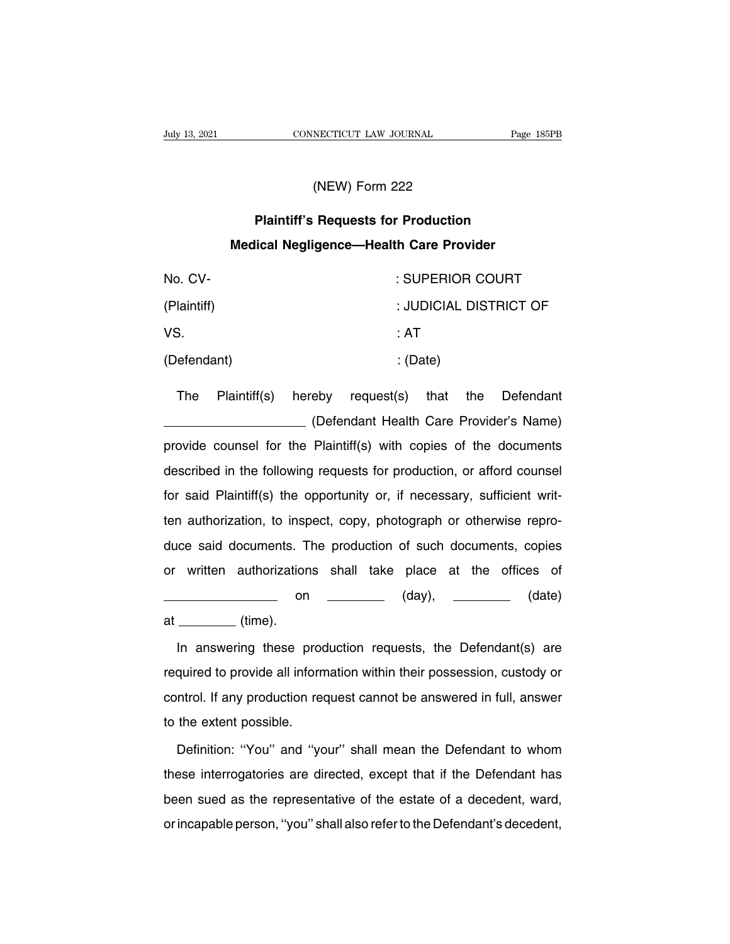# NECTICUT LAW JOURNAL<br>(NEW) Form 222<br>Poquests for Production

## **Page 18**<br> **Page 18**<br> **Plaintiff's Requests for Production<br>
Fical Negligence—Health Care Provider MEW) Form 222<br>
Plaintiff's Requests for Production<br>
Medical Negligence—Health Care Provider**

|             | (NEW) Form 222                                 |        |                                         |  |  |
|-------------|------------------------------------------------|--------|-----------------------------------------|--|--|
|             | <b>Plaintiff's Requests for Production</b>     |        |                                         |  |  |
|             | <b>Medical Negligence-Health Care Provider</b> |        |                                         |  |  |
| No. CV-     |                                                |        | : SUPERIOR COURT                        |  |  |
| (Plaintiff) |                                                |        | : JUDICIAL DISTRICT OF                  |  |  |
| VS.         |                                                |        | : AT                                    |  |  |
| (Defendant) |                                                |        | : (Date)                                |  |  |
| <b>The</b>  | Plaintiff(s)                                   | hereby | request(s)<br>that the<br>Defendant     |  |  |
|             |                                                |        | (Defendant Health Care Provider's Name) |  |  |

: AT<br>
: (Date)<br>
eby request(s) that the Defendant<br>
(Defendant Health Care Provider's Name)<br>
Plaintiff(s) with copies of the documents (Defendant) : (Date)<br>
The Plaintiff(s) hereby request(s) that the Defendant<br>
(Defendant Health Care Provider's Name)<br>
provide counsel for the Plaintiff(s) with copies of the documents<br>
described in the following requests f The Plaintiff(s) hereby request(s) that the Defendant<br>
(Defendant Health Care Provider's Name)<br>
provide counsel for the Plaintiff(s) with copies of the documents<br>
described in the following requests for production, or affo Friemming, Hereby Hequeen(e) that the Berehaant<br>
provide counsel for the Plaintiff(s) with copies of the documents<br>
described in the following requests for production, or afford counsel<br>
for said Plaintiff(s) the opportuni provide counsel for the Plaintiff(s) with copies of the documents<br>described in the following requests for production, or afford counsel<br>for said Plaintiff(s) the opportunity or, if necessary, sufficient writ-<br>ten authoriza described in the following requests for production, or afford counsel<br>for said Plaintiff(s) the opportunity or, if necessary, sufficient writ-<br>ten authorization, to inspect, copy, photograph or otherwise repro-<br>duce said d for said Plaintiff(s) the opportunity or, if necessary, sufficient writ-<br>ten authorization, to inspect, copy, photograph or otherwise repro-<br>duce said documents. The production of such documents, copies<br>or written authoriz on (day), (date) ten authorization, to inspect, copy, photograph or otherwise repro-<br>duce said documents. The production of such documents, copies<br>or written authorizations shall take place at the offices of<br>many on the place of (day), the written authorizations shall take place at the offices of<br>
in answering these production requests, the Defendant(s) are<br>
quired to provide all information within their possession, custody or

on (day), (date)<br>at (time).<br>In answering these production requests, the Defendant(s) are<br>required to provide all information within their possession, custody or<br>control. If any production request cannot be answered in full at \_\_\_\_\_\_\_ (time).<br>In answering these production requests, the Defendant(s) are<br>required to provide all information within their possession, custody or<br>control. If any production request cannot be answered in full, answer<br> In answering these prod<br>required to provide all inform<br>control. If any production red<br>to the extent possible.<br>Definition: "You" and "yo quired to provide all information within their possession, custody or<br>ntrol. If any production request cannot be answered in full, answer<br>the extent possible.<br>Definition: "You" and "your" shall mean the Defendant to whom<br>s

the previous and mean and the previously of the extent possible.<br>to the extent possible.<br>Definition: "You" and "your" shall mean the Defendant to whom<br>these interrogatories are directed, except that if the Defendant has<br>be been sued as the representative of the estate of a decedent, ward,<br>or incapable person, "you" shall mean the Defendant to whom<br>these interrogatories are directed, except that if the Defendant has<br>been sued as the represent Definition: "You" and "your" shall mean the Defendant to whom<br>these interrogatories are directed, except that if the Defendant has<br>been sued as the representative of the estate of a decedent, ward,<br>or incapable person, "yo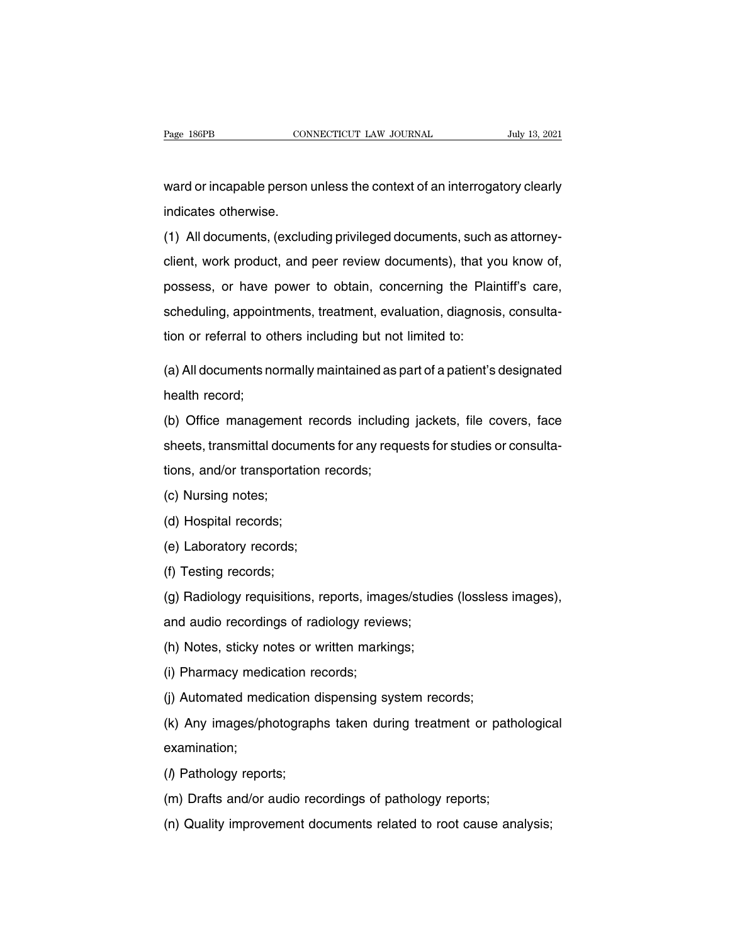Page 186PB<br>
CONNECTICUT LAW JOURNAL<br>
Ward or incapable person unless the context of an interrogatory clearly<br>
indicates otherwise. Page 186PB<br>ward or incapable person<br>indicates otherwise.<br>(1) All documents, (exclud

(1) All documents, (excluding privileged documents, such as attorney-<br>(1) All documents, (excluding privileged documents, such as attorney-<br>client, work product, and peer review documents), that you know of, ward or incapable person unless the context of an interrogatory clearly<br>indicates otherwise.<br>(1) All documents, (excluding privileged documents, such as attorney-<br>client, work product, and peer review documents), that you mara or meapable poteon amose the context or arrintentogatery elearly<br>indicates otherwise.<br>(1) All documents, (excluding privileged documents, such as attorney-<br>client, work product, and peer review documents), that you kn (1) All documents, (excluding privileged documents, such as attorney-<br>client, work product, and peer review documents), that you know of,<br>possess, or have power to obtain, concerning the Plaintiff's care,<br>scheduling, appoi the virial documents, the product, and peer review documents), that yerds disclusively possess, or have power to obtain, concerning the Plair scheduling, appointments, treatment, evaluation, diagnosition or referral to oth possess, or have power to obtain, concerning the Plaintiff's care,<br>scheduling, appointments, treatment, evaluation, diagnosis, consulta-<br>tion or referral to others including but not limited to:<br>(a) All documents normally m scheduling, appoint<br>tion or referral to ot<br>(a) All documents no<br>health record;<br>(b) Office manager

tion or referral to others including but not limited to:<br>
(a) All documents normally maintained as part of a patient's designated<br>
health record;<br>
(b) Office management records including jackets, file covers, face<br>
sheets, (a) All documents normally maintained as part of a patient's designated<br>health record;<br>(b) Office management records including jackets, file covers, face<br>sheets, transmittal documents for any requests for studies or consul (a) A m decemberishioning maintained as p<br>health record;<br>(b) Office management records including<br>sheets, transmittal documents for any requ<br>tions, and/or transportation records;<br>(c) Nursing notes; (b) Office management<br>sheets, transmittal docum<br>tions, and/or transportat<br>(c) Nursing notes;<br>(d) Hospital records; (c) Since management<br>sheets, transmittal docume<br>tions, and/or transportation<br>(c) Nursing notes;<br>(d) Hospital records;<br>(e) Laboratory records; (e) Nursing notes;<br>(c) Nursing notes;<br>(d) Hospital records;<br>(e) Laboratory records;<br>(f) Testing records;

- 
- 
- 
- 

(c) Nursing notes;<br>(d) Hospital records;<br>(e) Laboratory records;<br>(f) Testing records;<br>(g) Radiology requisitions (d) Hospital records;<br>(e) Laboratory records;<br>(f) Testing records;<br>(g) Radiology requisitions, reports, images/studies (lossless images),<br>and audio recordings of radiology reviews; (e) Laboratory records;<br>
(f) Testing records;<br>
(g) Radiology requisitions, reports, images/studie<br>
and audio recordings of radiology reviews;<br>
(h) Notes, sticky notes or written markings; (f) Testing records;<br>(g) Radiology requisitions, reports, images/studie<br>and audio recordings of radiology reviews;<br>(h) Notes, sticky notes or written markings;<br>(i) Pharmacy medication records; (f) Testing records;<br>
(g) Radiology requisitions, reports, images/studies (lossless images),<br>
and audio recordings of radiology reviews;<br>
(h) Notes, sticky notes or written markings;<br>
(i) Pharmacy medication records;<br>
(j)

(g) Autonegy requisitions, reports, images statise (records)<br>and audio recordings of radiology reviews;<br>(h) Notes, sticky notes or written markings;<br>(i) Pharmacy medication records;<br>(k) Any images/photographs taken during (h) Notes, sticky notes or written markings;<br>(i) Pharmacy medication records;<br>(j) Automated medication dispensing system records;<br>(k) Any images/photographs taken during treatment or pathological<br>examination; examination; (k) Any images/photographs taken during treatment or pathological<br>examination;<br>(/) Pathology reports;<br>(m) Drafts and/or audio recordings of pathology reports; (k) Any images/photographs taken during treatment or pathoroxamination;<br>
(h) Pathology reports;<br>
(m) Drafts and/or audio recordings of pathology reports;<br>
(n) Quality improvement documents related to root cause ana (n) They imaged price graphs taken damage acan nerver planning<br>examination;<br>(n) Drafts and/or audio recordings of pathology reports;<br>(n) Quality improvement documents related to root cause analysis;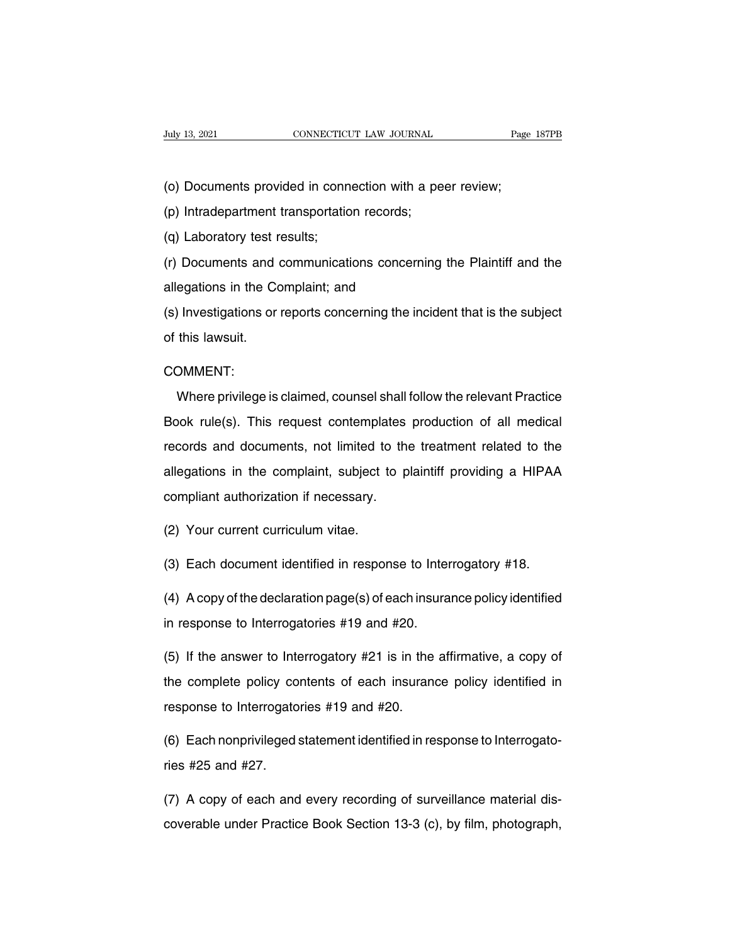Vuly 13, 2021<br>
CONNECTICUT LAW JOURNAL<br>
(o) Documents provided in connection with a peer review;<br>
(p) Intradepartment transportation records; (b) July 13, 2021<br>(b) Documents provided in connection with a pe<br>(p) Intradepartment transportation records;<br>(q) Laboratory test results;

(o) Documents provided in conn<br>(p) Intradepartment transportatic<br>(q) Laboratory test results;<br>(r) Documents and communicati (o) Documents provided in connection with a peer review;<br>(p) Intradepartment transportation records;<br>(q) Laboratory test results;<br>(r) Documents and communications concerning the Plaintiff and the<br>allegations in the Complai (b) Intradepartment transportation records;<br>
(q) Laboratory test results;<br>
(r) Documents and communications concerr<br>
allegations in the Complaint; and<br>
(s) Investigations or reports concerning the in

(q) Laboratory test results;<br>(r) Documents and communications concerning the Plaintiff and the<br>allegations in the Complaint; and<br>(s) Investigations or reports concerning the incident that is the subject<br>of this lawsuit. (r) Documents and<br>allegations in the Co<br>(s) Investigations or<br>of this lawsuit.

## COMMENT:

Munder privilege is claimed, counsel shall follow the relevant Practice<br>Where privilege is claimed, counsel shall follow the relevant Practice<br>where privilege is claimed, counsel shall follow the relevant Practice<br>wok rule of this lawsuit.<br>COMMENT:<br>Where privilege is claimed, counsel shall follow the relevant Practice<br>Book rule(s). This request contemplates production of all medical<br>records and documents, not limited to the treatment related COMMENT:<br>Where privilege is claimed, counsel shall follow the relevant Practice<br>Book rule(s). This request contemplates production of all medical<br>records and documents, not limited to the treatment related to the<br>allegatio Where privilege is claimed, counsel shall follow the relevant Practice<br>Book rule(s). This request contemplates production of all medical<br>records and documents, not limited to the treatment related to the<br>allegations in the Mook rule(s). This request contemplates<br>records and documents, not limited to the<br>allegations in the complaint, subject to p<br>compliant authorization if necessary. records and documents, not limited to<br>allegations in the complaint, subject to<br>compliant authorization if necessary.<br>(2) Your current curriculum vitae. allegations in the complaint, subject to plaintiff providing a HIPAA<br>compliant authorization if necessary.<br>(2) Your current curriculum vitae.<br>(3) Each document identified in response to Interrogatory #18.<br>(4) A sepuct the

(2) Your current curriculum vitae.<br>
(3) Each document identified in response to Interrogatory #18.<br>
(4) A copy of the declaration page(s) of each insurance policy identified<br>
in response to Interrogatories #19 and #20. (2) Your current curriculum vitae.<br>
(3) Each document identified in response to Interrogatory #18.<br>
(4) A copy of the declaration page(s) of each insurance policy identified<br>
in response to Interrogatories #19 and #20.<br>
(

(3) Each document identified in response to Interrogatory #18.<br>
(4) A copy of the declaration page(s) of each insurance policy identified<br>
in response to Interrogatories #19 and #20.<br>
(5) If the answer to Interrogatory #2 (4) A copy of the declaration page(s) of each insurance policy identified<br>in response to Interrogatories  $\#19$  and  $\#20$ .<br>(5) If the answer to Interrogatory  $\#21$  is in the affirmative, a copy of<br>the complete policy co in response to Interrogatories #19 and #20.<br>(5) If the answer to Interrogatory #21 is in the<br>the complete policy contents of each insurane<br>response to Interrogatories #19 and #20.<br>(6) Each penarivileged eterment identifie (5) If the answer to Interrogatory  $#21$  is in the affirmative, a copy of<br>the complete policy contents of each insurance policy identified in<br>response to Interrogatories  $#19$  and  $#20$ .<br>(6) Each nonprivileged statement i the complete policy co<br>response to Interrogato<br>(6) Each nonprivileged<br>ries #25 and #27.

response to Interrogatories #19 and #20.<br>(6) Each nonprivileged statement identified in response to Interrogato-<br>ries #25 and #27.<br>(7) A copy of each and every recording of surveillance material dis-<br>coverable under Practi (6) Each nonprivileged statement identified in response to Interrogato-<br>ries #25 and #27.<br>(7) A copy of each and every recording of surveillance material dis-<br>coverable under Practice Book Section 13-3 (c), by film, photog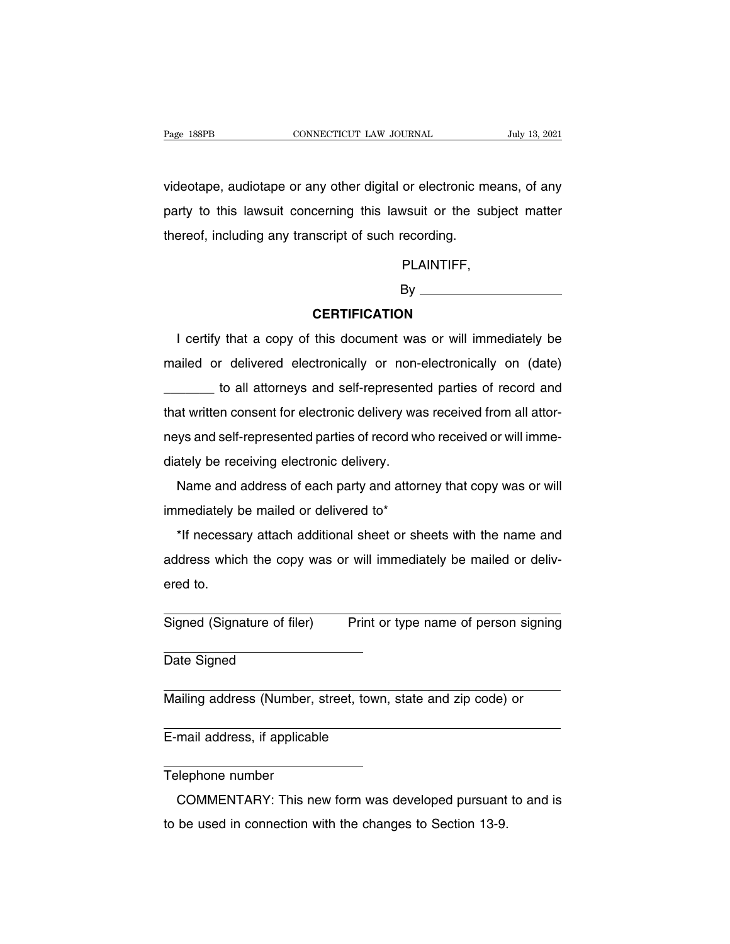Page 188PB<br>
connectricut LAW JOURNAL<br>
videotape, audiotape or any other digital or electronic means, of any<br>
party to this lawsuit concerning this lawsuit or the subject matter Page 188PB **CONNECTICUT LAW JOURNAL** July 13, 2021<br>
videotape, audiotape or any other digital or electronic means, of any<br>
party to this lawsuit concerning this lawsuit or the subject matter<br>
thereof, including any transcr Page 188PB CONNECTICUT LAW JOURNAL July 13, 2021<br>videotape, audiotape or any other digital or electronic means, of any<br>party to this lawsuit concerning this lawsuit or the subject matter<br>thereof, including any transcript o

PLAINTIFF,

## By

## **CERTIFICATION**

PLAINTIFF,<br>By<br>**CERTIFICATION**<br>I certify that a copy of this document was or will immediately be<br>ailed or delivered electronically or non-electronically on (date) EXINTITY,<br>By<br>CERTIFICATION<br>I certify that a copy of this document was or will immediately be<br>mailed or delivered electronically or non-electronically on (date)<br>to all attorneys and self-represented parties of record and

**CERTIFICATION**<br>
I certify that a copy of this document was or will immediately be<br>
mailed or delivered electronically or non-electronically on (date)<br>
<u>to all attorneys and self-represented</u> parties of record and<br>
that wr I certify that a copy of this document was or will immediately be<br>mailed or delivered electronically or non-electronically on (date)<br>\_\_\_\_\_\_\_\_\_ to all attorneys and self-represented parties of record and<br>that written consen netting that a copy of this document was of will immediately be<br>mailed or delivered electronically or non-electronically on (date)<br>to all attorneys and self-represented parties of record and<br>that written consent for electr to all attorneys and self-represented parties of record and<br>that written consent for electronic delivery was received from all attor-<br>neys and self-represented parties of record who received or will imme-<br>diately be receiv Name and self-represented parties of record and<br>at written consent for electronic delivery was received from all attor-<br>ys and self-represented parties of record who received or will imme-<br>ately be receiving electronic del meys and self-represented parties of record who<br>diately be receiving electronic delivery.<br>Name and address of each party and attorne<br>immediately be mailed or delivered to\*<br>\*If necessary attach additional sheet or shee

by sand sen-represented parties of record who received or will immerately be receiving electronic delivery.<br>Name and address of each party and attorney that copy was or will<br>mediately be mailed or delivered to\*<br>\*If necessa Mame and address of each party and attorney that copy was or will<br>immediately be mailed or delivered to\*<br>\*If necessary attach additional sheet or sheets with the name and<br>address which the copy was or will immediately be m immediately be mailed or delivered to\*<br>\*If necessary attach additional sheet or sheets with the name and<br>address which the copy was or will immediately be mailed or deliv-<br>ered to. \*If necessary attach additional sheet or sheets with the name and<br>address which the copy was or will immediately be mailed or deliv-<br>ered to.<br>Signed (Signature of filer) Print or type name of person signing

Signed (Signature of filer)<br>Date Signed Signed (Signature of filer) Print or type name of person signing<br>
Date Signed<br>
Mailing address (Number, street, town, state and zip code) or

Date Signed<br>
Mailing address (Number, street, town,<br>
E-mail address, if applicable

Mailing address (Number,<br>E-mail address, if applical<br>Telephone number<br>COMMENTARY: This n Example and address, if applicable<br>
<br>
Example 2008, if applicable<br>

COMMENTARY: This new form was developed pursuant to and is<br>
be used in connection with the changes to Section 13-9. E-mail address, if applicable<br>Telephone number<br>COMMENTARY: This new form was developed pursuant<br>to be used in connection with the changes to Section 13-9.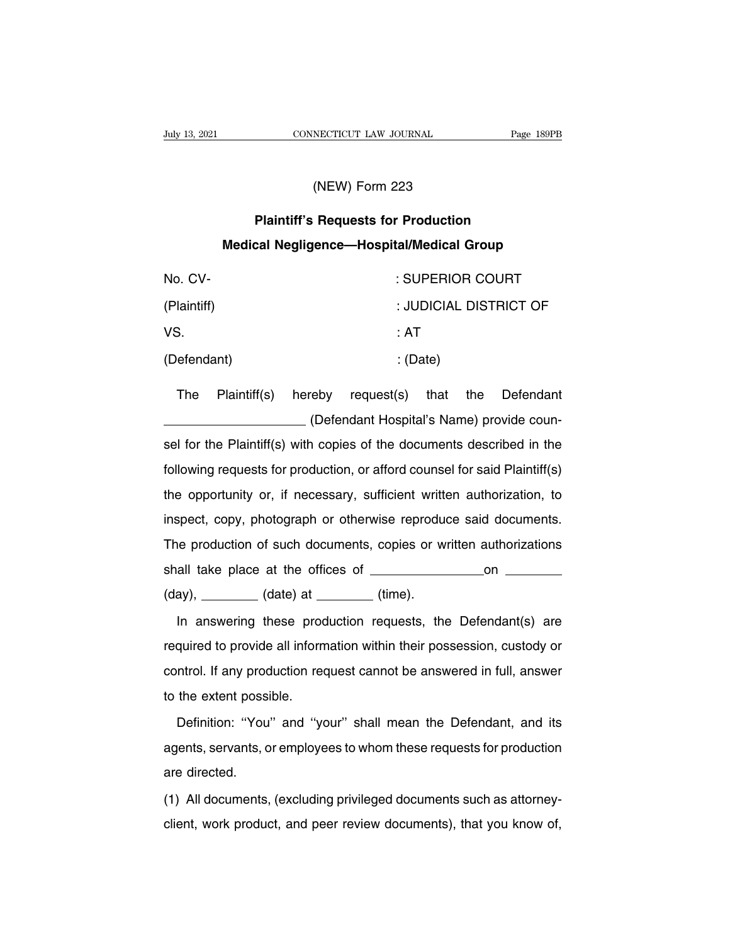# NECTICUT LAW JOURNAL<br>(NEW) Form 223<br>Poquests for Production

## **Page 18**<br> **Page 18**<br> **Plaintiff's Requests for Production<br>
Plaintiff's Requests for Production<br>
Cal Negligence—Hospital/Medical Group MEW) Form 223<br>
Plaintiff's Requests for Production<br>
Medical Negligence—Hospital/Medical Group**

|                                                  | (NEW) Form 223                             |        |                                           |      |     |           |  |
|--------------------------------------------------|--------------------------------------------|--------|-------------------------------------------|------|-----|-----------|--|
|                                                  | <b>Plaintiff's Requests for Production</b> |        |                                           |      |     |           |  |
| <b>Medical Negligence-Hospital/Medical Group</b> |                                            |        |                                           |      |     |           |  |
| No. CV-                                          |                                            |        | : SUPERIOR COURT                          |      |     |           |  |
| (Plaintiff)                                      |                                            |        | : JUDICIAL DISTRICT OF                    |      |     |           |  |
| VS.                                              |                                            |        | : AT                                      |      |     |           |  |
| (Defendant)                                      |                                            |        | : (Date)                                  |      |     |           |  |
| <b>The</b>                                       | Plaintiff(s)                               | hereby | request(s)                                | that | the | Defendant |  |
|                                                  |                                            |        | (Defendant Hospital's Name) provide coun- |      |     |           |  |

The Plaintiff(s) hereby request(s) that the Defendant<br>
(Defendant Hospital's Name) provide coun-<br>
sel for the Plaintiff(s) with copies of the documents described in the (Defendant) : (Date)<br>
The Plaintiff(s) hereby request(s) that the Defendant<br>
(Defendant Hospital's Name) provide coun-<br>
sel for the Plaintiff(s) with copies of the documents described in the<br>
following requests for product

The Plaintiff(s) hereby request(s) that the Defendant<br>
(Defendant Hospital's Name) provide coun-<br>
sel for the Plaintiff(s) with copies of the documents described in the<br>
following requests for production, or afford counsel (Defendant Hospital's Name) provide counsel for the Plaintiff(s) with copies of the documents described in the following requests for production, or afford counsel for said Plaintiff(s) the opportunity or, if necessary, su sel for the Plaintiff(s) with copies of the documents described in the following requests for production, or afford counsel for said Plaintiff(s) the opportunity or, if necessary, sufficient written authorization, to inspe following requests for production, or afford counsel for said Plaintiff(s)<br>the opportunity or, if necessary, sufficient written authorization, to<br>inspect, copy, photograph or otherwise reproduce said documents.<br>The product the opportunity or, if necessary, sufficient written authorization, to<br>inspect, copy, photograph or otherwise reproduce said documents.<br>The production of such documents, copies or written authorizations<br>shall take place at (day), (date) at (time). In answering these production within their possession, custody or<br>applied to provide all information within their possession, custody or<br>quired to provide all information within their possession, custody or

required to provide all information within their possession, custody or (day), \_\_\_\_\_\_ (date) at \_\_\_\_\_ (time).<br>In answering these production requests, the Defendant(s) are<br>required to provide all information within their possession, custody or<br>control. If any production request cannot be answe In answering these prod<br>required to provide all inform<br>control. If any production red<br>to the extent possible.<br>Definition: "You" and "you" mean there any prediction request, the Extendant (c) are<br>quired to provide all information within their possession, custody or<br>ntrol. If any production request cannot be answered in full, answer<br>the extent possible.<br>Defini

control. If any production request cannot be answered in full, answer<br>to the extent possible.<br>Definition: "You" and "your" shall mean the Defendant, and its<br>agents, servants, or employees to whom these requests for product to the extent poss<br>Definition: "You<br>agents, servants, c<br>are directed.<br>(1) All documents, Definition: "You" and "your" shall mean the Defendant, and its<br>agents, servants, or employees to whom these requests for production<br>are directed.<br>(1) All documents, (excluding privileged documents such as attorney-<br>client, contracts and peer review documents for production<br>are directed.<br>(1) All documents, (excluding privileged documents such as attorney-<br>client, work product, and peer review documents), that you know of,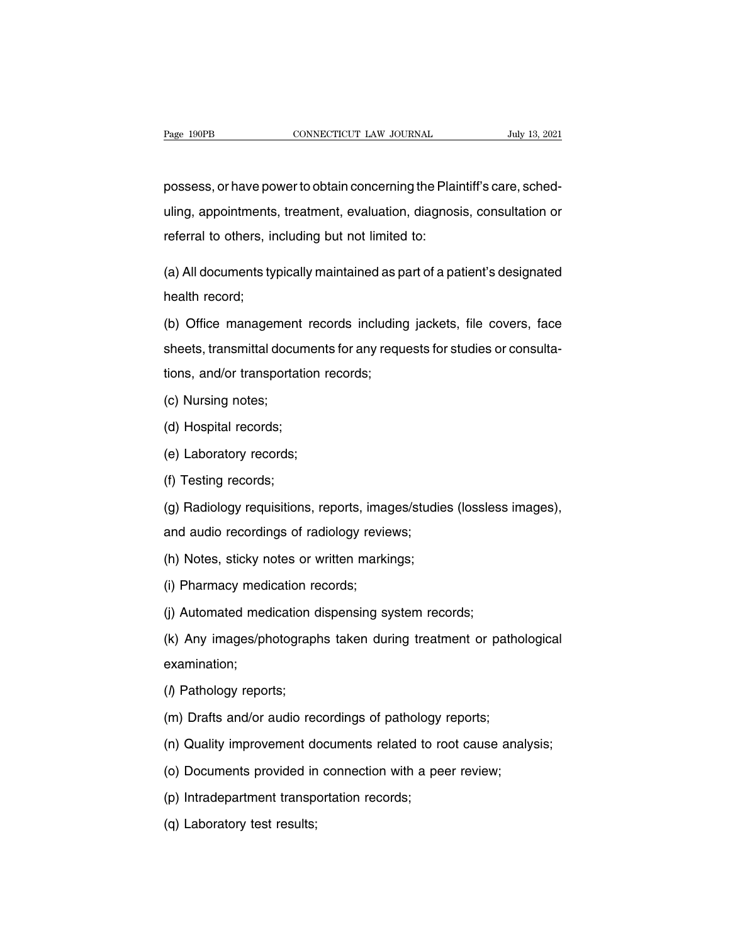Page 190PB CONNECTICUT LAW JOURNAL July 13, 2021<br>possess, or have power to obtain concerning the Plaintiff's care, sched-<br>uling, appointments, treatment, evaluation, diagnosis, consultation or Page 190PB CONNECTICUT LAW JOURNAL July 13, 2021<br>possess, or have power to obtain concerning the Plaintiff's care, sched-<br>uling, appointments, treatment, evaluation, diagnosis, consultation or<br>referral to others, including possess, or have power to obtain concerning the Plainting, appointments, treatment, evaluation, diagnos<br>referral to others, including but not limited to: possess, or have power to obtain concerning the Plaintiff's care, sched-<br>uling, appointments, treatment, evaluation, diagnosis, consultation or<br>referral to others, including but not limited to:<br>(a) All documents typically uling, appointments<br>referral to others, ir<br>(a) All documents ty<br>health record;<br>(b) Office manager

referral to others, including but not limited to:<br>
(a) All documents typically maintained as part of a patient's designated<br>
health record;<br>
(b) Office management records including jackets, file covers, face<br>
sheets, trans (a) All documents typically maintained as part of a patient's designated<br>health record;<br>(b) Office management records including jackets, file covers, face<br>sheets, transmittal documents for any requests for studies or consu (b) Office management records including<br>sheets, transmittal documents for any requestions, and/or transportation records;<br>(c) Nursing notes; (b) Office management<br>sheets, transmittal docum<br>tions, and/or transportat<br>(c) Nursing notes;<br>(d) Hospital records; sheets, transmittal docume<br>tions, and/or transportation<br>(c) Nursing notes;<br>(d) Hospital records;<br>(e) Laboratory records; tions, and/or transportation records;<br>(c) Nursing notes;<br>(d) Hospital records;<br>(e) Laboratory records;<br>(f) Testing records;

- 
- 
- 
- 

(c) Nursing notes;<br>(d) Hospital records;<br>(e) Laboratory records;<br>(f) Testing records;<br>(g) Radiology requisitions (d) Hospital records;<br>(e) Laboratory records;<br>(f) Testing records;<br>(g) Radiology requisitions, reports, images/studies (lossless images),<br>and audio recordings of radiology reviews; (e) Laboratory records;<br>(f) Testing records;<br>(g) Radiology requisitions, reports, images/studie<br>and audio recordings of radiology reviews;<br>(h) Notes, sticky notes or written markings; (f) Testing records;<br>(g) Radiology requisitions, reports, images/studie<br>and audio recordings of radiology reviews;<br>(h) Notes, sticky notes or written markings;<br>(i) Pharmacy medication records; (g) Radiology requisitions, reports, imag<br>and audio recordings of radiology revie<br>(h) Notes, sticky notes or written marki<br>(i) Pharmacy medication records;<br>(j) Automated medication dispensing sy

and audio recordings of radiology reviews;<br>(h) Notes, sticky notes or written markings;<br>(i) Pharmacy medication records;<br>(j) Automated medication dispensing system records;<br>(k) Any images/photographs taken during treatment (h) Notes, sticky notes or written markings;<br>(i) Pharmacy medication records;<br>(j) Automated medication dispensing system records;<br>(k) Any images/photographs taken during treatment or pathological<br>examination; examination; (j) Automated medication c<br>(k) Any images/photograpl<br>examination;<br>(*l*) Pathology reports;<br>(m) Drafts and/or audio rec (k) Any images/photographs taken during treatment or pathonor examination;<br>(*l*) Pathology reports;<br>(m) Drafts and/or audio recordings of pathology reports;<br>(n) Quality improvement documents related to root cause ana examination;<br>(*l*) Pathology reports;<br>(m) Drafts and/or audio recordings of pathology reports;<br>(n) Quality improvement documents related to root cause analysis;<br>(o) Documents provided in connection with a peer review;

- (m) Drafts and/or audio recordings of pathology<br>(n) Quality improvement documents related to re<br>(o) Documents provided in connection with a pe<br>(p) Intradepartment transportation records;<br>(q) Laboratory test results;
- (*l*) Pathology reports;<br>(m) Drafts and/or audio recordings of pathology reports;<br>(n) Quality improvement documents related to root cause analy<br>(o) Documents provided in connection with a peer review;<br>(p) Intradepartment t
- 
- 
- (n) Quality improvement de<br>(o) Documents provided in<br>(p) Intradepartment transpe<br>(q) Laboratory test results;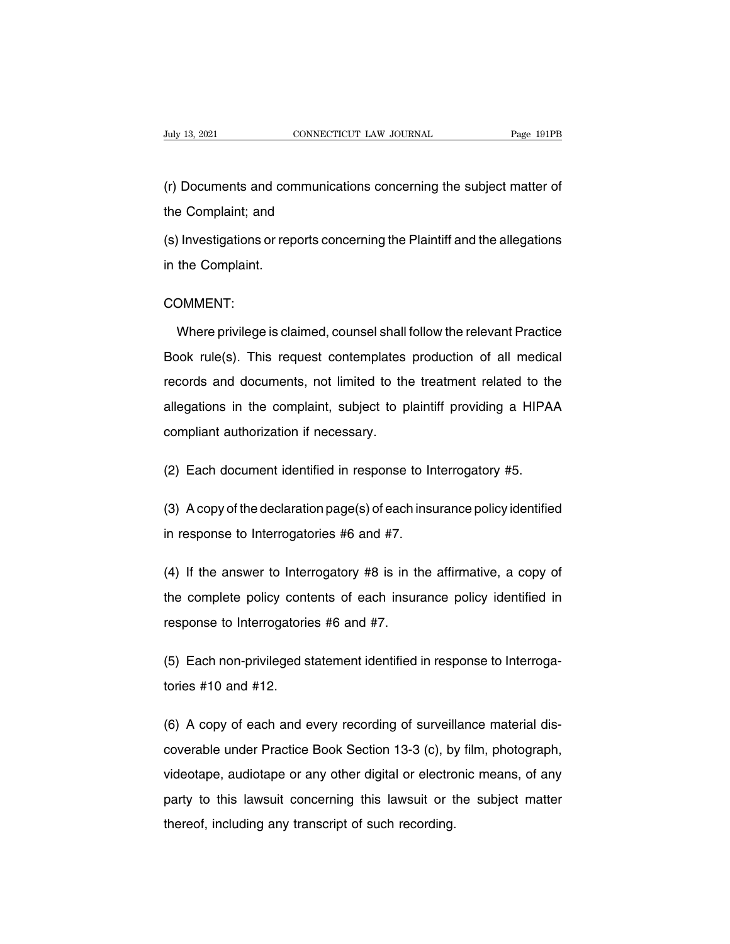Vuly 13, 2021<br>(r) Documents and communications concerning the subject matter of<br>the Complaint; and July 13, 2021<br>
(r) Documents and communica<br>
the Complaint; and<br>
(s) Investigations or reports con

(r) Documents and communications concerning the subject matter of<br>the Complaint; and<br>(s) Investigations or reports concerning the Plaintiff and the allegations<br>in the Complaint. (r) Documents and con<br>the Complaint; and<br>(s) Investigations or rep<br>in the Complaint.

## COMMENT:

Investigations or reports concerning the Plaintiff and the allegations<br>the Complaint.<br>DMMENT:<br>Where privilege is claimed, counsel shall follow the relevant Practice<br>ook rule(s). This request contemplates production of all in the Complaint.<br>COMMENT:<br>Where privilege is claimed, counsel shall follow the relevant Practice<br>Book rule(s). This request contemplates production of all medical<br>records and documents, not limited to the treatment relate COMMENT:<br>Where privilege is claimed, counsel shall follow the relevant Practice<br>Book rule(s). This request contemplates production of all medical<br>records and documents, not limited to the treatment related to the<br>allegatio Where privilege is claimed, counsel shall follow the relevant Practice<br>Book rule(s). This request contemplates production of all medical<br>records and documents, not limited to the treatment related to the<br>allegations in the More privilege to elamined, coalities entain<br>Book rule(s). This request contemplates<br>records and documents, not limited to the<br>allegations in the complaint, subject to p<br>compliant authorization if necessary. records and documents, not limited to the treatment related to the allegations in the complaint, subject to plaintiff providing a HIPA<br>compliant authorization if necessary.<br>(2) Each document identified in response to Inter

compliant authorization if necessary.<br>
(2) Each document identified in response to Interrogatory #5.<br>
(3) A copy of the declaration page(s) of each insurance policy identified<br>
in response to Interrogatories #6 and #7. (2) Each document identified in response to In<br>(3) A copy of the declaration page(s) of each insu<br>in response to Interrogatories  $#6$  and  $#7$ .

(3) A copy of the declaration page(s) of each insurance policy identified<br>in response to Interrogatories  $#6$  and  $#7$ .<br>(4) If the answer to Interrogatory  $#8$  is in the affirmative, a copy of<br>the complete policy contents (3) A copy of the declaration page(s) of each insurance policy identified<br>in response to Interrogatories  $\#6$  and  $\#7$ .<br>(4) If the answer to Interrogatory  $\#8$  is in the affirmative, a copy of<br>the complete policy conte in response to Interrogatories #6 and #7.<br>(4) If the answer to Interrogatory #8 is in the complete policy contents of each insur-<br>response to Interrogatories #6 and #7. (4) If the answer to Interrogatory  $#8$  is in the affirmative, a copy of<br>the complete policy contents of each insurance policy identified in<br>response to Interrogatories  $#6$  and  $#7$ .<br>(5) Each non-privileged statement ide the complete policy cont<br>response to Interrogatorie<br>(5) Each non-privileged s<br>tories #10 and #12.

(5) Each non-privileged statement identified in response to Interroga-<br>tories #10 and #12.<br>(6) A copy of each and every recording of surveillance material dis-<br>coverable under Practice Book Section 13-3 (c), by film, photo (5) Each non-privileged statement identified in response to Interrogatories #10 and #12.<br>
(6) A copy of each and every recording of surveillance material discoverable under Practice Book Section 13-3 (c), by film, photogra tories #10 and #12.<br>(6) A copy of each and every recording of surveillance material dis-<br>coverable under Practice Book Section 13-3 (c), by film, photograph,<br>videotape, audiotape or any other digital or electronic means, o (6) A copy of each and every recording of surveillance material dis-<br>coverable under Practice Book Section 13-3 (c), by film, photograph,<br>videotape, audiotape or any other digital or electronic means, of any<br>party to this (6) A copy of each and every recording of surveillance material dis-<br>coverable under Practice Book Section 13-3 (c), by film, photograph,<br>videotape, audiotape or any other digital or electronic means, of any<br>party to this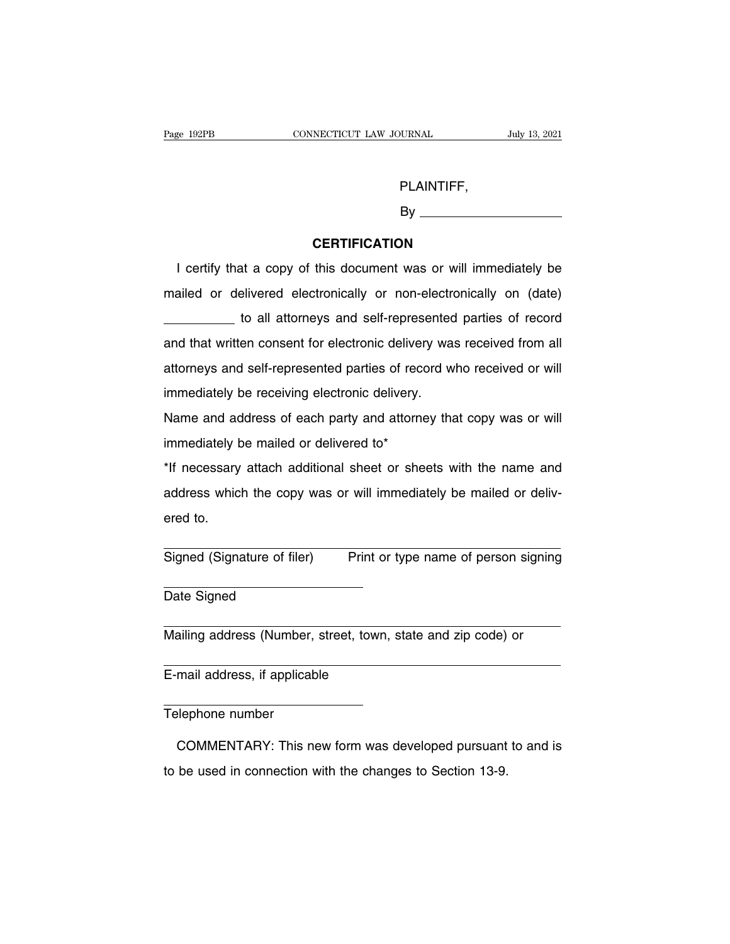## PLAINTIFF,

By

## **CERTIFICATION**

I certify that a copy of this document was or will immediately be By<br>
CERTIFICATION<br>
I certify that a copy of this document was or will immediately be<br>
mailed or delivered electronically or non-electronically on (date)<br>
to all attorneys and self-represented parties of record **CERTIFICATION**<br>at a copy of this document was or will immediately be<br>elivered electronically or non-electronically on (date)<br>to all attorneys and self-represented parties of record<br>en consent for electronic delivery was r I certify that a copy of this document was or will immediately be<br>mailed or delivered electronically or non-electronically on (date)<br>to all attorneys and self-represented parties of record<br>and that written consent for elec rectary that a copy of this document was of will imminimized by be<br>mailed or delivered electronically or non-electronically on (date)<br>to all attorneys and self-represented parties of record from all<br>attorneys and self-repr mailed or delivered electronically or non-electronically on (date)<br>
\_\_\_\_\_\_\_\_\_\_ to all attorneys and self-represented parties of record<br>
and that written consent for electronic delivery was received from all<br>
attorneys and and that written consent for electronic delivery was received from all<br>attorneys and self-represented parties of record who received or will<br>immediately be receiving electronic delivery.<br>Name and address of each party and

Name and address of each party and attorney that copy was or will<br>immediately be mailed or delivered to\*<br>\*If necessary attach additional sheet or sheets with the name and

immediately be receiving electronic delivery.<br>
Name and address of each party and attorney that copy was or will<br>
immediately be mailed or delivered to\*<br>
\*If necessary attach additional sheet or sheets with the name and<br>
a Mame and address of each party and attorney that copy was or will<br>immediately be mailed or delivered to\*<br>\*If necessary attach additional sheet or sheets with the name and<br>address which the copy was or will immediately be m Frame and according to<br>
immediately t<br>
\*If necessary<br>
address whic<br>
ered to. \*If necessary attach additional sheet or sheets with the name and<br>address which the copy was or will immediately be mailed or deliv-<br>ered to.<br>Signed (Signature of filer) Print or type name of person signing ered to.<br>Signed (Signature of file<br>Date Signed

Signed (Signature of filer) Print or type name of person signing<br>
Date Signed<br>
Mailing address (Number, street, town, state and zip code) or

Date Signed<br>
Mailing address (Number, street, town,<br>
E-mail address, if applicable

Mailing address (Number,<br>E-mail address, if applical<br>Telephone number<br>COMMENTARY: This n

mail address, if applicable<br>
Elephone number<br>
COMMENTARY: This new form was developed pursuant to and is<br>
be used in connection with the changes to Section 13-9. E-mail address, il applicable<br>
Telephone number<br>
COMMENTARY: This new form was developed pursuant<br>
to be used in connection with the changes to Section 13-9.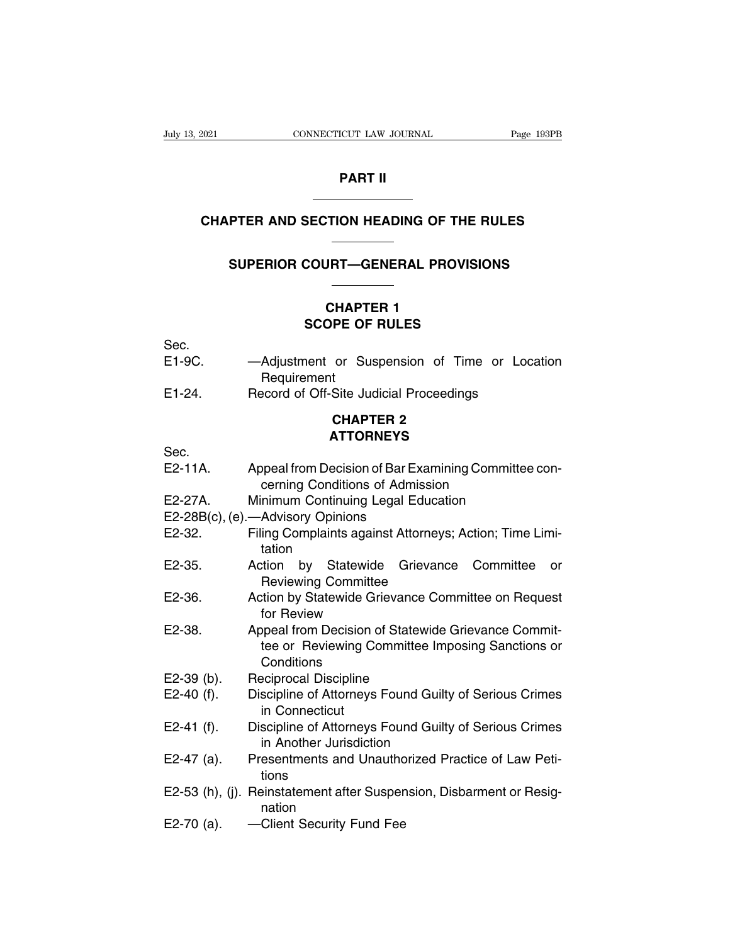## CONNECTICUT LAW JOURNAL Page 193PB<br> **PART II**<br>
CHAPTER AND SECTION HEADING OF THE RULES **SUPERIOR COURT—GENERAL PROVISIONS**

## TION HEADING OF TH<br>
IRT—GENERAL PROV<br>
CHAPTER 1<br>
OPE OF RULES **SOURT—GENERAL PROVISION<br>
CHAPTER 1<br>
SCOPE OF RULES**

- Sec.
- SUPENION COUNT—GENERAL PROVISIONS<br>
CHAPTER 1<br>
SCOPE OF RULES<br>
Sec.<br>
E1-9C. —Adjustment or Suspension of Time or Location<br>
Requirement<br>
F1-24 Becord of Off-Site Judicial Proceedings Requirement CHAPTER 1<br>
Sec.<br>
E1-9C. — Adjustment or Suspension of Time or Loca<br>
Requirement<br>
E1-24. Record of Off-Site Judicial Proceedings<br>
CHAPTER 2 **PE OF RULES**<br>or Suspension of Tim<br>t<br>Site Judicial Proceeding<br>**CHAPTER 2**<br>**ATTORNEYS**
- 

## **ATTORNEYS**

Sec.

- Requirement<br>
E1-24. Record of Off-Site Judicial Proceedings<br> **CHAPTER 2**<br> **CHAPTER 2<br>
Sec.**<br>
E2-11A. Appeal from Decision of Bar Examining Committee con-<br>
cerning Conditions of Admission<br>
F2-274 Minimum Continuing Legal Ed ecord of Off-Site Judicial Proceedings<br> **CHAPTER 2**<br> **ATTORNEYS**<br>
ppeal from Decision of Bar Examining Commit<br>
cerning Conditions of Admission<br>
nimum Continuing Legal Education<br>
Advisory Opinions **CHAPTER 2<br>
Sec.<br>
E2-11A.** Appeal from Decision of Bar Examining Committee<br>
cerning Conditions of Admission<br>
E2-27A. Minimum Continuing Legal Education<br>
E2-28B(c), (e).—Advisory Opinions<br>
F2-32 Filing Complaints against At CHAPTER 2<br>
Sec.<br>
E2-11A. Appeal from Decision of Bar Exa<br>
cerning Conditions of Admis<br>
E2-27A. Minimum Continuing Legal Edi<br>
E2-28B(c), (e).—Advisory Opinions<br>
E2-32. Filing Complaints against Attorn<br>
tation E2-11A. Appeal from Decision of Bar Examining Committee concerning Conditions of Admission<br>E2-27A. Minimum Continuing Legal Education<br>E2-28B(c), (e).—Advisory Opinions<br>E2-32. Filing Complaints against Attorneys; Action; Ti
- 
- 
- tation
- E2-11A. Appear non-Decision of Bar Examining Committee con-<br>
cerning Conditions of Admission<br>
E2-27A. Minimum Continuing Legal Education<br>
E2-32. Filing Complaints against Attorneys; Action; Time Limitation<br>
E2-35. Action b Cerning Conditions of Admission<br>
nimum Continuing Legal Education<br>
Advisory Opinions<br>
ing Complaints against Attorneys;<br>
tation<br>
tion by Statewide Grievance Com<br>
for Beview Advisory Opinions<br>
ing Complaints against At<br>
tation<br>
tion by Statewide G<br>
Reviewing Committee<br>
tion by Statewide Grievar<br>
for Review<br>
ppeal from Decision of Sta<br>
tee or Reviewing Commit
- E2-27A. Millimian Community Legal Education<br>
E2-28B(c), (e).—Advisory Opinions<br>
E2-32. Filing Complaints against Attorneys; Action; Time Limitation<br>
E2-35. Action by Statewide Grievance Committee or<br>
E2-36. Action by State
- E2-32. Filing Complaints against Attorneys, Action, Time Elmi-<br>tation<br>E2-35. Action by Statewide Grievance Committee or<br>E2-36. Action by Statewide Grievance Committee on Request<br>for Review<br>E2-38. Appeal from Decision of St tation<br>
tion by Statewide Grievance Committee or<br>
Reviewing Committee<br>
for Review<br>
ppeal from Decision of Statewide Grievance Commit-<br>
tee or Reviewing Committee Imposing Sanctions or<br>
Conditions<br>
aciprocal Discipline **Conditions** E2-36. Action by Statewide Grievance C<br>
for Review<br>
E2-38. Appeal from Decision of Statewic<br>
tee or Reviewing Committee I<br>
Conditions<br>
E2-39 (b). Reciprocal Discipline<br>
E2-40 (f). Discipline of Attorneys Found Gu<br>
in Conne E2-30. Action by statewide chievance Committee on Request<br>for Review<br>E2-38. Appeal from Decision of Statewide Grievance Commit-<br>tee or Reviewing Committee Imposing Sanctions or<br>E2-39 (b). Reciprocal Discipline<br>E2-40 (f). D France Connection<br>
itee or Reviewing Conditions<br>
Eciprocal Discipline<br>
Scipline of Attorneys<br>
in Connecticut<br>
Scipline of Attorneys<br>
in Another Lurisdicti E2-36. Appear from Decision of Statewide Grievance Commit-<br>tee or Reviewing Committee Imposing Sanctions or<br>E2-39 (b). Reciprocal Discipline<br>E2-40 (f). Discipline of Attorneys Found Guilty of Serious Crimes<br>in Connecticut<br>
- 
- reviewing Committee impropriate the<br>Conditions<br>scipline of Attorneys Found Guilty<br>in Connecticut<br>scipline of Attorneys Found Guilty<br>in Another Jurisdiction<br>esentments and Unauthorized Prations E2-39 (b). Reciprocal Discipline<br>E2-40 (f). Discipline of Attorneys Found Guilty of Serious Crimes<br>in Connecticut<br>E2-41 (f). Discipline of Attorneys Found Guilty of Serious Crimes<br>in Another Jurisdiction<br>E2-47 (a). Present
- E2-40 (i). Discipline of Attorneys Found dulity of Serious Crimes<br>
in Connecticut<br>
E2-41 (f). Discipline of Attorneys Found Guilty of Serious Crimes<br>
in Another Jurisdiction<br>
E2-47 (a). Presentments and Unauthorized Practi
- tions E2-41 (i). Disciplifie of Attorneys Pour<br>
in Another Jurisdiction<br>
E2-47 (a). Presentments and Unautho<br>
tions<br>
E2-53 (h), (j). Reinstatement after Susper<br>
nation<br>
E2-70 (a). —Client Security Fund Fee
- nation
-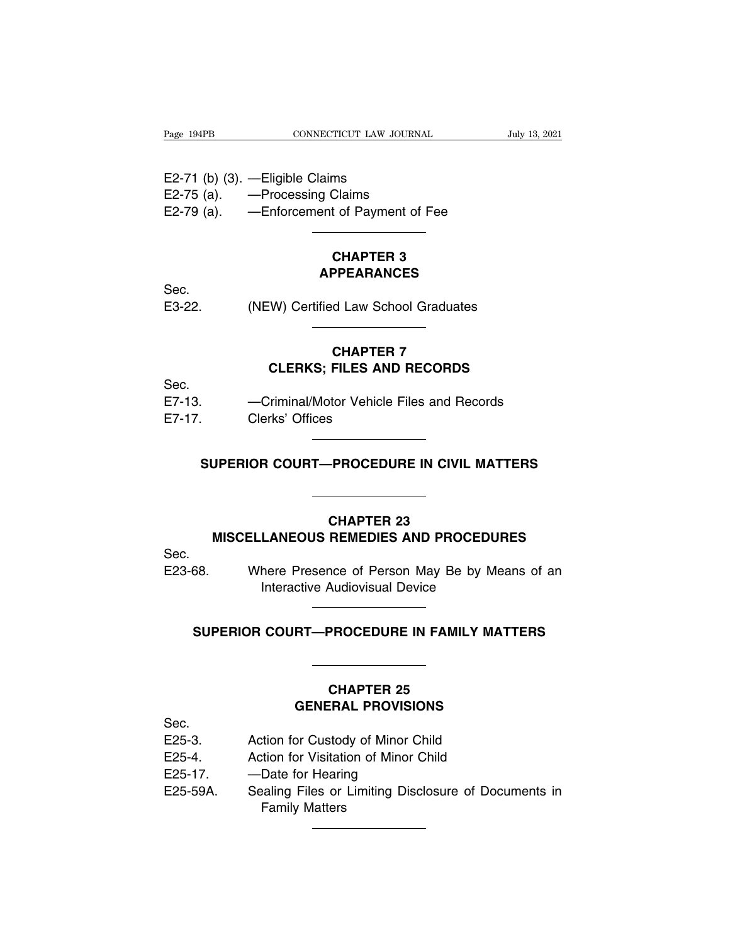Page 194PB CONNECTICUT LAW JOURNAL July 13, 2021

Page 194PB<br>
E2-71 (b) (3). —Eligible Claims<br>
E2-75 (a). ——Processing Claims<br>
E2-75 (a). ——Processing Claims

Page 194PB<br>
E2-71 (b) (3). — Eligible Claims<br>
E2-75 (a). — Processing Claims<br>
E2-79 (a). — Enforcement of Payment of Fee Page 194PB CONNECTICUT LAW JOURNAL<br>
E2-71 (b) (3). —Eligible Claims<br>
E2-75 (a). —Processing Claims<br>
E2-79 (a). —Enforcement of Payment of Fee

## ms<br>Claims<br>t of Payment of Fee<br>**CHAPTER 3**<br>PPEARANCES **APPEARANCES**

Sec.

E2-79 (a). — Enforcement of Payment of Fee<br>
CHAPTER 3<br>
Sec.<br>
E3-22. (NEW) Certified Law School Graduates

## **CHAPTER 3<br>PPEARANCES<br>d Law School Graduate<br>CHAPTER 7<br>FILES AND RECORDS CHAPTER 7<br>
CHAPTER 7<br>
CLERKS; FILES AND RECORDS** E3-22. (NEW) Certified Law School Graduates<br>
CHAPTER 7<br>
CLERKS; FILES AND RECORDS<br>
Sec.<br>
E7-13. —Criminal/Motor Vehicle Files and Records<br>
E7-17. Clerks' Offices CHAPTEF<br>CLERKS; FILES AN<br>Sec.<br>E7-13. — Criminal/Motor Vehicle<br>E7-17. Clerks' Offices

Sec.

# **SUPERIOR COURT—PROCEDURE IN CIVIL MATTERS**<br>
SUPERIOR COURT—PROCEDURE IN CIVIL MATTERS

## **FROCEDURE IN CIVIL<br>CHAPTER 23<br>REMEDIES AND PROCE MISCELLANEOUS REMEDIES AND PROCEDURES<br>
MISCELLANEOUS REMEDIES AND PROCEDURES**<br>
MISCELLANEOUS REMEDIES AND PROCEDURES CHAPTER 23<br>
LANEOUS REMEDIES AND PROCEDUI<br>
here Presence of Person May Be by Me<br>
Interactive Audiovisual Device

Sec.

CHAPTER 23<br>
MISCELLANEOUS REMEDIES AND PROCEDURES<br>
E23-68. Where Presence of Person May Be by Means of an<br>
Interactive Audiovisual Device MISCELLANEOUS REMEDIES AND PROCEDURES<br>
S8. Where Presence of Person May Be by Means of an<br>
Interactive Audiovisual Device<br>
SUPERIOR COURT—PROCEDURE IN FAMILY MATTERS

## **PROCEDURE IN FAMILY<br>CHAPTER 25<br>CHAPTER 25<br>ERAL PROVISIONS** RT—PROCEDURE IN FAMILY MATTE<br>
CHAPTER 25<br>
GENERAL PROVISIONS<br>
<sup>OLIST</sup>ON of Minor Child **CHAPTER 25<br>
GENERAL PROVISIONS**<br>
E25-3. Action for Custody of Minor Child<br>
E25-4. Action for Visitation of Minor Child<br>
F25-4. Pote for Heering **CHAPTER 25<br>
GENERAL PROVISIONS**<br>
E25-3. Action for Custody of Minor Child<br>
E25-4. Action for Visitation of Minor Child<br>
E25-17. —Date for Hearing<br>
F25-50A Socling Files or Limitian Disclosure of Decut

Sec.

- 
- 
- 
- CHAPTER 25<br>
GENERAL PROVISIC<br>
E25-3. Action for Custody of Minor Cl<br>
E25-4. Action for Visitation of Minor C<br>
E25-17. —Date for Hearing<br>
E25-59A. Sealing Files or Limiting Disc GENERAL PROVISIONS<br>
E25-3. Action for Custody of Minor Child<br>
E25-4. Action for Visitation of Minor Child<br>
E25-17. —Date for Hearing<br>
E25-59A. Sealing Files or Limiting Disclosure of Documents in<br>
Family Matters **GENERAL PROVISIONS**<br>Action for Custody of Minor Child<br>Action for Visitation of Minor Child<br>—Date for Hearing<br>Sealing Files or Limiting Disclosure of Documents in<br>Family Matters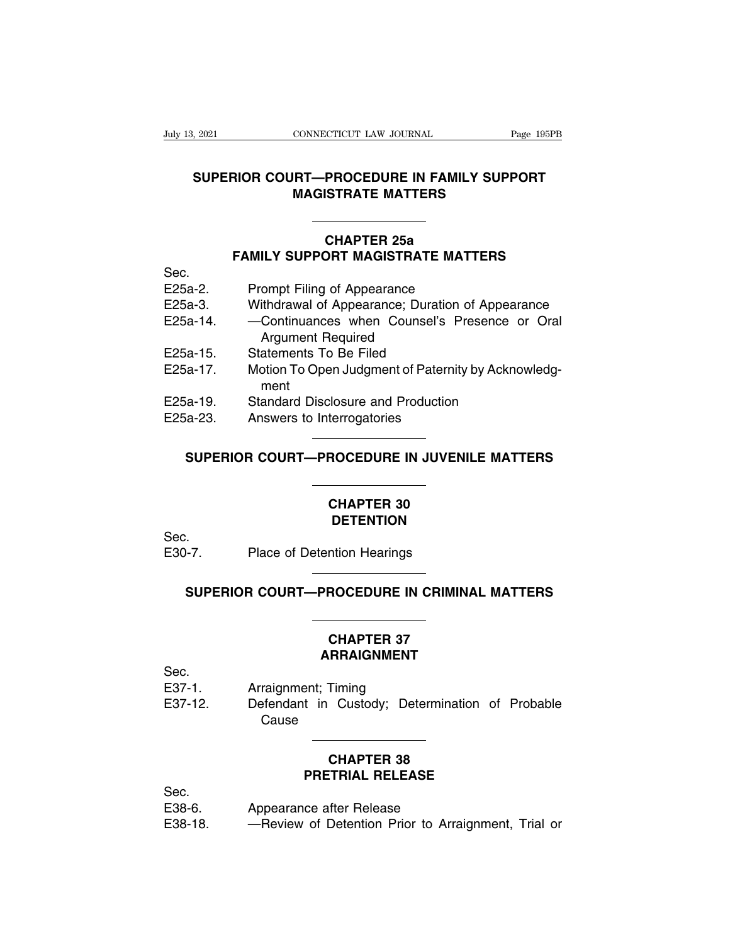July 13, 2021 CONNECTICUT LAW JOURNAL Page 195PB

## Fage 195PB<br>
SUPERIOR COURT—PROCEDURE IN FAMILY SUPPORT<br>
MAGISTRATE MATTERS **CONNECTICUT LAW JOURNAL** Pag<br> **MAGISTRATE MATTERS**<br>
MAGISTRATE MATTERS **FAMILY SUPPORT<br>
MAGISTRATE MATTERS<br>
CHAPTER 25a<br>
FAMILY SUPPORT MAGISTRATE MATTERS**<br>
Promot Filips of Appearance

## **PROCEDURE IN FAMILY<br>ISTRATE MATTERS<br>CHAPTER 25a<br>ORT MAGISTRATE MATT** CHAPTER 25a<br>FAMILY SUPPORT MAGISTRATE MATTERS

|              | <b>MAGISIRAIL MAIILKS</b>                                                 |  |
|--------------|---------------------------------------------------------------------------|--|
|              | <b>CHAPTER 25a</b><br><b>FAMILY SUPPORT MAGISTRATE MATTERS</b>            |  |
| Sec.         |                                                                           |  |
| E25a-2.      | Prompt Filing of Appearance                                               |  |
| E25a-3.      | Withdrawal of Appearance; Duration of Appearance                          |  |
| E25a-14.     | -Continuances when Counsel's Presence or Oral<br><b>Argument Required</b> |  |
| E25a-15.     | Statements To Be Filed                                                    |  |
| E25a-17.     | Motion To Open Judgment of Paternity by Acknowledg-<br>ment               |  |
| E25a-19.     | <b>Standard Disclosure and Production</b>                                 |  |
| E25a-23.     | Answers to Interrogatories                                                |  |
|              | SUPERIOR COURT-PROCEDURE IN JUVENILE MATTERS                              |  |
|              | <b>CHAPTER 30</b>                                                         |  |
| $S_{\alpha}$ | <b>DETENTION</b>                                                          |  |

## **DETENTION**

Sec.

SUPERIOR COURT—PROCEDURE IN JUVENII<br>
CHAPTER 30<br>
DETENTION<br>
Sec.<br>
E30-7. Place of Detention Hearings

## CHAPTER 30<br>
DETENTION<br>
Place of Detention Hearings<br>
SUPERIOR COURT—PROCEDURE IN CRIMINAL MATTERS Place of Detention Hearings<br> **CHAPTER 37**<br>
CHAPTER 37

## **ARRAIGNMENT**

Sec.

SUPERIOR COURT—PROCEDURE IN C<br>
CHAPTER 37<br>
CHAPTER 37<br>
Sec.<br>
E37-1. Arraignment; Timing<br>
E37-12. Defendant in Custody; Deter CHAPTER 37<br>
Sec.<br>
E37-1. Arraignment; Timing<br>
E37-12. Defendant in Custody; Determination of Probable<br>
Cause Cause Timing<br>Custody; Determination<br>**CHAPTER 38**<br>:TRIAL RELEASE Put; Timing<br>
t in Custody; Determination of F<br> **CHAPTER 38<br>
PRETRIAL RELEASE**<br>
Ce after Release

- Sec.
	-
- Cause<br>
CHAPTER 38<br>
PRETRIAL RELEASE<br>
E38-6. Appearance after Release<br>
E38-18. Review of Detention Prior to Arrai CHAPTER 38<br>
PRETRIAL RELEASE<br>
E38-6. Appearance after Release<br>
E38-18. — Review of Detention Prior to Arraignment, Trial or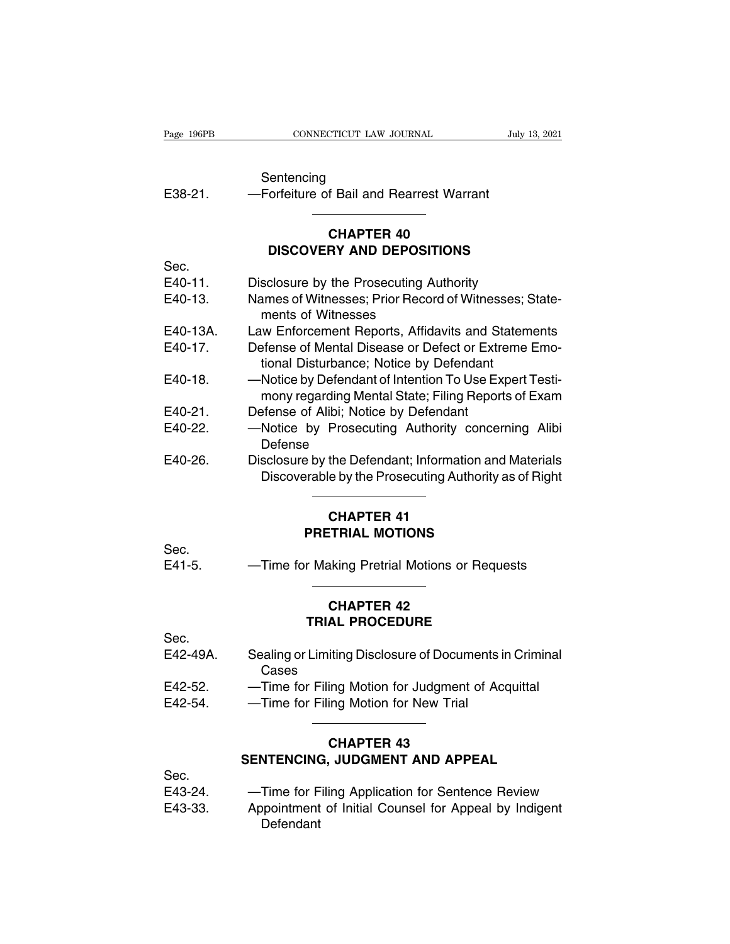| Page 196PB | CONNECTICUT LAW JOURNAL                                | July 13, 2021 |
|------------|--------------------------------------------------------|---------------|
| E38-21.    | Sentencing<br>-Forfeiture of Bail and Rearrest Warrant |               |

## -Forfeiture of Bail and Rearrest Warrant<br>
CHAPTER 40<br>
DISCOVERY AND DEPOSITIONS Entencing<br> **DISCOVERY AND DEPOSITIONS**<br>
CHAPTER 40<br>
DISCOVERY AND DEPOSITIONS<br>
Closure by the Prosecuting Authority

| E38-21. | -Forfeiture of Bail and Rearrest Warrant                                |
|---------|-------------------------------------------------------------------------|
|         | <b>CHAPTER 40</b><br><b>DISCOVERY AND DEPOSITIONS</b>                   |
| Sec.    |                                                                         |
| E40-11. | Disclosure by the Prosecuting Authority                                 |
| E40-13. | Names of Witnesses; Prior Record of Witnesses; St<br>mante of Witnaecae |

|          | <b>CHAPTER 40</b>                                                                                               |  |
|----------|-----------------------------------------------------------------------------------------------------------------|--|
|          | <b>DISCOVERY AND DEPOSITIONS</b>                                                                                |  |
| Sec.     |                                                                                                                 |  |
| E40-11.  | Disclosure by the Prosecuting Authority                                                                         |  |
| E40-13.  | Names of Witnesses; Prior Record of Witnesses; State-<br>ments of Witnesses                                     |  |
| E40-13A. | Law Enforcement Reports, Affidavits and Statements                                                              |  |
| E40-17.  | Defense of Mental Disease or Defect or Extreme Emo-<br>tional Disturbance; Notice by Defendant                  |  |
| E40-18.  | -Notice by Defendant of Intention To Use Expert Testi-<br>mony regarding Mental State; Filing Reports of Exam   |  |
| E40-21.  | Defense of Alibi; Notice by Defendant                                                                           |  |
| E40-22.  | -Notice by Prosecuting Authority concerning Alibi<br>Defense                                                    |  |
| E40-26.  | Disclosure by the Defendant; Information and Materials<br>Discoverable by the Prosecuting Authority as of Right |  |
|          | <b>CHAPTER 41</b>                                                                                               |  |
|          | <b>PRETRIAL MOTIONS</b>                                                                                         |  |
| ∼ہ⊘      |                                                                                                                 |  |

**Phono** by the Defendant; Information and Norable by the Prosecuting Authority as<br> **CHAPTER 41<br>
<b>PRETRIAL MOTIONS**<br>
FRETRIAL MOTIONS Discoverable by the Prosecuting Authority as of Right<br>
CHAPTER 41<br>
Sec.<br>
E41-5. —Time for Making Pretrial Motions or Requests

Sec.

## **CHAPTER 41<br>ETRIAL MOTIONS<br>Aking Pretrial Motions or F<br>CHAPTER 42<br>AL PROCEDURE PRETRIAL MOTIONS<br>
TRIAL PROCEDURE<br>
CHAPTER 42<br>
TRIAL PROCEDURE<br>
Limiting Disclosure of Documents in**

| E41-5.   | -Time for Making Pretrial Motions or Requests                    |  |
|----------|------------------------------------------------------------------|--|
|          | <b>CHAPTER 42</b>                                                |  |
|          | <b>TRIAL PROCEDURE</b>                                           |  |
| Sec.     |                                                                  |  |
| E42-49A. | Sealing or Limiting Disclosure of Documents in Criminal<br>Cases |  |
| E42-52.  | -Time for Filing Motion for Judgment of Acquittal                |  |
| E42-54.  | -Time for Filing Motion for New Trial                            |  |
|          | <b>CHAPTER 43</b>                                                |  |
|          | <b>SENTENCING, JUDGMENT AND APPEAL</b>                           |  |
| Sec.     |                                                                  |  |
| FAG. 2A  | Time for Filing Application for Sentence Review                  |  |

## Time for Filing Motion for New Trial<br>
CHAPTER 43<br>
SENTENCING, JUDGMENT AND APPEAL

- Sec.
- 
- E42-54. —Time for Filing Motion for New Trial<br>
CHAPTER 43<br>
SENTENCING, JUDGMENT AND APPEAL<br>
Sec.<br>
E43-24. —Time for Filing Application for Sentence Review<br>
E43-33. Appointment of Initial Counsel for Appeal by Indigent<br>
Def CHAPTER 43<br>
SENTENCING, JUDGMENT AND APPEAL<br>
Sec.<br>
E43-24. — Time for Filing Application for Sentence Review<br>
E43-33. Appointment of Initial Counsel for Appeal by Indigent<br>
Defendant **Defendant**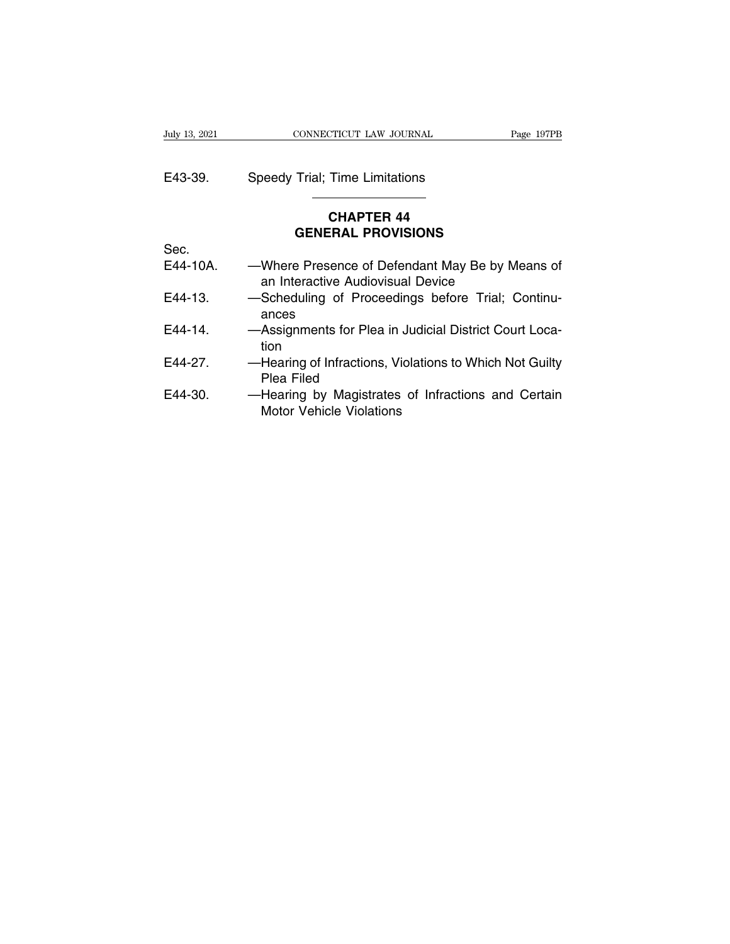## CTICUT LAW JOURNAL<br>
Time Limitations<br> **CHAPTER 44<br>
ERAL PROVISIONS** Trial; Time Limitations<br> **CHAPTER 44<br>
GENERAL PROVISIONS**

| E43-39.  | Speedy Trial; Time Limitations                                                       |
|----------|--------------------------------------------------------------------------------------|
|          | <b>CHAPTER 44</b>                                                                    |
|          | <b>GENERAL PROVISIONS</b>                                                            |
| Sec.     |                                                                                      |
| E44-10A. | —Where Presence of Defendant May Be by Means of<br>an Interactive Audiovisual Device |
| E44-13.  | -Scheduling of Proceedings before Trial; Continu-<br>ances                           |
| E44-14.  | -Assignments for Plea in Judicial District Court Loca-<br>tion                       |
| E11-07   | Hearing of Infractions, Violations to Which Not Guilty                               |

- ances
- tion an interactive Addiov<br>Scheduling of Proce<br>ances<br>Assignments for Plea<br>tion<br>Hearing of Infractions<br>Plea Filed<br>Hearing by Magistrat
- E44-10A. Write Presence of Defendant May Be by Means of<br>
an Interactive Audiovisual Device<br>
E44-13. Scheduling of Proceedings before Trial; Continu-<br>
ances<br>
E44-14. Assignments for Plea in Judicial District Court Loc E44-13. —Scrieduling of Proceedings before That, Continuances<br>
E44-14. —Assignments for Plea in Judicial District Court Loca-<br>
tion<br>
E44-27. —Hearing of Infractions, Violations to Which Not Guilty<br>
Plea Filed<br>
E44-30. —Hea --Assignments for Plea in Judicial District Court Loca-<br>tion<br>--Hearing of Infractions, Violations to Which Not Guilty<br>Plea Filed<br>--Hearing by Magistrates of Infractions and Certain<br>Motor Vehicle Violations
-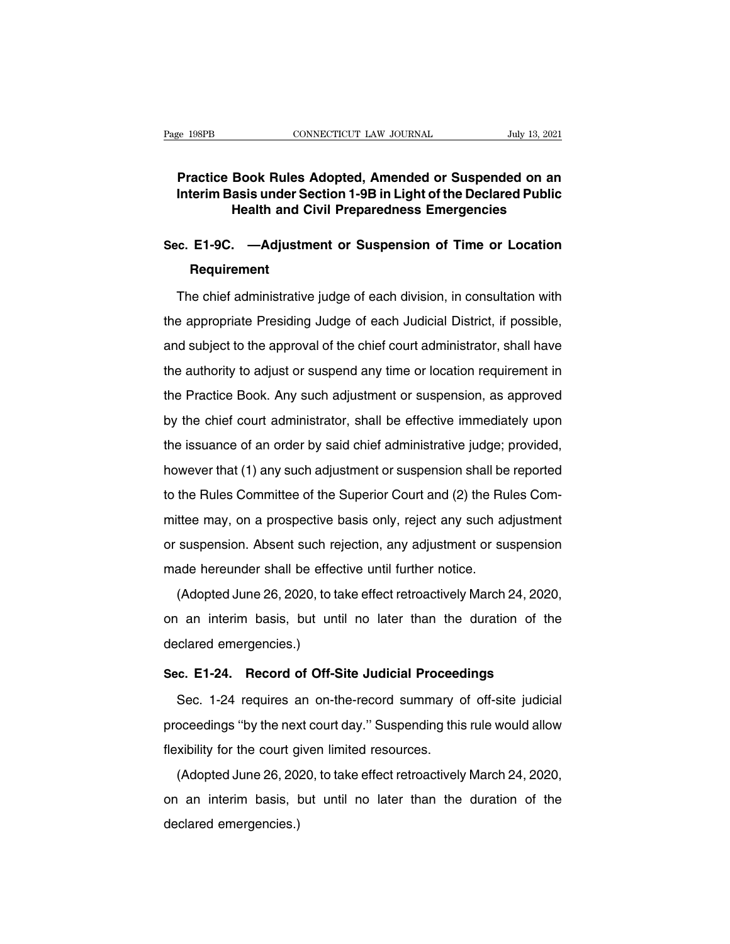## **Practice Book Rules Adopted, Amended or Suspended on an <u>ISBEREAN CONNECTICUT LAW JOURNAL Study 13, 2021</u><br>
<b>Practice Book Rules Adopted, Amended or Suspended on an**<br>
Interim Basis under Section 1-9B in Light of the Declared Public<br>
Health and Civil Preparedness Emergencies **EXECUTE CONNECTICUT LAW JOURNAL** July 13, 2021<br> **Health and Civil Preparedness Emergencies**<br> **Health and Civil Preparedness Emergencies**<br> **Adjustment of Currencies** of Time or Location **Practice Book Rules Adopted, Amended or Suspended on an Interim Basis under Section 1-9B in Light of the Declared Public Health and Civil Preparedness Emergencies<br>Sec. E1-9C. —Adjustment or Suspension of Time or Location<br>**

## **Requirement**

Health and Civil Preparedness Emergencies<br>
c. E1-9C. —Adjustment or Suspension of Time or Location<br>
Requirement<br>
The chief administrative judge of each division, in consultation with<br>
e appropriate Presiding Judge of each Sec. E1-9C. —Adjustment or Suspension of Time or Location<br>Requirement<br>The chief administrative judge of each division, in consultation with<br>the appropriate Presiding Judge of each Judicial District, if possible,<br>and subjec Requirement<br>The chief administrative judge of each division, in consultation with<br>the appropriate Presiding Judge of each Judicial District, if possible,<br>and subject to the approval of the chief court administrator, shall The chief administrative judge of each division, in consultation with<br>the appropriate Presiding Judge of each Judicial District, if possible,<br>and subject to the approval of the chief court administrator, shall have<br>the aut The einer daministrative jauge of each division, in consultation with<br>the appropriate Presiding Judge of each Judicial District, if possible,<br>and subject to the approval of the chief court administrator, shall have<br>the aut and subject to the approval of the chief court administrator, in possible, and subject to the approval of the chief court administrator, shall have the authority to adjust or suspend any time or location requirement in the the authority to adjust or suspend any time or location requirement in<br>the Practice Book. Any such adjustment or suspension, as approved<br>by the chief court administrator, shall be effective immediately upon<br>the issuance of the Practice Book. Any such adjustment or suspension, as approved<br>by the chief court administrator, shall be effective immediately upon<br>the issuance of an order by said chief administrative judge; provided,<br>however that (1 the Fractice Book. Any sach adjustment or saspension, as approved<br>by the chief court administrator, shall be effective immediately upon<br>the issuance of an order by said chief administrative judge; provided,<br>however that (1 by the enter ceart daministrator, shan be encetive immediately apont<br>the issuance of an order by said chief administrative judge; provided,<br>however that (1) any such adjustment or suspension shall be reported<br>to the Rules Increasuance of an order by said enter daministicative jauge, provided,<br>however that (1) any such adjustment or suspension shall be reported<br>to the Rules Committee of the Superior Court and (2) the Rules Com-<br>mittee may, o mowever that (1) any such adjastment or susperision shall be<br>to the Rules Committee of the Superior Court and (2) the Ru<br>mittee may, on a prospective basis only, reject any such at<br>or suspension. Absent such rejection, any the Francs Sommitted of the Superior Sourt and  $\langle 2 \rangle$  the Francs Sommittee may, on a prospective basis only, reject any such adjustment suspension. Absent such rejection, any adjustment or suspension ade hereunder shall

or suspension. Absent such rejection, any adjustment or suspension<br>made hereunder shall be effective until further notice.<br>(Adopted June 26, 2020, to take effect retroactively March 24, 2020,<br>on an interim basis, but until or susperision. Absent such re<br>made hereunder shall be effec<br>(Adopted June 26, 2020, to ta<br>on an interim basis, but unt<br>declared emergencies.)<br>Sec. E1-24. Record of Off-S (Adopted June 26, 2020, to take effect retroactively March 24, 2020,<br>on an interim basis, but until no later than the duration of the<br>declared emergencies.)<br>**Sec. E1-24. Record of Off-Site Judicial Proceedings**<br>Sec. 1-24 r I an interim basis, but until no later than the duration of the clared emergencies.)<br>C. E1-24. Record of Off-Site Judicial Proceedings<br>Sec. 1-24 requires an on-the-record summary of off-site judicial<br>oceedings "by the next

declared emergencies.)<br>
Sec. E1-24. Record of Off-Site Judicial Proceedings<br>
Sec. 1-24 requires an on-the-record summary of off-site judicial<br>
proceedings "by the next court day." Suspending this rule would allow<br>
flexibil Sec. E1-24. Record of Off-Site Judicial Proceed<br>Sec. 1-24 requires an on-the-record summary c<br>proceedings "by the next court day." Suspending this<br>flexibility for the court given limited resources.<br>(Adopted June 26, 2020, Sec. 1-24 requires an on-the-record summary of off-site judicial<br>oceedings "by the next court day." Suspending this rule would allow<br>xibility for the court given limited resources.<br>(Adopted June 26, 2020, to take effect re

proceedings "by the next court day." Suspending this rule would allow<br>flexibility for the court given limited resources.<br>(Adopted June 26, 2020, to take effect retroactively March 24, 2020,<br>on an interim basis, but until n flexibility for the court g<br>(Adopted June 26, 20)<br>on an interim basis, t<br>declared emergencies.)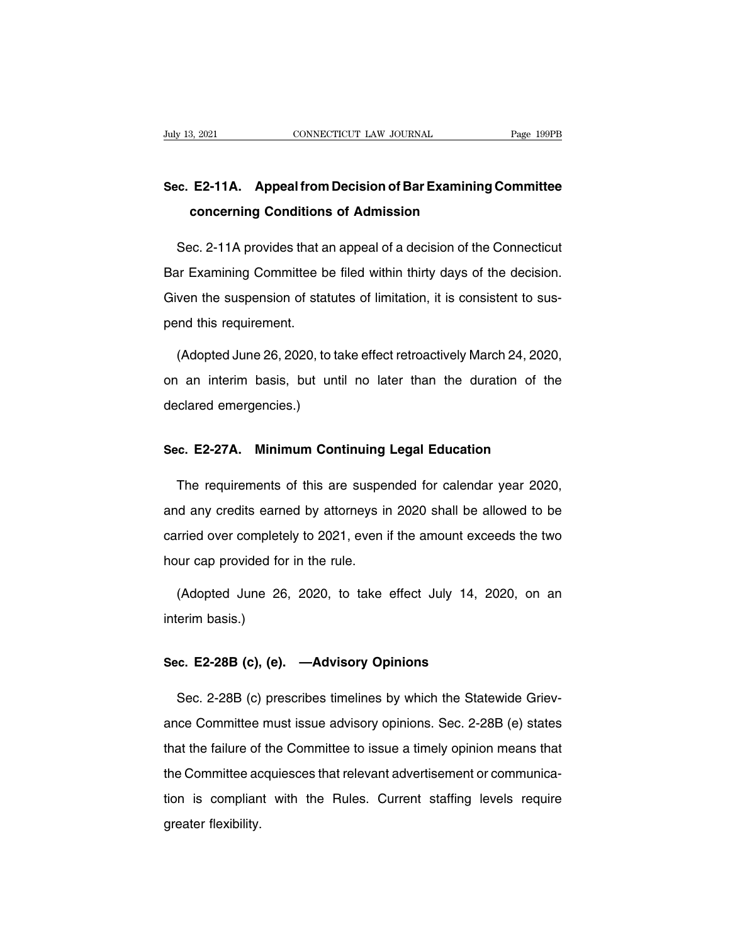## **Sec. E2-11A. Appeal from Decision of Bar Examining Committee connecticut LAW JOURNAL**<br> **E2-11A.** Appeal from Decision of Bar Examining<br>
concerning Conditions of Admission

Fig. 2-11A. Appeal from Decision of Bar Examining Committee<br>Concerning Conditions of Admission<br>Sec. 2-11A provides that an appeal of a decision of the Connecticut<br>The Examining Committee be filed within thirty days of the Sec. E2-11A. Appeal from Decision of Bar Examining Committee<br>concerning Conditions of Admission<br>Sec. 2-11A provides that an appeal of a decision of the Connecticut<br>Bar Examining Committee be filed within thirty days of the concerning Conditions of Admission<br>Sec. 2-11A provides that an appeal of a decision of the Connecticut<br>Bar Examining Committee be filed within thirty days of the decision.<br>Given the suspension of statutes of limitation, it Sec. 2-11A provides that a<br>Bar Examining Committee b<br>Given the suspension of sta<br>pend this requirement. In the suspension of statutes of limitation, it is consistent to sus-<br>wen the suspension of statutes of limitation, it is consistent to sus-<br>and this requirement.<br>(Adopted June 26, 2020, to take effect retroactively March

Given the suspension of statutes of limitation, it is consistent to sus-<br>pend this requirement.<br>(Adopted June 26, 2020, to take effect retroactively March 24, 2020,<br>on an interim basis, but until no later than the duration pend this requirement.<br>
(Adopted June 26, 2020, to ta<br>
on an interim basis, but unt<br>
declared emergencies.) (Adopted June 26, 2020, to take effect retroactively March 24, 2020,<br>on an interim basis, but until no later than the duration of the<br>declared emergencies.)<br>Sec. E2-27A. Minimum Continuing Legal Education

oclared emergencies.)<br>
E. E2-27A. Minimum Continuing Legal Education<br>
The requirements of this are suspended for calendar year 2020,<br>
Id any credits earned by attorneys in 2020 shall be allowed to be Sec. E2-27A. Minimum Continuing Legal Education<br>The requirements of this are suspended for calendar year 2020,<br>and any credits earned by attorneys in 2020 shall be allowed to be<br>carried over completely to 2021, even if the Sec. E2-27A. Minimum Continuing Legal Education<br>The requirements of this are suspended for calendar year 2020,<br>and any credits earned by attorneys in 2020 shall be allowed to be<br>carried over completely to 2021, even if the The requirements of this are suspended for calendar year 2020, and any credits earned by attorneys in 2020 shall be allowed to be carried over completely to 2021, even if the amount exceeds the two hour cap provided for in (Adopted June 26, 2020, to take effect July 14, 2020, on an erim basis.) carried over completely to 2021, even if the amount exceeds the two<br>hour cap provided for in the rule.<br>(Adopted June 26, 2020, to take effect July 14, 2020, on an<br>interim basis.)

(Adopted June 26, 2020, to take effect July 14, 2020, on an interim basis.)<br> **Sec. E2-28B (c), (e). —Advisory Opinions**<br>
Sec. 2-28B (c) prescribes timelines by which the Statewide Griev-

erim basis.)<br> **E. E2-28B (c), (e).** —**Advisory Opinions**<br>
Sec. 2-28B (c) prescribes timelines by which the Statewide Griev-<br>
Committee must issue advisory opinions. Sec. 2-28B (e) states Sec. E2-28B (c), (e). —Advisory Opinions<br>Sec. 2-28B (c) prescribes timelines by which the Statewide Griev-<br>ance Committee must issue advisory opinions. Sec. 2-28B (e) states<br>that the failure of the Committee to issue a tim Sec. E2-28B (c), (e). —Advisory Opinions<br>Sec. 2-28B (c) prescribes timelines by which the Statewide Griev-<br>ance Committee must issue advisory opinions. Sec. 2-28B (e) states<br>that the failure of the Committee to issue a tim Sec. 2-28B (c) prescribes timelines by which the Statewide Grievance Committee must issue advisory opinions. Sec. 2-28B (e) states that the failure of the Committee to issue a timely opinion means that the Committee acquie ance Committee must issue advisory opinions. Sec. 2-28B (e) states<br>that the failure of the Committee to issue a timely opinion means that<br>the Committee acquiesces that relevant advertisement or communica-<br>tion is compliant ance committed<br>that the failure of<br>the Committee ac<br>tion is complian<br>greater flexibility.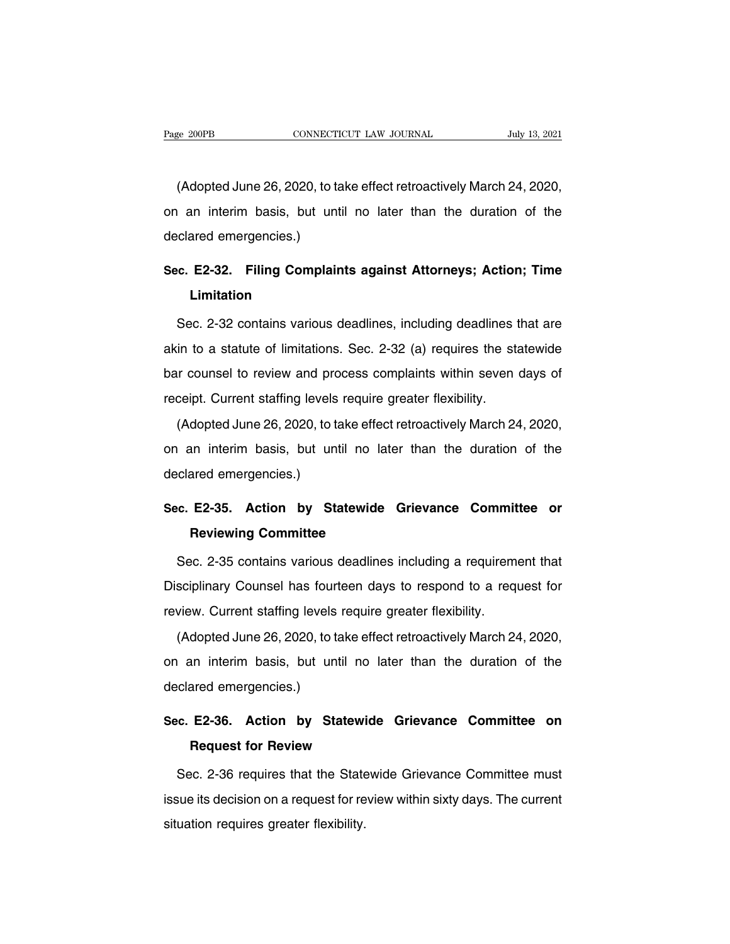EXECTE ANDREAL THE SERVID OF THE SERVID OF THE SERVID OF THE SERVID SERVID SERVID SERVID SERVID SERVID SERVID SERVID SERVID SERVID SERVID SERVID SERVID SERVID SERVID SERVID SERVID SERVID SERVID SERVID SERVID SERVID SERVID Page 200PB CONNECTICUT LAW JOURNAL July 13, 2021<br>(Adopted June 26, 2020, to take effect retroactively March 24, 2020,<br>on an interim basis, but until no later than the duration of the<br>declared emergencies.) (Adopted June 26, 2020, to ta<br>on an interim basis, but unt<br>declared emergencies.)<br>See 53.33 Filing Compleir (Adopted June 26, 2020, to take effect retroactively March 24, 2020,<br>on an interim basis, but until no later than the duration of the<br>declared emergencies.)<br>Sec. E2-32. Filing Complaints against Attorneys; Action; Time<br>Lim

## **Limitation**

clared emergencies.)<br>
Sec. E2-32. Filing Complaints against Attorneys; Action; Time<br>
Limitation<br>
Sec. 2-32 contains various deadlines, including deadlines that are<br>
tin to a statute of limitations. Sec. 2-32 (a) requires t Sec. E2-32. Filing Complaints against Attorneys; Action; Time<br>Limitation<br>Sec. 2-32 contains various deadlines, including deadlines that are<br>akin to a statute of limitations. Sec. 2-32 (a) requires the statewide<br>bar counsel Limitation<br>Sec. 2-32 contains various deadlines, including deadlines that are<br>akin to a statute of limitations. Sec. 2-32 (a) requires the statewide<br>bar counsel to review and process complaints within seven days of<br>receipt Sec. 2-32 contains various deadlines, including deadlines t<br>akin to a statute of limitations. Sec. 2-32 (a) requires the sta-<br>bar counsel to review and process complaints within seven<br>receipt. Current staffing levels requi (Adopted June 26, 2020, to take effect retroactively March 24, 2020, an interim basis, but until no later than the duration of the

bar counsel to review and process complaints within seven days of<br>receipt. Current staffing levels require greater flexibility.<br>(Adopted June 26, 2020, to take effect retroactively March 24, 2020,<br>on an interim basis, but bar bounder to review and provided the receipt. Current staffing levels<br>(Adopted June 26, 2020, to ta<br>on an interim basis, but unt<br>declared emergencies.) (Adopted June 26, 2020, to take effect retroactively March 24, 2020,<br>on an interim basis, but until no later than the duration of the<br>declared emergencies.)<br>Sec. E2-35. Action by Statewide Grievance Committee or<br>Reviewing Framerian basis, but until no lat<br>
Reviewing Committee<br>
Reviewing Committee<br>
Reviewing Committee<br>
Reviewing Committee<br>
Reviewing Committee

clared emergencies.)<br>
C. E2-35. Action by Statewide Grievance Committee or<br>
Reviewing Committee<br>
Sec. 2-35 contains various deadlines including a requirement that<br>
sciplinary Counsel has fourteen days to respond to a reque Sec. E2-35. Action by Statewide Grievance Committee or<br>Reviewing Committee<br>Sec. 2-35 contains various deadlines including a requirement that<br>Disciplinary Counsel has fourteen days to respond to a request for<br>review. Curren **Reviewing Committee**<br>Sec. 2-35 contains various deadlines including a requirem<br>Disciplinary Counsel has fourteen days to respond to a req<br>review. Current staffing levels require greater flexibility.<br>(Adopted June 26, 2020 Sec. 2-35 contains various deadlines including a requirement that<br>sciplinary Counsel has fourteen days to respond to a request for<br>view. Current staffing levels require greater flexibility.<br>(Adopted June 26, 2020, to take

Disciplinary Counsel has fourteen days to respond to a request for<br>review. Current staffing levels require greater flexibility.<br>(Adopted June 26, 2020, to take effect retroactively March 24, 2020,<br>on an interim basis, but Disciplinary Counsel has fourteen days to respond to a request for<br>review. Current staffing levels require greater flexibility.<br>(Adopted June 26, 2020, to take effect retroactively March 24, 2020,<br>on an interim basis, but (Adopted June 26, 2020, to take effect retroactively March 24, 2020,<br>on an interim basis, but until no later than the duration of the<br>declared emergencies.)<br>Sec. E2-36. Action by Statewide Grievance Committee on<br>Request fo

## Sec. E2-36. Action by Statewide Grievance Committee on<br>Request for Review<br>Sec. 2-36 requires that the Statewide Grievance Committee must

clared emergencies.)<br>
C. E2-36. Action by Statewide Grievance Committee on<br>
Request for Review<br>
Sec. 2-36 requires that the Statewide Grievance Committee must<br>
sue its decision on a request for review within sixty days. Th Sec. E2-36. Action by Statewide Grievance Committee on<br>Request for Review<br>Sec. 2-36 requires that the Statewide Grievance Committee must<br>issue its decision on a request for review within sixty days. The current<br>situation r Request for Review<br>Sec. 2-36 requires that the State<br>issue its decision on a request for re<br>situation requires greater flexibility.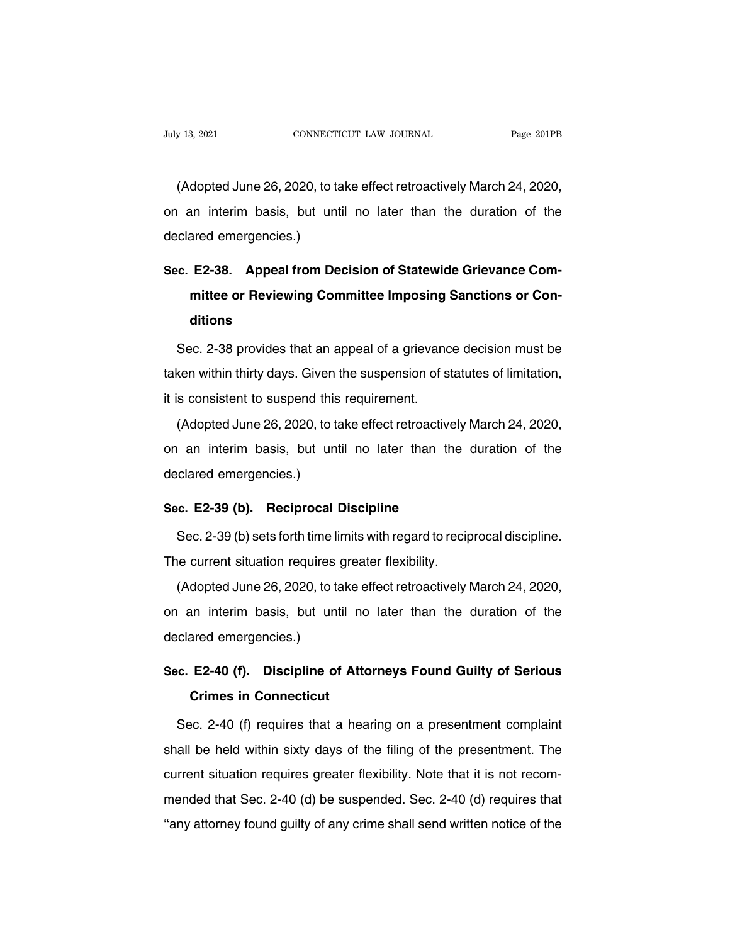Vertiga 13, 2021<br>
CONNECTICUT LAW JOURNAL<br>
(Adopted June 26, 2020, to take effect retroactively March 24, 2020,<br>
An interim basis, but until no later than the duration of the July 13, 2021 CONNECTICUT LAW JOURNAL Page 201PB<br>(Adopted June 26, 2020, to take effect retroactively March 24, 2020,<br>on an interim basis, but until no later than the duration of the<br>declared emergencies.) (Adopted June 26, 2020, to ta<br>on an interim basis, but unt<br>declared emergencies.)<br>See 53.38 Appel from De (Adopted June 26, 2020, to take effect retroactively March 24, 2020,<br>
on an interim basis, but until no later than the duration of the<br>
declared emergencies.)<br> **Sec. E2-38. Appeal from Decision of Statewide Grievance Com-**

## Imposime than the duration of the ared emergencies.)<br> **E2-38.** Appeal from Decision of Statewide Grievance Com-<br>
mittee or Reviewing Committee Imposing Sanctions or Con-<br>
ditions **ditions** Follow: E2-38. Appeal from Decision of Statewide Grievance Committee or Reviewing Committee Imposing Sanctions or Conditions<br>Sec. 2-38 provides that an appeal of a grievance decision must be<br>Ken within thirty days. Given t

mittee or Reviewing Committee Imposing Sanctions or Conditions<br>Sec. 2-38 provides that an appeal of a grievance decision must be<br>taken within thirty days. Given the suspension of statutes of limitation,<br>it is consistent to ditions<br>
Sec. 2-38 provides that an appeal of a grievanc<br>
taken within thirty days. Given the suspension of s<br>
it is consistent to suspend this requirement.<br>
(Adopted June 26, 2020, to take effect retroactive Sec. 2-38 provides that an appeal of a grievance decision must be<br>ken within thirty days. Given the suspension of statutes of limitation,<br>s consistent to suspend this requirement.<br>(Adopted June 26, 2020, to take effect ret

diate within thirty days. Given the suspension of statutes of limitation,<br>it is consistent to suspend this requirement.<br>(Adopted June 26, 2020, to take effect retroactively March 24, 2020,<br>on an interim basis, but until no declared them and years. Since the internal state of the CA<br>dopted June 26, 2020, to the internal basis, but until<br>declared emergencies.) (Adopted June 26, 2020, to take effect retroactively<br>on an interim basis, but until no later than the<br>declared emergencies.)<br>**Sec. E2-39 (b). Reciprocal Discipline**<br>Sec. 2-39 (b) sets forth time limits with regard to rec France in the duration of the clared emergencies.)<br>Sec. 2-39 (b). Reciprocal Discipline<br>Sec. 2-39 (b) sets forth time limits with regard to reciprocal discipline.<br>The current situation requires greater flexibility.

declared emergencies.)<br> **Sec. E2-39 (b). Reciprocal Discipline**<br>
Sec. 2-39 (b) sets forth time limits with regard to recip<br>
The current situation requires greater flexibility.<br>
(Adopted June 26, 2020, to take effect retroa

c. E2-39 (b). Reciprocal Discipline<br>Sec. 2-39 (b) sets forth time limits with regard to reciprocal discipline.<br>ne current situation requires greater flexibility.<br>(Adopted June 26, 2020, to take effect retroactively March Sec. 2-39 (b) sets forth time limits with regard to reciprocal discipline.<br>The current situation requires greater flexibility.<br>(Adopted June 26, 2020, to take effect retroactively March 24, 2020,<br>on an interim basis, but u The current situation requires<br>(Adopted June 26, 2020, to ta<br>on an interim basis, but unt<br>declared emergencies.) (Adopted June 26, 2020, to take effect retroactively March 24, 2020,<br>on an interim basis, but until no later than the duration of the<br>declared emergencies.)<br>Sec. E2-40 (f). Discipline of Attorneys Found Guilty of Serious<br>C Frame interim basis, but until not<br>ared emergencies.)<br>**E2-40 (f). Discipline of Atto<br>Crimes in Connecticut**<br>ec. 2-40 (f) requires that a hea

clared emergencies.)<br>
C. E2-40 (f). Discipline of Attorneys Found Guilty of Serious<br>
Crimes in Connecticut<br>
Sec. 2-40 (f) requires that a hearing on a presentment complaint<br>
all be held within sixty days of the filing of t Sec. E2-40 (f). Discipline of Attorneys Found Guilty of Serious<br>Crimes in Connecticut<br>Sec. 2-40 (f) requires that a hearing on a presentment complaint<br>shall be held within sixty days of the filing of the presentment. The<br>c Crimes in Connecticut<br>Sec. 2-40 (f) requires that a hearing on a presentment complaint<br>shall be held within sixty days of the filing of the presentment. The<br>current situation requires greater flexibility. Note that it is n Sec. 2-40 (f) requires that a hearing on a presentment complaint<br>shall be held within sixty days of the filing of the presentment. The<br>current situation requires greater flexibility. Note that it is not recom-<br>mended that shall be held within sixty days of the filing of the presentment. The current situation requires greater flexibility. Note that it is not recommended that Sec. 2-40 (d) be suspended. Sec. 2-40 (d) requires that "any attor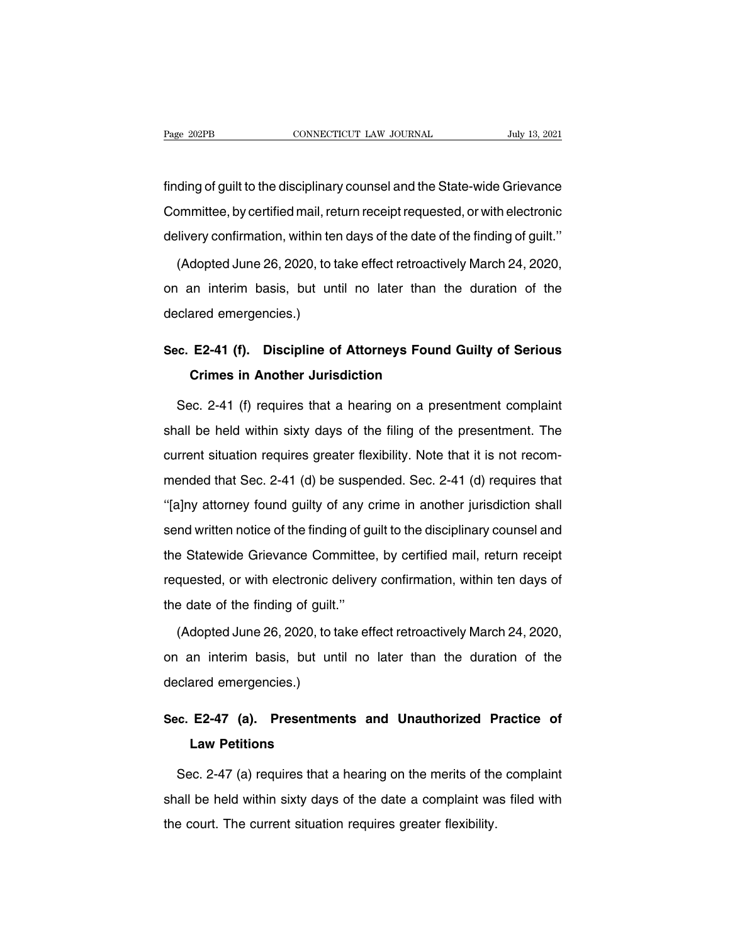Fage 202PB CONNECTICUT LAW JOURNAL July 13, 2021<br>
finding of guilt to the disciplinary counsel and the State-wide Grievance<br>
Committee, by certified mail, return receipt requested, or with electronic Page 202PB CONNECTICUT LAW JOURNAL July 13, 2021<br>
finding of guilt to the disciplinary counsel and the State-wide Grievance<br>
Committee, by certified mail, return receipt requested, or with electronic<br>
delivery confirmation finding of guilt to the disciplinary counsel and the State-wide Grievance<br>Committee, by certified mail, return receipt requested, or with electronic<br>delivery confirmation, within ten days of the date of the finding of guil ding of guilt to the disciplinary counsel and the State-wide Grievance<br>pmmittee, by certified mail, return receipt requested, or with electronic<br>livery confirmation, within ten days of the date of the finding of guilt."<br>(A

Committee, by certified mail, return receipt requested, or with electronic<br>delivery confirmation, within ten days of the date of the finding of guilt."<br>(Adopted June 26, 2020, to take effect retroactively March 24, 2020,<br>o delivery confirmation, within ter (Adopted June 26, 2020, to ta<br>on an interim basis, but unt<br>declared emergencies.) (Adopted June 26, 2020, to take effect retroactively March 24, 2020,<br>on an interim basis, but until no later than the duration of the<br>declared emergencies.)<br>Sec. E2-41 (f). Discipline of Attorneys Found Guilty of Serious<br>C an interim basis, but until no later than the<br>ared emergencies.)<br>**E2-41 (f). Discipline of Attorneys Found<br>Crimes in Another Jurisdiction**<br>ec. 2-41 (f) requires that a bearing on a pres

clared emergencies.)<br>
C. E2-41 (f). Discipline of Attorneys Found Guilty of Serious<br>
Crimes in Another Jurisdiction<br>
Sec. 2-41 (f) requires that a hearing on a presentment complaint<br>
all be held within sixty days of the fi Sec. E2-41 (f). Discipline of Attorneys Found Guilty of Serious<br>Crimes in Another Jurisdiction<br>Sec. 2-41 (f) requires that a hearing on a presentment complaint<br>shall be held within sixty days of the filing of the presentme Crimes in Another Jurisdiction<br>Sec. 2-41 (f) requires that a hearing on a presentment complaint<br>shall be held within sixty days of the filing of the presentment. The<br>current situation requires greater flexibility. Note tha Sec. 2-41 (f) requires that a hearing on a presentment complaint<br>shall be held within sixty days of the filing of the presentment. The<br>current situation requires greater flexibility. Note that it is not recom-<br>mended that shall be held within sixty days of the filing of the presentment. The current situation requires greater flexibility. Note that it is not recommended that Sec. 2-41 (d) be suspended. Sec. 2-41 (d) requires that "[a]ny att send written notice of the suspended. Sec. 2-41 (d) requires that<br>"[a]ny attorney found guilty of any crime in another jurisdiction shall<br>"[a]ny attorney found guilty of any crime in another jurisdiction shall<br>send written batter states requires greater hexibility: roce that it is not recent<br>mended that Sec. 2-41 (d) be suspended. Sec. 2-41 (d) requires that<br>"[a]ny attorney found guilty of any crime in another jurisdiction shall<br>send written "[a]ny attorney found guilty of any crime in another jurisdiction shall<br>
send written notice of the finding of guilt to the disciplinary counsel and<br>
the Statewide Grievance Committee, by certified mail, return receipt<br>
r "[a]ny attorney found guilty of any crime in another jurisdiction shall<br>send written notice of the finding of guilt to the disciplinary counsel and<br>the Statewide Grievance Committee, by certified mail, return receipt<br>reque Example 3 Statewide Grievance Committee, by certified mail, return receipt<br>quested, or with electronic delivery confirmation, within ten days of<br>e date of the finding of guilt."<br>(Adopted June 26, 2020, to take effect retro

requested, or with electronic delivery confirmation, within ten days of<br>the date of the finding of guilt."<br>(Adopted June 26, 2020, to take effect retroactively March 24, 2020,<br>on an interim basis, but until no later than t the date of the finding of guilt.<br>
(Adopted June 26, 2020, to ta<br>
on an interim basis, but unt<br>
declared emergencies.) (Adopted June 26, 2020, to take effect retroactively March 24, 2020,<br>on an interim basis, but until no later than the duration of the<br>declared emergencies.)<br>Sec. E2-47 (a). Presentments and Unauthorized Practice of<br>Law Pet Fram basis, but untaned emergencies.)<br>**E2-47 (a). Presentmer<br>Law Petitions**<br>PC 2-47 (a) requires that a

clared emergencies.)<br> **C. E2-47 (a). Presentments and Unauthorized Practice of**<br> **Law Petitions**<br>
Sec. 2-47 (a) requires that a hearing on the merits of the complaint<br>
all be held within sixty days of the date a complaint Sec. E2-47 (a). Presentments and Unauthorized Practice of<br>Law Petitions<br>Sec. 2-47 (a) requires that a hearing on the merits of the complaint<br>shall be held within sixty days of the date a complaint was filed with<br>the court. Law Petitions<br>Sec. 2-47 (a) requires that a hearing on the merits of the<br>shall be held within sixty days of the date a complaint wa<br>the court. The current situation requires greater flexibility.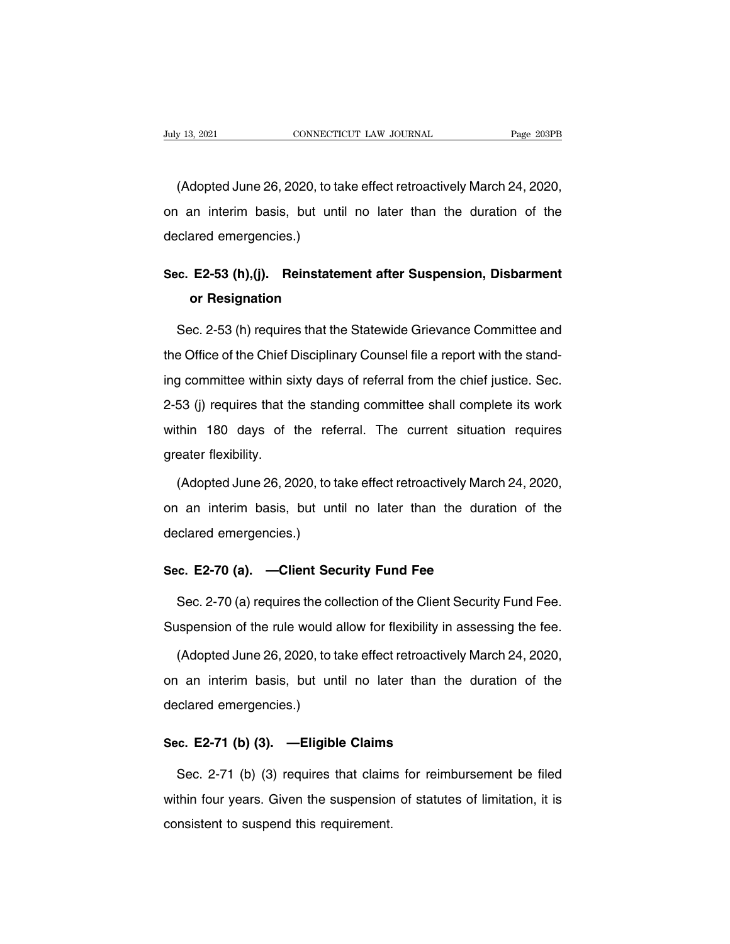Vertiga 13, 2021<br>
CONNECTICUT LAW JOURNAL<br>
(Adopted June 26, 2020, to take effect retroactively March 24, 2020,<br>
An interim basis, but until no later than the duration of the July 13, 2021 CONNECTICUT LAW JOURNAL Page 203PB<br>(Adopted June 26, 2020, to take effect retroactively March 24, 2020,<br>on an interim basis, but until no later than the duration of the<br>declared emergencies.) (Adopted June 26, 2020, to ta<br>on an interim basis, but unt<br>declared emergencies.) (Adopted June 26, 2020, to take effect retroactively March 24, 2020,<br>on an interim basis, but until no later than the duration of the<br>declared emergencies.)<br>Sec. E2-53 (h),(j). Reinstatement after Suspension, Disbarment<br>or an interim basis, but until<br>ared emergencies.)<br>**E2-53 (h),(j). Reinstatement Resignation**<br>ac 2-53 (b) requires that the 9

clared emergencies.)<br>
.c. E2-53 (h),(j). Reinstatement after Suspension, Disbarment<br>
or Resignation<br>
Sec. 2-53 (h) requires that the Statewide Grievance Committee and<br>
e Office of the Chief Disciplinary Counsel file a repo Sec. E2-53 (h), (j). Reinstatement after Suspension, Disbarment<br>or Resignation<br>Sec. 2-53 (h) requires that the Statewide Grievance Committee and<br>the Office of the Chief Disciplinary Counsel file a report with the stand-<br>in or Resignation<br>Sec. 2-53 (h) requires that the Statewide Grievance Committee and<br>the Office of the Chief Disciplinary Counsel file a report with the stand-<br>ing committee within sixty days of referral from the chief justice Sec. 2-53 (h) requires that the Statewide Grievance Committee and<br>the Office of the Chief Disciplinary Counsel file a report with the stand-<br>ing committee within sixty days of referral from the chief justice. Sec.<br>2-53 (j) the Office of the Chief Disciplinary Counsel file a report with the stand-<br>ing committee within sixty days of referral from the chief justice. Sec.<br>2-53 (j) requires that the standing committee shall complete its work<br>with Ing committee within si<br>2-53 (j) requires that the<br>within 180 days of<br>greater flexibility.<br>(Adopted June 26, 20 (a) requires that the standing committee shall complete its work<br>thin 180 days of the referral. The current situation requires<br>eater flexibility.<br>(Adopted June 26, 2020, to take effect retroactively March 24, 2020,<br>an int

within 180 days of the referral. The current situation requires<br>greater flexibility.<br>(Adopted June 26, 2020, to take effect retroactively March 24, 2020,<br>on an interim basis, but until no later than the duration of the<br>dec greater flexibility.<br>
(Adopted June 26, 2020, to ta<br>
on an interim basis, but unt<br>
declared emergencies.) (Adopted June 26, 2020, to take effect retroactively Marc<br>
on an interim basis, but until no later than the durat<br>
declared emergencies.)<br> **Sec. E2-70 (a). —Client Security Fund Fee**<br>
Sec. 2-70 (a) requires the collection

an interim basis, but until no later than the duration of the clared emergencies.)<br>
C. E2-70 (a). —Client Security Fund Fee.<br>
Sec. 2-70 (a) requires the collection of the Client Security Fund Fee.<br>
Ispension of the rule wo declared emergencies.)<br>
Sec. E2-70 (a). —Client Security Fund Fee<br>
Sec. 2-70 (a) requires the collection of the Client Security Fund Fee.<br>
Suspension of the rule would allow for flexibility in assessing the fee.<br>
(Adopted

C. E2-70 (a). —Client Security Fund Fee<br>Sec. 2-70 (a) requires the collection of the Client Security Fund Fee.<br>uspension of the rule would allow for flexibility in assessing the fee.<br>(Adopted June 26, 2020, to take effect Sec. 2-70 (a) requires the collection of the Client Security Fund Fee.<br>Suspension of the rule would allow for flexibility in assessing the fee.<br>(Adopted June 26, 2020, to take effect retroactively March 24, 2020,<br>on an int Suspension of the rule would a<br>
(Adopted June 26, 2020, to ta<br>
on an interim basis, but unt<br>
declared emergencies.) (Adopted June 26, 2020, to take effect retroactivel<br>on an interim basis, but until no later than the<br>declared emergencies.)<br>**Sec. E2-71 (b) (3).** —**Eligible Claims**<br>Sec. 2-71 (b) (3) requires that claims for reimb

an interim basis, but until no later than the duration of the<br>clared emergencies.)<br>**C. E2-71 (b) (3).** —**Eligible Claims**<br>Sec. 2-71 (b) (3) requires that claims for reimbursement be filed<br>thin four years. Given the suspens declared emergencies.)<br>Sec. E2-71 (b) (3). —Eligible Claims<br>Sec. 2-71 (b) (3) requires that claims for reimbursement be filed<br>within four years. Given the suspension of statutes of limitation, it is<br>consistent to suspend t Sec. E2-71 (b) (3). — Eligible Claims<br>Sec. 2-71 (b) (3) requires that claim<br>within four years. Given the suspensior<br>consistent to suspend this requirement.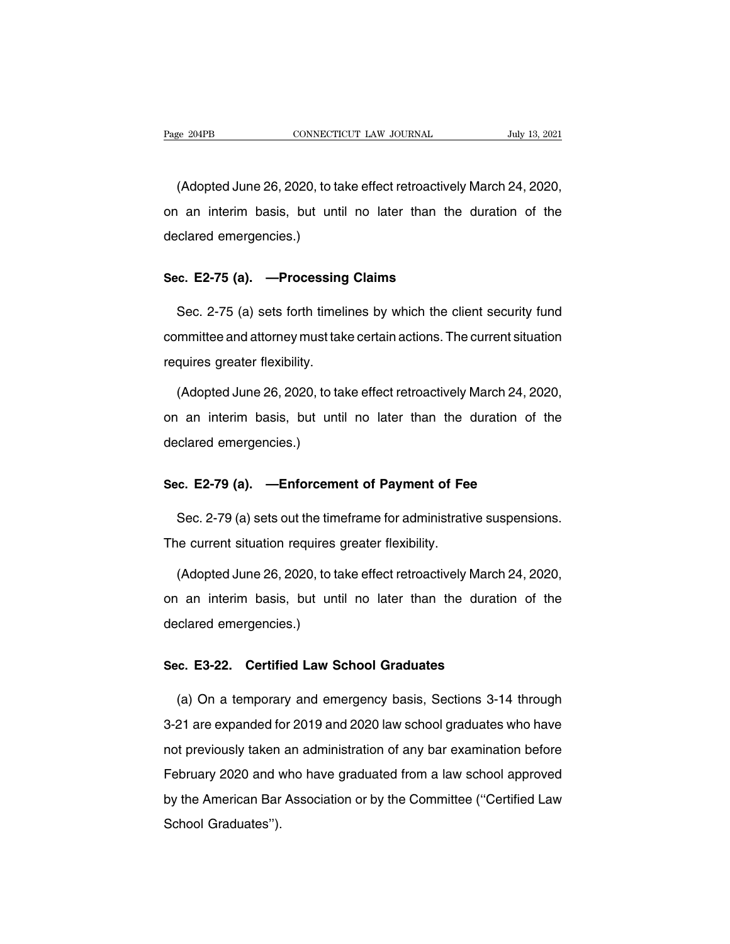EXECTE ANDREAL THE CONSECTION CONNECTION CONNECTION CONSECTION CONSECTION CONSECTION CONSECTION CONSECTION CONSECTION CONSECTION CONSECTION CONSECTION CONSECTION CONSECTION CONSECTION CONSECTION CONSECTION CONSECTION CONSE Page 204PB CONNECTICUT LAW JOURNAL July 13, 2021<br>(Adopted June 26, 2020, to take effect retroactively March 24, 2020,<br>on an interim basis, but until no later than the duration of the<br>declared emergencies.) (Adopted June 26, 2020, to ta<br>on an interim basis, but unt<br>declared emergencies.) (Adopted June 26, 2020, to take effect retroactively<br>on an interim basis, but until no later than the<br>declared emergencies.)<br>**Sec. E2-75 (a). —Processing Claims** 

Sec. 2-75 (a). — Processing Claims<br>Sec. 2-75 (a) sets forth timelines by which the client security fund<br>mmittee and attorney must take certain actions. The current situation Sec. E2-75 (a). —Processing Claims<br>Sec. 2-75 (a) sets forth timelines by which the client security fund<br>committee and attorney must take certain actions. The current situation<br>requires greater flexibility. Sec. E2-75 (a). —Processing<br>Sec. 2-75 (a) sets forth timeli<br>committee and attorney must tak<br>requires greater flexibility.<br>(Adopted June 26, 2020, to tal Sec. 2-75 (a) sets forth timelines by which the client security fund<br>mmittee and attorney must take certain actions. The current situation<br>quires greater flexibility.<br>(Adopted June 26, 2020, to take effect retroactively Ma

committee and attorney must take certain actions. The current situation<br>requires greater flexibility.<br>(Adopted June 26, 2020, to take effect retroactively March 24, 2020,<br>on an interim basis, but until no later than the du requires greater flexibility.<br>(Adopted June 26, 2020, to ta<br>on an interim basis, but unt<br>declared emergencies.) (Adopted June 26, 2020, to take effect retroactively March 24, 20<br>on an interim basis, but until no later than the duration of<br>declared emergencies.)<br>Sec. E2-79 (a). —Enforcement of Payment of Fee<br>Sec. 2.79 (a). orte out t

Sec. 2-79 (a). —Enforcement of Payment of Fee<br>Sec. 2-79 (a) sets out the timeframe for administrative suspensions.<br>Le current situation requires greater flexibility. Sec. E2-79 (a). — Enforcement of Payment of Fernice.<br>Sec. 2-79 (a) sets out the timeframe for administrative.<br>The current situation requires greater flexibility.<br>(Adopted June 26, 2020, to take effect retroactively.)

(c. E2-79 (a). —Enforcement of Payment of Fee<br>Sec. 2-79 (a) sets out the timeframe for administrative suspensions.<br>ne current situation requires greater flexibility.<br>(Adopted June 26, 2020, to take effect retroactively Ma Sec. 2-79 (a) sets out the timeframe for administrative suspensions.<br>The current situation requires greater flexibility.<br>(Adopted June 26, 2020, to take effect retroactively March 24, 2020,<br>on an interim basis, but until n The current situation requires<br>(Adopted June 26, 2020, to ta<br>on an interim basis, but unt<br>declared emergencies.) (Adopted June 26, 2020, to take effect retroactively March 2)<br>on an interim basis, but until no later than the duratio<br>declared emergencies.)<br>Sec. E3-22. Certified Law School Graduates

(a) On a temporary and emergency basis, Sections 3-14 through<br>21 are expanded for 2019 and 2020 law school graduates who have Sec. E3-22. Certified Law School Graduates<br>
(a) On a temporary and emergency basis, Sections 3-14 through<br>
3-21 are expanded for 2019 and 2020 law school graduates who have<br>
not previously taken an administration of any ba Sec. E3-22. Certified Law School Graduates<br>
(a) On a temporary and emergency basis, Sections 3-14 through<br>
3-21 are expanded for 2019 and 2020 law school graduates who have<br>
not previously taken an administration of any ba (a) On a temporary and emergency basis, Sections 3-14 through<br>3-21 are expanded for 2019 and 2020 law school graduates who have<br>not previously taken an administration of any bar examination before<br>February 2020 and who hav (a) Off a temporary and emergoncy sacid, economic of it anough<br>3-21 are expanded for 2019 and 2020 law school graduates who have<br>not previously taken an administration of any bar examination before<br>February 2020 and who ha 3-21 are expanded for 2019 and 2020 law school graduates who have<br>not previously taken an administration of any bar examination before<br>February 2020 and who have graduated from a law school approved<br>by the American Bar Ass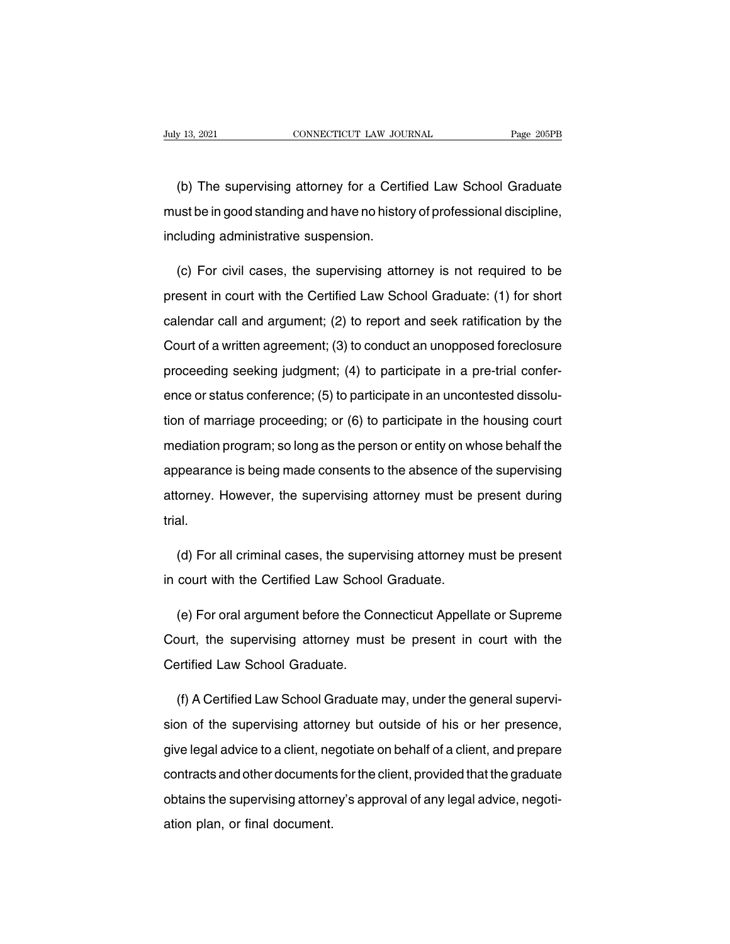Vertiga 13, 2021<br>
(b) The supervising attorney for a Certified Law School Graduate<br>
ust be in good standing and have no history of professional discipline, July 13, 2021 CONNECTICUT LAW JOURNAL Page 205PB<br>
(b) The supervising attorney for a Certified Law School Graduate<br>
must be in good standing and have no history of professional discipline,<br>
including administrative suspens (b) The supervising attorney for a Certinust be in good standing and have no historicluding administrative suspension. (b) The supervising attorney for a Certified Law School Graduate<br>ust be in good standing and have no history of professional discipline,<br>cluding administrative suspension.<br>(c) For civil cases, the supervising attorney is n

must be in good standing and have no history of professional discipline,<br>including administrative suspension.<br>(c) For civil cases, the supervising attorney is not required to be<br>present in court with the Certified Law Scho including administrative suspension.<br>
(c) For civil cases, the supervising attorney is not required to be<br>
present in court with the Certified Law School Graduate: (1) for short<br>
calendar call and argument; (2) to report a (c) For civil cases, the supervising attorney is not required to be<br>present in court with the Certified Law School Graduate: (1) for short<br>calendar call and argument; (2) to report and seek ratification by the<br>Court of a w present in court with the Certified Law School Graduate: (1) for short calendar call and argument; (2) to report and seek ratification by the Court of a written agreement; (3) to conduct an unopposed foreclosure proceedin ence or status conference; (5) to report and seek ratification by the<br>court of a written agreement; (3) to conduct an unopposed foreclosure<br>proceeding seeking judgment; (4) to participate in a pre-trial confer-<br>ence or sta Court of a written agreement; (3) to conduct an unopposed foreclosure<br>proceeding seeking judgment; (4) to participate in a pre-trial confer-<br>ence or status conference; (5) to participate in an uncontested dissolu-<br>tion of proceeding seeking judgment; (4) to participate in a pre-trial conference or status conference; (5) to participate in an uncontested dissolution of marriage proceeding; or (6) to participate in the housing court mediation proceeding cooking judgment, (1) to participate in a provided dissolution of marriage proceeding; or (6) to participate in the housing court mediation program; so long as the person or entity on whose behalf the appearance ation of marriage proceeding; or (6) to participate in an anotheored disolidation of marriage proceeding; or (6) to participate in the housing court mediation program; so long as the person or entity on whose behalf the ap trial. pearance is being made consents to the absence of the supervising<br>torney. However, the supervising attorney must be present during<br>al.<br>(d) For all criminal cases, the supervising attorney must be present<br>court with the Cer attorney. However, the supervising attorney must be<br>trial.<br>(d) For all criminal cases, the supervising attorney m<br>in court with the Certified Law School Graduate.

al.<br>
(d) For all criminal cases, the supervising attorney must be present<br>
court with the Certified Law School Graduate.<br>
(e) For oral argument before the Connecticut Appellate or Supreme<br>
burt, the supervising attorney mu (d) For all criminal cases, the supervising attorney must be present<br>in court with the Certified Law School Graduate.<br>(e) For oral argument before the Connecticut Appellate or Supreme<br>Court, the supervising attorney must b in court with the Certified Law School Graduate.<br>
(e) For oral argument before the Connecticut Appellate or Supreme<br>
Court, the supervising attorney must be present in court with the<br>
Certified Law School Graduate.<br>
(f) A (e) For oral argument before the Connecticut Appellate or Supreme<br>burt, the supervising attorney must be present in court with the<br>ertified Law School Graduate.<br>(f) A Certified Law School Graduate may, under the general su

Court, the supervising attorney must be present in court with the<br>Certified Law School Graduate.<br>(f) A Certified Law School Graduate may, under the general supervi-<br>sion of the supervising attorney but outside of his or he Certified Law School Graduate.<br>
(f) A Certified Law School Graduate may, under the general supervision of the supervising attorney but outside of his or her presence,<br>
give legal advice to a client, negotiate on behalf of (f) A Certified Law School Graduate may, under the general supervision of the supervising attorney but outside of his or her presence, give legal advice to a client, negotiate on behalf of a client, and prepare contracts a (i) A columica Law contoor circuitatio may, and the gonoral odports<br>sion of the supervising attorney but outside of his or her presence,<br>give legal advice to a client, negotiate on behalf of a client, and prepare<br>contracts ation of the experiming attent<br>give legal advice to a client, ne<br>contracts and other documents<br>obtains the supervising attorne<br>ation plan, or final document.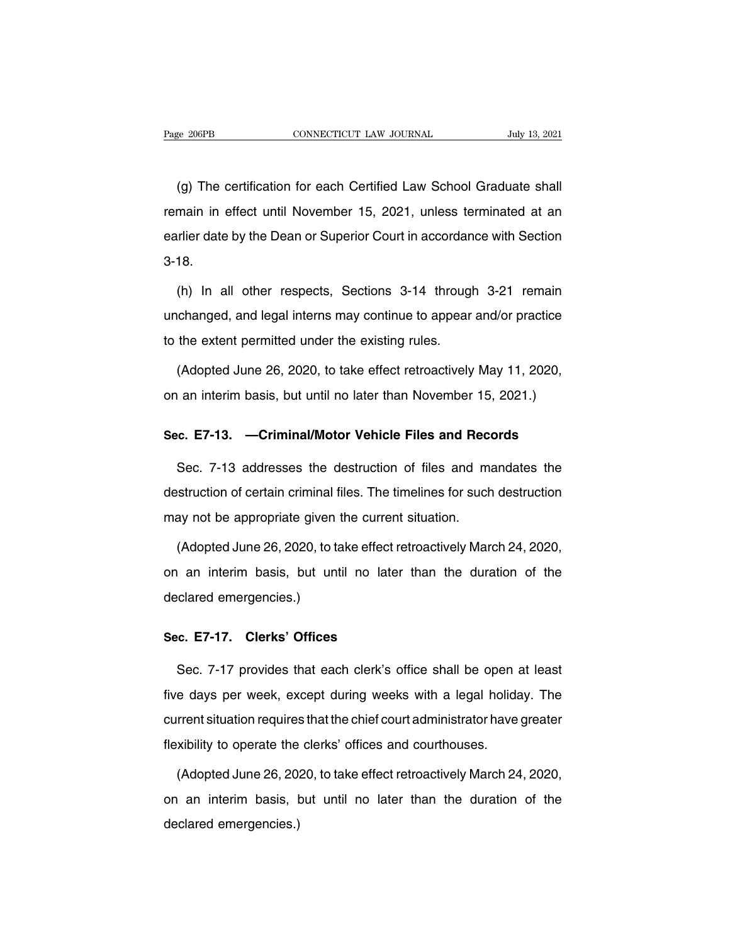EXECTE CONNECTICUT LAW JOURNAL THAY JOURNAL JULY 13, 2021<br>(g) The certification for each Certified Law School Graduate shall<br>main in effect until November 15, 2021, unless terminated at an Page 206PB CONNECTICUT LAW JOURNAL July 13, 2021<br>
(g) The certification for each Certified Law School Graduate shall<br>
remain in effect until November 15, 2021, unless terminated at an<br>
earlier date by the Dean or Superior (g) The certification for each Certified Law School Graduate shall<br>remain in effect until November 15, 2021, unless terminated at an<br>earlier date by the Dean or Superior Court in accordance with Section<br>3-18. 3-18. main in effect until November 15, 2021, unless terminated at an<br>triier date by the Dean or Superior Court in accordance with Section<br>18.<br>(h) In all other respects, Sections 3-14 through 3-21 remain<br>changed, and legal inter

earlier date by the Dean or Superior Court in accordance with Section<br>3-18.<br>(h) In all other respects, Sections 3-14 through 3-21 remain<br>unchanged, and legal interns may continue to appear and/or practice<br>to the extent per 3-18.<br>(h) In all other respects, Sections 3-14 through<br>unchanged, and legal interns may continue to appear<br>to the extent permitted under the existing rules.<br>(Adopted June 26, 2020, to take effect retroactively (h) In all other respects, Sections 3-14 through 3-21 remain changed, and legal interns may continue to appear and/or practice the extent permitted under the existing rules.<br>(Adopted June 26, 2020, to take effect retroact unchanged, and legal interns may continue to appear and/or practice<br>to the extent permitted under the existing rules.<br>(Adopted June 26, 2020, to take effect retroactively May 11, 2020,<br>on an interim basis, but until no lat

to the extent permitted under the existing rules.<br>
(Adopted June 26, 2020, to take effect retroactively May 11, 2020,<br>
on an interim basis, but until no later than November 15, 2021.)<br> **Sec. E7-13. —Criminal/Motor Vehicle** 

(Adopted June 26, 2020, to take effect retroactively may 11, 2020,<br>an interim basis, but until no later than November 15, 2021.)<br>c. E7-13. —Criminal/Motor Vehicle Files and Records<br>Sec. 7-13 addresses the destruction of fi Sec. E7-13. —Criminal/Motor Vehicle Files and Records<br>Sec. 7-13 addresses the destruction of files and mandates the<br>destruction of certain criminal files. The timelines for such destruction<br>may not be appropriate given the Sec. E7-13. — Criminal/Motor Vehicle Files and Rece.<br>Sec. 7-13 addresses the destruction of files and mateuration of certain criminal files. The timelines for such<br>may not be appropriate given the current situation.<br>(Adopt Sec. 7-13 addresses the destruction of files and mandates the struction of certain criminal files. The timelines for such destruction ay not be appropriate given the current situation.<br>(Adopted June 26, 2020, to take effec

destruction of certain criminal files. The timelines for such destruction<br>may not be appropriate given the current situation.<br>(Adopted June 26, 2020, to take effect retroactively March 24, 2020,<br>on an interim basis, but un may not be appropriate given<br>(Adopted June 26, 2020, to ta<br>on an interim basis, but unt<br>declared emergencies.) (Adopted June 26, 2020, to take effect represent to a main interim basis, but until no later declared emergencies.)<br>Sec. E7-17. Clerks' Offices

Sec. 7-17 provides that each clerk's office shall be open at least<br>Sec. 7-17 provides that each clerk's office shall be open at least<br>e days per week, except during weeks with a legal holiday. The Sec. E7-17. Clerks' Offices<br>Sec. 7-17 provides that each clerk's office shall be open at least<br>five days per week, except during weeks with a legal holiday. The<br>current situation requires that the chief court administrator Sec. E7-17. Clerks' Offices<br>Sec. 7-17 provides that each clerk's office shall be open at least<br>five days per week, except during weeks with a legal holiday. The<br>current situation requires that the chief court administrator Sec. 7-17 provides that each clerk's office shall be open a<br>five days per week, except during weeks with a legal holida<br>current situation requires that the chief court administrator have<br>flexibility to operate the clerks' e days per week, except during weeks with a legal holiday. The<br>rrent situation requires that the chief court administrator have greater<br>xibility to operate the clerks' offices and courthouses.<br>(Adopted June 26, 2020, to ta

current situation requires that the chief court administrator have greater<br>flexibility to operate the clerks' offices and courthouses.<br>(Adopted June 26, 2020, to take effect retroactively March 24, 2020,<br>on an interim basi flexibility to operate the<br>(Adopted June 26, 20;<br>on an interim basis, t<br>declared emergencies.)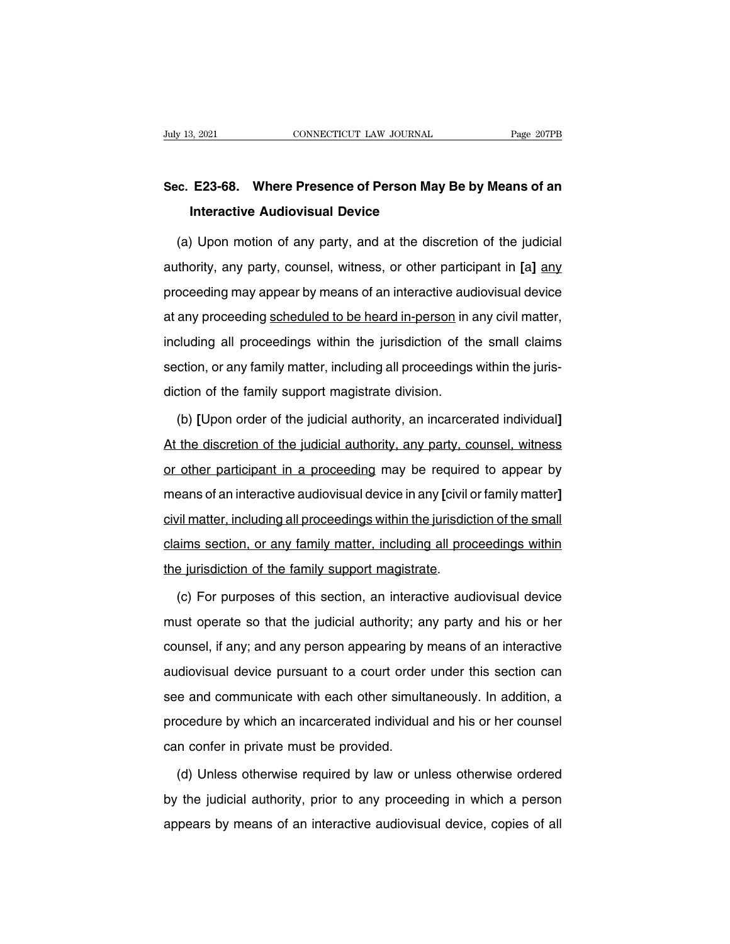## **Suly 13, 2021** CONNECTICUT LAW JOURNAL Page 207PB<br> **Sec. E23-68. Where Presence of Person May Be by Means of an<br>
Interactive Audiovisual Device IMPLE 23-68. Where Presence of Person May**<br> **Interactive Audiovisual Device**<br> **Interactive Audiovisual Device**<br> **I Upon motion of any party and at the disc**

(c. E23-68. Where Presence of Person May Be by Means of an<br>Interactive Audiovisual Device<br>(a) Upon motion of any party, and at the discretion of the judicial<br>Ithority, any party, counsel, witness, or other participant in [ Sec. E23-68. Where Presence of Person May Be by Means of an<br>Interactive Audiovisual Device<br>(a) Upon motion of any party, and at the discretion of the judicial<br>authority, any party, counsel, witness, or other participant in Interactive Audiovisual Device<br>
(a) Upon motion of any party, and at the discretion of the judicial<br>
authority, any party, counsel, witness, or other participant in [a] any<br>
proceeding may appear by means of an interactive (a) Upon motion of any party, and at the discretion of the judicial<br>authority, any party, counsel, witness, or other participant in [a] any<br>proceeding may appear by means of an interactive audiovisual device<br>at any proceed authority, any party, counsel, witness, or other participant in [a] any<br>proceeding may appear by means of an interactive audiovisual device<br>at any proceeding scheduled to be heard in-person in any civil matter,<br>including a proceeding may appear by means of an interactive audiovisual device<br>at any proceeding scheduled to be heard in-person in any civil matter,<br>including all proceedings within the jurisdiction of the small claims<br>section, or a at any proceeding scheduled to be heard in-person in a<br>including all proceedings within the jurisdiction of th<br>section, or any family matter, including all proceedings<br>diction of the family support magistrate division.<br>(b) cluding all proceedings within the jurisdiction of the small claims<br>ction, or any family matter, including all proceedings within the juris-<br>tion of the family support magistrate division.<br>(b) [Upon order of the judicial a

section, or any family matter, including all proceedings within the juris-<br>diction of the family support magistrate division.<br>(b) [Upon order of the judicial authority, an incarcerated individual]<br>At the discretion of the diction of the family support magistrate division.<br>
(b) [Upon order of the judicial authority, an incarcerated individual]<br>
At the discretion of the judicial authority, any party, counsel, witness<br>
or other participant in (b) [Upon order of the judicial authority, an incarcerated individual]<br>At the discretion of the judicial authority, any party, counsel, witness<br>or other participant in a proceeding may be required to appear by<br>means of an (b) [open order or the judicial authority, an included matricular.]<br>At the discretion of the judicial authority, any party, counsel, witness<br>or other participant in a proceeding may be required to appear by<br>means of an int or other participant in a proceeding may be required to appear by<br>means of an interactive audiovisual device in any [civil or family matter]<br>civil matter, including all proceedings within the jurisdiction of the small<br>clai of other participant in a proceeding may be required<br>means of an interactive audiovisual device in any [civil d<br>civil matter, including all proceedings within the jurisdic<br>claims section, or any family matter, including al vil matter, including all proceedings within the jurisdiction of the small<br>aims section, or any family matter, including all proceedings within<br>e jurisdiction of the family support magistrate.<br>(c) For purposes of this sect

claims section, or any family matter, including all proceedings within<br>the jurisdiction of the family support magistrate.<br>(c) For purposes of this section, an interactive audiovisual device<br>must operate so that the judicia the jurisdiction of the family support magistrate.<br>
(c) For purposes of this section, an interactive audiovisual device<br>
must operate so that the judicial authority; any party and his or her<br>
counsel, if any; and any perso (c) For purposes of this section, an interactive audiovisual device<br>must operate so that the judicial authority; any party and his or her<br>counsel, if any; and any person appearing by means of an interactive<br>audiovisual dev (c) For parpected of this economy, and interactive dideovatial device must operate so that the judicial authority; any party and his or her counsel, if any; and any person appearing by means of an interactive audiovisual d procedure by and any person appearing by means of an interactive audiovisual device pursuant to a court order under this section can see and communicate with each other simultaneously. In addition, a procedure by which an courioor, if any, and any person appearing by<br>audiovisual device pursuant to a court order<br>see and communicate with each other simult<br>procedure by which an incarcerated individua<br>can confer in private must be provided.<br>(d) (d) Unless otherwise required by law or unless otherwise ordered the judicial authority, prior to any proceeding in which a person

procedure by which an incarcerated individual and his or her counsel<br>can confer in private must be provided.<br>(d) Unless otherwise required by law or unless otherwise ordered<br>by the judicial authority, prior to any proceedi can confer in private must be provided.<br>
(d) Unless otherwise required by law or unless otherwise ordered<br>
by the judicial authority, prior to any proceeding in which a person<br>
appears by means of an interactive audiovisua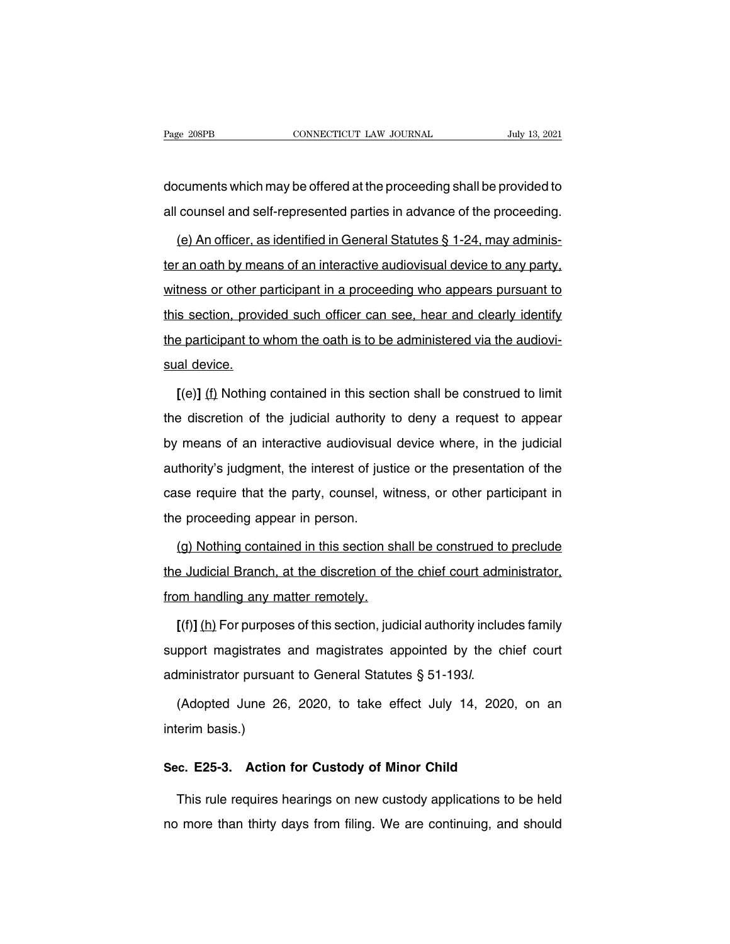Page 208PB<br>
connectricut LAW JOURNAL<br>
documents which may be offered at the proceeding shall be provided to<br>
all counsel and self-represented parties in advance of the proceeding. Page 208PB CONNECTICUT LAW JOURNAL July 13, 2021<br>documents which may be offered at the proceeding shall be provided to<br>all counsel and self-represented parties in advance of the proceeding.<br>(e) An officer, as identified in

cuments which may be offered at the proceeding shall be provided to<br>counsel and self-represented parties in advance of the proceeding.<br>(e) An officer, as identified in General Statutes § 1-24, may adminis-<br>an oath by means documents which may be offered at the proceeding shall be provided to<br>all counsel and self-represented parties in advance of the proceeding.<br>(e) An officer, as identified in General Statutes § 1-24, may adminis-<br>ter an oat all counsel and self-represented parties in advance of the proceeding.<br>
(e) An officer, as identified in General Statutes § 1-24, may adminis-<br>
ter an oath by means of an interactive audiovisual device to any party,<br>
witne (e) An officer, as identified in General Statutes § 1-24, may adminis-<br>ter an oath by means of an interactive audiovisual device to any party,<br>witness or other participant in a proceeding who appears pursuant to<br>this secti ter an oath by means of an interactive audiovisual device to any party, witness or other participant in a proceeding who appears pursuant to this section, provided such officer can see, hear and clearly identify the parti witness or other p<br>this section, provi<br>the participant to v<br>sual device.<br>[(e)] (f) Nothing **Example 15 Section, provided such officer can see, hear and clearly identify**<br> **Example: 2** participant to whom the oath is to be administered via the audiovi-<br> **E(e)]** (f) Nothing contained in this section shall be const

the participant to whom the oath is to be administered via the audiovi-<br>sual device.<br>[(e)] (f) Nothing contained in this section shall be construed to limit<br>the discretion of the judicial authority to deny a request to app sual device.<br>
[(e)] (f) Nothing contained in this section shall be construed to limit<br>
the discretion of the judicial authority to deny a request to appear<br>
by means of an interactive audiovisual device where, in the judic [(e)] (f) Nothing contained in this section shall be construed to limit<br>the discretion of the judicial authority to deny a request to appear<br>by means of an interactive audiovisual device where, in the judicial<br>authority's the discretion of the judicial authority to deny a request to appear<br>by means of an interactive audiovisual device where, in the judicial<br>authority's judgment, the interest of justice or the presentation of the<br>case requi the discretion of the jadiotal datholity<br>by means of an interactive audiovisual<br>authority's judgment, the interest of jus<br>case require that the party, counsel, w<br>the proceeding appear in person.<br>(q) Nothing contained in th (the interest of justice or the presentation of the<br>se require that the party, counsel, witness, or other participant in<br>e proceeding appear in person.<br>(g) Nothing contained in this section shall be construed to preclude<br>a

case require that the party, counsel, witness, or other participant in<br>the proceeding appear in person.<br>(g) Nothing contained in this section shall be construed to preclude<br>the Judicial Branch, at the discretion of the chi the proceeding appear in person.<br>
(g) Nothing contained in this section sh<br>
the Judicial Branch, at the discretion of the<br>
from handling any matter remotely.<br>
[(f)] (h) For purposes of this section, judi (g) Nothing contained in this section shall be construed to preclude<br>
a Judicial Branch, at the discretion of the chief court administrator,<br>
I(f)] (h) For purposes of this section, judicial authority includes family<br>
ppor

the Judicial Branch, at the discretion of the chief court administrator,<br>from handling any matter remotely.<br>
[(f)] (h) For purposes of this section, judicial authority includes family<br>
support magistrates and magistrates a from handling any matter remotely.<br>  $[(f)] (h)$  For purposes of this section, judicial authority includes family<br>
support magistrates and magistrates appointed by the chief court<br>
administrator pursuant to General Statutes § support magistrates<br>administrator pursual<br>(Adopted June 26<br>interim basis.)

administrator pursuant to General Statutes § 51-193*l*.<br>
(Adopted June 26, 2020, to take effect July 14, 2020, c<br>
interim basis.)<br>
Sec. **E25-3. Action for Custody of Minor Child**<br>
This rule requires bearings on new custody

(Adopted June 26, 2020, to take effect July 14, 2020, on an<br>erim basis.)<br>c. E25-3. Action for Custody of Minor Child<br>This rule requires hearings on new custody applications to be held<br>more than thirty days from filing. We Interim basis.)<br>Sec. E25-3. Action for Custody of Minor Child<br>This rule requires hearings on new custody applications to be held<br>no more than thirty days from filing. We are continuing, and should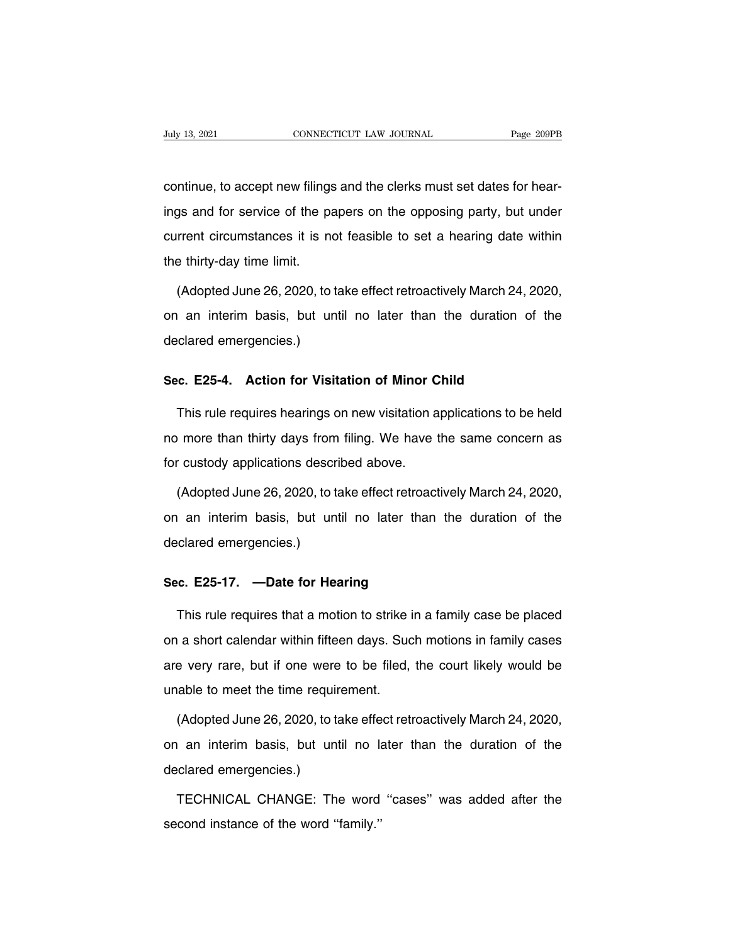CONNECTICUT LAW JOURNAL Page 209PB<br>continue, to accept new filings and the clerks must set dates for hear-<br>ings and for service of the papers on the opposing party, but under July 13, 2021 CONNECTICUT LAW JOURNAL Page 209PB<br>continue, to accept new filings and the clerks must set dates for hear-<br>ings and for service of the papers on the opposing party, but under<br>current circumstances it is not f continue, to accept new filings and the clerks must set dates for hearings and for service of the papers on the opposing party, but under current circumstances it is not feasible to set a hearing date within the thirty-day continue, to accept new filings<br>ings and for service of the particulary<br>current circumstances it is not<br>the thirty-day time limit.<br>(Adopted June 26, 2020, to So and for service of the papers on the opposing party, but under<br>
rrent circumstances it is not feasible to set a hearing date within<br>
e thirty-day time limit.<br>
(Adopted June 26, 2020, to take effect retroactively March 2

current circumstances it is not feasible to set a hearing date within<br>the thirty-day time limit.<br>(Adopted June 26, 2020, to take effect retroactively March 24, 2020,<br>on an interim basis, but until no later than the duratio the thirty-day time limit.<br>
(Adopted June 26, 2020, to ta<br>
on an interim basis, but unt<br>
declared emergencies.) (Adopted June 26, 2020, to take effect retroactively March 24, 2<br>on an interim basis, but until no later than the duration of<br>declared emergencies.)<br>Sec. E25-4. Action for Visitation of Minor Child<br>This rule requires begri

This rule requires hearings on new visitation applications to be held<br>This rule requires hearings on new visitation applications to be held<br>This rule requires hearings on new visitation applications to be held<br>of more than Sec. E25-4. Action for Visitation of Minor Child<br>This rule requires hearings on new visitation applications to be held<br>no more than thirty days from filing. We have the same concern as<br>for custody applications described ab Sec. E25-4. Action for Visitation of Minor C<br>This rule requires hearings on new visitation a<br>no more than thirty days from filing. We have to<br>for custody applications described above.<br>(Adopted June 26, 2020, to take effect This rule requires hearings on new visitation applications to be held<br>o more than thirty days from filing. We have the same concern as<br>r custody applications described above.<br>(Adopted June 26, 2020, to take effect retroact

no more than thirty days from filing. We have the same concern as<br>for custody applications described above.<br>(Adopted June 26, 2020, to take effect retroactively March 24, 2020,<br>on an interim basis, but until no later than for custody applications descri<br>(Adopted June 26, 2020, to ta<br>on an interim basis, but unt<br>declared emergencies.) (Adopted June 26, 2020, to take effect retroact<br>on an interim basis, but until no later than<br>declared emergencies.)<br>**Sec. E25-17.** —**Date for Hearing**<br>This rule requires that a motion to strike in a f

rear interim basis, but until no later than the duration of the<br>clared emergencies.)<br>c. E25-17. —Date for Hearing<br>This rule requires that a motion to strike in a family case be placed<br>a short calendar within fifteen days. Sec. E25-17. —Date for Hearing<br>
This rule requires that a motion to strike in a family case be placed<br>
on a short calendar within fifteen days. Such motions in family cases<br>
are very rare, but if one were to be filed, the Sec. E25-17. —Date for Hearing<br>This rule requires that a motion to strike in a family case be placed<br>on a short calendar within fifteen days. Such motions in family cases<br>are very rare, but if one were to be filed, the cou This rule requires that a motion to strike ion a short calendar within fifteen days. Sud<br>are very rare, but if one were to be filed,<br>unable to meet the time requirement.<br>(Adopted June 26, 2020, to take effect retic (Adopted June 26, 2020, to take effect retroactively March 24, 2020, an interim basis, but until no later than the duration of the

are very rare, but if one were to be filed, the court likely would be<br>unable to meet the time requirement.<br>(Adopted June 26, 2020, to take effect retroactively March 24, 2020,<br>on an interim basis, but until no later than t unable to meet the time requir<br>(Adopted June 26, 2020, to ta<br>on an interim basis, but unt<br>declared emergencies.)<br>TECHNICAL CHANGE: The (Adopted June 26, 2020, to take effect retroactively March 24, 2020,<br>
an interim basis, but until no later than the duration of the<br>
clared emergencies.)<br>
TECHNICAL CHANGE: The word "cases" was added after the<br>
cond instan on an interim basis, but until no k<br>declared emergencies.)<br>TECHNICAL CHANGE: The word<br>second instance of the word "family."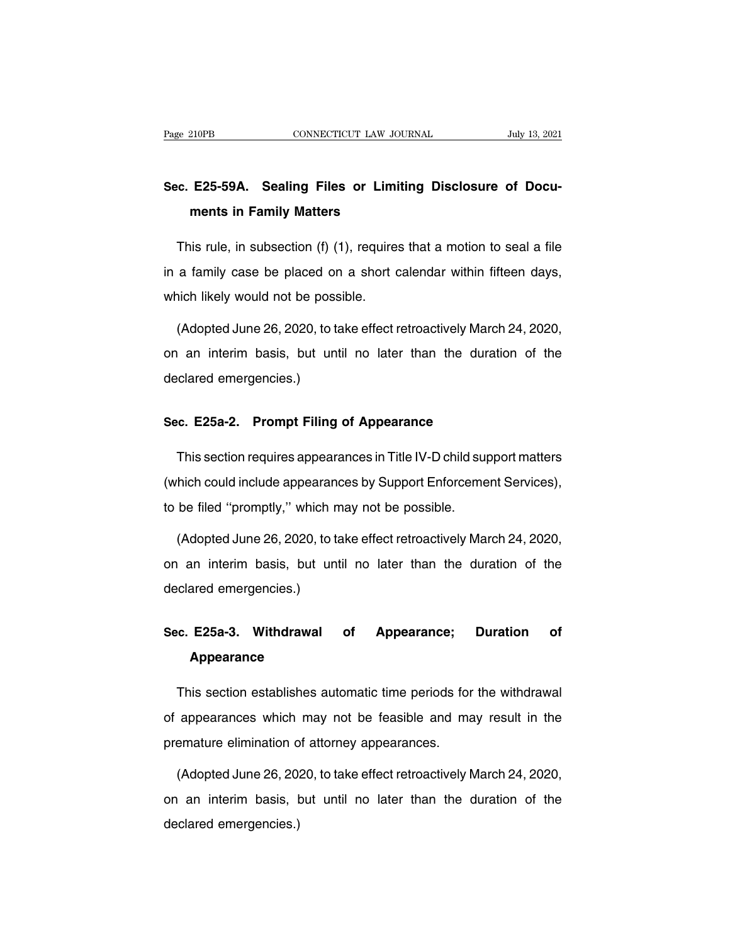## Page 210PB CONNECTICUT LAW JOURNAL July 13, 2021<br> **Sec. E25-59A. Sealing Files or Limiting Disclosure of Docu-**<br> **Sec. E25-59A. Sealing Files or Limiting Disclosure of Docu-EXECUTE CONNECTICUT LAW JOURNAL CONNECTICUT LAW JOURNAL SERVICE SET SERVICE SET SERVICE SERVICE SERVICE SERVICE SERVICE SERVICE SERVICE SERVICE SERVICE SERVICE SERVICE SERVICE SERVICE SERVICE SERVICE SERVICE SERVICE SERVI**

e. E25-59A. Sealing Files or Limiting Disclosure of Documents in Family Matters<br>This rule, in subsection (f) (1), requires that a motion to seal a file<br>a family case be placed on a short calendar within fifteen days, Sec. E25-59A. Sealing Files or Limiting Disclosure of Documents in Family Matters<br>This rule, in subsection (f) (1), requires that a motion to seal a file<br>in a family case be placed on a short calendar within fifteen days,<br> ments in Family Matters<br>This rule, in subsection (f) (1), require<br>in a family case be placed on a short of<br>which likely would not be possible.<br>(Adopted lune 26, 2020, to take effect to This rule, in subsection (f) (1), requires that a motion to seal a file<br>a family case be placed on a short calendar within fifteen days,<br>nich likely would not be possible.<br>(Adopted June 26, 2020, to take effect retroactiv

in a family case be placed on a short calendar within fifteen days,<br>which likely would not be possible.<br>(Adopted June 26, 2020, to take effect retroactively March 24, 2020,<br>on an interim basis, but until no later than the which likely would not be poss<br>(Adopted June 26, 2020, to ta<br>on an interim basis, but unt<br>declared emergencies.) (Adopted June 26, 2020, to take effect retroactively Marc<br>on an interim basis, but until no later than the durat<br>declared emergencies.)<br>Sec. E25a-2. Prompt Filing of Appearance

clared emergencies.)<br> **E. E25a-2. Prompt Filing of Appearance**<br>
This section requires appearances in Title IV-D child support matters<br>
hich could include appearances by Support Enforcement Services), Sec. E25a-2. Prompt Filing of Appearance<br>
This section requires appearances in Title IV-D child support matters<br>
(which could include appearances by Support Enforcement Services),<br>
to be filed "promptly," which may not be Sec. E25a-2. Prompt Filing of Appearance<br>This section requires appearances in Title IV-D child sup<br>(which could include appearances by Support Enforceme<br>to be filed "promptly," which may not be possible.<br>(Adopted June 26, This section requires appearances in Title IV-D child support matters<br>hich could include appearances by Support Enforcement Services),<br>be filed "promptly," which may not be possible.<br>(Adopted June 26, 2020, to take effect

(which could include appearances by Support Enforcement Services),<br>to be filed "promptly," which may not be possible.<br>(Adopted June 26, 2020, to take effect retroactively March 24, 2020,<br>on an interim basis, but until no l to be filed "promptly," which m<br>(Adopted June 26, 2020, to ta<br>on an interim basis, but unt<br>declared emergencies.) (Adopted June 26, 2020, to take effect retroactively March 24, 2020,<br>on an interim basis, but until no later than the duration of the<br>declared emergencies.)<br>Sec. E25a-3. Withdrawal of Appearance; Duration of<br>Appearance

## **Appearance**

e. E25a-3. Withdrawal of Appearance; Duration of<br>Appearance<br>This section establishes automatic time periods for the withdrawal<br>appearances which may not be feasible and may result in the Sec. E25a-3. Withdrawal of Appearance; Duration of<br>Appearance<br>This section establishes automatic time periods for the withdrawal<br>of appearances which may not be feasible and may result in the<br>premature elimination of attor Appearance<br>This section establishes automatic time periods for<br>of appearances which may not be feasible and ma<br>premature elimination of attorney appearances.<br>(Adopted lune 26, 2020, to take effect retroactively) This section establishes automatic time periods for the withdrawal<br>appearances which may not be feasible and may result in the<br>emature elimination of attorney appearances.<br>(Adopted June 26, 2020, to take effect retroactive

of appearances which may not be feasible and may result in the<br>premature elimination of attorney appearances.<br>(Adopted June 26, 2020, to take effect retroactively March 24, 2020,<br>on an interim basis, but until no later tha premature elimination o<br>(Adopted June 26, 20;<br>on an interim basis, t<br>declared emergencies.)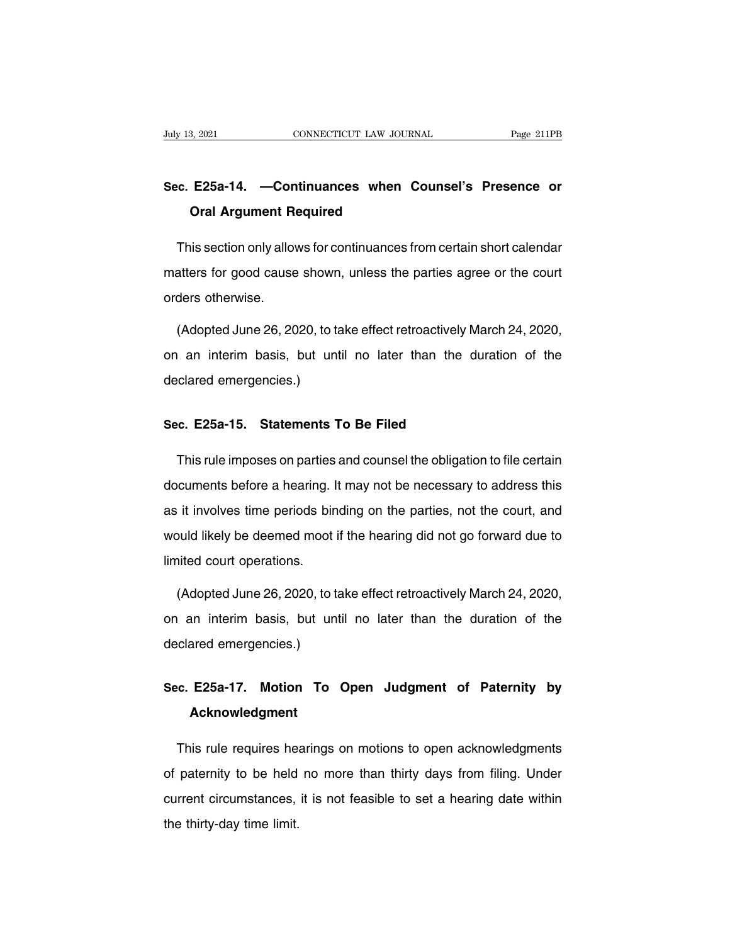## **Sec. E25a-14. —Continuances when Counsel's Presence or CONNECTICUT LAW JOUR**<br> **E25a-14.** — Continuances when C<br>
Oral Argument Required

c. E25a-14. —Continuances when Counsel's Presence or<br>Oral Argument Required<br>This section only allows for continuances from certain short calendar<br>atters for good cause shown, unless the parties agree or the court Sec. E25a-14. —Continuances when Counsel's Presence or<br>Oral Argument Required<br>This section only allows for continuances from certain short calendar<br>matters for good cause shown, unless the parties agree or the court<br>orders **Oral Argument Re**<br>This section only allow<br>matters for good cause<br>orders otherwise. This section only allows for continuances from certain short calendar<br>atters for good cause shown, unless the parties agree or the court<br>ders otherwise.<br>(Adopted June 26, 2020, to take effect retroactively March 24, 2020,<br>

matters for good cause shown, unless the parties agree or the court<br>orders otherwise.<br>(Adopted June 26, 2020, to take effect retroactively March 24, 2020,<br>on an interim basis, but until no later than the duration of the<br>de orders otherwise.<br>
(Adopted June 26, 2020, to ta<br>
on an interim basis, but unt<br>
declared emergencies.) (Adopted June 26, 2020, to take effect retroactively M<br>on an interim basis, but until no later than the di<br>declared emergencies.)<br>Sec. E25a-15. Statements To Be Filed

clared emergencies.)<br> **E. E25a-15. Statements To Be Filed**<br>
This rule imposes on parties and counsel the obligation to file certain<br>
cuments before a hearing. It may not be necessary to address this Sec. E25a-15. Statements To Be Filed<br>This rule imposes on parties and counsel the obligation to file certain<br>documents before a hearing. It may not be necessary to address this<br>as it involves time periods binding on the pa Sec. E25a-15. Statements To Be Filed<br>This rule imposes on parties and counsel the obligation to file certain<br>documents before a hearing. It may not be necessary to address this<br>as it involves time periods binding on the pa This rule imposes on parties and counsel the obligation to file certain<br>documents before a hearing. It may not be necessary to address this<br>as it involves time periods binding on the parties, not the court, and<br>would likel This rule imposes on parties and counsel the obligation to file certain<br>documents before a hearing. It may not be necessary to address this<br>as it involves time periods binding on the parties, not the court, and<br>would likel It involves time periods binding on the parties, not the court, and<br>buld likely be deemed moot if the hearing did not go forward due to<br>ited court operations.<br>(Adopted June 26, 2020, to take effect retroactively March 24,

would likely be deemed moot if the hearing did not go forward due to<br>limited court operations.<br>(Adopted June 26, 2020, to take effect retroactively March 24, 2020,<br>on an interim basis, but until no later than the duration limited court operations.<br>(Adopted June 26, 2020, to ta<br>on an interim basis, but unt<br>declared emergencies.) (Adopted June 26, 2020, to take effect retroactively March 24, 2020,<br>on an interim basis, but until no later than the duration of the<br>declared emergencies.)<br>Sec. E25a-17. Motion To Open Judgment of Paternity by<br>Acknowledgm

## **Acknowledgment**

c. E25a-17. Motion To Open Judgment of Paternity by<br>Acknowledgment<br>This rule requires hearings on motions to open acknowledgments<br>paternity to be held no more than thirty days from filing. Under Sec. E25a-17. Motion To Open Judgment of Paternity by<br>Acknowledgment<br>This rule requires hearings on motions to open acknowledgments<br>of paternity to be held no more than thirty days from filing. Under<br>current circumstances, Acknowledgment<br>This rule requires hearings on motions to open acknowledgments<br>of paternity to be held no more than thirty days from filing. Under<br>current circumstances, it is not feasible to set a hearing date within<br>the t This rule requires head<br>of paternity to be held<br>current circumstances,<br>the thirty-day time limit.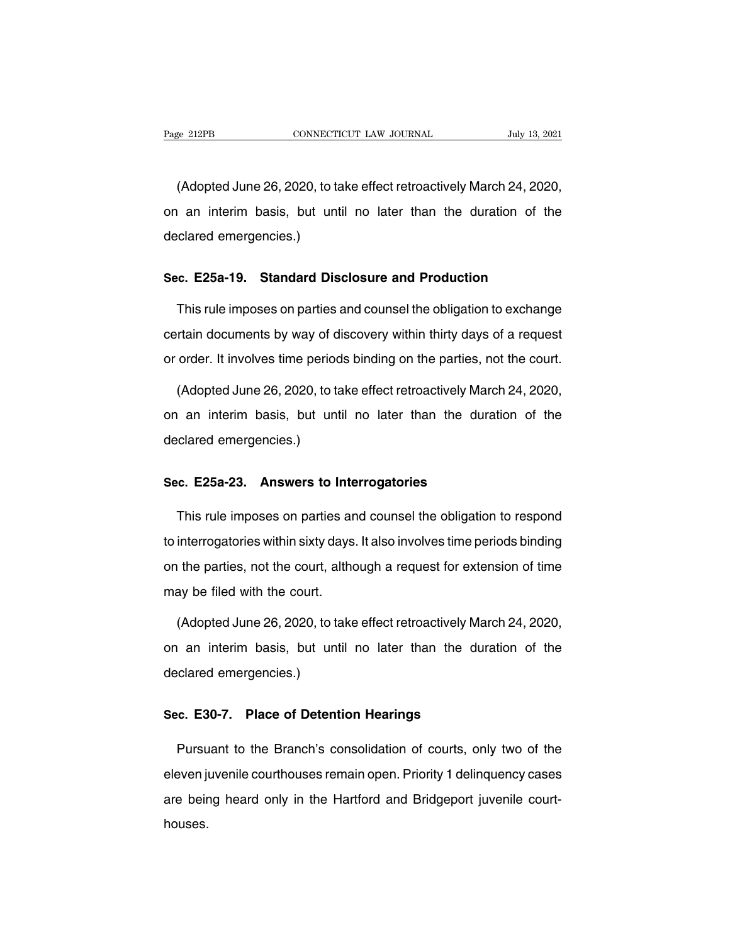EXECTE ANDRESS THE CONSECTION CONNECTION CONSECTION CONSECTION CONSECTION CONSECTION CONSECTION CONSECTION CONSECTION CONSECTION CONSECTION CONSECTION CONSECTION CONSECTION CONSECTION CONSECTION CONSECTION CONSECTION CONSE Page 212PB CONNECTICUT LAW JOURNAL July 13, 2021<br>(Adopted June 26, 2020, to take effect retroactively March 24, 2020,<br>on an interim basis, but until no later than the duration of the<br>declared emergencies.) (Adopted June 26, 2020, to ta<br>on an interim basis, but unt<br>declared emergencies.) (Adopted June 26, 2020, to take effect retroactively March 24, 2020,<br>on an interim basis, but until no later than the duration of the<br>declared emergencies.)<br>Sec. E25a-19. Standard Disclosure and Production<br>This rule impose

The internal basis, but until no later than the duration of the<br>clared emergencies.)<br>c. E25a-19. Standard Disclosure and Production<br>This rule imposes on parties and counsel the obligation to exchange<br>rtain documents by way Sec. E25a-19. Standard Disclosure and Production<br>This rule imposes on parties and counsel the obligation to exchange<br>certain documents by way of discovery within thirty days of a request<br>or order. It involves time periods Sec. E25a-19. Standard Disclosure and Production<br>This rule imposes on parties and counsel the obligation to exchange<br>certain documents by way of discovery within thirty days of a request<br>or order. It involves time periods This rule imposes on parties and counsel the obligation to exchange<br>rtain documents by way of discovery within thirty days of a request<br>order. It involves time periods binding on the parties, not the court.<br>(Adopted June 2

certain documents by way of discovery within thirty days of a request<br>or order. It involves time periods binding on the parties, not the court.<br>(Adopted June 26, 2020, to take effect retroactively March 24, 2020,<br>on an int or order. It involves time period<br>(Adopted June 26, 2020, to ta<br>on an interim basis, but unt<br>declared emergencies.) (Adopted June 26, 2020, to take effect retroactively Marmon an interim basis, but until no later than the durated<br>declared emergencies.)<br>Sec. E25a-23. Answers to Interrogatories

This rule imposes on parties and counsel the obligation to respond<br>interrogatories<br>This rule imposes on parties and counsel the obligation to respond<br>interrogatories within sixty days. It also involves time periods binding Sec. E25a-23. Answers to Interrogatories<br>This rule imposes on parties and counsel the obligation to respond<br>to interrogatories within sixty days. It also involves time periods binding<br>on the parties, not the court, althoug Sec. E25a-23. Answers to Interrogatories<br>This rule imposes on parties and counsel the obligation to respond<br>to interrogatories within sixty days. It also involves time periods binding<br>on the parties, not the court, althoug This rule imposes on parties are<br>to interrogatories within sixty days<br>on the parties, not the court, altho<br>may be filed with the court.<br>(Adopted June 26, 2020, to take interrogatories within sixty days. It also involves time periods binding<br>
1 the parties, not the court, although a request for extension of time<br>
29 to take effect retroactively March 24, 2020,<br>
1 an interim basis, but unt

on the parties, not the court, although a request for extension of time<br>may be filed with the court.<br>(Adopted June 26, 2020, to take effect retroactively March 24, 2020,<br>on an interim basis, but until no later than the dur may be filed with the court.<br>(Adopted June 26, 2020, to ta<br>on an interim basis, but unt<br>declared emergencies.) (Adopted June 26, 2020, to take effect retroactively Ma<br>on an interim basis, but until no later than the dured<br>declared emergencies.)<br>Sec. E30-7. Place of Detention Hearings

Pursuant to the Branch's consolidation of courts, only two of the Branch's consolidation of courts, only two of the Branch's consolidation of courts, only two of the even juvenile courthouses remain open. Priority 1 delinq Sec. E30-7. Place of Detention Hearings<br>Pursuant to the Branch's consolidation of courts, only two of the<br>eleven juvenile courthouses remain open. Priority 1 delinquency cases<br>are being heard only in the Hartford and Bridg Sec. E30-7. Place of Detention Hearings<br>Pursuant to the Branch's consolidation of courts, only two of the<br>eleven juvenile courthouses remain open. Priority 1 delinquency cases<br>are being heard only in the Hartford and Bridg houses.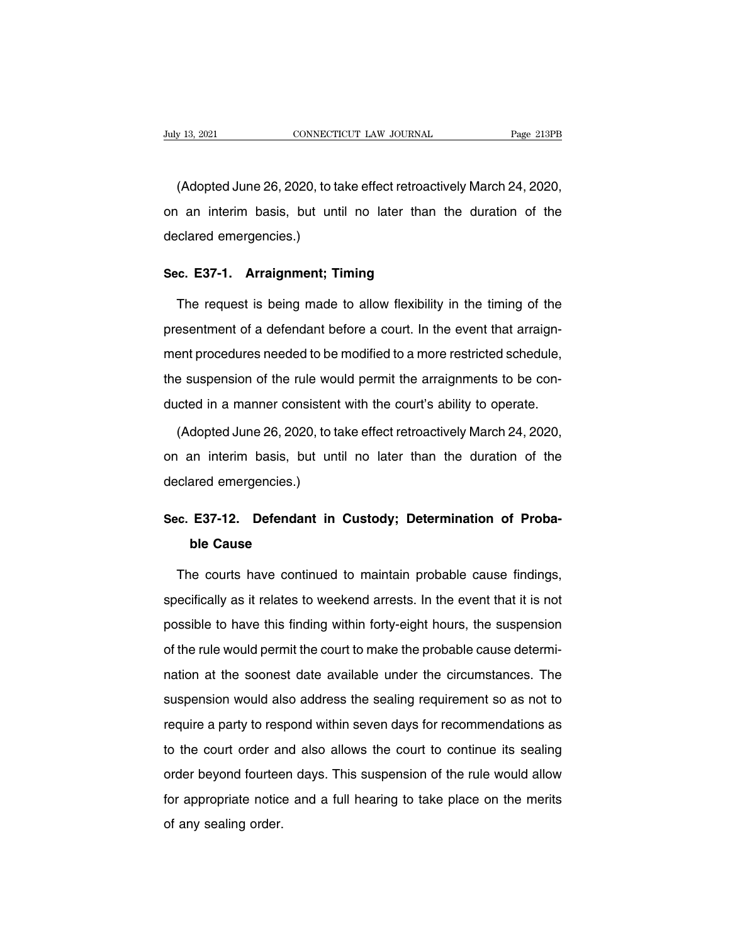Vector 13, 2021<br>
CONNECTICUT LAW JOURNAL Page 213PB<br>
(Adopted June 26, 2020, to take effect retroactively March 24, 2020,<br>
A an interim basis, but until no later than the duration of the July 13, 2021 CONNECTICUT LAW JOURNAL Page 213PB<br>(Adopted June 26, 2020, to take effect retroactively March 24, 2020,<br>on an interim basis, but until no later than the duration of the<br>declared emergencies.) (Adopted June 26, 2020, to ta<br>
on an interim basis, but unt<br>
declared emergencies.) (Adopted June 26, 2020, to take effect retroactiv<br>on an interim basis, but until no later than t<br>declared emergencies.)<br>**Sec. E37-1. Arraignment; Timing**<br>The request is being made to allow flexibility

I an interim basis, but until no later than the duration of the<br>clared emergencies.)<br>c. E37-1. Arraignment; Timing<br>The request is being made to allow flexibility in the timing of the<br>esentment of a defendant before a court declared emergencies.)<br>
Sec. E37-1. Arraignment; Timing<br>
The request is being made to allow flexibility in the timing of the<br>
presentment of a defendant before a court. In the event that arraign-<br>
ment procedures needed to Sec. E37-1. Arraignment; Timing<br>The request is being made to allow flexibility in the timing of the<br>presentment of a defendant before a court. In the event that arraign-<br>ment procedures needed to be modified to a more rest The request is being made to allow flexibility in the timing of the presentment of a defendant before a court. In the event that arraignment procedures needed to be modified to a more restricted schedule, the suspension of presentment of a defendant before a court. In the event that arraignment procedures needed to be modified to a more restricted schedule, the suspension of the rule would permit the arraignments to be conducted in a manner Superifyrical procedures needed to be modified to a more restricted schedule,<br>
A suspension of the rule would permit the arraignments to be con-<br>
cted in a manner consistent with the court's ability to operate.<br>
(Adopted J

the suspension of the rule would permit the arraignments to be con-<br>ducted in a manner consistent with the court's ability to operate.<br>(Adopted June 26, 2020, to take effect retroactively March 24, 2020,<br>on an interim basi ducted in a manner consistent<br>
(Adopted June 26, 2020, to ta<br>
on an interim basis, but unt<br>
declared emergencies.) (Adopted June 26, 2020, to take effect retroactively March 24, 2020, on an interim basis, but until no later than the duration of the declared emergencies.)<br> **Sec. E37-12. Defendant in Custody; Determination of Proba-**<br> **D** Frame Dasis, but<br>**ble Cause**<br>**E37-12. Defendant<br>ble Cause**<br>Re courts have continue

clared emergencies.)<br>
c. E37-12. Defendant in Custody; Determination of Proba-<br>
ble Cause<br>
The courts have continued to maintain probable cause findings,<br>
ecifically as it relates to weekend arrests. In the event that it i Sec. E37-12. Defendant in Custody; Determination of Proba-<br>ble Cause<br>The courts have continued to maintain probable cause findings,<br>specifically as it relates to weekend arrests. In the event that it is not<br>possible to hav ble Cause<br>The courts have continued to maintain probable cause findings,<br>specifically as it relates to weekend arrests. In the event that it is not<br>possible to have this finding within forty-eight hours, the suspension<br>of The courts have continued to maintain probable cause findings, specifically as it relates to weekend arrests. In the event that it is not possible to have this finding within forty-eight hours, the suspension of the rule w specifically as it relates to weekend arrests. In the event that it is not<br>possible to have this finding within forty-eight hours, the suspension<br>of the rule would permit the court to make the probable cause determi-<br>natio possible to have this finding within forty-eight hours, the suspension<br>of the rule would permit the court to make the probable cause determi-<br>nation at the soonest date available under the circumstances. The<br>suspension wou require a party to respond within seven days for recommendation at the soonest date available under the circumstances. The suspension would also address the sealing requirement so as not to require a party to respond withi to the rate weata permit the court to frake the probable dated doterm<br>nation at the soonest date available under the circumstances. The<br>suspension would also address the sealing requirement so as not to<br>require a party to suspension would also address the sealing requirement so as not to require a party to respond within seven days for recommendations as<br>to the court order and also allows the court to continue its sealing<br>order beyond fourt Frequire a party to respond within seven days for recommendations as<br>to the court order and also allows the court to continue its sealing<br>order beyond fourteen days. This suspension of the rule would allow<br>for appropriate For a party to red<br>to the court order are<br>order beyond fourtee<br>for appropriate notice<br>of any sealing order.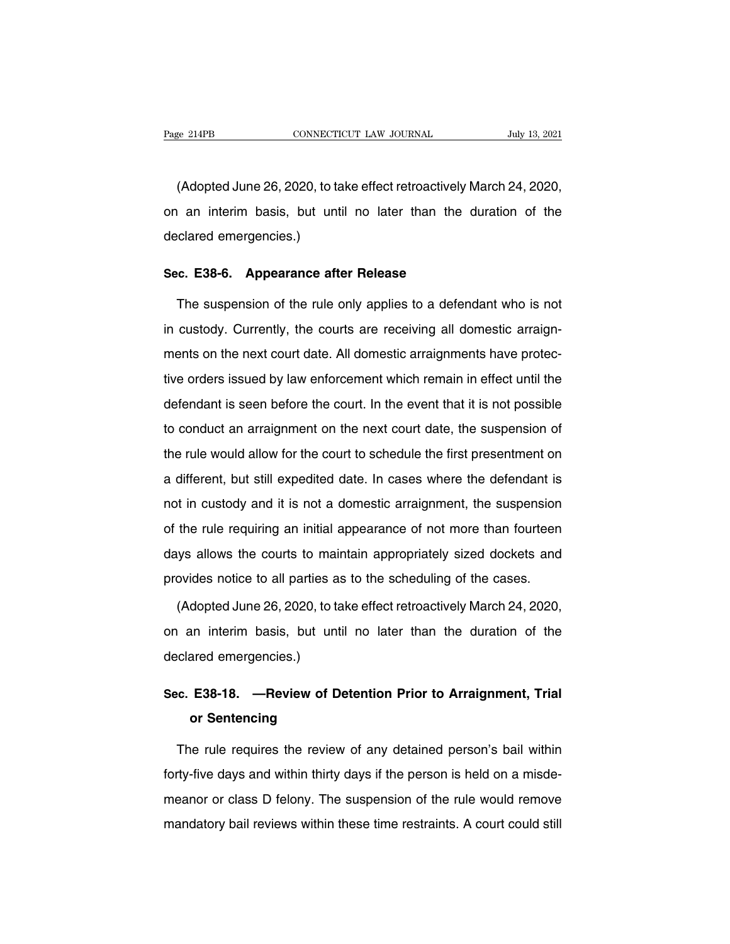SE 214PB<br>
CONNECTICUT LAW JOURNAL<br>
(Adopted June 26, 2020, to take effect retroactively March 24, 2020,<br>
an interim basis, but until no later than the duration of the Page 214PB CONNECTICUT LAW JOURNAL July 13, 2021<br>(Adopted June 26, 2020, to take effect retroactively March 24, 2020,<br>on an interim basis, but until no later than the duration of the<br>declared emergencies.) (Adopted June 26, 2020, to ta<br>on an interim basis, but unt<br>declared emergencies.) (Adopted June 26, 2020, to take effect retroactively lon an interim basis, but until no later than the declared emergencies.)<br>Sec. **E38-6.** Appearance after Release<br>The suspension of the rule only applies to a defen

I an interim basis, but until no later than the duration of the clared emergencies.)<br> **EXEC E38-6.** Appearance after Release<br>
The suspension of the rule only applies to a defendant who is not<br>
custody. Currently, the court declared emergencies.)<br>
Sec. E38-6. Appearance after Release<br>
The suspension of the rule only applies to a defendant who is not<br>
in custody. Currently, the courts are receiving all domestic arraign-<br>
ments on the next cour Sec. E38-6. Appearance after Release<br>The suspension of the rule only applies to a defendant who is not<br>in custody. Currently, the courts are receiving all domestic arraign-<br>ments on the next court date. All domestic arraig The suspension of the rule only applies to a defendant who is not<br>in custody. Currently, the courts are receiving all domestic arraign-<br>ments on the next court date. All domestic arraignments have protec-<br>tive orders issue in custody. Currently, the courts are receiving all domestic arraignments on the next court date. All domestic arraignments have protective orders issued by law enforcement which remain in effect until the defendant is see the conduct and next court date. All domestic arraignments have protective orders issued by law enforcement which remain in effect until the defendant is seen before the court. In the event that it is not possible to condu tive orders issued by law enforcement which remain in effect until the<br>defendant is seen before the court. In the event that it is not possible<br>to conduct an arraignment on the next court date, the suspension of<br>the rule w defendant is seen before the court. In the event that it is not possible<br>to conduct an arraignment on the next court date, the suspension of<br>the rule would allow for the court to schedule the first presentment on<br>a differe not conduct an arraignment on the next court date, the suspension of<br>the rule would allow for the court to schedule the first presentment on<br>a different, but still expedited date. In cases where the defendant is<br>not in cus the rule would allow for the court to schedule the first presentment on<br>a different, but still expedited date. In cases where the defendant is<br>not in custody and it is not a domestic arraignment, the suspension<br>of the rule a different, but still expedited date. In cases where the defendant is<br>not in custody and it is not a domestic arraignment, the suspension<br>of the rule requiring an initial appearance of not more than fourteen<br>days allows t a amoroni, sat can exposited date. In eases where the determined not in custody and it is not a domestic arraignment, the suspension of the rule requiring an initial appearance of not more than fourteen days allows the cou the rule requiring an initial appearance of not more than fourteen<br>ys allows the courts to maintain appropriately sized dockets and<br>ovides notice to all parties as to the scheduling of the cases.<br>(Adopted June 26, 2020, to

days allows the courts to maintain appropriately sized dockets and<br>provides notice to all parties as to the scheduling of the cases.<br>(Adopted June 26, 2020, to take effect retroactively March 24, 2020,<br>on an interim basis, provides notice to all parties a<br>
(Adopted June 26, 2020, to ta<br>
on an interim basis, but unt<br>
declared emergencies.) (Adopted June 26, 2020, to take effect retroactively March 24, 2020,<br>on an interim basis, but until no later than the duration of the<br>declared emergencies.)<br>Sec. E38-18. —Review of Detention Prior to Arraignment, Trial<br>or Frame interim basis, but until<br>
ared emergencies.)<br> **E38-18.** —**Review of De<br>
or Sentencing**<br> **or Sentencing** 

clared emergencies.)<br>
.c. E38-18. —Review of Detention Prior to Arraignment, Trial<br>
or Sentencing<br>
The rule requires the review of any detained person's bail within<br>
ty-five days and within thirty days if the person is hel Sec. E38-18. — Review of Detention Prior to Arraignment, Trial<br>or Sentencing<br>The rule requires the review of any detained person's bail within<br>forty-five days and within thirty days if the person is held on a misde-<br>meanor or Sentencing<br>The rule requires the review of any detained person's bail within<br>forty-five days and within thirty days if the person is held on a misde-<br>meanor or class D felony. The suspension of the rule would remove<br>man The rule requires the review of any detained person's bail within<br>forty-five days and within thirty days if the person is held on a misde-<br>meanor or class D felony. The suspension of the rule would remove<br>mandatory bail re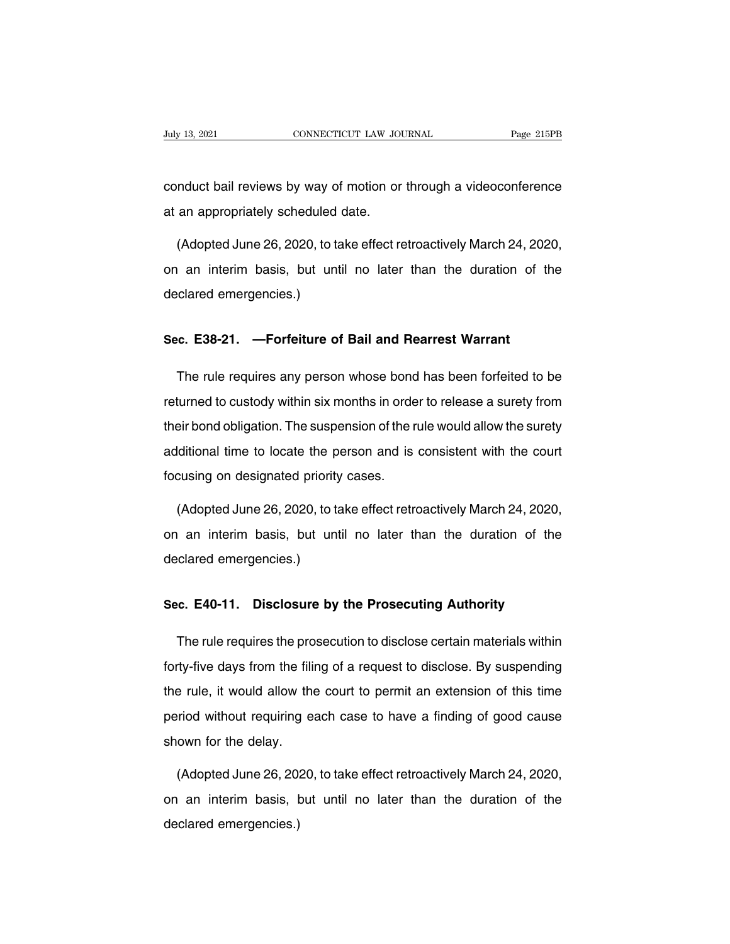Figure 215PB<br>conduct bail reviews by way of motion or through a videoconference<br>at an appropriately scheduled date. July 13, 2021 CONNECTICUT LAW JON<br>
conduct bail reviews by way of motion or<br>
at an appropriately scheduled date.<br>
(Adopted lune 26, 2020, to take offect r

nduct bail reviews by way of motion or through a videoconference<br>an appropriately scheduled date.<br>(Adopted June 26, 2020, to take effect retroactively March 24, 2020,<br>an interim basis, but until no later than the duration conduct bail reviews by way of motion or through a videoconference<br>at an appropriately scheduled date.<br>(Adopted June 26, 2020, to take effect retroactively March 24, 2020,<br>on an interim basis, but until no later than the d at an appropriately scheduled<br>(Adopted June 26, 2020, to ta<br>on an interim basis, but unt<br>declared emergencies.) (Adopted June 26, 2020, to take effect retroactively March 24, 202<br>on an interim basis, but until no later than the duration of tl<br>declared emergencies.)<br>Sec. E38-21. —Forfeiture of Bail and Rearrest Warrant

clared emergencies.)<br> **Example:**<br> **The rule requires any person whose bond has been forfeited to be<br>
turned to custody within six months in order to release a surety from** Sec. E38-21. —Forfeiture of Bail and Rearrest Warrant<br>The rule requires any person whose bond has been forfeited to be<br>returned to custody within six months in order to release a surety from<br>their bond obligation. The susp Sec. E38-21. —Forfeiture of Bail and Rearrest Warrant<br>The rule requires any person whose bond has been forfeited to be<br>returned to custody within six months in order to release a surety from<br>their bond obligation. The susp The rule requires any person whose bond has been forfeited to be<br>returned to custody within six months in order to release a surety from<br>their bond obligation. The suspension of the rule would allow the surety<br>additional t Focusing outside any person whose send<br>returned to custody within six months in order<br>their bond obligation. The suspension of the r<br>additional time to locate the person and is<br>focusing on designated priority cases. eir bond obligation. The suspension of the rule would allow the surety<br>Iditional time to locate the person and is consistent with the court<br>cusing on designated priority cases.<br>(Adopted June 26, 2020, to take effect retroa

additional time to locate the person and is consistent with the court<br>focusing on designated priority cases.<br>(Adopted June 26, 2020, to take effect retroactively March 24, 2020,<br>on an interim basis, but until no later than focusing on designated priority<br>(Adopted June 26, 2020, to ta<br>on an interim basis, but unt<br>declared emergencies.) (Adopted June 26, 2020, to take effect retroactively March 24, 2020,<br>on an interim basis, but until no later than the duration of the<br>declared emergencies.)<br>Sec. E40-11. Disclosure by the Prosecuting Authority

clared emergencies.)<br> **E. E40-11. Disclosure by the Prosecuting Authority**<br>
The rule requires the prosecution to disclose certain materials within<br>
ty-five days from the filing of a request to disclose. By suspending Sec. E40-11. Disclosure by the Prosecuting Authority<br>The rule requires the prosecution to disclose certain materials within<br>forty-five days from the filing of a request to disclose. By suspending<br>the rule, it would allow t Sec. E40-11. Disclosure by the Prosecuting Authority<br>The rule requires the prosecution to disclose certain materials within<br>forty-five days from the filing of a request to disclose. By suspending<br>the rule, it would allow t The rule requires the prosecution to disclose certain materials within<br>forty-five days from the filing of a request to disclose. By suspending<br>the rule, it would allow the court to permit an extension of this time<br>period w Forty-five days from the filling<br>the rule, it would allow the<br>period without requiring eshown for the delay. Solution: The court to permit an extension of this time<br>
priod without requiring each case to have a finding of good cause<br>
cown for the delay.<br>
(Adopted June 26, 2020, to take effect retroactively March 24, 2020,<br>
an inte

period without requiring each case to have a finding of good cause<br>shown for the delay.<br>(Adopted June 26, 2020, to take effect retroactively March 24, 2020,<br>on an interim basis, but until no later than the duration of the<br> shown for the delay.<br>(Adopted June 26, 20;<br>on an interim basis, t<br>declared emergencies.)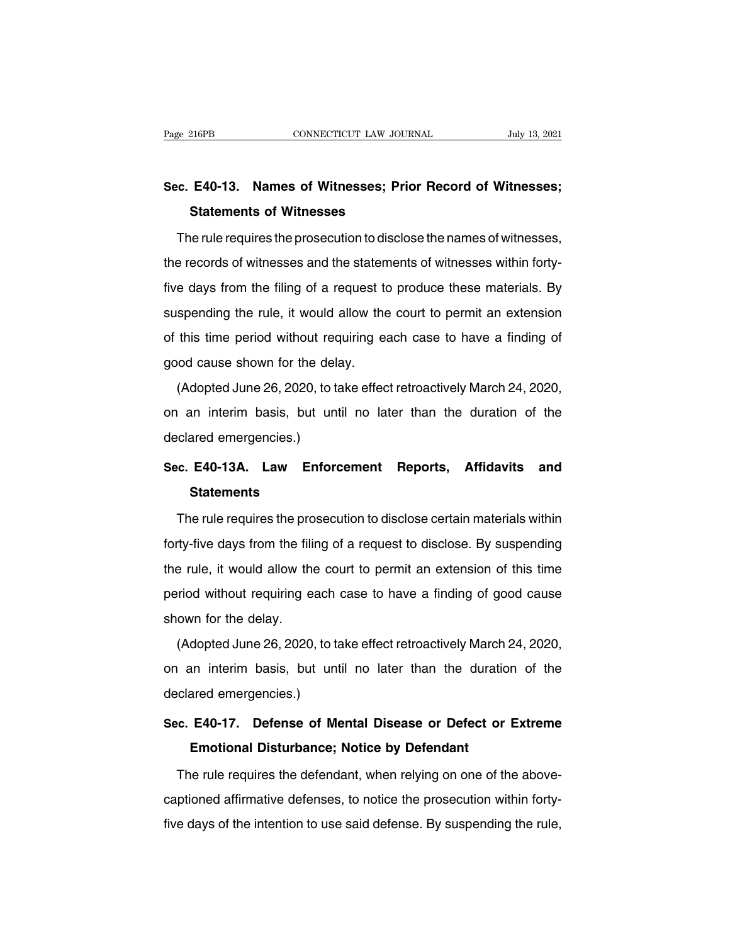## Page 216PB CONNECTICUT LAW JOURNAL July 13, 2021<br> **Sec. E40-13. Names of Witnesses; Prior Record of Witnesses;<br>
Statements of Witnesses EXECUT STATE CONNECTICUT LAW JOURNET STATE OF STATE STATE STATE STATE STATE STATE STATE STATE STATE STATE STATE STATE STATE STATE STATE STATE STATE STATE STATE STATE STATE STATE STATE STATE STATE STATE STATE STATE STATE S**

e. E40-13. Names of Witnesses; Prior Record of Witnesses;<br>Statements of Witnesses<br>The rule requires the prosecution to disclose the names of witnesses,<br>a records of witnesses and the statements of witnesses within forty-Sec. E40-13. Names of Witnesses; Prior Record of Witnesses;<br>Statements of Witnesses<br>The rule requires the prosecution to disclose the names of witnesses,<br>the records of witnesses and the statements of witnesses within fort Statements of Witnesses<br>The rule requires the prosecution to disclose the names of witnesses,<br>the records of witnesses and the statements of witnesses within forty-<br>five days from the filing of a request to produce these m The rule requires the prosecution to disclose the names of witnesses,<br>the records of witnesses and the statements of witnesses within forty-<br>five days from the filing of a request to produce these materials. By<br>suspending The records of witnesses and the statements of witnesses within forty-<br>five days from the filing of a request to produce these materials. By<br>suspending the rule, it would allow the court to permit an extension<br>of this time five days from the filing of a request to<br>suspending the rule, it would allow the<br>of this time period without requiring ea<br>good cause shown for the delay.<br>(Adopted June 26, 2020, to take effec Substituted June 26, 2020, to take effect retroactively March 24, 2020,<br>and interim basis, but until no later than the duration of the delay.

on an interim basis, but until no later than the duration of the declared emergencies.)<br>
(Adopted June 26, 2020, to take effect retroactively March 24, 2020, on an interim basis, but until no later than the duration of the good cause shown for the dela<br>(Adopted June 26, 2020, to ta<br>on an interim basis, but unt<br>declared emergencies.)<br>Sec. E40-13A. Law Enford (Adopted June 26, 2020, to take effect retroactively March 24, 2020,<br>on an interim basis, but until no later than the duration of the<br>declared emergencies.)<br>Sec. E40-13A. Law Enforcement Reports, Affidavits and<br>Statements

## **Statements**

reflated emergencies.)<br>
Fig. c. E40-13A. Law Enforcement Reports, Affidavits and<br>
Statements<br>
The rule requires the prosecution to disclose certain materials within<br>
ty-five days from the filing of a request to disclose. B Sec. E40-13A. Law Enforcement Reports, Affidavits and<br>Statements<br>The rule requires the prosecution to disclose certain materials within<br>forty-five days from the filing of a request to disclose. By suspending<br>the rule, it w Statements<br>The rule requires the prosecution to disclose certain materials within<br>forty-five days from the filing of a request to disclose. By suspending<br>the rule, it would allow the court to permit an extension of this ti The rule requires the prosecution to disclose certain materials within<br>forty-five days from the filing of a request to disclose. By suspending<br>the rule, it would allow the court to permit an extension of this time<br>period w First forty-five days from the fill<br>the rule, it would allow the<br>period without requiring eshown for the delay.<br>(Adopted June 26, 2020, (Adopted June 26, 2020, to take effect retroactively March 24, 2020,<br>an interim basis, but until no later than the duration of the delay.

period without requiring each case to have a finding of good cause<br>shown for the delay.<br>(Adopted June 26, 2020, to take effect retroactively March 24, 2020,<br>on an interim basis, but until no later than the duration of the<br> shown for the delay.<br>
(Adopted June 26, 2020, to ta<br>
on an interim basis, but unt<br>
declared emergencies.)<br>
Sec. E40-17. Defense of Me (Adopted June 26, 2020, to take effect retroactively March 24, 2020,<br>on an interim basis, but until no later than the duration of the<br>declared emergencies.)<br>Sec. E40-17. Defense of Mental Disease or Defect or Extreme<br>Emoti In interim basis, but until no later than the duration<br>ared emergencies.)<br>**E40-17. Defense of Mental Disease or Defect or<br>Emotional Disturbance; Notice by Defendant**<br>ne rule requires the defendant, when relying on one of t

clared emergencies.)<br>
C. E40-17. Defense of Mental Disease or Defect or Extreme<br>
Emotional Disturbance; Notice by Defendant<br>
The rule requires the defendant, when relying on one of the above-<br>
ptioned affirmative defenses, Sec. E40-17. Defense of Mental Disease or Defect or Extreme<br>Emotional Disturbance; Notice by Defendant<br>The rule requires the defendant, when relying on one of the above-<br>captioned affirmative defenses, to notice the prosec Emotional Disturbance; Notice by Defendant<br>The rule requires the defendant, when relying on one of the above-<br>captioned affirmative defenses, to notice the prosecution within forty-<br>five days of the intention to use said d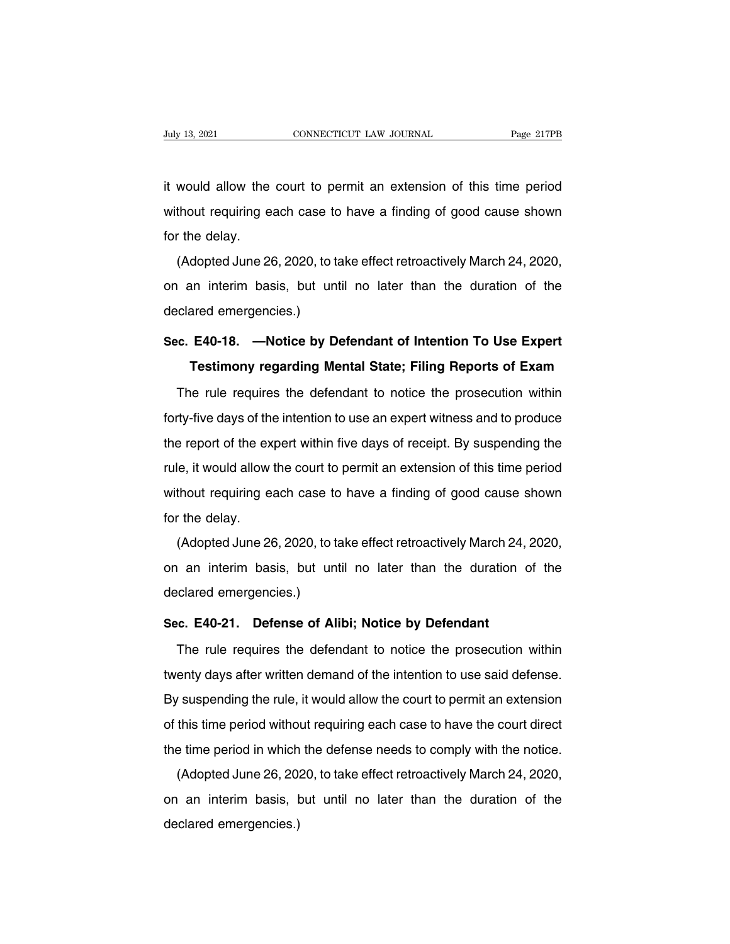Indy 13, 2021 CONNECTICUT LAW JOURNAL Page 217PB<br>it would allow the court to permit an extension of this time period<br>without requiring each case to have a finding of good cause shown July 13, 2021 CONNECTICUT LAW JOURNAL Page 217PB<br>it would allow the court to permit an extension of this time period<br>without requiring each case to have a finding of good cause shown<br>for the delay. it would allow the<br>without requiring e<br>for the delay.<br>(Adopted June 26 Would allow the court to permit an extension of this time period<br>thout requiring each case to have a finding of good cause shown<br>the delay.<br>(Adopted June 26, 2020, to take effect retroactively March 24, 2020,<br>an interim ba

without requiring each case to have a finding of good cause shown<br>for the delay.<br>(Adopted June 26, 2020, to take effect retroactively March 24, 2020,<br>on an interim basis, but until no later than the duration of the<br>declare minear requiring each eace to<br>for the delay.<br>(Adopted June 26, 2020, to ta<br>on an interim basis, but unt<br>declared emergencies.)<br>Sec. E40-18. —Notice by D (Adopted June 26, 2020, to take effect retroactively March 24, 2020,<br>on an interim basis, but until no later than the duration of the<br>declared emergencies.)<br>**Sec. E40-18.** —Notice by Defendant of Intention To Use Expert<br>**T** Interim basis, but until no later than the duration of the<br>
Testimony **Testimony regarding Mental State; Filing Reports of Exam**<br>
Testimony regarding Mental State; Filing Reports of Exam<br>
Te rule requires the defendant to

reflaced emergencies.)<br>
Ferricon-Motice by Defendant of Intention To Use Expert<br>
Testimony regarding Mental State; Filing Reports of Exam<br>
The rule requires the defendant to notice the prosecution within<br>
Thy-five days of Sec. E40-18. —Notice by Defendant of Intention To Use Expert<br>Testimony regarding Mental State; Filing Reports of Exam<br>The rule requires the defendant to notice the prosecution within<br>forty-five days of the intention to use Testimony regarding Mental State; Filing Reports of Exam<br>The rule requires the defendant to notice the prosecution within<br>forty-five days of the intention to use an expert witness and to produce<br>the report of the expert wi The rule requires the defendant to notice the prosecution within<br>forty-five days of the intention to use an expert witness and to produce<br>the report of the expert within five days of receipt. By suspending the<br>rule, it wou forty-five days of the intention to use an expert witness and to produce<br>the report of the expert within five days of receipt. By suspending the<br>rule, it would allow the court to permit an extension of this time period<br>wit forty-five days of the intention to use an expert witness and to produce<br>the report of the expert within five days of receipt. By suspending the<br>rule, it would allow the court to permit an extension of this time period<br>wit (Adopted June 26, 2020, to take effect retroactively March 24, 2020, an interim basis, but until no later than the duration of the

on an interim basis, but until no later than the duration of the delay.<br>
(Adopted June 26, 2020, to take effect retroactively March 24, 2020, on an interim basis, but until no later than the duration of the declared emerge minear requiring each case to<br>for the delay.<br>(Adopted June 26, 2020, to ta<br>on an interim basis, but unt<br>declared emergencies.)<br>Sec. E40-21. Defense of Ali (Adopted June 26, 2020, to take effect retroactively March 24,<br>on an interim basis, but until no later than the duration of<br>declared emergencies.)<br>**Sec. E40-21. Defense of Alibi; Notice by Defendant**<br>The rule requires the I an interim basis, but until no later than the duration of the<br>clared emergencies.)<br>c. **E40-21. Defense of Alibi; Notice by Defendant**<br>The rule requires the defendant to notice the prosecution within<br>enty days after writt

declared emergencies.)<br>
Sec. E40-21. Defense of Alibi; Notice by Defendant<br>
The rule requires the defendant to notice the prosecution within<br>
twenty days after written demand of the intention to use said defense.<br>
By suspe Sec. E40-21. Defense of Alibi; Notice by Defendant<br>The rule requires the defendant to notice the prosecution within<br>twenty days after written demand of the intention to use said defense.<br>By suspending the rule, it would al The rule requires the defendant to notice the prosecution within<br>twenty days after written demand of the intention to use said defense.<br>By suspending the rule, it would allow the court to permit an extension<br>of this time p twenty days after written demand of the intention to use said defense.<br>By suspending the rule, it would allow the court to permit an extension<br>of this time period without requiring each case to have the court direct<br>the ti It is time period without requiring each case to have the court direct<br>this time period without requiring each case to have the court direct<br>a time period in which the defense needs to comply with the notice.<br>(Adopted June

by suspending and rate, it would direct are pointed point of point and skicholoff<br>of this time period in which the defense needs to comply with the notice.<br>(Adopted June 26, 2020, to take effect retroactively March 24, 202 the time period in which<br>the time period in which<br>(Adopted June 26, 20;<br>on an interim basis, t<br>declared emergencies.)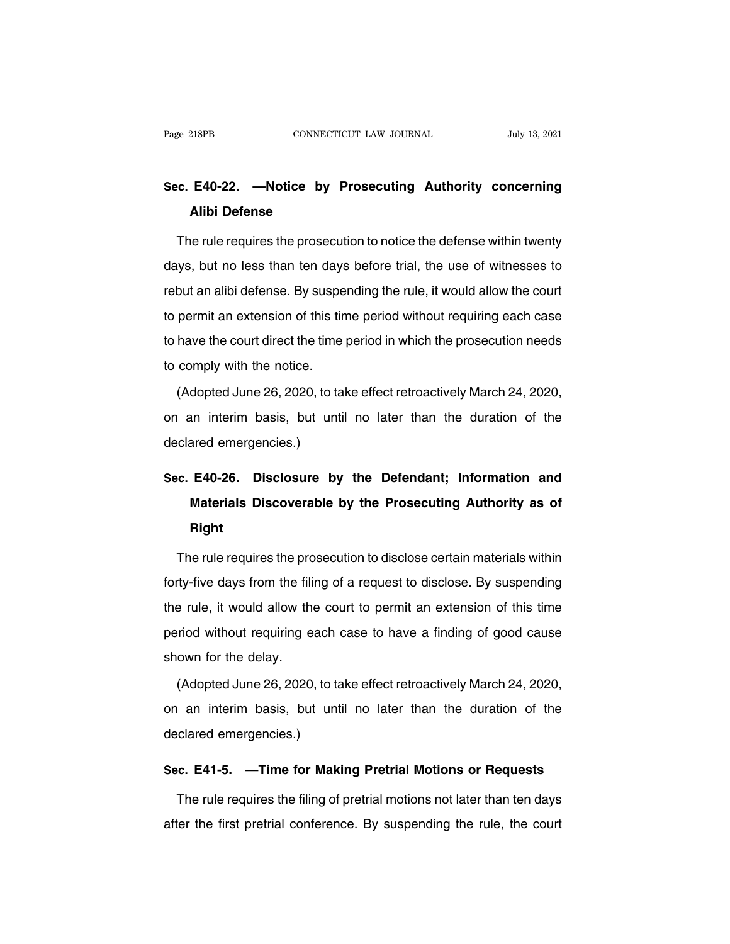# Page 218PB CONNECTICUT LAW JOURNAL July 13, 2021<br> **Sec. E40-22.** —Notice by Prosecuting Authority concerning<br>
Alibi Defense Page 218PB CONNECTICUT LAW JOURNAL July 13, 2021<br> **Sec. E40-22.** —**Notice by Prosecuting Authority concerning**<br> **Alibi Defense**<br>
The rule requires the prosecution to notice the defense within twenty

c. E40-22. —Notice by Prosecuting Authority concerning<br>Alibi Defense<br>The rule requires the prosecution to notice the defense within twenty<br>ys, but no less than ten days before trial, the use of witnesses to Sec. E40-22. —Notice by Prosecuting Authority concerning<br>Alibi Defense<br>The rule requires the prosecution to notice the defense within twenty<br>days, but no less than ten days before trial, the use of witnesses to<br>rebut an al Alibi Defense<br>The rule requires the prosecution to notice the defense within twenty<br>days, but no less than ten days before trial, the use of witnesses to<br>rebut an alibi defense. By suspending the rule, it would allow the c The rule requires the prosecution to notice the defense within twenty<br>days, but no less than ten days before trial, the use of witnesses to<br>rebut an alibi defense. By suspending the rule, it would allow the court<br>to permit the court of heaves the court of heaves the courtes what the court<br>days, but no less than ten days before trial, the use of witnesses to<br>rebut an alibi defense. By suspending the rule, it would allow the court<br>to permit an days, but no less than ten days before trial, the use of witnesses to<br>rebut an alibi defense. By suspending the rule, it would allow the court<br>to permit an extension of this time period without requiring each case<br>to have (Adopted June 26, 2020, to take effect retroactively March 24, 2020, an interim basis, but until no later than the duration of the

on a interior and the period in which the prosecution needs<br>to comply with the notice.<br>(Adopted June 26, 2020, to take effect retroactively March 24, 2020,<br>on an interim basis, but until no later than the duration of the<br>d to comply with the notice.<br>
(Adopted June 26, 2020, to ta<br>
on an interim basis, but unt<br>
declared emergencies.) (Adopted June 26, 2020, to take effect retroactively March 24, 2020,<br>on an interim basis, but until no later than the duration of the<br>declared emergencies.)<br>Sec. E40-26. Disclosure by the Defendant; Information and<br>Materia

# In the material possimilar than the duration of the ared emergencies.)<br> **E40-26.** Disclosure by the Defendant; Information and<br>
Materials Discoverable by the Prosecuting Authority as of<br>
Right **Right** ince F40-26. Disclosure by the Defendant; Information and<br>Materials Discoverable by the Prosecuting Authority as of<br>Right<br>The rule requires the prosecution to disclose certain materials within<br>ty-five days from the filing

Materials Discoverable by the Prosecuting Authority as of<br>Right<br>The rule requires the prosecution to disclose certain materials within<br>forty-five days from the filing of a request to disclose. By suspending<br>the rule, it wo Right<br>The rule requires the prosecution to disclose certain materials within<br>forty-five days from the filing of a request to disclose. By suspending<br>the rule, it would allow the court to permit an extension of this time<br>pe The rule requires the prosecution to disclose certain materials within<br>forty-five days from the filing of a request to disclose. By suspending<br>the rule, it would allow the court to permit an extension of this time<br>period w The rule requires the prosecution to disclose certain materials within<br>forty-five days from the filing of a request to disclose. By suspending<br>the rule, it would allow the court to permit an extension of this time<br>period w (Adopted June 26, 2020, to take effect retroactively March 24, 2020, an interim basis, but until no later than the duration of the

period without requiring each case to have a finding of good cause<br>shown for the delay.<br>(Adopted June 26, 2020, to take effect retroactively March 24, 2020,<br>on an interim basis, but until no later than the duration of the<br> shown for the delay.<br>
(Adopted June 26, 2020, to ta<br>
on an interim basis, but unt<br>
declared emergencies.) (Adopted June 26, 2020, to take effect retroactively March 24, 2020,<br>on an interim basis, but until no later than the duration of the<br>declared emergencies.)<br>**Sec. E41-5.** —**Time for Making Pretrial Motions or Requests**<br>The I an interim basis, but until no later than the duration of the<br>clared emergencies.)<br>**c. E41-5.** —**Time for Making Pretrial Motions or Requests**<br>The rule requires the filing of pretrial motions not later than ten days<br>ter

declared emergencies.)<br>
Sec. E41-5. —Time for Making Pretrial Motions or Requests<br>
The rule requires the filing of pretrial motions not later than ten days<br>
after the first pretrial conference. By suspending the rule, the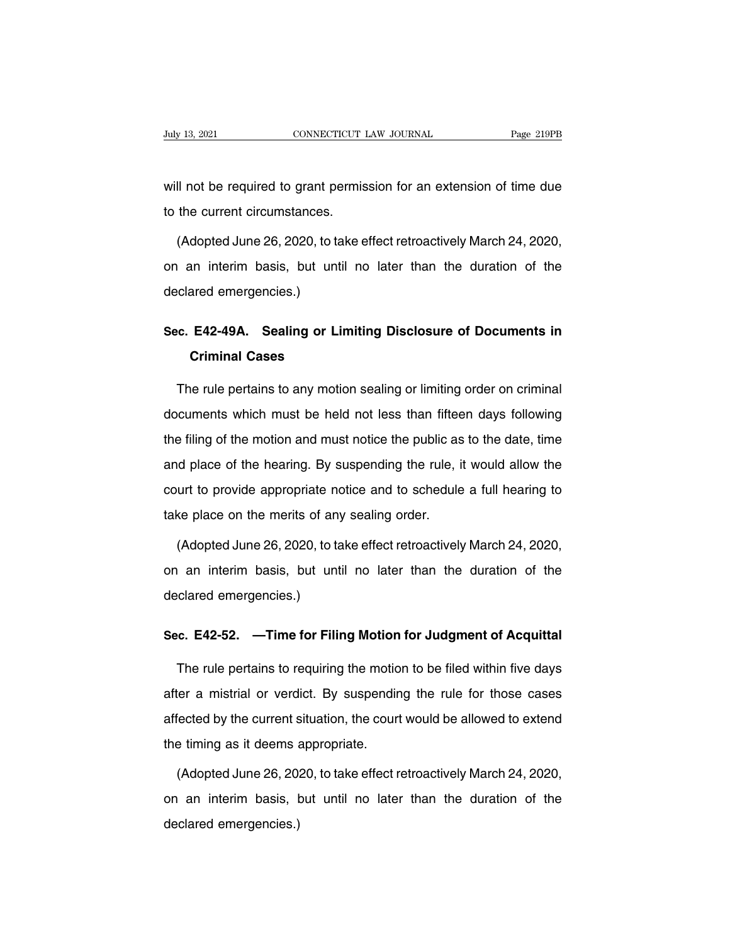Valy 13, 2021 CONNECTICUT LAW JOURNAL Page 219PB<br>Will not be required to grant permission for an extension of time due<br>to the current circumstances. University 13, 2021<br>
University 13, 2021<br>
University different circumstances.<br>
Contract contract contract contract contract contract contract contract contract contract contract contract contract contract contract contract

Il not be required to grant permission for an extension of time due<br>the current circumstances.<br>(Adopted June 26, 2020, to take effect retroactively March 24, 2020,<br>an interim basis, but until no later than the duration of will not be required to grant permission for an extension of time due<br>to the current circumstances.<br>(Adopted June 26, 2020, to take effect retroactively March 24, 2020,<br>on an interim basis, but until no later than the dura to the current circumstances.<br>(Adopted June 26, 2020, to ta<br>on an interim basis, but unt<br>declared emergencies.) (Adopted June 26, 2020, to take effect retroactively March 24, 2020,<br>on an interim basis, but until no later than the duration of the<br>declared emergencies.)<br>Sec. E42-49A. Sealing or Limiting Disclosure of Documents in<br>Crim Frame Massard until and emergencies.)<br>**E42-49A. Sealing or Lim<br><b>Criminal Cases**<br>Corule portains to any motion

The rule pertains to any motion sealing or limiting Conduction Sculing in Criminal Cases<br>The rule pertains to any motion sealing or limiting order on criminal<br>cuments which must be held not less than fifteen days following Sec. E42-49A. Sealing or Limiting Disclosure of Documents in<br>Criminal Cases<br>The rule pertains to any motion sealing or limiting order on criminal<br>documents which must be held not less than fifteen days following<br>the filing **Criminal Cases**<br>The rule pertains to any motion sealing or limiting order on criminal<br>documents which must be held not less than fifteen days following<br>the filing of the motion and must notice the public as to the date, t The rule pertains to any motion sealing or limiting order on criminal<br>documents which must be held not less than fifteen days following<br>the filing of the motion and must notice the public as to the date, time<br>and place of columents which must be held not less than fifteen days following<br>the filing of the motion and must notice the public as to the date, time<br>and place of the hearing. By suspending the rule, it would allow the<br>court to provi the filing of the motion and must notice the public as<br>and place of the hearing. By suspending the rule, i<br>court to provide appropriate notice and to schedule<br>take place on the merits of any sealing order.<br>(Adopted June 26 In the provide appropriate notice and to schedule a full hearing to<br>the provide appropriate notice and to schedule a full hearing to<br>ke place on the merits of any sealing order.<br>(Adopted June 26, 2020, to take effect retro

court to provide appropriate notice and to schedule a full hearing to<br>take place on the merits of any sealing order.<br>(Adopted June 26, 2020, to take effect retroactively March 24, 2020,<br>on an interim basis, but until no la take place on the merits of an<br>(Adopted June 26, 2020, to ta<br>on an interim basis, but unt<br>declared emergencies.) (Adopted June 26, 2020, to take effect retroactively March 24, 2020,<br>on an interim basis, but until no later than the duration of the<br>declared emergencies.)<br>Sec. E42-52. —Time for Filing Motion for Judgment of Acquittal<br>Th

rear interim basis, but until no later than the duration of the<br>clared emergencies.)<br>c. E42-52. —Time for Filing Motion for Judgment of Acquittal<br>The rule pertains to requiring the motion to be filed within five days<br>ter a Sec. E42-52. —Time for Filing Motion for Judgment of Acquittal<br>The rule pertains to requiring the motion to be filed within five days<br>after a mistrial or verdict. By suspending the rule for those cases<br>affected by the curr Sec. E42-52. —Time for Filing Motion for Judgment of Acquittal<br>The rule pertains to requiring the motion to be filed within five days<br>after a mistrial or verdict. By suspending the rule for those cases<br>affected by the curr The rule pertains to requiring the motion<br>after a mistrial or verdict. By suspendire<br>affected by the current situation, the court<br>the timing as it deems appropriate.<br>(Adopted June 26, 2020, to take effect r It is a mistrial or verdict. By suspending the rule for those cases<br>
iected by the current situation, the court would be allowed to extend<br>
a timing as it deems appropriate.<br>
(Adopted June 26, 2020, to take effect retroact

affected by the current situation, the court would be allowed to extend<br>the timing as it deems appropriate.<br>(Adopted June 26, 2020, to take effect retroactively March 24, 2020,<br>on an interim basis, but until no later than the timing as it deems a<br>(Adopted June 26, 20;<br>on an interim basis, b<br>declared emergencies.)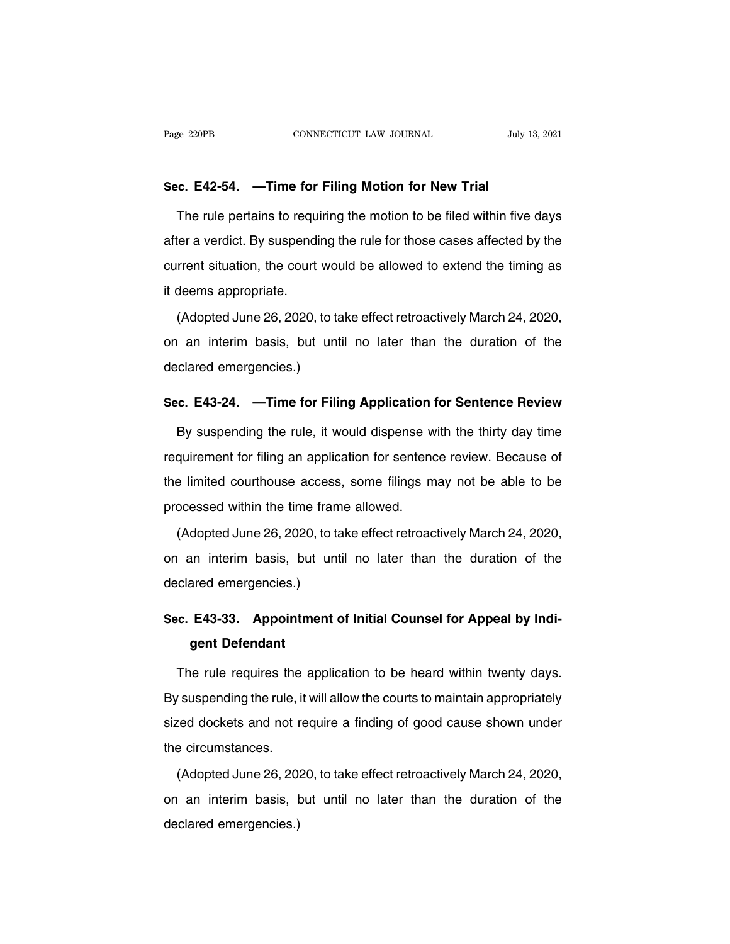# Page 220PB **CONNECTICUT LAW JOURNAL**<br> **Sec. E42-54.** — Time for Filing Motion for New Trial<br>
The rule pertains to requiring the motion to be filed within fiv

The rule pertains to requiring the motion of the rule pertains to requiring the motion to be filed within five days<br>The rule pertains to requiring the motion to be filed within five days<br>ter a verdict. By suspending the ru Sec. E42-54. —Time for Filing Motion for New Trial<br>The rule pertains to requiring the motion to be filed within five days<br>after a verdict. By suspending the rule for those cases affected by the<br>current situation, the court Sec. E42-54. —Time for Filing Motion for New Trial<br>The rule pertains to requiring the motion to be filed within five days<br>after a verdict. By suspending the rule for those cases affected by the<br>current situation, the court The rule pertains to requine<br>after a verdict. By suspending<br>current situation, the court<br>it deems appropriate.<br>(Adopted June 26, 2020, (Adopted June 26, 2020, to take effect retroactively March 24, 2020, an interim basis, but until no later than the duration of the

on an interim basis, but until no later than the duration of the declared emergencies.)<br>
(Adopted June 26, 2020, to take effect retroactively March 24, 2020,<br>
on an interim basis, but until no later than the duration of th deems appropriate.<br>
(Adopted June 26, 2020, to ta<br>
on an interim basis, but unt<br>
declared emergencies.)<br>
Rec. 549.94. Films for Fill (Adopted June 26, 2020, to take effect retroactively March 24, 2020,<br>on an interim basis, but until no later than the duration of the<br>declared emergencies.)<br>**Sec. E43-24.** —**Time for Filing Application for Sentence Review** 

I an interim basis, but until no later than the duration of the<br>clared emergencies.)<br>c. E43-24. —Time for Filing Application for Sentence Review<br>By suspending the rule, it would dispense with the thirty day time<br>quirement declared emergencies.)<br>Sec. E43-24. —Time for Filing Application for Sentence Review.<br>By suspending the rule, it would dispense with the thirty day time<br>requirement for filing an application for sentence review. Because of Sec. E43-24. —Time for Filing Application for Sentence Review<br>By suspending the rule, it would dispense with the thirty day time<br>requirement for filing an application for sentence review. Because of<br>the limited courthouse By suspending the rule, it would dispense w<br>requirement for filing an application for sentend<br>the limited courthouse access, some filings m<br>processed within the time frame allowed.<br>(Adopted June 26, 2020, to take effect re Solution and the U.S. In the Laterature of the U.S. Secause of<br>
a limited courthouse access, some filings may not be able to be<br>
ocessed within the time frame allowed.<br>
(Adopted June 26, 2020, to take effect retroactively

on an interim basis, but until no later than the duration of the declared emergencies.)<br>
The limited courthouse access, some filings may not be able to be<br>
processed within the time frame allowed.<br>
(Adopted June 26, 2020, processed within the time fram<br>(Adopted June 26, 2020, to ta<br>on an interim basis, but unt<br>declared emergencies.) (Adopted June 26, 2020, to take effect retroactively March 24, 2020,<br>
on an interim basis, but until no later than the duration of the<br>
declared emergencies.)<br> **Sec. E43-33.** Appointment of Initial Counsel for Appeal by In Frame Departs and interim basis, but<br>ared emergencies.)<br>**E43-33. Appointmer<br>gent Defendant**<br>and rule requires the appoint

clared emergencies.)<br> **C. E43-33. Appointment of Initial Counsel for Appeal by Indi-<br>
gent Defendant<br>
The rule requires the application to be heard within twenty days.<br>
Suspending the rule, it will allow the courts to main** Sec. E43-33. Appointment of Initial Counsel for Appeal by Indigent Defendant<br>The rule requires the application to be heard within twenty days.<br>By suspending the rule, it will allow the courts to maintain appropriately<br>size shipped the rule requires the application to be heard within twenty days.<br>By suspending the rule, it will allow the courts to maintain appropriately<br>sized dockets and not require a finding of good cause shown under<br>the cir The rule requires the<br>By suspending the rule, it<br>sized dockets and not re<br>the circumstances.<br>(Adopted June 26, 202 (Adopted June 26, 2020, to take effect retroactively March 24, 2020, an interim basis, but until no later than the duration of the

sized dockets and not require a finding of good cause shown under<br>the circumstances.<br>(Adopted June 26, 2020, to take effect retroactively March 24, 2020,<br>on an interim basis, but until no later than the duration of the<br>dec the circumstances.<br>(Adopted June 26, 20;<br>on an interim basis, t<br>declared emergencies.)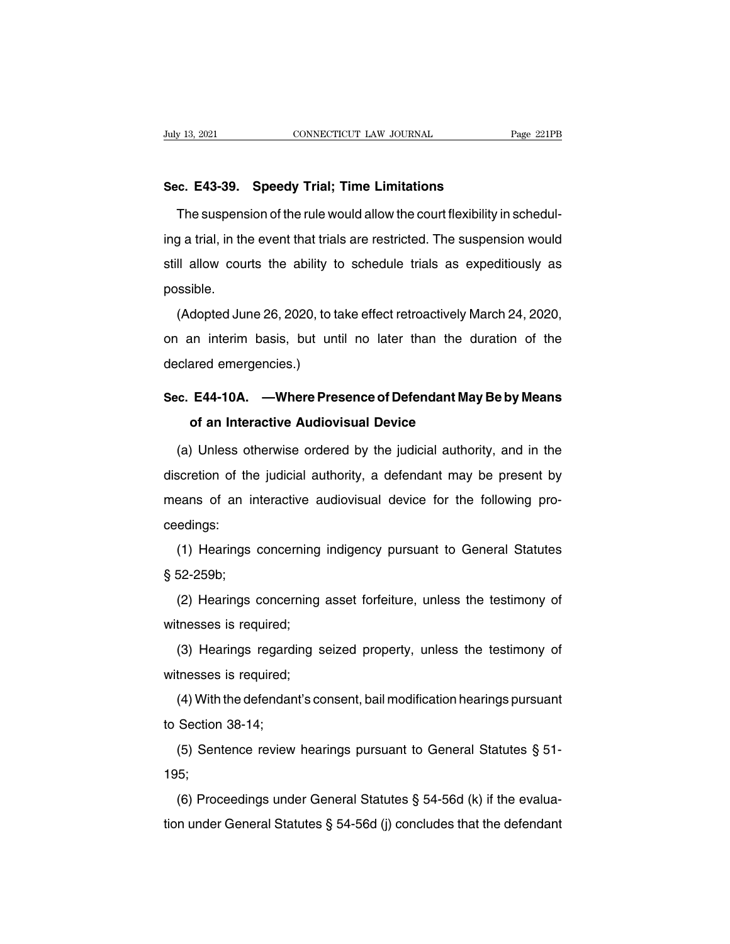**Sec. E43-39. Speedy Trial; Time Limitations** The suspension of the rule would allow the court flexibility in schedul-<br>The suspension of the rule would allow the court flexibility in schedul-<br>The suspension of the rule would allow the court flexibility in schedul-<br>The Sec. E43-39. Speedy Trial; Time Limitations<br>The suspension of the rule would allow the court flexibility in schedul-<br>ing a trial, in the event that trials are restricted. The suspension would<br>still allow courts the ability Sec. E43-39. Speedy Trial; Time Limitations<br>The suspension of the rule would allow the court flexibility in schedul-<br>ing a trial, in the event that trials are restricted. The suspension would<br>still allow courts the ability possible. (Adopted June 26, 2020, to take effect retroactively March 24, 2020, an interim basis, but until no later than the duration of the

on an interim basis, but until no later than the duration of the declared emergencies.)<br>and interim basis, but until no later than the duration of the declared emergencies.) but allow searce the definity to<br>possible.<br>(Adopted June 26, 2020, to ta<br>on an interim basis, but unt<br>declared emergencies.) (Adopted June 26, 2020, to take effect retroactively March 24, 2020,<br>on an interim basis, but until no later than the duration of the<br>declared emergencies.)<br>**Sec. E44-10A.** —Where Presence of Defendant May Be by Means<br>of a **Solution** interim basis, but until no later than the duared emergencies.)<br> **E44-10A.** — **Where Presence of Defendant May**<br> **of an Interactive Audiovisual Device**<br> **Outing the Contex Conternal Audiovisual Pevice**<br> **Outing** 

(a) Unless otherwise ordered by the judicial authority, and in the scretion of the judicial authority, a defendant may be present by the indicial authority, and in the scretion of the judicial authority, a defendant may be Sec. E44-10A. —Where Presence of Defendant May Be by Means<br>of an Interactive Audiovisual Device<br>(a) Unless otherwise ordered by the judicial authority, and in the<br>discretion of the judicial authority, a defendant may be pr of an Interactive Audiovisual Device<br>
(a) Unless otherwise ordered by the judicial authority, and in the<br>
discretion of the judicial authority, a defendant may be present by<br>
means of an interactive audiovisual device for ceedings: scretion of the judicial authority, a defendant may be present by<br>eans of an interactive audiovisual device for the following pro-<br>edings:<br>(1) Hearings concerning indigency pursuant to General Statutes<br>52-259b; means of an increase of an increase of an increase of an increase (1) Hearings (2) Hearings of

Frank of an intertactive addictional dottoched in the following pro-<br>edings:<br>(1) Hearings concerning indigency pursuant to General Statutes<br>52-259b;<br>(2) Hearings concerning asset forfeiture, unless the testimony of<br>tnesses (1) Hearings concerning<br>§ 52-259b;<br>(2) Hearings concerning<br>witnesses is required;<br>(3) Hearings regarding s

(1) Hearings concerning margency paredam to denotal etatated<br>52-259b;<br>(2) Hearings concerning asset forfeiture, unless the testimony of<br>tnesses is required;<br>tnesses is required; (2) Hearings concerning<br>witnesses is required;<br>(3) Hearings regarding s<br>witnesses is required;<br>(4) With the defendant's co ( $\Box$ ) Troatings concerning asset fortenate, amose the testimony of<br>thesses is required;<br>(3) Hearings regarding seized property, unless the testimony of<br>thesses is required;<br>(4) With the defendant's consent, bail modifica (3) Hearings regard<br>witnesses is required;<br>(4) With the defendan<br>to Section 38-14;<br>(5) Sentence review

(5) Treamige regarding select property, amose the teaminity of thesses is required;<br>
(4) With the defendant's consent, bail modification hearings pursuant Section 38-14;<br>
(5) Sentence review hearings pursuant to General S 195; (1) With the defendant electron, ban medihedromeaning paredant<br>Section 38-14;<br>(5) Sentence review hearings pursuant to General Statutes § 51-<br>5;<br>(6) Proceedings under General Statutes § 54-56d (k) if the evalua-<br>n under G to economics intervals pursuant to General Statutes § 51-<br>195;<br>
(6) Proceedings under General Statutes § 54-56d (k) if the evaluation under General Statutes § 54-56d (j) concludes that the defendant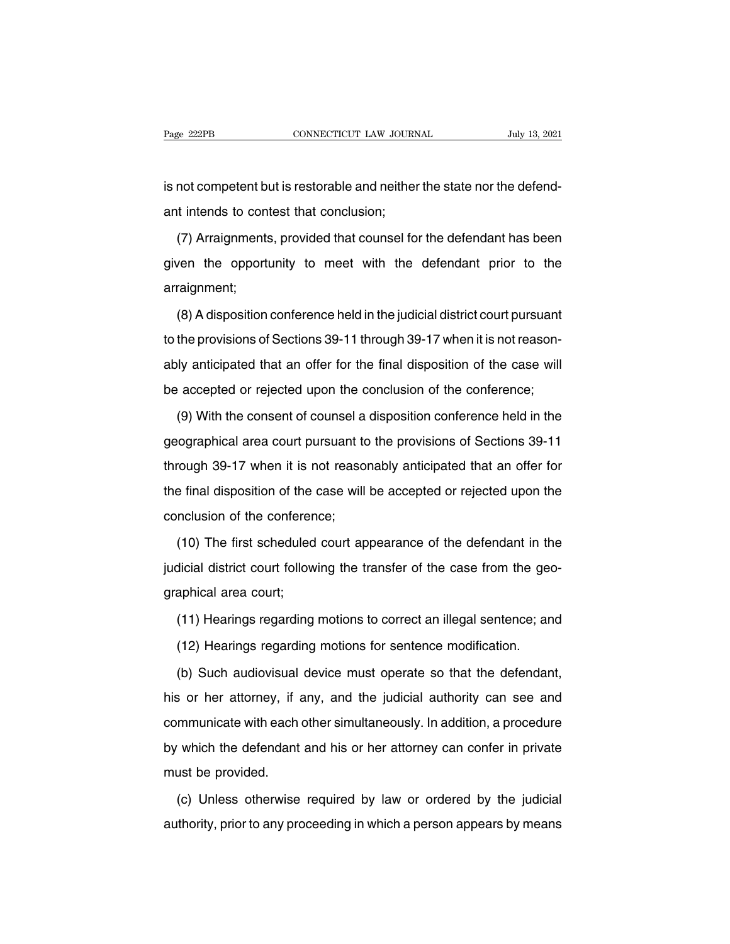Page 222PB<br>is not competent but is restorable and neither the state nor the defend-<br>ant intends to contest that conclusion; Page 222PB CONNECTICUT LAW JOURN<br>is not competent but is restorable and neither<br>ant intends to contest that conclusion;<br>(7) Arraignments, provided that counsel fo

(7) Arraignments, provided that counsel for the defendant intends to contest that conclusion;<br>(7) Arraignments, provided that counsel for the defendant has been<br>ven the opportunity to meet with the defendant prior to the is not competent but is restorable and neither the state nor the defendant intends to contest that conclusion;<br>(7) Arraignments, provided that counsel for the defendant has been<br>given the opportunity to meet with the defen arraignment; (7) Arraignments, provided that counsel for the defendant has been<br>ven the opportunity to meet with the defendant prior to the<br>raignment;<br>(8) A disposition conference held in the judicial district court pursuant<br>the provis

given the opportunity to meet with the defendant prior to the arraignment;<br>(8) A disposition conference held in the judicial district court pursuant<br>to the provisions of Sections 39-11 through 39-17 when it is not reason-<br> arraignment;<br>
(8) A disposition conference held in the judicial district court pursuant<br>
to the provisions of Sections 39-11 through 39-17 when it is not reason-<br>
ably anticipated that an offer for the final disposition of (8) A disposition conference held in the judicial district court pursuant<br>to the provisions of Sections 39-11 through 39-17 when it is not reason-<br>ably anticipated that an offer for the final disposition of the case will<br>b (9) With the consent of Gections 39-11 through 39-17 when it is not reason-<br>ily anticipated that an offer for the final disposition of the case will<br>accepted or rejected upon the conclusion of the conference;<br>(9) With the

ably anticipated that an offer for the final disposition of the case will<br>be accepted or rejected upon the conclusion of the conference;<br>(9) With the consent of counsel a disposition conference held in the<br>geographical are the accepted or rejected upon the conclusion of the conference;<br>(9) With the consent of counsel a disposition conference held in the<br>geographical area court pursuant to the provisions of Sections 39-11<br>through 39-17 when i (9) With the consent of counsel a disposition conference held in the geographical area court pursuant to the provisions of Sections 39-11 through 39-17 when it is not reasonably anticipated that an offer for the final disp (c) with the concommon codincer a<br>geographical area court pursuant to<br>through 39-17 when it is not reasor<br>the final disposition of the case will<br>conclusion of the conference;<br>(10) The first scheduled court ap (10) The first scheduled court appearance of the case from the geodesical district court of the conference;<br>(10) The first scheduled court appearance of the defendant in the dicial district court following the transfer of

the final disposition of the case will be accepted or rejected upon the conclusion of the conference;<br>(10) The first scheduled court appearance of the defendant in the judicial district court following the transfer of the conclusion of the conference<br>(10) The first scheduled<br>judicial district court follow<br>graphical area court;<br>(11) Hearings regarding (10) The first scheduled court appearance of the defendant in the dicial district court following the transfer of the case from the geo-<br>aphical area court;<br>(11) Hearings regarding motions to correct an illegal sentence; a dicial district court following the transfer of the case from the georaphical area court;<br>(11) Hearings regarding motions to correct an illegal sentence; an<br>(12) Hearings regarding motions for sentence modification.<br>(b) Su

in Suphical area court;<br>(11) Hearings regarding motions to correct an illegal sentence; and<br>(12) Hearings regarding motions for sentence modification.<br>(b) Such audiovisual device must operate so that the defendant,<br>s or he (11) Hearings regarding motions to correct an illegal sentence; and<br>
(12) Hearings regarding motions for sentence modification.<br>
(b) Such audiovisual device must operate so that the defendant,<br>
his or her attorney, if any, (12) Hearings regarding motions for sentence modification.<br>
(b) Such audiovisual device must operate so that the defendant,<br>
his or her attorney, if any, and the judicial authority can see and<br>
communicate with each other (b) Such audiovisual device must operate so that the defendant,<br>his or her attorney, if any, and the judicial authority can see and<br>communicate with each other simultaneously. In addition, a procedure<br>by which the defendan (b) didn't additional.<br>his or her attorney, if a<br>communicate with each<br>by which the defendant<br>must be provided.<br>(c) Unless otherwise mmunicate with each other simultaneously. In addition, a procedure<br>which the defendant and his or her attorney can confer in private<br>ust be provided.<br>(c) Unless otherwise required by law or ordered by the judicial<br>thority, by which the defendant and his or her attorney can confer in private<br>must be provided.<br>(c) Unless otherwise required by law or ordered by the judicial<br>authority, prior to any proceeding in which a person appears by means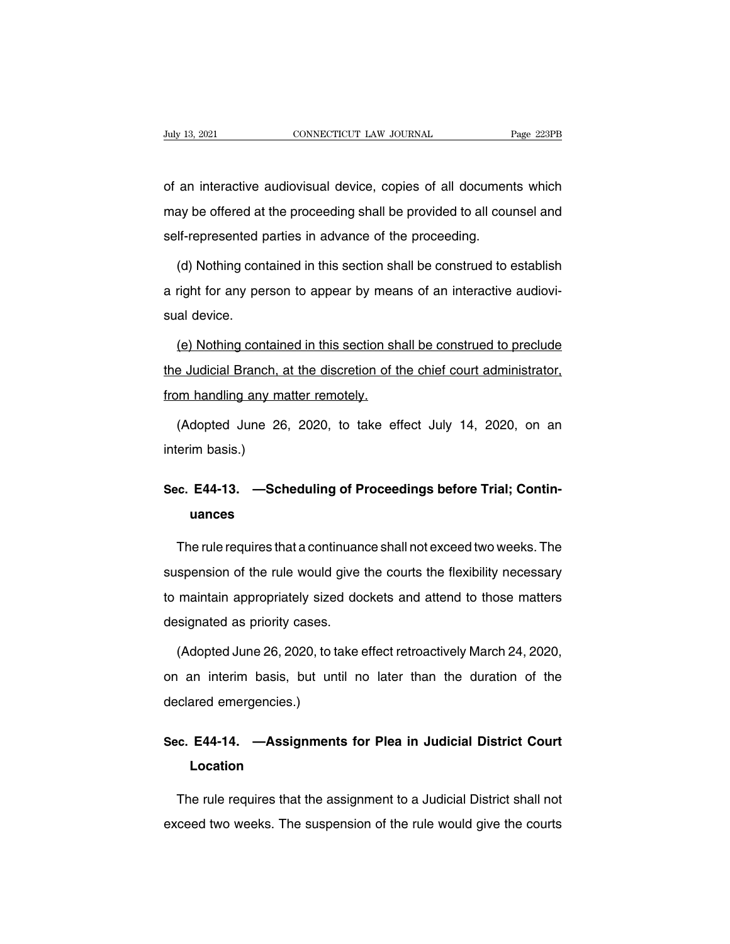Daly 13, 2021 CONNECTICUT LAW JOURNAL Page 223PB<br>
of an interactive audiovisual device, copies of all documents which<br>
may be offered at the proceeding shall be provided to all counsel and July 13, 2021 CONNECTICUT LAW JOURNAL Page 223PB<br>of an interactive audiovisual device, copies of all documents which<br>may be offered at the proceeding shall be provided to all counsel and<br>self-represented parties in advance of an interactive audiovisual device, copies of all documen<br>may be offered at the proceeding shall be provided to all cou<br>self-represented parties in advance of the proceeding.<br>(d) Nothing contained in this section shall b (a) an interactive audiovisual device, copies of all documents which<br>ay be offered at the proceeding shall be provided to all counsel and<br>If-represented parties in advance of the proceeding.<br>(d) Nothing contained in this s

may be offered at the proceeding shall be provided to all counsel and<br>self-represented parties in advance of the proceeding.<br>(d) Nothing contained in this section shall be construed to establish<br>a right for any person to a self-represented p<br>
(d) Nothing con<br>
a right for any pe<br>
sual device.<br>
(e) Nothing con (d) Nothing contained in this section shall be construed to establish<br>right for any person to appear by means of an interactive audiovi-<br>al device.<br>(e) Nothing contained in this section shall be construed to preclude<br>a Jud

a right for any person to appear by means of an interactive audiovisual device.<br>
(e) Nothing contained in this section shall be construed to preclude<br>
the Judicial Branch, at the discretion of the chief court administrator sual device.<br>
(e) Nothing contained in this section sh<br>
the Judicial Branch, at the discretion of the<br>
from handling any matter remotely.<br>
(Adopted June 26, 2020, to take ef (e) Nothing contained in this section shall be construed to preclude<br>a Judicial Branch, at the discretion of the chief court administrator,<br>om handling any matter remotely.<br>(Adopted June 26, 2020, to take effect July 14, 2 the Judicial Branch, a<br>from handling any m<br>(Adopted June 26<br>interim basis.)

Irom handling any matter remotely.<br>
(Adopted June 26, 2020, to take effect July 14, 2020, on an<br>
interim basis.)<br> **Sec. E44-13. —Scheduling of Proceedings before Trial; Contin-**<br> **uances** 

# **uances**

enin basis.)<br>
e. E44-13. —Scheduling of Proceedings before Trial; Contin-<br>
uances<br>
The rule requires that a continuance shall not exceed two weeks. The<br>
spension of the rule would give the courts the flexibility necessary Sec. E44-13. —Scheduling of Proceedings before Trial; Contin-<br>uances<br>The rule requires that a continuance shall not exceed two weeks. The<br>suspension of the rule would give the courts the flexibility necessary<br>to maintain a uances<br>The rule requires that a continuance shall not exceed two weeks. The<br>suspension of the rule would give the courts the flexibility necessary<br>to maintain appropriately sized dockets and attend to those matters<br>designa The rule requires that a continuan<br>suspension of the rule would give<br>to maintain appropriately sized do<br>designated as priority cases.<br>(Adopted June 26, 2020, to take spension of the rule would give the courts the flexibility necessary<br>maintain appropriately sized dockets and attend to those matters<br>signated as priority cases.<br>(Adopted June 26, 2020, to take effect retroactively March 2

to maintain appropriately sized dockets and attend to those matters<br>designated as priority cases.<br>(Adopted June 26, 2020, to take effect retroactively March 24, 2020,<br>on an interim basis, but until no later than the durati designated as priority cases.<br>(Adopted June 26, 2020, to ta<br>on an interim basis, but unt<br>declared emergencies.) (Adopted June 26, 2020, to take effect retroactively March 24, 2020,<br>on an interim basis, but until no later than the duration of the<br>declared emergencies.)<br>Sec. E44-14. —Assignments for Plea in Judicial District Court<br>Loc

# **Location**

clared emergencies.)<br> **C. E44-14. —Assignments for Plea in Judicial District Court<br>
Location**<br>
The rule requires that the assignment to a Judicial District shall not<br>
ceed two weeks. The suspension of the rule would give t Sec. E44-14. —Assignments for Plea in Judicial District Court<br>Location<br>The rule requires that the assignment to a Judicial District shall not<br>exceed two weeks. The suspension of the rule would give the courts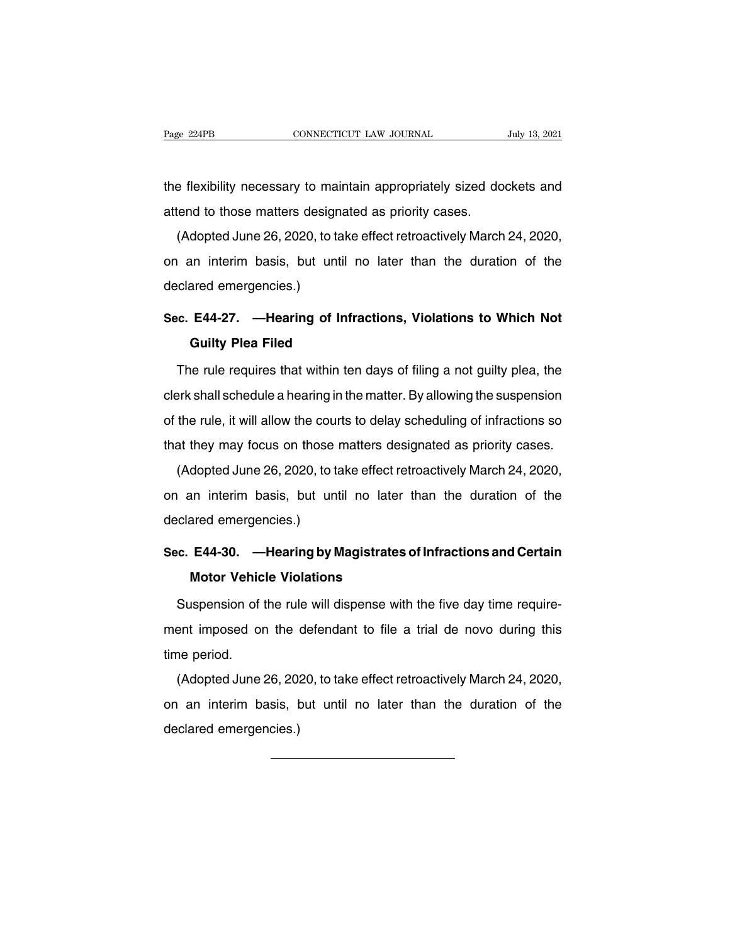The flexibility necessary to maintain appropriately sized dockets and<br>attend to those matters designated as priority cases. attend to those matters designated as priority cases.

Eximity is also maintain appropriately sized dockets and<br>tend to those matters designated as priority cases.<br>(Adopted June 26, 2020, to take effect retroactively March 24, 2020,<br>an interim basis, but until no later than th the flexibility necessary to maintain appropriately sized dockets and<br>attend to those matters designated as priority cases.<br>(Adopted June 26, 2020, to take effect retroactively March 24, 2020,<br>on an interim basis, but unti attend to those matters design<br>attend to those matters design<br>(Adopted June 26, 2020, to ta<br>on an interim basis, but unt<br>declared emergencies.)<br>Sec. F44-27 — Hearing of I (Adopted June 26, 2020, to take effect retroactively March 24, 2020,<br>on an interim basis, but until no later than the duration of the<br>declared emergencies.)<br>**Sec. E44-27.** —**Hearing of Infractions, Violations to Which Not Example 18 inter im basis, but until notated emergencies.)<br><b>E44-27. —Hearing of Infra**<br>**Guilty Plea Filed**<br>**Guilty Plea Filed** 

clared emergencies.)<br> **C. E44-27. —Hearing of Infractions, Violations to Which Not<br>
Guilty Plea Filed**<br>
The rule requires that within ten days of filing a not guilty plea, the<br>
prk shall schedule a hearing in the matter. B Sec. E44-27. — Hearing of Infractions, Violations to Which Not<br>Guilty Plea Filed<br>The rule requires that within ten days of filing a not guilty plea, the<br>clerk shall schedule a hearing in the matter. By allowing the suspens **Guilty Plea Filed**<br>The rule requires that within ten days of filing a not guilty plea, the<br>clerk shall schedule a hearing in the matter. By allowing the suspension<br>of the rule, it will allow the courts to delay scheduling The rule requires that within ten days of filing a not guilty plea, the clerk shall schedule a hearing in the matter. By allowing the suspension of the rule, it will allow the courts to delay scheduling of infractions so t erk shall schedule a hearing in the matter. By allowing the suspension<br>the rule, it will allow the courts to delay scheduling of infractions so<br>at they may focus on those matters designated as priority cases.<br>(Adopted June

of the rule, it will allow the courts to delay scheduling of infractions so<br>that they may focus on those matters designated as priority cases.<br>(Adopted June 26, 2020, to take effect retroactively March 24, 2020,<br>on an inte of the rule, it will allow the courts to delay scheduling of infractions so<br>that they may focus on those matters designated as priority cases.<br>(Adopted June 26, 2020, to take effect retroactively March 24, 2020,<br>on an inte (Adopted June 26, 2020, to take effect retroactively March 24, 2020,<br>on an interim basis, but until no later than the duration of the<br>declared emergencies.)<br>**Sec. E44-30. —Hearing by Magistrates of Infractions and Certain** warm interim basis, but until no latern<br>ared emergencies.)<br>**E44-30. — Hearing by Magistrates<br>Motor Vehicle Violations**<br>uspension of the rule will dispense with

Suspension of the rule will dispense with the five day time require-<br>Suspension of the rule will dispense with the five day time require-<br>ant imposed on the defendant to file a trial de novo during this Sec. E44-30. — Hearing by Magistrates of Infractions and Certain<br>Motor Vehicle Violations<br>Suspension of the rule will dispense with the five day time require-<br>ment imposed on the defendant to file a trial de novo during th Motor Vehic<br>Suspension of the ment imposed or<br>time period.<br>(Adopted June: Suspension of the rule will dispense with the five day time require-<br>ent imposed on the defendant to file a trial de novo during this<br>ne period.<br>(Adopted June 26, 2020, to take effect retroactively March 24, 2020,<br>an inter

outperision of the task will displace with the two day time requirement imposed on the defendant to file a trial de novo during this time period.<br>
(Adopted June 26, 2020, to take effect retroactively March 24, 2020, on an declared emergencies.)<br>declared emergencies.)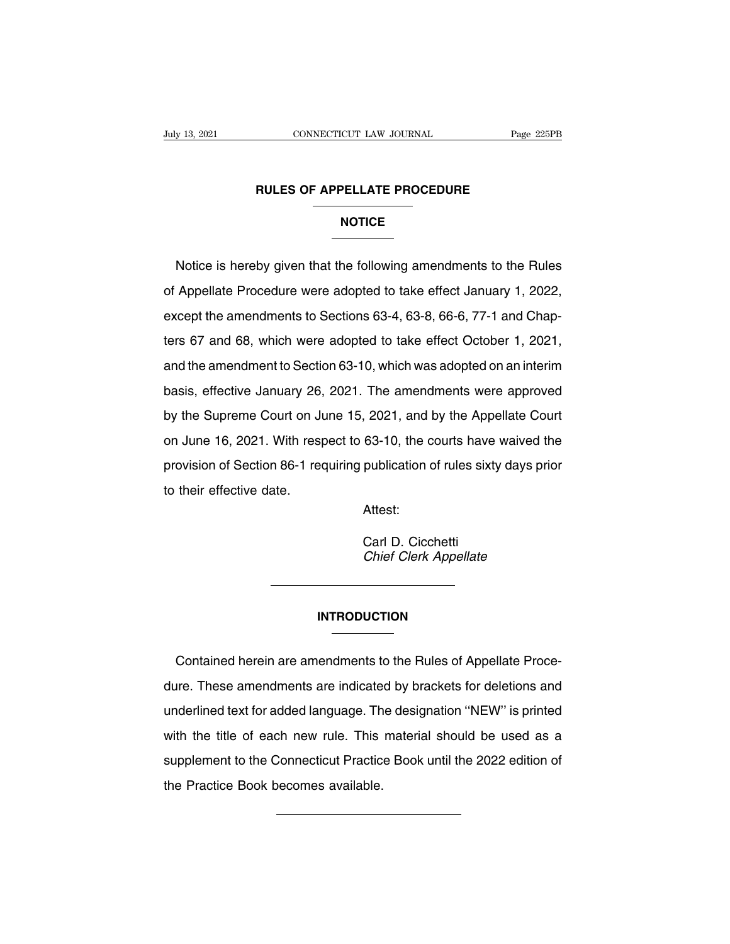# **CONNECTICUT LAW JOURNAL** Page 2:<br> **RULES OF APPELLATE PROCEDURE**

# **NOTICE**

RULES OF APPELLATE PROCEDURE<br>
NOTICE<br>
Notice is hereby given that the following amendments to the Rules<br>
Appellate Procedure were adopted to take effect January 1, 2022, NOTICE<br>Notice is hereby given that the following amendments to the Rules<br>of Appellate Procedure were adopted to take effect January 1, 2022,<br>except the amendments to Sections 63-4, 63-8, 66-6, 77-1 and Chap-Notice is hereby given that the following amendments to the Rules<br>of Appellate Procedure were adopted to take effect January 1, 2022,<br>except the amendments to Sections 63-4, 63-8, 66-6, 77-1 and Chap-<br>ters 67 and 68, which Notice is hereby given that the following amendments to the Rules<br>of Appellate Procedure were adopted to take effect January 1, 2022,<br>except the amendments to Sections 63-4, 63-8, 66-6, 77-1 and Chap-<br>ters 67 and 68, which of Appellate Procedure were adopted to take effect January 1, 2022,<br>except the amendments to Sections 63-4, 63-8, 66-6, 77-1 and Chap-<br>ters 67 and 68, which were adopted to take effect October 1, 2021,<br>and the amendment to basis, effective January 26, 2021. The amendments were approved to take effect October 1, 2021, and the amendment to Section 63-10, which was adopted on an interim basis, effective January 26, 2021. The amendments were app by the differential is to see the set it, set s, set step. The Tand Shapters 67 and 68, which were adopted to take effect October 1, 2021, and the amendment to Section 63-10, which was adopted on an interim basis, effecti on 3 or and 30, which were displosed is divided boost 3005011, 2021,<br>and the amendment to Section 63-10, which was adopted on an interim<br>basis, effective January 26, 2021. The amendments were approved<br>by the Supreme Court basis, effective January 26, 2021. The amendments were approved<br>by the Supreme Court on June 15, 2021, and by the Appellate Court<br>on June 16, 2021. With respect to 63-10, the courts have waived the<br>provision of Section 86by the Supreme Court on June 16, 2021. With resprovision of Section 86-1 red to their effective date. Proposition of rules single<br>publication of rules singlets<br>Carl D. Cicchetti<br>Chief Clerk Appellate publication of rules sixty days prioridates:<br>Attest:<br>Carl D. Cicchetti<br>Chief Clerk Appellate

Attest:

# **INTRODUCTION**

INTRODUCTION<br>
INTRODUCTION<br>
Contained herein are amendments to the Rules of Appellate Proce-<br>
These amendments are indicated by brackets for deletions and INTRODUCTION<br>
Contained herein are amendments to the Rules of Appellate Proce-<br>
dure. These amendments are indicated by brackets for deletions and<br>
underlined text for added language. The designation "NEW" is printed Contained herein are amendments to the Rules of Appellate Proce-<br>dure. These amendments are indicated by brackets for deletions and<br>underlined text for added language. The designation "NEW" is printed<br>with the title of eac Contained herein are amendments to the Rules of Appellate Proce-<br>dure. These amendments are indicated by brackets for deletions and<br>underlined text for added language. The designation "NEW" is printed<br>with the title of eac dure. These amendments are indicated by brackets for deletions and underlined text for added language. The designation "NEW" is printed with the title of each new rule. This material should be used as a supplement to the C dure. These amendments are indicated by brackets for deletions and<br>underlined text for added language. The designation "NEW" is printed<br>with the title of each new rule. This material should be used as a<br>supplement to the C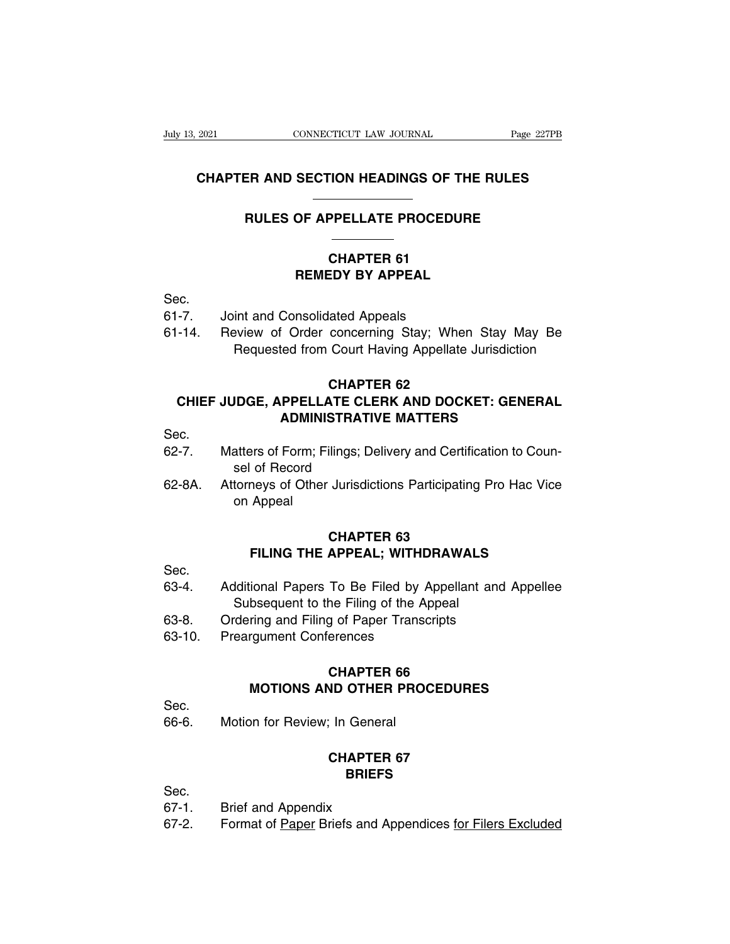# **CONNECTICUT LAW JOURNAL** Page 227PB<br> **CHAPTER AND SECTION HEADINGS OF THE RULES ER AND SECTION HEADINGS OF THE RULES<br>
RULES OF APPELLATE PROCEDURE**

# **CHAPTER SOF THE<br>
PPELLATE PROCEDURE<br>
CHAPTER 61<br>
CHAPTER 61<br>
EDY BY APPEAL RECTION HEADINGS OF THE NO.<br>
THE MORE THE PROCEDURE<br>
CHAPTER 61<br>
REMEDY BY APPEAL**

Sec.

- 
- FINCES OF AFFELLATE FROCEDOR<br>
CHAPTER 61<br>
REMEDY BY APPEAL<br>
Sec.<br>
61-7. Joint and Consolidated Appeals<br>
61-14. Review of Order concerning Stay; Whe CHAPTER 61<br> **CHAPTER 61<br>
Sec.**<br>
61-7. Joint and Consolidated Appeals<br>
61-14. Review of Order concerning Stay; When Stay May Be<br>
Requested from Court Having Appellate Jurisdiction CHAPTER 61<br>
REMEDY BY APPEAL<br>
int and Consolidated Appeals<br>
sview of Order concerning Stay; When Stay May Be<br>
Requested from Court Having Appellate Jurisdiction<br>
214 RTER SO **COMBOS SEARTLANGE SEARTLE CHAPTER 62<br>
CHAPTER 62<br>
<b>CHAPTER 62<br>
STE CLERK AND DOCKINGE STRATIVE MATTERS**

# -7. Joint and Consolidated Appeals<br>
-14. Review of Order concerning Stay; When Stay May Be<br>
Requested from Court Having Appellate Jurisdiction<br> **CHAPTER 62<br>
CHIEF JUDGE, APPELLATE CLERK AND DOCKET: GENERAL<br>
ADMINISTRATIVE** Forder concerning Stay; When Stay May<br>
Led from Court Having Appellate Jurisdiction<br> **CHAPTER 62<br>
PPELLATE CLERK AND DOCKET: GENEI<br>
ADMINISTRATIVE MATTERS** CHAPTER 62<br>CHIEF JUDGE, APPELLATE CLERK AND DOCKET: GENERAL<br>ADMINISTRATIVE MATTERS<br>Sec.<br>62-7. Matters of Form; Filings; Delivery and Certification to Coun-<br>sel of Record **CHAPTE**<br> **IDGE, APPELLATE CLE<br>
ADMINISTRATIV<br>
atters of Form; Filings; De<br>
sel of Record<br>
torneys of Other Jurisdic<br>
on Appoal**

Sec.

- 
- CHIEF JUDGE, APPELLATE CLERK AND DOCKET: GENERAL<br>ADMINISTRATIVE MATTERS<br>Sec.<br>62-7. Matters of Form; Filings; Delivery and Certification to Counsel of Record<br>62-8A. Attorneys of Other Jurisdictions Participating Pro Hac Vic APPENTIFICATIONS<br>
ADMIN<br>
Atters of Form;<br>
sel of Record<br>
torneys of Othe<br>
on Appeal ilings; Delivery and Certific<br>Jurisdictions Participating<br>**CHAPTER 63**<br>**APPEAL; WITHDRAWAI** sel of Record<br>Attorneys of Other Jurisdictions Participating Pro Hac Vice<br>on Appeal<br>**CHAPTER 63**<br>FILING THE APPEAL; WITHDRAWALS

Sec.

- on Appeal<br> **CHAPTER 63<br>
FILING THE APPEAL; WITHDRAWALS**<br>
Sec.<br>
Additional Papers To Be Filed by Appellant and Appellee<br>
Subsequent to the Filing of the Appeal<br>
Contaring and Eiling of Baper Transcripts CHAPTER 63<br>FILING THE APPEAL; WITHDRAWALS<br>dditional Papers To Be Filed by Appellant<br>Subsequent to the Filing of the Appeal<br>dering and Filing of Paper Transcripts CHAPTER 63<br>
FILING THE APPEAL; WITHDRAWALS<br>
63-4. Additional Papers To Be Filed by Appellant and A<br>
Subsequent to the Filing of the Appeal<br>
63-8. Ordering and Filing of Paper Transcripts<br>
63-10. Preargument Conferences FILING THE APPEAL; WITHD<br>
Sec.<br>
63-4. Additional Papers To Be Filed by A<br>
Subsequent to the Filing of the Ap<br>
63-8. Ordering and Filing of Paper Transci<br>
63-10. Preargument Conferences To Be Filed by Appellan<br>he Filing of the Appeal<br>g of Paper Transcripts<br>erences<br>**CHAPTER 66**<br>ND OTHER PROCEDURE
- 
- 

# **Motion Beautier Schools And Schools And Schools And Schools And Schools And OTHER PROCEDURES**<br>
MOTIONS AND OTHER PROCEDURES 63-10. Preargument Conferences<br> **CHAPTER 66<br>
MOTIONS AND OTHER PRC**<br>
Sec. Motion for Review; In General<br> **CHAPTER 67 CHAPTER 66<br>ND OTHER PROCEDURE<br>; In General<br>CHAPTER 67<br>BRIEFS**

Sec.

# **BRIEFS**

Sec.

- 
- 66-6. Motion for Review; In Genera<br> **CHAPTER**<br> **Sec.**<br>
67-1. Brief and Appendix<br>
67-2. Format of <u>Paper</u> Briefs and A **CHAPTER 67<br>
BRIEFS**<br>
Sec.<br>
67-1. Brief and Appendix<br>
67-2. Format of <u>Paper</u> Briefs and Appendices <u>for Filers Excluded</u>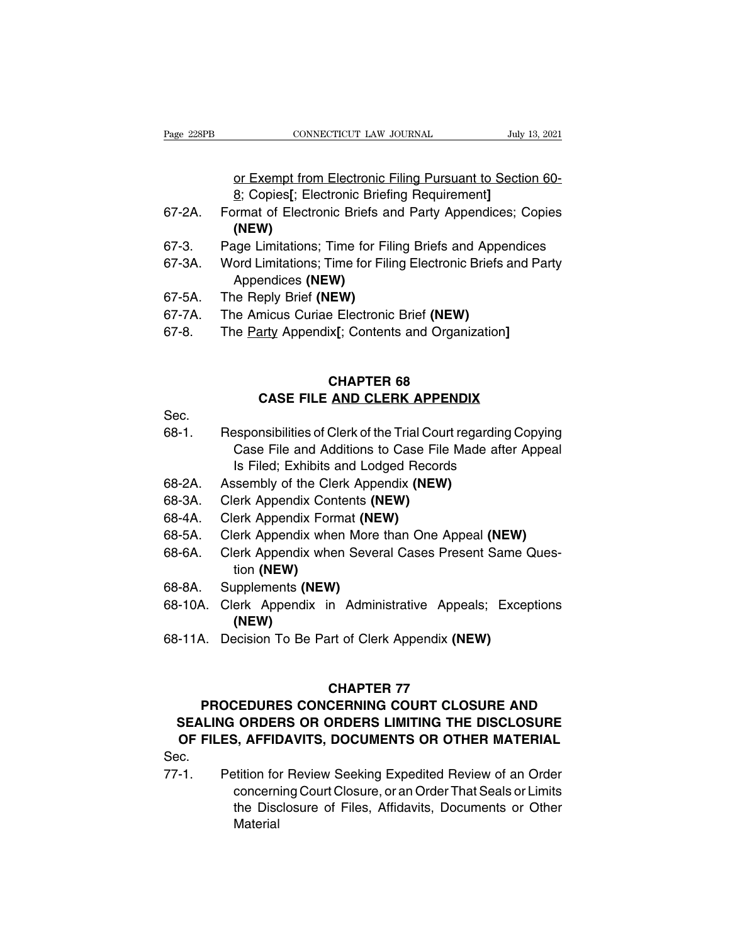| Page 228PB |
|------------|
|            |

CONNECTICUT LAW JOURNAL July 13, 2021<br>
Or Exempt from Electronic Filing Pursuant to Section 60-<br>
8; Copies[; Electronic Briefing Requirement]<br>
Armort of Electronic Briefe and Barty Appardises: Copies CONNECTICUT LAW JOURNAL<br> **Similar CONNECTICUT CONNECTION**<br>
<u>8</u>; Copies[; Electronic Briefing Requirement]<br>
Jurnat of Electronic Briefs and Party Appendices; C

- Page 228PB CONNECTICUT LAW JOURNAL July 13, 2021<br>
or Exempt from Electronic Filing Pursuant to Section 60-<br>
8; Copies[; Electronic Briefing Requirement]<br>
67-2A. Format of Electronic Briefs and Party Appendices; Copies<br>
(NE **(NEW)** or Exempt from Electronic Filing Pursuant to Section 60-<br>8; Copies[; Electronic Briefing Requirement]<br>67-2A. Format of Electronic Briefs and Party Appendices; Copies<br>(NEW)<br>67-3. Page Limitations; Time for Filing Briefs and or Exempt from Electronic Filing Pursuant to Section 60-<br>
8; Copies[; Electronic Briefing Requirement]<br>
67-2A. Format of Electronic Briefs and Party Appendices; Copies<br>
(NEW)<br>
67-3. Page Limitations; Time for Filing Briefs 67-2A. Format of Electronic Briefs ar<br> **(NEW)**<br>
67-3. Page Limitations; Time for Filir<br>
67-3A. Word Limitations; Time for Filir<br>
Appendices **(NEW)**<br>
67-5A. The Reply Brief **(NEW)**<br>
67-7A. The Amicus Curiae Electronic
- 
- Appendices **(NEW)** (**NEW)**<br>67-3. Page Limitations; Time for Filing Briefs and Appe<br>67-3A. Word Limitations; Time for Filing Electronic Briefs<br>Appendices (NEW)<br>67-5A. The Amicus Curiae Electronic Brief (NEW)<br>67-8. The <u>Party</u> Appendix[; Conte Frage Limitations; Time for Filing Briefs and Appendices<br>67-3A. Word Limitations; Time for Filing Electronic Briefs and Party<br>Appendices (NEW)<br>67-5A. The Reply Brief (NEW)<br>67-7A. The Amicus Curiae Electronic Brief (NEW)<br>67
- 
- 
- 

# **CHAPTER 68**<br> **CHAPTER 68**<br> **CHAPTER 68**<br> **CHAPTER 68**<br> **CHAPTER 68 CASE FILE AND CLERK APPENDIX**<br> **CASE FILE AND CLERK APPENDIX**<br> **CASE FILE AND CLERK APPENDIX**

# Sec.

- CHAPTER 68<br>CASE FILE AND CLERK APPENDIX<br>Sec.<br>68-1. Responsibilities of Clerk of the Trial Court regarding Copying<br>Case File and Additions to Case File Made after Appeal<br>Is Filed: Exhibits and Lodged Beeards **CHAPTER 68<br>
CASE FILE AND CLERK APPENDIX**<br>
esponsibilities of Clerk of the Trial Court regarding Copying<br>
Case File and Additions to Case File Made after Appeal<br>
Is Filed; Exhibits and Lodged Records<br>
reambly of the Clerk CASE FILE AND CLERK APPENDIX<br>
Responsibilities of Clerk of the Trial Court regarding Copying<br>
Case File and Additions to Case File Made after Appeal<br>
Is Filed; Exhibits and Lodged Records<br>
Assembly of the Clerk Appendix (N **CASE FILE <u>AND CLERK APPENDIX</u>**<br>
68-1. Responsibilities of Clerk of the Trial Court regard<br>
Case File and Additions to Case File Made<br>
Is Filed; Exhibits and Lodged Records<br>
68-2A. Assembly of the Clerk Appendix (NEW)<br>
68 Sec.<br>
68-1. Responsibilities of Clerk of the Trial Cour<br>
Case File and Additions to Case File<br>
Is Filed; Exhibits and Lodged Record<br>
68-2A. Assembly of the Clerk Appendix (NEW)<br>
68-4A. Clerk Appendix Format (NEW)<br>
68-4A. C 68-1. Responsibilities of Clerk of the Trial Co<br>Case File and Additions to Case Fi<br>Is Filed; Exhibits and Lodged Reco<br>68-2A. Assembly of the Clerk Appendix (NEW)<br>68-3A. Clerk Appendix Format (NEW)<br>68-5A. Clerk Appendix whe Case File and Additions to Case File Made after Appeal<br>
Is Filed; Exhibits and Lodged Records<br>
68-2A. Assembly of the Clerk Appendix (NEW)<br>
68-3A. Clerk Appendix Contents (NEW)<br>
68-4A. Clerk Appendix Format (NEW)<br>
68-5A. C
- 
- 
- 
- 
- Is Filed; Exhibits and Lodged Records<br>68-2A. Assembly of the Clerk Appendix (NEW)<br>68-3A. Clerk Appendix Contents (NEW)<br>68-4A. Clerk Appendix Format (NEW)<br>68-5A. Clerk Appendix when More than One Appeal (NEW)<br>68-6A. Clerk A tion **(NEW)** 68-4A. Clerk Appendix Format (NEW)<br>68-5A. Clerk Appendix when More than One Appeal (NEW)<br>68-6A. Clerk Appendix when Several Cases Present Same Ques-<br>tion (NEW)<br>68-8A. Supplements (NEW)<br>68-10A. Clerk Appendix in Administrat 68-6A. Clerk Appendix when Several Cases Present Same (<br>tion (NEW)<br>68-8A. Supplements (NEW)<br>68-10A. Clerk Appendix in Administrative Appeals; Excer<br>(NEW)<br>68-11A. Decision To Be Part of Clerk Appendix (NEW)
- 68-8A. Supplements **(NEW)**
- **(NEW) COMMUNISTRATIVE Appea<br>
In Administrative Appear<br>
Internative CHAPTER 77<br>
CERNING COURT CLOS<br>
NPPERS LIMITING THE**
- 

# **PROCEDURES CONCERNING COURT CLOSURE AND**<br> **PROCEDURES CONCERNING COURT CLOSURE AND<br>
PROCEDURES CONCERNING COURT CLOSURE AND<br>
LING ORDERS OR ORDERS LIMITING THE DISCLOSURE** SEALING ORDERS ONCERNING COURT CLOSURE AND<br>
SEALING ORDERS OR ORDERS LIMITING THE DISCLOSURE<br>
OF FILES, AFFIDAVITS, DOCUMENTS OR OTHER MATERIAL **CHAPTER 77<br>
PROCEDURES CONCERNING COURT CLOSURE AND<br>
SEALING ORDERS OR ORDERS LIMITING THE DISCLOSURE<br>
OF FILES, AFFIDAVITS, DOCUMENTS OR OTHER MATERIAL**<br>
C. CHAPTER 77<br>
PROCEDURES CONCERNING COURT CLOSURE AND<br>
SEALING ORDERS OR ORDERS LIMITING THE DISCLOSURE<br>
OF FILES, AFFIDAVITS, DOCUMENTS OR OTHER MATERIAL<br>
Sec.<br>
77-1. Petition for Review Seeking Expedited Review of an Order

- Sec.
- CEDURES CONCERNING COURT CLOSURE AND<br>
CORDERS OR ORDERS LIMITING THE DISCLOSURE<br>
S, AFFIDAVITS, DOCUMENTS OR OTHER MATERIAL<br>
etition for Review Seeking Expedited Review of an Order<br>
concerning Court Closure, or an Order Th ORDERS OR ORDERS LIMITING THE DISCLOSURE<br>
S, AFFIDAVITS, DOCUMENTS OR OTHER MATERIAL<br>
etition for Review Seeking Expedited Review of an Order<br>
concerning Court Closure, or an Order That Seals or Limits<br>
the Disclosure of F Material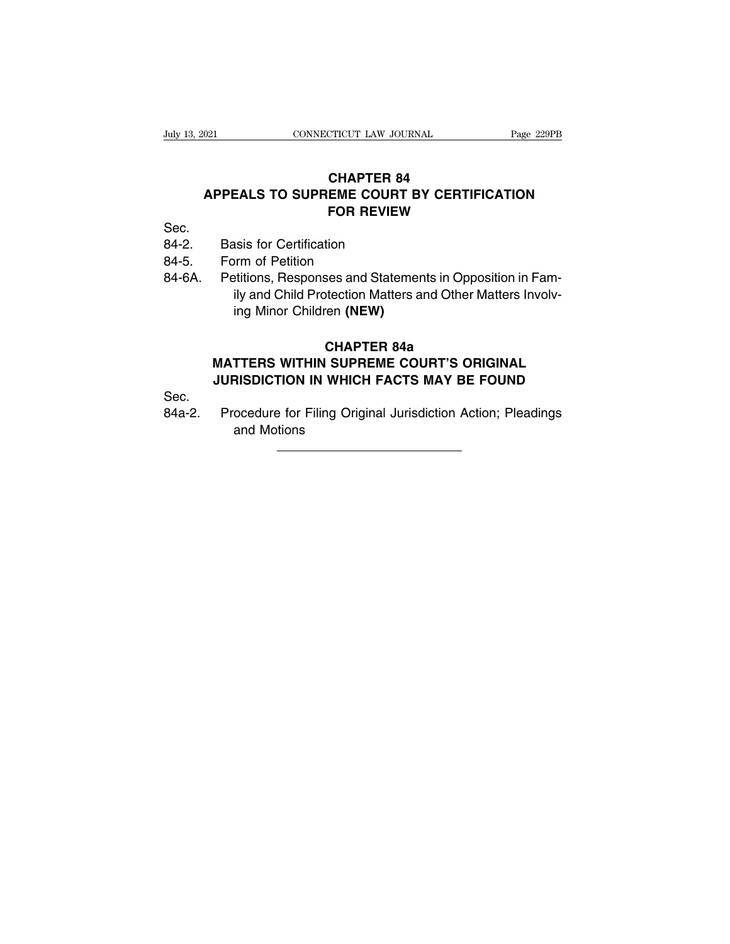# **CTICUT LAW JOURNAL<br>CHAPTER 84<br>EME COURT BY CERTII**<br>EOR PEVIEW **APPEALS TO SUPREME COURT BY CERTIFICATION**<br> **APPEALS TO SUPREME COURT BY CERTIFICATION**<br> **FOR REVIEW FOR THE RAW JOURNAL** PART<br> **FOR REVIEW**<br> **FOR REVIEW**<br> **FOR REVIEW CHAPTER 84<br>
APPEALS TO SUPREME COURT<br>
FOR REVIEW<br>
Sec.<br>
84-2. Basis for Certification<br>
84-5. Form of Petition<br>
84-64. Potitions Bosponsos and Statem CHAPTE<br>
APPEALS TO SUPREME CO<br>
FOR RE<br>
Sec.<br>
84-2. Basis for Certification<br>
84-5. Form of Petition<br>
84-6A. Petitions, Responses and S**

Sec.

- 
- 
- **APPEALS TO SUPREME COURT BY CERTIFICATION**<br> **Sec.**<br>
84-2. Basis for Certification<br>
84-5. Form of Petition<br>
84-6A. Petitions, Responses and Statements in Opposition in Fam-<br>
ily and Child Protection Matters and Other Matte FOR REVIEW<br>FOR REVIEW<br>asis for Certification<br>prim of Petition<br>etitions, Responses and Statements in Opposition in Fam-<br>ily and Child Protection Matters and Other Matters Involv-<br>ing Minor Children (NEW) **increase of Certification**<br>In of Petition<br>Express and Statemer<br>ily and Child Protection Matters a<br>ing Minor Children (NEW) **Ses and Statements in Oppotection Matters and Other I<br>Ten (NEW)<br>CHAPTER 84a<br>CHAPTER 84a<br>CHAPTER COURT'S OF** Petitions, Responses and Statements in Opposition in Family and Child Protection Matters and Other Matters Involving Minor Children (NEW)<br>CHAPTER 84a<br>MATTERS WITHIN SUPREME COURT'S ORIGINAL<br>JURISDICTION IN WHICH FACTS MAY

# **IIy and Child Protection Matters and Other Matters Involving Minor Children (NEW)**<br> **CHAPTER 84a**<br> **MATTERS WITHIN SUPREME COURT'S ORIGINAL<br>
JURISDICTION IN WHICH FACTS MAY BE FOUND**<br>
Procedure for Eiling Original Jurisdi CHAPTER 84a<br>MATTERS WITHIN SUPREME COURT'S ORIGINAL<br>JURISDICTION IN WHICH FACTS MAY BE FOUND<br>Sec.<br>Procedure for Filing Original Jurisdiction Action; Pleadings<br>and Motions

Sec.

MATTERS WITHIN SUPREME COURT'S ORIGINAL<br>JURISDICTION IN WHICH FACTS MAY BE FOUND<br>Procedure for Filing Original Jurisdiction Action; Pleadings<br>and Motions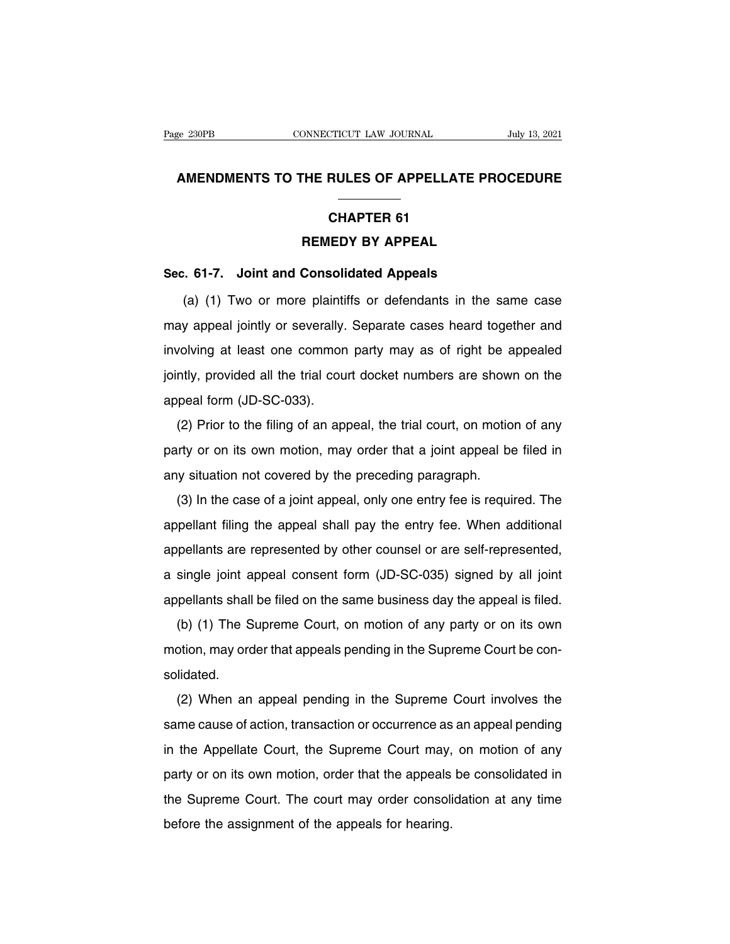# **EXECUTE: AN AMENDMENTS TO THE RULES OF APPELLATE PROCEDURE**

# **CTICUT LAW JOURNAL<br>
RULES OF APPELLATE<br>
CHAPTER 61<br>
CHAPTER 61<br>
IEDY BY APPEAL** THE RULES OF APPELLATE PRO<sub>1</sub><br>
CHAPTER 61<br>
REMEDY BY APPEAL<br>
Consolidated Appeals AMENDMENTS TO THE RULES OF APPELLATE PRONABLE PRONABLE PRONABLE REMEDY BY APPEAL<br>Sec. 61-7. Joint and Consolidated Appeals<br>(a) (1) Two or more plaintiffs or defendants in the s

CHAPTER 61<br>
REMEDY BY APPEAL<br>
EREMEDY BY APPEAL<br>
EREMEDY BY APPEAL<br>
(a) (1) Two or more plaintiffs or defendants in the same case<br>
(a) (1) Two or more plaintiffs or defendants in the same case<br>
y appeal jointly or severall **EXEMEDY BY APPEAL**<br>Sec. 61-7. Joint and Consolidated Appeals<br>(a) (1) Two or more plaintiffs or defendants in the same case<br>may appeal jointly or severally. Separate cases heard together and<br>involving at least one common p Sec. 61-7. Joint and Consolidated Appeals<br>
(a) (1) Two or more plaintiffs or defendants in the same case<br>
may appeal jointly or severally. Separate cases heard together and<br>
involving at least one common party may as of ri (a) (1) Two or more plaintiffs or defendants in the same case<br>may appeal jointly or severally. Separate cases heard together and<br>involving at least one common party may as of right be appealed<br>jointly, provided all the tri may appeal jointly or severally.<br>involving at least one common<br>jointly, provided all the trial cou<br>appeal form (JD-SC-033).<br>(2) Prior to the filing of an ap (2) Prior to the filing of an appeal, the trial court, on motion of any diplomation of the peal form (JD-SC-033).<br>
(2) Prior to the filing of an appeal, the trial court, on motion of any or on its own motion, may order tha

party may actor in the trial court docket numbers are shown on the appeal form (JD-SC-033).<br>(2) Prior to the filing of an appeal, the trial court, on motion of any party or on its own motion, may order that a joint appeal appeal form (JD-SC-033).<br>
(2) Prior to the filing of an appeal, the trial court, on motio<br>
party or on its own motion, may order that a joint appeal be<br>
any situation not covered by the preceding paragraph.<br>
(3) In the cas (2) Prior to the filing of an appeal, the trial court, on motion of any<br>inty or on its own motion, may order that a joint appeal be filed in<br>y situation not covered by the preceding paragraph.<br>(3) In the case of a joint a

party or on its own motion, may order that a joint appeal be filed in<br>any situation not covered by the preceding paragraph.<br>(3) In the case of a joint appeal, only one entry fee is required. The<br>appellant filing the appea party of on its own motion, may order that a joint appear be incent.<br>any situation not covered by the preceding paragraph.<br>(3) In the case of a joint appeal, only one entry fee is required. The<br>appellant filing the appeal (3) In the case of a joint appeal, only one entry fee is required. The appellant filing the appeal shall pay the entry fee. When additional appellants are represented by other counsel or are self-represented, a single join appellant filing the appeal shall pay the entry fee. When additional<br>appellants are represented by other counsel or are self-represented,<br>a single joint appeal consent form (JD-SC-035) signed by all joint<br>appellants shall pellants are represented by other counsel or are self-represented,<br>single joint appeal consent form (JD-SC-035) signed by all joint<br>pellants shall be filed on the same business day the appeal is filed.<br>(b) (1) The Supreme

a single joint appeal consent form (JD-SC-035) signed by all joint appellants shall be filed on the same business day the appeal is filed.<br>(b) (1) The Supreme Court, on motion of any party or on its own motion, may order t solidated. (b) (1) The Supreme Court, on motion of any party or on its own<br>otion, may order that appeals pending in the Supreme Court be con-<br>lidated.<br>(2) When an appeal pending in the Supreme Court involves the<br>me cause of action, t

same cause of action, transaction or occurrence as an appeal pending<br>in the Supreme Court be consolidated.<br>Same cause of action, transaction or occurrence as an appeal pending<br>in the Appellate Court, the Supreme Court may solidated.<br>
(2) When an appeal pending in the Supreme Court involves the<br>
same cause of action, transaction or occurrence as an appeal pending<br>
in the Appellate Court, the Supreme Court may, on motion of any<br>
party or on i (2) When an appeal pending in the Supreme Court involves the<br>same cause of action, transaction or occurrence as an appeal pending<br>in the Appellate Court, the Supreme Court may, on motion of any<br>party or on its own motion, (L) Wholf an appear pollomig in the expreme Court inverted the<br>same cause of action, transaction or occurrence as an appeal pending<br>in the Appellate Court, the Supreme Court may, on motion of any<br>party or on its own motion before the Appellate Court, the Supreme Court may,<br>party or on its own motion, order that the appeals<br>the Supreme Court. The court may order consoli<br>before the assignment of the appeals for hearing.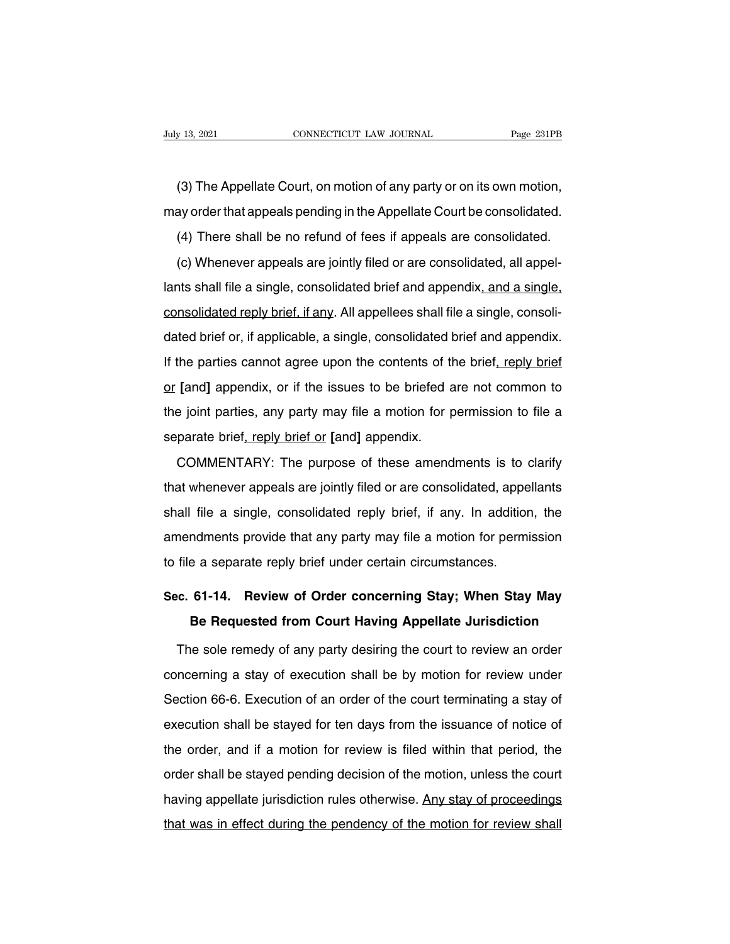Vector 13, 2021<br>
(3) The Appellate Court, on motion of any party or on its own motion,<br>
(3) The Appellate Court, on motion of any party or on its own motion,<br>
ay order that appeals pending in the Appellate Court be consoli Daly 13, 2021 CONNECTICUT LAW JOURNAL Page 231PB<br>
(3) The Appellate Court, on motion of any party or on its own motion,<br>
may order that appeals pending in the Appellate Court be consolidated.<br>
(4) There shall be no refund (3) The Appellate Court, on motion of any party or on its own motion,<br>ay order that appeals pending in the Appellate Court be consolidated.<br>(4) There shall be no refund of fees if appeals are consolidated.<br>(c) Whenever app

(3) The Appellate Court, on motion of any party or on its own motion,<br>ay order that appeals pending in the Appellate Court be consolidated.<br>(4) There shall be no refund of fees if appeals are consolidated.<br>(c) Whenever app (a) the repeature sealty shall file a single pending in the Appellate Court be consolidated.<br>
(4) There shall be no refund of fees if appeals are consolidated.<br>
(c) Whenever appeals are jointly filed or are consolidated, a (4) There shall be no refund of fees if appeals are consolidated.<br>
(c) Whenever appeals are jointly filed or are consolidated, all appel-<br>
lants shall file a single, consolidated brief and appendix, and a single,<br>
consolid (c) Whenever appeals are jointly filed or are consolidated, all appel-<br>lants shall file a single, consolidated brief and appendix, and a single,<br>consolidated reply brief, if any. All appellees shall file a single, consoli-Iants shall file a single, consolidated brief and appendix, and a single, consolidated reply brief, if any. All appellees shall file a single, consolidated brief or, if applicable, a single, consolidated brief and appendix consolidated reply brief, if any. All appellees shall file a single, consolidated brief or, if applicable, a single, consolidated brief and appendix.<br>If the parties cannot agree upon the contents of the brief, reply brief dated brief or, if applicable, a single, consolidated brief and appendix.<br>If the parties cannot agree upon the contents of the brief, reply brief<br>or [and] appendix, or if the issues to be briefed are not common to<br>the join If the parties cannot agree upon the contents of the parties cannot agree upon the contents of the **[**and**]** appendix, or if the issues to be briefed a the joint parties, any party may file a motion for p separate brief, r [and] appendix, or if the issues to be briefed are not common to<br>a joint parties, any party may file a motion for permission to file a<br>parate brief, reply brief or [and] appendix.<br>COMMENTARY: The purpose of these amendment

the joint parties, any party may file a motion for permission to file a<br>separate brief, reply brief or [and] appendix.<br>COMMENTARY: The purpose of these amendments is to clarify<br>that whenever appeals are jointly filed or ar separate brief, reply brief or [and] appendix.<br>COMMENTARY: The purpose of these amendments is to clarify<br>that whenever appeals are jointly filed or are consolidated, appellants<br>shall file a single, consolidated reply brief comments is to clarify<br>comments is to clarify<br>that whenever appeals are jointly filed or are consolidated, appellants<br>shall file a single, consolidated reply brief, if any. In addition, the<br>amendments provide that any part that whenever appeals are jointly filed or are consolidated, appe<br>shall file a single, consolidated reply brief, if any. In additior<br>amendments provide that any party may file a motion for permi<br>to file a separate reply br Shall file a single, consolidated reply brief, if any. In addition, the amendments provide that any party may file a motion for permission<br>to file a separate reply brief under certain circumstances.<br>Sec. 61-14. Review of O Indments provide that any party may file a motion for permission<br> **Be Appellate From Court Having Appellate Jurisdiction**<br> **Be Requested from Court Having Appellate Jurisdiction**<br>
The sole remedy of any party desiring the

file a separate reply brief under certain circumstances.<br> **c. 61-14. Review of Order concerning Stay; When Stay May**<br> **Be Requested from Court Having Appellate Jurisdiction**<br>
The sole remedy of any party desiring the court Sec. 61-14. Review of Order concerning Stay; When Stay May<br>Be Requested from Court Having Appellate Jurisdiction<br>The sole remedy of any party desiring the court to review an order<br>concerning a stay of execution shall be by Be Requested from Court Having Appellate Jurisdiction<br>The sole remedy of any party desiring the court to review an order<br>concerning a stay of execution shall be by motion for review under<br>Section 66-6. Execution of an orde The sole remedy of any party desiring the court to review an order<br>concerning a stay of execution shall be by motion for review under<br>Section 66-6. Execution of an order of the court terminating a stay of<br>execution shall b the octor can be can be by motion for review under<br>Section 66-6. Execution of an order of the court terminating a stay of<br>execution shall be stayed for ten days from the issuance of notice of<br>the order, and if a motion for Section 66-6. Execution of an order of the court terminating a stay of execution shall be stayed for ten days from the issuance of notice of the order, and if a motion for review is filed within that period, the order shal execution shall be stayed for ten days from the issuance of notice of<br>the order, and if a motion for review is filed within that period, the<br>order shall be stayed pending decision of the motion, unless the court<br>having app the order, and if a motion for review is filed within that period, the order shall be stayed pending decision of the motion, unless the court having appellate jurisdiction rules otherwise. Any stay of proceedings that was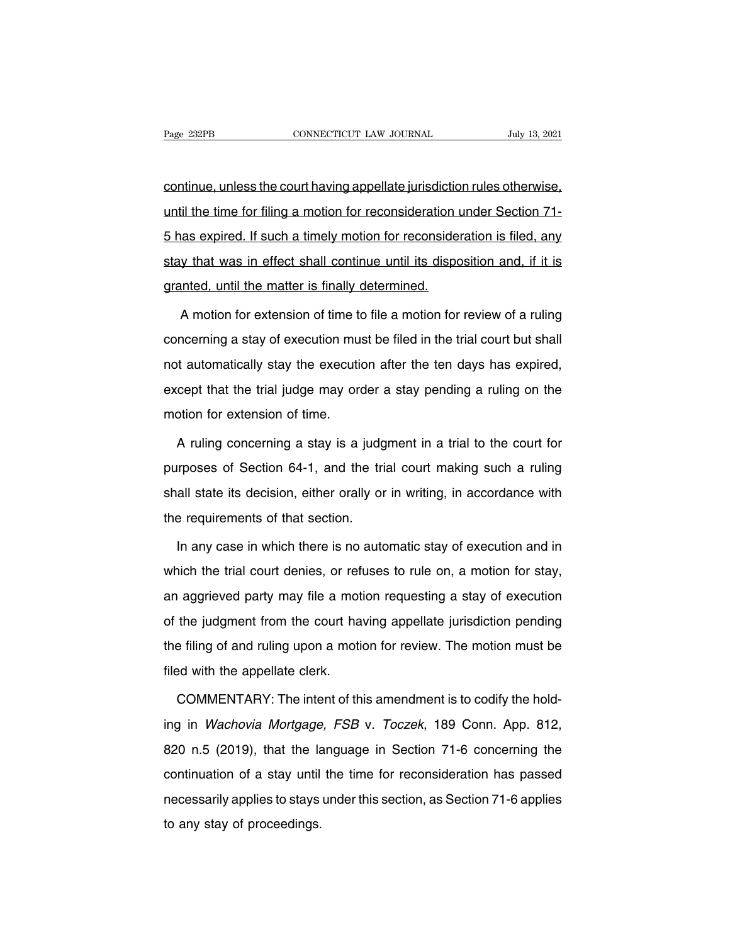Page 232PB CONNECTICUT LAW JOURNAL July 13, 2021<br>
continue, unless the court having appellate jurisdiction rules otherwise,<br>
until the time for filing a motion for reconsideration under Section 71-Example 232PB<br>
until the time for filing a motion for reconsideration rules otherwise,<br>
until the time for filing a motion for reconsideration under Section 71-<br>
5 has expired. If such a timely motion for reconsideration i Franciscontinue, unless the court having appellate jurisdiction rules otherwise,<br>
until the time for filing a motion for reconsideration under Section 71-<br>
5 has expired. If such a timely motion for reconsideration is file station in the state court in a single payallate jurisdiction rules otherwise,<br>that it he time for filing a motion for reconsideration under Section 71-<br>5 has expired. If such a timely motion for reconsideration is filed, granted, and the south having appoint of pricedure<br>until the time for filing a motion for reconsideration is<br>5 has expired. If such a timely motion for reconside<br>stay that was in effect shall continue until its dispo<br>grant as expired. If such a timely motion for reconsideration is filed, any<br>y that was in effect shall continue until its disposition and, if it is<br>anted, until the matter is finally determined.<br>A motion for extension of time to

concerning a stay of execution must be filed in the trial control.<br>A motion for extension of time to file a motion for review of a ruling<br>concerning a stay of execution must be filed in the trial court but shall<br>not automa granted, until the matter is finally determined.<br>A motion for extension of time to file a motion for review of a ruling<br>concerning a stay of execution must be filed in the trial court but shall<br>not automatically stay the e A motion for extension of time to file a motion for review of a ruling<br>concerning a stay of execution must be filed in the trial court but shall<br>not automatically stay the execution after the ten days has expired,<br>except t concerning a stay of execution must<br>not automatically stay the execution<br>except that the trial judge may ore<br>motion for extension of time.<br>A ruling concerning a stay is a It automatically stay the execution after the ten days has expired,<br>cept that the trial judge may order a stay pending a ruling on the<br>otion for extension of time.<br>A ruling concerning a stay is a judgment in a trial to the

except that the trial judge may order a stay pending a ruling on the<br>motion for extension of time.<br>A ruling concerning a stay is a judgment in a trial to the court for<br>purposes of Section 64-1, and the trial court making s shall state its decision of time.<br>A ruling concerning a stay is a judgment in a trial to the court for<br>purposes of Section 64-1, and the trial court making such a ruling<br>shall state its decision, either orally or in writin A ruling concerning a stay is a judg<br>purposes of Section 64-1, and the tri<br>shall state its decision, either orally or<br>the requirements of that section.<br>In any case in which there is no auto Im any case of Section 64-1, and the trial court making such a ruling<br>all state its decision, either orally or in writing, in accordance with<br>e requirements of that section.<br>In any case in which there is no automatic stay

shall state its decision, either orally or in writing, in accordance with<br>the requirements of that section.<br>In any case in which there is no automatic stay of execution and in<br>which the trial court denies, or refuses to ru the requirements of that section.<br>
In any case in which there is no automatic stay of execution and in<br>
which the trial court denies, or refuses to rule on, a motion for stay,<br>
an aggrieved party may file a motion requesti In any case in which there is no automatic stay of execution and in<br>which the trial court denies, or refuses to rule on, a motion for stay,<br>an aggrieved party may file a motion requesting a stay of execution<br>of the judgmen which the trial court denies, or refuses to rule on, a motion for stay,<br>an aggrieved party may file a motion requesting a stay of execution<br>of the judgment from the court having appellate jurisdiction pending<br>the filing of an aggrieved party may file a mot<br>of the judgment from the court ha<br>the filing of and ruling upon a motifiled with the appellate clerk.<br>COMMENTARY: The intent of th the judgment from the court having appellate jurisdiction pending<br>e filing of and ruling upon a motion for review. The motion must be<br>ed with the appellate clerk.<br>COMMENTARY: The intent of this amendment is to codify the h

the filing of and ruling upon a motion for review. The motion must be<br>filed with the appellate clerk.<br>COMMENTARY: The intent of this amendment is to codify the hold-<br>ing in Wachovia Mortgage, FSB v. Toczek, 189 Conn. App. filed with the appellate clerk.<br>
COMMENTARY: The intent of this amendment is to codify the hold-<br>
ing in Wachovia Mortgage, FSB v. Toczek, 189 Conn. App. 812,<br>
820 n.5 (2019), that the language in Section 71-6 concerning t COMMENTARY: The intent of this amendment is to codify the hold-<br>ing in Wachovia Mortgage, FSB v. Toczek, 189 Conn. App. 812,<br>820 n.5 (2019), that the language in Section 71-6 concerning the<br>continuation of a stay until the ing in *Wachovia Mortgage, FSB v. Toczek*, 189 Conn. App. 812, 820 n.5 (2019), that the language in Section 71-6 concerning the continuation of a stay until the time for reconsideration has passed necessarily applies to st to any state of a stay until<br>the continuation of a stay until<br>necessarily applies to stays<br>to any stay of proceedings.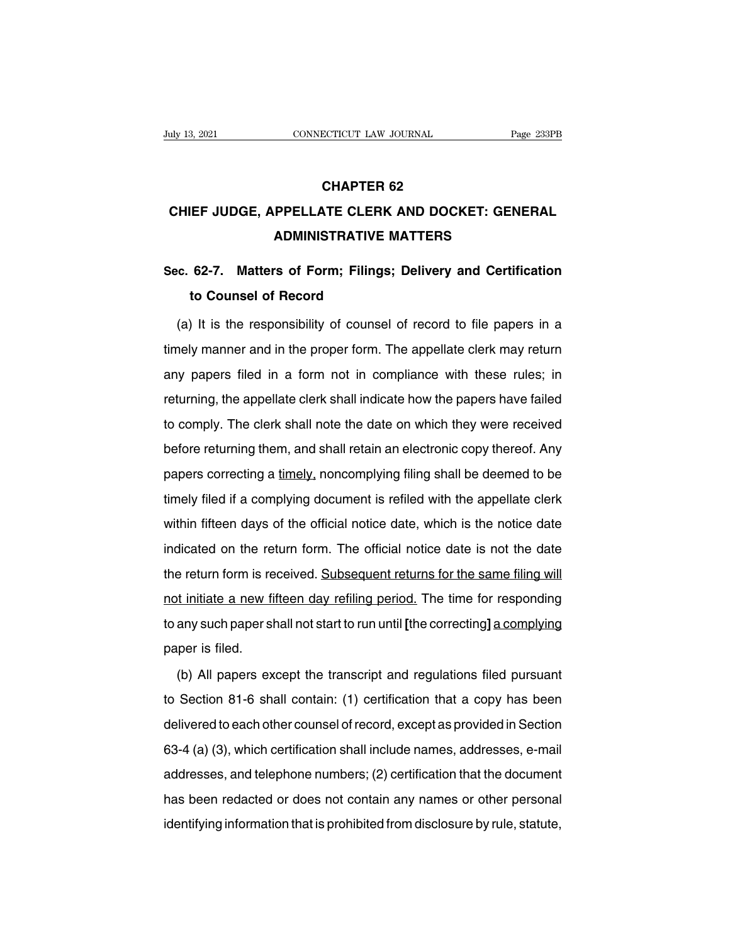# **ECTICUT LAW JOURNAL<br>CHAPTER 62<br>TE CLERK AND DOCK** <u>CONNECTICUT LAW JOURNAL Page 233PB</u><br>CHAPTER 62<br>CHIEF JUDGE, APPELLATE CLERK AND DOCKET: GENERAL<br>ADMINISTRATIVE MATTERS **CHAPTER 62<br>
PPELLATE CLERK AND DOCKET: GENE<br>
ADMINISTRATIVE MATTERS<br>
Configures: Delivery and Contific the Full of Science Separate Seart Seart Seart Seart Seart Seart Seart Seart Seart Seart Seart Seart Seart Seart Seart Seart Seart Seart Seart Seart Seart Seart Seart Seart Seart Seart Seart Seart Seart Seart Seart Seart**

# **CHAPTER 62<br>CHIEF JUDGE, APPELLATE CLERK AND DOCKET: GENERAL<br>ADMINISTRATIVE MATTERS<br>Sec. 62-7. Matters of Form; Filings; Delivery and Certification<br>to Counsel of Record**

ADMINISTRATIVE MATTERS<br>
(c. 62-7. Matters of Form; Filings; Delivery and Certification<br>
to Counsel of Record<br>
(a) It is the responsibility of counsel of record to file papers in a<br>
nely manner and in the proper form. The a Sec. 62-7. Matters of Form; Filings; Delivery and Certification<br>to Counsel of Record<br>(a) It is the responsibility of counsel of record to file papers in a<br>timely manner and in the proper form. The appellate clerk may retur to Counsel of Record<br>
(a) It is the responsibility of counsel of record to file papers in a<br>
timely manner and in the proper form. The appellate clerk may return<br>
any papers filed in a form not in compliance with these rul (a) It is the responsibility of counsel of record to file papers in a timely manner and in the proper form. The appellate clerk may return any papers filed in a form not in compliance with these rules; in returning, the ap timely manner and in the proper form. The appellate clerk may return<br>any papers filed in a form not in compliance with these rules; in<br>returning, the appellate clerk shall indicate how the papers have failed<br>to comply. The any papers filed in a form not in compliance with these rules; in<br>returning, the appellate clerk shall indicate how the papers have failed<br>to comply. The clerk shall note the date on which they were received<br>before returni papers mode in a form frot in compliance with those falled to comply. The clerk shall note the date on which they were received before returning them, and shall retain an electronic copy thereof. Any papers correcting a ti to comply. The clerk shall note the date on which they were received<br>before returning them, and shall retain an electronic copy thereof. Any<br>papers correcting a timely, noncomplying filing shall be deemed to be<br>timely file before returning them, and shall retain an electronic copy thereof. Any<br>papers correcting a timely, noncomplying filing shall be deemed to be<br>timely filed if a complying document is refiled with the appellate clerk<br>within papers correcting a timely, noncomplying filing shall be deemed to be<br>timely filed if a complying document is refiled with the appellate clerk<br>within fifteen days of the official notice date, which is the notice date<br>indic papers sensoang a **annoty** nonsomplying imity shall be decided to be timely filed if a complying document is refiled with the appellate clerk within fifteen days of the official notice date, which is the notice date indica within fifteen days of the official notice date, which is the notice date<br>indicated on the return form. The official notice date is not the date<br>the return form is received. Subsequent returns for the same filing will<br>not indicated on the return form. The official notice date is not the date<br>the return form is received. Subsequent returns for the same filing will<br>not initiate a new fifteen day refiling period. The time for responding<br>to any the return form is re<br>the return form is re<br>not initiate a new fi<br>to any such paper sh<br>paper is filed.<br>(b) All papers ex It initiate a new fifteen day refiling period. The time for responding<br>any such paper shall not start to run until [the correcting] a complying<br>per is filed.<br>(b) All papers except the transcript and regulations filed pursu

to any such paper shall not start to run until [the correcting] a complying<br>paper is filed.<br>(b) All papers except the transcript and regulations filed pursuant<br>to Section 81-6 shall contain: (1) certification that a copy h paper is filed.<br>
(b) All papers except the transcript and regulations filed pursuant<br>
to Section 81-6 shall contain: (1) certification that a copy has been<br>
delivered to each other counsel of record, except as provided in (b) All papers except the transcript and regulations filed pursuant<br>to Section 81-6 shall contain: (1) certification that a copy has been<br>delivered to each other counsel of record, except as provided in Section<br>63-4 (a) ( to Section 81-6 shall contain: (1) certification that a copy has been delivered to each other counsel of record, except as provided in Section 63-4 (a) (3), which certification shall include names, addresses, e-mail addres delivered to each other counsel of record, except as provided in Section<br>63-4 (a) (3), which certification shall include names, addresses, e-mail<br>addresses, and telephone numbers; (2) certification that the document<br>has be dentified to eddition occurred or riceord, exceptual provided in economic 63-4 (a) (3), which certification shall include names, addresses, e-mail addresses, and telephone numbers; (2) certification that the document has b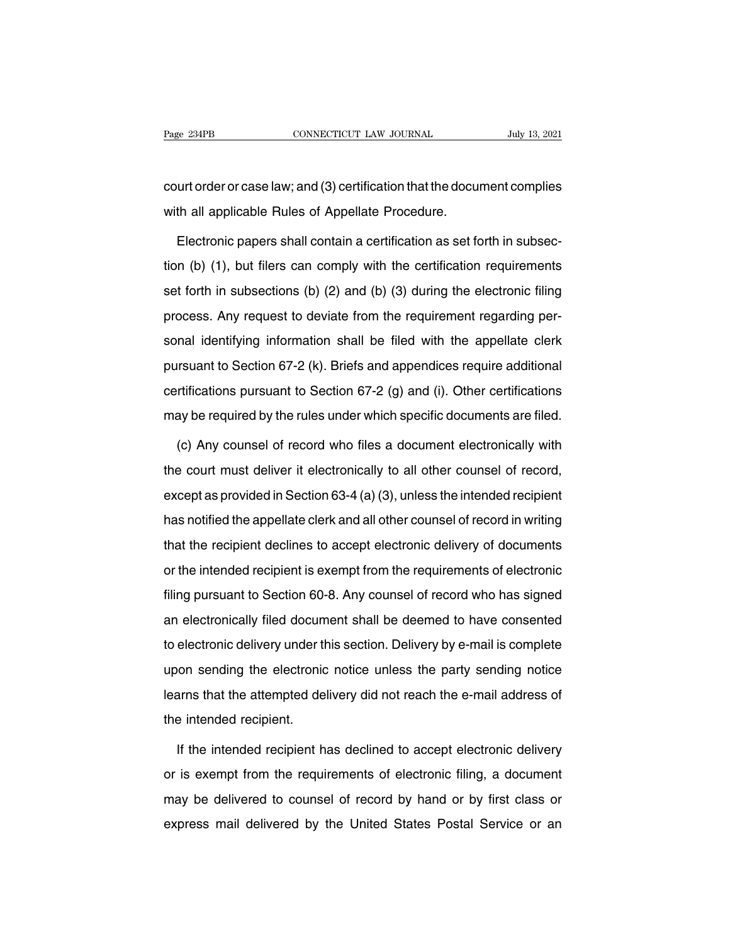Page 234PB<br>
count order or case law; and (3) certification that the document complies<br>
with all applicable Rules of Appellate Procedure. Page 234PB CONNECTICUT LAW JOURNAL<br>Court order or case law; and (3) certification that the docu<br>with all applicable Rules of Appellate Procedure.<br>Electronic papers shall contain a certification as set fo

urt order or case law; and (3) certification that the document complies<br>th all applicable Rules of Appellate Procedure.<br>Electronic papers shall contain a certification as set forth in subsec-<br>n (b) (1), but filers can comp court order or case law; and (3) certification that the document complies<br>with all applicable Rules of Appellate Procedure.<br>Electronic papers shall contain a certification as set forth in subsec-<br>tion (b) (1), but filers c with all applicable Rules of Appellate Procedure.<br>Electronic papers shall contain a certification as set forth in subsec-<br>tion (b) (1), but filers can comply with the certification requirements<br>set forth in subsections (b) Electronic papers shall contain a certification as set forth in subsection (b) (1), but filers can comply with the certification requirements set forth in subsections (b) (2) and (b) (3) during the electronic filing proces Licentifying information is continued be first in transies tion (b) (1), but filers can comply with the certification requirements set forth in subsections (b) (2) and (b) (3) during the electronic filing process. Any requ set forth in subsections (b) (2) and (b) (3) during the electronic filing<br>process. Any request to deviate from the requirement regarding per-<br>sonal identifying information shall be filed with the appellate clerk<br>pursuant process. Any request to deviate from the requirement regarding per-<br>sonal identifying information shall be filed with the appellate clerk<br>pursuant to Section 67-2 (k). Briefs and appendices require additional<br>certificatio sonal identifying information shall be filed with the appellate clerk<br>pursuant to Section 67-2 (k). Briefs and appendices require additional<br>certifications pursuant to Section 67-2 (g) and (i). Other certifications<br>may be Insuant to Section 67-2 (k). Briefs and appendices require additional<br>
rtifications pursuant to Section 67-2 (g) and (i). Other certifications<br>
ay be required by the rules under which specific documents are filed.<br>
(c) Any

certifications pursuant to Section 67-2 (g) and (i). Other certifications<br>may be required by the rules under which specific documents are filed.<br>(c) Any counsel of record who files a document electronically with<br>the court may be required by the rules under which specific documents are filed.<br>
(c) Any counsel of record who files a document electronically with<br>
the court must deliver it electronically to all other counsel of record,<br>
except a (c) Any counsel of record who files a document electronically with<br>the court must deliver it electronically to all other counsel of record,<br>except as provided in Section 63-4 (a) (3), unless the intended recipient<br>has noti the court must deliver it electronically to all other counsel of record,<br>except as provided in Section 63-4 (a) (3), unless the intended recipient<br>has notified the appellate clerk and all other counsel of record in writin except as provided in Section 63-4 (a) (3), unless the intended recipient<br>has notified the appellate clerk and all other counsel of record in writing<br>that the recipient declines to accept electronic delivery of documents<br>o Filing provided in Section 60-8. And all other counsel of record in writing<br>that the recipient declines to accept electronic delivery of documents<br>or the intended recipient is exempt from the requirements of electronic<br>fi That the recipient declines to accept electronic delivery of documents<br>or the intended recipient is exempt from the requirements of electronic<br>filing pursuant to Section 60-8. Any counsel of record who has signed<br>an electr or the intended recipient is exempt from the requirements of electronic<br>filing pursuant to Section 60-8. Any counsel of record who has signed<br>an electronically filed document shall be deemed to have consented<br>to electronic filing pursuant to Section 60-8. Any counsel of record who has signed<br>an electronically filed document shall be deemed to have consented<br>to electronic delivery under this section. Delivery by e-mail is complete<br>upon sendin learns that the attempted delivery did not reach the e-mail address of the intended recipient.<br>Here are a section of the e-mail is complete upon sending the electronic notice unless the party sending notice<br>learns that the to electronic delivery under the vision sending the electronic<br>learns that the attempted de<br>the intended recipient.<br>If the intended recipient h If the intended recipient as declined to accept electronic delivery<br>If the intended recipient.<br>If the intended recipient has declined to accept electronic delivery<br>is exempt from the requirements of electronic filing, a do

learns that the attempted delivery did not reach the e-mail address of<br>the intended recipient.<br>If the intended recipient has declined to accept electronic delivery<br>or is exempt from the requirements of electronic filing, a the intended recipient.<br>If the intended recipient has declined to accept electronic delivery<br>or is exempt from the requirements of electronic filing, a document<br>may be delivered to counsel of record by hand or by first cla If the intended recipient has declined to accept electronic delivery<br>or is exempt from the requirements of electronic filing, a document<br>may be delivered to counsel of record by hand or by first class or<br>express mail deliv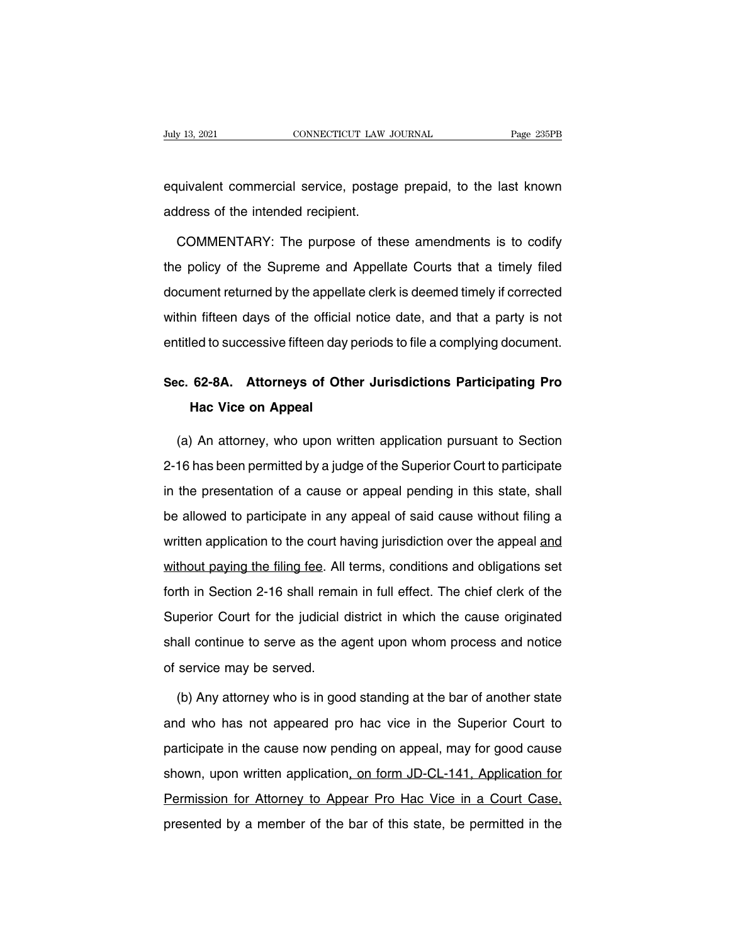Finds and the commercial service of the intended recipient.<br>
East known address of the intended recipient. July 13, 2021 CONNECTICUT LAW.<br>
Equivalent commercial service, postage<br>
address of the intended recipient.<br>
COMMENTARY: The purpose of the

uivalent commercial service, postage prepaid, to the last known<br>Idress of the intended recipient.<br>COMMENTARY: The purpose of these amendments is to codify<br>Pe policy of the Supreme and Appellate Courts that a timely filed equivalent commercial service, postage prepaid, to the last known<br>address of the intended recipient.<br>COMMENTARY: The purpose of these amendments is to codify<br>the policy of the Supreme and Appellate Courts that a timely fil address of the intended recipient.<br>
COMMENTARY: The purpose of these amendments is to codify<br>
the policy of the Supreme and Appellate Courts that a timely filed<br>
document returned by the appellate clerk is deemed timely if COMMENTARY: The purpose of these amendments is to codify<br>the policy of the Supreme and Appellate Courts that a timely filed<br>document returned by the appellate clerk is deemed timely if corrected<br>within fifteen days of the dentifier to successive fifteen day periods to file a complying document.<br>
When policy of the Supreme and Appellate Courts that a timely filed<br>
document returned by the appellate clerk is deemed timely if corrected<br>
within document returned by the appellate clerk is deemed timely if corrected<br>within fifteen days of the official notice date, and that a party is not<br>entitled to successive fifteen day periods to file a complying document.<br>Sec. m fifteen days of the official<br>**Hac Vice on Appeal**<br>**Hac Vice on Appeal**<br>An attorneys who upon w

(a) An attorney, who upon written applications Participating Pro<br>
(a) An attorney, who upon written application pursuant to Section<br>
16 has been permitted by a judge of the Superior Court to participate Sec. 62-8A. Attorneys of Other Jurisdictions Participating Pro<br>Hac Vice on Appeal<br>(a) An attorney, who upon written application pursuant to Section<br>2-16 has been permitted by a judge of the Superior Court to participate<br>in in the Vice on Appeal<br>
(a) An attorney, who upon written application pursuant to Section<br>
2-16 has been permitted by a judge of the Superior Court to participate<br>
in the presentation of a cause or appeal pending in this st (a) An attorney, who upon written application pursuant to Section<br>2-16 has been permitted by a judge of the Superior Court to participate<br>in the presentation of a cause or appeal pending in this state, shall<br>be allowed to 2-16 has been permitted by a judge of the Superior Court to participate<br>in the presentation of a cause or appeal pending in this state, shall<br>be allowed to participate in any appeal of said cause without filing a<br>written a In the presentation of a cause or appeal pending in this state, shall<br>be allowed to participate in any appeal of said cause without filing a<br>written application to the court having jurisdiction over the appeal and<br>without for allowed to participate in any appeal of said cause without filing a<br>written application to the court having jurisdiction over the appeal and<br>without paying the filing fee. All terms, conditions and obligations set<br>fort Superior Court for the court having jurisdiction over the appeal and<br>without paying the filing fee. All terms, conditions and obligations set<br>forth in Section 2-16 shall remain in full effect. The chief clerk of the<br>Superi without paying the filing fee. All terms, conditions and obligations set<br>forth in Section 2-16 shall remain in full effect. The chief clerk of the<br>Superior Court for the judicial district in which the cause originated<br>shal without paying the filing fee. All terms, conditions and obligations set<br>forth in Section 2-16 shall remain in full effect. The chief clerk of the<br>Superior Court for the judicial district in which the cause originated<br>shal (b) Any attorney who is in good standing at the Superior Court to has not appeared pro hac vice in the Superior Court to

shall continue to serve as the agent upon whom process and notice<br>of service may be served.<br>(b) Any attorney who is in good standing at the bar of another state<br>and who has not appeared pro hac vice in the Superior Court t of service may be served.<br>
(b) Any attorney who is in good standing at the bar of another state<br>
and who has not appeared pro hac vice in the Superior Court to<br>
participate in the cause now pending on appeal, may for good (b) Any attorney who is in good standing at the bar of another state<br>and who has not appeared pro hac vice in the Superior Court to<br>participate in the cause now pending on appeal, may for good cause<br>shown, upon written app and who has not appeared pro hac vice in the Superior Court to<br>participate in the cause now pending on appeal, may for good cause<br>shown, upon written application<u>, on form JD-CL-141, Application for</u><br>Permission for Attorne participate in the cause now pending on appeal, may for good cause<br>shown, upon written application, on form JD-CL-141, Application for<br>Permission for Attorney to Appear Pro Hac Vice in a Court Case,<br>presented by a member o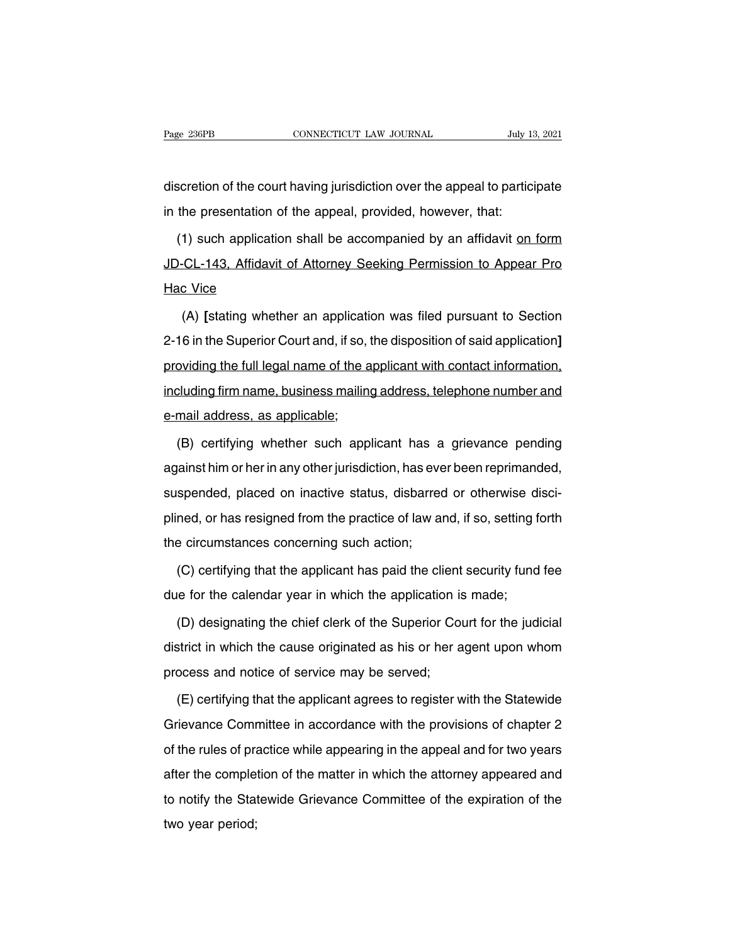Page 236PB<br>
CONNECTICUT LAW JOURNAL<br>
discretion of the court having jurisdiction over the appeal to participate<br>
in the presentation of the appeal, provided, however, that: Eage 236PB CONNECTICUT LAW JOURNAL July 1:<br>
discretion of the court having jurisdiction over the appeal to partici<br>
in the presentation of the appeal, provided, however, that:<br>
(1) such application shall be accompanied by

Scretion of the court having jurisdiction over the appeal to participate<br>
the presentation of the appeal, provided, however, that:<br>
(1) such application shall be accompanied by an affidavit <u>on form</u><br>
D-CL-143, Affidavit o discretion of the court having jurisdiction over the appeal to participate<br>in the presentation of the appeal, provided, however, that:<br>(1) such application shall be accompanied by an affidavit <u>on form</u><br>JD-CL-143, Affidavi in the presentation c<br>
(1) such application<br>
JD-CL-143, Affidavit<br>
Hac Vice<br>
(A) [stating wheth 1) such application shall be accompanied by an affidavit <u>on form</u><br>CL-143, Affidavit of Attorney Seeking Permission to Appear Pro<br>c Vice<br>(A) [stating whether an application was filed pursuant to Section<br>6 in the Superior C

2-16 in the Superior Court and, if so, the disposition of said application<br>2-16 in the Superior Court and, if so, the disposition of said application<br>2-16 in the Superior Court and, if so, the disposition of said applicati From Frontier Hac Vice<br>
(A) [stating whether an application was filed pursuant to Section<br>
2-16 in the Superior Court and, if so, the disposition of said application]<br>
providing the full legal name of the applicant with co (A) [stating whether an application was filed pursuant to Section<br>2-16 in the Superior Court and, if so, the disposition of said application]<br>providing the full legal name of the applicant with contact information,<br>includi (A) [stating whether an application was filed pursuant to Section<br>2-16 in the Superior Court and, if so, the disposition of said application]<br>providing the full legal name of the applicant with contact information,<br>includi (b) coviding the full legal name of the applicant with contact information,<br>
cluding firm name, business mailing address, telephone number and<br>
mail address, as applicable;<br>
(B) certifying whether such applicant has a grie

and including firm name, business mailing address, telephone number and<br>e-mail address, as applicable;<br>(B) certifying whether such applicant has a grievance pending<br>against him or her in any other jurisdiction, has ever be e-mail address, as applicable;<br>
(B) certifying whether such applicant has a grievance pending<br>
against him or her in any other jurisdiction, has ever been reprimanded,<br>
suspended, placed on inactive status, disbarred or ot (B) certifying whether such applicant has a grievance pending<br>against him or her in any other jurisdiction, has ever been reprimanded,<br>suspended, placed on inactive status, disbarred or otherwise disci-<br>plined, or has resi against him or her in any other jurisdiction, has every suspended, placed on inactive status, disbarred plined, or has resigned from the practice of law are the circumstances concerning such action; (C) certifying that th spended, placed on inactive status, disbarred or otherwise disci-<br>ned, or has resigned from the practice of law and, if so, setting forth<br>e circumstances concerning such action;<br>(C) certifying that the applicant has paid t plined, or has resigned from the practice of law and, if so, setting f<br>the circumstances concerning such action;<br>(C) certifying that the applicant has paid the client security fund<br>due for the calendar year in which the ap

e circumstances concerning such action;<br>(C) certifying that the applicant has paid the client security fund fee<br>le for the calendar year in which the application is made;<br>(D) designating the chief clerk of the Superior Cou (C) certifying that the applicant has paid the client security fund fee<br>due for the calendar year in which the application is made;<br>(D) designating the chief clerk of the Superior Court for the judicial<br>district in which t due for the calendar year in which the application is<br>
(D) designating the chief clerk of the Superior Cordistrict in which the cause originated as his or her a<br>
process and notice of service may be served;<br>
(E) certifying (D) designating the chief clerk of the Superior Court for the judicial<br>strict in which the cause originated as his or her agent upon whom<br>ocess and notice of service may be served;<br>(E) certifying that the applicant agrees

district in which the cause originated as his or her agent upon whom<br>process and notice of service may be served;<br>(E) certifying that the applicant agrees to register with the Statewide<br>Grievance Committee in accordance wi process and notice of service may be served;<br>
(E) certifying that the applicant agrees to register with the Statewide<br>
Grievance Committee in accordance with the provisions of chapter 2<br>
of the rules of practice while appe (E) certifying that the applicant agrees to register with the Statewide<br>Grievance Committee in accordance with the provisions of chapter 2<br>of the rules of practice while appearing in the appeal and for two years<br>after the Grievance Committee in accordance with the provisions of chapter 2<br>of the rules of practice while appearing in the appeal and for two years<br>after the completion of the matter in which the attorney appeared and<br>to notify th of the rules of pra<br>after the comple<br>to notify the Stat<br>two year period;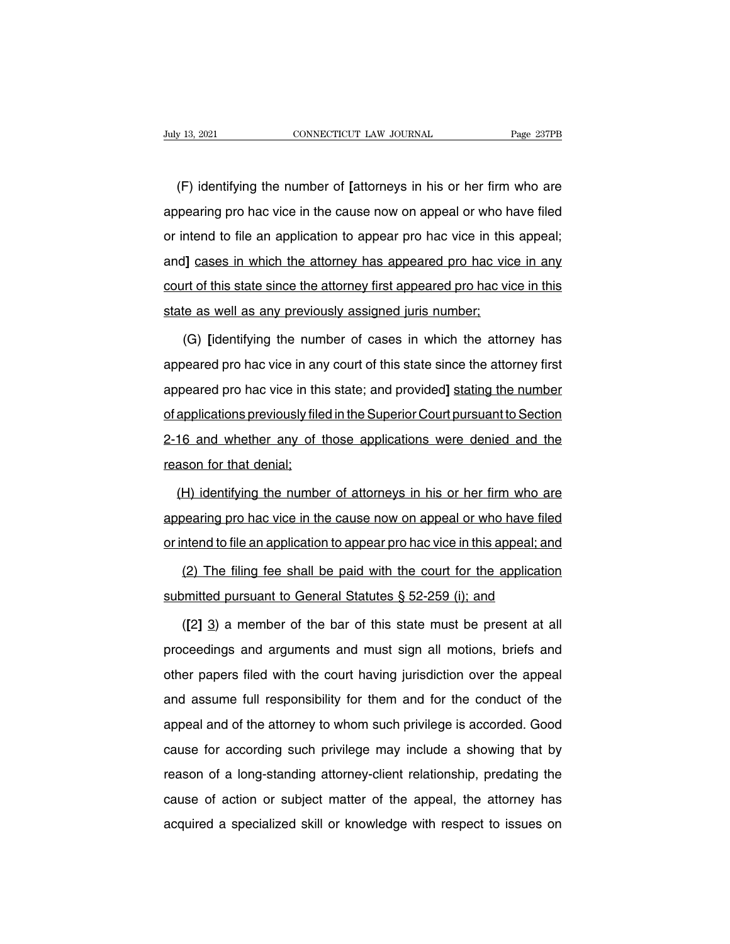(F) identifying the number of **[**attorneys in his or her firm who are For the connection of the cause now on appear in this appearing pro hac vice in the cause now on appeal or who have filed<br>or intend to file an application to appear pro hac vice in this appeal; (F) identifying the number of [attorneys in his or her firm who are<br>appearing pro hac vice in the cause now on appeal or who have filed<br>or intend to file an application to appear pro hac vice in this appeal;<br>and] cases in (F) identifying the number of [attorneys in his or her firm who are appearing pro hac vice in the cause now on appeal or who have filed or intend to file an application to appear pro hac vice in this appeal; and] cases in appearing pro hac vice in the cause now on appeal or who have filed<br>or intend to file an application to appear pro hac vice in this appeal;<br>and] cases in which the attorney has appeared pro hac vice in any<br>court of this st or intend to file an application to appear pro hac vice in this<br>and] cases in which the attorney has appeared pro hac vice<br>court of this state since the attorney first appeared pro hac vice<br>state as well as any previously (I) cases in which the attorney has appeared pro hac vice in any<br>the number of this state since the attorney first appeared pro hac vice in this<br>te as well as any previously assigned juris number;<br>(G) [identifying the numb

court of this state since the attorney first appeared pro hac vice in this<br>state as well as any previously assigned juris number;<br>(G) [identifying the number of cases in which the attorney has<br>appeared pro hac vice in any state as well as any previously assigned juris number;<br>(G) [identifying the number of cases in which the attorney has<br>appeared pro hac vice in any court of this state since the attorney first<br>appeared pro hac vice in this (G) [identifying the number of cases in which the attorney has<br>appeared pro hac vice in any court of this state since the attorney first<br>appeared pro hac vice in this state; and provided] stating the number<br>of applications (e) plasmarying are namber of eaces in which are attorney has<br>appeared pro hac vice in any court of this state since the attorney first<br>appeared pro hac vice in this state; and provided] stating the number<br>of applications appeared pro hac vice in this<br>appeared pro hac vice in this<br>of applications previously file<br>2-16 and whether any of the reason for that denial;<br>(H) identifying the numbe explications previously filed in the Superior Court pursuant to Section<br>16 and whether any of those applications were denied and the<br>ason for that denial;<br>(H) identifying the number of attorneys in his or her firm who are<br>

2-16 and whether any of those applications were denied and the<br>reason for that denial;<br>(H) identifying the number of attorneys in his or her firm who are<br>appearing pro hac vice in the cause now on appeal or who have filed<br> reason for that denial;<br>
(H) identifying the number of attorneys in his or her firm who are<br>
appearing pro hac vice in the cause now on appeal or who have filed<br>
or intend to file an application to appear pro hac vice in t (2) H) identifying the number of attorneys in his or her firm who are bearing pro hac vice in the cause now on appeal or who have filed intend to file an application to appear pro hac vice in this appeal; and (2) The fili appearing pro hac vice in the cause now on appeal or who have filed<br>or intend to file an application to appear pro hac vice in this appeal; and<br>(2) The filing fee shall be paid with the court for the application<br>submitted

ntend to file an application to appear pro hac vice in this appeal; and<br>(2) The filing fee shall be paid with the court for the application<br>omitted pursuant to General Statutes § 52-259 (i); and<br>([2] 3) a member of the bar (2) The filing fee shall be paid with the court for the application<br>submitted pursuant to General Statutes  $\S$  52-259 (i); and<br>([2] 3) a member of the bar of this state must be present at all<br>proceedings and arguments and submitted pursuant to General Statutes § 52-259 (i); and<br>
([2] 3) a member of the bar of this state must be present at all<br>
proceedings and arguments and must sign all motions, briefs and<br>
other papers filed with the cour ([2] 3) a member of the bar of this state must be present at all proceedings and arguments and must sign all motions, briefs and other papers filed with the court having jurisdiction over the appeal and assume full respons proceedings and arguments and must sign all motions, briefs and other papers filed with the court having jurisdiction over the appeal and assume full responsibility for them and for the conduct of the appeal and of the at prococallige and argamonic and matter eight an motions, shore and other papers filed with the court having jurisdiction over the appeal and assume full responsibility for them and for the conduct of the appeal and of the a early papers meal with the essaid having jameabased over the appear<br>and assume full responsibility for them and for the conduct of the<br>appeal and of the attorney to whom such privilege is accorded. Good<br>cause for according and assums fail responsibility for them and for the schladet of the<br>appeal and of the attorney to whom such privilege is accorded. Good<br>cause for according such privilege may include a showing that by<br>reason of a long-stan appoarant or the attempt to whom back priviting to accord at. dood cause for according such privilege may include a showing that by reason of a long-standing attorney-client relationship, predating the cause of action or s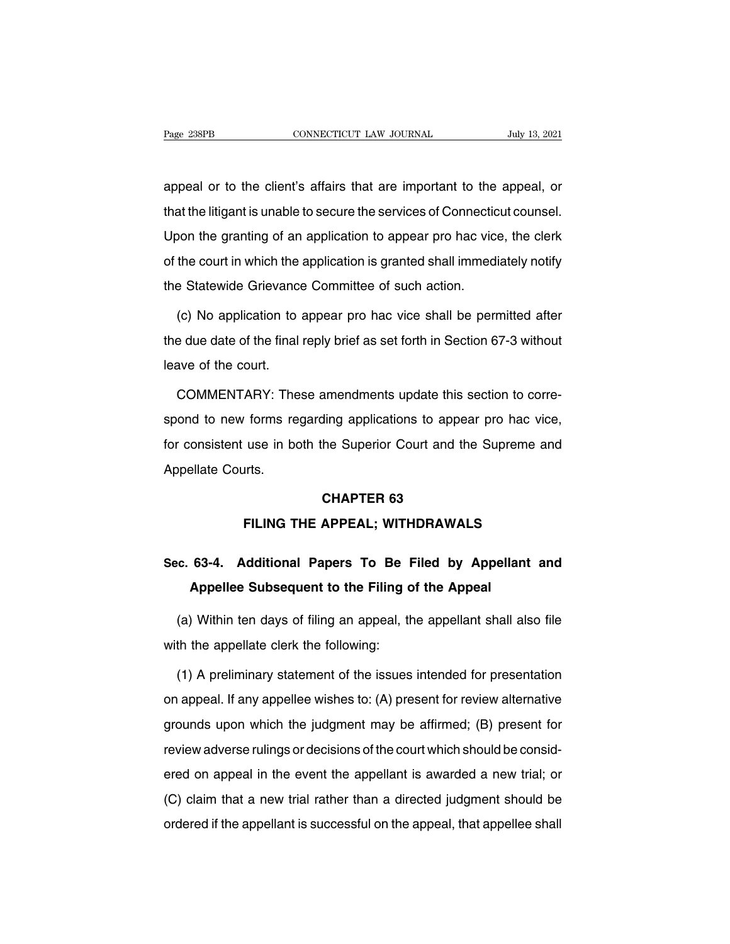Page 238PB CONNECTICUT LAW JOURNAL July 13, 2021<br>appeal or to the client's affairs that are important to the appeal, or<br>that the litigant is unable to secure the services of Connecticut counsel. That the litigant is unable to secure the services of Connecticut counsel.<br>
That the litigant is unable to secure the services of Connecticut counsel.<br>
Upon the granting of an application to appear pro hac vice, the clerk appeal or to the client's affairs that are important to the appeal, or<br>that the litigant is unable to secure the services of Connecticut counsel.<br>Upon the granting of an application to appear pro hac vice, the clerk<br>of the appeal or to the client's affairs that are important to the appeal, or<br>that the litigant is unable to secure the services of Connecticut counsel.<br>Upon the granting of an application to appear pro hac vice, the clerk<br>of the that the litigant is unable to secure the services of Connectic<br>Upon the granting of an application to appear pro hac vic<br>of the court in which the application is granted shall immed<br>the Statewide Grievance Committee of su (c) oon the granting of an application to appear pro hac vice, the clerk<br>
the court in which the application is granted shall immediately notify<br>
e Statewide Grievance Committee of such action.<br>
(c) No application to appea

of the court in which the application is granted shall immediately notify<br>the Statewide Grievance Committee of such action.<br>(c) No application to appear pro hac vice shall be permitted after<br>the due date of the final reply the Statewide Grievance<br>(c) No application to<br>the due date of the final<br>leave of the court.<br>COMMENTARY: The (c) No application to appear pro hac vice shall be permitted after<br>e due date of the final reply brief as set forth in Section 67-3 without<br>ave of the court.<br>COMMENTARY: These amendments update this section to corre-<br>ond t

the due date of the final reply brief as set forth in Section 67-3 without<br>leave of the court.<br>COMMENTARY: These amendments update this section to corre-<br>spond to new forms regarding applications to appear pro hac vice,<br>fo For comments update this section to correspond to new forms regarding applications to appear pro hac vice,<br>for consistent use in both the Superior Court and the Supreme and<br>Appellate Courts. COMMENTARY: The<br>spond to new forms re<br>for consistent use in be<br>Appellate Courts. ding applications to appea<br>he Superior Court and th<br>**CHAPTER 63**<br>APPEAL; WITHDRAWAL **FILING THE APPEAL; WITHDRAWALS**<br>FILING THE APPEAL; WITHDRAWALS

# Appellate Courts.<br> **Sec. 63-4.** Additional Papers To Be Filed by Appellant and<br>
Appellee Subsequent to the Filing of the Appeal **Appellent CHAPTER 63<br>
FILING THE APPEAL; WITHDRAWALS<br>
63-4. Additional Papers To Be Filed by Appellan<br>
Appellee Subsequent to the Filing of the Appeal<br>
Mithin ten days of filing an appeal, the appellant shall a**

(a) Within ten days of filing an appeal, the appellant shall also file<br>the the appellant change of the appellant shall also file<br>th the appellate clerk the following: Sec. 63-4. Additional Papers To Be I<br>Appellee Subsequent to the Filing c<br>(a) Within ten days of filing an appeal, the<br>with the appellate clerk the following:<br>(1) A preliminary statement of the issues

Appellee Subsequent to the Filing of the Appeal<br>
(a) Within ten days of filing an appeal, the appellant shall also file<br>
th the appellate clerk the following:<br>
(1) A preliminary statement of the issues intended for present (a) Within ten days of filing an appeal, the appellant shall also file<br>with the appellate clerk the following:<br>(1) A preliminary statement of the issues intended for presentation<br>on appeal. If any appellee wishes to: (A) p with the appellate clerk the following:<br>
(1) A preliminary statement of the issues intended for presentation<br>
on appeal. If any appellee wishes to: (A) present for review alternative<br>
grounds upon which the judgment may be (1) A preliminary statement of the issues intended for presentation<br>on appeal. If any appellee wishes to: (A) present for review alternative<br>grounds upon which the judgment may be affirmed; (B) present for<br>review adverse r on appeal. If any appellee wishes to: (A) present for review alternative<br>grounds upon which the judgment may be affirmed; (B) present for<br>review adverse rulings or decisions of the court which should be consid-<br>ered on ap grounds upon which the judgment may be affirmed; (B) present for<br>review adverse rulings or decisions of the court which should be consid-<br>ered on appeal in the event the appellant is awarded a new trial; or<br>(C) claim that review adverse rulings or decisions of the court which should be considered on appeal in the event the appellant is awarded a new trial; or (C) claim that a new trial rather than a directed judgment should be ordered if t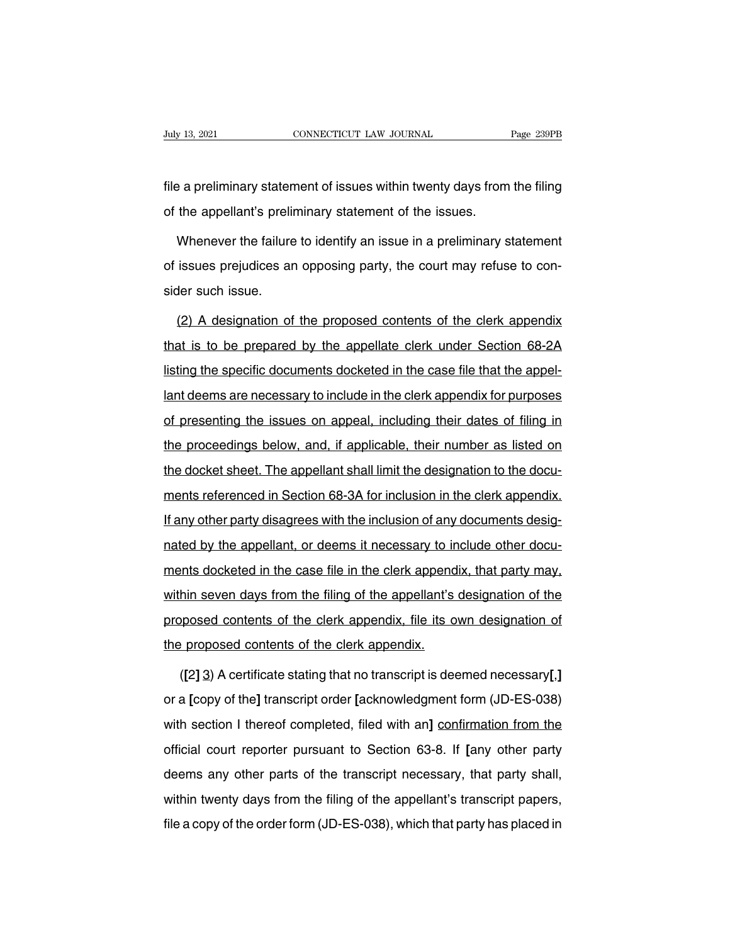Filip 13, 2021<br>
File a preliminary statement of issues within twenty days from the filing<br>
So the appellant's preliminary statement of the issues. Day 13, 2021<br>
CONNECTICUT LAW JOURNAL<br>
File a preliminary statement of issues within twenty days from<br>
of the appellant's preliminary statement of the issues.<br>
Whenever the failure to identify an issue in a preliminary sta

e a preliminary statement of issues within twenty days from the filing<br>the appellant's preliminary statement of the issues.<br>Whenever the failure to identify an issue in a preliminary statement<br>issues prejudices an opposing file a preliminary statement of issues within twenty days from the filing<br>of the appellant's preliminary statement of the issues.<br>Whenever the failure to identify an issue in a preliminary statement<br>of issues prejudices an of the appellant's prelif<br>Whenever the failure<br>of issues prejudices ar<br>sider such issue.<br>(2) A designation of Whenever the failure to identify an issue in a preliminary statement<br>issues prejudices an opposing party, the court may refuse to con-<br>der such issue.<br>(2) A designation of the proposed contents of the clerk appendix<br>at is

of issues prejudices an opposing party, the court may refuse to consider such issue.<br>
(2) A designation of the proposed contents of the clerk appendix<br>
that is to be prepared by the appellate clerk under Section 68-2A<br>
lis sider such issue.<br>
(2) A designation of the proposed contents of the clerk appendix<br>
that is to be prepared by the appellate clerk under Section 68-2A<br>
listing the specific documents docketed in the case file that the appe (2) A designation of the proposed contents of the clerk appendix<br>that is to be prepared by the appellate clerk under Section 68-2A<br>listing the specific documents docketed in the case file that the appel-<br>lant deems are nec that is to be prepared by the appellate clerk under Section 68-2A<br>listing the specific documents docketed in the case file that the appel-<br>lant deems are necessary to include in the clerk appendix for purposes<br>of presentin listing the specific documents docketed in the case file that the appel-<br>lant deems are necessary to include in the clerk appendix for purposes<br>of presenting the issues on appeal, including their dates of filing in<br>the pro the docket sheet. The appellant shall limit the designation to the docket sheet. The appellant shall limit the designation to the docket sheet. The appellant shall limit the designation to the docu-<br>ments referenced in Sec of presenting the issues on appeal, including their dates of filing in<br>the proceedings below, and, if applicable, their number as listed on<br>the docket sheet. The appellant shall limit the designation to the docu-<br>ments ref If any other proceedings below, and, if applicable, their number as listed on<br>the docket sheet. The appellant shall limit the designation to the docu-<br>ments referenced in Section 68-3A for inclusion in the clerk appendix.<br> the docket sheet. The appellant shall limit the designation to the docu-<br>ments referenced in Section 68-3A for inclusion in the clerk appendix.<br>If any other party disagrees with the inclusion of any documents desig-<br>nated ments referenced in Section 68-3A for inclusion in the clerk appendix.<br>If any other party disagrees with the inclusion of any documents desig-<br>nated by the appellant, or deems it necessary to include other docu-<br>ments dock If any other party disagrees with the inclusion of any documents designated by the appellant, or deems it necessary to include other documents docketed in the case file in the clerk appendix, that party may, within seven d many officing party disagreed with the includent of any decarteries docketed in the case file in the clerk appendix, that party may, within seven days from the filing of the appellant's designation of the proposed contents nated by the appellant, or deems it necessary to include other documents docketed in the case file in the clerk appendix, that party may, within seven days from the filing of the appellant's designation of the proposed con (**l**in seven days from the filing of the appellant's designation of the pposed contents of the clerk appendix, file its own designation of proposed contents of the clerk appendix.<br>([2] 3) A certificate stating that no tran

proposed contents of the clerk appendix, file its own designation of<br>the proposed contents of the clerk appendix.<br>([2] 3) A certificate stating that no transcript is deemed necessary[,]<br>or a [copy of the] transcript order the proposed contents of the clerk appendix.<br>
([2] 3) A certificate stating that no transcript is deemed necessary[,]<br>
or a [copy of the] transcript order [acknowledgment form (JD-ES-038)<br>
with section I thereof completed, ([2] 3) A certificate stating that no transcript is deemed necessary[,]<br>or a [copy of the] transcript order [acknowledgment form (JD-ES-038)<br>with section 1 thereof completed, filed with an] <u>confirmation from the</u><br>official or a [copy of the] transcript order [acknowledgment form (JD-ES-038) with section I thereof completed, filed with an] confirmation from the official court reporter pursuant to Section 63-8. If [any other party deems any o with section I thereof completed, filed with an] confirmation from the official court reporter pursuant to Section 63-8. If [any other party deems any other parts of the transcript necessary, that party shall, within twent official court reporter pursuant to Section 63-8. If [any other party<br>deems any other parts of the transcript necessary, that party shall,<br>within twenty days from the filing of the appellant's transcript papers,<br>file a cop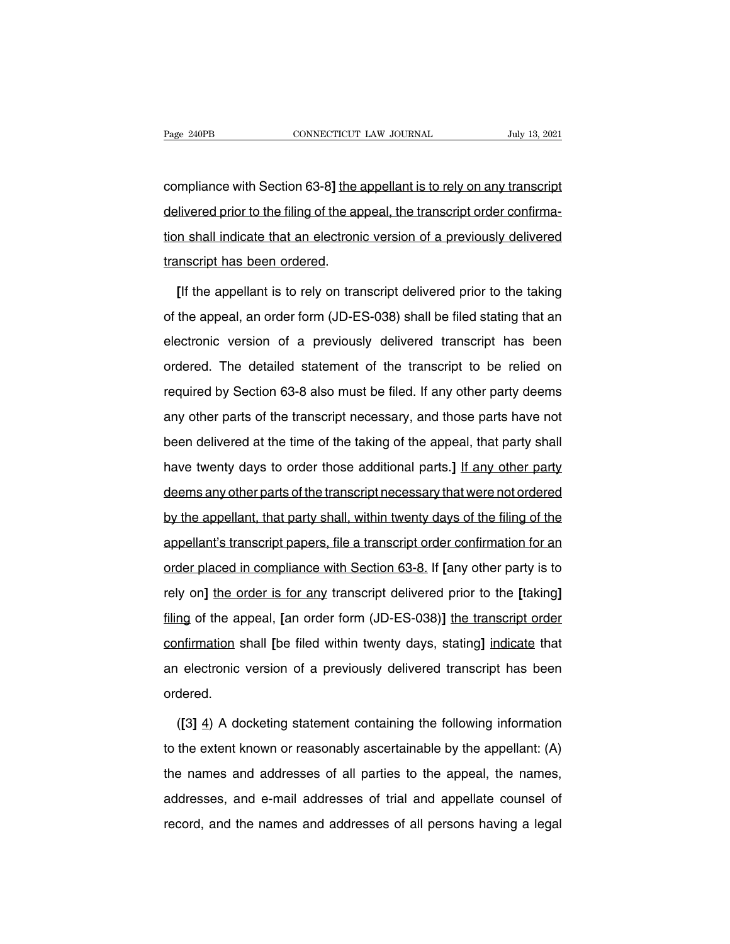Page 240PB CONNECTICUT LAW JOURNAL July 13, 2021<br>
compliance with Section 63-8**]** the appellant is to rely on any transcript<br>
delivered prior to the filing of the appeal, the transcript order confirma-Page 240PB CONNECTICUT LAW JOURNAL July 13, 2021<br>
compliance with Section 63-8] <u>the appellant is to rely on any transcript</u><br>
delivered prior to the filing of the appeal, the transcript order confirma-<br>
tion shall indicate compliance with Section 63-8] the appellant is to rely on any transcript<br>delivered prior to the filing of the appeal, the transcript order confirma-<br>tion shall indicate that an electronic version of a previously delivered<br> compliance with Section 63-8] the andelivered prior to the filing of the approximal indicate that an electronic<br>transcript has been ordered.<br>In the appellant is to rely on transcript has been ordered. Fivered prior to the filing of the appeal, the transcript order confirmalned in shall indicate that an electronic version of a previously delivered inscript has been ordered.<br>If the appellant is to rely on transcript deliv

tion shall indicate that an electronic version of a previously delivered<br>transcript has been ordered.<br>[If the appellant is to rely on transcript delivered prior to the taking<br>of the appeal, an order form (JD-ES-038) shall transcript has been ordered.<br>
[If the appellant is to rely on transcript delivered prior to the taking<br>
of the appeal, an order form (JD-ES-038) shall be filed stating that an<br>
electronic version of a previously delivered [If the appellant is to rely on transcript delivered prior to the taking<br>of the appeal, an order form (JD-ES-038) shall be filed stating that an<br>electronic version of a previously delivered transcript has been<br>ordered. The of the appeal, an order form (JD-ES-038) shall be filed stating that an electronic version of a previously delivered transcript has been ordered. The detailed statement of the transcript to be relied on required by Section any of the uppear, an eract ferm (ob EC 000) shall be liked claimly that an<br>electronic version of a previously delivered transcript has been<br>ordered. The detailed statement of the transcript to be relied on<br>required by Sec been delivered. The detailed statement of the transcript to be relied on required by Section 63-8 also must be filed. If any other party deems any other parts of the transcript necessary, and those parts have not been deli required by Section 63-8 also must be filed. If any other party deems<br>any other parts of the transcript necessary, and those parts have not<br>been delivered at the time of the taking of the appeal, that party shall<br>have twen deems any other parts of the transcript necessary, and those parts have not<br>been delivered at the time of the taking of the appeal, that party shall<br>have twenty days to order those additional parts.] If any other party<br>dee been delivered at the time of the taking of the appeal, that party shall<br>have twenty days to order those additional parts.] If any other party<br>deems any other parts of the transcript necessary that were not ordered<br>by the about delivered at the time of the tanting of the appear, that party shall<br>have twenty days to order those additional parts.] If any other party<br>deems any other parts of the transcript necessary that were not ordered<br>by th deems any other parts of the transcript necessary that were not ordered<br>by the appellant, that party shall, within twenty days of the filing of the<br>appellant's transcript papers, file a transcript order confirmation for an by the appellant, that party shall, within twenty days of the filing of the appellant's transcript papers, file a transcript order confirmation for an order placed in compliance with Section 63-8. If [any other party is to filing of the appeal, and pairly shall manimum the appeal of the appellant's transcript papers, file a transcript order confirmation for an order placed in compliance with Section 63-8. If [any other party is to rely on] t order placed in compliance with Section 63-8. If [any other party is to<br>rely on] the order is for any transcript delivered prior to the [taking]<br>filing of the appeal, [an order form (JD-ES-038)] the transcript order<br>confir rely on] the order is for any transcript delivered prior to the [taking]<br>filing of the appeal, [an order form (JD-ES-038)] the transcript order<br>confirmation shall [be filed within twenty days, stating] indicate that<br>an ele ordered. mation shall [be filed within twenty days, stating] indicate that<br>
electronic version of a previously delivered transcript has been<br>
dered.<br>
([3] 4) A docketing statement containing the following information<br>
the extent kn

an electronic version of a previously delivered transcript has been<br>ordered.<br>([3] 4) A docketing statement containing the following information<br>to the extent known or reasonably ascertainable by the appellant: (A)<br>the name ordered.<br>
([3] 4) A docketing statement containing the following information<br>
to the extent known or reasonably ascertainable by the appellant: (A)<br>
the names and addresses of all parties to the appeal, the names,<br>
address  $(31 4)$  A docketing statement containing the following information<br>to the extent known or reasonably ascertainable by the appellant: (A)<br>the names and addresses of all parties to the appeal, the names,<br>addresses, and e-m to the extent known or reasonably ascertainable by the appellant: (A) the names and addresses of all parties to the appeal, the names, addresses, and e-mail addresses of trial and appellate counsel of record, and the name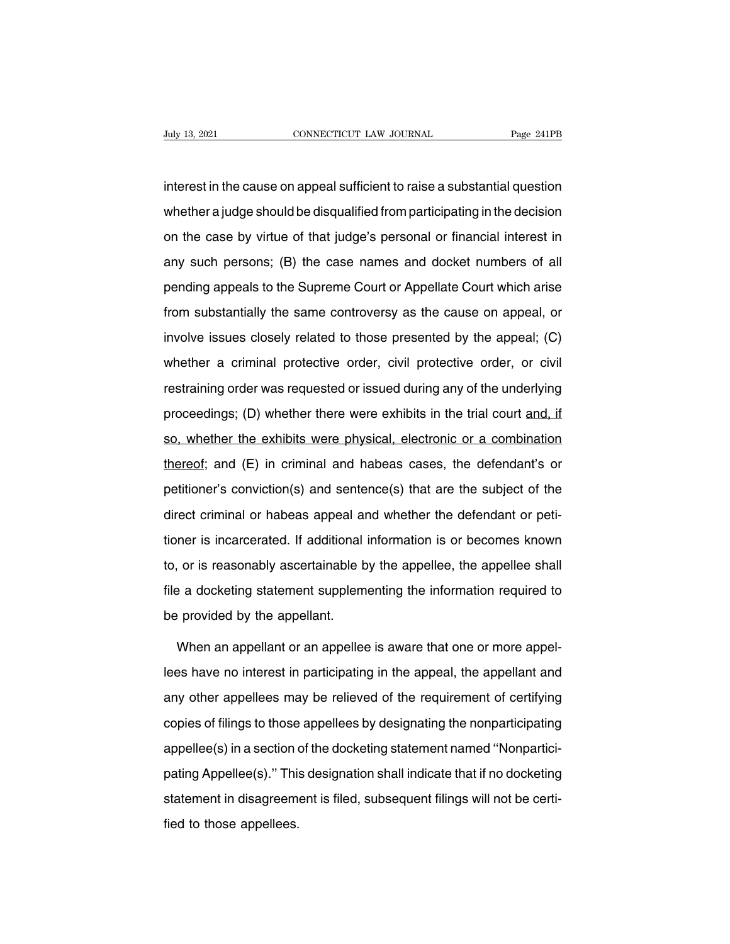Indy 13, 2021<br>interest in the cause on appeal sufficient to raise a substantial question<br>whether a judge should be disqualified from participating in the decision July 13, 2021 CONNECTICUT LAW JOURNAL Page 241PB<br>interest in the cause on appeal sufficient to raise a substantial question<br>whether a judge should be disqualified from participating in the decision<br>on the case by virtue of interest in the cause on appeal sufficient to raise a substantial question<br>whether a judge should be disqualified from participating in the decision<br>on the case by virtue of that judge's personal or financial interest in<br>a interest in the cause on appeal sufficient to raise a substantial question<br>whether a judge should be disqualified from participating in the decision<br>on the case by virtue of that judge's personal or financial interest in<br>a meteom are cases on appeal samstern to takes a sabstantial quosity.<br>
whether a judge should be disqualified from participating in the decision<br>
on the case by virtue of that judge's personal or financial interest in<br>
any s from the case by virtue of that judge's personal or financial interest in<br>any such persons; (B) the case names and docket numbers of all<br>pending appeals to the Supreme Court or Appellate Court which arise<br>from substantiall any such persons; (B) the case names and docket numbers of all<br>pending appeals to the Supreme Court or Appellate Court which arise<br>from substantially the same controversy as the cause on appeal, or<br>involve issues closely r ending appeals to the Supreme Court or Appellate Court which arise<br>from substantially the same controversy as the cause on appeal, or<br>involve issues closely related to those presented by the appeal; (C)<br>whether a criminal from substantially the same controversy as the cause on appeal, or<br>involve issues closely related to those presented by the appeal; (C)<br>whether a criminal protective order, civil protective order, or civil<br>restraining orde proceedings; (D) whether there were exhibits in the trial court and, if so, whether the exhibits were physical, electronic or a combination whether the exhibits were physical, electronic or a combination whether a criminal protective order, civil protective order, or civil<br>restraining order was requested or issued during any of the underlying<br>proceedings; (D) whether there were exhibits in the trial court and, if<br>so, wheth thereof a chinnal precedure creed, can precedure creed, or can<br>restraining order was requested or issued during any of the underlying<br>proceedings; (D) whether there were exhibits in the trial court and, if<br>so, whether the proceedings; (D) whether there were exhibits in the trial court and, if<br>so, whether the exhibits were physical, electronic or a combination<br>thereof; and (E) in criminal and habeas cases, the defendant's or<br>petitioner's con so, whether the exhibits were physical, electronic or a combination<br>thereof; and (E) in criminal and habeas cases, the defendant's or<br>petitioner's conviction(s) and sentence(s) that are the subject of the<br>direct criminal o thereof; and (E) in criminal and habeas cases, the defendant's or<br>petitioner's conviction(s) and sentence(s) that are the subject of the<br>direct criminal or habeas appeal and whether the defendant or peti-<br>tioner is incarce to a set of the subject of the direct criminal or habeas appeal and whether the defendant or peti-<br>direct criminal or habeas appeal and whether the defendant or peti-<br>tioner is incarcerated. If additional information is o direct criminal or habeas appeal and whether the defendant or petitioner is incarcerated. If additional information is or becomes known<br>to, or is reasonably ascertainable by the appellee, the appellee shall<br>file a docketin allower similar of the sacre appear allower tioner is incarcerated. If additional<br>to, or is reasonably ascertainable b<br>file a docketing statement supplem<br>be provided by the appellant.<br>When an appellant or an appeller or is reasonably ascertainable by the appellee, the appellee shall<br>and a docketing statement supplementing the information required to<br>provided by the appellant.<br>When an appellant or an appellee is aware that one or more a

file a docketing statement supplementing the information required to<br>be provided by the appellant.<br>When an appellant or an appellee is aware that one or more appel-<br>lees have no interest in participating in the appeal, the be provided by the appellant.<br>When an appellant or an appellee is aware that one or more appel-<br>lees have no interest in participating in the appeal, the appellant and<br>any other appellees may be relieved of the requirement When an appellant or an appellee is aware that one or more appel-<br>lees have no interest in participating in the appeal, the appellant and<br>any other appellees may be relieved of the requirement of certifying<br>copies of filin Then an appending in an appellee that the domestion of the separation of the docketing in the appellant and any other appellees may be relieved of the requirement of certifying copies of filings to those appellees by desig patition is interest in participating in the appear, the appearant anti-<br>any other appellees may be relieved of the requirement of certifying<br>copies of filings to those appellees by designating the nonparticipating<br>appelle statement in disagreement is filed, subsequent filings will not be certi-<br>field to those appellees by designating the nonparticipating<br>appellee(s) in a section of the docketing statement named "Nonpartici-<br>pating Appellee( appellee(s) in a section or<br>pating Appellee(s)." This<br>statement in disagreemerfied to those appellees.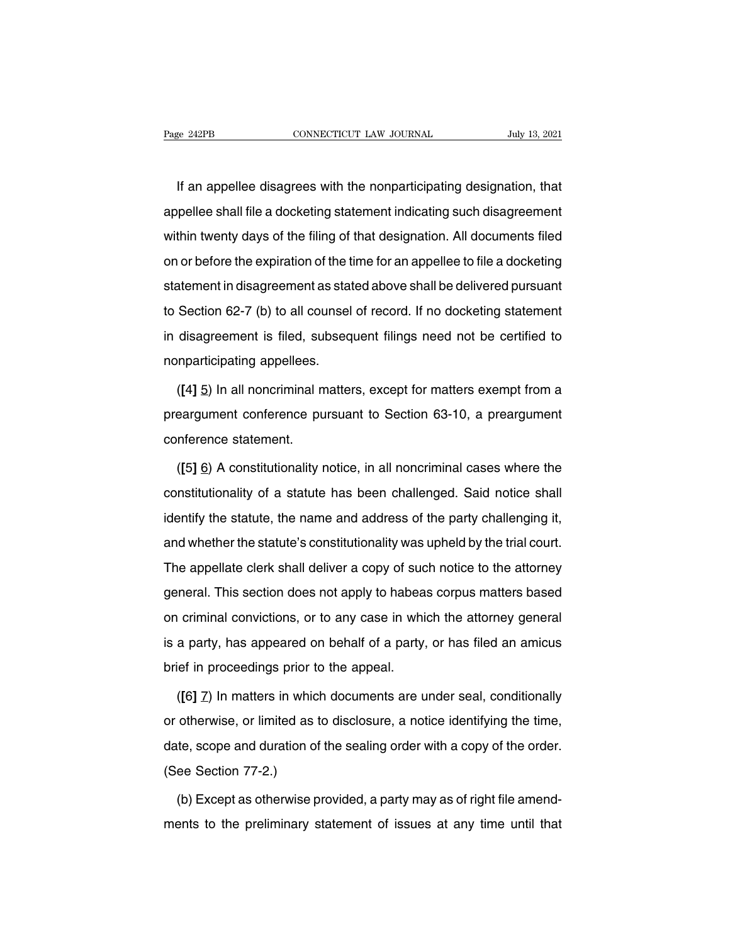If an appellee disagrees with the nonparticipating designation, that<br>If an appellee disagrees with the nonparticipating designation, that<br>pellee shall file a docketing statement indicating such disagreement Page 242PB CONNECTICUT LAW JOURNAL July 13, 2021<br>If an appellee disagrees with the nonparticipating designation, that<br>appellee shall file a docketing statement indicating such disagreement<br>within twenty days of the filing If an appellee disagrees with the nonparticipating designation, that<br>appellee shall file a docketing statement indicating such disagreement<br>within twenty days of the filing of that designation. All documents filed<br>on or be If an appellee disagrees with the nonparticipating designation, that<br>appellee shall file a docketing statement indicating such disagreement<br>within twenty days of the filing of that designation. All documents filed<br>on or be It an appence disagrees with the nonparticipating designation, that<br>appellee shall file a docketing statement indicating such disagreement<br>within twenty days of the filing of that designation. All documents filed<br>on or bef within twenty days of the filing of that designation. All documents filed<br>on or before the expiration of the time for an appellee to file a docketing<br>statement in disagreement as stated above shall be delivered pursuant<br>to on or before the expiration of the time for an appellee to file a docketing<br>statement in disagreement as stated above shall be delivered pursuant<br>to Section 62-7 (b) to all counsel of record. If no docketing statement<br>in d statement in disagreement as statement in disagreement as statement is filed, subseq<br>in disagreement is filed, subseq<br>nonparticipating appellees.<br>([4] 5) In all noncriminal matter Section 62-7 (b) to all counsel of record. If no docketing statement<br>disagreement is filed, subsequent filings need not be certified to<br>nparticipating appellees.<br>([4] <u>5</u>) In all noncriminal matters, except for matters exe

in disagreement is filed, subsequent filings need not be certified to<br>nonparticipating appellees.<br>([4] 5) In all noncriminal matters, except for matters exempt from a<br>preargument conference pursuant to Section 63-10, a pre nonparticipating appellees.<br>
([4] 5) In all noncriminal m<br>
preargument conference pu<br>
conference statement.<br>
([5] 6) A constitutionality r ([4] <u>5</u>) In all noncriminal matters, except for matters exempt from a<br>eargument conference pursuant to Section 63-10, a preargument<br>nference statement.<br>([5] <u>6</u>) A constitutionality notice, in all noncriminal cases where

preargument conference pursuant to Section 63-10, a preargument<br>conference statement.<br>([5] 6) A constitutionality notice, in all noncriminal cases where the<br>constitutionality of a statute has been challenged. Said notice s conference statement.<br>
([5] 6) A constitutionality notice, in all noncriminal cases where the<br>
constitutionality of a statute has been challenged. Said notice shall<br>
identify the statute, the name and address of the party ([5] <u>6</u>) A constitutionality notice, in all noncriminal cases where the constitutionality of a statute has been challenged. Said notice shall identify the statute, the name and address of the party challenging it, and whe Constitutionality of a statute has been challenged. Said notice shall<br>identify the statute, the name and address of the party challenging it,<br>and whether the statute's constitutionality was upheld by the trial court.<br>The identify the statute, the name and address of the party challenging it,<br>and whether the statute's constitutionality was upheld by the trial court.<br>The appellate clerk shall deliver a copy of such notice to the attorney<br>gen aboratify the statute, the hame and dedices of the party onalleliging it,<br>and whether the statute's constitutionality was upheld by the trial court.<br>The appellate clerk shall deliver a copy of such notice to the attorney<br>g The appellate clerk shall deliver a copy of such notice to the attorney<br>general. This section does not apply to habeas corpus matters based<br>on criminal convictions, or to any case in which the attorney general<br>is a party, First appearate stark shall deliver a sopy of sudgeneral. This section does not apply to habea<br>on criminal convictions, or to any case in whi<br>is a party, has appeared on behalf of a party,<br>brief in proceedings prior to the (*criminal convictions, or to any case in which the attorney general<br>a party, has appeared on behalf of a party, or has filed an amicus<br>ief in proceedings prior to the appeal.<br>([6] <u>7</u>) In matters in which documents are un* 

is a party, has appeared on behalf of a party, or has filed an amicus<br>brief in proceedings prior to the appeal.<br>([6] Z) In matters in which documents are under seal, conditionally<br>or otherwise, or limited as to disclosure, brief in proceedings prior to the appeal.<br>
([6] Z) In matters in which documents are under seal, conditionally<br>
or otherwise, or limited as to disclosure, a notice identifying the time,<br>
date, scope and duration of the sea  $([6] \n Z)$  In matters in whicor otherwise, or limited as<br>date, scope and duration o<br>(See Section 77-2.)<br>(b) Except as otherwise p otherwise, or limited as to disclosure, a notice identifying the time,<br>te, scope and duration of the sealing order with a copy of the order.<br>ee Section 77-2.)<br>(b) Except as otherwise provided, a party may as of right file date, scope and duration of the sealing order with a copy of the order.<br>(See Section 77-2.)<br>(b) Except as otherwise provided, a party may as of right file amend-<br>ments to the preliminary statement of issues at any time unt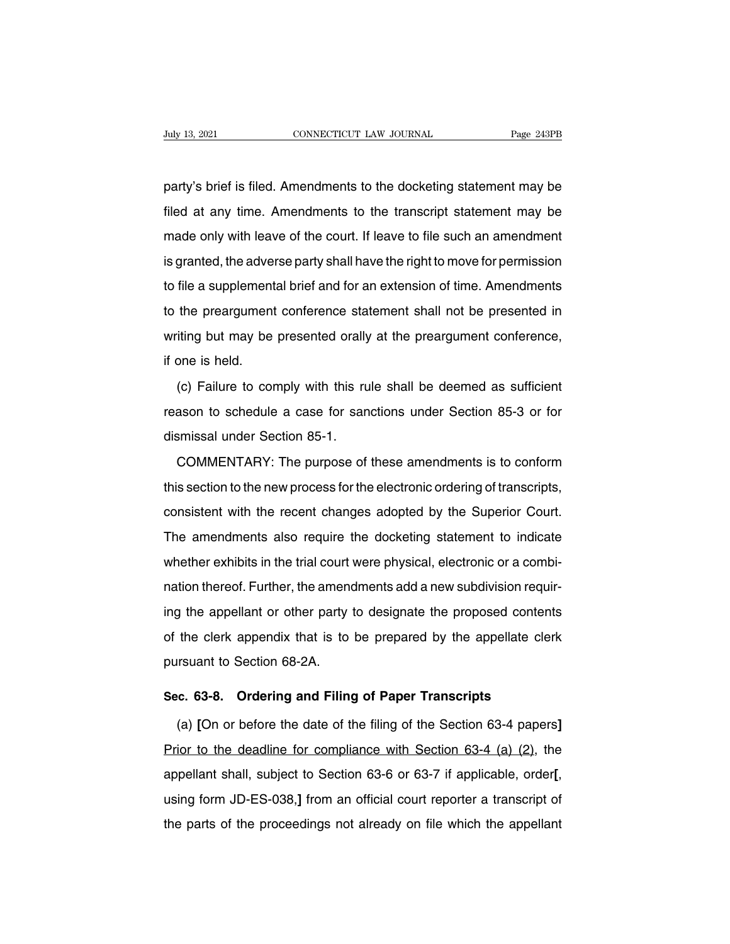Page 243PB<br>party's brief is filed. Amendments to the docketing statement may be<br>filed at any time. Amendments to the transcript statement may be Filed at any time. Amendments to the docketing statement may be filed at any time. Amendments to the transcript statement may be made only with leave of the court. If leave to file such an amendment party's brief is filed. Amendments to the docketing statement may be<br>filed at any time. Amendments to the transcript statement may be<br>made only with leave of the court. If leave to file such an amendment<br>is granted, the ad party's brief is filed. Amendments to the docketing statement may be<br>filed at any time. Amendments to the transcript statement may be<br>made only with leave of the court. If leave to file such an amendment<br>is granted, the ad party 3 Shorts filed. Amonianions to the decisioning elaterment may be filed at any time. Amendments to the transcript statement may be made only with leave of the court. If leave to file such an amendment is granted, the mod at any time. This interfact of the court. If leave to file such an amendment<br>is granted, the adverse party shall have the right to move for permission<br>to file a supplemental brief and for an extension of time. Amendmen is granted, the adverse party shall have the right to move for permission<br>to file a supplemental brief and for an extension of time. Amendments<br>to the preargument conference statement shall not be presented in<br>writing but is granted, the daver<br>to file a supplement<br>writing but may be<br>if one is held.<br>(c) Failure to cor The a suppremental shot and totall shot and shot and the minitary intertainshes<br>the preargument conference statement shall not be presented in<br>iting but may be presented orally at the preargument conference,<br>one is held.<br>(

reason to schedule a case for sanctions under Section 85-3 or for<br>dismissal under Section 85-1. mining set may be presented etaily<br>if one is held.<br>(c) Failure to comply with this ru<br>reason to schedule a case for san<br>dismissal under Section 85-1.<br>COMMENTARY: The purpose of (c) Failure to comply with this rule shall be deemed as sufficient<br>ason to schedule a case for sanctions under Section 85-3 or for<br>smissal under Section 85-1.<br>COMMENTARY: The purpose of these amendments is to conform<br>s sec

the section of schedule a case for sanctions under Section 85-3 or for<br>dismissal under Section 85-1.<br>COMMENTARY: The purpose of these amendments is to conform<br>this section to the new process for the electronic ordering of consistent to be recent a base for barrieries and at becausin be benefit.<br>dismissal under Section 85-1.<br>COMMENTARY: The purpose of these amendments is to conform<br>this section to the new process for the electronic ordering COMMENTARY: The purpose of these amendments is to conform<br>this section to the new process for the electronic ordering of transcripts,<br>consistent with the recent changes adopted by the Superior Court.<br>The amendments also re While the trial court also sell and the superiority of transcripts,<br>this section to the new process for the electronic ordering of transcripts,<br>consistent with the recent changes adopted by the Superior Court.<br>The amendmen and section to the new process for the stead and stating or transcripts, consistent with the recent changes adopted by the Superior Court.<br>The amendments also require the docketing statement to indicate whether exhibits in The amendments also require the docketing statement to indicate<br>whether exhibits in the trial court were physical, electronic or a combi-<br>nation thereof. Further, the amendments add a new subdivision requir-<br>ing the appell whether exhibits in the trial court were physical, electronic or a combi-<br>nation thereof. Further, the amendments add a new subdivision requir-<br>ing the appellant or other party to designate the proposed contents<br>of the cle mission shinks in the that ceart<br>nation thereof. Further, the ament<br>ing the appellant or other party<br>of the clerk appendix that is to<br>pursuant to Section 68-2A. Ing the appellant or other party to designate the proposed contents<br>of the clerk appendix that is to be prepared by the appellate clerk<br>pursuant to Section 68-2A.<br>**Sec. 63-8. Ordering and Filing of Paper Transcripts**<br>(a) [ the clerk appendix that is to be prepared by the appellate clerk<br>
Irsuant to Section 68-2A.<br> **c. 63-8.** Ordering and Filing of Paper Transcripts<br>
(a) [On or before the date of the filing of the Section 63-4 papers]<br>
ior to

pursuant to Section 68-2A.<br>
Sec. 63-8. Ordering and Filing of Paper Transcripts<br>
(a) [On or before the date of the filing of the Section 63-4 papers]<br>
Prior to the deadline for compliance with Section 63-4 (a) (2), the<br>
ap Sec. 63-8. Ordering and Filing of Paper Transcripts<br>
(a) [On or before the date of the filing of the Section 63-4 papers]<br>
Prior to the deadline for compliance with Section 63-4 (a) (2), the<br>
appellant shall, subject to Se Prior to the deadline for compliance with Section 63-4 (a) (2), the appellant shall, subject to Section 63-6 or 63-7 if applicable, order[, using form JD-ES-038,] from an official court reporter a transcript of the parts o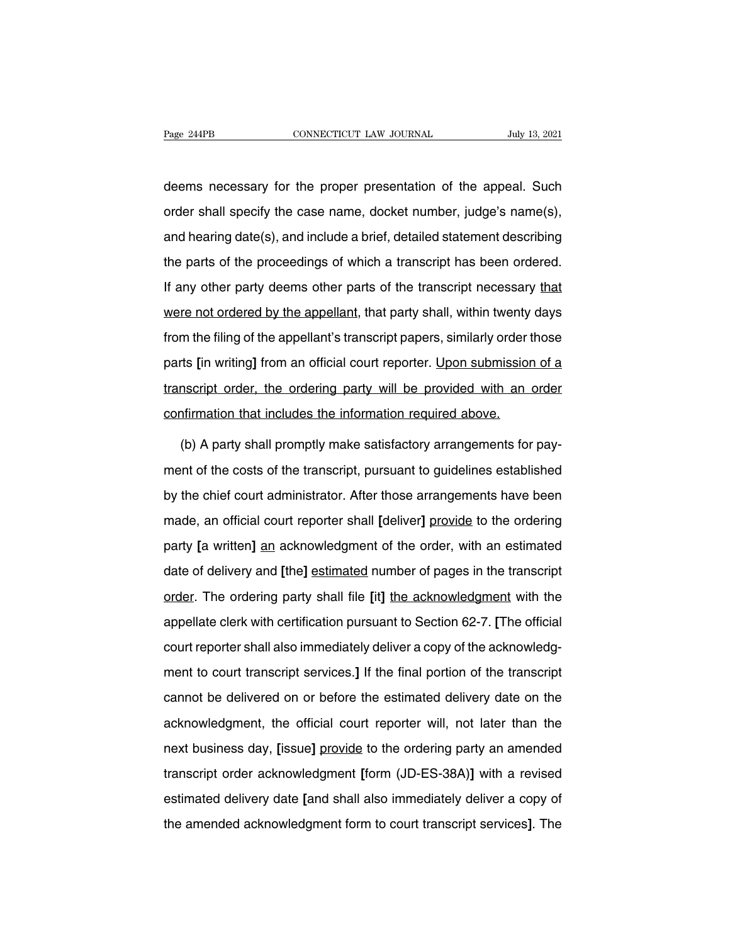Page 244PB CONNECTICUT LAW JOURNAL July 13, 2021<br>deems necessary for the proper presentation of the appeal. Such<br>order shall specify the case name, docket number, judge's name(s), Page 244PB CONNECTICUT LAW JOURNAL July 13, 2021<br>deems necessary for the proper presentation of the appeal. Such<br>order shall specify the case name, docket number, judge's name(s),<br>and hearing date(s), and include a brief, deems necessary for the proper presentation of the appeal. Such<br>order shall specify the case name, docket number, judge's name(s),<br>and hearing date(s), and include a brief, detailed statement describing<br>the parts of the pr deems necessary for the proper presentation of the appeal. Such<br>order shall specify the case name, docket number, judge's name(s),<br>and hearing date(s), and include a brief, detailed statement describing<br>the parts of the pr If any other party deems of the proper presentation of the apppear been order shall specify the case name, docket number, judge's name(s), and hearing date(s), and include a brief, detailed statement describing the parts o and hearing date(s), and include a brief, detailed statement describing<br>the parts of the proceedings of which a transcript has been ordered.<br>If any other party deems other parts of the transcript necessary that<br>were not or the parts of the proceedings of which a transcript has been ordered.<br>If any other party deems other parts of the transcript necessary that<br>were not ordered by the appellant, that party shall, within twenty days<br>from the fi If any other party deems other parts of the transcript necessary that<br>were not ordered by the appellant, that party shall, within twenty days<br>from the filing of the appellant's transcript papers, similarly order those<br>part transcript ordered by the appellant, that party shall, within twenty days<br>from the filing of the appellant's transcript papers, similarly order those<br>parts [in writing] from an official court reporter. Upon submission of a from the filing of the appellant's transcript papers, similarly order t<br>parts [in writing] from an official court reporter. <u>Upon submissior</u><br>transcript order, the ordering party will be provided with an<br>confirmation that parts [in writing] from an official court reporter. Upon submission of a transcript order, the ordering party will be provided with an order confirmation that includes the information required above.<br>
(b) A party shall pro

transcript order, the ordering party will be provided with an order<br>confirmation that includes the information required above.<br>(b) A party shall promptly make satisfactory arrangements for pay-<br>ment of the costs of the tra confirmation that includes the information required above.<br>
(b) A party shall promptly make satisfactory arrangements for pay-<br>
ment of the costs of the transcript, pursuant to guidelines established<br>
by the chief court ad (b) A party shall promptly make satisfactory arrangements for pay-<br>ment of the costs of the transcript, pursuant to guidelines established<br>by the chief court administrator. After those arrangements have been<br>made, an offic party from party and premittent pursuant to guidelines established<br>by the chief court administrator. After those arrangements have been<br>made, an official court reporter shall [deliver] provide to the ordering<br>party [a writ deliver and the mailtenips, particular to galaximous constantiver.<br>By the chief court administrator. After those arrangements have been<br>made, an official court reporter shall [deliver] provide to the ordering<br>party [a writ made, an official court reporter shall [deliver] provide to the ordering<br>party [a written] an acknowledgment of the order, with an estimated<br>date of delivery and [the] estimated number of pages in the transcript<br>order. The mate) an embate certification chain period, phenomenon party [a written] an acknowledgment of the order, with an estimated date of delivery and [the] estimated number of pages in the transcript order. The ordering party sh pair, the unitary and [the] estimated number of pages in the transcript<br>order. The ordering party shall file [it] the acknowledgment with the<br>appellate clerk with certification pursuant to Section 62-7. [The official<br>court enter to court transcript shall file [it] the acknowledgment with the appellate clerk with certification pursuant to Section 62-7. [The official court reporter shall also immediately deliver a copy of the acknowledgment to appellate clerk with certification pursuant to Section 62-7. [The official<br>court reporter shall also immediately deliver a copy of the acknowledg-<br>ment to court transcript services.] If the final portion of the transcript<br> court reporter shall also immediately deliver a copy of the acknowledgment to court transcript services.] If the final portion of the transcript cannot be delivered on or before the estimated delivery date on the acknowled next business day, [issue] provide to the ordering party and active to court transcript cannot be delivered on or before the estimated delivery date on the acknowledgment, the official court reporter will, not later than t transcript order acknowledgment, the official court reporter will, not later than the acknowledgment, the official court reporter will, not later than the next business day, [issue] provide to the ordering party an amended estimate the sentence on the sentence and sentence dentery date on the acknowledgment, the official court reporter will, not later than the next business day, [issue] provide to the ordering party an amended transcript ord the amended acknowledgment form to court transcript and amended transcript order acknowledgment [form (JD-ES-38A)] with a revised estimated delivery date [and shall also immediately deliver a copy of the amended acknowledg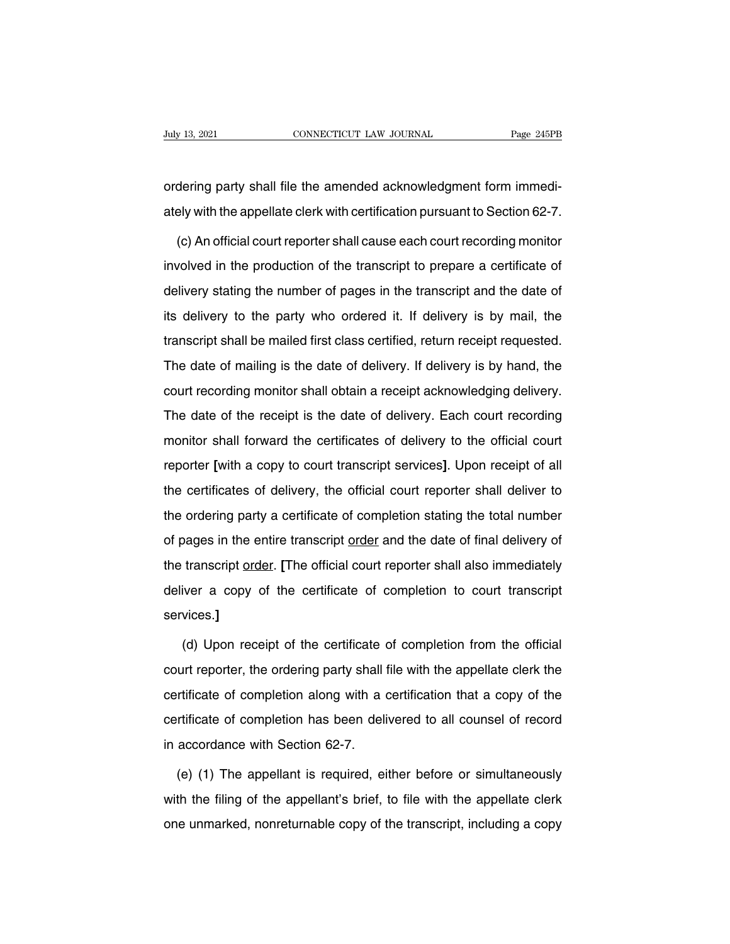Undy 13, 2021<br>
CONNECTICUT LAW JOURNAL<br>
CONNECTICUT LAW JOURNAL<br>
CONNECTICUT LAW JOURNAL<br>
CONNECTICUT LAW JOURNAL<br>
CONNECTICUT LAW JOURNAL<br>
CONNECTICUT LAW JOURNAL<br>
CONNECTICUT LAW JOURNAL<br>
CONNECTICUT LAW JOURNAL<br>
CONNECT ately 13, 2021<br>
ately with the appellate clerk with certification pursuant to Section 62-7.<br>
(c) An official court reporter shall cause each court recording monitor

dering party shall file the amended acknowledgment form immedi-<br>ely with the appellate clerk with certification pursuant to Section 62-7.<br>(c) An official court reporter shall cause each court recording monitor<br>volved in th ordering party shall file the amended acknowledgment form immedi-<br>ately with the appellate clerk with certification pursuant to Section 62-7.<br>(c) An official court reporter shall cause each court recording monitor<br>involved ately with the appellate clerk with certification pursuant to Section 62-7.<br>
(c) An official court reporter shall cause each court recording monitor<br>
involved in the production of the transcript to prepare a certificate of (c) An official court reporter shall cause each court recording monitor<br>involved in the production of the transcript to prepare a certificate of<br>delivery stating the number of pages in the transcript and the date of<br>its de (e) whence example it shall be transcript to prepare a certificate of delivery stating the number of pages in the transcript and the date of its delivery to the party who ordered it. If delivery is by mail, the transcript delivery stating the number of pages in the transcript and the date of<br>its delivery to the party who ordered it. If delivery is by mail, the<br>transcript shall be mailed first class certified, return receipt requested.<br>The d delivery belowing the namber of pages in the transcript and the date of<br>its delivery to the party who ordered it. If delivery is by mail, the<br>transcript shall be mailed first class certified, return receipt requested.<br>The The date of mailing is the date of delivery. If delivery is by hand, the transcript shall be mailed first class certified, return receipt requested.<br>The date of mailing is the date of delivery. If delivery is by hand, the manisonpt shall be malled lifet slass serimed, retain receipt requested.<br>The date of mailing is the date of delivery. If delivery is by hand, the<br>court recording monitor shall obtain a receipt acknowledging delivery.<br>The d reporter factor *i* mannify is the date of delivery. If delivery is by hand, the court recording monitor shall obtain a receipt acknowledging delivery.<br>The date of the receipt is the date of delivery. Each court recording The date of the receipt is the date of delivery. Each court recording<br>monitor shall forward the certificates of delivery to the official court<br>reporter [with a copy to court transcript services]. Upon receipt of all<br>the ce the date of the foculpt is the date of delivery. Each coart foculting<br>monitor shall forward the certificates of delivery to the official court<br>reporter [with a copy to court transcript services]. Upon receipt of all<br>the ce reporter [with a copy to court transcript services]. Upon receipt of all<br>the certificates of delivery, the official court reporter shall deliver to<br>the ordering party a certificate of completion stating the total number<br>of the certificates of delivery, the official court reporter shall deliver to<br>the ordering party a certificate of completion stating the total number<br>of pages in the entire transcript <u>order</u> and the date of final delivery of the ordering party a certificate of completion stating the total number<br>of pages in the entire transcript <u>order</u> and the date of final delivery of<br>the transcript <u>order</u>. [The official court reporter shall also immediatel services.**]** transcript <u>order</u>. [The official court reporter shall also immediately<br>iver a copy of the certificate of completion to court transcript<br>vices.]<br>(d) Upon receipt of the certificate of completion from the official<br>urt repor

deliver a copy of the certificate of completion to court transcript<br>services.]<br>(d) Upon receipt of the certificate of completion from the official<br>court reporter, the ordering party shall file with the appellate clerk the<br> services.]<br>(d) Upon receipt of the certificate of completion from the official<br>court reporter, the ordering party shall file with the appellate clerk the<br>certificate of completion along with a certification that a copy of (d) Upon receipt of the certificate of completion from the official<br>court reporter, the ordering party shall file with the appellate clerk the<br>certificate of completion along with a certification that a copy of the<br>certifi (a) open receipt of the continuate (court reporter, the ordering party shall for contrificate of completion along with a cordificate of completion has been deli<br>in accordance with Section 62-7.<br>(e) (1) The appellant is req rtificate of completion along with a certification that a copy of the<br>rtificate of completion has been delivered to all counsel of record<br>accordance with Section 62-7.<br>(e) (1) The appellant is required, either before or si

certificate of completion has been delivered to all counsel of record<br>in accordance with Section 62-7.<br>(e) (1) The appellant is required, either before or simultaneously<br>with the filing of the appellant's brief, to file wi in accordance with Section 62-7.<br>
(e) (1) The appellant is required, either before or simultaneously<br>
with the filing of the appellant's brief, to file with the appellate clerk<br>
one unmarked, nonreturnable copy of the tran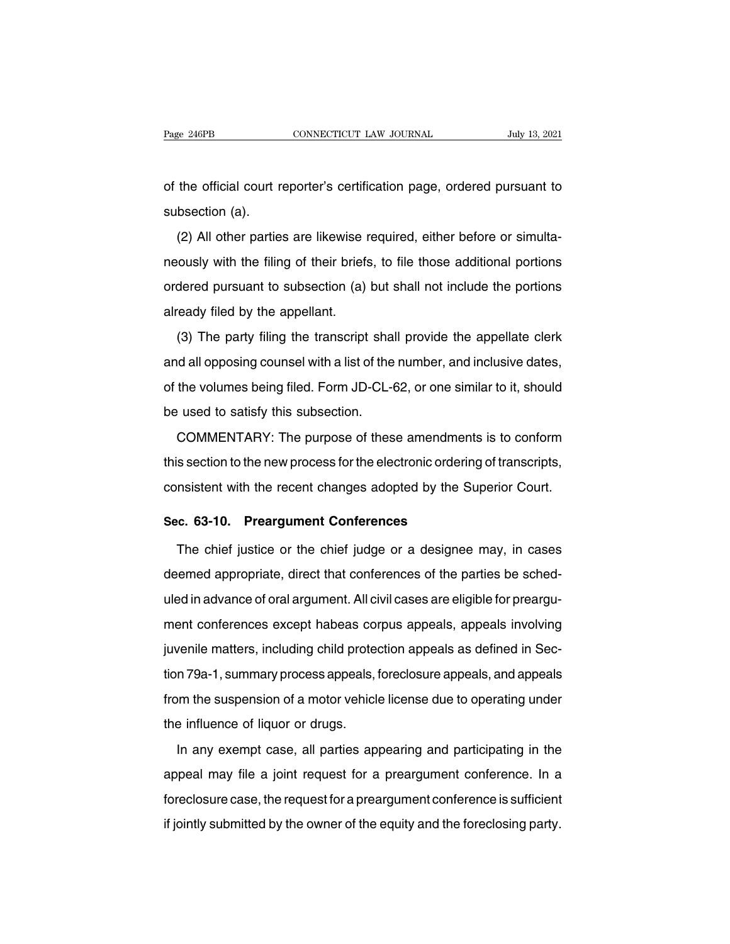Page 246PB CONNECTICUT LAW JOURNAL July 13, 2021<br>
of the official court reporter's certification page, ordered pursuant to<br>
subsection (a). Page 246PB<br>of the official court r<br>subsection (a).<br>(2) All other partie

the official court reporter's certification page, ordered pursuant to<br>bsection (a).<br>(2) All other parties are likewise required, either before or simulta-<br>ously with the filing of their briefs, to file those additional por of the official court reporter's certification page, ordered pursuant to<br>subsection (a).<br>(2) All other parties are likewise required, either before or simulta-<br>neously with the filing of their briefs, to file those additio subsection (a).<br>
(2) All other parties are likewise required, either before or simulta-<br>
neously with the filing of their briefs, to file those additional portions<br>
ordered pursuant to subsection (a) but shall not include (2) All other parties are likewise represents the appellant of their briefs ordered pursuant to subsection (a) already filed by the appellant.<br>(3) The party filing the transcript ( $\Box$ ) The partics are incrined required, shall posted of similar cously with the filing of their briefs, to file those additional portions<br>dered pursuant to subsection (a) but shall not include the portions<br>ready filed b

and all opposing counsel with a list of the number, and include the portions<br>already filed by the appellant.<br>(3) The party filing the transcript shall provide the appellate clerk<br>and all opposing counsel with a list of the already filed by the appellant.<br>
(3) The party filing the transcript shall provide the appellate clerk<br>
and all opposing counsel with a list of the number, and inclusive dates,<br>
of the volumes being filed. Form JD-CL-62, o (3) The party filing the transcript sha<br>and all opposing counsel with a list of the<br>of the volumes being filed. Form JD-CL-6<br>be used to satisfy this subsection.<br>COMMENTARY: The purpose of thes (c) The party hing are dancempt enall previous are appointed ener.<br>
In all opposing counsel with a list of the number, and inclusive dates,<br>
the volumes being filed. Form JD-CL-62, or one similar to it, should<br>
cused to sa

of the volumes being filed. Form JD-CL-62, or one similar to it, should<br>be used to satisfy this subsection.<br>COMMENTARY: The purpose of these amendments is to conform<br>this section to the new process for the electronic order be used to satisfy this subsection.<br>COMMENTARY: The purpose of these amendments is to conform<br>this section to the new process for the electronic ordering of transcripts,<br>consistent with the recent changes adopted by the Su COMMENTARY: The purpose of these amendment<br>this section to the new process for the electronic orderin<br>consistent with the recent changes adopted by the SI<br>Sec. 63-10. Preargument Conferences<br>The chief justice or the chief Solation to the new process for the electronic ordering of transcripts,<br>
Insistent with the recent changes adopted by the Superior Court.<br> **c. 63-10. Preargument Conferences**<br>
The chief justice or the chief judge or a desi

consistent with the recent changes adopted by the Superior Court.<br> **Sec. 63-10. Preargument Conferences**<br>
The chief justice or the chief judge or a designee may, in cases<br>
deemed appropriate, direct that conferences of the Sec. 63-10. Preargument Conferences<br>The chief justice or the chief judge or a designee may, in cases<br>deemed appropriate, direct that conferences of the parties be sched-<br>uled in advance of oral argument. All civil cases ar The chief justice or the chief judge or a designee may, in cases<br>deemed appropriate, direct that conferences of the parties be sched-<br>uled in advance of oral argument. All civil cases are eligible for preargu-<br>ment confere deemed appropriate, direct that conferences of the parties be sched-<br>uled in advance of oral argument. All civil cases are eligible for preargu-<br>ment conferences except habeas corpus appeals, appeals involving<br>juvenile mat decinica appropriate, ancia and conneronees or the partice se center<br>uled in advance of oral argument. All civil cases are eligible for preargu-<br>ment conferences except habeas corpus appeals, appeals involving<br>juvenile mat ment conferences except habeas corpus appeals, appeals involving<br>juvenile matters, including child protection appeals as defined in Sec-<br>tion 79a-1, summary process appeals, foreclosure appeals, and appeals<br>from the suspen inch concrence oxcept hascae con-<br>juvenile matters, including child proted<br>tion 79a-1, summary process appeals, f<br>from the suspension of a motor vehicle<br>the influence of liquor or drugs.<br>In any exempt case, all parties ap In 79a-1, summary process appeals, foreclosure appeals, and appeals<br>In 19a-1, summary process appeals, foreclosure appeals, and appeals<br>am the suspension of a motor vehicle license due to operating under<br>a influence of liq

from the suspension of a motor vehicle license due to operating under<br>the influence of liquor or drugs.<br>In any exempt case, all parties appearing and participating in the<br>appeal may file a joint request for a preargument c for the influence of liquor or drugs.<br>
In any exempt case, all parties appearing and participating in the<br>
appeal may file a joint request for a preargument conference. In a<br>
foreclosure case, the request for a preargument In any exempt case, all parties appearing and participating in the appeal may file a joint request for a preargument conference. In a foreclosure case, the request for a preargument conference is sufficient if jointly subm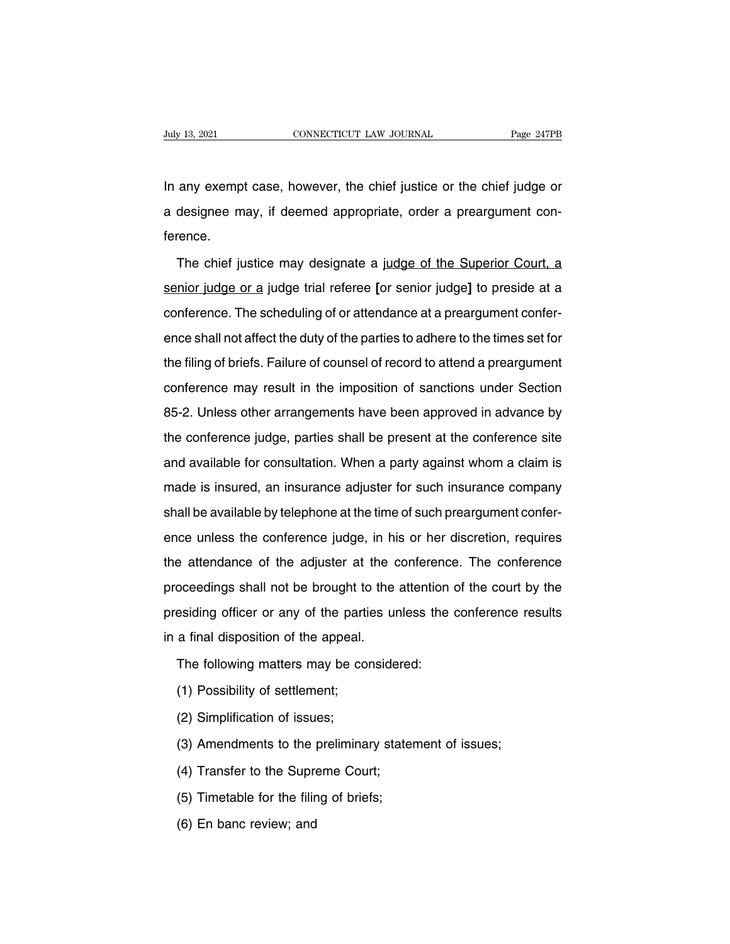In any exempt case, however, the chief justice or the chief judge or<br>a designee may, if deemed appropriate, order a preargument con-July 13, 2021 CONNECTICUT LAW JOURNAL Page 247PB<br>In any exempt case, however, the chief justice or the chief judge or<br>a designee may, if deemed appropriate, order a preargument con-<br>ference. ference. any exempt case, however, the chief justice or the chief judge or<br>designee may, if deemed appropriate, order a preargument con-<br>rence.<br>The chief justice may designate a judge of the Superior Court, a<br>nior judge or a judge

senior judge or a judge of the Superior Court, a<br>senior judge or a judge of the Superior Court, a<br>senior judge or a judge trial referee [or senior judge] to preside at a<br>conference. The scheduling of or attendance at a pre a designee may, if deemed appropriate, order a preargument conference.<br>The chief justice may designate a judge of the Superior Court, a senior judge or a judge trial referee [or senior judge] to preside at a conference. Th The chief justice may designate a judge of the Superior Court, a<br>senior judge or a judge trial referee [or senior judge] to preside at a<br>conference. The scheduling of or attendance at a preargument confer-<br>ence shall not a senior judge or a judge trial referee [or senior judge] to preside at a conference. The scheduling of or attendance at a preargument conference shall not affect the duty of the parties to adhere to the times set for the fi conference. The scheduling of or attendance at a preargument conference shall not affect the duty of the parties to adhere to the times set for the filing of briefs. Failure of counsel of record to attend a preargument con Befinding of the particlaries at a preargament series<br>ence shall not affect the duty of the parties to adhere to the times set for<br>the filing of briefs. Failure of counsel of record to attend a preargument<br>conference may r the filing of briefs. Failure of counsel of record to attend a preargument<br>conference may result in the imposition of sanctions under Section<br>85-2. Unless other arrangements have been approved in advance by<br>the conference and a prodighment<br>conference may result in the imposition of sanctions under Section<br>85-2. Unless other arrangements have been approved in advance by<br>the conference judge, parties shall be present at the conference site<br>an 85-2. Unless other arrangements have been approved in advance by<br>the conference judge, parties shall be present at the conference site<br>and available for consultation. When a party against whom a claim is<br>made is insured, a 85-2. Unless other arrangements have been approved in advance by<br>the conference judge, parties shall be present at the conference site<br>and available for consultation. When a party against whom a claim is<br>made is insured, a and available for consultation. When a party against whom a claim is<br>made is insured, an insurance adjuster for such insurance company<br>shall be available by telephone at the time of such preargument confer-<br>ence unless the and dvaliable for concentration. When a party against whom a claim is<br>made is insured, an insurance adjuster for such insurance company<br>shall be available by telephone at the time of such preargument confer-<br>ence unless th shall be available by telephone at the time of such instance company<br>shall be available by telephone at the time of such preargument confer-<br>ence unless the conference judge, in his or her discretion, requires<br>the attendan ence unless the conference judge, in his or her discretion, requires<br>the attendance of the adjuster at the conference. The conference<br>proceedings shall not be brought to the attention of the court by the<br>presiding officer the attendance of the adjuster at the conceedings shall not be brought to the presiding officer or any of the parties unit a final disposition of the appeal.<br>The following matters may be considered oceedings shall not be brought to the attention<br>esiding officer or any of the parties unless the<br>a final disposition of the appeal.<br>The following matters may be considered:<br>(1) Possibility of settlement; esiding officer or any of the partion<br>a final disposition of the appeal.<br>The following matters may be cor<br>(1) Possibility of settlement;<br>(2) Simplification of issues; (2) a final disposition of the appeal.<br>
The following matters may be co<br>
(1) Possibility of settlement;<br>
(2) Simplification of issues;<br>
(3) Amendments to the prelimina

- 
- 
- The following matters may be considered:<br>(1) Possibility of settlement;<br>(2) Simplification of issues;<br>(3) Amendments to the preliminary statement of issues;<br>(4) Transfer to the Supreme Court; (1) Possibility of settlement;<br>(2) Simplification of issues;<br>(3) Amendments to the preliminary state<br>(4) Transfer to the Supreme Court;<br>(5) Timetable for the filing of briefs; (2) Simplification of issues;<br>(3) Amendments to the preliminary stater<br>(4) Transfer to the Supreme Court;<br>(5) Timetable for the filing of briefs;<br>(6) En banc review; and
- (3) Amendments to the  $|$ <br>(4) Transfer to the Supre<br>(5) Timetable for the filir<br>(6) En banc review; and
- 
-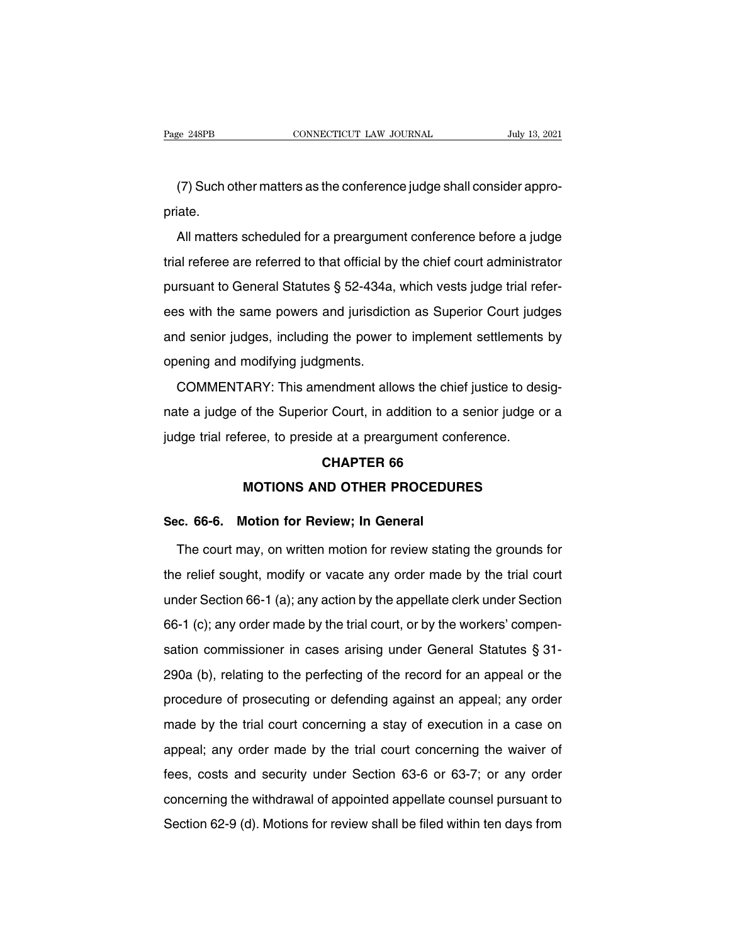e 248PB<br>
CONNECTICUT LAW JOURNAL<br>
(7) Such other matters as the conference judge shall consider appro-<br>
iate. priate.

(7) Such other matters as the conference judge shall consider appro-<br>iate.<br>All matters scheduled for a preargument conference before a judge<br>al referee are referred to that official by the chief court administrator (7) Such other matters as the conference judge shall consider appro-<br>priate.<br>
All matters scheduled for a preargument conference before a judge<br>
trial referee are referred to that official by the chief court administrator (7) Such other matters as the conference judge shall consider appro-<br>priate.<br>
All matters scheduled for a preargument conference before a judge<br>
trial referee are referred to that official by the chief court administrator All matters scheduled for a preargument conference before a judge<br>trial referee are referred to that official by the chief court administrator<br>pursuant to General Statutes § 52-434a, which vests judge trial refer-<br>ees with The induction of the produgation is contributed boroto a judge<br>trial referee are referred to that official by the chief court administrator<br>pursuant to General Statutes § 52-434a, which vests judge trial refer-<br>ees with th onal referee are referred to that efficial by<br>pursuant to General Statutes § 52-434a,<br>ees with the same powers and jurisdictie<br>and senior judges, including the power<br>opening and modifying judgments.<br>COMMENTARY: This amendm Examples and interest and jurisdiction as Superior Court judges<br>is with the same powers and jurisdiction as Superior Court judges<br>d senior judges, including the power to implement settlements by<br>ening and modifying judgmen

and senior judges, including the power to implement settlements by<br>opening and modifying judgments.<br>COMMENTARY: This amendment allows the chief justice to desig-<br>nate a judge of the Superior Court, in addition to a senior opening and modifying judgments.<br>COMMENTARY: This amendment allows the chief justice to des<br>nate a judge of the Superior Court, in addition to a senior judge c<br>judge trial referee, to preside at a preargument conference.<br>C **Example 12**<br>
Internations the chief<br>
Internation to a s<br>
Internation to a s<br>
International CHAPTER 66<br>
IND OTHER PROCEDURE of the Superior Court, in addition to a senior judge or a<br>eree, to preside at a preargument conference.<br>**CHAPTER 66**<br>MOTIONS AND OTHER PROCEDURES indige trial referee, to preside at a preargument co<br> **CHAPTER 66<br>
MOTIONS AND OTHER PROCEDU**<br> **Sec. 66-6. Motion for Review; In General**<br>
The court may, on written motion for review stati

CHAPTER 66<br>MOTIONS AND OTHER PROCEDURES<br>c. 66-6. Motion for Review; In General<br>The court may, on written motion for review stating the grounds for<br>e relief sought, modify or vacate any order made by the trial court MOTIONS AND OTHER PROCEDURES<br>Sec. 66-6. Motion for Review; In General<br>The court may, on written motion for review stating the grounds for<br>the relief sought, modify or vacate any order made by the trial court<br>under Section Sec. 66-6. Motion for Review; In General<br>The court may, on written motion for review stating the grounds for<br>the relief sought, modify or vacate any order made by the trial court<br>under Section 66-1 (a); any action by the a The court may, on written motion for review stating the grounds for<br>the relief sought, modify or vacate any order made by the trial court<br>under Section 66-1 (a); any action by the appellate clerk under Section<br>66-1 (c); a The seart may, on which measured fevrow elaling the greaties for<br>the relief sought, modify or vacate any order made by the trial court<br>under Section 66-1 (a); any action by the appellate clerk under Section<br>66-1 (c); any o and the relation 66-1 (a); any action by the appellate clerk under Section 66-1 (c); any order made by the trial court, or by the workers' compensation commissioner in cases arising under General Statutes § 31-<br>290a (b), r 66-1 (c); any order made by the trial court, or by the workers' compensation commissioner in cases arising under General Statutes  $\S 31-290a$  (b), relating to the perfecting of the record for an appeal or the procedure of sation commissioner in cases arising under General Statutes  $\S$  31-<br>290a (b), relating to the perfecting of the record for an appeal or the<br>procedure of prosecuting or defending against an appeal; any order<br>made by the tr 290a (b), relating to the perfecting of the record for an appeal or the procedure of prosecuting or defending against an appeal; any order made by the trial court concerning a stay of execution in a case on appeal; any or given the trial court concerning and securities and appear of the procedure of prosecuting or defending against an appeal; any order made by the trial court concerning the waiver of fees, costs and security under Section 6 made by the trial court concerning a stay of execution in a case on<br>appeal; any order made by the trial court concerning the waiver of<br>fees, costs and security under Section 63-6 or 63-7; or any order<br>concerning the withdr shade by the that beart beholding a blay or biobation in a babe on<br>appeal; any order made by the trial court concerning the waiver of<br>fees, costs and security under Section 63-6 or 63-7; or any order<br>concerning the withdra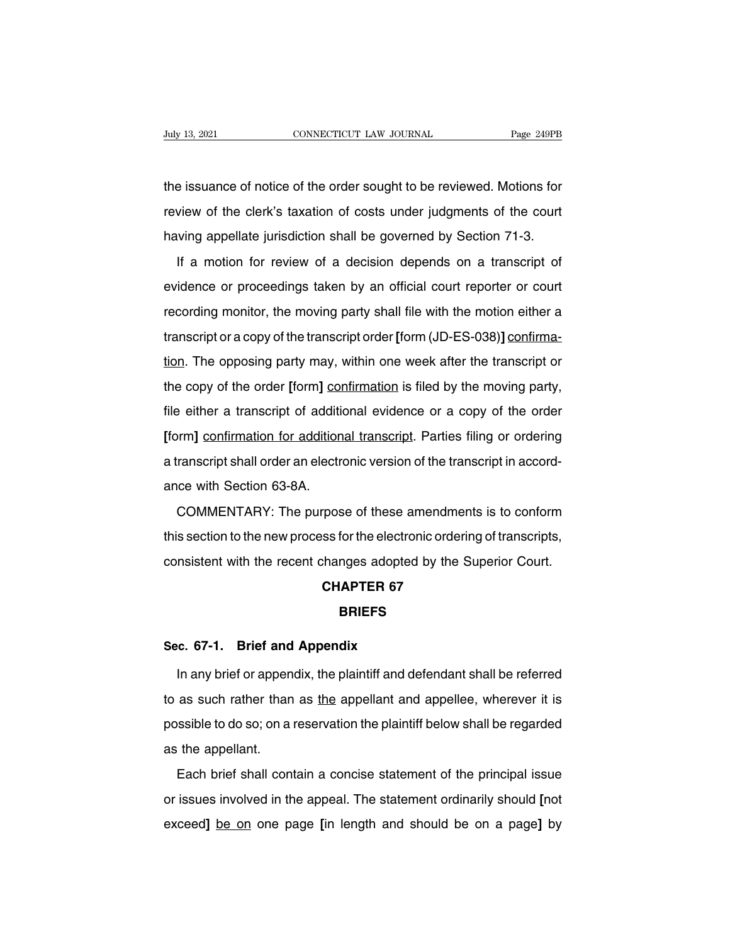The issuance of notice of the order sought to be reviewed. Motions for<br>the issuance of notice of the order sought to be reviewed. Motions for<br>review of the clerk's taxation of costs under judgments of the court Fage 249PB<br>the issuance of notice of the order sought to be reviewed. Motions for<br>review of the clerk's taxation of costs under judgments of the court<br>having appellate jurisdiction shall be governed by Section 71-3. the issuance of notice of the order sought to be reviewed. Motions for<br>review of the clerk's taxation of costs under judgments of the court<br>having appellate jurisdiction shall be governed by Section 71-3.<br>If a motion for r In a motion of the order sought to be reviewed. Motions for<br>View of the clerk's taxation of costs under judgments of the court<br>Ving appellate jurisdiction shall be governed by Section 71-3.<br>If a motion for review of a deci

review of the clerk's taxation of costs under judgments of the court<br>having appellate jurisdiction shall be governed by Section 71-3.<br>If a motion for review of a decision depends on a transcript of<br>evidence or proceedings recording appellate jurisdiction shall be governed by Section 71-3.<br>If a motion for review of a decision depends on a transcript of<br>evidence or proceedings taken by an official court reporter or court<br>recording monitor, th If a motion for review of a decision depends on a transcript of evidence or proceedings taken by an official court reporter or court recording monitor, the moving party shall file with the motion either a transcript or a c the opposition. The opposition is a decision dependent of the transcript of evidence or proceedings taken by an official court reporter or court recording monitor, the moving party shall file with the motion either a trans the cording monitor, the moving party shall file with the motion either a transcript or a copy of the transcript order [form (JD-ES-038)] confirma-<br>tion. The opposing party may, within one week after the transcript or<br>the franscript or a copy of the transcript order [form (JD-ES-038)] confirma-<br>tion. The opposing party may, within one week after the transcript or<br>the copy of the order [form] confirmation is filed by the moving party,<br>file e **EXECTS** and transcript of a depty of the transcript over point (ob EO coo) **J Solution**<br> **EXECTS** file copy of the order [form] confirmation is filed by the moving party,<br> **file either a transcript of additional evidenc** a transcript shall order and electronic version of the transcript of the copy of the order [form] confirmation is filed by the moving party, file either a transcript of additional evidence or a copy of the order [form] con ance supplementation for addition<br>file either a transcript of addition<br>a transcript shall order an electr<br>ance with Section 63-8A.<br>COMMENTARY: The purpos or of the change of the state of the state of the state.<br>
Form] confirmation for additional transcript. Parties filing or ordering<br>
ranscript shall order an electronic version of the transcript in accord-<br>
comments is to c

tromation to the diamonal manifolity: Transforming of ordering<br>a transcript shall order an electronic version of the transcript in accord-<br>ance with Section 63-8A.<br>COMMENTARY: The purpose of these amendments is to conform<br> Example the recent changes of these amendments is to conform<br>this section to the new process for the electronic ordering of transcripts,<br>consistent with the recent changes adopted by the Superior Court.<br>CHAPTER 67 COMMENTARY: The purpose of these amendments is to conform<br>this section to the new process for the electronic ordering of transcripts,<br>consistent with the recent changes adopted by the Superior Court.<br>**CHAPTER 67** consistent with the recent changes adopted<br> **CHAPTER 67**<br> **Sec. 67-1. Brief and Appendix**<br>
In any brief or appendix, the plaintiff and de

# **BRIEFS**

CHAPTER 67<br>
BRIEFS<br>
In any brief or appendix, the plaintiff and defendant shall be referred<br>
as such rather than as <u>the</u> appellant and appellee, wherever it is **ERIEFS**<br>
Sec. 67-1. Brief and Appendix<br>
In any brief or appendix, the plaintiff and defendant shall be referred<br>
to as such rather than as <u>the</u> appellant and appellee, wherever it is<br>
possible to do so; on a reservation Sec. 67-1. Brief and Appendix<br>In any brief or appendix, the plaintiff and defendant shall be referred<br>to as such rather than as <u>the</u> appellant and appellee, wherever it is<br>possible to do so; on a reservation the plaintiff In any brief or appen<br>to as such rather than<br>possible to do so; on a<br>as the appellant.<br>Each brief shall con Each brief shall contain a concise statement of the principal issue<br>issues involved in the appear. The statement of the principal issue<br>issues involved in the appear. The statement ordinarily should [not

possible to do so; on a reservation the plaintiff below shall be regarded<br>as the appellant.<br>Each brief shall contain a concise statement of the principal issue<br>or issues involved in the appeal. The statement ordinarily sho exceed be a co, on a recordation are planning section shall be regarded<br>as the appellant.<br>
Each brief shall contain a concise statement of the principal issue<br>
or issues involved in the appeal. The statement ordinarily sho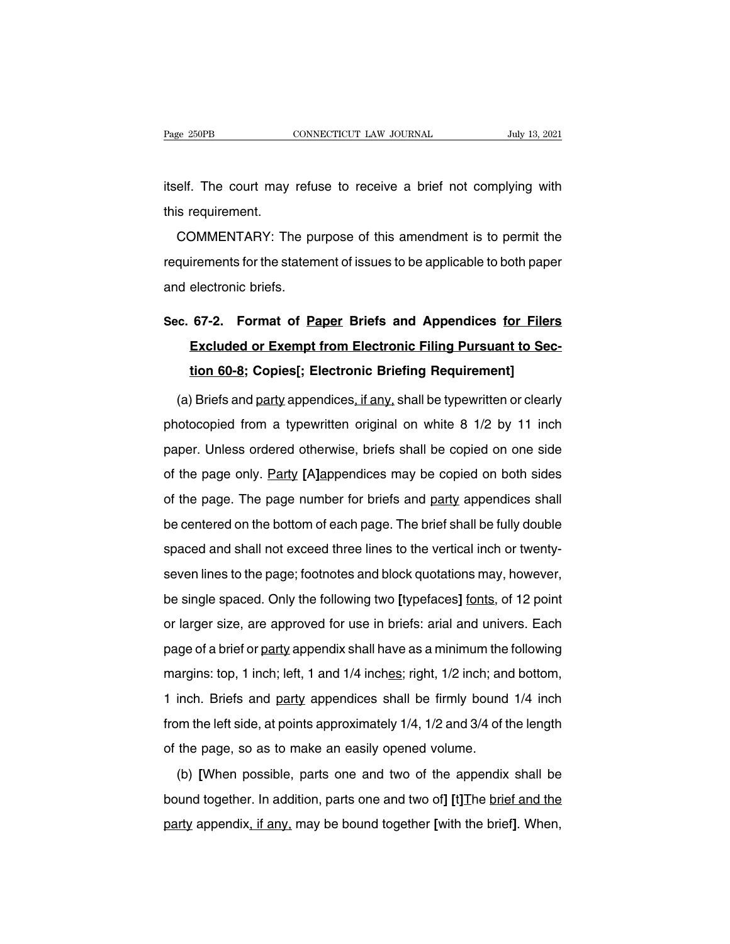Page 250PB CONNECTICUT LAW JOURNAL July 13, 2021<br>itself. The court may refuse to receive a brief not complying with<br>this requirement. Page 250PB<br>itself. The court may<br>this requirement.<br>COMMENTARY: Th

elf. The court may refuse to receive a brief not complying with<br>s requirement.<br>COMMENTARY: The purpose of this amendment is to permit the<br>quirements for the statement of issues to be applicable to both paper itself. The court may refuse to receive a brief not complying with<br>this requirement.<br>COMMENTARY: The purpose of this amendment is to permit the<br>requirements for the statement of issues to be applicable to both paper<br>and el this requirement.<br>COMMENTARY: The pure<br>requirements for the statem<br>and electronic briefs. COMMENTARY: The purpose of this amendment is to permit the<br>requirements for the statement of issues to be applicable to both paper<br>and electronic briefs.<br>**Sec. 67-2.** Format of <u>Paper</u> Briefs and Appendices <u>for Filers</u><br>**E** 

# irements for the statement of issues to be applicable to both paper<br>electronic briefs.<br>**67-2.** Format of <u>Paper</u> Briefs and Appendices <u>for Filers</u><br>Excluded or Exempt from Electronic Filing Pursuant to Sec-<br><u>tion 60-8</u>; Co electronic briefs.<br> **67-2. Format of <u>Paper</u> Briefs and Appendices <u>for Filer</u><br>
Excluded or Exempt from Electronic Filing Pursuant to Section 60-8; Copies[; Electronic Briefing Requirement]<br>
(Briefs and party appendices, i** (a) Briefs and Appendices for Filers<br>Excluded or Exempt from Electronic Filing Pursuant to Sec-<br>tion 60-8; Copies[; Electronic Briefing Requirement]<br>(a) Briefs and party appendices, if any, shall be typewritten or clearly<br>

Excluded or Exempt from Electronic Filing Pursuant to Section 60-8; Copies[; Electronic Briefing Requirement]<br>
(a) Briefs and party appendices, if any, shall be typewritten or clearly<br>
photocopied from a typewritten origin tion 60-8; Copies[; Electronic Briefing Requirement]<br>(a) Briefs and party appendices, if any, shall be typewritten or clearly<br>photocopied from a typewritten original on white 8 1/2 by 11 inch<br>paper. Unless ordered otherwis (a) Briefs and party appendices, if any, shall be typewritten or clearly<br>photocopied from a typewritten original on white 8 1/2 by 11 inch<br>paper. Unless ordered otherwise, briefs shall be copied on one side<br>of the page onl (a) Briefs and party appendices, if any, shall be typewritten or clearly photocopied from a typewritten original on white  $8\frac{1}{2}$  by  $11\frac{1}{1}$  inch paper. Unless ordered otherwise, briefs shall be copied on one side paper. Unless ordered otherwise, briefs shall be copied on one side<br>of the page only. Party [A]appendices may be copied on both sides<br>of the page. The page number for briefs and party appendices shall<br>be centered on the bo paper. Shall shall not exceed thremes, shall see suppled on both sides<br>of the page. The page number for briefs and <u>party</u> appendices shall<br>be centered on the bottom of each page. The brief shall be fully double<br>spaced and of the page. The page number for briefs and party appendices shall<br>be centered on the bottom of each page. The brief shall be fully double<br>spaced and shall not exceed three lines to the vertical inch or twenty-<br>seven lines be centered on the bottom of each page. The brief shall be fully double<br>spaced and shall not exceed three lines to the vertical inch or twenty-<br>seven lines to the page; footnotes and block quotations may, however,<br>be singl spaced and shall not exceed three lines to the vertical inch or twenty-<br>seven lines to the page; footnotes and block quotations may, however,<br>be single spaced. Only the following two [typefaces] <u>fonts</u>, of 12 point<br>or lar seven lines to the page; footnotes and block quotations may, however,<br>be single spaced. Only the following two [typefaces] <u>fonts</u>, of 12 point<br>or larger size, are approved for use in briefs: arial and univers. Each<br>page o be single spaced. Only the following two [typefaces] <u>fonts</u>, of 12 point<br>or larger size, are approved for use in briefs: arial and univers. Each<br>page of a brief or party appendix shall have as a minimum the following<br>marg or larger size, are approved for use in briefs: arial and univers. Each<br>page of a brief or party appendix shall have as a minimum the following<br>margins: top, 1 inch; left, 1 and 1/4 inches; right, 1/2 inch; and bottom,<br>1 i from the left side, at points approximately 1/4, 1/2 inch; and bottom,<br>the left side, 1 inch; left, 1 and 1/4 inches; right, 1/2 inch; and bottom,<br>1 inch. Briefs and party appendices shall be firmly bound 1/4 inch<br>from the page of a short of <u>pairy</u> apponent shall have as a millimidine margins: top, 1 inch; left, 1 and 1/4 inches; right, 1/2 inch; and 1 inch. Briefs and party appendices shall be firmly bound from the left side, at points app inch. Briefs and party appendices shall be firmly bound 1/4 inch<br>inch. Briefs and party appendices shall be firmly bound 1/4 inch<br>m the left side, at points approximately 1/4, 1/2 and 3/4 of the length<br>the page, so as to m

from the left side, at points approximately  $1/4$ ,  $1/2$  and  $3/4$  of the length<br>of the page, so as to make an easily opened volume.<br>(b) [When possible, parts one and two of the appendix shall be<br>bound together. In additi party appendix, if any, may be bound together [with the brief]. When, and ty appendix, if any, may be bound together [with the brief]. When, party appendix, if any, may be bound together [with the brief]. When,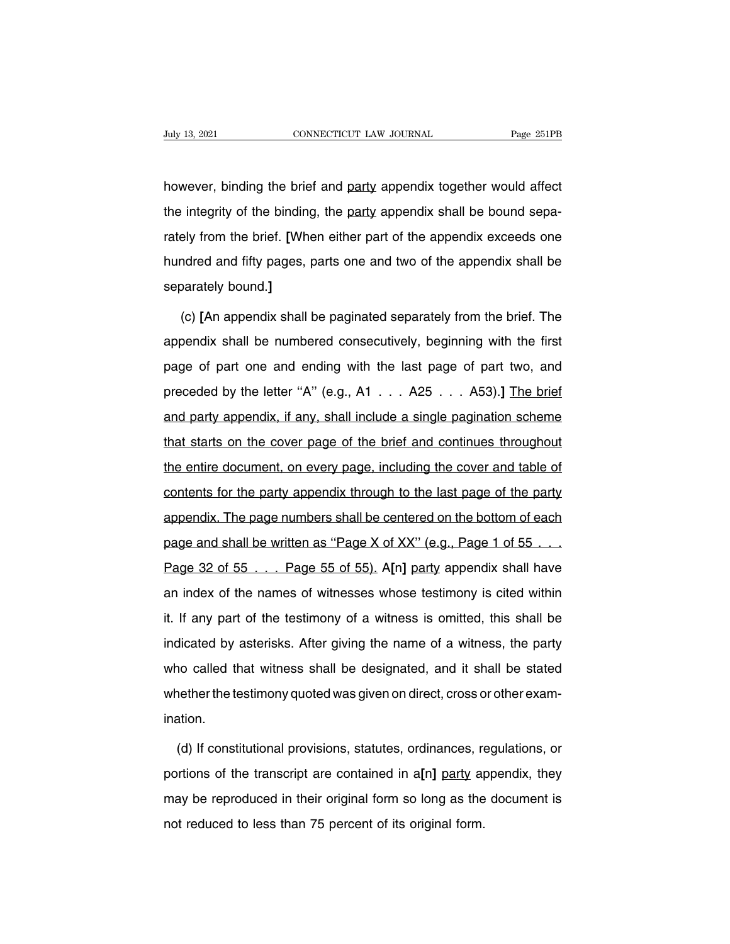Fuly 13, 2021<br> **EXECUTE: CONNECTICUT LAW JOURNAL**<br>
however, binding the brief and <u>party</u> appendix together would affect<br>
the integrity of the binding, the <u>party</u> appendix shall be bound sepa-The integrity of the binding, the party appendix together would affect<br>the integrity of the binding, the <u>party</u> appendix shall be bound sepa-<br>rately from the brief. [When either part of the appendix exceeds one however, binding the brief and party appendix together would affect<br>the integrity of the binding, the party appendix shall be bound sepa-<br>rately from the brief. [When either part of the appendix exceeds one<br>hundred and fif however, binding the brief and party appendix together would affect<br>the integrity of the binding, the party appendix shall be bound sepa-<br>rately from the brief. [When either part of the appendix exceeds one<br>hundred and fif however, binding the brief and <u>party</u> appendix together would affect<br>the integrity of the binding, the <u>party</u> appendix shall be bound sepa-<br>rately from the brief. [When either part of the appendix exceeds one<br>hundred and ely from the brief. [When either part of the appendix exceeds one<br>ndred and fifty pages, parts one and two of the appendix shall be<br>parately bound.]<br>(c) [An appendix shall be paginated separately from the brief. The<br>pendix

hundred and fifty pages, parts one and two of the appendix shall be<br>separately bound.]<br>(c) [An appendix shall be paginated separately from the brief. The<br>appendix shall be numbered consecutively, beginning with the first<br>p separately bound.]<br>
(c) [An appendix shall be paginated separately from the brief. The<br>
appendix shall be numbered consecutively, beginning with the first<br>
page of part one and ending with the last page of part two, and<br>
p (c) [An appendix shall be paginated separately from the brief. The appendix shall be numbered consecutively, beginning with the first page of part one and ending with the last page of part two, and preceded by the letter appendix shall be numbered consecutively, beginning with the first<br>page of part one and ending with the last page of part two, and<br>preceded by the letter "A" (e.g., A1  $\dots$  A25  $\dots$  A53).] The brief<br>and party appendix, if page of part one and ending with the last page of part two, and<br>preceded by the letter "A" (e.g., A1  $\dots$  A25  $\dots$  A53).] The brief<br>and party appendix, if any, shall include a single pagination scheme<br>that starts on the c page of part one and onaling that the last page of part the, and<br>preceded by the letter "A" (e.g., A1 . . . A25 . . . A53).] The brief<br>and party appendix, if any, shall include a single pagination scheme<br>that starts on the and party appendix, if any, shall include a single pagination scheme<br>that starts on the cover page of the brief and continues throughout<br>the entire document, on every page, including the cover and table of<br>contents for the that starts on the cover page of the brief and continues throughout<br>the entire document, on every page, including the cover and table of<br>contents for the party appendix through to the last page of the party<br>appendix. The p the entire document, on every page, including the cover and table of<br>contents for the party appendix through to the last page of the party<br>appendix. The page numbers shall be centered on the bottom of each<br>page and shall b contents for the party appendix through to the last page of the party<br>appendix. The page numbers shall be centered on the bottom of each<br>page and shall be written as "Page X of XX" (e.g., Page 1 of 55 . . . .<br>Page 32 of 55 appendix. The page numbers shall be centered on the bottom of each page and shall be written as "Page X of XX" (e.g., Page 1 of 55 . . . .<br>Page 32 of 55 . . . . Page 55 of 55). A[n] party appendix shall have an index of th page and shall be written as "Page X of XX" (e.g., Page 1 of 55...<br>Page 32 of 55... Page 55 of 55). A[n] party appendix shall have<br>an index of the names of witnesses whose testimony is cited within<br>it. If any part of the t Page 32 of 55 . . . Page 55 of 55). A[n] party appendix shall have<br>an index of the names of witnesses whose testimony is cited within<br>it. If any part of the testimony of a witness is omitted, this shall be<br>indicated by ast an index of the names of witnesses whose testimony is cited within<br>it. If any part of the testimony of a witness is omitted, this shall be<br>indicated by asterisks. After giving the name of a witness, the party<br>who called th an index of the names of witnesses whose testimony is cited within<br>it. If any part of the testimony of a witness is omitted, this shall be<br>indicated by asterisks. After giving the name of a witness, the party<br>who called th ination. (d) If constitutional provisions, statutes, ordinances, regulations, or<br>
(d) If constitutional provisions, statutes, ordinances, regulations, or<br>
(d) If constitutional provisions, statutes, ordinances, regulations, or<br>
(d)

whether the testimony quoted was given on direct, cross or other examination.<br>
(d) If constitutional provisions, statutes, ordinances, regulations, or<br>
portions of the transcript are contained in a[n] party appendix, they<br> ination.<br>
(d) If constitutional provisions, statutes, ordinances, regulations, or<br>
portions of the transcript are contained in a[n] party appendix, they<br>
may be reproduced in their original form so long as the document is<br> (d) If constitutional provisions, statutes, ordinances, reportions of the transcript are contained in a[n] party at may be reproduced in their original form so long as the not reduced to less than 75 percent of its origina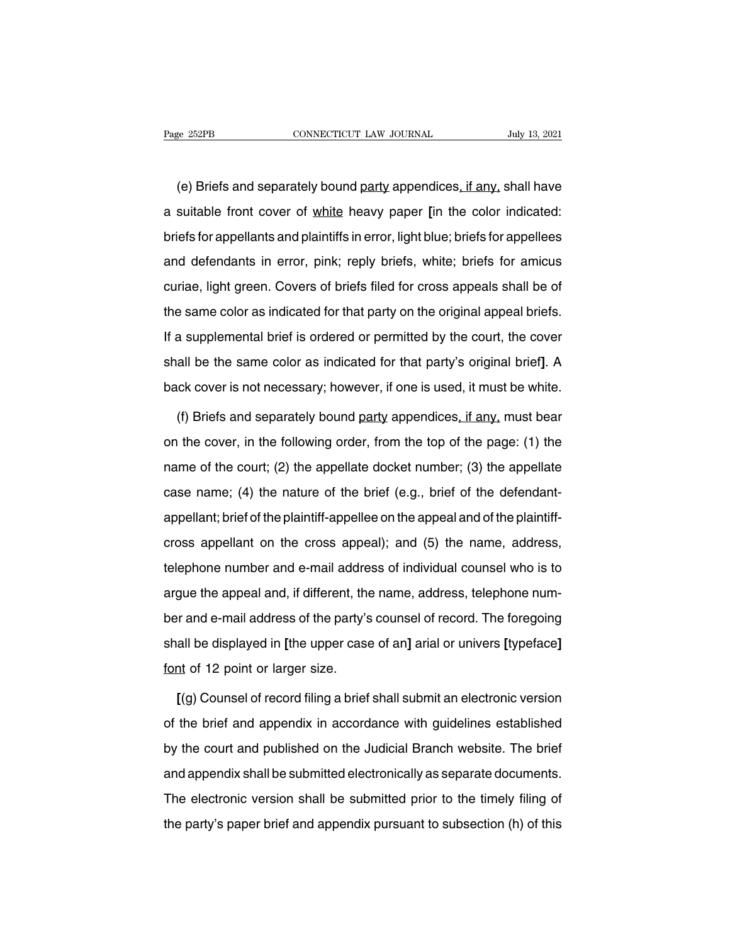(e) Briefs and separately bound party appendices, if any, shall have<br>
suitable front cover of <u>white</u> heavy paper [in the color indicated: Page 252PB **CONNECTICUT LAW JOURNAL** July 13, 2021<br>
(e) Briefs and separately bound <u>party</u> appendices<u>, if any</u>, shall have<br>
a suitable front cover of <u>white</u> heavy paper [in the color indicated:<br>
briefs for appellants an (e) Briefs and separately bound party appendices, if any, shall have<br>a suitable front cover of white heavy paper [in the color indicated:<br>briefs for appellants and plaintiffs in error, light blue; briefs for appellees<br>and (e) Briefs and separately bound <u>party</u> appendices, if any, shall have<br>a suitable front cover of <u>white</u> heavy paper [in the color indicated:<br>briefs for appellants and plaintiffs in error, light blue; briefs for appellees<br> a suitable front cover of white heavy paper [in the color indicated:<br>briefs for appellants and plaintiffs in error, light blue; briefs for appellees<br>and defendants in error, pink; reply briefs, white; briefs for amicus<br>cur briefs for appellants and plaintiffs in error, light blue; briefs for appellees<br>and defendants in error, pink; reply briefs, white; briefs for amicus<br>curiae, light green. Covers of briefs filed for cross appeals shall be o Ends or appenants and plantime in strong, ignitiated, shore for appended and defendants in error, pink; reply briefs, white; briefs for amicus curiae, light green. Covers of briefs filed for cross appeals shall be of the s shall be the same color as indicated for that party on the original appeal briefs.<br>If a supplemental brief is ordered or permitted by the court, the cover<br>shall be the same color as indicated for that party's original brie back cover is not ideal of that party on the original appeal briefs.<br>If a supplemental brief is ordered or permitted by the court, the cover<br>shall be the same color as indicated for that party's original brief]. A<br>back cov a supplemental brief is ordered or permitted by the court, the cover<br>all be the same color as indicated for that party's original brief]. A<br>ck cover is not necessary; however, if one is used, it must be white.<br>(f) Briefs a

shall be the same color as indicated for that party's original brief]. A<br>back cover is not necessary; however, if one is used, it must be white.<br>(f) Briefs and separately bound party appendices, if any, must bear<br>on the co back cover is not necessary; however, if one is used, it must be white.<br>(f) Briefs and separately bound party appendices, if any, must bear<br>on the cover, in the following order, from the top of the page: (1) the<br>name of th (f) Briefs and separately bound party appendices, if any, must bear<br>on the cover, in the following order, from the top of the page: (1) the<br>name of the court; (2) the appellate docket number; (3) the appellate<br>case name; appellant; in the following order, from the top of the page: (1) the name of the court; (2) the appellate docket number; (3) the appellate case name; (4) the nature of the brief (e.g., brief of the defendant-appellant; br shelf or the cover, in the renorming eract, nont the top or the page. (1) the appellate case name; (4) the nature of the brief (e.g., brief of the defendant-appellant; brief of the plaintiff-appellee on the appeal and of that the state of the plaintiff-appellee on the appeal and of the plaintiff-<br>appellant; brief of the plaintiff-appellee on the appeal and of the plaintiff-<br>cross appellant on the cross appeal); and (5) the name, address,<br> appellant; brief of the plaintiff-appellee on the appeal and of the plaintiff-<br>appellant, brief of the plaintiff-appellee on the appeal and of the plaintiff-<br>cross appellant on the cross appeal); and (5) the name, address, eppenant, shortening planting appears on the appear and or the planting<br>cross appellant on the cross appeal); and (5) the name, address,<br>telephone number and e-mail address of individual counsel who is to<br>argue the appeal shall be displayed in [the upper case of an] arial or universe properties and e-mail address of individual counsel who is to argue the appeal and, if different, the name, address, telephone number and e-mail address of the expresse named and, if different, the<br>argue the appeal and, if different, the<br>ber and e-mail address of the party's<br>shall be displayed in [the upper case<br>font of 12 point or larger size.<br>[(a) Counsel of record filing a bri Frequentian and e-mail address of the party's counsel of record. The foregoing<br>all be displayed in [the upper case of an] arial or univers [typeface]<br>at of 12 point or larger size.<br>[(g) Counsel of record filing a brief sha

shall be displayed in [the upper case of an] arial or univers [typeface]<br>font of 12 point or larger size.<br>[(g) Counsel of record filing a brief shall submit an electronic version<br>of the brief and appendix in accordance wit font of 12 point or larger size.<br>
[(g) Counsel of record filing a brief shall submit an electronic version<br>
of the brief and appendix in accordance with guidelines established<br>
by the court and published on the Judicial Br [(g) Counsel of record filing a brief shall submit an electronic version<br>of the brief and appendix in accordance with guidelines established<br>by the court and published on the Judicial Branch website. The brief<br>and appendix The brief and appendix in accordance with guidelines established<br>by the court and published on the Judicial Branch website. The brief<br>and appendix shall be submitted electronically as separate documents.<br>The electronic ver by the court and published on the Judicial Branch website. The brief<br>and appendix shall be submitted electronically as separate documents.<br>The electronic version shall be submitted prior to the timely filing of<br>the party's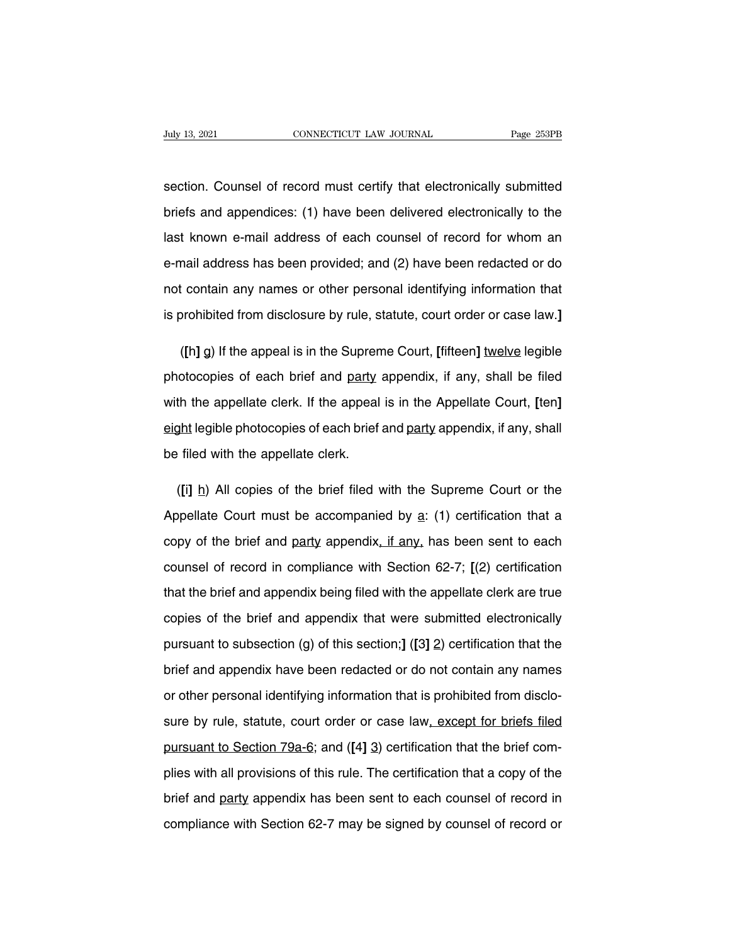Suly 13, 2021<br>
Section. Counsel of record must certify that electronically submitted<br>
Section. Counsel of record must certify that electronically submitted<br>
Section appendices: (1) have been delivered electronically to the briefs and appendices: (1) have been delivered electronically submitted<br>last known e-mail address of each counsel of record for whom an section. Counsel of record must certify that electronically submitted<br>briefs and appendices: (1) have been delivered electronically to the<br>last known e-mail address of each counsel of record for whom an<br>e-mail address has section. Counsel of record must certify that electronically submitted<br>briefs and appendices: (1) have been delivered electronically to the<br>last known e-mail address of each counsel of record for whom an<br>e-mail address has briefs and appendices: (1) have been delivered electronically to the<br>last known e-mail address of each counsel of record for whom an<br>e-mail address has been provided; and (2) have been redacted or do<br>not contain any names last known e-mail address of each counsel of record for whom an<br>e-mail address has been provided; and (2) have been redacted or do<br>not contain any names or other personal identifying information that<br>is prohibited from dis mail address has been provided; and (2) have been redacted or do<br>
t contain any names or other personal identifying information that<br>
prohibited from disclosure by rule, statute, court order or case law.]<br>
([h] g) If the a

not contain any names or other personal identifying information that<br>is prohibited from disclosure by rule, statute, court order or case law.]<br>([h] g) If the appeal is in the Supreme Court, [fifteen] <u>twelve</u> legible<br>photo is prohibited from disclosure by rule, statute, court order or case law.]<br>([h] g) If the appeal is in the Supreme Court, [fifteen] <u>twelve</u> legible<br>photocopies of each brief and <u>party</u> appendix, if any, shall be filed<br>wit ([h] g) If the appeal is in the Supreme Court, [fifteen] twelve legible<br>photocopies of each brief and <u>party</u> appendix, if any, shall be filed<br>with the appellate clerk. If the appeal is in the Appellate Court, [ten]<br>eight photocopies of each brief and <u>party</u><br>with the appellate clerk. If the appeal<br>eight legible photocopies of each brief<br>be filed with the appellate clerk. In the appellate clerk. If the appeal is in the Appellate Court, [ten]<br>
<u>ght</u> legible photocopies of each brief and <u>party</u> appendix, if any, shall<br>
(**[i]** <u>h</u>) All copies of the brief filed with the Supreme Court or the<br>

eight legible photocopies of each brief and party appendix, if any, shall<br>be filed with the appellate clerk.<br>([i] <u>h</u>) All copies of the brief filed with the Supreme Court or the<br>Appellate Court must be accompanied by <u>a</u>: be filed with the appellate clerk.<br>
([i] h) All copies of the brief filed with the Supreme Court or the<br>
Appellate Court must be accompanied by a: (1) certification that a<br>
copy of the brief and party appendix, if any, has ([i] h) All copies of the brief filed with the Supreme Court or the Appellate Court must be accompanied by  $a$ : (1) certification that a copy of the brief and party appendix, if any, has been sent to each counsel of recor Appellate Court must be accompanied by a: (1) certification that a<br>copy of the brief and party appendix, if any, has been sent to each<br>counsel of record in compliance with Section 62-7; [(2) certification<br>that the brief an copy of the brief and party appendix, if any, has been sent to each<br>counsel of record in compliance with Section 62-7; [(2) certification<br>that the brief and appendix being filed with the appellate clerk are true<br>copies of pursuant of record in compliance with Section 62-7; [(2) certification<br>that the brief and appendix being filed with the appellate clerk are true<br>copies of the brief and appendix that were submitted electronically<br>pursuant that the brief and appendix being filed with the appellate clerk are true<br>copies of the brief and appendix that were submitted electronically<br>pursuant to subsection (g) of this section;] ([3] 2) certification that the<br>brie copies of the brief and appendix that were submitted electronically<br>pursuant to subsection (g) of this section;] ([3] 2) certification that the<br>brief and appendix have been redacted or do not contain any names<br>or other per pursuant to subsection (g) of this section;] ([3] 2) certification that the<br>brief and appendix have been redacted or do not contain any names<br>or other personal identifying information that is prohibited from disclo-<br>sure b brief and appendix have been redacted or do not contain any names<br>or other personal identifying information that is prohibited from disclo-<br>sure by rule, statute, court order or case law<u>, except for briefs filed</u><br>pursuant plures by rule, statute, court order or case law, except for briefs filed<br>pursuant to Section 79a-6; and ([4] 3) certification that the brief com-<br>plies with all provisions of this rule. The certification that a copy of th sure by rule, statute, court order or case law, except for briefs filed<br>pursuant to Section 79a-6; and ([4] 3) certification that the brief com-<br>plies with all provisions of this rule. The certification that a copy of the<br> pursuant to Section 79a-6; and ([4] 3) certification that the brief com-<br>plies with all provisions of this rule. The certification that a copy of the<br>brief and party appendix has been sent to each counsel of record in<br>comp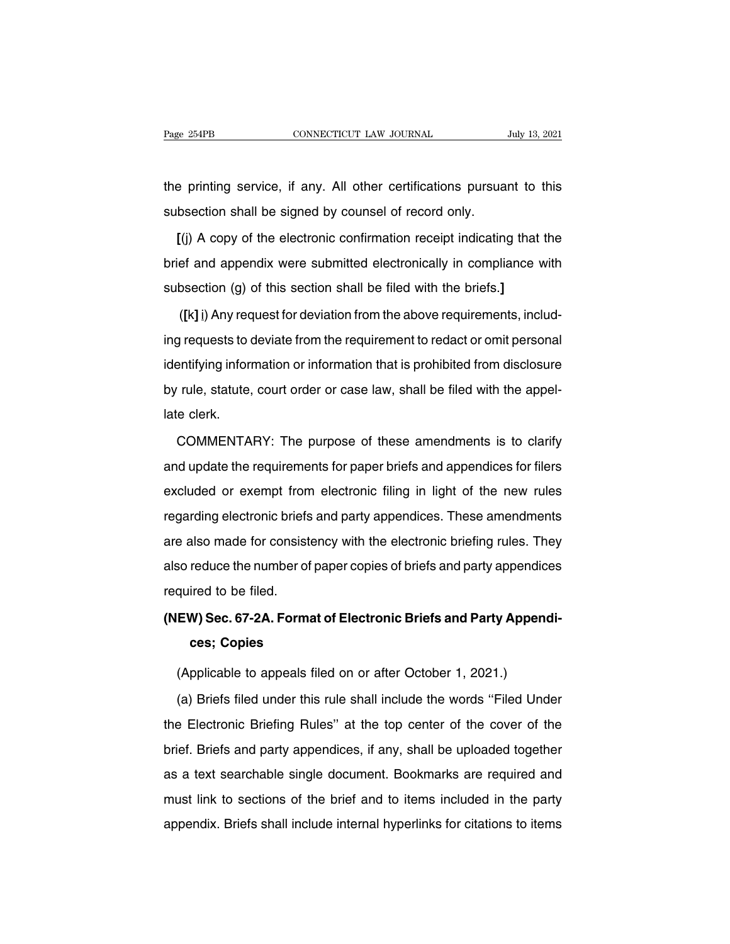The printing service, if any. All other certifications pursuant to this<br>subsection shall be signed by counsel of record only. Page 254PB CONNECTICUT LAW JOURNAL<br>the printing service, if any. All other certifications pursua<br>subsection shall be signed by counsel of record only.<br>[(j) A copy of the electronic confirmation receipt indicating

Figures 1 continuity of the electronic all other certifications pursuant to this<br> **[(j)** A copy of the electronic confirmation receipt indicating that the<br> **[(j)** A copy of the electronic confirmation receipt indicating th the printing service, if any. All other certifications pursuant to this<br>subsection shall be signed by counsel of record only.<br>[(j) A copy of the electronic confirmation receipt indicating that the<br>brief and appendix were s subsection shall be signed by counsel of record only.<br>
[(j) A copy of the electronic confirmation receipt indicating that<br>
brief and appendix were submitted electronically in compliance v<br>
subsection (g) of this section sh (i) A copy of the electronic confirmation receipt indicating that the<br>ef and appendix were submitted electronically in compliance with<br>bsection (g) of this section shall be filed with the briefs.]<br>([k] i) Any request for d

brief and appendix were submitted electronically in compliance with<br>subsection (g) of this section shall be filed with the briefs.]<br>([k] i) Any request for deviation from the above requirements, includ-<br>ing requests to dev subsection (g) of this section shall be filed with the briefs.]<br>([k] i) Any request for deviation from the above requirements, includ-<br>ing requests to deviate from the requirement to redact or omit personal<br>identifying inf ([k] i) Any request for deviation from the above requirements, including requests to deviate from the requirement to redact or omit personal identifying information or information that is prohibited from disclosure by rule late clerk.<br>
ing requests to didentifying inform<br>
by rule, statute,<br>
late clerk.<br>
COMMENTA entifying information or information that is prohibited from disclosure<br>rule, statute, court order or case law, shall be filed with the appel-<br>e clerk.<br>COMMENTARY: The purpose of these amendments is to clarify<br>d update the

by rule, statute, court order or case law, shall be filed with the appel-<br>late clerk.<br>COMMENTARY: The purpose of these amendments is to clarify<br>and update the requirements for paper briefs and appendices for filers<br>exclude expression of these cases and the new rules with the eppertuality cluster.<br>COMMENTARY: The purpose of these amendments is to clarify<br>and update the requirements for paper briefs and appendices for filers<br>excluded or exempt COMMENTARY: The purpose of these amendments is to clarify<br>and update the requirements for paper briefs and appendices for filers<br>excluded or exempt from electronic filing in light of the new rules<br>regarding electronic brie and update the requirements for paper briefs and appendices for filers<br>excluded or exempt from electronic filing in light of the new rules<br>regarding electronic briefs and party appendices. These amendments<br>are also made fo excluded or exempt from electronic filing in light of the new rules<br>regarding electronic briefs and party appendices. These amendments<br>are also made for consistency with the electronic briefing rules. They<br>also reduce the Excluded of exempt non<br>regarding electronic briefs<br>are also made for consist<br>also reduce the number of<br>required to be filed.<br>(NEW) Sec. 67-2A. Form Example 19 and the two consistency with the electronic briefing rules. They also reduce the number of paper copies of briefs and party appendices required to be filed.<br> **(NEW) Sec. 67-2A. Format of Electronic Briefs and Pa** reduce the number of pa<br>ired to be filed.<br>**W) Sec. 67-2A. Format c<br>ces; Copies**<br>policable to appeals file

## quired to be filed.<br> **EW) Sec. 67-2A. Format of Electronic Briefs and Party Appen**<br> **ces; Copies**<br>
(Applicable to appeals filed on or after October 1, 2021.)<br>
(a) Briefs filed under this rule shall include the words "Filed EW) Sec. 67-2A. Format of Electronic Briefs and Party Appendices; Copies<br>
(Applicable to appeals filed on or after October 1, 2021.)<br>
(a) Briefs filed under this rule shall include the words "Filed Under<br>
Electronic Briefi

ces; Copies<br>
(Applicable to appeals filed on or after October 1, 2021.)<br>
(a) Briefs filed under this rule shall include the words "Filed Under<br>
the Electronic Briefing Rules" at the top center of the cover of the<br>
brief. B (Applicable to appeals filed on or after October 1, 2021.)<br>
(a) Briefs filed under this rule shall include the words "Filed Under<br>
the Electronic Briefing Rules" at the top center of the cover of the<br>
brief. Briefs and par (a) Briefs filed under this rule shall include the words "Filed Under<br>the Electronic Briefing Rules" at the top center of the cover of the<br>brief. Briefs and party appendices, if any, shall be uploaded together<br>as a text se the Electronic Briefing Rules" at the top center of the cover of the brief. Briefs and party appendices, if any, shall be uploaded together as a text searchable single document. Bookmarks are required and must link to sect and Electronic Briding Transol at the top center of the cover of the<br>brief. Briefs and party appendices, if any, shall be uploaded together<br>as a text searchable single document. Bookmarks are required and<br>must link to sect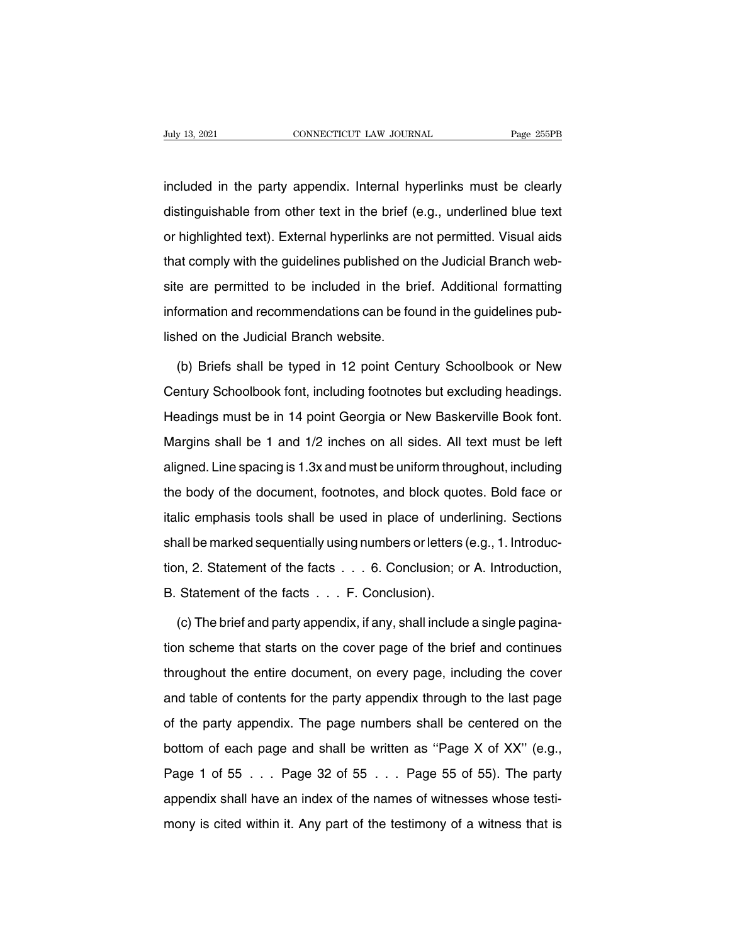Indy 13, 2021 CONNECTICUT LAW JOURNAL Page 255PB<br>
included in the party appendix. Internal hyperlinks must be clearly<br>
distinguishable from other text in the brief (e.g., underlined blue text Daly 13, 2021 CONNECTICUT LAW JOURNAL Page 255PB<br>
included in the party appendix. Internal hyperlinks must be clearly<br>
distinguishable from other text in the brief (e.g., underlined blue text<br>
or highlighted text). Externa included in the party appendix. Internal hyperlinks must be clearly<br>distinguishable from other text in the brief (e.g., underlined blue text<br>or highlighted text). External hyperlinks are not permitted. Visual aids<br>that com included in the party appendix. Internal hyperlinks must be clearly<br>distinguishable from other text in the brief (e.g., underlined blue text<br>or highlighted text). External hyperlinks are not permitted. Visual aids<br>that com distinguishable from other text in the brief (e.g., underlined blue text<br>or highlighted text). External hyperlinks are not permitted. Visual aids<br>that comply with the guidelines published on the Judicial Branch web-<br>site a or highlighted text). External hyperlinks are not permitted. Visual aids<br>that comply with the guidelines published on the Judicial Branch web-<br>site are permitted to be included in the brief. Additional formatting<br>informati In that comply with the guidelines published on<br>site are permitted to be included in the br<br>information and recommendations can be fou<br>lished on the Judicial Branch website.<br>(b) Briefs shall be typed in 12 point Cen e are permitted to be included in the brief. Additional formatting<br>formation and recommendations can be found in the guidelines pub-<br>hed on the Judicial Branch website.<br>(b) Briefs shall be typed in 12 point Century Schoolb

information and recommendations can be found in the guidelines pub-<br>lished on the Judicial Branch website.<br>(b) Briefs shall be typed in 12 point Century Schoolbook or New<br>Century Schoolbook font, including footnotes but ex lished on the Judicial Branch website.<br>
(b) Briefs shall be typed in 12 point Century Schoolbook or New<br>
Century Schoolbook font, including footnotes but excluding headings.<br>
Headings must be in 14 point Georgia or New Bas (b) Briefs shall be typed in 12 point Century Schoolbook or New<br>Century Schoolbook font, including footnotes but excluding headings.<br>Headings must be in 14 point Georgia or New Baskerville Book font.<br>Margins shall be 1 and Century Schoolbook font, including footnotes but excluding headings.<br>Headings must be in 14 point Georgia or New Baskerville Book font.<br>Margins shall be 1 and 1/2 inches on all sides. All text must be left<br>aligned. Line sp Headings must be in 14 point Georgia or New Baskerville Book font.<br>Margins shall be 1 and 1/2 inches on all sides. All text must be left<br>aligned. Line spacing is 1.3x and must be uniform throughout, including<br>the body of t Margins shall be 1 and 1/2 inches on all sides. All text must be left<br>aligned. Line spacing is 1.3x and must be uniform throughout, including<br>the body of the document, footnotes, and block quotes. Bold face or<br>italic empha shall be marked sequentially using numbers or letters (e.g., 1. Introduction, 2. Statement of the facts... . . . 6. Conclusion; or A. Introduction, 2. Statement of the facts... . . 6. Conclusion; or A. Introduction,  $\alpha$ . the body of the document, footnotes, and block quotes. Bold face or<br>italic emphasis tools shall be used in place of underlining. Sections<br>shall be marked sequentially using numbers or letters (e.g., 1. Introduc-<br>tion, 2. S Italic emphasis tools shall be used in place of unde<br>shall be marked sequentially using numbers or letters (<br>tion, 2. Statement of the facts . . . 6. Conclusion; or<br>B. Statement of the facts . . . F. Conclusion).<br>(c) The b all be marked sequentially using numbers or letters (e.g., 1. Introduction,<br>
2. Statement of the facts . . . 6. Conclusion; or A. Introduction,<br>
Statement of the facts . . . F. Conclusion).<br>
(c) The brief and party appendi

tion, 2. Statement of the facts . . . 6. Conclusion; or A. Introduction,<br>B. Statement of the facts . . . F. Conclusion).<br>(c) The brief and party appendix, if any, shall include a single pagina-<br>tion scheme that starts on t B. Statement of the facts . . . F. Conclusion).<br>
(c) The brief and party appendix, if any, shall include a single pagina-<br>
tion scheme that starts on the cover page of the brief and continues<br>
throughout the entire documen (c) The brief and party appendix, if any, shall include a single pagination scheme that starts on the cover page of the brief and continues throughout the entire document, on every page, including the cover and table of co (c) The shortand party appendix, in any, shall include a onlight pagnitation scheme that starts on the cover page of the brief and continues throughout the entire document, on every page, including the cover and table of c throughout the entire document, on every page, including the cover<br>and table of contents for the party appendix through to the last page<br>of the party appendix. The page numbers shall be centered on the<br>bottom of each page and table of contents for the party appendix through to the last page<br>of the party appendix. The page numbers shall be centered on the<br>bottom of each page and shall be written as "Page X of XX" (e.g.,<br>Page 1 of 55 . . . Pa and date of sements ist the party appendix throught to the fast page<br>of the party appendix. The page numbers shall be centered on the<br>bottom of each page and shall be written as "Page X of XX" (e.g.,<br>Page 1 of 55 . . . Pag bottom of each page and shall be written as "Page X of XX" (e.g., Page 1 of 55  $\ldots$  Page 32 of 55  $\ldots$  Page 55 of 55). The party appendix shall have an index of the names of witnesses whose testimony is cited within it.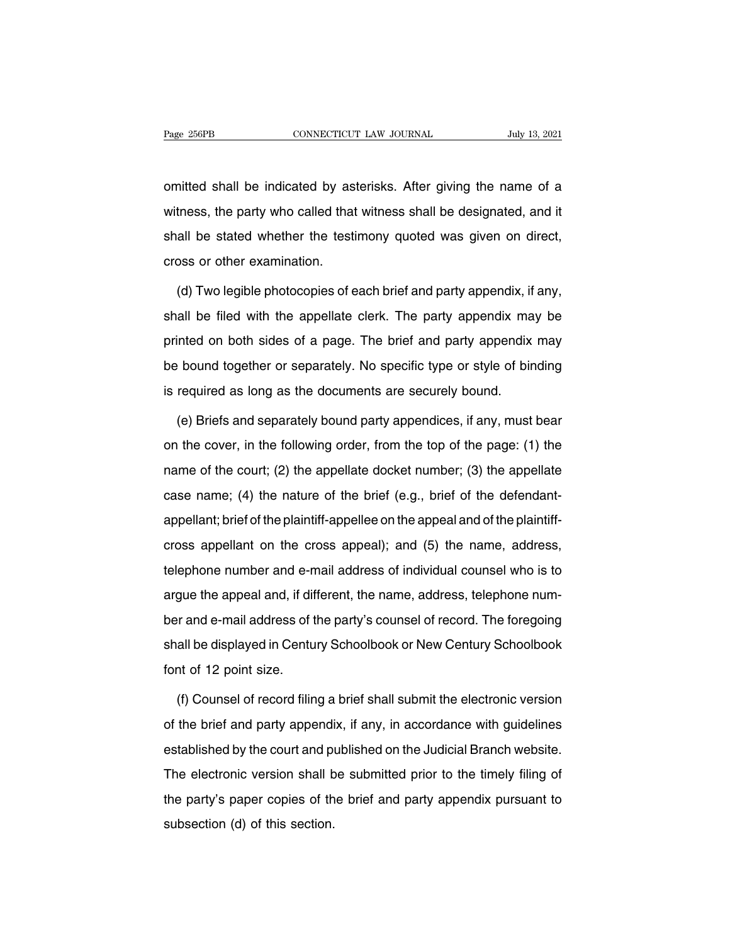Page 256PB<br>
CONNECTICUT LAW JOURNAL<br>
CONNECTICUT LAW JOURNAL<br>
CONNECTICUT LAW JOURNAL<br>
CONNECTICUT LAW JOURNAL<br>
CONNECTICUT LAW JOURNAL<br>
CONNECTICUT LAW JOURNAL<br>
CONNECTICUT LAW JOURNAL<br>
CONNECTICUT LAW JOURNAL<br>
CONNECTICU Page 256PB CONNECTICUT LAW JOURNAL July 13, 2021<br>
omitted shall be indicated by asterisks. After giving the name of a<br>
witness, the party who called that witness shall be designated, and it<br>
shall be stated whether the tes omitted shall be indicated by asterisks. After giving the name of a witness, the party who called that witness shall be designated, and it shall be stated whether the testimony quoted was given on direct, cross or other ex omitted shall be indicated by as<br>witness, the party who called that<br>shall be stated whether the testi<br>cross or other examination.<br>(d) Two legible photocopies of e tness, the party who called that witness shall be designated, and it<br>all be stated whether the testimony quoted was given on direct,<br>oss or other examination.<br>(d) Two legible photocopies of each brief and party appendix, i

shall be stated whether the testimony quoted was given on direct,<br>cross or other examination.<br>(d) Two legible photocopies of each brief and party appendix, if any,<br>shall be filed with the appellate clerk. The party appendi cross or other examination.<br>
(d) Two legible photocopies of each brief and party appendix, if any,<br>
shall be filed with the appellate clerk. The party appendix may be<br>
printed on both sides of a page. The brief and party a (d) Two legible photocopies of each brief and party appendix, if any,<br>shall be filed with the appellate clerk. The party appendix may be<br>printed on both sides of a page. The brief and party appendix may<br>be bound together o (a) two logible photosophos of catal bifor and party appendix ma<br>shall be filed with the appellate clerk. The party appendix ma<br>printed on both sides of a page. The brief and party appendix<br>be bound together or separately. Inted on both sides of a page. The brief and party appendix may<br>
bound together or separately. No specific type or style of binding<br>
required as long as the documents are securely bound.<br>
(e) Briefs and separately bound pa

be bound together or separately. No specific type or style of binding<br>is required as long as the documents are securely bound.<br>(e) Briefs and separately bound party appendices, if any, must bear<br>on the cover, in the follow is required as long as the documents are securely bound.<br>
(e) Briefs and separately bound party appendices, if any, must bear<br>
on the cover, in the following order, from the top of the page: (1) the<br>
name of the court; (2) (e) Briefs and separately bound party appendices, if any, must bear<br>on the cover, in the following order, from the top of the page: (1) the<br>name of the court; (2) the appellate docket number; (3) the appellate<br>case name; or the cover, in the following order, from the top of the page: (1) the name of the court; (2) the appellate docket number; (3) the appellate case name; (4) the nature of the brief (e.g., brief of the defendant-appellant; cross appellant; brief of the plaintiff-appellate docket number; (3) the appellate case name; (4) the nature of the brief (e.g., brief of the defendant-appellant; brief of the plaintiff-appellee on the appeal and of the p that the state of the plaintiff-appellee on the appeal and of the defendant-appellant; brief of the plaintiff-appellee on the appeal and of the plaintiff-cross appellant on the cross appeal); and (5) the name, address, te case name; (4) the nature of the brief (e.g., brief of the defendant-<br>appellant; brief of the plaintiff-appellee on the appeal and of the plaintiff-<br>cross appellant on the cross appeal); and (5) the name, address,<br>telephon epponant, shorter the plantific appears of the appearant of the plantific<br>cross appellant on the cross appeal); and (5) the name, address,<br>telephone number and e-mail address of individual counsel who is to<br>argue the appea shall be displayed in Century Schoolbook or New Century Schoolbook<br>for and e-mail address of the party's counsel of record. The foregoing<br>shall be displayed in Century Schoolbook or New Century Schoolbook<br>font of 12 point resphone named and, if difference the appeal and, if different and e-mail address of the shall be displayed in Centu font of 12 point size.<br>(f) Counsel of record filing In the foregoing<br>
(f) Counsel of record filing a brief shall submit the electronic version<br>
(f) Counsel of record filing a brief shall submit the electronic version<br>
(f) Counsel of record filing a brief shall submit the el

shall be displayed in Century Schoolbook or New Century Schoolbook<br>font of 12 point size.<br>(f) Counsel of record filing a brief shall submit the electronic version<br>of the brief and party appendix, if any, in accordance with font of 12 point size.<br>
(f) Counsel of record filing a brief shall submit the electronic version<br>
of the brief and party appendix, if any, in accordance with guidelines<br>
established by the court and published on the Judici (f) Counsel of record filing a brief shall submit the electronic version<br>of the brief and party appendix, if any, in accordance with guidelines<br>established by the court and published on the Judicial Branch website.<br>The ele of the brief and party appendix, if any, in accordance with guidelines established by the court and published on the Judicial Branch website.<br>The electronic version shall be submitted prior to the timely filing of the part or the shot and party apports<br>established by the court and pr<br>The electronic version shall b<br>the party's paper copies of th<br>subsection (d) of this section.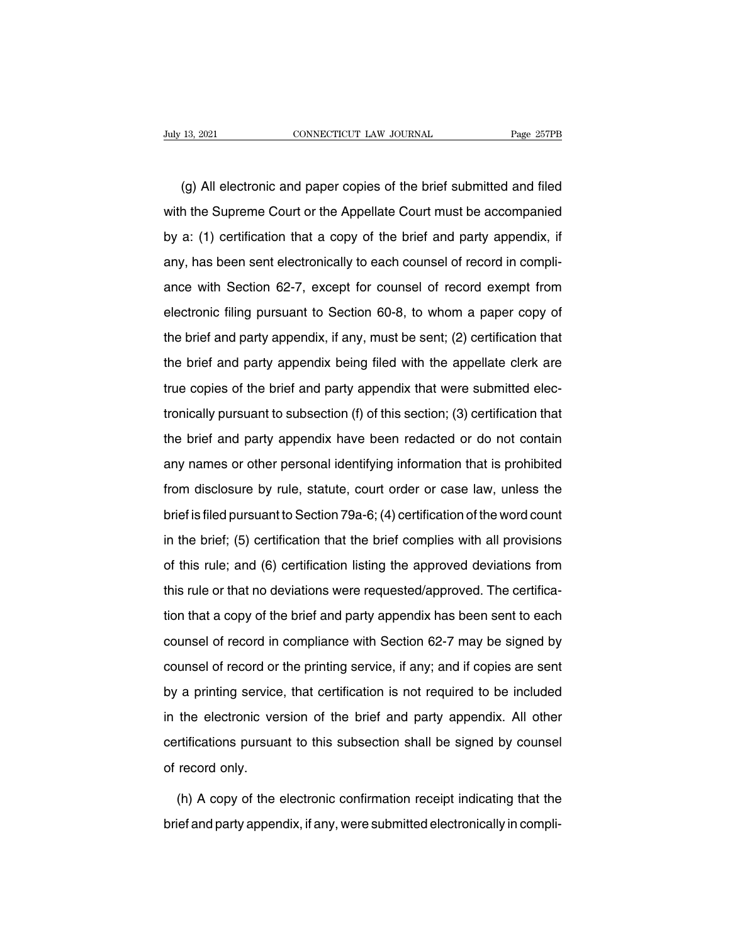(g) All electronic and paper copies of the brief submitted and filed<br>the Supreme Court or the Appellate Court must be accompanied For the Supreme Court or the Appellate Court must be accompanied<br>by a: (1) certification that a copy of the brief and party appendix, if (g) All electronic and paper copies of the brief submitted and filed<br>with the Supreme Court or the Appellate Court must be accompanied<br>by a: (1) certification that a copy of the brief and party appendix, if<br>any, has been s (g) All electronic and paper copies of the brief submitted and filed<br>with the Supreme Court or the Appellate Court must be accompanied<br>by a: (1) certification that a copy of the brief and party appendix, if<br>any, has been s with the Supreme Court or the Appellate Court must be accompanied<br>by a: (1) certification that a copy of the brief and party appendix, if<br>any, has been sent electronically to each counsel of record in compli-<br>ance with Se by a: (1) certification that a copy of the brief and party appendix, if<br>any, has been sent electronically to each counsel of record in compli-<br>ance with Section 62-7, except for counsel of record exempt from<br>electronic fil any, has been sent electronically to each counsel of record in compli-<br>ance with Section 62-7, except for counsel of record exempt from<br>electronic filing pursuant to Section 60-8, to whom a paper copy of<br>the brief and par ance with Section 62-7, except for counsel of record exempt from<br>electronic filing pursuant to Section 60-8, to whom a paper copy of<br>the brief and party appendix, if any, must be sent; (2) certification that<br>the brief and electronic filing pursuant to Section 60-8, to whom a paper copy of<br>the brief and party appendix, if any, must be sent; (2) certification that<br>the brief and party appendix being filed with the appellate clerk are<br>true copi the brief and party appendix, if any, must be sent; (2) certification that<br>the brief and party appendix being filed with the appellate clerk are<br>true copies of the brief and party appendix that were submitted elec-<br>tronica the brief and party appendix being filed with the appellate clerk are<br>true copies of the brief and party appendix that were submitted elec-<br>tronically pursuant to subsection (f) of this section; (3) certification that<br>the any names or other personal identifying information that is prohibited from disclosure by rule, statute, court order or case law, unless the brief and party appendix have been redacted or do not contain<br>any names or other personal identifying information that is prohibited<br>from disclosure by brief and party appendix have been redacted or do not contain<br>any names or other personal identifying information that is prohibited<br>from disclosure by rule, statute, court order or case law, unless the<br>brief is filed purs in the brief and pailty appendiant native book is absoluted of the technical<br>any names or other personal identifying information that is prohibited<br>from disclosure by rule, statute, court order or case law, unless the<br>brie from disclosure by rule, statute, court order or case law, unless the<br>brief is filed pursuant to Section 79a-6; (4) certification of the word count<br>in the brief; (5) certification that the brief complies with all provision the diverties of the vertex of the vertex of the word count<br>brief is filed pursuant to Section 79a-6; (4) certification of the word count<br>in the brief; (5) certification that the brief complies with all provisions<br>of this in the brief; (5) certification that the brief complies with all provisions<br>of this rule; and (6) certification listing the approved deviations from<br>this rule or that no deviations were requested/approved. The certifica-<br> of this rule; and (6) certification listing the approved deviations from<br>this rule or that no deviations were requested/approved. The certifica-<br>tion that a copy of the brief and party appendix has been sent to each<br>counse counsel of record in compliance with Section 62-7 may be signed by<br>counsel of record in compliance with Section 62-7 may be signed by<br>counsel of record or the printing service, if any; and if copies are sent<br>by a printing by a printing service, that certification for the service of the brief and party appendix has been sent to each<br>counsel of record in compliance with Section 62-7 may be signed by<br>counsel of record or the printing service, counsel of record in compliance with Section 62-7 may be signed by<br>counsel of record or the printing service, if any; and if copies are sent<br>by a printing service, that certification is not required to be included<br>in the e counsel of record in complement that counsel of record or the printing service, if any; and if copies are sent<br>by a printing service, that certification is not required to be included<br>in the electronic version of the brief by a printing service<br>in the electronic ve<br>certifications pursua<br>of record only.<br>(b) A conv of the the electronic version of the brief and party appendix. All other<br>rtifications pursuant to this subsection shall be signed by counsel<br>record only.<br>(h) A copy of the electronic confirmation receipt indicating that the<br>lef a certifications pursuant to this subsection shall be signed by counsel<br>of record only.<br>(h) A copy of the electronic confirmation receipt indicating that the<br>brief and party appendix, if any, were submitted electronically in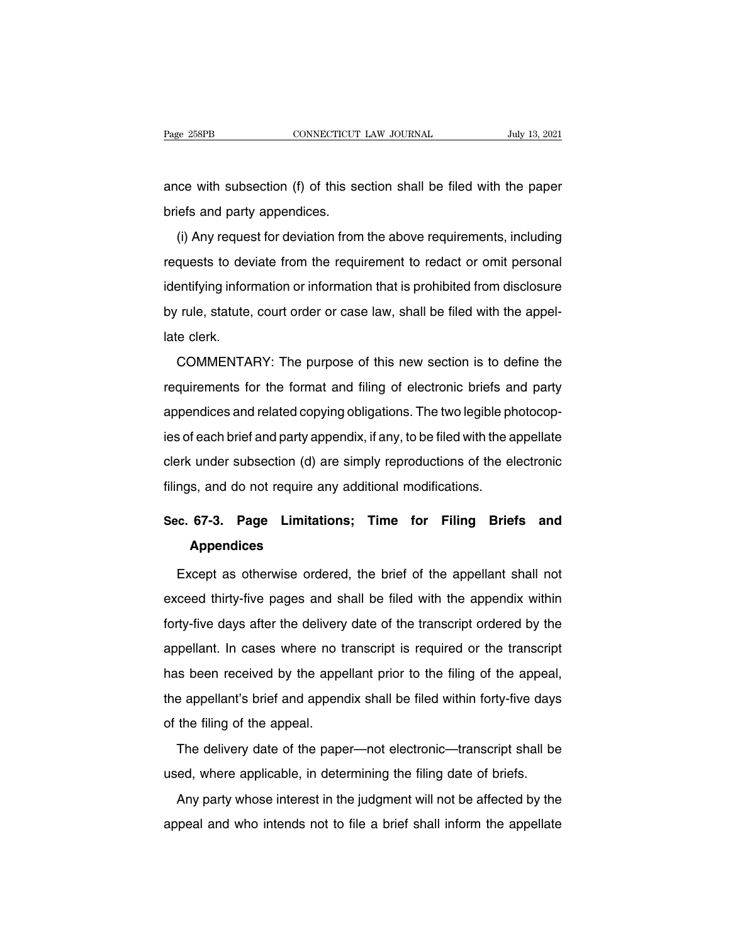Page 258PB CONNECTICUT LAW JOURNAL July 13, 2021<br>ance with subsection (f) of this section shall be filed with the paper<br>briefs and party appendices. Page 258PB<br> **EXECUS CONDECTICUT**<br>
ance with subsection (f) of this se<br>
briefs and party appendices.<br>
(i) Any request for deviation from

(i) Any request for deviation from the above requirements, including<br>(i) Any request for deviation from the above requirements, including<br>quests to deviate from the requirement to redact or omit personal requests to deviate from the requirement of redact or omit personal<br>identifying information from the above requirements, including<br>requests to deviate from the requirement to redact or omit personal<br>identifying information briefs and party appendices.<br>
(i) Any request for deviation from the above requirements, including<br>
requests to deviate from the requirement to redact or omit personal<br>
identifying information or information that is prohib (i) Any request for deviation from the above requirements, including<br>requests to deviate from the requirement to redact or omit personal<br>identifying information or information that is prohibited from disclosure<br>by rule, st requests to development<br>identifying inform<br>by rule, statute,<br>late clerk.<br>COMMENTA entifying information or information that is prohibited from disclosure<br>rule, statute, court order or case law, shall be filed with the appel-<br>e clerk.<br>COMMENTARY: The purpose of this new section is to define the<br>quirement

requirements for the format and filing of electronic briefs and papel-<br>requirements for the format and filing of electronic briefs and party<br>appendices and related copying obligations. The two legible photocopappendices and related copying obligations. The two legible photocop-<br>ies of each brief and party appendices and related copying obligations. The two legible photocop-<br>ies of each brief and party appendix, if any, to be fi COMMENTARY: The purpose of this new section is to define the<br>requirements for the format and filing of electronic briefs and party<br>appendices and related copying obligations. The two legible photocop-<br>ies of each brief and comments for the format and filing of electronic briefs and party<br>appendices and related copying obligations. The two legible photocop-<br>ies of each brief and party appendix, if any, to be filed with the appellate<br>clerk und appendices and related copying obligations. The two legible ph<br>ies of each brief and party appendix, if any, to be filed with the a<br>clerk under subsection (d) are simply reproductions of the el<br>filings, and do not require ies of each brief and party appendix, if any, to be filed with the appellate<br>clerk under subsection (d) are simply reproductions of the electronic<br>filings, and do not require any additional modifications.<br>**Sec. 67-3.** Page

## **Appendices**

mand a do not require any additional modifications.<br> **Except as otherwise ordered, the brief of the appellant shall not**<br> **Except as otherwise ordered, the brief of the appellant shall not**<br>
ceed thirty-five pages and shal Sec. 67-3. Page Limitations; Time for Filing Briefs and<br>Appendices<br>Except as otherwise ordered, the brief of the appellant shall not<br>exceed thirty-five pages and shall be filed with the appendix within<br>forty-five days afte Appendices<br>Except as otherwise ordered, the brief of the appellant shall not<br>exceed thirty-five pages and shall be filed with the appendix within<br>forty-five days after the delivery date of the transcript ordered by the<br>app Except as otherwise ordered, the brief of the appellant shall not<br>exceed thirty-five pages and shall be filed with the appendix within<br>forty-five days after the delivery date of the transcript ordered by the<br>appellant. In exceed thirty-five pages and shall be filed with the appendix within<br>forty-five days after the delivery date of the transcript ordered by the<br>appellant. In cases where no transcript is required or the transcript<br>has been r forty-five days after the delivery date of the transcript ordered by the appellant. In cases where no transcript is required or the transcript has been received by the appellant prior to the filing of the appeal, the appel forty-five days after the delivery date of the transcript ordered by the appellant. In cases where no transcript is required or the transcript has been received by the appellant prior to the filing of the appeal, the appel In the delivery date of the paper—not electronic—transcript shall be ed, where applicable, in determining the filing date of briefs. The appellant's brief and appendix shall be filed within forty-five days<br>of the filing of the appeal.<br>The delivery date of the paper—not electronic—transcript shall be<br>used, where applicable, in determining the filing date

The delivery date of the paper—not electronic—transcript shall be<br>used, where applicable, in determining the filing date of briefs.<br>Any party whose interest in the judgment will not be affected by the<br>appeal and who intend

the filing of the appeal.<br>The delivery date of the paper—not electronic—transcript shall be<br>ed, where applicable, in determining the filing date of briefs.<br>Any party whose interest in the judgment will not be affected by t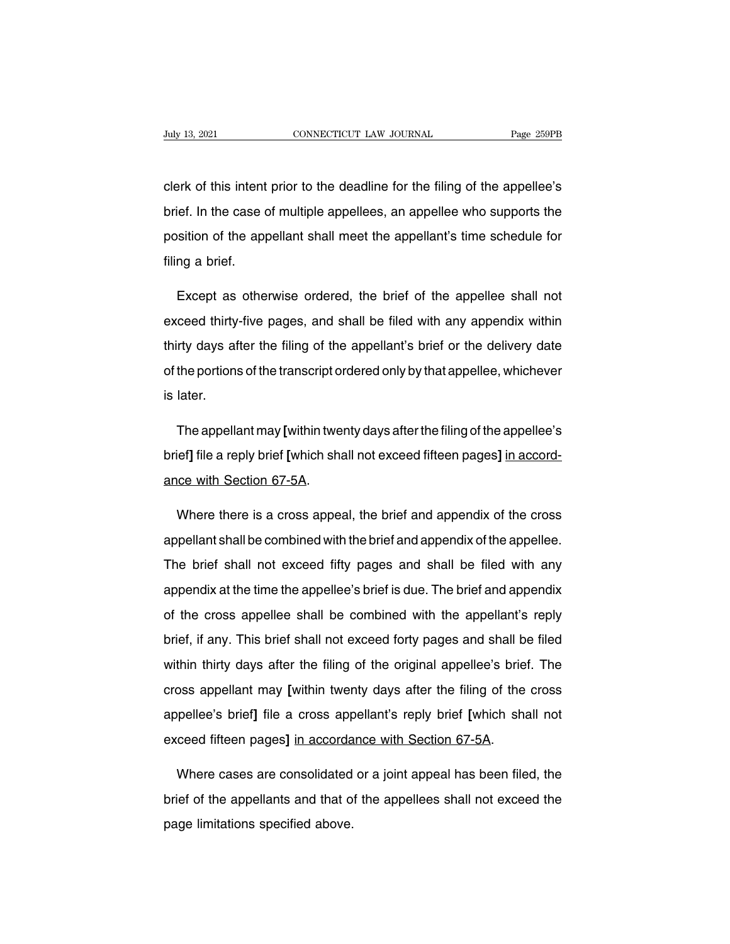CONNECTICUT LAW JOURNAL Page 259PB<br>
Clerk of this intent prior to the deadline for the filing of the appellee's<br>
Drief. In the case of multiple appellees, an appellee who supports the brief. In the case of multiple appellees, an appellee who supports the position of the appellant shall meet the appellant's time schedule for clerk of this intent prior to the deadline for the filing of the appellee's<br>brief. In the case of multiple appellees, an appellee who supports the<br>position of the appellant shall meet the appellant's time schedule for<br>fili clerk of this intent<br>brief. In the case of<br>position of the approximate filing a brief. ief. In the case of multiple appellees, an appellee who supports the<br>sition of the appellant shall meet the appellant's time schedule for<br>ng a brief.<br>Except as otherwise ordered, the brief of the appellee shall not<br>ceed th

position of the appellant shall meet the appellant's time schedule for<br>filing a brief.<br>Except as otherwise ordered, the brief of the appellee shall not<br>exceed thirty-five pages, and shall be filed with any appendix within<br> filing a brief.<br>Except as otherwise ordered, the brief of the appellee shall not<br>exceed thirty-five pages, and shall be filed with any appendix within<br>thirty days after the filing of the appellant's brief or the delivery d Except as otherwise ordered, the brief of the appellee shall not<br>exceed thirty-five pages, and shall be filed with any appendix within<br>thirty days after the filing of the appellant's brief or the delivery date<br>of the porti exceed thirty<br>thirty days af<br>of the portions<br>is later. rty days after the filing of the appellant's brief or the delivery date<br>the portions of the transcript ordered only by that appellee, whichever<br>later.<br>The appellant may [within twenty days after the filing of the appellee'

of the portions of the transcript ordered only by that appellee, whichever<br>
is later.<br>
The appellant may [within twenty days after the filing of the appellee's<br>
brief] file a reply brief [which shall not exceed fifteen pag is later.<br>
The appellant may [within twe<br>
brief] file a reply brief [which sha<br>
ance with Section 67-5A.<br>
Mhere there is a greas anno The appellant may [within twenty days after the filing of the appellee's<br>ief] file a reply brief [which shall not exceed fifteen pages] <u>in accord-</u><br>ce with Section 67-5A.<br>Where there is a cross appeal, the brief and appen

brief] file a reply brief [which shall not exceed fifteen pages] in accord-<br>ance with Section 67-5A.<br>Where there is a cross appeal, the brief and appendix of the cross<br>appellant shall be combined with the brief and appendi ance with Section 67-5A.<br>Where there is a cross appeal, the brief and appendix of the cross<br>appellant shall be combined with the brief and appendix of the appellee.<br>The brief shall not exceed fifty pages and shall be filed Where there is a cross appeal, the brief and appendix of the cross<br>appellant shall be combined with the brief and appendix of the appellee.<br>The brief shall not exceed fifty pages and shall be filed with any<br>appendix at the appellant shall be combined with the brief and appendix of the appellee.<br>The brief shall not exceed fifty pages and shall be filed with any<br>appendix at the time the appellee's brief is due. The brief and appendix<br>of the cr apponant onalize combined with the shortand apponent on the appene.<br>The brief shall not exceed fifty pages and shall be filed with any<br>appendix at the time the appellee's brief is due. The brief and appendix<br>of the cross a appendix at the time the appellee's brief is due. The brief and appendix<br>of the cross appellee shall be combined with the appellant's reply<br>brief, if any. This brief shall not exceed forty pages and shall be filed<br>within t of the cross appellee shall be combined with the appellant's reply<br>brief, if any. This brief shall not exceed forty pages and shall be filed<br>within thirty days after the filing of the original appellee's brief. The<br>cross a brief, if any. This brief shall not exceed forty pages and shall be filed within thirty days after the filing of the original appellee's brief. The cross appellant may [within twenty days after the filing of the cross appe within thirty days after the filing of the original appellee's brie<br>cross appellant may [within twenty days after the filing of the<br>appellee's brief] file a cross appellant's reply brief [which sha<br>exceed fifteen pages] <u>i</u> between the filing of the cross<br>pellee's brief] file a cross appellant's reply brief [which shall not<br>ceed fifteen pages] in accordance with Section 67-5A.<br>Where cases are consolidated or a joint appeal has been filed, the

appellee's brief] file a cross appellant's reply brief [which shall not<br>exceed fifteen pages] in accordance with Section 67-5A.<br>Where cases are consolidated or a joint appeal has been filed, the<br>brief of the appellants and exceed fifteen pages] in accorda<br>Where cases are consolidated<br>brief of the appellants and that o<br>page limitations specified above.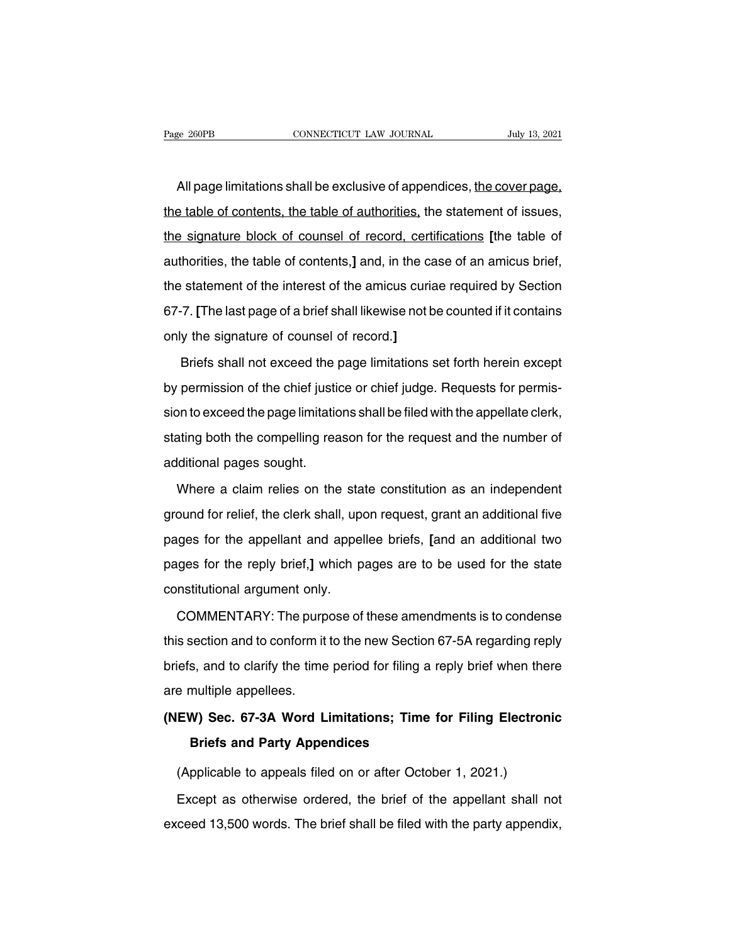EXECT MALL THE REVIEW OF THE REVIEW OF THE REVIEW OF All page limitations shall be exclusive of appendices, the cover page,<br>All page limitations shall be exclusive of appendices, the cover page,<br>a table of contents, the ta The table of connections the table of appendices, the cover page,<br>the table of contents, the table of authorities, the statement of issues,<br>the signature block of counsel of record, certifications [the table of All page limitations shall be exclusive of appendices, <u>the cover page,</u><br>the table of contents, the table of authorities, the statement of issues,<br>the signature block of counsel of record, certifications [the table of<br>auth All page limitations shall be exclusive of appendices, <u>the cover page,</u><br>
the table of contents, the table of authorities, the statement of issues,<br>
the signature block of counsel of record, certifications [the table of<br>
a The table of contents, the table of authorities, the statement of issues,<br>the signature block of counsel of record, certifications [the table of<br>authorities, the table of contents,] and, in the case of an amicus brief,<br>the the signature block of counsel of record, certifications [the table of authorities, the table of contents,] and, in the case of an amicus brief, the statement of the interest of the amicus curiae required by Section 67-7. authorities, the table of contents,] and, in the cathe statement of the interest of the amicus curia<br>67-7. [The last page of a brief shall likewise not b<br>only the signature of counsel of record.]<br>Briefs shall not exceed th Britannians, the tast of the amicus curiae required by Section<br>F. The last page of a brief shall likewise not be counted if it contains<br>y the signature of counsel of record.]<br>Briefs shall not exceed the page limitations se

by permission of the chief shall likewise not be counted if it contains<br>only the signature of counsel of record.]<br>Briefs shall not exceed the page limitations set forth herein except<br>by permission of the chief justice or c sino the signature of counsel of record.]<br>Briefs shall not exceed the page limitations set forth herein except<br>by permission of the chief justice or chief judge. Requests for permis-<br>sion to exceed the page limitations sha Briefs shall not exceed the page limitations set forth herein except<br>by permission of the chief justice or chief judge. Requests for permis-<br>sion to exceed the page limitations shall be filed with the appellate clerk,<br>stat by permission of the chief justice<br>sion to exceed the page limitatic<br>stating both the compelling rea<br>additional pages sought.<br>Where a claim relies on the on to exceed the page limitations shall be filed with the appellate clerk,<br>ating both the compelling reason for the request and the number of<br>iditional pages sought.<br>Where a claim relies on the state constitution as an ind

example in the compelling reason for the request and the number of<br>additional pages sought.<br>Where a claim relies on the state constitution as an independent<br>ground for relief, the clerk shall, upon request, grant an additi additional pages sought.<br>Where a claim relies on the state constitution as an independent<br>ground for relief, the clerk shall, upon request, grant an additional five<br>pages for the appellant and appellee briefs, [and an addi Where a claim relies on the state constitution as an independent ground for relief, the clerk shall, upon request, grant an additional five pages for the appellant and appellee briefs, [and an additional two pages for the exammed on the stage of the stage of the stage of the clerk shall, up<br>pages for the appellant and appel<br>pages for the reply brief,] which p<br>constitutional argument only.<br>COMMENTARY: The purpose of ges for the appellant and appellee briefs, [and an additional two<br>ges for the reply brief,] which pages are to be used for the state<br>nstitutional argument only.<br>COMMENTARY: The purpose of these amendments is to condense<br>s

pages for the reply brief,] which pages are to be used for the state<br>constitutional argument only.<br>COMMENTARY: The purpose of these amendments is to condense<br>this section and to conform it to the new Section 67-5A regardin constitutional argument only.<br>
COMMENTARY: The purpose of these amendments is to condense<br>
this section and to conform it to the new Section 67-5A regarding reply<br>
briefs, and to clarify the time period for filing a reply COMMENTARY: The purp<br>this section and to conform it<br>briefs, and to clarify the time<br>are multiple appellees.<br>(NEW) Sec. 67-3A Word L this section and to conform it to the new Section 67-5A regarding reply<br>briefs, and to clarify the time period for filing a reply brief when there<br>are multiple appellees.<br>(NEW) Sec. 67-3A Word Limitations; Time for Filing **Brief and to clarify the time period for filing a**<br>**Briefs and Party Appendices**<br>**Briefs and Party Appendices**<br>policable to appeals filed on or after Octob

# e multiple appellees.<br> **EW) Sec. 67-3A Word Limitations; Time for Filing Electror**<br> **Briefs and Party Appendices**<br>
(Applicable to appeals filed on or after October 1, 2021.)<br>
Except as otherwise ordered, the brief of the a

EW) Sec. 67-3A Word Limitations; Time for Filing Electronic<br>Briefs and Party Appendices<br>(Applicable to appeals filed on or after October 1, 2021.)<br>Except as otherwise ordered, the brief of the appellant shall not<br>ceed 13,5 Briefs and Party Appendices<br>
(Applicable to appeals filed on or after October 1, 2021.)<br>
Except as otherwise ordered, the brief of the appellant shall not<br>
exceed 13,500 words. The brief shall be filed with the party appen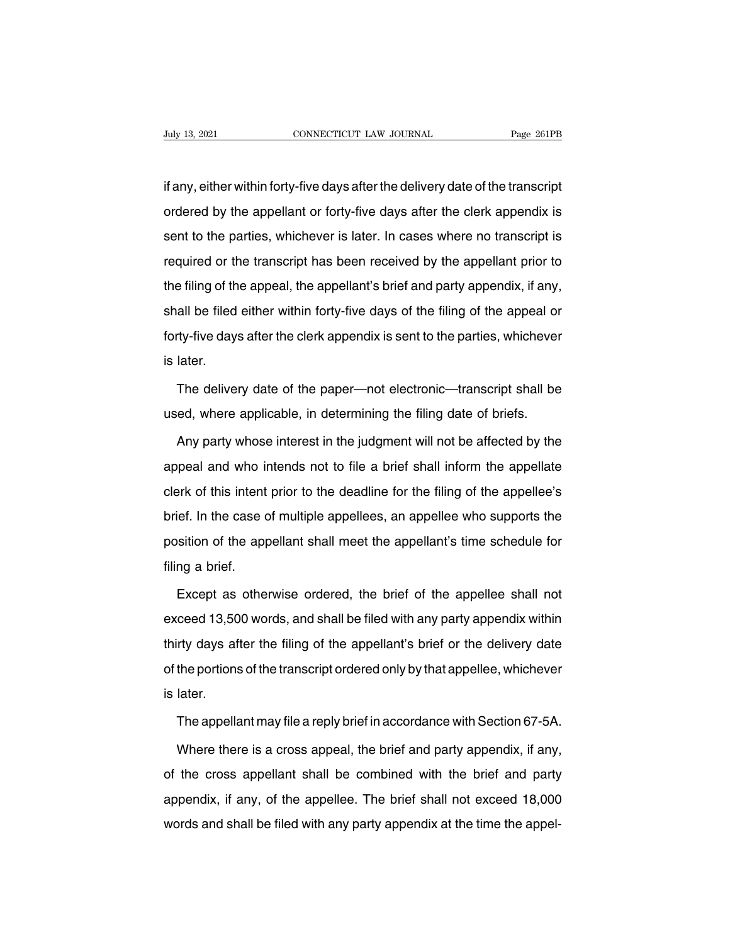Iuly 13, 2021<br>In the CONNECTICUT LAW JOURNAL Page 261PB<br>If any, either within forty-five days after the delivery date of the transcript<br>ordered by the appellant or forty-five days after the clerk appendix is July 13, 2021 CONNECTICUT LAW JOURNAL Page 261PB<br>if any, either within forty-five days after the delivery date of the transcript<br>ordered by the appellant or forty-five days after the clerk appendix is<br>sent to the parties, if any, either within forty-five days after the delivery date of the transcript<br>ordered by the appellant or forty-five days after the clerk appendix is<br>sent to the parties, whichever is later. In cases where no transcript if any, either within forty-five days after the delivery date of the transcript<br>ordered by the appellant or forty-five days after the clerk appendix is<br>sent to the parties, whichever is later. In cases where no transcript the filing of the appellant or forty-five days after the clerk appendix is<br>sent to the parties, whichever is later. In cases where no transcript is<br>required or the transcript has been received by the appellant prior to<br>the shall be filed either within forty-five days aller the block appendix to<br>sent to the parties, whichever is later. In cases where no transcript is<br>required or the transcript has been received by the appellant prior to<br>the f forty-five days after the clerk appendix is sent to the parties, which are required or the transcript has been received by the appellant prior to the filing of the appeal, the appellant's brief and party appendix, if any, required or a<br>the filing of th<br>shall be filed<br>forty-five days<br>is later.<br>The deliver all be filed either within forty-five days of the filing of the appeal or<br>ty-five days after the clerk appendix is sent to the parties, whichever<br>later.<br>The delivery date of the paper—not electronic—transcript shall be<br>ed, forty-five days after the clerk appendix is sent to the parties, whichever<br>is later.<br>The delivery date of the paper—not electronic—transcript shall be<br>used, where applicable, in determining the filing date of briefs.<br>Any p

later.<br>The delivery date of the paper—not electronic—transcript shall be<br>ed, where applicable, in determining the filing date of briefs.<br>Any party whose interest in the judgment will not be affected by the<br>peal and who int The delivery date of the paper—not electronic—transcript shall be<br>used, where applicable, in determining the filing date of briefs.<br>Any party whose interest in the judgment will not be affected by the<br>appeal and who intend also where applicable, in determining the filing date of briefs.<br>Any party whose interest in the judgment will not be affected by the appeal and who intends not to file a brief shall inform the appellate clerk of this inte Any party whose interest in the judgment will not be affected by the appeal and who intends not to file a brief shall inform the appellate clerk of this intent prior to the deadline for the filing of the appellee's brief. position of the appellant shall meet the appellant's time schedule for the appellate clerk of this intent prior to the deadline for the filing of the appellee's brief. In the case of multiple appellees, an appellee who sup appeal and who intends not to file a brief shall inform the appellate<br>clerk of this intent prior to the deadline for the filing of the appellee's<br>brief. In the case of multiple appellees, an appellee who supports the<br>posit ief. In the case of multiple appellees, an appellee who supports the<br>sition of the appellant shall meet the appellant's time schedule for<br>ng a brief.<br>Except as otherwise ordered, the brief of the appellee shall not<br>ceed 13

position of the appellant shall meet the appellant's time schedule for<br>filing a brief.<br>Except as otherwise ordered, the brief of the appellee shall not<br>exceed 13,500 words, and shall be filed with any party appendix within filing a brief.<br>Except as otherwise ordered, the brief of the appellee shall not<br>exceed 13,500 words, and shall be filed with any party appendix within<br>thirty days after the filing of the appellant's brief or the delivery Except as otherwise ordered, the brief of the appellee shall not exceed 13,500 words, and shall be filed with any party appendix within thirty days after the filing of the appellant's brief or the delivery date of the port exceed 13,50<br>exceed 13,50<br>thirty days af<br>of the portions<br>is later.<br>The appella The appellant may file a reply brief in accordance with Section 67-5A.<br>The appellant may file a reply brief in accordance with Section 67-5A.<br>Where there is a cross appeal, the brief and party appendix, if any, the portions of the transcript ordered only by that appellee, whichever<br>later.<br>The appellant may file a reply brief in accordance with Section 67-5A.<br>Where there is a cross appeal, the brief and party appendix, if any,<br>the

is later.<br>The appellant may file a reply brief in accordance with Section 67-5A.<br>Where there is a cross appeal, the brief and party appendix, if any,<br>of the cross appellant shall be combined with the brief and party<br>append The appellant may file a reply brief in accordance with Section 67-5A.<br>Where there is a cross appeal, the brief and party appendix, if any,<br>of the cross appellant shall be combined with the brief and party<br>appendix, if any Where there is a cross appeal, the brief and party appendix, if any, of the cross appellant shall be combined with the brief and party appendix, if any, of the appellee. The brief shall not exceed 18,000 words and shall be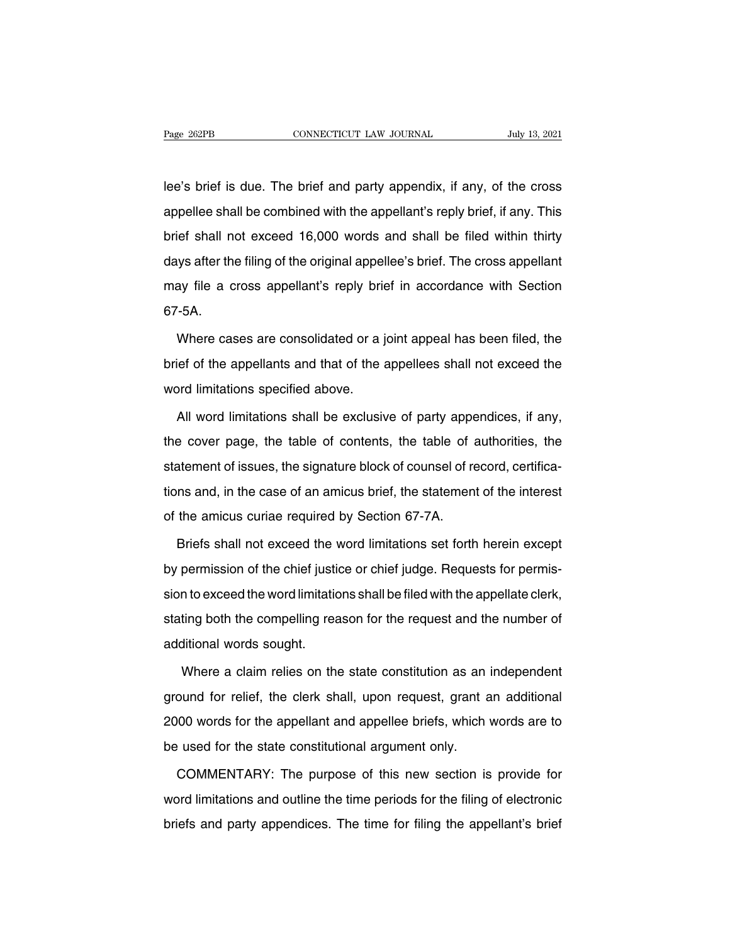Page 262PB CONNECTICUT LAW JOURNAL July 13, 2021<br>lee's brief is due. The brief and party appendix, if any, of the cross<br>appellee shall be combined with the appellant's reply brief, if any. This Page 262PB CONNECTICUT LAW JOURNAL July 13, 2021<br>lee's brief is due. The brief and party appendix, if any, of the cross<br>appellee shall be combined with the appellant's reply brief, if any. This<br>brief shall not exceed 16,00 lee's brief is due. The brief and party appendix, if any, of the cross<br>appellee shall be combined with the appellant's reply brief, if any. This<br>brief shall not exceed 16,000 words and shall be filed within thirty<br>days aft lee's brief is due. The brief and party appendix, if any, of the cross<br>appellee shall be combined with the appellant's reply brief, if any. This<br>brief shall not exceed 16,000 words and shall be filed within thirty<br>days aft appellee shall be combined with the appellant's reply brief, if any. This<br>brief shall not exceed 16,000 words and shall be filed within thirty<br>days after the filing of the original appellee's brief. The cross appellant<br>may 67-5A. Where cases are consolidated or a joint appellees shall not exceed the information and that of the appellants and that of the appellees shall not exceed the

brief of the across appellant's reply brief in accordance with Section<br>67-5A.<br>Where cases are consolidated or a joint appeal has been filed, the<br>brief of the appellants and that of the appellees shall not exceed the<br>word l 67-5A.<br>Where cases are consolidated or a j<br>brief of the appellants and that of the a<br>word limitations specified above.<br>All word limitations shall be exclusive Where cases are consolidated or a joint appeal has been filed, the<br>lef of the appellants and that of the appellees shall not exceed the<br>prd limitations specified above.<br>All word limitations shall be exclusive of party appe

brief of the appellants and that of the appellees shall not exceed the<br>word limitations specified above.<br>All word limitations shall be exclusive of party appendices, if any,<br>the cover page, the table of contents, the table statement of issues, the signature block of party appendices, if any,<br>the cover page, the table of contents, the table of authorities, the<br>statement of issues, the signature block of counsel of record, certifica-<br>tions and All word limitations shall be exclusive of party appendices, if any,<br>the cover page, the table of contents, the table of authorities, the<br>statement of issues, the signature block of counsel of record, certifica-<br>tions and, The cover page, the table of contents, the table of a<br>statement of issues, the signature block of counsel of re<br>tions and, in the case of an amicus brief, the statemen<br>of the amicus curiae required by Section 67-7A.<br>Briefs atement of issues, the signature block of counsel of record, certifica-<br>ns and, in the case of an amicus brief, the statement of the interest<br>the amicus curiae required by Section 67-7A.<br>Briefs shall not exceed the word li

by tions and, in the case of an amicus brief, the statement of the interest<br>of the amicus curiae required by Section 67-7A.<br>Briefs shall not exceed the word limitations set forth herein except<br>by permission of the chief ju of the amicus curiae required by Section 67-7A.<br>Briefs shall not exceed the word limitations set forth herein except<br>by permission of the chief justice or chief judge. Requests for permis-<br>sion to exceed the word limitatio Briefs shall not exceed the word limitations set forth herein except<br>by permission of the chief justice or chief judge. Requests for permis-<br>sion to exceed the word limitations shall be filed with the appellate clerk,<br>stat by permission of the chief justition to exceed the word limitation<br>stating both the compelling readditional words sought.<br>Where a claim relies on the In to exceed the word limitations shall be filed with the appellate clerk,<br>ting both the compelling reason for the request and the number of<br>ditional words sought.<br>Where a claim relies on the state constitution as an indep

stating both the compelling reason for the request and the number of<br>additional words sought.<br>Where a claim relies on the state constitution as an independent<br>ground for relief, the clerk shall, upon request, grant an addi additional words sought.<br>
Where a claim relies on the state constitution as an independent<br>
ground for relief, the clerk shall, upon request, grant an additional<br>
2000 words for the appellant and appellee briefs, which wor Where a claim relies on the state constitution as an<br>ground for relief, the clerk shall, upon request, grant a<br>2000 words for the appellant and appellee briefs, which<br>be used for the state constitutional argument only.<br>COM ound for relief, the clerk shall, upon request, grant an additional<br>100 words for the appellant and appellee briefs, which words are to<br>100 words for the state constitutional argument only.<br>COMMENTARY: The purpose of this

2000 words for the appellant and appellee briefs, which words are to<br>be used for the state constitutional argument only.<br>COMMENTARY: The purpose of this new section is provide for<br>word limitations and outline the time peri be used for the state constitutional argument only.<br>COMMENTARY: The purpose of this new section is provide for<br>word limitations and outline the time periods for the filing of electronic<br>briefs and party appendices. The tim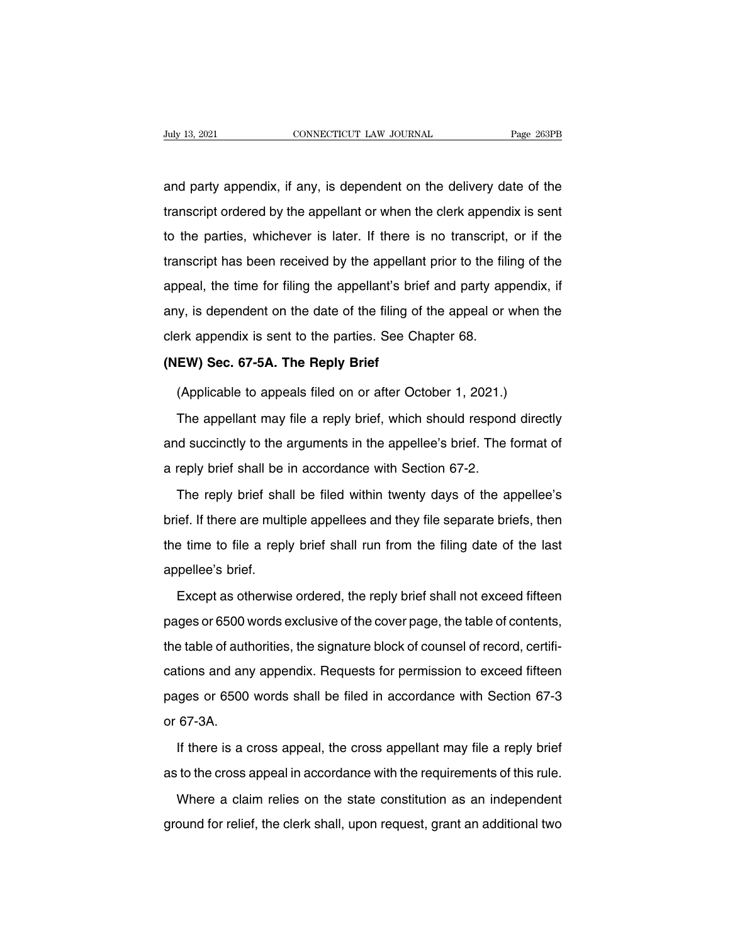Auly 13, 2021 CONNECTICUT LAW JOURNAL Page 263PB<br>
and party appendix, if any, is dependent on the delivery date of the<br>
transcript ordered by the appellant or when the clerk appendix is sent The July 13, 2021<br>
The appendix of the connectricut LAW JOURNAL<br>
The appellant or the delivery date of the<br>
Intenscript ordered by the appellant or when the clerk appendix is sent<br>
to the parties, whichever is later. If th and party appendix, if any, is dependent on the delivery date of the<br>transcript ordered by the appellant or when the clerk appendix is sent<br>to the parties, whichever is later. If there is no transcript, or if the<br>transcrip and party appendix, if any, is dependent on the delivery date of the<br>transcript ordered by the appellant or when the clerk appendix is sent<br>to the parties, whichever is later. If there is no transcript, or if the<br>transcrip and party appendix, if any, is dependent on the delivery date of the transcript ordered by the appellant or when the clerk appendix is sent to the parties, whichever is later. If there is no transcript, or if the transcrip anisonpt ordered by the appoilant or when the dish appendix is dont<br>to the parties, whichever is later. If there is no transcript, or if the<br>transcript has been received by the appellant prior to the filing of the<br>appeal, co and parties, whishever is fatel. It also is no transcript,<br>transcript has been received by the appellant prior to the fili<br>appeal, the time for filing the appellant's brief and party ap<br>any, is dependent on the date of appeal, the time for filing the appellant's briany, is dependent on the date of the filing of clerk appendix is sent to the parties. See C<br>**(NEW) Sec. 67-5A. The Reply Brief**<br>**(Applicable to appeals filed on or after Octab** (*Applicable to appeal* or when the date of the filing of the appeal or when the parties of the parties. See Chapter 68.<br> **EW) Sec. 67-5A. The Reply Brief**<br>
(Applicable to appeals filed on or after October 1, 2021.)<br>
The a

erk appendix is sent to the parties. See Chapter 68.<br> **EW) Sec. 67-5A. The Reply Brief**<br>
(Applicable to appeals filed on or after October 1, 2021.)<br>
The appellant may file a reply brief, which should respond directly<br>
d su (NEW) Sec. 67-5A. The Reply Brief<br>
(Applicable to appeals filed on or after October 1, 2021.)<br>
The appellant may file a reply brief, which should respond directly<br>
and succinctly to the arguments in the appellee's brief. T (Applicable to appeals filed on or after October 1, 2021.)<br>The appellant may file a reply brief, which should respond<br>and succinctly to the arguments in the appellee's brief. The t<br>a reply brief shall be in accordance with The appellant may file a reply brief, which should respond directly<br>d succinctly to the arguments in the appellee's brief. The format of<br>reply brief shall be in accordance with Section 67-2.<br>The reply brief shall be filed

and succinctly to the arguments in the appellee's brief. The format of<br>a reply brief shall be in accordance with Section 67-2.<br>The reply brief shall be filed within twenty days of the appellee's<br>brief. If there are multipl a reply brief shall be in accordance with Section 67-2.<br>The reply brief shall be filed within twenty days of the appellee's<br>brief. If there are multiple appellees and they file separate briefs, then<br>the time to file a repl The reply brief sha<br>brief. If there are multi<br>the time to file a repl<br>appellee's brief.<br>Except as otherwise Except as otherwise ordered, the reply brief shall not exceed fifteen<br>get as otherwise ordered, the reply brief shall not exceed fifteen<br>ges or 6500 words exclusive of the cover page, the table of contents,

pages or 6500 words exclusive of the cover page, the table of contents, the table of authorities, the signature block of coursel of record, certifi-<br>the table of authorities, the signature block of coursel of record, certi appellee's brief.<br>appellee's brief.<br>Except as otherwise ordered, the reply brief shall not exceed fifteen<br>pages or 6500 words exclusive of the cover page, the table of contents,<br>the table of authorities, the signature bloc Except as otherwise ordered, the reply brief shall not exceed fifteen<br>pages or 6500 words exclusive of the cover page, the table of contents,<br>the table of authorities, the signature block of counsel of record, certifi-<br>cat pages or 6500 words exclusive of the cover page, the table of contents,<br>the table of authorities, the signature block of counsel of record, certifi-<br>cations and any appendix. Requests for permission to exceed fifteen<br>pages pages or esset<br>the table of auth<br>cations and any<br>pages or 6500<br>or 67-3A.<br>If there is a c If there is a cross appeal, the cross appellant may file a reply brief<br>tions and any appendix. Requests for permission to exceed fifteen<br>ges or 6500 words shall be filed in accordance with Section 67-3<br>67-3A.<br>If there is a pages or 6500 words shall be filed in accordance with Section 67-3<br>or 67-3A.<br>If there is a cross appeal, the cross appellant may file a reply brief<br>as to the cross appeal in accordance with the requirements of this rule.<br>W

67-3A.<br>If there is a cross appeal, the cross appellant may file a reply brief<br>to the cross appeal in accordance with the requirements of this rule.<br>Where a claim relies on the state constitution as an independent<br>ound for If there is a cross appeal, the cross appellant may file a reply brief<br>as to the cross appeal in accordance with the requirements of this rule.<br>Where a claim relies on the state constitution as an independent<br>ground for re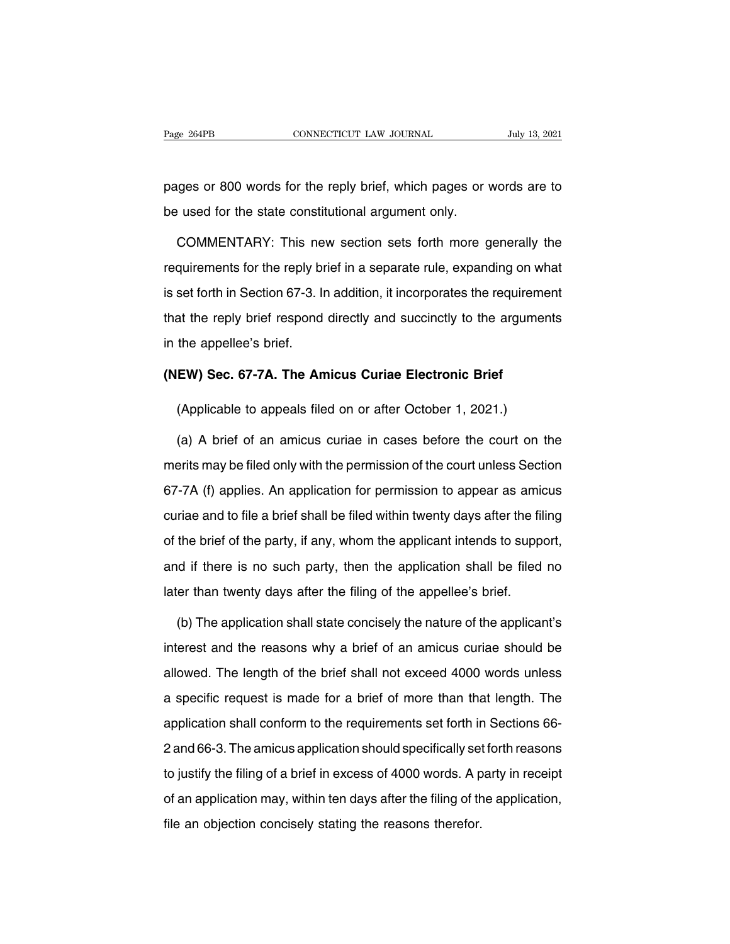Page 264PB CONNECTICUT LAW JOURNAL July 13, 2021<br>pages or 800 words for the reply brief, which pages or words are to<br>be used for the state constitutional argument only. Page 264PB connectricut LAW JOURNAL<br>pages or 800 words for the reply brief, which pages or v<br>be used for the state constitutional argument only.<br>COMMENTARY: This new section sets forth more of

ges or 800 words for the reply brief, which pages or words are to<br>cused for the state constitutional argument only.<br>COMMENTARY: This new section sets forth more generally the<br>quirements for the reply brief in a separate ru pages or 800 words for the reply brief, which pages or words are to<br>be used for the state constitutional argument only.<br>COMMENTARY: This new section sets forth more generally the<br>requirements for the reply brief in a separ be used for the state constitutional argument only.<br>COMMENTARY: This new section sets forth more generally the<br>requirements for the reply brief in a separate rule, expanding on what<br>is set forth in Section 67-3. In additio COMMENTARY: This new section sets forth more generally the requirements for the reply brief in a separate rule, expanding on what is set forth in Section 67-3. In addition, it incorporates the requirement that the reply br COMMENTARY: This new section sets forth more generally the requirements for the reply brief in a separate rule, expanding on what is set forth in Section 67-3. In addition, it incorporates the requirement that the reply br It is set forth in Section 67-3. In addition, it incorporates the requirem<br>
that the reply brief respond directly and succinctly to the argume<br>
in the appellee's brief.<br>
(NEW) Sec. 67-7A. The Amicus Curiae Electronic Brief (Applicable to appeals filed on or after October 1, 2021.)<br>
(Applicable to appeals filed on or after October 1, 2021.)<br>
(Applicable to appeals filed on or after October 1, 2021.)<br>
(a) A brief of an amicus curiae in cases b

EW) Sec. 67-7A. The Amicus Curiae Electronic Brief<br>(Applicable to appeals filed on or after October 1, 2021.)<br>(a) A brief of an amicus curiae in cases before the court on the<br>erits may be filed only with the permission of (NEW) Sec. 67-7A. The Amicus Curiae Electronic Brief<br>
(Applicable to appeals filed on or after October 1, 2021.)<br>
(a) A brief of an amicus curiae in cases before the court on the<br>
merits may be filed only with the permissi (Applicable to appeals filed on or after October 1, 2021.)<br>
(a) A brief of an amicus curiae in cases before the court on the<br>
merits may be filed only with the permission of the court unless Section<br>
67-7A (f) applies. An (a) A brief of an amicus curiae in cases before the court on the<br>merits may be filed only with the permission of the court unless Section<br>67-7A (f) applies. An application for permission to appear as amicus<br>curiae and to f of the brief of the party, if any with the permission of the court unless Section<br>67-7A (f) applies. An application for permission to appear as amicus<br>curiae and to file a brief shall be filed within twenty days after the and if there is no such party, then the permission to appear as amicus<br>curiae and to file a brief shall be filed within twenty days after the filing<br>of the brief of the party, if any, whom the applicant intends to support, Later than twenty days after the filing of the application shall be filed within twenty days after the filing of the brief of the party, if any, whom the applicant intends to suppear and if there is no such party, then the the brief of the party, if any, whom the applicant intends to support,<br>
d if there is no such party, then the application shall be filed no<br>
er than twenty days after the filing of the appellee's brief.<br>
(b) The applicatio

interest and if there is no such party, then the application shall be filed no<br>later than twenty days after the filing of the appellee's brief.<br>(b) The application shall state concisely the nature of the applicant's<br>intere later than twenty days after the filing of the appellee's brief.<br>
(b) The application shall state concisely the nature of the applicant's<br>
interest and the reasons why a brief of an amicus curiae should be<br>
allowed. The le (b) The application shall state concisely the nature of the applicant's<br>interest and the reasons why a brief of an amicus curiae should be<br>allowed. The length of the brief shall not exceed 4000 words unless<br>a specific requ application shall conform to the brief shall not exceed 4000 words unless<br>a specific request is made for a brief of more than that length. The<br>application shall conform to the requirements set forth in Sections 66-<br>2 and 6 allowed. The length of the brief shall not exceed 4000 words unless<br>a specific request is made for a brief of more than that length. The<br>application shall conform to the requirements set forth in Sections 66-<br>2 and 66-3. T a specific request is made for a brief of more than that length. The application shall conform to the requirements set forth in Sections 66-<br>2 and 66-3. The amicus application should specifically set forth reasons to justi a opposite request to made for a site of more than that longth the<br>application shall conform to the requirements set forth in Sections 66-<br>2 and 66-3. The amicus application should specifically set forth reasons<br>to justify and 66-3. The amicus application should specifically set<br>to justify the filing of a brief in excess of 4000 words. A p<br>of an application may, within ten days after the filing of th<br>file an objection concisely stating the r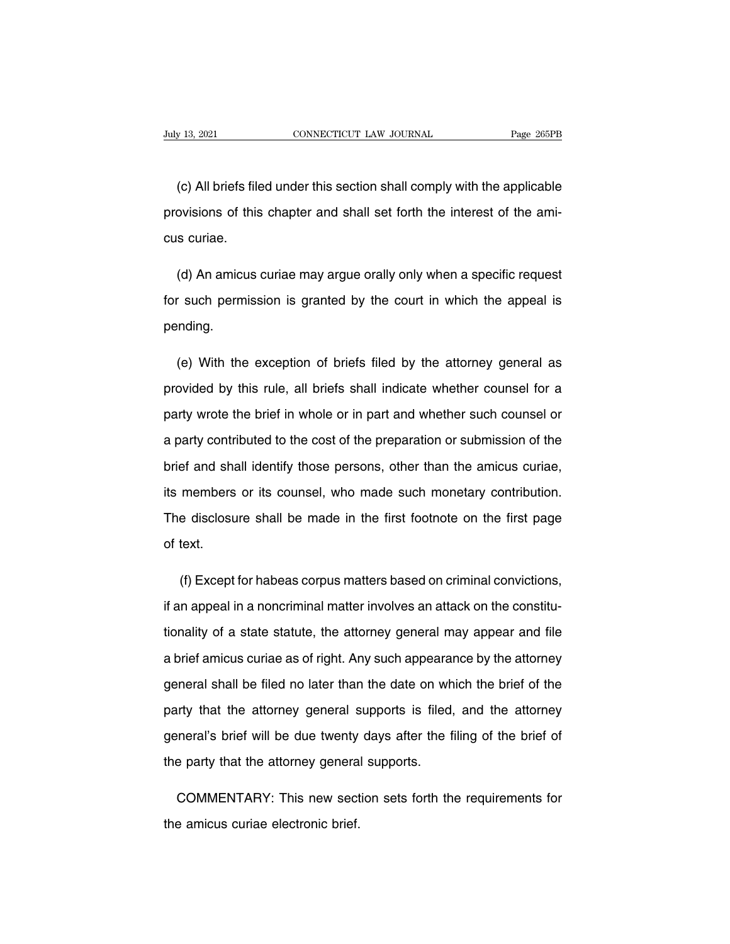(c) All briefs filed under this section shall comply with the applicable<br>ovisions of this chapter and shall set forth the interest of the amibut the provisions of this chapter and shall set forth the interest of the ami-<br>cus curiae. (c) All briefs file<br>provisions of this<br>cus curiae. (c) All briefs filed under this section shall comply with the applicable<br>ovisions of this chapter and shall set forth the interest of the ami-<br>s curiae.<br>(d) An amicus curiae may argue orally only when a specific request<br>r

provisions of this chapter and shall set forth the interest of the ami-<br>cus curiae.<br>(d) An amicus curiae may argue orally only when a specific request<br>for such permission is granted by the court in which the appeal is<br>pend pending. (d) An amicus curiae may argue orally only when a specific request<br>
r such permission is granted by the court in which the appeal is<br>
inding.<br>
(e) With the exception of briefs filed by the attorney general as<br>
ovided by th

for such permission is granted by the court in which the appeal is<br>pending.<br>(e) With the exception of briefs filed by the attorney general as<br>provided by this rule, all briefs shall indicate whether counsel for a<br>party wro pending.<br>
(e) With the exception of briefs filed by the attorney general as<br>
provided by this rule, all briefs shall indicate whether counsel for a<br>
party wrote the brief in whole or in part and whether such counsel or<br>
a (e) With the exception of briefs filed by the attorney general as<br>provided by this rule, all briefs shall indicate whether counsel for a<br>party wrote the brief in whole or in part and whether such counsel or<br>a party contrib provided by this rule, all briefs shall indicate whether counsel for a<br>party wrote the brief in whole or in part and whether such counsel or<br>a party contributed to the cost of the preparation or submission of the<br>brief and party wrote the brief in whole or in part and whether such counsel or<br>a party contributed to the cost of the preparation or submission of the<br>brief and shall identify those persons, other than the amicus curiae,<br>its member a party contributed to the cost of the preparation or submission of the brief and shall identify those persons, other than the amicus curiae, its members or its counsel, who made such monetary contribution.<br>The disclosure brief and shat<br>its members<br>The disclosu<br>of text. members or its counsel, who made such monetary contribution.<br>
e disclosure shall be made in the first footnote on the first page<br>
text.<br>
(f) Except for habeas corpus matters based on criminal convictions,<br>
In appeal in a n

The disclosure shall be made in the first footnote on the first page<br>of text.<br>(f) Except for habeas corpus matters based on criminal convictions,<br>if an appeal in a noncriminal matter involves an attack on the constitu-<br>tio of text.<br>
(f) Except for habeas corpus matters based on criminal convictions,<br>
if an appeal in a noncriminal matter involves an attack on the constitu-<br>
tionality of a state statute, the attorney general may appear and fil (f) Except for habeas corpus matters based on criminal convictions,<br>if an appeal in a noncriminal matter involves an attack on the constitu-<br>tionality of a state statute, the attorney general may appear and file<br>a brief am if an appeal in a noncriminal matter involves an attack on the constitu-<br>tionality of a state statute, the attorney general may appear and file<br>a brief amicus curiae as of right. Any such appearance by the attorney<br>general fionality of a state statute, the attorney general may appear and file<br>a brief amicus curiae as of right. Any such appearance by the attorney<br>general shall be filed no later than the date on which the brief of the<br>party th a brief amicus curiae as of right. Any such appearance by the attorney general shall be filed no later than the date on which the brief of the party that the attorney general supports is filed, and the attorney general's b general shall be filed no later than the date on wh<br>party that the attorney general supports is filed,<br>general's brief will be due twenty days after the f<br>the party that the attorney general supports. Inty that the attorney general supports is filed, and the attorney<br>
Ineral's brief will be due twenty days after the filing of the brief of<br>
Departy that the attorney general supports.<br>
COMMENTARY: This new section sets fo general's brief will be due twenty<br>the party that the attorney genera<br>COMMENTARY: This new sect<br>the amicus curiae electronic brief.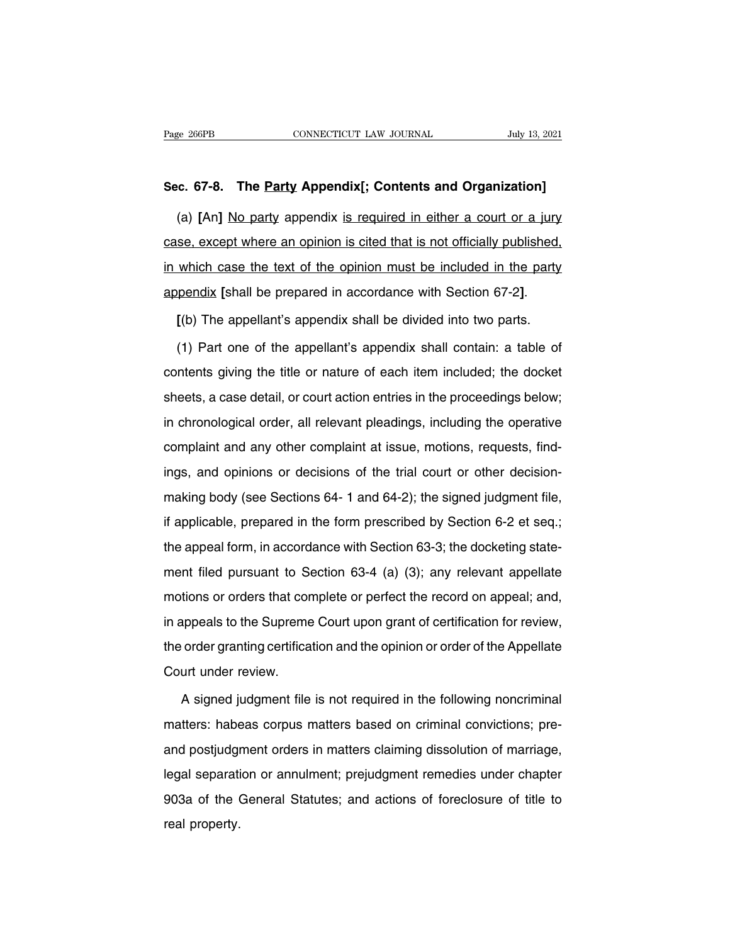# Page 266PB<br> **Sec. 67-8. The <u>Party</u> Appendix[; Contents and Organization]**<br>
(a) [An] No party appendix is required in either a court or a jury

(a) [An] No party **Appendix** [; **Contents and Organization**]<br>
(a) [An] No party appendix is required in either a court or a jury se, except where an opinion is cited that is not officially published, Sec. 67-8. The Party Appendix[; Contents and Organization]<br>(a) [An] No party appendix is required in either a court or a jury<br>case, except where an opinion is cited that is not officially published,<br>in which case the text Sec. 67-8. The <u>Party</u> Appendix[; Contents and Organization]<br>
(a) [An] <u>No party</u> appendix is required in either a court or a jury<br>
case, except where an opinion is cited that is not officially published,<br>
in which case th (a) [An] <u>No party</u> appendix is required in either a court or a jury case, except where an opinion is cited that is not officially published, in which case the text of the opinion must be included in the party appendix [sh which case the text of the opinion must be included in the party<br>pendix [shall be prepared in accordance with Section 67-2].<br>[(b) The appellant's appendix shall be divided into two parts.<br>(1) Part one of the appellant's ap

appendix [shall be prepared in accordance with Section 67-2].<br>
[(b) The appellant's appendix shall be divided into two parts.<br>
(1) Part one of the appellant's appendix shall contain: a table of<br>
contents giving the title o [(b) The appellant's appendix shall be divided into two parts.<br>
(1) Part one of the appellant's appendix shall contain: a table of<br>
contents giving the title or nature of each item included; the docket<br>
sheets, a case deta (1) Part one of the appellant's appendix shall contain: a table of contents giving the title or nature of each item included; the docket sheets, a case detail, or court action entries in the proceedings below; in chronolog (1) Part one of the appellant's appendix shall contain: a table of contents giving the title or nature of each item included; the docket sheets, a case detail, or court action entries in the proceedings below; in chronolog sheets, a case detail, or court action entries in the proceedings below;<br>in chronological order, all relevant pleadings, including the operative<br>complaint and any other complaint at issue, motions, requests, find-<br>ings, an in chronological order, all relevant pleadings, including the operative<br>complaint and any other complaint at issue, motions, requests, find-<br>ings, and opinions or decisions of the trial court or other decision-<br>making body if applicable, prepared in the form prescribed by Section 6-2 et seq.;<br>the applicable, prepared in the form prescribed by Section 6-2 et seq.;<br>the appeal form, in accordance with Section 63-3; the docketing statethe appeal form, in accordance with Section 63-3; the docketing state-<br>the appeal form, in accordance with Section 63-3; the docketing state-<br>the appeal form, in accordance with Section 63-3; the docketing state-<br>ment file making body (see Sections 64- 1 and 64-2); the signed judgment file,<br>if applicable, prepared in the form prescribed by Section 6-2 et seq.;<br>the appeal form, in accordance with Section 63-3; the docketing state-<br>ment filed if applicable, prepared in the form prescribed by Section 6-2 et seq.;<br>the appeal form, in accordance with Section 63-3; the docketing state-<br>ment filed pursuant to Section 63-4 (a) (3); any relevant appellate<br>motions or in applicable, propared in the form presentied by economic 2 of edq.,<br>the appeal form, in accordance with Section 63-3; the docketing state-<br>ment filed pursuant to Section 63-4 (a) (3); any relevant appellate<br>motions or or the appear form, in association with section 63-4 (a) (3); any relevant appellate motions or orders that complete or perfect the record on appeal; and, in appeals to the Supreme Court upon grant of certification for review mom mod parodam to be<br>motions or orders that cor<br>in appeals to the Supreme<br>the order granting certifica<br>Court under review.<br>A signed judgment file A signed judgment file is not required in the following noncriminal<br>there is not required in the following noncriminal<br>there: habeas corpus matters based on criminal convictions; pre-

matter order granting certification and the opinion or order of the Appellate<br>Court under review.<br>A signed judgment file is not required in the following noncriminal<br>matters: habeas corpus matters based on criminal convict Court under review.<br>A signed judgment file is not required in the following noncriminal<br>matters: habeas corpus matters based on criminal convictions; pre-<br>and postjudgment orders in matters claiming dissolution of marriage A signed judgment file is not required in the following noncriminal<br>matters: habeas corpus matters based on criminal convictions; pre-<br>and postjudgment orders in matters claiming dissolution of marriage,<br>legal separation o Progride Jacquinorms in the General convictions; pre-<br>and postjudgment orders in matters claiming dissolution of marriage,<br>legal separation or annulment; prejudgment remedies under chapter<br>903a of the General Statutes; and matters. nast<br>and postjudgr<br>legal separati<br>903a of the (<br>real property.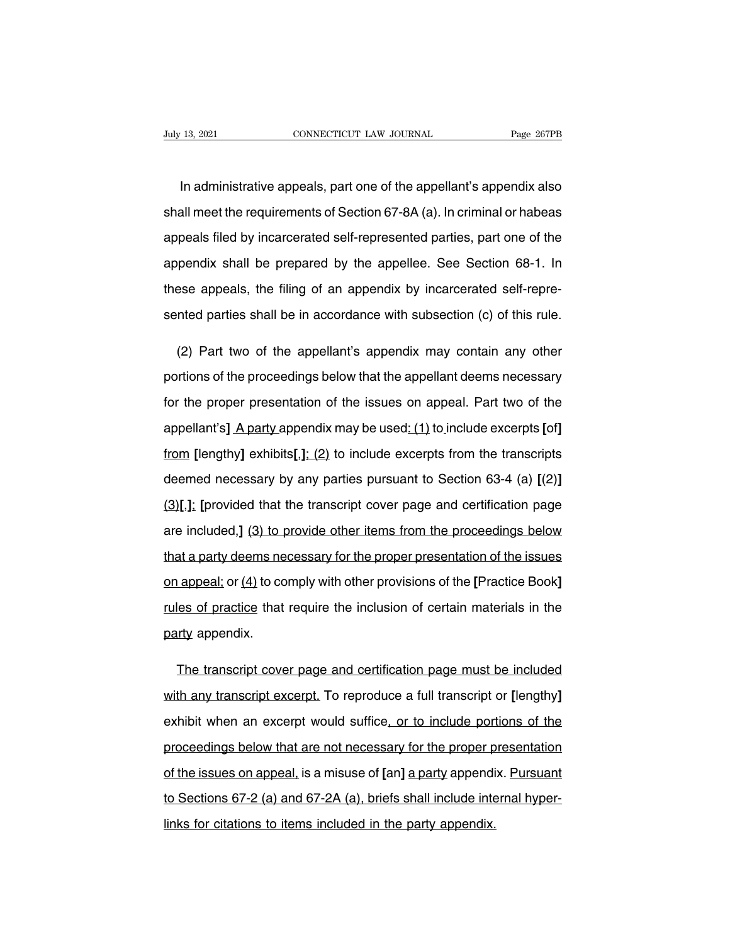IN 13, 2021<br>In administrative appeals, part one of the appellant's appendix also<br>In meet the requirements of Section 67-8A (a). In criminal or habeas Suly 13, 2021 CONNECTICUT LAW JOURNAL Page 267PB<br>In administrative appeals, part one of the appellant's appendix also<br>shall meet the requirements of Section 67-8A (a). In criminal or habeas<br>appeals filed by incarcerated se In administrative appeals, part one of the appellant's appendix also<br>shall meet the requirements of Section 67-8A (a). In criminal or habeas<br>appeals filed by incarcerated self-represented parties, part one of the<br>appendix In administrative appeals, part one of the appellant's appendix also<br>shall meet the requirements of Section 67-8A (a). In criminal or habeas<br>appeals filed by incarcerated self-represented parties, part one of the<br>appendix shall meet the requirements of Section 67-8A (a). In criminal or habeas<br>appeals filed by incarcerated self-represented parties, part one of the<br>appendix shall be prepared by the appellee. See Section 68-1. In<br>these appeals appeals filed by incarcerated self-represented parties, part one of the<br>appendix shall be prepared by the appellee. See Section 68-1. In<br>these appeals, the filing of an appendix by incarcerated self-repre-<br>sented parties s pendix shall be prepared by the appellee. See Section 68-1. In<br>ese appeals, the filing of an appendix by incarcerated self-repre-<br>nted parties shall be in accordance with subsection (c) of this rule.<br>(2) Part two of the ap

these appeals, the filing of an appendix by incarcerated self-repre-<br>sented parties shall be in accordance with subsection (c) of this rule.<br>(2) Part two of the appellant's appendix may contain any other<br>portions of the pr sented parties shall be in accordance with subsection (c) of this rule.<br>
(2) Part two of the appellant's appendix may contain any other<br>
portions of the proceedings below that the appellant deems necessary<br>
for the proper (2) Part two of the appellant's appendix may contain any other portions of the proceedings below that the appellant deems necessary for the proper presentation of the issues on appeal. Part two of the appellant's]  $\triangle$  pa for the proceedings below that the appellant deems necessary<br>for the proper presentation of the issues on appeal. Part two of the<br>appellant's]  $\triangle$  party appendix may be used: (1) to include excerpts [of]<br>from [lengthy] e for the proper presentation of the issues on appeal. Part two of the appellant's]  $\Delta$  party appendix may be used: (1) to include excerpts [of] from [lengthy] exhibits[,]; (2) to include excerpts from the transcripts deem appellant's] A party appendix may be used: (1) to include excerpts [of]<br>from [lengthy] exhibits[,]; (2) to include excerpts from the transcripts<br>deemed necessary by any parties pursuant to Section 63-4 (a) [(2)]<br>(3)[,]; [p from [lengthy] exhibits[,]; (2) to include excerpts from the transcripts<br>deemed necessary by any parties pursuant to Section 63-4 (a) [(2)]<br>(3)[,]; [provided that the transcript cover page and certification page<br>are includ deemed necessary by any parties pursuant to Section 63-4 (a) [(2)]<br>(3)[,]: [provided that the transcript cover page and certification page<br>are included,] (3) to provide other items from the proceedings below<br>that a party d (3)[,]; [provided that the transcript cover page and certification page are included,] (3) to provide other items from the proceedings below that a party deems necessary for the proper presentation of the issues on appeal exage included,] (3) to provide other items from the proceedings below<br>that a party deems necessary for the proper presentation of the issues<br>on appeal; or (4) to comply with other provisions of the [Practice Book]<br>rules o that a party deems ne<br>on appeal; or  $(4)$  to co<br>rules of practice that<br>party appendix. The transcript cover page and certification page must be included<br>the transcript cover page and certification page must be included<br>th any transcript excerpt. To reproduce a full transcript or [lengthy]

rules of practice that require the inclusion of certain materials in the<br>party appendix.<br>The transcript cover page and certification page must be included<br>with any transcript excerpt. To reproduce a full transcript or [len party appendix.<br>
The transcript cover page and certification page must be included<br>
with any transcript excerpt. To reproduce a full transcript or [lengthy]<br>
exhibit when an excerpt would suffice, or to include portions of The transcript cover page and certification page must be included<br>with any transcript excerpt. To reproduce a full transcript or [lengthy]<br>exhibit when an excerpt would suffice, or to include portions of the<br>proceedings be with any transcript excerpt. To reproduce a full transcript or [lengthy]<br>exhibit when an excerpt would suffice, or to include portions of the<br>proceedings below that are not necessary for the proper presentation<br>of the issu exhibit when an excerpt would suffice, or to include portions of the<br>proceedings below that are not necessary for the proper presentation<br>of the issues on appeal, is a misuse of [an] a party appendix. Pursuant<br>to Sections proceedings below that are not necessary for the proper p<br>of the issues on appeal, is a misuse of [an] a party appendi<br>to Sections 67-2 (a) and 67-2A (a), briefs shall include inte<br>links for citations to items included in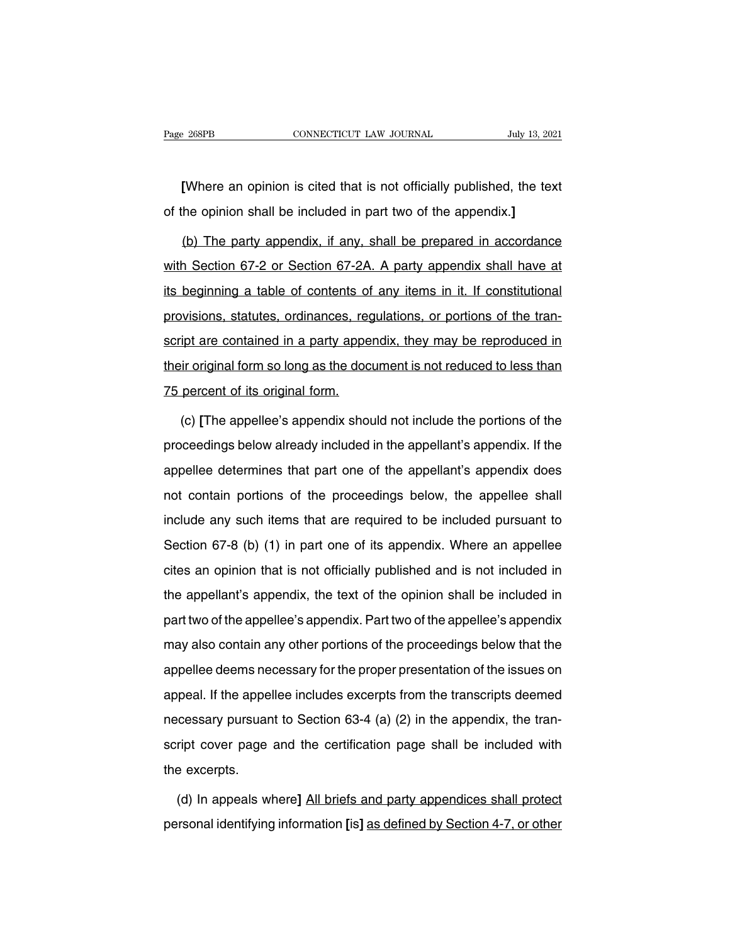<sup>2</sup> 268PB<br> **EXECUTE CONNECTICUT LAW JOURNAL**<br> **EXECUTE:** TO THE TO THE TO THE TO THE TO THE TO PUBLISHED OF THE OPINION Shall be included in part two of the appendix.] Page 268PB **CONNECTICUT LAW JOURNAL** July 13, 202<br> **EVALUATE:** THE OPINION Shall be included in part two of the appendix.]<br>
(b) The party appendix. if any, shall be prepared in accordance

(Where an opinion is cited that is not officially published, the text<br>he opinion shall be included in part two of the appendix.]<br>(b) The party appendix, if any, shall be prepared in accordance<br>1 Section 67-2 or Section 67-[Where an opinion is cited that is not officially published, the text<br>of the opinion shall be included in part two of the appendix.]<br>(b) The party appendix, if any, shall be prepared in accordance<br>with Section 67-2 or Sect of the opinion shall be included in part two of the appendix.]<br>
(b) The party appendix, if any, shall be prepared in accordance<br>
with Section 67-2 or Section 67-2A. A party appendix shall have at<br>
its beginning a table of (b) The party appendix, if any, shall be prepared in accordance<br>with Section 67-2 or Section 67-2A. A party appendix shall have at<br>its beginning a table of contents of any items in it. If constitutional<br>provisions, statute with Section 67-2 or Section 67-2A. A party appendix shall have at<br>its beginning a table of contents of any items in it. If constitutional<br>provisions, statutes, ordinances, regulations, or portions of the tran-<br>script are the beginning a table of contents of any items in it. If constitutional<br>provisions, statutes, ordinances, regulations, or portions of the tran-<br>script are contained in a party appendix, they may be reproduced in<br>their orig re bognining a table of contents of<br>provisions, statutes, ordinances, reg<br>script are contained in a party appe<br>their original form so long as the doc<br>75 percent of its original form.<br>(c) IThe appellee's appendix shou ipt are contained in a party appendix, they may be reproduced in<br>ir original form so long as the document is not reduced to less than<br>percent of its original form.<br>(c) [The appellee's appendix should not include the portio

their original form so long as the document is not reduced to less than<br>75 percent of its original form.<br>(c) [The appellee's appendix should not include the portions of the<br>proceedings below already included in the appella The appellee's appendix should not include the portions of the<br>proceedings below already included in the appellant's appendix. If the<br>appellee determines that part one of the appellant's appendix does<br>not contain portions (c) [The appellee's appendix should not include the portions of the proceedings below already included in the appellant's appendix. If the appellee determines that part one of the appellant's appendix does not contain port proceedings below already included in the appellant's appendix. If the appellee determines that part one of the appellant's appendix does not contain portions of the proceedings below, the appellee shall include any such i appellee determines that part one of the appellant's appendix. It are appellee determines that part one of the appellant's appendix does not contain portions of the proceedings below, the appellee shall include any such it not contain portions of the proceedings below, the appellee shall<br>include any such items that are required to be included pursuant to<br>Section 67-8 (b) (1) in part one of its appendix. Where an appellee<br>cites an opinion tha include any such items that are required to be included pursuant to<br>Section 67-8 (b) (1) in part one of its appendix. Where an appellee<br>cites an opinion that is not officially published and is not included in<br>the appellant Section 67-8 (b) (1) in part one of its appendix. Where an appellee<br>cites an opinion that is not officially published and is not included in<br>the appellant's appendix, the text of the opinion shall be included in<br>part two o cites an opinion that is not officially published and is not included in<br>the appellant's appendix, the text of the opinion shall be included in<br>part two of the appellee's appendix. Part two of the appellee's appendix<br>may the appellant's appendix, the text of the opinion shall be included in<br>part two of the appellee's appendix. Part two of the appellee's appendix<br>may also contain any other portions of the proceedings below that the<br>appellee appending appendix, the text of the opmion ontail be included in<br>part two of the appellee's appendix. Part two of the appellee's appendix<br>may also contain any other portions of the proceedings below that the<br>appellee deems pursuant and appends of the proceedings below that the appellee deems necessary for the proper presentation of the issues on appeal. If the appellee includes excerpts from the transcripts deemed necessary pursuant to Secti script cover page and the certification page shall be included with the excerpts.<br>The certification of the issues on appeal. If the appellee includes excerpts from the transcripts deemed<br>necessary pursuant to Section 63-4 appence accinents<br>appeal. If the appe<br>necessary pursuar<br>script cover page<br>the excerpts.<br>(d) In appeals w cessary pursuant to Section 63-4 (a) (2) in the appendix, the tran-<br>ript cover page and the certification page shall be included with<br>a excerpts.<br>(d) In appeals where] <u>All briefs and party appendices shall protect</u><br>rsonal personal identifying information page shall be included with<br>the excerpts.<br>(d) In appeals where] All briefs and party appendices shall protect<br>personal identifying information [is] as defined by Section 4-7, or other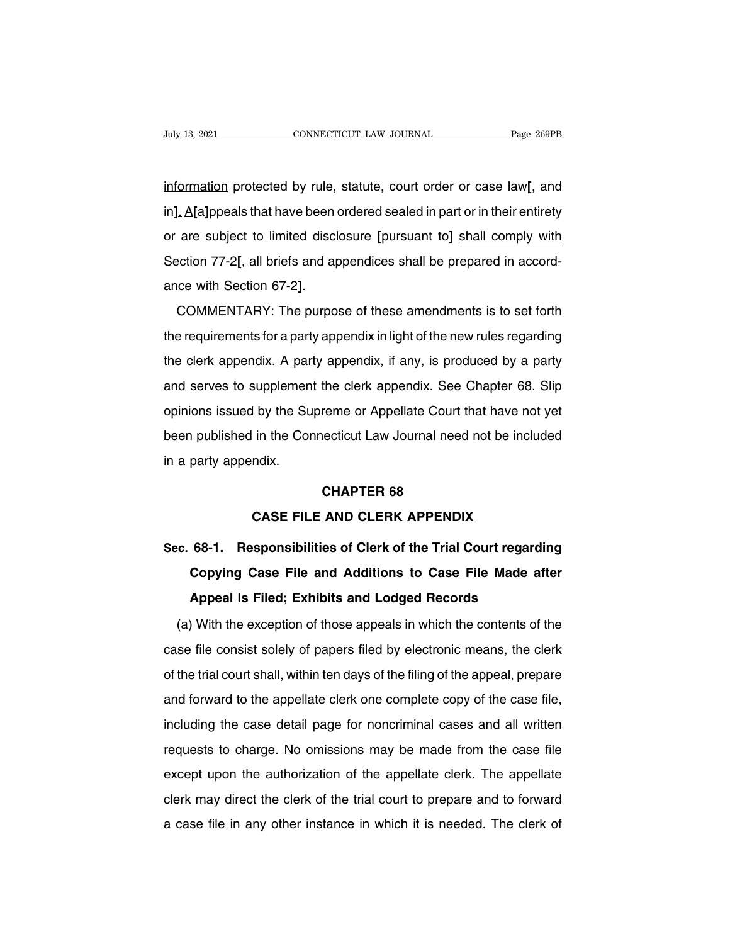information protected by rule, statute, court order or case law**[**, and Internation protected by rule, statute, court order or case law[, and<br>
information protected by rule, statute, court order or case law[, and<br>
in]. A[a]ppeals that have been ordered sealed in part or in their entirety<br>
or a information protected by rule, statute, court order or case law[, and<br>in]<u>. A</u>[a]ppeals that have been ordered sealed in part or in their entirety<br>or are subject to limited disclosure [pursuant to] shall comply with<br>Sectio information protected by rule, statute, court order or case law[, and<br>in]. <u>A</u>[a]ppeals that have been ordered sealed in part or in their entirety<br>or are subject to limited disclosure [pursuant to] shall comply with<br>Sectio in]. A[a]ppeals that have been ordered sealed in part or in their entirety<br>or are subject to limited disclosure [pursuant to] shall comply with<br>Section 77-2[, all briefs and appendices shall be prepared in accord-<br>ance wit

Section 77-2[, all briefs and appendices shall be prepared in accord-<br>ance with Section 67-2].<br>COMMENTARY: The purpose of these amendments is to set forth<br>the requirements for a party appendix in light of the new rules reg ance with Section 67-2].<br>
COMMENTARY: The purpose of these amendments is to set forth<br>
the requirements for a party appendix in light of the new rules regarding<br>
the clerk appendix. A party appendix, if any, is produced by COMMENTARY: The purpose of these amendments is to set forth<br>the requirements for a party appendix in light of the new rules regarding<br>the clerk appendix. A party appendix, if any, is produced by a party<br>and serves to supp opinions issued by the Supreme or Appellate Court that have not yet been published in the Connecticut Law Journal need not be included by a party been published in the Connecticut Law Journal need not be included the clerk appendix. A party appendix, if any, is produced by a party<br>and serves to supplement the clerk appendix. See Chapter 68. Slip<br>opinions issued by the Supreme or Appellate Court that have not yet<br>been published in t and serves to supplemen<br>and serves to supplemen<br>opinions issued by the Su<br>been published in the Cor<br>in a party appendix. reme or Appellate Court the<br>Chapter Law Journal need<br>**CHAPTER 68<br>AND CLERK APPENDI** in the Connecticut Law Journal need not be include<br>
ndix.<br> **CHAPTER 68<br>
CASE FILE <u>AND CLERK APPENDIX</u>**<br> **CASE FILE AND CLERK APPENDIX** 

**SEPTER 68<br>
Sec. 68-1. Responsibilities of Clerk of the Trial Court regarding<br>
Copying Case File and Additions to Case File Made after CHAPTER 68<br>CASE FILE AND CLERK APPENDIX<br>68-1. Responsibilities of Clerk of the Trial Court regarding<br>Copying Case File and Additions to Case File Made after<br>Appeal Is Filed; Exhibits and Lodged Records CASE FILE AND CLERK APPENDIX**<br>68-1. Responsibilities of Clerk of the Trial Court regardi<br>Copying Case File and Additions to Case File Made af<br>Appeal Is Filed; Exhibits and Lodged Records<br>With the exception of those appeal (a) With the exception of the exceptions to Case File Made after<br>
Appeal Is Filed; Exhibits and Lodged Records<br>
(a) With the exception of those appeals in which the contents of the<br>
se file consist solely of papers filed b

Copying Case File and Additions to Case File Made after<br>Appeal Is Filed; Exhibits and Lodged Records<br>(a) With the exception of those appeals in which the contents of the<br>case file consist solely of papers filed by electron Appeal Is Filed; Exhibits and Lodged Records<br>
(a) With the exception of those appeals in which the contents of the<br>
case file consist solely of papers filed by electronic means, the clerk<br>
of the trial court shall, within (a) With the exception of those appeals in which the contents of the case file consist solely of papers filed by electronic means, the clerk of the trial court shall, within ten days of the filing of the appeal, prepare an (a) What are exception of areco appears in which are contended at all<br>case file consist solely of papers filed by electronic means, the clerk<br>of the trial court shall, within ten days of the filing of the appeal, prepare<br>a of the trial court shall, within ten days of the filing of the appeal, prepare<br>and forward to the appellate clerk one complete copy of the case file,<br>including the case detail page for noncriminal cases and all written<br>req except upon the authorization of the complete copy of the case file,<br>including the case detail page for noncriminal cases and all written<br>requests to charge. No omissions may be made from the case file<br>except upon the auth including the case detail page for noncriminal cases and all written<br>requests to charge. No omissions may be made from the case file<br>except upon the authorization of the appellate clerk. The appellate<br>clerk may direct the requests to charge. No omissions may be made from the case file<br>except upon the authorization of the appellate clerk. The appellate<br>clerk may direct the clerk of the trial court to prepare and to forward<br>a case file in any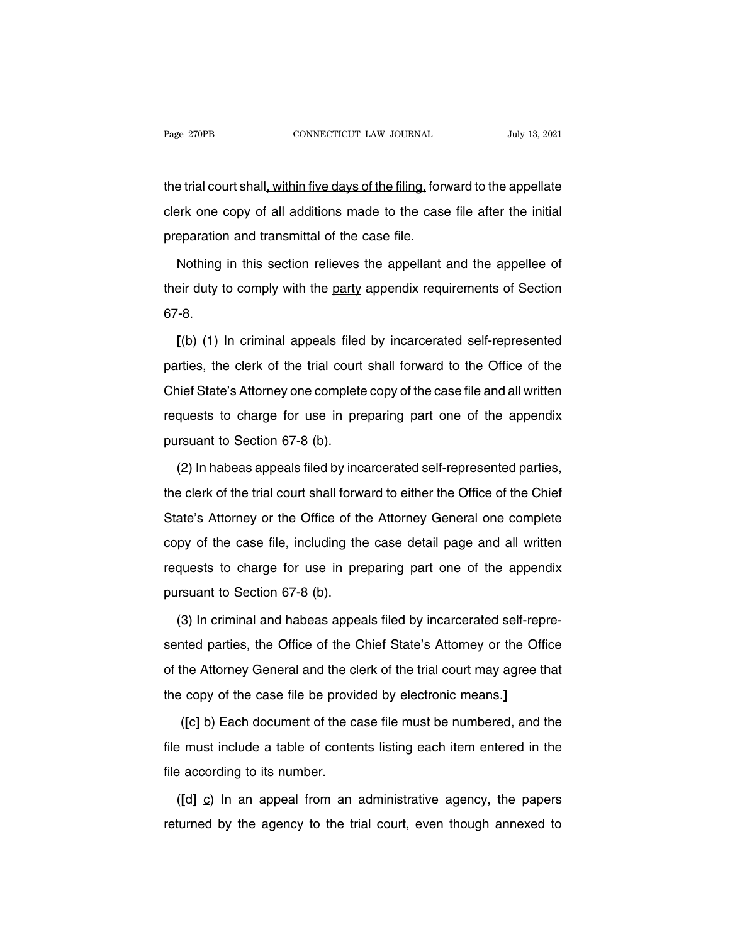The trial court shall, within five days of the filing, forward to the appellate<br>the trial court shall, within five days of the filing, forward to the appellate<br>clerk one copy of all additions made to the case file after th Page 270PB CONNECTICUT LAW JOURNAL July 13, 2021<br>the trial court shall, within five days of the filing, forward to the appellate<br>clerk one copy of all additions made to the case file after the initial<br>preparation and trans the trial court shall, within five days of the filing, fore<br>clerk one copy of all additions made to the case<br>preparation and transmittal of the case file.<br>Nothing in this section relieves the appellant e trial court shall<u>, within five days of the filing</u>, forward to the appellate<br>erk one copy of all additions made to the case file after the initial<br>eparation and transmittal of the case file.<br>Nothing in this section reli

their duty of all additions made to the case file after the initial<br>preparation and transmittal of the case file.<br>Nothing in this section relieves the appellant and the appellee of<br>their duty to comply with the party appen 67-8. Nothing in this section relieves the appellant and the appellee of<br>eir duty to comply with the party appendix requirements of Section<br>'-8.<br>I(b) (1) In criminal appeals filed by incarcerated self-represented<br>rrties, the cle

particulary their duty to comply with the party appendix requirements of Section 67-8.<br>
[(b) (1) In criminal appeals filed by incarcerated self-represented parties, the clerk of the trial court shall forward to the Office Formulae State's Attorney one complete copy of the case file and all written requests to charge for use in preparing part one of the appendix [(b) (1) In criminal appeals filed by incarcerated self-represented parties, the clerk of the trial court shall forward to the Office of the Chief State's Attorney one complete copy of the case file and all written request parties, the clerk of the trial court<br>Chief State's Attorney one complete<br>requests to charge for use in pre<br>pursuant to Section 67-8 (b).<br>(2) In habeas appeals filed by inc. ief State's Attorney one complete copy of the case file and all written<br>quests to charge for use in preparing part one of the appendix<br>irsuant to Section 67-8 (b).<br>(2) In habeas appeals filed by incarcerated self-represent

the clerk of the clerk of the trial court shall forward to either the Office of the clerk of the trial court shall forward to either the Office of the Chief<br>State's Attorney or the Office of the Attorney General one comple pursuant to Section 67-8 (b).<br>
(2) In habeas appeals filed by incarcerated self-represented parties,<br>
the clerk of the trial court shall forward to either the Office of the Chief<br>
State's Attorney or the Office of the Atto (2) In habeas appeals filed by incarcerated self-represented parties,<br>the clerk of the trial court shall forward to either the Office of the Chief<br>State's Attorney or the Office of the Attorney General one complete<br>copy of (L) in individe appears including to charge for the Office of the Chief<br>State's Attorney or the Office of the Attorney General one complete<br>copy of the case file, including the case detail page and all written<br>requests to State's Attorney or the Office of the court of the Control of the case file, including the requests to charge for use in prepursuant to Section 67-8 (b).<br>(3) In criminal and habeas appea (b) py of the case file, including the case detail page and all written<br>quests to charge for use in preparing part one of the appendix<br>rsuant to Section 67-8 (b).<br>(3) In criminal and habeas appeals filed by incarcerated se

requests to charge for use in preparing part one of the appendix<br>pursuant to Section 67-8 (b).<br>(3) In criminal and habeas appeals filed by incarcerated self-repre-<br>sented parties, the Office of the Chief State's Attorney o pursuant to Section 67-8 (b).<br>
(3) In criminal and habeas appeals filed by incarcerated self-repre-<br>
sented parties, the Office of the Chief State's Attorney or the Office<br>
of the Attorney General and the clerk of the tria (3) In criminal and habeas appeals filed by incarcerated self-rep sented parties, the Office of the Chief State's Attorney or the Office of the Attorney General and the clerk of the trial court may agree the copy of the c (**i**ccentive) in the office of the Chief State's Attorney or the Office<br>the Attorney General and the clerk of the trial court may agree that<br>example is copy of the case file be provided by electronic means.]<br>([c] <u>b</u>) Each

of the Attorney General and the clerk of the trial court may agree that<br>the copy of the case file be provided by electronic means.]<br>([c] <u>b</u>) Each document of the case file must be numbered, and the<br>file must include a tab the copy of the case file be provid<br>
([c] <u>b</u>) Each document of the case<br>
file must include a table of conter<br>
file according to its number.<br>
([d] <u>c</u>) In an appeal from an ( $[c]$  <u>b</u>) Each document of the case file must be numbered, and the <br>
e must include a table of contents listing each item entered in the<br>
e according to its number.<br>
( $[d]$   $\underline{c}$ ) In an appeal from an administrative ag file must include a table of contents listing each item entered in the file according to its number.<br>([d]  $\Omega$ ) In an appeal from an administrative agency, the papers returned by the agency to the trial court, even though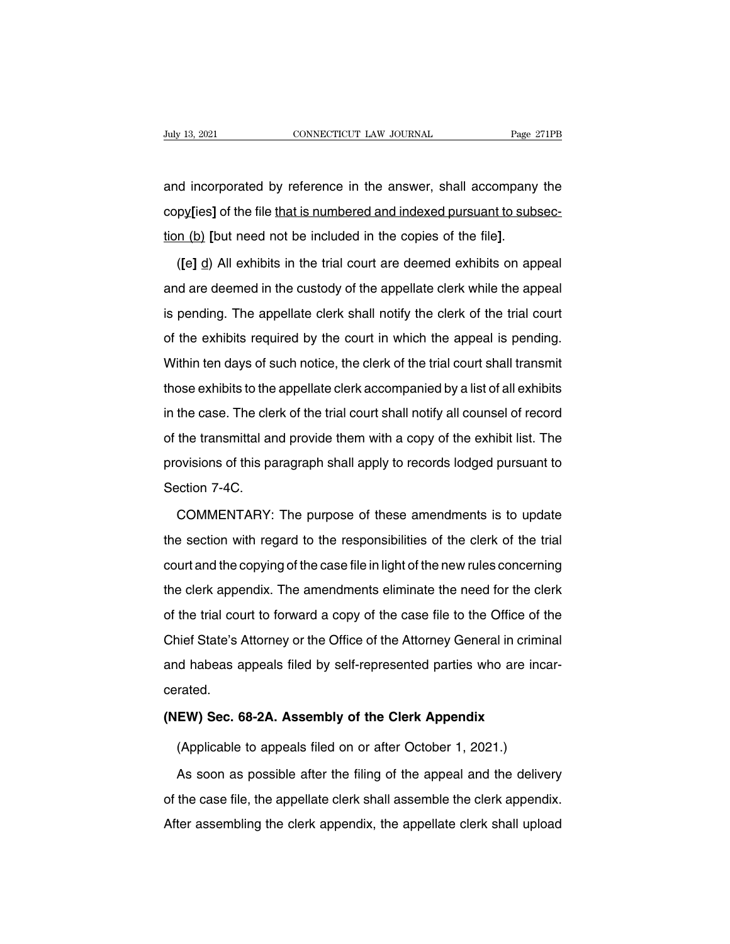A<br>
and incorporated by reference in the answer, shall accompany the<br>
copy[ies] of the file <u>that is numbered and indexed pursuant to subsec-</u> CONNECTICUT LAW JOURNAL Page 271PB<br>
and incorporated by reference in the answer, shall accompany the<br>
copy[ies] of the file <u>that is numbered and indexed pursuant to subsec-<br>
tion (b) [but need not be included in the copie</u> and incorporated by reference in the answer, shall accompany the<br>copy[ies] of the file that is numbered and indexed pursuant to subsec-<br>tion (b) [but need not be included in the copies of the file].<br>([e] <u>d</u>) All exhibits

copy[ies] of the file that is numbered and indexed pursuant to subsection (b) [but need not be included in the copies of the file].<br>([e] d) All exhibits in the trial court are deemed exhibits on appeal and are deemed in th ion (b) [but need not be included in the copies of the file].<br>
([e] d) All exhibits in the trial court are deemed exhibits on appeal<br>
and are deemed in the custody of the appellate clerk while the appeal<br>
is pending. The a ([e] d) All exhibits in the trial court are deemed exhibits on appeal<br>and are deemed in the custody of the appellate clerk while the appeal<br>is pending. The appellate clerk shall notify the clerk of the trial court<br>of the e and are deemed in the custody of the appellate clerk while the appeal<br>is pending. The appellate clerk shall notify the clerk of the trial court<br>of the exhibits required by the court in which the appeal is pending.<br>Within is pending. The appellate clerk shall notify the clerk of the trial court<br>of the exhibits required by the court in which the appeal is pending.<br>Within ten days of such notice, the clerk of the trial court shall transmit<br>th of the exhibits required by the court in which the appeal is pending.<br>Within ten days of such notice, the clerk of the trial court shall transmit<br>those exhibits to the appellate clerk accompanied by a list of all exhibits<br> of the exhibits required by the edert in which the appear to penally.<br>Within ten days of such notice, the clerk of the trial court shall transmit<br>those exhibits to the appellate clerk accompanied by a list of all exhibits<br> those exhibits to the appellate clerk accompanied by a list of all exhibits<br>in the case. The clerk of the trial court shall notify all counsel of record<br>of the transmittal and provide them with a copy of the exhibit list. those exhibits to the appellate clerk accompanied by a list of all exhibits<br>in the case. The clerk of the trial court shall notify all counsel of record<br>of the transmittal and provide them with a copy of the exhibit list. the transmittal and provide them with a copy of the exhibit list. The<br>ovisions of this paragraph shall apply to records lodged pursuant to<br>ection 7-4C.<br>COMMENTARY: The purpose of these amendments is to update<br>a section wit

provisions of this paragraph shall apply to records lodged pursuant to<br>Section 7-4C.<br>COMMENTARY: The purpose of these amendments is to update<br>the section with regard to the responsibilities of the clerk of the trial<br>court Section 7-4C.<br>COMMENTARY: The purpose of these amendments is to update<br>the section with regard to the responsibilities of the clerk of the trial<br>court and the copying of the case file in light of the new rules concerning<br>t COMMENTARY: The purpose of these amendments is to update<br>the section with regard to the responsibilities of the clerk of the trial<br>court and the copying of the case file in light of the new rules concerning<br>the clerk appen of the section with regard to the responsibilities of the clerk of the trial<br>court and the copying of the case file in light of the new rules concerning<br>the clerk appendix. The amendments eliminate the need for the clerk<br>o Court and the copying of the case file in light of the new rules concerning<br>the clerk appendix. The amendments eliminate the need for the clerk<br>of the trial court to forward a copy of the case file to the Office of the<br>Chi court and the copying of the case file in light of the new rules concerning<br>the clerk appendix. The amendments eliminate the need for the clerk<br>of the trial court to forward a copy of the case file to the Office of the<br>Chi cerated. Chief State's Attorney or the Office of the Attorney General in crimin<br>and habeas appeals filed by self-represented parties who are ince<br>cerated.<br>**(NEW) Sec. 68-2A. Assembly of the Clerk Appendix**<br>(Applicable to appeals fi d habeas appeals filed by self-represented parties who are incented.<br> **EW) Sec. 68-2A. Assembly of the Clerk Appendix**<br>
(Applicable to appeals filed on or after October 1, 2021.)<br>
As soon as possible after the filing of th

rated.<br> **EW) Sec. 68-2A. Assembly of the Clerk Appendix**<br>
(Applicable to appeals filed on or after October 1, 2021.)<br>
As soon as possible after the filing of the appeal and the delivery<br>
the case file, the appellate clerk (NEW) Sec. 68-2A. Assembly of the Clerk Appendix<br>
(Applicable to appeals filed on or after October 1, 2021.)<br>
As soon as possible after the filing of the appeal and the delivery<br>
of the case file, the appellate clerk shall (Applicable to appeals filed on or after October 1, 2021.)<br>As soon as possible after the filing of the appeal and the delivery<br>of the case file, the appellate clerk shall assemble the clerk appendix.<br>After assembling the c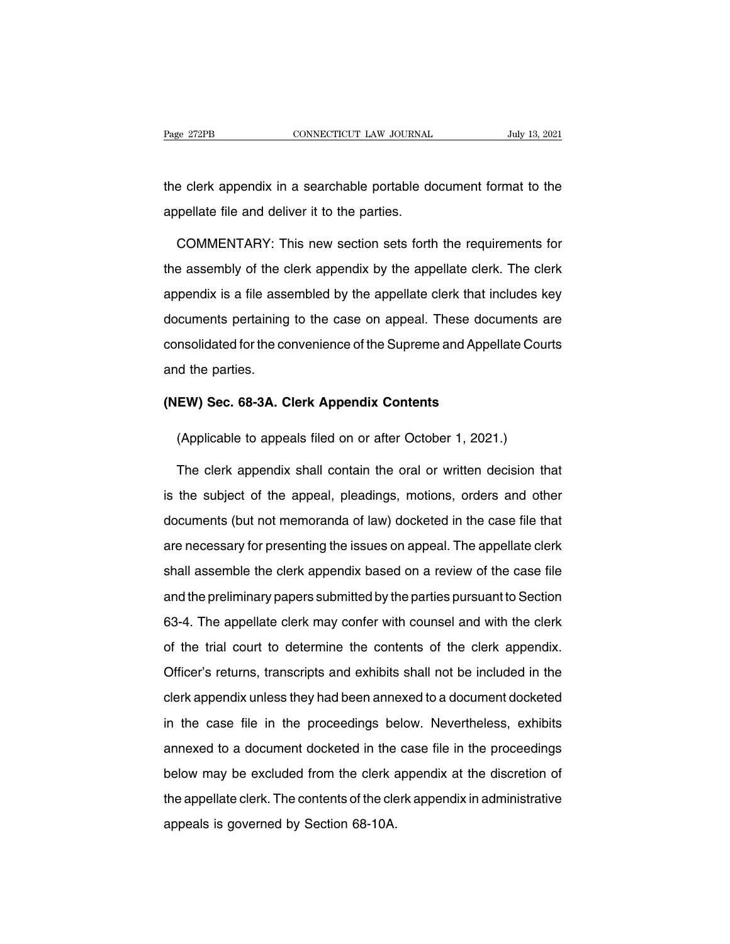The clerk appendix in a searchable portable document format to the appellate file and deliver it to the parties. Page 272PB CONNECTICUT LAW JOURNAL<br>the clerk appendix in a searchable portable do<br>appellate file and deliver it to the parties.<br>COMMENTARY: This new section sets forth

e clerk appendix in a searchable portable document format to the<br>pellate file and deliver it to the parties.<br>COMMENTARY: This new section sets forth the requirements for<br>e assembly of the clerk appendix by the appellate cl the clerk appendix in a searchable portable document format to the<br>appellate file and deliver it to the parties.<br>COMMENTARY: This new section sets forth the requirements for<br>the assembly of the clerk appendix by the appell appellate file and deliver it to the parties.<br>COMMENTARY: This new section sets forth the requirements for<br>the assembly of the clerk appendix by the appellate clerk. The clerk<br>appendix is a file assembled by the appellate COMMENTARY: This new section sets forth the requirements for<br>the assembly of the clerk appendix by the appellate clerk. The clerk<br>appendix is a file assembled by the appellate clerk that includes key<br>documents pertaining t commate for the clerk appendix by the appellate clerk. The clerk<br>appendix is a file assembled by the appellate clerk that includes key<br>documents pertaining to the case on appeal. These documents are<br>consolidated for the co appendix is a file ass<br>documents pertaining<br>consolidated for the co<br>and the parties. documents pertaining to the case on appeal. These docum<br>consolidated for the convenience of the Supreme and Appelland<br>the parties.<br>**(NEW) Sec. 68-3A. Clerk Appendix Contents** msolidated for the convenience of the Supreme and Appellate Cou<br>
d the parties.<br> **EW) Sec. 68-3A. Clerk Appendix Contents**<br>
(Applicable to appeals filed on or after October 1, 2021.)<br>
The clerk appendix shall contain the o

EW) Sec. 68-3A. Clerk Appendix Contents<br>(Applicable to appeals filed on or after October 1, 2021.)<br>The clerk appendix shall contain the oral or written decision that<br>the subject of the appeal, pleadings, motions, orders an (NEW) Sec. 68-3A. Clerk Appendix Contents<br>
(Applicable to appeals filed on or after October 1, 2021.)<br>
The clerk appendix shall contain the oral or written decision that<br>
is the subject of the appeal, pleadings, motions, o (Applicable to appeals filed on or after October 1, 2021.)<br>The clerk appendix shall contain the oral or written decision that<br>is the subject of the appeal, pleadings, motions, orders and other<br>documents (but not memoranda The clerk appendix shall contain the oral or written decision that<br>is the subject of the appeal, pleadings, motions, orders and other<br>documents (but not memoranda of law) docketed in the case file that<br>are necessary for pr is the subject of the appeal, pleadings, motions, orders and other<br>documents (but not memoranda of law) docketed in the case file that<br>are necessary for presenting the issues on appeal. The appellate clerk<br>shall assemble t documents (but not memoranda of law) docketed in the case file that<br>are necessary for presenting the issues on appeal. The appellate clerk<br>shall assemble the clerk appendix based on a review of the case file<br>and the prelim are necessary for presenting the issues on appeal. The appellate clerk<br>shall assemble the clerk appendix based on a review of the case file<br>and the preliminary papers submitted by the parties pursuant to Section<br>63-4. The of the trial court to determine the contents of the clerk appendix.<br>
63-4. The appellate clerk may confer with counsel and with the clerk<br>
of the trial court to determine the contents of the clerk appendix.<br>
Officer's retu and the preliminary papers submitted by the parties pursuant to Section<br>63-4. The appellate clerk may confer with counsel and with the clerk<br>of the trial court to determine the contents of the clerk appendix.<br>Officer's ret and the promining, pepperoclasmically the particle percelative occurred 63-4. The appellate clerk may confer with counsel and with the clerk<br>of the trial court to determine the contents of the clerk appendix.<br>Officer's ret of the trial court to determine the contents of the clerk appendix.<br>Officer's returns, transcripts and exhibits shall not be included in the<br>clerk appendix unless they had been annexed to a document docketed<br>in the case fi Officer's returns, transcripts and exhibits shall not be included in the clerk appendix unless they had been annexed to a document docketed in the case file in the proceedings below. Nevertheless, exhibits annexed to a doc below may be excluded from the clerk appendix in the case file in the proceedings below. Nevertheless, exhibits<br>annexed to a document docketed in the case file in the proceedings<br>below may be excluded from the clerk append In the case file in the proceedings below. Nevertheless, exhibits<br>annexed to a document docketed in the case file in the proceedings<br>below may be excluded from the clerk appendix at the discretion of<br>the appellate clerk. T annexed to a document docketed in the below may be excluded from the clerk at<br>the appellate clerk. The contents of the cle<br>appeals is governed by Section 68-10A.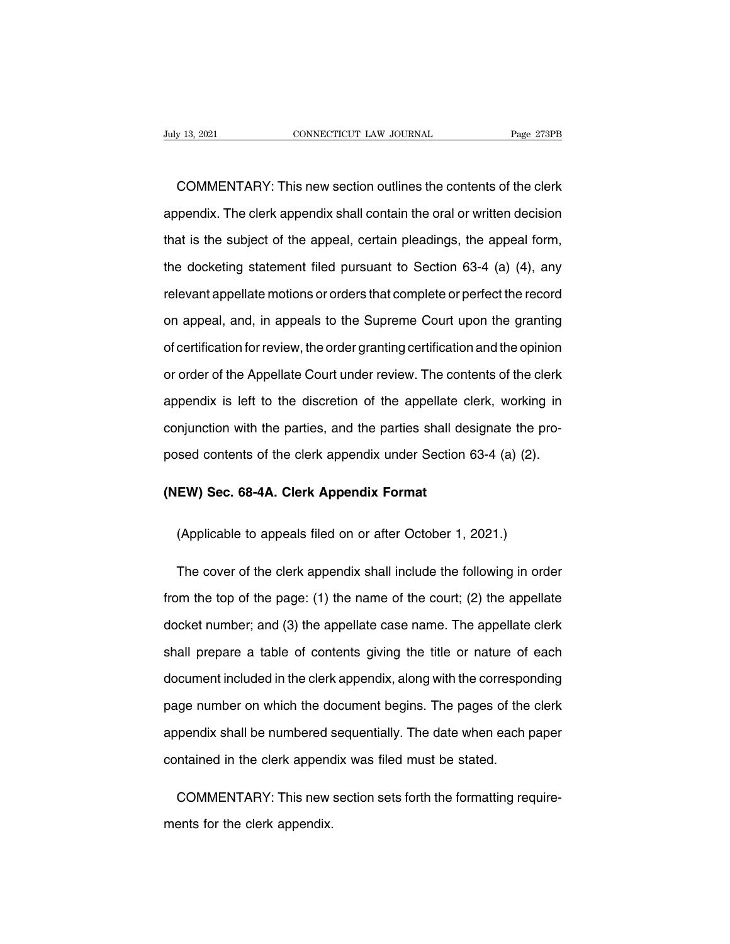EXECTE THE CONNECTICUT CONNECTICUT LAW JOURNAL Trage 273PB<br>COMMENTARY: This new section outlines the contents of the clerk<br>pendix. The clerk appendix shall contain the oral or written decision Fage 273PB<br>
COMMENTARY: This new section outlines the contents of the clerk<br>
appendix. The clerk appendix shall contain the oral or written decision<br>
that is the subject of the appeal, certain pleadings, the appeal form, COMMENTARY: This new section outlines the contents of the clerk<br>appendix. The clerk appendix shall contain the oral or written decision<br>that is the subject of the appeal, certain pleadings, the appeal form,<br>the docketing s COMMENTARY: This new section outlines the contents of the clerk<br>appendix. The clerk appendix shall contain the oral or written decision<br>that is the subject of the appeal, certain pleadings, the appeal form,<br>the docketing s appendix. The clerk appendix shall contain the oral or written decision<br>that is the subject of the appeal, certain pleadings, the appeal form,<br>the docketing statement filed pursuant to Section 63-4 (a) (4), any<br>relevant ap that is the subject of the appeal, certain pleadings, the appeal form,<br>the docketing statement filed pursuant to Section 63-4 (a) (4), any<br>relevant appellate motions or orders that complete or perfect the record<br>on appeal, the docketing statement filed pursuant to Section 63-4 (a) (4), any<br>relevant appellate motions or orders that complete or perfect the record<br>on appeal, and, in appeals to the Supreme Court upon the granting<br>of certificatio relevant appellate motions or orders that complete or perfect the record<br>on appeal, and, in appeals to the Supreme Court upon the granting<br>of certification for review, the order granting certification and the opinion<br>or or on appeal, and, in appeals to the Supreme Court upon the granting<br>of certification for review, the order granting certification and the opinion<br>or order of the Appellate Court under review. The contents of the clerk<br>append of certification for review, the order granting certification and the opinion<br>or order of the Appellate Court under review. The contents of the clerk<br>appendix is left to the discretion of the appellate clerk, working in<br>co por order of the Appellate Court under review. The contents of the clerk appendix is left to the discretion of the appellate clerk, working in conjunction with the parties, and the parties shall designate the proposed cont appendix is left to the discretion of the appellate or<br>conjunction with the parties, and the parties shall de<br>posed contents of the clerk appendix under Section<br>(NEW) Sec. 68-4A. Clerk Appendix Format sed contents of the clerk appendix under Section 63-4 (a) (2).<br> **EW) Sec. 68-4A. Clerk Appendix Format**<br>
(Applicable to appeals filed on or after October 1, 2021.)

**EW) Sec. 68-4A. Clerk Appendix Format**<br>(Applicable to appeals filed on or after October 1, 2021.)<br>The cover of the clerk appendix shall include the following in order<br>om the top of the page: (1) the name of the court; (2) (Applicable to appeals filed on or after October 1, 2021.)<br>The cover of the clerk appendix shall include the following in order<br>from the top of the page: (1) the name of the court; (2) the appellate<br>docket number; and (3) (Applicable to appeals filed on or after October 1, 2021.)<br>The cover of the clerk appendix shall include the following in order<br>from the top of the page: (1) the name of the court; (2) the appellate<br>docket number; and (3) The cover of the clerk appendix shall include the following in order<br>from the top of the page: (1) the name of the court; (2) the appellate<br>docket number; and (3) the appellate case name. The appellate clerk<br>shall prepare from the top of the page: (1) the name of the court; (2) the appellate<br>docket number; and (3) the appellate case name. The appellate clerk<br>shall prepare a table of contents giving the title or nature of each<br>document inclu docket number; and (3) the appellate case name. The appellate clerk<br>shall prepare a table of contents giving the title or nature of each<br>document included in the clerk appendix, along with the corresponding<br>page number on shall prepare a table of contents giving the title or nature of each document included in the clerk appendix, along with the corresponding page number on which the document begins. The pages of the clerk appendix shall be document included in the clerk appendix, along with the correspo<br>page number on which the document begins. The pages of the<br>appendix shall be numbered sequentially. The date when each pontained in the clerk appendix was fi ge number on which the document begins. The pages of the clerk<br>pendix shall be numbered sequentially. The date when each paper<br>ntained in the clerk appendix was filed must be stated.<br>COMMENTARY: This new section sets forth appendix shall be numbered sequentially. The date when each paper<br>contained in the clerk appendix was filed must be stated.<br>COMMENTARY: This new section sets forth the formatting require-<br>ments for the clerk appendix.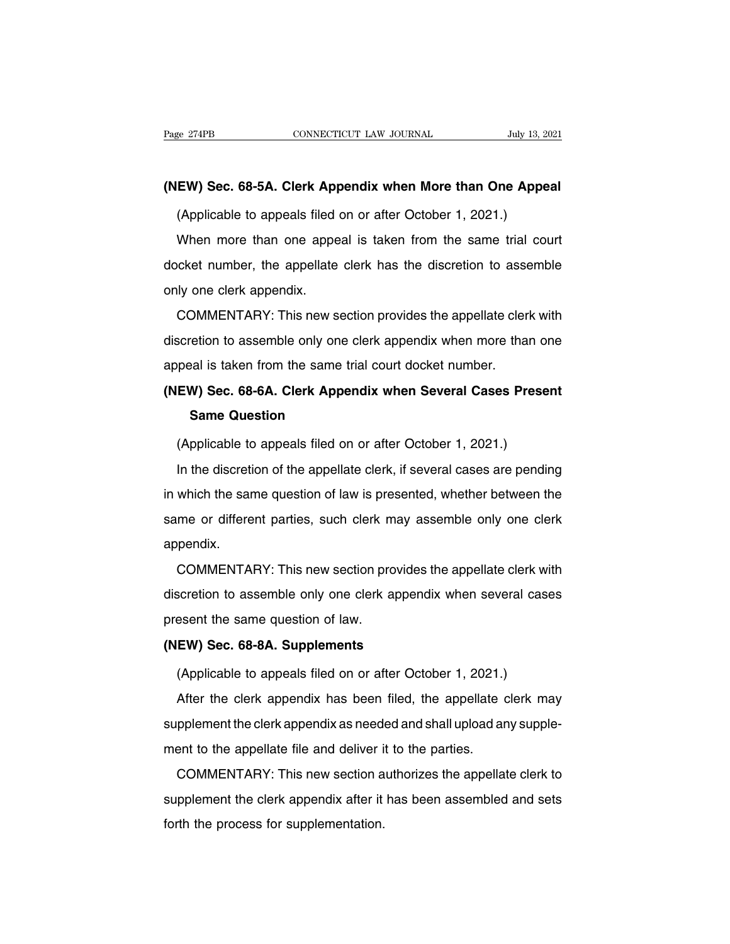# Page 274PB CONNECTICUT LAW JOURNAL July 13, 2021<br> **(NEW) Sec. 68-5A. Clerk Appendix when More than One Appeal**<br>
(Applicable to appeals filed on or after October 1, 2021.)

EW) Sec. 68-5A. Clerk Appendix when More than One Appe<br>(Applicable to appeals filed on or after October 1, 2021.)<br>When more than one appeal is taken from the same trial co EW) Sec. 68-5A. Clerk Appendix when More than One Appeal<br>(Applicable to appeals filed on or after October 1, 2021.)<br>When more than one appeal is taken from the same trial court<br>cket number, the appellate clerk has the disc (NEW) Sec. 68-5A. Clerk Appendix when More than One Appeal<br>(Applicable to appeals filed on or after October 1, 2021.)<br>When more than one appeal is taken from the same trial court<br>docket number, the appellate clerk has the (Applicable to appeals filed<br>When more than one appe<br>docket number, the appellate<br>only one clerk appendix.<br>COMMENTARY: This new s When more than one appeal is taken from the same trial court<br>cket number, the appellate clerk has the discretion to assemble<br>ly one clerk appendix.<br>COMMENTARY: This new section provides the appellate clerk with<br>scretion to

docket number, the appellate clerk has the discretion to assemble<br>only one clerk appendix.<br>COMMENTARY: This new section provides the appellate clerk with<br>discretion to assemble only one clerk appendix when more than one<br>ap abond manibor, are appointed signt has the discretion to asset<br>only one clerk appendix.<br>COMMENTARY: This new section provides the appellate clere<br>discretion to assemble only one clerk appendix when more tha<br>appeal is taken **COMMENTARY:** This new section provides the appellate clerk with<br>discretion to assemble only one clerk appendix when more than one<br>appeal is taken from the same trial court docket number.<br>(NEW) Sec. 68-6A. Clerk Appendix w From the How seat<br>
retion to assemble only one c<br>
real is taken from the same tri<br> **W) Sec. 68-6A. Clerk Appen<br>
Same Question**<br>
pplicable to appeals filed on

# (i) peal is taken from the same trial court docket number.<br> **EW) Sec. 68-6A. Clerk Appendix when Several Cases Prese**<br> **Same Question**<br>
(Applicable to appeals filed on or after October 1, 2021.)<br>
In the discretion of the a

EW) Sec. 68-6A. Clerk Appendix when Several Cases Present<br>Same Question<br>(Applicable to appeals filed on or after October 1, 2021.)<br>In the discretion of the appellate clerk, if several cases are pending<br>which the same quest Same Question<br>(Applicable to appeals filed on or after October 1, 2021.)<br>In the discretion of the appellate clerk, if several cases are pending<br>in which the same question of law is presented, whether between the<br>same or di (Applicable to appeals filed on or after October 1, 2021.)<br>In the discretion of the appellate clerk, if several cases are pending<br>in which the same question of law is presented, whether between the<br>same or different partie appendix. which the same question of law is presented, whether between the<br>me or different parties, such clerk may assemble only one clerk<br>pendix.<br>COMMENTARY: This new section provides the appellate clerk with<br>scretion to assemble o

met which the same question of law to prosontica, whencef sotticen the<br>same or different parties, such clerk may assemble only one clerk<br>appendix.<br>COMMENTARY: This new section provides the appellate clerk with<br>discretion t particular states, sact start the<br>appendix.<br>COMMENTARY: This new section pro<br>discretion to assemble only one clerk a<br>present the same question of law.<br>(NEW) Sec. 68-8A. Supplements **COMMENTARY: This new section provides**<br>discretion to assemble only one clerk append<br>present the same question of law.<br>**(NEW) Sec. 68-8A. Supplements**<br>(Applicable to appeals filed on or after Octomated Scretion to assemble only one clerk appendix when several cases are the same question of law.<br> **EW) Sec. 68-8A. Supplements**<br>
(Applicable to appeals filed on or after October 1, 2021.)<br>
After the clerk appendix has been fi

esent the same question of law.<br> **EW) Sec. 68-8A. Supplements**<br>
(Applicable to appeals filed on or after October 1, 2021.)<br>
After the clerk appendix has been filed, the appellate clerk may<br>
pplement the clerk appendix as n (NEW) Sec. 68-8A. Supplements<br>
(Applicable to appeals filed on or after October 1, 2021.)<br>
After the clerk appendix has been filed, the appellate clerk may<br>
supplement the clerk appendix as needed and shall upload any supp (Applicable to appeals filed on or after October 1, 2021.)<br>After the clerk appendix has been filed, the appellate of<br>supplement the clerk appendix as needed and shall upload are<br>ment to the appellate file and deliver it to After the clerk appendix has been filed, the appellate clerk may<br>pplement the clerk appendix as needed and shall upload any supple-<br>ent to the appellate file and deliver it to the parties.<br>COMMENTARY: This new section auth

supplement the clerk appendix as needed and shall upload any supplement to the appellate file and deliver it to the parties.<br>COMMENTARY: This new section authorizes the appellate clerk to supplement the clerk appendix afte expprement to the appellate file and deliver in COMMENTARY: This new section a supplement the clerk appendix after it forth the process for supplementation.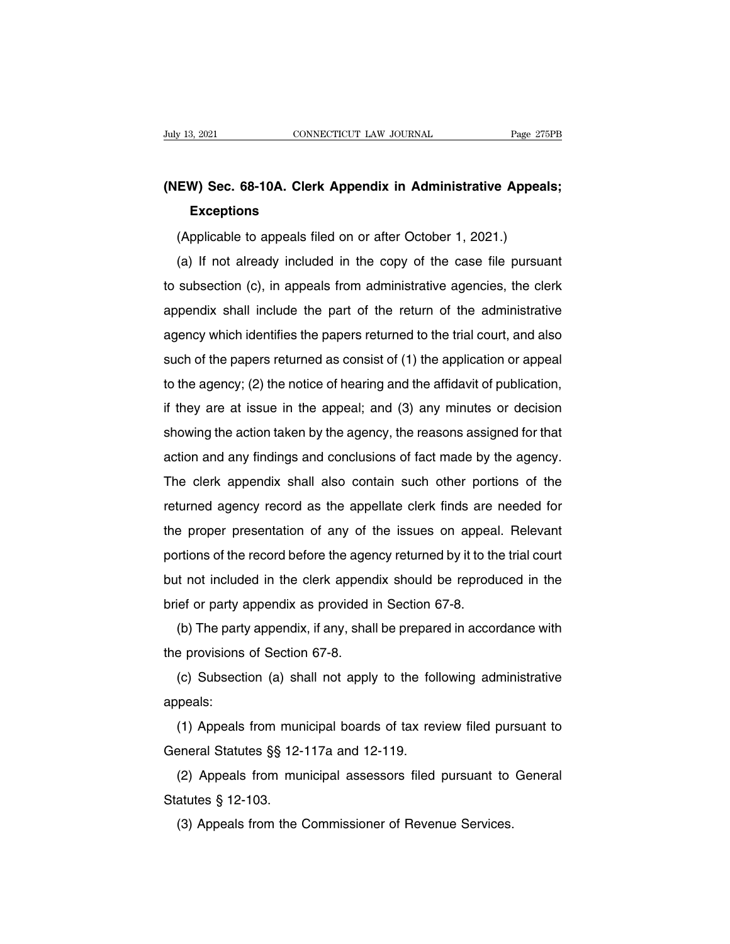## July 13, 2021 CONNECTICUT LAW JOURNAL Page 275PB<br> **(NEW) Sec. 68-10A. Clerk Appendix in Administrative Appeals;**<br> **Exceptions Exceptions** EW) Sec. 68-10A. Clerk Appendix in Administrative Appea<br>Exceptions<br>(Applicable to appeals filed on or after October 1, 2021.)<br>(a) If not already included in the copy of the case file pursual

EW) Sec. 68-10A. Clerk Appendix in Administrative Appeals;<br>Exceptions<br>(Applicable to appeals filed on or after October 1, 2021.)<br>(a) If not already included in the copy of the case file pursuant<br>subsection (c), in appeals Exceptions<br>(Applicable to appeals filed on or after October 1, 2021.)<br>(a) If not already included in the copy of the case file pursuant<br>to subsection (c), in appeals from administrative agencies, the clerk<br>appendix shall (Applicable to appeals filed on or after October 1, 2021.)<br>
(a) If not already included in the copy of the case file pursuant<br>
to subsection (c), in appeals from administrative agencies, the clerk<br>
appendix shall include t (a) If not already included in the copy of the case file pursuant<br>to subsection (c), in appeals from administrative agencies, the clerk<br>appendix shall include the part of the return of the administrative<br>agency which iden (a) it not already included in the copy of the case life pursuality to subsection (c), in appeals from administrative agencies, the clerk appendix shall include the part of the return of the administrative agency which id to subsection (c), in appears nont administrative agencies, the clerk<br>appendix shall include the part of the return of the administrative<br>agency which identifies the papers returned to the trial court, and also<br>such of the appendix shall include the papers returned to the trial court, and also<br>such of the papers returned as consist of (1) the application or appeal<br>to the agency; (2) the notice of hearing and the affidavit of publication,<br>if show the papers is the action of the and court, and also<br>such of the papers returned as consist of (1) the application or appeal<br>to the agency; (2) the notice of hearing and the affidavit of publication,<br>if they are at iss action are papers returned as consist of (1) the application or appear<br>to the agency; (2) the notice of hearing and the affidavit of publication,<br>if they are at issue in the appeal; and (3) any minutes or decision<br>showing If they are at issue in the appeal; and (3) any minutes or decision<br>showing the action taken by the agency, the reasons assigned for that<br>action and any findings and conclusions of fact made by the agency.<br>The clerk append returned agency in the appear, and (5) any minutes of decision<br>showing the action taken by the agency, the reasons assigned for that<br>action and any findings and conclusions of fact made by the agency.<br>The clerk appendix sh showing the action taken by the agency, the reasons assigned for that<br>action and any findings and conclusions of fact made by the agency.<br>The clerk appendix shall also contain such other portions of the<br>returned agency rec action and any indings and conclusions of fact made by the agency.<br>The clerk appendix shall also contain such other portions of the<br>returned agency record as the appellate clerk finds are needed for<br>the proper presentation Frie clerk appendix shall also contain such other portions of the<br>returned agency record as the appellate clerk finds are needed for<br>the proper presentation of any of the issues on appeal. Relevant<br>portions of the record b brief or presentation of any of the issues on appear the proper presentation of any of the issues on appear portions of the record before the agency returned by it to the but not included in the clerk appendix should be re Fritions of the record before the agency returned by it to the trial court<br>that included in the clerk appendix should be reproduced in the<br>lef or party appendix as provided in Section 67-8.<br>(b) The party appendix, if any, but not included in the clerk append<br>brief or party appendix as provided i<br>(b) The party appendix, if any, shal<br>the provisions of Section 67-8.<br>(c) Subsection (a) shall not apply

(c) The party appendix as provided in Section 67-8.<br>(b) The party appendix, if any, shall be prepared in accordance with<br>a provisions of Section 67-8.<br>(c) Subsection (a) shall not apply to the following administrative<br>peal

appeals: The provisions of dection 07-6.<br>
(c) Subsection (a) shall not apply to the foll<br>
appeals:<br>
(1) Appeals from municipal boards of tax rev<br>
General Statutes §§ 12-117a and 12-119.<br>
(2) Appeals from municipal assessors filed

(b) The party appendix, if any, shall be prepared in accordance with<br>e provisions of Section 67-8.<br>(c) Subsection (a) shall not apply to the following administrative<br>peals:<br>(1) Appeals from municipal boards of tax review

(c) Subsection (a) shall not apply to the following administrative<br>peals:<br>(1) Appeals from municipal boards of tax review filed pursuant to<br>eneral Statutes  $\S$  12-117a and 12-119.<br>(2) Appeals from municipal assessors file appeals.<br>
(1) Appeals from mur<br>
General Statutes §§ 12-<br>
(2) Appeals from mu<br>
Statutes § 12-103.<br>
(3) Appeals from the ( (1) Appeals from municipal boards of tax review filed pursuant spaceal Statutes  $\S$  12-117a and 12-119.<br>(2) Appeals from municipal assessors filed pursuant to atutes  $\S$  12-103.<br>(3) Appeals from the Commissioner of Revenu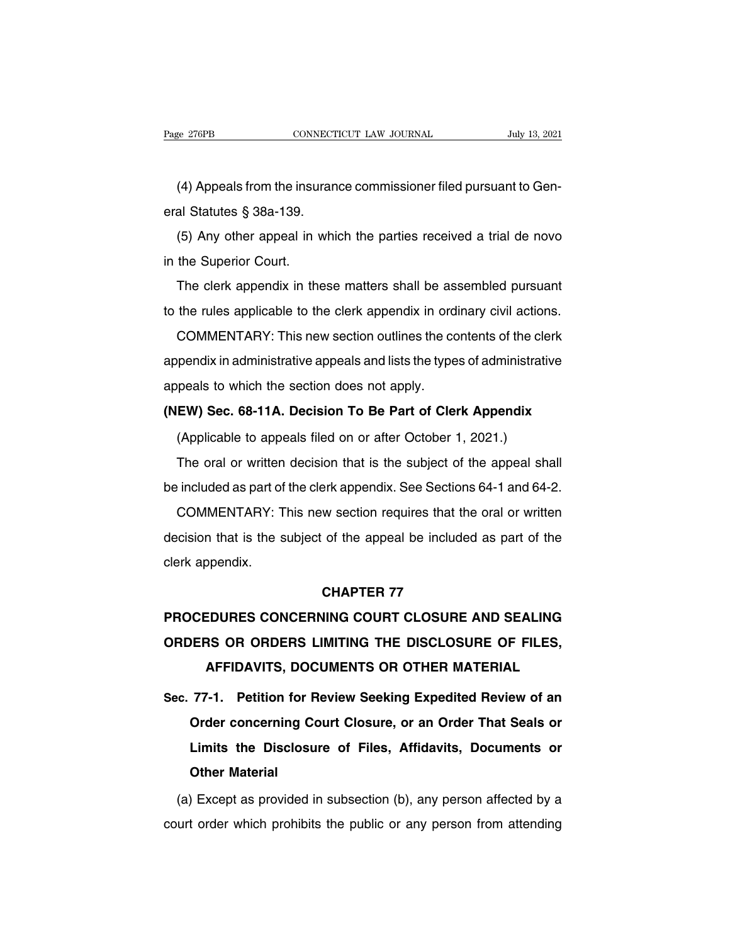e 276PB<br>
CONNECTICUT LAW JOURNAL<br>
(4) Appeals from the insurance commissioner filed pursuant to Gen-<br>
al Statutes § 38a-139. Page 276PB CONNECT<br>
(4) Appeals from the insuran<br>
eral Statutes § 38a-139.<br>
(5) Any other appeal in whi

(4) Appeals from the insurance commissioner filed pursuant to Gen-<br>al Statutes § 38a-139.<br>(5) Any other appeal in which the parties received a trial de novo<br>the Superior Court. (4) Appeals from the insureral Statutes  $\S$  38a-139.<br>(5) Any other appeal in v<br>in the Superior Court.<br>The clerk appendix in the The clerk appendix in these matters shall be assembled pursuant<br>the clerk appendix in these matters shall be assembled pursuant<br>the rules applicable to the clerk appendix in ordinary civil actions. (5) Any other appeal in which the parties received a trial de novo<br>in the Superior Court.<br>The clerk appendix in these matters shall be assembled pursuant<br>to the rules applicable to the clerk appendix in ordinary civil acti

(c) Any dater appear in which are parties received a that as never<br>the Superior Court.<br>The clerk appendix in these matters shall be assembled pursuant<br>the rules applicable to the clerk appendix in ordinary civil actions.<br>C The clerk appendix in these matters shall be assembled pursuant<br>to the rules applicable to the clerk appendix in ordinary civil actions.<br>COMMENTARY: This new section outlines the contents of the clerk<br>appendix in administr the sign applicable to the clerk appendix in ord<br>cOMMENTARY: This new section outlines the co<br>appendix in administrative appeals and lists the type<br>appeals to which the section does not apply.<br>(NEW) Sec. 68-11A. Decision T **COMMENTARY:** This new section outlines the contents of the clerk appendix in administrative appeals and lists the types of administrative appeals to which the section does not apply.<br>**(NEW) Sec. 68-11A. Decision To Be Par** (Applicable to appeals filed on or after October 1, 2021.)<br>The oral or which the section does not apply.<br>EW) Sec. 68-11A. Decision To Be Part of Clerk Appendix<br>(Applicable to appeals filed on or after October 1, 2021.)<br>The

The oral or which the section does not apply.<br>The oral or written decision **To Be Part of Clerk Appendix**<br>(Applicable to appeals filed on or after October 1, 2021.)<br>The oral or written decision that is the subject of the a (NEW) Sec. 68-11A. Decision To Be Part of Clerk Appendix<br>(Applicable to appeals filed on or after October 1, 2021.)<br>The oral or written decision that is the subject of the appeal shall<br>be included as part of the clerk app

(Applicable to appeals filed on or after October 1, 2021.)<br>The oral or written decision that is the subject of the appeal shall<br>included as part of the clerk appendix. See Sections 64-1 and 64-2.<br>COMMENTARY: This new secti The oral or written decision that is the subject of the appeal shall<br>be included as part of the clerk appendix. See Sections 64-1 and 64-2.<br>COMMENTARY: This new section requires that the oral or written<br>decision that is th the state of which<br>be included as part of<br>COMMENTARY: T<br>decision that is the s<br>clerk appendix. w section requires that the<br>of the appeal be include<br>**CHAPTER 77**<br>WING COURT CLOSURE decision that is the subject of the appeal be included as part of the<br>clerk appendix.<br>**PROCEDURES CONCERNING COURT CLOSURE AND SEALING**<br>ORDERS OR ORDERS LIMITING THE DISCLOSURE OF FILES,

CHAPTER 77<br>PROCEDURES CONCERNING COURT CLOSURE AND SEALING<br>ORDERS OR ORDERS LIMITING THE DISCLOSURE OF FILES,<br>AFFIDAVITS, DOCUMENTS OR OTHER MATERIAL **CHAPTER 77<br>FILIRES CONCERNING COURT CLOSURE AND SEALING<br>THE DISCLOSURE OF FILES,<br>AFFIDAVITS, DOCUMENTS OR OTHER MATERIAL<br>T-1. Petition for Review Seeking Expedited Review of an** PROCEDURES CONCERNING COURT CLOSURE AND SEALING<br>ORDERS OR ORDERS LIMITING THE DISCLOSURE OF FILES,<br>AFFIDAVITS, DOCUMENTS OR OTHER MATERIAL<br>Sec. 77-1. Petition for Review Seeking Expedited Review of an<br>Order concerning Cour

**ORIGAN COROBERS LIMITING THE DISCLOSURE OF FILES,<br>AFFIDAVITS, DOCUMENTS OR OTHER MATERIAL<br>77-1. Petition for Review Seeking Expedited Review of an<br>Order concerning Court Closure, or an Order That Seals or<br>Limits the Discl** AFFIDAVITS, DOCUMENTS OR OTHER MATERIAL<br>77-1. Petition for Review Seeking Expedited Review of an<br>Order concerning Court Closure, or an Order That Seals or<br>Limits the Disclosure of Files, Affidavits, Documents or<br>Other Mate **77-1. Petition for<br>Order concerning C<br>Limits the Disclos<br>Other Material<br>Except as provided** Order concerning Court Closure, or an Order That Seals or<br>Limits the Disclosure of Files, Affidavits, Documents or<br>Other Material<br>(a) Except as provided in subsection (b), any person affected by a<br>urt order which prohibits Court of the Disclosure of Files, Affidavits, Documents or<br>Other Material<br>(a) Except as provided in subsection (b), any person affected by a<br>court order which prohibits the public or any person from attending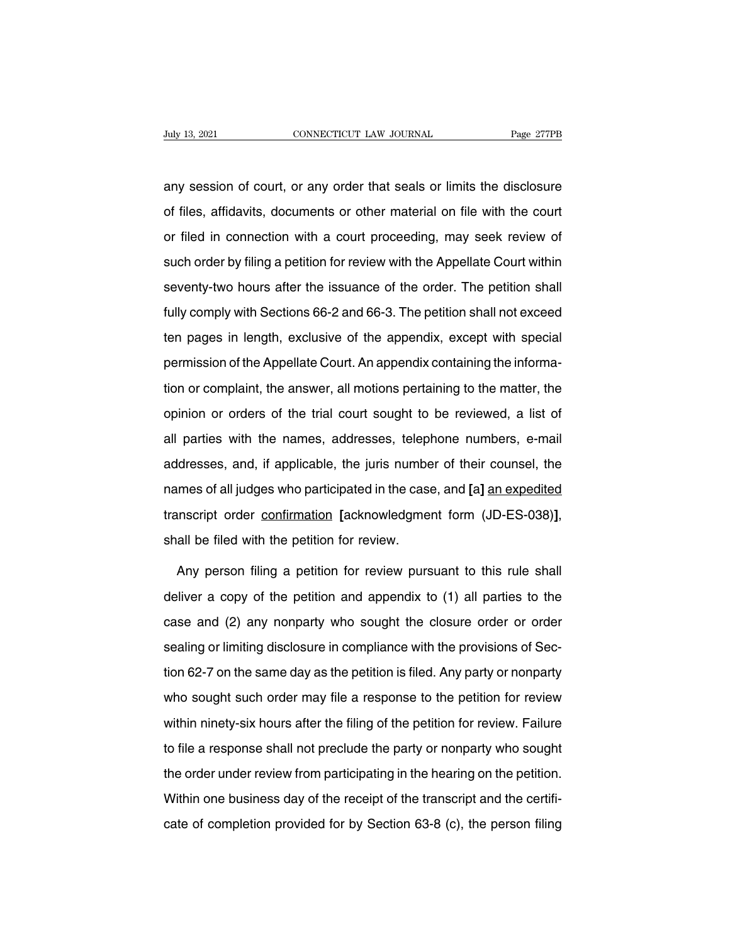Figure 3. 2021<br>
any session of court, or any order that seals or limits the disclosure<br>
of files, affidavits, documents or other material on file with the court Day 13, 2021 CONNECTICUT LAW JOURNAL Page 277PB<br>any session of court, or any order that seals or limits the disclosure<br>of files, affidavits, documents or other material on file with the court<br>or filed in connection with a any session of court, or any order that seals or limits the disclosure<br>of files, affidavits, documents or other material on file with the court<br>or filed in connection with a court proceeding, may seek review of<br>such order any session of court, or any order that seals or limits the disclosure<br>of files, affidavits, documents or other material on file with the court<br>or filed in connection with a court proceeding, may seek review of<br>such order any session of seart, or any stact that seals of illimits the also<br>several of files, affidavits, documents or other material on file with the court<br>or filed in connection with a court proceeding, may seek review of<br>such or or filed in connection with a court proceeding, may seek review of<br>such order by filing a petition for review with the Appellate Court within<br>seventy-two hours after the issuance of the order. The petition shall<br>fully comp sign a permission with a searc presedding, thay seen reflect the such order by filing a petition for review with the Appellate Court within seventy-two hours after the issuance of the order. The petition shall fully comply permission of the issuance of the order. The petition shall<br>fully comply with Sections 66-2 and 66-3. The petition shall not exceed<br>ten pages in length, exclusive of the appendix, except with special<br>permission of the Appe fully comply with Sections 66-2 and 66-3. The petition shall not exceed<br>ten pages in length, exclusive of the appendix, except with special<br>permission of the Appellate Court. An appendix containing the informa-<br>tion or com only semply ministed and the trial court. An appendix, except with special<br>permission of the Appellate Court. An appendix containing the informa-<br>tion or complaint, the answer, all motions pertaining to the matter, the<br>opi all parties with the names, addresses, telephone numbers, e-mail addresses, and, if applicable, the juris number of their counsel, the names, addresses, telephone numbers, e-mail addresses, and, if applicable, the juris nu dresses and, if applicable, the juris number of their counsel, the popinion or orders of the trial court sought to be reviewed, a list of all parties with the names, addresses, telephone numbers, e-mail addresses, and, if names of orders of the trial court sought to be reviewed, a list of<br>all parties with the names, addresses, telephone numbers, e-mail<br>addresses, and, if applicable, the juris number of their counsel, the<br>names of all judges all parties with the names, addresses, telephone numbers, e-mail addresses, and, if applicable, the juris number of their counsel, the names of all judges who participated in the case, and [a] <u>an expedited</u> transcript ord Imes of all judges who participated in the case, and [a] an expedited<br>
Inscript order confirmation [acknowledgment form (JD-ES-038)],<br>
all be filed with the petition for review.<br>
Any person filing a petition for review pur

transcript order <u>confirmation</u> [acknowledgment form (JD-ES-038)],<br>shall be filed with the petition for review.<br>Any person filing a petition for review pursuant to this rule shall<br>deliver a copy of the petition and appendi shall be filed with the petition for review.<br>Any person filing a petition for review pursuant to this rule shall<br>deliver a copy of the petition and appendix to (1) all parties to the<br>case and (2) any nonparty who sought th Any person filing a petition for review pursuant to this rule shall<br>deliver a copy of the petition and appendix to (1) all parties to the<br>case and (2) any nonparty who sought the closure order or order<br>sealing or limiting the same deliver a copy of the petition and appendix to (1) all parties to the case and (2) any nonparty who sought the closure order or order sealing or limiting disclosure in compliance with the provisions of Section 62ease and (2) any nonparty who sought the closure order or order<br>sealing or limiting disclosure in compliance with the provisions of Sec-<br>tion 62-7 on the same day as the petition is filed. Any party or nonparty<br>who sought sealing or limiting disclosure in compliance with the provisions of Section 62-7 on the same day as the petition is filed. Any party or nonparty who sought such order may file a response to the petition for review. Within tion 62-7 on the same day as the petition is filed. Any party or nonparty<br>who sought such order may file a response to the petition for review<br>within ninety-six hours after the filing of the petition for review. Failure<br>to the same can be the permants meaning party of the permants who sought such order may file a response to the petition for review. Failure to file a response shall not preclude the party or nonparty who sought the order unde Within ninety-six hours after the filing of the petition for review. Failure<br>to file a response shall not preclude the party or nonparty who sought<br>the order under review from participating in the hearing on the petition.<br> to file a response shall not preclude the party or nonparty who sought<br>the order under review from participating in the hearing on the petition.<br>Within one business day of the receipt of the transcript and the certifi-<br>cat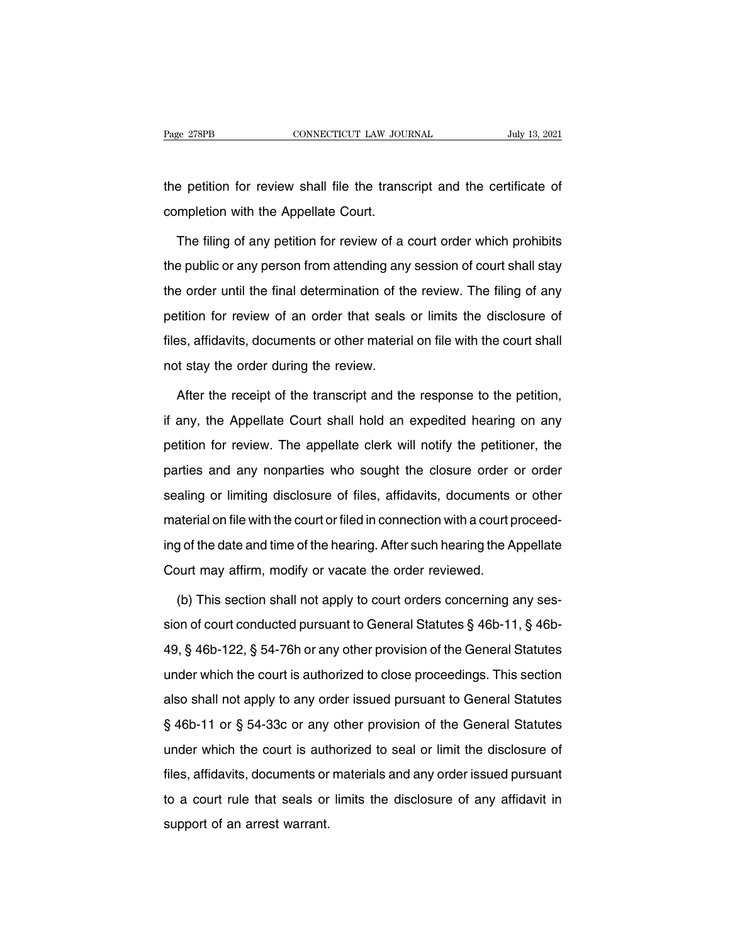The petition for review shall file the transcript and the certificate of<br>the petition for review shall file the transcript and the certificate of<br>completion with the Appellate Court. Page 278PB CONNECTICUT LAW JOU<br>the petition for review shall file the trans<br>completion with the Appellate Court.<br>The filing of any petition for review of a

e petition for review shall file the transcript and the certificate of<br>mpletion with the Appellate Court.<br>The filing of any petition for review of a court order which prohibits<br>e public or any person from attending any ses the petition for review shall file the transcript and the certificate of<br>completion with the Appellate Court.<br>The filing of any petition for review of a court order which prohibits<br>the public or any person from attending a completion with the Appellate Court.<br>The filing of any petition for review of a court order which prohibits<br>the public or any person from attending any session of court shall stay<br>the order until the final determination of The filing of any petition for review of a court order which prohibits<br>the public or any person from attending any session of court shall stay<br>the order until the final determination of the review. The filing of any<br>petiti file public or any person from attending any session of court shall stay<br>the order until the final determination of the review. The filing of any<br>petition for review of an order that seals or limits the disclosure of<br>files the order until the final determination of the petition for review of an order that seals files, affidavits, documents or other materia not stay the order during the review.<br>After the receipt of the transcript and the tition for review of an order that seals or limits the disclosure of<br>es, affidavits, documents or other material on file with the court shall<br>t stay the order during the review.<br>After the receipt of the transcript and the

files, affidavits, documents or other material on file with the court shall<br>not stay the order during the review.<br>After the receipt of the transcript and the response to the petition,<br>if any, the Appellate Court shall hold not stay the order during the review.<br>After the receipt of the transcript and the response to the petition,<br>if any, the Appellate Court shall hold an expedited hearing on any<br>petition for review. The appellate clerk will n After the receipt of the transcript and the response to the petition,<br>if any, the Appellate Court shall hold an expedited hearing on any<br>petition for review. The appellate clerk will notify the petitioner, the<br>parties and if any, the Appellate Court shall hold an expedited hearing on any<br>petition for review. The appellate clerk will notify the petitioner, the<br>parties and any nonparties who sought the closure order or order<br>sealing or limiti matry, and Appendice docal origin their air expedited freding of drip<br>petition for review. The appellate clerk will notify the petitioner, the<br>parties and any nonparties who sought the closure order or order<br>sealing or lim pention for fortew. The appenate of the will hearly the pentioner, the parties and any nonparties who sought the closure order or order<br>sealing or limiting disclosure of files, affidavits, documents or other<br>material on fi particle and any nonparties who seagnt the siscare state.<br>
sealing or limiting disclosure of files, affidavits, documents of<br>
material on file with the court or filed in connection with a court<br>
ing of the date and time of aterial on file with the court or filed in connection with a court proceed-<br>g of the date and time of the hearing. After such hearing the Appellate<br>burt may affirm, modify or vacate the order reviewed.<br>(b) This section sha

ing of the date and time of the hearing. After such hearing the Appellate<br>Court may affirm, modify or vacate the order reviewed.<br>(b) This section shall not apply to court orders concerning any ses-<br>sion of court conducted Court may affirm, modify or vacate the order reviewed.<br>
(b) This section shall not apply to court orders concerning any ses-<br>
sion of court conducted pursuant to General Statutes § 46b-11, § 46b-<br>
49, § 46b-122, § 54-76h o (b) This section shall not apply to court orders concerning any session of court conducted pursuant to General Statutes  $\S$  46b-11,  $\S$  46b-49,  $\S$  46b-122,  $\S$  54-76h or any other provision of the General Statutes under (b) This section shall not apply to search statutes  $\S$  46b-11,  $\S$  46b-49,  $\S$  46b-122,  $\S$  54-76h or any other provision of the General Statutes under which the court is authorized to close proceedings. This section als 49, § 46b-122, § 54-76h or any other provision of the General Statutes<br>under which the court is authorized to close proceedings. This section<br>also shall not apply to any order issued pursuant to General Statutes<br>§ 46b-11 under which the court is authorized to close proceedings. This section<br>also shall not apply to any order issued pursuant to General Statutes<br> $$46b-11$  or  $$54-33c$  or any other provision of the General Statutes<br>under whic also shall not apply to any order issued pursuant to General Statutes<br>§ 46b-11 or § 54-33c or any other provision of the General Statutes<br>under which the court is authorized to seal or limit the disclosure of<br>files, affida  $\S$  46b-11 or  $\S$  54-33c or any other provision of the General Statutes<br>under which the court is authorized to seal or limit the disclosure of<br>files, affidavits, documents or materials and any order issued pursuant<br>to a c s for the given cooler any<br>under which the court is auth<br>files, affidavits, documents or<br>to a court rule that seals or<br>support of an arrest warrant.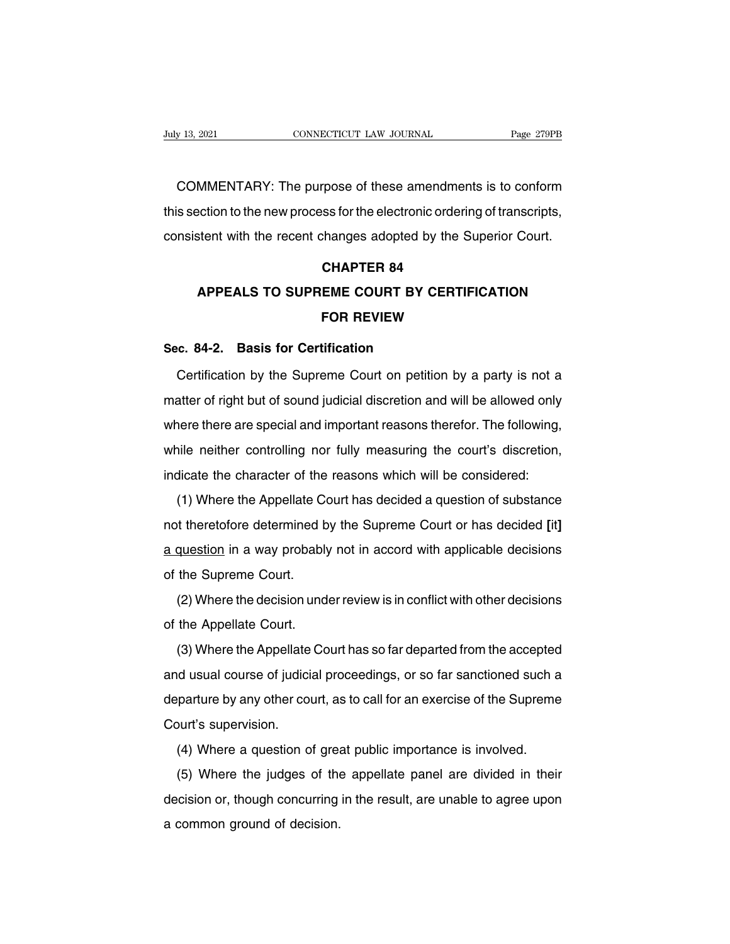EXECT VAN ACT THE PURPOSE COMMENTARY: The purpose of these amendments is to conform<br>COMMENTARY: The purpose of these amendments is to conform<br>Section to the new process for the electronic ordering of transcripts, The state of these amendments is to conform<br>COMMENTARY: The purpose of these amendments is to conform<br>this section to the new process for the electronic ordering of transcripts,<br>consistent with the recent changes adopted b COMMENTARY: The purpose of these amendments is to conform<br>this section to the new process for the electronic ordering of transcripts,<br>consistent with the recent changes adopted by the Superior Court.<br>CHAPTER 84 rpose of these amendmer<br>ss for the electronic orderii<br>changes adopted by the S<br>**CHAPTER 84**<br>**EME COURT BY CERTII** 

## Approvement of the electronic ordering of transcripts,<br>Approvement changes adopted by the Superior Court.<br>**CHAPTER 84**<br>AppEALS TO SUPREME COURT BY CERTIFICATION<br>FOR REVIEW Frances adopted by the Superior<br>**CHAPTER 84<br>EME COURT BY CERTIFICATIC<br>FOR REVIEW<br>Itification CHAPTER 84**<br>**APPEALS TO SUPREME COURT BY CE**<br>**FOR REVIEW**<br>Sec. 84-2. Basis for Certification<br>Certification by the Supreme Court on petition APPEALS TO SUPREME COURT BY CERTIFICATION<br>FOR REVIEW<br>c. 84-2. Basis for Certification<br>Certification by the Supreme Court on petition by a party is not a<br>atter of right but of sound judicial discretion and will be allowed o

FOR REVIEW<br>Sec. 84-2. Basis for Certification<br>Certification by the Supreme Court on petition by a party is not a<br>matter of right but of sound judicial discretion and will be allowed only<br>where there are special and importa Sec. 84-2. Basis for Certification<br>Certification by the Supreme Court on petition by a party is not a<br>matter of right but of sound judicial discretion and will be allowed only<br>where there are special and important reasons Certification by the Supreme Court on petition by a party is not a<br>matter of right but of sound judicial discretion and will be allowed only<br>where there are special and important reasons therefor. The following,<br>while neit is the capture sourt on pottern by a party to not a<br>matter of right but of sound judicial discretion and will be allowed only<br>where there are special and important reasons therefor. The following,<br>while neither controlling There there are special and important reasons therefor. The following,<br>hile neither controlling nor fully measuring the court's discretion,<br>dicate the character of the reasons which will be considered:<br>(1) Where the Appell

while neither controlling nor fully measuring the court's discretion,<br>indicate the character of the reasons which will be considered:<br>(1) Where the Appellate Court has decided a question of substance<br>not theretofore determ indicate the character of the reasons which will be considered:<br>
(1) Where the Appellate Court has decided a question of substance<br>
not theretofore determined by the Supreme Court or has decided [it]<br>
a question in a way p (1) Where the Appellate C<br>not theretofore determined b<br>a question in a way probably<br>of the Supreme Court.<br>(2) Where the decision und It theretofore determined by the Supreme Court or has decided [it]<br>question in a way probably not in accord with applicable decisions<br>the Supreme Court.<br>(2) Where the decision under review is in conflict with other decisio a question in a way probably<br>of the Supreme Court.<br>(2) Where the decision und<br>of the Appellate Court.<br>(3) Where the Appellate Co

(2) Where the decision under review is in conflict with other decisions<br>the Appellate Court.<br>(3) Where the Appellate Court has so far departed from the accepted<br>d usual course of judicial proceedings, or so far sanctioned (2) Where the decision under review is in conflict with other decisions<br>of the Appellate Court.<br>(3) Where the Appellate Court has so far departed from the accepted<br>and usual course of judicial proceedings, or so far sancti departure by any other court, as to call for an exercise of the Supreme<br>Court's supervision.<br>Court's supervision. (3) Where the Appellate<br>and usual course of judici<br>departure by any other concourt's supervision.<br>(4) Where a question of (c) Where a correlate both the separation of an applied from the accepted<br>parture by any other court, as to call for an exercise of the Supreme<br>purt's supervision.<br>(4) Where a question of great public importance is involve (4) Where a question of great public importance is involved.<br>
(4) Where a question of great public importance is involved.<br>
(5) Where the judges of the appellate panel are divided in their cision or, though concurring in t

Court's supervision.<br>
(4) Where a question of great public importance is involved.<br>
(5) Where the judges of the appellate panel are divided in their<br>
decision or, though concurring in the result, are unable to agree upon<br> (4) Where a question of greation of greation of greation of greation or, though concurring<br>decision or, though concurring<br>a common ground of decision.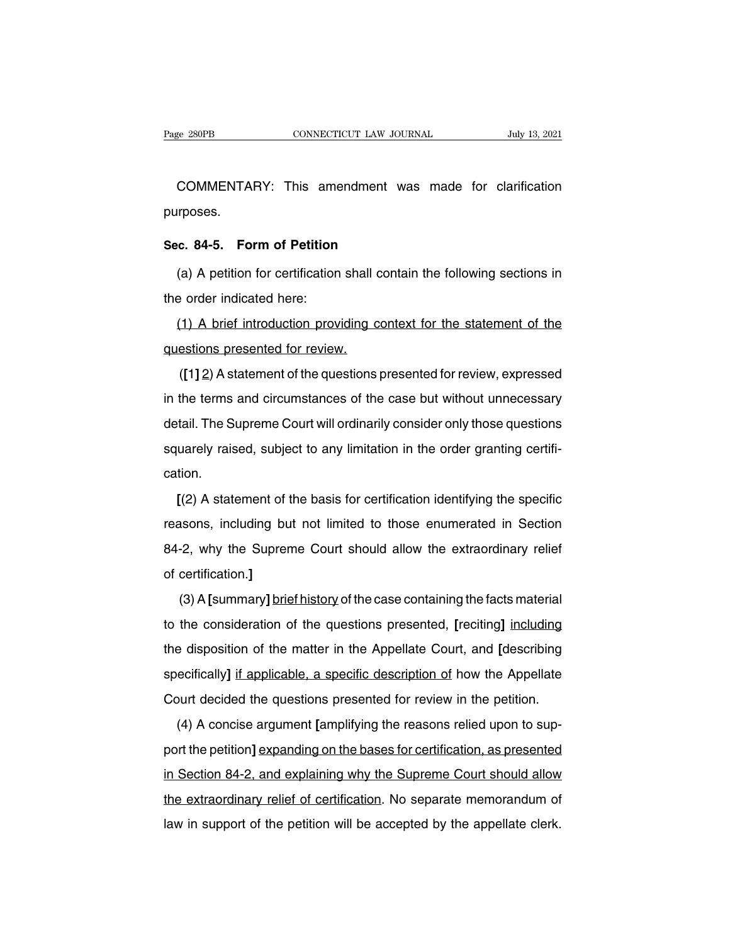EXECTE AND THE CONNECTICUT CONNECTICUT LAW JOURNAL The July 13, 2021<br>COMMENTARY: This amendment was made for clarification<br>proses. purposes. **COMMENTARY:** This amendment ware<br>purposes.<br>**Sec. 84-5. Form of Petition**<br>(a) A petition for certification shall contain

(COMMENTARY: This amendment was made for clarification<br>proses.<br>(a) A petition for certification shall contain the following sections in<br>e order indicated here: purposes.<br> **Sec. 84-5. Form of Petition**<br>
(a) A petition for certification<br>
the order indicated here:<br>
(1) A brief introduction prov (a) A petition for certification shall contain the following sections in<br>
the order indicated here:<br>
(1) A brief introduction providing context for the statement of the<br>
estions presented for review. (a) A petition for certification shall of<br>the order indicated here:<br> $(1)$  A brief introduction providing conductions presented for review.<br> $([1] 2)$  A statement of the questions

(1) A brief introduction providing context for the statement of the<br>
estions presented for review.<br>
([1] 2) A statement of the questions presented for review, expressed<br>
the terms and circumstances of the case but without (1) A brief introduction providing context for the statement of the questions presented for review.<br>
([1] 2) A statement of the questions presented for review, expressed<br>
in the terms and circumstances of the case but with questions presented for review.<br>
([1] 2) A statement of the questions presented for review, expressed<br>
in the terms and circumstances of the case but without unnecessary<br>
detail. The Supreme Court will ordinarily consider ([1] 2) A statement of the questions presented for review, expressed<br>in the terms and circumstances of the case but without unnecessary<br>detail. The Supreme Court will ordinarily consider only those questions<br>squarely raise cation. First trail. The Supreme Court will ordinarily consider only those questions<br>uarely raised, subject to any limitation in the order granting certifi-<br>tion.<br>[(2) A statement of the basis for certification identifying the spe

reasons, including but not limitation in the order granting certification.<br>
[(2) A statement of the basis for certification identifying the specific<br>
reasons, including but not limited to those enumerated in Section<br>
84-2, Equatory raised, subject to any immediation in the shade granting sortification.<br>
[(2) A statement of the basis for certification identifying the specific<br>
reasons, including but not limited to those enumerated in Section<br> I(2) A statement of the casons, including bu<br>84-2, why the Supren<br>of certification.]<br>(3) A [summary] brie asons, including but not limited to those enumerated in Section<br>-2, why the Supreme Court should allow the extraordinary relief<br>certification.]<br>(3) A [summary] brief history of the case containing the facts material<br>the c

to the consideration of the consideration of the minimizal consideration of certification.]<br>
(3) A [summary] brief history of the case containing the facts material<br>
to the consideration of the questions presented, [reciti of certification.]<br>(3) A [summary] brief history of the case containing the facts material<br>to the consideration of the questions presented, [reciting] including<br>the disposition of the matter in the Appellate Court, and [de (3) A [summary] brief history of the case containing the facts material<br>to the consideration of the questions presented, [reciting] including<br>the disposition of the matter in the Appellate Court, and [description<br>specifica to the consideration of the questions presented, [reciting] including<br>the disposition of the matter in the Appellate Court, and [describing<br>specifically] <u>if applicable, a specific description of</u> how the Appellate<br>Court d e disposition of the matter in the Appellate Court, and [describing ecifically] if applicable, a specific description of how the Appellate purt decided the questions presented for review in the petition.<br>(4) A concise argu

specifically] if applicable, a specific description of how the Appellate<br>Court decided the questions presented for review in the petition.<br>(4) A concise argument [amplifying the reasons relied upon to sup-<br>port the petitio Court decided the questions presented for review in the petition.<br>
(4) A concise argument [amplifying the reasons relied upon to sup-<br>
port the petition] expanding on the bases for certification, as presented<br>
in Section 8 (4) A concise argument [amplifying the reasons relied upon to support the petition] expanding on the bases for certification, as presented in Section 84-2, and explaining why the Supreme Court should allow the extraordinar (1) N conclude algament [ampmying the reddome render appell to eap<br>port the petition] expanding on the bases for certification, as presented<br>in Section 84-2, and explaining why the Supreme Court should allow<br>the extraordin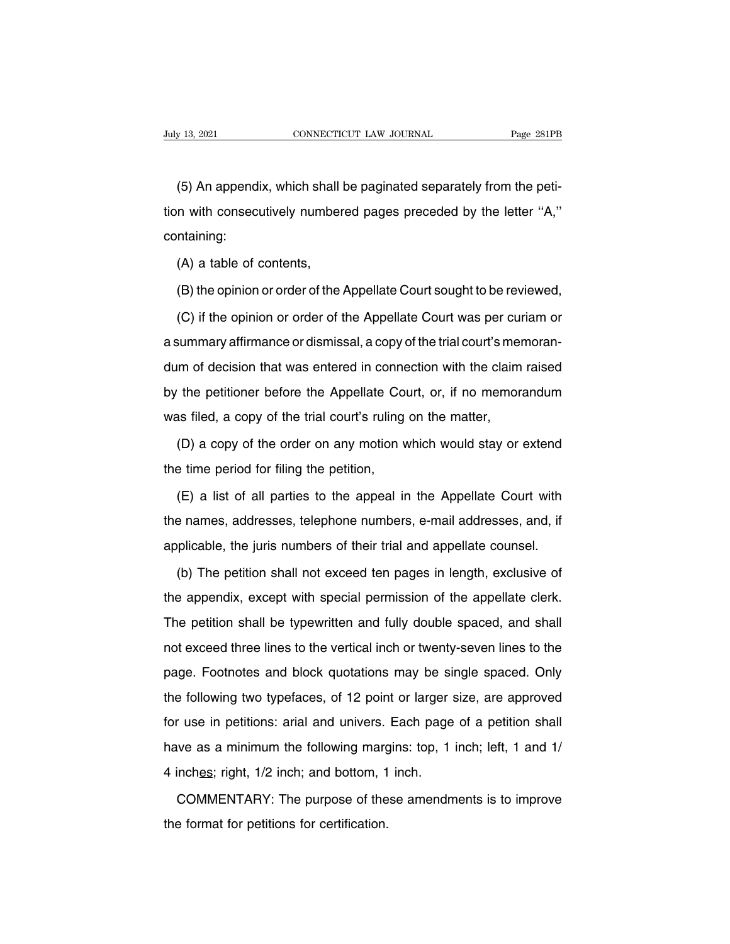(5) The appendix, which shall be paginated separately from the peti-<br>
The with consecutively numbered pages preceded by the letter "A," the Usian State Consecutively numbered pages preceded by the letter "A,"<br>
Consecutively numbered pages preceded by the letter "A,"<br>
Containing: containing: (5) An appendix, which shall<br>n with consecutively number<br>ntaining:<br>(A) a table of contents,<br>(B) the opinion or order of the (B) the opinion or order of the Appellate Court sought to be reviewed,<br>
(B) the opinion or order of the Appellate Court sought to be reviewed,<br>
(C) if the opinion or order of the Appellate Court was per curiam or

ntaining:<br>(A) a table of contents,<br>(B) the opinion or order of the Appellate Court sought to be reviewed,<br>(C) if the opinion or order of the Appellate Court was per curiam or<br>summary affirmance or dismissal, a copy of the (A) a table of contents,<br>
(B) the opinion or order of the Appellate Court sought to be reviewed,<br>
(C) if the opinion or order of the Appellate Court was per curiam or<br>
a summary affirmance or dismissal, a copy of the trial (B) the opinion or order of the Appellate Court sought to be reviewed,<br>(C) if the opinion or order of the Appellate Court was per curiam or<br>a summary affirmance or dismissal, a copy of the trial court's memoran-<br>dum of dec (C) if the opinion or order of the Appellate Court was per curiam or<br>a summary affirmance or dismissal, a copy of the trial court's memoran-<br>dum of decision that was entered in connection with the claim raised<br>by the peti a summary affirmance or dismissal, a copy of the trial court's mer<br>dum of decision that was entered in connection with the claim<br>by the petitioner before the Appellate Court, or, if no memora<br>was filed, a copy of the tria (d) a copy of the order on any motion with the claim raised<br>(d) the petitioner before the Appellate Court, or, if no memorandum<br>as filed, a copy of the trial court's ruling on the matter,<br>(D) a copy of the order on any mot by the petitioner before the Appellate Compass filed, a copy of the trial court's ruling (D) a copy of the order on any motion v<br>the time period for filing the petition,<br>(E) a list of all parties to the appeal in

In the matter,<br>
(D) a copy of the order on any motion which would stay or extend<br>
e time period for filing the petition,<br>
(E) a list of all parties to the appeal in the Appellate Court with<br>
e names, addresses, telephone n (D) a copy of the order on any motion which would stay or extend<br>the time period for filing the petition,<br>(E) a list of all parties to the appeal in the Appellate Court with<br>the names, addresses, telephone numbers, e-mail the time period for filing the petition,<br>
(E) a list of all parties to the appeal in the Appellate Court with<br>
the names, addresses, telephone numbers, e-mail addresses, and, if<br>
applicable, the juris numbers of their tria (E) a list of all parties to the appeal in the Appellate Court with<br>e names, addresses, telephone numbers, e-mail addresses, and, if<br>plicable, the juris numbers of their trial and appellate counsel.<br>(b) The petition shall

the names, addresses, telephone numbers, e-mail addresses, and, if<br>applicable, the juris numbers of their trial and appellate counsel.<br>(b) The petition shall not exceed ten pages in length, exclusive of<br>the appendix, excep applicable, the juris numbers of their trial and appellate counsel.<br>
(b) The petition shall not exceed ten pages in length, exclusive of<br>
the appendix, except with special permission of the appellate clerk.<br>
The petition s (b) The petition shall not exceed ten pages in length, exclusive of the appendix, except with special permission of the appellate clerk.<br>The petition shall be typewritten and fully double spaced, and shall not exceed three (b) The petition shall het exected torl page. The appellate clerk.<br>The petition shall be typewritten and fully double spaced, and shall<br>not exceed three lines to the vertical inch or twenty-seven lines to the<br>page. Footnot The petition shall be typewritten and fully double spaced, and shall<br>not exceed three lines to the vertical inch or twenty-seven lines to the<br>page. Footnotes and block quotations may be single spaced. Only<br>the following tw for the petition shall be typewhiten and lany deable spaced, and shall<br>not exceed three lines to the vertical inch or twenty-seven lines to the<br>page. Footnotes and block quotations may be single spaced. Only<br>the following have assess and block quotations may be single spaced. Only the following two typefaces, of 12 point or larger size, are approved for use in petitions: arial and univers. Each page of a petition shall have as a minimum the page. Technolog and block quotations may be on<br>the following two typefaces, of 12 point or larger s<br>for use in petitions: arial and univers. Each page<br>have as a minimum the following margins: top, 1<br>4 inches; right, 1/2 in The purpose of a petition shall<br>we as a minimum the following margins: top, 1 inch; left, 1 and 1/<br>inches; right, 1/2 inch; and bottom, 1 inch.<br>COMMENTARY: The purpose of these amendments is to improve<br>e format for petitio have as a minimum the following marg<br>4 inches; right, 1/2 inch; and bottom, 1<br>COMMENTARY: The purpose of the<br>the format for petitions for certification.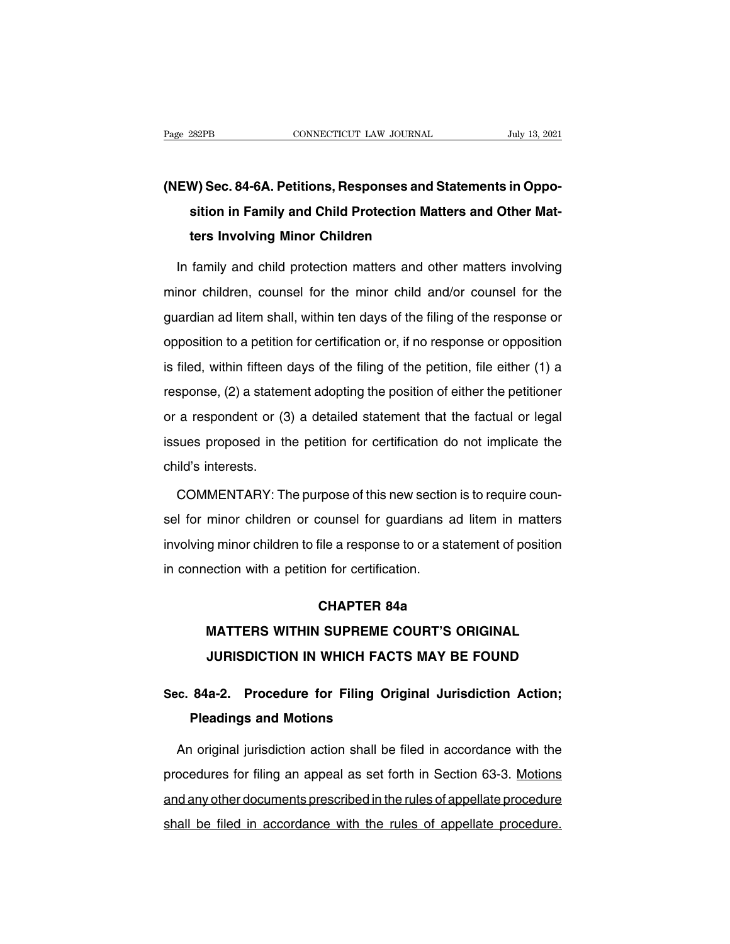## Page 282PB CONNECTICUT LAW JOURNAL July 13, 2021<br>(NEW) Sec. 84-6A. Petitions, Responses and Statements in Oppo-<br>sition in Family and Child Protection Matters and Other Mat-**EXAMPLE CONNECTICUT LAW JOURNAL THE SET SET SET SET SET SET SEC. 84-6A. Petitions, Responses and Statements in Opposition in Family and Child Protection Matters and Other Matters Involving Minor Children the Web Sec. 84-6A. Petitions, Responses and Set ion in Family and Child Protection Math<br>ters Involving Minor Children<br>family and child protection matters and other** EW) Sec. 84-6A. Petitions, Responses and Statements in Opposition in Family and Child Protection Matters and Other Matters Involving Minor Children<br>In family and child protection matters and other matters involving<br>nor chi

sition in Family and Child Protection Matters and Other Matters Involving Minor Children<br>In family and child protection matters and other matters involving<br>minor children, counsel for the minor child and/or counsel for the ters Involving Minor Children<br>In family and child protection matters and other matters involving<br>minor children, counsel for the minor child and/or counsel for the<br>guardian ad litem shall, within ten days of the filing of In family and child protection matters and other matters involving<br>minor children, counsel for the minor child and/or counsel for the<br>guardian ad litem shall, within ten days of the filing of the response or<br>opposition to mharing and sind precedular matters and enterminated inverting<br>minor children, counsel for the minor child and/or counsel for the<br>guardian ad litem shall, within ten days of the filing of the response or<br>opposition to a pe runct shilaten, sealiser for the filling of the filling of the response or opposition to a petition for certification or, if no response or opposition is filed, within fifteen days of the filling of the petition, file eith or a respondent or (3) a detailed statement that the factual or legal<br>is filed, within fifteen days of the filing of the petition, file either (1) a<br>response, (2) a statement adopting the position of either the petitioner<br> is filed, within fifteen days of the filing of the petition, file either (1) a response, (2) a statement adopting the position of either the petitioner or a respondent or (3) a detailed statement that the factual or legal response, (2) a statem<br>response, (2) a statem<br>or a respondent or (3<br>issues proposed in th<br>child's interests.<br>COMMENTARY: Th External a respondent or (3) a detailed statement that the factual or legal<br>sues proposed in the petition for certification do not implicate the<br>ild's interests.<br>COMMENTARY: The purpose of this new section is to require co

issues proposed in the petition for certification do not implicate the<br>child's interests.<br>COMMENTARY: The purpose of this new section is to require coun-<br>sel for minor children or counsel for guardians ad litem in matters<br> child's interests.<br>COMMENTARY: The purpose of this new section is to require coun-<br>sel for minor children or counsel for guardians ad litem in matters<br>involving minor children to file a response to or a statement of positi COMMENTARY: The purpose of this new section<br>sel for minor children or counsel for guardians a<br>involving minor children to file a response to or a st<br>in connection with a petition for certification. **COUNDER 1899 EVALUATE:**<br>File a response to or a statem<br>in for certification.<br>**CHAPTER 84a**<br>I **SUPREME COURT'S OR** 

## Interpreter of the artic position of position<br>ection with a petition for certification.<br>**CHAPTER 84a<br>MATTERS WITHIN SUPREME COURT'S ORIGINAL<br>JURISDICTION IN WHICH FACTS MAY BE FOUND CHAPTER 84a<br>CHAPTER 84a<br>MATTERS WITHIN SUPREME COURT'S ORIGINAL<br>JURISDICTION IN WHICH FACTS MAY BE FOUND** CHAPTER 84a<br>MATTERS WITHIN SUPREME COURT'S ORIGINAL<br>JURISDICTION IN WHICH FACTS MAY BE FOUND<br>Sec. 84a-2. Procedure for Filing Original Jurisdiction Action;<br>Pleadings and Motions **MATTERS WITHIN SUPREME C<br>JURISDICTION IN WHICH FACT<br>84a-2. Procedure for Filing Ori<br>Pleadings and Motions**

JURISDICTION IN WHICH FACTS MAY BE FOUND<br>c. 84a-2. Procedure for Filing Original Jurisdiction Action;<br>Pleadings and Motions<br>An original jurisdiction action shall be filed in accordance with the<br>ocedures for filing an appea Sec. 84a-2. Procedure for Filing Original Jurisdiction Action;<br>Pleadings and Motions<br>An original jurisdiction action shall be filed in accordance with the<br>procedures for filing an appeal as set forth in Section 63-3. Motio Pleadings and Motions<br>An original jurisdiction action shall be filed in accordance with the<br>procedures for filing an appeal as set forth in Section 63-3. Motions<br>and any other documents prescribed in the rules of appellate An original jurisdiction action shall be filed in accordance with the procedures for filing an appeal as set forth in Section 63-3. Motions and any other documents prescribed in the rules of appellate procedure shall be fi